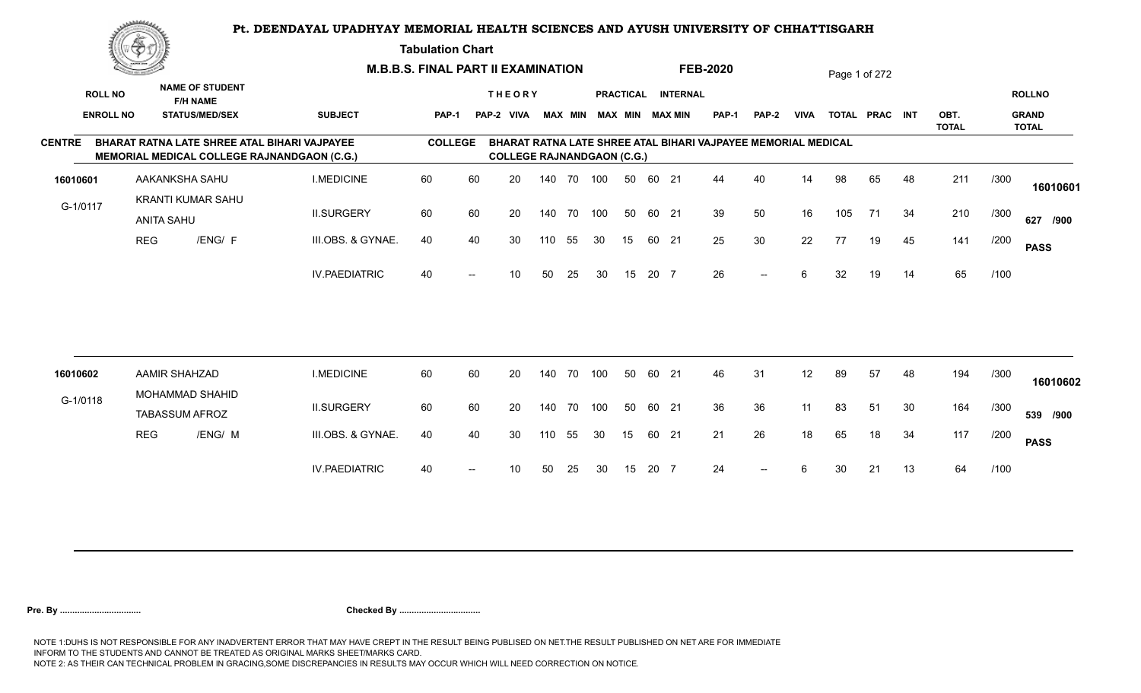**Tabulation Chart** 

|               | <u>Contact on the Contact of South States of South States and States of South States and States and States and States and States and States and States and States and States and States and States and States and States and Sta</u> |                       |                                                                    | <b>M.B.B.S. FINAL PART II EXAMINATION</b>                                                          |                |    |                                   |     |                |     |    |       |                                              | <b>FEB-2020</b>                                               |              |             |     | Page 1 of 272  |     |              |      |                               |
|---------------|--------------------------------------------------------------------------------------------------------------------------------------------------------------------------------------------------------------------------------------|-----------------------|--------------------------------------------------------------------|----------------------------------------------------------------------------------------------------|----------------|----|-----------------------------------|-----|----------------|-----|----|-------|----------------------------------------------|---------------------------------------------------------------|--------------|-------------|-----|----------------|-----|--------------|------|-------------------------------|
|               | <b>ROLL NO</b><br><b>ENROLL NO</b>                                                                                                                                                                                                   |                       | <b>NAME OF STUDENT</b><br><b>F/H NAME</b><br><b>STATUS/MED/SEX</b> | <b>SUBJECT</b>                                                                                     | <b>PAP-1</b>   |    | <b>THEORY</b><br>PAP-2 VIVA       |     | <b>MAX MIN</b> |     |    |       | PRACTICAL INTERNAL<br><b>MAX MIN MAX MIN</b> | <b>PAP-1</b>                                                  | <b>PAP-2</b> | <b>VIVA</b> |     | TOTAL PRAC INT |     | OBT.         |      | <b>ROLLNO</b><br><b>GRAND</b> |
|               |                                                                                                                                                                                                                                      |                       |                                                                    |                                                                                                    |                |    |                                   |     |                |     |    |       |                                              |                                                               |              |             |     |                |     | <b>TOTAL</b> |      | <b>TOTAL</b>                  |
| <b>CENTRE</b> |                                                                                                                                                                                                                                      |                       |                                                                    | BHARAT RATNA LATE SHREE ATAL BIHARI VAJPAYEE<br><b>MEMORIAL MEDICAL COLLEGE RAJNANDGAON (C.G.)</b> | <b>COLLEGE</b> |    | <b>COLLEGE RAJNANDGAON (C.G.)</b> |     |                |     |    |       |                                              | BHARAT RATNA LATE SHREE ATAL BIHARI VAJPAYEE MEMORIAL MEDICAL |              |             |     |                |     |              |      |                               |
| 16010601      |                                                                                                                                                                                                                                      | AAKANKSHA SAHU        |                                                                    | <b>I.MEDICINE</b>                                                                                  | 60             | 60 | 20                                |     | 140 70         | 100 | 50 | 60 21 |                                              | 44                                                            | 40           | 14          | 98  | 65             | 48  | 211          | /300 | 16010601                      |
| G-1/0117      |                                                                                                                                                                                                                                      | <b>ANITA SAHU</b>     | <b>KRANTI KUMAR SAHU</b>                                           | <b>II.SURGERY</b>                                                                                  | 60             | 60 | 20                                |     | 140 70         | 100 | 50 | 60 21 |                                              | 39                                                            | 50           | 16          | 105 | 71             | -34 | 210          | /300 | 627 /900                      |
|               |                                                                                                                                                                                                                                      | <b>REG</b>            | /ENG/ F                                                            | III.OBS. & GYNAE.                                                                                  | 40             | 40 | 30                                | 110 | 55             | 30  | 15 | 60 21 |                                              | 25                                                            | 30           | 22          | 77  | 19             | 45  | 141          | /200 | <b>PASS</b>                   |
|               |                                                                                                                                                                                                                                      |                       |                                                                    | <b>IV.PAEDIATRIC</b>                                                                               | 40             |    | 10                                | 50  | 25             | 30  | 15 | 20 7  |                                              | 26                                                            | $--$         | 6           | 32  | 19             | 14  | 65           | /100 |                               |
|               |                                                                                                                                                                                                                                      |                       |                                                                    |                                                                                                    |                |    |                                   |     |                |     |    |       |                                              |                                                               |              |             |     |                |     |              |      |                               |
| 16010602      |                                                                                                                                                                                                                                      | <b>AAMIR SHAHZAD</b>  | MOHAMMAD SHAHID                                                    | <b>I.MEDICINE</b>                                                                                  | 60             | 60 | 20                                |     | 140 70         | 100 | 50 | 60 21 |                                              | 46                                                            | 31           | 12          | 89  | 57             | 48  | 194          | /300 | 16010602                      |
| G-1/0118      |                                                                                                                                                                                                                                      | <b>TABASSUM AFROZ</b> |                                                                    | <b>II.SURGERY</b>                                                                                  | 60             | 60 | 20                                |     | 140 70         | 100 | 50 | 60 21 |                                              | 36                                                            | 36           | 11          | 83  | 51             | 30  | 164          | /300 | 539 /900                      |
|               |                                                                                                                                                                                                                                      | <b>REG</b>            | /ENG/ M                                                            | III.OBS. & GYNAE.                                                                                  | 40             | 40 | 30                                | 110 | 55             | 30  | 15 | 60 21 |                                              | 21                                                            | 26           | 18          | 65  | 18             | 34  | 117          | /200 | <b>PASS</b>                   |
|               |                                                                                                                                                                                                                                      |                       |                                                                    | <b>IV.PAEDIATRIC</b>                                                                               | 40             |    | 10                                | 50  | 25             | 30  | 15 | 20 7  |                                              | 24                                                            | $- -$        | 6           | 30  | 21             | 13  | 64           | /100 |                               |
|               |                                                                                                                                                                                                                                      |                       |                                                                    |                                                                                                    |                |    |                                   |     |                |     |    |       |                                              |                                                               |              |             |     |                |     |              |      |                               |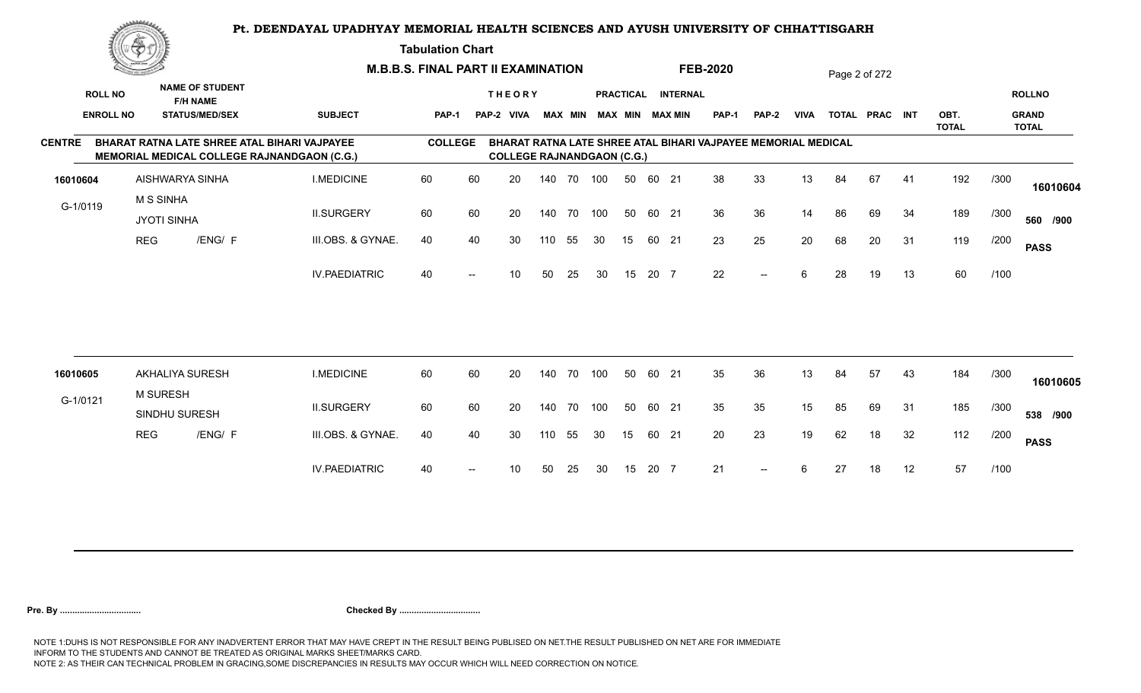**Tabulation Chart** 

|                  | <u>Contraction of the State of State of State of State of State of State of State of State of State of State of S</u> |                                           |                                                                                                           | <b>M.B.B.S. FINAL PART II EXAMINATION</b> |    |                                   |        |                |     |                  |       |                        | <b>FEB-2020</b>                                                      |              |             |    | Page 2 of 272  |    |                      |      |                              |
|------------------|-----------------------------------------------------------------------------------------------------------------------|-------------------------------------------|-----------------------------------------------------------------------------------------------------------|-------------------------------------------|----|-----------------------------------|--------|----------------|-----|------------------|-------|------------------------|----------------------------------------------------------------------|--------------|-------------|----|----------------|----|----------------------|------|------------------------------|
| <b>ROLL NO</b>   |                                                                                                                       | <b>NAME OF STUDENT</b><br><b>F/H NAME</b> |                                                                                                           |                                           |    | <b>THEORY</b>                     |        |                |     | <b>PRACTICAL</b> |       | <b>INTERNAL</b>        |                                                                      |              |             |    |                |    |                      |      | <b>ROLLNO</b>                |
| <b>ENROLL NO</b> |                                                                                                                       | <b>STATUS/MED/SEX</b>                     | <b>SUBJECT</b>                                                                                            | <b>PAP-1</b>                              |    | PAP-2 VIVA                        |        | <b>MAX MIN</b> |     |                  |       | <b>MAX MIN MAX MIN</b> | <b>PAP-1</b>                                                         | <b>PAP-2</b> | <b>VIVA</b> |    | TOTAL PRAC INT |    | OBT.<br><b>TOTAL</b> |      | <b>GRAND</b><br><b>TOTAL</b> |
| <b>CENTRE</b>    |                                                                                                                       |                                           | <b>BHARAT RATNA LATE SHREE ATAL BIHARI VAJPAYEE</b><br><b>MEMORIAL MEDICAL COLLEGE RAJNANDGAON (C.G.)</b> | <b>COLLEGE</b>                            |    | <b>COLLEGE RAJNANDGAON (C.G.)</b> |        |                |     |                  |       |                        | <b>BHARAT RATNA LATE SHREE ATAL BIHARI VAJPAYEE MEMORIAL MEDICAL</b> |              |             |    |                |    |                      |      |                              |
| 16010604         |                                                                                                                       | AISHWARYA SINHA                           | <b>I.MEDICINE</b>                                                                                         | 60                                        | 60 | 20                                | 140 70 |                | 100 | 50               | 60 21 |                        | 38                                                                   | 33           | 13          | 84 | 67             | 41 | 192                  | /300 | 16010604                     |
| G-1/0119         | <b>M S SINHA</b>                                                                                                      | <b>JYOTI SINHA</b>                        | <b>II.SURGERY</b>                                                                                         | 60                                        | 60 | 20                                | 140 70 |                | 100 | 50               | 60 21 |                        | 36                                                                   | 36           | 14          | 86 | 69             | 34 | 189                  | /300 | 560 /900                     |
|                  | <b>REG</b>                                                                                                            | /ENG/ F                                   | III.OBS. & GYNAE.                                                                                         | 40                                        | 40 | 30                                | 110    | 55             | 30  | 15               | 60 21 |                        | 23                                                                   | 25           | 20          | 68 | 20             | 31 | 119                  | /200 | <b>PASS</b>                  |
|                  |                                                                                                                       |                                           | <b>IV.PAEDIATRIC</b>                                                                                      | 40                                        |    | 10 <sup>°</sup>                   | 50     | 25             | 30  | 15               | 20 7  |                        | 22                                                                   | $--$         | 6           | 28 | 19             | 13 | 60                   | /100 |                              |
|                  |                                                                                                                       |                                           |                                                                                                           |                                           |    |                                   |        |                |     |                  |       |                        |                                                                      |              |             |    |                |    |                      |      |                              |
| 16010605         |                                                                                                                       | <b>AKHALIYA SURESH</b>                    | <b>I.MEDICINE</b>                                                                                         | 60                                        | 60 | 20                                | 140 70 |                | 100 | 50               | 60 21 |                        | 35                                                                   | 36           | 13          | 84 | 57             | 43 | 184                  | /300 | 16010605                     |
| G-1/0121         |                                                                                                                       | <b>M SURESH</b><br>SINDHU SURESH          | <b>II.SURGERY</b>                                                                                         | 60                                        | 60 | 20                                | 140 70 |                | 100 | 50               | 60 21 |                        | 35                                                                   | 35           | 15          | 85 | 69             | 31 | 185                  | /300 | 538 /900                     |
|                  | <b>REG</b>                                                                                                            | /ENG/ F                                   | III.OBS. & GYNAE.                                                                                         | 40                                        | 40 | 30                                | 110    | 55             | 30  | 15               | 60 21 |                        | 20                                                                   | 23           | 19          | 62 | 18             | 32 | 112                  | /200 | <b>PASS</b>                  |
|                  |                                                                                                                       |                                           | <b>IV.PAEDIATRIC</b>                                                                                      | 40                                        |    | 10                                | 50     | 25             | 30  | 15               | 20 7  |                        | 21                                                                   | $--$         | 6           | 27 | 18             | 12 | 57                   | /100 |                              |
|                  |                                                                                                                       |                                           |                                                                                                           |                                           |    |                                   |        |                |     |                  |       |                        |                                                                      |              |             |    |                |    |                      |      |                              |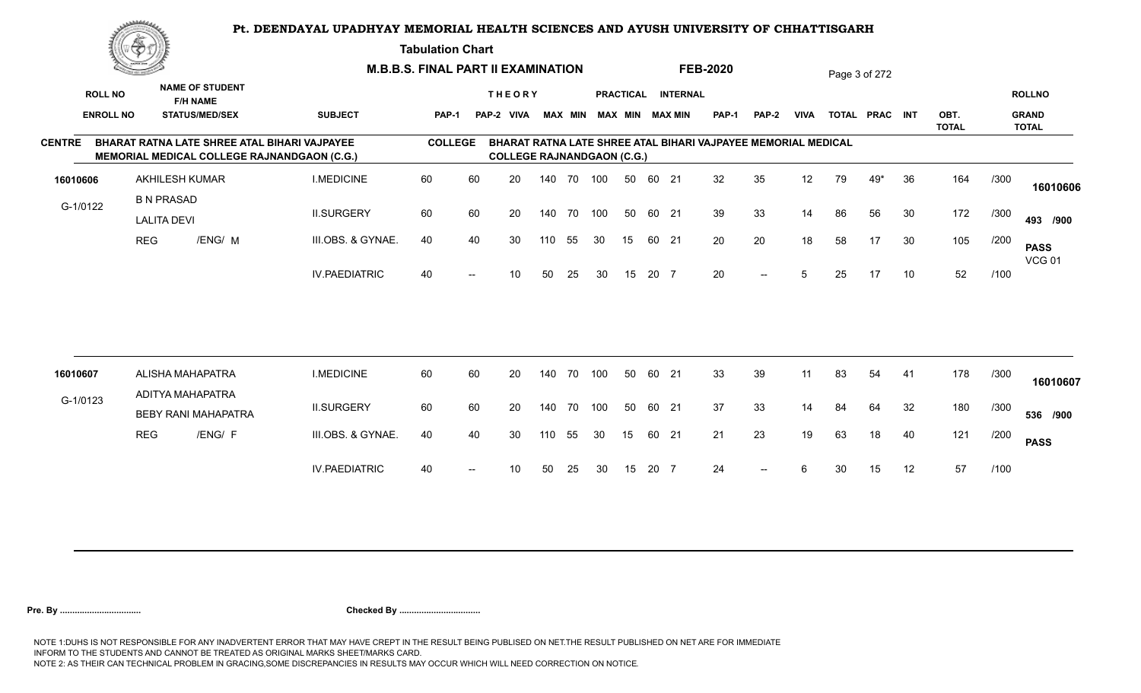**Tabulation Chart** 

|               | <u>Concession of the Sea</u> |                                         |                                           |                                                                                                    | <b>M.B.B.S. FINAL PART II EXAMINATION</b> |                   |                                   |     |                |     |    |       |                        | <b>FEB-2020</b>                                               |              |             |    | Page 3 of 272  |    |                      |      |                              |
|---------------|------------------------------|-----------------------------------------|-------------------------------------------|----------------------------------------------------------------------------------------------------|-------------------------------------------|-------------------|-----------------------------------|-----|----------------|-----|----|-------|------------------------|---------------------------------------------------------------|--------------|-------------|----|----------------|----|----------------------|------|------------------------------|
|               | <b>ROLL NO</b>               |                                         | <b>NAME OF STUDENT</b><br><b>F/H NAME</b> |                                                                                                    |                                           |                   | <b>THEORY</b>                     |     |                |     |    |       | PRACTICAL INTERNAL     |                                                               |              |             |    |                |    |                      |      | <b>ROLLNO</b>                |
|               | <b>ENROLL NO</b>             |                                         | <b>STATUS/MED/SEX</b>                     | <b>SUBJECT</b>                                                                                     | <b>PAP-1</b>                              |                   | PAP-2 VIVA                        |     | <b>MAX MIN</b> |     |    |       | <b>MAX MIN MAX MIN</b> | <b>PAP-1</b>                                                  | <b>PAP-2</b> | <b>VIVA</b> |    | TOTAL PRAC INT |    | OBT.<br><b>TOTAL</b> |      | <b>GRAND</b><br><b>TOTAL</b> |
| <b>CENTRE</b> |                              |                                         |                                           | BHARAT RATNA LATE SHREE ATAL BIHARI VAJPAYEE<br><b>MEMORIAL MEDICAL COLLEGE RAJNANDGAON (C.G.)</b> | <b>COLLEGE</b>                            |                   | <b>COLLEGE RAJNANDGAON (C.G.)</b> |     |                |     |    |       |                        | BHARAT RATNA LATE SHREE ATAL BIHARI VAJPAYEE MEMORIAL MEDICAL |              |             |    |                |    |                      |      |                              |
| 16010606      |                              | <b>AKHILESH KUMAR</b>                   |                                           | <b>I.MEDICINE</b>                                                                                  | 60                                        | 60                | 20                                |     | 140 70         | 100 | 50 | 60 21 |                        | 32                                                            | 35           | 12          | 79 | 49*            | 36 | 164                  | /300 | 16010606                     |
| G-1/0122      |                              | <b>B N PRASAD</b><br><b>LALITA DEVI</b> |                                           | <b>II.SURGERY</b>                                                                                  | 60                                        | 60                | 20                                |     | 140 70         | 100 | 50 | 60 21 |                        | 39                                                            | 33           | 14          | 86 | 56             | 30 | 172                  | /300 | 493 /900                     |
|               |                              | <b>REG</b>                              | /ENG/ M                                   | III.OBS. & GYNAE.                                                                                  | 40                                        | 40                | 30                                | 110 | 55             | 30  | 15 | 60 21 |                        | 20                                                            | 20           | 18          | 58 | 17             | 30 | 105                  | /200 | <b>PASS</b><br><b>VCG 01</b> |
|               |                              |                                         |                                           | <b>IV.PAEDIATRIC</b>                                                                               | 40                                        | $\overline{a}$    | 10                                | 50  | 25             | 30  | 15 | 20 7  |                        | 20                                                            | $--$         | 5           | 25 | 17             | 10 | 52                   | /100 |                              |
|               |                              |                                         |                                           |                                                                                                    |                                           |                   |                                   |     |                |     |    |       |                        |                                                               |              |             |    |                |    |                      |      |                              |
| 16010607      |                              |                                         | ALISHA MAHAPATRA<br>ADITYA MAHAPATRA      | <b>I.MEDICINE</b>                                                                                  | 60                                        | 60                | 20                                |     | 140 70         | 100 | 50 | 60 21 |                        | 33                                                            | 39           | 11          | 83 | 54             | 41 | 178                  | /300 | 16010607                     |
| G-1/0123      |                              |                                         | <b>BEBY RANI MAHAPATRA</b>                | <b>II.SURGERY</b>                                                                                  | 60                                        | 60                | 20                                |     | 140 70         | 100 | 50 | 60 21 |                        | 37                                                            | 33           | 14          | 84 | 64             | 32 | 180                  | /300 | 536 /900                     |
|               |                              | <b>REG</b>                              | /ENG/ F                                   | III.OBS. & GYNAE.                                                                                  | 40                                        | 40                | 30                                | 110 | 55             | 30  | 15 | 60 21 |                        | 21                                                            | 23           | 19          | 63 | 18             | 40 | 121                  | /200 | <b>PASS</b>                  |
|               |                              |                                         |                                           | <b>IV.PAEDIATRIC</b>                                                                               | 40                                        | $\hspace{0.05cm}$ | 10 <sup>°</sup>                   | 50  | 25             | 30  | 15 | 20 7  |                        | 24                                                            | $--$         | 6           | 30 | 15             | 12 | 57                   | /100 |                              |
|               |                              |                                         |                                           |                                                                                                    |                                           |                   |                                   |     |                |     |    |       |                        |                                                               |              |             |    |                |    |                      |      |                              |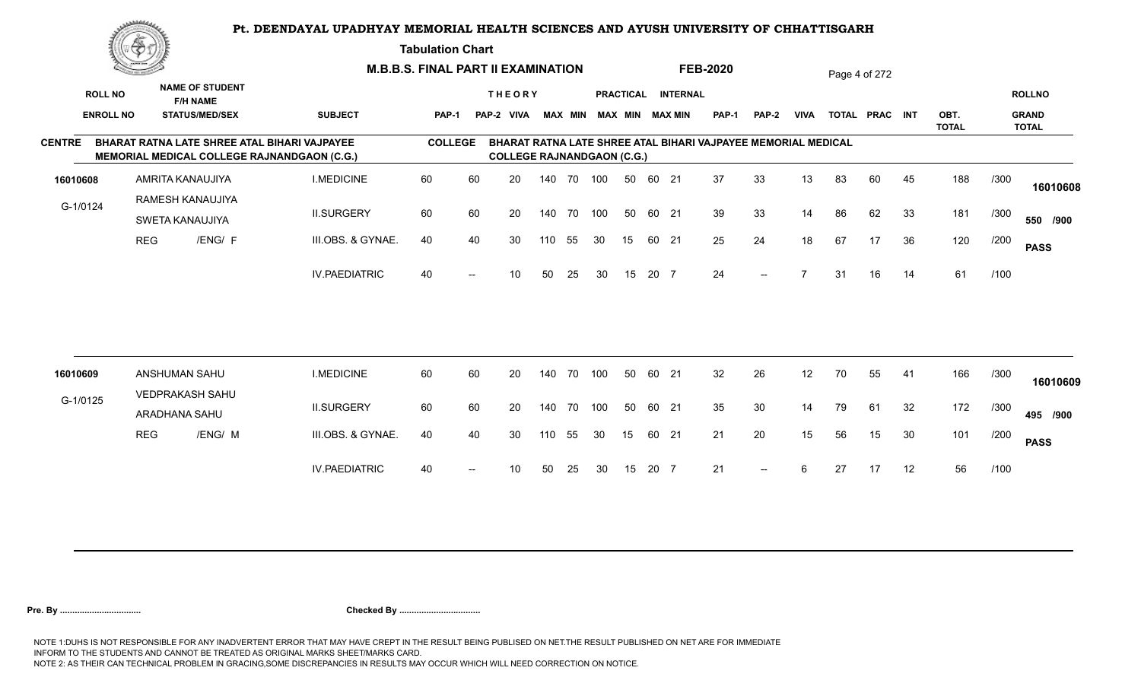**Tabulation Chart** 

|                  | <u>Contraction of the Sea</u> |                                           |                                              |                                                    | <b>M.B.B.S. FINAL PART II EXAMINATION</b> |    |                                   |     |                |     |                  |       |                        | <b>FEB-2020</b>                                               |                          |             |    | Page 4 of 272  |    |                      |      |                              |
|------------------|-------------------------------|-------------------------------------------|----------------------------------------------|----------------------------------------------------|-------------------------------------------|----|-----------------------------------|-----|----------------|-----|------------------|-------|------------------------|---------------------------------------------------------------|--------------------------|-------------|----|----------------|----|----------------------|------|------------------------------|
| <b>ROLL NO</b>   |                               | <b>NAME OF STUDENT</b><br><b>F/H NAME</b> |                                              |                                                    |                                           |    | <b>THEORY</b>                     |     |                |     | <b>PRACTICAL</b> |       | <b>INTERNAL</b>        |                                                               |                          |             |    |                |    |                      |      | <b>ROLLNO</b>                |
| <b>ENROLL NO</b> |                               | <b>STATUS/MED/SEX</b>                     |                                              | <b>SUBJECT</b>                                     | <b>PAP-1</b>                              |    | PAP-2 VIVA                        |     | <b>MAX MIN</b> |     |                  |       | <b>MAX MIN MAX MIN</b> | <b>PAP-1</b>                                                  | <b>PAP-2</b>             | <b>VIVA</b> |    | TOTAL PRAC INT |    | OBT.<br><b>TOTAL</b> |      | <b>GRAND</b><br><b>TOTAL</b> |
| <b>CENTRE</b>    |                               |                                           | BHARAT RATNA LATE SHREE ATAL BIHARI VAJPAYEE | <b>MEMORIAL MEDICAL COLLEGE RAJNANDGAON (C.G.)</b> | <b>COLLEGE</b>                            |    | <b>COLLEGE RAJNANDGAON (C.G.)</b> |     |                |     |                  |       |                        | BHARAT RATNA LATE SHREE ATAL BIHARI VAJPAYEE MEMORIAL MEDICAL |                          |             |    |                |    |                      |      |                              |
| 16010608         |                               | AMRITA KANAUJIYA                          |                                              | <b>I.MEDICINE</b>                                  | 60                                        | 60 | 20                                |     | 140 70 100     |     | 50               | 60 21 |                        | 37                                                            | 33                       | 13          | 83 | 60             | 45 | 188                  | /300 | 16010608                     |
| G-1/0124         |                               | RAMESH KANAUJIYA<br>SWETA KANAUJIYA       |                                              | <b>II.SURGERY</b>                                  | 60                                        | 60 | 20                                |     | 140 70         | 100 | 50               | 60 21 |                        | 39                                                            | 33                       | 14          | 86 | 62             | 33 | 181                  | /300 | 550 /900                     |
|                  | <b>REG</b>                    | /ENG/ F                                   |                                              | III.OBS. & GYNAE.                                  | 40                                        | 40 | 30                                | 110 | 55             | 30  | 15               | 60 21 |                        | 25                                                            | 24                       | 18          | 67 | 17             | 36 | 120                  | /200 | <b>PASS</b>                  |
|                  |                               |                                           |                                              | <b>IV.PAEDIATRIC</b>                               | 40                                        |    | 10                                | 50  | 25             | 30  | 15               | 20 7  |                        | 24                                                            | $\overline{\phantom{a}}$ |             | 31 | 16             | 14 | 61                   | /100 |                              |
|                  |                               |                                           |                                              |                                                    |                                           |    |                                   |     |                |     |                  |       |                        |                                                               |                          |             |    |                |    |                      |      |                              |
| 16010609         |                               | ANSHUMAN SAHU                             |                                              | <b>I.MEDICINE</b>                                  | 60                                        | 60 | 20                                |     | 140 70         | 100 | 50               | 60 21 |                        | 32                                                            | 26                       | 12          | 70 | 55             | 41 | 166                  | /300 | 16010609                     |
| G-1/0125         |                               | VEDPRAKASH SAHU<br>ARADHANA SAHU          |                                              | <b>II.SURGERY</b>                                  | 60                                        | 60 | 20                                |     | 140 70         | 100 | 50               | 60 21 |                        | 35                                                            | 30                       | 14          | 79 | 61             | 32 | 172                  | /300 | 495 /900                     |
|                  | <b>REG</b>                    | /ENG/ M                                   |                                              | III.OBS. & GYNAE.                                  | 40                                        | 40 | 30                                | 110 | 55             | 30  | 15               | 60 21 |                        | 21                                                            | 20                       | 15          | 56 | 15             | 30 | 101                  | /200 | <b>PASS</b>                  |
|                  |                               |                                           |                                              | <b>IV.PAEDIATRIC</b>                               | 40                                        |    | 10                                | 50  | 25             | 30  | 15               | 20 7  |                        | 21                                                            | $--$                     | 6           | 27 | 17             | 12 | 56                   | /100 |                              |
|                  |                               |                                           |                                              |                                                    |                                           |    |                                   |     |                |     |                  |       |                        |                                                               |                          |             |    |                |    |                      |      |                              |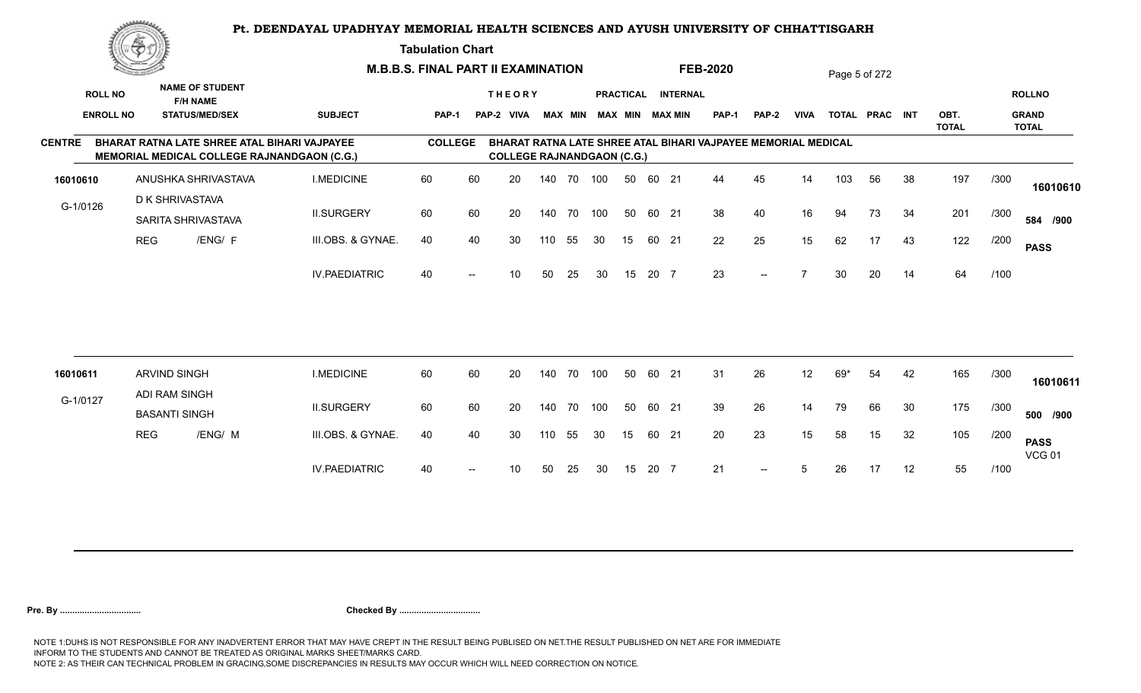**Tabulation Chart** 

|                  | <u>tan yang me</u> |                                                                                             |                      | <b>M.B.B.S. FINAL PART II EXAMINATION</b> |                          |                                   |     |    |                         |                  |       |                 | <b>FEB-2020</b>                                               |                          |             |     | Page 5 of 272  |    |                      |      |                              |
|------------------|--------------------|---------------------------------------------------------------------------------------------|----------------------|-------------------------------------------|--------------------------|-----------------------------------|-----|----|-------------------------|------------------|-------|-----------------|---------------------------------------------------------------|--------------------------|-------------|-----|----------------|----|----------------------|------|------------------------------|
| <b>ROLL NO</b>   |                    | <b>NAME OF STUDENT</b><br><b>F/H NAME</b>                                                   |                      |                                           |                          | <b>THEORY</b>                     |     |    |                         | <b>PRACTICAL</b> |       | <b>INTERNAL</b> |                                                               |                          |             |     |                |    |                      |      | <b>ROLLNO</b>                |
| <b>ENROLL NO</b> |                    | <b>STATUS/MED/SEX</b>                                                                       | <b>SUBJECT</b>       | <b>PAP-1</b>                              |                          | PAP-2 VIVA                        |     |    | MAX MIN MAX MIN MAX MIN |                  |       |                 | <b>PAP-1</b>                                                  | <b>PAP-2</b>             | <b>VIVA</b> |     | TOTAL PRAC INT |    | OBT.<br><b>TOTAL</b> |      | <b>GRAND</b><br><b>TOTAL</b> |
| <b>CENTRE</b>    |                    | BHARAT RATNA LATE SHREE ATAL BIHARI VAJPAYEE<br>MEMORIAL MEDICAL COLLEGE RAJNANDGAON (C.G.) |                      | <b>COLLEGE</b>                            |                          | <b>COLLEGE RAJNANDGAON (C.G.)</b> |     |    |                         |                  |       |                 | BHARAT RATNA LATE SHREE ATAL BIHARI VAJPAYEE MEMORIAL MEDICAL |                          |             |     |                |    |                      |      |                              |
| 16010610         |                    | ANUSHKA SHRIVASTAVA                                                                         | <b>I.MEDICINE</b>    | 60                                        | 60                       | 20                                | 140 | 70 | 100                     | 50               | 60    | 21              | 44                                                            | 45                       | 14          | 103 | 56             | 38 | 197                  | /300 | 16010610                     |
| G-1/0126         |                    | D K SHRIVASTAVA<br>SARITA SHRIVASTAVA                                                       | <b>II.SURGERY</b>    | 60                                        | 60                       | 20                                | 140 | 70 | 100                     | 50               | 60 21 |                 | 38                                                            | 40                       | 16          | 94  | 73             | 34 | 201                  | /300 | 584 /900                     |
|                  | <b>REG</b>         | /ENG/ F                                                                                     | III.OBS. & GYNAE.    | 40                                        | 40                       | 30                                | 110 | 55 | 30                      | 15               | 60 21 |                 | 22                                                            | 25                       | 15          | 62  | 17             | 43 | 122                  | /200 | <b>PASS</b>                  |
|                  |                    |                                                                                             | <b>IV.PAEDIATRIC</b> | 40                                        | $\overline{\phantom{a}}$ | 10                                | 50  | 25 | 30                      | 15               | 20 7  |                 | 23                                                            | $\overline{\phantom{a}}$ |             | 30  | 20             | 14 | 64                   | /100 |                              |
|                  |                    |                                                                                             |                      |                                           |                          |                                   |     |    |                         |                  |       |                 |                                                               |                          |             |     |                |    |                      |      |                              |
| 16010611         |                    | ARVIND SINGH                                                                                | <b>I.MEDICINE</b>    | 60                                        | 60                       | 20                                | 140 | 70 | 100                     | 50               | 60 21 |                 | 31                                                            | 26                       | 12          | 69* | 54             | 42 | 165                  | /300 | 16010611                     |
| G-1/0127         |                    | ADI RAM SINGH<br><b>BASANTI SINGH</b>                                                       | <b>II.SURGERY</b>    | 60                                        | 60                       | 20                                | 140 | 70 | 100                     | 50               | 60 21 |                 | 39                                                            | 26                       | 14          | 79  | 66             | 30 | 175                  | /300 | 500 /900                     |
|                  | <b>REG</b>         | /ENG/ M                                                                                     | III.OBS. & GYNAE.    | 40                                        | 40                       | 30                                | 110 | 55 | 30                      | 15               | 60 21 |                 | 20                                                            | 23                       | 15          | 58  | 15             | 32 | 105                  | /200 | <b>PASS</b><br><b>VCG 01</b> |
|                  |                    |                                                                                             | <b>IV.PAEDIATRIC</b> | 40                                        |                          | 10                                | 50  | 25 | 30                      | 15               | 20 7  |                 | 21                                                            |                          | 5           | 26  | 17             | 12 | 55                   | /100 |                              |
|                  |                    |                                                                                             |                      |                                           |                          |                                   |     |    |                         |                  |       |                 |                                                               |                          |             |     |                |    |                      |      |                              |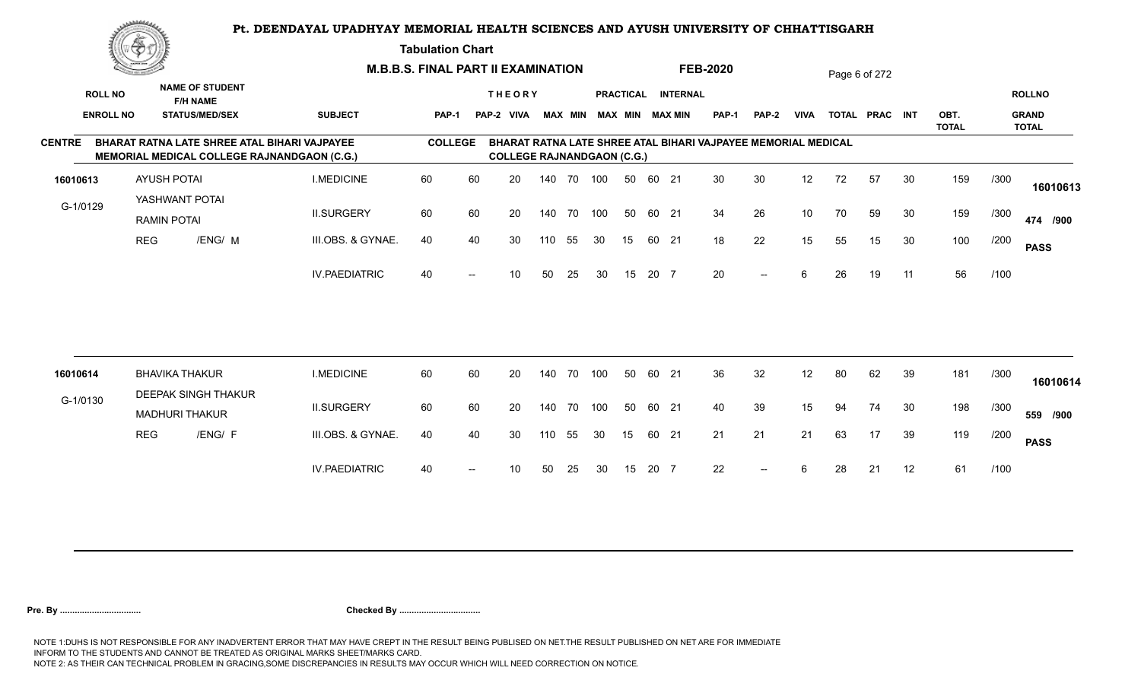**Tabulation Chart** 

|                  | <u>Congress</u> |                                                                                                    |                      | <b>M.B.B.S. FINAL PART II EXAMINATION</b> |                   |                                   |     |                |     |                  |       |                        | <b>FEB-2020</b>                                               |              |             |    | Page 6 of 272  |    |                      |      |                              |
|------------------|-----------------|----------------------------------------------------------------------------------------------------|----------------------|-------------------------------------------|-------------------|-----------------------------------|-----|----------------|-----|------------------|-------|------------------------|---------------------------------------------------------------|--------------|-------------|----|----------------|----|----------------------|------|------------------------------|
| <b>ROLL NO</b>   |                 | <b>NAME OF STUDENT</b><br><b>F/H NAME</b>                                                          |                      |                                           |                   | <b>THEORY</b>                     |     |                |     | <b>PRACTICAL</b> |       | <b>INTERNAL</b>        |                                                               |              |             |    |                |    |                      |      | <b>ROLLNO</b>                |
| <b>ENROLL NO</b> |                 | <b>STATUS/MED/SEX</b>                                                                              | <b>SUBJECT</b>       | PAP-1                                     |                   | PAP-2 VIVA                        |     | <b>MAX MIN</b> |     |                  |       | <b>MAX MIN MAX MIN</b> | <b>PAP-1</b>                                                  | <b>PAP-2</b> | <b>VIVA</b> |    | TOTAL PRAC INT |    | OBT.<br><b>TOTAL</b> |      | <b>GRAND</b><br><b>TOTAL</b> |
| <b>CENTRE</b>    |                 | BHARAT RATNA LATE SHREE ATAL BIHARI VAJPAYEE<br><b>MEMORIAL MEDICAL COLLEGE RAJNANDGAON (C.G.)</b> |                      | <b>COLLEGE</b>                            |                   | <b>COLLEGE RAJNANDGAON (C.G.)</b> |     |                |     |                  |       |                        | BHARAT RATNA LATE SHREE ATAL BIHARI VAJPAYEE MEMORIAL MEDICAL |              |             |    |                |    |                      |      |                              |
| 16010613         |                 | <b>AYUSH POTAI</b>                                                                                 | <b>I.MEDICINE</b>    | 60                                        | 60                | 20                                |     | 140 70 100     |     | 50               | 60 21 |                        | 30                                                            | 30           | 12          | 72 | 57             | 30 | 159                  | /300 | 16010613                     |
| G-1/0129         |                 | YASHWANT POTAI<br><b>RAMIN POTAI</b>                                                               | <b>II.SURGERY</b>    | 60                                        | 60                | 20                                | 140 | 70             | 100 | 50               | 60 21 |                        | 34                                                            | 26           | 10          | 70 | 59             | 30 | 159                  | /300 | 474 /900                     |
|                  | <b>REG</b>      | /ENG/ M                                                                                            | III.OBS. & GYNAE.    | 40                                        | 40                | 30                                | 110 | 55             | 30  | 15               | 60 21 |                        | 18                                                            | 22           | 15          | 55 | 15             | 30 | 100                  | /200 | <b>PASS</b>                  |
|                  |                 |                                                                                                    | <b>IV.PAEDIATRIC</b> | 40                                        | $\hspace{0.05cm}$ | 10                                | 50  | 25             | 30  | 15               | 20 7  |                        | 20                                                            | $--$         | 6           | 26 | 19             | 11 | 56                   | /100 |                              |
|                  |                 |                                                                                                    |                      |                                           |                   |                                   |     |                |     |                  |       |                        |                                                               |              |             |    |                |    |                      |      |                              |
| 16010614         |                 | <b>BHAVIKA THAKUR</b>                                                                              | <b>I.MEDICINE</b>    | 60                                        | 60                | 20                                |     | 140 70         | 100 | 50               | 60 21 |                        | 36                                                            | 32           | 12          | 80 | 62             | 39 | 181                  | /300 | 16010614                     |
| G-1/0130         |                 | <b>DEEPAK SINGH THAKUR</b><br><b>MADHURI THAKUR</b>                                                | <b>II.SURGERY</b>    | 60                                        | 60                | 20                                |     | 140 70         | 100 | 50               | 60 21 |                        | 40                                                            | 39           | 15          | 94 | 74             | 30 | 198                  | /300 | 559 /900                     |
|                  | <b>REG</b>      | /ENG/ F                                                                                            | III.OBS. & GYNAE.    | 40                                        | 40                | 30                                | 110 | 55             | 30  | 15               | 60 21 |                        | 21                                                            | 21           | 21          | 63 | 17             | 39 | 119                  | /200 | <b>PASS</b>                  |
|                  |                 |                                                                                                    | <b>IV.PAEDIATRIC</b> | 40                                        | $\overline{a}$    | 10                                | 50  | 25             | 30  | 15               | 20 7  |                        | 22                                                            | $--$         | 6           | 28 | 21             | 12 | 61                   | /100 |                              |
|                  |                 |                                                                                                    |                      |                                           |                   |                                   |     |                |     |                  |       |                        |                                                               |              |             |    |                |    |                      |      |                              |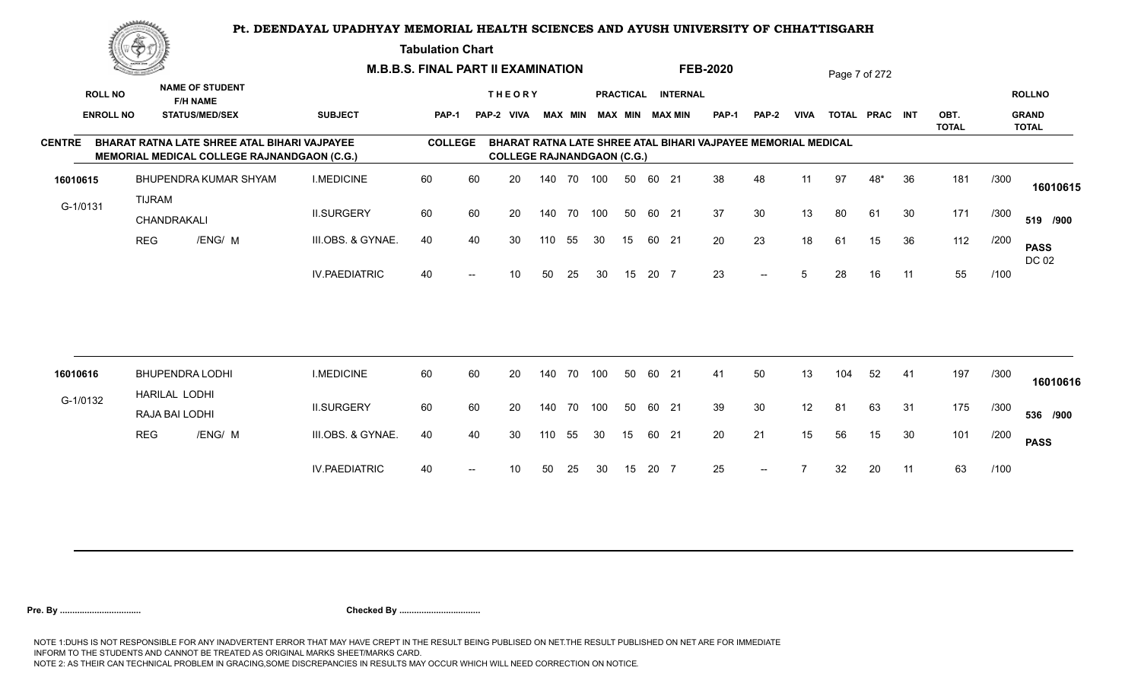**Tabulation Chart** 

|                  | <u>transporta</u> |                                                                                             |                      | <b>M.B.B.S. FINAL PART II EXAMINATION</b> |                   |                                   |     |    |                         |                  |       |                 | <b>FEB-2020</b>                                               |              |             |     | Page 7 of 272  |    |                      |      |                              |
|------------------|-------------------|---------------------------------------------------------------------------------------------|----------------------|-------------------------------------------|-------------------|-----------------------------------|-----|----|-------------------------|------------------|-------|-----------------|---------------------------------------------------------------|--------------|-------------|-----|----------------|----|----------------------|------|------------------------------|
| <b>ROLL NO</b>   |                   | <b>NAME OF STUDENT</b><br><b>F/H NAME</b>                                                   |                      |                                           |                   | <b>THEORY</b>                     |     |    |                         | <b>PRACTICAL</b> |       | <b>INTERNAL</b> |                                                               |              |             |     |                |    |                      |      | <b>ROLLNO</b>                |
| <b>ENROLL NO</b> |                   | <b>STATUS/MED/SEX</b>                                                                       | <b>SUBJECT</b>       | PAP-1                                     |                   | PAP-2 VIVA                        |     |    | MAX MIN MAX MIN MAX MIN |                  |       |                 | <b>PAP-1</b>                                                  | <b>PAP-2</b> | <b>VIVA</b> |     | TOTAL PRAC INT |    | OBT.<br><b>TOTAL</b> |      | <b>GRAND</b><br><b>TOTAL</b> |
| <b>CENTRE</b>    |                   | BHARAT RATNA LATE SHREE ATAL BIHARI VAJPAYEE<br>MEMORIAL MEDICAL COLLEGE RAJNANDGAON (C.G.) |                      | <b>COLLEGE</b>                            |                   | <b>COLLEGE RAJNANDGAON (C.G.)</b> |     |    |                         |                  |       |                 | BHARAT RATNA LATE SHREE ATAL BIHARI VAJPAYEE MEMORIAL MEDICAL |              |             |     |                |    |                      |      |                              |
| 16010615         |                   | BHUPENDRA KUMAR SHYAM                                                                       | <b>I.MEDICINE</b>    | 60                                        | 60                | 20                                | 140 | 70 | 100                     | 50               | 60 21 |                 | 38                                                            | 48           | 11          | 97  | 48*            | 36 | 181                  | /300 | 16010615                     |
| G-1/0131         | <b>TIJRAM</b>     | CHANDRAKALI                                                                                 | <b>II.SURGERY</b>    | 60                                        | 60                | 20                                | 140 | 70 | 100                     | 50               | 60 21 |                 | 37                                                            | 30           | 13          | 80  | 61             | 30 | 171                  | /300 | 519 /900                     |
|                  | <b>REG</b>        | /ENG/ M                                                                                     | III.OBS. & GYNAE.    | 40                                        | 40                | 30                                | 110 | 55 | 30                      | 15               | 60 21 |                 | 20                                                            | 23           | 18          | 61  | 15             | 36 | 112                  | /200 | <b>PASS</b><br>DC 02         |
|                  |                   |                                                                                             | <b>IV.PAEDIATRIC</b> | 40                                        | $\hspace{0.05cm}$ | 10 <sup>°</sup>                   | 50  | 25 | 30                      | 15               | 20 7  |                 | 23                                                            | $--$         | 5           | 28  | 16             | 11 | 55                   | /100 |                              |
|                  |                   |                                                                                             |                      |                                           |                   |                                   |     |    |                         |                  |       |                 |                                                               |              |             |     |                |    |                      |      |                              |
| 16010616         |                   | <b>BHUPENDRA LODHI</b><br>HARILAL LODHI                                                     | <b>I.MEDICINE</b>    | 60                                        | 60                | 20                                | 140 | 70 | 100                     | 50               | 60    | 21              | 41                                                            | 50           | 13          | 104 | 52             | 41 | 197                  | /300 | 16010616                     |
| G-1/0132         |                   | RAJA BAI LODHI                                                                              | <b>II.SURGERY</b>    | 60                                        | 60                | 20                                | 140 | 70 | 100                     | 50               | 60 21 |                 | 39                                                            | 30           | 12          | 81  | 63             | 31 | 175                  | /300 | 536 /900                     |
|                  | <b>REG</b>        | /ENG/ M                                                                                     | III.OBS. & GYNAE.    | 40                                        | 40                | 30                                | 110 | 55 | 30                      | 15               | 60 21 |                 | 20                                                            | 21           | 15          | 56  | 15             | 30 | 101                  | /200 | <b>PASS</b>                  |
|                  |                   |                                                                                             | <b>IV.PAEDIATRIC</b> | 40                                        |                   | 10                                | 50  | 25 | 30                      | 15               | 20 7  |                 | 25                                                            |              |             | 32  | 20             | 11 | 63                   | /100 |                              |
|                  |                   |                                                                                             |                      |                                           |                   |                                   |     |    |                         |                  |       |                 |                                                               |              |             |     |                |    |                      |      |                              |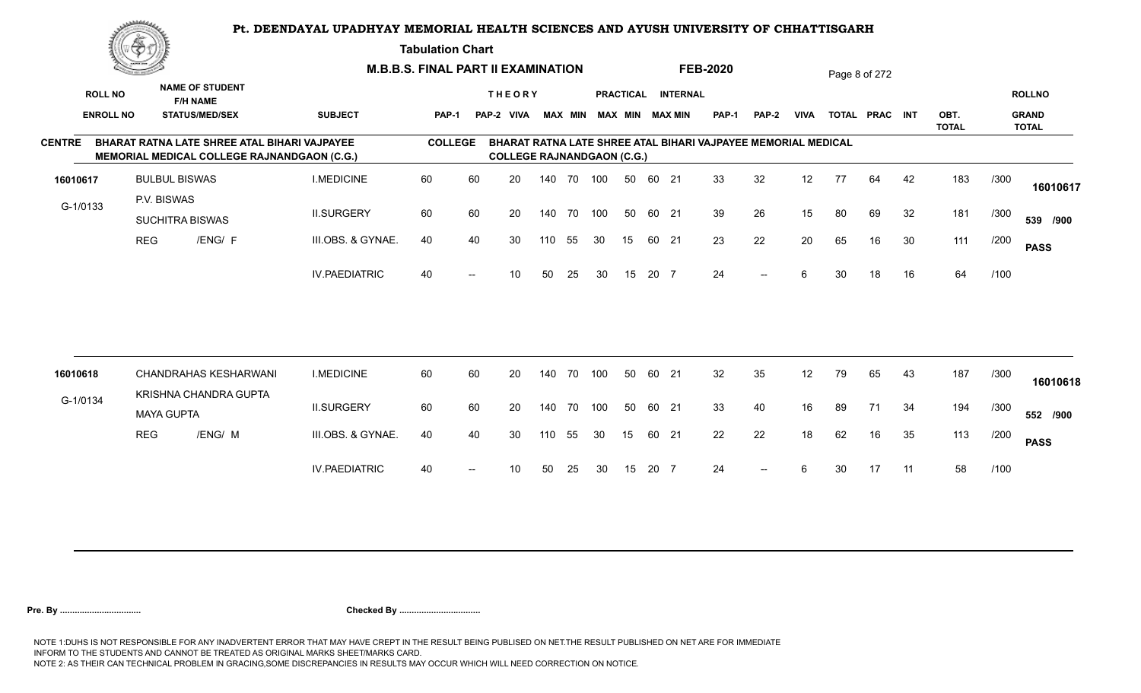**Tabulation Chart** 

|               | <b>Consumer Security of the American</b> |                                       |                                                                                                    |                      | <b>M.B.B.S. FINAL PART II EXAMINATION</b> |                   |                                   |     |                |     |    |       |                                              | <b>FEB-2020</b>                                               |       |             |    | Page 8 of 272  |    |                      |      |                                               |
|---------------|------------------------------------------|---------------------------------------|----------------------------------------------------------------------------------------------------|----------------------|-------------------------------------------|-------------------|-----------------------------------|-----|----------------|-----|----|-------|----------------------------------------------|---------------------------------------------------------------|-------|-------------|----|----------------|----|----------------------|------|-----------------------------------------------|
|               | <b>ROLL NO</b><br><b>ENROLL NO</b>       |                                       | <b>NAME OF STUDENT</b><br><b>F/H NAME</b><br><b>STATUS/MED/SEX</b>                                 | <b>SUBJECT</b>       | PAP-1                                     |                   | <b>THEORY</b><br>PAP-2 VIVA       |     | <b>MAX MIN</b> |     |    |       | PRACTICAL INTERNAL<br><b>MAX MIN MAX MIN</b> | <b>PAP-1</b>                                                  | PAP-2 | <b>VIVA</b> |    | TOTAL PRAC INT |    | OBT.<br><b>TOTAL</b> |      | <b>ROLLNO</b><br><b>GRAND</b><br><b>TOTAL</b> |
| <b>CENTRE</b> |                                          |                                       | BHARAT RATNA LATE SHREE ATAL BIHARI VAJPAYEE<br><b>MEMORIAL MEDICAL COLLEGE RAJNANDGAON (C.G.)</b> |                      | <b>COLLEGE</b>                            |                   | <b>COLLEGE RAJNANDGAON (C.G.)</b> |     |                |     |    |       |                                              | BHARAT RATNA LATE SHREE ATAL BIHARI VAJPAYEE MEMORIAL MEDICAL |       |             |    |                |    |                      |      |                                               |
| 16010617      |                                          | <b>BULBUL BISWAS</b>                  |                                                                                                    | <b>I.MEDICINE</b>    | 60                                        | 60                | 20                                |     | 140 70 100     |     | 50 | 60 21 |                                              | 33                                                            | 32    | 12          | 77 | 64             | 42 | 183                  | /300 | 16010617                                      |
| G-1/0133      |                                          | P.V. BISWAS<br><b>SUCHITRA BISWAS</b> |                                                                                                    | <b>II.SURGERY</b>    | 60                                        | 60                | 20                                |     | 140 70         | 100 | 50 | 60 21 |                                              | 39                                                            | 26    | 15          | 80 | 69             | 32 | 181                  | /300 | 539 /900                                      |
|               |                                          | <b>REG</b>                            | /ENG/ F                                                                                            | III.OBS. & GYNAE.    | 40                                        | 40                | 30                                | 110 | 55             | 30  | 15 | 60 21 |                                              | 23                                                            | 22    | 20          | 65 | 16             | 30 | 111                  | /200 | <b>PASS</b>                                   |
|               |                                          |                                       |                                                                                                    | <b>IV.PAEDIATRIC</b> | 40                                        | $\hspace{0.05cm}$ | 10                                | 50  | 25             | 30  | 15 | 20 7  |                                              | 24                                                            | $- -$ | 6           | 30 | 18             | 16 | 64                   | /100 |                                               |
|               |                                          |                                       |                                                                                                    |                      |                                           |                   |                                   |     |                |     |    |       |                                              |                                                               |       |             |    |                |    |                      |      |                                               |
| 16010618      |                                          |                                       | <b>CHANDRAHAS KESHARWANI</b><br>KRISHNA CHANDRA GUPTA                                              | <b>I.MEDICINE</b>    | 60                                        | 60                | 20                                |     | 140 70         | 100 | 50 | 60 21 |                                              | 32                                                            | 35    | 12          | 79 | 65             | 43 | 187                  | /300 | 16010618                                      |
| G-1/0134      |                                          | <b>MAYA GUPTA</b>                     |                                                                                                    | <b>II.SURGERY</b>    | 60                                        | 60                | 20                                |     | 140 70         | 100 | 50 | 60 21 |                                              | 33                                                            | 40    | 16          | 89 | 71             | 34 | 194                  | /300 | 552 /900                                      |
|               |                                          | <b>REG</b>                            | /ENG/ M                                                                                            | III.OBS. & GYNAE.    | 40                                        | 40                | 30                                | 110 | 55             | 30  | 15 | 60 21 |                                              | 22                                                            | 22    | 18          | 62 | 16             | 35 | 113                  | /200 | <b>PASS</b>                                   |
|               |                                          |                                       |                                                                                                    | <b>IV.PAEDIATRIC</b> | 40                                        | $\hspace{0.05cm}$ | 10                                | 50  | 25             | 30  | 15 | 20 7  |                                              | 24                                                            | $--$  | 6           | 30 | 17             | 11 | 58                   | /100 |                                               |
|               |                                          |                                       |                                                                                                    |                      |                                           |                   |                                   |     |                |     |    |       |                                              |                                                               |       |             |    |                |    |                      |      |                                               |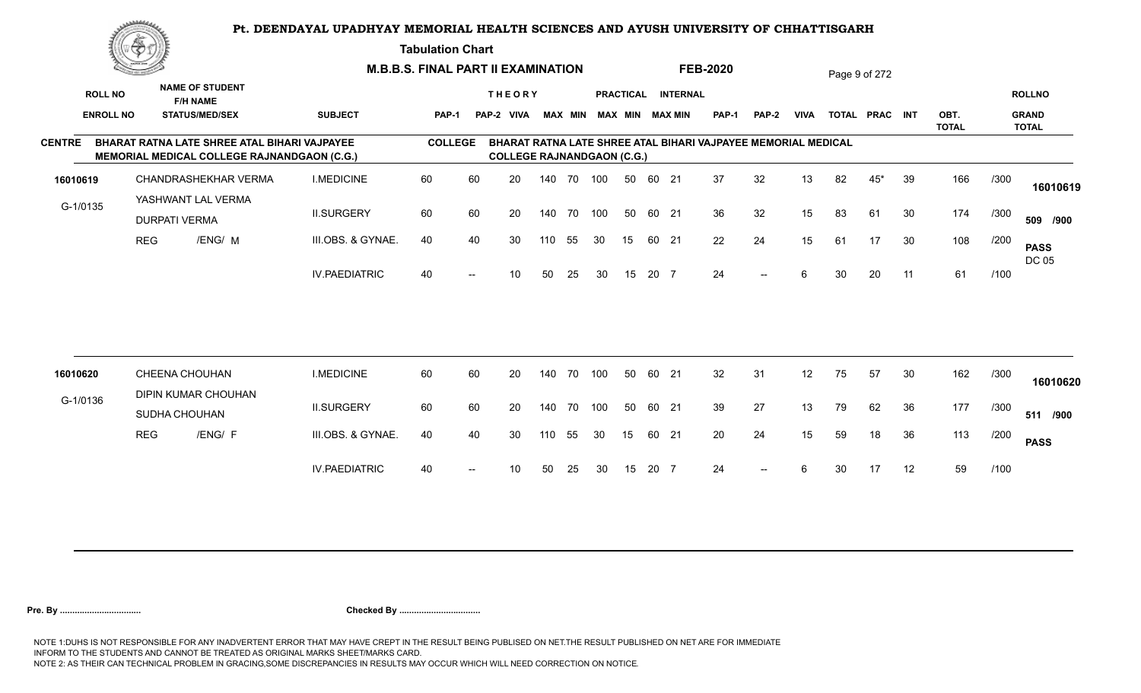**Tabulation Chart** 

|                  | <u>Contraction of the Sea</u><br><b>NAME OF STUDENT</b> |                                                                                             |                      | <b>M.B.B.S. FINAL PART II EXAMINATION</b> |                   |                                    |            |    |            |                  |      |                 | <b>FEB-2020</b>                                               |                          |             |    | Page 9 of 272  |    |                      |      |                              |
|------------------|---------------------------------------------------------|---------------------------------------------------------------------------------------------|----------------------|-------------------------------------------|-------------------|------------------------------------|------------|----|------------|------------------|------|-----------------|---------------------------------------------------------------|--------------------------|-------------|----|----------------|----|----------------------|------|------------------------------|
| <b>ROLL NO</b>   |                                                         | <b>F/H NAME</b>                                                                             |                      |                                           |                   | <b>THEORY</b>                      |            |    |            | <b>PRACTICAL</b> |      | <b>INTERNAL</b> |                                                               |                          |             |    |                |    |                      |      | <b>ROLLNO</b>                |
| <b>ENROLL NO</b> |                                                         | <b>STATUS/MED/SEX</b>                                                                       | <b>SUBJECT</b>       | PAP-1                                     |                   | PAP-2 VIVA MAX MIN MAX MIN MAX MIN |            |    |            |                  |      |                 | PAP-1                                                         | PAP-2                    | <b>VIVA</b> |    | TOTAL PRAC INT |    | OBT.<br><b>TOTAL</b> |      | <b>GRAND</b><br><b>TOTAL</b> |
| <b>CENTRE</b>    |                                                         | BHARAT RATNA LATE SHREE ATAL BIHARI VAJPAYEE<br>MEMORIAL MEDICAL COLLEGE RAJNANDGAON (C.G.) |                      | <b>COLLEGE</b>                            |                   | <b>COLLEGE RAJNANDGAON (C.G.)</b>  |            |    |            |                  |      |                 | BHARAT RATNA LATE SHREE ATAL BIHARI VAJPAYEE MEMORIAL MEDICAL |                          |             |    |                |    |                      |      |                              |
| 16010619         |                                                         | CHANDRASHEKHAR VERMA                                                                        | <b>I.MEDICINE</b>    | 60                                        | 60                | 20                                 |            |    | 140 70 100 | 50               |      | 60 21           | 37                                                            | 32                       | 13          | 82 | $45*$          | 39 | 166                  | /300 | 16010619                     |
| G-1/0135         |                                                         | YASHWANT LAL VERMA<br><b>DURPATI VERMA</b>                                                  | <b>II.SURGERY</b>    | 60                                        | 60                | 20                                 | 140 70 100 |    |            | 50               |      | 60 21           | 36                                                            | 32                       | 15          | 83 | 61             | 30 | 174                  | /300 | 509 /900                     |
|                  | <b>REG</b>                                              | /ENG/ M                                                                                     | III.OBS. & GYNAE.    | 40                                        | 40                | 30                                 | 110        | 55 | 30         | 15               |      | 60 21           | 22                                                            | 24                       | 15          | 61 | 17             | 30 | 108                  | /200 | <b>PASS</b><br>DC 05         |
|                  |                                                         |                                                                                             | <b>IV.PAEDIATRIC</b> | 40                                        | $\hspace{0.05cm}$ | 10                                 | 50         | 25 | 30         | 15               | 20 7 |                 | 24                                                            | $\overline{\phantom{a}}$ | 6           | 30 | 20             | 11 | 61                   | /100 |                              |
|                  |                                                         |                                                                                             |                      |                                           |                   |                                    |            |    |            |                  |      |                 |                                                               |                          |             |    |                |    |                      |      |                              |
| 16010620         |                                                         | CHEENA CHOUHAN                                                                              | <b>I.MEDICINE</b>    | 60                                        | 60                | 20                                 | 140 70     |    | 100        | 50               |      | 60 21           | 32                                                            | 31                       | 12          | 75 | 57             | 30 | 162                  | /300 |                              |
| G-1/0136         |                                                         | DIPIN KUMAR CHOUHAN<br>SUDHA CHOUHAN                                                        | <b>II.SURGERY</b>    | 60                                        | 60                | 20                                 | 140 70     |    | 100        | 50               |      | 60 21           | 39                                                            | 27                       | 13          | 79 | 62             | 36 | 177                  | /300 | 16010620<br>511 /900         |
|                  | <b>REG</b>                                              | /ENG/ F                                                                                     | III.OBS. & GYNAE.    | 40                                        | 40                | 30                                 | 110        | 55 | 30         | 15               |      | 60 21           | 20                                                            | 24                       | 15          | 59 | 18             | 36 | 113                  | /200 | <b>PASS</b>                  |
|                  |                                                         |                                                                                             | <b>IV.PAEDIATRIC</b> | 40                                        | $--$              | 10                                 | 50         | 25 | 30         | 15               | 20 7 |                 | 24                                                            | $--$                     | 6           | 30 | 17             | 12 | 59                   | /100 |                              |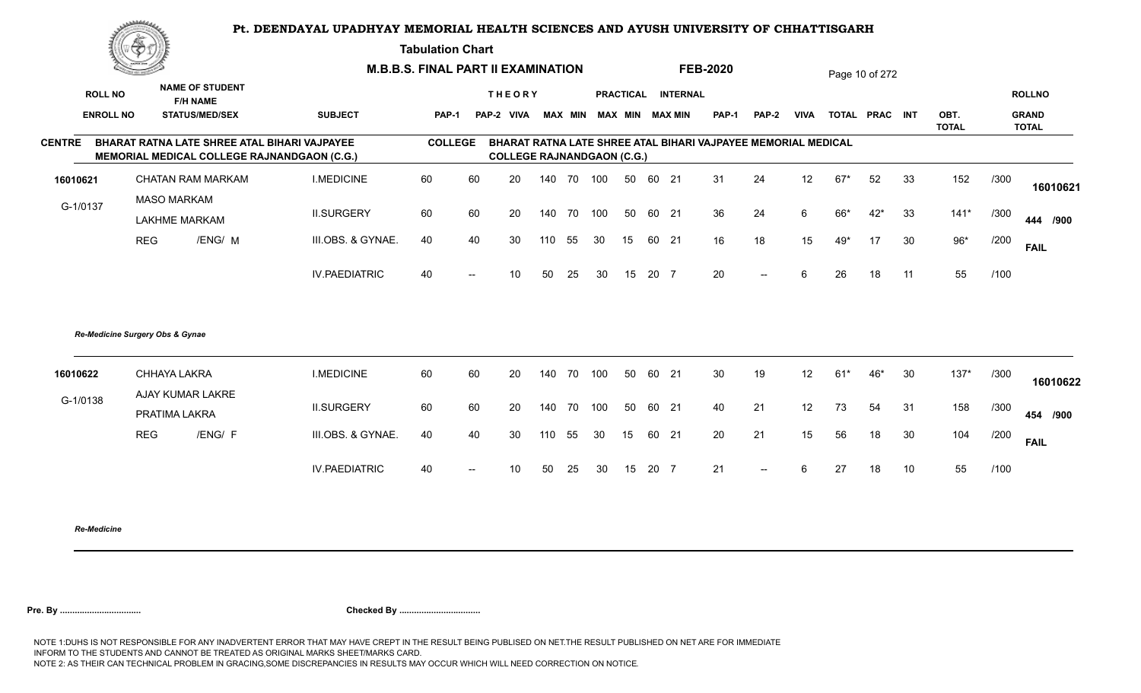**Tabulation Chart** 

|                | <b>Consumer Security of the American</b> |                                                                    |                                                                                                    | <b>M.B.B.S. FINAL PART II EXAMINATION</b> |                |                                   |        |                |     |    |       |                                       | <b>FEB-2020</b> |                                                               |             |       | Page 10 of 272 |    |                      |      |                                               |
|----------------|------------------------------------------|--------------------------------------------------------------------|----------------------------------------------------------------------------------------------------|-------------------------------------------|----------------|-----------------------------------|--------|----------------|-----|----|-------|---------------------------------------|-----------------|---------------------------------------------------------------|-------------|-------|----------------|----|----------------------|------|-----------------------------------------------|
| <b>ROLL NO</b> | <b>ENROLL NO</b>                         | <b>NAME OF STUDENT</b><br><b>F/H NAME</b><br><b>STATUS/MED/SEX</b> | <b>SUBJECT</b>                                                                                     | PAP-1                                     |                | <b>THEORY</b><br>PAP-2 VIVA       |        | <b>MAX MIN</b> |     |    |       | PRACTICAL INTERNAL<br>MAX MIN MAX MIN | <b>PAP-1</b>    | <b>PAP-2</b>                                                  | <b>VIVA</b> |       | TOTAL PRAC INT |    | OBT.<br><b>TOTAL</b> |      | <b>ROLLNO</b><br><b>GRAND</b><br><b>TOTAL</b> |
| <b>CENTRE</b>  |                                          |                                                                    | BHARAT RATNA LATE SHREE ATAL BIHARI VAJPAYEE<br><b>MEMORIAL MEDICAL COLLEGE RAJNANDGAON (C.G.)</b> | <b>COLLEGE</b>                            |                | <b>COLLEGE RAJNANDGAON (C.G.)</b> |        |                |     |    |       |                                       |                 | BHARAT RATNA LATE SHREE ATAL BIHARI VAJPAYEE MEMORIAL MEDICAL |             |       |                |    |                      |      |                                               |
| 16010621       |                                          | <b>CHATAN RAM MARKAM</b>                                           | <b>I.MEDICINE</b>                                                                                  | 60                                        | 60             | 20                                |        | 140 70 100     |     | 50 | 60 21 |                                       | 31              | 24                                                            | 12          | $67*$ | 52             | 33 | 152                  | /300 | 16010621                                      |
| G-1/0137       |                                          | <b>MASO MARKAM</b><br><b>LAKHME MARKAM</b>                         | <b>II.SURGERY</b>                                                                                  | 60                                        | 60             | 20                                | 140 70 |                | 100 | 50 | 60 21 |                                       | 36              | 24                                                            | 6           | 66*   | $42*$          | 33 | $141*$               | /300 | 444 /900                                      |
|                | <b>REG</b>                               | /ENG/ M                                                            | III.OBS. & GYNAE.                                                                                  | 40                                        | 40             | 30                                | 110    | 55             | 30  | 15 | 60 21 |                                       | 16              | 18                                                            | 15          | 49*   | 17             | 30 | $96*$                | /200 | <b>FAIL</b>                                   |
|                |                                          |                                                                    | <b>IV.PAEDIATRIC</b>                                                                               | 40                                        | $\overline{a}$ | 10                                | 50     | 25             | 30  | 15 | 20 7  |                                       | 20              | $--$                                                          | 6           | 26    | 18             | 11 | 55                   | /100 |                                               |
|                |                                          | Re-Medicine Surgery Obs & Gynae                                    |                                                                                                    |                                           |                |                                   |        |                |     |    |       |                                       |                 |                                                               |             |       |                |    |                      |      |                                               |
| 16010622       |                                          | CHHAYA LAKRA<br>AJAY KUMAR LAKRE                                   | <b>I.MEDICINE</b>                                                                                  | 60                                        | 60             | 20                                | 140 70 |                | 100 | 50 | 60 21 |                                       | 30              | 19                                                            | 12          | $61*$ | 46*            | 30 | $137*$               | /300 | 16010622                                      |
| G-1/0138       |                                          | PRATIMA LAKRA                                                      | <b>II.SURGERY</b>                                                                                  | 60                                        | 60             | 20                                | 140 70 |                | 100 | 50 | 60 21 |                                       | 40              | 21                                                            | 12          | 73    | 54             | 31 | 158                  | /300 | 454 /900                                      |
|                | <b>REG</b>                               | /ENG/ F                                                            | III.OBS. & GYNAE.                                                                                  | 40                                        | 40             | 30                                | 110    | 55             | 30  | 15 | 60 21 |                                       | 20              | 21                                                            | 15          | 56    | 18             | 30 | 104                  | /200 | <b>FAIL</b>                                   |
|                |                                          |                                                                    | <b>IV.PAEDIATRIC</b>                                                                               | 40                                        |                | 10                                | 50     | 25             | 30  | 15 | 20 7  |                                       | 21              | $-$                                                           | 6           | 27    | 18             | 10 | 55                   | /100 |                                               |
|                |                                          |                                                                    |                                                                                                    |                                           |                |                                   |        |                |     |    |       |                                       |                 |                                                               |             |       |                |    |                      |      |                                               |

*Re-Medicine*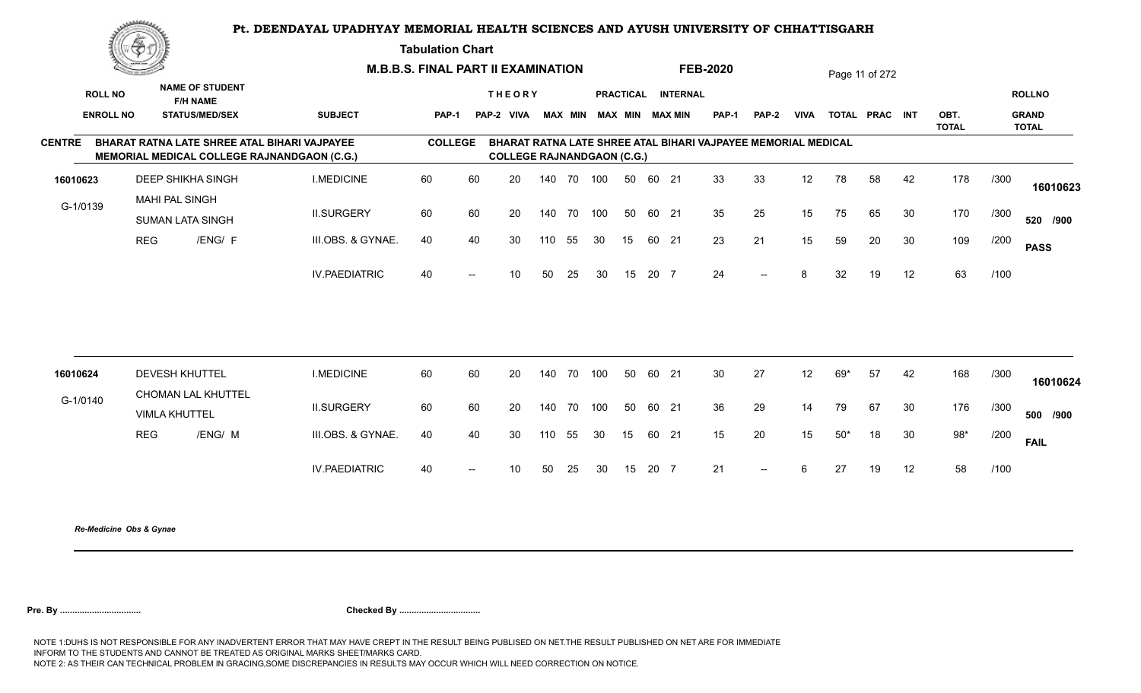**Tabulation Chart** 

|                  | <u>Congress</u> |                                                  | <b>M.B.B.S. FINAL PART II EXAMINATION</b>          |                |    |                                   |        |                |     |                  |       |                        | <b>FEB-2020</b>                                               |              |             |       | Page 11 of 272 |        |                      |      |                              |
|------------------|-----------------|--------------------------------------------------|----------------------------------------------------|----------------|----|-----------------------------------|--------|----------------|-----|------------------|-------|------------------------|---------------------------------------------------------------|--------------|-------------|-------|----------------|--------|----------------------|------|------------------------------|
| <b>ROLL NO</b>   |                 | <b>NAME OF STUDENT</b><br><b>F/H NAME</b>        |                                                    |                |    | <b>THEORY</b>                     |        |                |     | <b>PRACTICAL</b> |       | <b>INTERNAL</b>        |                                                               |              |             |       |                |        |                      |      | <b>ROLLNO</b>                |
| <b>ENROLL NO</b> |                 | <b>STATUS/MED/SEX</b>                            | <b>SUBJECT</b>                                     | <b>PAP-1</b>   |    | PAP-2 VIVA                        |        | <b>MAX MIN</b> |     |                  |       | <b>MAX MIN MAX MIN</b> | <b>PAP-1</b>                                                  | <b>PAP-2</b> | <b>VIVA</b> |       | TOTAL PRAC INT |        | OBT.<br><b>TOTAL</b> |      | <b>GRAND</b><br><b>TOTAL</b> |
| <b>CENTRE</b>    |                 | BHARAT RATNA LATE SHREE ATAL BIHARI VAJPAYEE     | <b>MEMORIAL MEDICAL COLLEGE RAJNANDGAON (C.G.)</b> | <b>COLLEGE</b> |    | <b>COLLEGE RAJNANDGAON (C.G.)</b> |        |                |     |                  |       |                        | BHARAT RATNA LATE SHREE ATAL BIHARI VAJPAYEE MEMORIAL MEDICAL |              |             |       |                |        |                      |      |                              |
| 16010623         |                 | <b>DEEP SHIKHA SINGH</b>                         | <b>I.MEDICINE</b>                                  | 60             | 60 | 20                                |        | 140 70 100     |     | 50               | 60 21 |                        | 33                                                            | 33           | 12          | 78    | 58             | 42     | 178                  | /300 | 16010623                     |
| G-1/0139         |                 | <b>MAHI PAL SINGH</b><br><b>SUMAN LATA SINGH</b> | <b>II.SURGERY</b>                                  | 60             | 60 | 20                                | 140 70 |                | 100 | 50               | 60 21 |                        | 35                                                            | 25           | 15          | 75    | 65             | 30     | 170                  | /300 | 520 /900                     |
|                  | <b>REG</b>      | /ENG/ F                                          | III.OBS. & GYNAE.                                  | 40             | 40 | 30                                | 110    | 55             | 30  | 15               | 60 21 |                        | 23                                                            | 21           | 15          | 59    | 20             | 30     | 109                  | /200 | <b>PASS</b>                  |
|                  |                 |                                                  | <b>IV.PAEDIATRIC</b>                               | 40             |    | 10                                | 50     | 25             | 30  | 15               | 20 7  |                        | 24                                                            | $- -$        | 8           | 32    | 19             | 12     | 63                   | /100 |                              |
|                  |                 |                                                  |                                                    |                |    |                                   |        |                |     |                  |       |                        |                                                               |              |             |       |                |        |                      |      |                              |
| 16010624         |                 | <b>DEVESH KHUTTEL</b><br>CHOMAN LAL KHUTTEL      | <b>I.MEDICINE</b>                                  | 60             | 60 | 20                                | 140 70 |                | 100 | 50               | 60 21 |                        | 30                                                            | 27           | 12          | 69*   | 57             | 42     | 168                  | /300 | 16010624                     |
| G-1/0140         |                 | <b>VIMLA KHUTTEL</b>                             | <b>II.SURGERY</b>                                  | 60             | 60 | 20                                | 140    | 70             | 100 | 50               | 60 21 |                        | 36                                                            | 29           | 14          | 79    | 67             | 30     | 176                  | /300 | 500 /900                     |
|                  | <b>REG</b>      | /ENG/ M                                          | III.OBS. & GYNAE.                                  | 40             | 40 | 30                                | 110    | 55             | 30  | 15               | 60 21 |                        | 15                                                            | 20           | 15          | $50*$ | 18             | $30\,$ | $98*$                | /200 | <b>FAIL</b>                  |
|                  |                 |                                                  | <b>IV.PAEDIATRIC</b>                               | 40             |    | 10 <sup>1</sup>                   | 50     | 25             | 30  | 15               | 20 7  |                        | 21                                                            | $-$          | 6           | 27    | 19             | 12     | 58                   | /100 |                              |
|                  |                 |                                                  |                                                    |                |    |                                   |        |                |     |                  |       |                        |                                                               |              |             |       |                |        |                      |      |                              |

*Re-Medicine Obs & Gynae*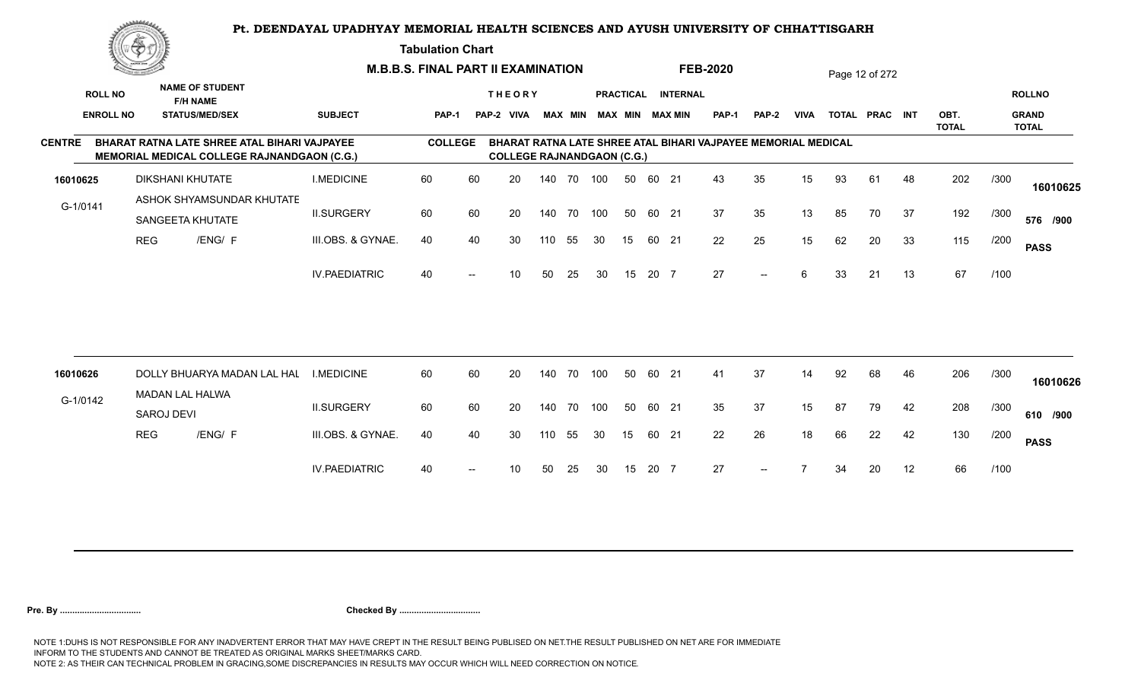#### **Tabulation Chart**

|               | <u>Contact on the Contact of South States of South States and States of South States and States and States and States and States and States and States and States and States and States and States and States and States and Sta</u> |                   |                                                                                             |                      | <b>M.B.B.S. FINAL PART II EXAMINATION</b> |    |                                   |     |                |     |    |       |                        | <b>FEB-2020</b>                                               |              |             |    | Page 12 of 272 |    |                      |      |                              |
|---------------|--------------------------------------------------------------------------------------------------------------------------------------------------------------------------------------------------------------------------------------|-------------------|---------------------------------------------------------------------------------------------|----------------------|-------------------------------------------|----|-----------------------------------|-----|----------------|-----|----|-------|------------------------|---------------------------------------------------------------|--------------|-------------|----|----------------|----|----------------------|------|------------------------------|
|               | <b>ROLL NO</b>                                                                                                                                                                                                                       |                   | <b>NAME OF STUDENT</b><br><b>F/H NAME</b>                                                   |                      |                                           |    | <b>THEORY</b>                     |     |                |     |    |       | PRACTICAL INTERNAL     |                                                               |              |             |    |                |    |                      |      | <b>ROLLNO</b>                |
|               | <b>ENROLL NO</b>                                                                                                                                                                                                                     |                   | <b>STATUS/MED/SEX</b>                                                                       | <b>SUBJECT</b>       | <b>PAP-1</b>                              |    | PAP-2 VIVA                        |     | <b>MAX MIN</b> |     |    |       | <b>MAX MIN MAX MIN</b> | <b>PAP-1</b>                                                  | <b>PAP-2</b> | <b>VIVA</b> |    | TOTAL PRAC INT |    | OBT.<br><b>TOTAL</b> |      | <b>GRAND</b><br><b>TOTAL</b> |
| <b>CENTRE</b> |                                                                                                                                                                                                                                      |                   | BHARAT RATNA LATE SHREE ATAL BIHARI VAJPAYEE<br>MEMORIAL MEDICAL COLLEGE RAJNANDGAON (C.G.) |                      | <b>COLLEGE</b>                            |    | <b>COLLEGE RAJNANDGAON (C.G.)</b> |     |                |     |    |       |                        | BHARAT RATNA LATE SHREE ATAL BIHARI VAJPAYEE MEMORIAL MEDICAL |              |             |    |                |    |                      |      |                              |
| 16010625      |                                                                                                                                                                                                                                      |                   | <b>DIKSHANI KHUTATE</b>                                                                     | <b>I.MEDICINE</b>    | 60                                        | 60 | 20                                |     | 140 70         | 100 | 50 | 60 21 |                        | 43                                                            | 35           | 15          | 93 | 61             | 48 | 202                  | /300 | 16010625                     |
| G-1/0141      |                                                                                                                                                                                                                                      |                   | ASHOK SHYAMSUNDAR KHUTATE                                                                   |                      |                                           |    |                                   |     |                |     |    |       |                        |                                                               |              |             |    |                |    |                      |      |                              |
|               |                                                                                                                                                                                                                                      |                   | SANGEETA KHUTATE                                                                            | <b>II.SURGERY</b>    | 60                                        | 60 | 20                                | 140 | 70             | 100 | 50 | 60 21 |                        | 37                                                            | 35           | 13          | 85 | 70             | 37 | 192                  | /300 | 576 /900                     |
|               |                                                                                                                                                                                                                                      | <b>REG</b>        | /ENG/ F                                                                                     | III.OBS. & GYNAE.    | 40                                        | 40 | 30                                | 110 | 55             | 30  | 15 |       | 60 21                  | 22                                                            | 25           | 15          | 62 | 20             | 33 | 115                  | /200 | <b>PASS</b>                  |
|               |                                                                                                                                                                                                                                      |                   |                                                                                             | <b>IV.PAEDIATRIC</b> | 40                                        |    | 10                                | 50  | 25             | 30  | 15 | 20 7  |                        | 27                                                            | $--$         | 6           | 33 | 21             | 13 | 67                   | /100 |                              |
|               |                                                                                                                                                                                                                                      |                   |                                                                                             |                      |                                           |    |                                   |     |                |     |    |       |                        |                                                               |              |             |    |                |    |                      |      |                              |
| 16010626      |                                                                                                                                                                                                                                      |                   | DOLLY BHUARYA MADAN LAL HAL                                                                 | <b>I.MEDICINE</b>    | 60                                        | 60 | 20                                | 140 | 70             | 100 | 50 | 60 21 |                        | 41                                                            | 37           | 14          | 92 | 68             | 46 | 206                  | /300 | 16010626                     |
| G-1/0142      |                                                                                                                                                                                                                                      | <b>SAROJ DEVI</b> | <b>MADAN LAL HALWA</b>                                                                      | <b>II.SURGERY</b>    | 60                                        | 60 | 20                                |     | 140 70         | 100 | 50 | 60 21 |                        | 35                                                            | 37           | 15          | 87 | 79             | 42 | 208                  | /300 | 610 /900                     |
|               |                                                                                                                                                                                                                                      | <b>REG</b>        | /ENG/ F                                                                                     | III.OBS. & GYNAE.    | 40                                        | 40 | 30                                | 110 | 55             | 30  | 15 |       | 60 21                  | 22                                                            | 26           | 18          | 66 | 22             | 42 | 130                  | /200 | <b>PASS</b>                  |
|               |                                                                                                                                                                                                                                      |                   |                                                                                             | <b>IV.PAEDIATRIC</b> | 40                                        |    | 10                                | 50  | 25             | 30  | 15 | 20 7  |                        | 27                                                            | $--$         |             | 34 | 20             | 12 | 66                   | /100 |                              |
|               |                                                                                                                                                                                                                                      |                   |                                                                                             |                      |                                           |    |                                   |     |                |     |    |       |                        |                                                               |              |             |    |                |    |                      |      |                              |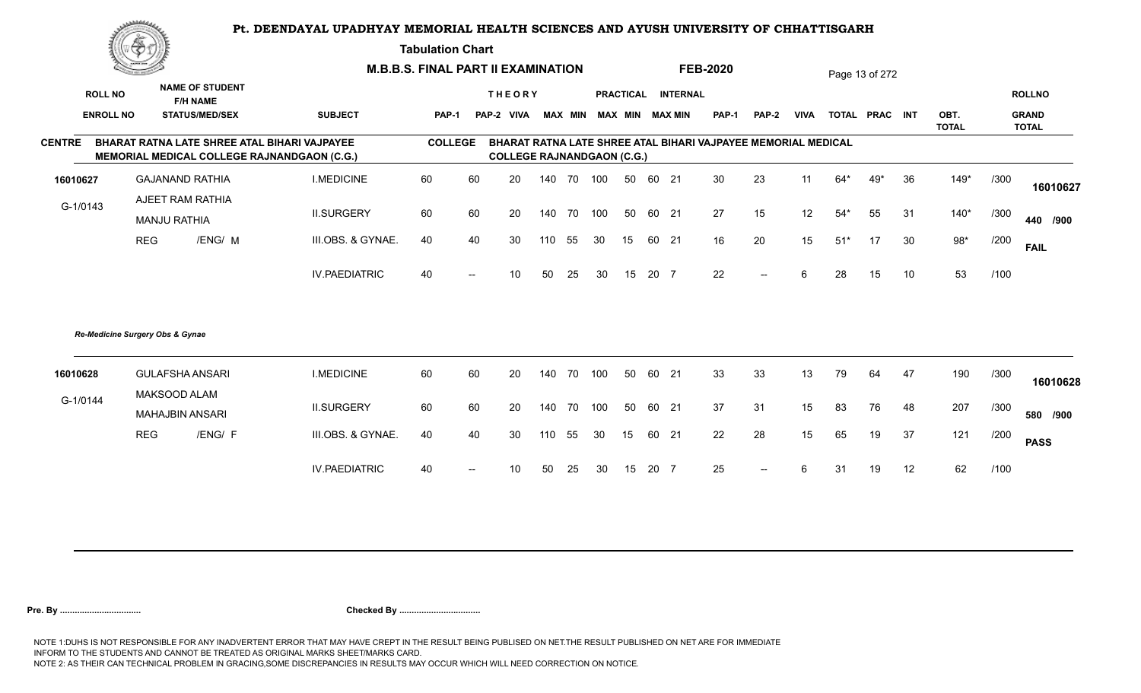**Tabulation Chart** 

|                  | ▓ڪ         |                                           |                                                                                             | <b>M.B.B.S. FINAL PART II EXAMINATION</b> |                   |                                   |     |    |     |    |      |                         | <b>FEB-2020</b>                                               |              |             |       | Page 13 of 272 |    |                      |      |                              |
|------------------|------------|-------------------------------------------|---------------------------------------------------------------------------------------------|-------------------------------------------|-------------------|-----------------------------------|-----|----|-----|----|------|-------------------------|---------------------------------------------------------------|--------------|-------------|-------|----------------|----|----------------------|------|------------------------------|
| <b>ROLL NO</b>   |            | <b>NAME OF STUDENT</b><br><b>F/H NAME</b> |                                                                                             |                                           |                   | <b>THEORY</b>                     |     |    |     |    |      | PRACTICAL INTERNAL      |                                                               |              |             |       |                |    |                      |      | <b>ROLLNO</b>                |
| <b>ENROLL NO</b> |            | <b>STATUS/MED/SEX</b>                     | <b>SUBJECT</b>                                                                              | <b>PAP-1</b>                              |                   | PAP-2 VIVA                        |     |    |     |    |      | MAX MIN MAX MIN MAX MIN | <b>PAP-1</b>                                                  | <b>PAP-2</b> | <b>VIVA</b> |       | TOTAL PRAC INT |    | OBT.<br><b>TOTAL</b> |      | <b>GRAND</b><br><b>TOTAL</b> |
| <b>CENTRE</b>    |            |                                           | BHARAT RATNA LATE SHREE ATAL BIHARI VAJPAYEE<br>MEMORIAL MEDICAL COLLEGE RAJNANDGAON (C.G.) | <b>COLLEGE</b>                            |                   | <b>COLLEGE RAJNANDGAON (C.G.)</b> |     |    |     |    |      |                         | BHARAT RATNA LATE SHREE ATAL BIHARI VAJPAYEE MEMORIAL MEDICAL |              |             |       |                |    |                      |      |                              |
| 16010627         |            | <b>GAJANAND RATHIA</b>                    | <b>I.MEDICINE</b>                                                                           | 60                                        | 60                | 20                                | 140 | 70 | 100 | 50 |      | 60 21                   | 30                                                            | 23           | 11          | 64*   | 49*            | 36 | $149*$               | /300 | 16010627                     |
| G-1/0143         |            | AJEET RAM RATHIA<br><b>MANJU RATHIA</b>   | <b>II.SURGERY</b>                                                                           | 60                                        | 60                | 20                                | 140 | 70 | 100 | 50 |      | 60 21                   | 27                                                            | 15           | 12          | $54*$ | 55             | 31 | $140*$               | /300 | 440 /900                     |
|                  | <b>REG</b> | /ENG/ M                                   | III.OBS. & GYNAE.                                                                           | 40                                        | 40                | 30                                | 110 | 55 | 30  | 15 |      | 60 21                   | 16                                                            | 20           | 15          | $51*$ | 17             | 30 | $98*$                | /200 | <b>FAIL</b>                  |
|                  |            |                                           | <b>IV.PAEDIATRIC</b>                                                                        | 40                                        | $\hspace{0.05cm}$ | 10                                | 50  | 25 | 30  | 15 | 20 7 |                         | 22                                                            | $- -$        | 6           | 28    | 15             | 10 | 53                   | /100 |                              |
|                  |            | Re-Medicine Surgery Obs & Gynae           |                                                                                             |                                           |                   |                                   |     |    |     |    |      |                         |                                                               |              |             |       |                |    |                      |      |                              |
| 16010628         |            | <b>GULAFSHA ANSARI</b>                    | <b>I.MEDICINE</b>                                                                           | 60                                        | 60                | 20                                | 140 | 70 | 100 | 50 |      | 60 21                   | 33                                                            | 33           | 13          | 79    | 64             | 47 | 190                  | /300 | 16010628                     |
| G-1/0144         |            | MAKSOOD ALAM<br><b>MAHAJBIN ANSARI</b>    | <b>II.SURGERY</b>                                                                           | 60                                        | 60                | 20                                | 140 | 70 | 100 | 50 |      | 60 21                   | 37                                                            | 31           | 15          | 83    | 76             | 48 | 207                  | /300 | 580 /900                     |
|                  | <b>REG</b> | /ENG/ F                                   | III.OBS. & GYNAE.                                                                           | 40                                        | 40                | 30                                | 110 | 55 | 30  | 15 |      | 60 21                   | 22                                                            | 28           | 15          | 65    | 19             | 37 | 121                  | /200 | <b>PASS</b>                  |
|                  |            |                                           | <b>IV.PAEDIATRIC</b>                                                                        | 40                                        |                   | 10                                | 50  | 25 | 30  | 15 | 20 7 |                         | 25                                                            | $--$         | ĥ           | 31    | 19             | 12 | 62                   | /100 |                              |
|                  |            |                                           |                                                                                             |                                           |                   |                                   |     |    |     |    |      |                         |                                                               |              |             |       |                |    |                      |      |                              |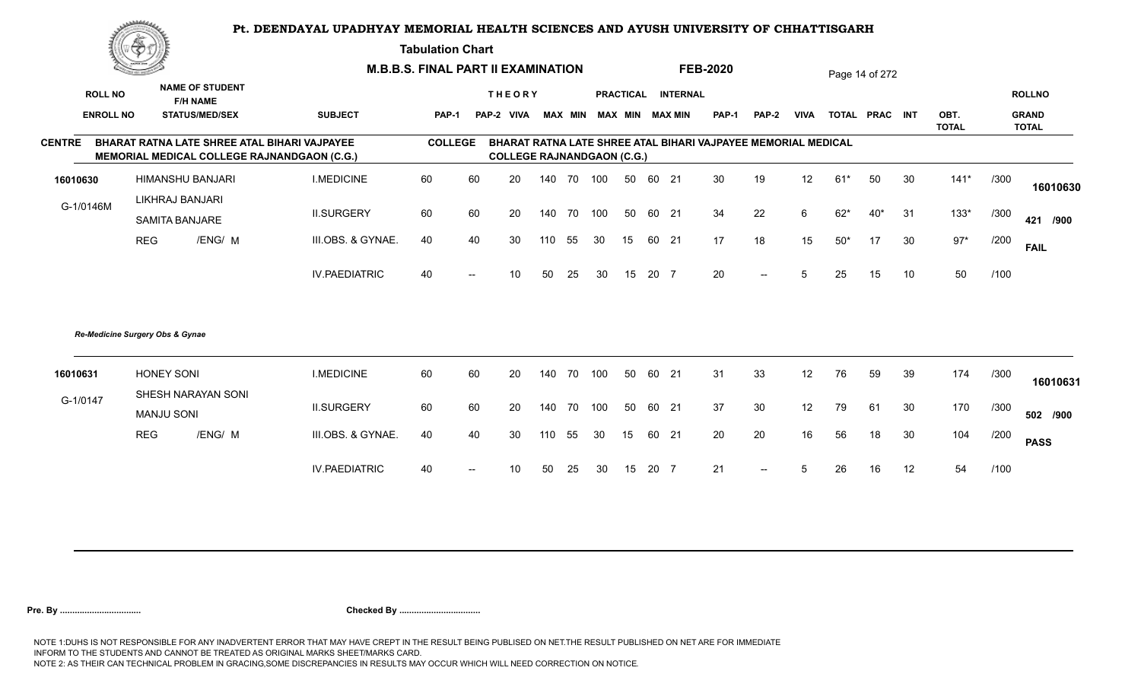**Tabulation Chart** 

|                  | ▓ڪ                              |                                                                                             |                      | <b>M.B.B.S. FINAL PART II EXAMINATION</b> |                          |                                   |     |                |     |                 |       |                    | <b>FEB-2020</b>                                               |                          |             |       | Page 14 of 272 |        |                      |      |                              |
|------------------|---------------------------------|---------------------------------------------------------------------------------------------|----------------------|-------------------------------------------|--------------------------|-----------------------------------|-----|----------------|-----|-----------------|-------|--------------------|---------------------------------------------------------------|--------------------------|-------------|-------|----------------|--------|----------------------|------|------------------------------|
| <b>ROLL NO</b>   |                                 | <b>NAME OF STUDENT</b><br><b>F/H NAME</b>                                                   |                      |                                           |                          | <b>THEORY</b>                     |     |                |     |                 |       | PRACTICAL INTERNAL |                                                               |                          |             |       |                |        |                      |      | <b>ROLLNO</b>                |
| <b>ENROLL NO</b> |                                 | <b>STATUS/MED/SEX</b>                                                                       | <b>SUBJECT</b>       | <b>PAP-1</b>                              |                          | PAP-2 VIVA                        |     | <b>MAX MIN</b> |     |                 |       | MAX MIN MAX MIN    | <b>PAP-1</b>                                                  | <b>PAP-2</b>             | <b>VIVA</b> |       | TOTAL PRAC INT |        | OBT.<br><b>TOTAL</b> |      | <b>GRAND</b><br><b>TOTAL</b> |
| <b>CENTRE</b>    |                                 | BHARAT RATNA LATE SHREE ATAL BIHARI VAJPAYEE<br>MEMORIAL MEDICAL COLLEGE RAJNANDGAON (C.G.) |                      | <b>COLLEGE</b>                            |                          | <b>COLLEGE RAJNANDGAON (C.G.)</b> |     |                |     |                 |       |                    | BHARAT RATNA LATE SHREE ATAL BIHARI VAJPAYEE MEMORIAL MEDICAL |                          |             |       |                |        |                      |      |                              |
| 16010630         |                                 | HIMANSHU BANJARI                                                                            | <b>I.MEDICINE</b>    | 60                                        | 60                       | 20                                | 140 | 70             | 100 | 50              | 60 21 |                    | 30                                                            | 19                       | 12          | $61*$ | 50             | 30     | $141*$               | /300 | 16010630                     |
| G-1/0146M        |                                 | LIKHRAJ BANJARI<br><b>SAMITA BANJARE</b>                                                    | <b>II.SURGERY</b>    | 60                                        | 60                       | 20                                | 140 | 70             | 100 | 50              | 60 21 |                    | 34                                                            | 22                       | 6           | $62*$ | $40*$          | 31     | $133*$               | /300 | 421 /900                     |
|                  | <b>REG</b>                      | /ENG/ M                                                                                     | III.OBS. & GYNAE.    | 40                                        | 40                       | 30                                | 110 | 55             | 30  | 15              | 60 21 |                    | 17                                                            | 18                       | 15          | $50*$ | 17             | 30     | $97*$                | /200 | <b>FAIL</b>                  |
|                  |                                 |                                                                                             | <b>IV.PAEDIATRIC</b> | 40                                        | $\overline{\phantom{a}}$ | 10                                | 50  | 25             | 30  | 15              | 20 7  |                    | 20                                                            | $\overline{\phantom{a}}$ | 5           | 25    | 15             | 10     | 50                   | /100 |                              |
|                  | Re-Medicine Surgery Obs & Gynae |                                                                                             |                      |                                           |                          |                                   |     |                |     |                 |       |                    |                                                               |                          |             |       |                |        |                      |      |                              |
| 16010631         | <b>HONEY SONI</b>               |                                                                                             | <b>I.MEDICINE</b>    | 60                                        | 60                       | 20                                | 140 | 70             | 100 | 50              | 60 21 |                    | 31                                                            | 33                       | 12          | 76    | 59             | 39     | 174                  | /300 | 16010631                     |
| G-1/0147         | <b>MANJU SONI</b>               | SHESH NARAYAN SONI                                                                          | <b>II.SURGERY</b>    | 60                                        | 60                       | 20                                | 140 | 70             | 100 | 50              | 60 21 |                    | 37                                                            | 30                       | 12          | 79    | 61             | 30     | 170                  | /300 | 502 /900                     |
|                  | <b>REG</b>                      | /ENG/ M                                                                                     | III.OBS. & GYNAE.    | 40                                        | 40                       | 30                                | 110 | 55             | 30  | 15 <sub>1</sub> | 60 21 |                    | 20                                                            | 20                       | 16          | 56    | 18             | $30\,$ | 104                  | /200 | <b>PASS</b>                  |
|                  |                                 |                                                                                             | <b>IV.PAEDIATRIC</b> | 40                                        | $\hspace{0.05cm}$        | 10                                | 50  | 25             | 30  | 15              | 20 7  |                    | 21                                                            | $-$                      | 5           | 26    | 16             | 12     | 54                   | /100 |                              |
|                  |                                 |                                                                                             |                      |                                           |                          |                                   |     |                |     |                 |       |                    |                                                               |                          |             |       |                |        |                      |      |                              |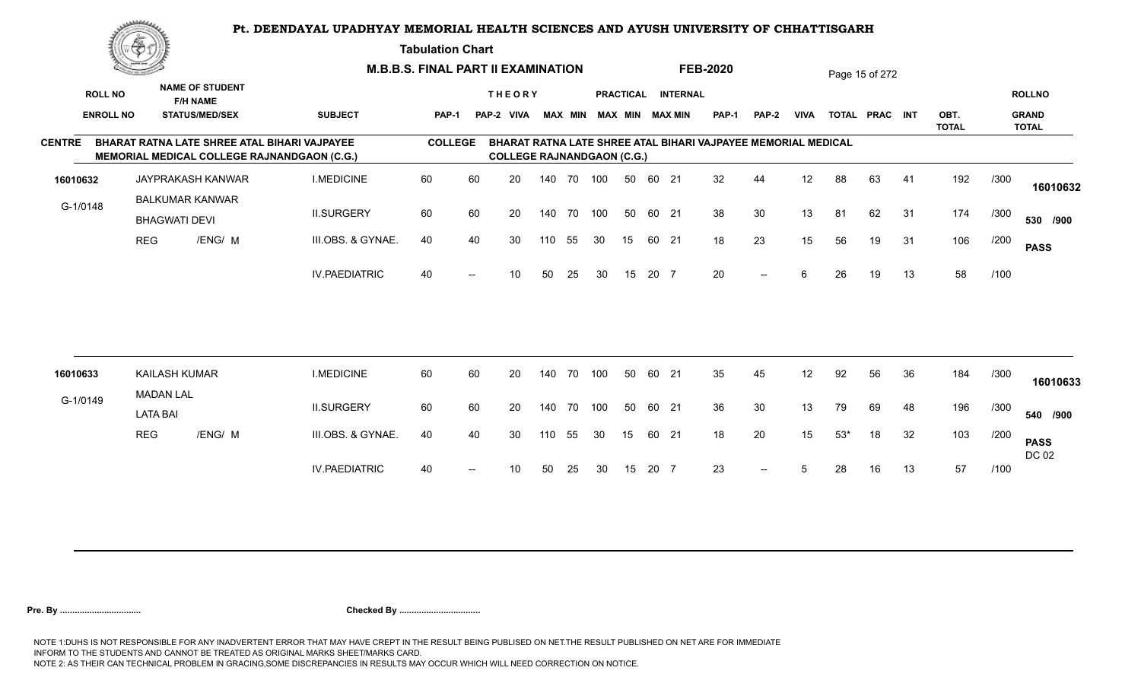**Tabulation Chart** 

|                  | <u>Contact on the Contact of South States of South States and States of South States and States and States and States and States and States and States and States and States and States and States and States and States and Sta</u> |                                                                                             |                      | <b>M.B.B.S. FINAL PART II EXAMINATION</b> |    |                                   |        |                |     |    |       |                        | <b>FEB-2020</b>                                               |              |             |       | Page 15 of 272 |    |                      |      |                              |
|------------------|--------------------------------------------------------------------------------------------------------------------------------------------------------------------------------------------------------------------------------------|---------------------------------------------------------------------------------------------|----------------------|-------------------------------------------|----|-----------------------------------|--------|----------------|-----|----|-------|------------------------|---------------------------------------------------------------|--------------|-------------|-------|----------------|----|----------------------|------|------------------------------|
| <b>ROLL NO</b>   |                                                                                                                                                                                                                                      | <b>NAME OF STUDENT</b><br><b>F/H NAME</b>                                                   |                      |                                           |    | <b>THEORY</b>                     |        |                |     |    |       | PRACTICAL INTERNAL     |                                                               |              |             |       |                |    |                      |      | <b>ROLLNO</b>                |
| <b>ENROLL NO</b> |                                                                                                                                                                                                                                      | <b>STATUS/MED/SEX</b>                                                                       | <b>SUBJECT</b>       | <b>PAP-1</b>                              |    | PAP-2 VIVA                        |        | <b>MAX MIN</b> |     |    |       | <b>MAX MIN MAX MIN</b> | <b>PAP-1</b>                                                  | <b>PAP-2</b> | <b>VIVA</b> |       | TOTAL PRAC INT |    | OBT.<br><b>TOTAL</b> |      | <b>GRAND</b><br><b>TOTAL</b> |
| <b>CENTRE</b>    |                                                                                                                                                                                                                                      | BHARAT RATNA LATE SHREE ATAL BIHARI VAJPAYEE<br>MEMORIAL MEDICAL COLLEGE RAJNANDGAON (C.G.) |                      | <b>COLLEGE</b>                            |    | <b>COLLEGE RAJNANDGAON (C.G.)</b> |        |                |     |    |       |                        | BHARAT RATNA LATE SHREE ATAL BIHARI VAJPAYEE MEMORIAL MEDICAL |              |             |       |                |    |                      |      |                              |
| 16010632         |                                                                                                                                                                                                                                      | JAYPRAKASH KANWAR                                                                           | <b>I.MEDICINE</b>    | 60                                        | 60 | 20                                |        | 140 70         | 100 | 50 | 60 21 |                        | 32                                                            | 44           | 12          | 88    | 63             | 41 | 192                  | /300 | 16010632                     |
| G-1/0148         |                                                                                                                                                                                                                                      | <b>BALKUMAR KANWAR</b><br><b>BHAGWATI DEVI</b>                                              | <b>II.SURGERY</b>    | 60                                        | 60 | 20                                | 140    | 70             | 100 | 50 | 60 21 |                        | 38                                                            | 30           | 13          | 81    | 62             | 31 | 174                  | /300 | 530 /900                     |
|                  | <b>REG</b>                                                                                                                                                                                                                           | /ENG/ M                                                                                     | III.OBS. & GYNAE.    | 40                                        | 40 | 30                                | 110    | 55             | 30  | 15 | 60 21 |                        | 18                                                            | 23           | 15          | 56    | 19             | 31 | 106                  | /200 | <b>PASS</b>                  |
|                  |                                                                                                                                                                                                                                      |                                                                                             | <b>IV.PAEDIATRIC</b> | 40                                        |    | 10                                | 50     | 25             | 30  | 15 | 20 7  |                        | 20                                                            | $--$         | 6           | 26    | 19             | 13 | 58                   | /100 |                              |
|                  |                                                                                                                                                                                                                                      |                                                                                             | <b>I.MEDICINE</b>    | 60                                        |    |                                   |        |                | 100 |    | 60 21 |                        | 35                                                            |              |             |       |                |    |                      |      |                              |
| 16010633         | <b>MADAN LAL</b>                                                                                                                                                                                                                     | <b>KAILASH KUMAR</b>                                                                        |                      |                                           | 60 | 20                                | 140    | 70             |     | 50 |       |                        |                                                               | 45           | 12          | 92    | 56             | 36 | 184                  | /300 | 16010633                     |
| G-1/0149         | <b>LATA BAI</b>                                                                                                                                                                                                                      |                                                                                             | <b>II.SURGERY</b>    | 60                                        | 60 | 20                                | 140 70 |                | 100 | 50 | 60 21 |                        | 36                                                            | 30           | 13          | 79    | 69             | 48 | 196                  | /300 | 540 /900                     |
|                  | <b>REG</b>                                                                                                                                                                                                                           | /ENG/ M                                                                                     | III.OBS. & GYNAE.    | 40                                        | 40 | 30                                | 110    | 55             | 30  | 15 | 60 21 |                        | 18                                                            | 20           | 15          | $53*$ | 18             | 32 | 103                  | /200 | <b>PASS</b><br>DC 02         |
|                  |                                                                                                                                                                                                                                      |                                                                                             | <b>IV.PAEDIATRIC</b> | 40                                        |    | 10                                | 50     | 25             | 30  | 15 | 20 7  |                        | 23                                                            | $--$         | 5           | 28    | 16             | 13 | 57                   | /100 |                              |
|                  |                                                                                                                                                                                                                                      |                                                                                             |                      |                                           |    |                                   |        |                |     |    |       |                        |                                                               |              |             |       |                |    |                      |      |                              |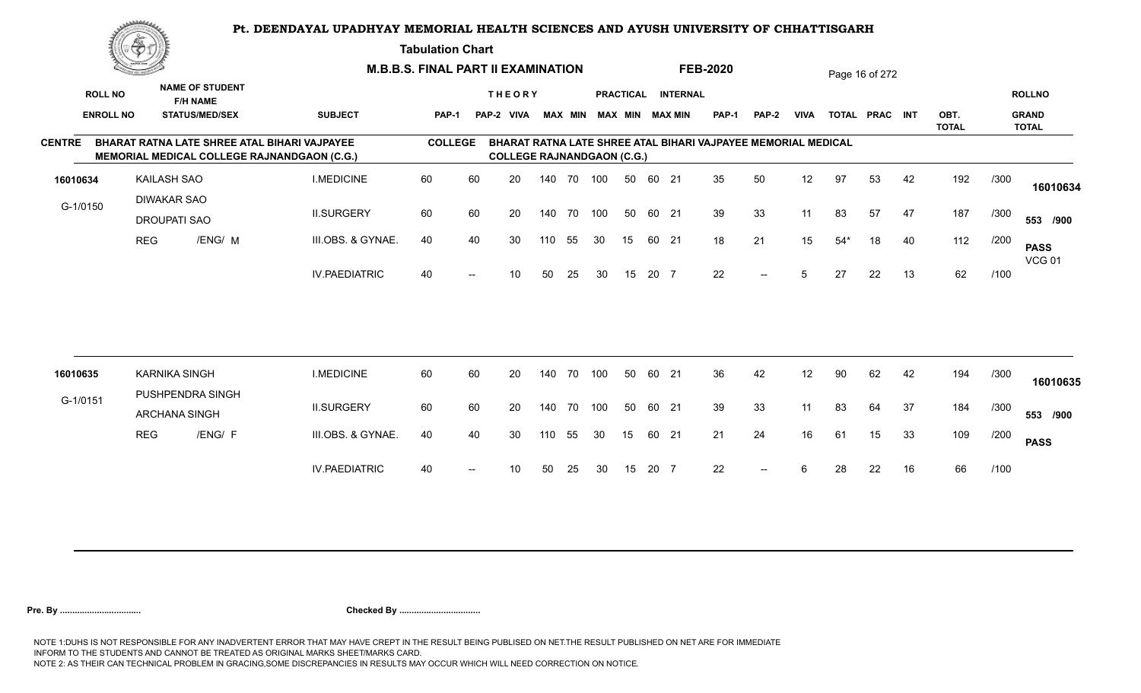**Tabulation Chart** 

|               | <u>Concession of the Sea</u> |                                           |                                           |                                                                                                    | <b>M.B.B.S. FINAL PART II EXAMINATION</b> |                   |                                   |     |                |     |    |       |                        | <b>FEB-2020</b>                                               |              |             |       | Page 16 of 272 |    |                      |      |                              |
|---------------|------------------------------|-------------------------------------------|-------------------------------------------|----------------------------------------------------------------------------------------------------|-------------------------------------------|-------------------|-----------------------------------|-----|----------------|-----|----|-------|------------------------|---------------------------------------------------------------|--------------|-------------|-------|----------------|----|----------------------|------|------------------------------|
|               | <b>ROLL NO</b>               |                                           | <b>NAME OF STUDENT</b><br><b>F/H NAME</b> |                                                                                                    |                                           |                   | <b>THEORY</b>                     |     |                |     |    |       | PRACTICAL INTERNAL     |                                                               |              |             |       |                |    |                      |      | <b>ROLLNO</b>                |
|               | <b>ENROLL NO</b>             |                                           | <b>STATUS/MED/SEX</b>                     | <b>SUBJECT</b>                                                                                     | <b>PAP-1</b>                              |                   | PAP-2 VIVA                        |     | <b>MAX MIN</b> |     |    |       | <b>MAX MIN MAX MIN</b> | <b>PAP-1</b>                                                  | <b>PAP-2</b> | <b>VIVA</b> |       | TOTAL PRAC INT |    | OBT.<br><b>TOTAL</b> |      | <b>GRAND</b><br><b>TOTAL</b> |
| <b>CENTRE</b> |                              |                                           |                                           | BHARAT RATNA LATE SHREE ATAL BIHARI VAJPAYEE<br><b>MEMORIAL MEDICAL COLLEGE RAJNANDGAON (C.G.)</b> | <b>COLLEGE</b>                            |                   | <b>COLLEGE RAJNANDGAON (C.G.)</b> |     |                |     |    |       |                        | BHARAT RATNA LATE SHREE ATAL BIHARI VAJPAYEE MEMORIAL MEDICAL |              |             |       |                |    |                      |      |                              |
| 16010634      |                              | <b>KAILASH SAO</b>                        |                                           | <b>I.MEDICINE</b>                                                                                  | 60                                        | 60                | 20                                |     | 140 70         | 100 | 50 | 60 21 |                        | 35                                                            | 50           | 12          | 97    | 53             | 42 | 192                  | /300 | 16010634                     |
| G-1/0150      |                              | <b>DIWAKAR SAO</b><br><b>DROUPATI SAO</b> |                                           | <b>II.SURGERY</b>                                                                                  | 60                                        | 60                | 20                                |     | 140 70         | 100 | 50 | 60 21 |                        | 39                                                            | 33           | 11          | 83    | 57             | 47 | 187                  | /300 | 553 /900                     |
|               |                              | <b>REG</b>                                | /ENG/ M                                   | III.OBS. & GYNAE.                                                                                  | 40                                        | 40                | 30                                | 110 | 55             | 30  | 15 | 60 21 |                        | 18                                                            | 21           | 15          | $54*$ | 18             | 40 | 112                  | /200 | <b>PASS</b><br><b>VCG 01</b> |
|               |                              |                                           |                                           | <b>IV.PAEDIATRIC</b>                                                                               | 40                                        | $\overline{a}$    | 10                                | 50  | 25             | 30  | 15 | 20 7  |                        | 22                                                            | $--$         | $5^{\circ}$ | 27    | 22             | 13 | 62                   | /100 |                              |
|               |                              |                                           |                                           |                                                                                                    |                                           |                   |                                   |     |                |     |    |       |                        |                                                               |              |             |       |                |    |                      |      |                              |
| 16010635      |                              | <b>KARNIKA SINGH</b>                      | PUSHPENDRA SINGH                          | <b>I.MEDICINE</b>                                                                                  | 60                                        | 60                | 20                                |     | 140 70         | 100 | 50 | 60 21 |                        | 36                                                            | 42           | 12          | 90    | 62             | 42 | 194                  | /300 | 16010635                     |
| G-1/0151      |                              | ARCHANA SINGH                             |                                           | <b>II.SURGERY</b>                                                                                  | 60                                        | 60                | 20                                |     | 140 70         | 100 | 50 | 60 21 |                        | 39                                                            | 33           | 11          | 83    | 64             | 37 | 184                  | /300 | 553 /900                     |
|               |                              | <b>REG</b>                                | /ENG/ F                                   | III.OBS. & GYNAE.                                                                                  | 40                                        | 40                | 30                                | 110 | 55             | 30  | 15 | 60 21 |                        | 21                                                            | 24           | 16          | 61    | 15             | 33 | 109                  | /200 | <b>PASS</b>                  |
|               |                              |                                           |                                           | <b>IV.PAEDIATRIC</b>                                                                               | 40                                        | $\hspace{0.05cm}$ | 10 <sup>°</sup>                   | 50  | 25             | 30  | 15 | 20 7  |                        | 22                                                            | $--$         | 6           | 28    | 22             | 16 | 66                   | /100 |                              |
|               |                              |                                           |                                           |                                                                                                    |                                           |                   |                                   |     |                |     |    |       |                        |                                                               |              |             |       |                |    |                      |      |                              |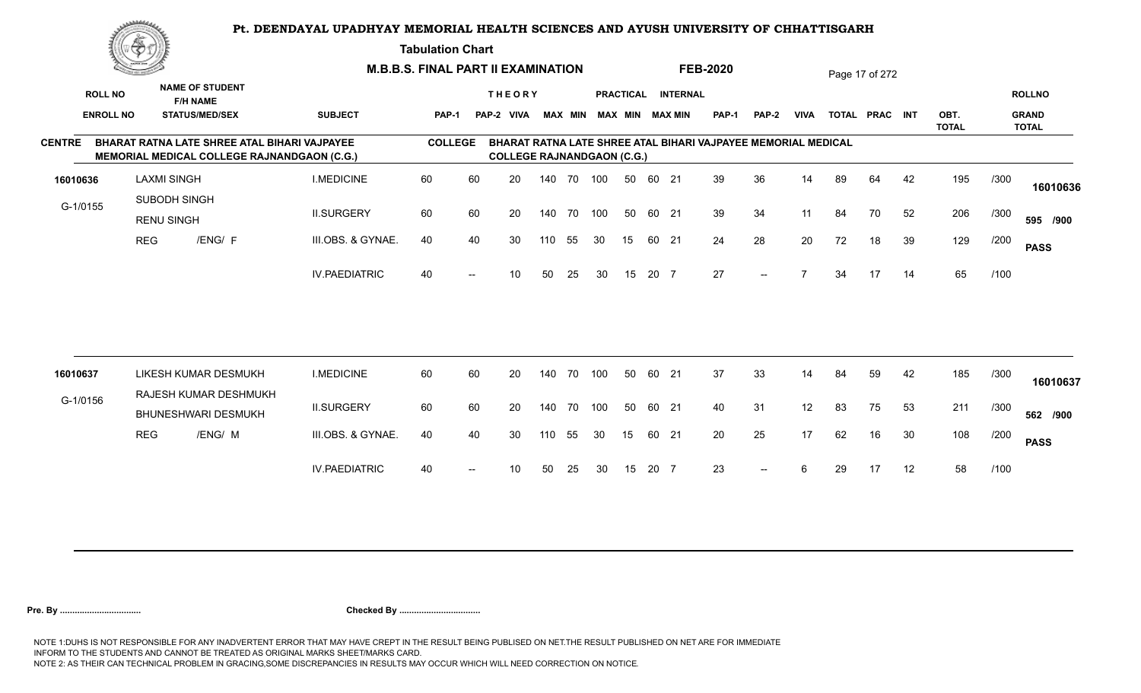**Tabulation Chart** 

|               | <u>Contraction of the Contract of the Contract of the Contract of the Contract of the Contract of the Contract of The Contract of The Contract of The Contract of The Contract of The Contract of The Contract of The Contract o</u> |                                   |                                                                                             |                      | <b>M.B.B.S. FINAL PART II EXAMINATION</b> |                          |                                   |     |                |     |    |       |                                              | <b>FEB-2020</b>                                               |                          |                |    | Page 17 of 272 |    |                      |      |                                               |
|---------------|--------------------------------------------------------------------------------------------------------------------------------------------------------------------------------------------------------------------------------------|-----------------------------------|---------------------------------------------------------------------------------------------|----------------------|-------------------------------------------|--------------------------|-----------------------------------|-----|----------------|-----|----|-------|----------------------------------------------|---------------------------------------------------------------|--------------------------|----------------|----|----------------|----|----------------------|------|-----------------------------------------------|
|               | <b>ROLL NO</b><br><b>ENROLL NO</b>                                                                                                                                                                                                   |                                   | <b>NAME OF STUDENT</b><br><b>F/H NAME</b><br><b>STATUS/MED/SEX</b>                          | <b>SUBJECT</b>       | PAP-1                                     |                          | <b>THEORY</b><br>PAP-2 VIVA       |     | <b>MAX MIN</b> |     |    |       | PRACTICAL INTERNAL<br><b>MAX MIN MAX MIN</b> | <b>PAP-1</b>                                                  | <b>PAP-2</b>             | <b>VIVA</b>    |    | TOTAL PRAC INT |    | OBT.<br><b>TOTAL</b> |      | <b>ROLLNO</b><br><b>GRAND</b><br><b>TOTAL</b> |
| <b>CENTRE</b> |                                                                                                                                                                                                                                      |                                   | BHARAT RATNA LATE SHREE ATAL BIHARI VAJPAYEE<br>MEMORIAL MEDICAL COLLEGE RAJNANDGAON (C.G.) |                      | <b>COLLEGE</b>                            |                          | <b>COLLEGE RAJNANDGAON (C.G.)</b> |     |                |     |    |       |                                              | BHARAT RATNA LATE SHREE ATAL BIHARI VAJPAYEE MEMORIAL MEDICAL |                          |                |    |                |    |                      |      |                                               |
| 16010636      |                                                                                                                                                                                                                                      | <b>LAXMI SINGH</b>                |                                                                                             | <b>I.MEDICINE</b>    | 60                                        | 60                       | 20                                |     | 140 70 100     |     | 50 | 60 21 |                                              | 39                                                            | 36                       | 14             | 89 | 64             | 42 | 195                  | /300 | 16010636                                      |
| G-1/0155      |                                                                                                                                                                                                                                      | SUBODH SINGH<br><b>RENU SINGH</b> |                                                                                             | <b>II.SURGERY</b>    | 60                                        | 60                       | 20                                |     | 140 70         | 100 | 50 | 60 21 |                                              | 39                                                            | 34                       | 11             | 84 | 70             | 52 | 206                  | /300 | 595 /900                                      |
|               | <b>REG</b>                                                                                                                                                                                                                           |                                   | /ENG/ F                                                                                     | III.OBS. & GYNAE.    | 40                                        | 40                       | 30                                | 110 | 55             | 30  | 15 | 60 21 |                                              | 24                                                            | 28                       | 20             | 72 | 18             | 39 | 129                  | /200 | <b>PASS</b>                                   |
|               |                                                                                                                                                                                                                                      |                                   |                                                                                             | <b>IV.PAEDIATRIC</b> | 40                                        | $\overline{\phantom{a}}$ | 10                                | 50  | 25             | 30  | 15 | 20 7  |                                              | 27                                                            | $\overline{\phantom{a}}$ | $\overline{7}$ | 34 | 17             | 14 | 65                   | /100 |                                               |
|               |                                                                                                                                                                                                                                      |                                   |                                                                                             |                      |                                           |                          |                                   |     |                |     |    |       |                                              |                                                               |                          |                |    |                |    |                      |      |                                               |
| 16010637      |                                                                                                                                                                                                                                      |                                   | LIKESH KUMAR DESMUKH                                                                        | <b>I.MEDICINE</b>    | 60                                        | 60                       | 20                                |     | 140 70         | 100 | 50 | 60 21 |                                              | 37                                                            | 33                       | 14             | 84 | 59             | 42 | 185                  | /300 | 16010637                                      |
| G-1/0156      |                                                                                                                                                                                                                                      |                                   | RAJESH KUMAR DESHMUKH<br>BHUNESHWARI DESMUKH                                                | <b>II.SURGERY</b>    | 60                                        | 60                       | 20                                | 140 | 70             | 100 | 50 | 60 21 |                                              | 40                                                            | 31                       | 12             | 83 | 75             | 53 | 211                  | /300 | 562 /900                                      |
|               | <b>REG</b>                                                                                                                                                                                                                           |                                   | /ENG/ M                                                                                     | III.OBS. & GYNAE.    | 40                                        | 40                       | 30                                | 110 | 55             | 30  | 15 | 60 21 |                                              | 20                                                            | 25                       | 17             | 62 | 16             | 30 | 108                  | /200 | <b>PASS</b>                                   |
|               |                                                                                                                                                                                                                                      |                                   |                                                                                             | <b>IV.PAEDIATRIC</b> | 40                                        | $\overline{\phantom{a}}$ | 10 <sup>1</sup>                   | 50  | 25             | 30  | 15 | 20 7  |                                              | 23                                                            | $\overline{\phantom{a}}$ | 6              | 29 | 17             | 12 | 58                   | /100 |                                               |
|               |                                                                                                                                                                                                                                      |                                   |                                                                                             |                      |                                           |                          |                                   |     |                |     |    |       |                                              |                                                               |                          |                |    |                |    |                      |      |                                               |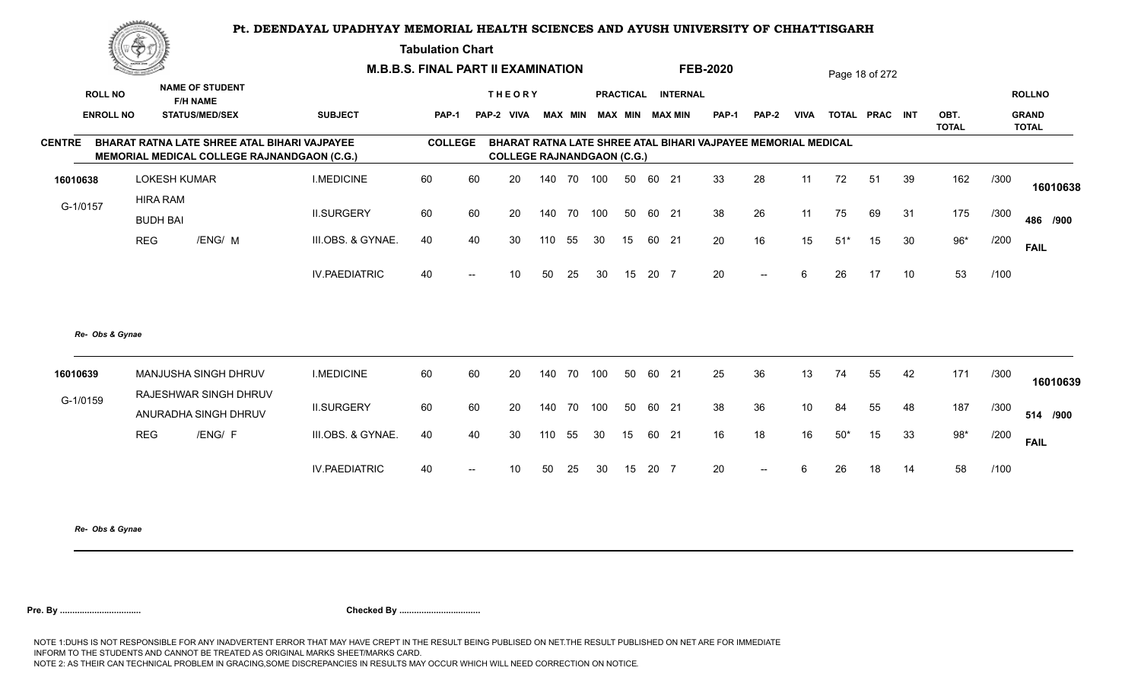**Tabulation Chart** 

|                  | ▓▀                                 |                                                                                             |                      | <b>M.B.B.S. FINAL PART II EXAMINATION</b> |                          |                                    |     |        |     |    |       |                    | <b>FEB-2020</b>                                               |                          |                 |       | Page 18 of 272 |    |                      |      |                              |
|------------------|------------------------------------|---------------------------------------------------------------------------------------------|----------------------|-------------------------------------------|--------------------------|------------------------------------|-----|--------|-----|----|-------|--------------------|---------------------------------------------------------------|--------------------------|-----------------|-------|----------------|----|----------------------|------|------------------------------|
| <b>ROLL NO</b>   |                                    | <b>NAME OF STUDENT</b><br><b>F/H NAME</b>                                                   |                      |                                           |                          | <b>THEORY</b>                      |     |        |     |    |       | PRACTICAL INTERNAL |                                                               |                          |                 |       |                |    |                      |      | <b>ROLLNO</b>                |
| <b>ENROLL NO</b> |                                    | <b>STATUS/MED/SEX</b>                                                                       | <b>SUBJECT</b>       | <b>PAP-1</b>                              |                          | PAP-2 VIVA MAX MIN MAX MIN MAX MIN |     |        |     |    |       |                    | <b>PAP-1</b>                                                  | PAP-2                    | VIVA            |       | TOTAL PRAC INT |    | OBT.<br><b>TOTAL</b> |      | <b>GRAND</b><br><b>TOTAL</b> |
| <b>CENTRE</b>    |                                    | BHARAT RATNA LATE SHREE ATAL BIHARI VAJPAYEE<br>MEMORIAL MEDICAL COLLEGE RAJNANDGAON (C.G.) |                      | <b>COLLEGE</b>                            |                          | <b>COLLEGE RAJNANDGAON (C.G.)</b>  |     |        |     |    |       |                    | BHARAT RATNA LATE SHREE ATAL BIHARI VAJPAYEE MEMORIAL MEDICAL |                          |                 |       |                |    |                      |      |                              |
| 16010638         | <b>LOKESH KUMAR</b>                |                                                                                             | <b>I.MEDICINE</b>    | 60                                        | 60                       | 20                                 | 140 | 70     | 100 | 50 |       | 60 21              | 33                                                            | 28                       | 11              | 72    | 51             | 39 | 162                  | /300 | 16010638                     |
| G-1/0157         | <b>HIRA RAM</b><br><b>BUDH BAI</b> |                                                                                             | <b>II.SURGERY</b>    | 60                                        | 60                       | 20                                 |     | 140 70 | 100 | 50 | 60 21 |                    | 38                                                            | 26                       | 11              | 75    | 69             | 31 | 175                  | /300 | 486 /900                     |
|                  | <b>REG</b>                         | /ENG/ M                                                                                     | III.OBS. & GYNAE.    | 40                                        | 40                       | 30                                 | 110 | 55     | 30  | 15 |       | 60 21              | 20                                                            | 16                       | 15              | $51*$ | 15             | 30 | $96*$                | /200 | <b>FAIL</b>                  |
|                  |                                    |                                                                                             | <b>IV.PAEDIATRIC</b> | 40                                        |                          | 10                                 | 50  | 25     | 30  | 15 | 20 7  |                    | 20                                                            | $--$                     | 6               | 26    | 17             | 10 | 53                   | /100 |                              |
| Re- Obs & Gynae  |                                    |                                                                                             |                      |                                           |                          |                                    |     |        |     |    |       |                    |                                                               |                          |                 |       |                |    |                      |      |                              |
| 16010639         |                                    | MANJUSHA SINGH DHRUV                                                                        | <b>I.MEDICINE</b>    | 60                                        | 60                       | 20                                 | 140 | 70     | 100 | 50 |       | 60 21              | 25                                                            | 36                       | 13              | 74    | 55             | 42 | 171                  | /300 | 16010639                     |
| G-1/0159         |                                    | <b>RAJESHWAR SINGH DHRUV</b><br>ANURADHA SINGH DHRUV                                        | <b>II.SURGERY</b>    | 60                                        | 60                       | 20                                 |     | 140 70 | 100 | 50 |       | 60 21              | 38                                                            | 36                       | 10 <sup>1</sup> | 84    | 55             | 48 | 187                  | /300 | 514 /900                     |
|                  | <b>REG</b>                         | /ENG/ F                                                                                     | III.OBS. & GYNAE.    | 40                                        | 40                       | 30                                 | 110 | 55     | 30  | 15 |       | 60 21              | 16                                                            | 18                       | 16              | $50*$ | 15             | 33 | $98*$                | /200 | <b>FAIL</b>                  |
|                  |                                    |                                                                                             | <b>IV.PAEDIATRIC</b> | 40                                        | $\overline{\phantom{a}}$ | 10                                 | 50  | 25     | 30  | 15 | 20 7  |                    | 20                                                            | $\overline{\phantom{a}}$ | 6               | 26    | 18             | 14 | 58                   | /100 |                              |
|                  |                                    |                                                                                             |                      |                                           |                          |                                    |     |        |     |    |       |                    |                                                               |                          |                 |       |                |    |                      |      |                              |

*Re- Obs & Gynae*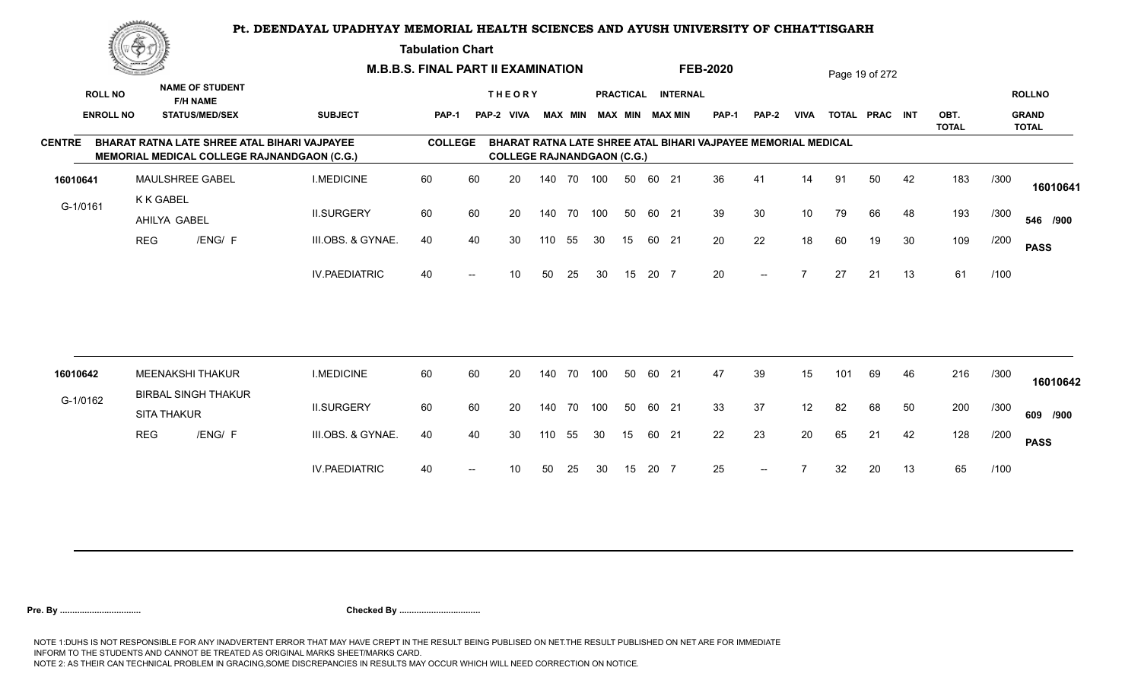**Tabulation Chart** 

|                  | <u>Congress</u>  |                                                                                                    |                      | <b>M.B.B.S. FINAL PART II EXAMINATION</b> |                   |                                   |     |                |     |                  |       |                        | <b>FEB-2020</b>                                               |              |                 |     | Page 19 of 272 |    |                      |      |                              |
|------------------|------------------|----------------------------------------------------------------------------------------------------|----------------------|-------------------------------------------|-------------------|-----------------------------------|-----|----------------|-----|------------------|-------|------------------------|---------------------------------------------------------------|--------------|-----------------|-----|----------------|----|----------------------|------|------------------------------|
| <b>ROLL NO</b>   |                  | <b>NAME OF STUDENT</b><br><b>F/H NAME</b>                                                          |                      |                                           |                   | <b>THEORY</b>                     |     |                |     | <b>PRACTICAL</b> |       | <b>INTERNAL</b>        |                                                               |              |                 |     |                |    |                      |      | <b>ROLLNO</b>                |
| <b>ENROLL NO</b> |                  | <b>STATUS/MED/SEX</b>                                                                              | <b>SUBJECT</b>       | PAP-1                                     |                   | PAP-2 VIVA                        |     | <b>MAX MIN</b> |     |                  |       | <b>MAX MIN MAX MIN</b> | <b>PAP-1</b>                                                  | <b>PAP-2</b> | <b>VIVA</b>     |     | TOTAL PRAC INT |    | OBT.<br><b>TOTAL</b> |      | <b>GRAND</b><br><b>TOTAL</b> |
| <b>CENTRE</b>    |                  | BHARAT RATNA LATE SHREE ATAL BIHARI VAJPAYEE<br><b>MEMORIAL MEDICAL COLLEGE RAJNANDGAON (C.G.)</b> |                      | <b>COLLEGE</b>                            |                   | <b>COLLEGE RAJNANDGAON (C.G.)</b> |     |                |     |                  |       |                        | BHARAT RATNA LATE SHREE ATAL BIHARI VAJPAYEE MEMORIAL MEDICAL |              |                 |     |                |    |                      |      |                              |
| 16010641         |                  | MAULSHREE GABEL                                                                                    | <b>I.MEDICINE</b>    | 60                                        | 60                | 20                                |     | 140 70 100     |     | 50               | 60 21 |                        | 36                                                            | 41           | 14              | 91  | 50             | 42 | 183                  | /300 | 16010641                     |
| G-1/0161         | <b>K K GABEL</b> | AHILYA GABEL                                                                                       | <b>II.SURGERY</b>    | 60                                        | 60                | 20                                | 140 | 70             | 100 | 50               | 60 21 |                        | 39                                                            | 30           | 10 <sup>°</sup> | 79  | 66             | 48 | 193                  | /300 | 546 /900                     |
|                  | <b>REG</b>       | /ENG/ F                                                                                            | III.OBS. & GYNAE.    | 40                                        | 40                | 30                                | 110 | 55             | 30  | 15               | 60 21 |                        | 20                                                            | 22           | 18              | 60  | 19             | 30 | 109                  | /200 | <b>PASS</b>                  |
|                  |                  |                                                                                                    | <b>IV.PAEDIATRIC</b> | 40                                        | $\hspace{0.05cm}$ | 10                                | 50  | 25             | 30  | 15               | 20 7  |                        | 20                                                            | $--$         | $\overline{7}$  | 27  | 21             | 13 | 61                   | /100 |                              |
|                  |                  |                                                                                                    |                      |                                           |                   |                                   |     |                |     |                  |       |                        |                                                               |              |                 |     |                |    |                      |      |                              |
| 16010642         |                  | <b>MEENAKSHI THAKUR</b><br><b>BIRBAL SINGH THAKUR</b>                                              | <b>I.MEDICINE</b>    | 60                                        | 60                | 20                                |     | 140 70         | 100 | 50               | 60 21 |                        | 47                                                            | 39           | 15              | 101 | 69             | 46 | 216                  | /300 | 16010642                     |
| G-1/0162         |                  | <b>SITA THAKUR</b>                                                                                 | <b>II.SURGERY</b>    | 60                                        | 60                | 20                                |     | 140 70         | 100 | 50               | 60 21 |                        | 33                                                            | 37           | 12              | 82  | 68             | 50 | 200                  | /300 | 609 /900                     |
|                  | <b>REG</b>       | /ENG/ F                                                                                            | III.OBS. & GYNAE.    | 40                                        | 40                | 30                                | 110 | 55             | 30  | 15               | 60 21 |                        | 22                                                            | 23           | 20              | 65  | 21             | 42 | 128                  | /200 | <b>PASS</b>                  |
|                  |                  |                                                                                                    | <b>IV.PAEDIATRIC</b> | 40                                        |                   | 10                                | 50  | 25             | 30  | 15               | 20 7  |                        | 25                                                            | $--$         |                 | 32  | 20             | 13 | 65                   | /100 |                              |
|                  |                  |                                                                                                    |                      |                                           |                   |                                   |     |                |     |                  |       |                        |                                                               |              |                 |     |                |    |                      |      |                              |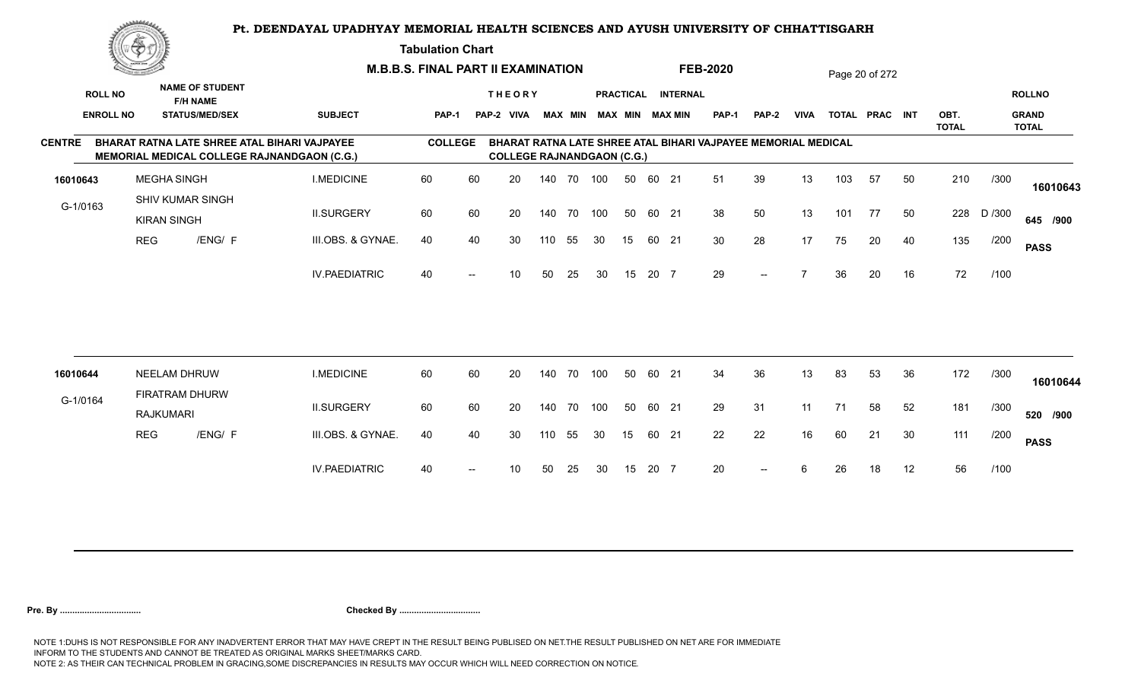**Tabulation Chart** 

|               | <u>Contact on the Contact of South States of South States and States of South States and States and States and States and States and States and States and States and States and States and States and States and States and Sta</u> |                    |                                                                    | <b>M.B.B.S. FINAL PART II EXAMINATION</b>                                                   |                |                   |                                   |     |                |     |    |       |                                              | <b>FEB-2020</b> |                                                               |             |     | Page 20 of 272 |    |              |        |                               |
|---------------|--------------------------------------------------------------------------------------------------------------------------------------------------------------------------------------------------------------------------------------|--------------------|--------------------------------------------------------------------|---------------------------------------------------------------------------------------------|----------------|-------------------|-----------------------------------|-----|----------------|-----|----|-------|----------------------------------------------|-----------------|---------------------------------------------------------------|-------------|-----|----------------|----|--------------|--------|-------------------------------|
|               | <b>ROLL NO</b><br><b>ENROLL NO</b>                                                                                                                                                                                                   |                    | <b>NAME OF STUDENT</b><br><b>F/H NAME</b><br><b>STATUS/MED/SEX</b> | <b>SUBJECT</b>                                                                              | <b>PAP-1</b>   |                   | <b>THEORY</b><br>PAP-2 VIVA       |     | <b>MAX MIN</b> |     |    |       | PRACTICAL INTERNAL<br><b>MAX MIN MAX MIN</b> | <b>PAP-1</b>    | <b>PAP-2</b>                                                  | <b>VIVA</b> |     | TOTAL PRAC INT |    | OBT.         |        | <b>ROLLNO</b><br><b>GRAND</b> |
|               |                                                                                                                                                                                                                                      |                    |                                                                    |                                                                                             |                |                   |                                   |     |                |     |    |       |                                              |                 |                                                               |             |     |                |    | <b>TOTAL</b> |        | <b>TOTAL</b>                  |
| <b>CENTRE</b> |                                                                                                                                                                                                                                      |                    |                                                                    | BHARAT RATNA LATE SHREE ATAL BIHARI VAJPAYEE<br>MEMORIAL MEDICAL COLLEGE RAJNANDGAON (C.G.) | <b>COLLEGE</b> |                   | <b>COLLEGE RAJNANDGAON (C.G.)</b> |     |                |     |    |       |                                              |                 | BHARAT RATNA LATE SHREE ATAL BIHARI VAJPAYEE MEMORIAL MEDICAL |             |     |                |    |              |        |                               |
| 16010643      |                                                                                                                                                                                                                                      | <b>MEGHA SINGH</b> |                                                                    | <b>I.MEDICINE</b>                                                                           | 60             | 60                | 20                                |     | 140 70         | 100 | 50 | 60 21 |                                              | 51              | 39                                                            | 13          | 103 | 57             | 50 | 210          | /300   | 16010643                      |
| G-1/0163      |                                                                                                                                                                                                                                      | <b>KIRAN SINGH</b> | <b>SHIV KUMAR SINGH</b>                                            | <b>II.SURGERY</b>                                                                           | 60             | 60                | 20                                |     | 140 70         | 100 | 50 | 60 21 |                                              | 38              | 50                                                            | 13          | 101 | 77             | 50 | 228          | D /300 | 645 /900                      |
|               |                                                                                                                                                                                                                                      | <b>REG</b>         | /ENG/ F                                                            | III.OBS. & GYNAE.                                                                           | 40             | 40                | 30                                | 110 | 55             | 30  | 15 | 60 21 |                                              | 30              | 28                                                            | 17          | 75  | 20             | 40 | 135          | /200   | <b>PASS</b>                   |
|               |                                                                                                                                                                                                                                      |                    |                                                                    | <b>IV.PAEDIATRIC</b>                                                                        | 40             | $--$              | 10                                | 50  | 25             | 30  | 15 | 20 7  |                                              | 29              | $--$                                                          |             | 36  | 20             | 16 | 72           | /100   |                               |
|               |                                                                                                                                                                                                                                      |                    |                                                                    |                                                                                             |                |                   |                                   |     |                |     |    |       |                                              |                 |                                                               |             |     |                |    |              |        |                               |
| 16010644      |                                                                                                                                                                                                                                      | NEELAM DHRUW       |                                                                    | <b>I.MEDICINE</b>                                                                           | 60             | 60                | 20                                |     | 140 70         | 100 | 50 | 60 21 |                                              | 34              | 36                                                            | 13          | 83  | 53             | 36 | 172          | /300   | 16010644                      |
| G-1/0164      |                                                                                                                                                                                                                                      | <b>RAJKUMARI</b>   | FIRATRAM DHURW                                                     | <b>II.SURGERY</b>                                                                           | 60             | 60                | 20                                |     | 140 70         | 100 | 50 | 60 21 |                                              | 29              | 31                                                            | 11          | 71  | 58             | 52 | 181          | /300   | 520 /900                      |
|               |                                                                                                                                                                                                                                      | <b>REG</b>         | /ENG/ F                                                            | III.OBS. & GYNAE.                                                                           | 40             | 40                | 30                                | 110 | 55             | 30  | 15 | 60 21 |                                              | 22              | 22                                                            | 16          | 60  | 21             | 30 | 111          | /200   | <b>PASS</b>                   |
|               |                                                                                                                                                                                                                                      |                    |                                                                    | <b>IV.PAEDIATRIC</b>                                                                        | 40             | $\hspace{0.05cm}$ | 10                                | 50  | 25             | 30  | 15 | 20 7  |                                              | 20              | $\overline{\phantom{a}}$                                      | 6           | 26  | 18             | 12 | 56           | /100   |                               |
|               |                                                                                                                                                                                                                                      |                    |                                                                    |                                                                                             |                |                   |                                   |     |                |     |    |       |                                              |                 |                                                               |             |     |                |    |              |        |                               |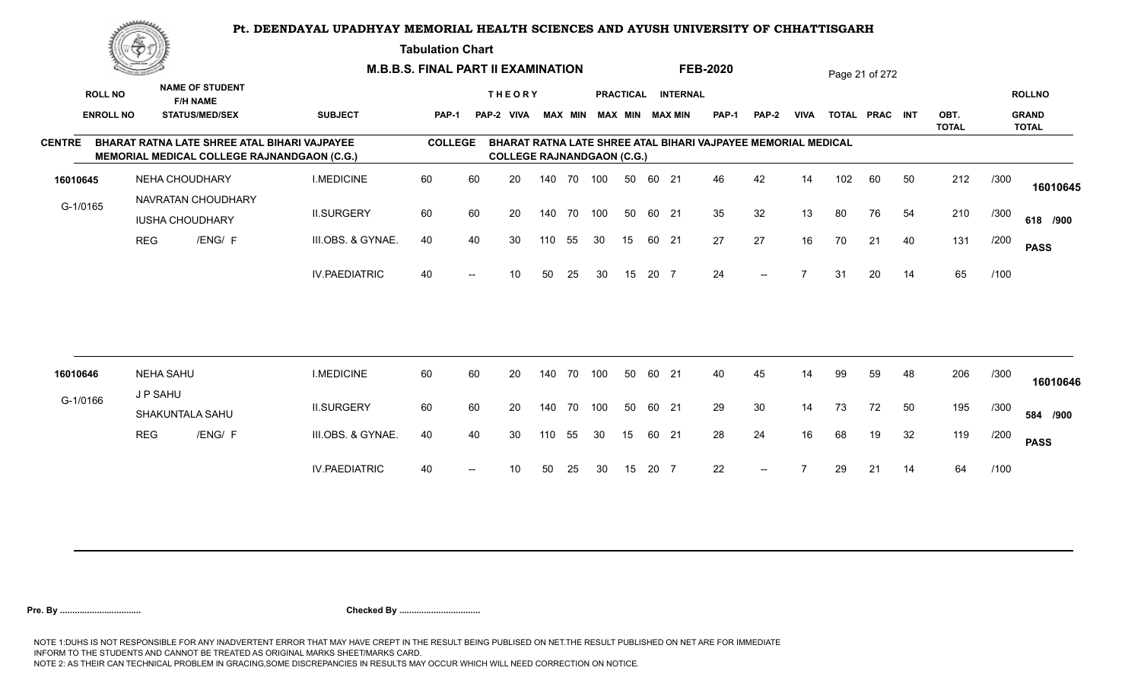#### **Tabulation Chart**

|                  | <u>Contraction of the Sea</u> |                                                                                             |                      | <b>M.B.B.S. FINAL PART II EXAMINATION</b> |                          |                                    |            |    |     |                  |       |                 | <b>FEB-2020</b>                                               |       |                |     | Page 21 of 272 |    |                      |      |                              |
|------------------|-------------------------------|---------------------------------------------------------------------------------------------|----------------------|-------------------------------------------|--------------------------|------------------------------------|------------|----|-----|------------------|-------|-----------------|---------------------------------------------------------------|-------|----------------|-----|----------------|----|----------------------|------|------------------------------|
| <b>ROLL NO</b>   |                               | <b>NAME OF STUDENT</b><br><b>F/H NAME</b>                                                   |                      |                                           |                          | <b>THEORY</b>                      |            |    |     | <b>PRACTICAL</b> |       | <b>INTERNAL</b> |                                                               |       |                |     |                |    |                      |      | <b>ROLLNO</b>                |
| <b>ENROLL NO</b> |                               | <b>STATUS/MED/SEX</b>                                                                       | <b>SUBJECT</b>       | <b>PAP-1</b>                              |                          | PAP-2 VIVA MAX MIN MAX MIN MAX MIN |            |    |     |                  |       |                 | PAP-1                                                         | PAP-2 | <b>VIVA</b>    |     | TOTAL PRAC INT |    | OBT.<br><b>TOTAL</b> |      | <b>GRAND</b><br><b>TOTAL</b> |
| <b>CENTRE</b>    |                               | BHARAT RATNA LATE SHREE ATAL BIHARI VAJPAYEE<br>MEMORIAL MEDICAL COLLEGE RAJNANDGAON (C.G.) |                      | <b>COLLEGE</b>                            |                          | <b>COLLEGE RAJNANDGAON (C.G.)</b>  |            |    |     |                  |       |                 | BHARAT RATNA LATE SHREE ATAL BIHARI VAJPAYEE MEMORIAL MEDICAL |       |                |     |                |    |                      |      |                              |
| 16010645         |                               | NEHA CHOUDHARY                                                                              | <b>I.MEDICINE</b>    | 60                                        | 60                       | 20                                 | 140 70 100 |    |     | 50               | 60 21 |                 | 46                                                            | 42    | 14             | 102 | 60             | 50 | 212                  | /300 | 16010645                     |
| G-1/0165         |                               | NAVRATAN CHOUDHARY<br><b>IUSHA CHOUDHARY</b>                                                | <b>II.SURGERY</b>    | 60                                        | 60                       | 20                                 | 140 70 100 |    |     | 50               | 60 21 |                 | 35                                                            | 32    | 13             | 80  | 76             | 54 | 210                  | /300 | 618 /900                     |
|                  | <b>REG</b>                    | /ENG/ F                                                                                     | III.OBS. & GYNAE.    | 40                                        | 40                       | 30                                 | 110        | 55 | 30  | 15               | 60 21 |                 | 27                                                            | 27    | 16             | 70  | 21             | 40 | 131                  | /200 | <b>PASS</b>                  |
|                  |                               |                                                                                             | <b>IV.PAEDIATRIC</b> | 40                                        | $\overline{\phantom{a}}$ | 10                                 | 50         | 25 | 30  | 15               | 20 7  |                 | 24                                                            | $--$  |                | 31  | 20             | 14 | 65                   | /100 |                              |
|                  |                               |                                                                                             |                      |                                           |                          |                                    |            |    |     |                  |       |                 |                                                               |       |                |     |                |    |                      |      |                              |
| 16010646         |                               | <b>NEHA SAHU</b>                                                                            | <b>I.MEDICINE</b>    | 60                                        | 60                       | 20                                 | 140 70     |    | 100 | 50               | 60 21 |                 | 40                                                            | 45    | 14             | 99  | 59             | 48 | 206                  | /300 | 16010646                     |
| G-1/0166         | J P SAHU                      | SHAKUNTALA SAHU                                                                             | <b>II.SURGERY</b>    | 60                                        | 60                       | 20                                 | 140        | 70 | 100 | 50               | 60 21 |                 | 29                                                            | 30    | 14             | 73  | 72             | 50 | 195                  | /300 | 584 /900                     |
|                  | <b>REG</b>                    | /ENG/ F                                                                                     | III.OBS. & GYNAE.    | 40                                        | 40                       | 30                                 | 110        | 55 | 30  | 15               | 60 21 |                 | 28                                                            | 24    | 16             | 68  | 19             | 32 | 119                  | /200 | <b>PASS</b>                  |
|                  |                               |                                                                                             | <b>IV.PAEDIATRIC</b> | 40                                        | $--$                     | 10                                 | 50         | 25 | 30  | 15               | 20 7  |                 | 22                                                            | $--$  | $\overline{7}$ | 29  | 21             | 14 | 64                   | /100 |                              |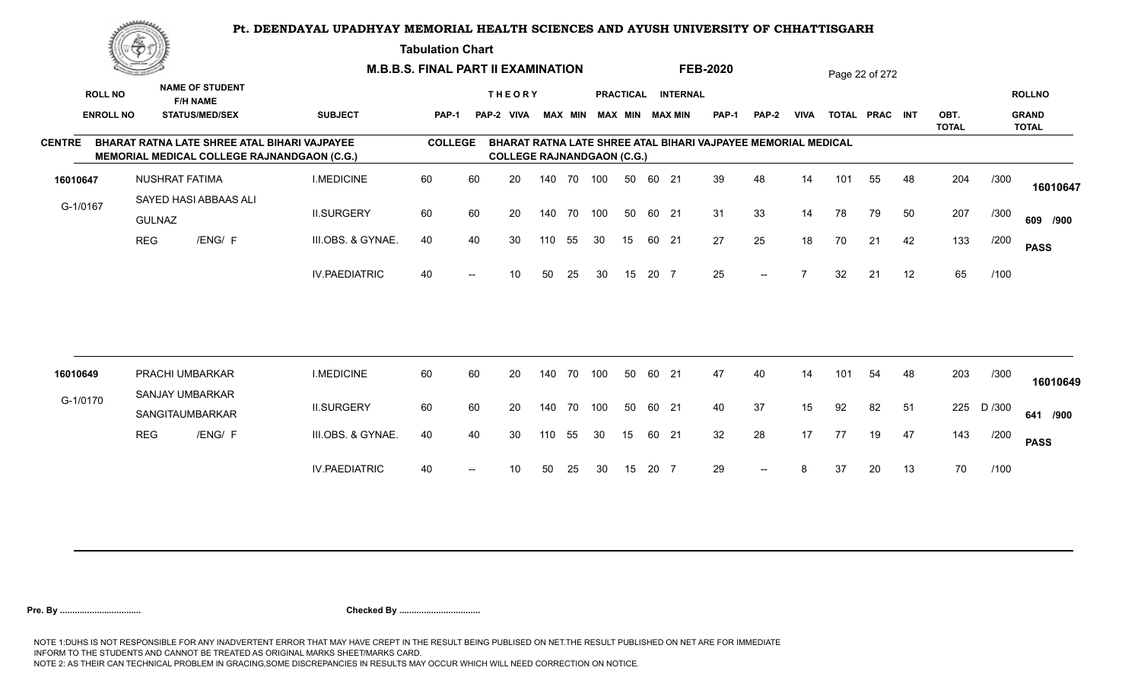**Tabulation Chart** 

|               | <u>Concession of the Sea</u>       |                       |                                                                                             |                      | <b>M.B.B.S. FINAL PART II EXAMINATION</b> |                          |                                   |     |                |     |    |       |                                              | <b>FEB-2020</b>                                               |                          |                |     | Page 22 of 272 |    |                      |        |                               |
|---------------|------------------------------------|-----------------------|---------------------------------------------------------------------------------------------|----------------------|-------------------------------------------|--------------------------|-----------------------------------|-----|----------------|-----|----|-------|----------------------------------------------|---------------------------------------------------------------|--------------------------|----------------|-----|----------------|----|----------------------|--------|-------------------------------|
|               | <b>ROLL NO</b><br><b>ENROLL NO</b> |                       | <b>NAME OF STUDENT</b><br><b>F/H NAME</b><br><b>STATUS/MED/SEX</b>                          | <b>SUBJECT</b>       | PAP-1                                     |                          | <b>THEORY</b><br>PAP-2 VIVA       |     | <b>MAX MIN</b> |     |    |       | PRACTICAL INTERNAL<br><b>MAX MIN MAX MIN</b> | <b>PAP-1</b>                                                  | <b>PAP-2</b>             | <b>VIVA</b>    |     | TOTAL PRAC INT |    | OBT.<br><b>TOTAL</b> |        | <b>ROLLNO</b><br><b>GRAND</b> |
| <b>CENTRE</b> |                                    |                       | BHARAT RATNA LATE SHREE ATAL BIHARI VAJPAYEE<br>MEMORIAL MEDICAL COLLEGE RAJNANDGAON (C.G.) |                      | <b>COLLEGE</b>                            |                          | <b>COLLEGE RAJNANDGAON (C.G.)</b> |     |                |     |    |       |                                              | BHARAT RATNA LATE SHREE ATAL BIHARI VAJPAYEE MEMORIAL MEDICAL |                          |                |     |                |    |                      |        | <b>TOTAL</b>                  |
| 16010647      |                                    | <b>NUSHRAT FATIMA</b> |                                                                                             | <b>I.MEDICINE</b>    | 60                                        | 60                       | 20                                |     | 140 70 100     |     | 50 | 60 21 |                                              | 39                                                            | 48                       | 14             | 101 | 55             | 48 | 204                  | /300   | 16010647                      |
| G-1/0167      |                                    | <b>GULNAZ</b>         | SAYED HASI ABBAAS ALI                                                                       | <b>II.SURGERY</b>    | 60                                        | 60                       | 20                                |     | 140 70         | 100 | 50 | 60 21 |                                              | 31                                                            | 33                       | 14             | 78  | 79             | 50 | 207                  | /300   | 609 /900                      |
|               |                                    | <b>REG</b>            | /ENG/ F                                                                                     | III.OBS. & GYNAE.    | 40                                        | 40                       | 30                                | 110 | 55             | 30  | 15 | 60 21 |                                              | 27                                                            | 25                       | 18             | 70  | 21             | 42 | 133                  | /200   | <b>PASS</b>                   |
|               |                                    |                       |                                                                                             | <b>IV.PAEDIATRIC</b> | 40                                        | $\overline{\phantom{a}}$ | 10                                | 50  | 25             | 30  | 15 | 20 7  |                                              | 25                                                            | $\overline{\phantom{a}}$ | $\overline{7}$ | 32  | 21             | 12 | 65                   | /100   |                               |
|               |                                    |                       |                                                                                             |                      |                                           |                          |                                   |     |                |     |    |       |                                              |                                                               |                          |                |     |                |    |                      |        |                               |
| 16010649      |                                    |                       | PRACHI UMBARKAR<br>SANJAY UMBARKAR                                                          | <b>I.MEDICINE</b>    | 60                                        | 60                       | 20                                |     | 140 70         | 100 | 50 | 60 21 |                                              | 47                                                            | 40                       | 14             | 101 | 54             | 48 | 203                  | /300   | 16010649                      |
| G-1/0170      |                                    |                       | SANGITAUMBARKAR                                                                             | <b>II.SURGERY</b>    | 60                                        | 60                       | 20                                | 140 | 70             | 100 | 50 | 60 21 |                                              | 40                                                            | 37                       | 15             | 92  | 82             | 51 | 225                  | D /300 | 641 /900                      |
|               |                                    | <b>REG</b>            | /ENG/ F                                                                                     | III.OBS. & GYNAE.    | 40                                        | 40                       | 30                                | 110 | 55             | 30  | 15 | 60 21 |                                              | 32                                                            | 28                       | 17             | 77  | 19             | 47 | 143                  | /200   | <b>PASS</b>                   |
|               |                                    |                       |                                                                                             | <b>IV.PAEDIATRIC</b> | 40                                        | $\overline{\phantom{a}}$ | 10 <sup>1</sup>                   | 50  | 25             | 30  | 15 | 20 7  |                                              | 29                                                            | $\overline{\phantom{a}}$ | 8              | 37  | 20             | 13 | 70                   | /100   |                               |
|               |                                    |                       |                                                                                             |                      |                                           |                          |                                   |     |                |     |    |       |                                              |                                                               |                          |                |     |                |    |                      |        |                               |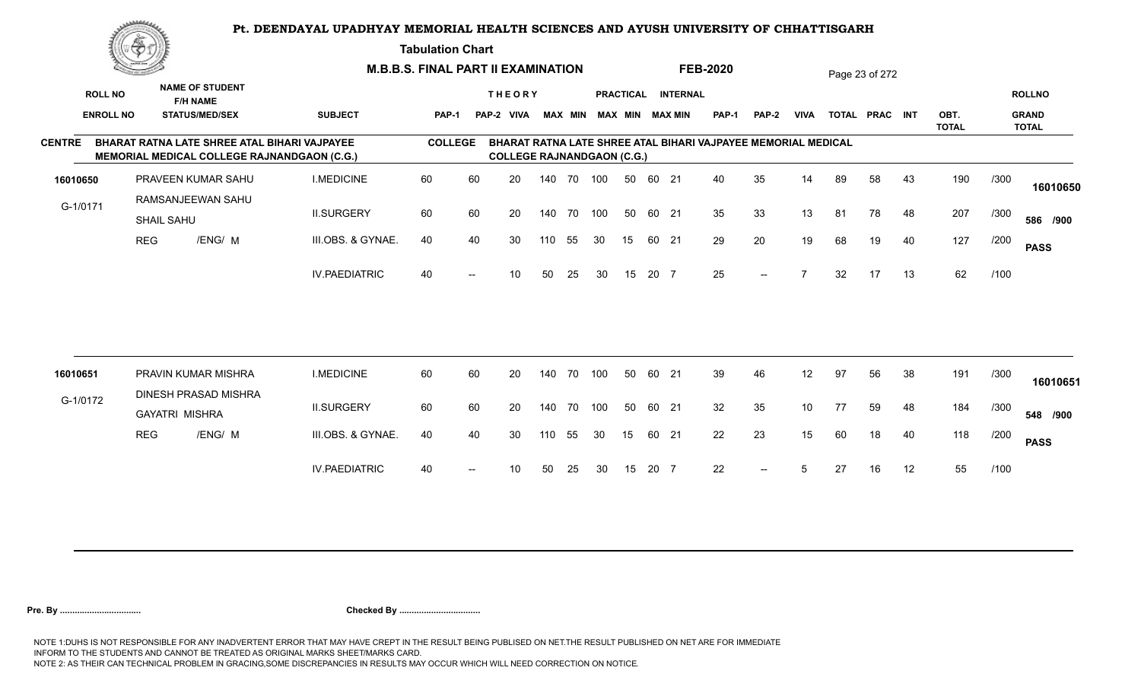**Tabulation Chart** 

|               | <u>Concession of the Sea</u>       |                       |                                                                                             |                      | <b>M.B.B.S. FINAL PART II EXAMINATION</b> |                   |                                   |     |                |     |                  |       |                                           | <b>FEB-2020</b>                                               |              |             |    | Page 23 of 272 |    |                      |      |                                               |
|---------------|------------------------------------|-----------------------|---------------------------------------------------------------------------------------------|----------------------|-------------------------------------------|-------------------|-----------------------------------|-----|----------------|-----|------------------|-------|-------------------------------------------|---------------------------------------------------------------|--------------|-------------|----|----------------|----|----------------------|------|-----------------------------------------------|
|               | <b>ROLL NO</b><br><b>ENROLL NO</b> |                       | <b>NAME OF STUDENT</b><br><b>F/H NAME</b><br><b>STATUS/MED/SEX</b>                          | <b>SUBJECT</b>       | PAP-1                                     |                   | <b>THEORY</b><br>PAP-2 VIVA       |     | <b>MAX MIN</b> |     | <b>PRACTICAL</b> |       | <b>INTERNAL</b><br><b>MAX MIN MAX MIN</b> | <b>PAP-1</b>                                                  | <b>PAP-2</b> | <b>VIVA</b> |    | TOTAL PRAC INT |    | OBT.<br><b>TOTAL</b> |      | <b>ROLLNO</b><br><b>GRAND</b><br><b>TOTAL</b> |
| <b>CENTRE</b> |                                    |                       | BHARAT RATNA LATE SHREE ATAL BIHARI VAJPAYEE<br>MEMORIAL MEDICAL COLLEGE RAJNANDGAON (C.G.) |                      | <b>COLLEGE</b>                            |                   | <b>COLLEGE RAJNANDGAON (C.G.)</b> |     |                |     |                  |       |                                           | BHARAT RATNA LATE SHREE ATAL BIHARI VAJPAYEE MEMORIAL MEDICAL |              |             |    |                |    |                      |      |                                               |
| 16010650      |                                    |                       | PRAVEEN KUMAR SAHU                                                                          | <b>I.MEDICINE</b>    | 60                                        | 60                | 20                                |     | 140 70 100     |     | 50               | 60 21 |                                           | 40                                                            | 35           | 14          | 89 | 58             | 43 | 190                  | /300 | 16010650                                      |
| G-1/0171      |                                    | <b>SHAIL SAHU</b>     | RAMSANJEEWAN SAHU                                                                           | <b>II.SURGERY</b>    | 60                                        | 60                | 20                                |     | 140 70         | 100 | 50               | 60 21 |                                           | 35                                                            | 33           | 13          | 81 | 78             | 48 | 207                  | /300 | 586 /900                                      |
|               |                                    | <b>REG</b>            | /ENG/ M                                                                                     | III.OBS. & GYNAE.    | 40                                        | 40                | 30                                | 110 | 55             | 30  | 15               | 60 21 |                                           | 29                                                            | 20           | 19          | 68 | 19             | 40 | 127                  | /200 | <b>PASS</b>                                   |
|               |                                    |                       |                                                                                             | <b>IV.PAEDIATRIC</b> | 40                                        | $\hspace{0.05cm}$ | 10                                | 50  | 25             | 30  | 15               | 20 7  |                                           | 25                                                            | $--$         |             | 32 | 17             | 13 | 62                   | /100 |                                               |
|               |                                    |                       |                                                                                             |                      |                                           |                   |                                   |     |                |     |                  |       |                                           |                                                               |              |             |    |                |    |                      |      |                                               |
| 16010651      |                                    |                       | PRAVIN KUMAR MISHRA<br>DINESH PRASAD MISHRA                                                 | <b>I.MEDICINE</b>    | 60                                        | 60                | 20                                | 140 | 70             | 100 | 50               | 60 21 |                                           | 39                                                            | 46           | 12          | 97 | 56             | 38 | 191                  | /300 | 16010651                                      |
| G-1/0172      |                                    | <b>GAYATRI MISHRA</b> |                                                                                             | <b>II.SURGERY</b>    | 60                                        | 60                | 20                                | 140 | 70             | 100 | 50               | 60 21 |                                           | 32                                                            | 35           | 10          | 77 | 59             | 48 | 184                  | /300 | 548 /900                                      |
|               |                                    | <b>REG</b>            | /ENG/ M                                                                                     | III.OBS. & GYNAE.    | 40                                        | 40                | 30                                | 110 | 55             | 30  | 15               | 60 21 |                                           | 22                                                            | 23           | 15          | 60 | 18             | 40 | 118                  | /200 | <b>PASS</b>                                   |
|               |                                    |                       |                                                                                             | <b>IV.PAEDIATRIC</b> | 40                                        | $--$              | 10 <sup>°</sup>                   | 50  | 25             | 30  | 15               | 20 7  |                                           | 22                                                            | $--$         | 5           | 27 | 16             | 12 | 55                   | /100 |                                               |
|               |                                    |                       |                                                                                             |                      |                                           |                   |                                   |     |                |     |                  |       |                                           |                                                               |              |             |    |                |    |                      |      |                                               |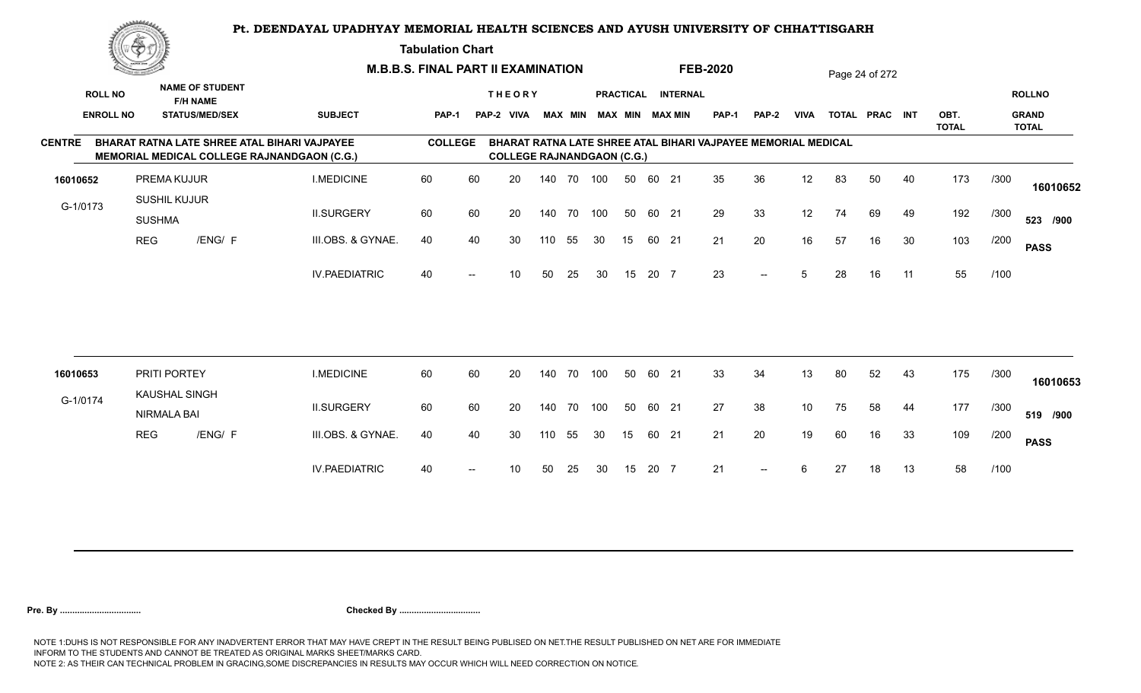**Tabulation Chart** 

|               | <u>Contact on the Contact of South States of South States and States of South States and States and States and States and States and States and States and States and States and States and States and States and States and Sta</u> |                                      |                                           | <b>M.B.B.S. FINAL PART II EXAMINATION</b>                                                   |                |    |                                   |     |                |     |    |       |                        | <b>FEB-2020</b>                                               |              |                 |    | Page 24 of 272 |    |                      |      |                              |
|---------------|--------------------------------------------------------------------------------------------------------------------------------------------------------------------------------------------------------------------------------------|--------------------------------------|-------------------------------------------|---------------------------------------------------------------------------------------------|----------------|----|-----------------------------------|-----|----------------|-----|----|-------|------------------------|---------------------------------------------------------------|--------------|-----------------|----|----------------|----|----------------------|------|------------------------------|
|               | <b>ROLL NO</b>                                                                                                                                                                                                                       |                                      | <b>NAME OF STUDENT</b><br><b>F/H NAME</b> |                                                                                             |                |    | <b>THEORY</b>                     |     |                |     |    |       | PRACTICAL INTERNAL     |                                                               |              |                 |    |                |    |                      |      | <b>ROLLNO</b>                |
|               | <b>ENROLL NO</b>                                                                                                                                                                                                                     |                                      | <b>STATUS/MED/SEX</b>                     | <b>SUBJECT</b>                                                                              | <b>PAP-1</b>   |    | PAP-2 VIVA                        |     | <b>MAX MIN</b> |     |    |       | <b>MAX MIN MAX MIN</b> | <b>PAP-1</b>                                                  | <b>PAP-2</b> | <b>VIVA</b>     |    | TOTAL PRAC INT |    | OBT.<br><b>TOTAL</b> |      | <b>GRAND</b><br><b>TOTAL</b> |
| <b>CENTRE</b> |                                                                                                                                                                                                                                      |                                      |                                           | BHARAT RATNA LATE SHREE ATAL BIHARI VAJPAYEE<br>MEMORIAL MEDICAL COLLEGE RAJNANDGAON (C.G.) | <b>COLLEGE</b> |    | <b>COLLEGE RAJNANDGAON (C.G.)</b> |     |                |     |    |       |                        | BHARAT RATNA LATE SHREE ATAL BIHARI VAJPAYEE MEMORIAL MEDICAL |              |                 |    |                |    |                      |      |                              |
| 16010652      |                                                                                                                                                                                                                                      | PREMA KUJUR                          |                                           | <b>I.MEDICINE</b>                                                                           | 60             | 60 | 20                                |     | 140 70 100     |     | 50 | 60 21 |                        | 35                                                            | 36           | 12              | 83 | 50             | 40 | 173                  | /300 | 16010652                     |
| G-1/0173      |                                                                                                                                                                                                                                      | SUSHIL KUJUR<br><b>SUSHMA</b>        |                                           | <b>II.SURGERY</b>                                                                           | 60             | 60 | 20                                |     | 140 70         | 100 | 50 | 60 21 |                        | 29                                                            | 33           | 12              | 74 | 69             | 49 | 192                  | /300 | 523 /900                     |
|               | <b>REG</b>                                                                                                                                                                                                                           |                                      | /ENG/ F                                   | III.OBS. & GYNAE.                                                                           | 40             | 40 | 30                                | 110 | 55             | 30  | 15 | 60 21 |                        | 21                                                            | 20           | 16              | 57 | 16             | 30 | 103                  | /200 | <b>PASS</b>                  |
|               |                                                                                                                                                                                                                                      |                                      |                                           | <b>IV.PAEDIATRIC</b>                                                                        | 40             |    | 10                                | 50  | 25             | 30  | 15 | 20 7  |                        | 23                                                            | $--$         | 5               | 28 | 16             | 11 | 55                   | /100 |                              |
|               |                                                                                                                                                                                                                                      |                                      |                                           |                                                                                             |                |    |                                   |     |                |     |    |       |                        |                                                               |              |                 |    |                |    |                      |      |                              |
| 16010653      |                                                                                                                                                                                                                                      | PRITI PORTEY<br><b>KAUSHAL SINGH</b> |                                           | <b>I.MEDICINE</b>                                                                           | 60             | 60 | 20                                | 140 | 70             | 100 | 50 | 60 21 |                        | 33                                                            | 34           | 13              | 80 | 52             | 43 | 175                  | /300 | 16010653                     |
| G-1/0174      |                                                                                                                                                                                                                                      | <b>NIRMALA BAI</b>                   |                                           | <b>II.SURGERY</b>                                                                           | 60             | 60 | 20                                |     | 140 70         | 100 | 50 | 60 21 |                        | 27                                                            | 38           | 10 <sup>°</sup> | 75 | 58             | 44 | 177                  | /300 | 519 /900                     |
|               | <b>REG</b>                                                                                                                                                                                                                           |                                      | /ENG/ F                                   | III.OBS. & GYNAE.                                                                           | 40             | 40 | 30                                | 110 | 55             | 30  | 15 | 60 21 |                        | 21                                                            | 20           | 19              | 60 | 16             | 33 | 109                  | /200 | <b>PASS</b>                  |
|               |                                                                                                                                                                                                                                      |                                      |                                           | <b>IV.PAEDIATRIC</b>                                                                        | 40             |    | 10                                | 50  | 25             | 30  | 15 | 20 7  |                        | 21                                                            | $--$         | 6               | 27 | 18             | 13 | 58                   | /100 |                              |
|               |                                                                                                                                                                                                                                      |                                      |                                           |                                                                                             |                |    |                                   |     |                |     |    |       |                        |                                                               |              |                 |    |                |    |                      |      |                              |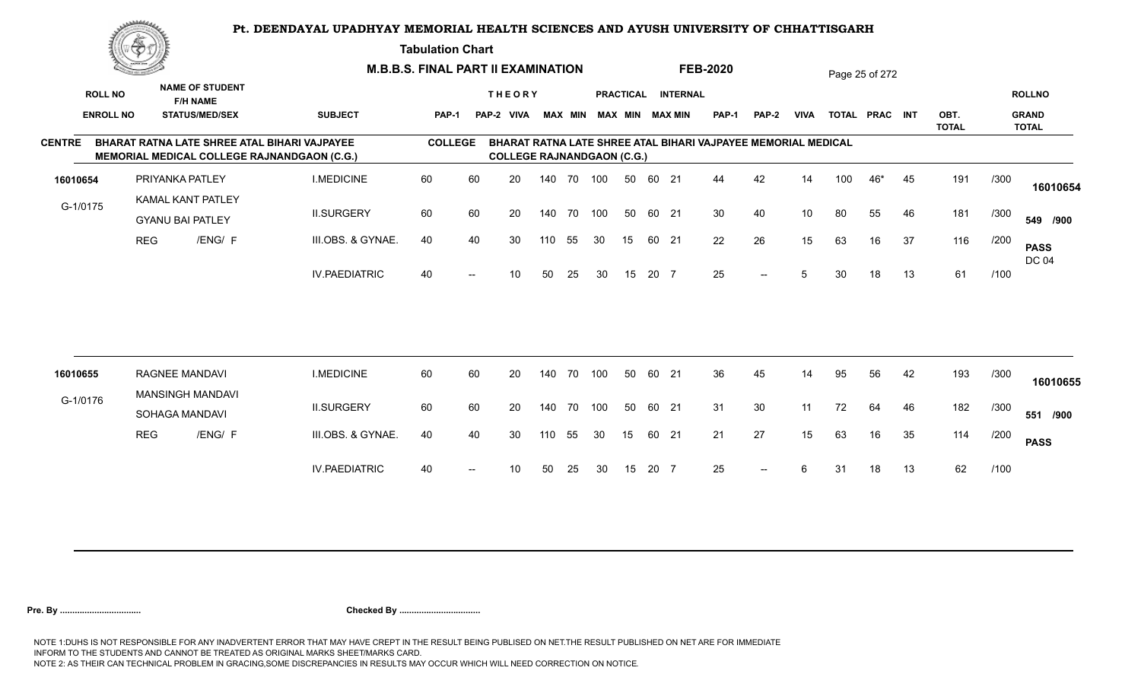**Tabulation Chart** 

|                  | <u>Contraction of the Contract of the Contract of the Contract of the Contract of the Contract of the Contract of the Contract of the Contract of the Contract of the Contract of the Contract of the Contract of the Contract o</u> |                                                     |                        |                                                                                                    | <b>M.B.B.S. FINAL PART II EXAMINATION</b> |    |                                   |        |                |     |                  |       |                        | <b>FEB-2020</b>                                               |              |                 |     | Page 25 of 272 |    |                      |      |                              |
|------------------|--------------------------------------------------------------------------------------------------------------------------------------------------------------------------------------------------------------------------------------|-----------------------------------------------------|------------------------|----------------------------------------------------------------------------------------------------|-------------------------------------------|----|-----------------------------------|--------|----------------|-----|------------------|-------|------------------------|---------------------------------------------------------------|--------------|-----------------|-----|----------------|----|----------------------|------|------------------------------|
| <b>ROLL NO</b>   |                                                                                                                                                                                                                                      | <b>F/H NAME</b>                                     | <b>NAME OF STUDENT</b> |                                                                                                    |                                           |    | <b>THEORY</b>                     |        |                |     | <b>PRACTICAL</b> |       | <b>INTERNAL</b>        |                                                               |              |                 |     |                |    |                      |      | <b>ROLLNO</b>                |
| <b>ENROLL NO</b> |                                                                                                                                                                                                                                      | <b>STATUS/MED/SEX</b>                               |                        | <b>SUBJECT</b>                                                                                     | <b>PAP-1</b>                              |    | PAP-2 VIVA                        |        | <b>MAX MIN</b> |     |                  |       | <b>MAX MIN MAX MIN</b> | <b>PAP-1</b>                                                  | <b>PAP-2</b> | <b>VIVA</b>     |     | TOTAL PRAC INT |    | OBT.<br><b>TOTAL</b> |      | <b>GRAND</b><br><b>TOTAL</b> |
| <b>CENTRE</b>    |                                                                                                                                                                                                                                      |                                                     |                        | BHARAT RATNA LATE SHREE ATAL BIHARI VAJPAYEE<br><b>MEMORIAL MEDICAL COLLEGE RAJNANDGAON (C.G.)</b> | <b>COLLEGE</b>                            |    | <b>COLLEGE RAJNANDGAON (C.G.)</b> |        |                |     |                  |       |                        | BHARAT RATNA LATE SHREE ATAL BIHARI VAJPAYEE MEMORIAL MEDICAL |              |                 |     |                |    |                      |      |                              |
| 16010654         |                                                                                                                                                                                                                                      | PRIYANKA PATLEY                                     |                        | <b>I.MEDICINE</b>                                                                                  | 60                                        | 60 | 20                                | 140 70 |                | 100 | 50               | 60 21 |                        | 44                                                            | 42           | 14              | 100 | 46*            | 45 | 191                  | /300 | 16010654                     |
| G-1/0175         |                                                                                                                                                                                                                                      | <b>KAMAL KANT PATLEY</b><br><b>GYANU BAI PATLEY</b> |                        | <b>II.SURGERY</b>                                                                                  | 60                                        | 60 | 20                                | 140 70 |                | 100 | 50               | 60 21 |                        | 30                                                            | 40           | 10 <sup>°</sup> | 80  | 55             | 46 | 181                  | /300 | 549 /900                     |
|                  | <b>REG</b>                                                                                                                                                                                                                           |                                                     | /ENG/ F                | III.OBS. & GYNAE.                                                                                  | 40                                        | 40 | 30                                | 110    | 55             | 30  | 15               | 60 21 |                        | 22                                                            | 26           | 15              | 63  | 16             | 37 | 116                  | /200 | <b>PASS</b><br><b>DC 04</b>  |
|                  |                                                                                                                                                                                                                                      |                                                     |                        | <b>IV.PAEDIATRIC</b>                                                                               | 40                                        |    | 10                                | 50     | 25             | 30  | 15               | 20 7  |                        | 25                                                            | $- -$        | 5               | 30  | 18             | 13 | 61                   | /100 |                              |
|                  |                                                                                                                                                                                                                                      |                                                     |                        |                                                                                                    |                                           |    |                                   |        |                |     |                  |       |                        |                                                               |              |                 |     |                |    |                      |      |                              |
| 16010655         |                                                                                                                                                                                                                                      | <b>RAGNEE MANDAVI</b><br><b>MANSINGH MANDAVI</b>    |                        | <b>I.MEDICINE</b>                                                                                  | 60                                        | 60 | 20                                | 140    | 70             | 100 | 50               | 60 21 |                        | 36                                                            | 45           | 14              | 95  | 56             | 42 | 193                  | /300 | 16010655                     |
| G-1/0176         |                                                                                                                                                                                                                                      | SOHAGA MANDAVI                                      |                        | <b>II.SURGERY</b>                                                                                  | 60                                        | 60 | 20                                | 140    | 70             | 100 | 50               | 60 21 |                        | 31                                                            | 30           | 11              | 72  | 64             | 46 | 182                  | /300 | 551 /900                     |
|                  | <b>REG</b>                                                                                                                                                                                                                           |                                                     | /ENG/ F                | III.OBS. & GYNAE.                                                                                  | 40                                        | 40 | 30                                | 110    | 55             | 30  | 15               | 60 21 |                        | 21                                                            | 27           | 15              | 63  | 16             | 35 | 114                  | /200 | <b>PASS</b>                  |
|                  |                                                                                                                                                                                                                                      |                                                     |                        | <b>IV.PAEDIATRIC</b>                                                                               | 40                                        |    | 10                                | 50     | 25             | 30  | 15               | 20 7  |                        | 25                                                            | $--$         | 6               | 31  | 18             | 13 | 62                   | /100 |                              |
|                  |                                                                                                                                                                                                                                      |                                                     |                        |                                                                                                    |                                           |    |                                   |        |                |     |                  |       |                        |                                                               |              |                 |     |                |    |                      |      |                              |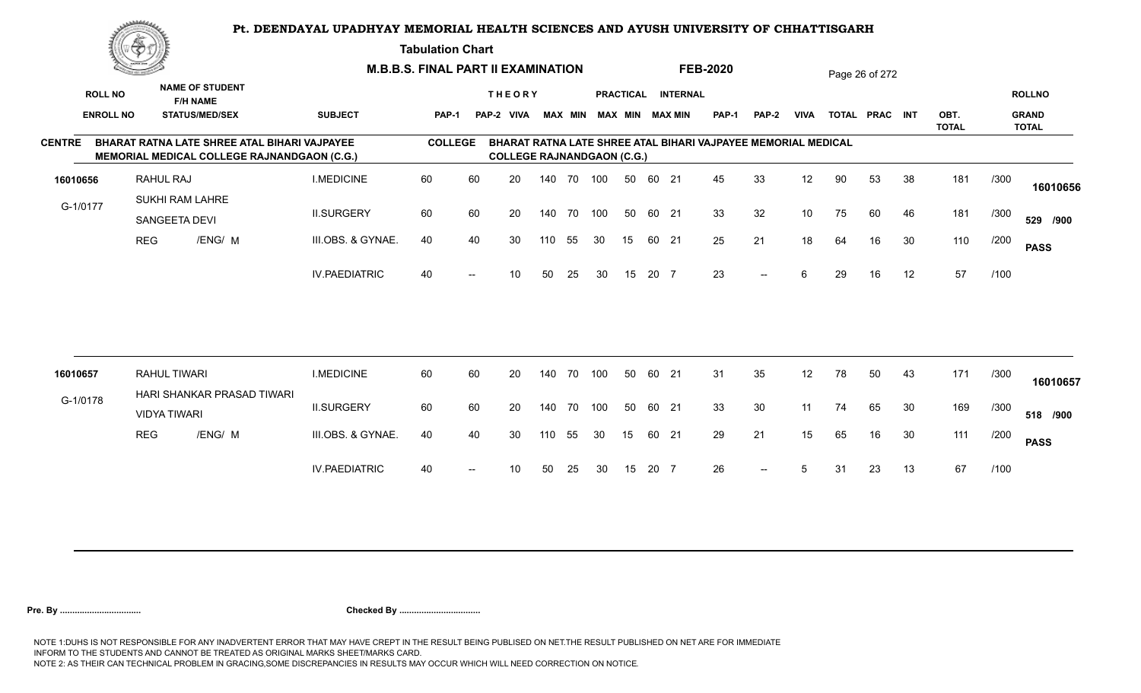**Tabulation Chart** 

|                  | <u>Contraction of the Contract of the Contract of the Contract of the Contract of the Contract of the Contract of the Contract of the Contract of the Contract of the Contract of the Contract of the Contract of the Contract o</u> |                                  |                                                                                                    |                      | <b>M.B.B.S. FINAL PART II EXAMINATION</b> |                          |                                   |        |                |     |                  |       |                 | <b>FEB-2020</b>                                               |                          |             |     | Page 26 of 272 |    |                      |      |                              |
|------------------|--------------------------------------------------------------------------------------------------------------------------------------------------------------------------------------------------------------------------------------|----------------------------------|----------------------------------------------------------------------------------------------------|----------------------|-------------------------------------------|--------------------------|-----------------------------------|--------|----------------|-----|------------------|-------|-----------------|---------------------------------------------------------------|--------------------------|-------------|-----|----------------|----|----------------------|------|------------------------------|
| <b>ROLL NO</b>   |                                                                                                                                                                                                                                      | <b>F/H NAME</b>                  | <b>NAME OF STUDENT</b>                                                                             |                      |                                           |                          | <b>THEORY</b>                     |        |                |     | <b>PRACTICAL</b> |       | <b>INTERNAL</b> |                                                               |                          |             |     |                |    |                      |      | <b>ROLLNO</b>                |
| <b>ENROLL NO</b> |                                                                                                                                                                                                                                      |                                  | <b>STATUS/MED/SEX</b>                                                                              | <b>SUBJECT</b>       | <b>PAP-1</b>                              |                          | PAP-2 VIVA                        |        | <b>MAX MIN</b> |     |                  |       | MAX MIN MAX MIN | <b>PAP-1</b>                                                  | <b>PAP-2</b>             | <b>VIVA</b> |     | TOTAL PRAC INT |    | OBT.<br><b>TOTAL</b> |      | <b>GRAND</b><br><b>TOTAL</b> |
| <b>CENTRE</b>    |                                                                                                                                                                                                                                      |                                  | <b>BHARAT RATNA LATE SHREE ATAL BIHARI VAJPAYEE</b><br>MEMORIAL MEDICAL COLLEGE RAJNANDGAON (C.G.) |                      | <b>COLLEGE</b>                            |                          | <b>COLLEGE RAJNANDGAON (C.G.)</b> |        |                |     |                  |       |                 | BHARAT RATNA LATE SHREE ATAL BIHARI VAJPAYEE MEMORIAL MEDICAL |                          |             |     |                |    |                      |      |                              |
| 16010656         |                                                                                                                                                                                                                                      | RAHUL RAJ                        |                                                                                                    | <b>I.MEDICINE</b>    | 60                                        | 60                       | 20                                | 140 70 |                | 100 | 50               | 60 21 |                 | 45                                                            | 33                       | 12          | 90  | 53             | 38 | 181                  | /300 | 16010656                     |
| G-1/0177         |                                                                                                                                                                                                                                      | SUKHI RAM LAHRE<br>SANGEETA DEVI |                                                                                                    | <b>II.SURGERY</b>    | 60                                        | 60                       | 20                                | 140 70 |                | 100 | 50               | 60 21 |                 | 33                                                            | 32                       | 10          | 75  | 60             | 46 | 181                  | /300 | 529 /900                     |
|                  | <b>REG</b>                                                                                                                                                                                                                           |                                  | /ENG/ M                                                                                            | III.OBS. & GYNAE.    | 40                                        | 40                       | 30                                | 110    | 55             | 30  | 15               | 60 21 |                 | 25                                                            | 21                       | 18          | 64  | 16             | 30 | 110                  | /200 | <b>PASS</b>                  |
|                  |                                                                                                                                                                                                                                      |                                  |                                                                                                    | <b>IV.PAEDIATRIC</b> | 40                                        | $\overline{\phantom{a}}$ | 10                                | 50     | 25             | 30  | 15               | 20 7  |                 | 23                                                            | $\overline{\phantom{a}}$ | 6           | 29  | 16             | 12 | 57                   | /100 |                              |
|                  |                                                                                                                                                                                                                                      |                                  |                                                                                                    |                      |                                           |                          |                                   |        |                |     |                  |       |                 |                                                               |                          |             |     |                |    |                      |      |                              |
| 16010657         |                                                                                                                                                                                                                                      | <b>RAHUL TIWARI</b>              |                                                                                                    | <b>I.MEDICINE</b>    | 60                                        | 60                       | 20                                | 140    | 70             | 100 | 50               | 60 21 |                 | 31                                                            | 35                       | 12          | 78  | 50             | 43 | 171                  | /300 | 16010657                     |
| G-1/0178         |                                                                                                                                                                                                                                      | <b>VIDYA TIWARI</b>              | HARI SHANKAR PRASAD TIWARI                                                                         | <b>II.SURGERY</b>    | 60                                        | 60                       | 20                                | 140    | 70             | 100 | 50               | 60 21 |                 | 33                                                            | 30                       | 11          | 74  | 65             | 30 | 169                  | /300 | 518 /900                     |
|                  | <b>REG</b>                                                                                                                                                                                                                           |                                  | /ENG/ M                                                                                            | III.OBS. & GYNAE.    | 40                                        | 40                       | 30                                | 110    | 55             | 30  | 15               | 60 21 |                 | 29                                                            | 21                       | 15          | 65  | 16             | 30 | 111                  | /200 | <b>PASS</b>                  |
|                  |                                                                                                                                                                                                                                      |                                  |                                                                                                    | <b>IV.PAEDIATRIC</b> | 40                                        |                          | 10                                | 50     | 25             | 30  | 15               | 20 7  |                 | 26                                                            | $\overline{\phantom{a}}$ | 5           | -31 | 23             | 13 | 67                   | /100 |                              |
|                  |                                                                                                                                                                                                                                      |                                  |                                                                                                    |                      |                                           |                          |                                   |        |                |     |                  |       |                 |                                                               |                          |             |     |                |    |                      |      |                              |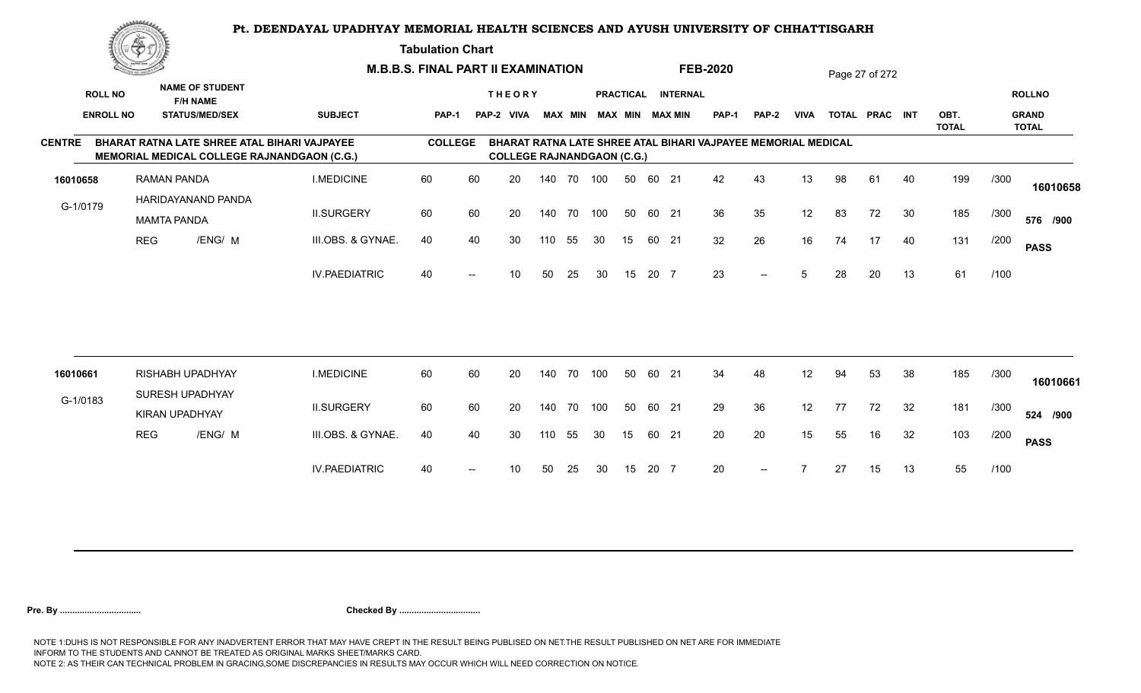**Tabulation Chart** 

|               | <u>Contraction of the Sea</u> |                                                                                                    |                      | <b>M.B.B.S. FINAL PART II EXAMINATION</b> |    |                                   |        |                |     |                  |       |                        | <b>FEB-2020</b>                                               |       |             |    | Page 27 of 272 |    |                      |      |                              |
|---------------|-------------------------------|----------------------------------------------------------------------------------------------------|----------------------|-------------------------------------------|----|-----------------------------------|--------|----------------|-----|------------------|-------|------------------------|---------------------------------------------------------------|-------|-------------|----|----------------|----|----------------------|------|------------------------------|
|               | <b>ROLL NO</b>                | <b>NAME OF STUDENT</b><br><b>F/H NAME</b>                                                          |                      |                                           |    | <b>THEORY</b>                     |        |                |     | <b>PRACTICAL</b> |       | <b>INTERNAL</b>        |                                                               |       |             |    |                |    |                      |      | <b>ROLLNO</b>                |
|               | <b>ENROLL NO</b>              | <b>STATUS/MED/SEX</b>                                                                              | <b>SUBJECT</b>       | PAP-1                                     |    | PAP-2 VIVA                        |        | <b>MAX MIN</b> |     |                  |       | <b>MAX MIN MAX MIN</b> | <b>PAP-1</b>                                                  | PAP-2 | <b>VIVA</b> |    | TOTAL PRAC INT |    | OBT.<br><b>TOTAL</b> |      | <b>GRAND</b><br><b>TOTAL</b> |
| <b>CENTRE</b> |                               | BHARAT RATNA LATE SHREE ATAL BIHARI VAJPAYEE<br><b>MEMORIAL MEDICAL COLLEGE RAJNANDGAON (C.G.)</b> |                      | <b>COLLEGE</b>                            |    | <b>COLLEGE RAJNANDGAON (C.G.)</b> |        |                |     |                  |       |                        | BHARAT RATNA LATE SHREE ATAL BIHARI VAJPAYEE MEMORIAL MEDICAL |       |             |    |                |    |                      |      |                              |
| 16010658      |                               | <b>RAMAN PANDA</b>                                                                                 | <b>I.MEDICINE</b>    | 60                                        | 60 | 20                                |        | 140 70 100     |     | 50               | 60 21 |                        | 42                                                            | 43    | 13          | 98 | 61             | 40 | 199                  | /300 | 16010658                     |
| G-1/0179      |                               | HARIDAYANAND PANDA<br><b>MAMTA PANDA</b>                                                           | <b>II.SURGERY</b>    | 60                                        | 60 | 20                                |        | 140 70         | 100 | 50               | 60 21 |                        | 36                                                            | 35    | 12          | 83 | 72             | 30 | 185                  | /300 | 576 /900                     |
|               | <b>REG</b>                    | /ENG/ M                                                                                            | III.OBS. & GYNAE.    | 40                                        | 40 | 30                                | 110    | 55             | 30  | 15               | 60 21 |                        | 32                                                            | 26    | 16          | 74 | 17             | 40 | 131                  | /200 | <b>PASS</b>                  |
|               |                               |                                                                                                    | <b>IV.PAEDIATRIC</b> | 40                                        |    | 10                                | 50     | 25             | 30  | 15               | 20 7  |                        | 23                                                            | $--$  | 5           | 28 | 20             | 13 | 61                   | /100 |                              |
|               |                               |                                                                                                    |                      |                                           |    |                                   |        |                |     |                  |       |                        |                                                               |       |             |    |                |    |                      |      |                              |
| 16010661      |                               | <b>RISHABH UPADHYAY</b>                                                                            | <b>I.MEDICINE</b>    | 60                                        | 60 | 20                                |        | 140 70         | 100 | 50               | 60 21 |                        | 34                                                            | 48    | 12          | 94 | 53             | 38 | 185                  | /300 | 16010661                     |
| G-1/0183      |                               | SURESH UPADHYAY<br><b>KIRAN UPADHYAY</b>                                                           | <b>II.SURGERY</b>    | 60                                        | 60 | 20                                | 140 70 |                | 100 | 50               | 60 21 |                        | 29                                                            | 36    | 12          | 77 | 72             | 32 | 181                  | /300 | 524 /900                     |
|               | <b>REG</b>                    | /ENG/ M                                                                                            | III.OBS. & GYNAE.    | 40                                        | 40 | 30                                | 110    | 55             | 30  | 15               | 60 21 |                        | 20                                                            | 20    | 15          | 55 | 16             | 32 | 103                  | /200 | <b>PASS</b>                  |
|               |                               |                                                                                                    | <b>IV.PAEDIATRIC</b> | 40                                        |    | 10                                | 50     | 25             | 30  | 15               | 20 7  |                        | 20                                                            | $- -$ |             | 27 | 15             | 13 | 55                   | /100 |                              |
|               |                               |                                                                                                    |                      |                                           |    |                                   |        |                |     |                  |       |                        |                                                               |       |             |    |                |    |                      |      |                              |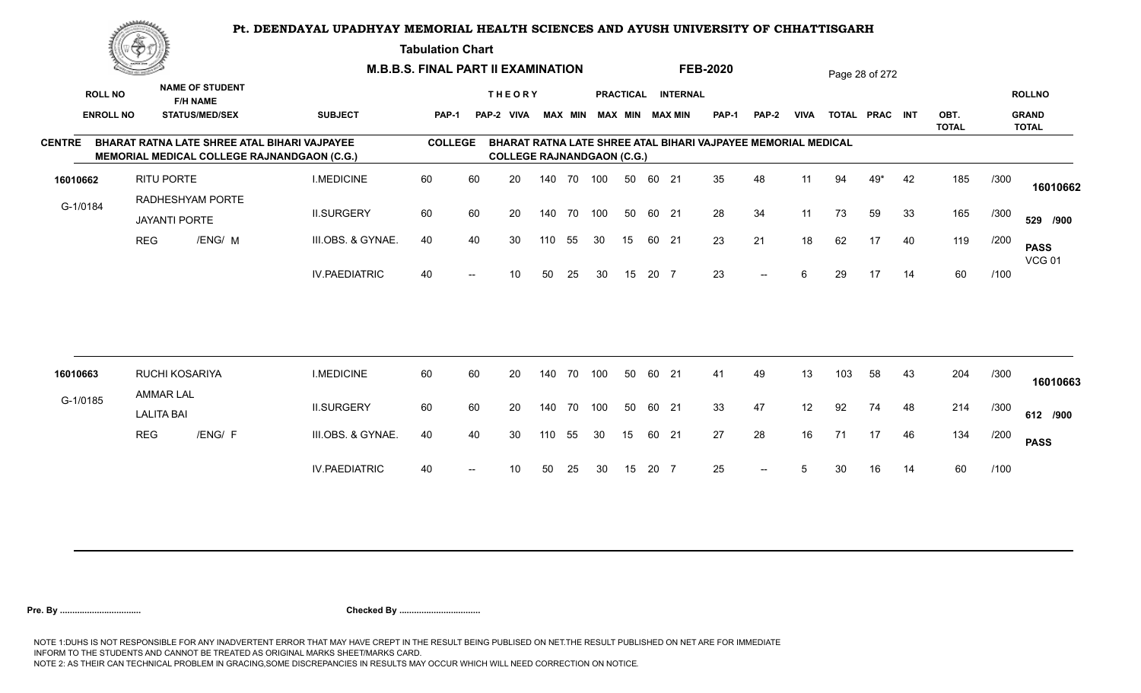**Tabulation Chart** 

|                  | <u>tana ya mwaka 1999.</u><br>Matukio huo |                                           |                                                                                             | <b>M.B.B.S. FINAL PART II EXAMINATION</b> |                          |                                    |        |        |     |    |       |                    | <b>FEB-2020</b>                                               |       |      |     | Page 28 of 272 |    |                      |      |                              |
|------------------|-------------------------------------------|-------------------------------------------|---------------------------------------------------------------------------------------------|-------------------------------------------|--------------------------|------------------------------------|--------|--------|-----|----|-------|--------------------|---------------------------------------------------------------|-------|------|-----|----------------|----|----------------------|------|------------------------------|
| <b>ROLL NO</b>   |                                           | <b>NAME OF STUDENT</b><br><b>F/H NAME</b> |                                                                                             |                                           |                          | <b>THEORY</b>                      |        |        |     |    |       | PRACTICAL INTERNAL |                                                               |       |      |     |                |    |                      |      | <b>ROLLNO</b>                |
| <b>ENROLL NO</b> |                                           | <b>STATUS/MED/SEX</b>                     | <b>SUBJECT</b>                                                                              | <b>PAP-1</b>                              |                          | PAP-2 VIVA MAX MIN MAX MIN MAX MIN |        |        |     |    |       |                    | <b>PAP-1</b>                                                  | PAP-2 | VIVA |     | TOTAL PRAC INT |    | OBT.<br><b>TOTAL</b> |      | <b>GRAND</b><br><b>TOTAL</b> |
| <b>CENTRE</b>    |                                           |                                           | BHARAT RATNA LATE SHREE ATAL BIHARI VAJPAYEE<br>MEMORIAL MEDICAL COLLEGE RAJNANDGAON (C.G.) | <b>COLLEGE</b>                            |                          | <b>COLLEGE RAJNANDGAON (C.G.)</b>  |        |        |     |    |       |                    | BHARAT RATNA LATE SHREE ATAL BIHARI VAJPAYEE MEMORIAL MEDICAL |       |      |     |                |    |                      |      |                              |
| 16010662         |                                           | RITU PORTE                                | <b>I.MEDICINE</b>                                                                           | 60                                        | 60                       | 20                                 |        | 140 70 | 100 | 50 | 60 21 |                    | 35                                                            | 48    | 11   | 94  | 49*            | 42 | 185                  | /300 | 16010662                     |
| G-1/0184         |                                           | RADHESHYAM PORTE<br><b>JAYANTI PORTE</b>  | <b>II.SURGERY</b>                                                                           | 60                                        | 60                       | 20                                 | 140    | 70     | 100 | 50 | 60 21 |                    | 28                                                            | 34    | 11   | 73  | 59             | 33 | 165                  | /300 | 529 /900                     |
|                  | <b>REG</b>                                | /ENG/ M                                   | III.OBS. & GYNAE.                                                                           | 40                                        | 40                       | 30                                 | 110    | 55     | 30  | 15 | 60 21 |                    | 23                                                            | 21    | 18   | 62  | 17             | 40 | 119                  | /200 | <b>PASS</b><br><b>VCG 01</b> |
|                  |                                           |                                           | <b>IV.PAEDIATRIC</b>                                                                        | 40                                        | $\overline{\phantom{a}}$ | 10 <sup>°</sup>                    | 50     | 25     | 30  | 15 | 20 7  |                    | 23                                                            | $-$   | 6    | 29  | 17             | 14 | 60                   | /100 |                              |
|                  |                                           |                                           |                                                                                             |                                           |                          |                                    |        |        |     |    |       |                    |                                                               |       |      |     |                |    |                      |      |                              |
|                  |                                           |                                           |                                                                                             |                                           |                          |                                    |        |        |     |    |       |                    |                                                               |       |      |     |                |    |                      |      |                              |
| 16010663         |                                           | RUCHI KOSARIYA<br><b>AMMAR LAL</b>        | <b>I.MEDICINE</b>                                                                           | 60                                        | 60                       | 20                                 | 140 70 |        | 100 | 50 | 60 21 |                    | 41                                                            | 49    | 13   | 103 | 58             | 43 | 204                  | /300 | 16010663                     |
| G-1/0185         |                                           | <b>LALITA BAI</b>                         | <b>II.SURGERY</b>                                                                           | 60                                        | 60                       | 20                                 | 140 70 |        | 100 | 50 | 60 21 |                    | 33                                                            | 47    | 12   | 92  | 74             | 48 | 214                  | /300 | 612 /900                     |
|                  | <b>REG</b>                                | /ENG/ F                                   | III.OBS. & GYNAE.                                                                           | 40                                        | 40                       | 30                                 | 110    | 55     | 30  | 15 | 60 21 |                    | 27                                                            | 28    | 16   | 71  | 17             | 46 | 134                  | /200 | <b>PASS</b>                  |
|                  |                                           |                                           | <b>IV.PAEDIATRIC</b>                                                                        | 40                                        |                          | 10                                 | 50     | 25     | 30  | 15 | 20 7  |                    | 25                                                            | $--$  | 5    | 30  | 16             | 14 | 60                   | /100 |                              |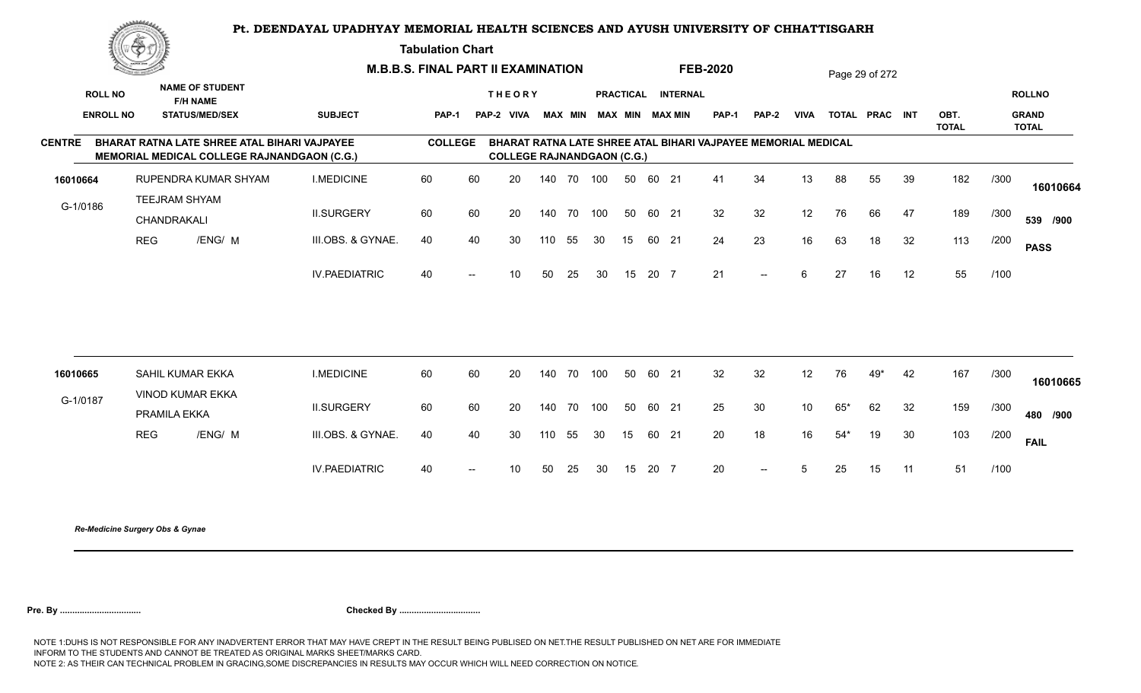**Tabulation Chart** 

|                  | <u>Contraction of the State of Sta</u> |                                                                                             |                      | <b>M.B.B.S. FINAL PART II EXAMINATION</b> |    |                                   |        |                |     |                  |       |                 | <b>FEB-2020</b>                                               |                          |                 |       | Page 29 of 272 |    |                      |      |                              |
|------------------|----------------------------------------|---------------------------------------------------------------------------------------------|----------------------|-------------------------------------------|----|-----------------------------------|--------|----------------|-----|------------------|-------|-----------------|---------------------------------------------------------------|--------------------------|-----------------|-------|----------------|----|----------------------|------|------------------------------|
| <b>ROLL NO</b>   |                                        | <b>NAME OF STUDENT</b><br><b>F/H NAME</b>                                                   |                      |                                           |    | <b>THEORY</b>                     |        |                |     | <b>PRACTICAL</b> |       | <b>INTERNAL</b> |                                                               |                          |                 |       |                |    |                      |      | <b>ROLLNO</b>                |
| <b>ENROLL NO</b> |                                        | <b>STATUS/MED/SEX</b>                                                                       | <b>SUBJECT</b>       | <b>PAP-1</b>                              |    | PAP-2 VIVA                        |        | <b>MAX MIN</b> |     |                  |       | MAX MIN MAX MIN | <b>PAP-1</b>                                                  | <b>PAP-2</b>             | <b>VIVA</b>     |       | TOTAL PRAC INT |    | OBT.<br><b>TOTAL</b> |      | <b>GRAND</b><br><b>TOTAL</b> |
| <b>CENTRE</b>    |                                        | BHARAT RATNA LATE SHREE ATAL BIHARI VAJPAYEE<br>MEMORIAL MEDICAL COLLEGE RAJNANDGAON (C.G.) |                      | <b>COLLEGE</b>                            |    | <b>COLLEGE RAJNANDGAON (C.G.)</b> |        |                |     |                  |       |                 | BHARAT RATNA LATE SHREE ATAL BIHARI VAJPAYEE MEMORIAL MEDICAL |                          |                 |       |                |    |                      |      |                              |
| 16010664         |                                        | RUPENDRA KUMAR SHYAM                                                                        | <b>I.MEDICINE</b>    | 60                                        | 60 | 20                                | 140 70 |                | 100 | 50               | 60 21 |                 | 41                                                            | 34                       | 13              | 88    | 55             | 39 | 182                  | /300 | 16010664                     |
| G-1/0186         |                                        | TEEJRAM SHYAM<br>CHANDRAKALI                                                                | <b>II.SURGERY</b>    | 60                                        | 60 | 20                                |        | 140 70         | 100 | 50               | 60 21 |                 | 32                                                            | 32                       | 12              | 76    | 66             | 47 | 189                  | /300 | 539 /900                     |
|                  | <b>REG</b>                             | /ENG/ M                                                                                     | III.OBS. & GYNAE.    | 40                                        | 40 | 30                                | 110    | 55             | 30  | 15               | 60 21 |                 | 24                                                            | 23                       | 16              | 63    | 18             | 32 | 113                  | /200 | <b>PASS</b>                  |
|                  |                                        |                                                                                             | <b>IV.PAEDIATRIC</b> | 40                                        |    | 10 <sup>°</sup>                   | 50     | 25             | 30  | 15               | 20 7  |                 | 21                                                            | $\overline{\phantom{a}}$ | 6               | 27    | 16             | 12 | 55                   | /100 |                              |
|                  |                                        |                                                                                             |                      |                                           |    |                                   |        |                |     |                  |       |                 |                                                               |                          |                 |       |                |    |                      |      |                              |
| 16010665         |                                        | SAHIL KUMAR EKKA<br>VINOD KUMAR EKKA                                                        | <b>I.MEDICINE</b>    | 60                                        | 60 | 20                                | 140 70 |                | 100 | 50               | 60 21 |                 | 32                                                            | 32                       | 12              | 76    | 49*            | 42 | 167                  | /300 | 16010665                     |
| G-1/0187         |                                        | PRAMILA EKKA                                                                                | <b>II.SURGERY</b>    | 60                                        | 60 | 20                                | 140 70 |                | 100 | 50               | 60 21 |                 | 25                                                            | 30                       | 10 <sup>°</sup> | $65*$ | 62             | 32 | 159                  | /300 | 480 /900                     |
|                  | <b>REG</b>                             | /ENG/ M                                                                                     | III.OBS. & GYNAE.    | 40                                        | 40 | 30                                | 110    | 55             | 30  | 15               | 60 21 |                 | 20                                                            | 18                       | 16              | $54*$ | 19             | 30 | 103                  | /200 | <b>FAIL</b>                  |
|                  |                                        |                                                                                             | <b>IV.PAEDIATRIC</b> | 40                                        |    | 10                                | 50     | 25             | 30  | 15               | 20 7  |                 | 20                                                            | $-$                      | 5               | 25    | 15             | 11 | 51                   | /100 |                              |
|                  |                                        |                                                                                             |                      |                                           |    |                                   |        |                |     |                  |       |                 |                                                               |                          |                 |       |                |    |                      |      |                              |

*Re-Medicine Surgery Obs & Gynae*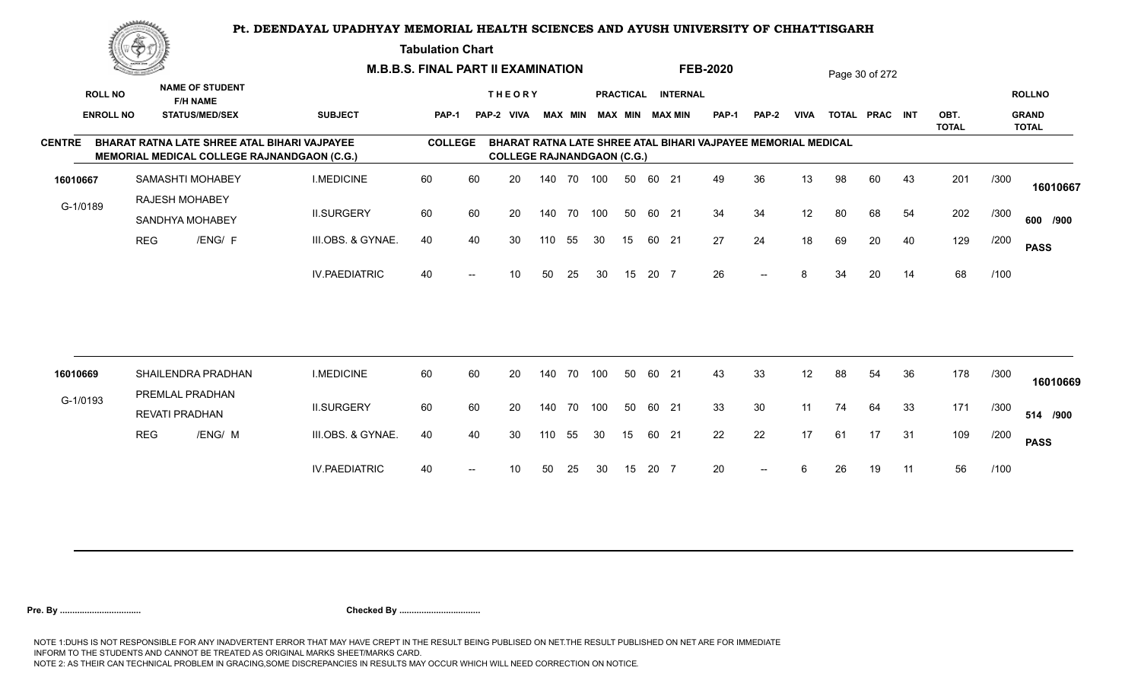**Tabulation Chart** 

|                  | <u>Contraction of the State of Sta</u> |                                          |                        | <b>M.B.B.S. FINAL PART II EXAMINATION</b>                                                                 |                |    |                                   |        |                |     |                  |       |                        | <b>FEB-2020</b>                                                      |              |             |    | Page 30 of 272 |    |                      |      |                              |
|------------------|----------------------------------------|------------------------------------------|------------------------|-----------------------------------------------------------------------------------------------------------|----------------|----|-----------------------------------|--------|----------------|-----|------------------|-------|------------------------|----------------------------------------------------------------------|--------------|-------------|----|----------------|----|----------------------|------|------------------------------|
| <b>ROLL NO</b>   |                                        | <b>F/H NAME</b>                          | <b>NAME OF STUDENT</b> |                                                                                                           |                |    | <b>THEORY</b>                     |        |                |     | <b>PRACTICAL</b> |       | <b>INTERNAL</b>        |                                                                      |              |             |    |                |    |                      |      | <b>ROLLNO</b>                |
| <b>ENROLL NO</b> |                                        |                                          | <b>STATUS/MED/SEX</b>  | <b>SUBJECT</b>                                                                                            | <b>PAP-1</b>   |    | PAP-2 VIVA                        |        | <b>MAX MIN</b> |     |                  |       | <b>MAX MIN MAX MIN</b> | <b>PAP-1</b>                                                         | <b>PAP-2</b> | <b>VIVA</b> |    | TOTAL PRAC INT |    | OBT.<br><b>TOTAL</b> |      | <b>GRAND</b><br><b>TOTAL</b> |
| <b>CENTRE</b>    |                                        |                                          |                        | <b>BHARAT RATNA LATE SHREE ATAL BIHARI VAJPAYEE</b><br><b>MEMORIAL MEDICAL COLLEGE RAJNANDGAON (C.G.)</b> | <b>COLLEGE</b> |    | <b>COLLEGE RAJNANDGAON (C.G.)</b> |        |                |     |                  |       |                        | <b>BHARAT RATNA LATE SHREE ATAL BIHARI VAJPAYEE MEMORIAL MEDICAL</b> |              |             |    |                |    |                      |      |                              |
| 16010667         |                                        |                                          | SAMASHTI MOHABEY       | <b>I.MEDICINE</b>                                                                                         | 60             | 60 | 20                                |        | 140 70         | 100 | 50               | 60 21 |                        | 49                                                                   | 36           | 13          | 98 | 60             | 43 | 201                  | /300 | 16010667                     |
| G-1/0189         |                                        | RAJESH MOHABEY<br>SANDHYA MOHABEY        |                        | <b>II.SURGERY</b>                                                                                         | 60             | 60 | 20                                |        | 140 70         | 100 | 50               | 60 21 |                        | 34                                                                   | 34           | 12          | 80 | 68             | 54 | 202                  | /300 | 600 /900                     |
|                  | <b>REG</b>                             |                                          | /ENG/ F                | III.OBS. & GYNAE.                                                                                         | 40             | 40 | 30                                | 110    | 55             | 30  | 15               | 60 21 |                        | 27                                                                   | 24           | 18          | 69 | 20             | 40 | 129                  | /200 | <b>PASS</b>                  |
|                  |                                        |                                          |                        | <b>IV.PAEDIATRIC</b>                                                                                      | 40             |    | 10 <sup>°</sup>                   | 50     | 25             | 30  | 15               | 20 7  |                        | 26                                                                   | $--$         | 8           | 34 | 20             | 14 | 68                   | /100 |                              |
|                  |                                        |                                          |                        |                                                                                                           |                |    |                                   |        |                |     |                  |       |                        |                                                                      |              |             |    |                |    |                      |      |                              |
| 16010669         |                                        |                                          | SHAILENDRA PRADHAN     | <b>I.MEDICINE</b>                                                                                         | 60             | 60 | 20                                | 140 70 |                | 100 | 50               | 60 21 |                        | 43                                                                   | 33           | 12          | 88 | 54             | 36 | 178                  | /300 | 16010669                     |
| G-1/0193         |                                        | PREMLAL PRADHAN<br><b>REVATI PRADHAN</b> |                        | <b>II.SURGERY</b>                                                                                         | 60             | 60 | 20                                |        | 140 70         | 100 | 50               | 60 21 |                        | 33                                                                   | 30           | 11          | 74 | 64             | 33 | 171                  | /300 | 514 /900                     |
|                  | <b>REG</b>                             |                                          | /ENG/ M                | III.OBS. & GYNAE.                                                                                         | 40             | 40 | 30                                | 110    | 55             | 30  | 15               | 60 21 |                        | 22                                                                   | 22           | 17          | 61 | 17             | 31 | 109                  | /200 | <b>PASS</b>                  |
|                  |                                        |                                          |                        | <b>IV.PAEDIATRIC</b>                                                                                      | 40             |    | 10                                | 50     | 25             | 30  | 15               | 20 7  |                        | 20                                                                   | $--$         | 6           | 26 | 19             | 11 | 56                   | /100 |                              |
|                  |                                        |                                          |                        |                                                                                                           |                |    |                                   |        |                |     |                  |       |                        |                                                                      |              |             |    |                |    |                      |      |                              |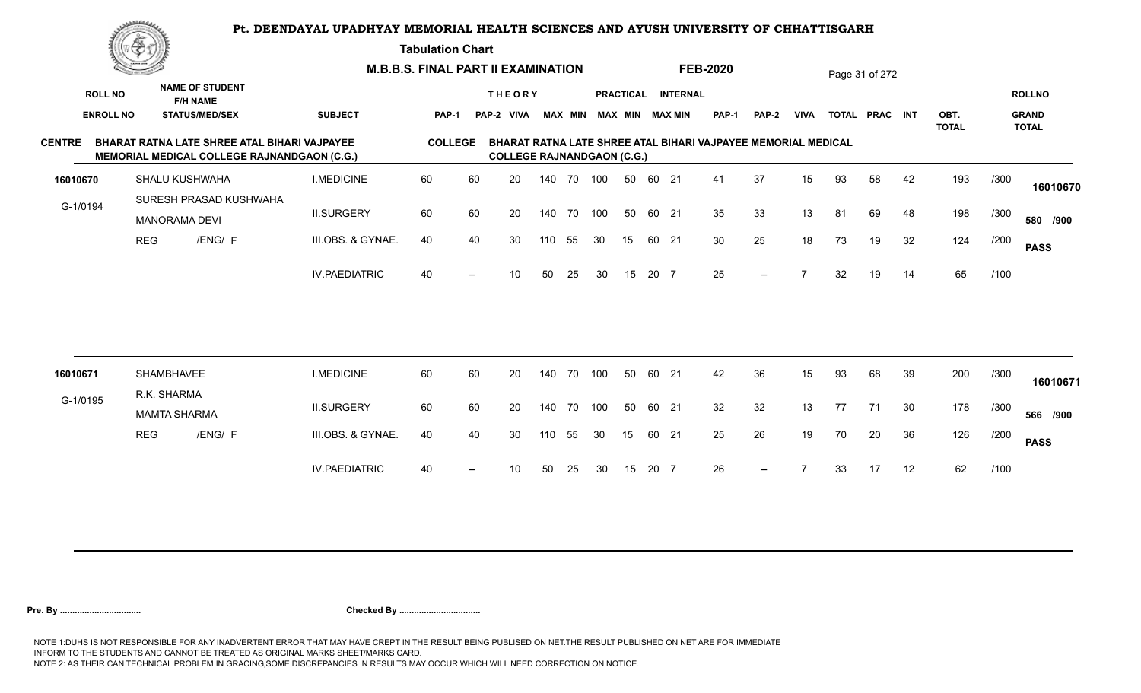#### **Tabulation Chart**

|                  | <u>Contraction of the Sea</u> |                                                                                                    |                      | <b>M.B.B.S. FINAL PART II EXAMINATION</b> |    |                                   |     |        |                         |                  |       |                 | <b>FEB-2020</b>                                               |              |             |    | Page 31 of 272 |    |                      |      |                              |
|------------------|-------------------------------|----------------------------------------------------------------------------------------------------|----------------------|-------------------------------------------|----|-----------------------------------|-----|--------|-------------------------|------------------|-------|-----------------|---------------------------------------------------------------|--------------|-------------|----|----------------|----|----------------------|------|------------------------------|
| <b>ROLL NO</b>   |                               | <b>NAME OF STUDENT</b><br><b>F/H NAME</b>                                                          |                      |                                           |    | <b>THEORY</b>                     |     |        |                         | <b>PRACTICAL</b> |       | <b>INTERNAL</b> |                                                               |              |             |    |                |    |                      |      | <b>ROLLNO</b>                |
| <b>ENROLL NO</b> |                               | <b>STATUS/MED/SEX</b>                                                                              | <b>SUBJECT</b>       | <b>PAP-1</b>                              |    | PAP-2 VIVA                        |     |        | MAX MIN MAX MIN MAX MIN |                  |       |                 | <b>PAP-1</b>                                                  | <b>PAP-2</b> | <b>VIVA</b> |    | TOTAL PRAC INT |    | OBT.<br><b>TOTAL</b> |      | <b>GRAND</b><br><b>TOTAL</b> |
| <b>CENTRE</b>    |                               | BHARAT RATNA LATE SHREE ATAL BIHARI VAJPAYEE<br><b>MEMORIAL MEDICAL COLLEGE RAJNANDGAON (C.G.)</b> |                      | <b>COLLEGE</b>                            |    | <b>COLLEGE RAJNANDGAON (C.G.)</b> |     |        |                         |                  |       |                 | BHARAT RATNA LATE SHREE ATAL BIHARI VAJPAYEE MEMORIAL MEDICAL |              |             |    |                |    |                      |      |                              |
| 16010670         |                               | SHALU KUSHWAHA                                                                                     | <b>I.MEDICINE</b>    | 60                                        | 60 | 20                                |     | 140 70 | 100                     | 50               | 60 21 |                 | 41                                                            | 37           | 15          | 93 | 58             | 42 | 193                  | /300 | 16010670                     |
| G-1/0194         |                               | SURESH PRASAD KUSHWAHA<br><b>MANORAMA DEVI</b>                                                     | <b>II.SURGERY</b>    | 60                                        | 60 | 20                                |     | 140 70 | 100                     | 50               | 60 21 |                 | 35                                                            | 33           | 13          | 81 | 69             | 48 | 198                  | /300 | 580 /900                     |
|                  | <b>REG</b>                    | /ENG/ F                                                                                            | III.OBS. & GYNAE.    | 40                                        | 40 | 30                                | 110 | 55     | 30                      | 15               | 60 21 |                 | 30                                                            | 25           | 18          | 73 | 19             | 32 | 124                  | /200 | <b>PASS</b>                  |
|                  |                               |                                                                                                    | <b>IV.PAEDIATRIC</b> | 40                                        |    | 10                                | 50  | 25     | 30                      | 15               | 20 7  |                 | 25                                                            | $--$         |             | 32 | 19             | 14 | 65                   | /100 |                              |
|                  |                               |                                                                                                    |                      |                                           |    |                                   |     |        |                         |                  |       |                 |                                                               |              |             |    |                |    |                      |      |                              |
| 16010671         |                               | SHAMBHAVEE                                                                                         | <b>I.MEDICINE</b>    | 60                                        | 60 | 20                                | 140 | 70     | 100                     | 50               | 60    | - 21            | 42                                                            | 36           | 15          | 93 | 68             | 39 | 200                  | /300 | 16010671                     |
| G-1/0195         |                               | R.K. SHARMA<br><b>MAMTA SHARMA</b>                                                                 | <b>II.SURGERY</b>    | 60                                        | 60 | 20                                | 140 | 70     | 100                     | 50               | 60 21 |                 | 32                                                            | 32           | 13          | 77 | 71             | 30 | 178                  | /300 | 566 /900                     |
|                  | <b>REG</b>                    | /ENG/ F                                                                                            | III.OBS. & GYNAE.    | 40                                        | 40 | 30                                | 110 | 55     | 30                      | 15               | 60 21 |                 | 25                                                            | 26           | 19          | 70 | 20             | 36 | 126                  | /200 | <b>PASS</b>                  |
|                  |                               |                                                                                                    | <b>IV.PAEDIATRIC</b> | 40                                        |    | 10                                | 50  | 25     | 30                      | 15               | 20 7  |                 | 26                                                            |              |             | 33 | 17             | 12 | 62                   | /100 |                              |
|                  |                               |                                                                                                    |                      |                                           |    |                                   |     |        |                         |                  |       |                 |                                                               |              |             |    |                |    |                      |      |                              |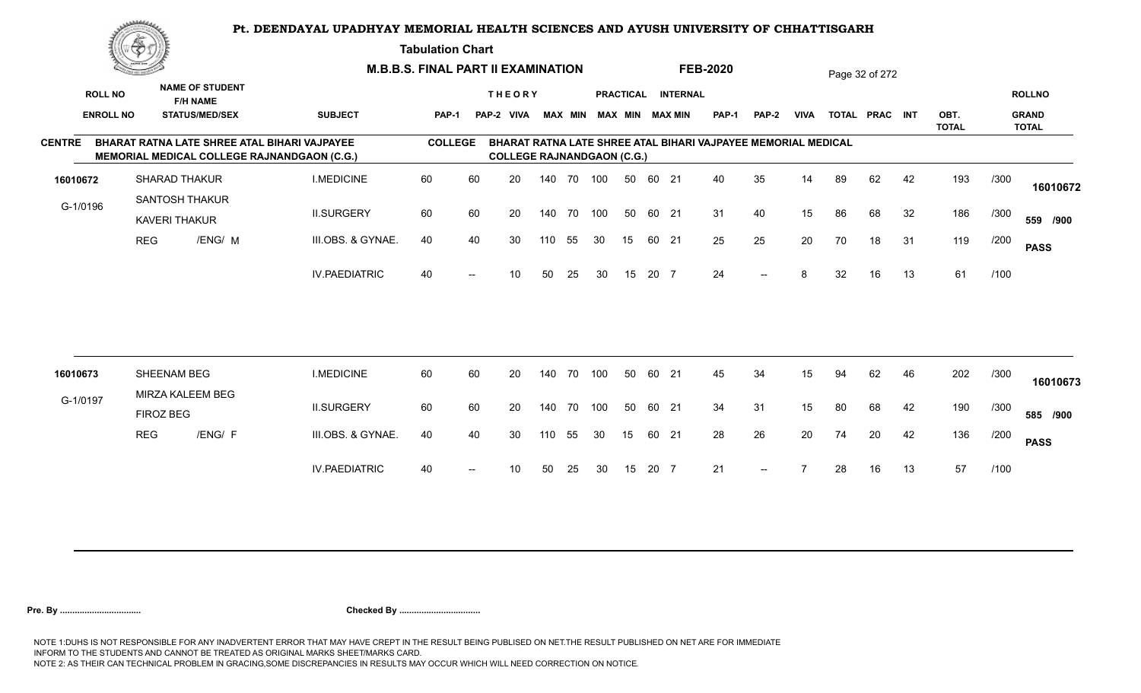**Tabulation Chart** 

|                | <u>Contraction of the Contract of the Contract of the Contract of the Contract of the Contract of the Contract of The Contract of The Contract of The Contract of The Contract of The Contract of The Contract of The Contract o</u> |                      |                                           | <b>M.B.B.S. FINAL PART II EXAMINATION</b>                                                          |                |    |                                   |     |                |     |                  |       |                        | <b>FEB-2020</b>                                               |       |             |    | Page 32 of 272 |    |                      |      |                              |
|----------------|--------------------------------------------------------------------------------------------------------------------------------------------------------------------------------------------------------------------------------------|----------------------|-------------------------------------------|----------------------------------------------------------------------------------------------------|----------------|----|-----------------------------------|-----|----------------|-----|------------------|-------|------------------------|---------------------------------------------------------------|-------|-------------|----|----------------|----|----------------------|------|------------------------------|
| <b>ROLL NO</b> |                                                                                                                                                                                                                                      |                      | <b>NAME OF STUDENT</b><br><b>F/H NAME</b> |                                                                                                    |                |    | <b>THEORY</b>                     |     |                |     | <b>PRACTICAL</b> |       | <b>INTERNAL</b>        |                                                               |       |             |    |                |    |                      |      | <b>ROLLNO</b>                |
|                | <b>ENROLL NO</b>                                                                                                                                                                                                                     |                      | <b>STATUS/MED/SEX</b>                     | <b>SUBJECT</b>                                                                                     | PAP-1          |    | PAP-2 VIVA                        |     | <b>MAX MIN</b> |     |                  |       | <b>MAX MIN MAX MIN</b> | <b>PAP-1</b>                                                  | PAP-2 | <b>VIVA</b> |    | TOTAL PRAC INT |    | OBT.<br><b>TOTAL</b> |      | <b>GRAND</b><br><b>TOTAL</b> |
| <b>CENTRE</b>  |                                                                                                                                                                                                                                      |                      |                                           | BHARAT RATNA LATE SHREE ATAL BIHARI VAJPAYEE<br><b>MEMORIAL MEDICAL COLLEGE RAJNANDGAON (C.G.)</b> | <b>COLLEGE</b> |    | <b>COLLEGE RAJNANDGAON (C.G.)</b> |     |                |     |                  |       |                        | BHARAT RATNA LATE SHREE ATAL BIHARI VAJPAYEE MEMORIAL MEDICAL |       |             |    |                |    |                      |      |                              |
| 16010672       |                                                                                                                                                                                                                                      | SHARAD THAKUR        |                                           | <b>I.MEDICINE</b>                                                                                  | 60             | 60 | 20                                |     | 140 70         | 100 | 50               | 60 21 |                        | 40                                                            | 35    | 14          | 89 | 62             | 42 | 193                  | /300 | 16010672                     |
| G-1/0196       |                                                                                                                                                                                                                                      | <b>KAVERI THAKUR</b> | <b>SANTOSH THAKUR</b>                     | <b>II.SURGERY</b>                                                                                  | 60             | 60 | 20                                |     | 140 70         | 100 | 50               | 60 21 |                        | 31                                                            | 40    | 15          | 86 | 68             | 32 | 186                  | /300 | 559 /900                     |
|                | <b>REG</b>                                                                                                                                                                                                                           |                      | /ENG/ M                                   | III.OBS. & GYNAE.                                                                                  | 40             | 40 | 30                                | 110 | 55             | 30  | 15               | 60 21 |                        | 25                                                            | 25    | 20          | 70 | 18             | 31 | 119                  | /200 | <b>PASS</b>                  |
|                |                                                                                                                                                                                                                                      |                      |                                           | <b>IV.PAEDIATRIC</b>                                                                               | 40             |    | 10 <sup>°</sup>                   | 50  | 25             | 30  | 15               | 20 7  |                        | 24                                                            | $--$  | 8           | 32 | 16             | 13 | 61                   | /100 |                              |
|                |                                                                                                                                                                                                                                      |                      |                                           |                                                                                                    |                |    |                                   |     |                |     |                  |       |                        |                                                               |       |             |    |                |    |                      |      |                              |
| 16010673       |                                                                                                                                                                                                                                      | SHEENAM BEG          |                                           | <b>I.MEDICINE</b>                                                                                  | 60             | 60 | 20                                |     | 140 70         | 100 | 50               | 60 21 |                        | 45                                                            | 34    | 15          | 94 | 62             | 46 | 202                  | /300 | 16010673                     |
| G-1/0197       |                                                                                                                                                                                                                                      | FIROZ BEG            | MIRZA KALEEM BEG                          | <b>II.SURGERY</b>                                                                                  | 60             | 60 | 20                                |     | 140 70         | 100 | 50               | 60 21 |                        | 34                                                            | 31    | 15          | 80 | 68             | 42 | 190                  | /300 | 585 /900                     |
|                | <b>REG</b>                                                                                                                                                                                                                           |                      | /ENG/ F                                   | III.OBS. & GYNAE.                                                                                  | 40             | 40 | 30                                | 110 | 55             | 30  | 15               | 60 21 |                        | 28                                                            | 26    | 20          | 74 | 20             | 42 | 136                  | /200 | <b>PASS</b>                  |
|                |                                                                                                                                                                                                                                      |                      |                                           | <b>IV.PAEDIATRIC</b>                                                                               | 40             |    | 10                                | 50  | 25             | 30  | 15               | 20 7  |                        | 21                                                            | $--$  |             | 28 | 16             | 13 | 57                   | /100 |                              |
|                |                                                                                                                                                                                                                                      |                      |                                           |                                                                                                    |                |    |                                   |     |                |     |                  |       |                        |                                                               |       |             |    |                |    |                      |      |                              |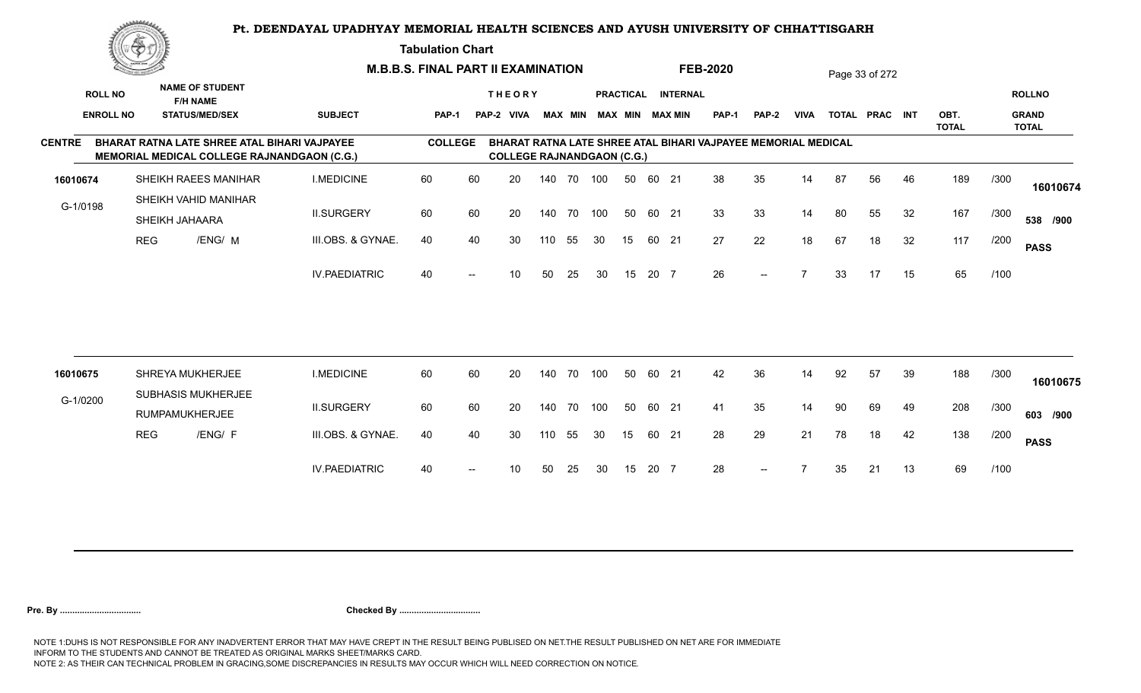**Tabulation Chart** 

|                  | <u>Contraction of the Contract of the Contract of the Contract of the Contract of the Contract of the Contract of The Contract of The Contract of The Contract of The Contract of The Contract of The Contract of The Contract o</u> |                                                                                             |                      | <b>M.B.B.S. FINAL PART II EXAMINATION</b> |                   |                                   |     |                |     |                  |       |                        | <b>FEB-2020</b>                                               |              |                          |    | Page 33 of 272 |    |                      |      |                              |
|------------------|--------------------------------------------------------------------------------------------------------------------------------------------------------------------------------------------------------------------------------------|---------------------------------------------------------------------------------------------|----------------------|-------------------------------------------|-------------------|-----------------------------------|-----|----------------|-----|------------------|-------|------------------------|---------------------------------------------------------------|--------------|--------------------------|----|----------------|----|----------------------|------|------------------------------|
| <b>ROLL NO</b>   |                                                                                                                                                                                                                                      | <b>NAME OF STUDENT</b><br><b>F/H NAME</b>                                                   |                      |                                           |                   | <b>THEORY</b>                     |     |                |     | <b>PRACTICAL</b> |       | <b>INTERNAL</b>        |                                                               |              |                          |    |                |    |                      |      | <b>ROLLNO</b>                |
| <b>ENROLL NO</b> |                                                                                                                                                                                                                                      | <b>STATUS/MED/SEX</b>                                                                       | <b>SUBJECT</b>       | PAP-1                                     |                   | PAP-2 VIVA                        |     | <b>MAX MIN</b> |     |                  |       | <b>MAX MIN MAX MIN</b> | <b>PAP-1</b>                                                  | <b>PAP-2</b> | <b>VIVA</b>              |    | TOTAL PRAC INT |    | OBT.<br><b>TOTAL</b> |      | <b>GRAND</b><br><b>TOTAL</b> |
| <b>CENTRE</b>    |                                                                                                                                                                                                                                      | BHARAT RATNA LATE SHREE ATAL BIHARI VAJPAYEE<br>MEMORIAL MEDICAL COLLEGE RAJNANDGAON (C.G.) |                      | <b>COLLEGE</b>                            |                   | <b>COLLEGE RAJNANDGAON (C.G.)</b> |     |                |     |                  |       |                        | BHARAT RATNA LATE SHREE ATAL BIHARI VAJPAYEE MEMORIAL MEDICAL |              |                          |    |                |    |                      |      |                              |
| 16010674         |                                                                                                                                                                                                                                      | SHEIKH RAEES MANIHAR                                                                        | <b>I.MEDICINE</b>    | 60                                        | 60                | 20                                |     | 140 70         | 100 | 50               | 60 21 |                        | 38                                                            | 35           | 14                       | 87 | 56             | 46 | 189                  | /300 | 16010674                     |
| G-1/0198         |                                                                                                                                                                                                                                      | SHEIKH VAHID MANIHAR<br>SHEIKH JAHAARA                                                      | <b>II.SURGERY</b>    | 60                                        | 60                | 20                                |     | 140 70         | 100 | 50               | 60 21 |                        | 33                                                            | 33           | 14                       | 80 | 55             | 32 | 167                  | /300 | 538 /900                     |
|                  | <b>REG</b>                                                                                                                                                                                                                           | /ENG/ M                                                                                     | III.OBS. & GYNAE.    | 40                                        | 40                | 30                                | 110 | 55             | 30  | 15               | 60 21 |                        | 27                                                            | 22           | 18                       | 67 | 18             | 32 | 117                  | /200 | <b>PASS</b>                  |
|                  |                                                                                                                                                                                                                                      |                                                                                             | <b>IV.PAEDIATRIC</b> | 40                                        |                   | 10                                | 50  | 25             | 30  | 15               | 20 7  |                        | 26                                                            | $--$         | $\overline{\phantom{a}}$ | 33 | 17             | 15 | 65                   | /100 |                              |
|                  |                                                                                                                                                                                                                                      |                                                                                             |                      |                                           |                   |                                   |     |                |     |                  |       |                        |                                                               |              |                          |    |                |    |                      |      |                              |
| 16010675         |                                                                                                                                                                                                                                      | SHREYA MUKHERJEE                                                                            | <b>I.MEDICINE</b>    | 60                                        | 60                | 20                                | 140 | 70             | 100 | 50               | 60 21 |                        | 42                                                            | 36           | 14                       | 92 | 57             | 39 | 188                  | /300 | 16010675                     |
| G-1/0200         |                                                                                                                                                                                                                                      | SUBHASIS MUKHERJEE<br>RUMPAMUKHERJEE                                                        | <b>II.SURGERY</b>    | 60                                        | 60                | 20                                | 140 | 70             | 100 | 50               | 60 21 |                        | 41                                                            | 35           | 14                       | 90 | 69             | 49 | 208                  | /300 | 603 /900                     |
|                  | <b>REG</b>                                                                                                                                                                                                                           | /ENG/ F                                                                                     | III.OBS. & GYNAE.    | 40                                        | 40                | 30                                | 110 | 55             | 30  | 15               | 60 21 |                        | 28                                                            | 29           | 21                       | 78 | 18             | 42 | 138                  | /200 | <b>PASS</b>                  |
|                  |                                                                                                                                                                                                                                      |                                                                                             | <b>IV.PAEDIATRIC</b> | 40                                        | $\hspace{0.05cm}$ | 10                                | 50  | 25             | 30  | 15               | 20 7  |                        | 28                                                            | $--$         |                          | 35 | 21             | 13 | 69                   | /100 |                              |
|                  |                                                                                                                                                                                                                                      |                                                                                             |                      |                                           |                   |                                   |     |                |     |                  |       |                        |                                                               |              |                          |    |                |    |                      |      |                              |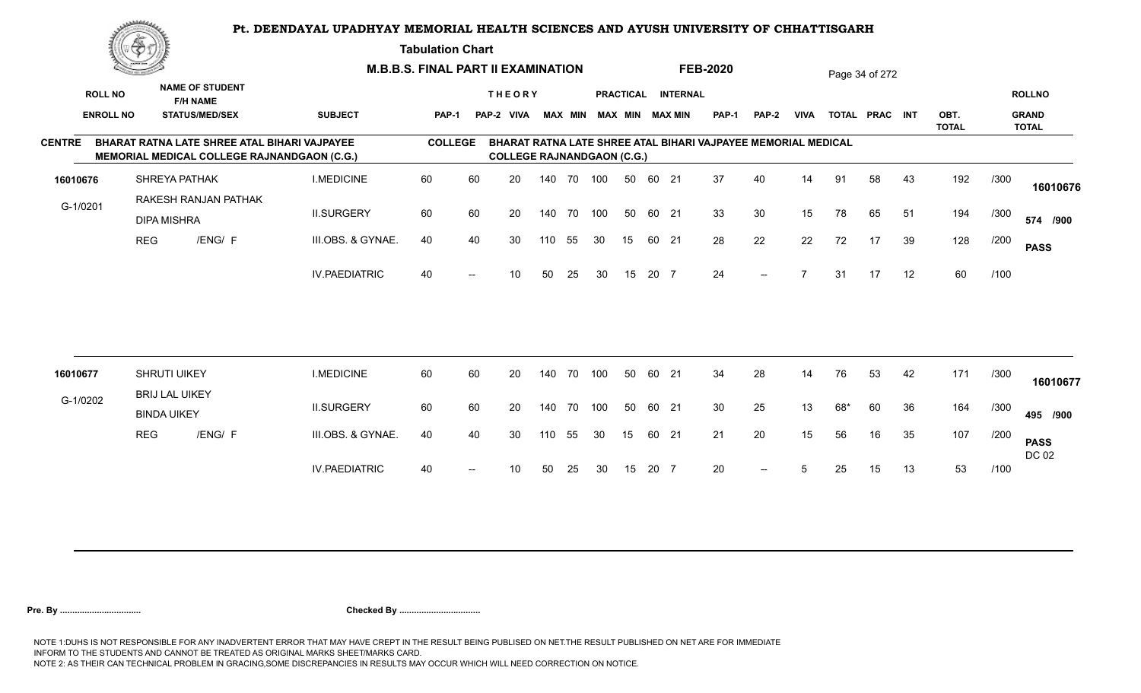#### **Tabulation Chart**

|                  | <u>Contraction of the Sea</u> |                                              |                                                    | <b>M.B.B.S. FINAL PART II EXAMINATION</b> |    |                                   |        |    |     |                  |       |                         | <b>FEB-2020</b>                                               |              |             |     | Page 34 of 272 |    |                      |      |                              |
|------------------|-------------------------------|----------------------------------------------|----------------------------------------------------|-------------------------------------------|----|-----------------------------------|--------|----|-----|------------------|-------|-------------------------|---------------------------------------------------------------|--------------|-------------|-----|----------------|----|----------------------|------|------------------------------|
| <b>ROLL NO</b>   |                               | <b>NAME OF STUDENT</b><br><b>F/H NAME</b>    |                                                    |                                           |    | <b>THEORY</b>                     |        |    |     | <b>PRACTICAL</b> |       | <b>INTERNAL</b>         |                                                               |              |             |     |                |    |                      |      | <b>ROLLNO</b>                |
| <b>ENROLL NO</b> |                               | <b>STATUS/MED/SEX</b>                        | <b>SUBJECT</b>                                     | <b>PAP-1</b>                              |    | PAP-2 VIVA                        |        |    |     |                  |       | MAX MIN MAX MIN MAX MIN | <b>PAP-1</b>                                                  | <b>PAP-2</b> | <b>VIVA</b> |     | TOTAL PRAC INT |    | OBT.<br><b>TOTAL</b> |      | <b>GRAND</b><br><b>TOTAL</b> |
| <b>CENTRE</b>    |                               | BHARAT RATNA LATE SHREE ATAL BIHARI VAJPAYEE | <b>MEMORIAL MEDICAL COLLEGE RAJNANDGAON (C.G.)</b> | <b>COLLEGE</b>                            |    | <b>COLLEGE RAJNANDGAON (C.G.)</b> |        |    |     |                  |       |                         | BHARAT RATNA LATE SHREE ATAL BIHARI VAJPAYEE MEMORIAL MEDICAL |              |             |     |                |    |                      |      |                              |
| 16010676         |                               | SHREYA PATHAK                                | <b>I.MEDICINE</b>                                  | 60                                        | 60 | 20                                | 140 70 |    | 100 | 50               | 60 21 |                         | 37                                                            | 40           | 14          | 91  | 58             | 43 | 192                  | /300 | 16010676                     |
| G-1/0201         |                               | RAKESH RANJAN PATHAK<br><b>DIPA MISHRA</b>   | <b>II.SURGERY</b>                                  | 60                                        | 60 | 20                                | 140 70 |    | 100 | 50               | 60 21 |                         | 33                                                            | 30           | 15          | 78  | 65             | 51 | 194                  | /300 | 574 /900                     |
|                  | <b>REG</b>                    | /ENG/ F                                      | III.OBS. & GYNAE.                                  | 40                                        | 40 | 30                                | 110    | 55 | 30  | 15               | 60 21 |                         | 28                                                            | 22           | 22          | 72  | 17             | 39 | 128                  | /200 | <b>PASS</b>                  |
|                  |                               |                                              | <b>IV.PAEDIATRIC</b>                               | 40                                        |    | 10                                | 50     | 25 | 30  | 15               | 20 7  |                         | 24                                                            | $--$         |             | 31  | 17             | 12 | 60                   | /100 |                              |
|                  |                               |                                              |                                                    |                                           |    |                                   |        |    |     |                  |       |                         |                                                               |              |             |     |                |    |                      |      |                              |
| 16010677         |                               | SHRUTI UIKEY                                 | <b>I.MEDICINE</b>                                  | 60                                        | 60 | 20                                | 140    | 70 | 100 | 50               | 60    | 21                      | 34                                                            | 28           | 14          | 76  | 53             | 42 | 171                  | /300 | 16010677                     |
| G-1/0202         |                               | <b>BRIJ LAL UIKEY</b><br><b>BINDA UIKEY</b>  | <b>II.SURGERY</b>                                  | 60                                        | 60 | 20                                | 140    | 70 | 100 | 50               | 60 21 |                         | 30                                                            | 25           | 13          | 68* | 60             | 36 | 164                  | /300 | 495 /900                     |
|                  | <b>REG</b>                    | /ENG/ F                                      | III.OBS. & GYNAE.                                  | 40                                        | 40 | 30                                | 110    | 55 | 30  | 15               | 60 21 |                         | 21                                                            | 20           | 15          | 56  | 16             | 35 | 107                  | /200 | <b>PASS</b><br>DC 02         |
|                  |                               |                                              | <b>IV.PAEDIATRIC</b>                               | 40                                        |    | 10                                | 50     | 25 | 30  | 15               | 20 7  |                         | 20                                                            |              |             | 25  | 15             | 13 | 53                   | /100 |                              |
|                  |                               |                                              |                                                    |                                           |    |                                   |        |    |     |                  |       |                         |                                                               |              |             |     |                |    |                      |      |                              |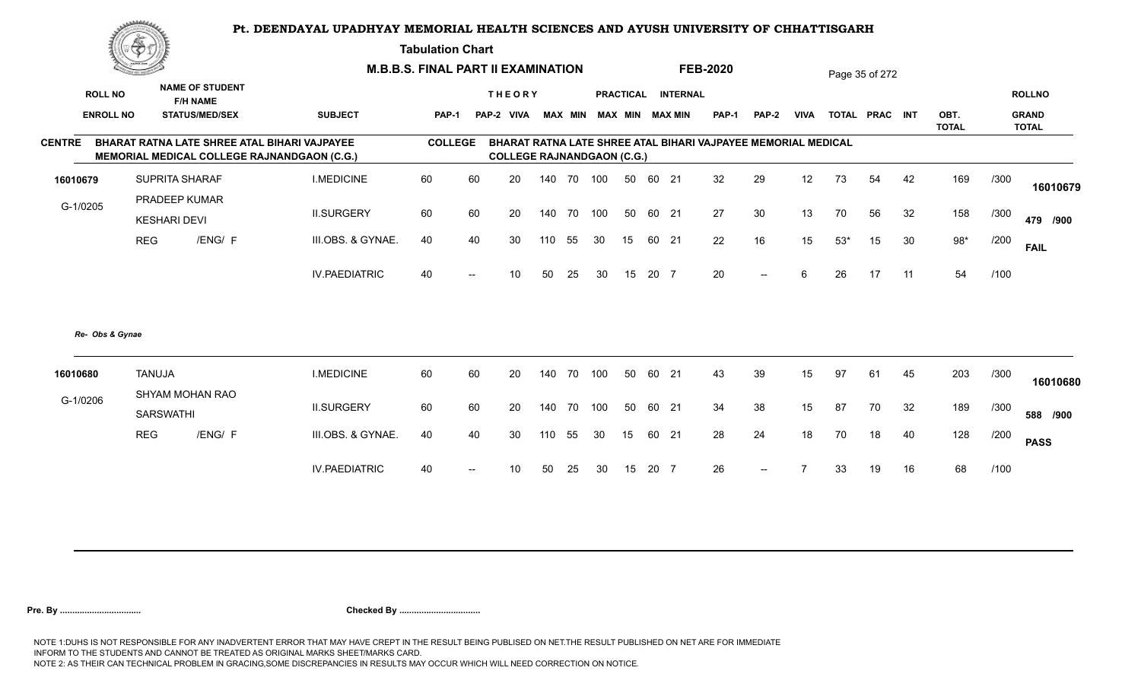**Tabulation Chart** 

|                  | ▓ڪ            |                                           |                                                                                             | <b>M.B.B.S. FINAL PART II EXAMINATION</b> |                   |                                   |     |      |     |    |       |                         | <b>FEB-2020</b>                                               |              |             |       | Page 35 of 272 |    |                      |      |                              |
|------------------|---------------|-------------------------------------------|---------------------------------------------------------------------------------------------|-------------------------------------------|-------------------|-----------------------------------|-----|------|-----|----|-------|-------------------------|---------------------------------------------------------------|--------------|-------------|-------|----------------|----|----------------------|------|------------------------------|
| <b>ROLL NO</b>   |               | <b>NAME OF STUDENT</b><br><b>F/H NAME</b> |                                                                                             |                                           |                   | <b>THEORY</b>                     |     |      |     |    |       | PRACTICAL INTERNAL      |                                                               |              |             |       |                |    |                      |      | <b>ROLLNO</b>                |
| <b>ENROLL NO</b> |               | <b>STATUS/MED/SEX</b>                     | <b>SUBJECT</b>                                                                              | <b>PAP-1</b>                              |                   | PAP-2 VIVA                        |     |      |     |    |       | MAX MIN MAX MIN MAX MIN | <b>PAP-1</b>                                                  | <b>PAP-2</b> | <b>VIVA</b> |       | TOTAL PRAC INT |    | OBT.<br><b>TOTAL</b> |      | <b>GRAND</b><br><b>TOTAL</b> |
| <b>CENTRE</b>    |               |                                           | BHARAT RATNA LATE SHREE ATAL BIHARI VAJPAYEE<br>MEMORIAL MEDICAL COLLEGE RAJNANDGAON (C.G.) | <b>COLLEGE</b>                            |                   | <b>COLLEGE RAJNANDGAON (C.G.)</b> |     |      |     |    |       |                         | BHARAT RATNA LATE SHREE ATAL BIHARI VAJPAYEE MEMORIAL MEDICAL |              |             |       |                |    |                      |      |                              |
| 16010679         |               | <b>SUPRITA SHARAF</b>                     | <b>I.MEDICINE</b>                                                                           | 60                                        | 60                | 20                                | 140 | 70   | 100 | 50 | 60 21 |                         | 32                                                            | 29           | 12          | 73    | 54             | 42 | 169                  | /300 | 16010679                     |
| G-1/0205         |               | PRADEEP KUMAR<br><b>KESHARI DEVI</b>      | <b>II.SURGERY</b>                                                                           | 60                                        | 60                | 20                                | 140 | 70   | 100 | 50 | 60 21 |                         | 27                                                            | 30           | 13          | 70    | 56             | 32 | 158                  | /300 | 479 /900                     |
|                  | <b>REG</b>    | /ENG/ F                                   | III.OBS. & GYNAE.                                                                           | 40                                        | 40                | 30                                | 110 | 55   | 30  | 15 | 60 21 |                         | 22                                                            | 16           | 15          | $53*$ | 15             | 30 | $98*$                | /200 | <b>FAIL</b>                  |
|                  |               |                                           | <b>IV.PAEDIATRIC</b>                                                                        | 40                                        | $\hspace{0.05cm}$ | 10                                | 50  | 25   | 30  | 15 | 20 7  |                         | 20                                                            | $--$         | 6           | 26    | 17             | 11 | 54                   | /100 |                              |
| Re- Obs & Gynae  |               |                                           |                                                                                             |                                           |                   |                                   |     |      |     |    |       |                         |                                                               |              |             |       |                |    |                      |      |                              |
| 16010680         | <b>TANUJA</b> | SHYAM MOHAN RAO                           | <b>I.MEDICINE</b>                                                                           | 60                                        | 60                | 20                                | 140 | - 70 | 100 | 50 | 60 21 |                         | 43                                                            | 39           | 15          | 97    | 61             | 45 | 203                  | /300 | 16010680                     |
| G-1/0206         |               | <b>SARSWATHI</b>                          | <b>II.SURGERY</b>                                                                           | 60                                        | 60                | 20                                | 140 | 70   | 100 | 50 | 60 21 |                         | 34                                                            | 38           | 15          | 87    | 70             | 32 | 189                  | /300 | 588 /900                     |
|                  | <b>REG</b>    | /ENG/ F                                   | III.OBS. & GYNAE.                                                                           | 40                                        | 40                | 30                                | 110 | 55   | 30  | 15 | 60 21 |                         | 28                                                            | 24           | 18          | 70    | 18             | 40 | 128                  | /200 | <b>PASS</b>                  |
|                  |               |                                           | <b>IV.PAEDIATRIC</b>                                                                        | 40                                        |                   | 10                                | 50  | 25   | 30  | 15 | 20 7  |                         | 26                                                            | $--$         |             | 33    | 19             | 16 | 68                   | /100 |                              |
|                  |               |                                           |                                                                                             |                                           |                   |                                   |     |      |     |    |       |                         |                                                               |              |             |       |                |    |                      |      |                              |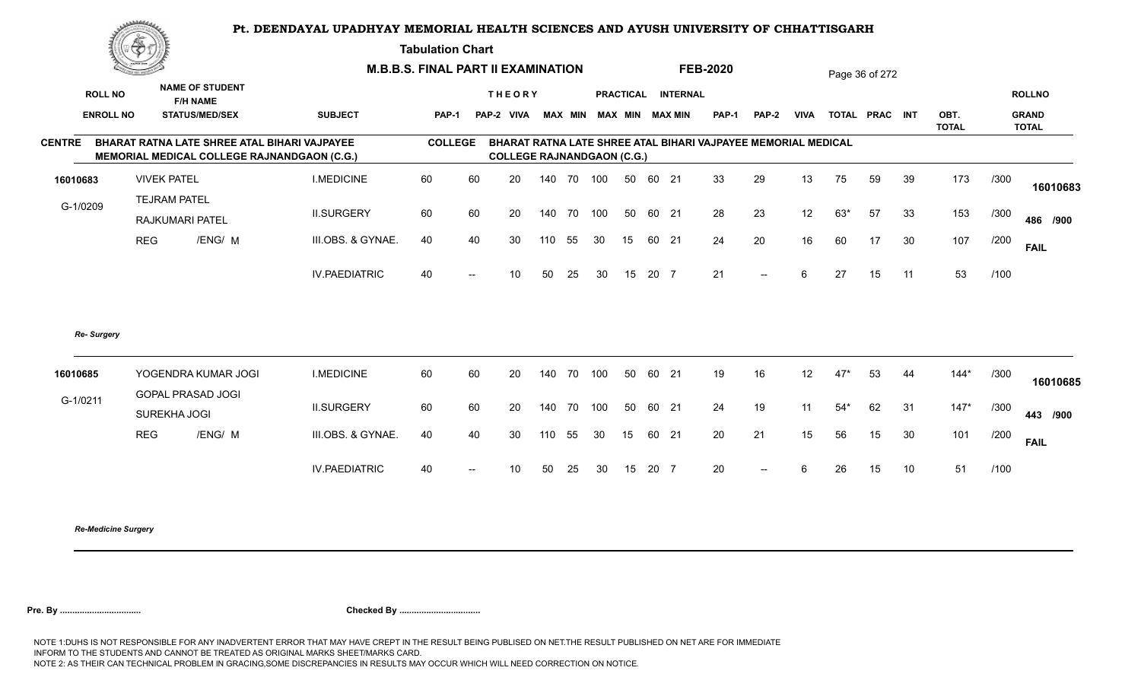**Tabulation Chart** 

|                  | ▓                  |                                                                                                    |                      | <b>M.B.B.S. FINAL PART II EXAMINATION</b> |                          |                                    |        |        |     |    |       |                    | <b>FEB-2020</b>                                               |                          |                   |       | Page 36 of 272 |    |                      |      |                              |
|------------------|--------------------|----------------------------------------------------------------------------------------------------|----------------------|-------------------------------------------|--------------------------|------------------------------------|--------|--------|-----|----|-------|--------------------|---------------------------------------------------------------|--------------------------|-------------------|-------|----------------|----|----------------------|------|------------------------------|
| <b>ROLL NO</b>   |                    | <b>NAME OF STUDENT</b><br><b>F/H NAME</b>                                                          |                      |                                           |                          | <b>THEORY</b>                      |        |        |     |    |       | PRACTICAL INTERNAL |                                                               |                          |                   |       |                |    |                      |      | <b>ROLLNO</b>                |
| <b>ENROLL NO</b> |                    | <b>STATUS/MED/SEX</b>                                                                              | <b>SUBJECT</b>       | <b>PAP-1</b>                              |                          | PAP-2 VIVA MAX MIN MAX MIN MAX MIN |        |        |     |    |       |                    | <b>PAP-1</b>                                                  | PAP-2                    | <b>VIVA</b>       |       | TOTAL PRAC INT |    | OBT.<br><b>TOTAL</b> |      | <b>GRAND</b><br><b>TOTAL</b> |
| <b>CENTRE</b>    |                    | BHARAT RATNA LATE SHREE ATAL BIHARI VAJPAYEE<br><b>MEMORIAL MEDICAL COLLEGE RAJNANDGAON (C.G.)</b> |                      | <b>COLLEGE</b>                            |                          | <b>COLLEGE RAJNANDGAON (C.G.)</b>  |        |        |     |    |       |                    | BHARAT RATNA LATE SHREE ATAL BIHARI VAJPAYEE MEMORIAL MEDICAL |                          |                   |       |                |    |                      |      |                              |
| 16010683         | <b>VIVEK PATEL</b> |                                                                                                    | <b>I.MEDICINE</b>    | 60                                        | 60                       | 20                                 |        | 140 70 | 100 | 50 | 60 21 |                    | 33                                                            | 29                       | 13                | 75    | 59             | 39 | 173                  | /300 | 16010683                     |
| G-1/0209         |                    | <b>TEJRAM PATEL</b><br>RAJKUMARI PATEL                                                             | <b>II.SURGERY</b>    | 60                                        | 60                       | 20                                 | 140 70 |        | 100 | 50 | 60 21 |                    | 28                                                            | 23                       | 12                | $63*$ | 57             | 33 | 153                  | /300 | 486 /900                     |
|                  | <b>REG</b>         | /ENG/ M                                                                                            | III.OBS. & GYNAE.    | 40                                        | 40                       | 30                                 | 110    | 55     | 30  | 15 | 60 21 |                    | 24                                                            | 20                       | 16                | 60    | 17             | 30 | 107                  | /200 | <b>FAIL</b>                  |
|                  |                    |                                                                                                    | <b>IV.PAEDIATRIC</b> | 40                                        | $\overline{\phantom{a}}$ | 10                                 | 50     | 25     | 30  | 15 | 20 7  |                    | 21                                                            | $\overline{\phantom{a}}$ | 6                 | 27    | 15             | 11 | 53                   | /100 |                              |
| Re- Surgery      |                    |                                                                                                    |                      |                                           |                          |                                    |        |        |     |    |       |                    |                                                               |                          |                   |       |                |    |                      |      |                              |
| 16010685         |                    | YOGENDRA KUMAR JOGI<br><b>GOPAL PRASAD JOGI</b>                                                    | <b>I.MEDICINE</b>    | 60                                        | 60                       | 20                                 | 140 70 |        | 100 | 50 | 60 21 |                    | 19                                                            | 16                       | $12 \overline{ }$ | $47*$ | 53             | 44 | $144*$               | /300 | 16010685                     |
| G-1/0211         |                    | SUREKHA JOGI                                                                                       | <b>II.SURGERY</b>    | 60                                        | 60                       | 20                                 | 140 70 |        | 100 | 50 | 60 21 |                    | 24                                                            | 19                       | 11                | $54*$ | 62             | 31 | $147*$               | /300 | 443 /900                     |
|                  | <b>REG</b>         | /ENG/ M                                                                                            | III.OBS. & GYNAE.    | 40                                        | 40                       | 30                                 | 110    | 55     | 30  | 15 | 60 21 |                    | 20                                                            | 21                       | 15                | 56    | 15             | 30 | 101                  | /200 | <b>FAIL</b>                  |
|                  |                    |                                                                                                    | <b>IV.PAEDIATRIC</b> | 40                                        |                          | 10                                 | 50     | 25     | 30  | 15 | 20 7  |                    | 20                                                            | $-$                      | 6                 | 26    | 15             | 10 | 51                   | /100 |                              |
|                  |                    |                                                                                                    |                      |                                           |                          |                                    |        |        |     |    |       |                    |                                                               |                          |                   |       |                |    |                      |      |                              |

*Re-Medicine Surgery*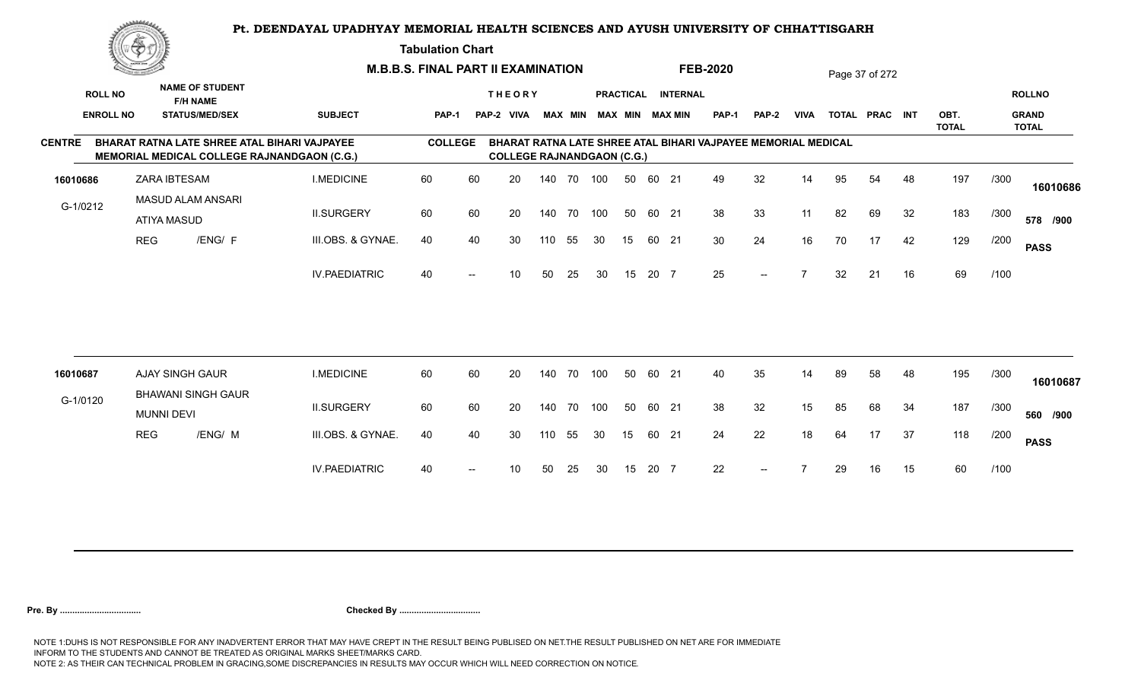**Tabulation Chart** 

|                  | <u>Contraction of the Sea</u><br><b>NAME OF STUDENT</b> |                                              | <b>M.B.B.S. FINAL PART II EXAMINATION</b> |                                                                                             |                |     |                                   |        |                |     |                  | <b>FEB-2020</b> |                        |                                                               |              | Page 37 of 272 |    |                |    |                      |      |                              |
|------------------|---------------------------------------------------------|----------------------------------------------|-------------------------------------------|---------------------------------------------------------------------------------------------|----------------|-----|-----------------------------------|--------|----------------|-----|------------------|-----------------|------------------------|---------------------------------------------------------------|--------------|----------------|----|----------------|----|----------------------|------|------------------------------|
| <b>ROLL NO</b>   |                                                         | <b>F/H NAME</b>                              |                                           |                                                                                             |                |     | <b>THEORY</b>                     |        |                |     | <b>PRACTICAL</b> |                 | <b>INTERNAL</b>        |                                                               |              |                |    |                |    |                      |      | <b>ROLLNO</b>                |
| <b>ENROLL NO</b> |                                                         | <b>STATUS/MED/SEX</b>                        |                                           | <b>SUBJECT</b>                                                                              | <b>PAP-1</b>   |     | PAP-2 VIVA                        |        | <b>MAX MIN</b> |     |                  |                 | <b>MAX MIN MAX MIN</b> | <b>PAP-1</b>                                                  | <b>PAP-2</b> | <b>VIVA</b>    |    | TOTAL PRAC INT |    | OBT.<br><b>TOTAL</b> |      | <b>GRAND</b><br><b>TOTAL</b> |
| <b>CENTRE</b>    |                                                         |                                              |                                           | BHARAT RATNA LATE SHREE ATAL BIHARI VAJPAYEE<br>MEMORIAL MEDICAL COLLEGE RAJNANDGAON (C.G.) | <b>COLLEGE</b> |     | <b>COLLEGE RAJNANDGAON (C.G.)</b> |        |                |     |                  |                 |                        | BHARAT RATNA LATE SHREE ATAL BIHARI VAJPAYEE MEMORIAL MEDICAL |              |                |    |                |    |                      |      |                              |
| 16010686         |                                                         | <b>ZARA IBTESAM</b>                          |                                           | <b>I.MEDICINE</b>                                                                           | 60             | 60  | 20                                |        | 140 70 100     |     | 50               | 60 21           |                        | 49                                                            | 32           | 14             | 95 | 54             | 48 | 197                  | /300 | 16010686                     |
| G-1/0212         |                                                         | <b>MASUD ALAM ANSARI</b><br>ATIYA MASUD      |                                           | <b>II.SURGERY</b>                                                                           | 60             | 60  | 20                                |        | 140 70         | 100 | 50               | 60 21           |                        | 38                                                            | 33           | 11             | 82 | 69             | 32 | 183                  | /300 | 578 /900                     |
|                  | <b>REG</b>                                              |                                              | /ENG/ F                                   | III.OBS. & GYNAE.                                                                           | 40             | 40  | 30                                | 110    | 55             | 30  | 15               | 60 21           |                        | 30                                                            | 24           | 16             | 70 | 17             | 42 | 129                  | /200 | <b>PASS</b>                  |
|                  |                                                         |                                              |                                           | <b>IV.PAEDIATRIC</b>                                                                        | 40             | $-$ | 10 <sup>°</sup>                   | 50     | 25             | 30  | 15               | 20 7            |                        | 25                                                            | $--$         | $\overline{ }$ | 32 | 21             | 16 | 69                   | /100 |                              |
|                  |                                                         |                                              |                                           |                                                                                             |                |     |                                   |        |                |     |                  |                 |                        |                                                               |              |                |    |                |    |                      |      |                              |
| 16010687         |                                                         | AJAY SINGH GAUR<br><b>BHAWANI SINGH GAUR</b> |                                           | <b>I.MEDICINE</b>                                                                           | 60             | 60  | 20                                | 140 70 |                | 100 | 50               | 60 21           |                        | 40                                                            | 35           | 14             | 89 | 58             | 48 | 195                  | /300 | 16010687                     |
| G-1/0120         |                                                         | <b>MUNNI DEVI</b>                            |                                           | <b>II.SURGERY</b>                                                                           | 60             | 60  | 20                                | 140    | 70             | 100 | 50               | 60 21           |                        | 38                                                            | 32           | 15             | 85 | 68             | 34 | 187                  | /300 | 560 /900                     |
|                  | <b>REG</b>                                              |                                              | /ENG/ M                                   | III.OBS. & GYNAE.                                                                           | 40             | 40  | 30                                | 110    | 55             | 30  | 15               | 60 21           |                        | 24                                                            | 22           | 18             | 64 | 17             | 37 | 118                  | /200 | <b>PASS</b>                  |
|                  |                                                         |                                              |                                           | <b>IV.PAEDIATRIC</b>                                                                        | 40             |     | 10                                | 50     | 25             | 30  | 15               | 20 7            |                        | 22                                                            | $--$         |                | 29 | 16             | 15 | 60                   | /100 |                              |
|                  |                                                         |                                              |                                           |                                                                                             |                |     |                                   |        |                |     |                  |                 |                        |                                                               |              |                |    |                |    |                      |      |                              |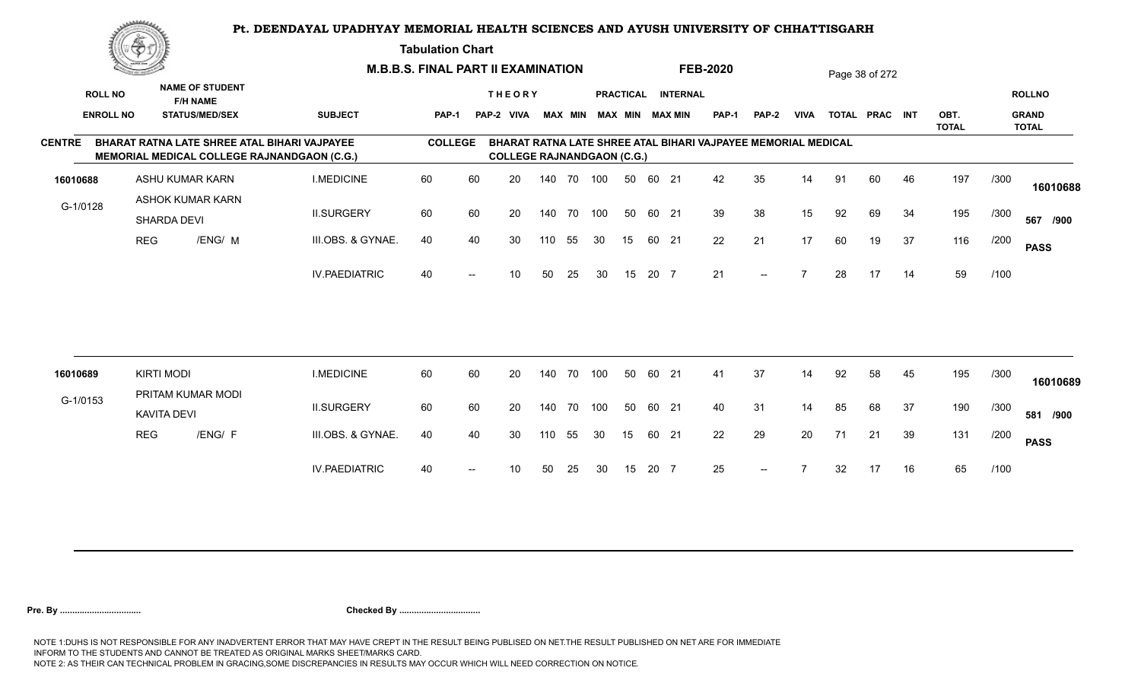**Tabulation Chart** 

| <b>ROLL NO</b>   |                                                                                    |                                                                                                                                                             |                                                                                                    |    |                                |     |               |                                                                       |                                 |                                               |                                                                                                       |                                       |                |    |                                                               |    |                                  |      | <b>ROLLNO</b>                |
|------------------|------------------------------------------------------------------------------------|-------------------------------------------------------------------------------------------------------------------------------------------------------------|----------------------------------------------------------------------------------------------------|----|--------------------------------|-----|---------------|-----------------------------------------------------------------------|---------------------------------|-----------------------------------------------|-------------------------------------------------------------------------------------------------------|---------------------------------------|----------------|----|---------------------------------------------------------------|----|----------------------------------|------|------------------------------|
| <b>ENROLL NO</b> |                                                                                    | <b>SUBJECT</b>                                                                                                                                              |                                                                                                    |    |                                |     |               |                                                                       |                                 |                                               | <b>PAP-1</b>                                                                                          | PAP-2                                 | <b>VIVA</b>    |    |                                                               |    | OBT.<br><b>TOTAL</b>             |      | <b>GRAND</b><br><b>TOTAL</b> |
|                  |                                                                                    |                                                                                                                                                             |                                                                                                    |    |                                |     |               |                                                                       |                                 |                                               |                                                                                                       |                                       |                |    |                                                               |    |                                  |      |                              |
|                  |                                                                                    | <b>I.MEDICINE</b>                                                                                                                                           | 60                                                                                                 | 60 | 20                             | 140 | 70            | 100                                                                   | 50                              |                                               | 42                                                                                                    | 35                                    | 14             | 91 | 60                                                            | 46 | 197                              | /300 | 16010688                     |
| G-1/0128         |                                                                                    | <b>II.SURGERY</b>                                                                                                                                           | 60                                                                                                 | 60 | 20                             |     | 70            |                                                                       | 50                              |                                               | 39                                                                                                    | 38                                    | 15             | 92 | 69                                                            | 34 | 195                              | /300 | 567 /900                     |
|                  |                                                                                    | III.OBS. & GYNAE.                                                                                                                                           | 40                                                                                                 | 40 | 30                             | 110 | 55            | 30                                                                    | 15                              |                                               | 22                                                                                                    | 21                                    | 17             | 60 | 19                                                            | 37 | 116                              | /200 | <b>PASS</b>                  |
|                  |                                                                                    | <b>IV.PAEDIATRIC</b>                                                                                                                                        | 40                                                                                                 |    | 10                             | 50  | 25            | 30                                                                    | 15                              |                                               | 21                                                                                                    | $- -$                                 |                | 28 | 17                                                            | 14 | 59                               | /100 |                              |
|                  |                                                                                    |                                                                                                                                                             |                                                                                                    |    |                                |     |               |                                                                       |                                 |                                               |                                                                                                       |                                       |                |    |                                                               |    |                                  |      |                              |
|                  |                                                                                    | <b>I.MEDICINE</b>                                                                                                                                           | 60                                                                                                 | 60 | 20                             |     |               |                                                                       | 50                              |                                               | 41                                                                                                    | 37                                    | 14             | 92 | 58                                                            | 45 | 195                              | /300 | 16010689                     |
| G-1/0153         |                                                                                    | <b>II.SURGERY</b>                                                                                                                                           | 60                                                                                                 | 60 | 20                             |     |               |                                                                       |                                 |                                               | 40                                                                                                    | 31                                    | 14             | 85 | 68                                                            | 37 | 190                              | /300 | 581 /900                     |
|                  |                                                                                    | III.OBS. & GYNAE.                                                                                                                                           | 40                                                                                                 | 40 | 30                             | 110 | 55            | 30                                                                    | 15                              |                                               | 22                                                                                                    | 29                                    | 20             | 71 | 21                                                            | 39 | 131                              | /200 | <b>PASS</b>                  |
|                  |                                                                                    | <b>IV.PAEDIATRIC</b>                                                                                                                                        | 40                                                                                                 |    | 10                             | 50  | 25            | 30                                                                    | 15                              |                                               | 25                                                                                                    | $\overline{\phantom{a}}$              | $\overline{7}$ | 32 | 17                                                            | 16 | 65                               | /100 |                              |
|                  | SHARDA DEVI<br><b>REG</b><br><b>KIRTI MODI</b><br><b>KAVITA DEVI</b><br><b>REG</b> | <b>NAME OF STUDENT</b><br><b>F/H NAME</b><br><b>STATUS/MED/SEX</b><br>ASHU KUMAR KARN<br><b>ASHOK KUMAR KARN</b><br>/ENG/ M<br>PRITAM KUMAR MODI<br>/ENG/ F | BHARAT RATNA LATE SHREE ATAL BIHARI VAJPAYEE<br><b>MEMORIAL MEDICAL COLLEGE RAJNANDGAON (C.G.)</b> |    | <b>PAP-1</b><br><b>COLLEGE</b> |     | <b>THEORY</b> | <u>transporta</u><br><b>M.B.B.S. FINAL PART II EXAMINATION</b><br>140 | 100<br>140 70 100<br>140 70 100 | <b>COLLEGE RAJNANDGAON (C.G.)</b><br>60<br>50 | PAP-2 VIVA MAX MIN MAX MIN MAX MIN<br>21<br>60 21<br>60 21<br>20 7<br>60 21<br>60 21<br>60 21<br>20 7 | <b>FEB-2020</b><br>PRACTICAL INTERNAL |                |    | BHARAT RATNA LATE SHREE ATAL BIHARI VAJPAYEE MEMORIAL MEDICAL |    | Page 38 of 272<br>TOTAL PRAC INT |      |                              |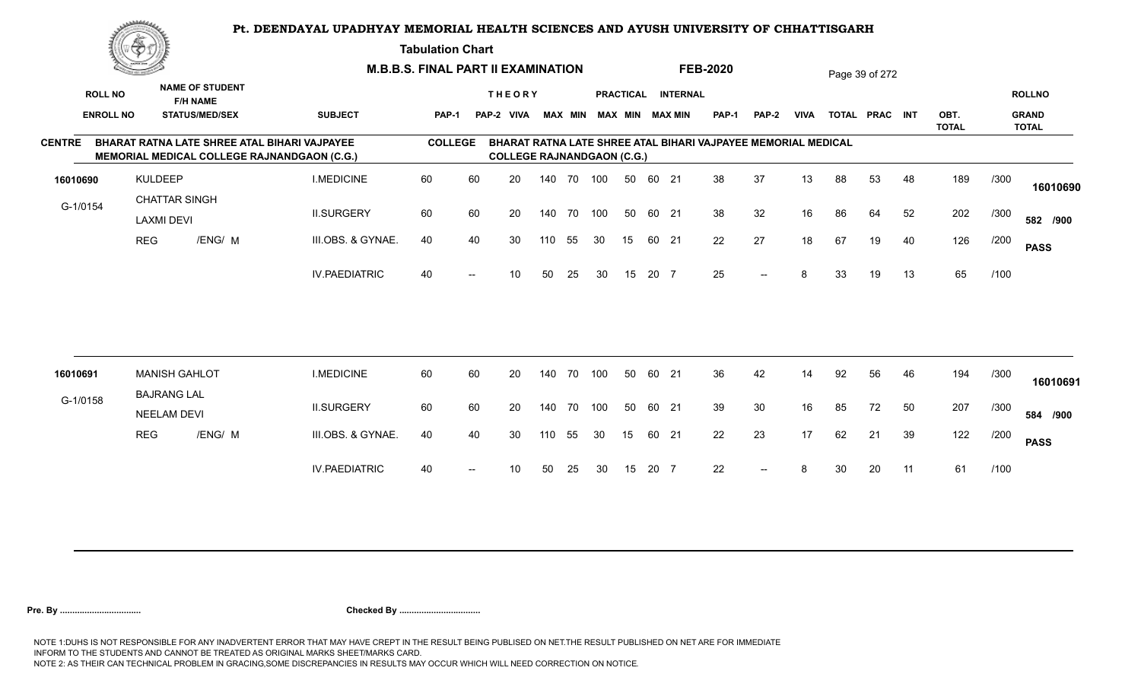**Tabulation Chart** 

|                  | <u>transfer</u>   |                                                                                             | <b>M.B.B.S. FINAL PART II EXAMINATION</b> |                |                   |                                   |            |    |                         |                  |       |                 | <b>FEB-2020</b>                                               |              |             |    | Page 39 of 272 |    |                      |      |                              |
|------------------|-------------------|---------------------------------------------------------------------------------------------|-------------------------------------------|----------------|-------------------|-----------------------------------|------------|----|-------------------------|------------------|-------|-----------------|---------------------------------------------------------------|--------------|-------------|----|----------------|----|----------------------|------|------------------------------|
| <b>ROLL NO</b>   |                   | <b>NAME OF STUDENT</b><br><b>F/H NAME</b>                                                   |                                           |                |                   | <b>THEORY</b>                     |            |    |                         | <b>PRACTICAL</b> |       | <b>INTERNAL</b> |                                                               |              |             |    |                |    |                      |      | <b>ROLLNO</b>                |
| <b>ENROLL NO</b> |                   | <b>STATUS/MED/SEX</b>                                                                       | <b>SUBJECT</b>                            | <b>PAP-1</b>   |                   | PAP-2 VIVA                        |            |    | MAX MIN MAX MIN MAX MIN |                  |       |                 | PAP-1                                                         | <b>PAP-2</b> | <b>VIVA</b> |    | TOTAL PRAC INT |    | OBT.<br><b>TOTAL</b> |      | <b>GRAND</b><br><b>TOTAL</b> |
| <b>CENTRE</b>    |                   | BHARAT RATNA LATE SHREE ATAL BIHARI VAJPAYEE<br>MEMORIAL MEDICAL COLLEGE RAJNANDGAON (C.G.) |                                           | <b>COLLEGE</b> |                   | <b>COLLEGE RAJNANDGAON (C.G.)</b> |            |    |                         |                  |       |                 | BHARAT RATNA LATE SHREE ATAL BIHARI VAJPAYEE MEMORIAL MEDICAL |              |             |    |                |    |                      |      |                              |
| 16010690         | <b>KULDEEP</b>    |                                                                                             | <b>I.MEDICINE</b>                         | 60             | 60                | 20                                | 140 70 100 |    |                         | 50               | 60 21 |                 | 38                                                            | 37           | 13          | 88 | 53             | 48 | 189                  | /300 | 16010690                     |
| G-1/0154         | <b>LAXMI DEVI</b> | <b>CHATTAR SINGH</b>                                                                        | <b>II.SURGERY</b>                         | 60             | 60                | 20                                | 140 70     |    | 100                     | 50               | 60 21 |                 | 38                                                            | 32           | 16          | 86 | 64             | 52 | 202                  | /300 | 582 /900                     |
|                  | <b>REG</b>        | /ENG/ M                                                                                     | III.OBS. & GYNAE.                         | 40             | 40                | 30                                | 110        | 55 | 30                      | 15               | 60 21 |                 | 22                                                            | 27           | 18          | 67 | 19             | 40 | 126                  | /200 | <b>PASS</b>                  |
|                  |                   |                                                                                             | <b>IV.PAEDIATRIC</b>                      | 40             | $\hspace{0.05cm}$ | 10                                | 50         | 25 | 30                      | 15               | 20 7  |                 | 25                                                            | $--$         | 8           | 33 | 19             | 13 | 65                   | /100 |                              |
|                  |                   |                                                                                             |                                           |                |                   |                                   |            |    |                         |                  |       |                 |                                                               |              |             |    |                |    |                      |      |                              |
| 16010691         |                   | <b>MANISH GAHLOT</b>                                                                        | <b>I.MEDICINE</b>                         | 60             | 60                | 20                                | 140        | 70 | 100                     | 50               | 60 21 |                 | 36                                                            | 42           | 14          | 92 | 56             | 46 | 194                  | /300 | 16010691                     |
| G-1/0158         |                   | <b>BAJRANG LAL</b><br><b>NEELAM DEVI</b>                                                    | <b>II.SURGERY</b>                         | 60             | 60                | 20                                | 140 70     |    | 100                     | 50               | 60 21 |                 | 39                                                            | 30           | 16          | 85 | 72             | 50 | 207                  | /300 | 584 /900                     |
|                  | <b>REG</b>        | /ENG/ M                                                                                     | III.OBS. & GYNAE.                         | 40             | 40                | 30                                | 110        | 55 | 30                      | 15               | 60 21 |                 | 22                                                            | 23           | 17          | 62 | 21             | 39 | 122                  | /200 | <b>PASS</b>                  |
|                  |                   |                                                                                             | <b>IV.PAEDIATRIC</b>                      | 40             |                   | 10                                | 50         | 25 | 30                      | 15               | 20 7  |                 | 22                                                            | $--$         | 8           | 30 | 20             | 11 | 61                   | /100 |                              |
|                  |                   |                                                                                             |                                           |                |                   |                                   |            |    |                         |                  |       |                 |                                                               |              |             |    |                |    |                      |      |                              |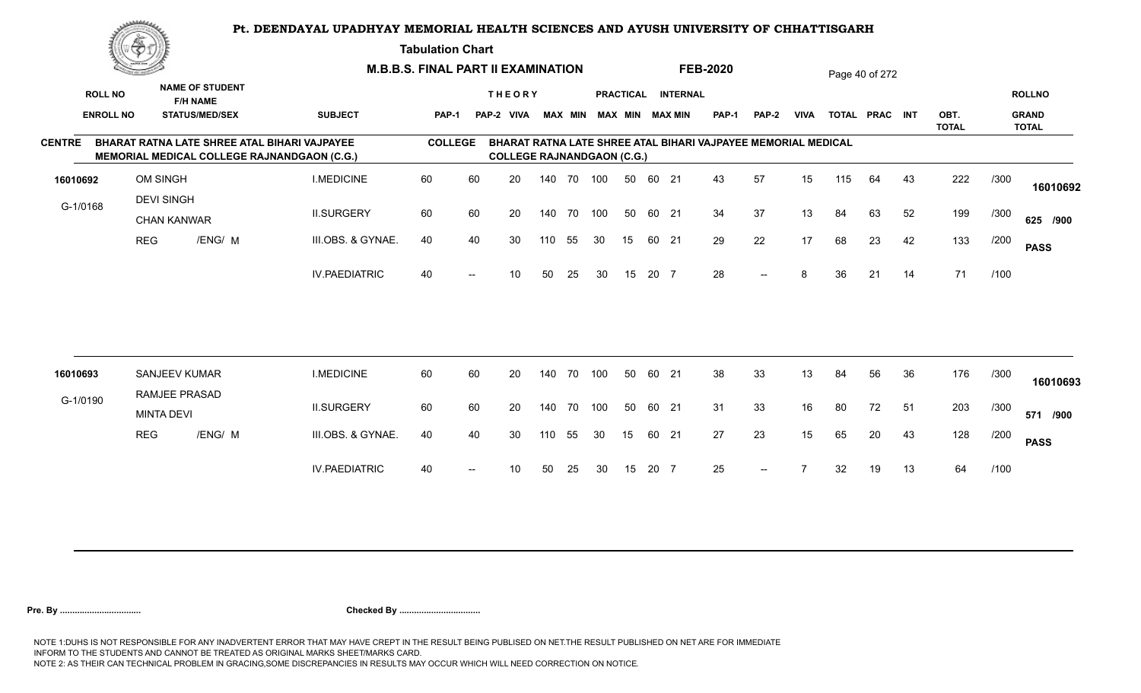**Tabulation Chart** 

|                  | <u>transfer</u>   |                                           |                                                                                                           | <b>M.B.B.S. FINAL PART II EXAMINATION</b> |    |                                   |        |    |     |                  |       |                         | <b>FEB-2020</b>                                               |              |             |     | Page 40 of 272 |    |                      |      |                              |
|------------------|-------------------|-------------------------------------------|-----------------------------------------------------------------------------------------------------------|-------------------------------------------|----|-----------------------------------|--------|----|-----|------------------|-------|-------------------------|---------------------------------------------------------------|--------------|-------------|-----|----------------|----|----------------------|------|------------------------------|
| <b>ROLL NO</b>   |                   | <b>NAME OF STUDENT</b><br><b>F/H NAME</b> |                                                                                                           |                                           |    | <b>THEORY</b>                     |        |    |     | <b>PRACTICAL</b> |       | <b>INTERNAL</b>         |                                                               |              |             |     |                |    |                      |      | <b>ROLLNO</b>                |
| <b>ENROLL NO</b> |                   | <b>STATUS/MED/SEX</b>                     | <b>SUBJECT</b>                                                                                            | <b>PAP-1</b>                              |    | PAP-2 VIVA                        |        |    |     |                  |       | MAX MIN MAX MIN MAX MIN | <b>PAP-1</b>                                                  | <b>PAP-2</b> | <b>VIVA</b> |     | TOTAL PRAC INT |    | OBT.<br><b>TOTAL</b> |      | <b>GRAND</b><br><b>TOTAL</b> |
| <b>CENTRE</b>    |                   |                                           | <b>BHARAT RATNA LATE SHREE ATAL BIHARI VAJPAYEE</b><br><b>MEMORIAL MEDICAL COLLEGE RAJNANDGAON (C.G.)</b> | <b>COLLEGE</b>                            |    | <b>COLLEGE RAJNANDGAON (C.G.)</b> |        |    |     |                  |       |                         | BHARAT RATNA LATE SHREE ATAL BIHARI VAJPAYEE MEMORIAL MEDICAL |              |             |     |                |    |                      |      |                              |
| 16010692         | OM SINGH          |                                           | <b>I.MEDICINE</b>                                                                                         | 60                                        | 60 | 20                                | 140 70 |    | 100 | 50               | 60 21 |                         | 43                                                            | 57           | 15          | 115 | 64             | 43 | 222                  | /300 | 16010692                     |
| G-1/0168         | <b>DEVI SINGH</b> | <b>CHAN KANWAR</b>                        | <b>II.SURGERY</b>                                                                                         | 60                                        | 60 | 20                                | 140 70 |    | 100 | 50               | 60 21 |                         | 34                                                            | 37           | 13          | 84  | 63             | 52 | 199                  | /300 | 625 /900                     |
|                  | <b>REG</b>        | /ENG/ M                                   | III.OBS. & GYNAE.                                                                                         | 40                                        | 40 | 30                                | 110    | 55 | 30  | 15               | 60 21 |                         | 29                                                            | 22           | 17          | 68  | 23             | 42 | 133                  | /200 | <b>PASS</b>                  |
|                  |                   |                                           | <b>IV.PAEDIATRIC</b>                                                                                      | 40                                        |    | 10                                | 50     | 25 | 30  | 15               | 20 7  |                         | 28                                                            | $--$         | 8           | 36  | 21             | 14 | 71                   | /100 |                              |
|                  |                   |                                           |                                                                                                           |                                           |    |                                   |        |    |     |                  |       |                         |                                                               |              |             |     |                |    |                      |      |                              |
| 16010693         |                   | <b>SANJEEV KUMAR</b><br>RAMJEE PRASAD     | <b>I.MEDICINE</b>                                                                                         | 60                                        | 60 | 20                                | 140 70 |    | 100 | 50               | 60 21 |                         | 38                                                            | 33           | 13          | 84  | 56             | 36 | 176                  | /300 | 16010693                     |
| G-1/0190         | <b>MINTA DEVI</b> |                                           | <b>II.SURGERY</b>                                                                                         | 60                                        | 60 | 20                                | 140 70 |    | 100 | 50               | 60 21 |                         | 31                                                            | 33           | 16          | 80  | 72             | 51 | 203                  | /300 | 571 /900                     |
|                  | <b>REG</b>        | /ENG/ M                                   | III.OBS. & GYNAE.                                                                                         | 40                                        | 40 | 30                                | 110    | 55 | 30  | 15               | 60 21 |                         | 27                                                            | 23           | 15          | 65  | 20             | 43 | 128                  | /200 | <b>PASS</b>                  |
|                  |                   |                                           | <b>IV.PAEDIATRIC</b>                                                                                      | 40                                        |    | 10                                | 50     | 25 | 30  | 15               | 20 7  |                         | 25                                                            | $--$         |             | 32  | 19             | 13 | 64                   | /100 |                              |
|                  |                   |                                           |                                                                                                           |                                           |    |                                   |        |    |     |                  |       |                         |                                                               |              |             |     |                |    |                      |      |                              |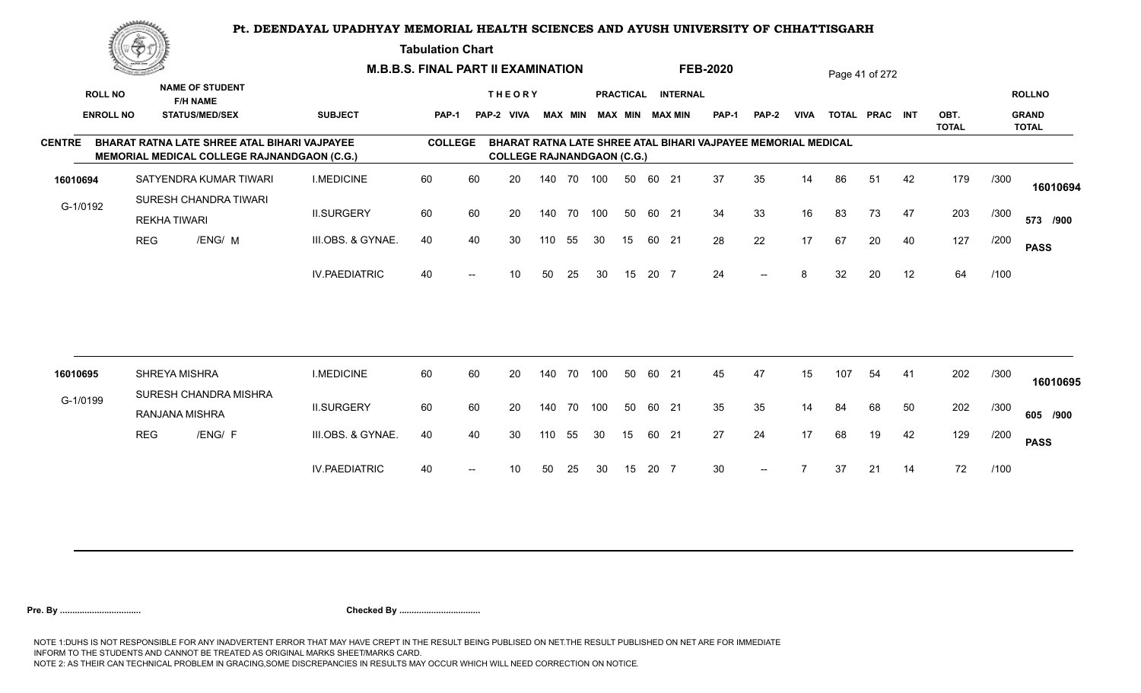#### **Tabulation Chart**

|                  | <u>Contraction of the Sea</u><br><b>NAME OF STUDENT</b> |                                                                                             |                      | <b>M.B.B.S. FINAL PART II EXAMINATION</b> |                          |                                    |            |            |     |                  |      |                 | <b>FEB-2020</b>                                               |                          |                |     | Page 41 of 272 |    |                      |      |                              |
|------------------|---------------------------------------------------------|---------------------------------------------------------------------------------------------|----------------------|-------------------------------------------|--------------------------|------------------------------------|------------|------------|-----|------------------|------|-----------------|---------------------------------------------------------------|--------------------------|----------------|-----|----------------|----|----------------------|------|------------------------------|
| <b>ROLL NO</b>   |                                                         | <b>F/H NAME</b>                                                                             |                      |                                           |                          | <b>THEORY</b>                      |            |            |     | <b>PRACTICAL</b> |      | <b>INTERNAL</b> |                                                               |                          |                |     |                |    |                      |      | <b>ROLLNO</b>                |
| <b>ENROLL NO</b> |                                                         | <b>STATUS/MED/SEX</b>                                                                       | <b>SUBJECT</b>       | PAP-1                                     |                          | PAP-2 VIVA MAX MIN MAX MIN MAX MIN |            |            |     |                  |      |                 | PAP-1                                                         | PAP-2                    | <b>VIVA</b>    |     | TOTAL PRAC INT |    | OBT.<br><b>TOTAL</b> |      | <b>GRAND</b><br><b>TOTAL</b> |
| <b>CENTRE</b>    |                                                         | BHARAT RATNA LATE SHREE ATAL BIHARI VAJPAYEE<br>MEMORIAL MEDICAL COLLEGE RAJNANDGAON (C.G.) |                      | <b>COLLEGE</b>                            |                          | <b>COLLEGE RAJNANDGAON (C.G.)</b>  |            |            |     |                  |      |                 | BHARAT RATNA LATE SHREE ATAL BIHARI VAJPAYEE MEMORIAL MEDICAL |                          |                |     |                |    |                      |      |                              |
| 16010694         |                                                         | SATYENDRA KUMAR TIWARI                                                                      | <b>I.MEDICINE</b>    | 60                                        | 60                       | 20                                 |            | 140 70 100 |     | 50               |      | 60 21           | 37                                                            | 35                       | 14             | 86  | 51             | 42 | 179                  | /300 | 16010694                     |
| G-1/0192         |                                                         | SURESH CHANDRA TIWARI<br><b>REKHA TIWARI</b>                                                | <b>II.SURGERY</b>    | 60                                        | 60                       | 20                                 | 140 70 100 |            |     | 50               |      | 60 21           | 34                                                            | 33                       | 16             | 83  | 73             | 47 | 203                  | /300 | 573 /900                     |
|                  | <b>REG</b>                                              | /ENG/ M                                                                                     | III.OBS. & GYNAE.    | 40                                        | 40                       | 30                                 | 110        | 55         | 30  | 15               |      | 60 21           | 28                                                            | 22                       | 17             | 67  | 20             | 40 | 127                  | /200 | <b>PASS</b>                  |
|                  |                                                         |                                                                                             | <b>IV.PAEDIATRIC</b> | 40                                        | $\overline{\phantom{a}}$ | 10                                 | 50         | 25         | 30  | 15               | 20 7 |                 | 24                                                            | $\overline{\phantom{a}}$ | 8              | 32  | 20             | 12 | 64                   | /100 |                              |
|                  |                                                         |                                                                                             |                      |                                           |                          |                                    |            |            |     |                  |      |                 |                                                               |                          |                |     |                |    |                      |      |                              |
| 16010695         |                                                         | SHREYA MISHRA                                                                               | <b>I.MEDICINE</b>    | 60                                        | 60                       | 20                                 | 140 70     |            | 100 | 50               |      | 60 21           | 45                                                            | 47                       | 15             | 107 | 54             | 41 | 202                  | /300 | 16010695                     |
| G-1/0199         |                                                         | SURESH CHANDRA MISHRA<br>RANJANA MISHRA                                                     | <b>II.SURGERY</b>    | 60                                        | 60                       | 20                                 | 140 70     |            | 100 | 50               |      | 60 21           | 35                                                            | 35                       | 14             | 84  | 68             | 50 | 202                  | /300 | 605 /900                     |
|                  | <b>REG</b>                                              | /ENG/ F                                                                                     | III.OBS. & GYNAE.    | 40                                        | 40                       | 30                                 | 110        | 55         | 30  | 15               |      | 60 21           | 27                                                            | 24                       | 17             | 68  | 19             | 42 | 129                  | /200 | <b>PASS</b>                  |
|                  |                                                         |                                                                                             | <b>IV.PAEDIATRIC</b> | 40                                        | $--$                     | 10                                 | 50         | 25         | 30  | 15               | 20 7 |                 | 30                                                            | $--$                     | $\overline{7}$ | 37  | 21             | 14 | 72                   | /100 |                              |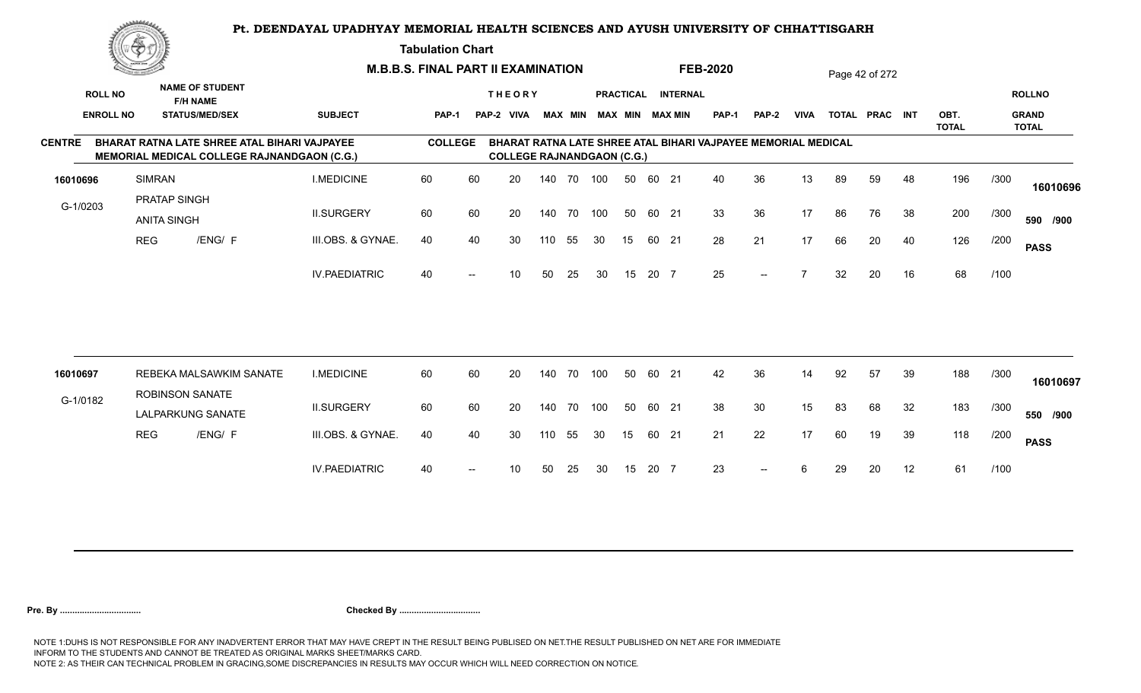**Tabulation Chart** 

|               | <b>Consumer Security of the American</b><br><b>NAME OF STUDENT</b> |                                    | <b>M.B.B.S. FINAL PART II EXAMINATION</b>                                                          |                      |                |                |                                   |     |                |     |    | <b>FEB-2020</b> |                                       |                                                               |       | Page 42 of 272 |    |                |    |                      |      |                                               |
|---------------|--------------------------------------------------------------------|------------------------------------|----------------------------------------------------------------------------------------------------|----------------------|----------------|----------------|-----------------------------------|-----|----------------|-----|----|-----------------|---------------------------------------|---------------------------------------------------------------|-------|----------------|----|----------------|----|----------------------|------|-----------------------------------------------|
|               | <b>ROLL NO</b><br><b>ENROLL NO</b>                                 |                                    | <b>F/H NAME</b><br><b>STATUS/MED/SEX</b>                                                           | <b>SUBJECT</b>       | <b>PAP-1</b>   |                | <b>THEORY</b><br>PAP-2 VIVA       |     | <b>MAX MIN</b> |     |    |                 | PRACTICAL INTERNAL<br>MAX MIN MAX MIN | <b>PAP-1</b>                                                  | PAP-2 | <b>VIVA</b>    |    | TOTAL PRAC INT |    | OBT.<br><b>TOTAL</b> |      | <b>ROLLNO</b><br><b>GRAND</b><br><b>TOTAL</b> |
| <b>CENTRE</b> |                                                                    |                                    | BHARAT RATNA LATE SHREE ATAL BIHARI VAJPAYEE<br><b>MEMORIAL MEDICAL COLLEGE RAJNANDGAON (C.G.)</b> |                      | <b>COLLEGE</b> |                | <b>COLLEGE RAJNANDGAON (C.G.)</b> |     |                |     |    |                 |                                       | BHARAT RATNA LATE SHREE ATAL BIHARI VAJPAYEE MEMORIAL MEDICAL |       |                |    |                |    |                      |      |                                               |
| 16010696      |                                                                    | <b>SIMRAN</b>                      |                                                                                                    | <b>I.MEDICINE</b>    | 60             | 60             | 20                                |     | 140 70 100     |     | 50 | 60 21           |                                       | 40                                                            | 36    | 13             | 89 | 59             | 48 | 196                  | /300 | 16010696                                      |
|               | G-1/0203                                                           | PRATAP SINGH<br><b>ANITA SINGH</b> |                                                                                                    | <b>II.SURGERY</b>    | 60             | 60             | 20                                |     | 140 70         | 100 | 50 | 60 21           |                                       | 33                                                            | 36    | 17             | 86 | 76             | 38 | 200                  | /300 | 590 /900                                      |
|               |                                                                    | <b>REG</b>                         | /ENG/ F                                                                                            | III.OBS. & GYNAE.    | 40             | 40             | 30                                | 110 | 55             | 30  | 15 | 60 21           |                                       | 28                                                            | 21    | 17             | 66 | 20             | 40 | 126                  | /200 | <b>PASS</b>                                   |
|               |                                                                    |                                    |                                                                                                    | <b>IV.PAEDIATRIC</b> | 40             | $\overline{a}$ | 10                                | 50  | 25             | 30  | 15 | 20 7            |                                       | 25                                                            | $--$  |                | 32 | 20             | 16 | 68                   | /100 |                                               |
|               |                                                                    |                                    |                                                                                                    |                      |                |                |                                   |     |                |     |    |                 |                                       |                                                               |       |                |    |                |    |                      |      |                                               |
| 16010697      |                                                                    |                                    | REBEKA MALSAWKIM SANATE                                                                            | <b>I.MEDICINE</b>    | 60             | 60             | 20                                |     | 140 70         | 100 | 50 | 60 21           |                                       | 42                                                            | 36    | 14             | 92 | 57             | 39 | 188                  | /300 | 16010697                                      |
|               | G-1/0182                                                           |                                    | <b>ROBINSON SANATE</b><br>LALPARKUNG SANATE                                                        | <b>II.SURGERY</b>    | 60             | 60             | 20                                |     | 140 70         | 100 | 50 | 60 21           |                                       | 38                                                            | 30    | 15             | 83 | 68             | 32 | 183                  | /300 | 550 /900                                      |
|               |                                                                    | <b>REG</b>                         | /ENG/ F                                                                                            | III.OBS. & GYNAE.    | 40             | 40             | 30                                | 110 | 55             | 30  | 15 | 60 21           |                                       | 21                                                            | 22    | 17             | 60 | 19             | 39 | 118                  | /200 | <b>PASS</b>                                   |
|               |                                                                    |                                    |                                                                                                    | <b>IV.PAEDIATRIC</b> | 40             |                | 10                                | 50  | 25             | 30  | 15 | 20 7            |                                       | 23                                                            | $- -$ | 6              | 29 | 20             | 12 | 61                   | /100 |                                               |
|               |                                                                    |                                    |                                                                                                    |                      |                |                |                                   |     |                |     |    |                 |                                       |                                                               |       |                |    |                |    |                      |      |                                               |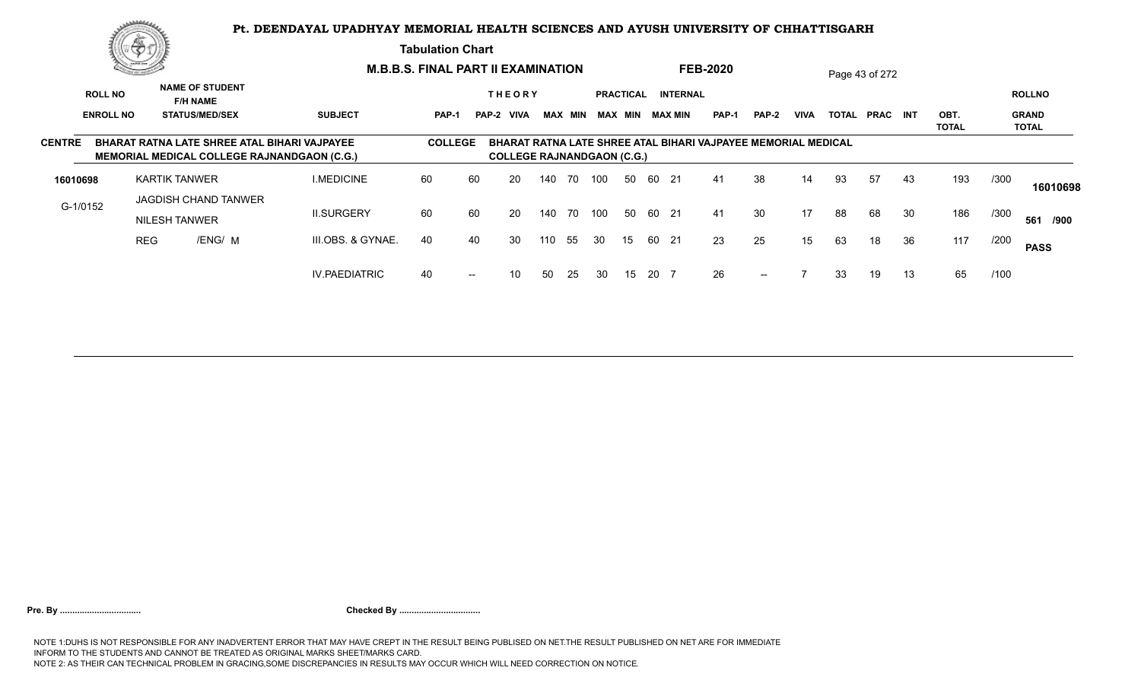**Tabulation Chart** 

|               |                  | The common of the    |                                           |                                                                                                    | <b>M.B.B.S. FINAL PART II EXAMINATION</b> |        |                                   |     |                |     |           |       |                        | <b>FEB-2020</b>                                               |               |             |              | Page 43 of 272  |    |                      |      |                              |
|---------------|------------------|----------------------|-------------------------------------------|----------------------------------------------------------------------------------------------------|-------------------------------------------|--------|-----------------------------------|-----|----------------|-----|-----------|-------|------------------------|---------------------------------------------------------------|---------------|-------------|--------------|-----------------|----|----------------------|------|------------------------------|
|               | <b>ROLL NO</b>   |                      | <b>NAME OF STUDENT</b><br><b>F/H NAME</b> |                                                                                                    |                                           |        | <b>THEORY</b>                     |     |                |     | PRACTICAL |       | <b>INTERNAL</b>        |                                                               |               |             |              |                 |    |                      |      | <b>ROLLNO</b>                |
|               | <b>ENROLL NO</b> |                      | <b>STATUS/MED/SEX</b>                     | <b>SUBJECT</b>                                                                                     | PAP-1                                     |        | PAP-2 VIVA                        |     | <b>MAX MIN</b> |     |           |       | <b>MAX MIN MAX MIN</b> | <b>PAP-1</b>                                                  | PAP-2         | <b>VIVA</b> | <b>TOTAL</b> | <b>PRAC INT</b> |    | OBT.<br><b>TOTAL</b> |      | <b>GRAND</b><br><b>TOTAL</b> |
| <b>CENTRE</b> |                  |                      |                                           | BHARAT RATNA LATE SHREE ATAL BIHARI VAJPAYEE<br><b>MEMORIAL MEDICAL COLLEGE RAJNANDGAON (C.G.)</b> | <b>COLLEGE</b>                            |        | <b>COLLEGE RAJNANDGAON (C.G.)</b> |     |                |     |           |       |                        | BHARAT RATNA LATE SHREE ATAL BIHARI VAJPAYEE MEMORIAL MEDICAL |               |             |              |                 |    |                      |      |                              |
| 16010698      |                  | <b>KARTIK TANWER</b> |                                           | <b>I.MEDICINE</b>                                                                                  | 60                                        | 60     | 20                                | 140 | 70             | 100 | 50        | 60    | 21                     | 41                                                            | 38            | 14          | 93           | 57              | 43 | 193                  | /300 | 16010698                     |
| G-1/0152      |                  | <b>NILESH TANWER</b> | JAGDISH CHAND TANWER                      | <b>II.SURGERY</b>                                                                                  | 60                                        | 60     | 20                                | 140 | 70             | 100 |           | 50 60 | 21                     | 41                                                            | 30            | 17          | 88           | 68              | 30 | 186                  | /300 | 561<br>/900                  |
|               |                  | <b>REG</b>           | /ENG/ M                                   | III.OBS. & GYNAE.                                                                                  | 40                                        | 40     | 30                                | 110 | 55             | 30  | 15        | -60   | 21                     | 23                                                            | 25            | 15          | 63           | 18              | 36 | 117                  | /200 | <b>PASS</b>                  |
|               |                  |                      |                                           | <b>IV.PAEDIATRIC</b>                                                                               | 40                                        | $\sim$ | 10                                | 50  | -25            | 30  | 15        | 20 7  |                        | 26                                                            | $\sim$ $\sim$ |             | 33           | 19              | 13 | 65                   | /100 |                              |
|               |                  |                      |                                           |                                                                                                    |                                           |        |                                   |     |                |     |           |       |                        |                                                               |               |             |              |                 |    |                      |      |                              |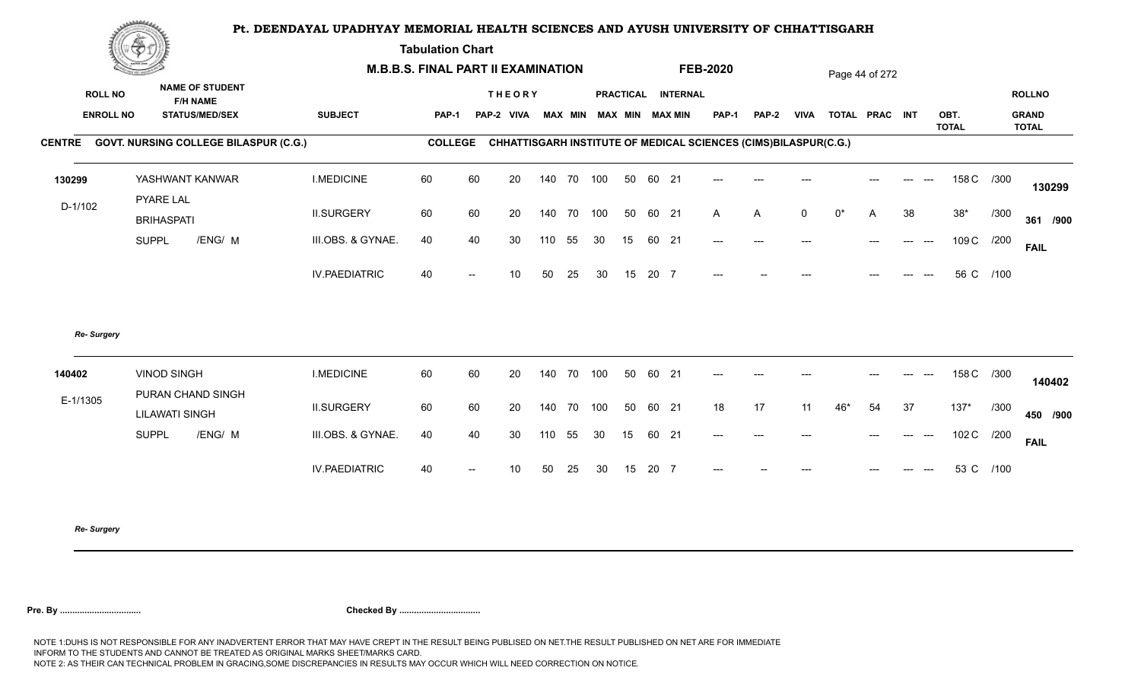**Tabulation Chart** 

|                  | Construction of the Construction<br><b>NAME OF STUDENT</b> |                      | <b>M.B.B.S. FINAL PART II EXAMINATION</b> |                          |               |     |                |     |    |       |                    | <b>FEB-2020</b>                                                                |              |                |           | Page 44 of 272 |    |                      |            |                              |
|------------------|------------------------------------------------------------|----------------------|-------------------------------------------|--------------------------|---------------|-----|----------------|-----|----|-------|--------------------|--------------------------------------------------------------------------------|--------------|----------------|-----------|----------------|----|----------------------|------------|------------------------------|
| <b>ROLL NO</b>   | <b>F/H NAME</b>                                            |                      |                                           |                          | <b>THEORY</b> |     |                |     |    |       | PRACTICAL INTERNAL |                                                                                |              |                |           |                |    |                      |            | <b>ROLLNO</b>                |
| <b>ENROLL NO</b> | <b>STATUS/MED/SEX</b>                                      | <b>SUBJECT</b>       | <b>PAP-1</b>                              |                          | PAP-2 VIVA    |     | <b>MAX MIN</b> |     |    |       | MAX MIN MAX MIN    | <b>PAP-1</b>                                                                   | <b>PAP-2</b> | <b>VIVA</b>    |           | TOTAL PRAC INT |    | OBT.<br><b>TOTAL</b> |            | <b>GRAND</b><br><b>TOTAL</b> |
|                  | CENTRE GOVT. NURSING COLLEGE BILASPUR (C.G.)               |                      |                                           |                          |               |     |                |     |    |       |                    | <b>COLLEGE CHHATTISGARH INSTITUTE OF MEDICAL SCIENCES (CIMS)BILASPUR(C.G.)</b> |              |                |           |                |    |                      |            |                              |
| 130299           | YASHWANT KANWAR                                            | <b>I.MEDICINE</b>    | 60                                        | 60                       | 20            |     | 140 70         | 100 | 50 | 60 21 |                    | $---$                                                                          |              |                |           |                |    |                      | 158 C /300 | 130299                       |
| $D-1/102$        | <b>PYARE LAL</b><br><b>BRIHASPATI</b>                      | <b>II.SURGERY</b>    | 60                                        | 60                       | 20            |     | 140 70         | 100 | 50 | 60 21 |                    | $\mathsf{A}$                                                                   | A            | $\overline{0}$ | $0^\star$ | A              | 38 | $38*$                | /300       | 361 /900                     |
|                  | /ENG/ M<br><b>SUPPL</b>                                    | III.OBS. & GYNAE.    | 40                                        | 40                       | 30            | 110 | 55             | 30  | 15 | 60 21 |                    | $---$                                                                          | $---$        | ---            |           | $---$          |    | 109 C                | /200       | <b>FAIL</b>                  |
|                  |                                                            | <b>IV.PAEDIATRIC</b> | 40                                        | $\overline{\phantom{a}}$ | 10            | 50  | 25             | 30  | 15 | 20 7  |                    |                                                                                |              |                |           |                |    |                      | 56 C /100  |                              |
| Re- Surgery      |                                                            |                      |                                           |                          |               |     |                |     |    |       |                    |                                                                                |              |                |           |                |    |                      |            |                              |
| 140402           | <b>VINOD SINGH</b><br>PURAN CHAND SINGH                    | <b>I.MEDICINE</b>    | 60                                        | 60                       | 20            |     | 140 70         | 100 | 50 | 60 21 |                    | $---$                                                                          |              |                |           |                |    |                      | 158 C /300 | 140402                       |
| E-1/1305         | <b>LILAWATI SINGH</b>                                      | <b>II.SURGERY</b>    | 60                                        | 60                       | 20            |     | 140 70         | 100 | 50 | 60 21 |                    | 18                                                                             | 17           | 11             | $46*$     | 54             | 37 | $137*$               | /300       | 450 /900                     |
|                  | /ENG/ M<br><b>SUPPL</b>                                    | III.OBS. & GYNAE.    | 40                                        | 40                       | 30            | 110 | 55             | 30  | 15 | 60 21 |                    | $---$                                                                          | $---$        | ---            |           | $---$          |    | 102 C                | /200       | <b>FAIL</b>                  |
|                  |                                                            | <b>IV.PAEDIATRIC</b> | 40                                        |                          | 10            | 50  | 25             | 30  | 15 | 20 7  |                    |                                                                                |              |                |           |                |    |                      | 53 C /100  |                              |
|                  |                                                            |                      |                                           |                          |               |     |                |     |    |       |                    |                                                                                |              |                |           |                |    |                      |            |                              |

*Re- Surgery*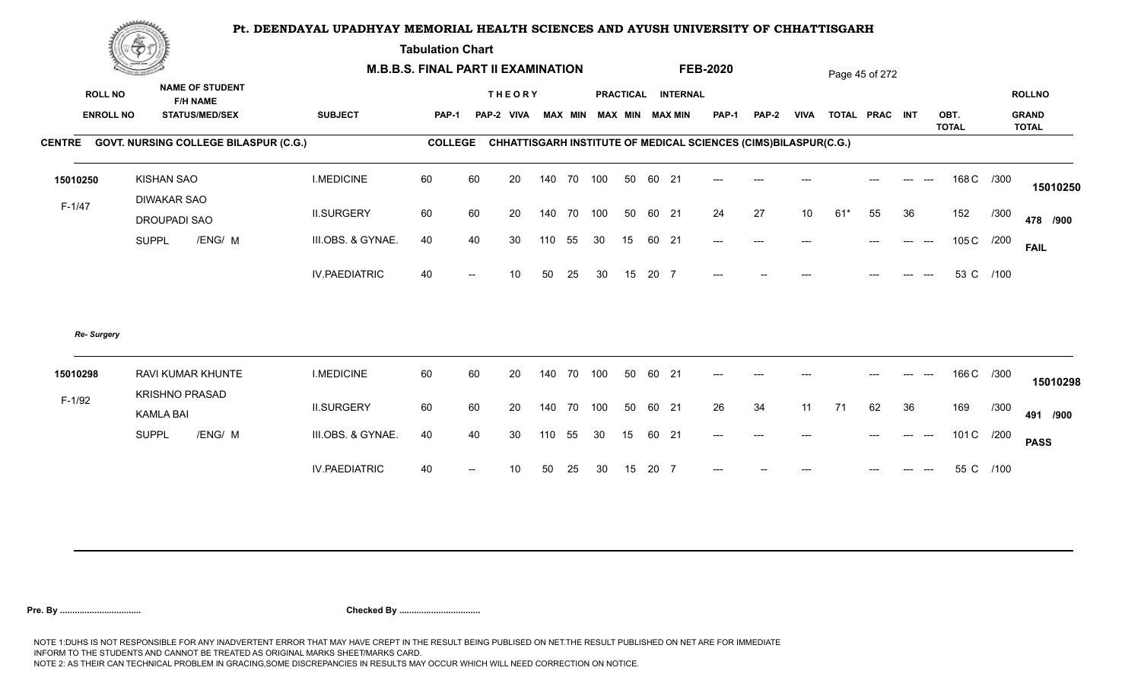**Tabulation Chart** 

|                                    | <b>Construction of the Construction</b> |                                                                    | <b>M.B.B.S. FINAL PART II EXAMINATION</b> |                |    |                             |        |                |     |    |       |                                              | <b>FEB-2020</b>                                                 |              |             |       | Page 45 of 272 |                              |              |           |                               |
|------------------------------------|-----------------------------------------|--------------------------------------------------------------------|-------------------------------------------|----------------|----|-----------------------------|--------|----------------|-----|----|-------|----------------------------------------------|-----------------------------------------------------------------|--------------|-------------|-------|----------------|------------------------------|--------------|-----------|-------------------------------|
| <b>ROLL NO</b><br><b>ENROLL NO</b> |                                         | <b>NAME OF STUDENT</b><br><b>F/H NAME</b><br><b>STATUS/MED/SEX</b> | <b>SUBJECT</b>                            | PAP-1          |    | <b>THEORY</b><br>PAP-2 VIVA |        | <b>MAX MIN</b> |     |    |       | PRACTICAL INTERNAL<br><b>MAX MIN MAX MIN</b> | <b>PAP-1</b>                                                    | <b>PAP-2</b> | <b>VIVA</b> |       | TOTAL PRAC INT |                              | OBT.         |           | <b>ROLLNO</b><br><b>GRAND</b> |
|                                    |                                         | CENTRE GOVT. NURSING COLLEGE BILASPUR (C.G.)                       |                                           | <b>COLLEGE</b> |    |                             |        |                |     |    |       |                                              | CHHATTISGARH INSTITUTE OF MEDICAL SCIENCES (CIMS)BILASPUR(C.G.) |              |             |       |                |                              | <b>TOTAL</b> |           | <b>TOTAL</b>                  |
| 15010250                           | <b>KISHAN SAO</b>                       |                                                                    | <b>I.MEDICINE</b>                         | 60             | 60 | 20                          |        | 140 70 100     |     | 50 | 60 21 |                                              |                                                                 |              |             |       |                |                              | 168 C /300   |           |                               |
| $F-1/47$                           | <b>DIWAKAR SAO</b><br>DROUPADI SAO      |                                                                    | <b>II.SURGERY</b>                         | 60             | 60 | 20                          |        | 140 70         | 100 | 50 | 60 21 |                                              | 24                                                              | 27           | 10          | $61*$ | 55             | 36                           | 152          | /300      | 15010250<br>478 /900          |
|                                    | <b>SUPPL</b>                            | /ENG/ M                                                            | III.OBS. & GYNAE.                         | 40             | 40 | 30                          | 110    | 55             | 30  | 15 | 60 21 |                                              | $---$                                                           | $---$        | ---         |       |                | $\qquad \qquad -\qquad -$    | 105 C        | /200      | <b>FAIL</b>                   |
|                                    |                                         |                                                                    | <b>IV.PAEDIATRIC</b>                      | 40             |    | 10                          | 50     | 25             | 30  | 15 | 20 7  |                                              |                                                                 |              |             |       |                |                              |              | 53 C /100 |                               |
| Re- Surgery                        |                                         |                                                                    |                                           |                |    |                             |        |                |     |    |       |                                              |                                                                 |              |             |       |                |                              |              |           |                               |
| 15010298                           |                                         | RAVI KUMAR KHUNTE<br><b>KRISHNO PRASAD</b>                         | <b>I.MEDICINE</b>                         | 60             | 60 | 20                          | 140 70 |                | 100 | 50 | 60 21 |                                              | $---$                                                           |              |             |       |                |                              | 166 C /300   |           | 15010298                      |
| $F-1/92$                           | <b>KAMLA BAI</b>                        |                                                                    | <b>II.SURGERY</b>                         | 60             | 60 | 20                          |        | 140 70         | 100 | 50 | 60 21 |                                              | 26                                                              | 34           | 11          | 71    | 62             | 36                           | 169          | /300      | 491 /900                      |
|                                    | <b>SUPPL</b>                            | /ENG/ M                                                            | III.OBS. & GYNAE.                         | 40             | 40 | 30                          | 110    | 55             | 30  | 15 | 60 21 |                                              | $\hspace{0.05cm} \ldots \hspace{0.05cm}$                        | $---$        |             |       |                | $\qquad \qquad - -$<br>$---$ | 101 C /200   |           | <b>PASS</b>                   |
|                                    |                                         |                                                                    | <b>IV.PAEDIATRIC</b>                      | 40             |    | 10                          | 50     | 25             | 30  | 15 | 20 7  |                                              |                                                                 |              |             |       |                |                              |              | 55 C /100 |                               |
|                                    |                                         |                                                                    |                                           |                |    |                             |        |                |     |    |       |                                              |                                                                 |              |             |       |                |                              |              |           |                               |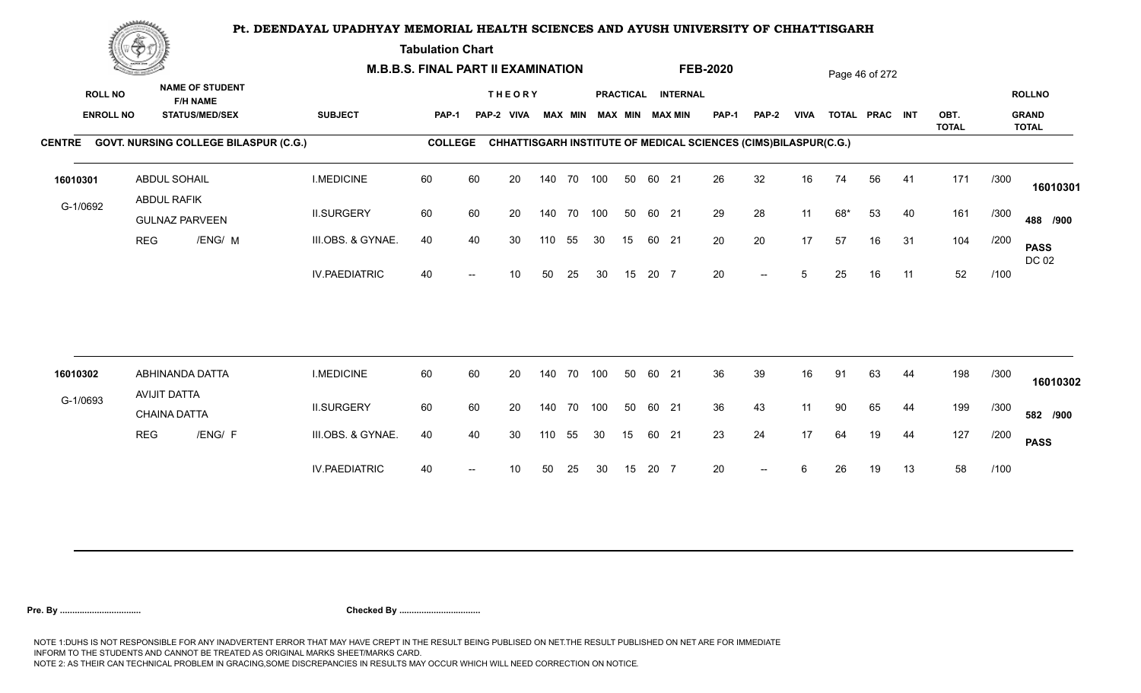**Tabulation Chart** 

|               | <b>Construction of the Asset</b> |                                              |                      | <b>M.B.B.S. FINAL PART II EXAMINATION</b> |    |               |     |                |     |    |       |                        | <b>FEB-2020</b> |                                                                 |             |     | Page 46 of 272 |    |                      |      |                              |
|---------------|----------------------------------|----------------------------------------------|----------------------|-------------------------------------------|----|---------------|-----|----------------|-----|----|-------|------------------------|-----------------|-----------------------------------------------------------------|-------------|-----|----------------|----|----------------------|------|------------------------------|
|               | <b>ROLL NO</b>                   | <b>NAME OF STUDENT</b><br><b>F/H NAME</b>    |                      |                                           |    | <b>THEORY</b> |     |                |     |    |       | PRACTICAL INTERNAL     |                 |                                                                 |             |     |                |    |                      |      | <b>ROLLNO</b>                |
|               | <b>ENROLL NO</b>                 | <b>STATUS/MED/SEX</b>                        | <b>SUBJECT</b>       | <b>PAP-1</b>                              |    | PAP-2 VIVA    |     | <b>MAX MIN</b> |     |    |       | <b>MAX MIN MAX MIN</b> | <b>PAP-1</b>    | PAP-2                                                           | <b>VIVA</b> |     | TOTAL PRAC INT |    | OBT.<br><b>TOTAL</b> |      | <b>GRAND</b><br><b>TOTAL</b> |
| <b>CENTRE</b> |                                  | <b>GOVT. NURSING COLLEGE BILASPUR (C.G.)</b> |                      | <b>COLLEGE</b>                            |    |               |     |                |     |    |       |                        |                 | CHHATTISGARH INSTITUTE OF MEDICAL SCIENCES (CIMS)BILASPUR(C.G.) |             |     |                |    |                      |      |                              |
| 16010301      |                                  | <b>ABDUL SOHAIL</b>                          | <b>I.MEDICINE</b>    | 60                                        | 60 | 20            |     | 140 70 100     |     | 50 | 60 21 |                        | 26              | 32                                                              | 16          | 74  | 56             | 41 | 171                  | /300 | 16010301                     |
| G-1/0692      |                                  | ABDUL RAFIK<br><b>GULNAZ PARVEEN</b>         | <b>II.SURGERY</b>    | 60                                        | 60 | 20            |     | 140 70 100     |     | 50 | 60 21 |                        | 29              | 28                                                              | 11          | 68* | 53             | 40 | 161                  | /300 | 488 /900                     |
|               |                                  | <b>REG</b><br>/ENG/ M                        | III.OBS. & GYNAE.    | 40                                        | 40 | 30            | 110 | 55             | 30  | 15 | 60 21 |                        | 20              | 20                                                              | 17          | 57  | 16             | 31 | 104                  | /200 | <b>PASS</b><br>DC 02         |
|               |                                  |                                              | <b>IV.PAEDIATRIC</b> | 40                                        |    | 10            | 50  | 25             | 30  | 15 | 20 7  |                        | 20              | $- -$                                                           | 5           | 25  | 16             | 11 | 52                   | /100 |                              |
|               |                                  |                                              |                      |                                           |    |               |     |                |     |    |       |                        |                 |                                                                 |             |     |                |    |                      |      |                              |
| 16010302      |                                  | ABHINANDA DATTA<br>AVIJIT DATTA              | <b>I.MEDICINE</b>    | 60                                        | 60 | 20            |     | 140 70         | 100 | 50 | 60 21 |                        | 36              | 39                                                              | 16          | 91  | 63             | 44 | 198                  | /300 | 16010302                     |
| G-1/0693      |                                  | <b>CHAINA DATTA</b>                          | <b>II.SURGERY</b>    | 60                                        | 60 | 20            |     | 140 70 100     |     | 50 | 60 21 |                        | 36              | 43                                                              | 11          | 90  | 65             | 44 | 199                  | /300 | 582 /900                     |
|               |                                  | /ENG/ F<br><b>REG</b>                        | III.OBS. & GYNAE.    | 40                                        | 40 | 30            | 110 | 55             | 30  | 15 | 60 21 |                        | 23              | 24                                                              | 17          | 64  | 19             | 44 | 127                  | /200 | <b>PASS</b>                  |
|               |                                  |                                              | <b>IV.PAEDIATRIC</b> | 40                                        |    | 10            | 50  | 25             | 30  | 15 | 20 7  |                        | 20              | $- -$                                                           | 6           | 26  | 19             | 13 | 58                   | /100 |                              |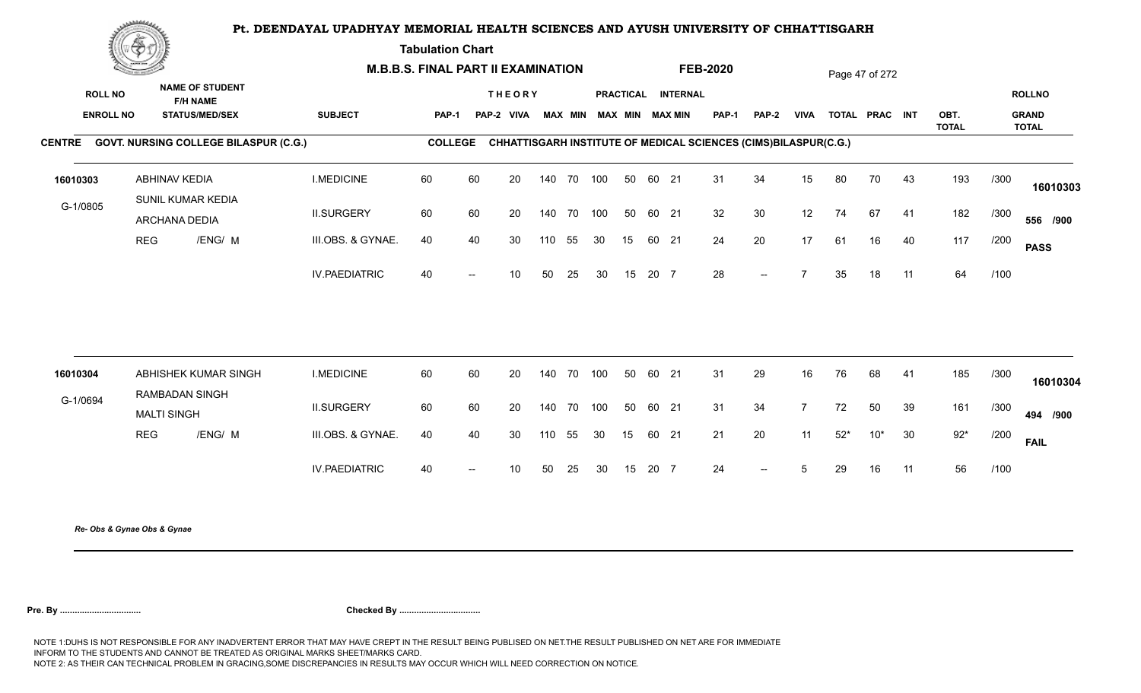**Tabulation Chart** 

|                                    | <u>Contraction</u><br><b>NAME OF STUDENT</b> |                                           |                                              | <b>M.B.B.S. FINAL PART II EXAMINATION</b> |                |                          |                             |     |                |            |    |       | <b>FEB-2020</b>                              |              |                                                                 |                | Page 47 of 272 |                |    |                      |      |                                               |
|------------------------------------|----------------------------------------------|-------------------------------------------|----------------------------------------------|-------------------------------------------|----------------|--------------------------|-----------------------------|-----|----------------|------------|----|-------|----------------------------------------------|--------------|-----------------------------------------------------------------|----------------|----------------|----------------|----|----------------------|------|-----------------------------------------------|
| <b>ROLL NO</b><br><b>ENROLL NO</b> |                                              | <b>F/H NAME</b><br><b>STATUS/MED/SEX</b>  |                                              | <b>SUBJECT</b>                            | PAP-1          |                          | <b>THEORY</b><br>PAP-2 VIVA |     | <b>MAX MIN</b> |            |    |       | PRACTICAL INTERNAL<br><b>MAX MIN MAX MIN</b> | <b>PAP-1</b> | <b>PAP-2</b>                                                    | <b>VIVA</b>    |                | TOTAL PRAC INT |    | OBT.<br><b>TOTAL</b> |      | <b>ROLLNO</b><br><b>GRAND</b><br><b>TOTAL</b> |
|                                    |                                              |                                           | CENTRE GOVT. NURSING COLLEGE BILASPUR (C.G.) |                                           | <b>COLLEGE</b> |                          |                             |     |                |            |    |       |                                              |              | CHHATTISGARH INSTITUTE OF MEDICAL SCIENCES (CIMS)BILASPUR(C.G.) |                |                |                |    |                      |      |                                               |
| 16010303                           |                                              | <b>ABHINAV KEDIA</b><br>SUNIL KUMAR KEDIA |                                              | <b>I.MEDICINE</b>                         | 60             | 60                       | 20                          |     |                | 140 70 100 | 50 | 60 21 |                                              | 31           | 34                                                              | 15             | 80             | 70             | 43 | 193                  | /300 | 16010303                                      |
| G-1/0805                           |                                              | <b>ARCHANA DEDIA</b>                      |                                              | <b>II.SURGERY</b>                         | 60             | 60                       | 20                          |     | 140 70         | 100        | 50 | 60 21 |                                              | 32           | 30                                                              | 12             | 74             | 67             | 41 | 182                  | /300 | 556 /900                                      |
|                                    | <b>REG</b>                                   |                                           | /ENG/ M                                      | III.OBS. & GYNAE.                         | 40             | 40                       | 30                          | 110 | 55             | 30         | 15 | 60 21 |                                              | 24           | 20                                                              | 17             | 61             | 16             | 40 | 117                  | /200 | <b>PASS</b>                                   |
|                                    |                                              |                                           |                                              | <b>IV.PAEDIATRIC</b>                      | 40             |                          | 10                          | 50  | 25             | 30         | 15 | 20 7  |                                              | 28           | $--$                                                            | 7              | 35             | 18             | 11 | 64                   | /100 |                                               |
| 16010304                           |                                              | ABHISHEK KUMAR SINGH                      |                                              | <b>I.MEDICINE</b>                         | 60             | 60                       | 20                          |     | 140 70         | 100        | 50 | 60 21 |                                              | 31           | 29                                                              | 16             | 76             | 68             | 41 | 185                  | /300 |                                               |
|                                    |                                              | RAMBADAN SINGH                            |                                              |                                           |                |                          |                             |     |                |            |    |       |                                              |              |                                                                 |                |                |                |    |                      |      | 16010304                                      |
| G-1/0694                           |                                              | <b>MALTI SINGH</b>                        |                                              | <b>II.SURGERY</b>                         | 60             | 60                       | 20                          |     | 140 70         | 100        | 50 | 60 21 |                                              | 31           | 34                                                              | $\overline{7}$ | 72             | 50             | 39 | 161                  | /300 | 494 /900                                      |
|                                    | <b>REG</b>                                   |                                           | /ENG/ M                                      | III.OBS. & GYNAE.                         | 40             | 40                       | 30                          | 110 | 55             | 30         | 15 | 60 21 |                                              | 21           | 20                                                              | 11             | $52*$          | $10*$          | 30 | $92*$                | /200 | <b>FAIL</b>                                   |
|                                    |                                              |                                           |                                              | <b>IV.PAEDIATRIC</b>                      | 40             | $\overline{\phantom{a}}$ | 10 <sup>°</sup>             | 50  | 25             | 30         | 15 | 20 7  |                                              | 24           | $\overline{\phantom{a}}$                                        | 5              | 29             | 16             | 11 | 56                   | /100 |                                               |
|                                    |                                              |                                           |                                              |                                           |                |                          |                             |     |                |            |    |       |                                              |              |                                                                 |                |                |                |    |                      |      |                                               |

*Re- Obs & Gynae Obs & Gynae*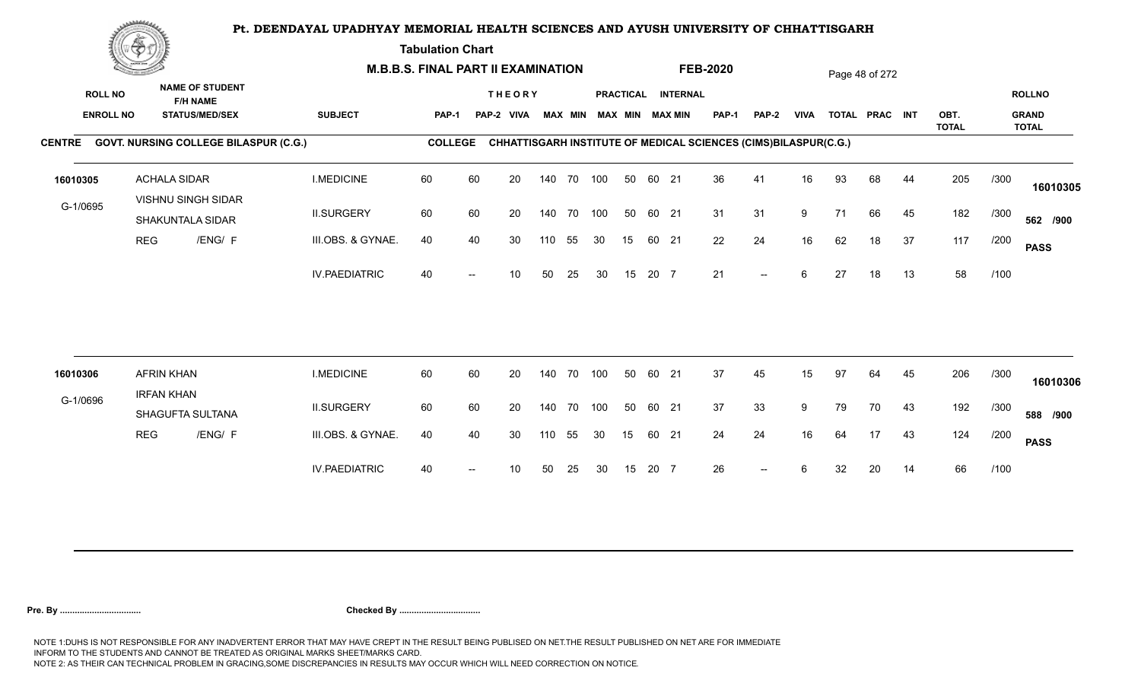**Tabulation Chart** 

|          | <b>Construction of the Construction</b>                                                                  |                     |                                              | <b>M.B.B.S. FINAL PART II EXAMINATION</b> |                |                             |    |                |            |     |    |                                              |              | <b>FEB-2020</b>                                                 |                          |    |                | Page 48 of 272 |      |              |                               |              |
|----------|----------------------------------------------------------------------------------------------------------|---------------------|----------------------------------------------|-------------------------------------------|----------------|-----------------------------|----|----------------|------------|-----|----|----------------------------------------------|--------------|-----------------------------------------------------------------|--------------------------|----|----------------|----------------|------|--------------|-------------------------------|--------------|
|          | <b>NAME OF STUDENT</b><br><b>ROLL NO</b><br><b>F/H NAME</b><br><b>ENROLL NO</b><br><b>STATUS/MED/SEX</b> |                     | <b>SUBJECT</b>                               | PAP-1                                     |                | <b>THEORY</b><br>PAP-2 VIVA |    | <b>MAX MIN</b> |            |     |    | PRACTICAL INTERNAL<br><b>MAX MIN MAX MIN</b> | <b>PAP-1</b> | PAP-2                                                           | <b>VIVA</b>              |    | TOTAL PRAC INT |                | OBT. |              | <b>ROLLNO</b><br><b>GRAND</b> |              |
|          |                                                                                                          |                     | CENTRE GOVT. NURSING COLLEGE BILASPUR (C.G.) |                                           | <b>COLLEGE</b> |                             |    |                |            |     |    |                                              |              | CHHATTISGARH INSTITUTE OF MEDICAL SCIENCES (CIMS)BILASPUR(C.G.) |                          |    |                |                |      | <b>TOTAL</b> |                               | <b>TOTAL</b> |
|          |                                                                                                          |                     |                                              |                                           |                |                             |    |                |            |     |    |                                              |              |                                                                 |                          |    |                |                |      |              |                               |              |
| 16010305 |                                                                                                          | <b>ACHALA SIDAR</b> | VISHNU SINGH SIDAR                           | <b>I.MEDICINE</b>                         | 60             | 60                          | 20 |                | 140 70 100 |     | 50 | 60 21                                        |              | 36                                                              | 41                       | 16 | 93             | 68             | 44   | 205          | /300                          | 16010305     |
| G-1/0695 |                                                                                                          |                     | SHAKUNTALA SIDAR                             | <b>II.SURGERY</b>                         | 60             | 60                          | 20 |                | 140 70     | 100 | 50 | 60 21                                        |              | 31                                                              | 31                       | 9  | 71             | 66             | 45   | 182          | /300                          | 562 /900     |
|          | <b>REG</b>                                                                                               |                     | /ENG/ F                                      | III.OBS. & GYNAE.                         | 40             | 40                          | 30 | 110            | 55         | 30  | 15 | 60 21                                        |              | 22                                                              | 24                       | 16 | 62             | 18             | 37   | 117          | /200                          | <b>PASS</b>  |
|          |                                                                                                          |                     |                                              | <b>IV.PAEDIATRIC</b>                      | 40             |                             | 10 | 50             | 25         | 30  | 15 | 20 7                                         |              | 21                                                              | $\overline{\phantom{a}}$ | 6  | 27             | 18             | 13   | 58           | /100                          |              |
|          |                                                                                                          |                     |                                              |                                           |                |                             |    |                |            |     |    |                                              |              |                                                                 |                          |    |                |                |      |              |                               |              |
| 16010306 |                                                                                                          | <b>AFRIN KHAN</b>   |                                              | <b>I.MEDICINE</b>                         | 60             | 60                          | 20 |                | 140 70     | 100 | 50 | 60 21                                        |              | 37                                                              | 45                       | 15 | 97             | 64             | 45   | 206          | /300                          | 16010306     |
| G-1/0696 |                                                                                                          | <b>IRFAN KHAN</b>   | SHAGUFTA SULTANA                             | <b>II.SURGERY</b>                         | 60             | 60                          | 20 |                | 140 70     | 100 | 50 | 60 21                                        |              | 37                                                              | 33                       | 9  | 79             | 70             | 43   | 192          | /300                          | 588 /900     |
|          | <b>REG</b>                                                                                               |                     | /ENG/ F                                      | III.OBS. & GYNAE.                         | 40             | 40                          | 30 | 110            | 55         | 30  | 15 | 60 21                                        |              | 24                                                              | 24                       | 16 | 64             | 17             | 43   | 124          | /200                          | <b>PASS</b>  |
|          |                                                                                                          |                     |                                              | <b>IV.PAEDIATRIC</b>                      | 40             |                             | 10 | 50             | 25         | 30  | 15 | 20 7                                         |              | 26                                                              | $\overline{\phantom{a}}$ | 6  | 32             | 20             | 14   | 66           | /100                          |              |
|          |                                                                                                          |                     |                                              |                                           |                |                             |    |                |            |     |    |                                              |              |                                                                 |                          |    |                |                |      |              |                               |              |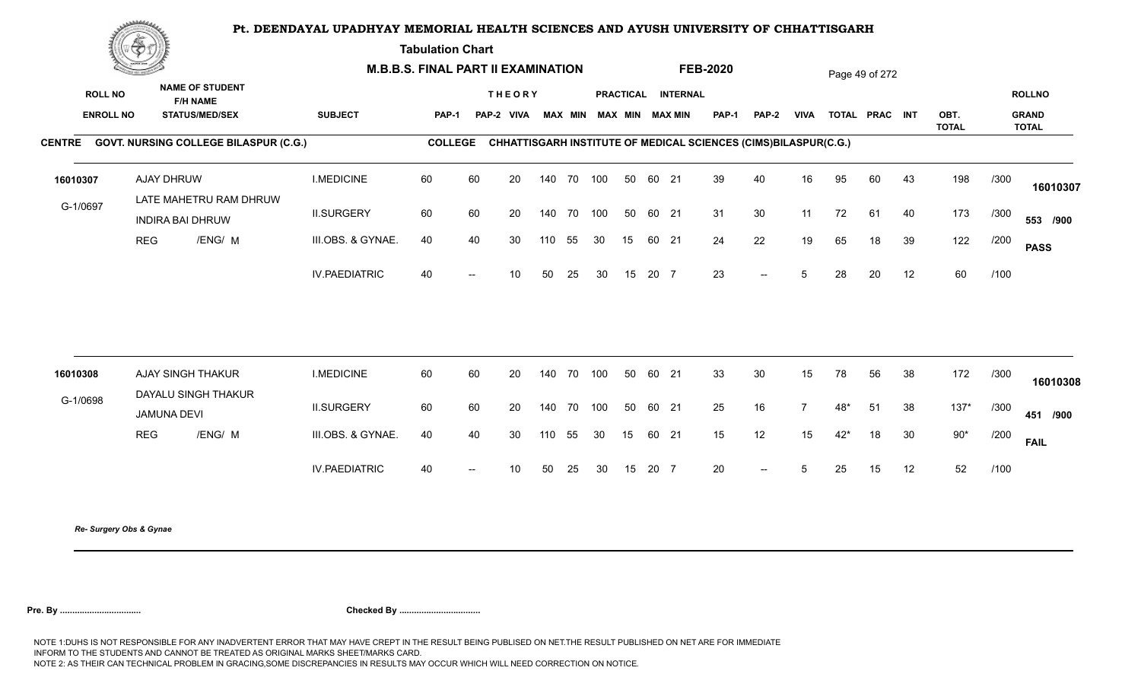**Tabulation Chart** 

|                                    | <u>Contact on the Contact of South States of South States and States of South States and States and States and States and States and States and States and States and States and States and States and States and States and Sta</u> |                                                                    | <b>M.B.B.S. FINAL PART II EXAMINATION</b> |                |                          |                             |        |                |     |    |       |                                       | <b>FEB-2020</b>                                                 |                                                  |             |       | Page 49 of 272 |    |                      |      |                                               |
|------------------------------------|--------------------------------------------------------------------------------------------------------------------------------------------------------------------------------------------------------------------------------------|--------------------------------------------------------------------|-------------------------------------------|----------------|--------------------------|-----------------------------|--------|----------------|-----|----|-------|---------------------------------------|-----------------------------------------------------------------|--------------------------------------------------|-------------|-------|----------------|----|----------------------|------|-----------------------------------------------|
| <b>ROLL NO</b><br><b>ENROLL NO</b> |                                                                                                                                                                                                                                      | <b>NAME OF STUDENT</b><br><b>F/H NAME</b><br><b>STATUS/MED/SEX</b> | <b>SUBJECT</b>                            | PAP-1          |                          | <b>THEORY</b><br>PAP-2 VIVA |        | <b>MAX MIN</b> |     |    |       | PRACTICAL INTERNAL<br>MAX MIN MAX MIN | <b>PAP-1</b>                                                    | PAP-2                                            | <b>VIVA</b> |       | TOTAL PRAC INT |    | OBT.<br><b>TOTAL</b> |      | <b>ROLLNO</b><br><b>GRAND</b><br><b>TOTAL</b> |
|                                    |                                                                                                                                                                                                                                      | CENTRE GOVT. NURSING COLLEGE BILASPUR (C.G.)                       |                                           | <b>COLLEGE</b> |                          |                             |        |                |     |    |       |                                       | CHHATTISGARH INSTITUTE OF MEDICAL SCIENCES (CIMS)BILASPUR(C.G.) |                                                  |             |       |                |    |                      |      |                                               |
| 16010307                           |                                                                                                                                                                                                                                      | AJAY DHRUW                                                         | <b>I.MEDICINE</b>                         | 60             | 60                       | 20                          |        | 140 70 100     |     | 50 | 60 21 |                                       | 39                                                              | 40                                               | 16          | 95    | 60             | 43 | 198                  | /300 | 16010307                                      |
| G-1/0697                           |                                                                                                                                                                                                                                      | LATE MAHETRU RAM DHRUW<br><b>INDIRA BAI DHRUW</b>                  | <b>II.SURGERY</b>                         | 60             | 60                       | 20                          |        | 140 70         | 100 | 50 | 60 21 |                                       | 31                                                              | 30                                               | 11          | 72    | 61             | 40 | 173                  | /300 | 553 /900                                      |
|                                    | <b>REG</b>                                                                                                                                                                                                                           | /ENG/ M                                                            | III.OBS. & GYNAE.                         | 40             | 40                       | 30                          | 110    | 55             | 30  | 15 | 60 21 |                                       | 24                                                              | 22                                               | 19          | 65    | 18             | 39 | 122                  | /200 | <b>PASS</b>                                   |
|                                    |                                                                                                                                                                                                                                      |                                                                    | <b>IV.PAEDIATRIC</b>                      | 40             | $\hspace{0.05cm}$        | 10 <sup>°</sup>             | 50     | 25             | 30  | 15 | 20 7  |                                       | 23                                                              | $\overline{\phantom{a}}$                         | 5           | 28    | 20             | 12 | 60                   | /100 |                                               |
| 16010308                           |                                                                                                                                                                                                                                      | AJAY SINGH THAKUR                                                  | <b>I.MEDICINE</b>                         | 60             | 60                       | 20                          |        | 140 70         | 100 | 50 | 60 21 |                                       | 33                                                              | $30\,$                                           | 15          | 78    | 56             | 38 | 172                  | /300 |                                               |
| G-1/0698                           |                                                                                                                                                                                                                                      | DAYALU SINGH THAKUR                                                |                                           |                |                          |                             |        |                |     |    |       |                                       |                                                                 |                                                  |             |       |                |    |                      |      | 16010308                                      |
|                                    |                                                                                                                                                                                                                                      | <b>JAMUNA DEVI</b>                                                 | <b>II.SURGERY</b>                         | 60             | 60                       | 20                          | 140 70 |                | 100 | 50 | 60 21 |                                       | 25                                                              | 16                                               |             | $48*$ | 51             | 38 | $137*$               | /300 | 451 /900                                      |
|                                    | <b>REG</b>                                                                                                                                                                                                                           | /ENG/ M                                                            | III.OBS. & GYNAE.                         | 40             | 40                       | 30                          | 110    | 55             | 30  | 15 | 60 21 |                                       | 15                                                              | 12                                               | 15          | $42*$ | 18             | 30 | $90*$                | /200 | <b>FAIL</b>                                   |
|                                    |                                                                                                                                                                                                                                      |                                                                    | <b>IV.PAEDIATRIC</b>                      | 40             | $\overline{\phantom{a}}$ | 10 <sup>°</sup>             | 50     | 25             | 30  | 15 | 20 7  |                                       | 20                                                              | $\hspace{0.1em} -\hspace{0.1em} -\hspace{0.1em}$ | $5^{\circ}$ | 25    | 15             | 12 | 52                   | /100 |                                               |
|                                    |                                                                                                                                                                                                                                      |                                                                    |                                           |                |                          |                             |        |                |     |    |       |                                       |                                                                 |                                                  |             |       |                |    |                      |      |                                               |

*Re- Surgery Obs & Gynae*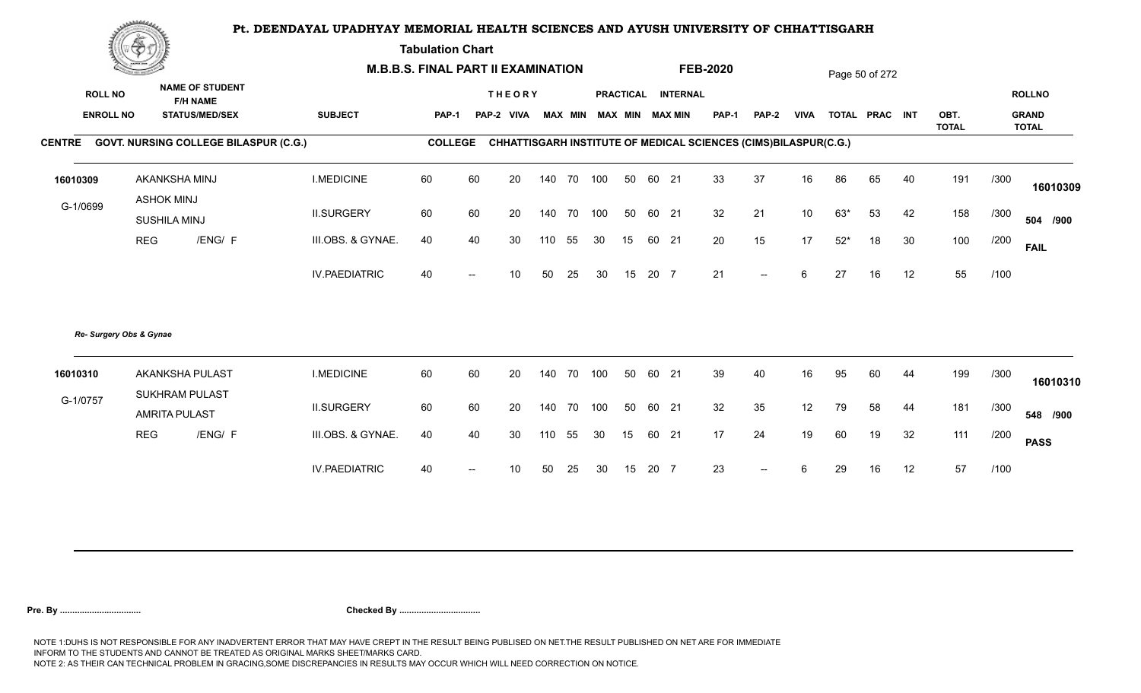**Tabulation Chart** 

|                  | <b>Construction of the Construction</b> |                                               | <b>M.B.B.S. FINAL PART II EXAMINATION</b> |                |                          |                 |     |        |                         |    |       |                    | <b>FEB-2020</b> |                                                                 |                 |       | Page 50 of 272 |    |                      |      |                              |
|------------------|-----------------------------------------|-----------------------------------------------|-------------------------------------------|----------------|--------------------------|-----------------|-----|--------|-------------------------|----|-------|--------------------|-----------------|-----------------------------------------------------------------|-----------------|-------|----------------|----|----------------------|------|------------------------------|
| <b>ROLL NO</b>   |                                         | <b>NAME OF STUDENT</b><br><b>F/H NAME</b>     |                                           |                |                          | <b>THEORY</b>   |     |        |                         |    |       | PRACTICAL INTERNAL |                 |                                                                 |                 |       |                |    |                      |      | <b>ROLLNO</b>                |
| <b>ENROLL NO</b> |                                         | <b>STATUS/MED/SEX</b>                         | <b>SUBJECT</b>                            | PAP-1          |                          | PAP-2 VIVA      |     |        | MAX MIN MAX MIN MAX MIN |    |       |                    | <b>PAP-1</b>    | PAP-2                                                           | <b>VIVA</b>     |       | TOTAL PRAC INT |    | OBT.<br><b>TOTAL</b> |      | <b>GRAND</b><br><b>TOTAL</b> |
|                  |                                         | CENTRE GOVT. NURSING COLLEGE BILASPUR (C.G.)  |                                           | <b>COLLEGE</b> |                          |                 |     |        |                         |    |       |                    |                 | CHHATTISGARH INSTITUTE OF MEDICAL SCIENCES (CIMS)BILASPUR(C.G.) |                 |       |                |    |                      |      |                              |
| 16010309         |                                         | AKANKSHA MINJ                                 | <b>I.MEDICINE</b>                         | 60             | 60                       | 20              | 140 | 70 100 |                         | 50 | 60 21 |                    | 33              | 37                                                              | 16              | 86    | 65             | 40 | 191                  | /300 | 16010309                     |
| G-1/0699         | <b>ASHOK MINJ</b><br>SUSHILA MINJ       |                                               | <b>II.SURGERY</b>                         | 60             | 60                       | 20              | 140 | 70 100 |                         | 50 | 60 21 |                    | 32              | 21                                                              | 10 <sup>°</sup> | $63*$ | 53             | 42 | 158                  | /300 | 504 /900                     |
|                  | <b>REG</b>                              | /ENG/ F                                       | III.OBS. & GYNAE.                         | 40             | 40                       | 30              | 110 | 55     | 30                      | 15 | 60 21 |                    | 20              | 15                                                              | 17              | $52*$ | 18             | 30 | 100                  | /200 | <b>FAIL</b>                  |
|                  |                                         |                                               | <b>IV.PAEDIATRIC</b>                      | 40             |                          | 10 <sup>°</sup> | 50  | 25     | 30                      | 15 | 20 7  |                    | 21              | $-$                                                             | 6               | 27    | 16             | 12 | 55                   | /100 |                              |
|                  | Re- Surgery Obs & Gynae                 |                                               |                                           |                |                          |                 |     |        |                         |    |       |                    |                 |                                                                 |                 |       |                |    |                      |      |                              |
| 16010310         |                                         | AKANKSHA PULAST                               | <b>I.MEDICINE</b>                         | 60             | 60                       | 20              | 140 | 70 100 |                         | 50 | 60 21 |                    | 39              | 40                                                              | 16              | 95    | 60             | 44 | 199                  | /300 | 16010310                     |
| G-1/0757         |                                         | <b>SUKHRAM PULAST</b><br><b>AMRITA PULAST</b> | <b>II.SURGERY</b>                         | 60             | 60                       | 20              | 140 | 70 100 |                         | 50 | 60 21 |                    | 32              | 35                                                              | 12              | 79    | 58             | 44 | 181                  | /300 | 548 /900                     |
|                  | <b>REG</b>                              | /ENG/ F                                       | III.OBS. & GYNAE.                         | 40             | 40                       | 30              | 110 | 55     | 30                      | 15 | 60 21 |                    | 17              | 24                                                              | 19              | 60    | 19             | 32 | 111                  | /200 | <b>PASS</b>                  |
|                  |                                         |                                               | <b>IV.PAEDIATRIC</b>                      | 40             | $\overline{\phantom{a}}$ | 10              | 50  | 25     | 30                      | 15 | 20 7  |                    | 23              | $-$                                                             | 6               | 29    | 16             | 12 | 57                   | /100 |                              |
|                  |                                         |                                               |                                           |                |                          |                 |     |        |                         |    |       |                    |                 |                                                                 |                 |       |                |    |                      |      |                              |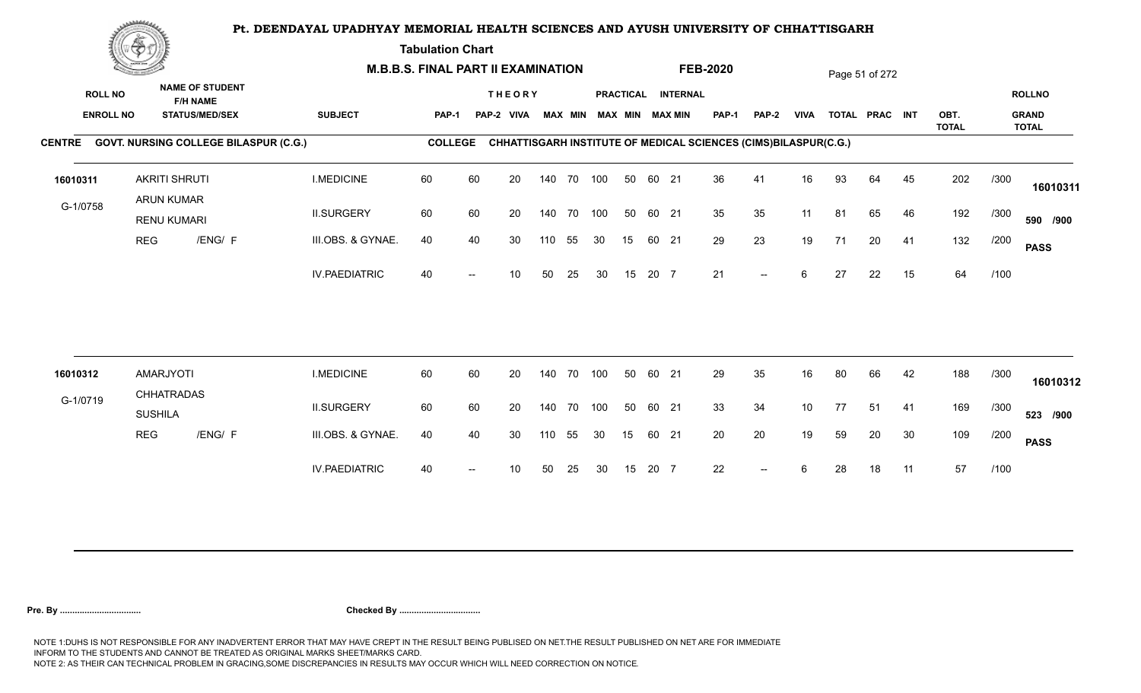**Tabulation Chart** 

|                | <b>Construction of the Construction</b> |                                           |                                                                    | <b>M.B.B.S. FINAL PART II EXAMINATION</b> |                |    |                             |     |                |     |    |       |                                              | <b>FEB-2020</b>                                                 |                          |             |    | Page 51 of 272 |    |              |      |                               |
|----------------|-----------------------------------------|-------------------------------------------|--------------------------------------------------------------------|-------------------------------------------|----------------|----|-----------------------------|-----|----------------|-----|----|-------|----------------------------------------------|-----------------------------------------------------------------|--------------------------|-------------|----|----------------|----|--------------|------|-------------------------------|
| <b>ROLL NO</b> | <b>ENROLL NO</b>                        |                                           | <b>NAME OF STUDENT</b><br><b>F/H NAME</b><br><b>STATUS/MED/SEX</b> | <b>SUBJECT</b>                            | PAP-1          |    | <b>THEORY</b><br>PAP-2 VIVA |     | <b>MAX MIN</b> |     |    |       | PRACTICAL INTERNAL<br><b>MAX MIN MAX MIN</b> | <b>PAP-1</b>                                                    | PAP-2                    | <b>VIVA</b> |    | TOTAL PRAC INT |    | OBT.         |      | <b>ROLLNO</b><br><b>GRAND</b> |
|                |                                         |                                           | CENTRE GOVT. NURSING COLLEGE BILASPUR (C.G.)                       |                                           | <b>COLLEGE</b> |    |                             |     |                |     |    |       |                                              | CHHATTISGARH INSTITUTE OF MEDICAL SCIENCES (CIMS)BILASPUR(C.G.) |                          |             |    |                |    | <b>TOTAL</b> |      | <b>TOTAL</b>                  |
| 16010311       |                                         | <b>AKRITI SHRUTI</b><br><b>ARUN KUMAR</b> |                                                                    | <b>I.MEDICINE</b>                         | 60             | 60 | 20                          |     | 140 70 100     |     | 50 | 60 21 |                                              | 36                                                              | 41                       | 16          | 93 | 64             | 45 | 202          | /300 | 16010311                      |
| G-1/0758       |                                         | <b>RENU KUMARI</b>                        |                                                                    | <b>II.SURGERY</b>                         | 60             | 60 | 20                          |     | 140 70 100     |     | 50 | 60 21 |                                              | 35                                                              | 35                       | 11          | 81 | 65             | 46 | 192          | /300 | 590 /900                      |
|                | <b>REG</b>                              |                                           | /ENG/ F                                                            | III.OBS. & GYNAE.                         | 40             | 40 | 30                          | 110 | 55             | 30  | 15 | 60 21 |                                              | 29                                                              | 23                       | 19          | 71 | 20             | 41 | 132          | /200 | <b>PASS</b>                   |
|                |                                         |                                           |                                                                    | <b>IV.PAEDIATRIC</b>                      | 40             |    | 10                          | 50  | 25             | 30  | 15 | 20 7  |                                              | 21                                                              | $--$                     | 6           | 27 | 22             | 15 | 64           | /100 |                               |
| 16010312       |                                         | AMARJYOTI                                 |                                                                    | <b>I.MEDICINE</b>                         | 60             | 60 | 20                          |     | 140 70         | 100 | 50 | 60 21 |                                              | 29                                                              | 35                       | 16          | 80 | 66             | 42 | 188          | /300 |                               |
| G-1/0719       |                                         | <b>CHHATRADAS</b>                         |                                                                    |                                           |                |    |                             |     |                |     |    |       |                                              |                                                                 |                          |             |    |                |    |              |      | 16010312                      |
|                |                                         | <b>SUSHILA</b>                            |                                                                    | <b>II.SURGERY</b>                         | 60             | 60 | 20                          |     | 140 70 100     |     | 50 | 60 21 |                                              | 33                                                              | 34                       | 10          | 77 | 51             | 41 | 169          | /300 | 523 /900                      |
|                | <b>REG</b>                              |                                           | /ENG/ F                                                            | III.OBS. & GYNAE.                         | 40             | 40 | 30                          | 110 | 55             | 30  | 15 | 60 21 |                                              | 20                                                              | $20\,$                   | 19          | 59 | 20             | 30 | 109          | /200 | <b>PASS</b>                   |
|                |                                         |                                           |                                                                    | <b>IV.PAEDIATRIC</b>                      | 40             |    | 10                          | 50  | 25             | 30  | 15 | 20 7  |                                              | 22                                                              | $\overline{\phantom{a}}$ | 6           | 28 | 18             | 11 | 57           | /100 |                               |
|                |                                         |                                           |                                                                    |                                           |                |    |                             |     |                |     |    |       |                                              |                                                                 |                          |             |    |                |    |              |      |                               |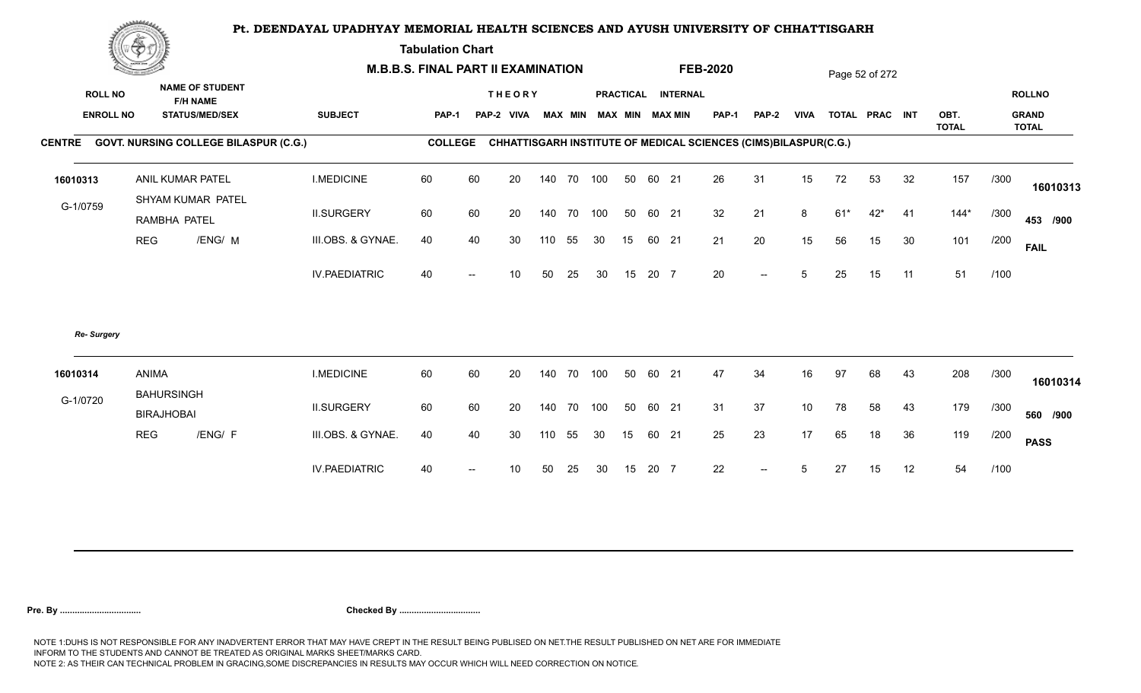**Tabulation Chart** 

|                  | RE                                     |                                              |                      | <b>M.B.B.S. FINAL PART II EXAMINATION</b> |                   |               |        |    |     |    |       |                         | <b>FEB-2020</b>                                                        |                          |             |       | Page 52 of 272 |    |                      |      |                              |
|------------------|----------------------------------------|----------------------------------------------|----------------------|-------------------------------------------|-------------------|---------------|--------|----|-----|----|-------|-------------------------|------------------------------------------------------------------------|--------------------------|-------------|-------|----------------|----|----------------------|------|------------------------------|
| <b>ROLL NO</b>   |                                        | <b>NAME OF STUDENT</b><br><b>F/H NAME</b>    |                      |                                           |                   | <b>THEORY</b> |        |    |     |    |       | PRACTICAL INTERNAL      |                                                                        |                          |             |       |                |    |                      |      | <b>ROLLNO</b>                |
| <b>ENROLL NO</b> |                                        | <b>STATUS/MED/SEX</b>                        | <b>SUBJECT</b>       | <b>PAP-1</b>                              |                   | PAP-2 VIVA    |        |    |     |    |       | MAX MIN MAX MIN MAX MIN | <b>PAP-1</b>                                                           | PAP-2                    | <b>VIVA</b> |       | TOTAL PRAC INT |    | OBT.<br><b>TOTAL</b> |      | <b>GRAND</b><br><b>TOTAL</b> |
|                  |                                        | CENTRE GOVT. NURSING COLLEGE BILASPUR (C.G.) |                      | <b>COLLEGE</b>                            |                   |               |        |    |     |    |       |                         | <b>CHHATTISGARH INSTITUTE OF MEDICAL SCIENCES (CIMS)BILASPUR(C.G.)</b> |                          |             |       |                |    |                      |      |                              |
| 16010313         |                                        | ANIL KUMAR PATEL<br>SHYAM KUMAR PATEL        | <b>I.MEDICINE</b>    | 60                                        | 60                | 20            | 140    | 70 | 100 | 50 | 60 21 |                         | 26                                                                     | 31                       | 15          | 72    | 53             | 32 | 157                  | /300 | 16010313                     |
| G-1/0759         | RAMBHA PATEL                           |                                              | <b>II.SURGERY</b>    | 60                                        | 60                | 20            | 140    | 70 | 100 | 50 | 60 21 |                         | 32                                                                     | 21                       | 8           | $61*$ | $42*$          | 41 | $144*$               | /300 | 453 /900                     |
|                  | <b>REG</b>                             | /ENG/ M                                      | III.OBS. & GYNAE.    | 40                                        | 40                | 30            | 110    | 55 | 30  | 15 | 60 21 |                         | 21                                                                     | 20                       | 15          | 56    | 15             | 30 | 101                  | /200 | <b>FAIL</b>                  |
|                  |                                        |                                              | <b>IV.PAEDIATRIC</b> | 40                                        | $\hspace{0.05cm}$ | 10            | 50     | 25 | 30  | 15 | 20 7  |                         | 20                                                                     | $\overline{\phantom{a}}$ | 5           | 25    | 15             | 11 | 51                   | /100 |                              |
| Re- Surgery      |                                        |                                              |                      |                                           |                   |               |        |    |     |    |       |                         |                                                                        |                          |             |       |                |    |                      |      |                              |
| 16010314         | ANIMA                                  |                                              | <b>I.MEDICINE</b>    | 60                                        | 60                | 20            | 140 70 |    | 100 | 50 | 60 21 |                         | 47                                                                     | 34                       | 16          | 97    | 68             | 43 | 208                  | /300 | 16010314                     |
| G-1/0720         | <b>BAHURSINGH</b><br><b>BIRAJHOBAI</b> |                                              | <b>II.SURGERY</b>    | 60                                        | 60                | 20            | 140 70 |    | 100 | 50 | 60 21 |                         | 31                                                                     | 37                       | 10          | 78    | 58             | 43 | 179                  | /300 | 560 /900                     |
|                  | <b>REG</b>                             | /ENG/ F                                      | III.OBS. & GYNAE.    | 40                                        | 40                | 30            | 110    | 55 | 30  | 15 | 60 21 |                         | 25                                                                     | 23                       | 17          | 65    | 18             | 36 | 119                  | /200 | <b>PASS</b>                  |
|                  |                                        |                                              | <b>IV.PAEDIATRIC</b> | 40                                        |                   | 10            | 50     | 25 | 30  | 15 | 20 7  |                         | 22                                                                     | $\overline{\phantom{a}}$ | 5           | 27    | 15             | 12 | 54                   | /100 |                              |
|                  |                                        |                                              |                      |                                           |                   |               |        |    |     |    |       |                         |                                                                        |                          |             |       |                |    |                      |      |                              |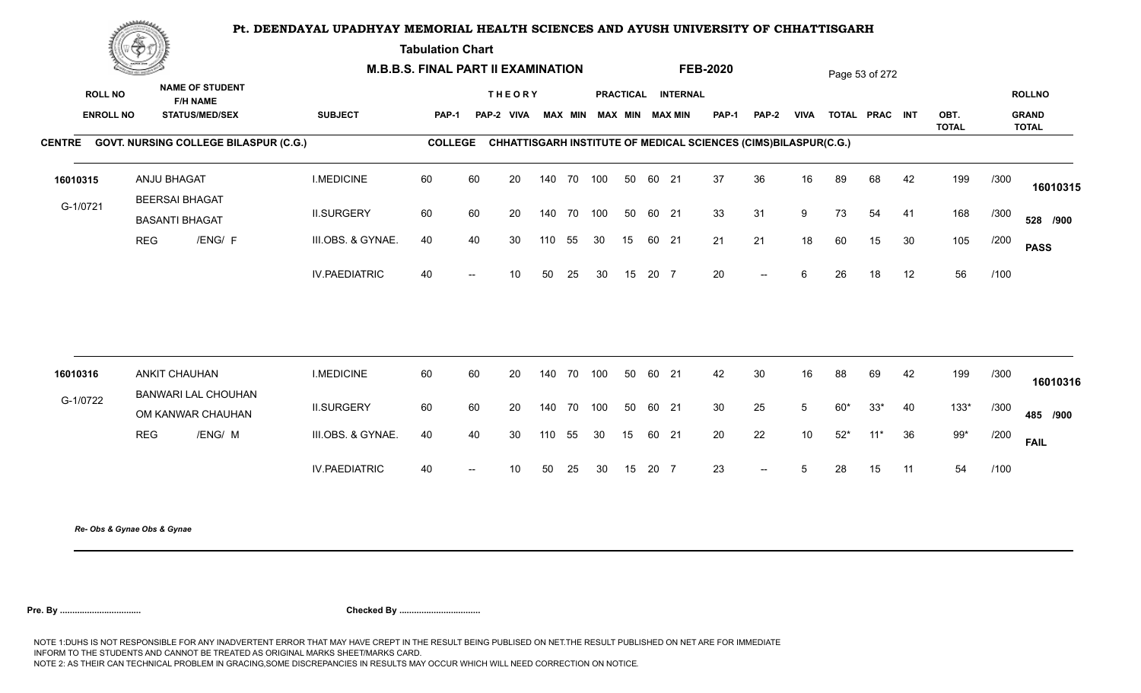**Tabulation Chart** 

|                                    | Change of the second of the |                                                                    | <b>M.B.B.S. FINAL PART II EXAMINATION</b> |                |    |                             |            |    |                         |    |       |                    | <b>FEB-2020</b>                                                 |                          |                 |       | Page 53 of 272 |    |              |      |                               |
|------------------------------------|-----------------------------|--------------------------------------------------------------------|-------------------------------------------|----------------|----|-----------------------------|------------|----|-------------------------|----|-------|--------------------|-----------------------------------------------------------------|--------------------------|-----------------|-------|----------------|----|--------------|------|-------------------------------|
| <b>ROLL NO</b><br><b>ENROLL NO</b> |                             | <b>NAME OF STUDENT</b><br><b>F/H NAME</b><br><b>STATUS/MED/SEX</b> | <b>SUBJECT</b>                            | <b>PAP-1</b>   |    | <b>THEORY</b><br>PAP-2 VIVA |            |    | MAX MIN MAX MIN MAX MIN |    |       | PRACTICAL INTERNAL | <b>PAP-1</b>                                                    | <b>PAP-2</b>             | <b>VIVA</b>     |       | TOTAL PRAC INT |    | OBT.         |      | <b>ROLLNO</b><br><b>GRAND</b> |
|                                    |                             | CENTRE GOVT. NURSING COLLEGE BILASPUR (C.G.)                       |                                           | <b>COLLEGE</b> |    |                             |            |    |                         |    |       |                    | CHHATTISGARH INSTITUTE OF MEDICAL SCIENCES (CIMS)BILASPUR(C.G.) |                          |                 |       |                |    | <b>TOTAL</b> |      | <b>TOTAL</b>                  |
| 16010315                           |                             | ANJU BHAGAT<br><b>BEERSAI BHAGAT</b>                               | <b>I.MEDICINE</b>                         | 60             | 60 | 20                          | 140 70 100 |    |                         | 50 | 60 21 |                    | 37                                                              | 36                       | 16              | 89    | 68             | 42 | 199          | /300 | 16010315                      |
| G-1/0721                           |                             | <b>BASANTI BHAGAT</b>                                              | <b>II.SURGERY</b>                         | 60             | 60 | 20                          | 140 70 100 |    |                         | 50 | 60 21 |                    | 33                                                              | 31                       | 9               | 73    | 54             | 41 | 168          | /300 | 528 /900                      |
|                                    | <b>REG</b>                  | /ENG/ F                                                            | III.OBS. & GYNAE.                         | 40             | 40 | 30                          | 110        | 55 | 30                      | 15 | 60 21 |                    | 21                                                              | 21                       | 18              | 60    | 15             | 30 | 105          | /200 | <b>PASS</b>                   |
|                                    |                             |                                                                    | <b>IV.PAEDIATRIC</b>                      | 40             |    | 10 <sup>°</sup>             | 50         | 25 | 30                      | 15 | 20 7  |                    | 20                                                              | $\overline{\phantom{a}}$ | 6               | 26    | 18             | 12 | 56           | /100 |                               |
|                                    |                             |                                                                    |                                           |                |    |                             |            |    |                         |    |       |                    |                                                                 |                          |                 |       |                |    |              |      |                               |
| 16010316                           |                             | <b>ANKIT CHAUHAN</b><br>BANWARI LAL CHOUHAN                        | <b>I.MEDICINE</b>                         | 60             | 60 | 20                          | 140 70     |    | 100                     | 50 | 60 21 |                    | 42                                                              | 30                       | 16              | 88    | 69             | 42 | 199          | /300 | 16010316                      |
| G-1/0722                           |                             | OM KANWAR CHAUHAN                                                  | <b>II.SURGERY</b>                         | 60             | 60 | 20                          | 140 70 100 |    |                         | 50 | 60 21 |                    | 30 <sup>°</sup>                                                 | 25                       | $5\overline{)}$ | $60*$ | $33*$          | 40 | $133*$       | /300 | 485 /900                      |
|                                    | <b>REG</b>                  | /ENG/ M                                                            | III.OBS. & GYNAE.                         | 40             | 40 | 30                          | 110        | 55 | 30                      | 15 | 60 21 |                    | 20                                                              | 22                       | 10              | $52*$ | $11*$          | 36 | $99*$        | /200 | <b>FAIL</b>                   |
|                                    |                             |                                                                    | <b>IV.PAEDIATRIC</b>                      | 40             |    | 10 <sup>°</sup>             | 50         | 25 | 30                      | 15 | 20 7  |                    | 23                                                              | $\overline{\phantom{a}}$ | 5               | 28    | 15             | 11 | 54           | /100 |                               |
|                                    |                             |                                                                    |                                           |                |    |                             |            |    |                         |    |       |                    |                                                                 |                          |                 |       |                |    |              |      |                               |

*Re- Obs & Gynae Obs & Gynae*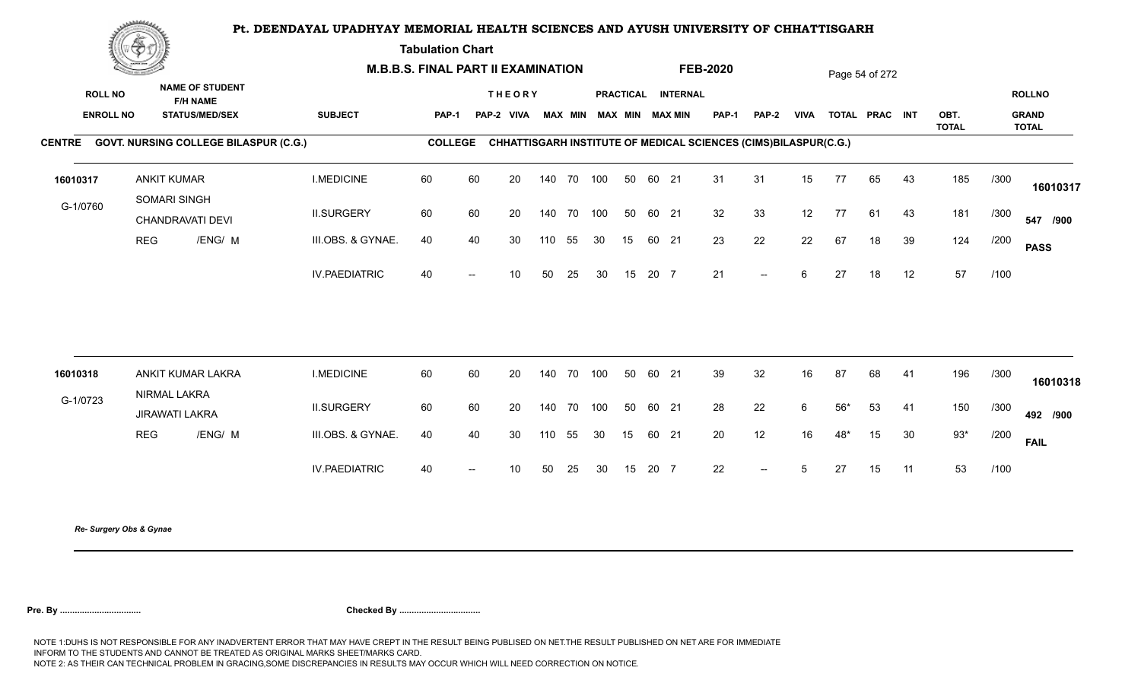**Tabulation Chart** 

|                                    | <b>Construction of the Construction</b> |                                                                    | <b>M.B.B.S. FINAL PART II EXAMINATION</b> |                |    |                             |     |            |                         |    |       |                    | <b>FEB-2020</b>                                                 |                          |             |       | Page 54 of 272 |    |                      |      |                                        |
|------------------------------------|-----------------------------------------|--------------------------------------------------------------------|-------------------------------------------|----------------|----|-----------------------------|-----|------------|-------------------------|----|-------|--------------------|-----------------------------------------------------------------|--------------------------|-------------|-------|----------------|----|----------------------|------|----------------------------------------|
| <b>ROLL NO</b><br><b>ENROLL NO</b> |                                         | <b>NAME OF STUDENT</b><br><b>F/H NAME</b><br><b>STATUS/MED/SEX</b> | <b>SUBJECT</b>                            | <b>PAP-1</b>   |    | <b>THEORY</b><br>PAP-2 VIVA |     |            | MAX MIN MAX MIN MAX MIN |    |       | PRACTICAL INTERNAL | <b>PAP-1</b>                                                    | PAP-2                    | <b>VIVA</b> |       | TOTAL PRAC INT |    | OBT.<br><b>TOTAL</b> |      | <b>ROLLNO</b><br><b>GRAND</b><br>TOTAL |
|                                    |                                         | CENTRE GOVT. NURSING COLLEGE BILASPUR (C.G.)                       |                                           | <b>COLLEGE</b> |    |                             |     |            |                         |    |       |                    | CHHATTISGARH INSTITUTE OF MEDICAL SCIENCES (CIMS)BILASPUR(C.G.) |                          |             |       |                |    |                      |      |                                        |
| 16010317                           |                                         | <b>ANKIT KUMAR</b><br>SOMARI SINGH                                 | <b>I.MEDICINE</b>                         | 60             | 60 | 20                          |     | 140 70 100 |                         | 50 | 60 21 |                    | 31                                                              | 31                       | 15          | 77    | 65             | 43 | 185                  | /300 | 16010317                               |
| G-1/0760                           |                                         | CHANDRAVATI DEVI                                                   | <b>II.SURGERY</b>                         | 60             | 60 | 20                          |     | 140 70 100 |                         | 50 | 60 21 |                    | 32                                                              | 33                       | 12          | 77    | 61             | 43 | 181                  | /300 | 547 /900                               |
|                                    | <b>REG</b>                              | /ENG/ M                                                            | III.OBS. & GYNAE.                         | 40             | 40 | 30                          | 110 | 55         | 30                      | 15 | 60 21 |                    | 23                                                              | 22                       | 22          | 67    | 18             | 39 | 124                  | /200 | <b>PASS</b>                            |
|                                    |                                         |                                                                    | <b>IV.PAEDIATRIC</b>                      | 40             |    | 10                          | 50  | 25         | 30                      | 15 | 20 7  |                    | 21                                                              | $\overline{a}$           | 6           | 27    | 18             | 12 | 57                   | /100 |                                        |
|                                    |                                         |                                                                    |                                           |                |    |                             |     |            |                         |    |       |                    |                                                                 |                          |             |       |                |    |                      |      |                                        |
| 16010318                           |                                         | ANKIT KUMAR LAKRA<br>NIRMAL LAKRA                                  | <b>I.MEDICINE</b>                         | 60             | 60 | 20                          |     | 140 70 100 |                         | 50 | 60 21 |                    | 39                                                              | 32                       | 16          | 87    | 68             | 41 | 196                  | /300 | 16010318                               |
| G-1/0723                           |                                         | <b>JIRAWATI LAKRA</b>                                              | <b>II.SURGERY</b>                         | 60             | 60 | 20                          |     | 140 70     | 100                     | 50 | 60 21 |                    | 28                                                              | 22                       | 6           | $56*$ | 53             | 41 | 150                  | /300 | 492 /900                               |
|                                    | <b>REG</b>                              | /ENG/ M                                                            | III.OBS. & GYNAE.                         | 40             | 40 | 30                          | 110 | 55         | 30                      | 15 | 60 21 |                    | 20                                                              | 12                       | 16          | 48*   | 15             | 30 | $93*$                | /200 | <b>FAIL</b>                            |
|                                    |                                         |                                                                    | <b>IV.PAEDIATRIC</b>                      | 40             |    | 10 <sup>°</sup>             | 50  | 25         | 30                      | 15 | 20 7  |                    | 22                                                              | $\overline{\phantom{a}}$ | 5           | 27    | 15             | 11 | 53                   | /100 |                                        |
|                                    |                                         |                                                                    |                                           |                |    |                             |     |            |                         |    |       |                    |                                                                 |                          |             |       |                |    |                      |      |                                        |

*Re- Surgery Obs & Gynae*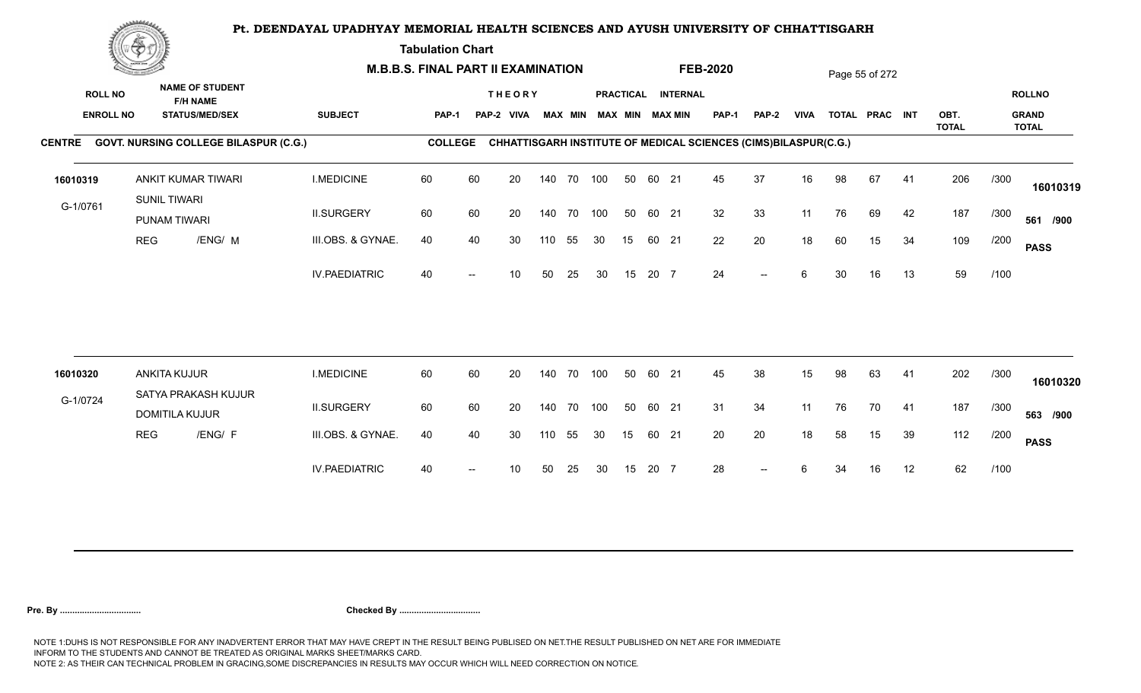**Tabulation Chart** 

|                                    | <b>Construction of the Construction</b> |                       |                                                 | <b>M.B.B.S. FINAL PART II EXAMINATION</b> |                |    |                             |     |                |     |    |       |                                              | <b>FEB-2020</b>                                                 |                |             |    | Page 55 of 272 |    |              |      |                               |
|------------------------------------|-----------------------------------------|-----------------------|-------------------------------------------------|-------------------------------------------|----------------|----|-----------------------------|-----|----------------|-----|----|-------|----------------------------------------------|-----------------------------------------------------------------|----------------|-------------|----|----------------|----|--------------|------|-------------------------------|
| <b>ROLL NO</b><br><b>ENROLL NO</b> |                                         | <b>F/H NAME</b>       | <b>NAME OF STUDENT</b><br><b>STATUS/MED/SEX</b> | <b>SUBJECT</b>                            | PAP-1          |    | <b>THEORY</b><br>PAP-2 VIVA |     | <b>MAX MIN</b> |     |    |       | PRACTICAL INTERNAL<br><b>MAX MIN MAX MIN</b> | <b>PAP-1</b>                                                    | PAP-2          | <b>VIVA</b> |    | TOTAL PRAC INT |    | OBT.         |      | <b>ROLLNO</b><br><b>GRAND</b> |
|                                    |                                         |                       | CENTRE GOVT. NURSING COLLEGE BILASPUR (C.G.)    |                                           | <b>COLLEGE</b> |    |                             |     |                |     |    |       |                                              | CHHATTISGARH INSTITUTE OF MEDICAL SCIENCES (CIMS)BILASPUR(C.G.) |                |             |    |                |    | <b>TOTAL</b> |      | <b>TOTAL</b>                  |
|                                    |                                         | ANKIT KUMAR TIWARI    |                                                 | <b>I.MEDICINE</b>                         | 60             | 60 | 20                          |     | 140 70 100     |     | 50 | 60 21 |                                              | 45                                                              | 37             | 16          | 98 | 67             |    | 206          |      |                               |
| 16010319                           |                                         | <b>SUNIL TIWARI</b>   |                                                 |                                           |                |    |                             |     |                |     |    |       |                                              |                                                                 |                |             |    |                | 41 |              | /300 | 16010319                      |
| G-1/0761                           |                                         | PUNAM TIWARI          |                                                 | <b>II.SURGERY</b>                         | 60             | 60 | 20                          |     | 140 70         | 100 | 50 | 60 21 |                                              | 32                                                              | 33             | 11          | 76 | 69             | 42 | 187          | /300 | 561 /900                      |
|                                    | <b>REG</b>                              |                       | /ENG/ M                                         | III.OBS. & GYNAE.                         | 40             | 40 | 30                          | 110 | 55             | 30  | 15 | 60 21 |                                              | 22                                                              | 20             | 18          | 60 | 15             | 34 | 109          | /200 | <b>PASS</b>                   |
|                                    |                                         |                       |                                                 | <b>IV.PAEDIATRIC</b>                      | 40             |    | 10                          | 50  | 25             | 30  | 15 | 20 7  |                                              | 24                                                              | $-$            | 6           | 30 | 16             | 13 | 59           | /100 |                               |
|                                    |                                         |                       |                                                 |                                           |                |    |                             |     |                |     |    |       |                                              |                                                                 |                |             |    |                |    |              |      |                               |
| 16010320                           |                                         | <b>ANKITA KUJUR</b>   |                                                 | <b>I.MEDICINE</b>                         | 60             | 60 | 20                          |     | 140 70         | 100 | 50 | 60 21 |                                              | 45                                                              | 38             | 15          | 98 | 63             | 41 | 202          | /300 | 16010320                      |
| G-1/0724                           |                                         | <b>DOMITILA KUJUR</b> | SATYA PRAKASH KUJUR                             | <b>II.SURGERY</b>                         | 60             | 60 | 20                          |     | 140 70         | 100 | 50 | 60 21 |                                              | 31                                                              | 34             | 11          | 76 | 70             | 41 | 187          | /300 | 563 /900                      |
|                                    | <b>REG</b>                              |                       | /ENG/ F                                         | III.OBS. & GYNAE.                         | 40             | 40 | 30                          | 110 | 55             | 30  | 15 | 60 21 |                                              | 20                                                              | 20             | 18          | 58 | 15             | 39 | 112          | /200 | <b>PASS</b>                   |
|                                    |                                         |                       |                                                 | <b>IV.PAEDIATRIC</b>                      | 40             |    | 10                          | 50  | 25             | 30  | 15 | 20 7  |                                              | 28                                                              | $\overline{a}$ | 6           | 34 | 16             | 12 | 62           | /100 |                               |
|                                    |                                         |                       |                                                 |                                           |                |    |                             |     |                |     |    |       |                                              |                                                                 |                |             |    |                |    |              |      |                               |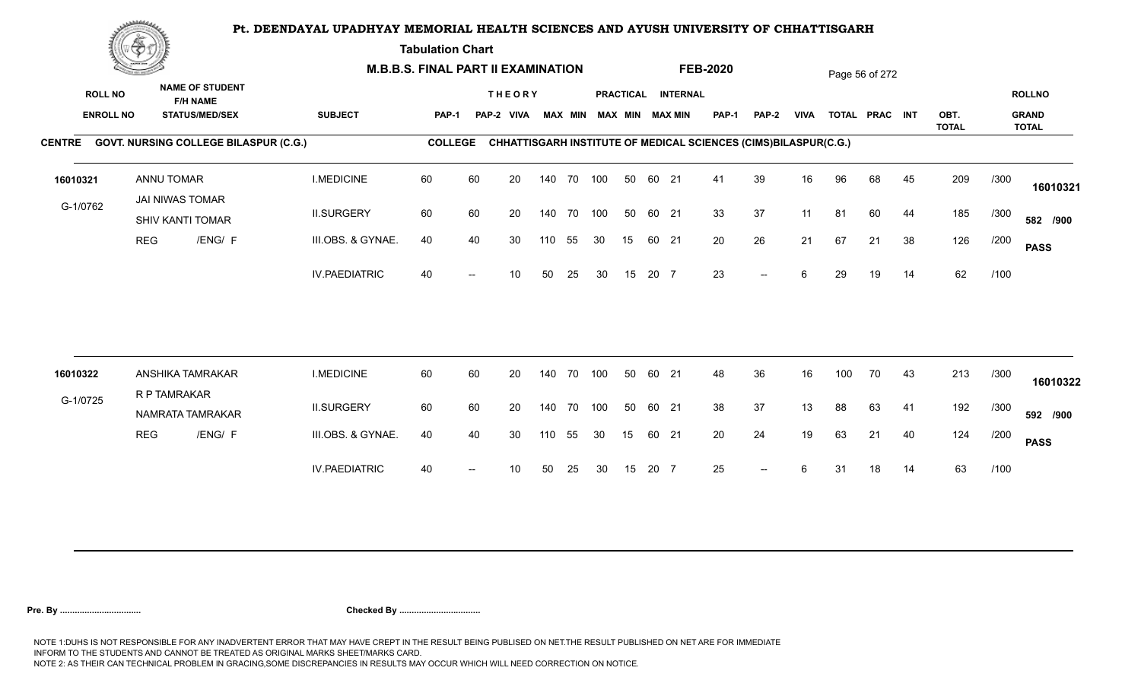**Tabulation Chart** 

|                                    | <b>Construction of the Construction</b> |                                                                    | <b>M.B.B.S. FINAL PART II EXAMINATION</b> |                |    |                             |        |                |     |    |       |                                              | <b>FEB-2020</b> |                                                                 |             |     | Page 56 of 272 |    |                      |      |                                               |
|------------------------------------|-----------------------------------------|--------------------------------------------------------------------|-------------------------------------------|----------------|----|-----------------------------|--------|----------------|-----|----|-------|----------------------------------------------|-----------------|-----------------------------------------------------------------|-------------|-----|----------------|----|----------------------|------|-----------------------------------------------|
| <b>ROLL NO</b><br><b>ENROLL NO</b> |                                         | <b>NAME OF STUDENT</b><br><b>F/H NAME</b><br><b>STATUS/MED/SEX</b> | <b>SUBJECT</b>                            | PAP-1          |    | <b>THEORY</b><br>PAP-2 VIVA |        | <b>MAX MIN</b> |     |    |       | PRACTICAL INTERNAL<br><b>MAX MIN MAX MIN</b> | <b>PAP-1</b>    | PAP-2                                                           | <b>VIVA</b> |     | TOTAL PRAC INT |    | OBT.<br><b>TOTAL</b> |      | <b>ROLLNO</b><br><b>GRAND</b><br><b>TOTAL</b> |
|                                    |                                         | CENTRE GOVT. NURSING COLLEGE BILASPUR (C.G.)                       |                                           | <b>COLLEGE</b> |    |                             |        |                |     |    |       |                                              |                 | CHHATTISGARH INSTITUTE OF MEDICAL SCIENCES (CIMS)BILASPUR(C.G.) |             |     |                |    |                      |      |                                               |
| 16010321                           |                                         | <b>ANNU TOMAR</b><br>JAI NIWAS TOMAR                               | <b>I.MEDICINE</b>                         | 60             | 60 | 20                          |        | 140 70 100     |     | 50 | 60 21 |                                              | 41              | 39                                                              | 16          | 96  | 68             | 45 | 209                  | /300 | 16010321                                      |
| G-1/0762                           |                                         | SHIV KANTI TOMAR                                                   | <b>II.SURGERY</b>                         | 60             | 60 | 20                          | 140 70 |                | 100 | 50 | 60 21 |                                              | 33              | 37                                                              | 11          | 81  | 60             | 44 | 185                  | /300 | 582 /900                                      |
|                                    | <b>REG</b>                              | /ENG/ F                                                            | III.OBS. & GYNAE.                         | 40             | 40 | 30                          | 110    | 55             | 30  | 15 | 60 21 |                                              | 20              | 26                                                              | 21          | 67  | 21             | 38 | 126                  | /200 | <b>PASS</b>                                   |
|                                    |                                         |                                                                    | <b>IV.PAEDIATRIC</b>                      | 40             |    | 10                          | 50     | 25             | 30  | 15 | 20 7  |                                              | 23              | $-$                                                             | 6           | 29  | 19             | 14 | 62                   | /100 |                                               |
|                                    |                                         |                                                                    |                                           |                |    |                             |        |                |     |    |       |                                              |                 |                                                                 |             |     |                |    |                      |      |                                               |
| 16010322                           |                                         | ANSHIKA TAMRAKAR<br>R P TAMRAKAR                                   | <b>I.MEDICINE</b>                         | 60             | 60 | 20                          | 140 70 |                | 100 | 50 | 60 21 |                                              | 48              | 36                                                              | 16          | 100 | 70             | 43 | 213                  | /300 | 16010322                                      |
| G-1/0725                           |                                         | NAMRATA TAMRAKAR                                                   | <b>II.SURGERY</b>                         | 60             | 60 | 20                          | 140 70 |                | 100 | 50 | 60 21 |                                              | 38              | 37                                                              | 13          | 88  | 63             | 41 | 192                  | /300 | 592 /900                                      |
|                                    | <b>REG</b>                              | /ENG/ F                                                            | III.OBS. & GYNAE.                         | 40             | 40 | 30                          | 110    | 55             | 30  | 15 | 60 21 |                                              | 20              | 24                                                              | 19          | 63  | 21             | 40 | 124                  | /200 | <b>PASS</b>                                   |
|                                    |                                         |                                                                    | <b>IV.PAEDIATRIC</b>                      | 40             |    | 10                          | 50     | 25             | 30  | 15 | 20 7  |                                              | 25              | $\overline{\phantom{a}}$                                        | 6           | 31  | 18             | 14 | 63                   | /100 |                                               |
|                                    |                                         |                                                                    |                                           |                |    |                             |        |                |     |    |       |                                              |                 |                                                                 |             |     |                |    |                      |      |                                               |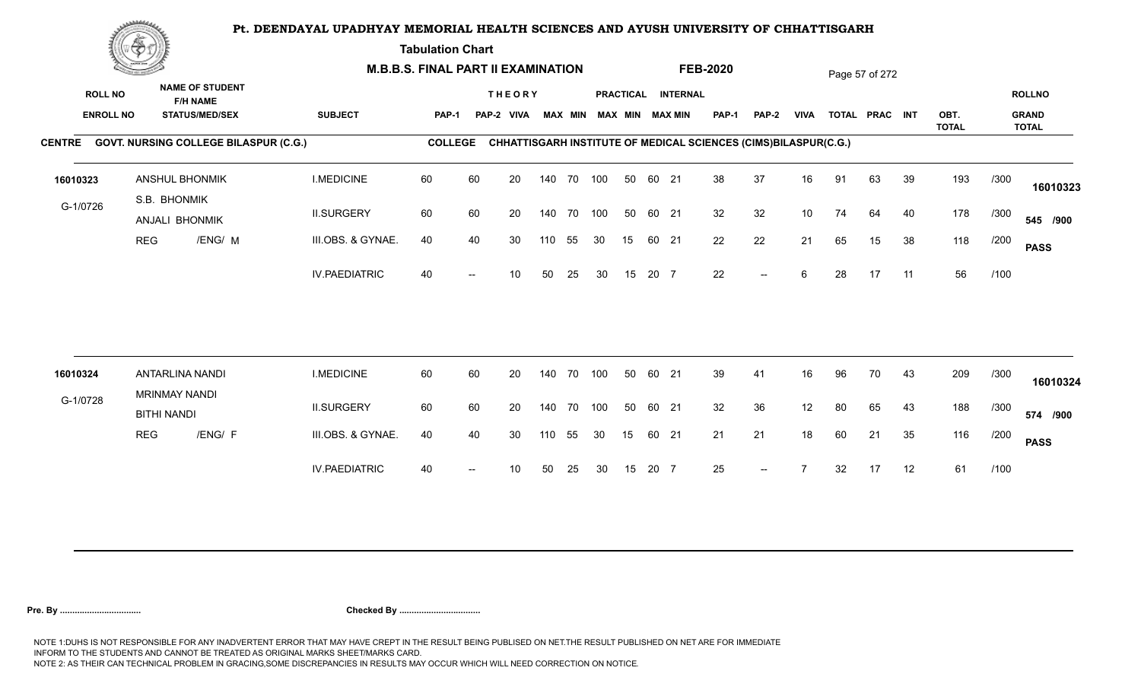**Tabulation Chart** 

|                                    | <b>Construction of the Construction</b> |                                                                    |                                              |                      | <b>M.B.B.S. FINAL PART II EXAMINATION</b> |    |                             |     |                |            |    |       |                                              | <b>FEB-2020</b>                                                 |                          |             |    | Page 57 of 272 |    |              |      |                               |
|------------------------------------|-----------------------------------------|--------------------------------------------------------------------|----------------------------------------------|----------------------|-------------------------------------------|----|-----------------------------|-----|----------------|------------|----|-------|----------------------------------------------|-----------------------------------------------------------------|--------------------------|-------------|----|----------------|----|--------------|------|-------------------------------|
| <b>ROLL NO</b><br><b>ENROLL NO</b> |                                         | <b>NAME OF STUDENT</b><br><b>F/H NAME</b><br><b>STATUS/MED/SEX</b> |                                              | <b>SUBJECT</b>       | PAP-1                                     |    | <b>THEORY</b><br>PAP-2 VIVA |     | <b>MAX MIN</b> |            |    |       | PRACTICAL INTERNAL<br><b>MAX MIN MAX MIN</b> | <b>PAP-1</b>                                                    | PAP-2                    | <b>VIVA</b> |    | TOTAL PRAC INT |    | OBT.         |      | <b>ROLLNO</b><br><b>GRAND</b> |
|                                    |                                         |                                                                    | CENTRE GOVT. NURSING COLLEGE BILASPUR (C.G.) |                      | <b>COLLEGE</b>                            |    |                             |     |                |            |    |       |                                              | CHHATTISGARH INSTITUTE OF MEDICAL SCIENCES (CIMS)BILASPUR(C.G.) |                          |             |    |                |    | <b>TOTAL</b> |      | <b>TOTAL</b>                  |
|                                    |                                         |                                                                    |                                              |                      |                                           |    |                             |     |                |            |    |       |                                              |                                                                 |                          |             |    |                |    |              |      |                               |
| 16010323                           |                                         | <b>ANSHUL BHONMIK</b>                                              |                                              | <b>I.MEDICINE</b>    | 60                                        | 60 | 20                          |     |                | 140 70 100 | 50 | 60 21 |                                              | 38                                                              | 37                       | 16          | 91 | 63             | 39 | 193          | /300 | 16010323                      |
| G-1/0726                           |                                         | S.B. BHONMIK<br>ANJALI BHONMIK                                     |                                              | <b>II.SURGERY</b>    | 60                                        | 60 | 20                          |     |                | 140 70 100 | 50 | 60 21 |                                              | 32                                                              | 32                       | 10          | 74 | 64             | 40 | 178          | /300 | 545 /900                      |
|                                    | <b>REG</b>                              |                                                                    | /ENG/ M                                      | III.OBS. & GYNAE.    | 40                                        | 40 | 30                          | 110 | 55             | 30         | 15 | 60 21 |                                              | 22                                                              | 22                       | 21          | 65 | 15             | 38 | 118          | /200 | <b>PASS</b>                   |
|                                    |                                         |                                                                    |                                              | <b>IV.PAEDIATRIC</b> | 40                                        |    | 10                          | 50  | 25             | 30         | 15 | 20 7  |                                              | 22                                                              | $\overline{\phantom{a}}$ | 6           | 28 | 17             | 11 | 56           | /100 |                               |
|                                    |                                         |                                                                    |                                              |                      |                                           |    |                             |     |                |            |    |       |                                              |                                                                 |                          |             |    |                |    |              |      |                               |
| 16010324                           |                                         | <b>ANTARLINA NANDI</b><br><b>MRINMAY NANDI</b>                     |                                              | <b>I.MEDICINE</b>    | 60                                        | 60 | 20                          |     | 140 70         | 100        | 50 | 60 21 |                                              | 39                                                              | 41                       | 16          | 96 | 70             | 43 | 209          | /300 | 16010324                      |
| G-1/0728                           |                                         | <b>BITHI NANDI</b>                                                 |                                              | <b>II.SURGERY</b>    | 60                                        | 60 | 20                          |     | 140 70         | 100        | 50 | 60 21 |                                              | 32                                                              | 36                       | 12          | 80 | 65             | 43 | 188          | /300 | 574 /900                      |
|                                    | <b>REG</b>                              |                                                                    | /ENG/ F                                      | III.OBS. & GYNAE.    | 40                                        | 40 | 30                          | 110 | 55             | 30         | 15 | 60 21 |                                              | 21                                                              | 21                       | 18          | 60 | 21             | 35 | 116          | /200 | <b>PASS</b>                   |
|                                    |                                         |                                                                    |                                              | <b>IV.PAEDIATRIC</b> | 40                                        |    | 10                          | 50  | 25             | 30         | 15 | 20 7  |                                              | 25                                                              | $\overline{\phantom{a}}$ |             | 32 | 17             | 12 | 61           | /100 |                               |
|                                    |                                         |                                                                    |                                              |                      |                                           |    |                             |     |                |            |    |       |                                              |                                                                 |                          |             |    |                |    |              |      |                               |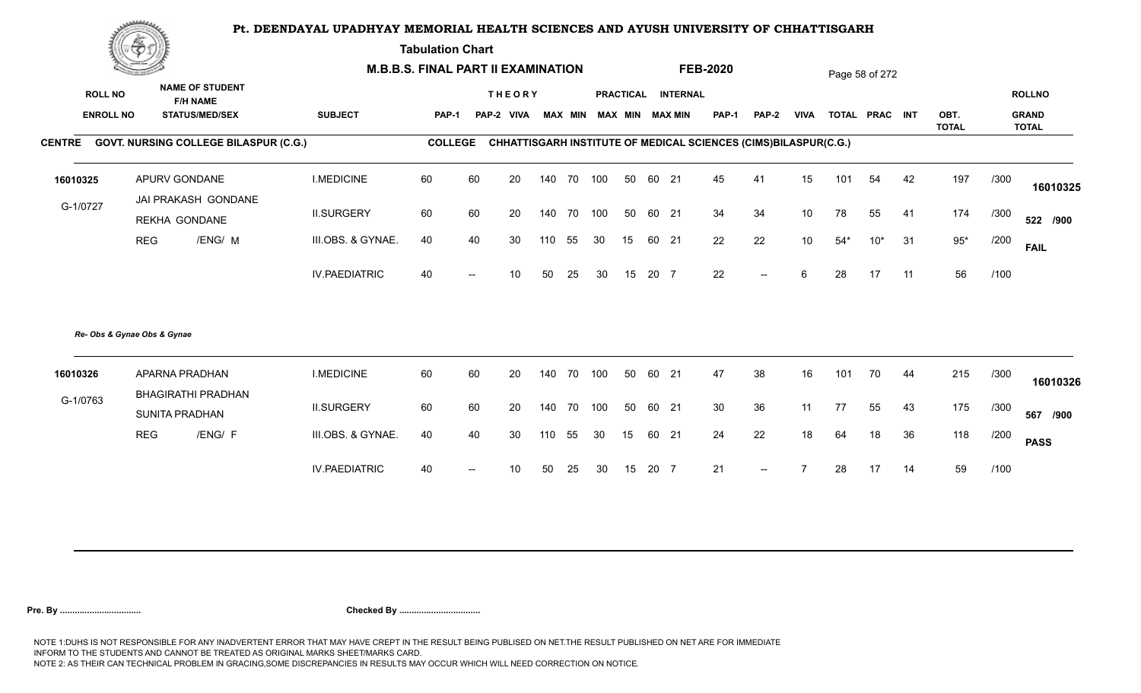**Tabulation Chart** 

| <b>NAME OF STUDENT</b><br><b>ROLL NO</b><br><b>ROLLNO</b><br><b>THEORY</b><br>PRACTICAL INTERNAL<br><b>F/H NAME</b><br><b>ENROLL NO</b><br><b>SUBJECT</b><br>MAX MIN MAX MIN MAX MIN<br><b>PAP-1</b><br><b>VIVA</b><br>TOTAL PRAC INT<br>OBT.<br><b>GRAND</b><br><b>STATUS/MED/SEX</b><br><b>PAP-1</b><br>PAP-2 VIVA<br><b>PAP-2</b><br><b>TOTAL</b><br><b>TOTAL</b><br><b>COLLEGE</b><br>CHHATTISGARH INSTITUTE OF MEDICAL SCIENCES (CIMS)BILASPUR(C.G.)<br>197<br>APURV GONDANE<br><b>I.MEDICINE</b><br>60<br>60<br>45<br>41<br>42<br>/300<br>20<br>140<br>70 100<br>50<br>60 21<br>15<br>101<br>54<br>16010325<br>JAI PRAKASH GONDANE<br>G-1/0727<br><b>II.SURGERY</b><br>60<br>60<br>34<br>34<br>10 <sup>°</sup><br>174<br>20<br>140<br>70 100<br>50<br>60 21<br>78<br>55<br>/300<br>-41<br><b>REKHA GONDANE</b><br>22<br>$95*$<br><b>REG</b><br>/ENG/ M<br>III.OBS. & GYNAE.<br>40<br>40<br>22<br>31<br>30<br>55<br>15<br>60 21<br>10 <sup>°</sup><br>$54*$<br>$10*$<br>/200<br>30<br>110<br><b>FAIL</b><br>56<br><b>IV.PAEDIATRIC</b><br>40<br>20 7<br>22<br>6<br>28<br>17<br>11<br>/100<br>50<br>25<br>30<br>15<br>10<br>$\overline{\phantom{a}}$<br>Re- Obs & Gynae Obs & Gynae<br>60<br>215<br>APARNA PRADHAN<br><b>I.MEDICINE</b><br>60<br>20<br>70 100<br>60 21<br>47<br>38<br>16<br>70<br>/300<br>140<br>50<br>101<br>44<br>16010326<br><b>BHAGIRATHI PRADHAN</b><br>G-1/0763<br>60<br>60<br>30<br>175<br><b>II.SURGERY</b><br>20<br>70 100<br>50<br>60 21<br>36<br>11<br>77<br>55<br>43<br>/300<br>140<br><b>SUNITA PRADHAN</b><br><b>REG</b><br>/ENG/ F<br>III.OBS. & GYNAE.<br>40<br>24<br>22<br>36<br>118<br>40<br>30<br>60 21<br>18<br>64<br>18<br>/200<br>110<br>55<br>30<br>15<br><b>PASS</b><br>59<br><b>IV.PAEDIATRIC</b><br>21<br>/100<br>40<br>25<br>15<br>20 7<br>17<br>14<br>10<br>50<br>30<br>28<br>$--$ | <b>Construction of the Construction</b> |  | <b>M.B.B.S. FINAL PART II EXAMINATION</b> |  |  |  |  | <b>FEB-2020</b> |  | Page 58 of 272 |  |          |
|------------------------------------------------------------------------------------------------------------------------------------------------------------------------------------------------------------------------------------------------------------------------------------------------------------------------------------------------------------------------------------------------------------------------------------------------------------------------------------------------------------------------------------------------------------------------------------------------------------------------------------------------------------------------------------------------------------------------------------------------------------------------------------------------------------------------------------------------------------------------------------------------------------------------------------------------------------------------------------------------------------------------------------------------------------------------------------------------------------------------------------------------------------------------------------------------------------------------------------------------------------------------------------------------------------------------------------------------------------------------------------------------------------------------------------------------------------------------------------------------------------------------------------------------------------------------------------------------------------------------------------------------------------------------------------------------------------------------------------------------------------------------------------------------------------------------------------|-----------------------------------------|--|-------------------------------------------|--|--|--|--|-----------------|--|----------------|--|----------|
| CENTRE GOVT. NURSING COLLEGE BILASPUR (C.G.)                                                                                                                                                                                                                                                                                                                                                                                                                                                                                                                                                                                                                                                                                                                                                                                                                                                                                                                                                                                                                                                                                                                                                                                                                                                                                                                                                                                                                                                                                                                                                                                                                                                                                                                                                                                       |                                         |  |                                           |  |  |  |  |                 |  |                |  |          |
|                                                                                                                                                                                                                                                                                                                                                                                                                                                                                                                                                                                                                                                                                                                                                                                                                                                                                                                                                                                                                                                                                                                                                                                                                                                                                                                                                                                                                                                                                                                                                                                                                                                                                                                                                                                                                                    |                                         |  |                                           |  |  |  |  |                 |  |                |  |          |
|                                                                                                                                                                                                                                                                                                                                                                                                                                                                                                                                                                                                                                                                                                                                                                                                                                                                                                                                                                                                                                                                                                                                                                                                                                                                                                                                                                                                                                                                                                                                                                                                                                                                                                                                                                                                                                    |                                         |  |                                           |  |  |  |  |                 |  |                |  |          |
|                                                                                                                                                                                                                                                                                                                                                                                                                                                                                                                                                                                                                                                                                                                                                                                                                                                                                                                                                                                                                                                                                                                                                                                                                                                                                                                                                                                                                                                                                                                                                                                                                                                                                                                                                                                                                                    |                                         |  |                                           |  |  |  |  |                 |  |                |  | 16010325 |
|                                                                                                                                                                                                                                                                                                                                                                                                                                                                                                                                                                                                                                                                                                                                                                                                                                                                                                                                                                                                                                                                                                                                                                                                                                                                                                                                                                                                                                                                                                                                                                                                                                                                                                                                                                                                                                    |                                         |  |                                           |  |  |  |  |                 |  |                |  | 522 /900 |
|                                                                                                                                                                                                                                                                                                                                                                                                                                                                                                                                                                                                                                                                                                                                                                                                                                                                                                                                                                                                                                                                                                                                                                                                                                                                                                                                                                                                                                                                                                                                                                                                                                                                                                                                                                                                                                    |                                         |  |                                           |  |  |  |  |                 |  |                |  |          |
|                                                                                                                                                                                                                                                                                                                                                                                                                                                                                                                                                                                                                                                                                                                                                                                                                                                                                                                                                                                                                                                                                                                                                                                                                                                                                                                                                                                                                                                                                                                                                                                                                                                                                                                                                                                                                                    |                                         |  |                                           |  |  |  |  |                 |  |                |  |          |
|                                                                                                                                                                                                                                                                                                                                                                                                                                                                                                                                                                                                                                                                                                                                                                                                                                                                                                                                                                                                                                                                                                                                                                                                                                                                                                                                                                                                                                                                                                                                                                                                                                                                                                                                                                                                                                    |                                         |  |                                           |  |  |  |  |                 |  |                |  |          |
|                                                                                                                                                                                                                                                                                                                                                                                                                                                                                                                                                                                                                                                                                                                                                                                                                                                                                                                                                                                                                                                                                                                                                                                                                                                                                                                                                                                                                                                                                                                                                                                                                                                                                                                                                                                                                                    |                                         |  |                                           |  |  |  |  |                 |  |                |  | 16010326 |
|                                                                                                                                                                                                                                                                                                                                                                                                                                                                                                                                                                                                                                                                                                                                                                                                                                                                                                                                                                                                                                                                                                                                                                                                                                                                                                                                                                                                                                                                                                                                                                                                                                                                                                                                                                                                                                    |                                         |  |                                           |  |  |  |  |                 |  |                |  | 567 /900 |
|                                                                                                                                                                                                                                                                                                                                                                                                                                                                                                                                                                                                                                                                                                                                                                                                                                                                                                                                                                                                                                                                                                                                                                                                                                                                                                                                                                                                                                                                                                                                                                                                                                                                                                                                                                                                                                    |                                         |  |                                           |  |  |  |  |                 |  |                |  |          |
|                                                                                                                                                                                                                                                                                                                                                                                                                                                                                                                                                                                                                                                                                                                                                                                                                                                                                                                                                                                                                                                                                                                                                                                                                                                                                                                                                                                                                                                                                                                                                                                                                                                                                                                                                                                                                                    |                                         |  |                                           |  |  |  |  |                 |  |                |  |          |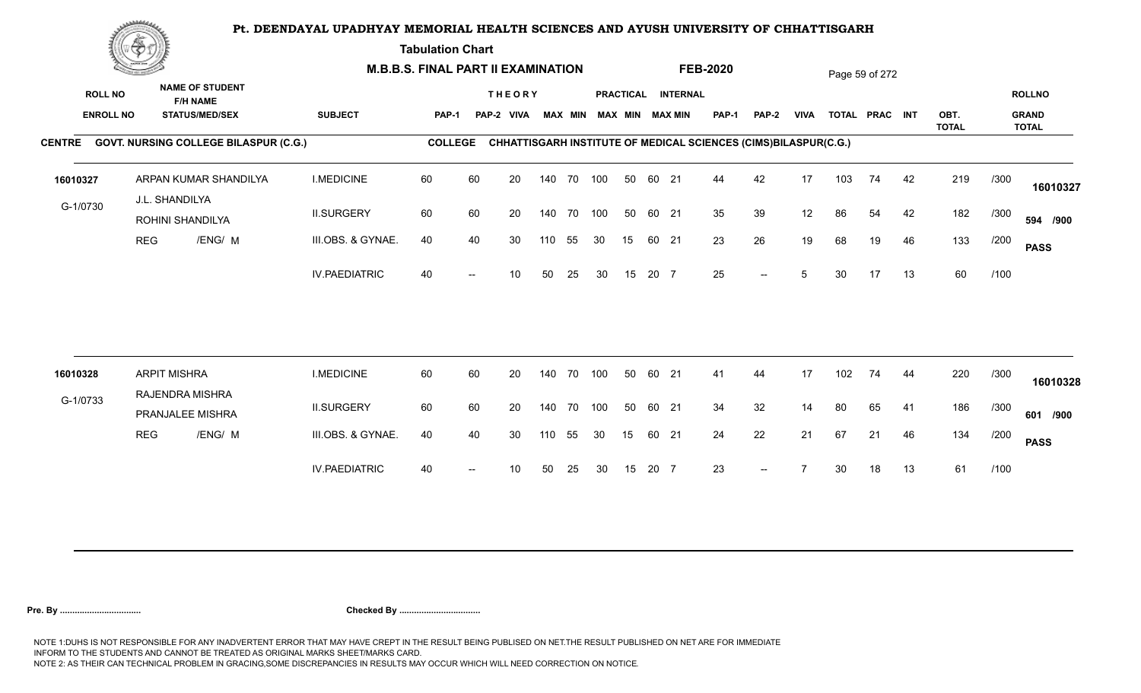**Tabulation Chart** 

|                                    | <b>Construction of the Construction</b> |                                                                    |                      | <b>M.B.B.S. FINAL PART II EXAMINATION</b> |    |                             |     |                |            |    |       |                                       | <b>FEB-2020</b>                                                 |                          |             |     | Page 59 of 272 |    |              |      |                               |
|------------------------------------|-----------------------------------------|--------------------------------------------------------------------|----------------------|-------------------------------------------|----|-----------------------------|-----|----------------|------------|----|-------|---------------------------------------|-----------------------------------------------------------------|--------------------------|-------------|-----|----------------|----|--------------|------|-------------------------------|
| <b>ROLL NO</b><br><b>ENROLL NO</b> |                                         | <b>NAME OF STUDENT</b><br><b>F/H NAME</b><br><b>STATUS/MED/SEX</b> | <b>SUBJECT</b>       | <b>PAP-1</b>                              |    | <b>THEORY</b><br>PAP-2 VIVA |     | <b>MAX MIN</b> |            |    |       | PRACTICAL INTERNAL<br>MAX MIN MAX MIN | PAP-1                                                           | <b>PAP-2</b>             | <b>VIVA</b> |     | TOTAL PRAC INT |    | OBT.         |      | <b>ROLLNO</b><br><b>GRAND</b> |
|                                    |                                         | CENTRE GOVT. NURSING COLLEGE BILASPUR (C.G.)                       |                      | <b>COLLEGE</b>                            |    |                             |     |                |            |    |       |                                       | CHHATTISGARH INSTITUTE OF MEDICAL SCIENCES (CIMS)BILASPUR(C.G.) |                          |             |     |                |    | <b>TOTAL</b> |      | <b>TOTAL</b>                  |
| 16010327                           |                                         | ARPAN KUMAR SHANDILYA<br>J.L. SHANDILYA                            | <b>I.MEDICINE</b>    | 60                                        | 60 | 20                          |     | 140 70         | 100        | 50 | 60 21 |                                       | 44                                                              | 42                       | 17          | 103 | 74             | 42 | 219          | /300 | 16010327                      |
| G-1/0730                           |                                         | ROHINI SHANDILYA                                                   | <b>II.SURGERY</b>    | 60                                        | 60 | 20                          |     |                | 140 70 100 | 50 | 60 21 |                                       | 35                                                              | 39                       | 12          | 86  | 54             | 42 | 182          | /300 | 594 /900                      |
|                                    | <b>REG</b>                              | /ENG/ M                                                            | III.OBS. & GYNAE.    | 40                                        | 40 | 30                          | 110 | 55             | 30         | 15 | 60 21 |                                       | 23                                                              | 26                       | 19          | 68  | 19             | 46 | 133          | /200 | <b>PASS</b>                   |
|                                    |                                         |                                                                    | <b>IV.PAEDIATRIC</b> | 40                                        |    | 10                          | 50  | 25             | 30         | 15 | 20 7  |                                       | 25                                                              | $\overline{\phantom{a}}$ | 5           | 30  | 17             | 13 | 60           | /100 |                               |
|                                    |                                         |                                                                    |                      |                                           |    |                             |     |                |            |    |       |                                       |                                                                 |                          |             |     |                |    |              |      |                               |
| 16010328                           |                                         | <b>ARPIT MISHRA</b><br>RAJENDRA MISHRA                             | <b>I.MEDICINE</b>    | 60                                        | 60 | 20                          |     | 140 70         | 100        | 50 | 60 21 |                                       | 41                                                              | 44                       | 17          | 102 | 74             | 44 | 220          | /300 | 16010328                      |
| G-1/0733                           |                                         | PRANJALEE MISHRA                                                   | <b>II.SURGERY</b>    | 60                                        | 60 | 20                          |     |                | 140 70 100 | 50 | 60 21 |                                       | 34                                                              | 32                       | 14          | 80  | 65             | 41 | 186          | /300 | 601 /900                      |
|                                    | <b>REG</b>                              | /ENG/ M                                                            | III.OBS. & GYNAE.    | 40                                        | 40 | 30                          | 110 | 55             | 30         | 15 | 60 21 |                                       | 24                                                              | 22                       | 21          | 67  | 21             | 46 | 134          | /200 | <b>PASS</b>                   |
|                                    |                                         |                                                                    | <b>IV.PAEDIATRIC</b> | 40                                        |    | 10                          | 50  | 25             | 30         | 15 | 20 7  |                                       | 23                                                              |                          |             | 30  | 18             | 13 | 61           | /100 |                               |
|                                    |                                         |                                                                    |                      |                                           |    |                             |     |                |            |    |       |                                       |                                                                 |                          |             |     |                |    |              |      |                               |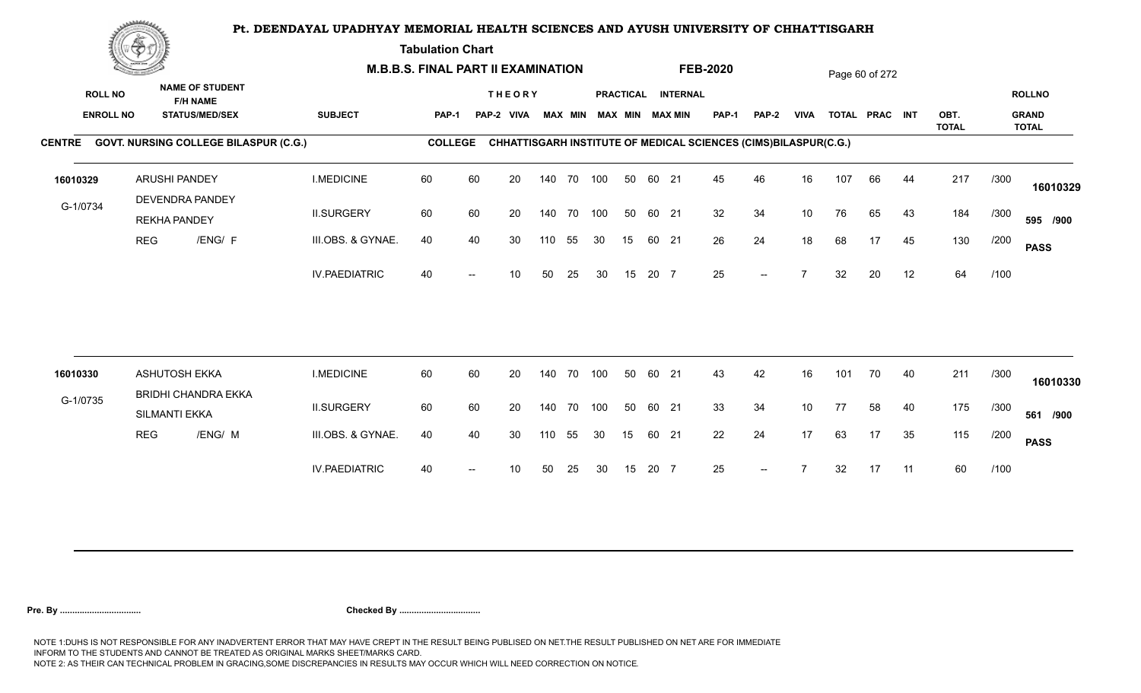**Tabulation Chart** 

|                                    | <u>Contact and the Contact of Delivery and the Contact of Delivery and the Contact of Delivery and the Contact of Delivery and the Contact of Delivery and the Contact of Delivery and the Contact of Delivery and The Contact o</u> |                                                                    | <b>M.B.B.S. FINAL PART II EXAMINATION</b> |                |    |                             |     |                |     |                  |       |                                           | <b>FEB-2020</b> |                                                                 |                          |     | Page 60 of 272 |    |              |      |                               |
|------------------------------------|--------------------------------------------------------------------------------------------------------------------------------------------------------------------------------------------------------------------------------------|--------------------------------------------------------------------|-------------------------------------------|----------------|----|-----------------------------|-----|----------------|-----|------------------|-------|-------------------------------------------|-----------------|-----------------------------------------------------------------|--------------------------|-----|----------------|----|--------------|------|-------------------------------|
| <b>ROLL NO</b><br><b>ENROLL NO</b> |                                                                                                                                                                                                                                      | <b>NAME OF STUDENT</b><br><b>F/H NAME</b><br><b>STATUS/MED/SEX</b> | <b>SUBJECT</b>                            | PAP-1          |    | <b>THEORY</b><br>PAP-2 VIVA |     | <b>MAX MIN</b> |     | <b>PRACTICAL</b> |       | <b>INTERNAL</b><br><b>MAX MIN MAX MIN</b> | PAP-1           | <b>PAP-2</b>                                                    | <b>VIVA</b>              |     | TOTAL PRAC INT |    | OBT.         |      | <b>ROLLNO</b><br><b>GRAND</b> |
|                                    |                                                                                                                                                                                                                                      |                                                                    |                                           |                |    |                             |     |                |     |                  |       |                                           |                 |                                                                 |                          |     |                |    | <b>TOTAL</b> |      | <b>TOTAL</b>                  |
|                                    |                                                                                                                                                                                                                                      | CENTRE GOVT. NURSING COLLEGE BILASPUR (C.G.)                       |                                           | <b>COLLEGE</b> |    |                             |     |                |     |                  |       |                                           |                 | CHHATTISGARH INSTITUTE OF MEDICAL SCIENCES (CIMS)BILASPUR(C.G.) |                          |     |                |    |              |      |                               |
| 16010329                           |                                                                                                                                                                                                                                      | <b>ARUSHI PANDEY</b><br>DEVENDRA PANDEY                            | <b>I.MEDICINE</b>                         | 60             | 60 | 20                          |     | 140 70 100     |     | 50               | 60 21 |                                           | 45              | 46                                                              | 16                       | 107 | 66             | 44 | 217          | /300 | 16010329                      |
| G-1/0734                           |                                                                                                                                                                                                                                      | <b>REKHA PANDEY</b>                                                | <b>II.SURGERY</b>                         | 60             | 60 | 20                          |     | 140 70 100     |     | 50               | 60 21 |                                           | 32              | 34                                                              | 10                       | 76  | 65             | 43 | 184          | /300 | 595 /900                      |
|                                    | <b>REG</b>                                                                                                                                                                                                                           | /ENG/ F                                                            | III.OBS. & GYNAE.                         | 40             | 40 | 30                          | 110 | 55             | 30  | 15               | 60 21 |                                           | 26              | 24                                                              | 18                       | 68  | 17             | 45 | 130          | /200 | <b>PASS</b>                   |
|                                    |                                                                                                                                                                                                                                      |                                                                    | <b>IV.PAEDIATRIC</b>                      | 40             |    | 10 <sup>°</sup>             | 50  | 25             | 30  | 15               | 20 7  |                                           | 25              | $--$                                                            | $\overline{\phantom{a}}$ | 32  | 20             | 12 | 64           | /100 |                               |
|                                    |                                                                                                                                                                                                                                      | <b>ASHUTOSH EKKA</b>                                               |                                           | 60             | 60 |                             |     | 140 70         | 100 | 50               | 60 21 |                                           | 43              | 42                                                              | 16                       | 101 |                |    | 211          |      |                               |
| 16010330                           |                                                                                                                                                                                                                                      | <b>BRIDHI CHANDRA EKKA</b>                                         | <b>I.MEDICINE</b>                         |                |    | 20                          |     |                |     |                  |       |                                           |                 |                                                                 |                          |     | 70             | 40 |              | /300 | 16010330                      |
| G-1/0735                           |                                                                                                                                                                                                                                      | SILMANTI EKKA                                                      | <b>II.SURGERY</b>                         | 60             | 60 | 20                          |     | 140 70         | 100 | 50               | 60 21 |                                           | 33              | 34                                                              | 10                       | 77  | 58             | 40 | 175          | /300 | 561 /900                      |
|                                    | <b>REG</b>                                                                                                                                                                                                                           | /ENG/ M                                                            | III.OBS. & GYNAE.                         | 40             | 40 | 30                          | 110 | 55             | 30  | 15               | 60 21 |                                           | 22              | 24                                                              | 17                       | 63  | 17             | 35 | 115          | /200 | <b>PASS</b>                   |
|                                    |                                                                                                                                                                                                                                      |                                                                    | <b>IV.PAEDIATRIC</b>                      | 40             |    | 10                          | 50  | 25             | 30  | 15               | 20 7  |                                           | 25              | $\overline{\phantom{a}}$                                        |                          | 32  | 17             | 11 | 60           | /100 |                               |
|                                    |                                                                                                                                                                                                                                      |                                                                    |                                           |                |    |                             |     |                |     |                  |       |                                           |                 |                                                                 |                          |     |                |    |              |      |                               |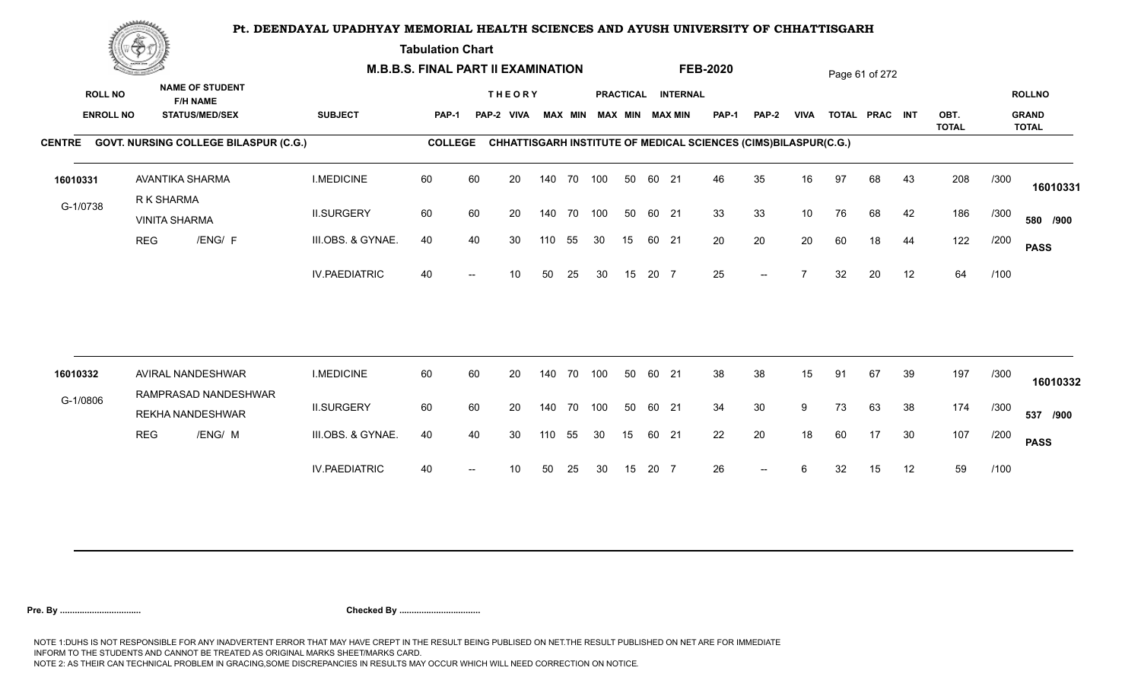**Tabulation Chart** 

|                                    | <b>Construction of the Construction</b><br><b>NAME OF STUDENT</b> | <b>M.B.B.S. FINAL PART II EXAMINATION</b>       |                      |                |    |                             |     |                |            |    |       | <b>FEB-2020</b>                       |                                                                 |                |             | Page 61 of 272 |                |    |              |      |                               |
|------------------------------------|-------------------------------------------------------------------|-------------------------------------------------|----------------------|----------------|----|-----------------------------|-----|----------------|------------|----|-------|---------------------------------------|-----------------------------------------------------------------|----------------|-------------|----------------|----------------|----|--------------|------|-------------------------------|
| <b>ROLL NO</b><br><b>ENROLL NO</b> |                                                                   | <b>F/H NAME</b><br><b>STATUS/MED/SEX</b>        | <b>SUBJECT</b>       | <b>PAP-1</b>   |    | <b>THEORY</b><br>PAP-2 VIVA |     | <b>MAX MIN</b> |            |    |       | PRACTICAL INTERNAL<br>MAX MIN MAX MIN | PAP-1                                                           | <b>PAP-2</b>   | <b>VIVA</b> |                | TOTAL PRAC INT |    | OBT.         |      | <b>ROLLNO</b><br><b>GRAND</b> |
|                                    |                                                                   | CENTRE GOVT. NURSING COLLEGE BILASPUR (C.G.)    |                      | <b>COLLEGE</b> |    |                             |     |                |            |    |       |                                       | CHHATTISGARH INSTITUTE OF MEDICAL SCIENCES (CIMS)BILASPUR(C.G.) |                |             |                |                |    | <b>TOTAL</b> |      | <b>TOTAL</b>                  |
|                                    |                                                                   |                                                 |                      |                |    |                             |     |                |            |    |       |                                       |                                                                 |                |             |                |                |    |              |      |                               |
| 16010331                           |                                                                   | AVANTIKA SHARMA<br>R K SHARMA                   | <b>I.MEDICINE</b>    | 60             | 60 | 20                          |     | 140 70         | 100        | 50 | 60 21 |                                       | 46                                                              | 35             | 16          | 97             | 68             | 43 | 208          | /300 | 16010331                      |
| G-1/0738                           |                                                                   | <b>VINITA SHARMA</b>                            | <b>II.SURGERY</b>    | 60             | 60 | 20                          |     |                | 140 70 100 | 50 | 60 21 |                                       | 33                                                              | 33             | 10          | 76             | 68             | 42 | 186          | /300 | 580 /900                      |
|                                    | <b>REG</b>                                                        | /ENG/ F                                         | III.OBS. & GYNAE.    | 40             | 40 | 30                          | 110 | 55             | 30         | 15 | 60 21 |                                       | 20                                                              | 20             | 20          | 60             | 18             | 44 | 122          | /200 | <b>PASS</b>                   |
|                                    |                                                                   |                                                 | <b>IV.PAEDIATRIC</b> | 40             |    | 10                          | 50  | 25             | 30         | 15 | 20 7  |                                       | 25                                                              | $-$            |             | 32             | 20             | 12 | 64           | /100 |                               |
|                                    |                                                                   |                                                 |                      |                |    |                             |     |                |            |    |       |                                       |                                                                 |                |             |                |                |    |              |      |                               |
| 16010332                           |                                                                   | AVIRAL NANDESHWAR                               | <b>I.MEDICINE</b>    | 60             | 60 | 20                          |     | 140 70         | 100        | 50 | 60 21 |                                       | 38                                                              | 38             | 15          | 91             | 67             | 39 | 197          | /300 | 16010332                      |
| G-1/0806                           |                                                                   | RAMPRASAD NANDESHWAR<br><b>REKHA NANDESHWAR</b> | <b>II.SURGERY</b>    | 60             | 60 | 20                          |     |                | 140 70 100 | 50 | 60 21 |                                       | 34                                                              | 30             | 9           | 73             | 63             | 38 | 174          | /300 | 537 /900                      |
|                                    | <b>REG</b>                                                        | /ENG/ M                                         | III.OBS. & GYNAE.    | 40             | 40 | 30                          | 110 | 55             | 30         | 15 | 60 21 |                                       | 22                                                              | 20             | 18          | 60             | 17             | 30 | 107          | /200 | <b>PASS</b>                   |
|                                    |                                                                   |                                                 | <b>IV.PAEDIATRIC</b> | 40             |    | 10                          | 50  | 25             | 30         | 15 | 20 7  |                                       | 26                                                              | $\overline{a}$ |             | 32             | 15             | 12 | 59           | /100 |                               |
|                                    |                                                                   |                                                 |                      |                |    |                             |     |                |            |    |       |                                       |                                                                 |                |             |                |                |    |              |      |                               |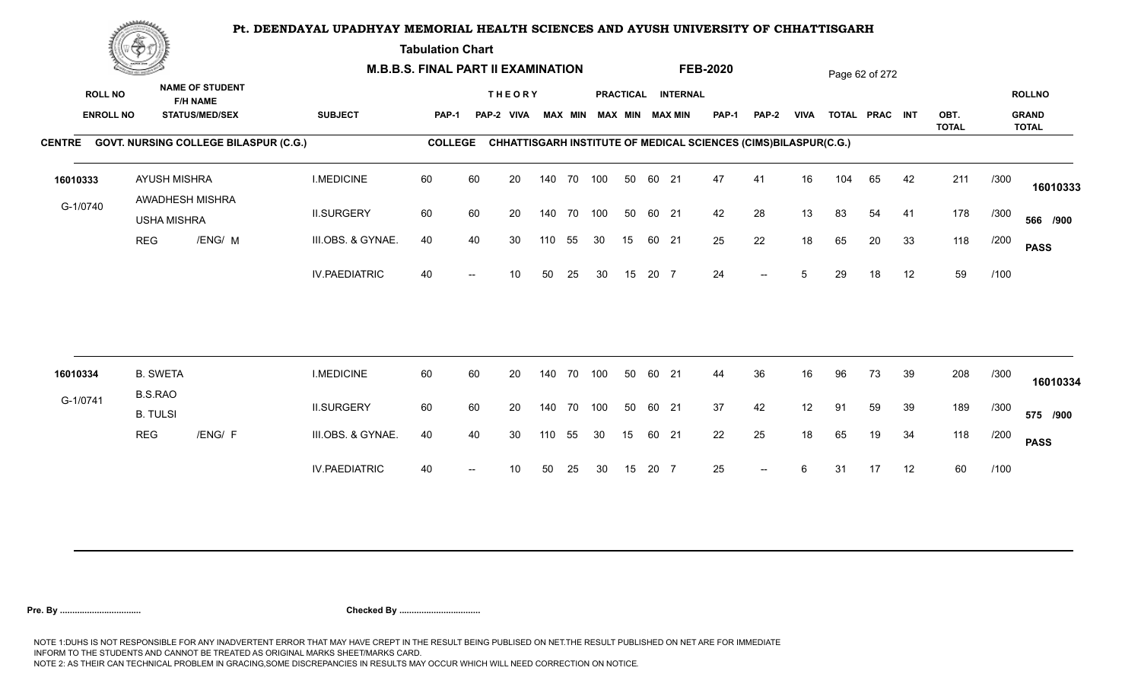**Tabulation Chart** 

|                                    | <b>Construction of the Construction</b> |                                                                    | <b>M.B.B.S. FINAL PART II EXAMINATION</b> |                |                          |                             |        |                |     |    |       |                                              | <b>FEB-2020</b>                                                 |                          |             |     | Page 62 of 272 |    |              |      |                               |
|------------------------------------|-----------------------------------------|--------------------------------------------------------------------|-------------------------------------------|----------------|--------------------------|-----------------------------|--------|----------------|-----|----|-------|----------------------------------------------|-----------------------------------------------------------------|--------------------------|-------------|-----|----------------|----|--------------|------|-------------------------------|
| <b>ROLL NO</b><br><b>ENROLL NO</b> |                                         | <b>NAME OF STUDENT</b><br><b>F/H NAME</b><br><b>STATUS/MED/SEX</b> | <b>SUBJECT</b>                            | <b>PAP-1</b>   |                          | <b>THEORY</b><br>PAP-2 VIVA |        | <b>MAX MIN</b> |     |    |       | PRACTICAL INTERNAL<br><b>MAX MIN MAX MIN</b> | <b>PAP-1</b>                                                    | PAP-2                    | <b>VIVA</b> |     | TOTAL PRAC INT |    | OBT.         |      | <b>ROLLNO</b><br><b>GRAND</b> |
|                                    |                                         | CENTRE GOVT. NURSING COLLEGE BILASPUR (C.G.)                       |                                           | <b>COLLEGE</b> |                          |                             |        |                |     |    |       |                                              | CHHATTISGARH INSTITUTE OF MEDICAL SCIENCES (CIMS)BILASPUR(C.G.) |                          |             |     |                |    | <b>TOTAL</b> |      | <b>TOTAL</b>                  |
|                                    |                                         |                                                                    |                                           |                |                          |                             |        |                |     |    |       |                                              |                                                                 |                          |             |     |                |    |              |      |                               |
| 16010333                           | <b>AYUSH MISHRA</b>                     |                                                                    | <b>I.MEDICINE</b>                         | 60             | 60                       | 20                          |        | 140 70 100     |     | 50 | 60 21 |                                              | 47                                                              | 41                       | 16          | 104 | 65             | 42 | 211          | /300 | 16010333                      |
| G-1/0740                           | <b>USHA MISHRA</b>                      | AWADHESH MISHRA                                                    | <b>II.SURGERY</b>                         | 60             | 60                       | 20                          |        | 140 70 100     |     | 50 | 60 21 |                                              | 42                                                              | 28                       | 13          | 83  | 54             | 41 | 178          | /300 | 566 /900                      |
|                                    | <b>REG</b>                              | /ENG/ M                                                            | III.OBS. & GYNAE.                         | 40             | 40                       | 30                          | 110    | 55             | 30  | 15 | 60 21 |                                              | 25                                                              | 22                       | 18          | 65  | 20             | 33 | 118          | /200 | <b>PASS</b>                   |
|                                    |                                         |                                                                    | <b>IV.PAEDIATRIC</b>                      | 40             |                          | 10                          | 50     | 25             | 30  | 15 | 20 7  |                                              | 24                                                              | $-$                      | 5           | 29  | 18             | 12 | 59           | /100 |                               |
|                                    |                                         |                                                                    |                                           |                |                          |                             |        |                |     |    |       |                                              |                                                                 |                          |             |     |                |    |              |      |                               |
| 16010334                           | <b>B. SWETA</b>                         |                                                                    | <b>I.MEDICINE</b>                         | 60             | 60                       | 20                          | 140 70 |                | 100 | 50 | 60 21 |                                              | 44                                                              | 36                       | 16          | 96  | 73             | 39 | 208          | /300 | 16010334                      |
| G-1/0741                           | <b>B.S.RAO</b><br><b>B. TULSI</b>       |                                                                    | <b>II.SURGERY</b>                         | 60             | 60                       | 20                          |        | 140 70         | 100 | 50 | 60 21 |                                              | 37                                                              | 42                       | 12          | 91  | 59             | 39 | 189          | /300 | 575 /900                      |
|                                    | <b>REG</b>                              | /ENG/ F                                                            | III.OBS. & GYNAE.                         | 40             | 40                       | 30                          | 110    | 55             | 30  | 15 | 60 21 |                                              | 22                                                              | 25                       | 18          | 65  | 19             | 34 | 118          | /200 | <b>PASS</b>                   |
|                                    |                                         |                                                                    | <b>IV.PAEDIATRIC</b>                      | 40             | $\overline{\phantom{a}}$ | 10                          | 50     | 25             | 30  | 15 | 20 7  |                                              | 25                                                              | $\overline{\phantom{a}}$ | 6           | 31  | 17             | 12 | 60           | /100 |                               |
|                                    |                                         |                                                                    |                                           |                |                          |                             |        |                |     |    |       |                                              |                                                                 |                          |             |     |                |    |              |      |                               |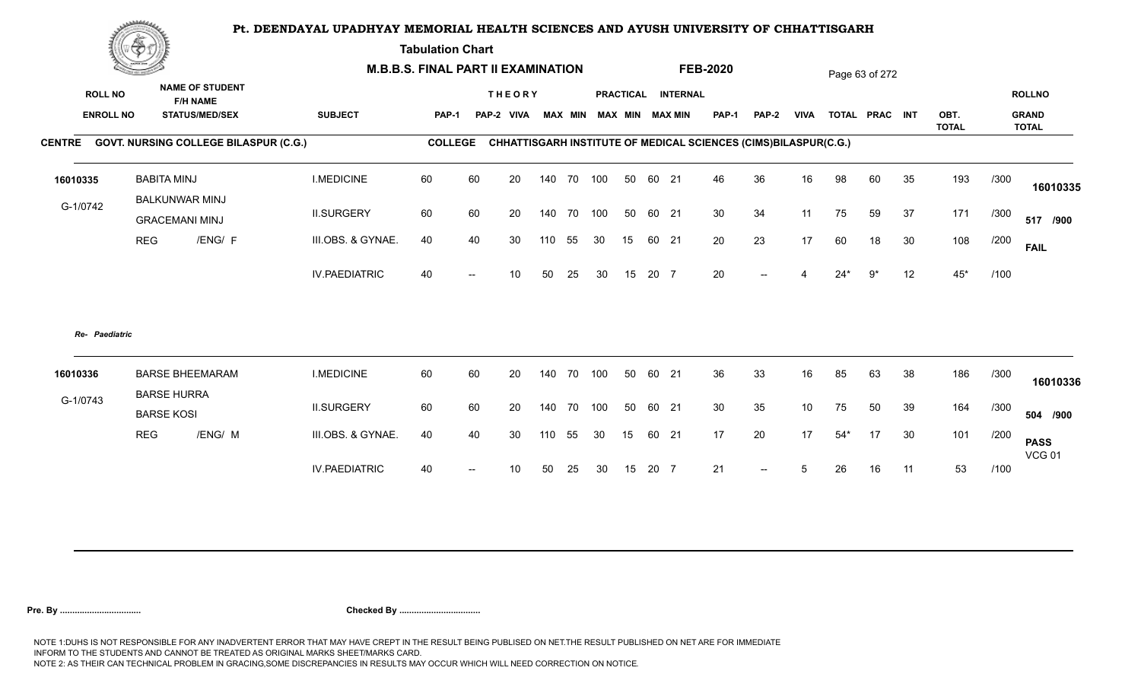**Tabulation Chart** 

|                                    | <b>Construction of the Construction</b><br><b>NAME OF STUDENT</b> |                                              | <b>M.B.B.S. FINAL PART II EXAMINATION</b> |                |    |                             |     |                |            |    |       | <b>FEB-2020</b>                       |                                                                 |              |                 | Page 63 of 272 |                |    |              |      |                               |
|------------------------------------|-------------------------------------------------------------------|----------------------------------------------|-------------------------------------------|----------------|----|-----------------------------|-----|----------------|------------|----|-------|---------------------------------------|-----------------------------------------------------------------|--------------|-----------------|----------------|----------------|----|--------------|------|-------------------------------|
| <b>ROLL NO</b><br><b>ENROLL NO</b> |                                                                   | <b>F/H NAME</b><br><b>STATUS/MED/SEX</b>     | <b>SUBJECT</b>                            | <b>PAP-1</b>   |    | <b>THEORY</b><br>PAP-2 VIVA |     | <b>MAX MIN</b> |            |    |       | PRACTICAL INTERNAL<br>MAX MIN MAX MIN | <b>PAP-1</b>                                                    | <b>PAP-2</b> | <b>VIVA</b>     |                | TOTAL PRAC INT |    | OBT.         |      | <b>ROLLNO</b><br><b>GRAND</b> |
|                                    |                                                                   | CENTRE GOVT. NURSING COLLEGE BILASPUR (C.G.) |                                           | <b>COLLEGE</b> |    |                             |     |                |            |    |       |                                       | CHHATTISGARH INSTITUTE OF MEDICAL SCIENCES (CIMS)BILASPUR(C.G.) |              |                 |                |                |    | <b>TOTAL</b> |      | <b>TOTAL</b>                  |
| 16010335                           |                                                                   | <b>BABITA MINJ</b><br><b>BALKUNWAR MINJ</b>  | <b>I.MEDICINE</b>                         | 60             | 60 | 20                          |     | 140 70         | 100        | 50 | 60 21 |                                       | 46                                                              | 36           | 16              | 98             | 60             | 35 | 193          | /300 | 16010335                      |
| G-1/0742                           |                                                                   | <b>GRACEMANI MINJ</b>                        | <b>II.SURGERY</b>                         | 60             | 60 | 20                          |     | 140 70         | 100        | 50 | 60 21 |                                       | 30                                                              | 34           | 11              | 75             | 59             | 37 | 171          | /300 | 517 /900                      |
|                                    | <b>REG</b>                                                        | /ENG/ F                                      | III.OBS. & GYNAE.                         | 40             | 40 | 30                          | 110 | 55             | 30         | 15 | 60 21 |                                       | 20                                                              | 23           | 17              | 60             | 18             | 30 | 108          | /200 | <b>FAIL</b>                   |
|                                    |                                                                   |                                              | <b>IV.PAEDIATRIC</b>                      | 40             |    | 10                          | 50  | 25             | 30         | 15 | 20 7  |                                       | 20                                                              |              |                 | $24*$          | 9*             | 12 | $45*$        | /100 |                               |
| Re- Paediatric                     |                                                                   |                                              |                                           |                |    |                             |     |                |            |    |       |                                       |                                                                 |              |                 |                |                |    |              |      |                               |
| 16010336                           |                                                                   | <b>BARSE BHEEMARAM</b>                       | <b>I.MEDICINE</b>                         | 60             | 60 | 20                          |     | 140 70         | 100        | 50 | 60 21 |                                       | 36                                                              | 33           | 16              | 85             | 63             | 38 | 186          | /300 | 16010336                      |
| G-1/0743                           |                                                                   | <b>BARSE HURRA</b><br><b>BARSE KOSI</b>      | <b>II.SURGERY</b>                         | 60             | 60 | 20                          |     |                | 140 70 100 | 50 | 60 21 |                                       | 30                                                              | 35           | 10 <sup>1</sup> | 75             | 50             | 39 | 164          | /300 | 504 /900                      |
|                                    | <b>REG</b>                                                        | /ENG/ M                                      | III.OBS. & GYNAE.                         | 40             | 40 | 30                          | 110 | 55             | 30         | 15 | 60 21 |                                       | 17                                                              | 20           | 17              | $54*$          | 17             | 30 | 101          | /200 | <b>PASS</b><br><b>VCG 01</b>  |
|                                    |                                                                   |                                              | <b>IV.PAEDIATRIC</b>                      | 40             |    | 10                          | 50  | 25             | 30         | 15 | 20 7  |                                       | 21                                                              | $-$          | 5               | 26             | 16             | 11 | 53           | /100 |                               |
|                                    |                                                                   |                                              |                                           |                |    |                             |     |                |            |    |       |                                       |                                                                 |              |                 |                |                |    |              |      |                               |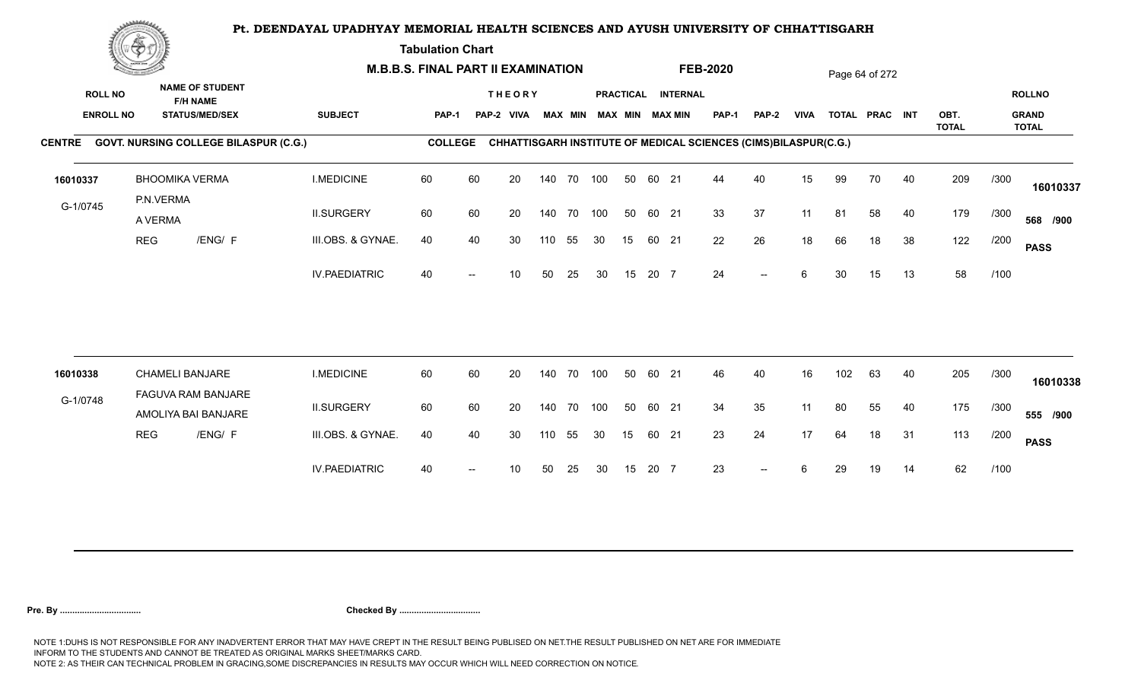**Tabulation Chart** 

|                                    | <b>Construction of the Construction</b><br><b>NAME OF STUDENT</b> | <b>M.B.B.S. FINAL PART II EXAMINATION</b>    |                      |                |    |                             |     |                |            |    |       | <b>FEB-2020</b>                       |                                                                 |              |             | Page 64 of 272 |                |    |              |      |                               |
|------------------------------------|-------------------------------------------------------------------|----------------------------------------------|----------------------|----------------|----|-----------------------------|-----|----------------|------------|----|-------|---------------------------------------|-----------------------------------------------------------------|--------------|-------------|----------------|----------------|----|--------------|------|-------------------------------|
| <b>ROLL NO</b><br><b>ENROLL NO</b> |                                                                   | <b>F/H NAME</b><br><b>STATUS/MED/SEX</b>     | <b>SUBJECT</b>       | <b>PAP-1</b>   |    | <b>THEORY</b><br>PAP-2 VIVA |     | <b>MAX MIN</b> |            |    |       | PRACTICAL INTERNAL<br>MAX MIN MAX MIN | PAP-1                                                           | <b>PAP-2</b> | <b>VIVA</b> |                | TOTAL PRAC INT |    | OBT.         |      | <b>ROLLNO</b><br><b>GRAND</b> |
|                                    |                                                                   | CENTRE GOVT. NURSING COLLEGE BILASPUR (C.G.) |                      | <b>COLLEGE</b> |    |                             |     |                |            |    |       |                                       | CHHATTISGARH INSTITUTE OF MEDICAL SCIENCES (CIMS)BILASPUR(C.G.) |              |             |                |                |    | <b>TOTAL</b> |      | <b>TOTAL</b>                  |
|                                    |                                                                   |                                              |                      |                |    |                             |     |                |            |    |       |                                       |                                                                 |              |             |                |                |    |              |      |                               |
| 16010337                           |                                                                   | <b>BHOOMIKA VERMA</b>                        | <b>I.MEDICINE</b>    | 60             | 60 | 20                          |     | 140 70         | 100        | 50 | 60 21 |                                       | 44                                                              | 40           | 15          | 99             | 70             | 40 | 209          | /300 | 16010337                      |
| G-1/0745                           | P.N.VERMA<br>A VERMA                                              |                                              | <b>II.SURGERY</b>    | 60             | 60 | 20                          |     |                | 140 70 100 | 50 | 60 21 |                                       | 33                                                              | 37           | 11          | 81             | 58             | 40 | 179          | /300 | 568 /900                      |
|                                    | <b>REG</b>                                                        | /ENG/ F                                      | III.OBS. & GYNAE.    | 40             | 40 | 30                          | 110 | 55             | 30         | 15 | 60 21 |                                       | 22                                                              | 26           | 18          | 66             | 18             | 38 | 122          | /200 | <b>PASS</b>                   |
|                                    |                                                                   |                                              | <b>IV.PAEDIATRIC</b> | 40             |    | 10                          | 50  | 25             | 30         | 15 | 20 7  |                                       | 24                                                              | $-$          | 6           | 30             | 15             | 13 | 58           | /100 |                               |
|                                    |                                                                   |                                              |                      |                |    |                             |     |                |            |    |       |                                       |                                                                 |              |             |                |                |    |              |      |                               |
| 16010338                           |                                                                   | <b>CHAMELI BANJARE</b><br>FAGUVA RAM BANJARE | <b>I.MEDICINE</b>    | 60             | 60 | 20                          |     | 140 70         | 100        | 50 | 60 21 |                                       | 46                                                              | 40           | 16          | 102            | 63             | 40 | 205          | /300 | 16010338                      |
| G-1/0748                           |                                                                   | AMOLIYA BAI BANJARE                          | <b>II.SURGERY</b>    | 60             | 60 | 20                          |     |                | 140 70 100 | 50 | 60 21 |                                       | 34                                                              | 35           | 11          | 80             | 55             | 40 | 175          | /300 | 555 /900                      |
|                                    | <b>REG</b>                                                        | /ENG/ F                                      | III.OBS. & GYNAE.    | 40             | 40 | 30                          | 110 | 55             | 30         | 15 | 60 21 |                                       | 23                                                              | 24           | 17          | 64             | 18             | 31 | 113          | /200 | <b>PASS</b>                   |
|                                    |                                                                   |                                              | <b>IV.PAEDIATRIC</b> | 40             |    | 10                          | 50  | 25             | 30         | 15 | 20 7  |                                       | 23                                                              | $-$          |             | 29             | 19             | 14 | 62           | /100 |                               |
|                                    |                                                                   |                                              |                      |                |    |                             |     |                |            |    |       |                                       |                                                                 |              |             |                |                |    |              |      |                               |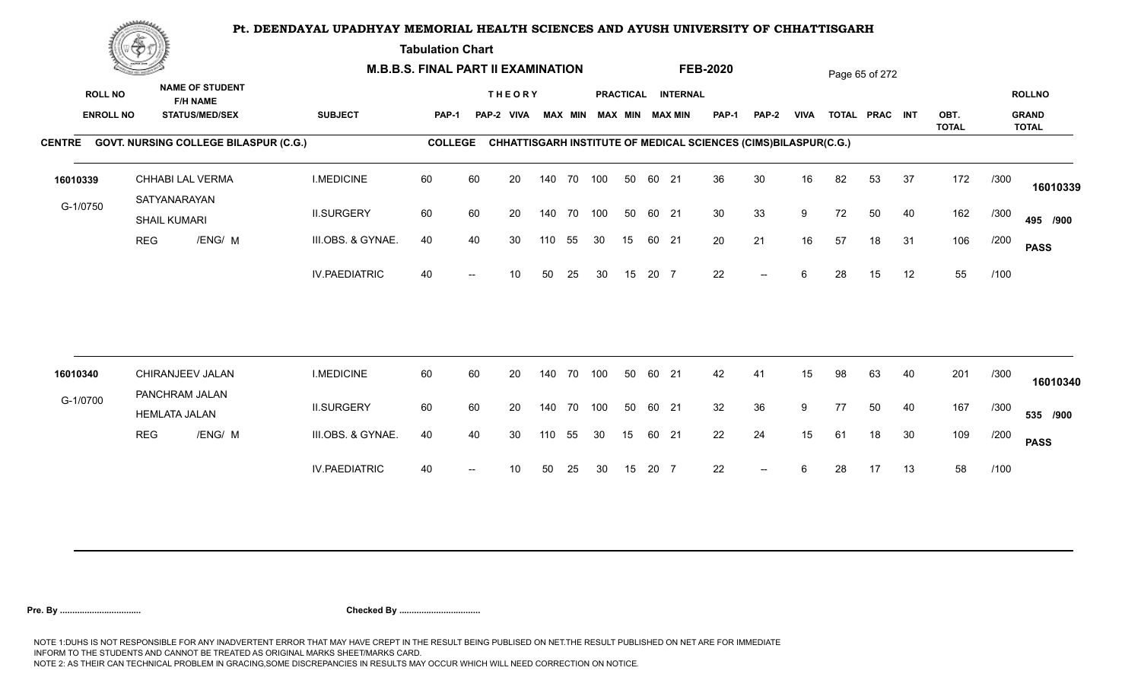**Tabulation Chart** 

|                | <b>Construction of the Construction</b> |                      |                                                                    | <b>M.B.B.S. FINAL PART II EXAMINATION</b> |                |    |                             |     |                |     |    |       |                                       | <b>FEB-2020</b>                                                        |              |             |    | Page 65 of 272 |    |              |      |                               |
|----------------|-----------------------------------------|----------------------|--------------------------------------------------------------------|-------------------------------------------|----------------|----|-----------------------------|-----|----------------|-----|----|-------|---------------------------------------|------------------------------------------------------------------------|--------------|-------------|----|----------------|----|--------------|------|-------------------------------|
| <b>ROLL NO</b> | <b>ENROLL NO</b>                        |                      | <b>NAME OF STUDENT</b><br><b>F/H NAME</b><br><b>STATUS/MED/SEX</b> | <b>SUBJECT</b>                            | <b>PAP-1</b>   |    | <b>THEORY</b><br>PAP-2 VIVA |     | <b>MAX MIN</b> |     |    |       | PRACTICAL INTERNAL<br>MAX MIN MAX MIN | PAP-1                                                                  | <b>PAP-2</b> | <b>VIVA</b> |    | TOTAL PRAC INT |    | OBT.         |      | <b>ROLLNO</b><br><b>GRAND</b> |
|                |                                         |                      | CENTRE GOVT. NURSING COLLEGE BILASPUR (C.G.)                       |                                           | <b>COLLEGE</b> |    |                             |     |                |     |    |       |                                       | <b>CHHATTISGARH INSTITUTE OF MEDICAL SCIENCES (CIMS)BILASPUR(C.G.)</b> |              |             |    |                |    | <b>TOTAL</b> |      | <b>TOTAL</b>                  |
| 16010339       |                                         | SATYANARAYAN         | CHHABI LAL VERMA                                                   | <b>I.MEDICINE</b>                         | 60             | 60 | 20                          |     | 140 70 100     |     | 50 | 60 21 |                                       | 36                                                                     | 30           | 16          | 82 | 53             | 37 | 172          | /300 | 16010339                      |
| G-1/0750       |                                         | <b>SHAIL KUMARI</b>  |                                                                    | <b>II.SURGERY</b>                         | 60             | 60 | 20                          |     | 140 70 100     |     | 50 | 60 21 |                                       | 30                                                                     | 33           | 9           | 72 | 50             | 40 | 162          | /300 | 495 /900                      |
|                | <b>REG</b>                              |                      | /ENG/ M                                                            | III.OBS. & GYNAE.                         | 40             | 40 | 30                          | 110 | 55             | 30  | 15 | 60 21 |                                       | 20                                                                     | 21           | 16          | 57 | 18             | 31 | 106          | /200 | <b>PASS</b>                   |
|                |                                         |                      |                                                                    | <b>IV.PAEDIATRIC</b>                      | 40             |    | 10                          | 50  | 25             | 30  | 15 | 20 7  |                                       | 22                                                                     | $-$          | 6           | 28 | 15             | 12 | 55           | /100 |                               |
| 16010340       |                                         |                      | CHIRANJEEV JALAN                                                   | <b>I.MEDICINE</b>                         | 60             | 60 | 20                          |     | 140 70         | 100 | 50 | 60 21 |                                       | 42                                                                     | 41           | 15          | 98 | 63             | 40 | 201          | /300 |                               |
| G-1/0700       |                                         | PANCHRAM JALAN       |                                                                    |                                           |                |    |                             |     |                |     |    |       |                                       |                                                                        |              |             |    |                |    |              |      | 16010340                      |
|                |                                         | <b>HEMLATA JALAN</b> |                                                                    | <b>II.SURGERY</b>                         | 60             | 60 | 20                          |     | 140 70 100     |     | 50 | 60 21 |                                       | 32                                                                     | 36           | 9           | 77 | 50             | 40 | 167          | /300 | 535 /900                      |
|                | <b>REG</b>                              |                      | /ENG/ M                                                            | III.OBS. & GYNAE.                         | 40             | 40 | 30                          | 110 | 55             | 30  | 15 | 60 21 |                                       | 22                                                                     | 24           | 15          | 61 | 18             | 30 | 109          | /200 | <b>PASS</b>                   |
|                |                                         |                      |                                                                    | <b>IV.PAEDIATRIC</b>                      | 40             |    | 10                          | 50  | 25             | 30  | 15 | 20 7  |                                       | 22                                                                     | $-$          | 6           | 28 | 17             | 13 | 58           | /100 |                               |
|                |                                         |                      |                                                                    |                                           |                |    |                             |     |                |     |    |       |                                       |                                                                        |              |             |    |                |    |              |      |                               |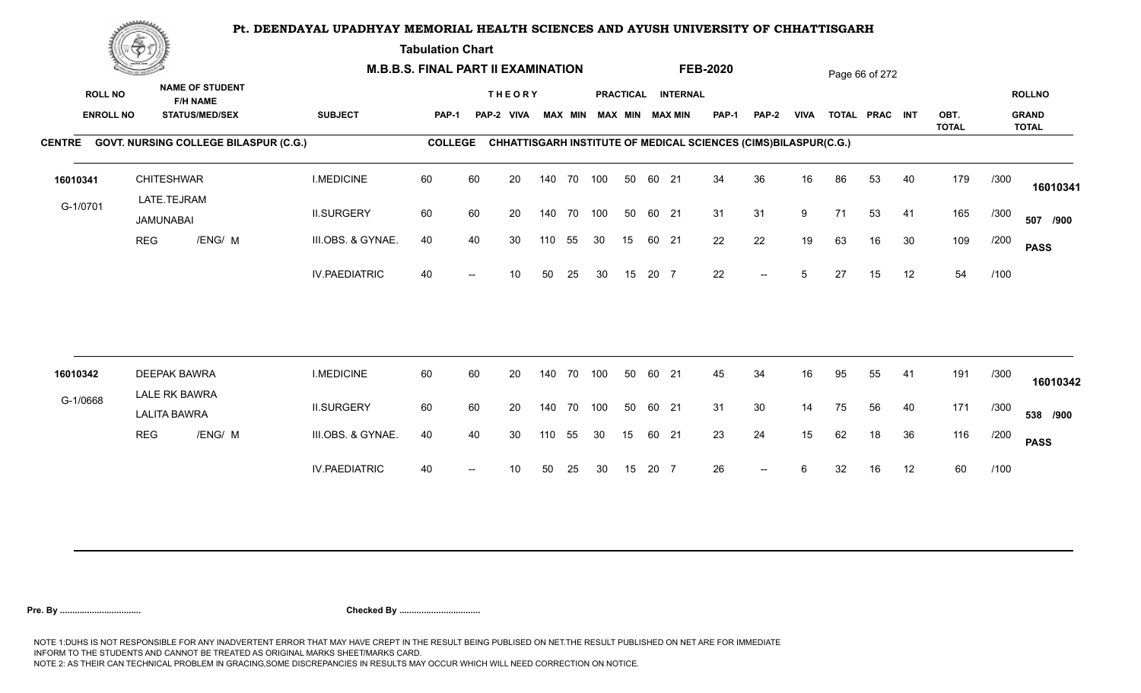**Tabulation Chart** 

|                                    | <b>Construction of the Construction</b> |                                                                    |                                              |                      | <b>M.B.B.S. FINAL PART II EXAMINATION</b> |                          |                             |     |                |     |    |       |                                              | <b>FEB-2020</b> |                                                                 |             |    | Page 66 of 272 |    |              |      |                               |
|------------------------------------|-----------------------------------------|--------------------------------------------------------------------|----------------------------------------------|----------------------|-------------------------------------------|--------------------------|-----------------------------|-----|----------------|-----|----|-------|----------------------------------------------|-----------------|-----------------------------------------------------------------|-------------|----|----------------|----|--------------|------|-------------------------------|
| <b>ROLL NO</b><br><b>ENROLL NO</b> |                                         | <b>NAME OF STUDENT</b><br><b>F/H NAME</b><br><b>STATUS/MED/SEX</b> |                                              | <b>SUBJECT</b>       | <b>PAP-1</b>                              |                          | <b>THEORY</b><br>PAP-2 VIVA |     | <b>MAX MIN</b> |     |    |       | PRACTICAL INTERNAL<br><b>MAX MIN MAX MIN</b> | <b>PAP-1</b>    | PAP-2                                                           | <b>VIVA</b> |    | TOTAL PRAC INT |    | OBT.         |      | <b>ROLLNO</b><br><b>GRAND</b> |
|                                    |                                         |                                                                    | CENTRE GOVT. NURSING COLLEGE BILASPUR (C.G.) |                      | <b>COLLEGE</b>                            |                          |                             |     |                |     |    |       |                                              |                 | CHHATTISGARH INSTITUTE OF MEDICAL SCIENCES (CIMS)BILASPUR(C.G.) |             |    |                |    | <b>TOTAL</b> |      | <b>TOTAL</b>                  |
|                                    |                                         |                                                                    |                                              |                      |                                           |                          |                             |     |                |     |    |       |                                              |                 |                                                                 |             |    |                |    |              |      |                               |
| 16010341                           |                                         | <b>CHITESHWAR</b><br>LATE.TEJRAM                                   |                                              | <b>I.MEDICINE</b>    | 60                                        | 60                       | 20                          |     | 140 70 100     |     | 50 | 60 21 |                                              | 34              | 36                                                              | 16          | 86 | 53             | 40 | 179          | /300 | 16010341                      |
| G-1/0701                           |                                         | JAMUNABAI                                                          |                                              | <b>II.SURGERY</b>    | 60                                        | 60                       | 20                          |     | 140 70 100     |     | 50 | 60 21 |                                              | 31              | 31                                                              | 9           | 71 | 53             | 41 | 165          | /300 | 507 /900                      |
|                                    | <b>REG</b>                              | /ENG/ M                                                            |                                              | III.OBS. & GYNAE.    | 40                                        | 40                       | 30                          | 110 | 55             | 30  | 15 | 60 21 |                                              | 22              | 22                                                              | 19          | 63 | 16             | 30 | 109          | /200 | <b>PASS</b>                   |
|                                    |                                         |                                                                    |                                              | <b>IV.PAEDIATRIC</b> | 40                                        |                          | 10                          | 50  | 25             | 30  | 15 | 20 7  |                                              | 22              | $\overline{\phantom{a}}$                                        | 5           | 27 | 15             | 12 | 54           | /100 |                               |
|                                    |                                         |                                                                    |                                              |                      |                                           |                          |                             |     |                |     |    |       |                                              |                 |                                                                 |             |    |                |    |              |      |                               |
| 16010342                           |                                         | <b>DEEPAK BAWRA</b>                                                |                                              | <b>I.MEDICINE</b>    | 60                                        | 60                       | 20                          |     | 140 70         | 100 | 50 | 60 21 |                                              | 45              | 34                                                              | 16          | 95 | 55             | 41 | 191          | /300 | 16010342                      |
| G-1/0668                           |                                         | LALE RK BAWRA<br><b>LALITA BAWRA</b>                               |                                              | <b>II.SURGERY</b>    | 60                                        | 60                       | 20                          |     | 140 70         | 100 | 50 | 60 21 |                                              | 31              | 30                                                              | 14          | 75 | 56             | 40 | 171          | /300 | 538 /900                      |
|                                    | <b>REG</b>                              | /ENG/ M                                                            |                                              | III.OBS. & GYNAE.    | 40                                        | 40                       | 30                          | 110 | 55             | 30  | 15 | 60 21 |                                              | 23              | 24                                                              | 15          | 62 | 18             | 36 | 116          | /200 | <b>PASS</b>                   |
|                                    |                                         |                                                                    |                                              | <b>IV.PAEDIATRIC</b> | 40                                        | $\overline{\phantom{a}}$ | 10                          | 50  | 25             | 30  | 15 | 20 7  |                                              | 26              | $\overline{\phantom{a}}$                                        | 6           | 32 | 16             | 12 | 60           | /100 |                               |
|                                    |                                         |                                                                    |                                              |                      |                                           |                          |                             |     |                |     |    |       |                                              |                 |                                                                 |             |    |                |    |              |      |                               |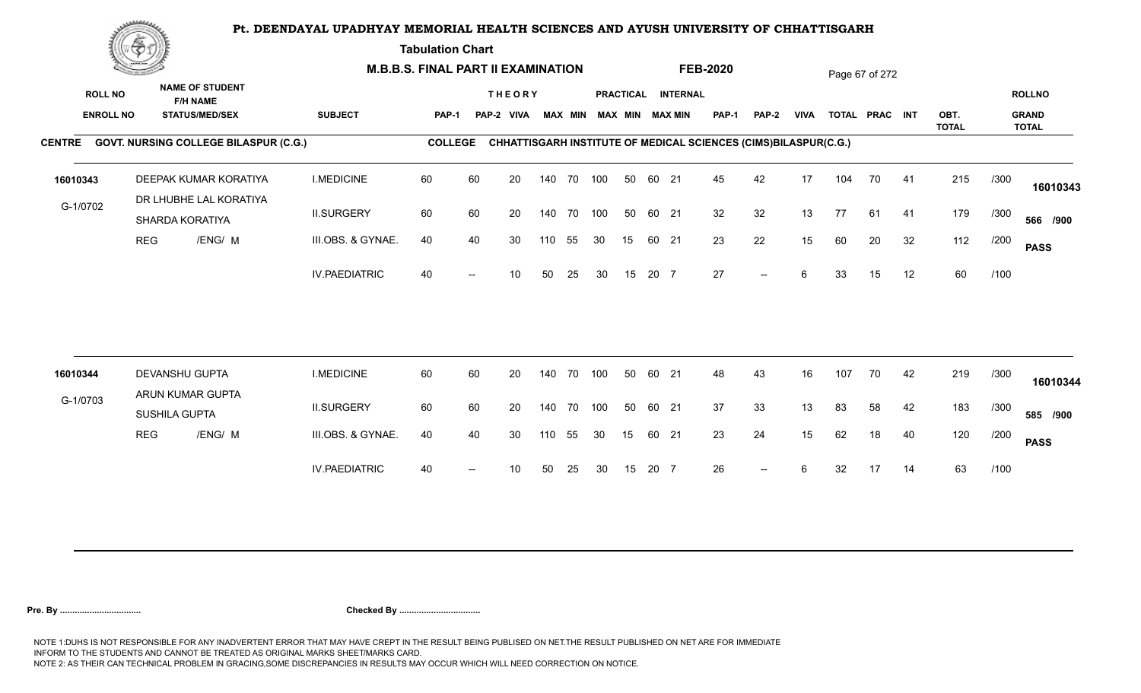**Tabulation Chart** 

|                                    | <u>Contraction</u> |                                                                    |                      | <b>M.B.B.S. FINAL PART II EXAMINATION</b> |    |                             |     |                |     |                  |       |                                           | <b>FEB-2020</b>                                                 |                          |             |     | Page 67 of 272 |    |              |      |                               |
|------------------------------------|--------------------|--------------------------------------------------------------------|----------------------|-------------------------------------------|----|-----------------------------|-----|----------------|-----|------------------|-------|-------------------------------------------|-----------------------------------------------------------------|--------------------------|-------------|-----|----------------|----|--------------|------|-------------------------------|
| <b>ROLL NO</b><br><b>ENROLL NO</b> |                    | <b>NAME OF STUDENT</b><br><b>F/H NAME</b><br><b>STATUS/MED/SEX</b> | <b>SUBJECT</b>       | <b>PAP-1</b>                              |    | <b>THEORY</b><br>PAP-2 VIVA |     | <b>MAX MIN</b> |     | <b>PRACTICAL</b> |       | <b>INTERNAL</b><br><b>MAX MIN MAX MIN</b> | <b>PAP-1</b>                                                    | <b>PAP-2</b>             | <b>VIVA</b> |     | TOTAL PRAC INT |    | OBT.         |      | <b>ROLLNO</b><br><b>GRAND</b> |
|                                    |                    | CENTRE GOVT. NURSING COLLEGE BILASPUR (C.G.)                       |                      | <b>COLLEGE</b>                            |    |                             |     |                |     |                  |       |                                           | CHHATTISGARH INSTITUTE OF MEDICAL SCIENCES (CIMS)BILASPUR(C.G.) |                          |             |     |                |    | <b>TOTAL</b> |      | <b>TOTAL</b>                  |
|                                    |                    |                                                                    |                      |                                           |    |                             |     |                |     |                  |       |                                           |                                                                 |                          |             |     |                |    |              |      |                               |
| 16010343                           |                    | DEEPAK KUMAR KORATIYA<br>DR LHUBHE LAL KORATIYA                    | <b>I.MEDICINE</b>    | 60                                        | 60 | 20                          |     | 140 70 100     |     | 50               | 60 21 |                                           | 45                                                              | 42                       | 17          | 104 | 70             | 41 | 215          | /300 | 16010343                      |
| G-1/0702                           |                    | SHARDA KORATIYA                                                    | <b>II.SURGERY</b>    | 60                                        | 60 | 20                          |     | 140 70         | 100 | 50               | 60 21 |                                           | 32                                                              | 32                       | 13          | 77  | 61             | 41 | 179          | /300 | 566 /900                      |
|                                    | <b>REG</b>         | /ENG/ M                                                            | III.OBS. & GYNAE.    | 40                                        | 40 | 30                          | 110 | 55             | 30  | 15               | 60 21 |                                           | 23                                                              | 22                       | 15          | 60  | 20             | 32 | 112          | /200 | <b>PASS</b>                   |
|                                    |                    |                                                                    | <b>IV.PAEDIATRIC</b> | 40                                        |    | 10                          | 50  | 25             | 30  | 15               | 20 7  |                                           | 27                                                              | $--$                     | 6           | 33  | 15             | 12 | 60           | /100 |                               |
|                                    |                    |                                                                    |                      |                                           |    |                             |     |                |     |                  |       |                                           |                                                                 |                          |             |     |                |    |              |      |                               |
| 16010344                           |                    | DEVANSHU GUPTA<br>ARUN KUMAR GUPTA                                 | <b>I.MEDICINE</b>    | 60                                        | 60 | 20                          |     | 140 70         | 100 | 50               | 60 21 |                                           | 48                                                              | 43                       | 16          | 107 | 70             | 42 | 219          | /300 | 16010344                      |
| G-1/0703                           |                    | SUSHILA GUPTA                                                      | <b>II.SURGERY</b>    | 60                                        | 60 | 20                          |     | 140 70         | 100 | 50               | 60 21 |                                           | 37                                                              | 33                       | 13          | 83  | 58             | 42 | 183          | /300 | 585 /900                      |
|                                    | <b>REG</b>         | /ENG/ M                                                            | III.OBS. & GYNAE.    | 40                                        | 40 | 30                          | 110 | 55             | 30  | 15               | 60 21 |                                           | 23                                                              | 24                       | 15          | 62  | 18             | 40 | 120          | /200 | <b>PASS</b>                   |
|                                    |                    |                                                                    | <b>IV.PAEDIATRIC</b> | 40                                        |    | 10                          | 50  | 25             | 30  | 15               | 20 7  |                                           | 26                                                              | $\overline{\phantom{a}}$ | 6           | 32  | 17             | 14 | 63           | /100 |                               |
|                                    |                    |                                                                    |                      |                                           |    |                             |     |                |     |                  |       |                                           |                                                                 |                          |             |     |                |    |              |      |                               |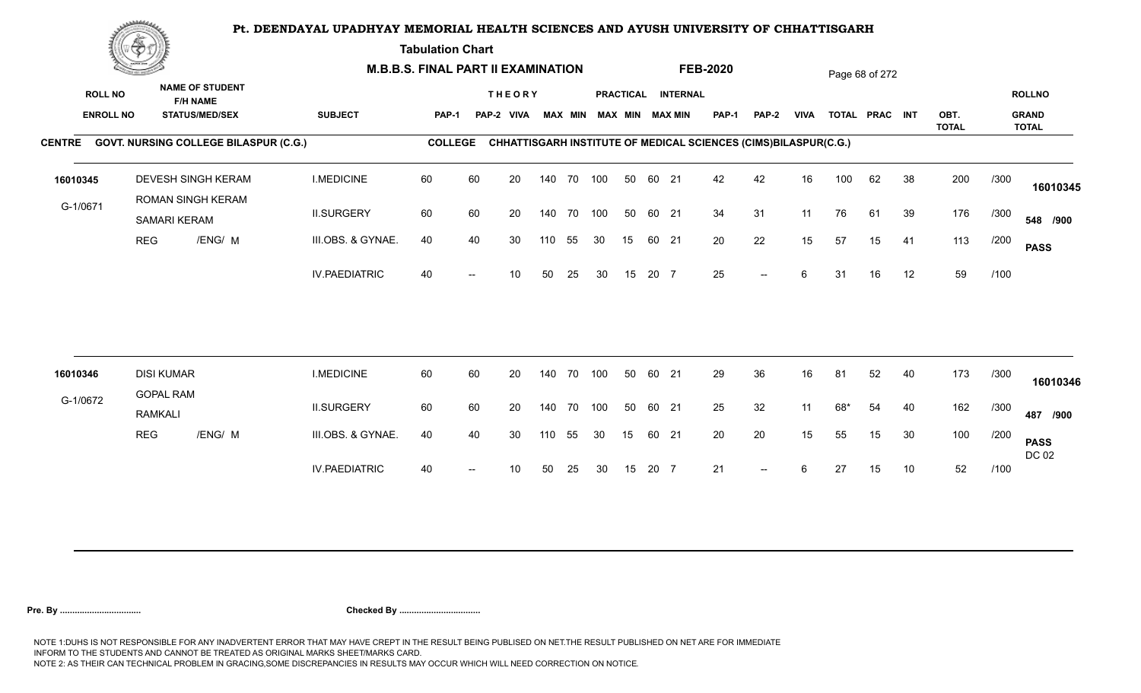**Tabulation Chart** 

|                | <b>Construction of the Construction</b> |                   |                                                                    | <b>M.B.B.S. FINAL PART II EXAMINATION</b> |                |    |                             |     |                |     |    |       |                                       | <b>FEB-2020</b>                                                 |                          |             |       | Page 68 of 272 |    |              |      |                               |
|----------------|-----------------------------------------|-------------------|--------------------------------------------------------------------|-------------------------------------------|----------------|----|-----------------------------|-----|----------------|-----|----|-------|---------------------------------------|-----------------------------------------------------------------|--------------------------|-------------|-------|----------------|----|--------------|------|-------------------------------|
| <b>ROLL NO</b> | <b>ENROLL NO</b>                        |                   | <b>NAME OF STUDENT</b><br><b>F/H NAME</b><br><b>STATUS/MED/SEX</b> | <b>SUBJECT</b>                            | <b>PAP-1</b>   |    | <b>THEORY</b><br>PAP-2 VIVA |     | <b>MAX MIN</b> |     |    |       | PRACTICAL INTERNAL<br>MAX MIN MAX MIN | PAP-1                                                           | <b>PAP-2</b>             | <b>VIVA</b> |       | TOTAL PRAC INT |    | OBT.         |      | <b>ROLLNO</b><br><b>GRAND</b> |
|                |                                         |                   | CENTRE GOVT. NURSING COLLEGE BILASPUR (C.G.)                       |                                           | <b>COLLEGE</b> |    |                             |     |                |     |    |       |                                       | CHHATTISGARH INSTITUTE OF MEDICAL SCIENCES (CIMS)BILASPUR(C.G.) |                          |             |       |                |    | <b>TOTAL</b> |      | <b>TOTAL</b>                  |
| 16010345       |                                         |                   | <b>DEVESH SINGH KERAM</b><br>ROMAN SINGH KERAM                     | <b>I.MEDICINE</b>                         | 60             | 60 | 20                          |     | 140 70         | 100 | 50 | 60 21 |                                       | 42                                                              | 42                       | 16          | 100   | 62             | 38 | 200          | /300 | 16010345                      |
| G-1/0671       |                                         | SAMARI KERAM      |                                                                    | <b>II.SURGERY</b>                         | 60             | 60 | 20                          |     | 140 70 100     |     | 50 | 60 21 |                                       | 34                                                              | 31                       | 11          | 76    | 61             | 39 | 176          | /300 | 548 /900                      |
|                | <b>REG</b>                              |                   | /ENG/ M                                                            | III.OBS. & GYNAE.                         | 40             | 40 | 30                          | 110 | 55             | 30  | 15 | 60 21 |                                       | 20                                                              | 22                       | 15          | 57    | 15             | 41 | 113          | /200 | <b>PASS</b>                   |
|                |                                         |                   |                                                                    | <b>IV.PAEDIATRIC</b>                      | 40             |    | 10                          | 50  | 25             | 30  | 15 | 20 7  |                                       | 25                                                              | $\overline{\phantom{a}}$ | 6           | 31    | 16             | 12 | 59           | /100 |                               |
|                |                                         | <b>DISI KUMAR</b> |                                                                    | <b>I.MEDICINE</b>                         | 60             | 60 |                             |     | 140 70         | 100 | 50 | 60 21 |                                       | 29                                                              | 36                       | 16          |       | 52             | 40 | 173          | /300 |                               |
| 16010346       |                                         | <b>GOPAL RAM</b>  |                                                                    |                                           |                |    | 20                          |     |                |     |    |       |                                       |                                                                 |                          |             | 81    |                |    |              |      | 16010346                      |
| G-1/0672       |                                         | <b>RAMKALI</b>    |                                                                    | <b>II.SURGERY</b>                         | 60             | 60 | 20                          |     | 140 70 100     |     | 50 | 60 21 |                                       | 25                                                              | 32                       | 11          | $68*$ | 54             | 40 | 162          | /300 | 487 /900                      |
|                | <b>REG</b>                              |                   | /ENG/ M                                                            | III.OBS. & GYNAE.                         | 40             | 40 | 30                          | 110 | 55             | 30  | 15 | 60 21 |                                       | 20                                                              | 20                       | 15          | 55    | 15             | 30 | 100          | /200 | <b>PASS</b><br>DC 02          |
|                |                                         |                   |                                                                    | <b>IV.PAEDIATRIC</b>                      | 40             |    | 10                          | 50  | 25             | 30  | 15 | 20 7  |                                       | 21                                                              | $-$                      | 6           | 27    | 15             | 10 | 52           | /100 |                               |
|                |                                         |                   |                                                                    |                                           |                |    |                             |     |                |     |    |       |                                       |                                                                 |                          |             |       |                |    |              |      |                               |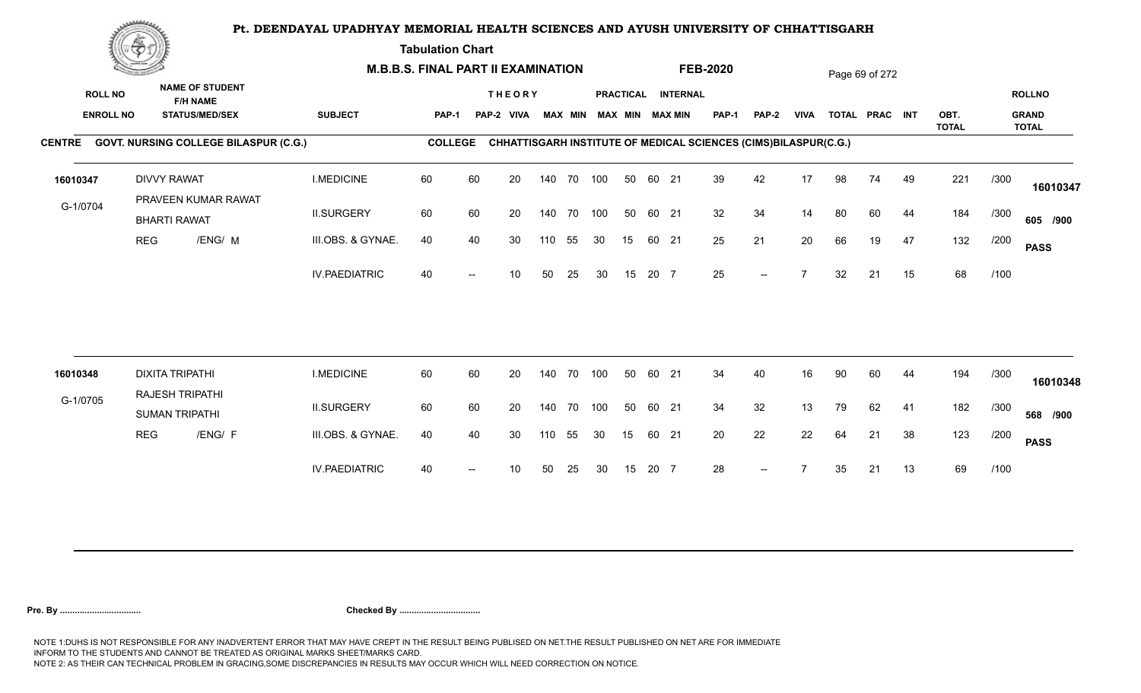**Tabulation Chart** 

|                                    | <b>Construction of the Construction</b><br><b>NAME OF STUDENT</b> |                                              | <b>M.B.B.S. FINAL PART II EXAMINATION</b> |                |    |                             |        |                |     |    |       | <b>FEB-2020</b>                              |                                                                 |                          |                | Page 69 of 272 |                |    |              |      |                               |
|------------------------------------|-------------------------------------------------------------------|----------------------------------------------|-------------------------------------------|----------------|----|-----------------------------|--------|----------------|-----|----|-------|----------------------------------------------|-----------------------------------------------------------------|--------------------------|----------------|----------------|----------------|----|--------------|------|-------------------------------|
| <b>ROLL NO</b><br><b>ENROLL NO</b> |                                                                   | <b>F/H NAME</b><br><b>STATUS/MED/SEX</b>     | <b>SUBJECT</b>                            | PAP-1          |    | <b>THEORY</b><br>PAP-2 VIVA |        | <b>MAX MIN</b> |     |    |       | PRACTICAL INTERNAL<br><b>MAX MIN MAX MIN</b> | <b>PAP-1</b>                                                    | PAP-2                    | <b>VIVA</b>    |                | TOTAL PRAC INT |    | OBT.         |      | <b>ROLLNO</b><br><b>GRAND</b> |
|                                    |                                                                   | CENTRE GOVT. NURSING COLLEGE BILASPUR (C.G.) |                                           | <b>COLLEGE</b> |    |                             |        |                |     |    |       |                                              | CHHATTISGARH INSTITUTE OF MEDICAL SCIENCES (CIMS)BILASPUR(C.G.) |                          |                |                |                |    | <b>TOTAL</b> |      | <b>TOTAL</b>                  |
| 16010347                           |                                                                   | <b>DIVVY RAWAT</b><br>PRAVEEN KUMAR RAWAT    | <b>I.MEDICINE</b>                         | 60             | 60 | 20                          |        | 140 70 100     |     | 50 | 60 21 |                                              | 39                                                              | 42                       | 17             | 98             | 74             | 49 | 221          | /300 | 16010347                      |
| G-1/0704                           |                                                                   | <b>BHARTI RAWAT</b>                          | <b>II.SURGERY</b>                         | 60             | 60 | 20                          |        | 140 70         | 100 | 50 | 60 21 |                                              | 32                                                              | 34                       | 14             | 80             | 60             | 44 | 184          | /300 | 605 /900                      |
|                                    | <b>REG</b>                                                        | /ENG/ M                                      | III.OBS. & GYNAE.                         | 40             | 40 | 30                          | 110    | 55             | 30  | 15 |       | 60 21                                        | 25                                                              | 21                       | 20             | 66             | 19             | 47 | 132          | /200 | <b>PASS</b>                   |
|                                    |                                                                   |                                              | <b>IV.PAEDIATRIC</b>                      | 40             |    | 10                          | 50     | 25             | 30  | 15 | 20 7  |                                              | 25                                                              | $--$                     | $\overline{ }$ | 32             | 21             | 15 | 68           | /100 |                               |
| 16010348                           |                                                                   | <b>DIXITA TRIPATHI</b>                       | <b>I.MEDICINE</b>                         | 60             | 60 | 20                          | 140 70 |                | 100 | 50 | 60 21 |                                              | 34                                                              | 40                       | 16             | 90             | 60             | 44 | 194          | /300 |                               |
|                                    |                                                                   | RAJESH TRIPATHI                              |                                           |                |    |                             |        |                |     |    |       |                                              |                                                                 |                          |                |                |                |    |              |      | 16010348                      |
| G-1/0705                           |                                                                   | <b>SUMAN TRIPATHI</b>                        | <b>II.SURGERY</b>                         | 60             | 60 | 20                          |        | 140 70         | 100 | 50 | 60 21 |                                              | 34                                                              | 32                       | 13             | 79             | 62             | 41 | 182          | /300 | 568 /900                      |
|                                    | <b>REG</b>                                                        | /ENG/ F                                      | III.OBS. & GYNAE.                         | 40             | 40 | 30                          | 110    | 55             | 30  | 15 | 60 21 |                                              | 20                                                              | 22                       | 22             | 64             | 21             | 38 | 123          | /200 | <b>PASS</b>                   |
|                                    |                                                                   |                                              | <b>IV.PAEDIATRIC</b>                      | 40             |    | 10                          | 50     | 25             | 30  | 15 | 20 7  |                                              | 28                                                              | $\overline{\phantom{a}}$ |                | 35             | 21             | 13 | 69           | /100 |                               |
|                                    |                                                                   |                                              |                                           |                |    |                             |        |                |     |    |       |                                              |                                                                 |                          |                |                |                |    |              |      |                               |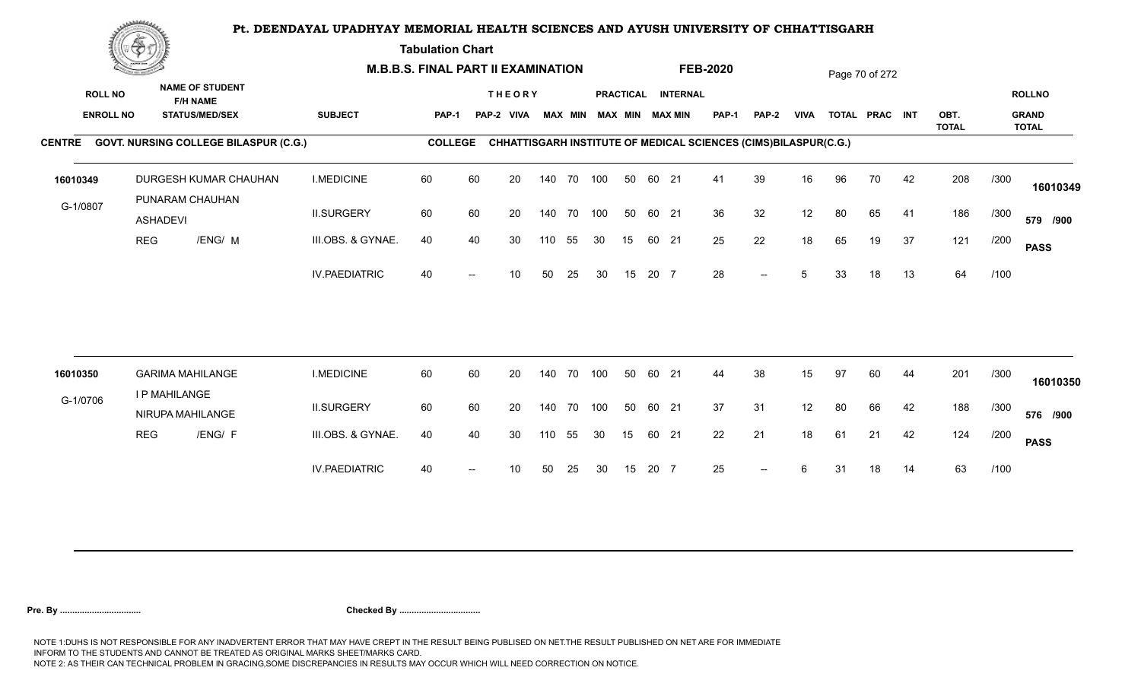**Tabulation Chart** 

|                                    | <b>Construction of the Construction</b> |                                                                    |                      | <b>M.B.B.S. FINAL PART II EXAMINATION</b> |    |                             |     |                |     |    |       |                                              | <b>FEB-2020</b> |                                                                 |             |    | Page 70 of 272 |    |                      |      |                                               |
|------------------------------------|-----------------------------------------|--------------------------------------------------------------------|----------------------|-------------------------------------------|----|-----------------------------|-----|----------------|-----|----|-------|----------------------------------------------|-----------------|-----------------------------------------------------------------|-------------|----|----------------|----|----------------------|------|-----------------------------------------------|
| <b>ROLL NO</b><br><b>ENROLL NO</b> |                                         | <b>NAME OF STUDENT</b><br><b>F/H NAME</b><br><b>STATUS/MED/SEX</b> | <b>SUBJECT</b>       | PAP-1                                     |    | <b>THEORY</b><br>PAP-2 VIVA |     | <b>MAX MIN</b> |     |    |       | PRACTICAL INTERNAL<br><b>MAX MIN MAX MIN</b> | <b>PAP-1</b>    | PAP-2                                                           | <b>VIVA</b> |    | TOTAL PRAC INT |    | OBT.<br><b>TOTAL</b> |      | <b>ROLLNO</b><br><b>GRAND</b><br><b>TOTAL</b> |
|                                    |                                         | CENTRE GOVT. NURSING COLLEGE BILASPUR (C.G.)                       |                      | <b>COLLEGE</b>                            |    |                             |     |                |     |    |       |                                              |                 | CHHATTISGARH INSTITUTE OF MEDICAL SCIENCES (CIMS)BILASPUR(C.G.) |             |    |                |    |                      |      |                                               |
| 16010349                           |                                         | DURGESH KUMAR CHAUHAN<br>PUNARAM CHAUHAN                           | <b>I.MEDICINE</b>    | 60                                        | 60 | 20                          |     | 140 70 100     |     | 50 | 60 21 |                                              | 41              | 39                                                              | 16          | 96 | 70             | 42 | 208                  | /300 | 16010349                                      |
| G-1/0807                           | <b>ASHADEVI</b>                         |                                                                    | <b>II.SURGERY</b>    | 60                                        | 60 | 20                          |     | 140 70         | 100 | 50 | 60 21 |                                              | 36              | 32                                                              | 12          | 80 | 65             | 41 | 186                  | /300 | 579 /900                                      |
|                                    | <b>REG</b>                              | /ENG/ M                                                            | III.OBS. & GYNAE.    | 40                                        | 40 | 30                          | 110 | 55             | 30  | 15 | 60 21 |                                              | 25              | 22                                                              | 18          | 65 | 19             | 37 | 121                  | /200 | <b>PASS</b>                                   |
|                                    |                                         |                                                                    | <b>IV.PAEDIATRIC</b> | 40                                        |    | 10                          | 50  | 25             | 30  | 15 | 20 7  |                                              | 28              | $- -$                                                           | 5           | 33 | 18             | 13 | 64                   | /100 |                                               |
| 16010350                           |                                         | <b>GARIMA MAHILANGE</b>                                            | <b>I.MEDICINE</b>    | 60                                        | 60 | 20                          |     | 140 70         | 100 | 50 | 60 21 |                                              | 44              | 38                                                              | 15          | 97 | 60             | 44 | 201                  | /300 |                                               |
| G-1/0706                           |                                         | I P MAHILANGE                                                      |                      |                                           |    |                             |     |                |     |    |       |                                              |                 |                                                                 |             |    |                |    |                      |      | 16010350                                      |
|                                    |                                         | NIRUPA MAHILANGE                                                   | <b>II.SURGERY</b>    | 60                                        | 60 | 20                          |     | 140 70         | 100 | 50 | 60 21 |                                              | 37              | 31                                                              | 12          | 80 | 66             | 42 | 188                  | /300 | 576 /900                                      |
|                                    | <b>REG</b>                              | /ENG/ F                                                            | III.OBS. & GYNAE.    | 40                                        | 40 | 30                          | 110 | 55             | 30  | 15 | 60 21 |                                              | 22              | 21                                                              | 18          | 61 | 21             | 42 | 124                  | /200 | <b>PASS</b>                                   |
|                                    |                                         |                                                                    | <b>IV.PAEDIATRIC</b> | 40                                        |    | 10                          | 50  | 25             | 30  | 15 | 20 7  |                                              | 25              | $\overline{\phantom{a}}$                                        | 6           | 31 | 18             | 14 | 63                   | /100 |                                               |
|                                    |                                         |                                                                    |                      |                                           |    |                             |     |                |     |    |       |                                              |                 |                                                                 |             |    |                |    |                      |      |                                               |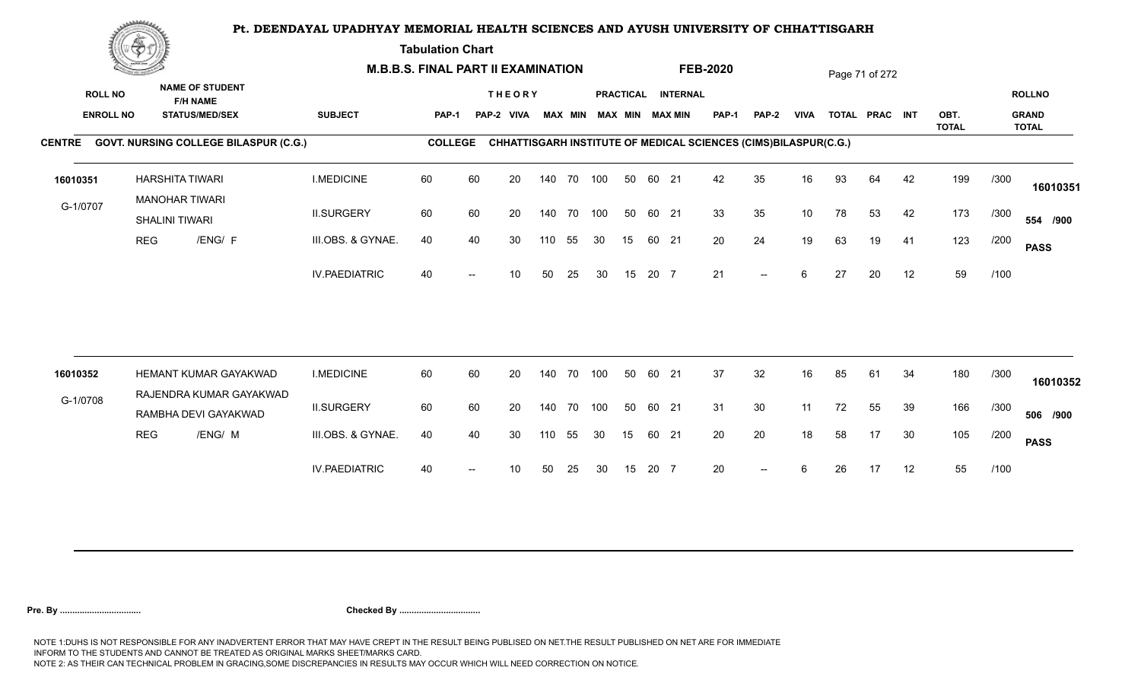**Tabulation Chart** 

|                                    | <b>Construction of the Construction</b> |                                                                    |                      | <b>M.B.B.S. FINAL PART II EXAMINATION</b> |       |                              |     |                |            |    |       |                                       | <b>FEB-2020</b>                                                 |                          |             |    | Page 71 of 272 |    |              |      |                               |
|------------------------------------|-----------------------------------------|--------------------------------------------------------------------|----------------------|-------------------------------------------|-------|------------------------------|-----|----------------|------------|----|-------|---------------------------------------|-----------------------------------------------------------------|--------------------------|-------------|----|----------------|----|--------------|------|-------------------------------|
| <b>ROLL NO</b><br><b>ENROLL NO</b> |                                         | <b>NAME OF STUDENT</b><br><b>F/H NAME</b><br><b>STATUS/MED/SEX</b> | <b>SUBJECT</b>       | <b>PAP-1</b>                              | PAP-2 | <b>THEORY</b><br><b>VIVA</b> |     | <b>MAX MIN</b> |            |    |       | PRACTICAL INTERNAL<br>MAX MIN MAX MIN | PAP-1                                                           | <b>PAP-2</b>             | <b>VIVA</b> |    | TOTAL PRAC INT |    | OBT.         |      | <b>ROLLNO</b><br><b>GRAND</b> |
|                                    |                                         | CENTRE GOVT. NURSING COLLEGE BILASPUR (C.G.)                       |                      | <b>COLLEGE</b>                            |       |                              |     |                |            |    |       |                                       | CHHATTISGARH INSTITUTE OF MEDICAL SCIENCES (CIMS)BILASPUR(C.G.) |                          |             |    |                |    | <b>TOTAL</b> |      | <b>TOTAL</b>                  |
| 16010351                           |                                         | HARSHITA TIWARI<br><b>MANOHAR TIWARI</b>                           | <b>I.MEDICINE</b>    | 60                                        | 60    | 20                           |     | 140 70         | 100        | 50 | 60 21 |                                       | 42                                                              | 35                       | 16          | 93 | 64             | 42 | 199          | /300 | 16010351                      |
| G-1/0707                           |                                         | SHALINI TIWARI                                                     | <b>II.SURGERY</b>    | 60                                        | 60    | 20                           |     | 140 70         | 100        | 50 | 60 21 |                                       | 33                                                              | 35                       | 10          | 78 | 53             | 42 | 173          | /300 | 554 /900                      |
|                                    | <b>REG</b>                              | /ENG/ F                                                            | III.OBS. & GYNAE.    | 40                                        | 40    | 30                           | 110 | 55             | 30         | 15 | 60 21 |                                       | 20                                                              | 24                       | 19          | 63 | 19             | 41 | 123          | /200 | <b>PASS</b>                   |
|                                    |                                         |                                                                    | <b>IV.PAEDIATRIC</b> | 40                                        |       | 10                           | 50  | 25             | 30         | 15 | 20 7  |                                       | 21                                                              | $\overline{\phantom{a}}$ | 6           | 27 | 20             | 12 | 59           | /100 |                               |
|                                    |                                         | HEMANT KUMAR GAYAKWAD                                              | <b>I.MEDICINE</b>    | 60                                        | 60    | 20                           |     | 140 70         | 100        | 50 | 60 21 |                                       | 37                                                              | 32                       | 16          | 85 | 61             | 34 | 180          | /300 |                               |
| 16010352                           |                                         | RAJENDRA KUMAR GAYAKWAD                                            |                      |                                           |       |                              |     |                |            |    |       |                                       |                                                                 |                          |             |    |                |    |              |      | 16010352                      |
| G-1/0708                           |                                         | RAMBHA DEVI GAYAKWAD                                               | <b>II.SURGERY</b>    | 60                                        | 60    | 20                           |     |                | 140 70 100 | 50 | 60 21 |                                       | 31                                                              | 30                       | 11          | 72 | 55             | 39 | 166          | /300 | 506 /900                      |
|                                    | <b>REG</b>                              | /ENG/ M                                                            | III.OBS. & GYNAE.    | 40                                        | 40    | 30                           | 110 | 55             | 30         | 15 | 60 21 |                                       | 20                                                              | 20                       | 18          | 58 | 17             | 30 | 105          | /200 | <b>PASS</b>                   |
|                                    |                                         |                                                                    | <b>IV.PAEDIATRIC</b> | 40                                        |       | 10                           | 50  | 25             | 30         | 15 | 20 7  |                                       | 20                                                              | $\overline{a}$           | 6           | 26 | 17             | 12 | 55           | /100 |                               |
|                                    |                                         |                                                                    |                      |                                           |       |                              |     |                |            |    |       |                                       |                                                                 |                          |             |    |                |    |              |      |                               |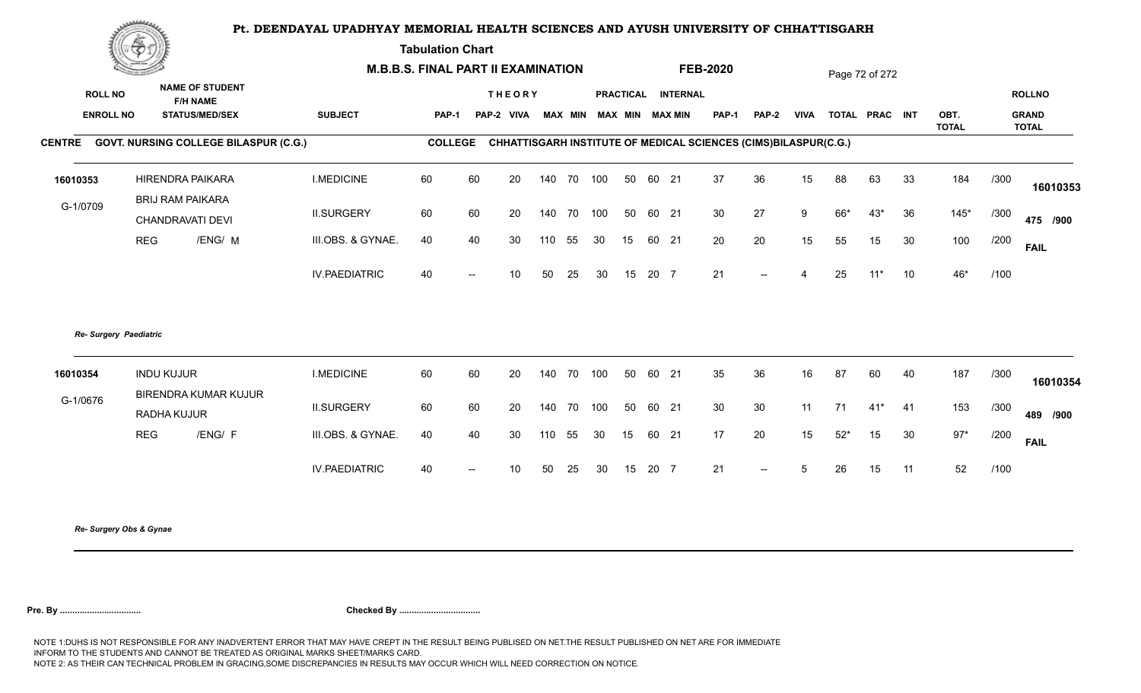**Tabulation Chart** 

|                        | ▓▀                |                                              |                      | <b>M.B.B.S. FINAL PART II EXAMINATION</b> |     |                                    |     |    |     |    |      |                    | <b>FEB-2020</b>                                                        |                          |             |       | Page 72 of 272 |    |                      |      |                              |
|------------------------|-------------------|----------------------------------------------|----------------------|-------------------------------------------|-----|------------------------------------|-----|----|-----|----|------|--------------------|------------------------------------------------------------------------|--------------------------|-------------|-------|----------------|----|----------------------|------|------------------------------|
| <b>ROLL NO</b>         |                   | <b>NAME OF STUDENT</b><br><b>F/H NAME</b>    |                      |                                           |     | <b>THEORY</b>                      |     |    |     |    |      | PRACTICAL INTERNAL |                                                                        |                          |             |       |                |    |                      |      | <b>ROLLNO</b>                |
| <b>ENROLL NO</b>       |                   | <b>STATUS/MED/SEX</b>                        | <b>SUBJECT</b>       | PAP-1                                     |     | PAP-2 VIVA MAX MIN MAX MIN MAX MIN |     |    |     |    |      |                    | PAP-1                                                                  | PAP-2                    | <b>VIVA</b> |       | TOTAL PRAC INT |    | OBT.<br><b>TOTAL</b> |      | <b>GRAND</b><br><b>TOTAL</b> |
| <b>CENTRE</b>          |                   | <b>GOVT. NURSING COLLEGE BILASPUR (C.G.)</b> |                      | <b>COLLEGE</b>                            |     |                                    |     |    |     |    |      |                    | <b>CHHATTISGARH INSTITUTE OF MEDICAL SCIENCES (CIMS)BILASPUR(C.G.)</b> |                          |             |       |                |    |                      |      |                              |
| 16010353               |                   | <b>HIRENDRA PAIKARA</b>                      | <b>I.MEDICINE</b>    | 60                                        | 60  | 20                                 | 140 | 70 | 100 | 50 | 60   | 21                 | 37                                                                     | 36                       | 15          | 88    | 63             | 33 | 184                  | /300 | 16010353                     |
| G-1/0709               |                   | <b>BRIJ RAM PAIKARA</b><br>CHANDRAVATI DEVI  | <b>II.SURGERY</b>    | 60                                        | 60  | 20                                 | 140 | 70 | 100 | 50 |      | 60 21              | 30                                                                     | 27                       | 9           | 66*   | $43*$          | 36 | $145*$               | /300 | 475 /900                     |
|                        | <b>REG</b>        | /ENG/ M                                      | III.OBS. & GYNAE.    | 40                                        | 40  | 30                                 | 110 | 55 | 30  | 15 |      | 60 21              | 20                                                                     | 20                       | 15          | 55    | 15             | 30 | 100                  | /200 | <b>FAIL</b>                  |
|                        |                   |                                              | <b>IV.PAEDIATRIC</b> | 40                                        | $-$ | 10 <sup>1</sup>                    | 50  | 25 | 30  | 15 | 20 7 |                    | 21                                                                     | $--$                     |             | 25    | $11*$          | 10 | 46*                  | /100 |                              |
| Re- Surgery Paediatric |                   |                                              |                      |                                           |     |                                    |     |    |     |    |      |                    |                                                                        |                          |             |       |                |    |                      |      |                              |
| 16010354               | <b>INDU KUJUR</b> |                                              | <b>I.MEDICINE</b>    | 60                                        | 60  | 20                                 | 140 | 70 | 100 | 50 |      | 60 21              | 35                                                                     | 36                       | 16          | 87    | 60             | 40 | 187                  | /300 | 16010354                     |
| G-1/0676               | RADHA KUJUR       | <b>BIRENDRA KUMAR KUJUR</b>                  | <b>II.SURGERY</b>    | 60                                        | 60  | 20                                 | 140 | 70 | 100 | 50 |      | 60 21              | 30                                                                     | 30                       | 11          | 71    | $41*$ 41       |    | 153                  | /300 | 489 /900                     |
|                        | <b>REG</b>        | /ENG/ F                                      | III.OBS. & GYNAE.    | 40                                        | 40  | 30                                 | 110 | 55 | 30  | 15 |      | 60 21              | 17                                                                     | 20                       | 15          | $52*$ | 15             | 30 | $97*$                | /200 | <b>FAIL</b>                  |
|                        |                   |                                              | <b>IV.PAEDIATRIC</b> | 40                                        |     | 10                                 | 50  | 25 | 30  | 15 | 20 7 |                    | 21                                                                     | $\overline{\phantom{a}}$ | 5           | 26    | 15             | 11 | 52                   | /100 |                              |
|                        |                   |                                              |                      |                                           |     |                                    |     |    |     |    |      |                    |                                                                        |                          |             |       |                |    |                      |      |                              |

*Re- Surgery Obs & Gynae*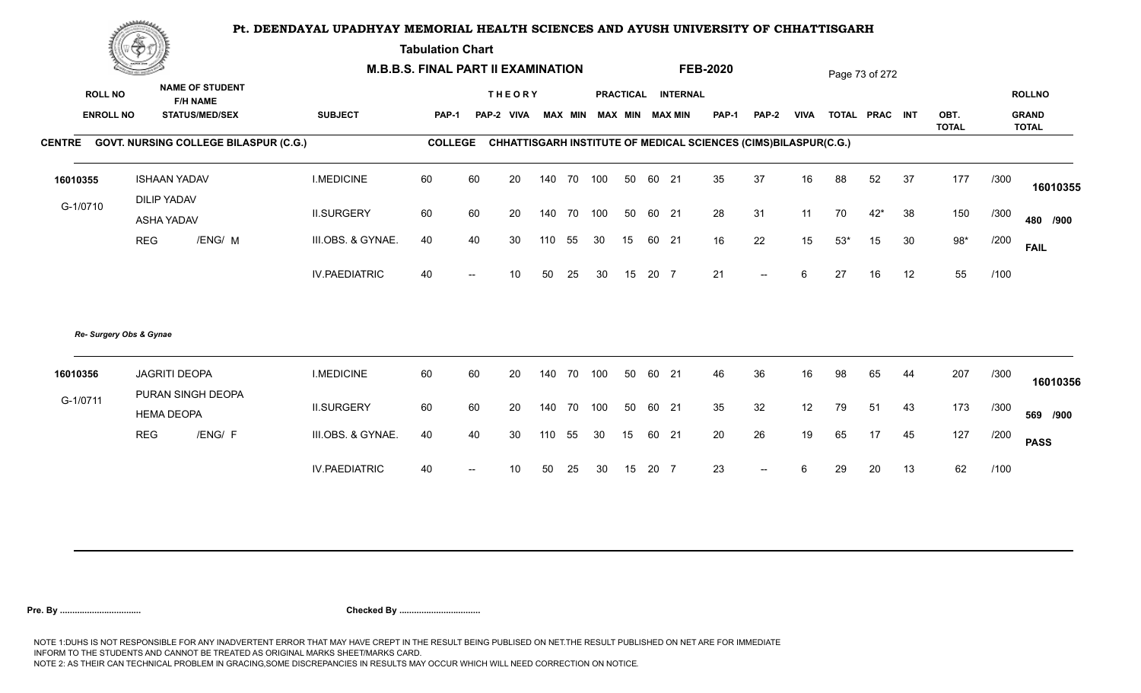**Tabulation Chart** 

|                  | ▓ڪ<br><b>NAME OF STUDENT</b>     |                                              |                      | <b>M.B.B.S. FINAL PART II EXAMINATION</b> |                   |                   |     |    |     |    |       |                         | <b>FEB-2020</b>                                                 |                          |             |       | Page 73 of 272 |    |                      |      |                              |
|------------------|----------------------------------|----------------------------------------------|----------------------|-------------------------------------------|-------------------|-------------------|-----|----|-----|----|-------|-------------------------|-----------------------------------------------------------------|--------------------------|-------------|-------|----------------|----|----------------------|------|------------------------------|
| <b>ROLL NO</b>   |                                  | <b>F/H NAME</b>                              |                      |                                           |                   | <b>THEORY</b>     |     |    |     |    |       | PRACTICAL INTERNAL      |                                                                 |                          |             |       |                |    |                      |      | <b>ROLLNO</b>                |
| <b>ENROLL NO</b> |                                  | <b>STATUS/MED/SEX</b>                        | <b>SUBJECT</b>       | PAP-1                                     |                   | <b>PAP-2 VIVA</b> |     |    |     |    |       | MAX MIN MAX MIN MAX MIN | <b>PAP-1</b>                                                    | PAP-2                    | <b>VIVA</b> |       | TOTAL PRAC INT |    | OBT.<br><b>TOTAL</b> |      | <b>GRAND</b><br><b>TOTAL</b> |
| <b>CENTRE</b>    |                                  | <b>GOVT. NURSING COLLEGE BILASPUR (C.G.)</b> |                      | <b>COLLEGE</b>                            |                   |                   |     |    |     |    |       |                         | CHHATTISGARH INSTITUTE OF MEDICAL SCIENCES (CIMS)BILASPUR(C.G.) |                          |             |       |                |    |                      |      |                              |
| 16010355         | <b>ISHAAN YADAV</b>              |                                              | <b>I.MEDICINE</b>    | 60                                        | 60                | 20                | 140 | 70 | 100 | 50 | 60    | 21                      | 35                                                              | 37                       | 16          | 88    | 52             | 37 | 177                  | /300 | 16010355                     |
| G-1/0710         | <b>DILIP YADAV</b><br>ASHA YADAV |                                              | <b>II.SURGERY</b>    | 60                                        | 60                | 20                | 140 | 70 | 100 | 50 |       | 60 21                   | 28                                                              | 31                       | 11          | 70    | $42*$          | 38 | 150                  | /300 | 480 /900                     |
|                  | <b>REG</b>                       | /ENG/ M                                      | III.OBS. & GYNAE.    | 40                                        | 40                | 30                | 110 | 55 | 30  | 15 |       | 60 21                   | 16                                                              | 22                       | 15          | $53*$ | 15             | 30 | $98*$                | /200 | <b>FAIL</b>                  |
|                  |                                  |                                              | <b>IV.PAEDIATRIC</b> | 40                                        | $\overline{a}$    | 10 <sup>°</sup>   | 50  | 25 | 30  | 15 | 20 7  |                         | 21                                                              | $\overline{\phantom{m}}$ | 6           | 27    | 16             | 12 | 55                   | /100 |                              |
|                  | Re- Surgery Obs & Gynae          |                                              |                      |                                           |                   |                   |     |    |     |    |       |                         |                                                                 |                          |             |       |                |    |                      |      |                              |
| 16010356         | <b>JAGRITI DEOPA</b>             |                                              | <b>I.MEDICINE</b>    | 60                                        | 60                | 20                | 140 | 70 | 100 | 50 | 60    | 21                      | 46                                                              | 36                       | 16          | 98    | 65             | 44 | 207                  | /300 | 16010356                     |
| G-1/0711         | <b>HEMA DEOPA</b>                | PURAN SINGH DEOPA                            | <b>II.SURGERY</b>    | 60                                        | 60                | 20                | 140 | 70 | 100 | 50 | 60 21 |                         | 35                                                              | 32                       | 12          | 79    | 51             | 43 | 173                  | /300 | 569 /900                     |
|                  | <b>REG</b>                       | /ENG/ F                                      | III.OBS. & GYNAE.    | 40                                        | 40                | 30                | 110 | 55 | 30  | 15 |       | 60 21                   | 20                                                              | 26                       | 19          | 65    | 17             | 45 | 127                  | /200 | <b>PASS</b>                  |
|                  |                                  |                                              | <b>IV.PAEDIATRIC</b> | 40                                        | $\hspace{0.05cm}$ | 10 <sup>1</sup>   | 50  | 25 | 30  | 15 | 20 7  |                         | 23                                                              | $--$                     | 6           | 29    | 20             | 13 | 62                   | /100 |                              |
|                  |                                  |                                              |                      |                                           |                   |                   |     |    |     |    |       |                         |                                                                 |                          |             |       |                |    |                      |      |                              |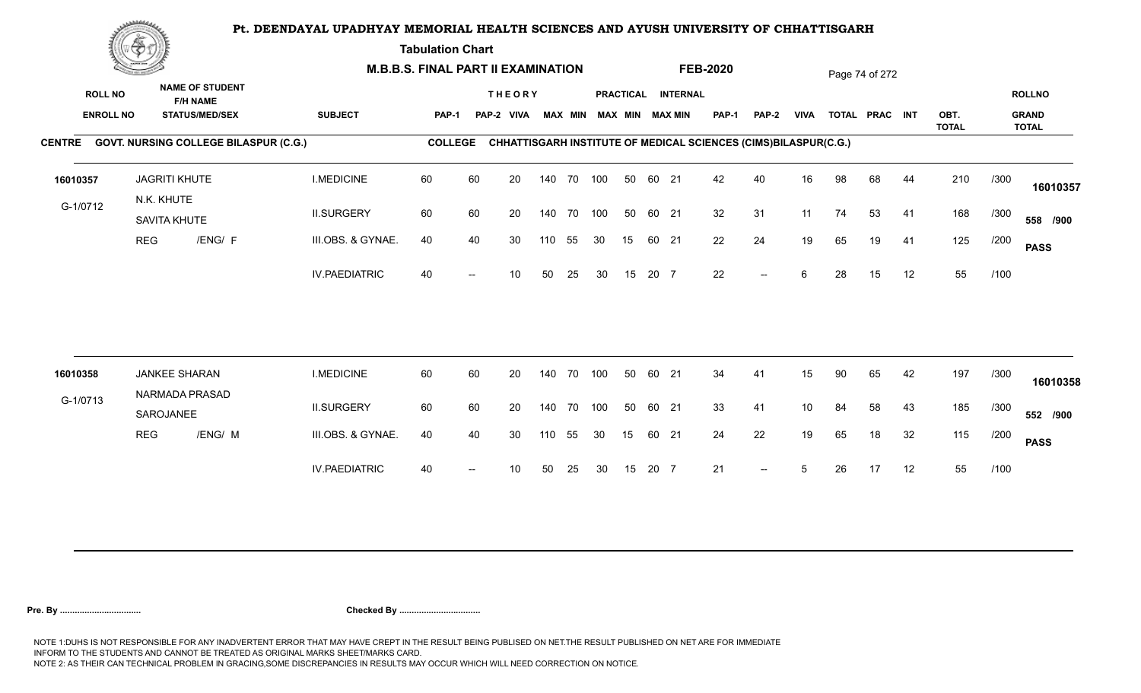**Tabulation Chart** 

|                                    | <b>Construction of the Construction</b> | <b>M.B.B.S. FINAL PART II EXAMINATION</b>                          |                      |                |    |                             |     |                |            |    |       | <b>FEB-2020</b>                              |              |                                                                 |                 | Page 74 of 272 |                |    |              |      |                               |
|------------------------------------|-----------------------------------------|--------------------------------------------------------------------|----------------------|----------------|----|-----------------------------|-----|----------------|------------|----|-------|----------------------------------------------|--------------|-----------------------------------------------------------------|-----------------|----------------|----------------|----|--------------|------|-------------------------------|
| <b>ROLL NO</b><br><b>ENROLL NO</b> |                                         | <b>NAME OF STUDENT</b><br><b>F/H NAME</b><br><b>STATUS/MED/SEX</b> | <b>SUBJECT</b>       | PAP-1          |    | <b>THEORY</b><br>PAP-2 VIVA |     | <b>MAX MIN</b> |            |    |       | PRACTICAL INTERNAL<br><b>MAX MIN MAX MIN</b> | <b>PAP-1</b> | PAP-2                                                           | <b>VIVA</b>     |                | TOTAL PRAC INT |    | OBT.         |      | <b>ROLLNO</b><br><b>GRAND</b> |
|                                    |                                         | CENTRE GOVT. NURSING COLLEGE BILASPUR (C.G.)                       |                      | <b>COLLEGE</b> |    |                             |     |                |            |    |       |                                              |              | CHHATTISGARH INSTITUTE OF MEDICAL SCIENCES (CIMS)BILASPUR(C.G.) |                 |                |                |    | <b>TOTAL</b> |      | <b>TOTAL</b>                  |
|                                    |                                         |                                                                    |                      |                |    |                             |     |                |            |    |       |                                              |              |                                                                 |                 |                |                |    |              |      |                               |
| 16010357                           |                                         | <b>JAGRITI KHUTE</b>                                               | <b>I.MEDICINE</b>    | 60             | 60 | 20                          |     |                | 140 70 100 | 50 | 60 21 |                                              | 42           | 40                                                              | 16              | 98             | 68             | 44 | 210          | /300 | 16010357                      |
| G-1/0712                           |                                         | N.K. KHUTE<br>SAVITA KHUTE                                         | <b>II.SURGERY</b>    | 60             | 60 | 20                          |     |                | 140 70 100 | 50 | 60 21 |                                              | 32           | 31                                                              | 11              | 74             | 53             | 41 | 168          | /300 | 558 /900                      |
|                                    | <b>REG</b>                              | /ENG/ F                                                            | III.OBS. & GYNAE.    | 40             | 40 | 30                          | 110 | 55             | 30         | 15 | 60 21 |                                              | 22           | 24                                                              | 19              | 65             | 19             | 41 | 125          | /200 | <b>PASS</b>                   |
|                                    |                                         |                                                                    | <b>IV.PAEDIATRIC</b> | 40             |    | 10                          | 50  | 25             | 30         | 15 | 20 7  |                                              | 22           | $-$                                                             | 6               | 28             | 15             | 12 | 55           | /100 |                               |
|                                    |                                         |                                                                    |                      |                |    |                             |     |                |            |    |       |                                              |              |                                                                 |                 |                |                |    |              |      |                               |
| 16010358                           |                                         | <b>JANKEE SHARAN</b>                                               | <b>I.MEDICINE</b>    | 60             | 60 | 20                          |     | 140 70         | 100        | 50 | 60 21 |                                              | 34           | 41                                                              | 15              | 90             | 65             | 42 | 197          | /300 | 16010358                      |
| G-1/0713                           |                                         | NARMADA PRASAD<br>SAROJANEE                                        | <b>II.SURGERY</b>    | 60             | 60 | 20                          |     | 140 70         | 100        | 50 | 60 21 |                                              | 33           | 41                                                              | 10 <sup>°</sup> | 84             | 58             | 43 | 185          | /300 | 552 /900                      |
|                                    | <b>REG</b>                              | /ENG/ M                                                            | III.OBS. & GYNAE.    | 40             | 40 | 30                          | 110 | 55             | 30         | 15 | 60 21 |                                              | 24           | 22                                                              | 19              | 65             | 18             | 32 | 115          | /200 | <b>PASS</b>                   |
|                                    |                                         |                                                                    | <b>IV.PAEDIATRIC</b> | 40             |    | 10                          | 50  | 25             | 30         | 15 | 20 7  |                                              | 21           | $\overline{\phantom{a}}$                                        | 5               | 26             | 17             | 12 | 55           | /100 |                               |
|                                    |                                         |                                                                    |                      |                |    |                             |     |                |            |    |       |                                              |              |                                                                 |                 |                |                |    |              |      |                               |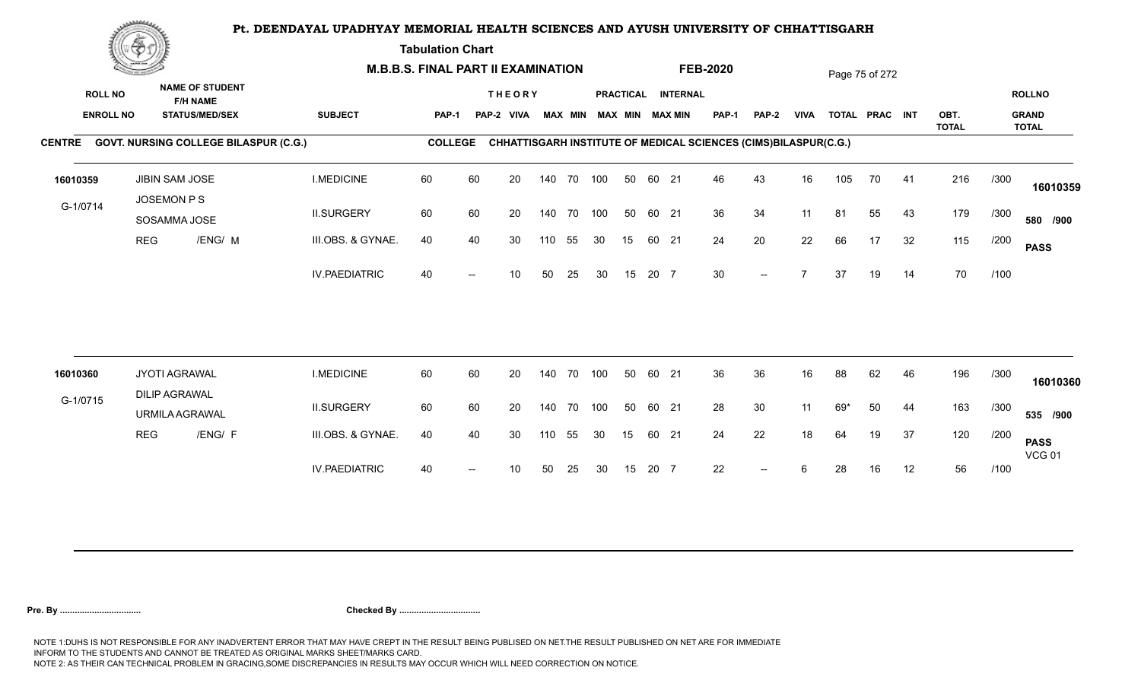**Tabulation Chart** 

|                | <b>Construction of the Construction</b><br><b>NAME OF STUDENT</b> |                                              | <b>M.B.B.S. FINAL PART II EXAMINATION</b> |                |    |                             |     |                |     |    |       |                                       | <b>FEB-2020</b>                                                 |                          |             |     | Page 75 of 272 |    |              |      |                               |
|----------------|-------------------------------------------------------------------|----------------------------------------------|-------------------------------------------|----------------|----|-----------------------------|-----|----------------|-----|----|-------|---------------------------------------|-----------------------------------------------------------------|--------------------------|-------------|-----|----------------|----|--------------|------|-------------------------------|
| <b>ROLL NO</b> | <b>F/H NAME</b><br><b>ENROLL NO</b><br><b>STATUS/MED/SEX</b>      |                                              | <b>SUBJECT</b>                            | <b>PAP-1</b>   |    | <b>THEORY</b><br>PAP-2 VIVA |     | <b>MAX MIN</b> |     |    |       | PRACTICAL INTERNAL<br>MAX MIN MAX MIN | PAP-1                                                           | <b>PAP-2</b>             | <b>VIVA</b> |     | TOTAL PRAC INT |    | OBT.         |      | <b>ROLLNO</b><br><b>GRAND</b> |
|                |                                                                   | CENTRE GOVT. NURSING COLLEGE BILASPUR (C.G.) |                                           | <b>COLLEGE</b> |    |                             |     |                |     |    |       |                                       | CHHATTISGARH INSTITUTE OF MEDICAL SCIENCES (CIMS)BILASPUR(C.G.) |                          |             |     |                |    | <b>TOTAL</b> |      | <b>TOTAL</b>                  |
| 16010359       |                                                                   | <b>JIBIN SAM JOSE</b><br>JOSEMON P S         | <b>I.MEDICINE</b>                         | 60             | 60 | 20                          |     | 140 70         | 100 | 50 | 60 21 |                                       | 46                                                              | 43                       | 16          | 105 | 70             | 41 | 216          | /300 | 16010359                      |
| G-1/0714       |                                                                   | SOSAMMA JOSE                                 | <b>II.SURGERY</b>                         | 60             | 60 | 20                          |     | 140 70 100     |     | 50 | 60 21 |                                       | 36                                                              | 34                       | 11          | 81  | 55             | 43 | 179          | /300 | 580 /900                      |
|                | <b>REG</b>                                                        | /ENG/ M                                      | III.OBS. & GYNAE.                         | 40             | 40 | 30                          | 110 | 55             | 30  | 15 | 60 21 |                                       | 24                                                              | 20                       | 22          | 66  | 17             | 32 | 115          | /200 | <b>PASS</b>                   |
|                |                                                                   |                                              | <b>IV.PAEDIATRIC</b>                      | 40             |    | 10                          | 50  | 25             | 30  | 15 | 20 7  |                                       | 30 <sup>°</sup>                                                 | $\overline{\phantom{a}}$ |             | 37  | 19             | 14 | 70           | /100 |                               |
|                |                                                                   |                                              |                                           |                |    |                             |     |                |     |    |       |                                       |                                                                 |                          |             |     |                |    |              |      |                               |
| 16010360       |                                                                   | JYOTI AGRAWAL<br><b>DILIP AGRAWAL</b>        | <b>I.MEDICINE</b>                         | 60             | 60 | 20                          |     | 140 70         | 100 | 50 | 60 21 |                                       | 36                                                              | 36                       | 16          | 88  | 62             | 46 | 196          | /300 | 16010360                      |
| G-1/0715       |                                                                   | <b>URMILA AGRAWAL</b>                        | <b>II.SURGERY</b>                         | 60             | 60 | 20                          |     | 140 70 100     |     | 50 | 60 21 |                                       | 28                                                              | 30                       | 11          | 69* | 50             | 44 | 163          | /300 | 535 /900                      |
|                | <b>REG</b>                                                        | /ENG/ F                                      | III.OBS. & GYNAE.                         | 40             | 40 | 30                          | 110 | 55             | 30  | 15 | 60 21 |                                       | 24                                                              | 22                       | 18          | 64  | 19             | 37 | 120          | /200 | <b>PASS</b><br><b>VCG 01</b>  |
|                |                                                                   |                                              | <b>IV.PAEDIATRIC</b>                      | 40             |    | 10                          | 50  | 25             | 30  | 15 | 20 7  |                                       | 22                                                              | $-$                      |             | 28  | 16             | 12 | 56           | /100 |                               |
|                |                                                                   |                                              |                                           |                |    |                             |     |                |     |    |       |                                       |                                                                 |                          |             |     |                |    |              |      |                               |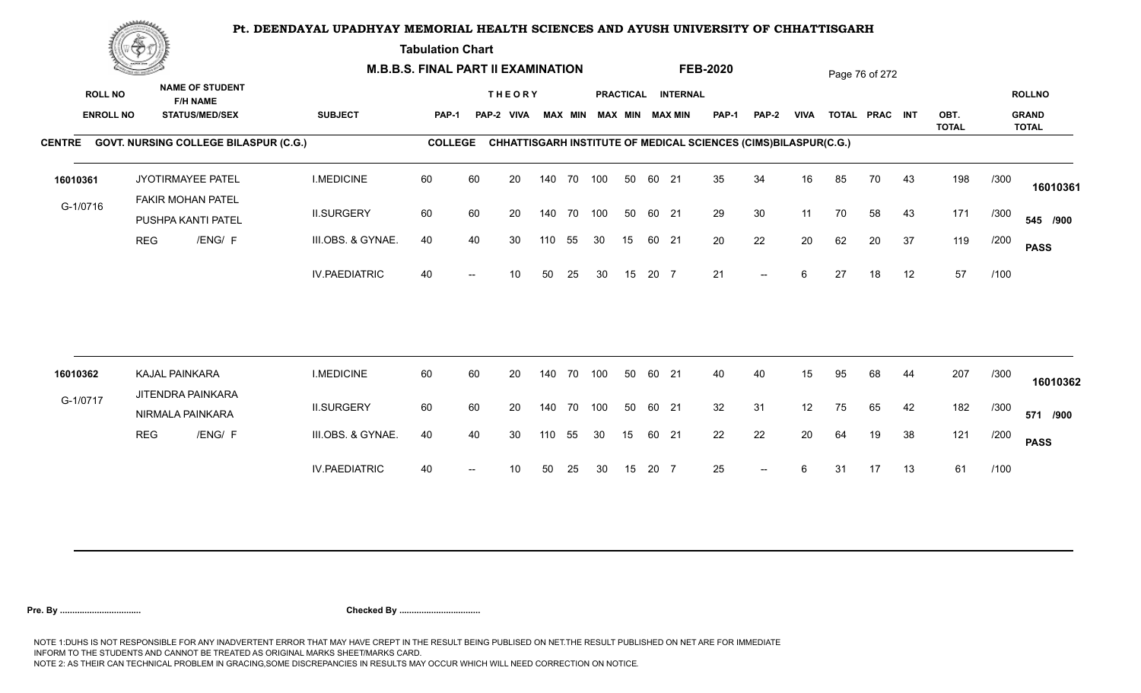**Tabulation Chart** 

|          | <b>Construction of the Construction</b><br><b>NAME OF STUDENT</b> |                                              | <b>M.B.B.S. FINAL PART II EXAMINATION</b> |                      |                |    |                             |     |                |            |    | <b>FEB-2020</b> |                                              |                                                                 |                          | Page 76 of 272 |    |                |    |              |      |                               |
|----------|-------------------------------------------------------------------|----------------------------------------------|-------------------------------------------|----------------------|----------------|----|-----------------------------|-----|----------------|------------|----|-----------------|----------------------------------------------|-----------------------------------------------------------------|--------------------------|----------------|----|----------------|----|--------------|------|-------------------------------|
|          | <b>ROLL NO</b><br><b>ENROLL NO</b>                                | <b>F/H NAME</b><br><b>STATUS/MED/SEX</b>     |                                           | <b>SUBJECT</b>       | PAP-1          |    | <b>THEORY</b><br>PAP-2 VIVA |     | <b>MAX MIN</b> |            |    |                 | PRACTICAL INTERNAL<br><b>MAX MIN MAX MIN</b> | <b>PAP-1</b>                                                    | PAP-2                    | <b>VIVA</b>    |    | TOTAL PRAC INT |    | OBT.         |      | <b>ROLLNO</b><br><b>GRAND</b> |
|          |                                                                   | CENTRE GOVT. NURSING COLLEGE BILASPUR (C.G.) |                                           |                      | <b>COLLEGE</b> |    |                             |     |                |            |    |                 |                                              | CHHATTISGARH INSTITUTE OF MEDICAL SCIENCES (CIMS)BILASPUR(C.G.) |                          |                |    |                |    | <b>TOTAL</b> |      | <b>TOTAL</b>                  |
| 16010361 |                                                                   | JYOTIRMAYEE PATEL<br>FAKIR MOHAN PATEL       |                                           | <b>I.MEDICINE</b>    | 60             | 60 | 20                          |     |                | 140 70 100 | 50 | 60 21           |                                              | 35                                                              | 34                       | 16             | 85 | 70             | 43 | 198          | /300 | 16010361                      |
| G-1/0716 |                                                                   | PUSHPA KANTI PATEL                           |                                           | <b>II.SURGERY</b>    | 60             | 60 | 20                          |     | 140 70         | 100        | 50 | 60 21           |                                              | 29                                                              | 30                       | 11             | 70 | 58             | 43 | 171          | /300 | 545 /900                      |
|          |                                                                   | <b>REG</b><br>/ENG/ F                        |                                           | III.OBS. & GYNAE.    | 40             | 40 | 30                          | 110 | 55             | 30         | 15 | 60 21           |                                              | 20                                                              | 22                       | 20             | 62 | 20             | 37 | 119          | /200 | <b>PASS</b>                   |
|          |                                                                   |                                              |                                           | <b>IV.PAEDIATRIC</b> | 40             |    | 10                          | 50  | 25             | 30         | 15 | 20 7            |                                              | 21                                                              | $\overline{\phantom{a}}$ | 6              | 27 | 18             | 12 | 57           | /100 |                               |
| 16010362 |                                                                   | KAJAL PAINKARA                               |                                           | <b>I.MEDICINE</b>    | 60             | 60 | 20                          |     | 140 70         | 100        | 50 | 60 21           |                                              | 40                                                              | 40                       | 15             | 95 | 68             | 44 | 207          | /300 |                               |
| G-1/0717 |                                                                   | JITENDRA PAINKARA                            |                                           |                      |                |    |                             |     |                |            |    |                 |                                              |                                                                 |                          |                |    |                |    |              |      | 16010362                      |
|          |                                                                   | NIRMALA PAINKARA                             |                                           | <b>II.SURGERY</b>    | 60             | 60 | 20                          |     | 140 70         | 100        | 50 | 60 21           |                                              | 32                                                              | 31                       | 12             | 75 | 65             | 42 | 182          | /300 | 571 /900                      |
|          |                                                                   | <b>REG</b><br>/ENG/ F                        |                                           | III.OBS. & GYNAE.    | 40             | 40 | 30                          | 110 | 55             | 30         | 15 | 60 21           |                                              | 22                                                              | 22                       | 20             | 64 | 19             | 38 | 121          | /200 | <b>PASS</b>                   |
|          |                                                                   |                                              |                                           | <b>IV.PAEDIATRIC</b> | 40             |    | 10                          | 50  | 25             | 30         | 15 | 20 7            |                                              | 25                                                              | $\overline{\phantom{a}}$ | 6              | 31 | 17             | 13 | 61           | /100 |                               |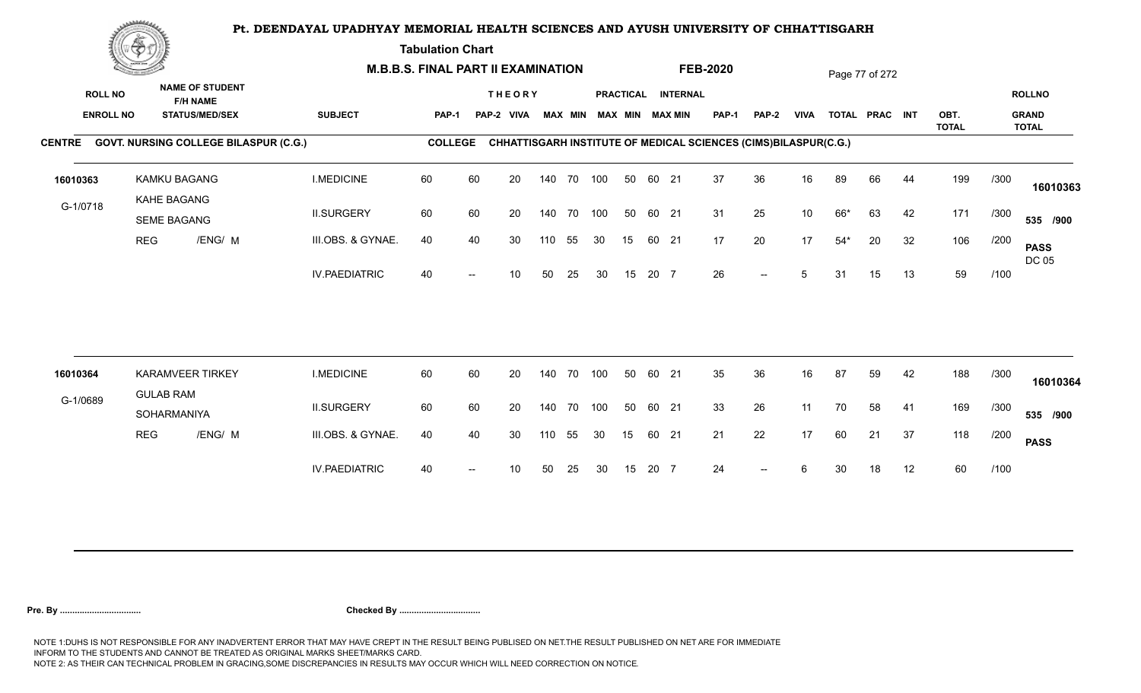**Tabulation Chart** 

|          | <b>Construction of the Construction</b><br><b>NAME OF STUDENT</b><br><b>ROLL NO</b><br><b>F/H NAME</b><br><b>ENROLL NO</b><br><b>STATUS/MED/SEX</b> |                                              | <b>M.B.B.S. FINAL PART II EXAMINATION</b> |                |    |                             |     |                |     |    |       |                                              | <b>FEB-2020</b> |                                                                 |                 |       | Page 77 of 272 |    |              |      |                               |
|----------|-----------------------------------------------------------------------------------------------------------------------------------------------------|----------------------------------------------|-------------------------------------------|----------------|----|-----------------------------|-----|----------------|-----|----|-------|----------------------------------------------|-----------------|-----------------------------------------------------------------|-----------------|-------|----------------|----|--------------|------|-------------------------------|
|          |                                                                                                                                                     |                                              | <b>SUBJECT</b>                            | PAP-1          |    | <b>THEORY</b><br>PAP-2 VIVA |     | <b>MAX MIN</b> |     |    |       | PRACTICAL INTERNAL<br><b>MAX MIN MAX MIN</b> | <b>PAP-1</b>    | PAP-2                                                           | <b>VIVA</b>     |       | TOTAL PRAC INT |    | OBT.         |      | <b>ROLLNO</b><br><b>GRAND</b> |
|          |                                                                                                                                                     | CENTRE GOVT. NURSING COLLEGE BILASPUR (C.G.) |                                           | <b>COLLEGE</b> |    |                             |     |                |     |    |       |                                              |                 | CHHATTISGARH INSTITUTE OF MEDICAL SCIENCES (CIMS)BILASPUR(C.G.) |                 |       |                |    | <b>TOTAL</b> |      | <b>TOTAL</b>                  |
|          |                                                                                                                                                     |                                              |                                           |                |    |                             |     |                |     |    |       |                                              |                 |                                                                 |                 |       |                |    |              |      |                               |
| 16010363 |                                                                                                                                                     | KAMKU BAGANG                                 | <b>I.MEDICINE</b>                         | 60             | 60 | 20                          |     | 140 70 100     |     | 50 | 60 21 |                                              | 37              | 36                                                              | 16              | 89    | 66             | 44 | 199          | /300 | 16010363                      |
| G-1/0718 |                                                                                                                                                     | KAHE BAGANG<br><b>SEME BAGANG</b>            | <b>II.SURGERY</b>                         | 60             | 60 | 20                          |     | 140 70         | 100 | 50 | 60 21 |                                              | 31              | 25                                                              | 10 <sup>°</sup> | 66*   | 63             | 42 | 171          | /300 | 535 /900                      |
|          | <b>REG</b>                                                                                                                                          | /ENG/ M                                      | III.OBS. & GYNAE.                         | 40             | 40 | 30                          | 110 | 55             | 30  | 15 | 60 21 |                                              | 17              | 20                                                              | 17              | $54*$ | 20             | 32 | 106          | /200 | <b>PASS</b><br>DC 05          |
|          |                                                                                                                                                     |                                              | <b>IV.PAEDIATRIC</b>                      | 40             |    | 10                          | 50  | 25             | 30  | 15 | 20 7  |                                              | 26              | $\overline{\phantom{a}}$                                        | 5               | 31    | 15             | 13 | 59           | /100 |                               |
|          |                                                                                                                                                     |                                              |                                           |                |    |                             |     |                |     |    |       |                                              |                 |                                                                 |                 |       |                |    |              |      |                               |
| 16010364 |                                                                                                                                                     | <b>KARAMVEER TIRKEY</b><br><b>GULAB RAM</b>  | <b>I.MEDICINE</b>                         | 60             | 60 | 20                          |     | 140 70         | 100 | 50 | 60 21 |                                              | 35              | 36                                                              | 16              | 87    | 59             | 42 | 188          | /300 | 16010364                      |
| G-1/0689 |                                                                                                                                                     | SOHARMANIYA                                  | <b>II.SURGERY</b>                         | 60             | 60 | 20                          |     | 140 70         | 100 | 50 | 60 21 |                                              | 33              | 26                                                              | 11              | 70    | 58             | 41 | 169          | /300 | 535 /900                      |
|          | <b>REG</b>                                                                                                                                          | /ENG/ M                                      | III.OBS. & GYNAE.                         | 40             | 40 | 30                          | 110 | 55             | 30  | 15 | 60 21 |                                              | 21              | 22                                                              | 17              | 60    | 21             | 37 | 118          | /200 | <b>PASS</b>                   |
|          |                                                                                                                                                     |                                              | <b>IV.PAEDIATRIC</b>                      | 40             |    | 10                          | 50  | 25             | 30  | 15 | 20 7  |                                              | 24              | $\overline{a}$                                                  | 6               | 30    | 18             | 12 | 60           | /100 |                               |
|          |                                                                                                                                                     |                                              |                                           |                |    |                             |     |                |     |    |       |                                              |                 |                                                                 |                 |       |                |    |              |      |                               |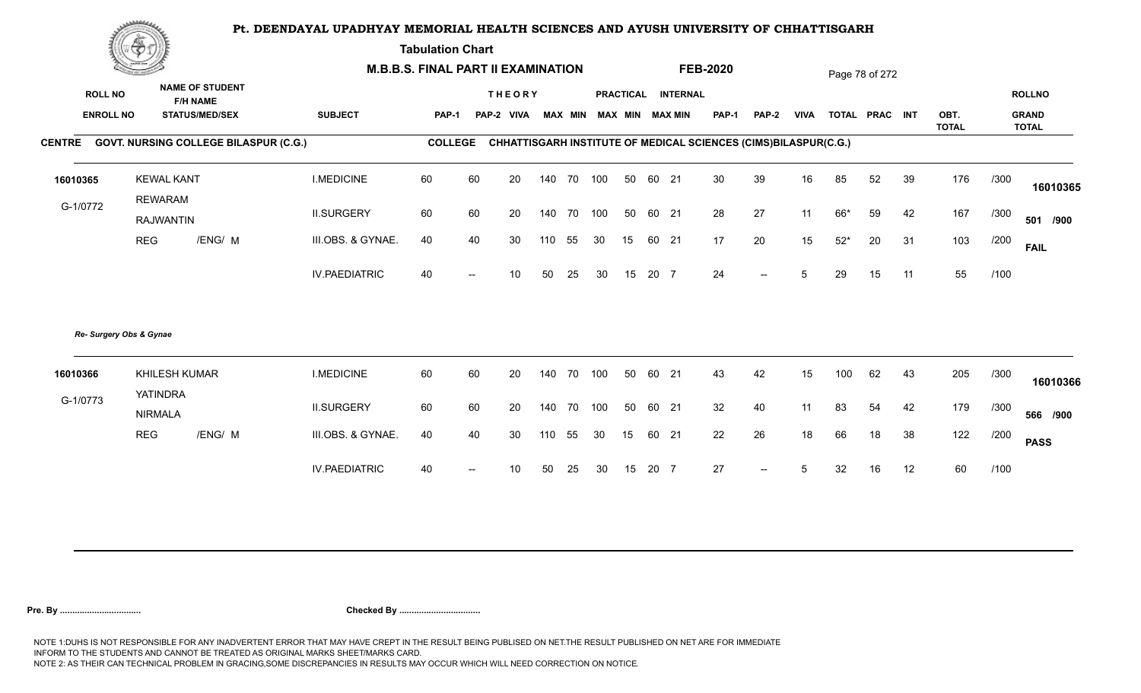**Tabulation Chart** 

|                  | <b>Consumer de region de la</b><br><b>NAME OF STUDENT</b> |                                              | <b>M.B.B.S. FINAL PART II EXAMINATION</b> |                |    |                 |     |        |                         |    |       |                    | <b>FEB-2020</b> |                                                                 |             |       | Page 78 of 272 |    |                      |      |                              |
|------------------|-----------------------------------------------------------|----------------------------------------------|-------------------------------------------|----------------|----|-----------------|-----|--------|-------------------------|----|-------|--------------------|-----------------|-----------------------------------------------------------------|-------------|-------|----------------|----|----------------------|------|------------------------------|
| <b>ROLL NO</b>   |                                                           | <b>F/H NAME</b>                              |                                           |                |    | <b>THEORY</b>   |     |        |                         |    |       | PRACTICAL INTERNAL |                 |                                                                 |             |       |                |    |                      |      | <b>ROLLNO</b>                |
| <b>ENROLL NO</b> |                                                           | <b>STATUS/MED/SEX</b>                        | <b>SUBJECT</b>                            | <b>PAP-1</b>   |    | PAP-2 VIVA      |     |        | MAX MIN MAX MIN MAX MIN |    |       |                    | <b>PAP-1</b>    | <b>PAP-2</b>                                                    | <b>VIVA</b> |       | TOTAL PRAC INT |    | OBT.<br><b>TOTAL</b> |      | <b>GRAND</b><br><b>TOTAL</b> |
| <b>CENTRE</b>    |                                                           | <b>GOVT. NURSING COLLEGE BILASPUR (C.G.)</b> |                                           | <b>COLLEGE</b> |    |                 |     |        |                         |    |       |                    |                 | CHHATTISGARH INSTITUTE OF MEDICAL SCIENCES (CIMS)BILASPUR(C.G.) |             |       |                |    |                      |      |                              |
| 16010365         | <b>KEWAL KANT</b>                                         |                                              | <b>I.MEDICINE</b>                         | 60             | 60 | 20              | 140 | 70 100 |                         | 50 | 60 21 |                    | 30              | 39                                                              | 16          | 85    | 52             | 39 | 176                  | /300 | 16010365                     |
| G-1/0772         | <b>REWARAM</b><br><b>RAJWANTIN</b>                        |                                              | <b>II.SURGERY</b>                         | 60             | 60 | 20              | 140 | 70 100 |                         | 50 | 60 21 |                    | 28              | 27                                                              | 11          | 66*   | 59             | 42 | 167                  | /300 | 501 /900                     |
|                  | <b>REG</b>                                                | /ENG/ M                                      | III.OBS. & GYNAE.                         | 40             | 40 | 30              | 110 | 55     | 30                      | 15 | 60 21 |                    | 17              | 20                                                              | 15          | $52*$ | 20             | 31 | 103                  | /200 | <b>FAIL</b>                  |
|                  |                                                           |                                              | <b>IV.PAEDIATRIC</b>                      | 40             |    | 10 <sup>1</sup> | 50  | 25     | 30                      | 15 | 20 7  |                    | 24              | $\overline{\phantom{a}}$                                        | 5           | 29    | 15             | 11 | 55                   | /100 |                              |
|                  | Re- Surgery Obs & Gynae                                   |                                              |                                           |                |    |                 |     |        |                         |    |       |                    |                 |                                                                 |             |       |                |    |                      |      |                              |
| 16010366         | <b>YATINDRA</b>                                           | KHILESH KUMAR                                | <b>I.MEDICINE</b>                         | 60             | 60 | 20              | 140 | 70 100 |                         | 50 | 60 21 |                    | 43              | 42                                                              | 15          | 100   | 62             | 43 | 205                  | /300 | 16010366                     |
| G-1/0773         | <b>NIRMALA</b>                                            |                                              | <b>II.SURGERY</b>                         | 60             | 60 | 20              | 140 | 70 100 |                         | 50 | 60 21 |                    | 32              | 40                                                              | 11          | 83    | 54             | 42 | 179                  | /300 | 566 /900                     |
|                  | <b>REG</b>                                                | /ENG/ M                                      | III.OBS. & GYNAE.                         | 40             | 40 | 30              | 110 | 55     | 30                      | 15 | 60    | 21                 | 22              | 26                                                              | 18          | 66    | 18             | 38 | 122                  | /200 | <b>PASS</b>                  |
|                  |                                                           |                                              | <b>IV.PAEDIATRIC</b>                      | 40             |    | 10              | 50  | 25     | 30                      | 15 | 20 7  |                    | 27              | $--$                                                            | 5           | 32    | 16             | 12 | 60                   | /100 |                              |
|                  |                                                           |                                              |                                           |                |    |                 |     |        |                         |    |       |                    |                 |                                                                 |             |       |                |    |                      |      |                              |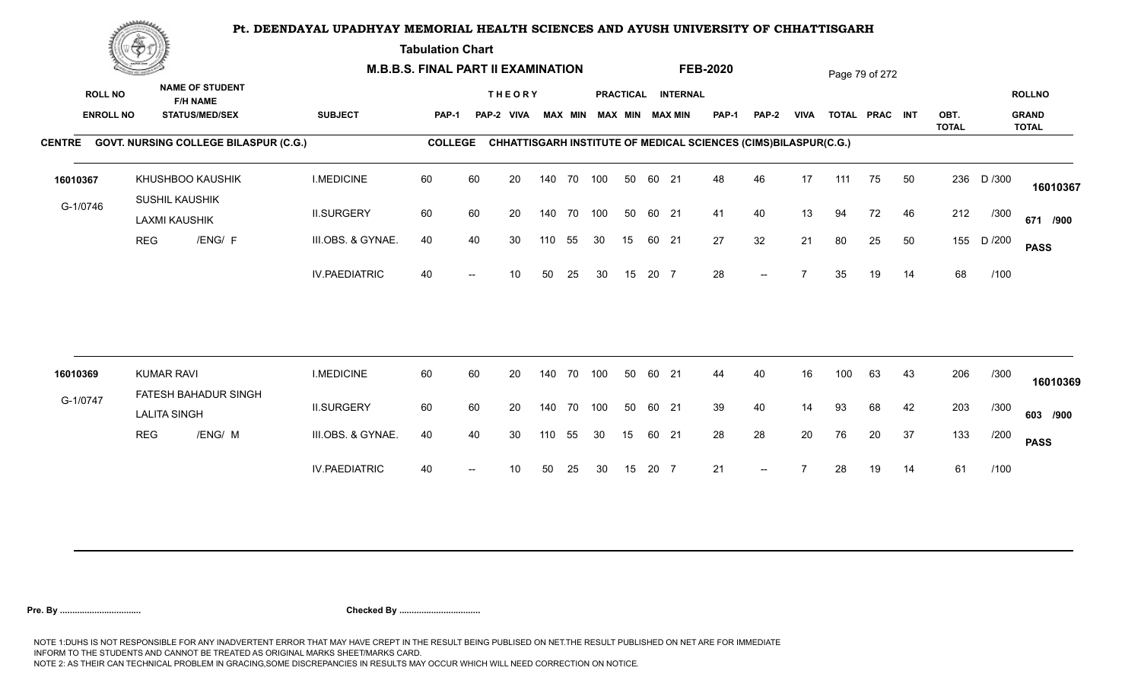**Tabulation Chart** 

|                  | <u>Contact and the Contact of Delivery and the Contact of Delivery and the Contact of Delivery and the Contact of Delivery and the Contact of Delivery and the Contact of Delivery and the Contact of Delivery and The Contact o</u><br><b>NAME OF STUDENT</b> |                                              | <b>M.B.B.S. FINAL PART II EXAMINATION</b> |                |    |               |     |                |     |                  |       |                        | <b>FEB-2020</b> |                                                                 |             |     | Page 79 of 272 |    |                      |        |                              |
|------------------|----------------------------------------------------------------------------------------------------------------------------------------------------------------------------------------------------------------------------------------------------------------|----------------------------------------------|-------------------------------------------|----------------|----|---------------|-----|----------------|-----|------------------|-------|------------------------|-----------------|-----------------------------------------------------------------|-------------|-----|----------------|----|----------------------|--------|------------------------------|
| <b>ROLL NO</b>   |                                                                                                                                                                                                                                                                | <b>F/H NAME</b>                              |                                           |                |    | <b>THEORY</b> |     |                |     | <b>PRACTICAL</b> |       | <b>INTERNAL</b>        |                 |                                                                 |             |     |                |    |                      |        | <b>ROLLNO</b>                |
| <b>ENROLL NO</b> |                                                                                                                                                                                                                                                                | <b>STATUS/MED/SEX</b>                        | <b>SUBJECT</b>                            | PAP-1          |    | PAP-2 VIVA    |     | <b>MAX MIN</b> |     |                  |       | <b>MAX MIN MAX MIN</b> | <b>PAP-1</b>    | PAP-2                                                           | <b>VIVA</b> |     | TOTAL PRAC INT |    | OBT.<br><b>TOTAL</b> |        | <b>GRAND</b><br><b>TOTAL</b> |
|                  |                                                                                                                                                                                                                                                                | CENTRE GOVT. NURSING COLLEGE BILASPUR (C.G.) |                                           | <b>COLLEGE</b> |    |               |     |                |     |                  |       |                        |                 | CHHATTISGARH INSTITUTE OF MEDICAL SCIENCES (CIMS)BILASPUR(C.G.) |             |     |                |    |                      |        |                              |
| 16010367         |                                                                                                                                                                                                                                                                | KHUSHBOO KAUSHIK                             | <b>I.MEDICINE</b>                         | 60             | 60 | 20            |     | 140 70 100     |     | 50               | 60 21 |                        | 48              | 46                                                              | 17          | 111 | 75             | 50 | 236                  | D /300 | 16010367                     |
| G-1/0746         |                                                                                                                                                                                                                                                                | SUSHIL KAUSHIK<br><b>LAXMI KAUSHIK</b>       | <b>II.SURGERY</b>                         | 60             | 60 | 20            |     | 140 70 100     |     | 50               | 60 21 |                        | 41              | 40                                                              | 13          | 94  | 72             | 46 | 212                  | /300   | 671 /900                     |
|                  | <b>REG</b>                                                                                                                                                                                                                                                     | /ENG/ F                                      | III.OBS. & GYNAE.                         | 40             | 40 | 30            | 110 | 55             | 30  | 15               | 60 21 |                        | 27              | 32                                                              | 21          | 80  | 25             | 50 | 155                  | D /200 | <b>PASS</b>                  |
|                  |                                                                                                                                                                                                                                                                |                                              | <b>IV.PAEDIATRIC</b>                      | 40             |    | 10            | 50  | 25             | 30  | 15               | 20 7  |                        | 28              | $\overline{\phantom{a}}$                                        |             | 35  | 19             | 14 | 68                   | /100   |                              |
|                  |                                                                                                                                                                                                                                                                |                                              |                                           |                |    |               |     |                |     |                  |       |                        |                 |                                                                 |             |     |                |    |                      |        |                              |
| 16010369         |                                                                                                                                                                                                                                                                | <b>KUMAR RAVI</b>                            | <b>I.MEDICINE</b>                         | 60             | 60 | 20            |     | 140 70         | 100 | 50               | 60 21 |                        | 44              | 40                                                              | 16          | 100 | 63             | 43 | 206                  | /300   | 16010369                     |
| G-1/0747         |                                                                                                                                                                                                                                                                | FATESH BAHADUR SINGH<br><b>LALITA SINGH</b>  | <b>II.SURGERY</b>                         | 60             | 60 | 20            |     | 140 70 100     |     | 50               | 60 21 |                        | 39              | 40                                                              | 14          | 93  | 68             | 42 | 203                  | /300   | 603 /900                     |
|                  | <b>REG</b>                                                                                                                                                                                                                                                     | /ENG/ M                                      | III.OBS. & GYNAE.                         | 40             | 40 | 30            | 110 | 55             | 30  | 15               | 60 21 |                        | 28              | 28                                                              | 20          | 76  | 20             | 37 | 133                  | /200   | <b>PASS</b>                  |
|                  |                                                                                                                                                                                                                                                                |                                              | <b>IV.PAEDIATRIC</b>                      | 40             |    | 10            | 50  | 25             | 30  | 15               | 20 7  |                        | 21              | $--$                                                            |             | 28  | 19             | 14 | 61                   | /100   |                              |
|                  |                                                                                                                                                                                                                                                                |                                              |                                           |                |    |               |     |                |     |                  |       |                        |                 |                                                                 |             |     |                |    |                      |        |                              |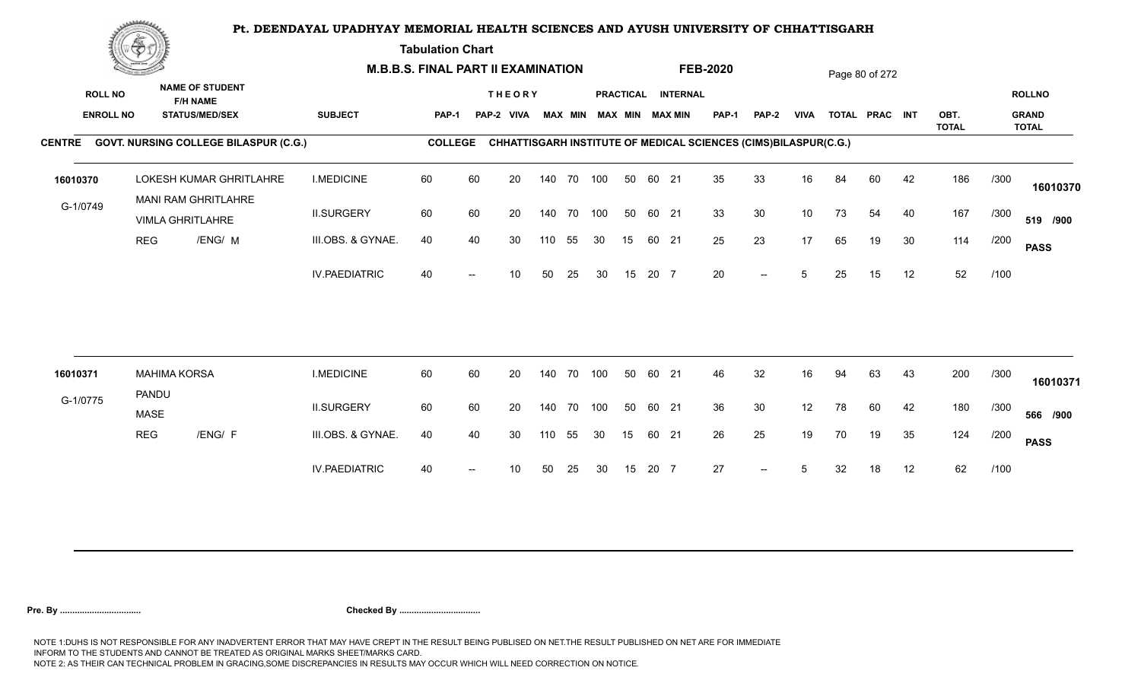**Tabulation Chart** 

| <b>NAME OF STUDENT</b><br><b>ROLL NO</b><br><b>THEORY</b><br>PRACTICAL INTERNAL<br><b>ROLLNO</b><br><b>F/H NAME</b><br><b>ENROLL NO</b><br><b>STATUS/MED/SEX</b><br><b>SUBJECT</b><br><b>MAX MIN MAX MIN</b><br><b>VIVA</b><br>OBT.<br><b>GRAND</b><br><b>MAX MIN</b><br><b>PAP-1</b><br>PAP-2<br>TOTAL PRAC INT<br>PAP-1<br>PAP-2 VIVA<br><b>TOTAL</b><br><b>TOTAL</b><br>CENTRE GOVT. NURSING COLLEGE BILASPUR (C.G.)<br>CHHATTISGARH INSTITUTE OF MEDICAL SCIENCES (CIMS)BILASPUR(C.G.)<br><b>COLLEGE</b><br>60<br>60<br>35<br>33<br>42<br>186<br>LOKESH KUMAR GHRITLAHRE<br><b>I.MEDICINE</b><br>20<br>140 70 100<br>50<br>60 21<br>16<br>84<br>60<br>/300<br>16010370<br><b>MANI RAM GHRITLAHRE</b><br>G-1/0749<br>60<br>33<br>30<br>10<br>167<br><b>II.SURGERY</b><br>60<br>20<br>140 70<br>100<br>50<br>60 21<br>73<br>54<br>40<br>/300<br><b>VIMLA GHRITLAHRE</b><br>25<br>23<br>30<br>114<br><b>REG</b><br>/ENG/ M<br>III.OBS. & GYNAE.<br>40<br>17<br>19<br>40<br>30<br>55<br>15<br>60 21<br>65<br>/200<br>110<br>30<br><b>PASS</b><br>52<br><b>IV.PAEDIATRIC</b><br>20<br>12<br>40<br>15<br>20 7<br>5<br>15<br>/100<br>50<br>25<br>30<br>25<br>10<br>$-$<br>200<br>60<br>60<br>46<br>32<br>/300<br><b>MAHIMA KORSA</b><br><b>I.MEDICINE</b><br>20<br>100<br>50<br>60 21<br>63<br>43<br>16010371<br>140 70<br>16<br>94<br>PANDU<br>G-1/0775<br>36<br><b>II.SURGERY</b><br>60<br>60<br>30<br>180<br>20<br>140 70<br>100<br>50<br>60 21<br>12<br>78<br>60<br>42<br>/300<br><b>MASE</b><br>124<br>III.OBS. & GYNAE.<br>26<br>25<br>19<br>35<br><b>REG</b><br>/ENG/ F<br>40<br>40<br>30<br>55<br>30<br>15<br>60 21<br>70<br>19<br>/200<br>110 | <b>Construction of the Construction</b> |  | <b>M.B.B.S. FINAL PART II EXAMINATION</b> |  |  |  |  | <b>FEB-2020</b> |  | Page 80 of 272 |  |             |
|-----------------------------------------------------------------------------------------------------------------------------------------------------------------------------------------------------------------------------------------------------------------------------------------------------------------------------------------------------------------------------------------------------------------------------------------------------------------------------------------------------------------------------------------------------------------------------------------------------------------------------------------------------------------------------------------------------------------------------------------------------------------------------------------------------------------------------------------------------------------------------------------------------------------------------------------------------------------------------------------------------------------------------------------------------------------------------------------------------------------------------------------------------------------------------------------------------------------------------------------------------------------------------------------------------------------------------------------------------------------------------------------------------------------------------------------------------------------------------------------------------------------------------------------------------------------------------------------------------------------------------------------------------|-----------------------------------------|--|-------------------------------------------|--|--|--|--|-----------------|--|----------------|--|-------------|
|                                                                                                                                                                                                                                                                                                                                                                                                                                                                                                                                                                                                                                                                                                                                                                                                                                                                                                                                                                                                                                                                                                                                                                                                                                                                                                                                                                                                                                                                                                                                                                                                                                                     |                                         |  |                                           |  |  |  |  |                 |  |                |  |             |
|                                                                                                                                                                                                                                                                                                                                                                                                                                                                                                                                                                                                                                                                                                                                                                                                                                                                                                                                                                                                                                                                                                                                                                                                                                                                                                                                                                                                                                                                                                                                                                                                                                                     |                                         |  |                                           |  |  |  |  |                 |  |                |  |             |
|                                                                                                                                                                                                                                                                                                                                                                                                                                                                                                                                                                                                                                                                                                                                                                                                                                                                                                                                                                                                                                                                                                                                                                                                                                                                                                                                                                                                                                                                                                                                                                                                                                                     |                                         |  |                                           |  |  |  |  |                 |  |                |  | 16010370    |
|                                                                                                                                                                                                                                                                                                                                                                                                                                                                                                                                                                                                                                                                                                                                                                                                                                                                                                                                                                                                                                                                                                                                                                                                                                                                                                                                                                                                                                                                                                                                                                                                                                                     |                                         |  |                                           |  |  |  |  |                 |  |                |  | 519 /900    |
|                                                                                                                                                                                                                                                                                                                                                                                                                                                                                                                                                                                                                                                                                                                                                                                                                                                                                                                                                                                                                                                                                                                                                                                                                                                                                                                                                                                                                                                                                                                                                                                                                                                     |                                         |  |                                           |  |  |  |  |                 |  |                |  |             |
|                                                                                                                                                                                                                                                                                                                                                                                                                                                                                                                                                                                                                                                                                                                                                                                                                                                                                                                                                                                                                                                                                                                                                                                                                                                                                                                                                                                                                                                                                                                                                                                                                                                     |                                         |  |                                           |  |  |  |  |                 |  |                |  |             |
|                                                                                                                                                                                                                                                                                                                                                                                                                                                                                                                                                                                                                                                                                                                                                                                                                                                                                                                                                                                                                                                                                                                                                                                                                                                                                                                                                                                                                                                                                                                                                                                                                                                     |                                         |  |                                           |  |  |  |  |                 |  |                |  |             |
|                                                                                                                                                                                                                                                                                                                                                                                                                                                                                                                                                                                                                                                                                                                                                                                                                                                                                                                                                                                                                                                                                                                                                                                                                                                                                                                                                                                                                                                                                                                                                                                                                                                     |                                         |  |                                           |  |  |  |  |                 |  |                |  | 16010371    |
|                                                                                                                                                                                                                                                                                                                                                                                                                                                                                                                                                                                                                                                                                                                                                                                                                                                                                                                                                                                                                                                                                                                                                                                                                                                                                                                                                                                                                                                                                                                                                                                                                                                     |                                         |  |                                           |  |  |  |  |                 |  |                |  | 566 /900    |
|                                                                                                                                                                                                                                                                                                                                                                                                                                                                                                                                                                                                                                                                                                                                                                                                                                                                                                                                                                                                                                                                                                                                                                                                                                                                                                                                                                                                                                                                                                                                                                                                                                                     |                                         |  |                                           |  |  |  |  |                 |  |                |  | <b>PASS</b> |
| 62<br>27<br><b>IV.PAEDIATRIC</b><br>20 7<br>12<br>/100<br>40<br>15<br>32<br>18<br>10<br>50<br>25<br>30<br>5<br>$--$                                                                                                                                                                                                                                                                                                                                                                                                                                                                                                                                                                                                                                                                                                                                                                                                                                                                                                                                                                                                                                                                                                                                                                                                                                                                                                                                                                                                                                                                                                                                 |                                         |  |                                           |  |  |  |  |                 |  |                |  |             |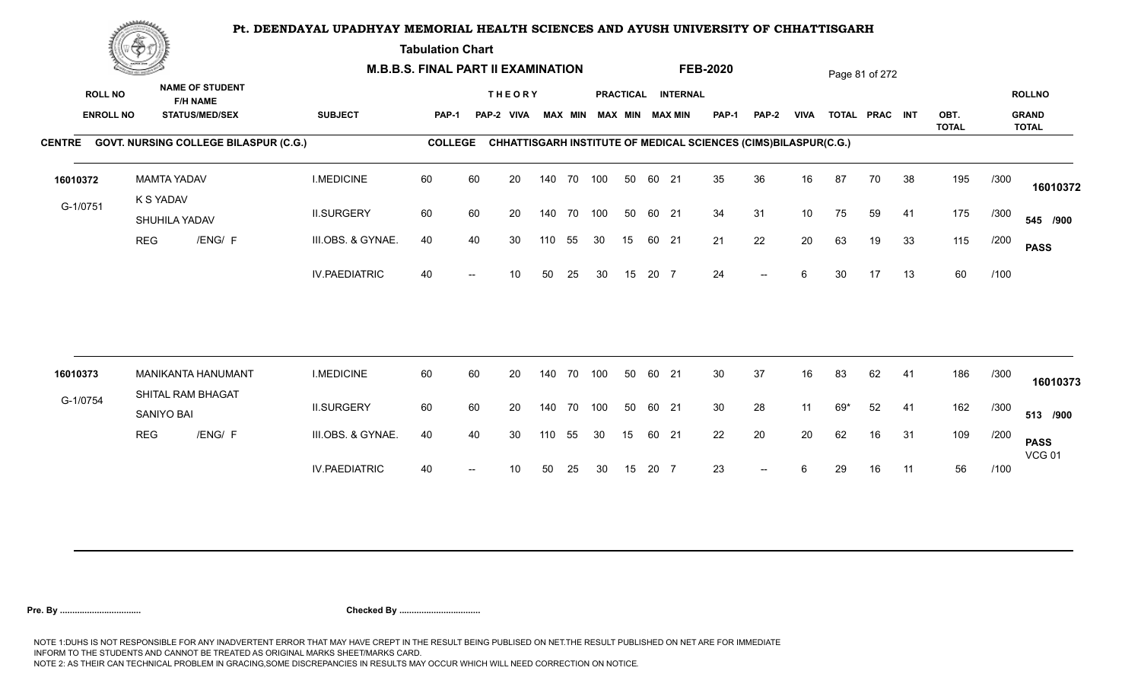**Tabulation Chart** 

|          | <b>Construction of the Construction</b><br><b>NAME OF STUDENT</b><br><b>ROLL NO</b><br><b>F/H NAME</b><br><b>ENROLL NO</b><br><b>STATUS/MED/SEX</b> |                                              | <b>M.B.B.S. FINAL PART II EXAMINATION</b> |                |    |                             |     |                |     |    |       |                                              | <b>FEB-2020</b>                                                 |                          |             |     | Page 81 of 272 |    |              |      |                               |
|----------|-----------------------------------------------------------------------------------------------------------------------------------------------------|----------------------------------------------|-------------------------------------------|----------------|----|-----------------------------|-----|----------------|-----|----|-------|----------------------------------------------|-----------------------------------------------------------------|--------------------------|-------------|-----|----------------|----|--------------|------|-------------------------------|
|          |                                                                                                                                                     |                                              | <b>SUBJECT</b>                            | PAP-1          |    | <b>THEORY</b><br>PAP-2 VIVA |     | <b>MAX MIN</b> |     |    |       | PRACTICAL INTERNAL<br><b>MAX MIN MAX MIN</b> | <b>PAP-1</b>                                                    | PAP-2                    | <b>VIVA</b> |     | TOTAL PRAC INT |    | OBT.         |      | <b>ROLLNO</b><br><b>GRAND</b> |
|          |                                                                                                                                                     | CENTRE GOVT. NURSING COLLEGE BILASPUR (C.G.) |                                           | <b>COLLEGE</b> |    |                             |     |                |     |    |       |                                              | CHHATTISGARH INSTITUTE OF MEDICAL SCIENCES (CIMS)BILASPUR(C.G.) |                          |             |     |                |    | <b>TOTAL</b> |      | <b>TOTAL</b>                  |
| 16010372 |                                                                                                                                                     | <b>MAMTA YADAV</b>                           | <b>I.MEDICINE</b>                         | 60             | 60 | 20                          |     | 140 70 100     |     | 50 | 60 21 |                                              | 35                                                              | 36                       | 16          | 87  | 70             | 38 | 195          | /300 |                               |
|          |                                                                                                                                                     | K S YADAV                                    |                                           |                |    |                             |     |                |     |    |       |                                              |                                                                 |                          |             |     |                |    |              |      | 16010372                      |
| G-1/0751 |                                                                                                                                                     | SHUHILA YADAV                                | <b>II.SURGERY</b>                         | 60             | 60 | 20                          |     | 140 70         | 100 | 50 | 60 21 |                                              | 34                                                              | 31                       | 10          | 75  | 59             | 41 | 175          | /300 | 545 /900                      |
|          | <b>REG</b>                                                                                                                                          | /ENG/ F                                      | III.OBS. & GYNAE.                         | 40             | 40 | 30                          | 110 | 55             | 30  | 15 | 60 21 |                                              | 21                                                              | 22                       | 20          | 63  | 19             | 33 | 115          | /200 | <b>PASS</b>                   |
|          |                                                                                                                                                     |                                              | <b>IV.PAEDIATRIC</b>                      | 40             |    | 10                          | 50  | 25             | 30  | 15 | 20 7  |                                              | 24                                                              | $\overline{\phantom{a}}$ | 6           | 30  | 17             | 13 | 60           | /100 |                               |
| 16010373 |                                                                                                                                                     | MANIKANTA HANUMANT                           | <b>I.MEDICINE</b>                         | 60             | 60 | 20                          |     | 140 70         | 100 | 50 | 60 21 |                                              | 30                                                              | 37                       | 16          | 83  | 62             | 41 | 186          | /300 |                               |
|          |                                                                                                                                                     | SHITAL RAM BHAGAT                            |                                           |                |    |                             |     |                |     |    |       |                                              |                                                                 |                          |             |     |                |    |              |      | 16010373                      |
| G-1/0754 |                                                                                                                                                     | SANIYO BAI                                   | <b>II.SURGERY</b>                         | 60             | 60 | 20                          |     | 140 70         | 100 | 50 | 60 21 |                                              | 30                                                              | 28                       | 11          | 69* | 52             | 41 | 162          | /300 | 513 /900                      |
|          | <b>REG</b>                                                                                                                                          | /ENG/ F                                      | III.OBS. & GYNAE.                         | 40             | 40 | 30                          | 110 | 55             | 30  | 15 | 60 21 |                                              | 22                                                              | 20                       | 20          | 62  | 16             | 31 | 109          | /200 | <b>PASS</b><br><b>VCG 01</b>  |
|          |                                                                                                                                                     |                                              | <b>IV.PAEDIATRIC</b>                      | 40             |    | 10                          | 50  | 25             | 30  | 15 | 20 7  |                                              | 23                                                              | $--$                     | 6           | 29  | 16             | 11 | 56           | /100 |                               |
|          |                                                                                                                                                     |                                              |                                           |                |    |                             |     |                |     |    |       |                                              |                                                                 |                          |             |     |                |    |              |      |                               |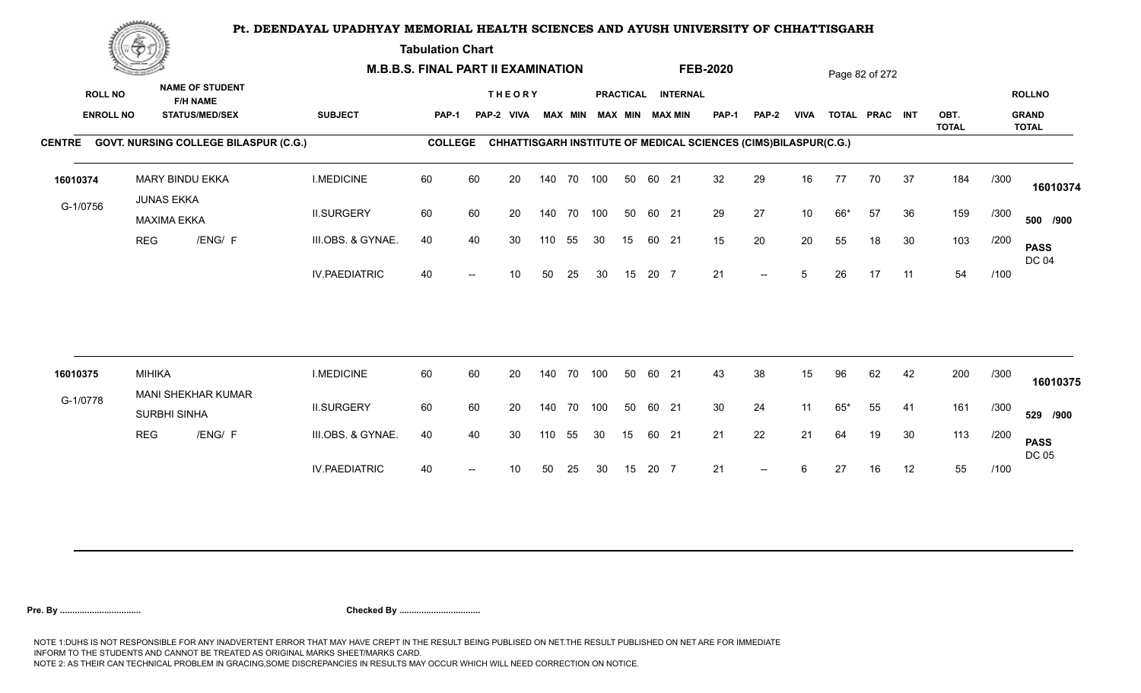**Tabulation Chart** 

|                                    | <b>Construction of the Construction</b> |                                                                    |                      | <b>M.B.B.S. FINAL PART II EXAMINATION</b> |    |                             |     |                |            |                 |       |                                       | <b>FEB-2020</b>                                                 |                          |             |       | Page 82 of 272 |    |              |      |                               |
|------------------------------------|-----------------------------------------|--------------------------------------------------------------------|----------------------|-------------------------------------------|----|-----------------------------|-----|----------------|------------|-----------------|-------|---------------------------------------|-----------------------------------------------------------------|--------------------------|-------------|-------|----------------|----|--------------|------|-------------------------------|
| <b>ROLL NO</b><br><b>ENROLL NO</b> |                                         | <b>NAME OF STUDENT</b><br><b>F/H NAME</b><br><b>STATUS/MED/SEX</b> | <b>SUBJECT</b>       | <b>PAP-1</b>                              |    | <b>THEORY</b><br>PAP-2 VIVA |     | <b>MAX MIN</b> |            |                 |       | PRACTICAL INTERNAL<br>MAX MIN MAX MIN | PAP-1                                                           | PAP-2                    | <b>VIVA</b> |       | TOTAL PRAC INT |    | OBT.         |      | <b>ROLLNO</b><br><b>GRAND</b> |
|                                    |                                         | CENTRE GOVT. NURSING COLLEGE BILASPUR (C.G.)                       |                      | <b>COLLEGE</b>                            |    |                             |     |                |            |                 |       |                                       | CHHATTISGARH INSTITUTE OF MEDICAL SCIENCES (CIMS)BILASPUR(C.G.) |                          |             |       |                |    | <b>TOTAL</b> |      | <b>TOTAL</b>                  |
| 16010374                           |                                         | <b>MARY BINDU EKKA</b><br><b>JUNAS EKKA</b>                        | <b>I.MEDICINE</b>    | 60                                        | 60 | 20                          |     |                | 140 70 100 | 50              | 60 21 |                                       | 32                                                              | 29                       | 16          | 77    | 70             | 37 | 184          | /300 | 16010374                      |
| G-1/0756                           |                                         | <b>MAXIMA EKKA</b>                                                 | <b>II.SURGERY</b>    | 60                                        | 60 | 20                          |     | 140 70         | 100        | 50              | 60 21 |                                       | 29                                                              | 27                       | 10          | 66*   | 57             | 36 | 159          | /300 | 500 /900                      |
|                                    | <b>REG</b>                              | /ENG/ F                                                            | III.OBS. & GYNAE.    | 40                                        | 40 | 30                          | 110 | 55             | 30         | 15              |       | 60 21                                 | 15                                                              | 20                       | 20          | 55    | 18             | 30 | 103          | /200 | <b>PASS</b><br><b>DC 04</b>   |
|                                    |                                         |                                                                    | <b>IV.PAEDIATRIC</b> | 40                                        |    | 10                          | 50  | 25             | 30         | 15              | 20 7  |                                       | 21                                                              | $\overline{\phantom{a}}$ | 5           | 26    | 17             | 11 | 54           | /100 |                               |
|                                    |                                         |                                                                    |                      |                                           |    |                             |     |                |            |                 |       |                                       |                                                                 |                          |             |       |                |    |              |      |                               |
| 16010375                           | <b>MIHIKA</b>                           | MANI SHEKHAR KUMAR                                                 | <b>I.MEDICINE</b>    | 60                                        | 60 | 20                          |     |                | 140 70 100 | 50              | 60 21 |                                       | 43                                                              | 38                       | 15          | 96    | 62             | 42 | 200          | /300 | 16010375                      |
| G-1/0778                           |                                         | SURBHI SINHA                                                       | <b>II.SURGERY</b>    | 60                                        | 60 | 20                          |     |                | 140 70 100 | 50              | 60 21 |                                       | 30                                                              | 24                       | 11          | $65*$ | 55             | 41 | 161          | /300 | 529 /900                      |
|                                    | <b>REG</b>                              | /ENG/ F                                                            | III.OBS. & GYNAE.    | 40                                        | 40 | 30                          | 110 | 55             | 30         | 15 <sub>1</sub> |       | 60 21                                 | 21                                                              | 22                       | 21          | 64    | 19             | 30 | 113          | /200 | <b>PASS</b><br>DC 05          |
|                                    |                                         |                                                                    | <b>IV.PAEDIATRIC</b> | 40                                        |    | 10                          | 50  | 25             | 30         | 15              | 20 7  |                                       | 21                                                              | $\overline{\phantom{a}}$ | 6           | 27    | 16             | 12 | 55           | /100 |                               |
|                                    |                                         |                                                                    |                      |                                           |    |                             |     |                |            |                 |       |                                       |                                                                 |                          |             |       |                |    |              |      |                               |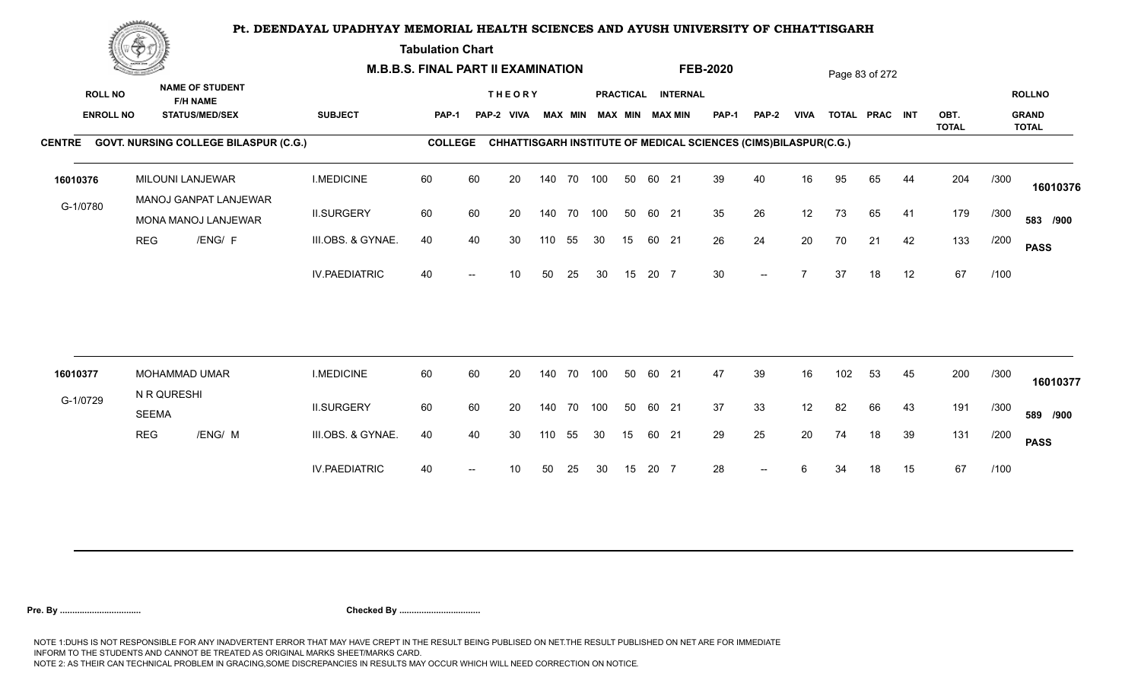**Tabulation Chart** 

|                                    | <u>Contraction</u><br><b>NAME OF STUDENT</b> |                                              |                      | <b>M.B.B.S. FINAL PART II EXAMINATION</b> |    |                             |     |                |     |                  |       |                                           | <b>FEB-2020</b> |                                                                 |             |     | Page 83 of 272 |    |              |      |                               |
|------------------------------------|----------------------------------------------|----------------------------------------------|----------------------|-------------------------------------------|----|-----------------------------|-----|----------------|-----|------------------|-------|-------------------------------------------|-----------------|-----------------------------------------------------------------|-------------|-----|----------------|----|--------------|------|-------------------------------|
| <b>ROLL NO</b><br><b>ENROLL NO</b> |                                              | <b>F/H NAME</b><br><b>STATUS/MED/SEX</b>     | <b>SUBJECT</b>       | PAP-1                                     |    | <b>THEORY</b><br>PAP-2 VIVA |     | <b>MAX MIN</b> |     | <b>PRACTICAL</b> |       | <b>INTERNAL</b><br><b>MAX MIN MAX MIN</b> | <b>PAP-1</b>    | PAP-2                                                           | <b>VIVA</b> |     | TOTAL PRAC INT |    | OBT.         |      | <b>ROLLNO</b><br><b>GRAND</b> |
|                                    |                                              |                                              |                      |                                           |    |                             |     |                |     |                  |       |                                           |                 |                                                                 |             |     |                |    | <b>TOTAL</b> |      | <b>TOTAL</b>                  |
|                                    |                                              | CENTRE GOVT. NURSING COLLEGE BILASPUR (C.G.) |                      | <b>COLLEGE</b>                            |    |                             |     |                |     |                  |       |                                           |                 | CHHATTISGARH INSTITUTE OF MEDICAL SCIENCES (CIMS)BILASPUR(C.G.) |             |     |                |    |              |      |                               |
| 16010376                           |                                              | MILOUNI LANJEWAR<br>MANOJ GANPAT LANJEWAR    | <b>I.MEDICINE</b>    | 60                                        | 60 | 20                          |     | 140 70 100     |     | 50               | 60 21 |                                           | 39              | 40                                                              | 16          | 95  | 65             | 44 | 204          | /300 | 16010376                      |
| G-1/0780                           |                                              | MONA MANOJ LANJEWAR                          | <b>II.SURGERY</b>    | 60                                        | 60 | 20                          |     | 140 70 100     |     | 50               | 60 21 |                                           | 35              | 26                                                              | 12          | 73  | 65             | 41 | 179          | /300 | 583 /900                      |
|                                    | <b>REG</b>                                   | /ENG/ F                                      | III.OBS. & GYNAE.    | 40                                        | 40 | 30                          | 110 | 55             | 30  | 15               | 60 21 |                                           | 26              | 24                                                              | 20          | 70  | 21             | 42 | 133          | /200 | <b>PASS</b>                   |
|                                    |                                              |                                              | <b>IV.PAEDIATRIC</b> | 40                                        |    | 10                          | 50  | 25             | 30  | 15               | 20 7  |                                           | 30              | $\overline{\phantom{a}}$                                        |             | 37  | 18             | 12 | 67           | /100 |                               |
|                                    |                                              |                                              |                      |                                           |    |                             |     |                |     |                  |       |                                           |                 |                                                                 |             |     |                |    |              |      |                               |
| 16010377                           |                                              | MOHAMMAD UMAR                                | <b>I.MEDICINE</b>    | 60                                        | 60 | 20                          |     | 140 70         | 100 | 50               | 60 21 |                                           | 47              | 39                                                              | 16          | 102 | 53             | 45 | 200          | /300 | 16010377                      |
| G-1/0729                           | <b>SEEMA</b>                                 | N R QURESHI                                  | <b>II.SURGERY</b>    | 60                                        | 60 | 20                          |     | 140 70 100     |     | 50               | 60 21 |                                           | 37              | 33                                                              | 12          | 82  | 66             | 43 | 191          | /300 | 589 /900                      |
|                                    | <b>REG</b>                                   | /ENG/ M                                      | III.OBS. & GYNAE.    | 40                                        | 40 | 30                          | 110 | 55             | 30  | 15               | 60 21 |                                           | 29              | 25                                                              | 20          | 74  | 18             | 39 | 131          | /200 | <b>PASS</b>                   |
|                                    |                                              |                                              | <b>IV.PAEDIATRIC</b> | 40                                        |    | 10                          | 50  | 25             | 30  | 15               | 20 7  |                                           | 28              | $-$                                                             |             | 34  | 18             | 15 | 67           | /100 |                               |
|                                    |                                              |                                              |                      |                                           |    |                             |     |                |     |                  |       |                                           |                 |                                                                 |             |     |                |    |              |      |                               |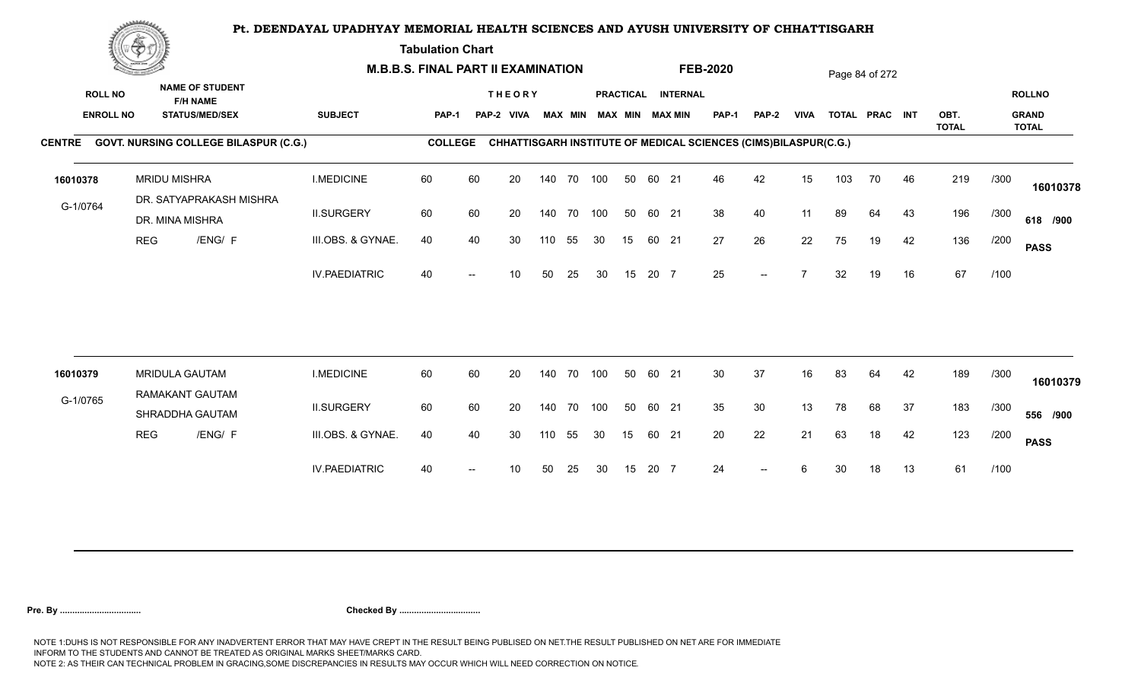**Tabulation Chart** 

|                                    | <b>Construction of the Construction</b><br><b>NAME OF STUDENT</b> | <b>M.B.B.S. FINAL PART II EXAMINATION</b>      |                      |                |    |                             |     |                |            |    |       | <b>FEB-2020</b>                       |                                                                 |              |             | Page 84 of 272 |                |    |                      |      |                               |
|------------------------------------|-------------------------------------------------------------------|------------------------------------------------|----------------------|----------------|----|-----------------------------|-----|----------------|------------|----|-------|---------------------------------------|-----------------------------------------------------------------|--------------|-------------|----------------|----------------|----|----------------------|------|-------------------------------|
| <b>ROLL NO</b><br><b>ENROLL NO</b> |                                                                   | <b>F/H NAME</b><br><b>STATUS/MED/SEX</b>       | <b>SUBJECT</b>       | <b>PAP-1</b>   |    | <b>THEORY</b><br>PAP-2 VIVA |     | <b>MAX MIN</b> |            |    |       | PRACTICAL INTERNAL<br>MAX MIN MAX MIN | PAP-1                                                           | <b>PAP-2</b> | <b>VIVA</b> |                | TOTAL PRAC INT |    | OBT.<br><b>TOTAL</b> |      | <b>ROLLNO</b><br><b>GRAND</b> |
|                                    |                                                                   | CENTRE GOVT. NURSING COLLEGE BILASPUR (C.G.)   |                      | <b>COLLEGE</b> |    |                             |     |                |            |    |       |                                       | CHHATTISGARH INSTITUTE OF MEDICAL SCIENCES (CIMS)BILASPUR(C.G.) |              |             |                |                |    |                      |      | <b>TOTAL</b>                  |
| 16010378                           |                                                                   | <b>MRIDU MISHRA</b><br>DR. SATYAPRAKASH MISHRA | <b>I.MEDICINE</b>    | 60             | 60 | 20                          |     | 140 70         | 100        | 50 | 60 21 |                                       | 46                                                              | 42           | 15          | 103            | 70             | 46 | 219                  | /300 | 16010378                      |
| G-1/0764                           |                                                                   | DR. MINA MISHRA                                | <b>II.SURGERY</b>    | 60             | 60 | 20                          |     |                | 140 70 100 | 50 | 60 21 |                                       | 38                                                              | 40           | 11          | 89             | 64             | 43 | 196                  | /300 | 618 /900                      |
|                                    | <b>REG</b>                                                        | /ENG/ F                                        | III.OBS. & GYNAE.    | 40             | 40 | 30                          | 110 | 55             | 30         | 15 | 60 21 |                                       | 27                                                              | 26           | 22          | 75             | 19             | 42 | 136                  | /200 | <b>PASS</b>                   |
|                                    |                                                                   |                                                | <b>IV.PAEDIATRIC</b> | 40             |    | 10                          | 50  | 25             | 30         | 15 | 20 7  |                                       | 25                                                              | $-$          |             | 32             | 19             | 16 | 67                   | /100 |                               |
|                                    |                                                                   | <b>MRIDULA GAUTAM</b>                          | <b>I.MEDICINE</b>    | 60             |    |                             |     | 140 70         | 100        | 50 | 60 21 |                                       | 30                                                              |              | 16          |                |                |    | 189                  |      |                               |
| 16010379                           |                                                                   | RAMAKANT GAUTAM                                |                      |                | 60 | 20                          |     |                |            |    |       |                                       |                                                                 | 37           |             | 83             | 64             | 42 |                      | /300 | 16010379                      |
| G-1/0765                           |                                                                   | SHRADDHA GAUTAM                                | <b>II.SURGERY</b>    | 60             | 60 | 20                          |     |                | 140 70 100 | 50 | 60 21 |                                       | 35                                                              | 30           | 13          | 78             | 68             | 37 | 183                  | /300 | 556 /900                      |
|                                    | <b>REG</b>                                                        | /ENG/ F                                        | III.OBS. & GYNAE.    | 40             | 40 | 30                          | 110 | 55             | 30         | 15 | 60 21 |                                       | 20                                                              | 22           | 21          | 63             | 18             | 42 | 123                  | /200 | <b>PASS</b>                   |
|                                    |                                                                   |                                                | <b>IV.PAEDIATRIC</b> | 40             |    | 10                          | 50  | 25             | 30         | 15 | 20 7  |                                       | 24                                                              |              |             | 30             | 18             | 13 | 61                   | /100 |                               |
|                                    |                                                                   |                                                |                      |                |    |                             |     |                |            |    |       |                                       |                                                                 |              |             |                |                |    |                      |      |                               |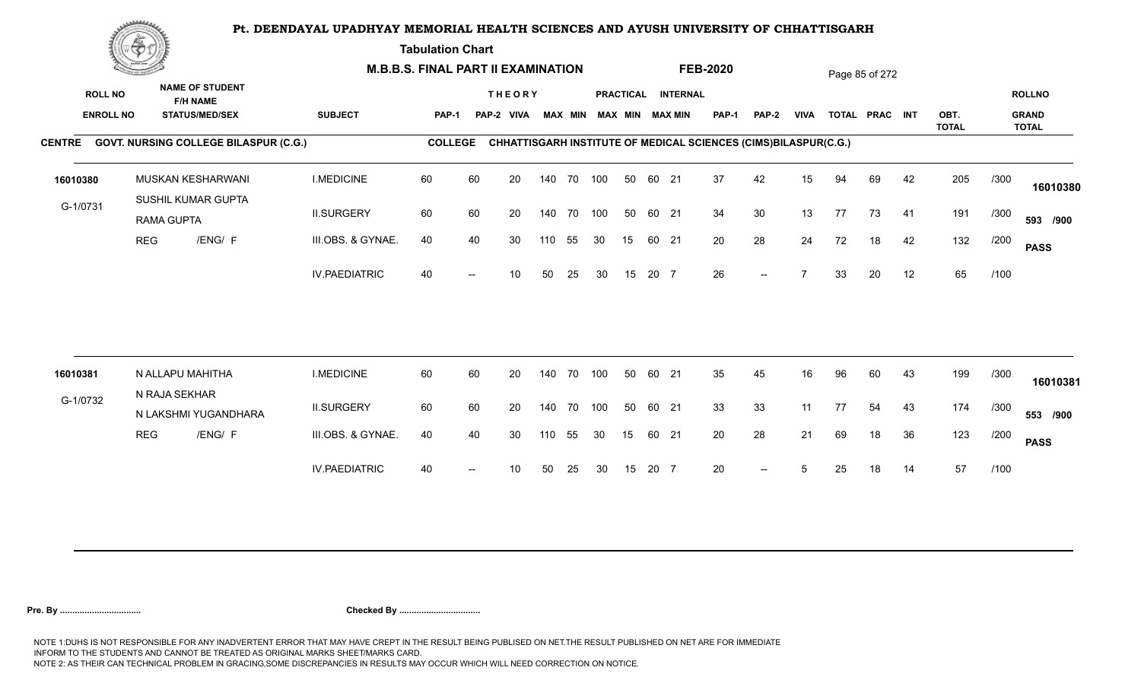**Tabulation Chart** 

|                                    | <b>Construction of the Construction</b> |                  |                                                                    | <b>M.B.B.S. FINAL PART II EXAMINATION</b> |                |    |                             |     |                |            |    |       |                                       | <b>FEB-2020</b>                                                 |              |             |    | Page 85 of 272 |    |              |      |                               |
|------------------------------------|-----------------------------------------|------------------|--------------------------------------------------------------------|-------------------------------------------|----------------|----|-----------------------------|-----|----------------|------------|----|-------|---------------------------------------|-----------------------------------------------------------------|--------------|-------------|----|----------------|----|--------------|------|-------------------------------|
| <b>ROLL NO</b><br><b>ENROLL NO</b> |                                         |                  | <b>NAME OF STUDENT</b><br><b>F/H NAME</b><br><b>STATUS/MED/SEX</b> | <b>SUBJECT</b>                            | <b>PAP-1</b>   |    | <b>THEORY</b><br>PAP-2 VIVA |     | <b>MAX MIN</b> |            |    |       | PRACTICAL INTERNAL<br>MAX MIN MAX MIN | PAP-1                                                           | <b>PAP-2</b> | <b>VIVA</b> |    | TOTAL PRAC INT |    | OBT.         |      | <b>ROLLNO</b><br><b>GRAND</b> |
|                                    |                                         |                  | CENTRE GOVT. NURSING COLLEGE BILASPUR (C.G.)                       |                                           | <b>COLLEGE</b> |    |                             |     |                |            |    |       |                                       | CHHATTISGARH INSTITUTE OF MEDICAL SCIENCES (CIMS)BILASPUR(C.G.) |              |             |    |                |    | <b>TOTAL</b> |      | <b>TOTAL</b>                  |
| 16010380                           |                                         |                  | MUSKAN KESHARWANI<br>SUSHIL KUMAR GUPTA                            | <b>I.MEDICINE</b>                         | 60             | 60 | 20                          |     | 140 70         | 100        | 50 | 60 21 |                                       | 37                                                              | 42           | 15          | 94 | 69             | 42 | 205          | /300 | 16010380                      |
| G-1/0731                           |                                         | RAMA GUPTA       |                                                                    | <b>II.SURGERY</b>                         | 60             | 60 | 20                          |     |                | 140 70 100 | 50 | 60 21 |                                       | 34                                                              | 30           | 13          | 77 | 73             | 41 | 191          | /300 | 593 /900                      |
|                                    | <b>REG</b>                              |                  | /ENG/ F                                                            | III.OBS. & GYNAE.                         | 40             | 40 | 30                          | 110 | 55             | 30         | 15 | 60 21 |                                       | 20                                                              | 28           | 24          | 72 | 18             | 42 | 132          | /200 | <b>PASS</b>                   |
|                                    |                                         |                  |                                                                    | <b>IV.PAEDIATRIC</b>                      | 40             |    | 10                          | 50  | 25             | 30         | 15 | 20 7  |                                       | 26                                                              | $-$          |             | 33 | 20             | 12 | 65           | /100 |                               |
| 16010381                           |                                         | N ALLAPU MAHITHA |                                                                    | <b>I.MEDICINE</b>                         | 60             | 60 | 20                          |     | 140 70         | 100        | 50 | 60 21 |                                       | 35                                                              | 45           | 16          | 96 | 60             | 43 | 199          | /300 |                               |
| G-1/0732                           |                                         | N RAJA SEKHAR    |                                                                    |                                           |                |    |                             |     |                |            |    |       |                                       |                                                                 |              |             |    |                |    |              |      | 16010381                      |
|                                    |                                         |                  | N LAKSHMI YUGANDHARA                                               | <b>II.SURGERY</b>                         | 60             | 60 | 20                          |     |                | 140 70 100 | 50 | 60 21 |                                       | 33                                                              | 33           | 11          | 77 | 54             | 43 | 174          | /300 | 553 /900                      |
|                                    | <b>REG</b>                              |                  | /ENG/ F                                                            | III.OBS. & GYNAE.                         | 40             | 40 | 30                          | 110 | 55             | 30         | 15 | 60 21 |                                       | 20                                                              | 28           | 21          | 69 | 18             | 36 | 123          | /200 | <b>PASS</b>                   |
|                                    |                                         |                  |                                                                    | <b>IV.PAEDIATRIC</b>                      | 40             |    | 10                          | 50  | 25             | 30         | 15 | 20 7  |                                       | 20                                                              | $-$          | 5           | 25 | 18             | 14 | 57           | /100 |                               |
|                                    |                                         |                  |                                                                    |                                           |                |    |                             |     |                |            |    |       |                                       |                                                                 |              |             |    |                |    |              |      |                               |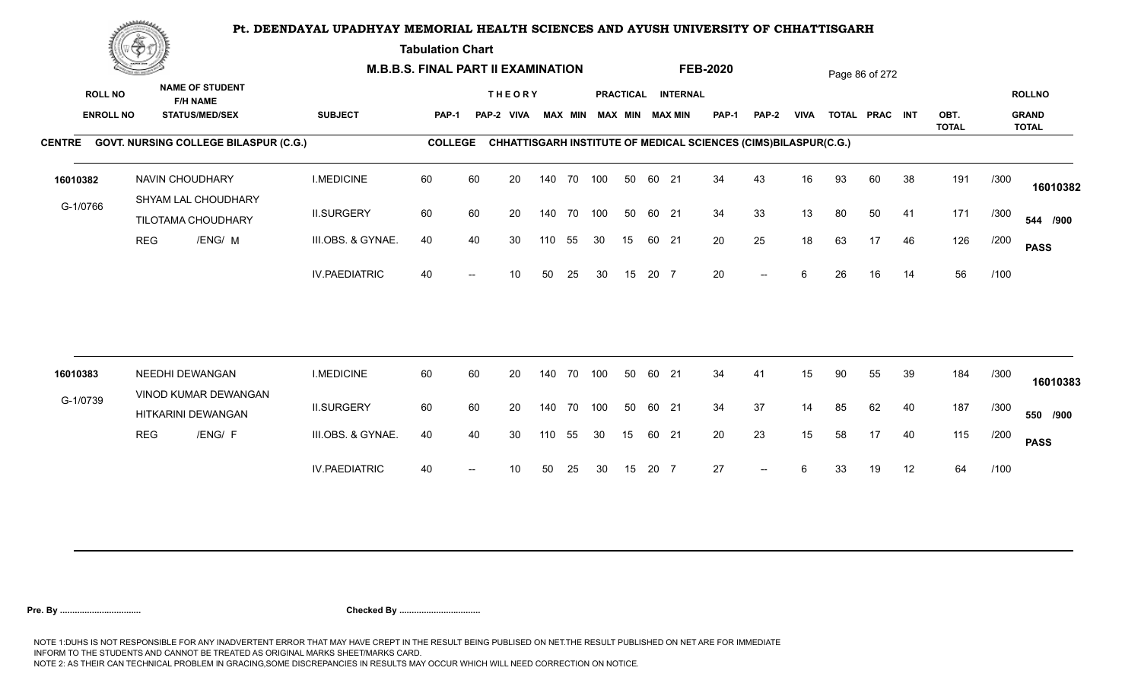**Tabulation Chart** 

|                                    | <b>Construction of the Construction</b> |                                                                    | <b>M.B.B.S. FINAL PART II EXAMINATION</b> |                |    |                             |     |                |     |    |       |                                              | <b>FEB-2020</b>                                                 |              |             |    | Page 86 of 272 |    |              |      |                               |
|------------------------------------|-----------------------------------------|--------------------------------------------------------------------|-------------------------------------------|----------------|----|-----------------------------|-----|----------------|-----|----|-------|----------------------------------------------|-----------------------------------------------------------------|--------------|-------------|----|----------------|----|--------------|------|-------------------------------|
| <b>ROLL NO</b><br><b>ENROLL NO</b> |                                         | <b>NAME OF STUDENT</b><br><b>F/H NAME</b><br><b>STATUS/MED/SEX</b> | <b>SUBJECT</b>                            | PAP-1          |    | <b>THEORY</b><br>PAP-2 VIVA |     | <b>MAX MIN</b> |     |    |       | PRACTICAL INTERNAL<br><b>MAX MIN MAX MIN</b> | <b>PAP-1</b>                                                    | <b>PAP-2</b> | <b>VIVA</b> |    | TOTAL PRAC INT |    | OBT.         |      | <b>ROLLNO</b><br><b>GRAND</b> |
|                                    |                                         |                                                                    |                                           |                |    |                             |     |                |     |    |       |                                              |                                                                 |              |             |    |                |    | <b>TOTAL</b> |      | <b>TOTAL</b>                  |
|                                    |                                         | CENTRE GOVT. NURSING COLLEGE BILASPUR (C.G.)                       |                                           | <b>COLLEGE</b> |    |                             |     |                |     |    |       |                                              | CHHATTISGARH INSTITUTE OF MEDICAL SCIENCES (CIMS)BILASPUR(C.G.) |              |             |    |                |    |              |      |                               |
| 16010382                           |                                         | NAVIN CHOUDHARY<br>SHYAM LAL CHOUDHARY                             | <b>I.MEDICINE</b>                         | 60             | 60 | 20                          |     | 140 70 100     |     | 50 | 60 21 |                                              | 34                                                              | 43           | 16          | 93 | 60             | 38 | 191          | /300 | 16010382                      |
| G-1/0766                           |                                         | TILOTAMA CHOUDHARY                                                 | <b>II.SURGERY</b>                         | 60             | 60 | 20                          |     | 140 70         | 100 | 50 | 60 21 |                                              | 34                                                              | 33           | 13          | 80 | 50             | 41 | 171          | /300 | 544 /900                      |
|                                    | <b>REG</b>                              | /ENG/ M                                                            | III.OBS. & GYNAE.                         | 40             | 40 | 30                          | 110 | 55             | 30  | 15 | 60 21 |                                              | 20                                                              | 25           | 18          | 63 | 17             | 46 | 126          | /200 | <b>PASS</b>                   |
|                                    |                                         |                                                                    | <b>IV.PAEDIATRIC</b>                      | 40             |    | 10                          | 50  | 25             | 30  | 15 | 20 7  |                                              | 20                                                              | $-$          | 6           | 26 | 16             | 14 | 56           | /100 |                               |
|                                    |                                         |                                                                    |                                           |                |    |                             |     |                |     |    |       |                                              |                                                                 |              |             |    |                |    |              |      |                               |
| 16010383                           |                                         | NEEDHI DEWANGAN<br>VINOD KUMAR DEWANGAN                            | <b>I.MEDICINE</b>                         | 60             | 60 | 20                          |     | 140 70         | 100 | 50 | 60 21 |                                              | 34                                                              | 41           | 15          | 90 | 55             | 39 | 184          | /300 | 16010383                      |
| G-1/0739                           |                                         | HITKARINI DEWANGAN                                                 | <b>II.SURGERY</b>                         | 60             | 60 | 20                          |     | 140 70         | 100 | 50 | 60 21 |                                              | 34                                                              | 37           | 14          | 85 | 62             | 40 | 187          | /300 | 550 /900                      |
|                                    | <b>REG</b>                              | /ENG/ F                                                            | III.OBS. & GYNAE.                         | 40             | 40 | 30                          | 110 | 55             | 30  | 15 | 60 21 |                                              | 20                                                              | 23           | 15          | 58 | 17             | 40 | 115          | /200 | <b>PASS</b>                   |
|                                    |                                         |                                                                    | <b>IV.PAEDIATRIC</b>                      | 40             |    | 10                          | 50  | 25             | 30  | 15 | 20 7  |                                              | 27                                                              | $--$         | 6           | 33 | 19             | 12 | 64           | /100 |                               |
|                                    |                                         |                                                                    |                                           |                |    |                             |     |                |     |    |       |                                              |                                                                 |              |             |    |                |    |              |      |                               |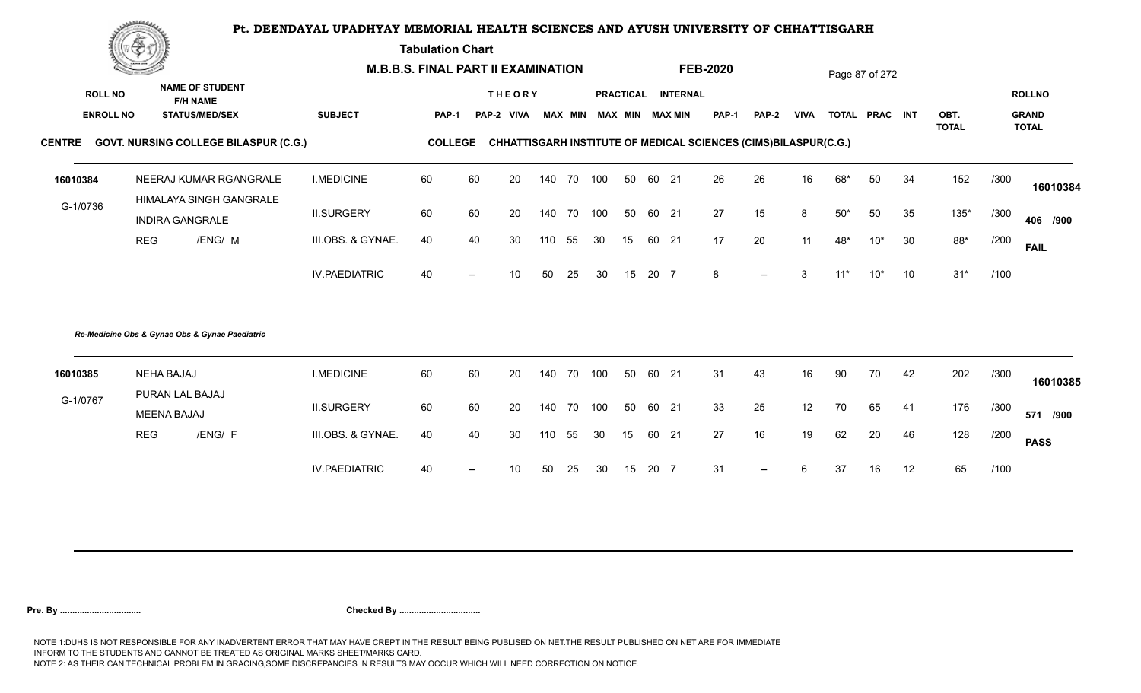**Tabulation Chart** 

|                  | <b>Consumer and Consumer</b> |                                                   |                      | <b>M.B.B.S. FINAL PART II EXAMINATION</b> |                          |                 |     |    |     |    |       |                         | <b>FEB-2020</b> |                                                                 |                 |       | Page 87 of 272 |    |                      |      |                              |
|------------------|------------------------------|---------------------------------------------------|----------------------|-------------------------------------------|--------------------------|-----------------|-----|----|-----|----|-------|-------------------------|-----------------|-----------------------------------------------------------------|-----------------|-------|----------------|----|----------------------|------|------------------------------|
| <b>ROLL NO</b>   |                              | <b>NAME OF STUDENT</b><br><b>F/H NAME</b>         |                      |                                           |                          | <b>THEORY</b>   |     |    |     |    |       | PRACTICAL INTERNAL      |                 |                                                                 |                 |       |                |    |                      |      | <b>ROLLNO</b>                |
| <b>ENROLL NO</b> |                              | <b>STATUS/MED/SEX</b>                             | <b>SUBJECT</b>       | <b>PAP-1</b>                              |                          | PAP-2 VIVA      |     |    |     |    |       | MAX MIN MAX MIN MAX MIN | <b>PAP-1</b>    | <b>PAP-2</b>                                                    | <b>VIVA</b>     |       | TOTAL PRAC INT |    | OBT.<br><b>TOTAL</b> |      | <b>GRAND</b><br><b>TOTAL</b> |
| <b>CENTRE</b>    |                              | <b>GOVT. NURSING COLLEGE BILASPUR (C.G.)</b>      |                      | <b>COLLEGE</b>                            |                          |                 |     |    |     |    |       |                         |                 | CHHATTISGARH INSTITUTE OF MEDICAL SCIENCES (CIMS)BILASPUR(C.G.) |                 |       |                |    |                      |      |                              |
| 16010384         |                              | NEERAJ KUMAR RGANGRALE<br>HIMALAYA SINGH GANGRALE | <b>I.MEDICINE</b>    | 60                                        | 60                       | 20              | 140 | 70 | 100 | 50 | 60 21 |                         | 26              | 26                                                              | 16              | 68*   | 50             | 34 | 152                  | /300 | 16010384                     |
| G-1/0736         |                              | <b>INDIRA GANGRALE</b>                            | <b>II.SURGERY</b>    | 60                                        | 60                       | 20              | 140 | 70 | 100 | 50 | 60 21 |                         | 27              | 15                                                              | 8               | $50*$ | 50             | 35 | $135*$               | /300 | 406 /900                     |
|                  | <b>REG</b>                   | /ENG/ M                                           | III.OBS. & GYNAE.    | 40                                        | 40                       | 30              | 110 | 55 | 30  | 15 |       | 60 21                   | 17              | 20                                                              | 11              | 48*   | $10*$          | 30 | 88*                  | /200 | <b>FAIL</b>                  |
|                  |                              |                                                   | <b>IV.PAEDIATRIC</b> | 40                                        | --                       | 10              | 50  | 25 | 30  | 15 | 20 7  |                         | 8               | $\overline{\phantom{a}}$                                        | 3               | $11*$ | $10*$          | 10 | $31*$                | /100 |                              |
|                  |                              | Re-Medicine Obs & Gynae Obs & Gynae Paediatric    |                      |                                           |                          |                 |     |    |     |    |       |                         |                 |                                                                 |                 |       |                |    |                      |      |                              |
| 16010385         |                              | <b>NEHA BAJAJ</b>                                 | <b>I.MEDICINE</b>    | 60                                        | 60                       | 20              | 140 | 70 | 100 | 50 |       | 60 21                   | 31              | 43                                                              | 16              | 90    | 70             | 42 | 202                  | /300 | 16010385                     |
| G-1/0767         |                              | PURAN LAL BAJAJ<br><b>MEENA BAJAJ</b>             | <b>II.SURGERY</b>    | 60                                        | 60                       | 20              | 140 | 70 | 100 | 50 |       | 60 21                   | 33              | 25                                                              | 12 <sub>2</sub> | 70    | 65             | 41 | 176                  | /300 | 571 /900                     |
|                  | <b>REG</b>                   | /ENG/ F                                           | III.OBS. & GYNAE.    | 40                                        | 40                       | 30              | 110 | 55 | 30  | 15 | 60    | 21                      | 27              | 16                                                              | 19              | 62    | 20             | 46 | 128                  | /200 | <b>PASS</b>                  |
|                  |                              |                                                   | <b>IV.PAEDIATRIC</b> | 40                                        | $\overline{\phantom{a}}$ | 10 <sup>°</sup> | 50  | 25 | 30  | 15 | 20 7  |                         | 31              | $\overline{\phantom{a}}$                                        | 6               | 37    | 16             | 12 | 65                   | /100 |                              |
|                  |                              |                                                   |                      |                                           |                          |                 |     |    |     |    |       |                         |                 |                                                                 |                 |       |                |    |                      |      |                              |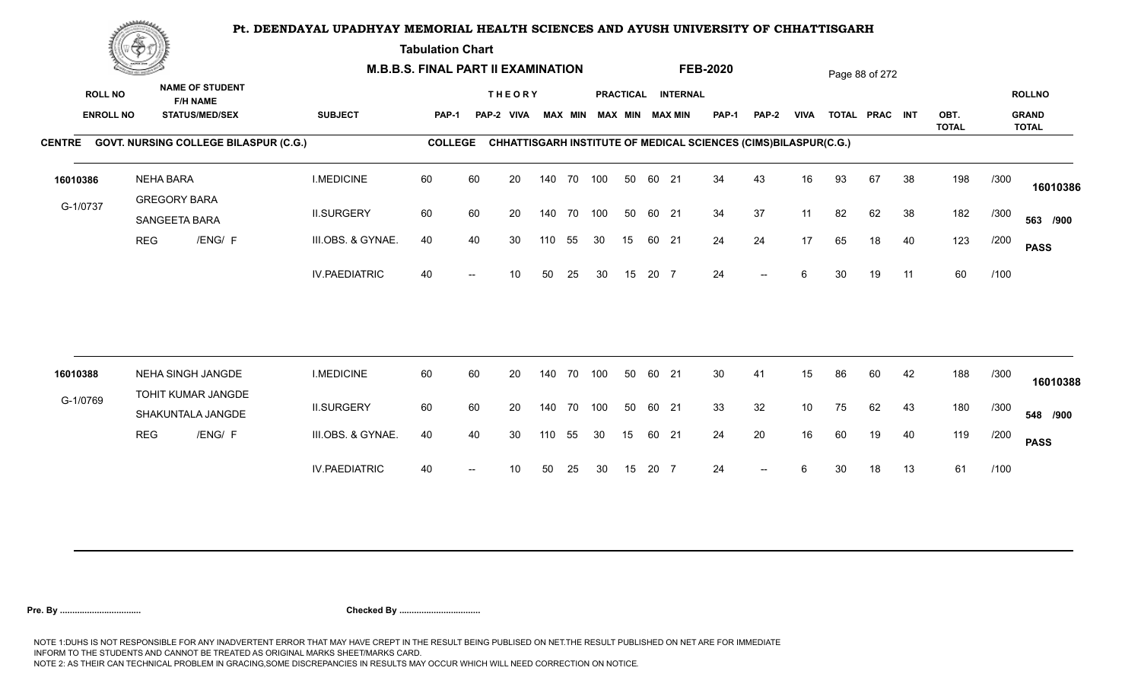**Tabulation Chart** 

|                                    | <b>Construction of the Construction</b> |                                                                    | <b>M.B.B.S. FINAL PART II EXAMINATION</b>    |                      |                |    |                             |     |                |     |    | <b>FEB-2020</b> |                                              |                                                                 |       | Page 88 of 272  |    |                |    |              |      |                               |
|------------------------------------|-----------------------------------------|--------------------------------------------------------------------|----------------------------------------------|----------------------|----------------|----|-----------------------------|-----|----------------|-----|----|-----------------|----------------------------------------------|-----------------------------------------------------------------|-------|-----------------|----|----------------|----|--------------|------|-------------------------------|
| <b>ROLL NO</b><br><b>ENROLL NO</b> |                                         | <b>NAME OF STUDENT</b><br><b>F/H NAME</b><br><b>STATUS/MED/SEX</b> |                                              | <b>SUBJECT</b>       | PAP-1          |    | <b>THEORY</b><br>PAP-2 VIVA |     | <b>MAX MIN</b> |     |    |                 | PRACTICAL INTERNAL<br><b>MAX MIN MAX MIN</b> | <b>PAP-1</b>                                                    | PAP-2 | <b>VIVA</b>     |    | TOTAL PRAC INT |    | OBT.         |      | <b>ROLLNO</b><br><b>GRAND</b> |
|                                    |                                         |                                                                    | CENTRE GOVT. NURSING COLLEGE BILASPUR (C.G.) |                      | <b>COLLEGE</b> |    |                             |     |                |     |    |                 |                                              | CHHATTISGARH INSTITUTE OF MEDICAL SCIENCES (CIMS)BILASPUR(C.G.) |       |                 |    |                |    | <b>TOTAL</b> |      | <b>TOTAL</b>                  |
| 16010386                           |                                         | <b>NEHA BARA</b>                                                   |                                              | <b>I.MEDICINE</b>    | 60             | 60 | 20                          |     | 140 70 100     |     | 50 | 60 21           |                                              | 34                                                              | 43    | 16              | 93 | 67             | 38 | 198          | /300 |                               |
|                                    |                                         | <b>GREGORY BARA</b>                                                |                                              |                      |                |    |                             |     |                |     |    |                 |                                              |                                                                 |       |                 |    |                |    |              |      | 16010386                      |
| G-1/0737                           |                                         | SANGEETA BARA                                                      |                                              | <b>II.SURGERY</b>    | 60             | 60 | 20                          |     | 140 70         | 100 | 50 | 60 21           |                                              | 34                                                              | 37    | 11              | 82 | 62             | 38 | 182          | /300 | 563 /900                      |
|                                    | <b>REG</b>                              | /ENG/ F                                                            |                                              | III.OBS. & GYNAE.    | 40             | 40 | 30                          | 110 | 55             | 30  | 15 | 60 21           |                                              | 24                                                              | 24    | 17              | 65 | 18             | 40 | 123          | /200 | <b>PASS</b>                   |
|                                    |                                         |                                                                    |                                              | <b>IV.PAEDIATRIC</b> | 40             |    | 10                          | 50  | 25             | 30  | 15 | 20 7            |                                              | 24                                                              | $-$   | 6               | 30 | 19             | 11 | 60           | /100 |                               |
|                                    |                                         |                                                                    |                                              |                      |                |    |                             |     |                |     |    |                 |                                              |                                                                 |       |                 |    |                |    |              |      |                               |
| 16010388                           |                                         | NEHA SINGH JANGDE                                                  |                                              | <b>I.MEDICINE</b>    | 60             | 60 | 20                          |     | 140 70         | 100 | 50 | 60 21           |                                              | 30                                                              | 41    | 15              | 86 | 60             | 42 | 188          | /300 | 16010388                      |
| G-1/0769                           |                                         | TOHIT KUMAR JANGDE<br>SHAKUNTALA JANGDE                            |                                              | <b>II.SURGERY</b>    | 60             | 60 | 20                          |     | 140 70         | 100 | 50 | 60 21           |                                              | 33                                                              | 32    | 10 <sup>°</sup> | 75 | 62             | 43 | 180          | /300 | 548 /900                      |
|                                    | <b>REG</b>                              | /ENG/ F                                                            |                                              | III.OBS. & GYNAE.    | 40             | 40 | 30                          | 110 | 55             | 30  | 15 | 60 21           |                                              | 24                                                              | 20    | 16              | 60 | 19             | 40 | 119          | /200 | <b>PASS</b>                   |
|                                    |                                         |                                                                    |                                              | <b>IV.PAEDIATRIC</b> | 40             |    | 10                          | 50  | 25             | 30  | 15 | 20 7            |                                              | 24                                                              | $-$   | 6               | 30 | 18             | 13 | 61           | /100 |                               |
|                                    |                                         |                                                                    |                                              |                      |                |    |                             |     |                |     |    |                 |                                              |                                                                 |       |                 |    |                |    |              |      |                               |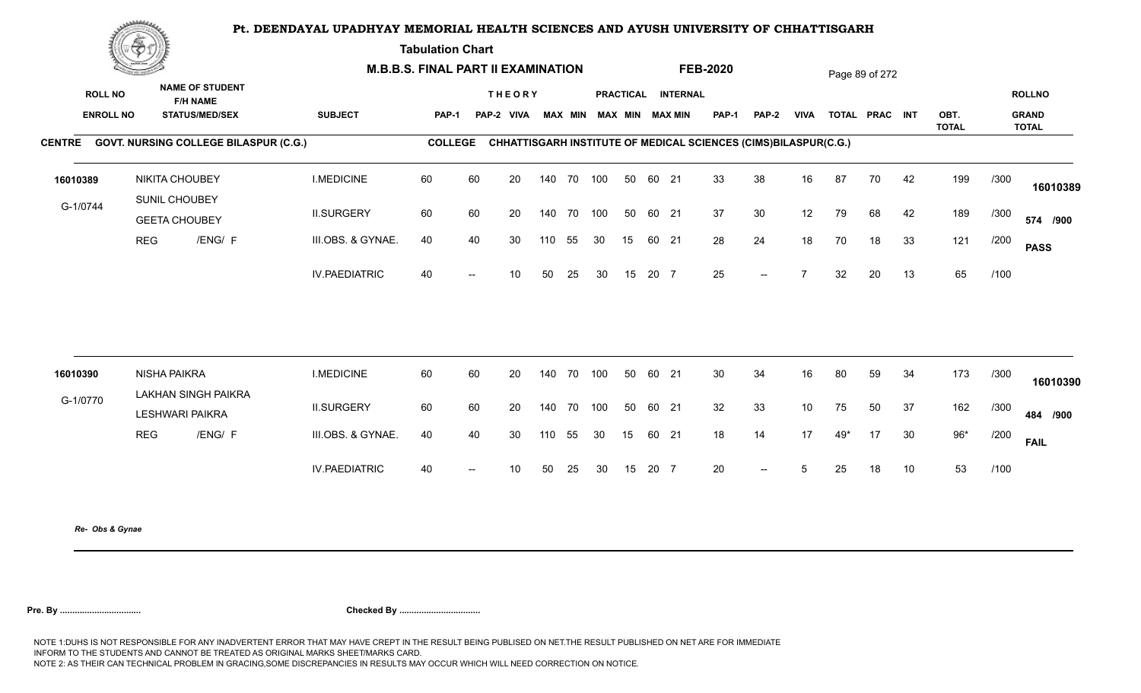**Tabulation Chart** 

|                                    | <b>Construction of the Construction</b> |                                                                    | <b>M.B.B.S. FINAL PART II EXAMINATION</b> |                |    |                             |        |            |            |    |       |                                               | <b>FEB-2020</b>                                                 |       |                |     | Page 89 of 272 |    |                      |      |                                        |
|------------------------------------|-----------------------------------------|--------------------------------------------------------------------|-------------------------------------------|----------------|----|-----------------------------|--------|------------|------------|----|-------|-----------------------------------------------|-----------------------------------------------------------------|-------|----------------|-----|----------------|----|----------------------|------|----------------------------------------|
| <b>ROLL NO</b><br><b>ENROLL NO</b> |                                         | <b>NAME OF STUDENT</b><br><b>F/H NAME</b><br><b>STATUS/MED/SEX</b> | <b>SUBJECT</b>                            | <b>PAP-1</b>   |    | <b>THEORY</b><br>PAP-2 VIVA |        |            |            |    |       | PRACTICAL INTERNAL<br>MAX MIN MAX MIN MAX MIN | <b>PAP-1</b>                                                    | PAP-2 | <b>VIVA</b>    |     | TOTAL PRAC INT |    | OBT.<br><b>TOTAL</b> |      | <b>ROLLNO</b><br><b>GRAND</b><br>TOTAL |
|                                    |                                         | CENTRE GOVT. NURSING COLLEGE BILASPUR (C.G.)                       |                                           | <b>COLLEGE</b> |    |                             |        |            |            |    |       |                                               | CHHATTISGARH INSTITUTE OF MEDICAL SCIENCES (CIMS)BILASPUR(C.G.) |       |                |     |                |    |                      |      |                                        |
| 16010389                           |                                         | <b>NIKITA CHOUBEY</b><br>SUNIL CHOUBEY                             | <b>I.MEDICINE</b>                         | 60             | 60 | 20                          |        |            | 140 70 100 | 50 | 60 21 |                                               | 33                                                              | 38    | 16             | 87  | 70             | 42 | 199                  | /300 | 16010389                               |
| G-1/0744                           |                                         | <b>GEETA CHOUBEY</b>                                               | <b>II.SURGERY</b>                         | 60             | 60 | 20                          |        | 140 70     | 100        | 50 | 60 21 |                                               | 37                                                              | 30    | 12             | 79  | 68             | 42 | 189                  | /300 | 574 /900                               |
|                                    | <b>REG</b>                              | /ENG/ F                                                            | III.OBS. & GYNAE.                         | 40             | 40 | 30                          | 110    | 55         | 30         | 15 | 60 21 |                                               | 28                                                              | 24    | 18             | 70  | 18             | 33 | 121                  | /200 | <b>PASS</b>                            |
|                                    |                                         |                                                                    | <b>IV.PAEDIATRIC</b>                      | 40             |    | 10                          | 50     | 25         | 30         | 15 | 20 7  |                                               | 25                                                              | $--$  | $\overline{7}$ | 32  | 20             | 13 | 65                   | /100 |                                        |
|                                    |                                         |                                                                    |                                           |                |    |                             |        |            |            |    |       |                                               |                                                                 |       |                |     |                |    |                      |      |                                        |
| 16010390                           |                                         | NISHA PAIKRA<br><b>LAKHAN SINGH PAIKRA</b>                         | <b>I.MEDICINE</b>                         | 60             | 60 | 20                          |        | 140 70 100 |            | 50 | 60 21 |                                               | 30                                                              | 34    | 16             | 80  | 59             | 34 | 173                  | /300 | 16010390                               |
| G-1/0770                           |                                         | <b>LESHWARI PAIKRA</b>                                             | <b>II.SURGERY</b>                         | 60             | 60 | 20                          | 140 70 |            | 100        | 50 | 60 21 |                                               | 32                                                              | 33    | 10             | 75  | 50             | 37 | 162                  | /300 | 484 /900                               |
|                                    | <b>REG</b>                              | /ENG/ F                                                            | III.OBS. & GYNAE.                         | 40             | 40 | 30                          | 110    | 55         | 30         | 15 | 60 21 |                                               | 18                                                              | 14    | 17             | 49* | 17             | 30 | $96*$                | /200 | <b>FAIL</b>                            |
|                                    |                                         |                                                                    | <b>IV.PAEDIATRIC</b>                      | 40             |    | 10 <sup>°</sup>             | 50     | 25         | 30         | 15 | 20 7  |                                               | 20                                                              | $--$  | 5              | 25  | 18             | 10 | 53                   | /100 |                                        |
|                                    |                                         |                                                                    |                                           |                |    |                             |        |            |            |    |       |                                               |                                                                 |       |                |     |                |    |                      |      |                                        |

*Re- Obs & Gynae*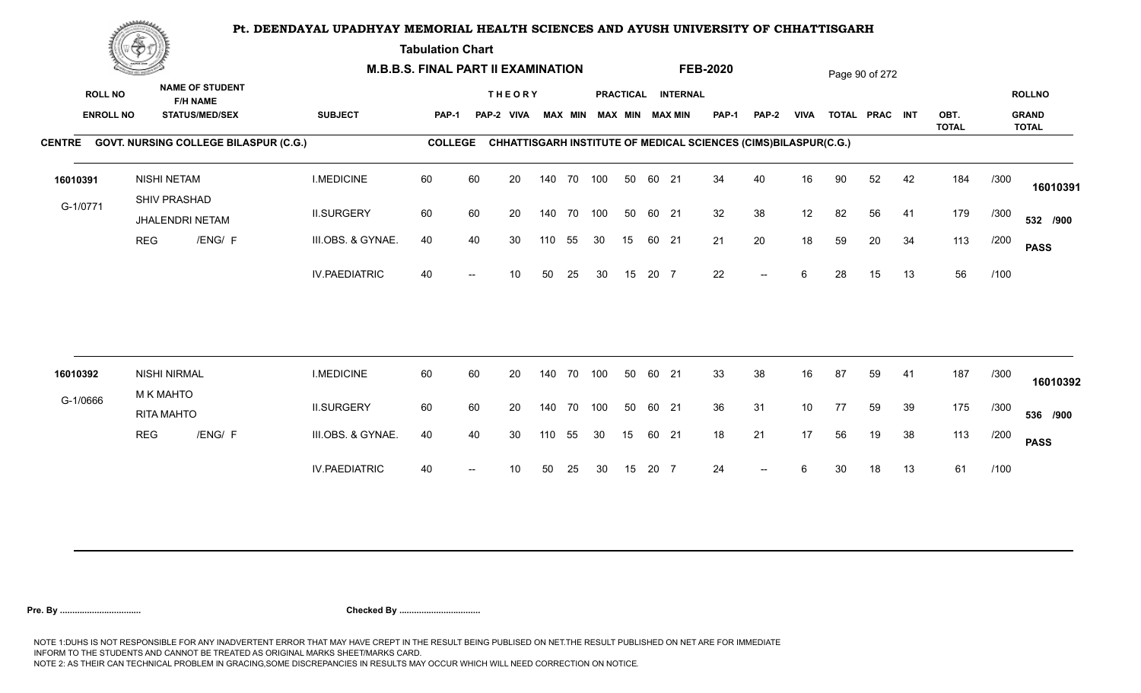**Tabulation Chart** 

|                                    | <b>Construction of the Construction</b><br><b>NAME OF STUDENT</b> | <b>M.B.B.S. FINAL PART II EXAMINATION</b> |                                              |                      |                |    |                             |     |                |     |    | <b>FEB-2020</b> |                                              |                                                                 |       | Page 90 of 272  |    |                |    |              |      |                               |
|------------------------------------|-------------------------------------------------------------------|-------------------------------------------|----------------------------------------------|----------------------|----------------|----|-----------------------------|-----|----------------|-----|----|-----------------|----------------------------------------------|-----------------------------------------------------------------|-------|-----------------|----|----------------|----|--------------|------|-------------------------------|
| <b>ROLL NO</b><br><b>ENROLL NO</b> |                                                                   |                                           | <b>F/H NAME</b><br><b>STATUS/MED/SEX</b>     | <b>SUBJECT</b>       | PAP-1          |    | <b>THEORY</b><br>PAP-2 VIVA |     | <b>MAX MIN</b> |     |    |                 | PRACTICAL INTERNAL<br><b>MAX MIN MAX MIN</b> | <b>PAP-1</b>                                                    | PAP-2 | <b>VIVA</b>     |    | TOTAL PRAC INT |    | OBT.         |      | <b>ROLLNO</b><br><b>GRAND</b> |
|                                    |                                                                   |                                           | CENTRE GOVT. NURSING COLLEGE BILASPUR (C.G.) |                      | <b>COLLEGE</b> |    |                             |     |                |     |    |                 |                                              | CHHATTISGARH INSTITUTE OF MEDICAL SCIENCES (CIMS)BILASPUR(C.G.) |       |                 |    |                |    | <b>TOTAL</b> |      | <b>TOTAL</b>                  |
| 16010391                           |                                                                   | <b>NISHI NETAM</b><br>SHIV PRASHAD        |                                              | <b>I.MEDICINE</b>    | 60             | 60 | 20                          |     | 140 70 100     |     | 50 | 60 21           |                                              | 34                                                              | 40    | 16              | 90 | 52             | 42 | 184          | /300 | 16010391                      |
| G-1/0771                           |                                                                   | JHALENDRI NETAM                           |                                              | <b>II.SURGERY</b>    | 60             | 60 | 20                          |     | 140 70         | 100 | 50 | 60 21           |                                              | 32                                                              | 38    | 12              | 82 | 56             | 41 | 179          | /300 | 532 /900                      |
|                                    | <b>REG</b>                                                        |                                           | /ENG/ F                                      | III.OBS. & GYNAE.    | 40             | 40 | 30                          | 110 | 55             | 30  | 15 | 60 21           |                                              | 21                                                              | 20    | 18              | 59 | 20             | 34 | 113          | /200 | <b>PASS</b>                   |
|                                    |                                                                   |                                           |                                              | <b>IV.PAEDIATRIC</b> | 40             |    | 10                          | 50  | 25             | 30  | 15 | 20 7            |                                              | 22                                                              | $-$   | 6               | 28 | 15             | 13 | 56           | /100 |                               |
| 16010392                           |                                                                   | <b>NISHI NIRMAL</b>                       |                                              | <b>I.MEDICINE</b>    | 60             | 60 | 20                          |     | 140 70         | 100 | 50 | 60 21           |                                              | 33                                                              | 38    | 16              | 87 | 59             | 41 | 187          | /300 |                               |
| G-1/0666                           |                                                                   | <b>M K MAHTO</b>                          |                                              |                      |                |    |                             |     |                |     |    |                 |                                              |                                                                 |       |                 |    |                |    |              |      | 16010392                      |
|                                    |                                                                   | <b>RITA MAHTO</b>                         |                                              | <b>II.SURGERY</b>    | 60             | 60 | 20                          |     | 140 70         | 100 | 50 | 60 21           |                                              | 36                                                              | 31    | 10 <sup>°</sup> | 77 | 59             | 39 | 175          | /300 | 536 /900                      |
|                                    | <b>REG</b>                                                        |                                           | /ENG/ F                                      | III.OBS. & GYNAE.    | 40             | 40 | 30                          | 110 | 55             | 30  | 15 | 60 21           |                                              | 18                                                              | 21    | 17              | 56 | 19             | 38 | 113          | /200 | <b>PASS</b>                   |
|                                    |                                                                   |                                           |                                              | <b>IV.PAEDIATRIC</b> | 40             |    | 10                          | 50  | 25             | 30  | 15 | 20 7            |                                              | 24                                                              | $--$  | 6               | 30 | 18             | 13 | 61           | /100 |                               |
|                                    |                                                                   |                                           |                                              |                      |                |    |                             |     |                |     |    |                 |                                              |                                                                 |       |                 |    |                |    |              |      |                               |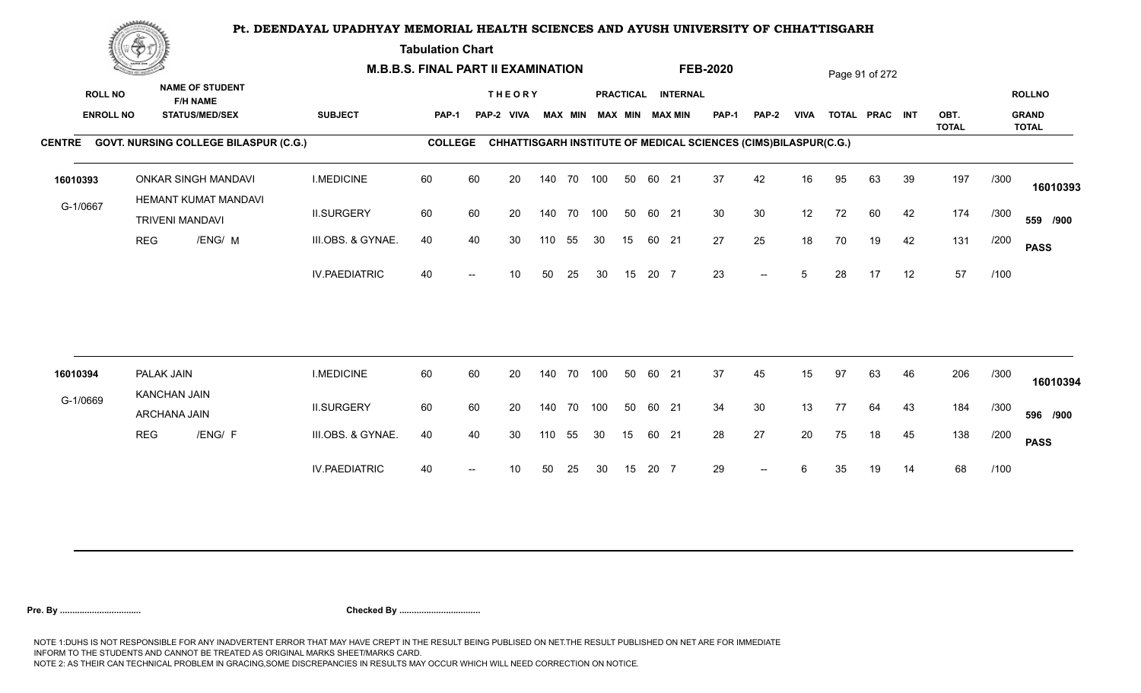**Tabulation Chart** 

|                                    | <u>Contraction</u> |                                                                    |                      | <b>M.B.B.S. FINAL PART II EXAMINATION</b> |    |                             |     |                |     |                  |       |                                           | <b>FEB-2020</b>                                                 |                          |             |    | Page 91 of 272 |    |              |      |                               |
|------------------------------------|--------------------|--------------------------------------------------------------------|----------------------|-------------------------------------------|----|-----------------------------|-----|----------------|-----|------------------|-------|-------------------------------------------|-----------------------------------------------------------------|--------------------------|-------------|----|----------------|----|--------------|------|-------------------------------|
| <b>ROLL NO</b><br><b>ENROLL NO</b> |                    | <b>NAME OF STUDENT</b><br><b>F/H NAME</b><br><b>STATUS/MED/SEX</b> | <b>SUBJECT</b>       | PAP-1                                     |    | <b>THEORY</b><br>PAP-2 VIVA |     | <b>MAX MIN</b> |     | <b>PRACTICAL</b> |       | <b>INTERNAL</b><br><b>MAX MIN MAX MIN</b> | <b>PAP-1</b>                                                    | PAP-2                    | <b>VIVA</b> |    | TOTAL PRAC INT |    | OBT.         |      | <b>ROLLNO</b><br><b>GRAND</b> |
|                                    |                    |                                                                    |                      |                                           |    |                             |     |                |     |                  |       |                                           |                                                                 |                          |             |    |                |    | <b>TOTAL</b> |      | <b>TOTAL</b>                  |
|                                    |                    | CENTRE GOVT. NURSING COLLEGE BILASPUR (C.G.)                       |                      | <b>COLLEGE</b>                            |    |                             |     |                |     |                  |       |                                           | CHHATTISGARH INSTITUTE OF MEDICAL SCIENCES (CIMS)BILASPUR(C.G.) |                          |             |    |                |    |              |      |                               |
| 16010393                           |                    | <b>ONKAR SINGH MANDAVI</b><br>HEMANT KUMAT MANDAVI                 | <b>I.MEDICINE</b>    | 60                                        | 60 | 20                          |     | 140 70 100     |     | 50               | 60 21 |                                           | 37                                                              | 42                       | 16          | 95 | 63             | 39 | 197          | /300 | 16010393                      |
| G-1/0667                           |                    | <b>TRIVENI MANDAVI</b>                                             | <b>II.SURGERY</b>    | 60                                        | 60 | 20                          |     | 140 70 100     |     | 50               | 60 21 |                                           | 30                                                              | 30                       | 12          | 72 | 60             | 42 | 174          | /300 | 559 /900                      |
|                                    | <b>REG</b>         | /ENG/ M                                                            | III.OBS. & GYNAE.    | 40                                        | 40 | 30                          | 110 | 55             | 30  | 15               |       | 60 21                                     | 27                                                              | 25                       | 18          | 70 | 19             | 42 | 131          | /200 | <b>PASS</b>                   |
|                                    |                    |                                                                    | <b>IV.PAEDIATRIC</b> | 40                                        |    | 10                          | 50  | 25             | 30  | 15               | 20 7  |                                           | 23                                                              | $\overline{\phantom{a}}$ | 5           | 28 | 17             | 12 | 57           | /100 |                               |
|                                    |                    |                                                                    |                      |                                           |    |                             |     |                |     |                  |       |                                           |                                                                 |                          |             |    |                |    |              |      |                               |
| 16010394                           | PALAK JAIN         | <b>KANCHAN JAIN</b>                                                | <b>I.MEDICINE</b>    | 60                                        | 60 | 20                          |     | 140 70         | 100 | 50               | 60 21 |                                           | 37                                                              | 45                       | 15          | 97 | 63             | 46 | 206          | /300 | 16010394                      |
| G-1/0669                           |                    | ARCHANA JAIN                                                       | <b>II.SURGERY</b>    | 60                                        | 60 | 20                          |     | 140 70 100     |     | 50               | 60 21 |                                           | 34                                                              | 30                       | 13          | 77 | 64             | 43 | 184          | /300 | 596 /900                      |
|                                    | <b>REG</b>         | /ENG/ F                                                            | III.OBS. & GYNAE.    | 40                                        | 40 | 30                          | 110 | 55             | 30  | 15               |       | 60 21                                     | 28                                                              | 27                       | 20          | 75 | 18             | 45 | 138          | /200 | <b>PASS</b>                   |
|                                    |                    |                                                                    | <b>IV.PAEDIATRIC</b> | 40                                        |    | 10                          | 50  | 25             | 30  | 15               | 20 7  |                                           | 29                                                              | $-$                      | 6           | 35 | 19             | 14 | 68           | /100 |                               |
|                                    |                    |                                                                    |                      |                                           |    |                             |     |                |     |                  |       |                                           |                                                                 |                          |             |    |                |    |              |      |                               |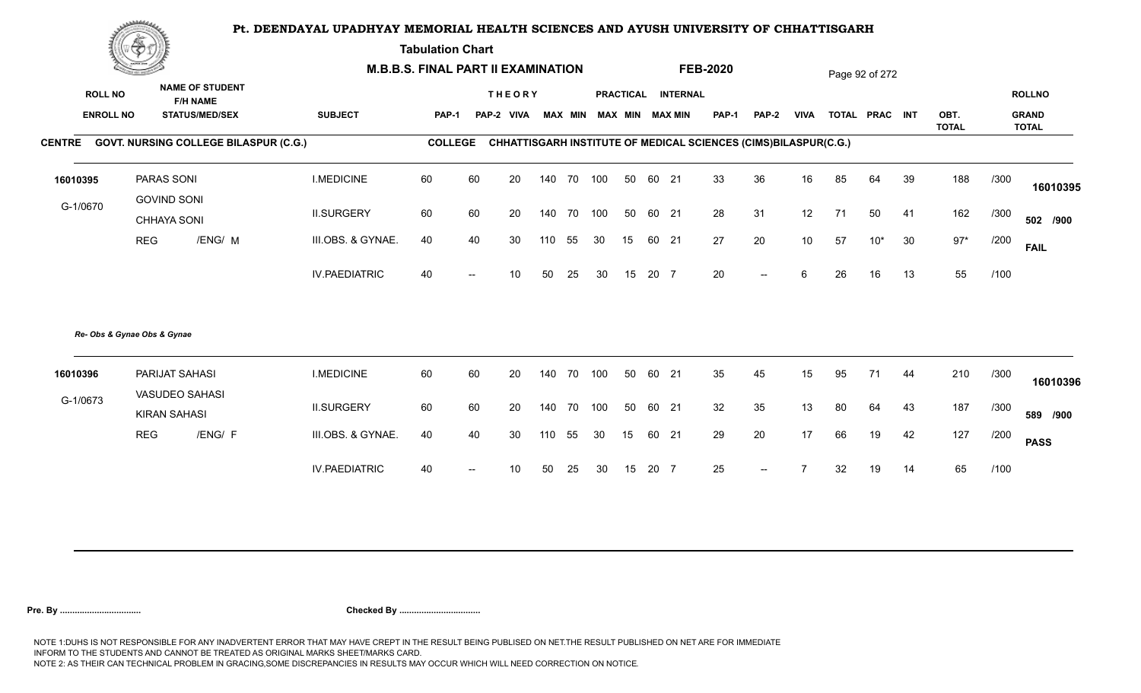**Tabulation Chart** 

|                  | <b>Construction of the Construction</b> |                                              |                      | <b>M.B.B.S. FINAL PART II EXAMINATION</b> |                          |               |     |        |    |    |       |                         | <b>FEB-2020</b> |                                                                 |                 |    | Page 92 of 272 |    |                      |      |                              |
|------------------|-----------------------------------------|----------------------------------------------|----------------------|-------------------------------------------|--------------------------|---------------|-----|--------|----|----|-------|-------------------------|-----------------|-----------------------------------------------------------------|-----------------|----|----------------|----|----------------------|------|------------------------------|
| <b>ROLL NO</b>   |                                         | <b>NAME OF STUDENT</b><br><b>F/H NAME</b>    |                      |                                           |                          | <b>THEORY</b> |     |        |    |    |       | PRACTICAL INTERNAL      |                 |                                                                 |                 |    |                |    |                      |      | <b>ROLLNO</b>                |
| <b>ENROLL NO</b> |                                         | <b>STATUS/MED/SEX</b>                        | <b>SUBJECT</b>       | <b>PAP-1</b>                              |                          | PAP-2 VIVA    |     |        |    |    |       | MAX MIN MAX MIN MAX MIN | <b>PAP-1</b>    | <b>PAP-2</b>                                                    | <b>VIVA</b>     |    | TOTAL PRAC INT |    | OBT.<br><b>TOTAL</b> |      | <b>GRAND</b><br><b>TOTAL</b> |
|                  |                                         | CENTRE GOVT. NURSING COLLEGE BILASPUR (C.G.) |                      | <b>COLLEGE</b>                            |                          |               |     |        |    |    |       |                         |                 | CHHATTISGARH INSTITUTE OF MEDICAL SCIENCES (CIMS)BILASPUR(C.G.) |                 |    |                |    |                      |      |                              |
| 16010395         |                                         | PARAS SONI                                   | <b>I.MEDICINE</b>    | 60                                        | 60                       | 20            | 140 | 70 100 |    | 50 | 60 21 |                         | 33              | 36                                                              | 16              | 85 | 64             | 39 | 188                  | /300 | 16010395                     |
| G-1/0670         |                                         | <b>GOVIND SONI</b><br>CHHAYA SONI            | <b>II.SURGERY</b>    | 60                                        | 60                       | 20            | 140 | 70 100 |    | 50 | 60 21 |                         | 28              | 31                                                              | 12              | 71 | 50             | 41 | 162                  | /300 | 502 /900                     |
|                  | <b>REG</b>                              | /ENG/ M                                      | III.OBS. & GYNAE.    | 40                                        | 40                       | 30            | 110 | 55     | 30 | 15 | 60 21 |                         | 27              | 20                                                              | 10 <sup>°</sup> | 57 | $10*$          | 30 | $97*$                | /200 | <b>FAIL</b>                  |
|                  |                                         |                                              | <b>IV.PAEDIATRIC</b> | 40                                        | $\overline{\phantom{a}}$ | 10            | 50  | 25     | 30 | 15 | 20 7  |                         | 20              | $\overline{\phantom{a}}$                                        | 6               | 26 | 16             | 13 | 55                   | /100 |                              |
|                  | Re- Obs & Gynae Obs & Gynae             |                                              |                      |                                           |                          |               |     |        |    |    |       |                         |                 |                                                                 |                 |    |                |    |                      |      |                              |
| 16010396         |                                         | PARIJAT SAHASI<br>VASUDEO SAHASI             | <b>I.MEDICINE</b>    | 60                                        | 60                       | 20            | 140 | 70 100 |    | 50 | 60 21 |                         | 35              | 45                                                              | 15              | 95 | 71             | 44 | 210                  | /300 | 16010396                     |
| G-1/0673         |                                         | <b>KIRAN SAHASI</b>                          | <b>II.SURGERY</b>    | 60                                        | 60                       | 20            | 140 | 70 100 |    | 50 | 60 21 |                         | 32              | 35                                                              | 13              | 80 | 64             | 43 | 187                  | /300 | 589 /900                     |
|                  | <b>REG</b>                              | /ENG/ F                                      | III.OBS. & GYNAE.    | 40                                        | 40                       | 30            | 110 | 55     | 30 | 15 | 60 21 |                         | 29              | 20                                                              | 17              | 66 | 19             | 42 | 127                  | /200 | <b>PASS</b>                  |
|                  |                                         |                                              | <b>IV.PAEDIATRIC</b> | 40                                        | $\overline{\phantom{a}}$ | 10            | 50  | 25     | 30 | 15 | 20 7  |                         | 25              | $--$                                                            |                 | 32 | 19             | 14 | 65                   | /100 |                              |
|                  |                                         |                                              |                      |                                           |                          |               |     |        |    |    |       |                         |                 |                                                                 |                 |    |                |    |                      |      |                              |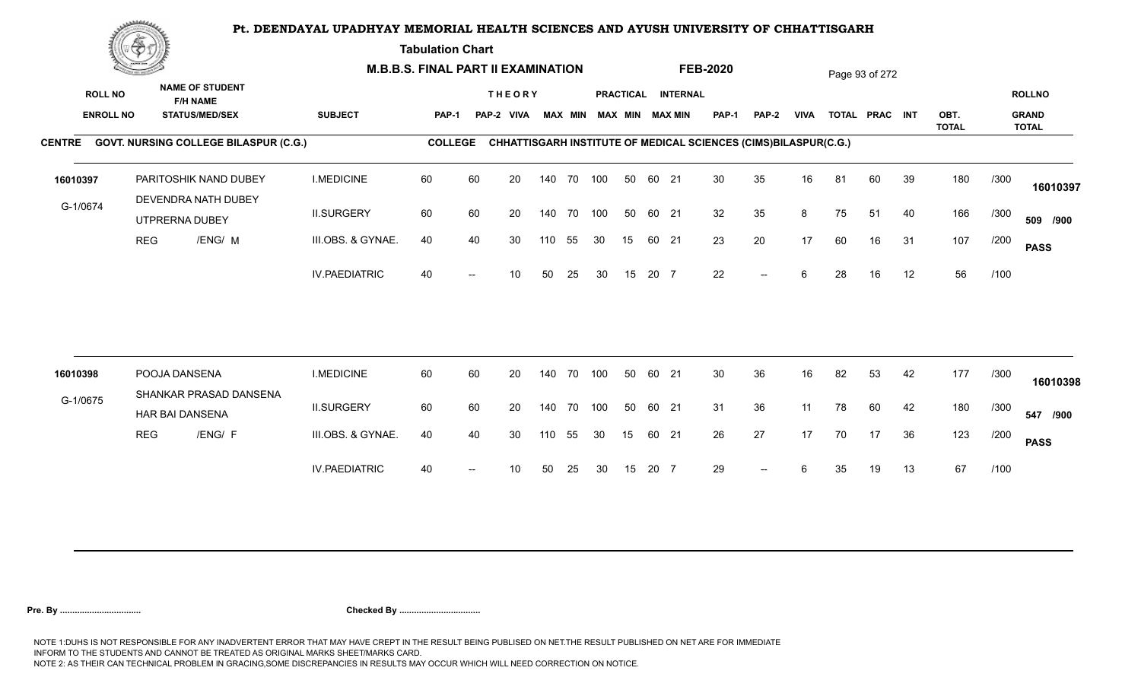**Tabulation Chart** 

|                                    | <b>Construction of the Construction</b> |                                                                    |                      | <b>M.B.B.S. FINAL PART II EXAMINATION</b> |    |                             |     |                |            |    |       |                                       | <b>FEB-2020</b>                                                 |              |             |    | Page 93 of 272 |    |                      |      |                               |
|------------------------------------|-----------------------------------------|--------------------------------------------------------------------|----------------------|-------------------------------------------|----|-----------------------------|-----|----------------|------------|----|-------|---------------------------------------|-----------------------------------------------------------------|--------------|-------------|----|----------------|----|----------------------|------|-------------------------------|
| <b>ROLL NO</b><br><b>ENROLL NO</b> |                                         | <b>NAME OF STUDENT</b><br><b>F/H NAME</b><br><b>STATUS/MED/SEX</b> | <b>SUBJECT</b>       | <b>PAP-1</b>                              |    | <b>THEORY</b><br>PAP-2 VIVA |     | <b>MAX MIN</b> |            |    |       | PRACTICAL INTERNAL<br>MAX MIN MAX MIN | PAP-1                                                           | <b>PAP-2</b> | <b>VIVA</b> |    | TOTAL PRAC INT |    | OBT.<br><b>TOTAL</b> |      | <b>ROLLNO</b><br><b>GRAND</b> |
|                                    |                                         | CENTRE GOVT. NURSING COLLEGE BILASPUR (C.G.)                       |                      | <b>COLLEGE</b>                            |    |                             |     |                |            |    |       |                                       | CHHATTISGARH INSTITUTE OF MEDICAL SCIENCES (CIMS)BILASPUR(C.G.) |              |             |    |                |    |                      |      | <b>TOTAL</b>                  |
| 16010397                           |                                         | PARITOSHIK NAND DUBEY<br>DEVENDRA NATH DUBEY                       | <b>I.MEDICINE</b>    | 60                                        | 60 | 20                          |     | 140 70         | 100        | 50 | 60 21 |                                       | 30                                                              | 35           | 16          | 81 | 60             | 39 | 180                  | /300 | 16010397                      |
| G-1/0674                           |                                         | UTPRERNA DUBEY                                                     | <b>II.SURGERY</b>    | 60                                        | 60 | 20                          |     |                | 140 70 100 | 50 | 60 21 |                                       | 32                                                              | 35           | 8           | 75 | 51             | 40 | 166                  | /300 | 509 /900                      |
|                                    | <b>REG</b>                              | /ENG/ M                                                            | III.OBS. & GYNAE.    | 40                                        | 40 | 30                          | 110 | 55             | 30         | 15 | 60 21 |                                       | 23                                                              | 20           | 17          | 60 | 16             | 31 | 107                  | /200 | <b>PASS</b>                   |
|                                    |                                         |                                                                    | <b>IV.PAEDIATRIC</b> | 40                                        |    | 10                          | 50  | 25             | 30         | 15 | 20 7  |                                       | 22                                                              | $-$          | 6           | 28 | 16             | 12 | 56                   | /100 |                               |
| 16010398                           |                                         | POOJA DANSENA                                                      | <b>I.MEDICINE</b>    | 60                                        | 60 | 20                          |     | 140 70         | 100        | 50 | 60 21 |                                       | 30                                                              | 36           | 16          | 82 | 53             | 42 | 177                  | /300 |                               |
| G-1/0675                           |                                         | SHANKAR PRASAD DANSENA                                             |                      |                                           |    |                             |     |                |            |    |       |                                       |                                                                 |              |             |    |                |    |                      |      | 16010398                      |
|                                    |                                         | HAR BAI DANSENA                                                    | <b>II.SURGERY</b>    | 60                                        | 60 | 20                          |     |                | 140 70 100 | 50 | 60 21 |                                       | 31                                                              | 36           | 11          | 78 | 60             | 42 | 180                  | /300 | 547 /900                      |
|                                    | <b>REG</b>                              | /ENG/ F                                                            | III.OBS. & GYNAE.    | 40                                        | 40 | 30                          | 110 | 55             | 30         | 15 | 60 21 |                                       | 26                                                              | 27           | 17          | 70 | 17             | 36 | 123                  | /200 | <b>PASS</b>                   |
|                                    |                                         |                                                                    | <b>IV.PAEDIATRIC</b> | 40                                        |    | 10                          | 50  | 25             | 30         | 15 | 20 7  |                                       | 29                                                              |              |             | 35 | 19             | 13 | 67                   | /100 |                               |
|                                    |                                         |                                                                    |                      |                                           |    |                             |     |                |            |    |       |                                       |                                                                 |              |             |    |                |    |                      |      |                               |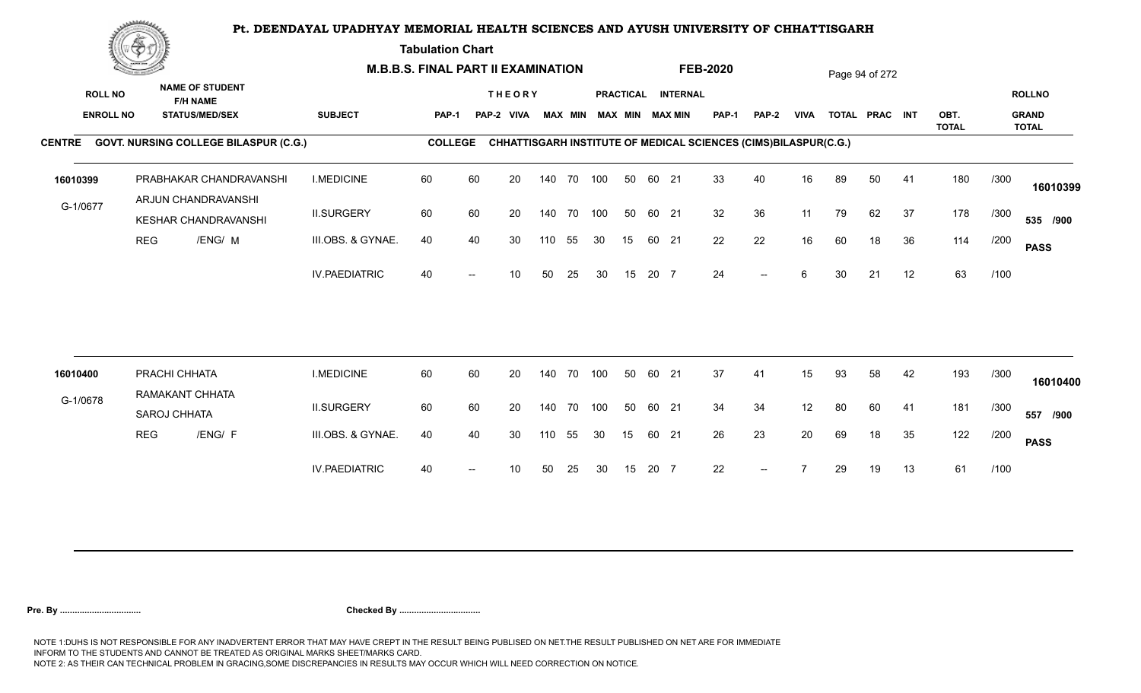**Tabulation Chart** 

|                  | <u>Contraction of the Sea</u> |                                                |                      | <b>M.B.B.S. FINAL PART II EXAMINATION</b> |    |               |     |                |     |                  |       |                        | <b>FEB-2020</b>                                                 |                          |             |    | Page 94 of 272 |    |                      |      |                              |
|------------------|-------------------------------|------------------------------------------------|----------------------|-------------------------------------------|----|---------------|-----|----------------|-----|------------------|-------|------------------------|-----------------------------------------------------------------|--------------------------|-------------|----|----------------|----|----------------------|------|------------------------------|
| <b>ROLL NO</b>   |                               | <b>NAME OF STUDENT</b><br><b>F/H NAME</b>      |                      |                                           |    | <b>THEORY</b> |     |                |     | <b>PRACTICAL</b> |       | <b>INTERNAL</b>        |                                                                 |                          |             |    |                |    |                      |      | <b>ROLLNO</b>                |
| <b>ENROLL NO</b> |                               | <b>STATUS/MED/SEX</b>                          | <b>SUBJECT</b>       | <b>PAP-1</b>                              |    | PAP-2 VIVA    |     | <b>MAX MIN</b> |     |                  |       | <b>MAX MIN MAX MIN</b> | <b>PAP-1</b>                                                    | <b>PAP-2</b>             | <b>VIVA</b> |    | TOTAL PRAC INT |    | OBT.<br><b>TOTAL</b> |      | <b>GRAND</b><br><b>TOTAL</b> |
|                  |                               | CENTRE GOVT. NURSING COLLEGE BILASPUR (C.G.)   |                      | <b>COLLEGE</b>                            |    |               |     |                |     |                  |       |                        | CHHATTISGARH INSTITUTE OF MEDICAL SCIENCES (CIMS)BILASPUR(C.G.) |                          |             |    |                |    |                      |      |                              |
| 16010399         |                               | PRABHAKAR CHANDRAVANSHI<br>ARJUN CHANDRAVANSHI | <b>I.MEDICINE</b>    | 60                                        | 60 | 20            |     | 140 70 100     |     | 50               | 60 21 |                        | 33                                                              | 40                       | 16          | 89 | 50             | 41 | 180                  | /300 | 16010399                     |
| G-1/0677         |                               | KESHAR CHANDRAVANSHI                           | <b>II.SURGERY</b>    | 60                                        | 60 | 20            |     | 140 70 100     |     | 50               | 60 21 |                        | 32                                                              | 36                       | 11          | 79 | 62             | 37 | 178                  | /300 | 535 /900                     |
|                  | <b>REG</b>                    | /ENG/ M                                        | III.OBS. & GYNAE.    | 40                                        | 40 | 30            | 110 | 55             | 30  | 15               |       | 60 21                  | 22                                                              | 22                       | 16          | 60 | 18             | 36 | 114                  | /200 | <b>PASS</b>                  |
|                  |                               |                                                | <b>IV.PAEDIATRIC</b> | 40                                        |    | 10            | 50  | 25             | 30  | 15               | 20 7  |                        | 24                                                              | $\overline{\phantom{a}}$ | 6           | 30 | 21             | 12 | 63                   | /100 |                              |
|                  |                               |                                                |                      |                                           |    |               |     |                |     |                  |       |                        |                                                                 |                          |             |    |                |    |                      |      |                              |
| 16010400         |                               | PRACHI CHHATA                                  | <b>I.MEDICINE</b>    | 60                                        | 60 | 20            |     | 140 70         | 100 | 50               | 60 21 |                        | 37                                                              | 41                       | 15          | 93 | 58             | 42 | 193                  | /300 | 16010400                     |
| G-1/0678         |                               | RAMAKANT CHHATA<br>SAROJ CHHATA                | <b>II.SURGERY</b>    | 60                                        | 60 | 20            |     | 140 70         | 100 | 50               | 60 21 |                        | 34                                                              | 34                       | 12          | 80 | 60             | 41 | 181                  | /300 | 557 /900                     |
|                  | <b>REG</b>                    | /ENG/ F                                        | III.OBS. & GYNAE.    | 40                                        | 40 | 30            | 110 | 55             | 30  | 15               |       | 60 21                  | 26                                                              | 23                       | 20          | 69 | 18             | 35 | 122                  | /200 | <b>PASS</b>                  |
|                  |                               |                                                | <b>IV.PAEDIATRIC</b> | 40                                        |    | 10            | 50  | 25             | -30 | 15               | 20 7  |                        | 22                                                              | $-$                      |             | 29 | 19             | 13 | 61                   | /100 |                              |
|                  |                               |                                                |                      |                                           |    |               |     |                |     |                  |       |                        |                                                                 |                          |             |    |                |    |                      |      |                              |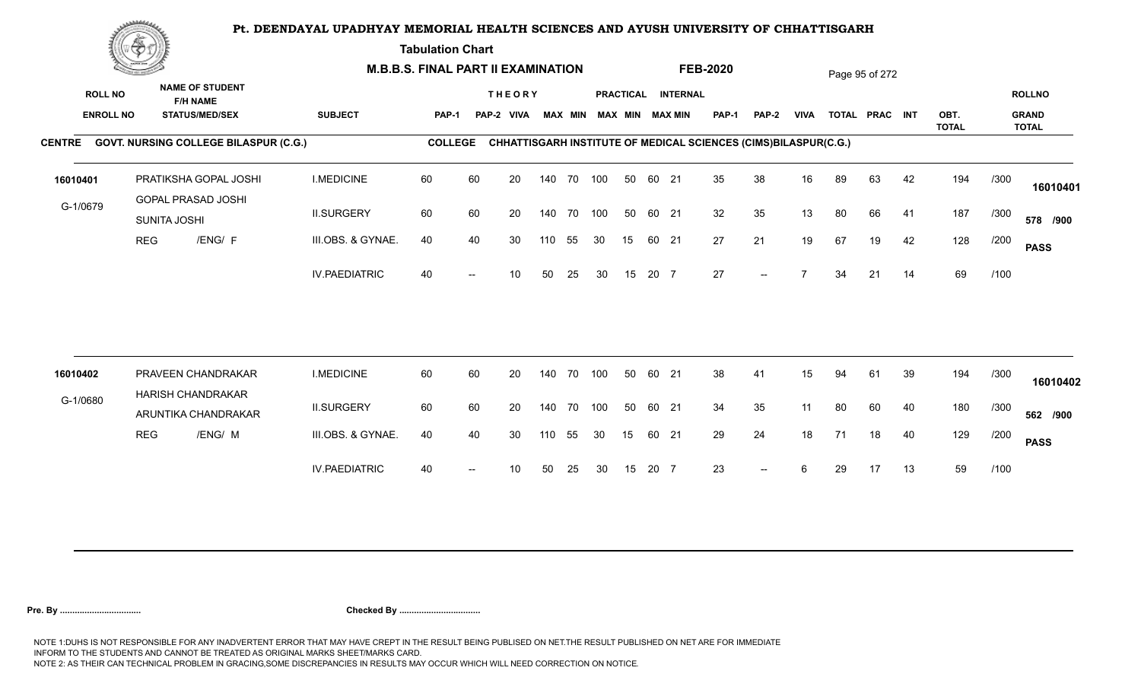**Tabulation Chart** 

|                                    | <b>Construction of the Construction</b> |                                                                    | <b>M.B.B.S. FINAL PART II EXAMINATION</b> |                |    |                             |     |                |            |    |       |                                              | <b>FEB-2020</b> |                                                                 |                |    | Page 95 of 272 |    |              |      |                               |
|------------------------------------|-----------------------------------------|--------------------------------------------------------------------|-------------------------------------------|----------------|----|-----------------------------|-----|----------------|------------|----|-------|----------------------------------------------|-----------------|-----------------------------------------------------------------|----------------|----|----------------|----|--------------|------|-------------------------------|
| <b>ROLL NO</b><br><b>ENROLL NO</b> |                                         | <b>NAME OF STUDENT</b><br><b>F/H NAME</b><br><b>STATUS/MED/SEX</b> | <b>SUBJECT</b>                            | PAP-1          |    | <b>THEORY</b><br>PAP-2 VIVA |     | <b>MAX MIN</b> |            |    |       | PRACTICAL INTERNAL<br><b>MAX MIN MAX MIN</b> | <b>PAP-1</b>    | <b>PAP-2</b>                                                    | <b>VIVA</b>    |    | TOTAL PRAC INT |    | OBT.         |      | <b>ROLLNO</b><br><b>GRAND</b> |
|                                    |                                         | CENTRE GOVT. NURSING COLLEGE BILASPUR (C.G.)                       |                                           | <b>COLLEGE</b> |    |                             |     |                |            |    |       |                                              |                 | CHHATTISGARH INSTITUTE OF MEDICAL SCIENCES (CIMS)BILASPUR(C.G.) |                |    |                |    | <b>TOTAL</b> |      | <b>TOTAL</b>                  |
|                                    |                                         |                                                                    |                                           |                |    |                             |     |                |            |    |       |                                              |                 |                                                                 |                |    |                |    |              |      |                               |
| 16010401                           |                                         | PRATIKSHA GOPAL JOSHI<br>GOPAL PRASAD JOSHI                        | <b>I.MEDICINE</b>                         | 60             | 60 | 20                          |     |                | 140 70 100 | 50 | 60 21 |                                              | 35              | 38                                                              | 16             | 89 | 63             | 42 | 194          | /300 | 16010401                      |
| G-1/0679                           |                                         | SUNITA JOSHI                                                       | <b>II.SURGERY</b>                         | 60             | 60 | 20                          |     | 140 70         | 100        | 50 | 60 21 |                                              | 32              | 35                                                              | 13             | 80 | 66             | 41 | 187          | /300 | 578 /900                      |
|                                    | <b>REG</b>                              | /ENG/ F                                                            | III.OBS. & GYNAE.                         | 40             | 40 | 30                          | 110 | 55             | 30         | 15 | 60 21 |                                              | 27              | 21                                                              | 19             | 67 | 19             | 42 | 128          | /200 | <b>PASS</b>                   |
|                                    |                                         |                                                                    | <b>IV.PAEDIATRIC</b>                      | 40             |    | 10                          | 50  | 25             | 30         | 15 | 20 7  |                                              | 27              | $\overline{\phantom{a}}$                                        | $\overline{z}$ | 34 | 21             | 14 | 69           | /100 |                               |
|                                    |                                         |                                                                    |                                           |                |    |                             |     |                |            |    |       |                                              |                 |                                                                 |                |    |                |    |              |      |                               |
| 16010402                           |                                         | PRAVEEN CHANDRAKAR                                                 | <b>I.MEDICINE</b>                         | 60             | 60 | 20                          |     | 140 70         | 100        | 50 | 60 21 |                                              | 38              | 41                                                              | 15             | 94 | 61             | 39 | 194          | /300 | 16010402                      |
| G-1/0680                           |                                         | <b>HARISH CHANDRAKAR</b><br>ARUNTIKA CHANDRAKAR                    | <b>II.SURGERY</b>                         | 60             | 60 | 20                          |     | 140 70         | 100        | 50 | 60 21 |                                              | 34              | 35                                                              | 11             | 80 | 60             | 40 | 180          | /300 | 562 /900                      |
|                                    | <b>REG</b>                              | /ENG/ M                                                            | III.OBS. & GYNAE.                         | 40             | 40 | 30                          | 110 | 55             | 30         | 15 | 60 21 |                                              | 29              | 24                                                              | 18             | 71 | 18             | 40 | 129          | /200 | <b>PASS</b>                   |
|                                    |                                         |                                                                    | <b>IV.PAEDIATRIC</b>                      | 40             |    | 10                          | 50  | 25             | 30         | 15 | 20 7  |                                              | 23              | $--$                                                            | 6              | 29 | 17             | 13 | 59           | /100 |                               |
|                                    |                                         |                                                                    |                                           |                |    |                             |     |                |            |    |       |                                              |                 |                                                                 |                |    |                |    |              |      |                               |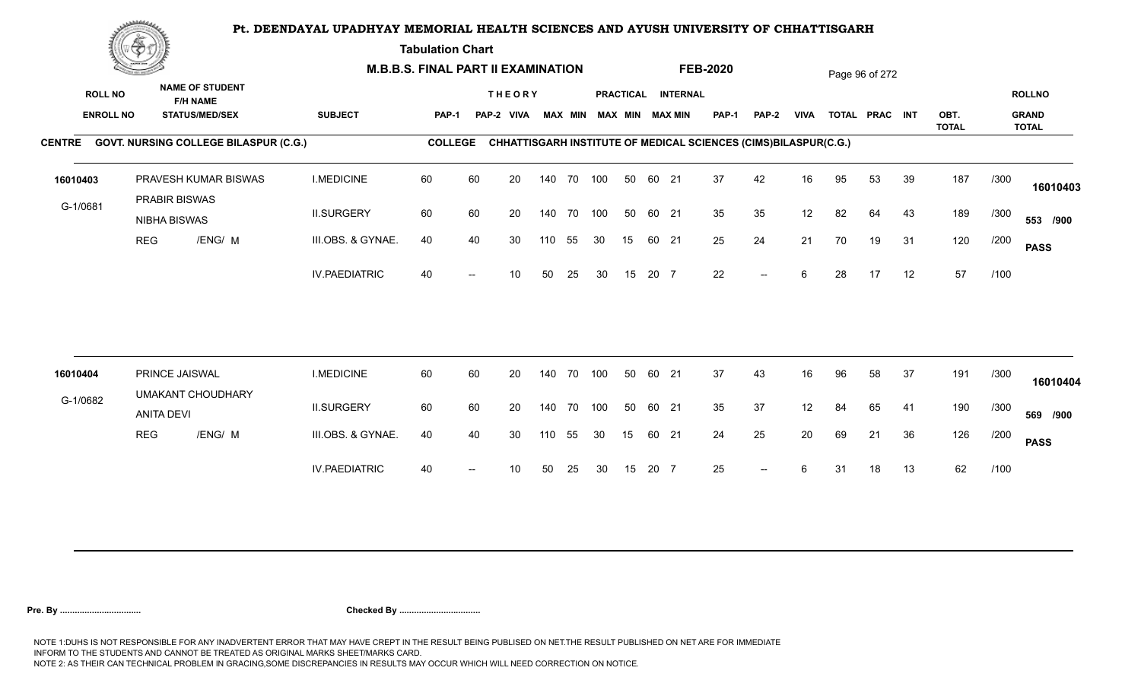**Tabulation Chart** 

|                                    | <b>Construction of the Construction</b> |                                                                    | <b>M.B.B.S. FINAL PART II EXAMINATION</b> |                |    |                             |        |                |     |    |       |                                              | <b>FEB-2020</b>                                                 |                          |             |    | Page 96 of 272 |    |              |      |                               |
|------------------------------------|-----------------------------------------|--------------------------------------------------------------------|-------------------------------------------|----------------|----|-----------------------------|--------|----------------|-----|----|-------|----------------------------------------------|-----------------------------------------------------------------|--------------------------|-------------|----|----------------|----|--------------|------|-------------------------------|
| <b>ROLL NO</b><br><b>ENROLL NO</b> |                                         | <b>NAME OF STUDENT</b><br><b>F/H NAME</b><br><b>STATUS/MED/SEX</b> | <b>SUBJECT</b>                            | PAP-1          |    | <b>THEORY</b><br>PAP-2 VIVA |        | <b>MAX MIN</b> |     |    |       | PRACTICAL INTERNAL<br><b>MAX MIN MAX MIN</b> | <b>PAP-1</b>                                                    | PAP-2                    | <b>VIVA</b> |    | TOTAL PRAC INT |    | OBT.         |      | <b>ROLLNO</b><br><b>GRAND</b> |
|                                    |                                         | CENTRE GOVT. NURSING COLLEGE BILASPUR (C.G.)                       |                                           | <b>COLLEGE</b> |    |                             |        |                |     |    |       |                                              | CHHATTISGARH INSTITUTE OF MEDICAL SCIENCES (CIMS)BILASPUR(C.G.) |                          |             |    |                |    | <b>TOTAL</b> |      | <b>TOTAL</b>                  |
| 16010403                           |                                         | PRAVESH KUMAR BISWAS<br>PRABIR BISWAS                              | <b>I.MEDICINE</b>                         | 60             | 60 | 20                          |        | 140 70 100     |     | 50 | 60 21 |                                              | 37                                                              | 42                       | 16          | 95 | 53             | 39 | 187          | /300 | 16010403                      |
| G-1/0681                           |                                         | NIBHA BISWAS                                                       | <b>II.SURGERY</b>                         | 60             | 60 | 20                          |        | 140 70         | 100 | 50 | 60 21 |                                              | 35                                                              | 35                       | 12          | 82 | 64             | 43 | 189          | /300 | 553 /900                      |
|                                    | <b>REG</b>                              | /ENG/ M                                                            | III.OBS. & GYNAE.                         | 40             | 40 | 30                          | 110    | 55             | 30  | 15 | 60 21 |                                              | 25                                                              | 24                       | 21          | 70 | 19             | 31 | 120          | /200 | <b>PASS</b>                   |
|                                    |                                         |                                                                    | <b>IV.PAEDIATRIC</b>                      | 40             |    | 10                          | 50     | 25             | 30  | 15 | 20 7  |                                              | 22                                                              | $\overline{\phantom{a}}$ | 6           | 28 | 17             | 12 | 57           | /100 |                               |
| 16010404                           |                                         | PRINCE JAISWAL                                                     | <b>I.MEDICINE</b>                         | 60             | 60 | 20                          | 140 70 |                | 100 | 50 | 60 21 |                                              | 37                                                              | 43                       | 16          | 96 | 58             | 37 | 191          | /300 |                               |
| G-1/0682                           |                                         | <b>UMAKANT CHOUDHARY</b>                                           |                                           |                |    |                             |        |                |     |    |       |                                              |                                                                 |                          |             |    |                |    |              |      | 16010404                      |
|                                    |                                         | <b>ANITA DEVI</b>                                                  | <b>II.SURGERY</b>                         | 60             | 60 | 20                          |        | 140 70         | 100 | 50 | 60 21 |                                              | 35                                                              | 37                       | 12          | 84 | 65             | 41 | 190          | /300 | 569 /900                      |
|                                    | <b>REG</b>                              | /ENG/ M                                                            | III.OBS. & GYNAE.                         | 40             | 40 | 30                          | 110    | 55             | 30  | 15 | 60 21 |                                              | 24                                                              | 25                       | 20          | 69 | 21             | 36 | 126          | /200 | <b>PASS</b>                   |
|                                    |                                         |                                                                    | <b>IV.PAEDIATRIC</b>                      | 40             |    | 10                          | 50     | 25             | 30  | 15 | 20 7  |                                              | 25                                                              | $\overline{\phantom{a}}$ | 6           | 31 | 18             | 13 | 62           | /100 |                               |
|                                    |                                         |                                                                    |                                           |                |    |                             |        |                |     |    |       |                                              |                                                                 |                          |             |    |                |    |              |      |                               |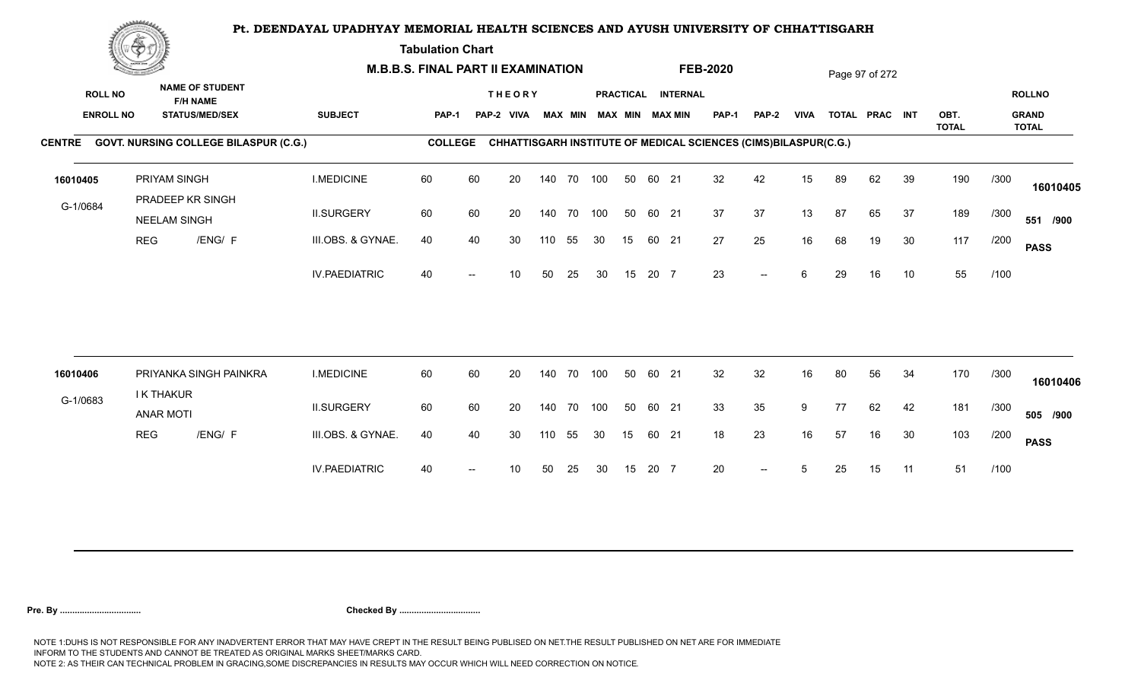**Tabulation Chart** 

|                                    | <b>Construction of the Construction</b> |                                                                    | <b>M.B.B.S. FINAL PART II EXAMINATION</b> |                |    |                             |     |                |            |    |       |                                       | <b>FEB-2020</b>                                                 |                          |             |    | Page 97 of 272 |    |              |      |                               |
|------------------------------------|-----------------------------------------|--------------------------------------------------------------------|-------------------------------------------|----------------|----|-----------------------------|-----|----------------|------------|----|-------|---------------------------------------|-----------------------------------------------------------------|--------------------------|-------------|----|----------------|----|--------------|------|-------------------------------|
| <b>ROLL NO</b><br><b>ENROLL NO</b> |                                         | <b>NAME OF STUDENT</b><br><b>F/H NAME</b><br><b>STATUS/MED/SEX</b> | <b>SUBJECT</b>                            | <b>PAP-1</b>   |    | <b>THEORY</b><br>PAP-2 VIVA |     | <b>MAX MIN</b> |            |    |       | PRACTICAL INTERNAL<br>MAX MIN MAX MIN | PAP-1                                                           | <b>PAP-2</b>             | <b>VIVA</b> |    | TOTAL PRAC INT |    | OBT.         |      | <b>ROLLNO</b><br><b>GRAND</b> |
|                                    |                                         | CENTRE GOVT. NURSING COLLEGE BILASPUR (C.G.)                       |                                           | <b>COLLEGE</b> |    |                             |     |                |            |    |       |                                       | CHHATTISGARH INSTITUTE OF MEDICAL SCIENCES (CIMS)BILASPUR(C.G.) |                          |             |    |                |    | <b>TOTAL</b> |      | <b>TOTAL</b>                  |
| 16010405                           |                                         | PRIYAM SINGH<br>PRADEEP KR SINGH                                   | <b>I.MEDICINE</b>                         | 60             | 60 | 20                          |     | 140 70         | 100        | 50 | 60 21 |                                       | 32                                                              | 42                       | 15          | 89 | 62             | 39 | 190          | /300 | 16010405                      |
| G-1/0684                           |                                         | <b>NEELAM SINGH</b>                                                | <b>II.SURGERY</b>                         | 60             | 60 | 20                          |     | 140 70         | 100        | 50 | 60 21 |                                       | 37                                                              | 37                       | 13          | 87 | 65             | 37 | 189          | /300 | 551 /900                      |
|                                    | <b>REG</b>                              | /ENG/ F                                                            | III.OBS. & GYNAE.                         | 40             | 40 | 30                          | 110 | 55             | 30         | 15 | 60 21 |                                       | 27                                                              | 25                       | 16          | 68 | 19             | 30 | 117          | /200 | <b>PASS</b>                   |
|                                    |                                         |                                                                    | <b>IV.PAEDIATRIC</b>                      | 40             |    | 10                          | 50  | 25             | 30         | 15 | 20 7  |                                       | 23                                                              | $\overline{\phantom{a}}$ | 6           | 29 | 16             | 10 | 55           | /100 |                               |
|                                    |                                         |                                                                    |                                           |                |    |                             |     |                |            |    |       |                                       |                                                                 |                          |             |    |                |    |              |      |                               |
| 16010406                           |                                         | PRIYANKA SINGH PAINKRA<br>I K THAKUR                               | <b>I.MEDICINE</b>                         | 60             | 60 | 20                          |     | 140 70         | 100        | 50 | 60 21 |                                       | 32                                                              | 32                       | 16          | 80 | 56             | 34 | 170          | /300 | 16010406                      |
| G-1/0683                           |                                         | <b>ANAR MOTI</b>                                                   | <b>II.SURGERY</b>                         | 60             | 60 | 20                          |     |                | 140 70 100 | 50 | 60 21 |                                       | 33                                                              | 35                       | 9           | 77 | 62             | 42 | 181          | /300 | 505 /900                      |
|                                    | <b>REG</b>                              | /ENG/ F                                                            | III.OBS. & GYNAE.                         | 40             | 40 | 30                          | 110 | 55             | 30         | 15 | 60 21 |                                       | 18                                                              | 23                       | 16          | 57 | 16             | 30 | 103          | /200 | <b>PASS</b>                   |
|                                    |                                         |                                                                    | <b>IV.PAEDIATRIC</b>                      | 40             |    | 10                          | 50  | 25             | 30         | 15 | 20 7  |                                       | 20                                                              | $-$                      | 5           | 25 | 15             | 11 | 51           | /100 |                               |
|                                    |                                         |                                                                    |                                           |                |    |                             |     |                |            |    |       |                                       |                                                                 |                          |             |    |                |    |              |      |                               |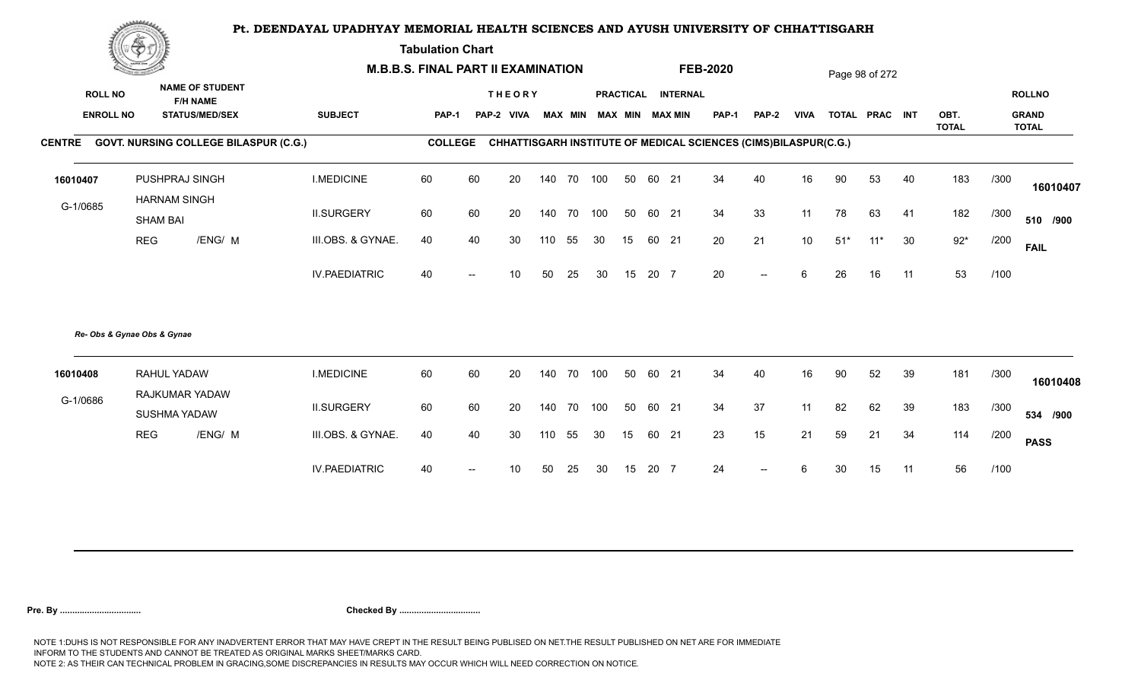**Tabulation Chart** 

|                  | Construction of the Construction |                                           |                                              |                      | <b>M.B.B.S. FINAL PART II EXAMINATION</b> |    |               |        |        |                         |    |       |                    | <b>FEB-2020</b> |                                                                 |                 |       | Page 98 of 272 |    |                      |      |                              |
|------------------|----------------------------------|-------------------------------------------|----------------------------------------------|----------------------|-------------------------------------------|----|---------------|--------|--------|-------------------------|----|-------|--------------------|-----------------|-----------------------------------------------------------------|-----------------|-------|----------------|----|----------------------|------|------------------------------|
| <b>ROLL NO</b>   |                                  | <b>NAME OF STUDENT</b><br><b>F/H NAME</b> |                                              |                      |                                           |    | <b>THEORY</b> |        |        |                         |    |       | PRACTICAL INTERNAL |                 |                                                                 |                 |       |                |    |                      |      | <b>ROLLNO</b>                |
| <b>ENROLL NO</b> |                                  | <b>STATUS/MED/SEX</b>                     |                                              | <b>SUBJECT</b>       | PAP-1                                     |    | PAP-2 VIVA    |        |        | MAX MIN MAX MIN MAX MIN |    |       |                    | <b>PAP-1</b>    | <b>PAP-2</b>                                                    | <b>VIVA</b>     |       | TOTAL PRAC INT |    | OBT.<br><b>TOTAL</b> |      | <b>GRAND</b><br><b>TOTAL</b> |
|                  |                                  |                                           | CENTRE GOVT. NURSING COLLEGE BILASPUR (C.G.) |                      | <b>COLLEGE</b>                            |    |               |        |        |                         |    |       |                    |                 | CHHATTISGARH INSTITUTE OF MEDICAL SCIENCES (CIMS)BILASPUR(C.G.) |                 |       |                |    |                      |      |                              |
| 16010407         |                                  | PUSHPRAJ SINGH                            |                                              | <b>I.MEDICINE</b>    | 60                                        | 60 | 20            | 140    | 70 100 |                         | 50 | 60 21 |                    | 34              | 40                                                              | 16              | 90    | 53             | 40 | 183                  | /300 | 16010407                     |
| G-1/0685         |                                  | <b>HARNAM SINGH</b><br><b>SHAM BAI</b>    |                                              | <b>II.SURGERY</b>    | 60                                        | 60 | 20            | 140    | 70 100 |                         | 50 | 60 21 |                    | 34              | 33                                                              | 11              | 78    | 63             | 41 | 182                  | /300 | 510 /900                     |
|                  | <b>REG</b>                       | /ENG/ M                                   |                                              | III.OBS. & GYNAE.    | 40                                        | 40 | 30            |        | 110 55 | 30                      | 15 | 60 21 |                    | 20              | 21                                                              | 10 <sup>1</sup> | $51*$ | $11*$          | 30 | $92*$                | /200 | <b>FAIL</b>                  |
|                  |                                  |                                           |                                              | <b>IV.PAEDIATRIC</b> | 40                                        |    | 10            | 50     | 25     | 30                      | 15 | 20 7  |                    | 20              | $\overline{\phantom{a}}$                                        | 6               | 26    | 16             | 11 | 53                   | /100 |                              |
|                  | Re- Obs & Gynae Obs & Gynae      |                                           |                                              |                      |                                           |    |               |        |        |                         |    |       |                    |                 |                                                                 |                 |       |                |    |                      |      |                              |
| 16010408         |                                  | RAHUL YADAW                               |                                              | <b>I.MEDICINE</b>    | 60                                        | 60 | 20            | 140    | 70     | 100                     | 50 | 60 21 |                    | 34              | 40                                                              | 16              | 90    | 52             | 39 | 181                  | /300 | 16010408                     |
| G-1/0686         |                                  | RAJKUMAR YADAW<br>SUSHMA YADAW            |                                              | <b>II.SURGERY</b>    | 60                                        | 60 | 20            | 140    | 70     | 100                     | 50 | 60 21 |                    | 34              | 37                                                              | 11              | 82    | 62             | 39 | 183                  | /300 | 534 /900                     |
|                  | <b>REG</b>                       | /ENG/ M                                   |                                              | III.OBS. & GYNAE.    | 40                                        | 40 | 30            | 110 55 |        | 30                      | 15 | 60 21 |                    | 23              | 15                                                              | 21              | 59    | 21             | 34 | 114                  | /200 | <b>PASS</b>                  |
|                  |                                  |                                           |                                              | <b>IV.PAEDIATRIC</b> | 40                                        |    | 10            | 50     | 25     | 30                      | 15 | 20 7  |                    | 24              | $\hspace{0.05cm}$ – $\hspace{0.05cm}$                           | 6               | 30    | 15             | 11 | 56                   | /100 |                              |
|                  |                                  |                                           |                                              |                      |                                           |    |               |        |        |                         |    |       |                    |                 |                                                                 |                 |       |                |    |                      |      |                              |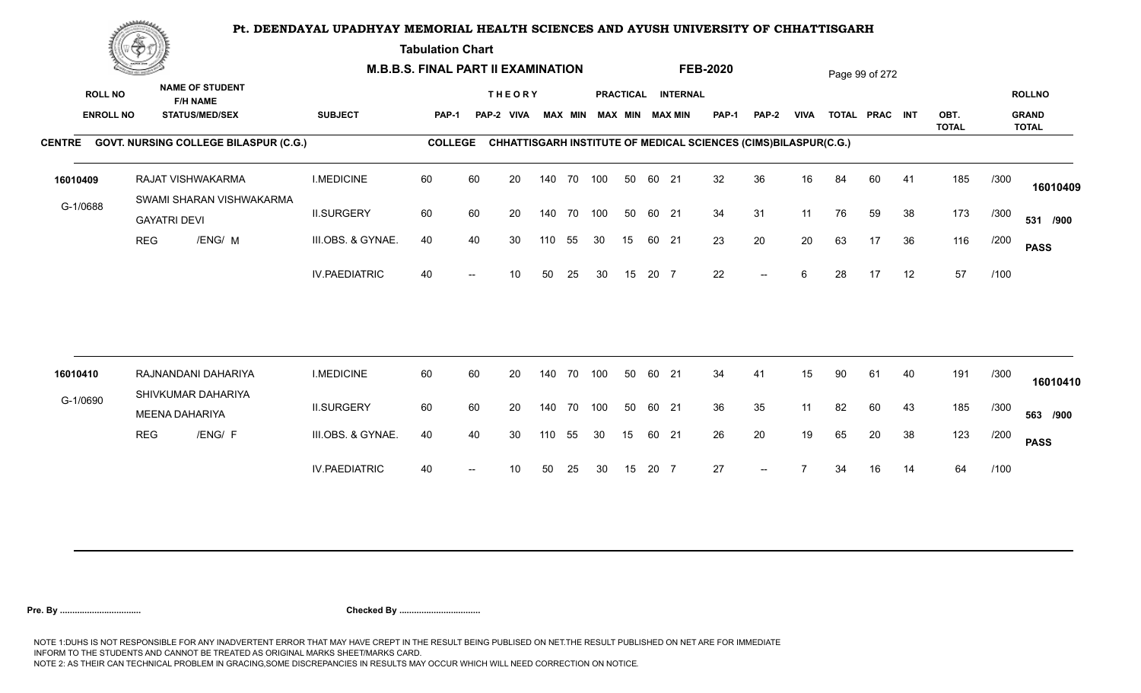**Tabulation Chart** 

|                  | <u>Contraction</u> |                                               |                      | <b>M.B.B.S. FINAL PART II EXAMINATION</b> |                          |                 |     |                |     |                  |       |                 | <b>FEB-2020</b> |                                                                 |             |    | Page 99 of 272 |    |                      |      |                              |
|------------------|--------------------|-----------------------------------------------|----------------------|-------------------------------------------|--------------------------|-----------------|-----|----------------|-----|------------------|-------|-----------------|-----------------|-----------------------------------------------------------------|-------------|----|----------------|----|----------------------|------|------------------------------|
| <b>ROLL NO</b>   |                    | <b>NAME OF STUDENT</b><br><b>F/H NAME</b>     |                      |                                           |                          | <b>THEORY</b>   |     |                |     | <b>PRACTICAL</b> |       | <b>INTERNAL</b> |                 |                                                                 |             |    |                |    |                      |      | <b>ROLLNO</b>                |
| <b>ENROLL NO</b> |                    | <b>STATUS/MED/SEX</b>                         | <b>SUBJECT</b>       | PAP-1                                     |                          | PAP-2 VIVA      |     | <b>MAX MIN</b> |     |                  |       | MAX MIN MAX MIN | PAP-1           | <b>PAP-2</b>                                                    | <b>VIVA</b> |    | TOTAL PRAC INT |    | OBT.<br><b>TOTAL</b> |      | <b>GRAND</b><br><b>TOTAL</b> |
|                  |                    | CENTRE GOVT. NURSING COLLEGE BILASPUR (C.G.)  |                      | <b>COLLEGE</b>                            |                          |                 |     |                |     |                  |       |                 |                 | CHHATTISGARH INSTITUTE OF MEDICAL SCIENCES (CIMS)BILASPUR(C.G.) |             |    |                |    |                      |      |                              |
| 16010409         |                    | RAJAT VISHWAKARMA<br>SWAMI SHARAN VISHWAKARMA | <b>I.MEDICINE</b>    | 60                                        | 60                       | 20              |     | 140 70 100     |     | 50               | 60 21 |                 | 32              | 36                                                              | 16          | 84 | 60             | 41 | 185                  | /300 | 16010409                     |
| G-1/0688         |                    | <b>GAYATRI DEVI</b>                           | <b>II.SURGERY</b>    | 60                                        | 60                       | 20              |     | 140 70 100     |     | 50               | 60 21 |                 | 34              | 31                                                              | 11          | 76 | 59             | 38 | 173                  | /300 | 531 /900                     |
|                  | <b>REG</b>         | /ENG/ M                                       | III.OBS. & GYNAE.    | 40                                        | 40                       | 30              | 110 | 55             | 30  | 15               | 60 21 |                 | 23              | 20                                                              | 20          | 63 | 17             | 36 | 116                  | /200 | <b>PASS</b>                  |
|                  |                    |                                               | <b>IV.PAEDIATRIC</b> | 40                                        |                          | 10 <sup>°</sup> | 50  | 25             | 30  | 15               | 20 7  |                 | 22              | $--$                                                            | 6           | 28 | 17             | 12 | 57                   | /100 |                              |
|                  |                    |                                               |                      | 60                                        |                          |                 |     |                |     |                  |       |                 |                 |                                                                 |             |    |                |    |                      |      |                              |
| 16010410         |                    | RAJNANDANI DAHARIYA<br>SHIVKUMAR DAHARIYA     | <b>I.MEDICINE</b>    |                                           | 60                       | 20              |     | 140 70         | 100 | 50               | 60 21 |                 | 34              | 41                                                              | 15          | 90 | 61             | 40 | 191                  | /300 | 16010410                     |
| G-1/0690         |                    | <b>MEENA DAHARIYA</b>                         | <b>II.SURGERY</b>    | 60                                        | 60                       | 20              |     | 140 70         | 100 | 50               | 60 21 |                 | 36              | 35                                                              | 11          | 82 | 60             | 43 | 185                  | /300 | 563 /900                     |
|                  | <b>REG</b>         | /ENG/ F                                       | III.OBS. & GYNAE.    | 40                                        | 40                       | 30              | 110 | 55             | 30  | 15               | 60 21 |                 | 26              | 20                                                              | 19          | 65 | 20             | 38 | 123                  | /200 | <b>PASS</b>                  |
|                  |                    |                                               | <b>IV.PAEDIATRIC</b> | 40                                        | $\overline{\phantom{a}}$ | 10              | 50  | 25             | 30  | 15               | 20 7  |                 | 27              | $--$                                                            |             | 34 | 16             | 14 | 64                   | /100 |                              |
|                  |                    |                                               |                      |                                           |                          |                 |     |                |     |                  |       |                 |                 |                                                                 |             |    |                |    |                      |      |                              |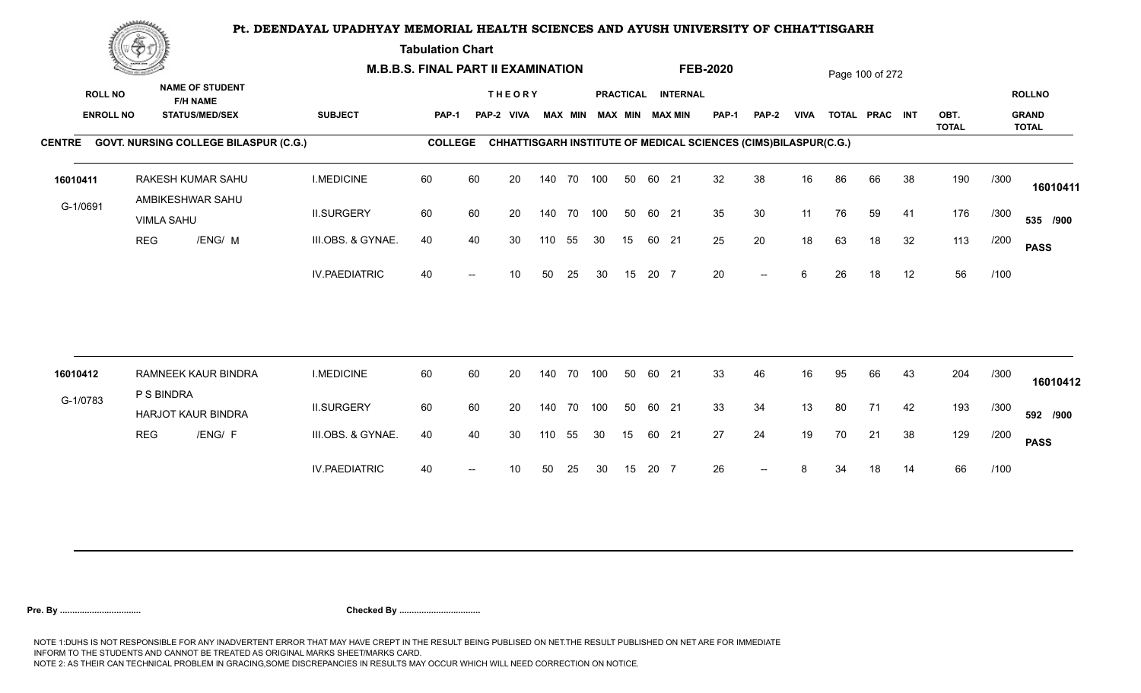**Tabulation Chart** 

|                                    | <b>Construction of the Construction</b> |                                                                    | <b>M.B.B.S. FINAL PART II EXAMINATION</b> |                |    |                             |        |                |            |    |       |                                       | <b>FEB-2020</b>                                                 |              |             |    | Page 100 of 272 |    |              |      |                               |
|------------------------------------|-----------------------------------------|--------------------------------------------------------------------|-------------------------------------------|----------------|----|-----------------------------|--------|----------------|------------|----|-------|---------------------------------------|-----------------------------------------------------------------|--------------|-------------|----|-----------------|----|--------------|------|-------------------------------|
| <b>ROLL NO</b><br><b>ENROLL NO</b> |                                         | <b>NAME OF STUDENT</b><br><b>F/H NAME</b><br><b>STATUS/MED/SEX</b> | <b>SUBJECT</b>                            | <b>PAP-1</b>   |    | <b>THEORY</b><br>PAP-2 VIVA |        | <b>MAX MIN</b> |            |    |       | PRACTICAL INTERNAL<br>MAX MIN MAX MIN | PAP-1                                                           | <b>PAP-2</b> | <b>VIVA</b> |    | TOTAL PRAC INT  |    | OBT.         |      | <b>ROLLNO</b><br><b>GRAND</b> |
|                                    |                                         | CENTRE GOVT. NURSING COLLEGE BILASPUR (C.G.)                       |                                           | <b>COLLEGE</b> |    |                             |        |                |            |    |       |                                       | CHHATTISGARH INSTITUTE OF MEDICAL SCIENCES (CIMS)BILASPUR(C.G.) |              |             |    |                 |    | <b>TOTAL</b> |      | <b>TOTAL</b>                  |
|                                    |                                         |                                                                    |                                           |                |    |                             |        |                |            |    |       |                                       |                                                                 |              |             |    |                 |    |              |      |                               |
| 16010411                           |                                         | RAKESH KUMAR SAHU                                                  | <b>I.MEDICINE</b>                         | 60             | 60 | 20                          |        | 140 70         | 100        | 50 | 60 21 |                                       | 32                                                              | 38           | 16          | 86 | 66              | 38 | 190          | /300 | 16010411                      |
| G-1/0691                           |                                         | AMBIKESHWAR SAHU<br><b>VIMLA SAHU</b>                              | <b>II.SURGERY</b>                         | 60             | 60 | 20                          |        |                | 140 70 100 | 50 | 60 21 |                                       | 35                                                              | 30           | 11          | 76 | 59              | 41 | 176          | /300 | 535 /900                      |
|                                    | <b>REG</b>                              | /ENG/ M                                                            | III.OBS. & GYNAE.                         | 40             | 40 | 30                          | 110    | 55             | 30         | 15 | 60 21 |                                       | 25                                                              | 20           | 18          | 63 | 18              | 32 | 113          | /200 | <b>PASS</b>                   |
|                                    |                                         |                                                                    | <b>IV.PAEDIATRIC</b>                      | 40             |    | 10                          | 50     | 25             | 30         | 15 | 20 7  |                                       | 20                                                              | $-$          | 6           | 26 | 18              | 12 | 56           | /100 |                               |
|                                    |                                         |                                                                    |                                           |                |    |                             |        |                |            |    |       |                                       |                                                                 |              |             |    |                 |    |              |      |                               |
| 16010412                           |                                         | RAMNEEK KAUR BINDRA<br>P S BINDRA                                  | <b>I.MEDICINE</b>                         | 60             | 60 | 20                          | 140 70 |                | 100        | 50 | 60 21 |                                       | 33                                                              | 46           | 16          | 95 | 66              | 43 | 204          | /300 | 16010412                      |
| G-1/0783                           |                                         | <b>HARJOT KAUR BINDRA</b>                                          | <b>II.SURGERY</b>                         | 60             | 60 | 20                          |        |                | 140 70 100 | 50 | 60 21 |                                       | 33                                                              | 34           | 13          | 80 | 71              | 42 | 193          | /300 | 592 /900                      |
|                                    | <b>REG</b>                              | /ENG/ F                                                            | III.OBS. & GYNAE.                         | 40             | 40 | 30                          | 110    | 55             | 30         | 15 | 60 21 |                                       | 27                                                              | 24           | 19          | 70 | 21              | 38 | 129          | /200 | <b>PASS</b>                   |
|                                    |                                         |                                                                    | <b>IV.PAEDIATRIC</b>                      | 40             |    | 10                          | 50     | 25             | 30         | 15 | 20 7  |                                       | 26                                                              |              | 8           | 34 | 18              | 14 | 66           | /100 |                               |
|                                    |                                         |                                                                    |                                           |                |    |                             |        |                |            |    |       |                                       |                                                                 |              |             |    |                 |    |              |      |                               |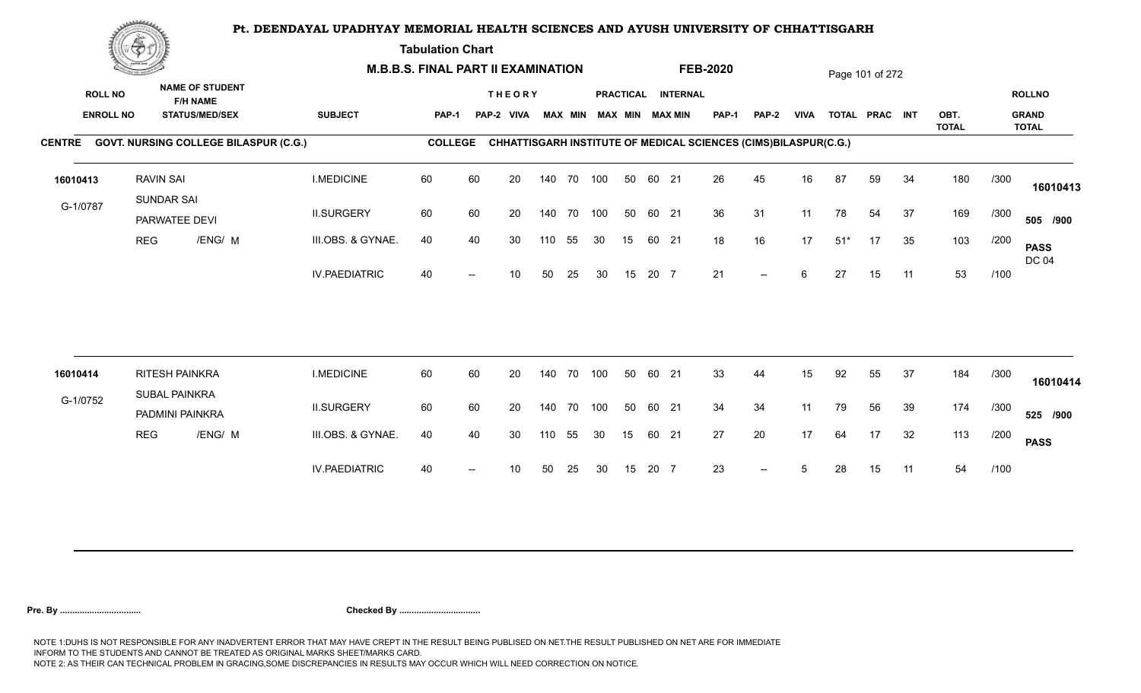**Tabulation Chart** 

|                                    | <b>Construction of the Construction</b> |                                                                    | <b>M.B.B.S. FINAL PART II EXAMINATION</b> |                |    |                             |     |                |    |    |       |                                       | <b>FEB-2020</b>                                                        |              |             |       | Page 101 of 272 |    |              |      |                               |
|------------------------------------|-----------------------------------------|--------------------------------------------------------------------|-------------------------------------------|----------------|----|-----------------------------|-----|----------------|----|----|-------|---------------------------------------|------------------------------------------------------------------------|--------------|-------------|-------|-----------------|----|--------------|------|-------------------------------|
| <b>ROLL NO</b><br><b>ENROLL NO</b> |                                         | <b>NAME OF STUDENT</b><br><b>F/H NAME</b><br><b>STATUS/MED/SEX</b> | <b>SUBJECT</b>                            | <b>PAP-1</b>   |    | <b>THEORY</b><br>PAP-2 VIVA |     | <b>MAX MIN</b> |    |    |       | PRACTICAL INTERNAL<br>MAX MIN MAX MIN | PAP-1                                                                  | <b>PAP-2</b> | <b>VIVA</b> |       | TOTAL PRAC INT  |    | OBT.         |      | <b>ROLLNO</b><br><b>GRAND</b> |
|                                    |                                         | CENTRE GOVT. NURSING COLLEGE BILASPUR (C.G.)                       |                                           | <b>COLLEGE</b> |    |                             |     |                |    |    |       |                                       | <b>CHHATTISGARH INSTITUTE OF MEDICAL SCIENCES (CIMS)BILASPUR(C.G.)</b> |              |             |       |                 |    | <b>TOTAL</b> |      | <b>TOTAL</b>                  |
| 16010413                           | <b>RAVIN SAI</b>                        |                                                                    | <b>I.MEDICINE</b>                         | 60             | 60 | 20                          |     | 140 70 100     |    | 50 | 60 21 |                                       | 26                                                                     | 45           | 16          | 87    | 59              | 34 | 180          | /300 | 16010413                      |
| G-1/0787                           |                                         | <b>SUNDAR SAI</b><br>PARWATEE DEVI                                 | <b>II.SURGERY</b>                         | 60             | 60 | 20                          |     | 140 70 100     |    | 50 | 60 21 |                                       | 36                                                                     | 31           | 11          | 78    | 54              | 37 | 169          | /300 | 505 /900                      |
|                                    | <b>REG</b>                              | /ENG/ M                                                            | III.OBS. & GYNAE.                         | 40             | 40 | 30                          | 110 | 55             | 30 | 15 | 60 21 |                                       | 18                                                                     | 16           | 17          | $51*$ | 17              | 35 | 103          | /200 | <b>PASS</b><br><b>DC 04</b>   |
|                                    |                                         |                                                                    | <b>IV.PAEDIATRIC</b>                      | 40             |    | 10                          | 50  | 25             | 30 | 15 | 20 7  |                                       | 21                                                                     | $--$         | 6           | 27    | 15              | 11 | 53           | /100 |                               |
|                                    |                                         |                                                                    |                                           |                |    |                             |     |                |    |    |       |                                       |                                                                        |              |             |       |                 |    |              |      |                               |
| 16010414                           |                                         | RITESH PAINKRA<br>SUBAL PAINKRA                                    | <b>I.MEDICINE</b>                         | 60             | 60 | 20                          |     | 140 70 100     |    | 50 | 60 21 |                                       | 33                                                                     | 44           | 15          | 92    | 55              | 37 | 184          | /300 | 16010414                      |
| G-1/0752                           |                                         | PADMINI PAINKRA                                                    | <b>II.SURGERY</b>                         | 60             | 60 | 20                          |     | 140 70 100     |    | 50 | 60 21 |                                       | 34                                                                     | 34           | 11          | 79    | 56              | 39 | 174          | /300 | 525 /900                      |
|                                    | <b>REG</b>                              | /ENG/ M                                                            | III.OBS. & GYNAE.                         | 40             | 40 | 30                          | 110 | 55             | 30 | 15 | 60 21 |                                       | 27                                                                     | 20           | 17          | 64    | 17              | 32 | 113          | /200 | <b>PASS</b>                   |
|                                    |                                         |                                                                    | <b>IV.PAEDIATRIC</b>                      | 40             |    | 10                          | 50  | 25             | 30 | 15 | 20 7  |                                       | 23                                                                     | $-$          | 5           | 28    | 15              | 11 | 54           | /100 |                               |
|                                    |                                         |                                                                    |                                           |                |    |                             |     |                |    |    |       |                                       |                                                                        |              |             |       |                 |    |              |      |                               |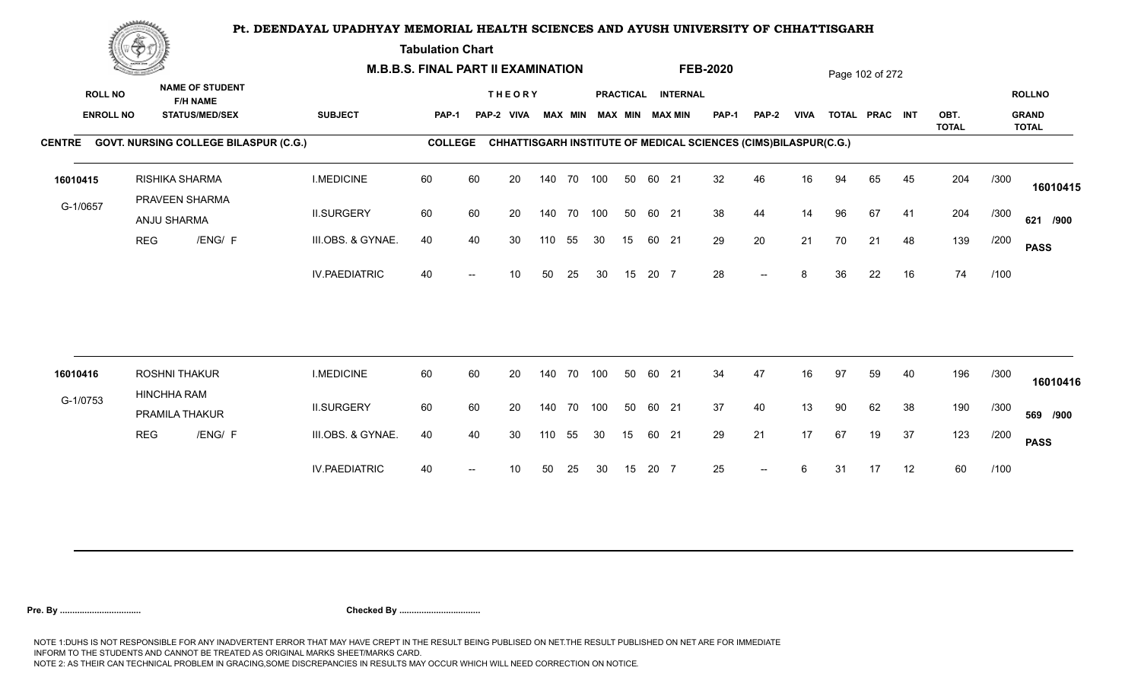**Tabulation Chart** 

|          | <b>Construction of the Construction</b>                                            |                                  |                                                 |                      | <b>M.B.B.S. FINAL PART II EXAMINATION</b> |    |                             |     |                |     |    |       |                                              | <b>FEB-2020</b>                                                 |                          |             |    | Page 102 of 272 |    |              |      |                               |
|----------|------------------------------------------------------------------------------------|----------------------------------|-------------------------------------------------|----------------------|-------------------------------------------|----|-----------------------------|-----|----------------|-----|----|-------|----------------------------------------------|-----------------------------------------------------------------|--------------------------|-------------|----|-----------------|----|--------------|------|-------------------------------|
|          | <b>ROLL NO</b><br><b>ENROLL NO</b><br>CENTRE GOVT. NURSING COLLEGE BILASPUR (C.G.) |                                  | <b>NAME OF STUDENT</b><br><b>STATUS/MED/SEX</b> | <b>SUBJECT</b>       | PAP-1                                     |    | <b>THEORY</b><br>PAP-2 VIVA |     | <b>MAX MIN</b> |     |    |       | PRACTICAL INTERNAL<br><b>MAX MIN MAX MIN</b> | <b>PAP-1</b>                                                    | PAP-2                    | <b>VIVA</b> |    | TOTAL PRAC INT  |    | OBT.         |      | <b>ROLLNO</b><br><b>GRAND</b> |
|          |                                                                                    |                                  |                                                 |                      | <b>COLLEGE</b>                            |    |                             |     |                |     |    |       |                                              | CHHATTISGARH INSTITUTE OF MEDICAL SCIENCES (CIMS)BILASPUR(C.G.) |                          |             |    |                 |    | <b>TOTAL</b> |      | <b>TOTAL</b>                  |
| 16010415 |                                                                                    | RISHIKA SHARMA<br>PRAVEEN SHARMA |                                                 | <b>I.MEDICINE</b>    | 60                                        | 60 | 20                          |     | 140 70 100     |     | 50 | 60 21 |                                              | 32                                                              | 46                       | 16          | 94 | 65              | 45 | 204          | /300 | 16010415                      |
| G-1/0657 |                                                                                    | ANJU SHARMA                      |                                                 | <b>II.SURGERY</b>    | 60                                        | 60 | 20                          |     | 140 70         | 100 | 50 | 60 21 |                                              | 38                                                              | 44                       | 14          | 96 | 67              | 41 | 204          | /300 | 621 /900                      |
|          | <b>REG</b>                                                                         | /ENG/ F                          |                                                 | III.OBS. & GYNAE.    | 40                                        | 40 | 30                          | 110 | 55             | 30  | 15 |       | 60 21                                        | 29                                                              | 20                       | 21          | 70 | 21              | 48 | 139          | /200 | <b>PASS</b>                   |
|          |                                                                                    |                                  |                                                 | <b>IV.PAEDIATRIC</b> | 40                                        |    | 10                          | 50  | 25             | 30  | 15 | 20 7  |                                              | 28                                                              | $- -$                    | 8           | 36 | 22              | 16 | 74           | /100 |                               |
| 16010416 |                                                                                    | <b>ROSHNI THAKUR</b>             |                                                 | <b>I.MEDICINE</b>    | 60                                        | 60 | 20                          |     | 140 70         | 100 | 50 | 60 21 |                                              | 34                                                              | 47                       | 16          | 97 | 59              | 40 | 196          | /300 |                               |
| G-1/0753 |                                                                                    | <b>HINCHHA RAM</b>               |                                                 |                      |                                           |    |                             |     |                |     |    |       |                                              |                                                                 |                          |             |    |                 |    |              |      | 16010416                      |
|          |                                                                                    | PRAMILA THAKUR                   |                                                 | <b>II.SURGERY</b>    | 60                                        | 60 | 20                          |     | 140 70         | 100 | 50 | 60 21 |                                              | 37                                                              | 40                       | 13          | 90 | 62              | 38 | 190          | /300 | 569 /900                      |
|          | <b>REG</b>                                                                         | /ENG/ F                          |                                                 | III.OBS. & GYNAE.    | 40                                        | 40 | 30                          | 110 | 55             | 30  | 15 | 60 21 |                                              | 29                                                              | 21                       | 17          | 67 | 19              | 37 | 123          | /200 | <b>PASS</b>                   |
|          |                                                                                    |                                  |                                                 | <b>IV.PAEDIATRIC</b> | 40                                        |    | 10                          | 50  | 25             | 30  | 15 | 20 7  |                                              | 25                                                              | $\overline{\phantom{a}}$ | 6           | 31 | 17              | 12 | 60           | /100 |                               |
|          |                                                                                    |                                  |                                                 |                      |                                           |    |                             |     |                |     |    |       |                                              |                                                                 |                          |             |    |                 |    |              |      |                               |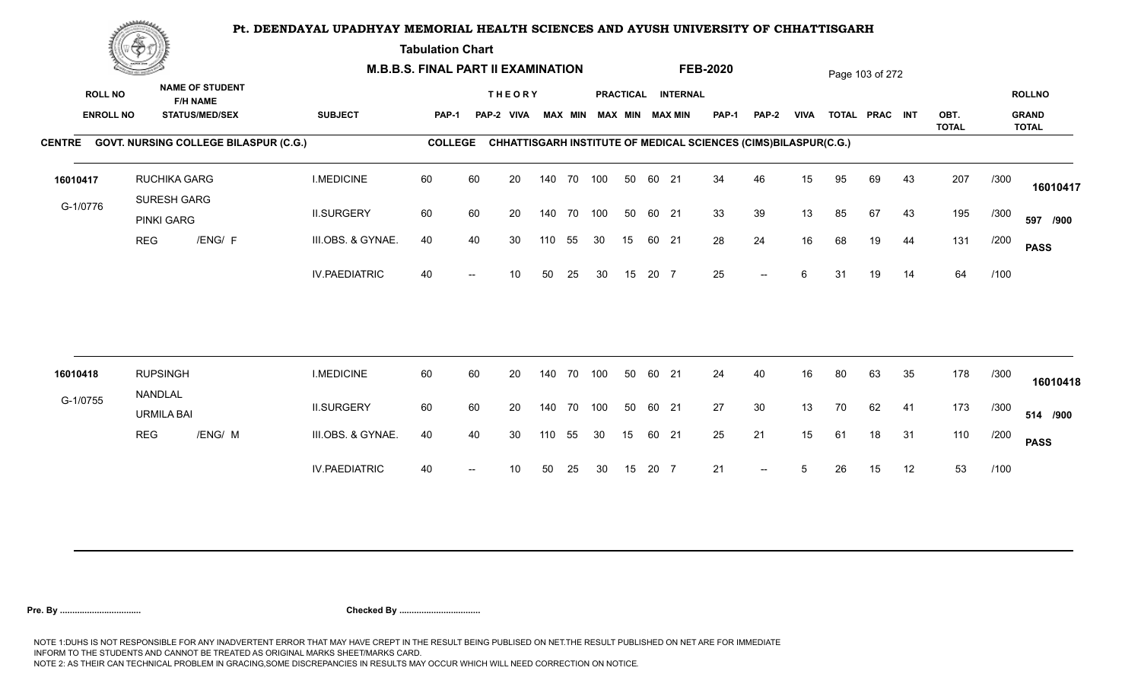**Tabulation Chart** 

|          | <b>Construction of the Construction</b>                                                                                                                  | <b>M.B.B.S. FINAL PART II EXAMINATION</b> |                      |                |    |                             |        |                |     |    |       | <b>FEB-2020</b>                              |                                                                 |                          |             | Page 103 of 272 |                |    |              |      |                               |
|----------|----------------------------------------------------------------------------------------------------------------------------------------------------------|-------------------------------------------|----------------------|----------------|----|-----------------------------|--------|----------------|-----|----|-------|----------------------------------------------|-----------------------------------------------------------------|--------------------------|-------------|-----------------|----------------|----|--------------|------|-------------------------------|
|          | <b>NAME OF STUDENT</b><br><b>ROLL NO</b><br><b>F/H NAME</b><br><b>ENROLL NO</b><br><b>STATUS/MED/SEX</b><br>CENTRE GOVT. NURSING COLLEGE BILASPUR (C.G.) |                                           | <b>SUBJECT</b>       | PAP-1          |    | <b>THEORY</b><br>PAP-2 VIVA |        | <b>MAX MIN</b> |     |    |       | PRACTICAL INTERNAL<br><b>MAX MIN MAX MIN</b> | <b>PAP-1</b>                                                    | <b>PAP-2</b>             | <b>VIVA</b> |                 | TOTAL PRAC INT |    | OBT.         |      | <b>ROLLNO</b><br><b>GRAND</b> |
|          |                                                                                                                                                          |                                           |                      | <b>COLLEGE</b> |    |                             |        |                |     |    |       |                                              | CHHATTISGARH INSTITUTE OF MEDICAL SCIENCES (CIMS)BILASPUR(C.G.) |                          |             |                 |                |    | <b>TOTAL</b> |      | <b>TOTAL</b>                  |
| 16010417 | SURESH GARG                                                                                                                                              | <b>RUCHIKA GARG</b>                       | <b>I.MEDICINE</b>    | 60             | 60 | 20                          |        | 140 70 100     |     | 50 | 60 21 |                                              | 34                                                              | 46                       | 15          | 95              | 69             | 43 | 207          | /300 | 16010417                      |
| G-1/0776 | <b>PINKI GARG</b>                                                                                                                                        |                                           | <b>II.SURGERY</b>    | 60             | 60 | 20                          |        | 140 70         | 100 | 50 | 60 21 |                                              | 33                                                              | 39                       | 13          | 85              | 67             | 43 | 195          | /300 | 597 /900                      |
|          | <b>REG</b>                                                                                                                                               | /ENG/ F                                   | III.OBS. & GYNAE.    | 40             | 40 | 30                          | 110    | 55             | 30  | 15 | 60 21 |                                              | 28                                                              | 24                       | 16          | 68              | 19             | 44 | 131          | /200 | <b>PASS</b>                   |
|          |                                                                                                                                                          |                                           | <b>IV.PAEDIATRIC</b> | 40             |    | 10                          | 50     | 25             | 30  | 15 | 20 7  |                                              | 25                                                              | $\overline{\phantom{a}}$ | 6           | 31              | 19             | 14 | 64           | /100 |                               |
|          |                                                                                                                                                          |                                           |                      |                |    |                             |        |                |     |    |       |                                              |                                                                 |                          |             |                 |                |    |              |      |                               |
| 16010418 | <b>RUPSINGH</b><br>NANDLAL                                                                                                                               |                                           | <b>I.MEDICINE</b>    | 60             | 60 | 20                          | 140 70 |                | 100 | 50 | 60 21 |                                              | 24                                                              | 40                       | 16          | 80              | 63             | 35 | 178          | /300 | 16010418                      |
| G-1/0755 | <b>URMILA BAI</b>                                                                                                                                        |                                           | <b>II.SURGERY</b>    | 60             | 60 | 20                          |        | 140 70 100     |     | 50 | 60 21 |                                              | 27                                                              | 30                       | 13          | 70              | 62             | 41 | 173          | /300 | 514 /900                      |
|          | <b>REG</b>                                                                                                                                               | /ENG/ M                                   | III.OBS. & GYNAE.    | 40             | 40 | 30                          | 110    | 55             | 30  | 15 | 60 21 |                                              | 25                                                              | 21                       | 15          | 61              | 18             | 31 | 110          | /200 | <b>PASS</b>                   |
|          |                                                                                                                                                          |                                           | <b>IV.PAEDIATRIC</b> | 40             |    | 10                          | 50     | 25             | 30  | 15 | 20 7  |                                              | 21                                                              | $\overline{\phantom{a}}$ | 5           | 26              | 15             | 12 | 53           | /100 |                               |
|          |                                                                                                                                                          |                                           |                      |                |    |                             |        |                |     |    |       |                                              |                                                                 |                          |             |                 |                |    |              |      |                               |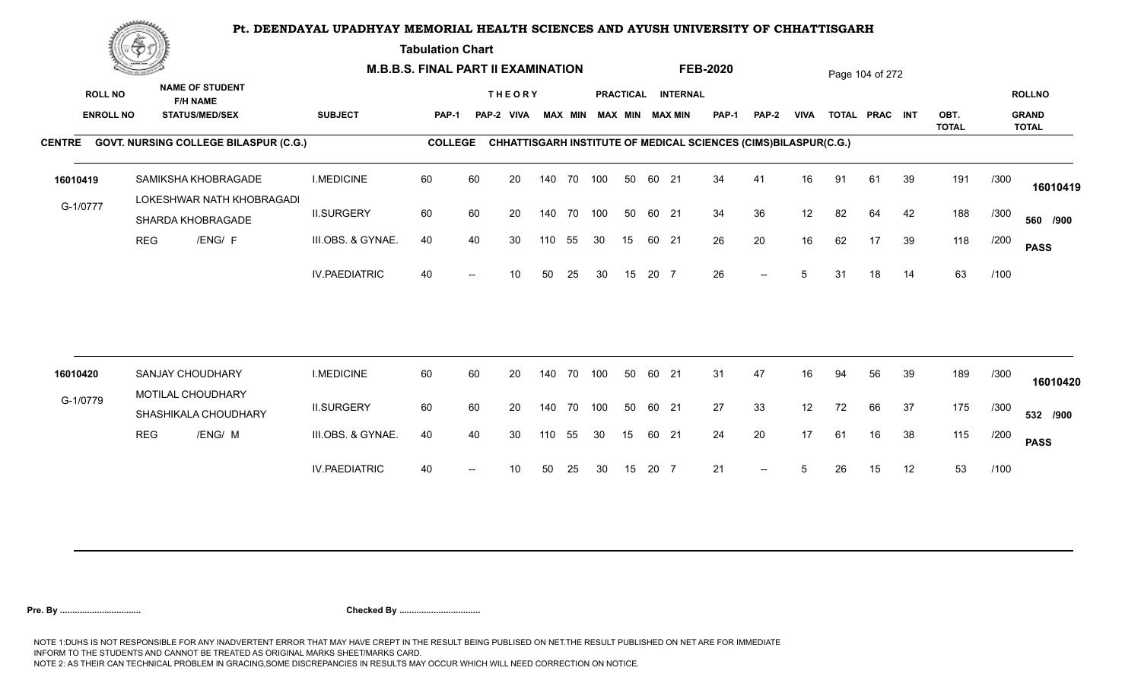**Tabulation Chart** 

|                  | <u>Contraction</u> |                                                  |                      | <b>M.B.B.S. FINAL PART II EXAMINATION</b> |    |               |     |                |     |                  |       |                        | <b>FEB-2020</b>                                                 |       |             |    | Page 104 of 272 |    |                      |      |                              |
|------------------|--------------------|--------------------------------------------------|----------------------|-------------------------------------------|----|---------------|-----|----------------|-----|------------------|-------|------------------------|-----------------------------------------------------------------|-------|-------------|----|-----------------|----|----------------------|------|------------------------------|
| <b>ROLL NO</b>   |                    | <b>NAME OF STUDENT</b><br><b>F/H NAME</b>        |                      |                                           |    | <b>THEORY</b> |     |                |     | <b>PRACTICAL</b> |       | <b>INTERNAL</b>        |                                                                 |       |             |    |                 |    |                      |      | <b>ROLLNO</b>                |
| <b>ENROLL NO</b> |                    | <b>STATUS/MED/SEX</b>                            | <b>SUBJECT</b>       | PAP-1                                     |    | PAP-2 VIVA    |     | <b>MAX MIN</b> |     |                  |       | <b>MAX MIN MAX MIN</b> | <b>PAP-1</b>                                                    | PAP-2 | <b>VIVA</b> |    | TOTAL PRAC INT  |    | OBT.<br><b>TOTAL</b> |      | <b>GRAND</b><br><b>TOTAL</b> |
|                  |                    | CENTRE GOVT. NURSING COLLEGE BILASPUR (C.G.)     |                      | <b>COLLEGE</b>                            |    |               |     |                |     |                  |       |                        | CHHATTISGARH INSTITUTE OF MEDICAL SCIENCES (CIMS)BILASPUR(C.G.) |       |             |    |                 |    |                      |      |                              |
| 16010419         |                    | SAMIKSHA KHOBRAGADE<br>LOKESHWAR NATH KHOBRAGADI | <b>I.MEDICINE</b>    | 60                                        | 60 | 20            |     | 140 70 100     |     | 50               | 60 21 |                        | 34                                                              | 41    | 16          | 91 | 61              | 39 | 191                  | /300 | 16010419                     |
| G-1/0777         |                    | SHARDA KHOBRAGADE                                | <b>II.SURGERY</b>    | 60                                        | 60 | 20            |     | 140 70         | 100 | 50               | 60 21 |                        | 34                                                              | 36    | 12          | 82 | 64              | 42 | 188                  | /300 | 560 /900                     |
|                  | <b>REG</b>         | /ENG/ F                                          | III.OBS. & GYNAE.    | 40                                        | 40 | 30            | 110 | 55             | 30  | 15               |       | 60 21                  | 26                                                              | 20    | 16          | 62 | 17              | 39 | 118                  | /200 | <b>PASS</b>                  |
|                  |                    |                                                  | <b>IV.PAEDIATRIC</b> | 40                                        |    | 10            | 50  | 25             | 30  | 15               | 20 7  |                        | 26                                                              | $--$  | 5           | 31 | 18              | 14 | 63                   | /100 |                              |
|                  |                    |                                                  |                      |                                           |    |               |     |                |     |                  |       |                        |                                                                 |       |             |    |                 |    |                      |      |                              |
| 16010420         |                    | <b>SANJAY CHOUDHARY</b>                          | <b>I.MEDICINE</b>    | 60                                        | 60 | 20            |     | 140 70         | 100 | 50               | 60 21 |                        | 31                                                              | 47    | 16          | 94 | 56              | 39 | 189                  | /300 | 16010420                     |
| G-1/0779         |                    | MOTILAL CHOUDHARY<br>SHASHIKALA CHOUDHARY        | <b>II.SURGERY</b>    | 60                                        | 60 | 20            |     | 140 70         | 100 | 50               | 60 21 |                        | 27                                                              | 33    | 12          | 72 | 66              | 37 | 175                  | /300 | 532 /900                     |
|                  | <b>REG</b>         | /ENG/ M                                          | III.OBS. & GYNAE.    | 40                                        | 40 | 30            | 110 | 55             | 30  | 15               |       | 60 21                  | 24                                                              | 20    | 17          | 61 | 16              | 38 | 115                  | /200 | <b>PASS</b>                  |
|                  |                    |                                                  | <b>IV.PAEDIATRIC</b> | 40                                        |    | 10            | 50  | 25             | 30  | 15               | 20 7  |                        | 21                                                              | $-$   | 5           | 26 | 15              | 12 | 53                   | /100 |                              |
|                  |                    |                                                  |                      |                                           |    |               |     |                |     |                  |       |                        |                                                                 |       |             |    |                 |    |                      |      |                              |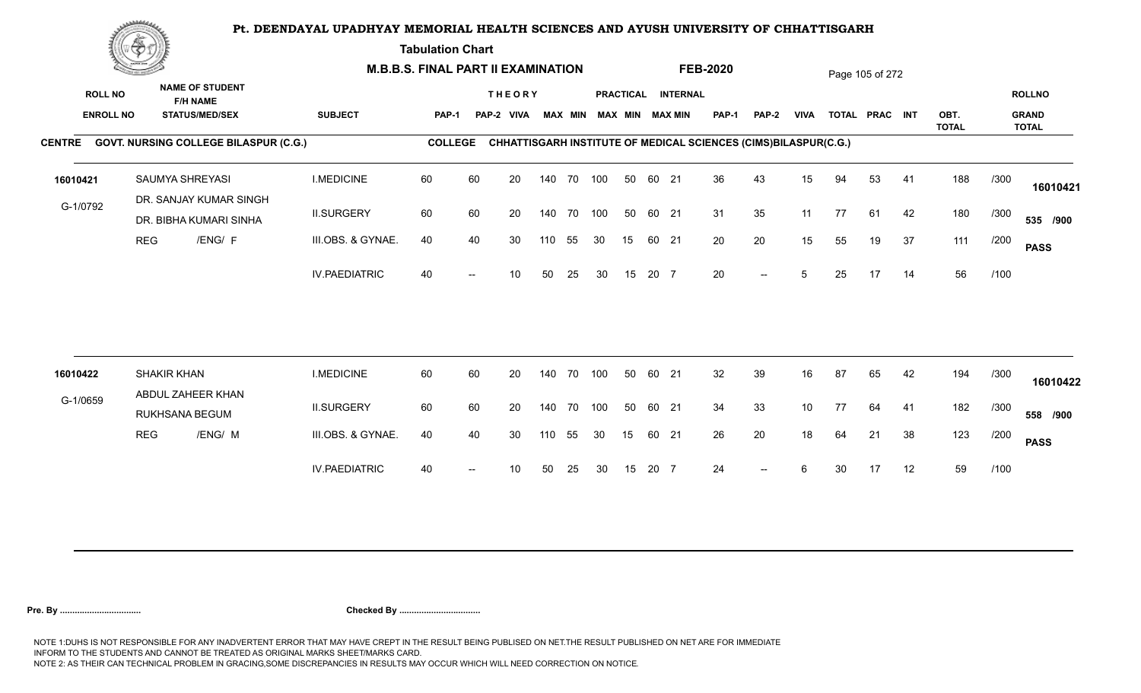**Tabulation Chart** 

|                  | <u>Concession of the Sea</u> |                                              |                      | <b>M.B.B.S. FINAL PART II EXAMINATION</b> |    |                 |     |                |     |    |       |                        | <b>FEB-2020</b>                                                 |              |             |    | Page 105 of 272 |    |                      |      |                              |
|------------------|------------------------------|----------------------------------------------|----------------------|-------------------------------------------|----|-----------------|-----|----------------|-----|----|-------|------------------------|-----------------------------------------------------------------|--------------|-------------|----|-----------------|----|----------------------|------|------------------------------|
| <b>ROLL NO</b>   |                              | <b>NAME OF STUDENT</b><br><b>F/H NAME</b>    |                      |                                           |    | <b>THEORY</b>   |     |                |     |    |       | PRACTICAL INTERNAL     |                                                                 |              |             |    |                 |    |                      |      | <b>ROLLNO</b>                |
| <b>ENROLL NO</b> |                              | <b>STATUS/MED/SEX</b>                        | <b>SUBJECT</b>       | <b>PAP-1</b>                              |    | PAP-2 VIVA      |     | <b>MAX MIN</b> |     |    |       | <b>MAX MIN MAX MIN</b> | <b>PAP-1</b>                                                    | <b>PAP-2</b> | <b>VIVA</b> |    | TOTAL PRAC INT  |    | OBT.<br><b>TOTAL</b> |      | <b>GRAND</b><br><b>TOTAL</b> |
|                  |                              | CENTRE GOVT. NURSING COLLEGE BILASPUR (C.G.) |                      | <b>COLLEGE</b>                            |    |                 |     |                |     |    |       |                        | CHHATTISGARH INSTITUTE OF MEDICAL SCIENCES (CIMS)BILASPUR(C.G.) |              |             |    |                 |    |                      |      |                              |
| 16010421         |                              | SAUMYA SHREYASI<br>DR. SANJAY KUMAR SINGH    | <b>I.MEDICINE</b>    | 60                                        | 60 | 20              |     | 140 70 100     |     | 50 | 60 21 |                        | 36                                                              | 43           | 15          | 94 | 53              | 41 | 188                  | /300 | 16010421                     |
| G-1/0792         |                              | DR. BIBHA KUMARI SINHA                       | <b>II.SURGERY</b>    | 60                                        | 60 | 20              |     | 140 70 100     |     | 50 | 60 21 |                        | 31                                                              | 35           | 11          | 77 | 61              | 42 | 180                  | /300 | 535 /900                     |
|                  | <b>REG</b>                   | /ENG/ F                                      | III.OBS. & GYNAE.    | 40                                        | 40 | 30              | 110 | 55             | 30  | 15 | 60 21 |                        | 20                                                              | 20           | 15          | 55 | 19              | 37 | 111                  | /200 | <b>PASS</b>                  |
|                  |                              |                                              | <b>IV.PAEDIATRIC</b> | 40                                        |    | 10 <sup>°</sup> | 50  | 25             | 30  | 15 | 20 7  |                        | 20                                                              | $--$         | 5           | 25 | 17              | 14 | 56                   | /100 |                              |
|                  |                              |                                              |                      |                                           |    |                 |     |                |     |    |       |                        |                                                                 |              |             |    |                 |    |                      |      |                              |
| 16010422         |                              | <b>SHAKIR KHAN</b><br>ABDUL ZAHEER KHAN      | <b>I.MEDICINE</b>    | 60                                        | 60 | 20              |     | 140 70         | 100 | 50 | 60 21 |                        | 32                                                              | 39           | 16          | 87 | 65              | 42 | 194                  | /300 | 16010422                     |
| G-1/0659         |                              | RUKHSANA BEGUM                               | <b>II.SURGERY</b>    | 60                                        | 60 | 20              |     | 140 70         | 100 | 50 | 60 21 |                        | 34                                                              | 33           | 10          | 77 | 64              | 41 | 182                  | /300 | 558 /900                     |
|                  | <b>REG</b>                   | /ENG/ M                                      | III.OBS. & GYNAE.    | 40                                        | 40 | 30              | 110 | 55             | 30  | 15 | 60 21 |                        | 26                                                              | 20           | 18          | 64 | 21              | 38 | 123                  | /200 | <b>PASS</b>                  |
|                  |                              |                                              | <b>IV.PAEDIATRIC</b> | 40                                        |    | 10              | 50  | 25             | 30  | 15 | 20 7  |                        | 24                                                              | $-$          | 6           | 30 | 17              | 12 | 59                   | /100 |                              |
|                  |                              |                                              |                      |                                           |    |                 |     |                |     |    |       |                        |                                                                 |              |             |    |                 |    |                      |      |                              |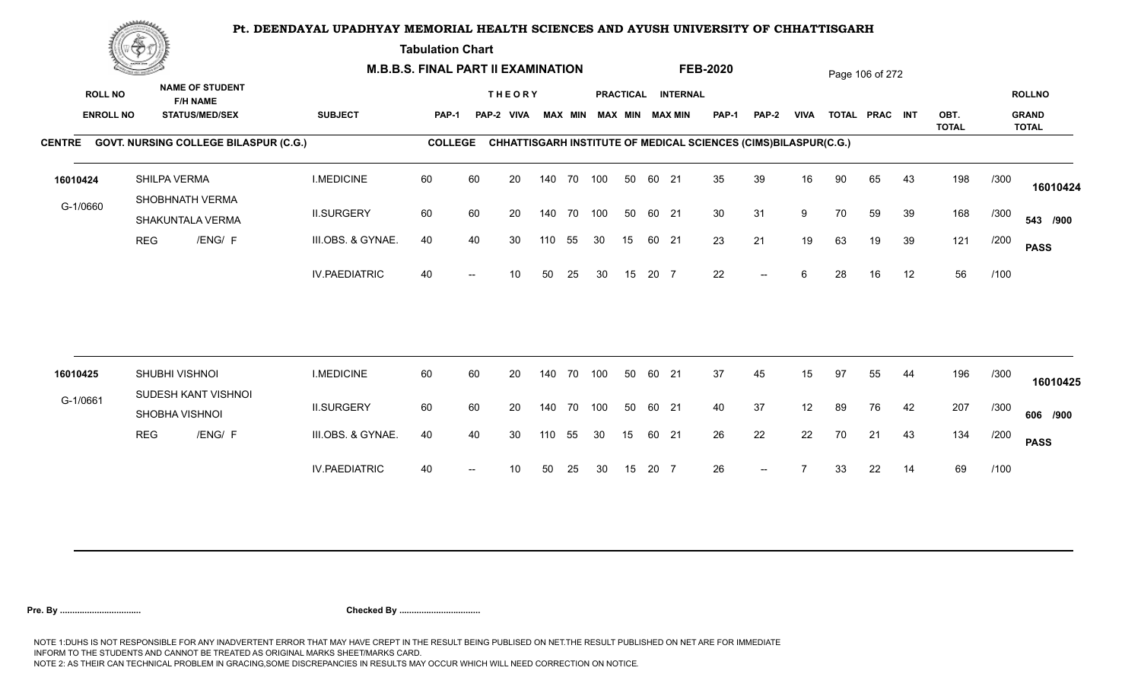**Tabulation Chart** 

|                                    | <b>Construction of the Construction</b> |                                                                    | <b>M.B.B.S. FINAL PART II EXAMINATION</b> |                |    |                             |     |                |     |    |       |                                       | <b>FEB-2020</b>                                                 |              |             |    | Page 106 of 272 |    |              |      |                               |
|------------------------------------|-----------------------------------------|--------------------------------------------------------------------|-------------------------------------------|----------------|----|-----------------------------|-----|----------------|-----|----|-------|---------------------------------------|-----------------------------------------------------------------|--------------|-------------|----|-----------------|----|--------------|------|-------------------------------|
| <b>ROLL NO</b><br><b>ENROLL NO</b> |                                         | <b>NAME OF STUDENT</b><br><b>F/H NAME</b><br><b>STATUS/MED/SEX</b> | <b>SUBJECT</b>                            | <b>PAP-1</b>   |    | <b>THEORY</b><br>PAP-2 VIVA |     | <b>MAX MIN</b> |     |    |       | PRACTICAL INTERNAL<br>MAX MIN MAX MIN | PAP-1                                                           | <b>PAP-2</b> | <b>VIVA</b> |    | TOTAL PRAC INT  |    | OBT.         |      | <b>ROLLNO</b><br><b>GRAND</b> |
|                                    |                                         |                                                                    |                                           |                |    |                             |     |                |     |    |       |                                       |                                                                 |              |             |    |                 |    | <b>TOTAL</b> |      | <b>TOTAL</b>                  |
|                                    |                                         | CENTRE GOVT. NURSING COLLEGE BILASPUR (C.G.)                       |                                           | <b>COLLEGE</b> |    |                             |     |                |     |    |       |                                       | CHHATTISGARH INSTITUTE OF MEDICAL SCIENCES (CIMS)BILASPUR(C.G.) |              |             |    |                 |    |              |      |                               |
| 16010424                           |                                         | SHILPA VERMA                                                       | <b>I.MEDICINE</b>                         | 60             | 60 | 20                          |     | 140 70         | 100 | 50 | 60 21 |                                       | 35                                                              | 39           | 16          | 90 | 65              | 43 | 198          | /300 | 16010424                      |
| G-1/0660                           |                                         | SHOBHNATH VERMA<br>SHAKUNTALA VERMA                                | <b>II.SURGERY</b>                         | 60             | 60 | 20                          |     | 140 70 100     |     | 50 | 60 21 |                                       | 30                                                              | 31           | 9           | 70 | 59              | 39 | 168          | /300 | 543 /900                      |
|                                    | <b>REG</b>                              | /ENG/ F                                                            | III.OBS. & GYNAE.                         | 40             | 40 | 30                          | 110 | 55             | 30  | 15 | 60 21 |                                       | 23                                                              | 21           | 19          | 63 | 19              | 39 | 121          | /200 | <b>PASS</b>                   |
|                                    |                                         |                                                                    | <b>IV.PAEDIATRIC</b>                      | 40             |    | 10                          | 50  | 25             | 30  | 15 | 20 7  |                                       | 22                                                              | $-$          | 6           | 28 | 16              | 12 | 56           | /100 |                               |
|                                    |                                         |                                                                    |                                           |                |    |                             |     |                |     |    |       |                                       |                                                                 |              |             |    |                 |    |              |      |                               |
| 16010425                           |                                         | SHUBHI VISHNOI                                                     | <b>I.MEDICINE</b>                         | 60             | 60 | 20                          |     | 140 70         | 100 | 50 | 60 21 |                                       | 37                                                              | 45           | 15          | 97 | 55              | 44 | 196          | /300 | 16010425                      |
| G-1/0661                           |                                         | SUDESH KANT VISHNOI<br>SHOBHA VISHNOI                              | <b>II.SURGERY</b>                         | 60             | 60 | 20                          |     | 140 70 100     |     | 50 | 60 21 |                                       | 40                                                              | 37           | 12          | 89 | 76              | 42 | 207          | /300 | 606 /900                      |
|                                    | <b>REG</b>                              | /ENG/ F                                                            | III.OBS. & GYNAE.                         | 40             | 40 | 30                          | 110 | 55             | 30  | 15 | 60 21 |                                       | 26                                                              | 22           | 22          | 70 | 21              | 43 | 134          | /200 | <b>PASS</b>                   |
|                                    |                                         |                                                                    | <b>IV.PAEDIATRIC</b>                      | 40             |    | 10                          | 50  | 25             | 30  | 15 | 20 7  |                                       | 26                                                              | $--$         |             | 33 | 22              | 14 | 69           | /100 |                               |
|                                    |                                         |                                                                    |                                           |                |    |                             |     |                |     |    |       |                                       |                                                                 |              |             |    |                 |    |              |      |                               |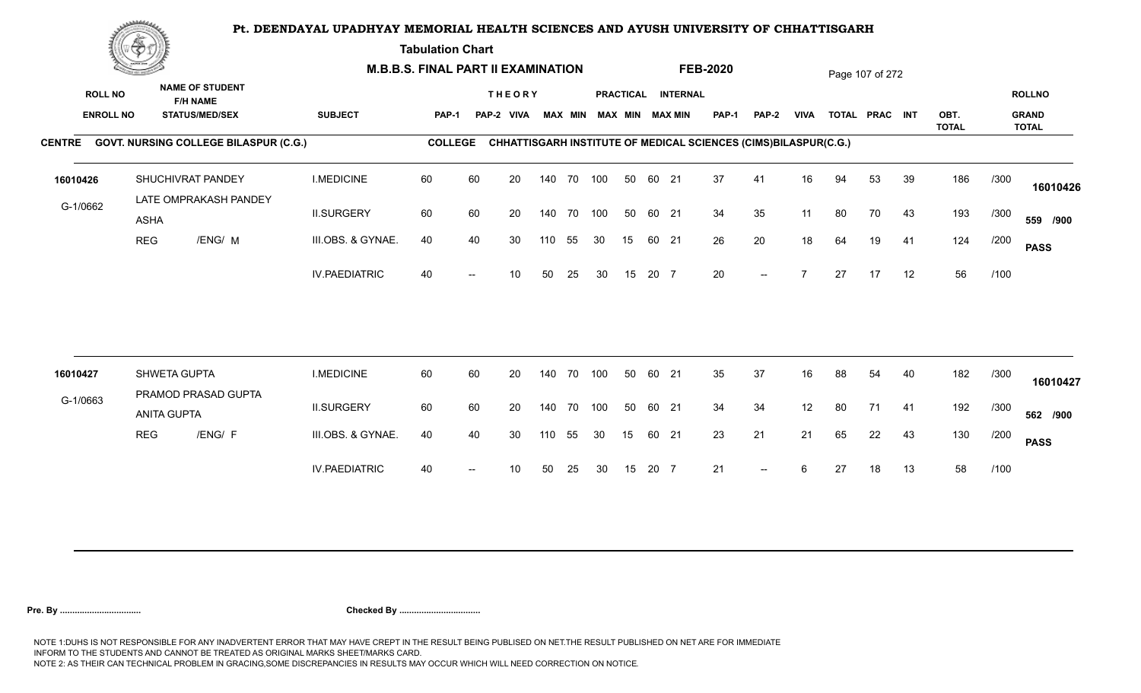**Tabulation Chart** 

|                  | <u>Concert and the Concert and the Concert and the Concert and the Concert and the Concert and the Concert and the Concert and the Concert and the Concert and the Concert and the Concert and the Concert and the Concert and t</u> |                                              |                      | <b>M.B.B.S. FINAL PART II EXAMINATION</b> |    |                 |     |                |     |    |       |                        | <b>FEB-2020</b>                                                 |                          |                          |    | Page 107 of 272 |    |                      |      |                              |
|------------------|--------------------------------------------------------------------------------------------------------------------------------------------------------------------------------------------------------------------------------------|----------------------------------------------|----------------------|-------------------------------------------|----|-----------------|-----|----------------|-----|----|-------|------------------------|-----------------------------------------------------------------|--------------------------|--------------------------|----|-----------------|----|----------------------|------|------------------------------|
| <b>ROLL NO</b>   |                                                                                                                                                                                                                                      | <b>NAME OF STUDENT</b><br><b>F/H NAME</b>    |                      |                                           |    | <b>THEORY</b>   |     |                |     |    |       | PRACTICAL INTERNAL     |                                                                 |                          |                          |    |                 |    |                      |      | <b>ROLLNO</b>                |
| <b>ENROLL NO</b> |                                                                                                                                                                                                                                      | <b>STATUS/MED/SEX</b>                        | <b>SUBJECT</b>       | PAP-1                                     |    | PAP-2 VIVA      |     | <b>MAX MIN</b> |     |    |       | <b>MAX MIN MAX MIN</b> | <b>PAP-1</b>                                                    | PAP-2                    | <b>VIVA</b>              |    | TOTAL PRAC INT  |    | OBT.<br><b>TOTAL</b> |      | <b>GRAND</b><br><b>TOTAL</b> |
|                  |                                                                                                                                                                                                                                      | CENTRE GOVT. NURSING COLLEGE BILASPUR (C.G.) |                      | <b>COLLEGE</b>                            |    |                 |     |                |     |    |       |                        | CHHATTISGARH INSTITUTE OF MEDICAL SCIENCES (CIMS)BILASPUR(C.G.) |                          |                          |    |                 |    |                      |      |                              |
| 16010426         |                                                                                                                                                                                                                                      | SHUCHIVRAT PANDEY<br>LATE OMPRAKASH PANDEY   | <b>I.MEDICINE</b>    | 60                                        | 60 | 20              |     | 140 70 100     |     | 50 | 60 21 |                        | 37                                                              | 41                       | 16                       | 94 | 53              | 39 | 186                  | /300 | 16010426                     |
| G-1/0662         | <b>ASHA</b>                                                                                                                                                                                                                          |                                              | <b>II.SURGERY</b>    | 60                                        | 60 | 20              |     | 140 70 100     |     | 50 | 60 21 |                        | 34                                                              | 35                       | 11                       | 80 | 70              | 43 | 193                  | /300 | 559 /900                     |
|                  | <b>REG</b>                                                                                                                                                                                                                           | /ENG/ M                                      | III.OBS. & GYNAE.    | 40                                        | 40 | 30              | 110 | 55             | 30  | 15 | 60 21 |                        | 26                                                              | 20                       | 18                       | 64 | 19              | 41 | 124                  | /200 | <b>PASS</b>                  |
|                  |                                                                                                                                                                                                                                      |                                              | <b>IV.PAEDIATRIC</b> | 40                                        |    | 10 <sup>1</sup> | 50  | 25             | 30  | 15 | 20 7  |                        | 20                                                              | $--$                     | $\overline{\phantom{a}}$ | 27 | 17              | 12 | 56                   | /100 |                              |
|                  |                                                                                                                                                                                                                                      |                                              |                      |                                           |    |                 |     |                |     |    |       |                        |                                                                 |                          |                          |    |                 |    |                      |      |                              |
| 16010427         |                                                                                                                                                                                                                                      | SHWETA GUPTA<br>PRAMOD PRASAD GUPTA          | <b>I.MEDICINE</b>    | 60                                        | 60 | 20              |     | 140 70         | 100 | 50 | 60 21 |                        | 35                                                              | 37                       | 16                       | 88 | 54              | 40 | 182                  | /300 | 16010427                     |
| G-1/0663         | <b>ANITA GUPTA</b>                                                                                                                                                                                                                   |                                              | <b>II.SURGERY</b>    | 60                                        | 60 | 20              |     | 140 70 100     |     | 50 | 60 21 |                        | 34                                                              | 34                       | 12                       | 80 | 71              | 41 | 192                  | /300 | 562 /900                     |
|                  | <b>REG</b>                                                                                                                                                                                                                           | /ENG/ F                                      | III.OBS. & GYNAE.    | 40                                        | 40 | 30              | 110 | 55             | 30  | 15 | 60 21 |                        | 23                                                              | 21                       | 21                       | 65 | 22              | 43 | 130                  | /200 | <b>PASS</b>                  |
|                  |                                                                                                                                                                                                                                      |                                              | <b>IV.PAEDIATRIC</b> | 40                                        |    | 10              | 50  | 25             | 30  | 15 | 20 7  |                        | 21                                                              | $\overline{\phantom{a}}$ | 6                        | 27 | 18              | 13 | 58                   | /100 |                              |
|                  |                                                                                                                                                                                                                                      |                                              |                      |                                           |    |                 |     |                |     |    |       |                        |                                                                 |                          |                          |    |                 |    |                      |      |                              |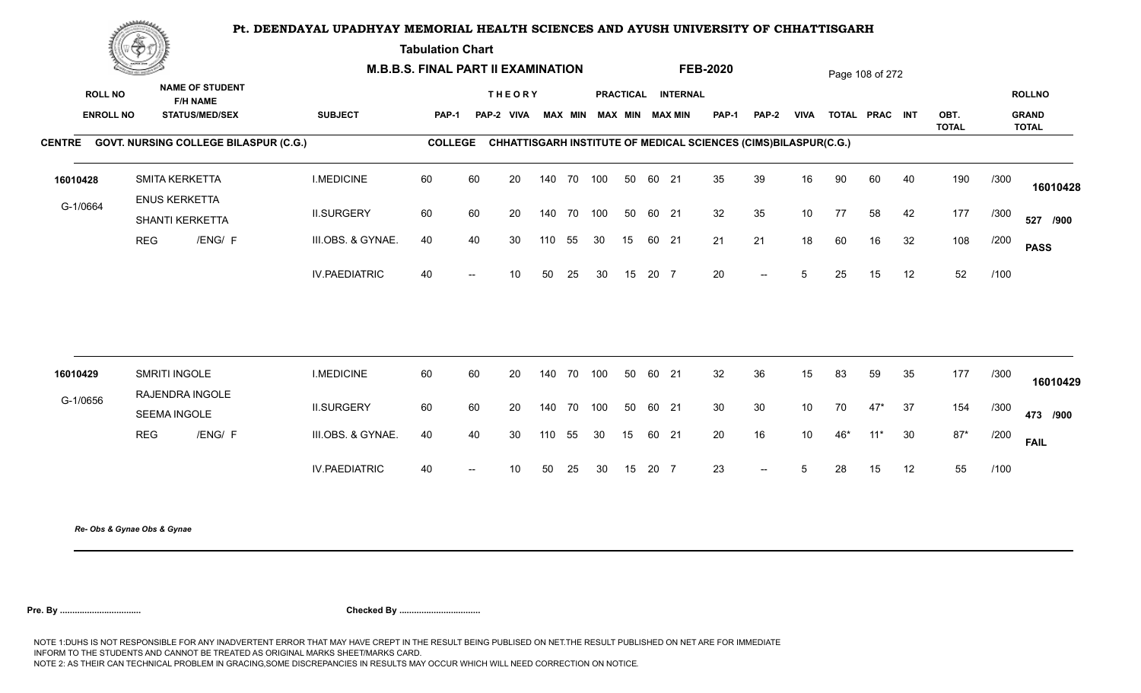**Tabulation Chart** 

|                | Change of the second of the |                                           |                                              |                      | <b>M.B.B.S. FINAL PART II EXAMINATION</b> |                          |                 |     |            |                         |    |       |                    | <b>FEB-2020</b> |                                                                        |             |     | Page 108 of 272 |      |                      |      |                              |
|----------------|-----------------------------|-------------------------------------------|----------------------------------------------|----------------------|-------------------------------------------|--------------------------|-----------------|-----|------------|-------------------------|----|-------|--------------------|-----------------|------------------------------------------------------------------------|-------------|-----|-----------------|------|----------------------|------|------------------------------|
| <b>ROLL NO</b> |                             | <b>NAME OF STUDENT</b><br><b>F/H NAME</b> |                                              |                      |                                           |                          | <b>THEORY</b>   |     |            |                         |    |       | PRACTICAL INTERNAL |                 |                                                                        |             |     |                 |      |                      |      | <b>ROLLNO</b>                |
|                | <b>ENROLL NO</b>            | <b>STATUS/MED/SEX</b>                     |                                              | <b>SUBJECT</b>       | PAP-1                                     |                          | PAP-2 VIVA      |     |            | MAX MIN MAX MIN MAX MIN |    |       |                    | <b>PAP-1</b>    | PAP-2                                                                  | <b>VIVA</b> |     | TOTAL PRAC INT  |      | OBT.<br><b>TOTAL</b> |      | <b>GRAND</b><br><b>TOTAL</b> |
|                |                             |                                           | CENTRE GOVT. NURSING COLLEGE BILASPUR (C.G.) |                      | <b>COLLEGE</b>                            |                          |                 |     |            |                         |    |       |                    |                 | <b>CHHATTISGARH INSTITUTE OF MEDICAL SCIENCES (CIMS)BILASPUR(C.G.)</b> |             |     |                 |      |                      |      |                              |
| 16010428       |                             | SMITA KERKETTA                            |                                              | <b>I.MEDICINE</b>    | 60                                        | 60                       | 20              |     | 140 70 100 |                         | 50 | 60 21 |                    | 35              | 39                                                                     | 16          | 90  | 60              | 40   | 190                  | /300 | 16010428                     |
| G-1/0664       |                             | <b>ENUS KERKETTA</b><br>SHANTI KERKETTA   |                                              | <b>II.SURGERY</b>    | 60                                        | 60                       | 20              |     | 140 70 100 |                         | 50 | 60 21 |                    | 32              | 35                                                                     | 10          | 77  | 58              | 42   | 177                  | /300 | 527 /900                     |
|                | <b>REG</b>                  |                                           | /ENG/ F                                      | III.OBS. & GYNAE.    | 40                                        | 40                       | 30              | 110 | 55         | 30                      | 15 | 60 21 |                    | 21              | 21                                                                     | 18          | 60  | 16              | 32   | 108                  | /200 | <b>PASS</b>                  |
|                |                             |                                           |                                              | <b>IV.PAEDIATRIC</b> | 40                                        | $\overline{\phantom{a}}$ | 10 <sup>°</sup> | 50  | 25         | 30                      | 15 | 20 7  |                    | 20              | $\overline{\phantom{a}}$                                               | $5^{\circ}$ | 25  | 15              | 12   | 52                   | /100 |                              |
|                |                             |                                           |                                              |                      |                                           |                          |                 |     |            |                         |    |       |                    |                 |                                                                        |             |     |                 |      |                      |      |                              |
| 16010429       |                             | SMRITI INGOLE<br>RAJENDRA INGOLE          |                                              | <b>I.MEDICINE</b>    | 60                                        | 60                       | 20              |     | 140 70     | 100                     | 50 | 60 21 |                    | 32              | 36                                                                     | 15          | 83  | 59              | 35   | 177                  | /300 | 16010429                     |
| G-1/0656       |                             | SEEMA INGOLE                              |                                              | <b>II.SURGERY</b>    | 60                                        | 60                       | 20              |     | 140 70 100 |                         | 50 | 60 21 |                    | 30 <sup>°</sup> | 30                                                                     | 10          | 70  | $47*$           | - 37 | 154                  | /300 | 473 /900                     |
|                | <b>REG</b>                  |                                           | /ENG/ F                                      | III.OBS. & GYNAE.    | 40                                        | 40                       | 30              | 110 | 55         | 30                      | 15 | 60 21 |                    | 20              | 16                                                                     | 10          | 46* | $11*$           | 30   | $87*$                | /200 | <b>FAIL</b>                  |
|                |                             |                                           |                                              | <b>IV.PAEDIATRIC</b> | 40                                        | $\overline{\phantom{a}}$ | 10 <sup>°</sup> | 50  | 25         | 30                      | 15 | 20 7  |                    | 23              | $\hspace{0.1em} -\hspace{0.1em} -\hspace{0.1em}$                       | 5           | 28  | 15              | 12   | 55                   | /100 |                              |
|                |                             |                                           |                                              |                      |                                           |                          |                 |     |            |                         |    |       |                    |                 |                                                                        |             |     |                 |      |                      |      |                              |

*Re- Obs & Gynae Obs & Gynae*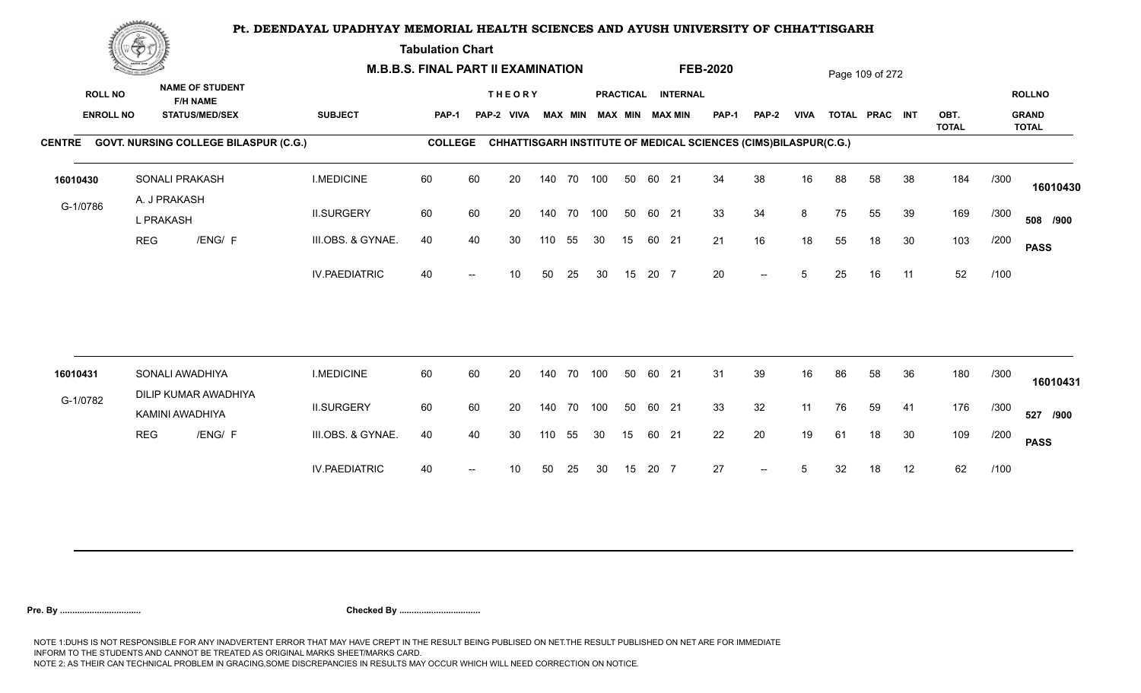**Tabulation Chart** 

|          | <b>Construction of the Construction</b>                                                                  |                                              | <b>M.B.B.S. FINAL PART II EXAMINATION</b> |                |    |                             |     |                |     |    |       |                                              | <b>FEB-2020</b>                                                 |       |             |    | Page 109 of 272 |    |              |      |                               |
|----------|----------------------------------------------------------------------------------------------------------|----------------------------------------------|-------------------------------------------|----------------|----|-----------------------------|-----|----------------|-----|----|-------|----------------------------------------------|-----------------------------------------------------------------|-------|-------------|----|-----------------|----|--------------|------|-------------------------------|
|          | <b>NAME OF STUDENT</b><br><b>ROLL NO</b><br><b>F/H NAME</b><br><b>ENROLL NO</b><br><b>STATUS/MED/SEX</b> |                                              | <b>SUBJECT</b>                            | PAP-1          |    | <b>THEORY</b><br>PAP-2 VIVA |     | <b>MAX MIN</b> |     |    |       | PRACTICAL INTERNAL<br><b>MAX MIN MAX MIN</b> | <b>PAP-1</b>                                                    | PAP-2 | <b>VIVA</b> |    | TOTAL PRAC INT  |    | OBT.         |      | <b>ROLLNO</b><br><b>GRAND</b> |
|          |                                                                                                          | CENTRE GOVT. NURSING COLLEGE BILASPUR (C.G.) |                                           | <b>COLLEGE</b> |    |                             |     |                |     |    |       |                                              | CHHATTISGARH INSTITUTE OF MEDICAL SCIENCES (CIMS)BILASPUR(C.G.) |       |             |    |                 |    | <b>TOTAL</b> |      | <b>TOTAL</b>                  |
|          |                                                                                                          |                                              |                                           |                |    |                             |     |                |     |    |       |                                              |                                                                 |       |             |    |                 |    |              |      |                               |
| 16010430 |                                                                                                          | SONALI PRAKASH                               | <b>I.MEDICINE</b>                         | 60             | 60 | 20                          |     | 140 70 100     |     | 50 | 60 21 |                                              | 34                                                              | 38    | 16          | 88 | 58              | 38 | 184          | /300 | 16010430                      |
| G-1/0786 |                                                                                                          | A. J PRAKASH<br>L PRAKASH                    | <b>II.SURGERY</b>                         | 60             | 60 | 20                          |     | 140 70         | 100 | 50 | 60 21 |                                              | 33                                                              | 34    | 8           | 75 | 55              | 39 | 169          | /300 | 508 /900                      |
|          | <b>REG</b>                                                                                               | /ENG/ F                                      | III.OBS. & GYNAE.                         | 40             | 40 | 30                          | 110 | 55             | 30  | 15 | 60 21 |                                              | 21                                                              | 16    | 18          | 55 | 18              | 30 | 103          | /200 | <b>PASS</b>                   |
|          |                                                                                                          |                                              | <b>IV.PAEDIATRIC</b>                      | 40             |    | 10                          | 50  | 25             | 30  | 15 | 20 7  |                                              | 20                                                              | $-$   | 5           | 25 | 16              | 11 | 52           | /100 |                               |
|          |                                                                                                          |                                              |                                           |                |    |                             |     |                |     |    |       |                                              |                                                                 |       |             |    |                 |    |              |      |                               |
| 16010431 |                                                                                                          | SONALI AWADHIYA                              | <b>I.MEDICINE</b>                         | 60             | 60 | 20                          |     | 140 70         | 100 | 50 | 60 21 |                                              | 31                                                              | 39    | 16          | 86 | 58              | 36 | 180          | /300 | 16010431                      |
| G-1/0782 |                                                                                                          | DILIP KUMAR AWADHIYA<br>KAMINI AWADHIYA      | <b>II.SURGERY</b>                         | 60             | 60 | 20                          |     | 140 70         | 100 | 50 | 60 21 |                                              | 33                                                              | 32    | 11          | 76 | 59              | 41 | 176          | /300 | 527 /900                      |
|          | <b>REG</b>                                                                                               | /ENG/ F                                      | III.OBS. & GYNAE.                         | 40             | 40 | 30                          | 110 | 55             | 30  | 15 | 60 21 |                                              | 22                                                              | 20    | 19          | 61 | 18              | 30 | 109          | /200 | <b>PASS</b>                   |
|          |                                                                                                          |                                              | <b>IV.PAEDIATRIC</b>                      | 40             |    | 10                          | 50  | 25             | 30  | 15 | 20 7  |                                              | 27                                                              | $--$  | 5           | 32 | 18              | 12 | 62           | /100 |                               |
|          |                                                                                                          |                                              |                                           |                |    |                             |     |                |     |    |       |                                              |                                                                 |       |             |    |                 |    |              |      |                               |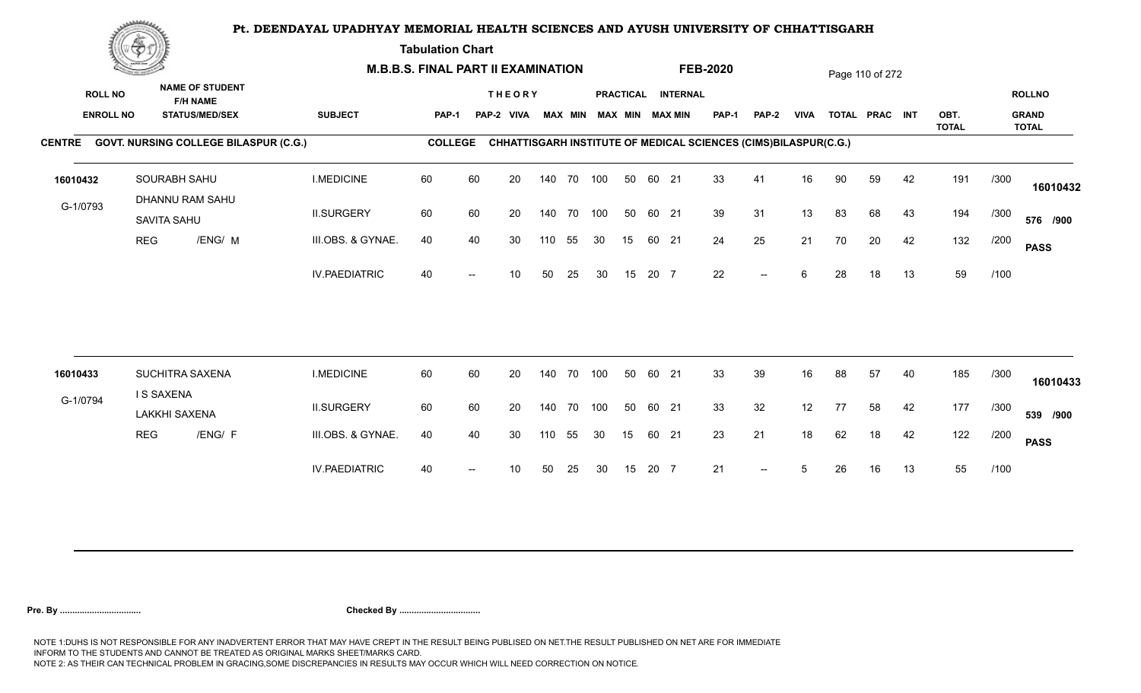**Tabulation Chart** 

|          | <b>Construction of the Construction</b>                                                                  |                                              | <b>M.B.B.S. FINAL PART II EXAMINATION</b> |                |    |                             |     |                |     |    |       |                                              | <b>FEB-2020</b> |                                                                 |             |    | Page 110 of 272 |    |              |      |                               |
|----------|----------------------------------------------------------------------------------------------------------|----------------------------------------------|-------------------------------------------|----------------|----|-----------------------------|-----|----------------|-----|----|-------|----------------------------------------------|-----------------|-----------------------------------------------------------------|-------------|----|-----------------|----|--------------|------|-------------------------------|
|          | <b>NAME OF STUDENT</b><br><b>ROLL NO</b><br><b>F/H NAME</b><br><b>ENROLL NO</b><br><b>STATUS/MED/SEX</b> |                                              | <b>SUBJECT</b>                            | PAP-1          |    | <b>THEORY</b><br>PAP-2 VIVA |     | <b>MAX MIN</b> |     |    |       | PRACTICAL INTERNAL<br><b>MAX MIN MAX MIN</b> | <b>PAP-1</b>    | PAP-2                                                           | <b>VIVA</b> |    | TOTAL PRAC INT  |    | OBT.         |      | <b>ROLLNO</b><br><b>GRAND</b> |
|          |                                                                                                          | CENTRE GOVT. NURSING COLLEGE BILASPUR (C.G.) |                                           | <b>COLLEGE</b> |    |                             |     |                |     |    |       |                                              |                 | CHHATTISGARH INSTITUTE OF MEDICAL SCIENCES (CIMS)BILASPUR(C.G.) |             |    |                 |    | <b>TOTAL</b> |      | <b>TOTAL</b>                  |
| 16010432 |                                                                                                          | SOURABH SAHU<br>DHANNU RAM SAHU              | <b>I.MEDICINE</b>                         | 60             | 60 | 20                          |     | 140 70 100     |     | 50 | 60 21 |                                              | 33              | 41                                                              | 16          | 90 | 59              | 42 | 191          | /300 | 16010432                      |
| G-1/0793 |                                                                                                          | SAVITA SAHU                                  | <b>II.SURGERY</b>                         | 60             | 60 | 20                          |     | 140 70         | 100 | 50 | 60 21 |                                              | 39              | 31                                                              | 13          | 83 | 68              | 43 | 194          | /300 | 576 /900                      |
|          | <b>REG</b>                                                                                               | /ENG/ M                                      | III.OBS. & GYNAE.                         | 40             | 40 | 30                          | 110 | 55             | 30  | 15 | 60 21 |                                              | 24              | 25                                                              | 21          | 70 | 20              | 42 | 132          | /200 | <b>PASS</b>                   |
|          |                                                                                                          |                                              | <b>IV.PAEDIATRIC</b>                      | 40             |    | 10                          | 50  | 25             | 30  | 15 | 20 7  |                                              | 22              | $-$                                                             | 6           | 28 | 18              | 13 | 59           | /100 |                               |
| 16010433 |                                                                                                          | SUCHITRA SAXENA                              | <b>I.MEDICINE</b>                         | 60             | 60 | 20                          |     | 140 70         | 100 | 50 | 60 21 |                                              | 33              | 39                                                              | 16          | 88 | 57              | 40 | 185          | /300 |                               |
| G-1/0794 |                                                                                                          | <b>IS SAXENA</b>                             |                                           |                |    |                             |     |                |     |    |       |                                              |                 |                                                                 |             |    |                 |    |              |      | 16010433                      |
|          |                                                                                                          | <b>LAKKHI SAXENA</b>                         | <b>II.SURGERY</b>                         | 60             | 60 | 20                          |     | 140 70         | 100 | 50 | 60 21 |                                              | 33              | 32                                                              | 12          | 77 | 58              | 42 | 177          | /300 | 539 /900                      |
|          | <b>REG</b>                                                                                               | /ENG/ F                                      | III.OBS. & GYNAE.                         | 40             | 40 | 30                          | 110 | 55             | 30  | 15 | 60 21 |                                              | 23              | 21                                                              | 18          | 62 | 18              | 42 | 122          | /200 | <b>PASS</b>                   |
|          |                                                                                                          |                                              | <b>IV.PAEDIATRIC</b>                      | 40             |    | 10                          | 50  | 25             | 30  | 15 | 20 7  |                                              | 21              | $\overline{\phantom{a}}$                                        | 5           | 26 | 16              | 13 | 55           | /100 |                               |
|          |                                                                                                          |                                              |                                           |                |    |                             |     |                |     |    |       |                                              |                 |                                                                 |             |    |                 |    |              |      |                               |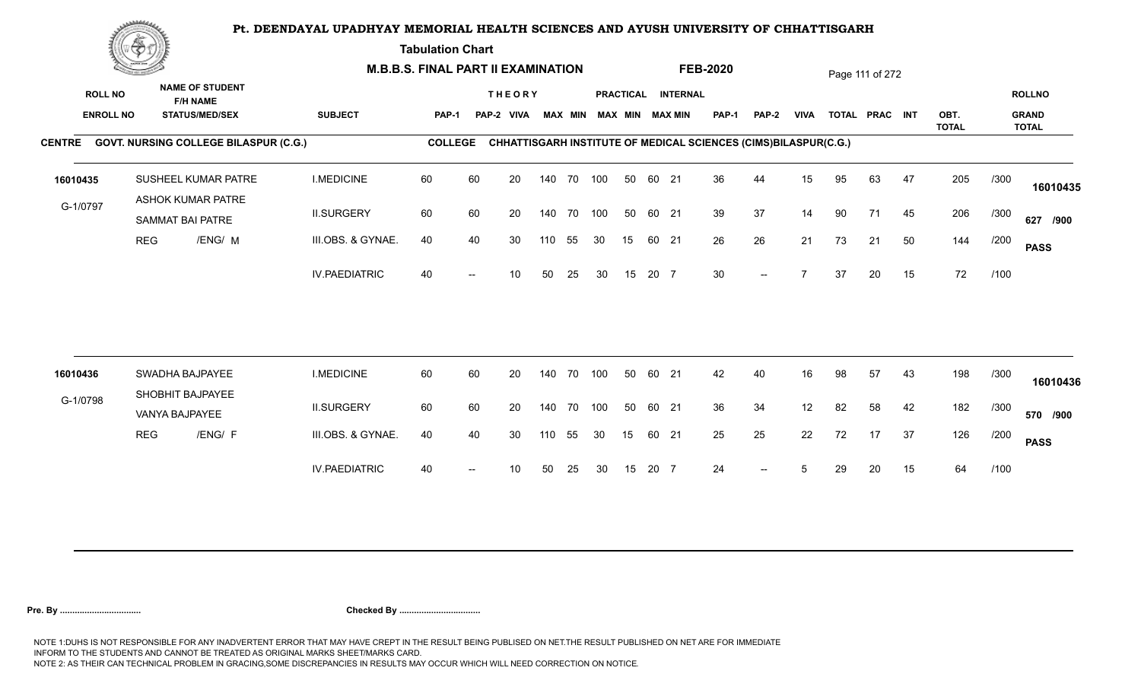**Tabulation Chart** 

|                                    | <b>Construction of the Construction</b> |                                                                    |                      | <b>M.B.B.S. FINAL PART II EXAMINATION</b> |                |                             |     |                |            |    |       |                                       | <b>FEB-2020</b>                                                 |                          |             |    | Page 111 of 272 |    |              |      |                               |
|------------------------------------|-----------------------------------------|--------------------------------------------------------------------|----------------------|-------------------------------------------|----------------|-----------------------------|-----|----------------|------------|----|-------|---------------------------------------|-----------------------------------------------------------------|--------------------------|-------------|----|-----------------|----|--------------|------|-------------------------------|
| <b>ROLL NO</b><br><b>ENROLL NO</b> |                                         | <b>NAME OF STUDENT</b><br><b>F/H NAME</b><br><b>STATUS/MED/SEX</b> | <b>SUBJECT</b>       | <b>PAP-1</b>                              |                | <b>THEORY</b><br>PAP-2 VIVA |     | <b>MAX MIN</b> |            |    |       | PRACTICAL INTERNAL<br>MAX MIN MAX MIN | PAP-1                                                           | <b>PAP-2</b>             | <b>VIVA</b> |    | TOTAL PRAC INT  |    | OBT.         |      | <b>ROLLNO</b><br><b>GRAND</b> |
|                                    |                                         | CENTRE GOVT. NURSING COLLEGE BILASPUR (C.G.)                       |                      |                                           | <b>COLLEGE</b> |                             |     |                |            |    |       |                                       | CHHATTISGARH INSTITUTE OF MEDICAL SCIENCES (CIMS)BILASPUR(C.G.) |                          |             |    |                 |    | <b>TOTAL</b> |      | <b>TOTAL</b>                  |
| 16010435                           |                                         | SUSHEEL KUMAR PATRE                                                | <b>I.MEDICINE</b>    | 60                                        | 60             | 20                          |     | 140 70         | 100        | 50 | 60 21 |                                       | 36                                                              | 44                       | 15          | 95 | 63              | 47 | 205          | /300 | 16010435                      |
| G-1/0797                           |                                         | ASHOK KUMAR PATRE<br><b>SAMMAT BAI PATRE</b>                       | <b>II.SURGERY</b>    | 60                                        | 60             | 20                          |     |                | 140 70 100 | 50 | 60 21 |                                       | 39                                                              | 37                       | 14          | 90 | 71              | 45 | 206          | /300 | 627 /900                      |
|                                    | <b>REG</b>                              | /ENG/ M                                                            | III.OBS. & GYNAE.    | 40                                        | 40             | 30                          | 110 | 55             | 30         | 15 | 60 21 |                                       | 26                                                              | 26                       | 21          | 73 | 21              | 50 | 144          | /200 | <b>PASS</b>                   |
|                                    |                                         |                                                                    | <b>IV.PAEDIATRIC</b> | 40                                        |                | 10                          | 50  | 25             | 30         | 15 | 20 7  |                                       | 30                                                              | $\overline{\phantom{a}}$ |             | 37 | 20              | 15 | 72           | /100 |                               |
|                                    |                                         |                                                                    |                      |                                           |                |                             |     |                |            |    |       |                                       |                                                                 |                          |             |    |                 |    |              |      |                               |
| 16010436                           |                                         | SWADHA BAJPAYEE<br>SHOBHIT BAJPAYEE                                | <b>I.MEDICINE</b>    | 60                                        | 60             | 20                          |     | 140 70         | 100        | 50 | 60 21 |                                       | 42                                                              | 40                       | 16          | 98 | 57              | 43 | 198          | /300 | 16010436                      |
| G-1/0798                           |                                         | VANYA BAJPAYEE                                                     | <b>II.SURGERY</b>    | 60                                        | 60             | 20                          |     |                | 140 70 100 | 50 | 60 21 |                                       | 36                                                              | 34                       | 12          | 82 | 58              | 42 | 182          | /300 | 570 /900                      |
|                                    | <b>REG</b>                              | /ENG/ F                                                            | III.OBS. & GYNAE.    | 40                                        | 40             | 30                          | 110 | 55             | 30         | 15 | 60 21 |                                       | 25                                                              | 25                       | 22          | 72 | 17              | 37 | 126          | /200 | <b>PASS</b>                   |
|                                    |                                         |                                                                    | <b>IV.PAEDIATRIC</b> | 40                                        |                | 10                          | 50  | 25             | 30         | 15 | 20 7  |                                       | 24                                                              |                          | 5           | 29 | 20              | 15 | 64           | /100 |                               |
|                                    |                                         |                                                                    |                      |                                           |                |                             |     |                |            |    |       |                                       |                                                                 |                          |             |    |                 |    |              |      |                               |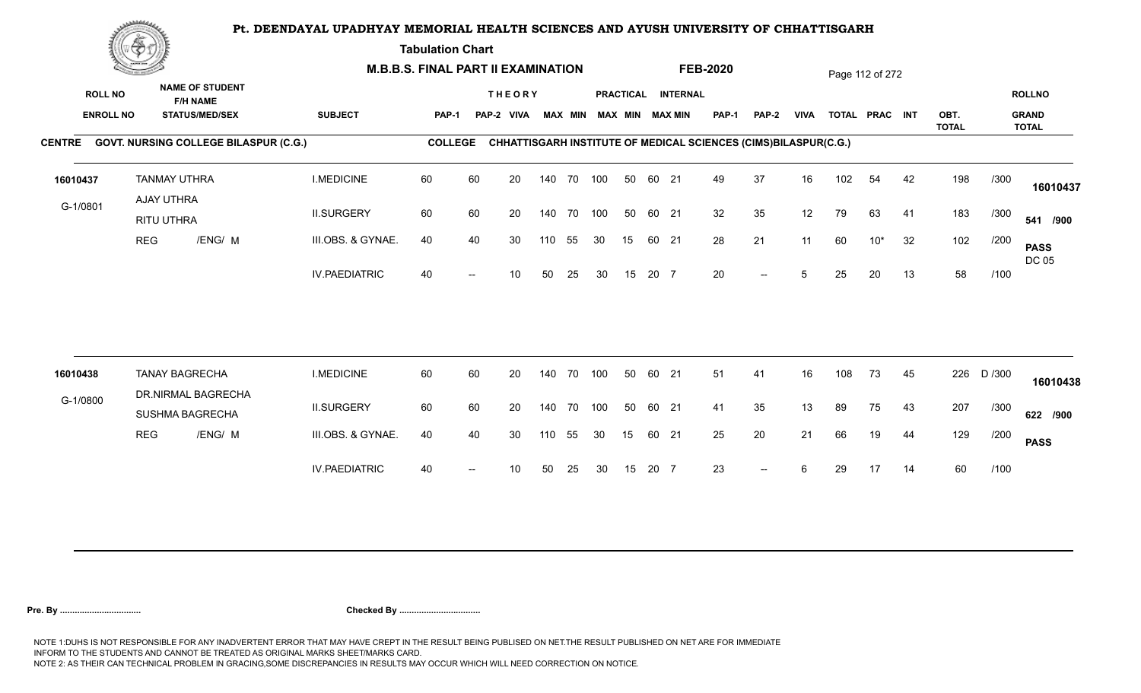**Tabulation Chart** 

|          | <b>Construction of the Construction</b><br><b>NAME OF STUDENT</b> | <b>M.B.B.S. FINAL PART II EXAMINATION</b>   |                                              |                      |                |    |                             |     |                |     |    | <b>FEB-2020</b> |                                       |                                                                 |              | Page 112 of 272 |     |                |    |              |        |                               |
|----------|-------------------------------------------------------------------|---------------------------------------------|----------------------------------------------|----------------------|----------------|----|-----------------------------|-----|----------------|-----|----|-----------------|---------------------------------------|-----------------------------------------------------------------|--------------|-----------------|-----|----------------|----|--------------|--------|-------------------------------|
|          | <b>ROLL NO</b><br><b>ENROLL NO</b>                                |                                             | <b>F/H NAME</b><br><b>STATUS/MED/SEX</b>     | <b>SUBJECT</b>       | <b>PAP-1</b>   |    | <b>THEORY</b><br>PAP-2 VIVA |     | <b>MAX MIN</b> |     |    |                 | PRACTICAL INTERNAL<br>MAX MIN MAX MIN | PAP-1                                                           | <b>PAP-2</b> | <b>VIVA</b>     |     | TOTAL PRAC INT |    | OBT.         |        | <b>ROLLNO</b><br><b>GRAND</b> |
|          |                                                                   |                                             |                                              |                      |                |    |                             |     |                |     |    |                 |                                       |                                                                 |              |                 |     |                |    | <b>TOTAL</b> |        | <b>TOTAL</b>                  |
|          |                                                                   |                                             | CENTRE GOVT. NURSING COLLEGE BILASPUR (C.G.) |                      | <b>COLLEGE</b> |    |                             |     |                |     |    |                 |                                       | CHHATTISGARH INSTITUTE OF MEDICAL SCIENCES (CIMS)BILASPUR(C.G.) |              |                 |     |                |    |              |        |                               |
| 16010437 |                                                                   | <b>TANMAY UTHRA</b><br>AJAY UTHRA           |                                              | <b>I.MEDICINE</b>    | 60             | 60 | 20                          |     | 140 70         | 100 | 50 | 60 21           |                                       | 49                                                              | 37           | 16              | 102 | 54             | 42 | 198          | /300   | 16010437                      |
| G-1/0801 |                                                                   | RITU UTHRA                                  |                                              | <b>II.SURGERY</b>    | 60             | 60 | 20                          |     | 140 70 100     |     | 50 | 60 21           |                                       | 32                                                              | 35           | 12              | 79  | 63             | 41 | 183          | /300   | 541 /900                      |
|          | <b>REG</b>                                                        |                                             | /ENG/ M                                      | III.OBS. & GYNAE.    | 40             | 40 | 30                          | 110 | 55             | 30  | 15 | 60 21           |                                       | 28                                                              | 21           | 11              | 60  | $10*$          | 32 | 102          | /200   | <b>PASS</b><br>DC 05          |
|          |                                                                   |                                             |                                              | <b>IV.PAEDIATRIC</b> | 40             |    | 10                          | 50  | 25             | 30  | 15 | 20 7            |                                       | 20                                                              | $-$          | 5               | 25  | 20             | 13 | 58           | /100   |                               |
|          |                                                                   |                                             |                                              |                      |                |    |                             |     |                |     |    |                 |                                       |                                                                 |              |                 |     |                |    |              |        |                               |
| 16010438 |                                                                   | <b>TANAY BAGRECHA</b><br>DR.NIRMAL BAGRECHA |                                              | <b>I.MEDICINE</b>    | 60             | 60 | 20                          |     | 140 70         | 100 | 50 | 60 21           |                                       | 51                                                              | 41           | 16              | 108 | 73             | 45 | 226          | D /300 | 16010438                      |
| G-1/0800 |                                                                   | <b>SUSHMA BAGRECHA</b>                      |                                              | <b>II.SURGERY</b>    | 60             | 60 | 20                          |     | 140 70 100     |     | 50 | 60 21           |                                       | 41                                                              | 35           | 13              | 89  | 75             | 43 | 207          | /300   | 622 /900                      |
|          | <b>REG</b>                                                        |                                             | /ENG/ M                                      | III.OBS. & GYNAE.    | 40             | 40 | 30                          | 110 | 55             | 30  | 15 | 60 21           |                                       | 25                                                              | 20           | 21              | 66  | 19             | 44 | 129          | /200   | <b>PASS</b>                   |
|          |                                                                   |                                             |                                              | <b>IV.PAEDIATRIC</b> | 40             |    | 10                          | 50  | 25             | 30  | 15 | 20 7            |                                       | 23                                                              | $--$         | 6               | 29  | 17             | 14 | 60           | /100   |                               |
|          |                                                                   |                                             |                                              |                      |                |    |                             |     |                |     |    |                 |                                       |                                                                 |              |                 |     |                |    |              |        |                               |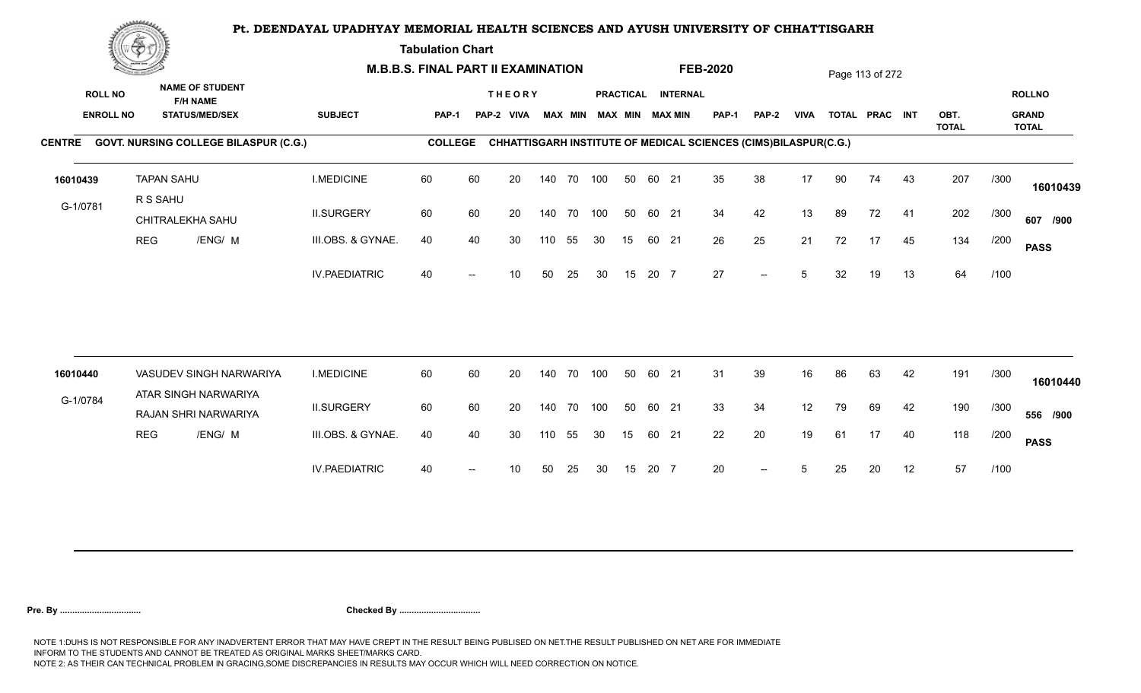**Tabulation Chart** 

| <b>NAME OF STUDENT</b><br><b>ROLL NO</b><br><b>THEORY</b><br>PRACTICAL INTERNAL<br><b>F/H NAME</b><br><b>ENROLL NO</b><br><b>SUBJECT</b><br><b>MAX MIN MAX MIN</b><br><b>VIVA</b><br>OBT.<br><b>STATUS/MED/SEX</b><br><b>MAX MIN</b><br><b>PAP-1</b><br><b>PAP-2</b><br>TOTAL PRAC INT<br>PAP-1<br>PAP-2 VIVA |             | <b>ROLLNO</b><br><b>GRAND</b> |
|---------------------------------------------------------------------------------------------------------------------------------------------------------------------------------------------------------------------------------------------------------------------------------------------------------------|-------------|-------------------------------|
| <b>TOTAL</b><br>CENTRE GOVT. NURSING COLLEGE BILASPUR (C.G.)<br><b>COLLEGE</b>                                                                                                                                                                                                                                |             | <b>TOTAL</b>                  |
| CHHATTISGARH INSTITUTE OF MEDICAL SCIENCES (CIMS)BILASPUR(C.G.)                                                                                                                                                                                                                                               |             |                               |
| <b>I.MEDICINE</b><br>60<br>60<br>35<br>38<br>17<br><b>TAPAN SAHU</b><br>20<br>140 70 100<br>50<br>60 21<br>90<br>74<br>43<br>16010439                                                                                                                                                                         | 207<br>/300 | 16010439                      |
| R S SAHU<br>G-1/0781<br>34<br>60<br>60<br>42<br>13<br><b>II.SURGERY</b><br>20<br>140 70<br>100<br>50<br>60 21<br>89<br>72<br>41<br>CHITRALEKHA SAHU                                                                                                                                                           | 202<br>/300 | 607 /900                      |
| 25<br>21<br><b>REG</b><br>/ENG/ M<br>III.OBS. & GYNAE.<br>40<br>26<br>72<br>17<br>45<br>40<br>30<br>55<br>15<br>60 21<br>110<br>30                                                                                                                                                                            | 134<br>/200 | <b>PASS</b>                   |
| 27<br><b>IV.PAEDIATRIC</b><br>40<br>15<br>20 7<br>5<br>32<br>13<br>50<br>25<br>30<br>19<br>10<br>$\overline{\phantom{a}}$                                                                                                                                                                                     | 64<br>/100  |                               |
| 31<br>60<br>60<br>39<br>42<br>VASUDEV SINGH NARWARIYA<br><b>I.MEDICINE</b><br>20<br>100<br>50<br>60 21<br>16<br>86<br>63<br>140 70                                                                                                                                                                            | 191<br>/300 |                               |
| 16010440<br>ATAR SINGH NARWARIYA                                                                                                                                                                                                                                                                              |             | 16010440                      |
| G-1/0784<br>33<br><b>II.SURGERY</b><br>60<br>60<br>34<br>12<br>20<br>140 70<br>100<br>50<br>60 21<br>79<br>69<br>42<br>RAJAN SHRI NARWARIYA                                                                                                                                                                   | 190<br>/300 | 556 /900                      |
| 20<br>22<br>19<br>40<br><b>REG</b><br>/ENG/ M<br>III.OBS. & GYNAE.<br>40<br>40<br>30<br>55<br>30<br>15<br>60 21<br>61<br>17<br>110                                                                                                                                                                            | 118<br>/200 | <b>PASS</b>                   |
| 20<br><b>IV.PAEDIATRIC</b><br>20 7<br>12<br>40<br>30<br>15<br>20<br>10<br>50<br>25<br>5<br>25<br>$--$                                                                                                                                                                                                         | 57<br>/100  |                               |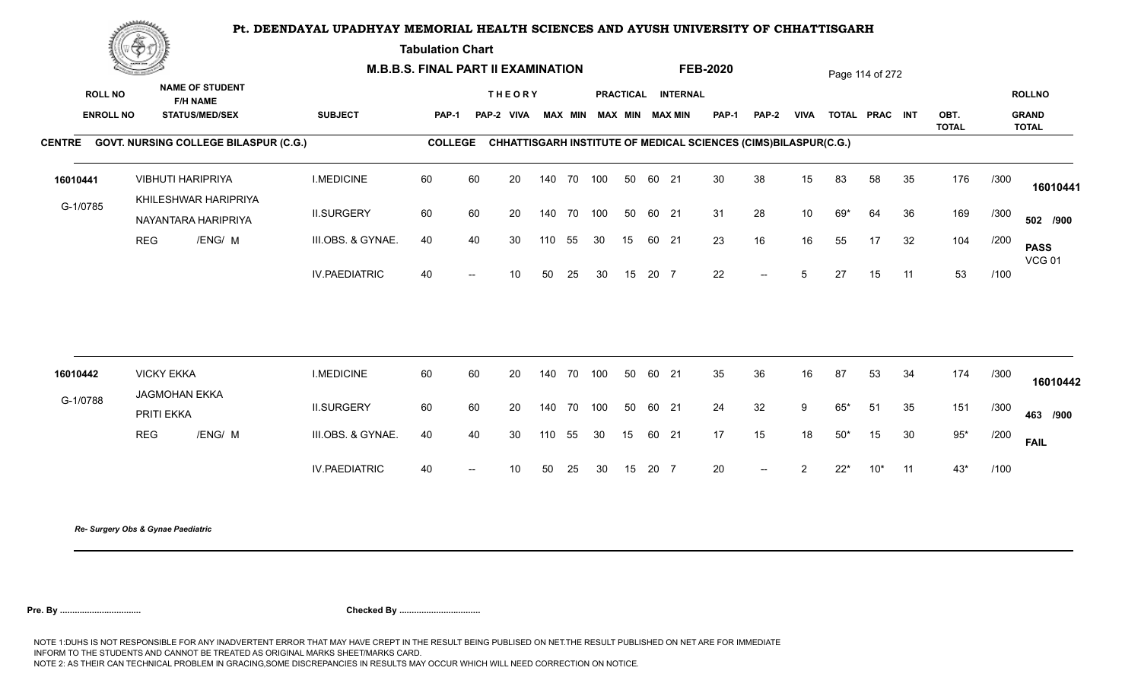**Tabulation Chart** 

|          | <u>Contact on the Contact of South States of South States and States of South States and States and States and States and States and States and States and States and States and States and States and States and States and Sta</u> |                                              |                      | <b>M.B.B.S. FINAL PART II EXAMINATION</b> |                          |                             |        |                |     |    |       |                                       | <b>FEB-2020</b> |                                                                 |                 |       | Page 114 of 272 |    |              |      |                               |
|----------|--------------------------------------------------------------------------------------------------------------------------------------------------------------------------------------------------------------------------------------|----------------------------------------------|----------------------|-------------------------------------------|--------------------------|-----------------------------|--------|----------------|-----|----|-------|---------------------------------------|-----------------|-----------------------------------------------------------------|-----------------|-------|-----------------|----|--------------|------|-------------------------------|
|          | <b>NAME OF STUDENT</b><br><b>ROLL NO</b><br><b>F/H NAME</b><br><b>ENROLL NO</b><br><b>STATUS/MED/SEX</b>                                                                                                                             |                                              | <b>SUBJECT</b>       | PAP-1                                     |                          | <b>THEORY</b><br>PAP-2 VIVA |        | <b>MAX MIN</b> |     |    |       | PRACTICAL INTERNAL<br>MAX MIN MAX MIN | <b>PAP-1</b>    | <b>PAP-2</b>                                                    | <b>VIVA</b>     |       | TOTAL PRAC INT  |    | OBT.         |      | <b>ROLLNO</b><br><b>GRAND</b> |
|          |                                                                                                                                                                                                                                      | CENTRE GOVT. NURSING COLLEGE BILASPUR (C.G.) |                      | <b>COLLEGE</b>                            |                          |                             |        |                |     |    |       |                                       |                 | CHHATTISGARH INSTITUTE OF MEDICAL SCIENCES (CIMS)BILASPUR(C.G.) |                 |       |                 |    | <b>TOTAL</b> |      | <b>TOTAL</b>                  |
| 16010441 |                                                                                                                                                                                                                                      | <b>VIBHUTI HARIPRIYA</b>                     | <b>I.MEDICINE</b>    | 60                                        | 60                       | 20                          |        | 140 70 100     |     | 50 | 60 21 |                                       | 30              | 38                                                              | 15              | 83    | 58              | 35 | 176          | /300 | 16010441                      |
| G-1/0785 |                                                                                                                                                                                                                                      | KHILESHWAR HARIPRIYA<br>NAYANTARA HARIPRIYA  | <b>II.SURGERY</b>    | 60                                        | 60                       | 20                          | 140 70 |                | 100 | 50 | 60 21 |                                       | 31              | 28                                                              | 10 <sup>°</sup> | 69*   | 64              | 36 | 169          | /300 | 502 /900                      |
|          | <b>REG</b>                                                                                                                                                                                                                           | /ENG/ M                                      | III.OBS. & GYNAE.    | 40                                        | 40                       | 30                          | 110    | 55             | 30  | 15 | 60 21 |                                       | 23              | 16                                                              | 16              | 55    | 17              | 32 | 104          | /200 | <b>PASS</b><br><b>VCG 01</b>  |
|          |                                                                                                                                                                                                                                      |                                              | <b>IV.PAEDIATRIC</b> | 40                                        |                          | 10 <sup>°</sup>             | 50     | 25             | 30  | 15 | 20 7  |                                       | 22              | $\overline{\phantom{a}}$                                        | $5^{\circ}$     | 27    | 15              | 11 | 53           | /100 |                               |
|          |                                                                                                                                                                                                                                      |                                              |                      |                                           |                          |                             |        |                |     |    |       |                                       |                 |                                                                 |                 |       |                 |    |              |      |                               |
| 16010442 |                                                                                                                                                                                                                                      | <b>VICKY EKKA</b><br><b>JAGMOHAN EKKA</b>    | <b>I.MEDICINE</b>    | 60                                        | 60                       | 20                          | 140 70 |                | 100 | 50 | 60 21 |                                       | 35              | 36                                                              | 16              | 87    | 53              | 34 | 174          | /300 | 16010442                      |
| G-1/0788 |                                                                                                                                                                                                                                      | PRITI EKKA                                   | <b>II.SURGERY</b>    | 60                                        | 60                       | 20                          | 140 70 |                | 100 | 50 | 60 21 |                                       | 24              | 32                                                              | 9               | $65*$ | 51              | 35 | 151          | /300 | 463 /900                      |
|          | <b>REG</b>                                                                                                                                                                                                                           | /ENG/ M                                      | III.OBS. & GYNAE.    | 40                                        | 40                       | 30                          | 110    | 55             | 30  | 15 | 60 21 |                                       | 17              | 15                                                              | 18              | $50*$ | 15              | 30 | $95*$        | /200 | <b>FAIL</b>                   |
|          |                                                                                                                                                                                                                                      |                                              | <b>IV.PAEDIATRIC</b> | 40                                        | $\overline{\phantom{a}}$ | 10 <sup>°</sup>             | 50     | 25             | 30  | 15 | 20 7  |                                       | 20              | $--$                                                            | 2               | $22*$ | $10^*$          | 11 | 43*          | /100 |                               |
|          |                                                                                                                                                                                                                                      |                                              |                      |                                           |                          |                             |        |                |     |    |       |                                       |                 |                                                                 |                 |       |                 |    |              |      |                               |

*Re- Surgery Obs & Gynae Paediatric*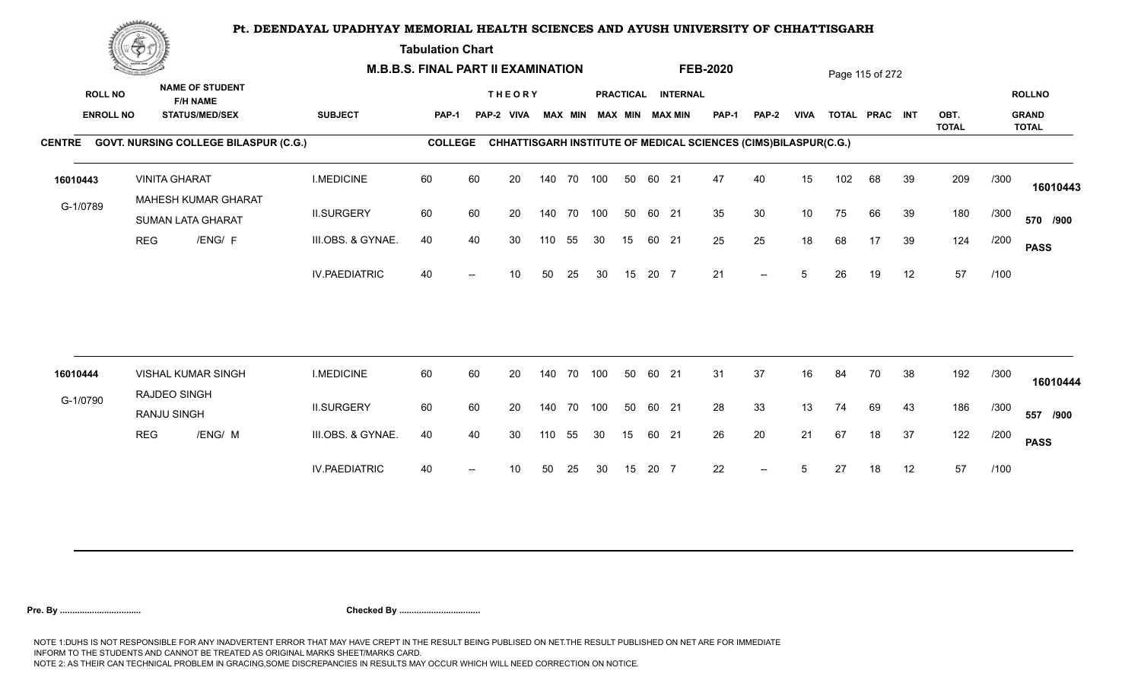**Tabulation Chart** 

|          | <b>Construction of the Construction</b>                                                                  |                      |                                                        | <b>M.B.B.S. FINAL PART II EXAMINATION</b> |                |    |                             |     |                |            |    |       |                                       | <b>FEB-2020</b>                                                 |                          |             |     | Page 115 of 272 |    |              |      |                               |
|----------|----------------------------------------------------------------------------------------------------------|----------------------|--------------------------------------------------------|-------------------------------------------|----------------|----|-----------------------------|-----|----------------|------------|----|-------|---------------------------------------|-----------------------------------------------------------------|--------------------------|-------------|-----|-----------------|----|--------------|------|-------------------------------|
|          | <b>NAME OF STUDENT</b><br><b>ROLL NO</b><br><b>F/H NAME</b><br><b>ENROLL NO</b><br><b>STATUS/MED/SEX</b> |                      |                                                        | <b>SUBJECT</b>                            | <b>PAP-1</b>   |    | <b>THEORY</b><br>PAP-2 VIVA |     | <b>MAX MIN</b> |            |    |       | PRACTICAL INTERNAL<br>MAX MIN MAX MIN | PAP-1                                                           | <b>PAP-2</b>             | <b>VIVA</b> |     | TOTAL PRAC INT  |    | OBT.         |      | <b>ROLLNO</b><br><b>GRAND</b> |
|          |                                                                                                          |                      | CENTRE GOVT. NURSING COLLEGE BILASPUR (C.G.)           |                                           | <b>COLLEGE</b> |    |                             |     |                |            |    |       |                                       | CHHATTISGARH INSTITUTE OF MEDICAL SCIENCES (CIMS)BILASPUR(C.G.) |                          |             |     |                 |    | <b>TOTAL</b> |      | <b>TOTAL</b>                  |
| 16010443 |                                                                                                          | <b>VINITA GHARAT</b> |                                                        | <b>I.MEDICINE</b>                         | 60             | 60 | 20                          |     | 140 70         | 100        | 50 | 60 21 |                                       | 47                                                              | 40                       | 15          | 102 | 68              | 39 | 209          | /300 | 16010443                      |
| G-1/0789 |                                                                                                          |                      | <b>MAHESH KUMAR GHARAT</b><br><b>SUMAN LATA GHARAT</b> | <b>II.SURGERY</b>                         | 60             | 60 | 20                          |     |                | 140 70 100 | 50 | 60 21 |                                       | 35                                                              | 30                       | 10          | 75  | 66              | 39 | 180          | /300 | 570 /900                      |
|          | <b>REG</b>                                                                                               |                      | /ENG/ F                                                | III.OBS. & GYNAE.                         | 40             | 40 | 30                          | 110 | 55             | 30         | 15 | 60 21 |                                       | 25                                                              | 25                       | 18          | 68  | 17              | 39 | 124          | /200 | <b>PASS</b>                   |
|          |                                                                                                          |                      |                                                        | <b>IV.PAEDIATRIC</b>                      | 40             |    | 10                          | 50  | 25             | 30         | 15 | 20 7  |                                       | 21                                                              | $\overline{\phantom{a}}$ | 5           | 26  | 19              | 12 | 57           | /100 |                               |
|          |                                                                                                          |                      |                                                        |                                           | 60             |    |                             |     |                |            |    |       |                                       |                                                                 |                          |             |     |                 |    |              |      |                               |
| 16010444 |                                                                                                          | RAJDEO SINGH         | <b>VISHAL KUMAR SINGH</b>                              | <b>I.MEDICINE</b>                         |                | 60 | 20                          |     | 140 70         | 100        | 50 | 60 21 |                                       | 31                                                              | 37                       | 16          | 84  | 70              | 38 | 192          | /300 | 16010444                      |
| G-1/0790 |                                                                                                          | RANJU SINGH          |                                                        | <b>II.SURGERY</b>                         | 60             | 60 | 20                          |     |                | 140 70 100 | 50 | 60 21 |                                       | 28                                                              | 33                       | 13          | 74  | 69              | 43 | 186          | /300 | 557 /900                      |
|          | <b>REG</b>                                                                                               |                      | /ENG/ M                                                | III.OBS. & GYNAE.                         | 40             | 40 | 30                          | 110 | 55             | 30         | 15 | 60 21 |                                       | 26                                                              | 20                       | 21          | 67  | 18              | 37 | 122          | /200 | <b>PASS</b>                   |
|          |                                                                                                          |                      |                                                        | <b>IV.PAEDIATRIC</b>                      | 40             |    | 10                          | 50  | 25             | 30         | 15 | 20 7  |                                       | 22                                                              | $\overline{a}$           | 5           | 27  | 18              | 12 | 57           | /100 |                               |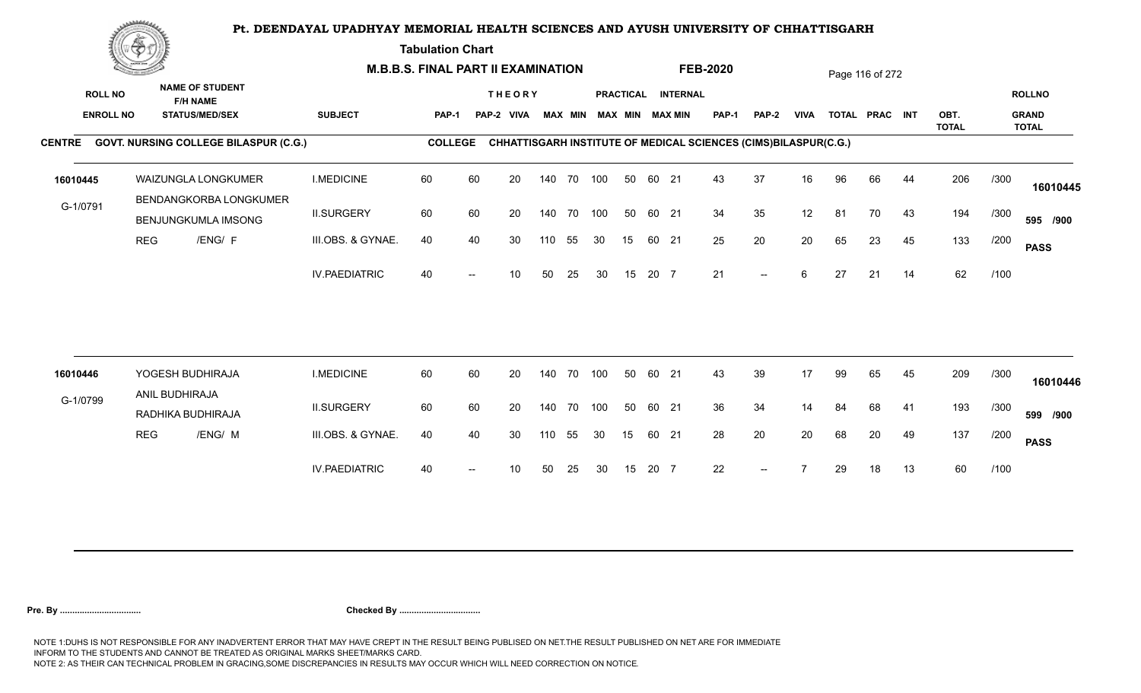**Tabulation Chart** 

|                  | <u>Concession of the Sea</u> |                                               | <b>M.B.B.S. FINAL PART II EXAMINATION</b> |                |    |                 |        |                |     |    |       |                        | <b>FEB-2020</b>                                                 |                          |             |    | Page 116 of 272 |    |                      |      |                              |
|------------------|------------------------------|-----------------------------------------------|-------------------------------------------|----------------|----|-----------------|--------|----------------|-----|----|-------|------------------------|-----------------------------------------------------------------|--------------------------|-------------|----|-----------------|----|----------------------|------|------------------------------|
| <b>ROLL NO</b>   |                              | <b>NAME OF STUDENT</b><br><b>F/H NAME</b>     |                                           |                |    | <b>THEORY</b>   |        |                |     |    |       | PRACTICAL INTERNAL     |                                                                 |                          |             |    |                 |    |                      |      | <b>ROLLNO</b>                |
| <b>ENROLL NO</b> |                              | <b>STATUS/MED/SEX</b>                         | <b>SUBJECT</b>                            | <b>PAP-1</b>   |    | PAP-2 VIVA      |        | <b>MAX MIN</b> |     |    |       | <b>MAX MIN MAX MIN</b> | <b>PAP-1</b>                                                    | <b>PAP-2</b>             | <b>VIVA</b> |    | TOTAL PRAC INT  |    | OBT.<br><b>TOTAL</b> |      | <b>GRAND</b><br><b>TOTAL</b> |
|                  |                              | CENTRE GOVT. NURSING COLLEGE BILASPUR (C.G.)  |                                           | <b>COLLEGE</b> |    |                 |        |                |     |    |       |                        | CHHATTISGARH INSTITUTE OF MEDICAL SCIENCES (CIMS)BILASPUR(C.G.) |                          |             |    |                 |    |                      |      |                              |
| 16010445         |                              | WAIZUNGLA LONGKUMER<br>BENDANGKORBA LONGKUMER | <b>I.MEDICINE</b>                         | 60             | 60 | 20              |        | 140 70 100     |     | 50 | 60 21 |                        | 43                                                              | 37                       | 16          | 96 | 66              | 44 | 206                  | /300 | 16010445                     |
| G-1/0791         |                              | BENJUNGKUMLA IMSONG                           | <b>II.SURGERY</b>                         | 60             | 60 | 20              |        | 140 70         | 100 | 50 | 60 21 |                        | 34                                                              | 35                       | 12          | 81 | 70              | 43 | 194                  | /300 | 595 /900                     |
|                  | <b>REG</b>                   | /ENG/ F                                       | III.OBS. & GYNAE.                         | 40             | 40 | 30              | 110    | 55             | 30  | 15 | 60 21 |                        | 25                                                              | 20                       | 20          | 65 | 23              | 45 | 133                  | /200 | <b>PASS</b>                  |
|                  |                              |                                               | <b>IV.PAEDIATRIC</b>                      | 40             |    | 10 <sup>°</sup> | 50     | 25             | 30  | 15 | 20 7  |                        | 21                                                              | $\overline{\phantom{a}}$ | 6           | 27 | 21              | 14 | 62                   | /100 |                              |
|                  |                              |                                               |                                           |                |    |                 |        |                |     |    |       |                        |                                                                 |                          |             |    |                 |    |                      |      |                              |
| 16010446         |                              | YOGESH BUDHIRAJA<br>ANIL BUDHIRAJA            | <b>I.MEDICINE</b>                         | 60             | 60 | 20              | 140 70 |                | 100 | 50 | 60 21 |                        | 43                                                              | 39                       | 17          | 99 | 65              | 45 | 209                  | /300 | 16010446                     |
| G-1/0799         |                              | RADHIKA BUDHIRAJA                             | <b>II.SURGERY</b>                         | 60             | 60 | 20              | 140 70 |                | 100 | 50 | 60 21 |                        | 36                                                              | 34                       | 14          | 84 | 68              | 41 | 193                  | /300 | 599 /900                     |
|                  | <b>REG</b>                   | /ENG/ M                                       | III.OBS. & GYNAE.                         | 40             | 40 | 30              | 110    | 55             | 30  | 15 | 60 21 |                        | 28                                                              | 20                       | 20          | 68 | 20              | 49 | 137                  | /200 | <b>PASS</b>                  |
|                  |                              |                                               | <b>IV.PAEDIATRIC</b>                      | 40             |    | 10              | 50     | 25             | 30  | 15 | 20 7  |                        | 22                                                              | $--$                     |             | 29 | 18              | 13 | 60                   | /100 |                              |
|                  |                              |                                               |                                           |                |    |                 |        |                |     |    |       |                        |                                                                 |                          |             |    |                 |    |                      |      |                              |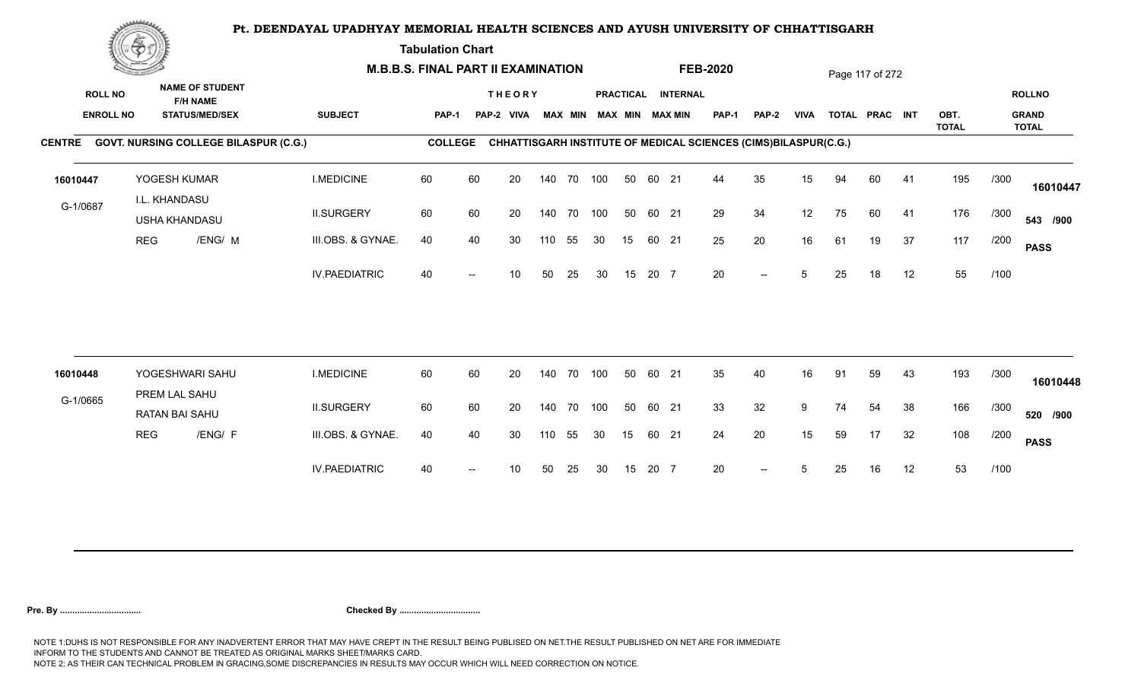**Tabulation Chart** 

|          | <b>Construction of the Construction</b>                                                                  |                                |                                              | <b>M.B.B.S. FINAL PART II EXAMINATION</b> |                |    |                             |     |                |     |    |       |                                       | <b>FEB-2020</b>                                                 |              |             |    | Page 117 of 272 |    |              |      |                               |
|----------|----------------------------------------------------------------------------------------------------------|--------------------------------|----------------------------------------------|-------------------------------------------|----------------|----|-----------------------------|-----|----------------|-----|----|-------|---------------------------------------|-----------------------------------------------------------------|--------------|-------------|----|-----------------|----|--------------|------|-------------------------------|
|          | <b>NAME OF STUDENT</b><br><b>ROLL NO</b><br><b>F/H NAME</b><br><b>ENROLL NO</b><br><b>STATUS/MED/SEX</b> |                                |                                              | <b>SUBJECT</b>                            | <b>PAP-1</b>   |    | <b>THEORY</b><br>PAP-2 VIVA |     | <b>MAX MIN</b> |     |    |       | PRACTICAL INTERNAL<br>MAX MIN MAX MIN | PAP-1                                                           | <b>PAP-2</b> | <b>VIVA</b> |    | TOTAL PRAC INT  |    | OBT.         |      | <b>ROLLNO</b><br><b>GRAND</b> |
|          |                                                                                                          |                                | CENTRE GOVT. NURSING COLLEGE BILASPUR (C.G.) |                                           | <b>COLLEGE</b> |    |                             |     |                |     |    |       |                                       | CHHATTISGARH INSTITUTE OF MEDICAL SCIENCES (CIMS)BILASPUR(C.G.) |              |             |    |                 |    | <b>TOTAL</b> |      | <b>TOTAL</b>                  |
| 16010447 |                                                                                                          | YOGESH KUMAR                   |                                              | <b>I.MEDICINE</b>                         | 60             | 60 | 20                          |     | 140 70         | 100 | 50 | 60 21 |                                       | 44                                                              | 35           | 15          | 94 | 60              | 41 | 195          | /300 | 16010447                      |
| G-1/0687 |                                                                                                          | I.L. KHANDASU<br>USHA KHANDASU |                                              | <b>II.SURGERY</b>                         | 60             | 60 | 20                          |     | 140 70 100     |     | 50 | 60 21 |                                       | 29                                                              | 34           | 12          | 75 | 60              | 41 | 176          | /300 | 543 /900                      |
|          | <b>REG</b>                                                                                               |                                | /ENG/ M                                      | III.OBS. & GYNAE.                         | 40             | 40 | 30                          | 110 | 55             | 30  | 15 | 60 21 |                                       | 25                                                              | 20           | 16          | 61 | 19              | 37 | 117          | /200 | <b>PASS</b>                   |
|          |                                                                                                          |                                |                                              | <b>IV.PAEDIATRIC</b>                      | 40             |    | 10                          | 50  | 25             | 30  | 15 | 20 7  |                                       | 20                                                              | $-$          | 5           | 25 | 18              | 12 | 55           | /100 |                               |
|          |                                                                                                          |                                | YOGESHWARI SAHU                              | <b>I.MEDICINE</b>                         | 60             | 60 | 20                          |     | 140 70         | 100 | 50 | 60 21 |                                       | 35                                                              | 40           | 16          | 91 | 59              | 43 | 193          | /300 |                               |
| 16010448 |                                                                                                          | PREM LAL SAHU                  |                                              |                                           |                |    |                             |     |                |     |    |       |                                       |                                                                 |              |             |    |                 |    |              |      | 16010448                      |
| G-1/0665 |                                                                                                          | <b>RATAN BAI SAHU</b>          |                                              | <b>II.SURGERY</b>                         | 60             | 60 | 20                          |     | 140 70 100     |     | 50 | 60 21 |                                       | 33                                                              | 32           | 9           | 74 | 54              | 38 | 166          | /300 | 520 /900                      |
|          | <b>REG</b>                                                                                               |                                | /ENG/ F                                      | III.OBS. & GYNAE.                         | 40             | 40 | 30                          | 110 | 55             | 30  | 15 | 60 21 |                                       | 24                                                              | 20           | 15          | 59 | 17              | 32 | 108          | /200 | <b>PASS</b>                   |
|          |                                                                                                          |                                |                                              | <b>IV.PAEDIATRIC</b>                      | 40             |    | 10                          | 50  | 25             | 30  | 15 | 20 7  |                                       | 20                                                              | $-$          |             | 25 | 16              | 12 | 53           | /100 |                               |
|          |                                                                                                          |                                |                                              |                                           |                |    |                             |     |                |     |    |       |                                       |                                                                 |              |             |    |                 |    |              |      |                               |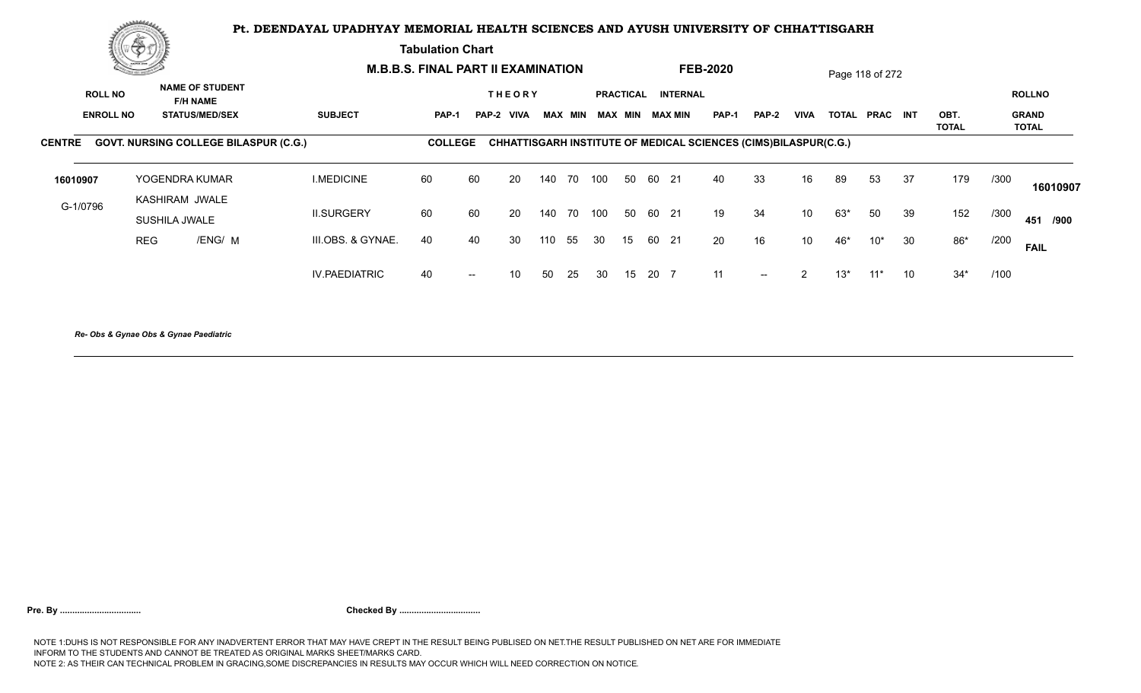**Tabulation Chart** 

|                  | Concert de la Co                                            |                                              |                      | <b>M.B.B.S. FINAL PART II EXAMINATION</b> |        |                 |     |      |                         |    |          |                    | <b>FEB-2020</b>                                                        |               |                |              | Page 118 of 272 |    |                      |      |                              |
|------------------|-------------------------------------------------------------|----------------------------------------------|----------------------|-------------------------------------------|--------|-----------------|-----|------|-------------------------|----|----------|--------------------|------------------------------------------------------------------------|---------------|----------------|--------------|-----------------|----|----------------------|------|------------------------------|
|                  | <b>NAME OF STUDENT</b><br><b>ROLL NO</b><br><b>F/H NAME</b> |                                              |                      |                                           |        | <b>THEORY</b>   |     |      |                         |    |          | PRACTICAL INTERNAL |                                                                        |               |                |              |                 |    |                      |      | <b>ROLLNO</b>                |
| <b>ENROLL NO</b> |                                                             | <b>STATUS/MED/SEX</b>                        | <b>SUBJECT</b>       | PAP-1                                     |        | PAP-2 VIVA      |     |      | MAX MIN MAX MIN MAX MIN |    |          |                    | <b>PAP-1</b>                                                           | PAP-2         | <b>VIVA</b>    | <b>TOTAL</b> | PRAC INT        |    | OBT.<br><b>TOTAL</b> |      | <b>GRAND</b><br><b>TOTAL</b> |
| <b>CENTRE</b>    |                                                             | <b>GOVT. NURSING COLLEGE BILASPUR (C.G.)</b> |                      | <b>COLLEGE</b>                            |        |                 |     |      |                         |    |          |                    | <b>CHHATTISGARH INSTITUTE OF MEDICAL SCIENCES (CIMS)BILASPUR(C.G.)</b> |               |                |              |                 |    |                      |      |                              |
| 16010907         |                                                             | YOGENDRA KUMAR                               | <b>I.MEDICINE</b>    | 60                                        | 60     | -20             | 140 | 70   | 100                     |    | 50 60 21 |                    | 40                                                                     | 33            | 16             | 89           | 53              | 37 | 179                  | /300 | 16010907                     |
| G-1/0796         |                                                             | KASHIRAM JWALE<br>SUSHILA JWALE              | <b>II.SURGERY</b>    | 60                                        | 60     | 20              | 140 | 70   | 100                     |    | 50 60 21 |                    | 19                                                                     | 34            | 10             | 63*          | 50              | 39 | 152                  | /300 | 451 /900                     |
|                  | <b>REG</b>                                                  | /ENG/ M                                      | III.OBS. & GYNAE.    | 40                                        | 40     | 30              | 110 | 55   | 30                      | 15 |          | 60 21              | 20                                                                     | 16            | 10             | 46*          | $10^*$          | 30 | $86*$                | /200 | <b>FAIL</b>                  |
|                  |                                                             |                                              | <b>IV.PAEDIATRIC</b> | 40                                        | $\sim$ | 10 <sup>1</sup> | 50  | - 25 | 30                      |    | 15 20 7  |                    | 11                                                                     | $\sim$ $\sim$ | $\overline{2}$ | $13*$        | $11*$           | 10 | $34*$                | /100 |                              |
|                  |                                                             |                                              |                      |                                           |        |                 |     |      |                         |    |          |                    |                                                                        |               |                |              |                 |    |                      |      |                              |

*Re- Obs & Gynae Obs & Gynae Paediatric*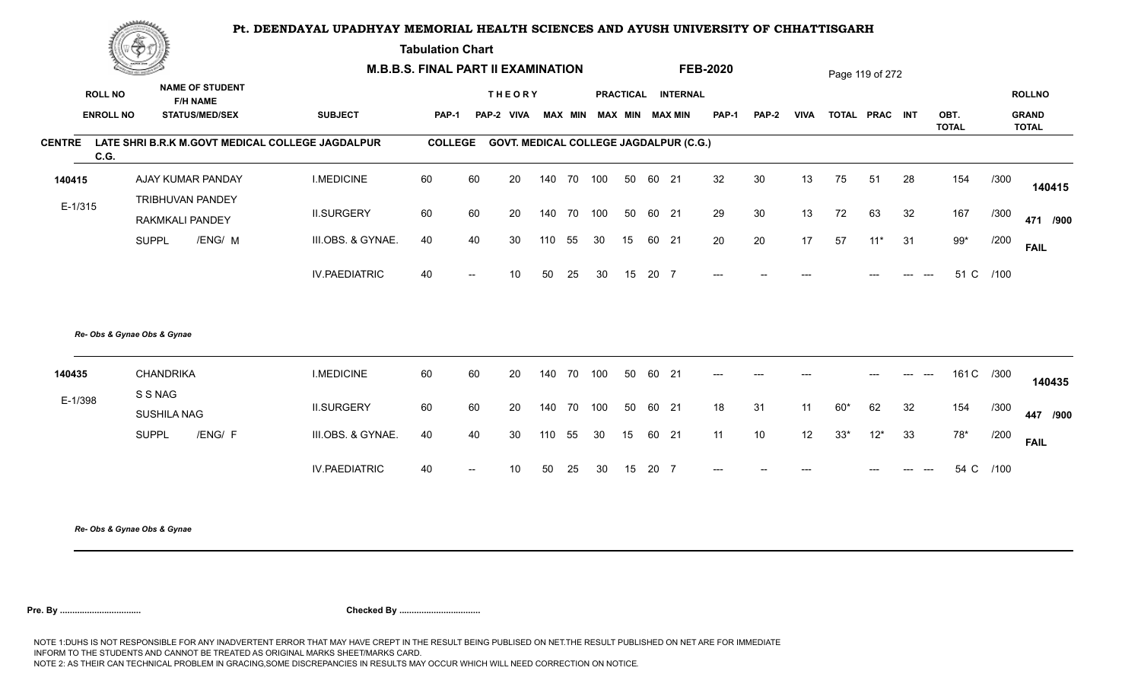**Tabulation Chart** 

| <b>Construction of the American State</b> |                             | <b>M.B.B.S. FINAL PART II EXAMINATION</b> |                                                  |                |                          |               |        |                |     |                  | <b>FEB-2020</b> |                                               |              |              | Page 119 of 272 |                |       |                |                      |      |                              |
|-------------------------------------------|-----------------------------|-------------------------------------------|--------------------------------------------------|----------------|--------------------------|---------------|--------|----------------|-----|------------------|-----------------|-----------------------------------------------|--------------|--------------|-----------------|----------------|-------|----------------|----------------------|------|------------------------------|
|                                           | <b>ROLL NO</b>              | <b>NAME OF STUDENT</b><br><b>F/H NAME</b> |                                                  |                |                          | <b>THEORY</b> |        |                |     | <b>PRACTICAL</b> |                 | <b>INTERNAL</b>                               |              |              |                 |                |       |                |                      |      | <b>ROLLNO</b>                |
|                                           | <b>ENROLL NO</b>            | <b>STATUS/MED/SEX</b>                     | <b>SUBJECT</b>                                   | <b>PAP-1</b>   |                          | PAP-2 VIVA    |        | <b>MAX MIN</b> |     | <b>MAX MIN</b>   |                 | <b>MAX MIN</b>                                | <b>PAP-1</b> | <b>PAP-2</b> | <b>VIVA</b>     | TOTAL PRAC INT |       |                | OBT.<br><b>TOTAL</b> |      | <b>GRAND</b><br><b>TOTAL</b> |
| <b>CENTRE</b>                             | C.G.                        |                                           | LATE SHRI B.R.K M.GOVT MEDICAL COLLEGE JAGDALPUR | <b>COLLEGE</b> |                          |               |        |                |     |                  |                 | <b>GOVT. MEDICAL COLLEGE JAGDALPUR (C.G.)</b> |              |              |                 |                |       |                |                      |      |                              |
| 140415                                    |                             | AJAY KUMAR PANDAY                         | <b>I.MEDICINE</b>                                | 60             | 60                       | 20            | 140    | 70             | 100 | 50               | 60 21           |                                               | 32           | 30           | 13              | 75             | 51    | 28             | 154                  | /300 | 140415                       |
| $E-1/315$                                 |                             | TRIBHUVAN PANDEY<br>RAKMKALI PANDEY       | <b>II.SURGERY</b>                                | 60             | 60                       | 20            | 140 70 |                | 100 | 50               | 60 21           |                                               | 29           | 30           | 13              | 72             | 63    | 32             | 167                  | /300 | 471 /900                     |
|                                           | <b>SUPPL</b>                | /ENG/ M                                   | III.OBS. & GYNAE.                                | 40             | 40                       | 30            | 110    | 55             | 30  | 15               | 60 21           |                                               | 20           | 20           | 17              | 57             | $11*$ | 31             | $99*$                | /200 | <b>FAIL</b>                  |
|                                           |                             |                                           | <b>IV.PAEDIATRIC</b>                             | 40             | $\overline{\phantom{a}}$ | 10            | 50     | 25             | 30  | 15               | 20 7            |                                               | $---$        |              |                 |                |       |                | 51 C                 | /100 |                              |
|                                           | Re- Obs & Gynae Obs & Gynae |                                           |                                                  |                |                          |               |        |                |     |                  |                 |                                               |              |              |                 |                |       |                |                      |      |                              |
| 140435                                    | <b>CHANDRIKA</b><br>S S NAG |                                           | <b>I.MEDICINE</b>                                | 60             | 60                       | 20            | 140    | 70             | 100 | 50               | 60 21           |                                               | $---$        | $---$        | ---             |                | ---   | $---$<br>$---$ | 161 C /300           |      | 140435                       |
| E-1/398                                   | SUSHILA NAG                 |                                           | <b>II.SURGERY</b>                                | 60             | 60                       | 20            | 140    | 70             | 100 | 50               | 60 21           |                                               | 18           | 31           | 11              | $60*$          | 62    | 32             | 154                  | /300 | 447 /900                     |
|                                           | <b>SUPPL</b>                | /ENG/ F                                   | III.OBS. & GYNAE.                                | 40             | 40                       | 30            | 110    | 55             | 30  | 15               | 60 21           |                                               | 11           | 10           | 12              | $33*$          | $12*$ | 33             | $78*$                | /200 | <b>FAIL</b>                  |
|                                           |                             |                                           | <b>IV.PAEDIATRIC</b>                             | 40             |                          | 10            | 50     | 25             | 30  | 15               | 20              | $\overline{7}$                                |              |              |                 |                |       |                | 54 C                 | /100 |                              |
|                                           |                             |                                           |                                                  |                |                          |               |        |                |     |                  |                 |                                               |              |              |                 |                |       |                |                      |      |                              |

*Re- Obs & Gynae Obs & Gynae*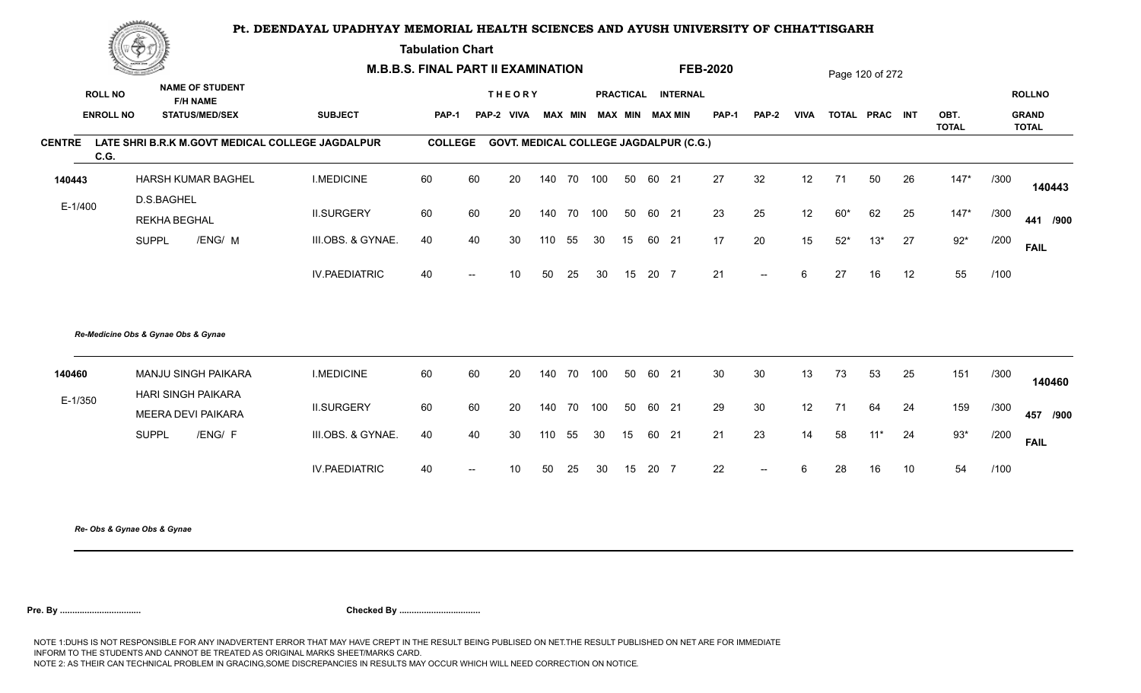**Tabulation Chart** 

| Change of the second of the<br><b>NAME OF STUDENT</b> |                                     | <b>M.B.B.S. FINAL PART II EXAMINATION</b> |                                                  |                                                  |                |                          |                 |     |                |     | <b>FEB-2020</b>  |       |                                               |              | Page 120 of 272          |                  |       |                |    |                      |      |                              |
|-------------------------------------------------------|-------------------------------------|-------------------------------------------|--------------------------------------------------|--------------------------------------------------|----------------|--------------------------|-----------------|-----|----------------|-----|------------------|-------|-----------------------------------------------|--------------|--------------------------|------------------|-------|----------------|----|----------------------|------|------------------------------|
|                                                       | <b>ROLL NO</b>                      |                                           | <b>F/H NAME</b>                                  |                                                  |                |                          | <b>THEORY</b>   |     |                |     | <b>PRACTICAL</b> |       | <b>INTERNAL</b>                               |              |                          |                  |       |                |    |                      |      | <b>ROLLNO</b>                |
|                                                       | <b>ENROLL NO</b>                    |                                           | <b>STATUS/MED/SEX</b>                            | <b>SUBJECT</b>                                   | <b>PAP-1</b>   |                          | PAP-2 VIVA      |     | <b>MAX MIN</b> |     | <b>MAX MIN</b>   |       | <b>MAX MIN</b>                                | <b>PAP-1</b> | <b>PAP-2</b>             | <b>VIVA</b>      |       | TOTAL PRAC INT |    | OBT.<br><b>TOTAL</b> |      | <b>GRAND</b><br><b>TOTAL</b> |
| <b>CENTRE</b>                                         | C.G.                                |                                           |                                                  | LATE SHRI B.R.K M.GOVT MEDICAL COLLEGE JAGDALPUR | <b>COLLEGE</b> |                          |                 |     |                |     |                  |       | <b>GOVT. MEDICAL COLLEGE JAGDALPUR (C.G.)</b> |              |                          |                  |       |                |    |                      |      |                              |
| 140443                                                |                                     |                                           | <b>HARSH KUMAR BAGHEL</b>                        | <b>I.MEDICINE</b>                                | 60             | 60                       | 20              | 140 | 70             | 100 | 50               | 60 21 |                                               | 27           | 32                       | 12               | 71    | 50             | 26 | $147*$               | /300 | 140443                       |
| $E-1/400$                                             |                                     | D.S.BAGHEL<br>REKHA BEGHAL                |                                                  | <b>II.SURGERY</b>                                | 60             | 60                       | 20              | 140 | 70             | 100 | 50               | 60 21 |                                               | 23           | 25                       | 12               | $60*$ | 62             | 25 | $147*$               | /300 | 441 /900                     |
|                                                       |                                     | <b>SUPPL</b>                              | /ENG/ M                                          | III.OBS. & GYNAE.                                | 40             | 40                       | 30              | 110 | 55             | 30  | 15               |       | 60 21                                         | 17           | 20                       | 15 <sub>15</sub> | $52*$ | $13*$          | 27 | $92*$                | /200 | <b>FAIL</b>                  |
|                                                       |                                     |                                           |                                                  | <b>IV.PAEDIATRIC</b>                             | 40             | $\overline{\phantom{a}}$ | 10 <sup>1</sup> | 50  | 25             | 30  | 15               | 20 7  |                                               | 21           | $\overline{\phantom{a}}$ | 6                | 27    | 16             | 12 | 55                   | /100 |                              |
|                                                       | Re-Medicine Obs & Gynae Obs & Gynae |                                           |                                                  |                                                  |                |                          |                 |     |                |     |                  |       |                                               |              |                          |                  |       |                |    |                      |      |                              |
| 140460                                                |                                     |                                           | MANJU SINGH PAIKARA<br><b>HARI SINGH PAIKARA</b> | <b>I.MEDICINE</b>                                | 60             | 60                       | 20              | 140 | 70             | 100 | 50               | 60 21 |                                               | 30           | 30                       | 13               | 73    | 53             | 25 | 151                  | /300 | 140460                       |
| $E-1/350$                                             |                                     |                                           | MEERA DEVI PAIKARA                               | <b>II.SURGERY</b>                                | 60             | 60                       | 20              | 140 | 70             | 100 | 50               | 60 21 |                                               | 29           | 30                       | 12               | 71    | 64             | 24 | 159                  | /300 | 457 /900                     |
|                                                       |                                     | <b>SUPPL</b>                              | /ENG/ F                                          | III.OBS. & GYNAE.                                | 40             | 40                       | 30              | 110 | 55             | 30  | 15               |       | 60 21                                         | 21           | 23                       | 14               | 58    | $11*$          | 24 | $93*$                | /200 | <b>FAIL</b>                  |
|                                                       |                                     |                                           |                                                  | <b>IV.PAEDIATRIC</b>                             | 40             |                          | 10              | 50  | 25             | 30  | 15               | 20 7  |                                               | 22           |                          |                  | 28    | 16             | 10 | 54                   | /100 |                              |
|                                                       |                                     |                                           |                                                  |                                                  |                |                          |                 |     |                |     |                  |       |                                               |              |                          |                  |       |                |    |                      |      |                              |

*Re- Obs & Gynae Obs & Gynae*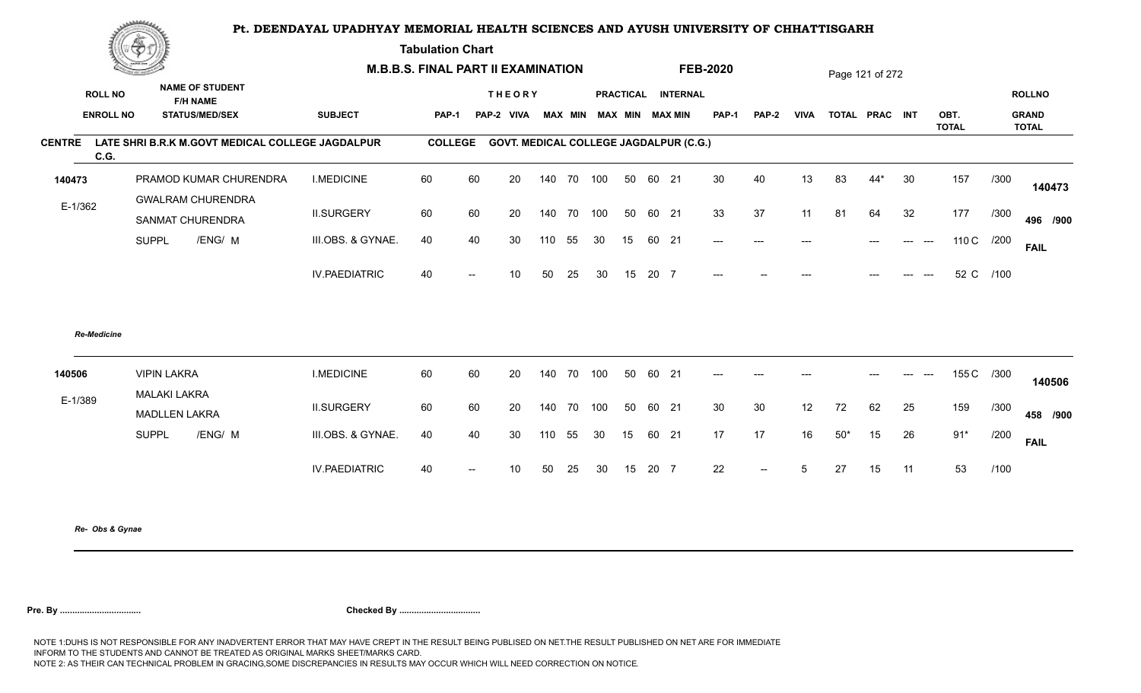**Tabulation Chart** 

| Construction of the |                    |                                                  | <b>M.B.B.S. FINAL PART II EXAMINATION</b> |                |                          |                                               |     |                |     |                  |         | <b>FEB-2020</b>        |                          |              |             | Page 121 of 272 |                |                           |                      |            |                              |
|---------------------|--------------------|--------------------------------------------------|-------------------------------------------|----------------|--------------------------|-----------------------------------------------|-----|----------------|-----|------------------|---------|------------------------|--------------------------|--------------|-------------|-----------------|----------------|---------------------------|----------------------|------------|------------------------------|
|                     | <b>ROLL NO</b>     | <b>NAME OF STUDENT</b><br><b>F/H NAME</b>        |                                           |                |                          | <b>THEORY</b>                                 |     |                |     | <b>PRACTICAL</b> |         | <b>INTERNAL</b>        |                          |              |             |                 |                |                           |                      |            | <b>ROLLNO</b>                |
|                     | <b>ENROLL NO</b>   | <b>STATUS/MED/SEX</b>                            | <b>SUBJECT</b>                            | PAP-1          |                          | PAP-2 VIVA                                    |     | <b>MAX MIN</b> |     |                  |         | <b>MAX MIN MAX MIN</b> | <b>PAP-1</b>             | <b>PAP-2</b> | <b>VIVA</b> |                 | TOTAL PRAC INT |                           | OBT.<br><b>TOTAL</b> |            | <b>GRAND</b><br><b>TOTAL</b> |
| <b>CENTRE</b>       | C.G.               | LATE SHRI B.R.K M.GOVT MEDICAL COLLEGE JAGDALPUR |                                           | <b>COLLEGE</b> |                          | <b>GOVT. MEDICAL COLLEGE JAGDALPUR (C.G.)</b> |     |                |     |                  |         |                        |                          |              |             |                 |                |                           |                      |            |                              |
| 140473              |                    | PRAMOD KUMAR CHURENDRA                           | <b>I.MEDICINE</b>                         | 60             | 60                       | 20                                            | 140 | 70             | 100 | 50               | 60 21   |                        | 30                       | 40           | 13          | 83              | $44*$          | 30                        | 157                  | /300       | 140473                       |
| $E-1/362$           |                    | <b>GWALRAM CHURENDRA</b><br>SANMAT CHURENDRA     | <b>II.SURGERY</b>                         | 60             | 60                       | 20                                            | 140 | 70             | 100 | 50               | 60 21   |                        | 33                       | 37           | 11          | 81              | 64             | 32                        | 177                  | /300       | 496 /900                     |
|                     |                    | <b>SUPPL</b><br>/ENG/ M                          | III.OBS. & GYNAE.                         | 40             | 40                       | 30                                            | 110 | 55             | 30  | 15               | 60 21   |                        | $\hspace{0.05cm} \ldots$ | $---$        | ---         |                 | $---$          | $\qquad \qquad -\qquad -$ |                      | 110 C /200 | <b>FAIL</b>                  |
|                     |                    |                                                  | <b>IV.PAEDIATRIC</b>                      | 40             | $\overline{\phantom{a}}$ | 10                                            | 50  | 25             | 30  | 15               | 20 7    |                        | $---$                    |              |             |                 | $---$          |                           | 52 C                 | /100       |                              |
|                     | <b>Re-Medicine</b> |                                                  |                                           |                |                          |                                               |     |                |     |                  |         |                        |                          |              |             |                 |                |                           |                      |            |                              |
| 140506              |                    | <b>VIPIN LAKRA</b><br><b>MALAKI LAKRA</b>        | <b>I.MEDICINE</b>                         | 60             | 60                       | 20                                            | 140 | 70             | 100 | 50               | 60 21   |                        | $---$                    | $---$        |             |                 | $---$          |                           |                      | 155 C /300 | 140506                       |
| E-1/389             |                    | <b>MADLLEN LAKRA</b>                             | <b>II.SURGERY</b>                         | 60             | 60                       | 20                                            | 140 | 70             | 100 | 50               | 60 21   |                        | 30                       | 30           | 12          | 72              | 62             | 25                        | 159                  | /300       | 458 /900                     |
|                     |                    | <b>SUPPL</b><br>/ENG/ M                          | III.OBS. & GYNAE.                         | 40             | 40                       | 30                                            | 110 | 55             | 30  | 15               | 60 21   |                        | 17                       | 17           | 16          | $50*$           | 15             | 26                        | $91*$                | /200       | <b>FAIL</b>                  |
|                     |                    |                                                  | <b>IV.PAEDIATRIC</b>                      | 40             | $\overline{\phantom{a}}$ | 10 <sup>°</sup>                               | 50  | 25             | 30  |                  | 15 20 7 |                        | 22                       | $\sim$       | 5           | 27              | 15             | 11                        | 53                   | /100       |                              |
|                     |                    |                                                  |                                           |                |                          |                                               |     |                |     |                  |         |                        |                          |              |             |                 |                |                           |                      |            |                              |

*Re- Obs & Gynae*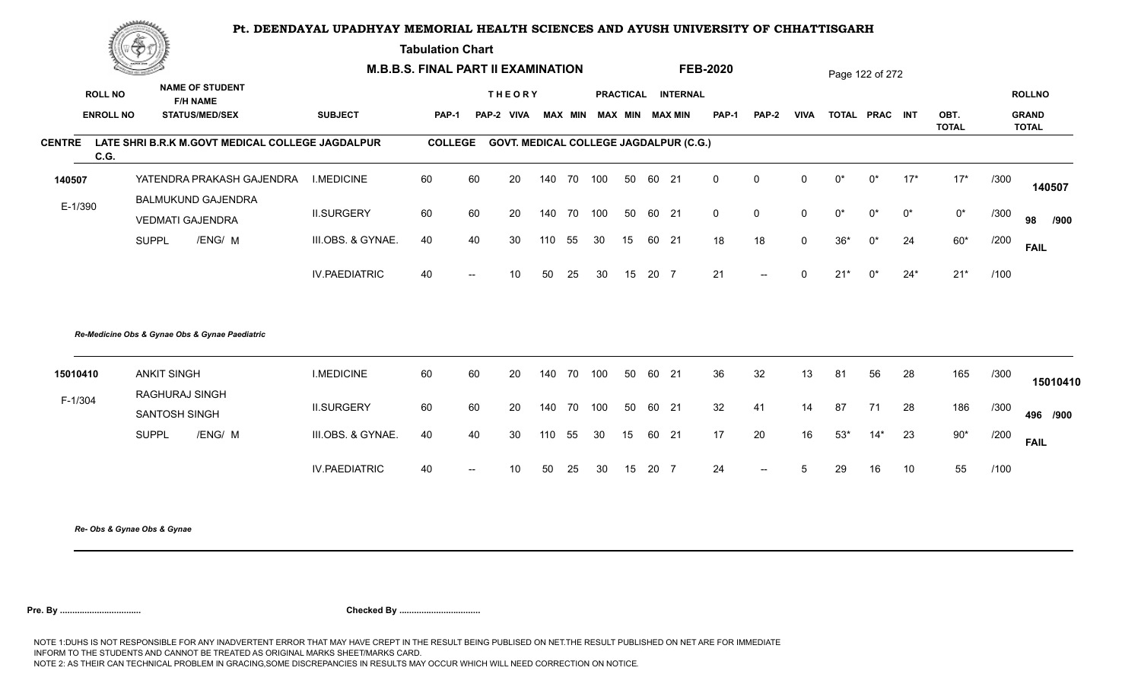**Tabulation Chart** 

|               | ▓▅▅              |                                                      |                      | <b>M.B.B.S. FINAL PART II EXAMINATION</b> |                          |                                               |     |                |     |    |      |                    | <b>FEB-2020</b> |             |             |       | Page 122 of 272 |       |                      |      |                              |
|---------------|------------------|------------------------------------------------------|----------------------|-------------------------------------------|--------------------------|-----------------------------------------------|-----|----------------|-----|----|------|--------------------|-----------------|-------------|-------------|-------|-----------------|-------|----------------------|------|------------------------------|
|               | <b>ROLL NO</b>   | <b>NAME OF STUDENT</b><br><b>F/H NAME</b>            |                      |                                           |                          | <b>THEORY</b>                                 |     |                |     |    |      | PRACTICAL INTERNAL |                 |             |             |       |                 |       |                      |      | <b>ROLLNO</b>                |
|               | <b>ENROLL NO</b> | <b>STATUS/MED/SEX</b>                                | <b>SUBJECT</b>       | <b>PAP-1</b>                              |                          | PAP-2 VIVA                                    |     | <b>MAX MIN</b> |     |    |      | MAX MIN MAX MIN    | <b>PAP-1</b>    | PAP-2       | <b>VIVA</b> |       | TOTAL PRAC INT  |       | OBT.<br><b>TOTAL</b> |      | <b>GRAND</b><br><b>TOTAL</b> |
| <b>CENTRE</b> | C.G.             | LATE SHRI B.R.K M.GOVT MEDICAL COLLEGE JAGDALPUR     |                      | <b>COLLEGE</b>                            |                          | <b>GOVT. MEDICAL COLLEGE JAGDALPUR (C.G.)</b> |     |                |     |    |      |                    |                 |             |             |       |                 |       |                      |      |                              |
| 140507        |                  | YATENDRA PRAKASH GAJENDRA                            | <b>I.MEDICINE</b>    | 60                                        | 60                       | 20                                            | 140 | 70             | 100 | 50 | 60   | 21                 | $\Omega$        | 0           | 0           | $0^*$ | $0^*$           | $17*$ | $17*$                | /300 | 140507                       |
| E-1/390       |                  | <b>BALMUKUND GAJENDRA</b><br><b>VEDMATI GAJENDRA</b> | <b>II.SURGERY</b>    | 60                                        | 60                       | 20                                            | 140 | 70             | 100 | 50 |      | 60 21              | $\mathbf 0$     | $\mathbf 0$ | $\mathbf 0$ | 0*    | $0^*$           | $0^*$ | $0^\star$            | /300 | 98<br>/900                   |
|               |                  | <b>SUPPL</b><br>/ENG/ M                              | III.OBS. & GYNAE.    | 40                                        | 40                       | 30                                            | 110 | 55             | 30  | 15 |      | 60 21              | 18              | 18          | $\mathbf 0$ | $36*$ | 0*              | 24    | $60*$                | /200 | <b>FAIL</b>                  |
|               |                  |                                                      | <b>IV.PAEDIATRIC</b> | 40                                        | $\overline{\phantom{a}}$ | 10                                            | 50  | 25             | 30  | 15 | 20 7 |                    | 21              | $--$        | U           | $21*$ | $0^*$           | $24*$ | $21*$                | /100 |                              |
|               |                  | Re-Medicine Obs & Gynae Obs & Gynae Paediatric       |                      |                                           |                          |                                               |     |                |     |    |      |                    |                 |             |             |       |                 |       |                      |      |                              |
| 15010410      |                  | <b>ANKIT SINGH</b>                                   | <b>I.MEDICINE</b>    | 60                                        | 60                       | 20                                            | 140 | 70             | 100 | 50 | 60   | 21                 | 36              | 32          | 13          | 81    | 56              | 28    | 165                  | /300 | 15010410                     |
| F-1/304       |                  | RAGHURAJ SINGH<br>SANTOSH SINGH                      | <b>II.SURGERY</b>    | 60                                        | 60                       | 20                                            | 140 | 70             | 100 | 50 | 60   | 21                 | 32              | 41          | 14          | 87    | 71              | 28    | 186                  | /300 | 496 /900                     |
|               |                  | <b>SUPPL</b><br>/ENG/ M                              | III.OBS. & GYNAE.    | 40                                        | 40                       | 30                                            | 110 | 55             | 30  | 15 |      | 60 21              | 17              | 20          | 16          | $53*$ | $14*$           | 23    | $90*$                | /200 | <b>FAIL</b>                  |
|               |                  |                                                      | <b>IV.PAEDIATRIC</b> | 40                                        | $\overline{\phantom{a}}$ | 10                                            | 50  | 25             | 30  | 15 | 20 7 |                    | 24              | $--$        | 5           | 29    | 16              | 10    | 55                   | /100 |                              |
|               |                  |                                                      |                      |                                           |                          |                                               |     |                |     |    |      |                    |                 |             |             |       |                 |       |                      |      |                              |

*Re- Obs & Gynae Obs & Gynae*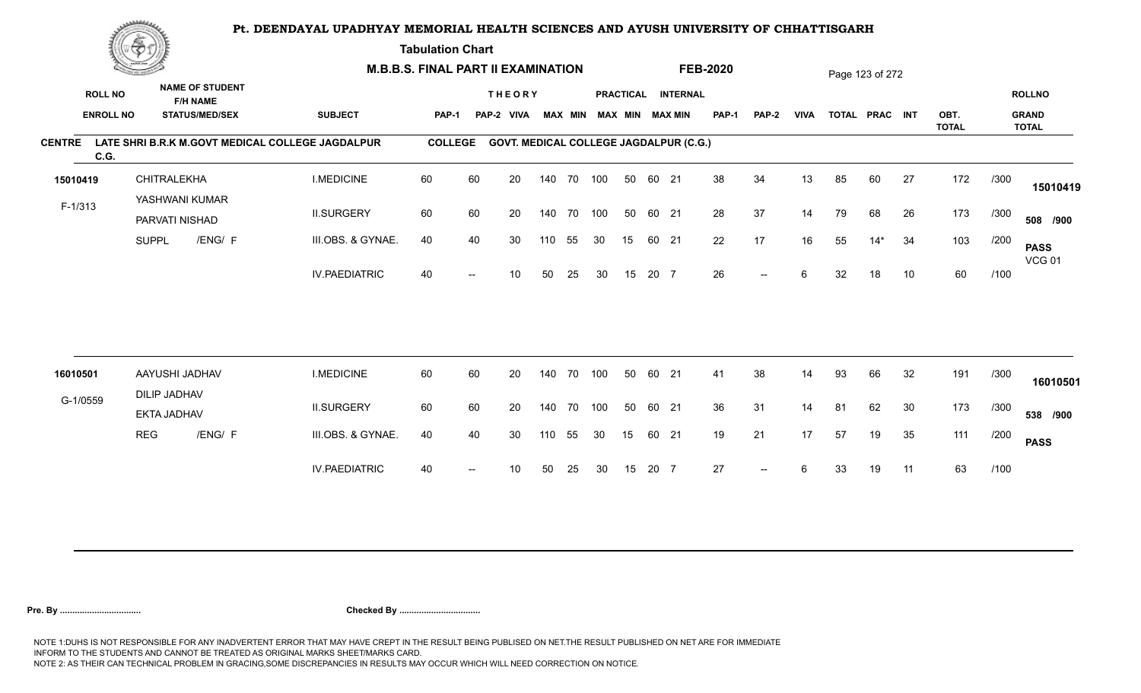**Tabulation Chart** 

|               | <b>Construction of the Asset</b> |                                  | <b>M.B.B.S. FINAL PART II EXAMINATION</b> |                                                  |                |      |                                               |     |                |     |    |       | <b>FEB-2020</b>        |              |                          |             | Page 123 of 272 |                |    |                      |      |                              |
|---------------|----------------------------------|----------------------------------|-------------------------------------------|--------------------------------------------------|----------------|------|-----------------------------------------------|-----|----------------|-----|----|-------|------------------------|--------------|--------------------------|-------------|-----------------|----------------|----|----------------------|------|------------------------------|
|               | <b>ROLL NO</b>                   |                                  | <b>NAME OF STUDENT</b><br><b>F/H NAME</b> |                                                  |                |      | <b>THEORY</b>                                 |     |                |     |    |       | PRACTICAL INTERNAL     |              |                          |             |                 |                |    |                      |      | <b>ROLLNO</b>                |
|               | <b>ENROLL NO</b>                 |                                  | <b>STATUS/MED/SEX</b>                     | <b>SUBJECT</b>                                   | <b>PAP-1</b>   |      | PAP-2 VIVA                                    |     | <b>MAX MIN</b> |     |    |       | <b>MAX MIN MAX MIN</b> | <b>PAP-1</b> | PAP-2                    | <b>VIVA</b> |                 | TOTAL PRAC INT |    | OBT.<br><b>TOTAL</b> |      | <b>GRAND</b><br><b>TOTAL</b> |
| <b>CENTRE</b> | C.G.                             |                                  |                                           | LATE SHRI B.R.K M.GOVT MEDICAL COLLEGE JAGDALPUR | <b>COLLEGE</b> |      | <b>GOVT. MEDICAL COLLEGE JAGDALPUR (C.G.)</b> |     |                |     |    |       |                        |              |                          |             |                 |                |    |                      |      |                              |
| 15010419      |                                  | CHITRALEKHA                      |                                           | <b>I.MEDICINE</b>                                | 60             | 60   | 20                                            |     | 140 70 100     |     | 50 | 60 21 |                        | 38           | 34                       | 13          | 85              | 60             | 27 | 172                  | /300 | 15010419                     |
| F-1/313       |                                  | YASHWANI KUMAR<br>PARVATI NISHAD |                                           | <b>II.SURGERY</b>                                | 60             | 60   | 20                                            |     | 140 70 100     |     | 50 | 60 21 |                        | 28           | 37                       | 14          | 79              | 68             | 26 | 173                  | /300 | 508 /900                     |
|               |                                  | <b>SUPPL</b>                     | /ENG/ F                                   | III.OBS. & GYNAE.                                | 40             | 40   | 30                                            | 110 | 55             | 30  | 15 | 60 21 |                        | 22           | 17                       | 16          | 55              | $14*$          | 34 | 103                  | /200 | <b>PASS</b><br><b>VCG 01</b> |
|               |                                  |                                  |                                           | <b>IV.PAEDIATRIC</b>                             | 40             |      | 10                                            | 50  | 25             | 30  | 15 | 20 7  |                        | 26           | $- -$                    | 6           | 32              | 18             | 10 | 60                   | /100 |                              |
|               |                                  |                                  |                                           |                                                  |                |      |                                               |     |                |     |    |       |                        |              |                          |             |                 |                |    |                      |      |                              |
| 16010501      |                                  | AAYUSHI JADHAV                   |                                           | <b>I.MEDICINE</b>                                | 60             | 60   | 20                                            | 140 | 70             | 100 | 50 | 60 21 |                        | 41           | 38                       | 14          | 93              | 66             | 32 | 191                  | /300 |                              |
|               |                                  | <b>DILIP JADHAV</b>              |                                           |                                                  |                |      |                                               |     |                |     |    |       |                        |              |                          |             |                 |                |    |                      |      | 16010501                     |
| G-1/0559      |                                  | <b>EKTA JADHAV</b>               |                                           | <b>II.SURGERY</b>                                | 60             | 60   | 20                                            | 140 | 70             | 100 | 50 | 60 21 |                        | 36           | 31                       | 14          | 81              | 62             | 30 | 173                  | /300 | 538 /900                     |
|               |                                  | <b>REG</b>                       | /ENG/ F                                   | III.OBS. & GYNAE.                                | 40             | 40   | 30                                            | 110 | 55             | 30  | 15 | 60 21 |                        | 19           | 21                       | 17          | 57              | 19             | 35 | 111                  | /200 | <b>PASS</b>                  |
|               |                                  |                                  |                                           | <b>IV.PAEDIATRIC</b>                             | 40             | $--$ | 10                                            | 50  | 25             | 30  | 15 | 20 7  |                        | 27           | $\overline{\phantom{a}}$ | 6           | 33              | 19             | 11 | 63                   | /100 |                              |
|               |                                  |                                  |                                           |                                                  |                |      |                                               |     |                |     |    |       |                        |              |                          |             |                 |                |    |                      |      |                              |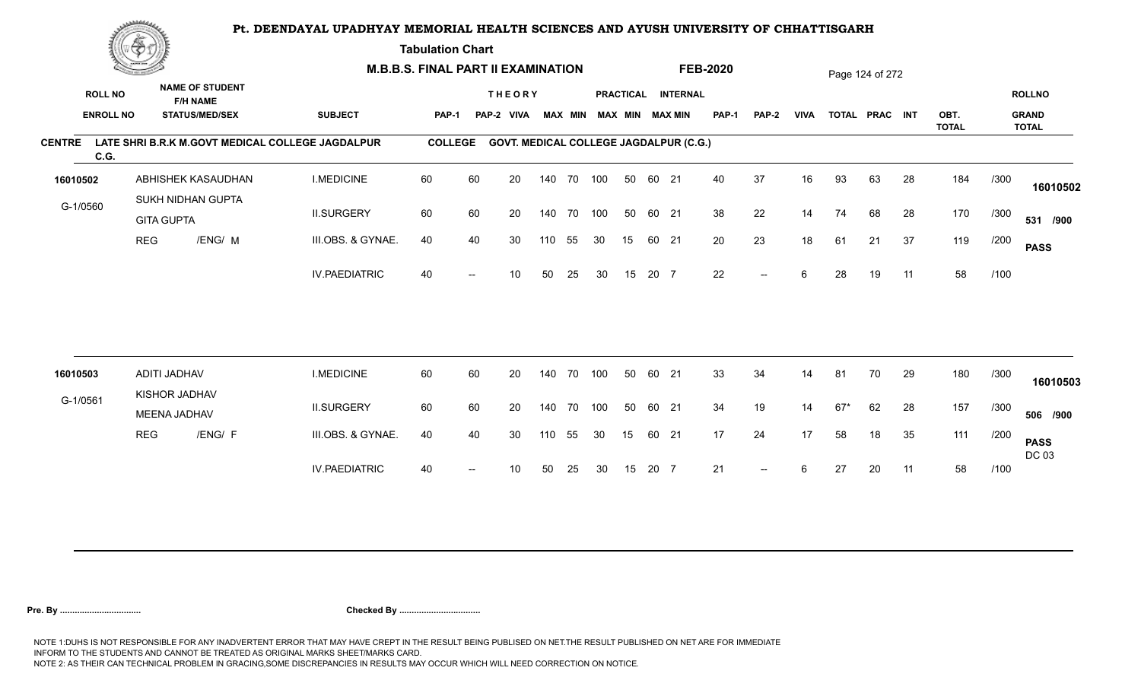**Tabulation Chart** 

|                       | <b>Construction of the Asset</b> |                               |                                           | <b>M.B.B.S. FINAL PART II EXAMINATION</b>        |                |    |                                               |     |                |     |    |       | <b>FEB-2020</b>        |              |       |             | Page 124 of 272 |                |    |                      |      |                              |
|-----------------------|----------------------------------|-------------------------------|-------------------------------------------|--------------------------------------------------|----------------|----|-----------------------------------------------|-----|----------------|-----|----|-------|------------------------|--------------|-------|-------------|-----------------|----------------|----|----------------------|------|------------------------------|
| <b>ROLL NO</b>        |                                  |                               | <b>NAME OF STUDENT</b><br><b>F/H NAME</b> |                                                  |                |    | <b>THEORY</b>                                 |     |                |     |    |       | PRACTICAL INTERNAL     |              |       |             |                 |                |    |                      |      | <b>ROLLNO</b>                |
| <b>ENROLL NO</b>      |                                  |                               | <b>STATUS/MED/SEX</b>                     | <b>SUBJECT</b>                                   | <b>PAP-1</b>   |    | PAP-2 VIVA                                    |     | <b>MAX MIN</b> |     |    |       | <b>MAX MIN MAX MIN</b> | <b>PAP-1</b> | PAP-2 | <b>VIVA</b> |                 | TOTAL PRAC INT |    | OBT.<br><b>TOTAL</b> |      | <b>GRAND</b><br><b>TOTAL</b> |
| <b>CENTRE</b><br>C.G. |                                  |                               |                                           | LATE SHRI B.R.K M.GOVT MEDICAL COLLEGE JAGDALPUR | <b>COLLEGE</b> |    | <b>GOVT. MEDICAL COLLEGE JAGDALPUR (C.G.)</b> |     |                |     |    |       |                        |              |       |             |                 |                |    |                      |      |                              |
| 16010502              |                                  |                               | ABHISHEK KASAUDHAN                        | <b>I.MEDICINE</b>                                | 60             | 60 | 20                                            |     | 140 70 100     |     | 50 | 60 21 |                        | 40           | 37    | 16          | 93              | 63             | 28 | 184                  | /300 | 16010502                     |
| G-1/0560              |                                  | <b>GITA GUPTA</b>             | SUKH NIDHAN GUPTA                         | <b>II.SURGERY</b>                                | 60             | 60 | 20                                            |     | 140 70 100     |     | 50 | 60 21 |                        | 38           | 22    | 14          | 74              | 68             | 28 | 170                  | /300 | 531 /900                     |
|                       | <b>REG</b>                       |                               | /ENG/ M                                   | III.OBS. & GYNAE.                                | 40             | 40 | 30                                            | 110 | 55             | 30  | 15 | 60 21 |                        | 20           | 23    | 18          | 61              | 21             | 37 | 119                  | /200 | <b>PASS</b>                  |
|                       |                                  |                               |                                           | <b>IV.PAEDIATRIC</b>                             | 40             |    | 10                                            | 50  | 25             | 30  | 15 | 20 7  |                        | 22           | $-$   | 6           | 28              | 19             | 11 | 58                   | /100 |                              |
|                       |                                  |                               |                                           |                                                  |                |    |                                               |     |                |     |    |       |                        |              |       |             |                 |                |    |                      |      |                              |
| 16010503              |                                  | ADITI JADHAV<br>KISHOR JADHAV |                                           | <b>I.MEDICINE</b>                                | 60             | 60 | 20                                            | 140 | 70             | 100 | 50 | 60 21 |                        | 33           | 34    | 14          | 81              | 70             | 29 | 180                  | /300 | 16010503                     |
| G-1/0561              |                                  | MEENA JADHAV                  |                                           | <b>II.SURGERY</b>                                | 60             | 60 | 20                                            | 140 | 70             | 100 | 50 | 60 21 |                        | 34           | 19    | 14          | $67*$           | 62             | 28 | 157                  | /300 | 506 /900                     |
|                       | <b>REG</b>                       |                               | /ENG/ F                                   | III.OBS. & GYNAE.                                | 40             | 40 | 30                                            | 110 | 55             | 30  | 15 | 60 21 |                        | 17           | 24    | 17          | 58              | 18             | 35 | 111                  | /200 | <b>PASS</b><br>DC 03         |
|                       |                                  |                               |                                           | <b>IV.PAEDIATRIC</b>                             | 40             |    | 10                                            | 50  | 25             | 30  | 15 | 20 7  |                        | 21           | $- -$ | 6           | 27              | 20             | 11 | 58                   | /100 |                              |
|                       |                                  |                               |                                           |                                                  |                |    |                                               |     |                |     |    |       |                        |              |       |             |                 |                |    |                      |      |                              |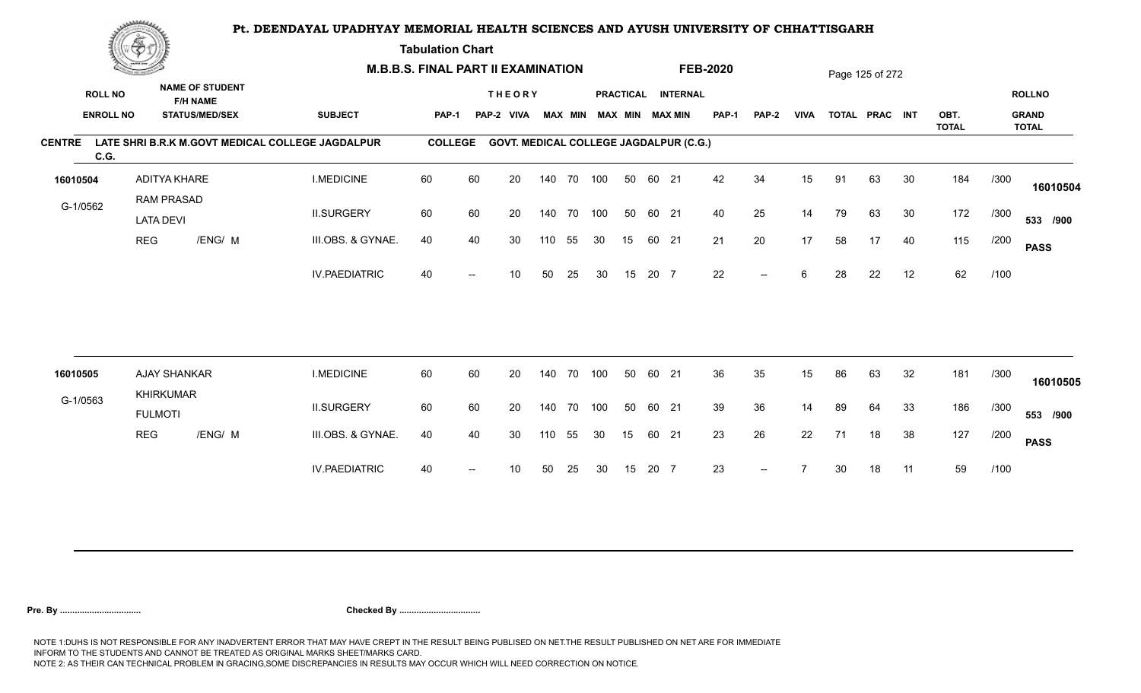**Tabulation Chart** 

|               | <b>Construction of the Asset</b> |                                       | <b>M.B.B.S. FINAL PART II EXAMINATION</b> |                                                  |                |     |                                               |     |                |     |    |       | <b>FEB-2020</b>    |              |              |             | Page 125 of 272 |                |    |                      |      |                              |
|---------------|----------------------------------|---------------------------------------|-------------------------------------------|--------------------------------------------------|----------------|-----|-----------------------------------------------|-----|----------------|-----|----|-------|--------------------|--------------|--------------|-------------|-----------------|----------------|----|----------------------|------|------------------------------|
|               | <b>ROLL NO</b>                   |                                       | <b>NAME OF STUDENT</b><br><b>F/H NAME</b> |                                                  |                |     | <b>THEORY</b>                                 |     |                |     |    |       | PRACTICAL INTERNAL |              |              |             |                 |                |    |                      |      | <b>ROLLNO</b>                |
|               | <b>ENROLL NO</b>                 |                                       | <b>STATUS/MED/SEX</b>                     | <b>SUBJECT</b>                                   | <b>PAP-1</b>   |     | PAP-2 VIVA                                    |     | <b>MAX MIN</b> |     |    |       | MAX MIN MAX MIN    | <b>PAP-1</b> | <b>PAP-2</b> | <b>VIVA</b> |                 | TOTAL PRAC INT |    | OBT.<br><b>TOTAL</b> |      | <b>GRAND</b><br><b>TOTAL</b> |
| <b>CENTRE</b> | C.G.                             |                                       |                                           | LATE SHRI B.R.K M.GOVT MEDICAL COLLEGE JAGDALPUR | <b>COLLEGE</b> |     | <b>GOVT. MEDICAL COLLEGE JAGDALPUR (C.G.)</b> |     |                |     |    |       |                    |              |              |             |                 |                |    |                      |      |                              |
| 16010504      |                                  | ADITYA KHARE                          |                                           | <b>I.MEDICINE</b>                                | 60             | 60  | 20                                            |     | 140 70 100     |     | 50 | 60 21 |                    | 42           | 34           | 15          | 91              | 63             | 30 | 184                  | /300 | 16010504                     |
| G-1/0562      |                                  | <b>RAM PRASAD</b><br><b>LATA DEVI</b> |                                           | <b>II.SURGERY</b>                                | 60             | 60  | 20                                            |     | 140 70 100     |     | 50 | 60 21 |                    | 40           | 25           | 14          | 79              | 63             | 30 | 172                  | /300 | 533 /900                     |
|               |                                  | <b>REG</b>                            | /ENG/ M                                   | III.OBS. & GYNAE.                                | 40             | 40  | 30                                            | 110 | 55             | 30  | 15 | 60 21 |                    | 21           | 20           | 17          | 58              | 17             | 40 | 115                  | /200 | <b>PASS</b>                  |
|               |                                  |                                       |                                           | <b>IV.PAEDIATRIC</b>                             | 40             |     | 10                                            | 50  | 25             | 30  | 15 | 20 7  |                    | 22           | $- -$        | 6           | 28              | 22             | 12 | 62                   | /100 |                              |
|               |                                  |                                       |                                           |                                                  |                |     |                                               |     |                |     |    |       |                    |              |              |             |                 |                |    |                      |      |                              |
| 16010505      |                                  | <b>AJAY SHANKAR</b>                   |                                           | <b>I.MEDICINE</b>                                | 60             | 60  | 20                                            | 140 | 70             | 100 | 50 | 60    | 21                 | 36           | 35           | 15          | 86              | 63             | 32 | 181                  | /300 | 16010505                     |
| G-1/0563      |                                  | <b>KHIRKUMAR</b><br><b>FULMOTI</b>    |                                           | <b>II.SURGERY</b>                                | 60             | 60  | 20                                            | 140 | 70             | 100 | 50 | 60 21 |                    | 39           | 36           | 14          | 89              | 64             | 33 | 186                  | /300 | 553 /900                     |
|               |                                  | <b>REG</b>                            | /ENG/ M                                   | III.OBS. & GYNAE.                                | 40             | 40  | 30                                            | 110 | 55             | 30  | 15 | 60 21 |                    | 23           | 26           | 22          | 71              | 18             | 38 | 127                  | /200 | <b>PASS</b>                  |
|               |                                  |                                       |                                           | <b>IV.PAEDIATRIC</b>                             | 40             | $-$ | 10                                            | 50  | 25             | 30  | 15 | 20 7  |                    | 23           |              |             | 30              | 18             | 11 | 59                   | /100 |                              |
|               |                                  |                                       |                                           |                                                  |                |     |                                               |     |                |     |    |       |                    |              |              |             |                 |                |    |                      |      |                              |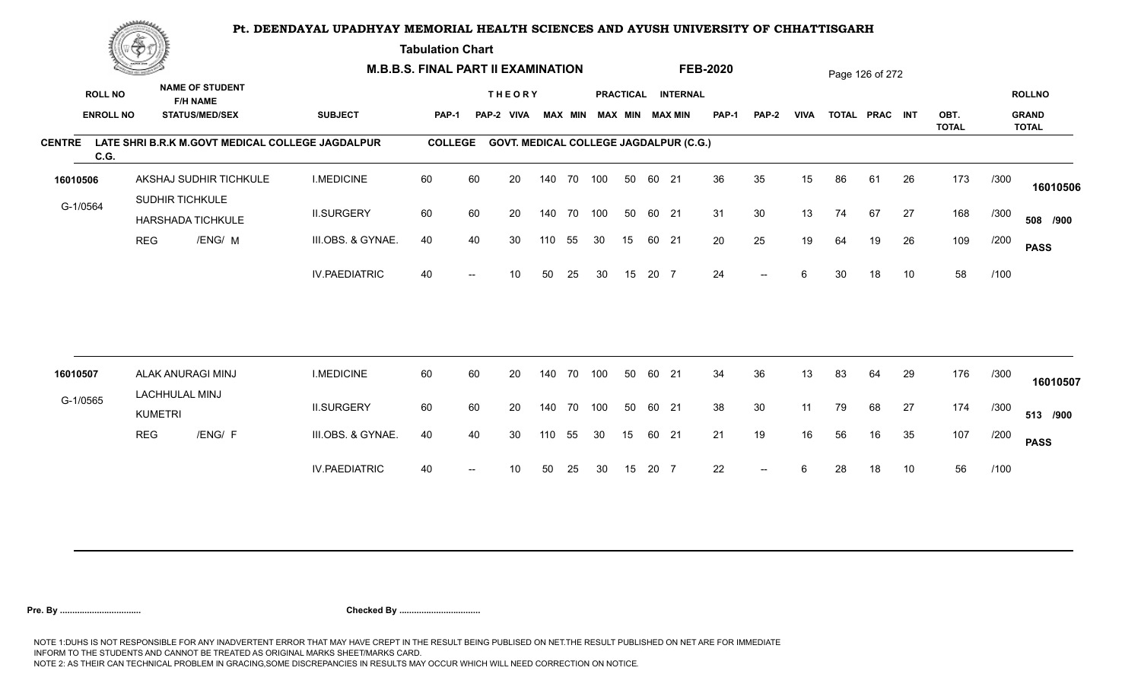**Tabulation Chart** 

|               | <b>Construction of the Asset</b> |                                  |                                                  | <b>M.B.B.S. FINAL PART II EXAMINATION</b> |                |      |                                               |     |                |            |    |       | <b>FEB-2020</b>        |              |                          |             | Page 126 of 272 |                |    |                      |      |                              |
|---------------|----------------------------------|----------------------------------|--------------------------------------------------|-------------------------------------------|----------------|------|-----------------------------------------------|-----|----------------|------------|----|-------|------------------------|--------------|--------------------------|-------------|-----------------|----------------|----|----------------------|------|------------------------------|
|               | <b>ROLL NO</b>                   |                                  | <b>NAME OF STUDENT</b><br><b>F/H NAME</b>        |                                           |                |      | <b>THEORY</b>                                 |     |                |            |    |       | PRACTICAL INTERNAL     |              |                          |             |                 |                |    |                      |      | <b>ROLLNO</b>                |
|               | <b>ENROLL NO</b>                 |                                  | <b>STATUS/MED/SEX</b>                            | <b>SUBJECT</b>                            | <b>PAP-1</b>   |      | PAP-2 VIVA                                    |     | <b>MAX MIN</b> |            |    |       | <b>MAX MIN MAX MIN</b> | <b>PAP-1</b> | PAP-2                    | <b>VIVA</b> |                 | TOTAL PRAC INT |    | OBT.<br><b>TOTAL</b> |      | <b>GRAND</b><br><b>TOTAL</b> |
| <b>CENTRE</b> | C.G.                             |                                  | LATE SHRI B.R.K M.GOVT MEDICAL COLLEGE JAGDALPUR |                                           | <b>COLLEGE</b> |      | <b>GOVT. MEDICAL COLLEGE JAGDALPUR (C.G.)</b> |     |                |            |    |       |                        |              |                          |             |                 |                |    |                      |      |                              |
| 16010506      |                                  |                                  | AKSHAJ SUDHIR TICHKULE                           | <b>I.MEDICINE</b>                         | 60             | 60   | 20                                            |     |                | 140 70 100 | 50 | 60 21 |                        | 36           | 35                       | 15          | 86              | 61             | 26 | 173                  | /300 | 16010506                     |
| G-1/0564      |                                  |                                  | SUDHIR TICHKULE<br><b>HARSHADA TICHKULE</b>      | <b>II.SURGERY</b>                         | 60             | 60   | 20                                            |     |                | 140 70 100 | 50 | 60 21 |                        | 31           | 30                       | 13          | 74              | 67             | 27 | 168                  | /300 | 508 /900                     |
|               |                                  | <b>REG</b>                       | /ENG/ M                                          | III.OBS. & GYNAE.                         | 40             | 40   | 30                                            | 110 | 55             | 30         | 15 |       | 60 21                  | 20           | 25                       | 19          | 64              | 19             | 26 | 109                  | /200 | <b>PASS</b>                  |
|               |                                  |                                  |                                                  | <b>IV.PAEDIATRIC</b>                      | 40             |      | 10                                            | 50  | 25             | 30         | 15 | 20 7  |                        | 24           | $-$                      | 6           | 30              | 18             | 10 | 58                   | /100 |                              |
|               |                                  |                                  |                                                  |                                           |                |      |                                               |     |                |            |    |       |                        |              |                          |             |                 |                |    |                      |      |                              |
| 16010507      |                                  |                                  | ALAK ANURAGI MINJ                                | <b>I.MEDICINE</b>                         | 60             | 60   | 20                                            | 140 | 70             | 100        | 50 | 60 21 |                        | 34           | 36                       | 13          | 83              | 64             | 29 | 176                  | /300 | 16010507                     |
| G-1/0565      |                                  | LACHHULAL MINJ<br><b>KUMETRI</b> |                                                  | <b>II.SURGERY</b>                         | 60             | 60   | 20                                            | 140 | 70             | 100        | 50 | 60 21 |                        | 38           | 30                       | 11          | 79              | 68             | 27 | 174                  | /300 | 513 /900                     |
|               |                                  | <b>REG</b>                       | /ENG/ F                                          | III.OBS. & GYNAE.                         | 40             | 40   | 30                                            | 110 | 55             | 30         | 15 | 60 21 |                        | 21           | 19                       | 16          | 56              | 16             | 35 | 107                  | /200 | <b>PASS</b>                  |
|               |                                  |                                  |                                                  | <b>IV.PAEDIATRIC</b>                      | 40             | $--$ | 10                                            | 50  | 25             | 30         | 15 | 20 7  |                        | 22           | $\overline{\phantom{a}}$ | 6           | 28              | 18             | 10 | 56                   | /100 |                              |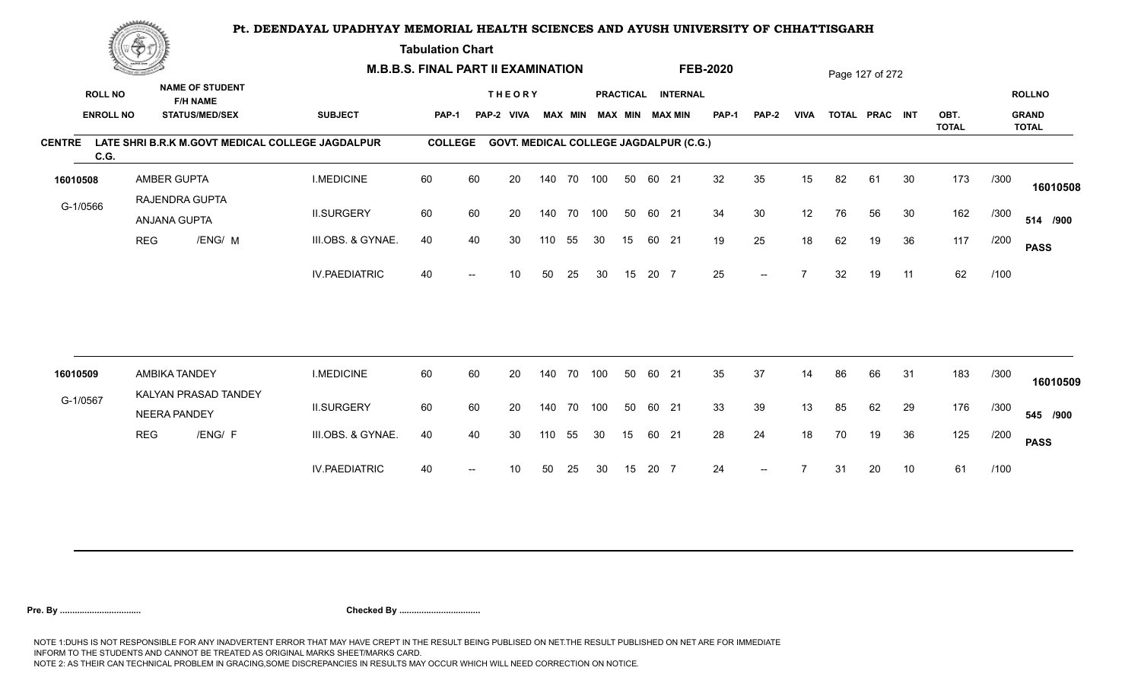**Tabulation Chart** 

|                       | <b>Construction of the Asset</b> |                                             | <b>M.B.B.S. FINAL PART II EXAMINATION</b> |                                                  |                |    |                                               |     |                |     |                        |       | <b>FEB-2020</b>    |              |       |                | Page 127 of 272 |                |    |                      |      |                              |
|-----------------------|----------------------------------|---------------------------------------------|-------------------------------------------|--------------------------------------------------|----------------|----|-----------------------------------------------|-----|----------------|-----|------------------------|-------|--------------------|--------------|-------|----------------|-----------------|----------------|----|----------------------|------|------------------------------|
| <b>ROLL NO</b>        |                                  | <b>NAME OF STUDENT</b><br><b>F/H NAME</b>   |                                           |                                                  |                |    | <b>THEORY</b>                                 |     |                |     |                        |       | PRACTICAL INTERNAL |              |       |                |                 |                |    |                      |      | <b>ROLLNO</b>                |
|                       | <b>ENROLL NO</b>                 | <b>STATUS/MED/SEX</b>                       |                                           | <b>SUBJECT</b>                                   | <b>PAP-1</b>   |    | PAP-2 VIVA                                    |     | <b>MAX MIN</b> |     | <b>MAX MIN MAX MIN</b> |       |                    | <b>PAP-1</b> | PAP-2 | <b>VIVA</b>    |                 | TOTAL PRAC INT |    | OBT.<br><b>TOTAL</b> |      | <b>GRAND</b><br><b>TOTAL</b> |
| <b>CENTRE</b><br>C.G. |                                  |                                             |                                           | LATE SHRI B.R.K M.GOVT MEDICAL COLLEGE JAGDALPUR | <b>COLLEGE</b> |    | <b>GOVT. MEDICAL COLLEGE JAGDALPUR (C.G.)</b> |     |                |     |                        |       |                    |              |       |                |                 |                |    |                      |      |                              |
| 16010508              |                                  | AMBER GUPTA                                 |                                           | <b>I.MEDICINE</b>                                | 60             | 60 | 20                                            |     | 140 70 100     |     | 50                     | 60 21 |                    | 32           | 35    | 15             | 82              | 61             | 30 | 173                  | /300 | 16010508                     |
| G-1/0566              |                                  | RAJENDRA GUPTA<br>ANJANA GUPTA              |                                           | <b>II.SURGERY</b>                                | 60             | 60 | 20                                            |     | 140 70 100     |     | 50                     | 60 21 |                    | 34           | 30    | 12             | 76              | 56             | 30 | 162                  | /300 | 514 /900                     |
|                       | <b>REG</b>                       |                                             | /ENG/ M                                   | III.OBS. & GYNAE.                                | 40             | 40 | 30                                            | 110 | 55             | 30  | 15                     | 60 21 |                    | 19           | 25    | 18             | 62              | 19             | 36 | 117                  | /200 | <b>PASS</b>                  |
|                       |                                  |                                             |                                           | <b>IV.PAEDIATRIC</b>                             | 40             |    | 10                                            | 50  | 25             | 30  | 15                     | 20 7  |                    | 25           | $-$   | $\overline{ }$ | 32              | 19             | 11 | 62                   | /100 |                              |
|                       |                                  |                                             |                                           |                                                  |                |    |                                               |     |                |     |                        |       |                    |              |       |                |                 |                |    |                      |      |                              |
| 16010509              |                                  | AMBIKA TANDEY                               |                                           | <b>I.MEDICINE</b>                                | 60             | 60 | 20                                            | 140 | 70             | 100 | 50                     | 60 21 |                    | 35           | 37    | 14             | 86              | 66             | 31 | 183                  | /300 | 16010509                     |
| G-1/0567              |                                  | KALYAN PRASAD TANDEY<br><b>NEERA PANDEY</b> |                                           | <b>II.SURGERY</b>                                | 60             | 60 | 20                                            | 140 | 70             | 100 | 50                     | 60 21 |                    | 33           | 39    | 13             | 85              | 62             | 29 | 176                  | /300 | 545 /900                     |
|                       | <b>REG</b>                       |                                             | /ENG/ F                                   | III.OBS. & GYNAE.                                | 40             | 40 | 30                                            | 110 | 55             | 30  | 15                     | 60 21 |                    | 28           | 24    | 18             | 70              | 19             | 36 | 125                  | /200 | <b>PASS</b>                  |
|                       |                                  |                                             |                                           | <b>IV.PAEDIATRIC</b>                             | 40             |    | 10                                            | 50  | 25             | 30  | 15                     | 20 7  |                    | 24           | $- -$ |                | -31             | 20             | 10 | 61                   | /100 |                              |
|                       |                                  |                                             |                                           |                                                  |                |    |                                               |     |                |     |                        |       |                    |              |       |                |                 |                |    |                      |      |                              |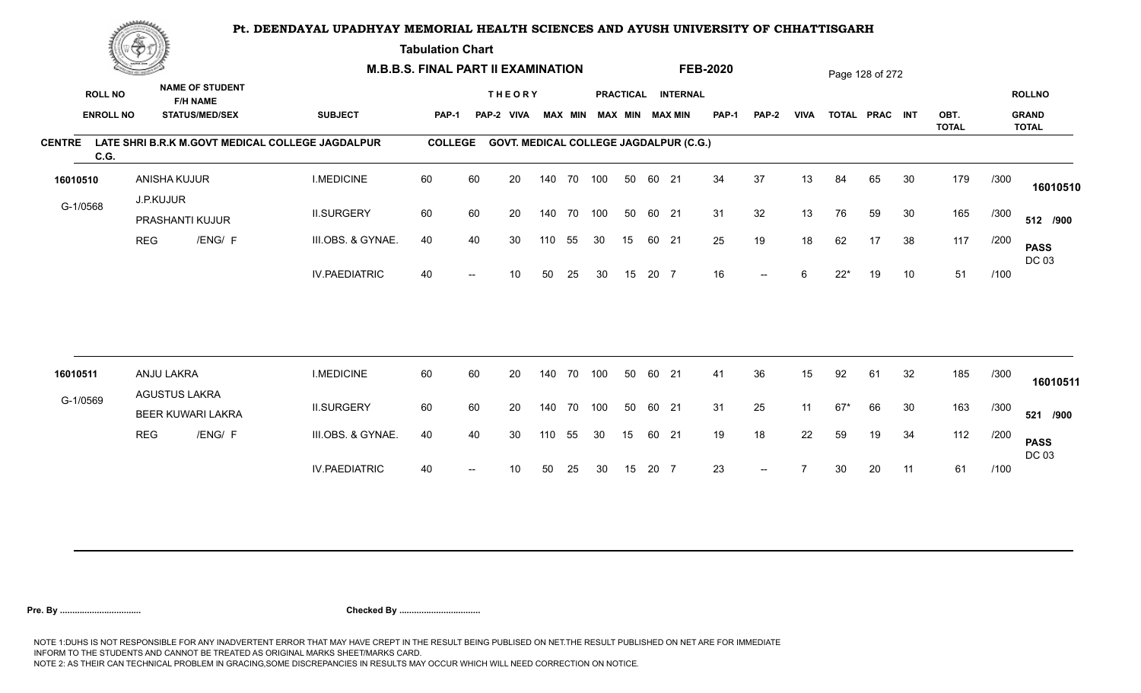**Tabulation Chart** 

|               | <b>Consumer de region de la</b> |                                    | <b>M.B.B.S. FINAL PART II EXAMINATION</b> |                                                  |                |    |                                               |     |        |                         |    |       | <b>FEB-2020</b>    |              |       |             | Page 128 of 272 |                |    |                      |      |                              |
|---------------|---------------------------------|------------------------------------|-------------------------------------------|--------------------------------------------------|----------------|----|-----------------------------------------------|-----|--------|-------------------------|----|-------|--------------------|--------------|-------|-------------|-----------------|----------------|----|----------------------|------|------------------------------|
|               | <b>ROLL NO</b>                  |                                    | <b>NAME OF STUDENT</b><br><b>F/H NAME</b> |                                                  |                |    | <b>THEORY</b>                                 |     |        |                         |    |       | PRACTICAL INTERNAL |              |       |             |                 |                |    |                      |      | <b>ROLLNO</b>                |
|               | <b>ENROLL NO</b>                |                                    | <b>STATUS/MED/SEX</b>                     | <b>SUBJECT</b>                                   | PAP-1          |    | PAP-2 VIVA                                    |     |        | MAX MIN MAX MIN MAX MIN |    |       |                    | <b>PAP-1</b> | PAP-2 | <b>VIVA</b> |                 | TOTAL PRAC INT |    | OBT.<br><b>TOTAL</b> |      | <b>GRAND</b><br><b>TOTAL</b> |
| <b>CENTRE</b> | C.G.                            |                                    |                                           | LATE SHRI B.R.K M.GOVT MEDICAL COLLEGE JAGDALPUR | <b>COLLEGE</b> |    | <b>GOVT. MEDICAL COLLEGE JAGDALPUR (C.G.)</b> |     |        |                         |    |       |                    |              |       |             |                 |                |    |                      |      |                              |
| 16010510      |                                 | ANISHA KUJUR                       |                                           | <b>I.MEDICINE</b>                                | 60             | 60 | 20                                            | 140 | 70 100 |                         | 50 | 60 21 |                    | 34           | 37    | 13          | 84              | 65             | 30 | 179                  | /300 | 16010510                     |
| G-1/0568      |                                 | J.P.KUJUR<br>PRASHANTI KUJUR       |                                           | <b>II.SURGERY</b>                                | 60             | 60 | 20                                            | 140 | 70 100 |                         | 50 | 60 21 |                    | 31           | 32    | 13          | 76              | 59             | 30 | 165                  | /300 | 512 /900                     |
|               |                                 | <b>REG</b>                         | /ENG/ F                                   | III.OBS. & GYNAE.                                | 40             | 40 | 30                                            | 110 | 55     | 30                      | 15 | 60 21 |                    | 25           | 19    | 18          | 62              | 17             | 38 | 117                  | /200 | <b>PASS</b><br>DC 03         |
|               |                                 |                                    |                                           | <b>IV.PAEDIATRIC</b>                             | 40             |    | 10                                            | 50  | 25     | 30                      | 15 | 20 7  |                    | 16           | $- -$ | 6           | $22*$           | 19             | 10 | 51                   | /100 |                              |
|               |                                 |                                    |                                           |                                                  |                |    |                                               |     |        |                         |    |       |                    |              |       |             |                 |                |    |                      |      |                              |
| 16010511      |                                 | ANJU LAKRA<br><b>AGUSTUS LAKRA</b> |                                           | <b>I.MEDICINE</b>                                | 60             | 60 | 20                                            | 140 | 70     | 100                     | 50 | 60 21 |                    | 41           | 36    | 15          | 92              | 61             | 32 | 185                  | /300 | 16010511                     |
| G-1/0569      |                                 |                                    | <b>BEER KUWARI LAKRA</b>                  | <b>II.SURGERY</b>                                | 60             | 60 | 20                                            | 140 |        | 70 100                  | 50 | 60 21 |                    | 31           | 25    | 11          | 67*             | 66             | 30 | 163                  | /300 | 521 /900                     |
|               |                                 | <b>REG</b>                         | /ENG/ F                                   | III.OBS. & GYNAE.                                | 40             | 40 | 30                                            | 110 | 55     | 30                      | 15 | 60 21 |                    | 19           | 18    | 22          | 59              | 19             | 34 | 112                  | /200 | <b>PASS</b><br>DC 03         |
|               |                                 |                                    |                                           | <b>IV.PAEDIATRIC</b>                             | 40             |    | 10                                            | 50  | 25     | 30                      | 15 | 20 7  |                    | 23           | $--$  |             | 30              | 20             | 11 | 61                   | /100 |                              |
|               |                                 |                                    |                                           |                                                  |                |    |                                               |     |        |                         |    |       |                    |              |       |             |                 |                |    |                      |      |                              |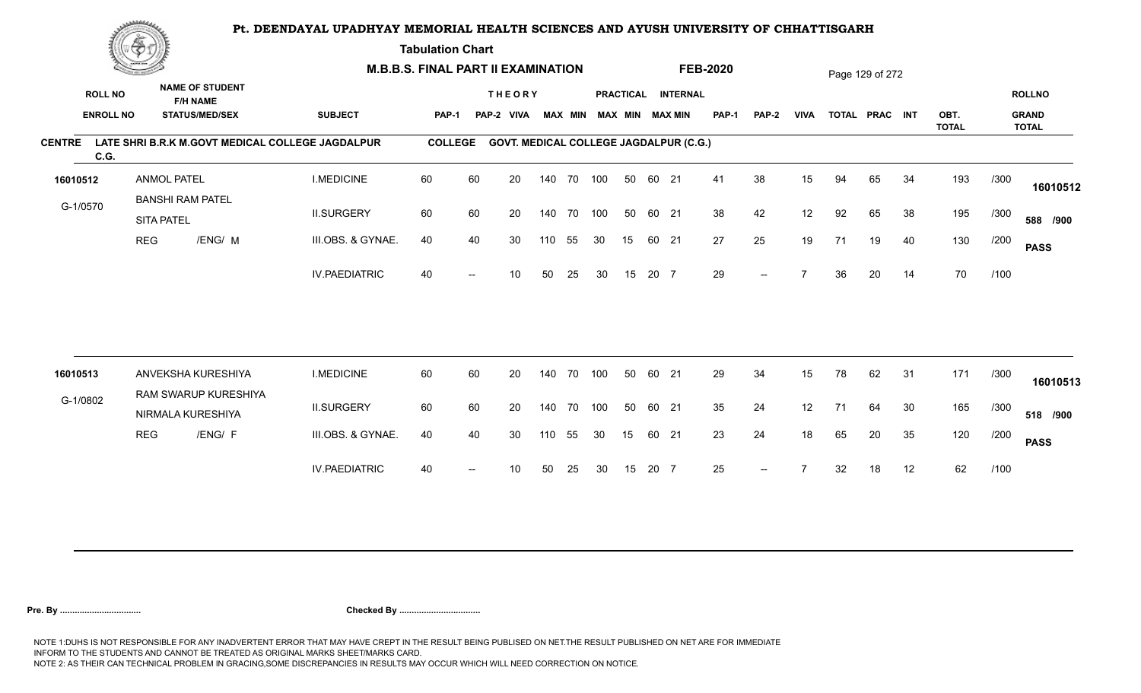**Tabulation Chart** 

|               | <b>Construction of the Construction</b> |                                              | <b>M.B.B.S. FINAL PART II EXAMINATION</b> |                                                  |                |                          |                                               |     |                |     |    |       | <b>FEB-2020</b>                              |              |                          |             | Page 129 of 272 |                |    |              |      |                               |
|---------------|-----------------------------------------|----------------------------------------------|-------------------------------------------|--------------------------------------------------|----------------|--------------------------|-----------------------------------------------|-----|----------------|-----|----|-------|----------------------------------------------|--------------|--------------------------|-------------|-----------------|----------------|----|--------------|------|-------------------------------|
|               | <b>ROLL NO</b><br><b>ENROLL NO</b>      | <b>F/H NAME</b><br><b>STATUS/MED/SEX</b>     | <b>NAME OF STUDENT</b>                    | <b>SUBJECT</b>                                   | PAP-1          |                          | <b>THEORY</b><br>PAP-2<br><b>VIVA</b>         |     | <b>MAX MIN</b> |     |    |       | PRACTICAL INTERNAL<br><b>MAX MIN MAX MIN</b> | <b>PAP-1</b> | PAP-2                    | <b>VIVA</b> |                 | TOTAL PRAC INT |    | OBT.         |      | <b>ROLLNO</b><br><b>GRAND</b> |
|               |                                         |                                              |                                           |                                                  |                |                          |                                               |     |                |     |    |       |                                              |              |                          |             |                 |                |    | <b>TOTAL</b> |      | <b>TOTAL</b>                  |
| <b>CENTRE</b> | C.G.                                    |                                              |                                           | LATE SHRI B.R.K M.GOVT MEDICAL COLLEGE JAGDALPUR | <b>COLLEGE</b> |                          | <b>GOVT. MEDICAL COLLEGE JAGDALPUR (C.G.)</b> |     |                |     |    |       |                                              |              |                          |             |                 |                |    |              |      |                               |
| 16010512      |                                         | <b>ANMOL PATEL</b>                           |                                           | <b>I.MEDICINE</b>                                | 60             | 60                       | 20                                            |     | 140 70         | 100 | 50 | 60 21 |                                              | 41           | 38                       | 15          | 94              | 65             | 34 | 193          | /300 | 16010512                      |
| G-1/0570      |                                         | <b>BANSHI RAM PATEL</b><br><b>SITA PATEL</b> |                                           | <b>II.SURGERY</b>                                | 60             | 60                       | 20                                            |     | 140 70         | 100 | 50 | 60 21 |                                              | 38           | 42                       | 12          | 92              | 65             | 38 | 195          | /300 | 588 /900                      |
|               | <b>REG</b>                              |                                              | /ENG/ M                                   | III.OBS. & GYNAE.                                | 40             | 40                       | 30                                            | 110 | 55             | 30  | 15 | 60 21 |                                              | 27           | 25                       | 19          | 71              | 19             | 40 | 130          | /200 | <b>PASS</b>                   |
|               |                                         |                                              |                                           | <b>IV.PAEDIATRIC</b>                             | 40             |                          | 10                                            | 50  | 25             | 30  | 15 | 20 7  |                                              | 29           | $-$                      |             | 36              | 20             | 14 | 70           | /100 |                               |
|               |                                         |                                              |                                           |                                                  |                |                          |                                               |     |                |     |    |       |                                              |              |                          |             |                 |                |    |              |      |                               |
| 16010513      |                                         | ANVEKSHA KURESHIYA                           |                                           | <b>I.MEDICINE</b>                                | 60             | 60                       | 20                                            |     | 140 70         | 100 | 50 | 60 21 |                                              | 29           | 34                       | 15          | 78              | 62             | 31 | 171          | /300 | 16010513                      |
| G-1/0802      |                                         | NIRMALA KURESHIYA                            | RAM SWARUP KURESHIYA                      | <b>II.SURGERY</b>                                | 60             | 60                       | 20                                            |     | 140 70         | 100 | 50 | 60 21 |                                              | 35           | 24                       | 12          | 71              | 64             | 30 | 165          | /300 | 518 /900                      |
|               | <b>REG</b>                              |                                              | /ENG/ F                                   | III.OBS. & GYNAE.                                | 40             | 40                       | 30                                            | 110 | 55             | 30  | 15 | 60 21 |                                              | 23           | 24                       | 18          | 65              | 20             | 35 | 120          | /200 | <b>PASS</b>                   |
|               |                                         |                                              |                                           | <b>IV.PAEDIATRIC</b>                             | 40             | $\overline{\phantom{a}}$ | 10                                            | 50  | 25             | 30  | 15 | 20 7  |                                              | 25           | $\overline{\phantom{a}}$ |             | 32              | 18             | 12 | 62           | /100 |                               |
|               |                                         |                                              |                                           |                                                  |                |                          |                                               |     |                |     |    |       |                                              |              |                          |             |                 |                |    |              |      |                               |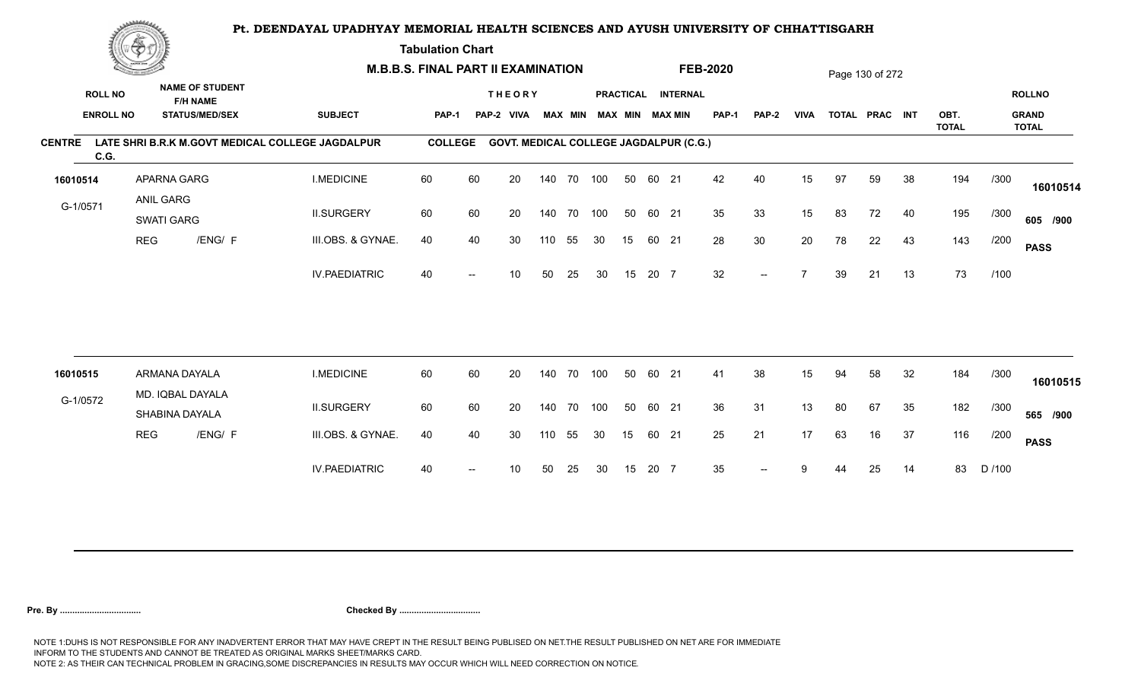**Tabulation Chart** 

|               | <b>Construction of the Asset</b> |                                    | <b>M.B.B.S. FINAL PART II EXAMINATION</b> |                                                  |                |    |                                               |     |                |     |    |       | <b>FEB-2020</b>        |              |       |                | Page 130 of 272 |                |    |                      |        |                              |
|---------------|----------------------------------|------------------------------------|-------------------------------------------|--------------------------------------------------|----------------|----|-----------------------------------------------|-----|----------------|-----|----|-------|------------------------|--------------|-------|----------------|-----------------|----------------|----|----------------------|--------|------------------------------|
|               | <b>ROLL NO</b>                   |                                    | <b>NAME OF STUDENT</b><br><b>F/H NAME</b> |                                                  |                |    | <b>THEORY</b>                                 |     |                |     |    |       | PRACTICAL INTERNAL     |              |       |                |                 |                |    |                      |        | <b>ROLLNO</b>                |
|               | <b>ENROLL NO</b>                 |                                    | <b>STATUS/MED/SEX</b>                     | <b>SUBJECT</b>                                   | <b>PAP-1</b>   |    | PAP-2 VIVA                                    |     | <b>MAX MIN</b> |     |    |       | <b>MAX MIN MAX MIN</b> | <b>PAP-1</b> | PAP-2 | <b>VIVA</b>    |                 | TOTAL PRAC INT |    | OBT.<br><b>TOTAL</b> |        | <b>GRAND</b><br><b>TOTAL</b> |
| <b>CENTRE</b> | C.G.                             |                                    |                                           | LATE SHRI B.R.K M.GOVT MEDICAL COLLEGE JAGDALPUR | <b>COLLEGE</b> |    | <b>GOVT. MEDICAL COLLEGE JAGDALPUR (C.G.)</b> |     |                |     |    |       |                        |              |       |                |                 |                |    |                      |        |                              |
| 16010514      |                                  | APARNA GARG                        |                                           | <b>I.MEDICINE</b>                                | 60             | 60 | 20                                            |     | 140 70 100     |     | 50 | 60 21 |                        | 42           | 40    | 15             | 97              | 59             | 38 | 194                  | /300   | 16010514                     |
| G-1/0571      |                                  | ANIL GARG<br>SWATI GARG            |                                           | <b>II.SURGERY</b>                                | 60             | 60 | 20                                            |     | 140 70 100     |     | 50 | 60 21 |                        | 35           | 33    | 15             | 83              | 72             | 40 | 195                  | /300   | 605 /900                     |
|               |                                  | <b>REG</b>                         | /ENG/ F                                   | III.OBS. & GYNAE.                                | 40             | 40 | 30                                            | 110 | 55             | 30  | 15 | 60 21 |                        | 28           | 30    | 20             | 78              | 22             | 43 | 143                  | /200   | <b>PASS</b>                  |
|               |                                  |                                    |                                           | <b>IV.PAEDIATRIC</b>                             | 40             |    | 10                                            | 50  | 25             | 30  | 15 | 20 7  |                        | 32           | $-$   | $\overline{ }$ | 39              | 21             | 13 | 73                   | /100   |                              |
|               |                                  |                                    |                                           |                                                  |                |    |                                               |     |                |     |    |       |                        |              |       |                |                 |                |    |                      |        |                              |
| 16010515      |                                  | ARMANA DAYALA                      |                                           | <b>I.MEDICINE</b>                                | 60             | 60 | 20                                            | 140 | 70             | 100 | 50 | 60    | 21                     | 41           | 38    | 15             | 94              | 58             | 32 | 184                  | /300   | 16010515                     |
| G-1/0572      |                                  | MD. IQBAL DAYALA<br>SHABINA DAYALA |                                           | <b>II.SURGERY</b>                                | 60             | 60 | 20                                            | 140 | 70             | 100 | 50 | 60 21 |                        | 36           | 31    | 13             | 80              | 67             | 35 | 182                  | /300   | 565 /900                     |
|               |                                  | <b>REG</b>                         | /ENG/ F                                   | III.OBS. & GYNAE.                                | 40             | 40 | 30                                            | 110 | 55             | 30  | 15 | 60 21 |                        | 25           | 21    | 17             | 63              | 16             | 37 | 116                  | /200   | <b>PASS</b>                  |
|               |                                  |                                    |                                           | <b>IV.PAEDIATRIC</b>                             | 40             |    | 10                                            | 50  | 25             | 30  | 15 | 20 7  |                        | 35           |       |                |                 | 25             | 14 | 83                   | D /100 |                              |
|               |                                  |                                    |                                           |                                                  |                |    |                                               |     |                |     |    |       |                        |              |       |                |                 |                |    |                      |        |                              |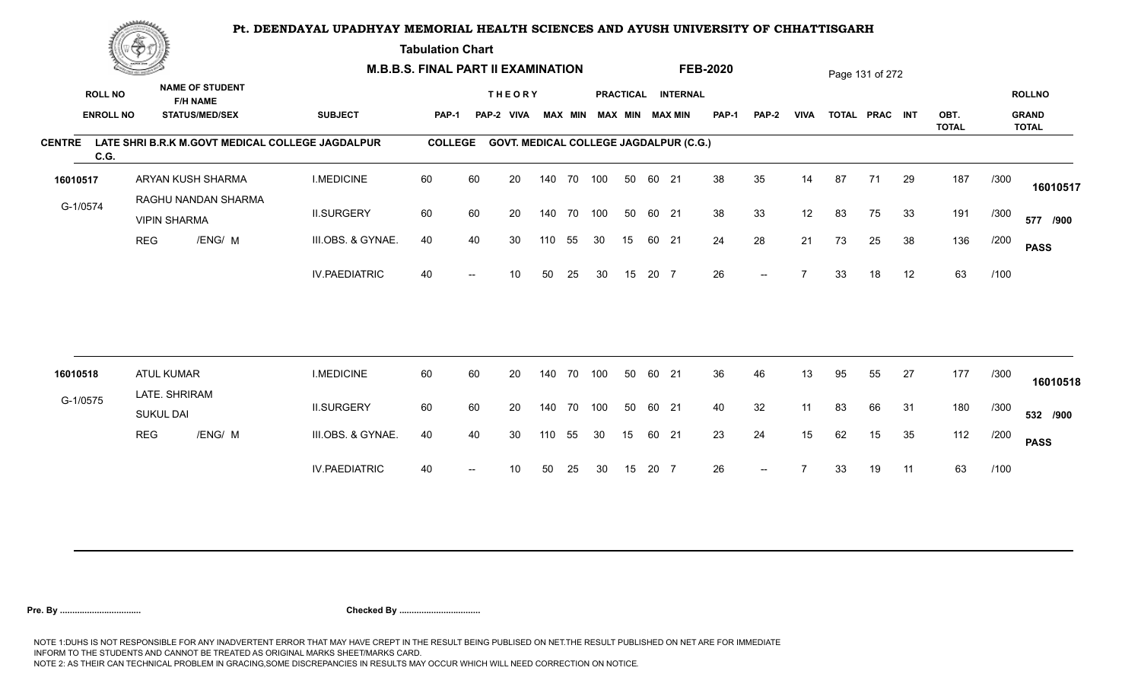**Tabulation Chart** 

|                       | <b>Construction of the Asset</b> |                                   |                                           | <b>M.B.B.S. FINAL PART II EXAMINATION</b>        |                |      |                                               |     |                |            |    |       | <b>FEB-2020</b>        |              |                          |             | Page 131 of 272 |                |    |                      |      |                              |
|-----------------------|----------------------------------|-----------------------------------|-------------------------------------------|--------------------------------------------------|----------------|------|-----------------------------------------------|-----|----------------|------------|----|-------|------------------------|--------------|--------------------------|-------------|-----------------|----------------|----|----------------------|------|------------------------------|
| <b>ROLL NO</b>        |                                  |                                   | <b>NAME OF STUDENT</b><br><b>F/H NAME</b> |                                                  |                |      | <b>THEORY</b>                                 |     |                |            |    |       | PRACTICAL INTERNAL     |              |                          |             |                 |                |    |                      |      | <b>ROLLNO</b>                |
| <b>ENROLL NO</b>      |                                  |                                   | <b>STATUS/MED/SEX</b>                     | <b>SUBJECT</b>                                   | <b>PAP-1</b>   |      | PAP-2 VIVA                                    |     | <b>MAX MIN</b> |            |    |       | <b>MAX MIN MAX MIN</b> | <b>PAP-1</b> | PAP-2                    | <b>VIVA</b> |                 | TOTAL PRAC INT |    | OBT.<br><b>TOTAL</b> |      | <b>GRAND</b><br><b>TOTAL</b> |
| <b>CENTRE</b><br>C.G. |                                  |                                   |                                           | LATE SHRI B.R.K M.GOVT MEDICAL COLLEGE JAGDALPUR | <b>COLLEGE</b> |      | <b>GOVT. MEDICAL COLLEGE JAGDALPUR (C.G.)</b> |     |                |            |    |       |                        |              |                          |             |                 |                |    |                      |      |                              |
| 16010517              |                                  |                                   | ARYAN KUSH SHARMA                         | <b>I.MEDICINE</b>                                | 60             | 60   | 20                                            |     |                | 140 70 100 | 50 | 60 21 |                        | 38           | 35                       | 14          | 87              | 71             | 29 | 187                  | /300 | 16010517                     |
| G-1/0574              |                                  | <b>VIPIN SHARMA</b>               | RAGHU NANDAN SHARMA                       | <b>II.SURGERY</b>                                | 60             | 60   | 20                                            |     |                | 140 70 100 | 50 | 60 21 |                        | 38           | 33                       | 12          | 83              | 75             | 33 | 191                  | /300 | 577 /900                     |
|                       | <b>REG</b>                       |                                   | /ENG/ M                                   | III.OBS. & GYNAE.                                | 40             | 40   | 30                                            | 110 | 55             | 30         | 15 |       | 60 21                  | 24           | 28                       | 21          | 73              | 25             | 38 | 136                  | /200 | <b>PASS</b>                  |
|                       |                                  |                                   |                                           | <b>IV.PAEDIATRIC</b>                             | 40             |      | 10                                            | 50  | 25             | 30         | 15 | 20 7  |                        | 26           | $- -$                    |             | 33              | 18             | 12 | 63                   | /100 |                              |
|                       |                                  |                                   |                                           |                                                  |                |      |                                               |     |                |            |    |       |                        |              |                          |             |                 |                |    |                      |      |                              |
| 16010518              |                                  | <b>ATUL KUMAR</b>                 |                                           | <b>I.MEDICINE</b>                                | 60             | 60   | 20                                            | 140 | 70             | 100        | 50 | 60 21 |                        | 36           | 46                       | 13          | 95              | 55             | 27 | 177                  | /300 | 16010518                     |
| G-1/0575              |                                  | LATE. SHRIRAM<br><b>SUKUL DAI</b> |                                           | <b>II.SURGERY</b>                                | 60             | 60   | 20                                            | 140 | 70             | 100        | 50 | 60 21 |                        | 40           | 32                       | 11          | 83              | 66             | 31 | 180                  | /300 | 532 /900                     |
|                       | <b>REG</b>                       |                                   | /ENG/ M                                   | III.OBS. & GYNAE.                                | 40             | 40   | 30                                            | 110 | 55             | 30         | 15 | 60 21 |                        | 23           | 24                       | 15          | 62              | 15             | 35 | 112                  | /200 | <b>PASS</b>                  |
|                       |                                  |                                   |                                           | <b>IV.PAEDIATRIC</b>                             | 40             | $--$ | 10                                            | 50  | 25             | 30         | 15 | 20 7  |                        | 26           | $\overline{\phantom{a}}$ |             | 33              | 19             | 11 | 63                   | /100 |                              |
|                       |                                  |                                   |                                           |                                                  |                |      |                                               |     |                |            |    |       |                        |              |                          |             |                 |                |    |                      |      |                              |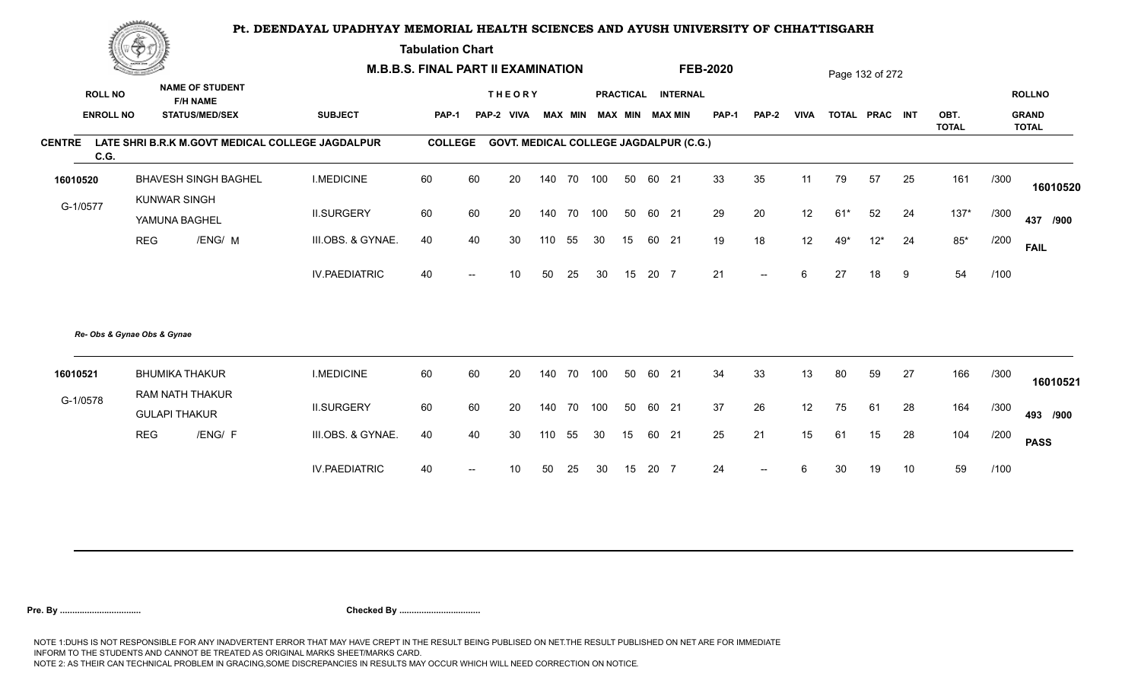**Tabulation Chart** 

|                       | <b>Change of the Company of Company</b> |                                      |                                           | <b>M.B.B.S. FINAL PART II EXAMINATION</b>        |                |                          |                                               |     |                |     |    |      | <b>FEB-2020</b>        |              |                          |             | Page 132 of 272 |                |    |                      |      |                              |
|-----------------------|-----------------------------------------|--------------------------------------|-------------------------------------------|--------------------------------------------------|----------------|--------------------------|-----------------------------------------------|-----|----------------|-----|----|------|------------------------|--------------|--------------------------|-------------|-----------------|----------------|----|----------------------|------|------------------------------|
| <b>ROLL NO</b>        |                                         |                                      | <b>NAME OF STUDENT</b><br><b>F/H NAME</b> |                                                  |                |                          | <b>THEORY</b>                                 |     |                |     |    |      | PRACTICAL INTERNAL     |              |                          |             |                 |                |    |                      |      | <b>ROLLNO</b>                |
| <b>ENROLL NO</b>      |                                         |                                      | <b>STATUS/MED/SEX</b>                     | <b>SUBJECT</b>                                   | PAP-1          | PAP-2                    | <b>VIVA</b>                                   |     | <b>MAX MIN</b> |     |    |      | <b>MAX MIN MAX MIN</b> | <b>PAP-1</b> | PAP-2                    | <b>VIVA</b> |                 | TOTAL PRAC INT |    | OBT.<br><b>TOTAL</b> |      | <b>GRAND</b><br><b>TOTAL</b> |
| <b>CENTRE</b><br>C.G. |                                         |                                      |                                           | LATE SHRI B.R.K M.GOVT MEDICAL COLLEGE JAGDALPUR | <b>COLLEGE</b> |                          | <b>GOVT. MEDICAL COLLEGE JAGDALPUR (C.G.)</b> |     |                |     |    |      |                        |              |                          |             |                 |                |    |                      |      |                              |
| 16010520              |                                         |                                      | <b>BHAVESH SINGH BAGHEL</b>               | <b>I.MEDICINE</b>                                | 60             | 60                       | 20                                            | 140 | 70 100         |     | 50 |      | 60 21                  | 33           | 35                       | 11          | 79              | 57             | 25 | 161                  | /300 | 16010520                     |
| G-1/0577              |                                         | <b>KUNWAR SINGH</b><br>YAMUNA BAGHEL |                                           | <b>II.SURGERY</b>                                | 60             | 60                       | 20                                            | 140 | 70 100         |     | 50 |      | 60 21                  | 29           | 20                       | 12          | $61*$           | 52             | 24 | $137*$               | /300 | 437 /900                     |
|                       | <b>REG</b>                              |                                      | /ENG/ M                                   | III.OBS. & GYNAE.                                | 40             | 40                       | 30                                            | 110 | 55             | 30  | 15 |      | 60 21                  | 19           | 18                       | 12          | 49*             | $12*$          | 24 | $85*$                | /200 | <b>FAIL</b>                  |
|                       |                                         |                                      |                                           | <b>IV.PAEDIATRIC</b>                             | 40             |                          | 10 <sup>1</sup>                               | 50  | 25             | 30  | 15 | 20 7 |                        | 21           | $\overline{\phantom{a}}$ | 6           | 27              | 18             | 9  | 54                   | /100 |                              |
|                       | Re- Obs & Gynae Obs & Gynae             |                                      |                                           |                                                  |                |                          |                                               |     |                |     |    |      |                        |              |                          |             |                 |                |    |                      |      |                              |
| 16010521              |                                         |                                      | <b>BHUMIKA THAKUR</b>                     | <b>I.MEDICINE</b>                                | 60             | 60                       | 20                                            | 140 | 70             | 100 | 50 |      | 60 21                  | 34           | 33                       | 13          | 80              | 59             | 27 | 166                  | /300 | 16010521                     |
| G-1/0578              |                                         | <b>GULAPI THAKUR</b>                 | RAM NATH THAKUR                           | <b>II.SURGERY</b>                                | 60             | 60                       | 20                                            | 140 | 70             | 100 | 50 |      | 60 21                  | 37           | 26                       | 12          | 75              | 61             | 28 | 164                  | /300 | 493 /900                     |
|                       | <b>REG</b>                              |                                      | /ENG/ F                                   | III.OBS. & GYNAE.                                | 40             | 40                       | 30                                            | 110 | 55             | 30  | 15 |      | 60 21                  | 25           | 21                       | 15          | 61              | 15             | 28 | 104                  | /200 | <b>PASS</b>                  |
|                       |                                         |                                      |                                           | <b>IV.PAEDIATRIC</b>                             | 40             | $\overline{\phantom{a}}$ | 10                                            | 50  | 25             | 30  | 15 | 20 7 |                        | 24           | $-$                      | 6           | 30              | 19             | 10 | 59                   | /100 |                              |
|                       |                                         |                                      |                                           |                                                  |                |                          |                                               |     |                |     |    |      |                        |              |                          |             |                 |                |    |                      |      |                              |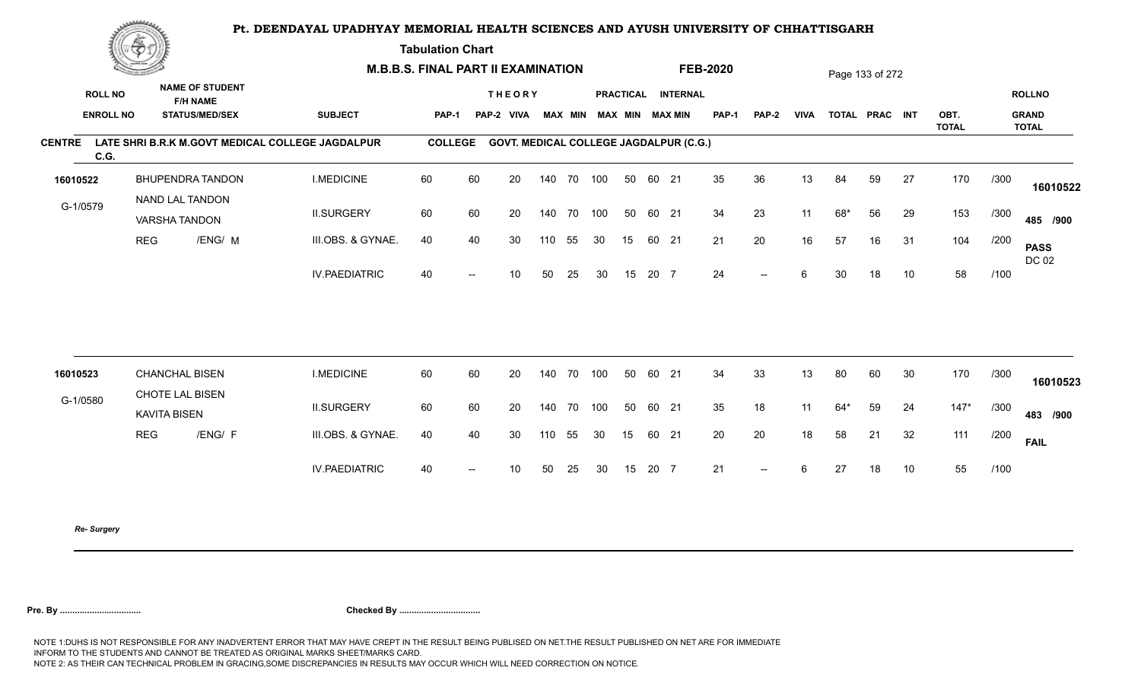**Tabulation Chart** 

|                       | <u>(Sammen)</u><br><b>NAME OF STUDENT</b> |                                        | <b>M.B.B.S. FINAL PART II EXAMINATION</b> |                                                  |                |    |                                               |     |                |     |    |       | <b>FEB-2020</b>        |              |                          |             | Page 133 of 272 |                |    |                      |      |                              |
|-----------------------|-------------------------------------------|----------------------------------------|-------------------------------------------|--------------------------------------------------|----------------|----|-----------------------------------------------|-----|----------------|-----|----|-------|------------------------|--------------|--------------------------|-------------|-----------------|----------------|----|----------------------|------|------------------------------|
| <b>ROLL NO</b>        |                                           | <b>F/H NAME</b>                        |                                           |                                                  |                |    | <b>THEORY</b>                                 |     |                |     |    |       | PRACTICAL INTERNAL     |              |                          |             |                 |                |    |                      |      | <b>ROLLNO</b>                |
|                       | <b>ENROLL NO</b>                          | <b>STATUS/MED/SEX</b>                  |                                           | <b>SUBJECT</b>                                   | <b>PAP-1</b>   |    | PAP-2 VIVA                                    |     | <b>MAX MIN</b> |     |    |       | <b>MAX MIN MAX MIN</b> | <b>PAP-1</b> | <b>PAP-2</b>             | <b>VIVA</b> |                 | TOTAL PRAC INT |    | OBT.<br><b>TOTAL</b> |      | <b>GRAND</b><br><b>TOTAL</b> |
| <b>CENTRE</b><br>C.G. |                                           |                                        |                                           | LATE SHRI B.R.K M.GOVT MEDICAL COLLEGE JAGDALPUR | <b>COLLEGE</b> |    | <b>GOVT. MEDICAL COLLEGE JAGDALPUR (C.G.)</b> |     |                |     |    |       |                        |              |                          |             |                 |                |    |                      |      |                              |
| 16010522              |                                           | BHUPENDRA TANDON                       |                                           | <b>I.MEDICINE</b>                                | 60             | 60 | 20                                            |     | 140 70 100     |     | 50 | 60 21 |                        | 35           | 36                       | 13          | 84              | 59             | 27 | 170                  | /300 | 16010522                     |
| G-1/0579              |                                           | NAND LAL TANDON<br>VARSHA TANDON       |                                           | <b>II.SURGERY</b>                                | 60             | 60 | 20                                            |     | 140 70         | 100 | 50 | 60 21 |                        | 34           | 23                       | 11          | 68*             | 56             | 29 | 153                  | /300 | 485 /900                     |
|                       | <b>REG</b>                                |                                        | /ENG/ M                                   | III.OBS. & GYNAE.                                | 40             | 40 | 30                                            | 110 | 55             | 30  | 15 | 60 21 |                        | 21           | 20                       | 16          | 57              | 16             | 31 | 104                  | /200 | <b>PASS</b><br>DC 02         |
|                       |                                           |                                        |                                           | <b>IV.PAEDIATRIC</b>                             | 40             |    | 10                                            | 50  | 25             | 30  | 15 | 20 7  |                        | 24           | $- -$                    | 6           | 30              | 18             | 10 | 58                   | /100 |                              |
|                       |                                           |                                        |                                           |                                                  |                |    |                                               |     |                |     |    |       |                        |              |                          |             |                 |                |    |                      |      |                              |
| 16010523              |                                           | <b>CHANCHAL BISEN</b>                  |                                           | <b>I.MEDICINE</b>                                | 60             | 60 | 20                                            |     | 140 70         | 100 | 50 | 60 21 |                        | 34           | 33                       | 13          | 80              | 60             | 30 | 170                  | /300 | 16010523                     |
| G-1/0580              |                                           | CHOTE LAL BISEN<br><b>KAVITA BISEN</b> |                                           | <b>II.SURGERY</b>                                | 60             | 60 | 20                                            |     | 140 70         | 100 | 50 | 60 21 |                        | 35           | 18                       | 11          | $64*$           | 59             | 24 | $147*$               | /300 | 483 /900                     |
|                       | <b>REG</b>                                |                                        | /ENG/ F                                   | III.OBS. & GYNAE.                                | 40             | 40 | 30                                            | 110 | 55             | 30  | 15 | 60 21 |                        | 20           | 20                       | 18          | 58              | 21             | 32 | 111                  | /200 | <b>FAIL</b>                  |
|                       |                                           |                                        |                                           | <b>IV.PAEDIATRIC</b>                             | 40             |    | 10 <sup>°</sup>                               | 50  | 25             | 30  | 15 | 20 7  |                        | 21           | $\overline{\phantom{a}}$ | 6           | 27              | 18             | 10 | 55                   | /100 |                              |
|                       |                                           |                                        |                                           |                                                  |                |    |                                               |     |                |     |    |       |                        |              |                          |             |                 |                |    |                      |      |                              |

*Re- Surgery*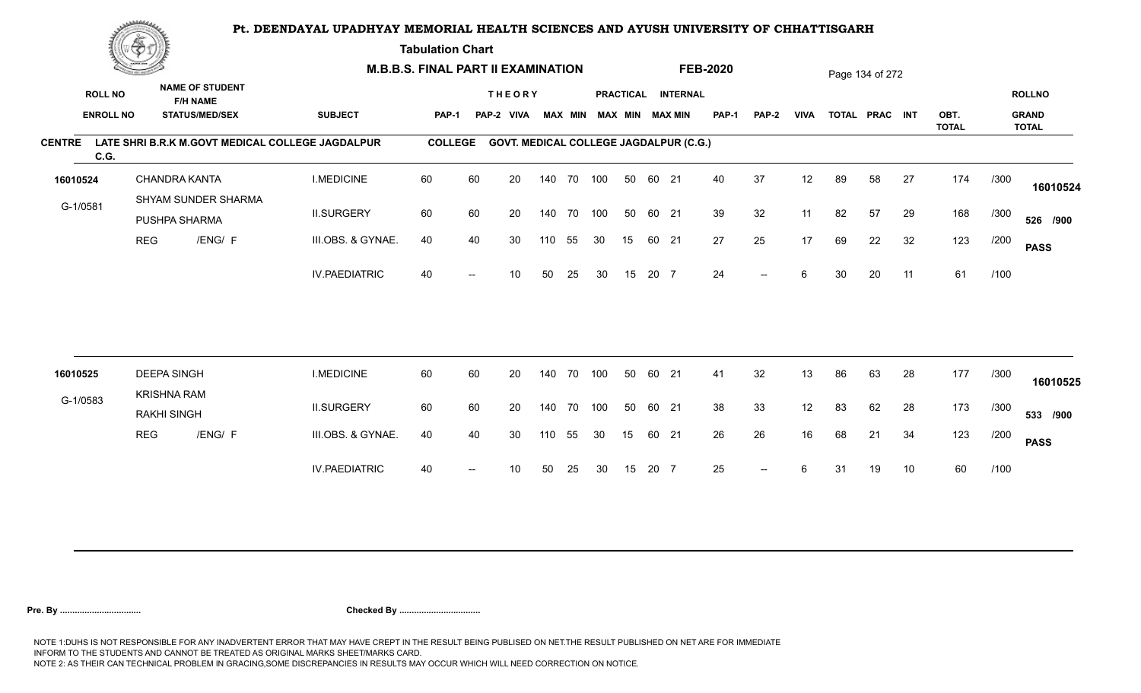**Tabulation Chart** 

|               | <b>Construction of the Construction</b> |                                          |                                                                    |                                                  | <b>M.B.B.S. FINAL PART II EXAMINATION</b> |                          |                                               |     |                |     |    |       |                                              | <b>FEB-2020</b> |                          |             |    | Page 134 of 272 |    |              |      |                               |
|---------------|-----------------------------------------|------------------------------------------|--------------------------------------------------------------------|--------------------------------------------------|-------------------------------------------|--------------------------|-----------------------------------------------|-----|----------------|-----|----|-------|----------------------------------------------|-----------------|--------------------------|-------------|----|-----------------|----|--------------|------|-------------------------------|
|               | <b>ROLL NO</b><br><b>ENROLL NO</b>      |                                          | <b>NAME OF STUDENT</b><br><b>F/H NAME</b><br><b>STATUS/MED/SEX</b> | <b>SUBJECT</b>                                   | PAP-1                                     |                          | <b>THEORY</b><br>PAP-2 VIVA                   |     | <b>MAX MIN</b> |     |    |       | PRACTICAL INTERNAL<br><b>MAX MIN MAX MIN</b> | <b>PAP-1</b>    | PAP-2                    | <b>VIVA</b> |    | TOTAL PRAC INT  |    | OBT.         |      | <b>ROLLNO</b><br><b>GRAND</b> |
| <b>CENTRE</b> | C.G.                                    |                                          |                                                                    | LATE SHRI B.R.K M.GOVT MEDICAL COLLEGE JAGDALPUR | <b>COLLEGE</b>                            |                          | <b>GOVT. MEDICAL COLLEGE JAGDALPUR (C.G.)</b> |     |                |     |    |       |                                              |                 |                          |             |    |                 |    | <b>TOTAL</b> |      | <b>TOTAL</b>                  |
| 16010524      |                                         |                                          | <b>CHANDRA KANTA</b>                                               | <b>I.MEDICINE</b>                                | 60                                        | 60                       | 20                                            |     | 140 70 100     |     | 50 | 60 21 |                                              | 40              | 37                       | 12          | 89 | 58              | 27 | 174          | /300 | 16010524                      |
| G-1/0581      |                                         |                                          | SHYAM SUNDER SHARMA<br>PUSHPA SHARMA                               | <b>II.SURGERY</b>                                | 60                                        | 60                       | 20                                            |     | 140 70         | 100 | 50 | 60 21 |                                              | 39              | 32                       | 11          | 82 | 57              | 29 | 168          | /300 | 526 /900                      |
|               | <b>REG</b>                              |                                          | /ENG/ F                                                            | III.OBS. & GYNAE.                                | 40                                        | 40                       | 30                                            | 110 | 55             | 30  | 15 | 60 21 |                                              | 27              | 25                       | 17          | 69 | 22              | 32 | 123          | /200 | <b>PASS</b>                   |
|               |                                         |                                          |                                                                    | <b>IV.PAEDIATRIC</b>                             | 40                                        |                          | 10                                            | 50  | 25             | 30  | 15 | 20 7  |                                              | 24              | $\overline{\phantom{a}}$ | 6           | 30 | 20              | 11 | 61           | /100 |                               |
|               |                                         |                                          |                                                                    |                                                  |                                           |                          |                                               |     |                |     |    |       |                                              |                 |                          |             |    |                 |    |              |      |                               |
| 16010525      |                                         | <b>DEEPA SINGH</b><br><b>KRISHNA RAM</b> |                                                                    | <b>I.MEDICINE</b>                                | 60                                        | 60                       | 20                                            |     | 140 70         | 100 | 50 | 60 21 |                                              | 41              | 32                       | 13          | 86 | 63              | 28 | 177          | /300 | 16010525                      |
| G-1/0583      |                                         | <b>RAKHI SINGH</b>                       |                                                                    | <b>II.SURGERY</b>                                | 60                                        | 60                       | 20                                            |     | 140 70         | 100 | 50 | 60 21 |                                              | 38              | 33                       | 12          | 83 | 62              | 28 | 173          | /300 | 533 /900                      |
|               | <b>REG</b>                              |                                          | /ENG/ F                                                            | III.OBS. & GYNAE.                                | 40                                        | 40                       | 30                                            | 110 | 55             | 30  | 15 | 60 21 |                                              | 26              | 26                       | 16          | 68 | 21              | 34 | 123          | /200 | <b>PASS</b>                   |
|               |                                         |                                          |                                                                    | <b>IV.PAEDIATRIC</b>                             | 40                                        | $\overline{\phantom{a}}$ | 10                                            | 50  | 25             | 30  | 15 | 20 7  |                                              | 25              | $\overline{\phantom{a}}$ | 6           | 31 | 19              | 10 | 60           | /100 |                               |
|               |                                         |                                          |                                                                    |                                                  |                                           |                          |                                               |     |                |     |    |       |                                              |                 |                          |             |    |                 |    |              |      |                               |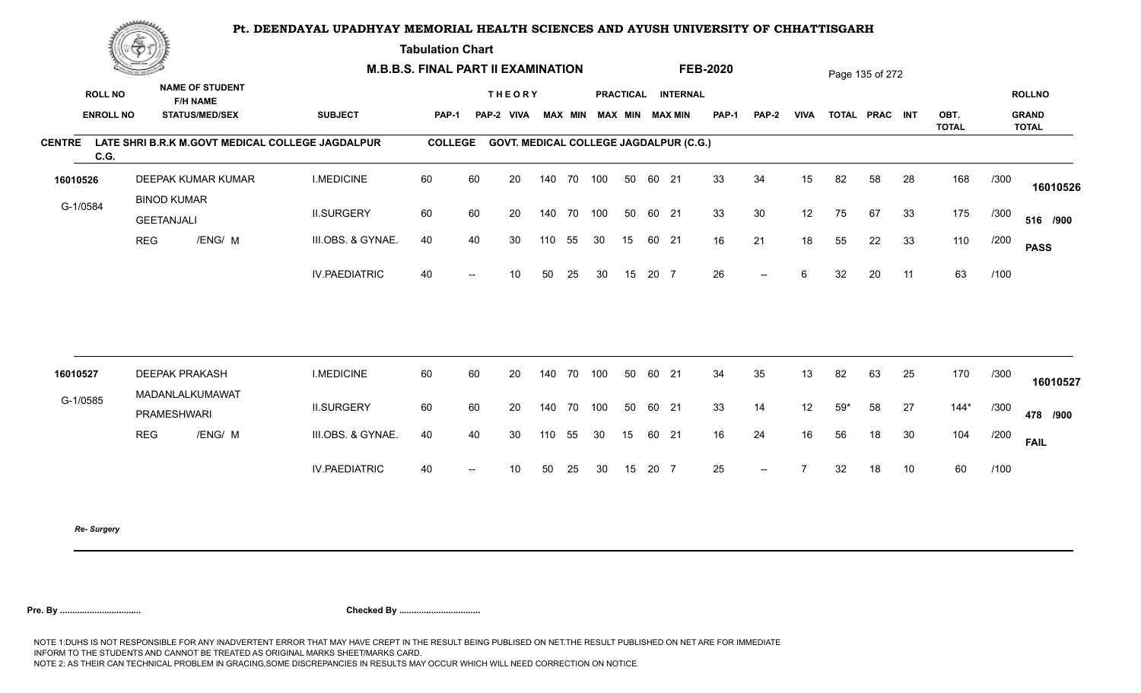**Tabulation Chart** 

|                                    | <b>Construction of the Construction</b> |                                                                    |                      | <b>M.B.B.S. FINAL PART II EXAMINATION</b> |    |                                               |     |                |            |    |       |                                              | <b>FEB-2020</b> |       |             |       | Page 135 of 272 |    |                      |      |                                               |
|------------------------------------|-----------------------------------------|--------------------------------------------------------------------|----------------------|-------------------------------------------|----|-----------------------------------------------|-----|----------------|------------|----|-------|----------------------------------------------|-----------------|-------|-------------|-------|-----------------|----|----------------------|------|-----------------------------------------------|
| <b>ROLL NO</b><br><b>ENROLL NO</b> |                                         | <b>NAME OF STUDENT</b><br><b>F/H NAME</b><br><b>STATUS/MED/SEX</b> | <b>SUBJECT</b>       | PAP-1                                     |    | <b>THEORY</b><br>PAP-2 VIVA                   |     | <b>MAX MIN</b> |            |    |       | PRACTICAL INTERNAL<br><b>MAX MIN MAX MIN</b> | <b>PAP-1</b>    | PAP-2 | <b>VIVA</b> |       | TOTAL PRAC INT  |    | OBT.<br><b>TOTAL</b> |      | <b>ROLLNO</b><br><b>GRAND</b><br><b>TOTAL</b> |
| <b>CENTRE</b><br>C.G.              |                                         | LATE SHRI B.R.K M.GOVT MEDICAL COLLEGE JAGDALPUR                   |                      | <b>COLLEGE</b>                            |    | <b>GOVT. MEDICAL COLLEGE JAGDALPUR (C.G.)</b> |     |                |            |    |       |                                              |                 |       |             |       |                 |    |                      |      |                                               |
| 16010526                           |                                         | DEEPAK KUMAR KUMAR                                                 | <b>I.MEDICINE</b>    | 60                                        | 60 | 20                                            |     |                | 140 70 100 | 50 | 60 21 |                                              | 33              | 34    | 15          | 82    | 58              | 28 | 168                  | /300 | 16010526                                      |
| G-1/0584                           |                                         | <b>BINOD KUMAR</b><br><b>GEETANJALI</b>                            | <b>II.SURGERY</b>    | 60                                        | 60 | 20                                            |     | 140 70         | 100        | 50 | 60 21 |                                              | 33              | 30    | 12          | 75    | 67              | 33 | 175                  | /300 | 516 /900                                      |
|                                    | <b>REG</b>                              | /ENG/ M                                                            | III.OBS. & GYNAE.    | 40                                        | 40 | 30                                            | 110 | 55             | 30         | 15 | 60 21 |                                              | 16              | 21    | 18          | 55    | 22              | 33 | 110                  | /200 | <b>PASS</b>                                   |
|                                    |                                         |                                                                    | <b>IV.PAEDIATRIC</b> | 40                                        |    | 10                                            | 50  | 25             | 30         | 15 | 20 7  |                                              | 26              | $--$  | 6           | 32    | 20              | 11 | 63                   | /100 |                                               |
|                                    |                                         |                                                                    |                      |                                           |    |                                               |     |                |            |    |       |                                              |                 |       |             |       |                 |    |                      |      |                                               |
| 16010527                           |                                         | <b>DEEPAK PRAKASH</b>                                              | <b>I.MEDICINE</b>    | 60                                        | 60 | 20                                            |     |                | 140 70 100 | 50 | 60 21 |                                              | 34              | 35    | 13          | 82    | 63              | 25 | 170                  | /300 | 16010527                                      |
| G-1/0585                           |                                         | MADANLALKUMAWAT<br><b>PRAMESHWARI</b>                              | <b>II.SURGERY</b>    | 60                                        | 60 | 20                                            |     | 140 70         | 100        | 50 | 60 21 |                                              | 33              | 14    | 12          | $59*$ | 58              | 27 | $144*$               | /300 | 478 /900                                      |
|                                    | <b>REG</b>                              | /ENG/ M                                                            | III.OBS. & GYNAE.    | 40                                        | 40 | 30                                            | 110 | 55             | 30         | 15 | 60 21 |                                              | 16              | 24    | 16          | 56    | 18              | 30 | 104                  | /200 | <b>FAIL</b>                                   |
|                                    |                                         |                                                                    | <b>IV.PAEDIATRIC</b> | 40                                        |    | 10                                            | 50  | 25             | 30         | 15 | 20 7  |                                              | 25              | $--$  |             | 32    | 18              | 10 | 60                   | /100 |                                               |
|                                    |                                         |                                                                    |                      |                                           |    |                                               |     |                |            |    |       |                                              |                 |       |             |       |                 |    |                      |      |                                               |

*Re- Surgery*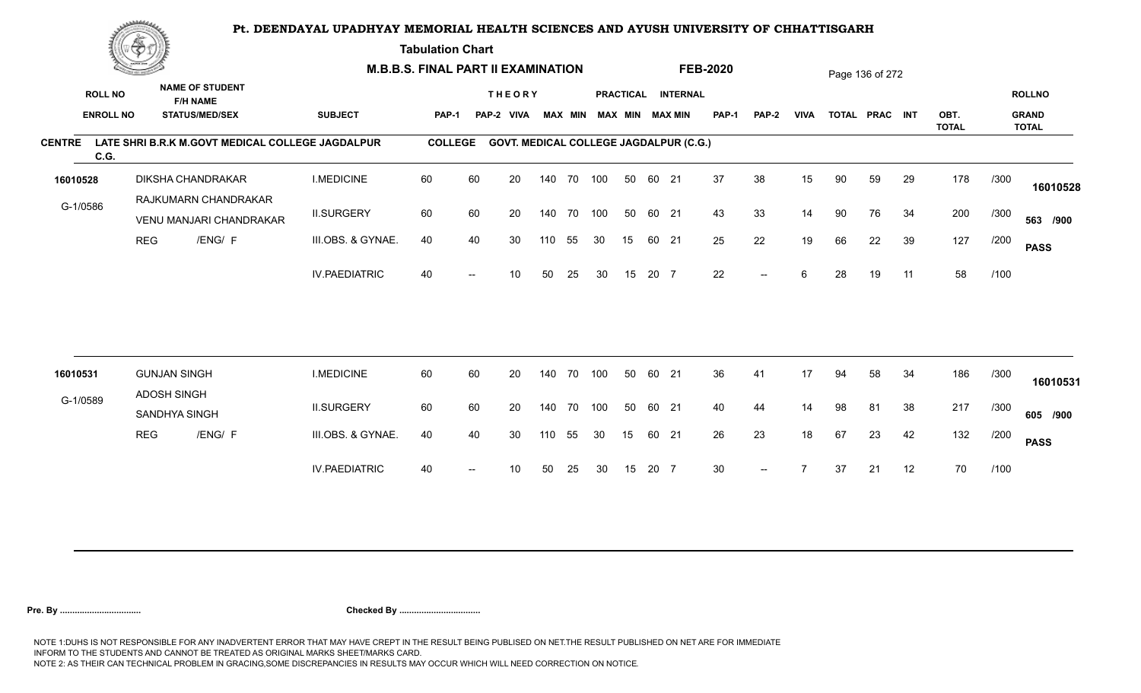**Tabulation Chart** 

|                       | <u>Contraction</u> |                     |                                                  |                      | <b>M.B.B.S. FINAL PART II EXAMINATION</b> |                          |                                               |     |                |            |                  |       |                 | <b>FEB-2020</b> |                          |             |    | Page 136 of 272 |    |                      |      |                              |
|-----------------------|--------------------|---------------------|--------------------------------------------------|----------------------|-------------------------------------------|--------------------------|-----------------------------------------------|-----|----------------|------------|------------------|-------|-----------------|-----------------|--------------------------|-------------|----|-----------------|----|----------------------|------|------------------------------|
| <b>ROLL NO</b>        |                    |                     | <b>NAME OF STUDENT</b><br><b>F/H NAME</b>        |                      |                                           |                          | <b>THEORY</b>                                 |     |                |            | <b>PRACTICAL</b> |       | <b>INTERNAL</b> |                 |                          |             |    |                 |    |                      |      | <b>ROLLNO</b>                |
| <b>ENROLL NO</b>      |                    |                     | <b>STATUS/MED/SEX</b>                            | <b>SUBJECT</b>       | PAP-1                                     |                          | PAP-2 VIVA                                    |     | <b>MAX MIN</b> |            |                  |       | MAX MIN MAX MIN | <b>PAP-1</b>    | <b>PAP-2</b>             | <b>VIVA</b> |    | TOTAL PRAC INT  |    | OBT.<br><b>TOTAL</b> |      | <b>GRAND</b><br><b>TOTAL</b> |
| <b>CENTRE</b><br>C.G. |                    |                     | LATE SHRI B.R.K M.GOVT MEDICAL COLLEGE JAGDALPUR |                      | <b>COLLEGE</b>                            |                          | <b>GOVT. MEDICAL COLLEGE JAGDALPUR (C.G.)</b> |     |                |            |                  |       |                 |                 |                          |             |    |                 |    |                      |      |                              |
| 16010528              |                    |                     | <b>DIKSHA CHANDRAKAR</b>                         | <b>I.MEDICINE</b>    | 60                                        | 60                       | 20                                            |     |                | 140 70 100 | 50               | 60 21 |                 | 37              | 38                       | 15          | 90 | 59              | 29 | 178                  | /300 | 16010528                     |
| G-1/0586              |                    |                     | RAJKUMARN CHANDRAKAR<br>VENU MANJARI CHANDRAKAR  | <b>II.SURGERY</b>    | 60                                        | 60                       | 20                                            |     | 140 70         | 100        | 50               | 60 21 |                 | 43              | 33                       | 14          | 90 | 76              | 34 | 200                  | /300 | 563 /900                     |
|                       | <b>REG</b>         |                     | /ENG/ F                                          | III.OBS. & GYNAE.    | 40                                        | 40                       | 30                                            | 110 | 55             | 30         | 15               | 60 21 |                 | 25              | 22                       | 19          | 66 | 22              | 39 | 127                  | /200 | <b>PASS</b>                  |
|                       |                    |                     |                                                  | <b>IV.PAEDIATRIC</b> | 40                                        |                          | 10 <sup>°</sup>                               | 50  | 25             | 30         | 15               | 20 7  |                 | 22              | $--$                     | 6           | 28 | 19              | 11 | 58                   | /100 |                              |
|                       |                    | <b>GUNJAN SINGH</b> |                                                  | <b>I.MEDICINE</b>    | 60                                        | 60                       | 20                                            |     | 140 70         | 100        | 50               | 60 21 |                 | 36              | 41                       | 17          | 94 |                 |    |                      |      |                              |
| 16010531              |                    | <b>ADOSH SINGH</b>  |                                                  |                      |                                           |                          |                                               |     |                |            |                  |       |                 |                 |                          |             |    | 58              | 34 | 186                  | /300 | 16010531                     |
| G-1/0589              |                    | SANDHYA SINGH       |                                                  | <b>II.SURGERY</b>    | 60                                        | 60                       | 20                                            |     | 140 70         | 100        | 50               | 60 21 |                 | 40              | 44                       | 14          | 98 | 81              | 38 | 217                  | /300 | 605 /900                     |
|                       | <b>REG</b>         |                     | /ENG/ F                                          | III.OBS. & GYNAE.    | 40                                        | 40                       | 30                                            | 110 | 55             | 30         | 15               | 60 21 |                 | 26              | 23                       | 18          | 67 | 23              | 42 | 132                  | /200 | <b>PASS</b>                  |
|                       |                    |                     |                                                  | <b>IV.PAEDIATRIC</b> | 40                                        | $\overline{\phantom{a}}$ | 10                                            | 50  | 25             | 30         | 15               | 20 7  |                 | 30 <sup>°</sup> | $\overline{\phantom{a}}$ |             | 37 | 21              | 12 | 70                   | /100 |                              |
|                       |                    |                     |                                                  |                      |                                           |                          |                                               |     |                |            |                  |       |                 |                 |                          |             |    |                 |    |                      |      |                              |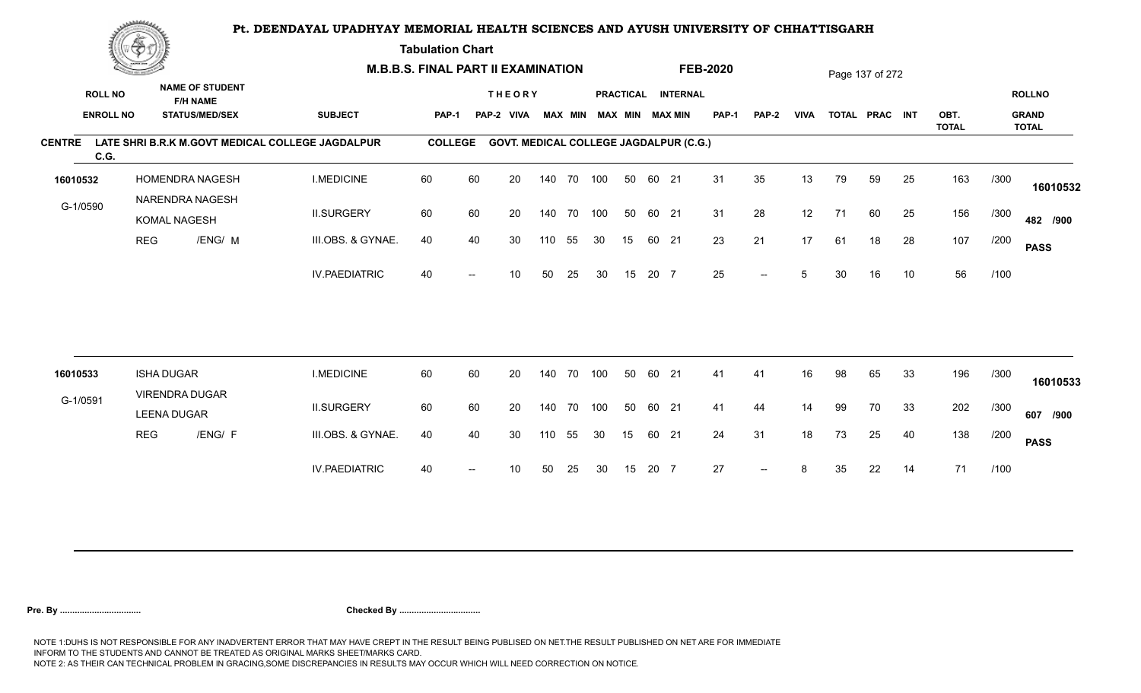**Tabulation Chart** 

| <b>NAME OF STUDENT</b><br><b>ROLL NO</b><br>PRACTICAL INTERNAL<br><b>THEORY</b><br><b>F/H NAME</b><br><b>ENROLL NO</b><br><b>STATUS/MED/SEX</b><br><b>SUBJECT</b><br><b>MAX MIN</b><br><b>MAX MIN MAX MIN</b><br><b>PAP-1</b><br><b>VIVA</b><br>TOTAL PRAC INT<br>OBT.<br><b>PAP-1</b><br>PAP-2 VIVA<br>PAP-2<br><b>TOTAL</b><br>LATE SHRI B.R.K M.GOVT MEDICAL COLLEGE JAGDALPUR<br><b>COLLEGE</b><br><b>GOVT. MEDICAL COLLEGE JAGDALPUR (C.G.)</b><br>C.G.<br>60<br>31<br>35<br>25<br>163<br>HOMENDRA NAGESH<br><b>I.MEDICINE</b><br>60<br>20<br>140 70 100<br>50<br>60 21<br>13<br>79<br>59<br>/300<br>16010532<br>NARENDRA NAGESH<br>G-1/0590<br>60<br>31<br>28<br>12<br>156<br><b>II.SURGERY</b><br>60<br>20<br>140 70 100<br>50<br>60 21<br>71<br>60<br>25<br>/300<br>KOMAL NAGESH<br>107<br>/ENG/ M<br>23<br>21<br>17<br>28<br><b>REG</b><br>III.OBS. & GYNAE.<br>40<br>40<br>30<br>18<br>/200<br>110<br>55<br>30<br>15<br>60 21<br>61<br>25<br>56<br><b>IV.PAEDIATRIC</b><br>40<br>20 7<br>10<br>/100<br>10<br>50<br>25<br>15<br>5<br>30<br>16<br>30<br>$-$ | <b>ROLLNO</b><br><b>GRAND</b><br><b>TOTAL</b> |
|---------------------------------------------------------------------------------------------------------------------------------------------------------------------------------------------------------------------------------------------------------------------------------------------------------------------------------------------------------------------------------------------------------------------------------------------------------------------------------------------------------------------------------------------------------------------------------------------------------------------------------------------------------------------------------------------------------------------------------------------------------------------------------------------------------------------------------------------------------------------------------------------------------------------------------------------------------------------------------------------------------------------------------------------------------------------|-----------------------------------------------|
| <b>CENTRE</b>                                                                                                                                                                                                                                                                                                                                                                                                                                                                                                                                                                                                                                                                                                                                                                                                                                                                                                                                                                                                                                                       |                                               |
|                                                                                                                                                                                                                                                                                                                                                                                                                                                                                                                                                                                                                                                                                                                                                                                                                                                                                                                                                                                                                                                                     |                                               |
|                                                                                                                                                                                                                                                                                                                                                                                                                                                                                                                                                                                                                                                                                                                                                                                                                                                                                                                                                                                                                                                                     |                                               |
|                                                                                                                                                                                                                                                                                                                                                                                                                                                                                                                                                                                                                                                                                                                                                                                                                                                                                                                                                                                                                                                                     | 16010532                                      |
|                                                                                                                                                                                                                                                                                                                                                                                                                                                                                                                                                                                                                                                                                                                                                                                                                                                                                                                                                                                                                                                                     | 482 /900                                      |
|                                                                                                                                                                                                                                                                                                                                                                                                                                                                                                                                                                                                                                                                                                                                                                                                                                                                                                                                                                                                                                                                     | <b>PASS</b>                                   |
|                                                                                                                                                                                                                                                                                                                                                                                                                                                                                                                                                                                                                                                                                                                                                                                                                                                                                                                                                                                                                                                                     |                                               |
|                                                                                                                                                                                                                                                                                                                                                                                                                                                                                                                                                                                                                                                                                                                                                                                                                                                                                                                                                                                                                                                                     |                                               |
| <b>ISHA DUGAR</b><br><b>I.MEDICINE</b><br>60<br>60<br>20<br>70<br>100<br>50<br>60<br>21<br>98<br>33<br>196<br>/300<br>16010533<br>140<br>41<br>41<br>16<br>65                                                                                                                                                                                                                                                                                                                                                                                                                                                                                                                                                                                                                                                                                                                                                                                                                                                                                                       | 16010533                                      |
| <b>VIRENDRA DUGAR</b><br>G-1/0591<br>202<br><b>II.SURGERY</b><br>60<br>60<br>20<br>70<br>100<br>50<br>60 21<br>41<br>44<br>99<br>/300<br>140<br>14<br>70<br>33<br><b>LEENA DUGAR</b>                                                                                                                                                                                                                                                                                                                                                                                                                                                                                                                                                                                                                                                                                                                                                                                                                                                                                | 607 /900                                      |
| 138<br><b>REG</b><br>/ENG/ F<br>24<br>31<br>18<br>73<br>40<br>III.OBS. & GYNAE.<br>40<br>40<br>30<br>55<br>30<br>15<br>60 21<br>25<br>/200<br>110                                                                                                                                                                                                                                                                                                                                                                                                                                                                                                                                                                                                                                                                                                                                                                                                                                                                                                                   | <b>PASS</b>                                   |
| 27<br>71<br><b>IV.PAEDIATRIC</b><br>20 7<br>/100<br>40<br>50<br>25<br>15<br>22<br>14<br>10<br>30<br>8<br>35<br>$- -$                                                                                                                                                                                                                                                                                                                                                                                                                                                                                                                                                                                                                                                                                                                                                                                                                                                                                                                                                |                                               |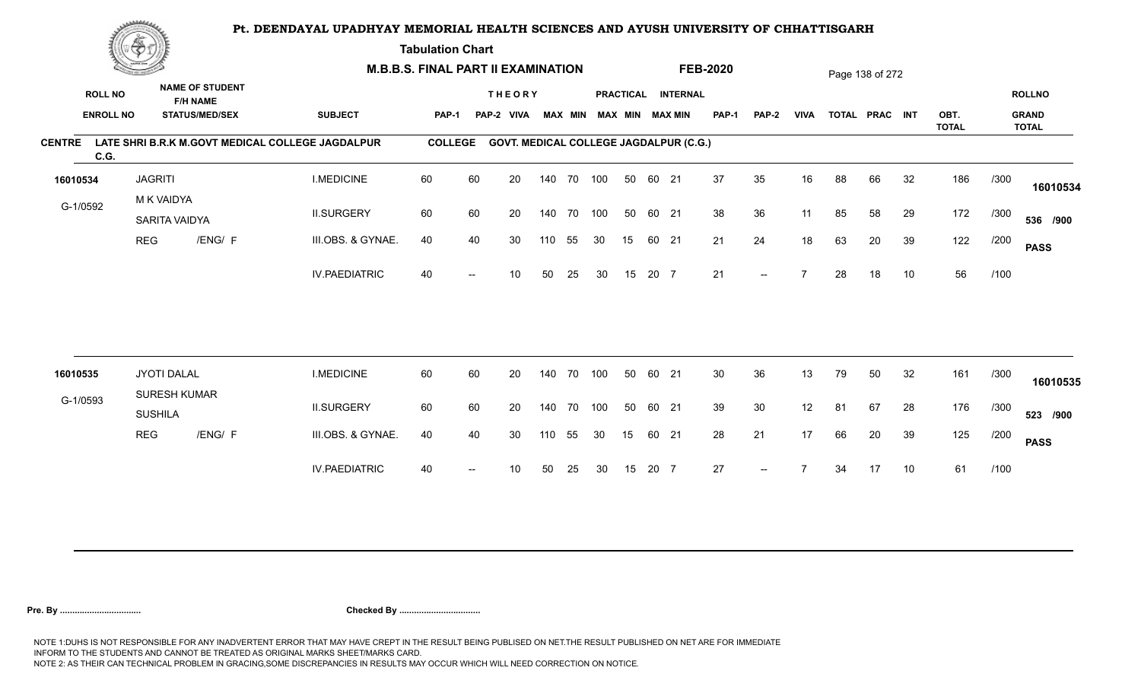**Tabulation Chart** 

|                       | <b>Construction of the Construction</b> |                                       |                                                                    | <b>M.B.B.S. FINAL PART II EXAMINATION</b>        |                |    |                                               |        |                |     |    |       |                                              | <b>FEB-2020</b> |       |             |    | Page 138 of 272 |    |              |      |                               |
|-----------------------|-----------------------------------------|---------------------------------------|--------------------------------------------------------------------|--------------------------------------------------|----------------|----|-----------------------------------------------|--------|----------------|-----|----|-------|----------------------------------------------|-----------------|-------|-------------|----|-----------------|----|--------------|------|-------------------------------|
| <b>ROLL NO</b>        | <b>ENROLL NO</b>                        |                                       | <b>NAME OF STUDENT</b><br><b>F/H NAME</b><br><b>STATUS/MED/SEX</b> | <b>SUBJECT</b>                                   | <b>PAP-1</b>   |    | <b>THEORY</b><br>PAP-2 VIVA                   |        | <b>MAX MIN</b> |     |    |       | PRACTICAL INTERNAL<br><b>MAX MIN MAX MIN</b> | <b>PAP-1</b>    | PAP-2 | <b>VIVA</b> |    | TOTAL PRAC INT  |    | OBT.         |      | <b>ROLLNO</b><br><b>GRAND</b> |
| <b>CENTRE</b><br>C.G. |                                         |                                       |                                                                    | LATE SHRI B.R.K M.GOVT MEDICAL COLLEGE JAGDALPUR | <b>COLLEGE</b> |    | <b>GOVT. MEDICAL COLLEGE JAGDALPUR (C.G.)</b> |        |                |     |    |       |                                              |                 |       |             |    |                 |    | <b>TOTAL</b> |      | <b>TOTAL</b>                  |
| 16010534              |                                         | <b>JAGRITI</b>                        |                                                                    | <b>I.MEDICINE</b>                                | 60             | 60 | 20                                            |        | 140 70 100     |     | 50 | 60 21 |                                              | 37              | 35    | 16          | 88 | 66              | 32 | 186          | /300 | 16010534                      |
| G-1/0592              |                                         | M K VAIDYA<br>SARITA VAIDYA           |                                                                    | <b>II.SURGERY</b>                                | 60             | 60 | 20                                            |        | 140 70         | 100 | 50 | 60 21 |                                              | 38              | 36    | 11          | 85 | 58              | 29 | 172          | /300 | 536 /900                      |
|                       | <b>REG</b>                              |                                       | /ENG/ F                                                            | III.OBS. & GYNAE.                                | 40             | 40 | 30                                            | 110    | 55             | 30  | 15 | 60 21 |                                              | 21              | 24    | 18          | 63 | 20              | 39 | 122          | /200 | <b>PASS</b>                   |
|                       |                                         |                                       |                                                                    | <b>IV.PAEDIATRIC</b>                             | 40             |    | 10                                            | 50     | 25             | 30  | 15 | 20 7  |                                              | 21              | $-$   |             | 28 | 18              | 10 | 56           | /100 |                               |
|                       |                                         |                                       |                                                                    |                                                  |                |    |                                               |        |                |     |    |       |                                              |                 |       |             |    |                 |    |              |      |                               |
| 16010535              |                                         | JYOTI DALAL                           |                                                                    | <b>I.MEDICINE</b>                                | 60             | 60 | 20                                            | 140    | 70             | 100 | 50 | 60 21 |                                              | 30              | 36    | 13          | 79 | 50              | 32 | 161          | /300 | 16010535                      |
| G-1/0593              |                                         | <b>SURESH KUMAR</b><br><b>SUSHILA</b> |                                                                    | <b>II.SURGERY</b>                                | 60             | 60 | 20                                            | 140 70 |                | 100 | 50 | 60 21 |                                              | 39              | 30    | 12          | 81 | 67              | 28 | 176          | /300 | 523 /900                      |
|                       | <b>REG</b>                              |                                       | /ENG/ F                                                            | III.OBS. & GYNAE.                                | 40             | 40 | 30                                            | 110    | 55             | 30  | 15 | 60 21 |                                              | 28              | 21    | 17          | 66 | 20              | 39 | 125          | /200 | <b>PASS</b>                   |
|                       |                                         |                                       |                                                                    | <b>IV.PAEDIATRIC</b>                             | 40             |    | 10                                            | 50     | 25             | 30  | 15 | 20 7  |                                              | 27              |       |             | 34 | 17              | 10 | 61           | /100 |                               |
|                       |                                         |                                       |                                                                    |                                                  |                |    |                                               |        |                |     |    |       |                                              |                 |       |             |    |                 |    |              |      |                               |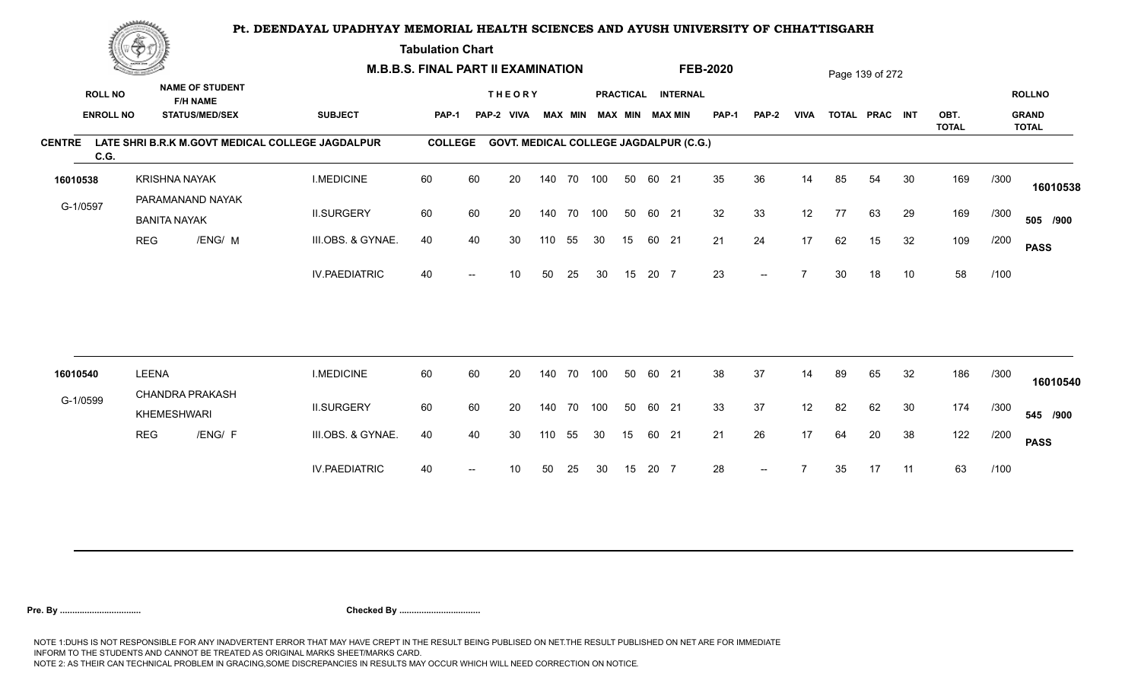**Tabulation Chart** 

|               | <b>Construction of the Asset</b> |                      |                                           | <b>M.B.B.S. FINAL PART II EXAMINATION</b>        |                |      |                                               |     |                |     |    |       |                        | <b>FEB-2020</b> |                          |             |    | Page 139 of 272 |    |                      |      |                              |
|---------------|----------------------------------|----------------------|-------------------------------------------|--------------------------------------------------|----------------|------|-----------------------------------------------|-----|----------------|-----|----|-------|------------------------|-----------------|--------------------------|-------------|----|-----------------|----|----------------------|------|------------------------------|
|               | <b>ROLL NO</b>                   |                      | <b>NAME OF STUDENT</b><br><b>F/H NAME</b> |                                                  |                |      | <b>THEORY</b>                                 |     |                |     |    |       | PRACTICAL INTERNAL     |                 |                          |             |    |                 |    |                      |      | <b>ROLLNO</b>                |
|               | <b>ENROLL NO</b>                 |                      | <b>STATUS/MED/SEX</b>                     | <b>SUBJECT</b>                                   | <b>PAP-1</b>   |      | PAP-2 VIVA                                    |     | <b>MAX MIN</b> |     |    |       | <b>MAX MIN MAX MIN</b> | <b>PAP-1</b>    | PAP-2                    | <b>VIVA</b> |    | TOTAL PRAC INT  |    | OBT.<br><b>TOTAL</b> |      | <b>GRAND</b><br><b>TOTAL</b> |
| <b>CENTRE</b> | C.G.                             |                      |                                           | LATE SHRI B.R.K M.GOVT MEDICAL COLLEGE JAGDALPUR | <b>COLLEGE</b> |      | <b>GOVT. MEDICAL COLLEGE JAGDALPUR (C.G.)</b> |     |                |     |    |       |                        |                 |                          |             |    |                 |    |                      |      |                              |
| 16010538      |                                  | <b>KRISHNA NAYAK</b> |                                           | <b>I.MEDICINE</b>                                | 60             | 60   | 20                                            |     | 140 70 100     |     | 50 | 60 21 |                        | 35              | 36                       | 14          | 85 | 54              | 30 | 169                  | /300 | 16010538                     |
| G-1/0597      |                                  | <b>BANITA NAYAK</b>  | PARAMANAND NAYAK                          | <b>II.SURGERY</b>                                | 60             | 60   | 20                                            |     | 140 70 100     |     | 50 | 60 21 |                        | 32              | 33                       | 12          | 77 | 63              | 29 | 169                  | /300 | 505 /900                     |
|               | <b>REG</b>                       |                      | /ENG/ M                                   | III.OBS. & GYNAE.                                | 40             | 40   | 30                                            | 110 | 55             | 30  | 15 | 60 21 |                        | 21              | 24                       | 17          | 62 | 15              | 32 | 109                  | /200 | <b>PASS</b>                  |
|               |                                  |                      |                                           | <b>IV.PAEDIATRIC</b>                             | 40             |      | 10                                            | 50  | 25             | 30  | 15 | 20 7  |                        | 23              | $- -$                    |             | 30 | 18              | 10 | 58                   | /100 |                              |
|               |                                  |                      |                                           |                                                  |                |      |                                               |     |                |     |    |       |                        |                 |                          |             |    |                 |    |                      |      |                              |
| 16010540      |                                  | <b>LEENA</b>         |                                           | <b>I.MEDICINE</b>                                | 60             | 60   | 20                                            | 140 | 70             | 100 | 50 | 60 21 |                        | 38              | 37                       | 14          | 89 | 65              | 32 | 186                  | /300 | 16010540                     |
| G-1/0599      |                                  | KHEMESHWARI          | <b>CHANDRA PRAKASH</b>                    | <b>II.SURGERY</b>                                | 60             | 60   | 20                                            | 140 | 70             | 100 | 50 | 60 21 |                        | 33              | 37                       | 12          | 82 | 62              | 30 | 174                  | /300 | 545 /900                     |
|               | <b>REG</b>                       |                      | /ENG/ F                                   | III.OBS. & GYNAE.                                | 40             | 40   | 30                                            | 110 | 55             | 30  | 15 | 60 21 |                        | 21              | 26                       | 17          | 64 | 20              | 38 | 122                  | /200 | <b>PASS</b>                  |
|               |                                  |                      |                                           | <b>IV.PAEDIATRIC</b>                             | 40             | $--$ | 10                                            | 50  | 25             | 30  | 15 | 20 7  |                        | 28              | $\overline{\phantom{a}}$ |             | 35 | 17              | 11 | 63                   | /100 |                              |
|               |                                  |                      |                                           |                                                  |                |      |                                               |     |                |     |    |       |                        |                 |                          |             |    |                 |    |                      |      |                              |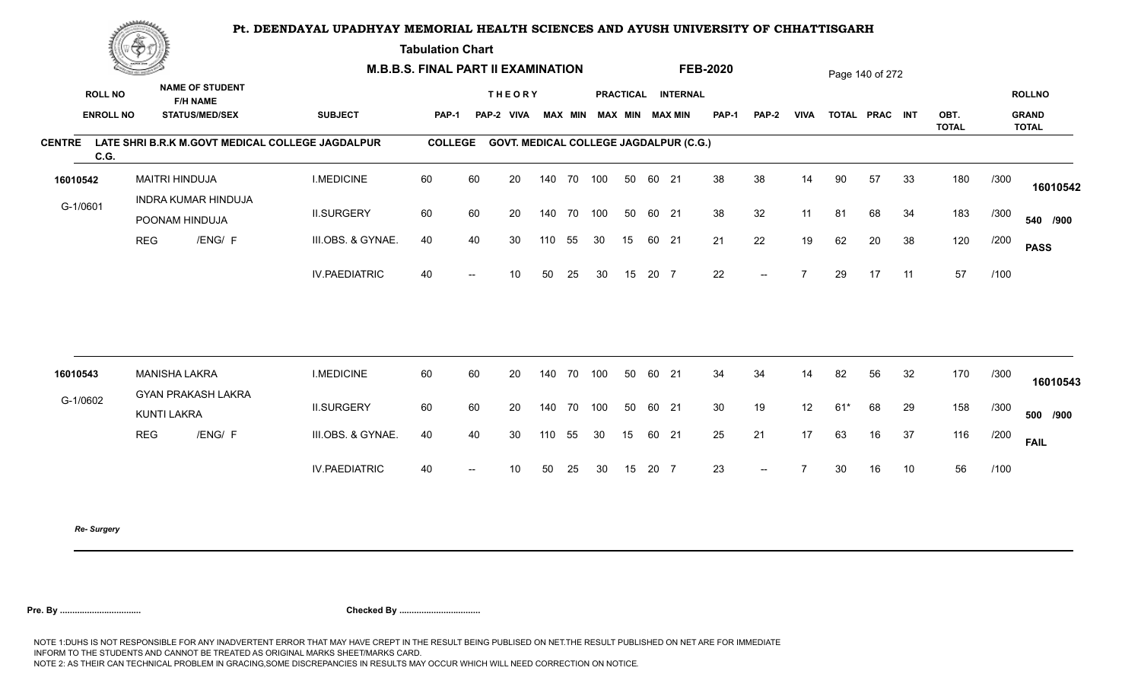**Tabulation Chart** 

|                                    | <u>Contact on the Contact of South States of South States and States of South States and States and States and States and States and States and States and States and States and States and States and States and States and Sta</u><br><b>NAME OF STUDENT</b> |                       | <b>M.B.B.S. FINAL PART II EXAMINATION</b>    |                                                  |                |                          |                                               |     |                |     |    |       | <b>FEB-2020</b>                              |                 |                          |                | Page 140 of 272 |                |    |                      |      |                                               |
|------------------------------------|----------------------------------------------------------------------------------------------------------------------------------------------------------------------------------------------------------------------------------------------------------------|-----------------------|----------------------------------------------|--------------------------------------------------|----------------|--------------------------|-----------------------------------------------|-----|----------------|-----|----|-------|----------------------------------------------|-----------------|--------------------------|----------------|-----------------|----------------|----|----------------------|------|-----------------------------------------------|
| <b>ROLL NO</b><br><b>ENROLL NO</b> |                                                                                                                                                                                                                                                                |                       | <b>F/H NAME</b><br><b>STATUS/MED/SEX</b>     | <b>SUBJECT</b>                                   | PAP-1          |                          | <b>THEORY</b><br>PAP-2 VIVA                   |     | <b>MAX MIN</b> |     |    |       | PRACTICAL INTERNAL<br><b>MAX MIN MAX MIN</b> | <b>PAP-1</b>    | <b>PAP-2</b>             | <b>VIVA</b>    |                 | TOTAL PRAC INT |    | OBT.<br><b>TOTAL</b> |      | <b>ROLLNO</b><br><b>GRAND</b><br><b>TOTAL</b> |
| <b>CENTRE</b><br>C.G.              |                                                                                                                                                                                                                                                                |                       |                                              | LATE SHRI B.R.K M.GOVT MEDICAL COLLEGE JAGDALPUR | <b>COLLEGE</b> |                          | <b>GOVT. MEDICAL COLLEGE JAGDALPUR (C.G.)</b> |     |                |     |    |       |                                              |                 |                          |                |                 |                |    |                      |      |                                               |
| 16010542                           |                                                                                                                                                                                                                                                                | <b>MAITRI HINDUJA</b> |                                              | <b>I.MEDICINE</b>                                | 60             | 60                       | 20                                            |     | 140 70 100     |     | 50 | 60 21 |                                              | 38              | 38                       | 14             | 90              | 57             | 33 | 180                  | /300 | 16010542                                      |
| G-1/0601                           |                                                                                                                                                                                                                                                                |                       | <b>INDRA KUMAR HINDUJA</b><br>POONAM HINDUJA | <b>II.SURGERY</b>                                | 60             | 60                       | 20                                            |     | 140 70         | 100 | 50 | 60 21 |                                              | 38              | 32                       | 11             | 81              | 68             | 34 | 183                  | /300 | 540 /900                                      |
|                                    | <b>REG</b>                                                                                                                                                                                                                                                     |                       | /ENG/ F                                      | III.OBS. & GYNAE.                                | 40             | 40                       | 30                                            | 110 | 55             | 30  | 15 | 60 21 |                                              | 21              | 22                       | 19             | 62              | 20             | 38 | 120                  | /200 | <b>PASS</b>                                   |
|                                    |                                                                                                                                                                                                                                                                |                       |                                              | <b>IV.PAEDIATRIC</b>                             | 40             |                          | 10 <sup>°</sup>                               | 50  | 25             | 30  | 15 | 20 7  |                                              | 22              | $\overline{\phantom{a}}$ | $\overline{7}$ | 29              | 17             | 11 | 57                   | /100 |                                               |
|                                    |                                                                                                                                                                                                                                                                |                       |                                              |                                                  |                |                          |                                               |     |                |     |    |       |                                              |                 |                          |                |                 |                |    |                      |      |                                               |
| 16010543                           |                                                                                                                                                                                                                                                                | <b>MANISHA LAKRA</b>  | <b>GYAN PRAKASH LAKRA</b>                    | <b>I.MEDICINE</b>                                | 60             | 60                       | 20                                            |     | 140 70         | 100 | 50 | 60 21 |                                              | 34              | 34                       | 14             | 82              | 56             | 32 | 170                  | /300 | 16010543                                      |
| G-1/0602                           |                                                                                                                                                                                                                                                                | KUNTI LAKRA           |                                              | <b>II.SURGERY</b>                                | 60             | 60                       | 20                                            |     | 140 70         | 100 | 50 | 60 21 |                                              | 30 <sup>°</sup> | 19                       | 12             | $61*$           | 68             | 29 | 158                  | /300 | 500 /900                                      |
|                                    | <b>REG</b>                                                                                                                                                                                                                                                     |                       | /ENG/ F                                      | III.OBS. & GYNAE.                                | 40             | 40                       | 30                                            | 110 | 55             | 30  | 15 | 60 21 |                                              | 25              | 21                       | 17             | 63              | 16             | 37 | 116                  | /200 | <b>FAIL</b>                                   |
|                                    |                                                                                                                                                                                                                                                                |                       |                                              | <b>IV.PAEDIATRIC</b>                             | 40             | $\overline{\phantom{a}}$ | 10 <sup>°</sup>                               | 50  | 25             | 30  | 15 | 20 7  |                                              | 23              | $--$                     | $\overline{7}$ | 30              | 16             | 10 | 56                   | /100 |                                               |
|                                    |                                                                                                                                                                                                                                                                |                       |                                              |                                                  |                |                          |                                               |     |                |     |    |       |                                              |                 |                          |                |                 |                |    |                      |      |                                               |

*Re- Surgery*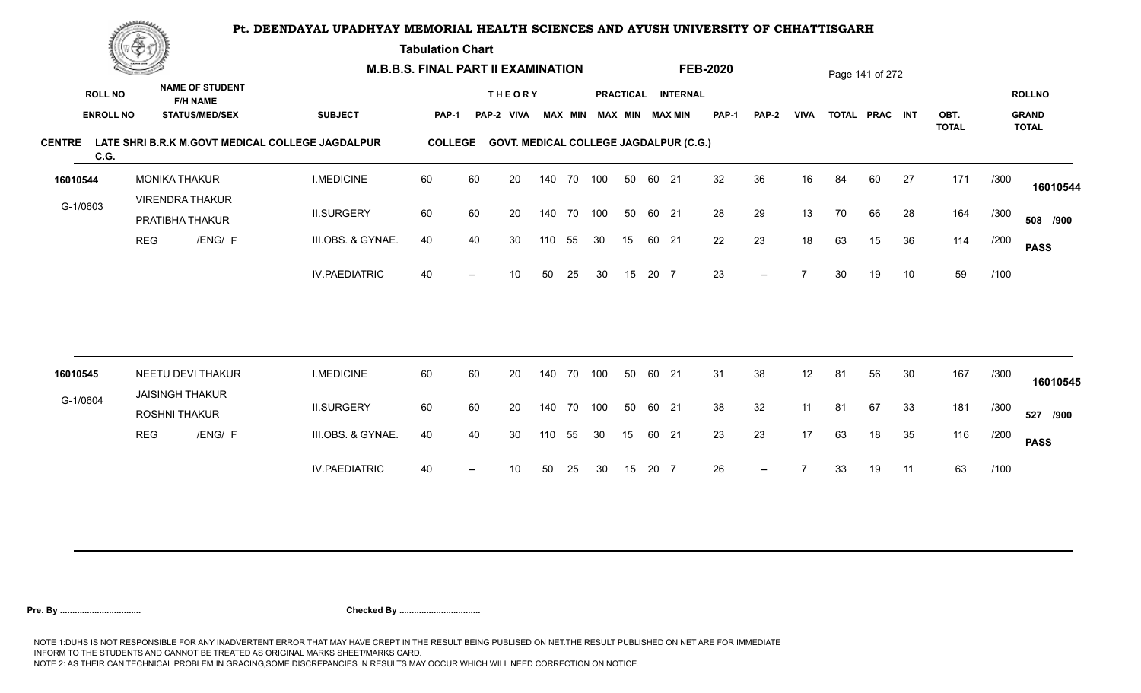**Tabulation Chart** 

|                       | <b>Construction of the Construction</b> |                      |                                                                    | <b>M.B.B.S. FINAL PART II EXAMINATION</b>        |                |                          |                                               |        |                |     |    |       |                                              | <b>FEB-2020</b> |                          |             |    | Page 141 of 272 |    |              |      |                               |
|-----------------------|-----------------------------------------|----------------------|--------------------------------------------------------------------|--------------------------------------------------|----------------|--------------------------|-----------------------------------------------|--------|----------------|-----|----|-------|----------------------------------------------|-----------------|--------------------------|-------------|----|-----------------|----|--------------|------|-------------------------------|
| <b>ROLL NO</b>        | <b>ENROLL NO</b>                        |                      | <b>NAME OF STUDENT</b><br><b>F/H NAME</b><br><b>STATUS/MED/SEX</b> | <b>SUBJECT</b>                                   | PAP-1          | PAP-2                    | <b>THEORY</b><br><b>VIVA</b>                  |        | <b>MAX MIN</b> |     |    |       | PRACTICAL INTERNAL<br><b>MAX MIN MAX MIN</b> | <b>PAP-1</b>    | PAP-2                    | <b>VIVA</b> |    | TOTAL PRAC INT  |    | OBT.         |      | <b>ROLLNO</b><br><b>GRAND</b> |
|                       |                                         |                      |                                                                    |                                                  |                |                          |                                               |        |                |     |    |       |                                              |                 |                          |             |    |                 |    | <b>TOTAL</b> |      | <b>TOTAL</b>                  |
| <b>CENTRE</b><br>C.G. |                                         |                      |                                                                    | LATE SHRI B.R.K M.GOVT MEDICAL COLLEGE JAGDALPUR | <b>COLLEGE</b> |                          | <b>GOVT. MEDICAL COLLEGE JAGDALPUR (C.G.)</b> |        |                |     |    |       |                                              |                 |                          |             |    |                 |    |              |      |                               |
| 16010544              |                                         | <b>MONIKA THAKUR</b> |                                                                    | <b>I.MEDICINE</b>                                | 60             | 60                       | 20                                            |        | 140 70 100     |     | 50 | 60 21 |                                              | 32              | 36                       | 16          | 84 | 60              | 27 | 171          | /300 | 16010544                      |
| G-1/0603              |                                         |                      | <b>VIRENDRA THAKUR</b><br>PRATIBHA THAKUR                          | <b>II.SURGERY</b>                                | 60             | 60                       | 20                                            |        | 140 70         | 100 | 50 | 60 21 |                                              | 28              | 29                       | 13          | 70 | 66              | 28 | 164          | /300 | 508 /900                      |
|                       | <b>REG</b>                              |                      | /ENG/ F                                                            | III.OBS. & GYNAE.                                | 40             | 40                       | 30                                            | 110    | 55             | 30  | 15 | 60 21 |                                              | 22              | 23                       | 18          | 63 | 15              | 36 | 114          | /200 | <b>PASS</b>                   |
|                       |                                         |                      |                                                                    | <b>IV.PAEDIATRIC</b>                             | 40             |                          | 10                                            | 50     | 25             | 30  | 15 | 20 7  |                                              | 23              | $-$                      |             | 30 | 19              | 10 | 59           | /100 |                               |
|                       |                                         |                      |                                                                    |                                                  |                |                          |                                               |        |                |     |    |       |                                              |                 |                          |             |    |                 |    |              |      |                               |
| 16010545              |                                         |                      | NEETU DEVI THAKUR                                                  | <b>I.MEDICINE</b>                                | 60             | 60                       | 20                                            | 140 70 |                | 100 | 50 | 60 21 |                                              | 31              | 38                       | 12          | 81 | 56              | 30 | 167          | /300 | 16010545                      |
| G-1/0604              |                                         | <b>ROSHNI THAKUR</b> | <b>JAISINGH THAKUR</b>                                             | <b>II.SURGERY</b>                                | 60             | 60                       | 20                                            |        | 140 70         | 100 | 50 | 60 21 |                                              | 38              | 32                       | 11          | 81 | 67              | 33 | 181          | /300 | 527 /900                      |
|                       | <b>REG</b>                              |                      | /ENG/ F                                                            | III.OBS. & GYNAE.                                | 40             | 40                       | 30                                            | 110    | 55             | 30  | 15 | 60 21 |                                              | 23              | 23                       | 17          | 63 | 18              | 35 | 116          | /200 | <b>PASS</b>                   |
|                       |                                         |                      |                                                                    | <b>IV.PAEDIATRIC</b>                             | 40             | $\overline{\phantom{a}}$ | 10                                            | 50     | 25             | 30  | 15 | 20 7  |                                              | 26              | $\overline{\phantom{a}}$ |             | 33 | 19              | 11 | 63           | /100 |                               |
|                       |                                         |                      |                                                                    |                                                  |                |                          |                                               |        |                |     |    |       |                                              |                 |                          |             |    |                 |    |              |      |                               |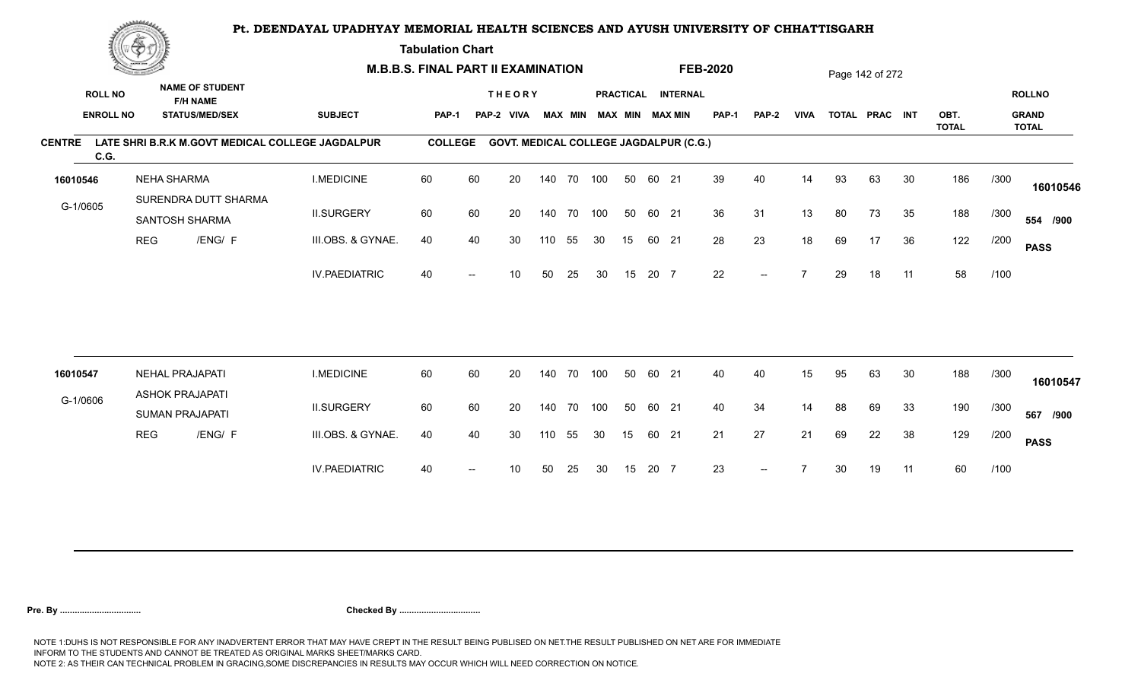**Tabulation Chart** 

| <b>ROLL NO</b><br><b>ENROLL NO</b> |                                                                     | <b>SUBJECT</b>                                                                                                                                                                                                   |                                                  |    |                         |       |                              |                                                                                       |                                                   |  | <b>PAP-1</b>                                                                                 | PAP-2                                                                                  | <b>VIVA</b> |    |    |    | OBT.                              |      | <b>ROLLNO</b><br><b>GRAND</b> |
|------------------------------------|---------------------------------------------------------------------|------------------------------------------------------------------------------------------------------------------------------------------------------------------------------------------------------------------|--------------------------------------------------|----|-------------------------|-------|------------------------------|---------------------------------------------------------------------------------------|---------------------------------------------------|--|----------------------------------------------------------------------------------------------|----------------------------------------------------------------------------------------|-------------|----|----|----|-----------------------------------|------|-------------------------------|
|                                    |                                                                     |                                                                                                                                                                                                                  |                                                  |    |                         |       |                              |                                                                                       |                                                   |  |                                                                                              |                                                                                        |             |    |    |    | <b>TOTAL</b>                      |      | <b>TOTAL</b>                  |
| C.G.                               |                                                                     |                                                                                                                                                                                                                  |                                                  |    |                         |       |                              |                                                                                       |                                                   |  |                                                                                              |                                                                                        |             |    |    |    |                                   |      |                               |
| 16010546                           |                                                                     | <b>I.MEDICINE</b>                                                                                                                                                                                                | 60                                               | 60 | 20                      |       |                              |                                                                                       | 50                                                |  | 39                                                                                           | 40                                                                                     | 14          | 93 | 63 | 30 | 186                               | /300 | 16010546                      |
| G-1/0605                           |                                                                     | <b>II.SURGERY</b>                                                                                                                                                                                                | 60                                               | 60 | 20                      |       |                              |                                                                                       | 50                                                |  | 36                                                                                           | 31                                                                                     | 13          | 80 | 73 | 35 | 188                               | /300 | 554 /900                      |
|                                    | /ENG/ F                                                             | III.OBS. & GYNAE.                                                                                                                                                                                                | 40                                               | 40 | 30                      |       | 55                           | 30                                                                                    | 15 <sub>1</sub>                                   |  | 28                                                                                           | 23                                                                                     | 18          | 69 | 17 | 36 | 122                               | /200 | <b>PASS</b>                   |
|                                    |                                                                     | <b>IV.PAEDIATRIC</b>                                                                                                                                                                                             | 40                                               |    | 10                      | 50    | 25                           | 30                                                                                    | 15                                                |  | 22                                                                                           | $-$                                                                                    |             | 29 | 18 | 11 | 58                                | /100 |                               |
|                                    |                                                                     |                                                                                                                                                                                                                  |                                                  |    |                         |       |                              |                                                                                       |                                                   |  |                                                                                              |                                                                                        |             |    |    |    |                                   |      |                               |
| 16010547                           |                                                                     | <b>I.MEDICINE</b>                                                                                                                                                                                                | 60                                               | 60 | 20                      |       |                              |                                                                                       | 50                                                |  | 40                                                                                           | 40                                                                                     | 15          | 95 | 63 | 30 | 188                               | /300 | 16010547                      |
| G-1/0606                           |                                                                     | <b>II.SURGERY</b>                                                                                                                                                                                                | 60                                               | 60 | 20                      |       |                              |                                                                                       | 50                                                |  | 40                                                                                           | 34                                                                                     | 14          | 88 | 69 | 33 | 190                               | /300 | 567 /900                      |
|                                    | /ENG/ F                                                             | III.OBS. & GYNAE.                                                                                                                                                                                                | 40                                               | 40 | 30                      |       | 55                           | 30                                                                                    | 15                                                |  | 21                                                                                           | 27                                                                                     | 21          | 69 | 22 | 38 | 129                               | /200 | <b>PASS</b>                   |
|                                    |                                                                     | <b>IV.PAEDIATRIC</b>                                                                                                                                                                                             | 40                                               |    | 10                      | 50    | 25                           | 30                                                                                    | 15                                                |  | 23                                                                                           | $\overline{\phantom{a}}$                                                               |             | 30 | 19 | 11 | 60                                | /100 |                               |
|                                    | <b>Construction of the Construction</b><br><b>REG</b><br><b>REG</b> | <b>NAME OF STUDENT</b><br><b>F/H NAME</b><br><b>STATUS/MED/SEX</b><br><b>NEHA SHARMA</b><br>SURENDRA DUTT SHARMA<br>SANTOSH SHARMA<br><b>NEHAL PRAJAPATI</b><br><b>ASHOK PRAJAPATI</b><br><b>SUMAN PRAJAPATI</b> | LATE SHRI B.R.K M.GOVT MEDICAL COLLEGE JAGDALPUR |    | PAP-1<br><b>COLLEGE</b> | PAP-2 | <b>THEORY</b><br><b>VIVA</b> | <b>M.B.B.S. FINAL PART II EXAMINATION</b><br>140 70<br>110<br>140 70<br>140 70<br>110 | <b>MAX MIN</b><br>140 70 100<br>100<br>100<br>100 |  | <b>MAX MIN MAX MIN</b><br>60 21<br>60 21<br>60 21<br>20 7<br>60 21<br>60 21<br>60 21<br>20 7 | <b>FEB-2020</b><br>PRACTICAL INTERNAL<br><b>GOVT. MEDICAL COLLEGE JAGDALPUR (C.G.)</b> |             |    |    |    | Page 142 of 272<br>TOTAL PRAC INT |      |                               |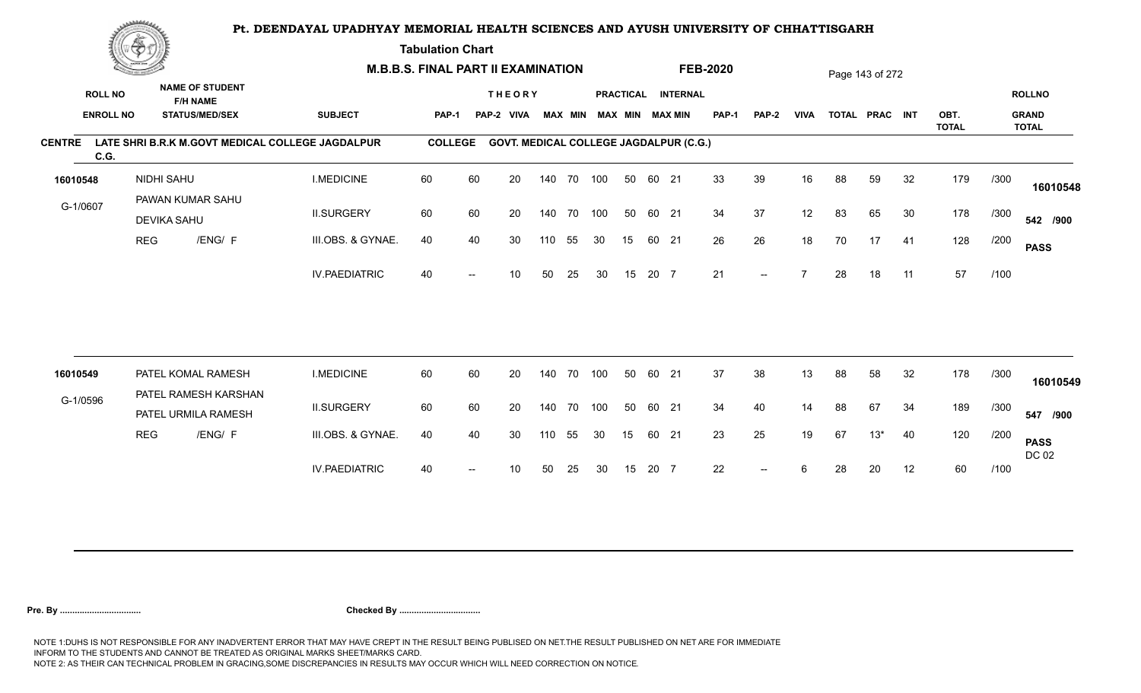**Tabulation Chart** 

|               | <b>Construction of the Asset</b> |                    |                                             | <b>M.B.B.S. FINAL PART II EXAMINATION</b>        |                |    |                                               |     |                |     |    |       |                        | <b>FEB-2020</b> |       |             |    | Page 143 of 272 |    |                      |      |                              |
|---------------|----------------------------------|--------------------|---------------------------------------------|--------------------------------------------------|----------------|----|-----------------------------------------------|-----|----------------|-----|----|-------|------------------------|-----------------|-------|-------------|----|-----------------|----|----------------------|------|------------------------------|
|               | <b>ROLL NO</b>                   |                    | <b>NAME OF STUDENT</b><br><b>F/H NAME</b>   |                                                  |                |    | <b>THEORY</b>                                 |     |                |     |    |       | PRACTICAL INTERNAL     |                 |       |             |    |                 |    |                      |      | <b>ROLLNO</b>                |
|               | <b>ENROLL NO</b>                 |                    | <b>STATUS/MED/SEX</b>                       | <b>SUBJECT</b>                                   | <b>PAP-1</b>   |    | PAP-2 VIVA                                    |     | <b>MAX MIN</b> |     |    |       | <b>MAX MIN MAX MIN</b> | <b>PAP-1</b>    | PAP-2 | <b>VIVA</b> |    | TOTAL PRAC INT  |    | OBT.<br><b>TOTAL</b> |      | <b>GRAND</b><br><b>TOTAL</b> |
| <b>CENTRE</b> | C.G.                             |                    |                                             | LATE SHRI B.R.K M.GOVT MEDICAL COLLEGE JAGDALPUR | <b>COLLEGE</b> |    | <b>GOVT. MEDICAL COLLEGE JAGDALPUR (C.G.)</b> |     |                |     |    |       |                        |                 |       |             |    |                 |    |                      |      |                              |
| 16010548      |                                  | NIDHI SAHU         |                                             | <b>I.MEDICINE</b>                                | 60             | 60 | 20                                            |     | 140 70 100     |     | 50 | 60 21 |                        | 33              | 39    | 16          | 88 | 59              | 32 | 179                  | /300 | 16010548                     |
| G-1/0607      |                                  | <b>DEVIKA SAHU</b> | PAWAN KUMAR SAHU                            | <b>II.SURGERY</b>                                | 60             | 60 | 20                                            |     | 140 70 100     |     | 50 | 60 21 |                        | 34              | 37    | 12          | 83 | 65              | 30 | 178                  | /300 | 542 /900                     |
|               |                                  | <b>REG</b>         | /ENG/ F                                     | III.OBS. & GYNAE.                                | 40             | 40 | 30                                            | 110 | 55             | 30  | 15 |       | 60 21                  | 26              | 26    | 18          | 70 | 17              | 41 | 128                  | /200 | <b>PASS</b>                  |
|               |                                  |                    |                                             | <b>IV.PAEDIATRIC</b>                             | 40             |    | 10                                            | 50  | 25             | 30  | 15 | 20 7  |                        | 21              | $- -$ |             | 28 | 18              | 11 | 57                   | /100 |                              |
|               |                                  |                    |                                             |                                                  |                |    |                                               |     |                |     |    |       |                        |                 |       |             |    |                 |    |                      |      |                              |
| 16010549      |                                  |                    | PATEL KOMAL RAMESH                          | <b>I.MEDICINE</b>                                | 60             | 60 | 20                                            |     | 140 70         | 100 | 50 | 60 21 |                        | 37              | 38    | 13          | 88 | 58              | 32 | 178                  | /300 | 16010549                     |
| G-1/0596      |                                  |                    | PATEL RAMESH KARSHAN<br>PATEL URMILA RAMESH | <b>II.SURGERY</b>                                | 60             | 60 | 20                                            |     | 140 70 100     |     | 50 | 60 21 |                        | 34              | 40    | 14          | 88 | 67              | 34 | 189                  | /300 | 547 /900                     |
|               |                                  | <b>REG</b>         | /ENG/ F                                     | III.OBS. & GYNAE.                                | 40             | 40 | 30                                            | 110 | 55             | 30  | 15 | 60 21 |                        | 23              | 25    | 19          | 67 | $13*$           | 40 | 120                  | /200 | <b>PASS</b><br>DC 02         |
|               |                                  |                    |                                             | <b>IV.PAEDIATRIC</b>                             | 40             |    | 10                                            | 50  | 25             | 30  | 15 | 20 7  |                        | 22              | $--$  | 6           | 28 | 20              | 12 | 60                   | /100 |                              |
|               |                                  |                    |                                             |                                                  |                |    |                                               |     |                |     |    |       |                        |                 |       |             |    |                 |    |                      |      |                              |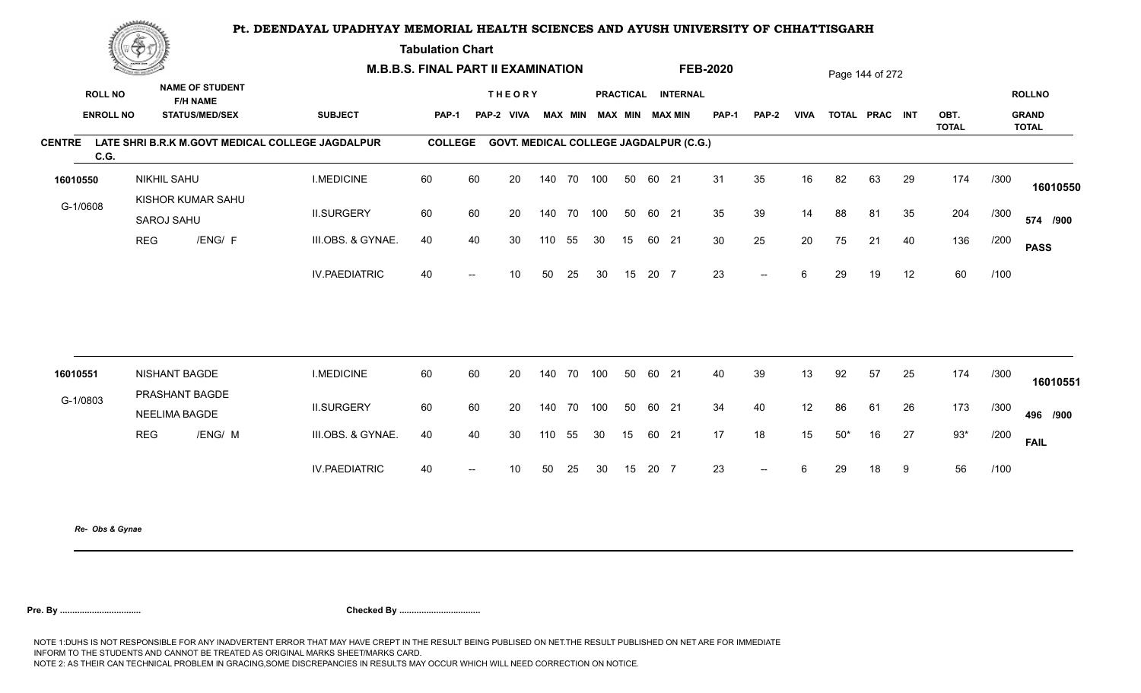**Tabulation Chart** 

|                                    | <u>Contact and the Contact of Delivery and the Contact of Delivery and the Contact of Delivery and the Contact of Delivery and the Contact of Delivery and the Contact of Delivery and the Contact of Delivery and The Contact o</u><br><b>NAME OF STUDENT</b> |                                          | <b>M.B.B.S. FINAL PART II EXAMINATION</b> |                                                  |                |                          |                                               |        |                |     |                  |       | <b>FEB-2020</b>                           |       |                          |             | Page 144 of 272 |                |    |                      |      |                                               |
|------------------------------------|----------------------------------------------------------------------------------------------------------------------------------------------------------------------------------------------------------------------------------------------------------------|------------------------------------------|-------------------------------------------|--------------------------------------------------|----------------|--------------------------|-----------------------------------------------|--------|----------------|-----|------------------|-------|-------------------------------------------|-------|--------------------------|-------------|-----------------|----------------|----|----------------------|------|-----------------------------------------------|
| <b>ROLL NO</b><br><b>ENROLL NO</b> |                                                                                                                                                                                                                                                                | <b>F/H NAME</b><br><b>STATUS/MED/SEX</b> |                                           | <b>SUBJECT</b>                                   | PAP-1          |                          | <b>THEORY</b><br>PAP-2 VIVA                   |        | <b>MAX MIN</b> |     | <b>PRACTICAL</b> |       | <b>INTERNAL</b><br><b>MAX MIN MAX MIN</b> | PAP-1 | PAP-2                    | <b>VIVA</b> |                 | TOTAL PRAC INT |    | OBT.<br><b>TOTAL</b> |      | <b>ROLLNO</b><br><b>GRAND</b><br><b>TOTAL</b> |
| <b>CENTRE</b><br>C.G.              |                                                                                                                                                                                                                                                                |                                          |                                           | LATE SHRI B.R.K M.GOVT MEDICAL COLLEGE JAGDALPUR | <b>COLLEGE</b> |                          | <b>GOVT. MEDICAL COLLEGE JAGDALPUR (C.G.)</b> |        |                |     |                  |       |                                           |       |                          |             |                 |                |    |                      |      |                                               |
| 16010550                           |                                                                                                                                                                                                                                                                | <b>NIKHIL SAHU</b>                       |                                           | <b>I.MEDICINE</b>                                | 60             | 60                       | 20                                            |        | 140 70 100     |     | 50               | 60 21 |                                           | 31    | 35                       | 16          | 82              | 63             | 29 | 174                  | /300 | 16010550                                      |
| G-1/0608                           |                                                                                                                                                                                                                                                                | KISHOR KUMAR SAHU<br>SAROJ SAHU          |                                           | <b>II.SURGERY</b>                                | 60             | 60                       | 20                                            |        | 140 70         | 100 | 50               | 60 21 |                                           | 35    | 39                       | 14          | 88              | 81             | 35 | 204                  | /300 | 574 /900                                      |
|                                    | <b>REG</b>                                                                                                                                                                                                                                                     |                                          | /ENG/ F                                   | III.OBS. & GYNAE.                                | 40             | 40                       | 30                                            | 110    | 55             | 30  | 15               | 60 21 |                                           | 30    | 25                       | 20          | 75              | 21             | 40 | 136                  | /200 | <b>PASS</b>                                   |
|                                    |                                                                                                                                                                                                                                                                |                                          |                                           | <b>IV.PAEDIATRIC</b>                             | 40             | $\hspace{0.05cm}$        | 10                                            | 50     | 25             | 30  | 15               | 20 7  |                                           | 23    | $\overline{\phantom{a}}$ | 6           | 29              | 19             | 12 | 60                   | /100 |                                               |
|                                    |                                                                                                                                                                                                                                                                |                                          |                                           |                                                  |                |                          |                                               |        |                |     |                  |       |                                           |       |                          |             |                 |                |    |                      |      |                                               |
| 16010551                           |                                                                                                                                                                                                                                                                | <b>NISHANT BAGDE</b><br>PRASHANT BAGDE   |                                           | <b>I.MEDICINE</b>                                | 60             | 60                       | 20                                            | 140 70 |                | 100 | 50               | 60 21 |                                           | 40    | 39                       | 13          | 92              | 57             | 25 | 174                  | /300 | 16010551                                      |
| G-1/0803                           |                                                                                                                                                                                                                                                                | <b>NEELIMA BAGDE</b>                     |                                           | <b>II.SURGERY</b>                                | 60             | 60                       | 20                                            |        | 140 70         | 100 | 50               | 60 21 |                                           | 34    | 40                       | 12          | 86              | 61             | 26 | 173                  | /300 | 496 /900                                      |
|                                    | <b>REG</b>                                                                                                                                                                                                                                                     |                                          | /ENG/ M                                   | III.OBS. & GYNAE.                                | 40             | 40                       | 30                                            | 110    | 55             | 30  | 15               | 60 21 |                                           | 17    | 18                       | 15          | $50*$           | 16             | 27 | $93*$                | /200 | <b>FAIL</b>                                   |
|                                    |                                                                                                                                                                                                                                                                |                                          |                                           | <b>IV.PAEDIATRIC</b>                             | 40             | $\overline{\phantom{a}}$ | 10 <sup>°</sup>                               | 50     | 25             | 30  | 15               | 20 7  |                                           | 23    | $\sim$ $\sim$            | 6           | 29              | 18             | 9  | 56                   | /100 |                                               |
|                                    |                                                                                                                                                                                                                                                                |                                          |                                           |                                                  |                |                          |                                               |        |                |     |                  |       |                                           |       |                          |             |                 |                |    |                      |      |                                               |

*Re- Obs & Gynae*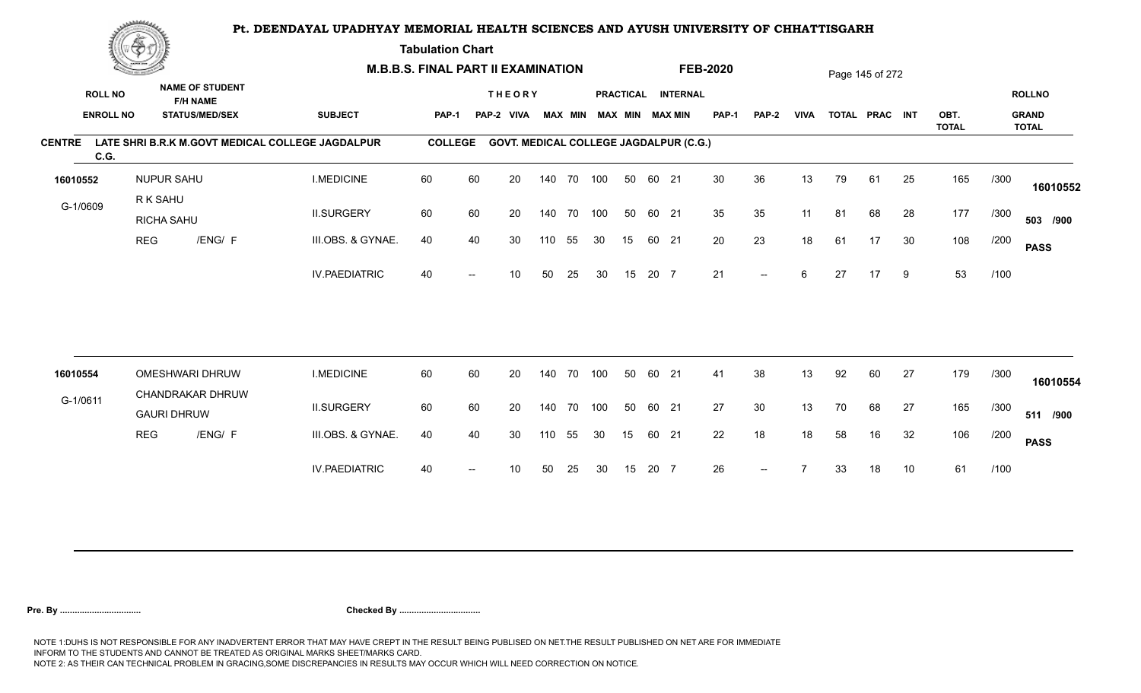**Tabulation Chart** 

|                       | <b>Consumer de region de la</b> |                                                   |                                                  | <b>M.B.B.S. FINAL PART II EXAMINATION</b> |    |                                               |     |        |                         |    |       |                    | <b>FEB-2020</b> |                   |             |    | Page 145 of 272 |    |                      |      |                              |
|-----------------------|---------------------------------|---------------------------------------------------|--------------------------------------------------|-------------------------------------------|----|-----------------------------------------------|-----|--------|-------------------------|----|-------|--------------------|-----------------|-------------------|-------------|----|-----------------|----|----------------------|------|------------------------------|
| <b>ROLL NO</b>        |                                 | <b>NAME OF STUDENT</b><br><b>F/H NAME</b>         |                                                  |                                           |    | <b>THEORY</b>                                 |     |        |                         |    |       | PRACTICAL INTERNAL |                 |                   |             |    |                 |    |                      |      | <b>ROLLNO</b>                |
| <b>ENROLL NO</b>      |                                 | <b>STATUS/MED/SEX</b>                             | <b>SUBJECT</b>                                   | PAP-1                                     |    | PAP-2 VIVA                                    |     |        | MAX MIN MAX MIN MAX MIN |    |       |                    | <b>PAP-1</b>    | PAP-2             | <b>VIVA</b> |    | TOTAL PRAC INT  |    | OBT.<br><b>TOTAL</b> |      | <b>GRAND</b><br><b>TOTAL</b> |
| <b>CENTRE</b><br>C.G. |                                 |                                                   | LATE SHRI B.R.K M.GOVT MEDICAL COLLEGE JAGDALPUR | <b>COLLEGE</b>                            |    | <b>GOVT. MEDICAL COLLEGE JAGDALPUR (C.G.)</b> |     |        |                         |    |       |                    |                 |                   |             |    |                 |    |                      |      |                              |
| 16010552              |                                 | <b>NUPUR SAHU</b>                                 | <b>I.MEDICINE</b>                                | 60                                        | 60 | 20                                            | 140 | 70 100 |                         | 50 | 60 21 |                    | 30              | 36                | 13          | 79 | 61              | 25 | 165                  | /300 | 16010552                     |
| G-1/0609              |                                 | R K SAHU<br>RICHA SAHU                            | <b>II.SURGERY</b>                                | 60                                        | 60 | 20                                            | 140 | 70 100 |                         | 50 | 60 21 |                    | 35              | 35                | 11          | 81 | 68              | 28 | 177                  | /300 | 503 /900                     |
|                       | <b>REG</b>                      | /ENG/ F                                           | III.OBS. & GYNAE.                                | 40                                        | 40 | 30                                            | 110 | 55     | 30                      | 15 | 60 21 |                    | 20              | 23                | 18          | 61 | 17              | 30 | 108                  | /200 | <b>PASS</b>                  |
|                       |                                 |                                                   | <b>IV.PAEDIATRIC</b>                             | 40                                        |    | 10 <sup>1</sup>                               | 50  | 25     | 30                      | 15 | 20 7  |                    | 21              | $--$              | 6           | 27 | 17              | 9  | 53                   | /100 |                              |
|                       |                                 |                                                   |                                                  |                                           |    |                                               |     |        |                         |    |       |                    |                 |                   |             |    |                 |    |                      |      |                              |
| 16010554              |                                 | <b>OMESHWARI DHRUW</b><br><b>CHANDRAKAR DHRUW</b> | <b>I.MEDICINE</b>                                | 60                                        | 60 | 20                                            | 140 | 70     | 100                     | 50 | 60    | 21                 | 41              | 38                | 13          | 92 | 60              | 27 | 179                  | /300 | 16010554                     |
| G-1/0611              |                                 | <b>GAURI DHRUW</b>                                | <b>II.SURGERY</b>                                | 60                                        | 60 | 20                                            | 140 | 70     | 100                     | 50 | 60 21 |                    | 27              | 30                | 13          | 70 | 68              | 27 | 165                  | /300 | 511 /900                     |
|                       | <b>REG</b>                      | /ENG/ F                                           | III.OBS. & GYNAE.                                | 40                                        | 40 | 30                                            | 110 | 55     | 30                      | 15 | 60 21 |                    | 22              | 18                | 18          | 58 | 16              | 32 | 106                  | /200 | <b>PASS</b>                  |
|                       |                                 |                                                   | <b>IV.PAEDIATRIC</b>                             | 40                                        |    | 10                                            | 50  | 25     | 30                      | 15 | 20 7  |                    | 26              | $\qquad \qquad -$ |             | 33 | 18              | 10 | 61                   | /100 |                              |
|                       |                                 |                                                   |                                                  |                                           |    |                                               |     |        |                         |    |       |                    |                 |                   |             |    |                 |    |                      |      |                              |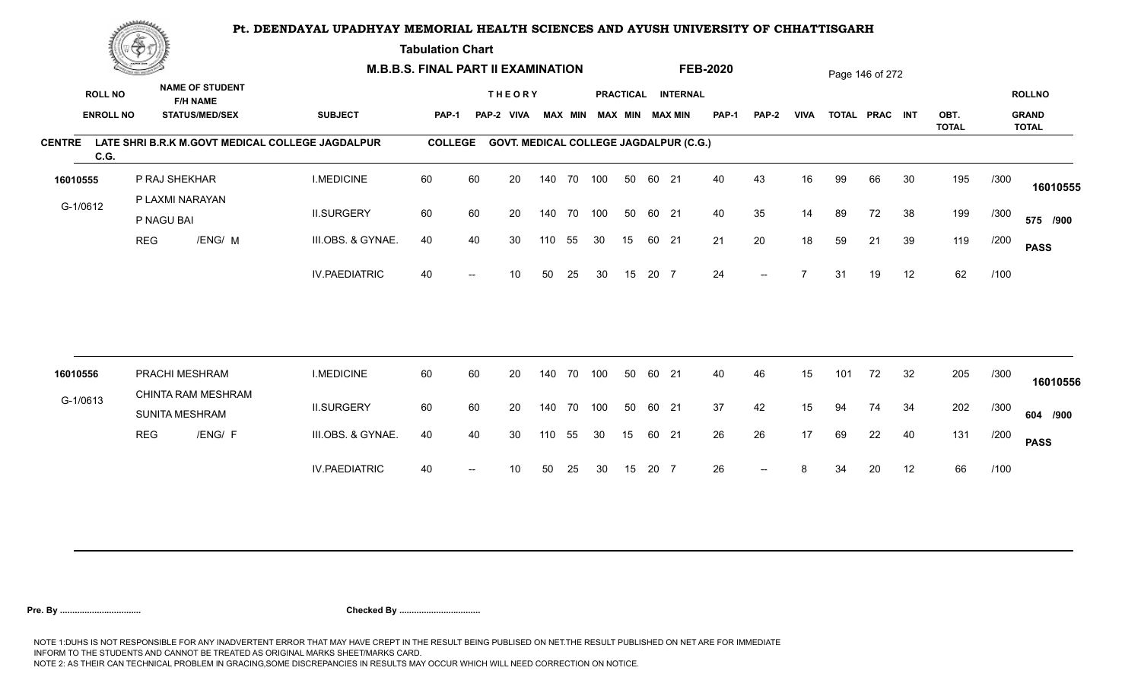**Tabulation Chart** 

|                       | <b>Construction of the Construction</b> |                               | <b>M.B.B.S. FINAL PART II EXAMINATION</b>                          |                                                  |                |                          |                                               |        |                |     |    |       | <b>FEB-2020</b>                              |              |                          |             | Page 146 of 272 |                |    |              |      |                               |
|-----------------------|-----------------------------------------|-------------------------------|--------------------------------------------------------------------|--------------------------------------------------|----------------|--------------------------|-----------------------------------------------|--------|----------------|-----|----|-------|----------------------------------------------|--------------|--------------------------|-------------|-----------------|----------------|----|--------------|------|-------------------------------|
| <b>ROLL NO</b>        | <b>ENROLL NO</b>                        |                               | <b>NAME OF STUDENT</b><br><b>F/H NAME</b><br><b>STATUS/MED/SEX</b> | <b>SUBJECT</b>                                   | PAP-1          |                          | <b>THEORY</b><br>PAP-2<br><b>VIVA</b>         |        | <b>MAX MIN</b> |     |    |       | PRACTICAL INTERNAL<br><b>MAX MIN MAX MIN</b> | <b>PAP-1</b> | PAP-2                    | <b>VIVA</b> |                 | TOTAL PRAC INT |    | OBT.         |      | <b>ROLLNO</b><br><b>GRAND</b> |
|                       |                                         |                               |                                                                    |                                                  |                |                          |                                               |        |                |     |    |       |                                              |              |                          |             |                 |                |    | <b>TOTAL</b> |      | <b>TOTAL</b>                  |
| <b>CENTRE</b><br>C.G. |                                         |                               |                                                                    | LATE SHRI B.R.K M.GOVT MEDICAL COLLEGE JAGDALPUR | <b>COLLEGE</b> |                          | <b>GOVT. MEDICAL COLLEGE JAGDALPUR (C.G.)</b> |        |                |     |    |       |                                              |              |                          |             |                 |                |    |              |      |                               |
| 16010555              |                                         | P RAJ SHEKHAR                 |                                                                    | <b>I.MEDICINE</b>                                | 60             | 60                       | 20                                            |        | 140 70         | 100 | 50 | 60 21 |                                              | 40           | 43                       | 16          | 99              | 66             | 30 | 195          | /300 | 16010555                      |
| G-1/0612              |                                         | P LAXMI NARAYAN<br>P NAGU BAI |                                                                    | <b>II.SURGERY</b>                                | 60             | 60                       | 20                                            |        | 140 70         | 100 | 50 | 60 21 |                                              | 40           | 35                       | 14          | 89              | 72             | 38 | 199          | /300 | 575 /900                      |
|                       | <b>REG</b>                              |                               | /ENG/ M                                                            | III.OBS. & GYNAE.                                | 40             | 40                       | 30                                            | 110    | 55             | 30  | 15 | 60 21 |                                              | 21           | 20                       | 18          | 59              | 21             | 39 | 119          | /200 | <b>PASS</b>                   |
|                       |                                         |                               |                                                                    | <b>IV.PAEDIATRIC</b>                             | 40             |                          | 10                                            | 50     | 25             | 30  | 15 | 20 7  |                                              | 24           | $\overline{\phantom{a}}$ |             | 31              | 19             | 12 | 62           | /100 |                               |
|                       |                                         |                               |                                                                    |                                                  |                |                          |                                               |        |                |     |    |       |                                              |              |                          |             |                 |                |    |              |      |                               |
| 16010556              |                                         | PRACHI MESHRAM                |                                                                    | <b>I.MEDICINE</b>                                | 60             | 60                       | 20                                            | 140 70 |                | 100 | 50 | 60 21 |                                              | 40           | 46                       | 15          | 101             | 72             | 32 | 205          | /300 | 16010556                      |
| G-1/0613              |                                         | <b>SUNITA MESHRAM</b>         | CHINTA RAM MESHRAM                                                 | <b>II.SURGERY</b>                                | 60             | 60                       | 20                                            |        | 140 70         | 100 | 50 | 60 21 |                                              | 37           | 42                       | 15          | 94              | 74             | 34 | 202          | /300 | 604 /900                      |
|                       | <b>REG</b>                              |                               | /ENG/ F                                                            | III.OBS. & GYNAE.                                | 40             | 40                       | 30                                            | 110    | 55             | 30  | 15 | 60 21 |                                              | 26           | 26                       | 17          | 69              | 22             | 40 | 131          | /200 | <b>PASS</b>                   |
|                       |                                         |                               |                                                                    | <b>IV.PAEDIATRIC</b>                             | 40             | $\overline{\phantom{a}}$ | 10                                            | 50     | 25             | 30  | 15 | 20 7  |                                              | 26           | $--$                     | 8           | 34              | 20             | 12 | 66           | /100 |                               |
|                       |                                         |                               |                                                                    |                                                  |                |                          |                                               |        |                |     |    |       |                                              |              |                          |             |                 |                |    |              |      |                               |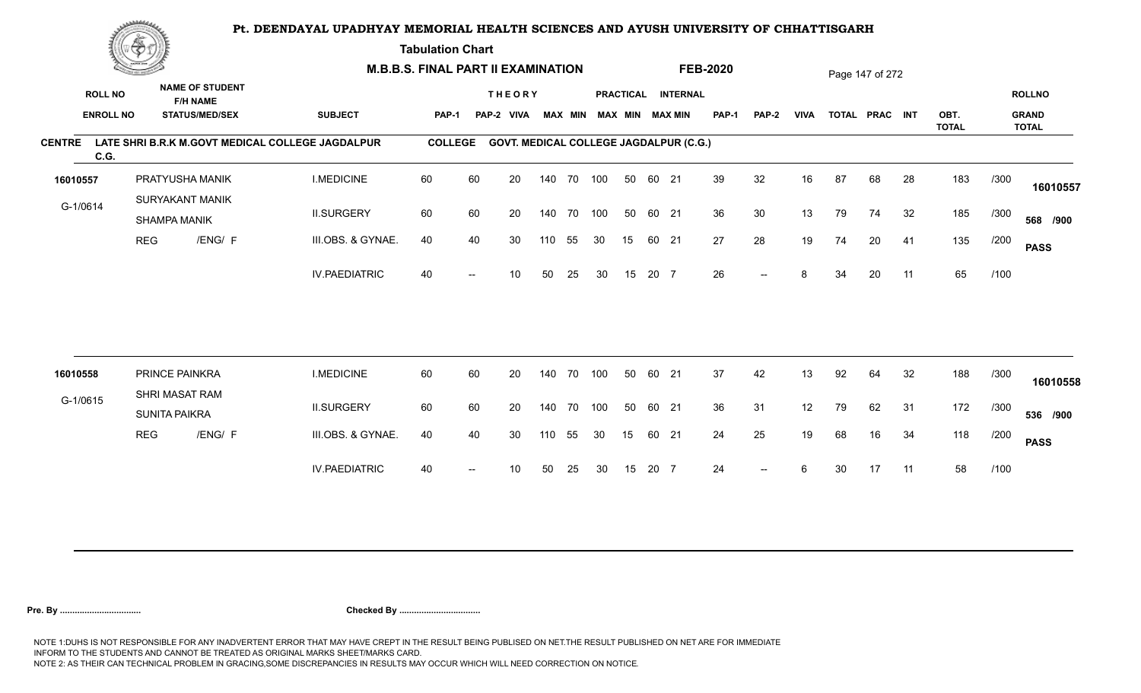**Tabulation Chart** 

|                                    | <b>Construction of the Construction</b> |                                        |                                                                    | <b>M.B.B.S. FINAL PART II EXAMINATION</b>        |                |    |                                               |        |                |     |    |       |                                              | <b>FEB-2020</b> |       |             |    | Page 147 of 272 |    |              |      |                               |
|------------------------------------|-----------------------------------------|----------------------------------------|--------------------------------------------------------------------|--------------------------------------------------|----------------|----|-----------------------------------------------|--------|----------------|-----|----|-------|----------------------------------------------|-----------------|-------|-------------|----|-----------------|----|--------------|------|-------------------------------|
| <b>ROLL NO</b><br><b>ENROLL NO</b> |                                         |                                        | <b>NAME OF STUDENT</b><br><b>F/H NAME</b><br><b>STATUS/MED/SEX</b> | <b>SUBJECT</b>                                   | <b>PAP-1</b>   |    | <b>THEORY</b><br>PAP-2 VIVA                   |        | <b>MAX MIN</b> |     |    |       | PRACTICAL INTERNAL<br><b>MAX MIN MAX MIN</b> | <b>PAP-1</b>    | PAP-2 | <b>VIVA</b> |    | TOTAL PRAC INT  |    | OBT.         |      | <b>ROLLNO</b><br><b>GRAND</b> |
|                                    |                                         |                                        |                                                                    |                                                  |                |    |                                               |        |                |     |    |       |                                              |                 |       |             |    |                 |    | <b>TOTAL</b> |      | <b>TOTAL</b>                  |
| <b>CENTRE</b><br>C.G.              |                                         |                                        |                                                                    | LATE SHRI B.R.K M.GOVT MEDICAL COLLEGE JAGDALPUR | <b>COLLEGE</b> |    | <b>GOVT. MEDICAL COLLEGE JAGDALPUR (C.G.)</b> |        |                |     |    |       |                                              |                 |       |             |    |                 |    |              |      |                               |
| 16010557                           |                                         |                                        | PRATYUSHA MANIK                                                    | <b>I.MEDICINE</b>                                | 60             | 60 | 20                                            |        | 140 70 100     |     | 50 | 60 21 |                                              | 39              | 32    | 16          | 87 | 68              | 28 | 183          | /300 | 16010557                      |
| G-1/0614                           |                                         | SHAMPA MANIK                           | SURYAKANT MANIK                                                    | <b>II.SURGERY</b>                                | 60             | 60 | 20                                            |        | 140 70         | 100 | 50 | 60 21 |                                              | 36              | 30    | 13          | 79 | 74              | 32 | 185          | /300 | 568 /900                      |
|                                    | <b>REG</b>                              |                                        | /ENG/ F                                                            | III.OBS. & GYNAE.                                | 40             | 40 | 30                                            | 110    | 55             | 30  | 15 | 60 21 |                                              | 27              | 28    | 19          | 74 | 20              | 41 | 135          | /200 | <b>PASS</b>                   |
|                                    |                                         |                                        |                                                                    | <b>IV.PAEDIATRIC</b>                             | 40             |    | 10                                            | 50     | 25             | 30  | 15 | 20 7  |                                              | 26              | $-$   | 8           | 34 | 20              | 11 | 65           | /100 |                               |
|                                    |                                         |                                        |                                                                    |                                                  |                |    |                                               |        |                |     |    |       |                                              |                 |       |             |    |                 |    |              |      |                               |
| 16010558                           |                                         | PRINCE PAINKRA                         |                                                                    | <b>I.MEDICINE</b>                                | 60             | 60 | 20                                            | 140    | 70             | 100 | 50 | 60 21 |                                              | 37              | 42    | 13          | 92 | 64              | 32 | 188          | /300 | 16010558                      |
| G-1/0615                           |                                         | SHRI MASAT RAM<br><b>SUNITA PAIKRA</b> |                                                                    | <b>II.SURGERY</b>                                | 60             | 60 | 20                                            | 140 70 |                | 100 | 50 | 60 21 |                                              | 36              | 31    | 12          | 79 | 62              | 31 | 172          | /300 | 536 /900                      |
|                                    | <b>REG</b>                              |                                        | /ENG/ F                                                            | III.OBS. & GYNAE.                                | 40             | 40 | 30                                            | 110    | 55             | 30  | 15 | 60 21 |                                              | 24              | 25    | 19          | 68 | 16              | 34 | 118          | /200 | <b>PASS</b>                   |
|                                    |                                         |                                        |                                                                    | <b>IV.PAEDIATRIC</b>                             | 40             |    | 10                                            | 50     | 25             | 30  | 15 | 20 7  |                                              | 24              | $--$  | 6           | 30 | 17              | 11 | 58           | /100 |                               |
|                                    |                                         |                                        |                                                                    |                                                  |                |    |                                               |        |                |     |    |       |                                              |                 |       |             |    |                 |    |              |      |                               |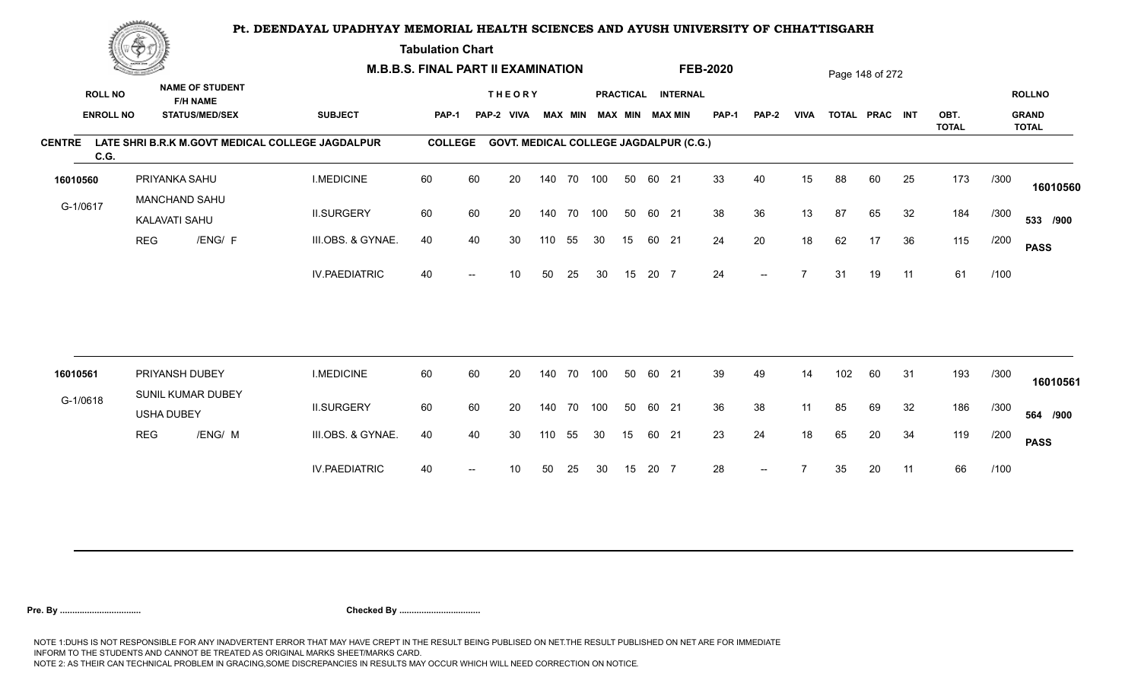**Tabulation Chart** 

|               | <b>Construction of the Asset</b> |                                       |                                           | <b>M.B.B.S. FINAL PART II EXAMINATION</b>        |                |    |                                               |     |                |     |    |       |                    | <b>FEB-2020</b> |       |                |     | Page 148 of 272 |    |                      |      |                              |
|---------------|----------------------------------|---------------------------------------|-------------------------------------------|--------------------------------------------------|----------------|----|-----------------------------------------------|-----|----------------|-----|----|-------|--------------------|-----------------|-------|----------------|-----|-----------------|----|----------------------|------|------------------------------|
|               | <b>ROLL NO</b>                   |                                       | <b>NAME OF STUDENT</b><br><b>F/H NAME</b> |                                                  |                |    | <b>THEORY</b>                                 |     |                |     |    |       | PRACTICAL INTERNAL |                 |       |                |     |                 |    |                      |      | <b>ROLLNO</b>                |
|               | <b>ENROLL NO</b>                 |                                       | <b>STATUS/MED/SEX</b>                     | <b>SUBJECT</b>                                   | <b>PAP-1</b>   |    | PAP-2 VIVA                                    |     | <b>MAX MIN</b> |     |    |       | MAX MIN MAX MIN    | <b>PAP-1</b>    | PAP-2 | <b>VIVA</b>    |     | TOTAL PRAC INT  |    | OBT.<br><b>TOTAL</b> |      | <b>GRAND</b><br><b>TOTAL</b> |
| <b>CENTRE</b> | C.G.                             |                                       |                                           | LATE SHRI B.R.K M.GOVT MEDICAL COLLEGE JAGDALPUR | <b>COLLEGE</b> |    | <b>GOVT. MEDICAL COLLEGE JAGDALPUR (C.G.)</b> |     |                |     |    |       |                    |                 |       |                |     |                 |    |                      |      |                              |
| 16010560      |                                  | PRIYANKA SAHU                         |                                           | <b>I.MEDICINE</b>                                | 60             | 60 | 20                                            |     | 140 70 100     |     | 50 | 60 21 |                    | 33              | 40    | 15             | 88  | 60              | 25 | 173                  | /300 | 16010560                     |
| G-1/0617      |                                  | <b>MANCHAND SAHU</b><br>KALAVATI SAHU |                                           | <b>II.SURGERY</b>                                | 60             | 60 | 20                                            |     | 140 70 100     |     | 50 | 60 21 |                    | 38              | 36    | 13             | 87  | 65              | 32 | 184                  | /300 | 533 /900                     |
|               |                                  | <b>REG</b>                            | /ENG/ F                                   | III.OBS. & GYNAE.                                | 40             | 40 | 30                                            | 110 | 55             | 30  | 15 |       | 60 21              | 24              | 20    | 18             | 62  | 17              | 36 | 115                  | /200 | <b>PASS</b>                  |
|               |                                  |                                       |                                           | <b>IV.PAEDIATRIC</b>                             | 40             |    | 10                                            | 50  | 25             | 30  | 15 | 20 7  |                    | 24              | $- -$ | $\overline{ }$ | 31  | 19              | 11 | 61                   | /100 |                              |
|               |                                  |                                       |                                           |                                                  |                |    |                                               |     |                |     |    |       |                    |                 |       |                |     |                 |    |                      |      |                              |
| 16010561      |                                  | PRIYANSH DUBEY                        |                                           | <b>I.MEDICINE</b>                                | 60             | 60 | 20                                            |     | 140 70         | 100 | 50 | 60 21 |                    | 39              | 49    | 14             | 102 | 60              | 31 | 193                  | /300 | 16010561                     |
| G-1/0618      |                                  | <b>USHA DUBEY</b>                     | SUNIL KUMAR DUBEY                         | <b>II.SURGERY</b>                                | 60             | 60 | 20                                            |     | 140 70 100     |     | 50 | 60 21 |                    | 36              | 38    | 11             | 85  | 69              | 32 | 186                  | /300 | 564 /900                     |
|               |                                  | <b>REG</b>                            | /ENG/ M                                   | III.OBS. & GYNAE.                                | 40             | 40 | 30                                            | 110 | 55             | 30  | 15 | 60 21 |                    | 23              | 24    | 18             | 65  | 20              | 34 | 119                  | /200 | <b>PASS</b>                  |
|               |                                  |                                       |                                           | <b>IV.PAEDIATRIC</b>                             | 40             |    | 10                                            | 50  | 25             | 30  | 15 | 20 7  |                    | 28              | $--$  |                | 35  | 20              | 11 | 66                   | /100 |                              |
|               |                                  |                                       |                                           |                                                  |                |    |                                               |     |                |     |    |       |                    |                 |       |                |     |                 |    |                      |      |                              |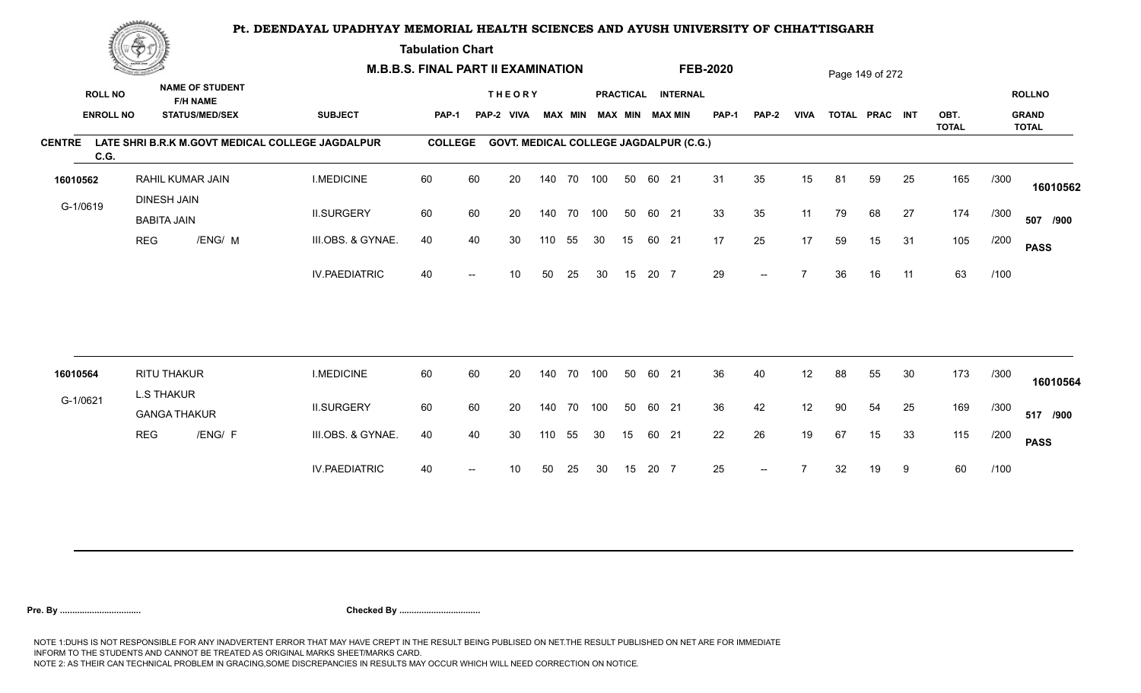**Tabulation Chart** 

|               | <b>Construction of the Asset</b> |                                          |                                           |                                                  | <b>M.B.B.S. FINAL PART II EXAMINATION</b> |    |                                               |     |                |     |    |       |                        | <b>FEB-2020</b> |       |             |    | Page 149 of 272 |    |                      |      |                              |
|---------------|----------------------------------|------------------------------------------|-------------------------------------------|--------------------------------------------------|-------------------------------------------|----|-----------------------------------------------|-----|----------------|-----|----|-------|------------------------|-----------------|-------|-------------|----|-----------------|----|----------------------|------|------------------------------|
|               | <b>ROLL NO</b>                   |                                          | <b>NAME OF STUDENT</b><br><b>F/H NAME</b> |                                                  |                                           |    | <b>THEORY</b>                                 |     |                |     |    |       | PRACTICAL INTERNAL     |                 |       |             |    |                 |    |                      |      | <b>ROLLNO</b>                |
|               | <b>ENROLL NO</b>                 |                                          | <b>STATUS/MED/SEX</b>                     | <b>SUBJECT</b>                                   | <b>PAP-1</b>                              |    | PAP-2 VIVA                                    |     | <b>MAX MIN</b> |     |    |       | <b>MAX MIN MAX MIN</b> | <b>PAP-1</b>    | PAP-2 | <b>VIVA</b> |    | TOTAL PRAC INT  |    | OBT.<br><b>TOTAL</b> |      | <b>GRAND</b><br><b>TOTAL</b> |
| <b>CENTRE</b> | C.G.                             |                                          |                                           | LATE SHRI B.R.K M.GOVT MEDICAL COLLEGE JAGDALPUR | <b>COLLEGE</b>                            |    | <b>GOVT. MEDICAL COLLEGE JAGDALPUR (C.G.)</b> |     |                |     |    |       |                        |                 |       |             |    |                 |    |                      |      |                              |
| 16010562      |                                  |                                          | RAHIL KUMAR JAIN                          | <b>I.MEDICINE</b>                                | 60                                        | 60 | 20                                            |     | 140 70 100     |     | 50 | 60 21 |                        | 31              | 35    | 15          | 81 | 59              | 25 | 165                  | /300 | 16010562                     |
| G-1/0619      |                                  | <b>DINESH JAIN</b><br><b>BABITA JAIN</b> |                                           | <b>II.SURGERY</b>                                | 60                                        | 60 | 20                                            |     | 140 70 100     |     | 50 | 60 21 |                        | 33              | 35    | 11          | 79 | 68              | 27 | 174                  | /300 | 507 /900                     |
|               |                                  | <b>REG</b>                               | /ENG/ M                                   | III.OBS. & GYNAE.                                | 40                                        | 40 | 30                                            | 110 | 55             | 30  | 15 | 60 21 |                        | 17              | 25    | 17          | 59 | 15              | 31 | 105                  | /200 | <b>PASS</b>                  |
|               |                                  |                                          |                                           | <b>IV.PAEDIATRIC</b>                             | 40                                        |    | 10                                            | 50  | 25             | 30  | 15 | 20 7  |                        | 29              | $-$   |             | 36 | 16              | 11 | 63                   | /100 |                              |
|               |                                  |                                          |                                           |                                                  |                                           |    |                                               |     |                |     |    |       |                        |                 |       |             |    |                 |    |                      |      |                              |
| 16010564      |                                  | RITU THAKUR                              |                                           | <b>I.MEDICINE</b>                                | 60                                        | 60 | 20                                            | 140 | 70             | 100 | 50 | 60 21 |                        | 36              | 40    | 12          | 88 | 55              | 30 | 173                  | /300 | 16010564                     |
| G-1/0621      |                                  | <b>L.S THAKUR</b><br><b>GANGA THAKUR</b> |                                           | <b>II.SURGERY</b>                                | 60                                        | 60 | 20                                            |     | 140 70         | 100 | 50 | 60 21 |                        | 36              | 42    | 12          | 90 | 54              | 25 | 169                  | /300 | 517 /900                     |
|               |                                  | <b>REG</b>                               | /ENG/ F                                   | III.OBS. & GYNAE.                                | 40                                        | 40 | 30                                            | 110 | 55             | 30  | 15 | 60 21 |                        | 22              | 26    | 19          | 67 | 15              | 33 | 115                  | /200 | <b>PASS</b>                  |
|               |                                  |                                          |                                           | <b>IV.PAEDIATRIC</b>                             | 40                                        |    | 10                                            | 50  | 25             | 30  | 15 | 20 7  |                        | 25              | $- -$ |             | 32 | 19              | 9  | 60                   | /100 |                              |
|               |                                  |                                          |                                           |                                                  |                                           |    |                                               |     |                |     |    |       |                        |                 |       |             |    |                 |    |                      |      |                              |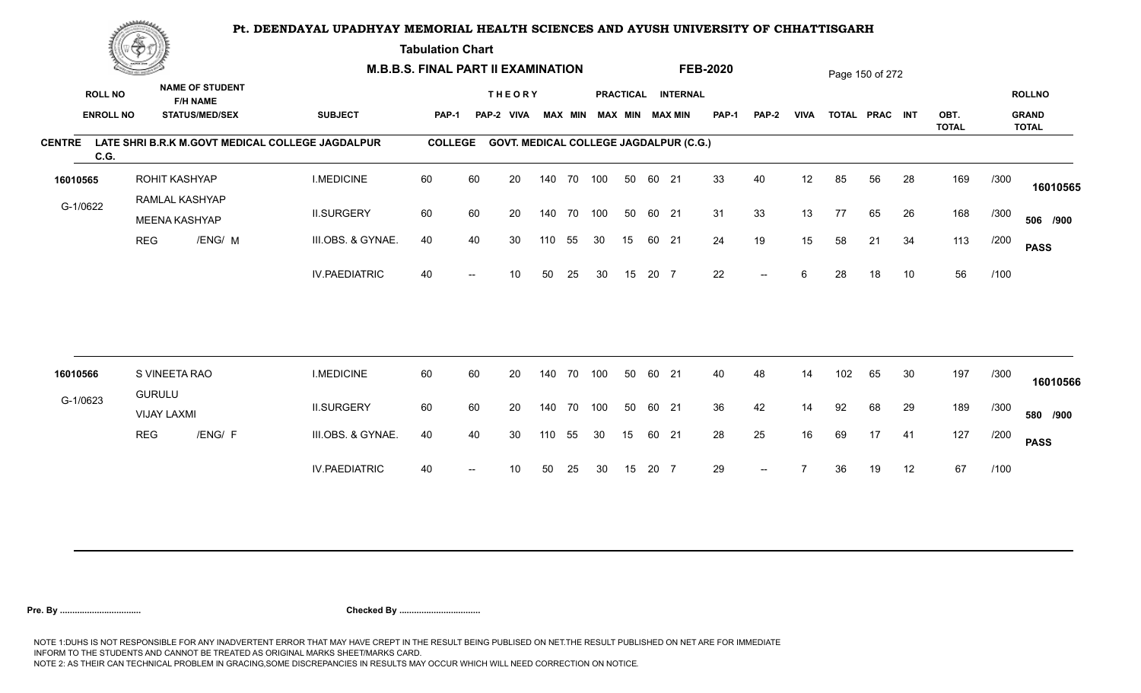**Tabulation Chart** 

|                                    | <b>Construction of the Construction</b> |                                     |                                                                    | <b>M.B.B.S. FINAL PART II EXAMINATION</b>        |                |    |                                               |        |                |     |    |       |                                              | <b>FEB-2020</b> |       |             |     | Page 150 of 272 |    |              |      |                               |
|------------------------------------|-----------------------------------------|-------------------------------------|--------------------------------------------------------------------|--------------------------------------------------|----------------|----|-----------------------------------------------|--------|----------------|-----|----|-------|----------------------------------------------|-----------------|-------|-------------|-----|-----------------|----|--------------|------|-------------------------------|
| <b>ROLL NO</b><br><b>ENROLL NO</b> |                                         |                                     | <b>NAME OF STUDENT</b><br><b>F/H NAME</b><br><b>STATUS/MED/SEX</b> | <b>SUBJECT</b>                                   | <b>PAP-1</b>   |    | <b>THEORY</b><br>PAP-2 VIVA                   |        | <b>MAX MIN</b> |     |    |       | PRACTICAL INTERNAL<br><b>MAX MIN MAX MIN</b> | <b>PAP-1</b>    | PAP-2 | <b>VIVA</b> |     | TOTAL PRAC INT  |    | OBT.         |      | <b>ROLLNO</b><br><b>GRAND</b> |
| <b>CENTRE</b><br>C.G.              |                                         |                                     |                                                                    | LATE SHRI B.R.K M.GOVT MEDICAL COLLEGE JAGDALPUR | <b>COLLEGE</b> |    | <b>GOVT. MEDICAL COLLEGE JAGDALPUR (C.G.)</b> |        |                |     |    |       |                                              |                 |       |             |     |                 |    | <b>TOTAL</b> |      | <b>TOTAL</b>                  |
| 16010565                           |                                         | ROHIT KASHYAP                       |                                                                    | <b>I.MEDICINE</b>                                | 60             | 60 | 20                                            |        | 140 70 100     |     | 50 | 60 21 |                                              | 33              | 40    | 12          | 85  | 56              | 28 | 169          | /300 | 16010565                      |
| G-1/0622                           |                                         | RAMLAL KASHYAP<br>MEENA KASHYAP     |                                                                    | <b>II.SURGERY</b>                                | 60             | 60 | 20                                            |        | 140 70         | 100 | 50 | 60 21 |                                              | 31              | 33    | 13          | 77  | 65              | 26 | 168          | /300 | 506 /900                      |
|                                    | <b>REG</b>                              |                                     | /ENG/ M                                                            | III.OBS. & GYNAE.                                | 40             | 40 | 30                                            | 110    | 55             | 30  | 15 | 60 21 |                                              | 24              | 19    | 15          | 58  | 21              | 34 | 113          | /200 | <b>PASS</b>                   |
|                                    |                                         |                                     |                                                                    | <b>IV.PAEDIATRIC</b>                             | 40             |    | 10                                            | 50     | 25             | 30  | 15 | 20 7  |                                              | 22              | $-$   | 6           | 28  | 18              | 10 | 56           | /100 |                               |
|                                    |                                         |                                     |                                                                    |                                                  |                |    |                                               |        |                |     |    |       |                                              |                 |       |             |     |                 |    |              |      |                               |
| 16010566                           |                                         | S VINEETA RAO                       |                                                                    | <b>I.MEDICINE</b>                                | 60             | 60 | 20                                            | 140    | 70             | 100 | 50 | 60 21 |                                              | 40              | 48    | 14          | 102 | 65              | 30 | 197          | /300 | 16010566                      |
| G-1/0623                           |                                         | <b>GURULU</b><br><b>VIJAY LAXMI</b> |                                                                    | <b>II.SURGERY</b>                                | 60             | 60 | 20                                            | 140 70 |                | 100 | 50 | 60 21 |                                              | 36              | 42    | 14          | 92  | 68              | 29 | 189          | /300 | 580 /900                      |
|                                    | <b>REG</b>                              |                                     | /ENG/ F                                                            | III.OBS. & GYNAE.                                | 40             | 40 | 30                                            | 110    | 55             | 30  | 15 | 60 21 |                                              | 28              | 25    | 16          | 69  | 17              | 41 | 127          | /200 | <b>PASS</b>                   |
|                                    |                                         |                                     |                                                                    | <b>IV.PAEDIATRIC</b>                             | 40             |    | 10                                            | 50     | 25             | 30  | 15 | 20 7  |                                              | 29              |       |             | 36  | 19              | 12 | 67           | /100 |                               |
|                                    |                                         |                                     |                                                                    |                                                  |                |    |                                               |        |                |     |    |       |                                              |                 |       |             |     |                 |    |              |      |                               |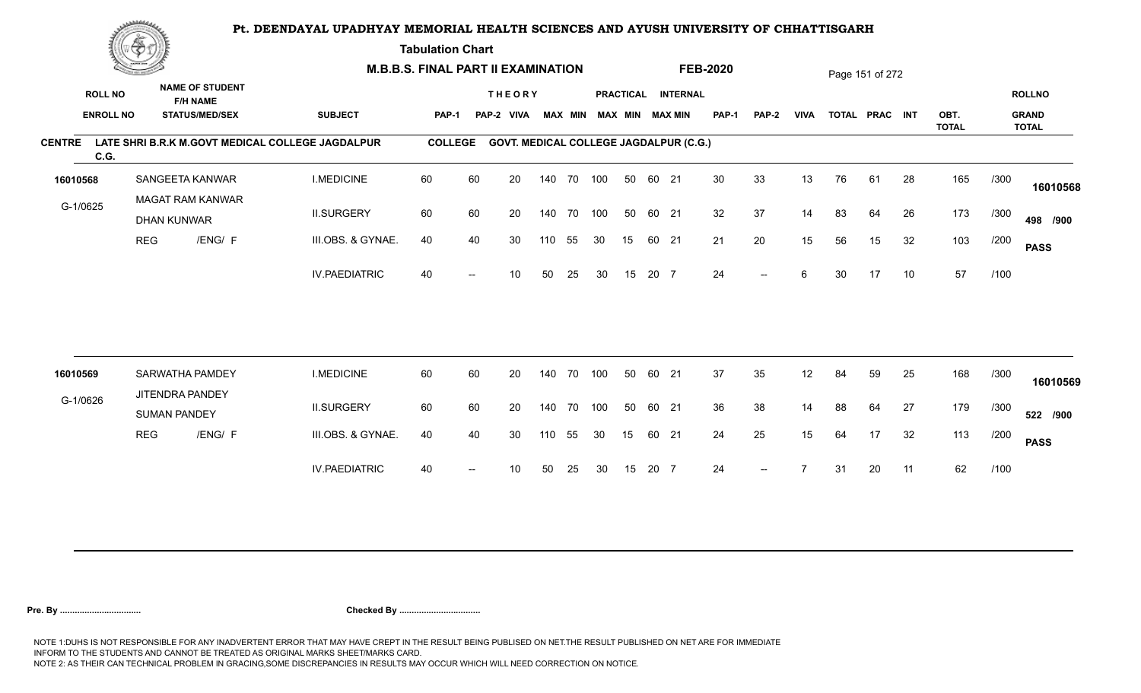**Tabulation Chart** 

|                       | <b>Construction of the Construction</b> |                                        |                         | <b>M.B.B.S. FINAL PART II EXAMINATION</b>        |                |    |                                               |        |                |     |    |       |                        | <b>FEB-2020</b> |       |             |    | Page 151 of 272 |    |                      |      |                              |
|-----------------------|-----------------------------------------|----------------------------------------|-------------------------|--------------------------------------------------|----------------|----|-----------------------------------------------|--------|----------------|-----|----|-------|------------------------|-----------------|-------|-------------|----|-----------------|----|----------------------|------|------------------------------|
| <b>ROLL NO</b>        |                                         | <b>F/H NAME</b>                        | <b>NAME OF STUDENT</b>  |                                                  |                |    | <b>THEORY</b>                                 |        |                |     |    |       | PRACTICAL INTERNAL     |                 |       |             |    |                 |    |                      |      | <b>ROLLNO</b>                |
| <b>ENROLL NO</b>      |                                         |                                        | <b>STATUS/MED/SEX</b>   | <b>SUBJECT</b>                                   | <b>PAP-1</b>   |    | PAP-2 VIVA                                    |        | <b>MAX MIN</b> |     |    |       | <b>MAX MIN MAX MIN</b> | <b>PAP-1</b>    | PAP-2 | <b>VIVA</b> |    | TOTAL PRAC INT  |    | OBT.<br><b>TOTAL</b> |      | <b>GRAND</b><br><b>TOTAL</b> |
| <b>CENTRE</b><br>C.G. |                                         |                                        |                         | LATE SHRI B.R.K M.GOVT MEDICAL COLLEGE JAGDALPUR | <b>COLLEGE</b> |    | <b>GOVT. MEDICAL COLLEGE JAGDALPUR (C.G.)</b> |        |                |     |    |       |                        |                 |       |             |    |                 |    |                      |      |                              |
| 16010568              |                                         | SANGEETA KANWAR                        |                         | <b>I.MEDICINE</b>                                | 60             | 60 | 20                                            |        | 140 70 100     |     | 50 | 60 21 |                        | 30              | 33    | 13          | 76 | 61              | 28 | 165                  | /300 | 16010568                     |
| G-1/0625              |                                         | <b>DHAN KUNWAR</b>                     | <b>MAGAT RAM KANWAR</b> | <b>II.SURGERY</b>                                | 60             | 60 | 20                                            |        | 140 70         | 100 | 50 | 60 21 |                        | 32              | 37    | 14          | 83 | 64              | 26 | 173                  | /300 | 498 /900                     |
|                       | <b>REG</b>                              |                                        | /ENG/ F                 | III.OBS. & GYNAE.                                | 40             | 40 | 30                                            | 110    | 55             | 30  | 15 | 60 21 |                        | 21              | 20    | 15          | 56 | 15              | 32 | 103                  | /200 | <b>PASS</b>                  |
|                       |                                         |                                        |                         | <b>IV.PAEDIATRIC</b>                             | 40             |    | 10                                            | 50     | 25             | 30  | 15 | 20 7  |                        | 24              | $-$   | 6           | 30 | 17              | 10 | 57                   | /100 |                              |
|                       |                                         |                                        |                         |                                                  |                |    |                                               |        |                |     |    |       |                        |                 |       |             |    |                 |    |                      |      |                              |
| 16010569              |                                         | SARWATHA PAMDEY                        |                         | <b>I.MEDICINE</b>                                | 60             | 60 | 20                                            | 140    | 70             | 100 | 50 | 60 21 |                        | 37              | 35    | 12          | 84 | 59              | 25 | 168                  | /300 | 16010569                     |
| G-1/0626              |                                         | JITENDRA PANDEY<br><b>SUMAN PANDEY</b> |                         | <b>II.SURGERY</b>                                | 60             | 60 | 20                                            | 140 70 |                | 100 | 50 | 60 21 |                        | 36              | 38    | 14          | 88 | 64              | 27 | 179                  | /300 | 522 /900                     |
|                       | <b>REG</b>                              |                                        | /ENG/ F                 | III.OBS. & GYNAE.                                | 40             | 40 | 30                                            | 110    | 55             | 30  | 15 | 60 21 |                        | 24              | 25    | 15          | 64 | 17              | 32 | 113                  | /200 | <b>PASS</b>                  |
|                       |                                         |                                        |                         | <b>IV.PAEDIATRIC</b>                             | 40             |    | 10                                            | 50     | 25             | 30  | 15 | 20 7  |                        | 24              | $--$  |             | 31 | 20              | 11 | 62                   | /100 |                              |
|                       |                                         |                                        |                         |                                                  |                |    |                                               |        |                |     |    |       |                        |                 |       |             |    |                 |    |                      |      |                              |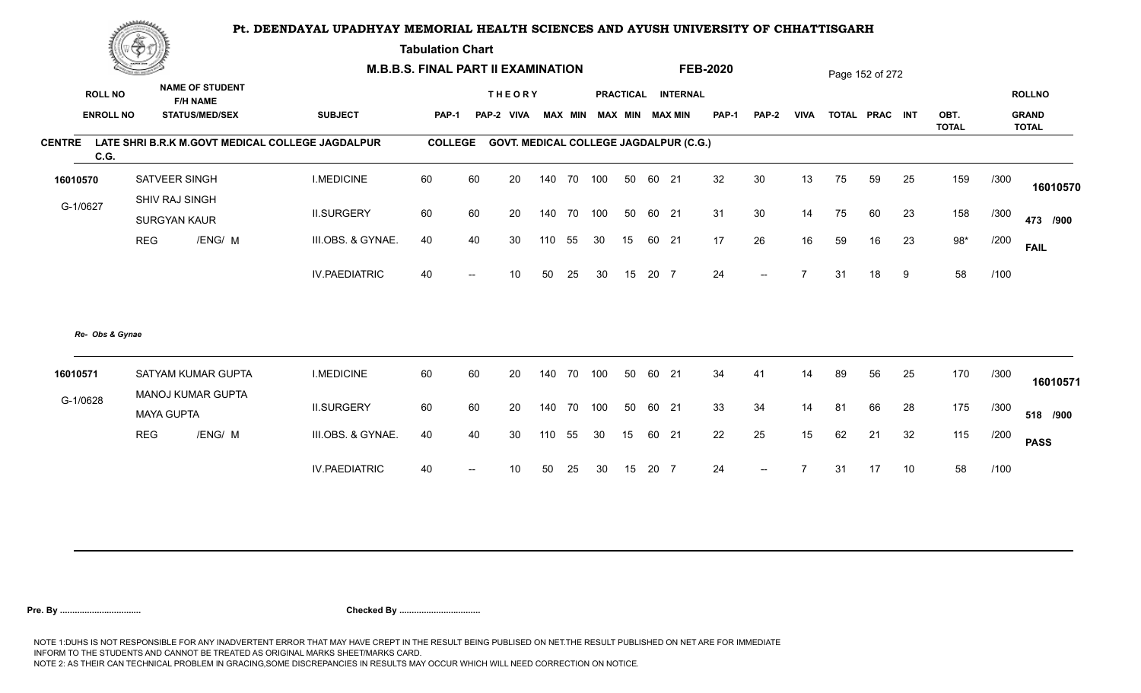**Tabulation Chart** 

| <b>NAME OF STUDENT</b><br><b>ROLL NO</b><br><b>THEORY</b><br>PRACTICAL INTERNAL<br><b>ROLLNO</b><br><b>F/H NAME</b><br><b>ENROLL NO</b><br><b>SUBJECT</b><br>MAX MIN MAX MIN<br><b>PAP-1</b><br><b>VIVA</b><br>OBT.<br><b>GRAND</b><br><b>STATUS/MED/SEX</b><br>PAP-2 VIVA<br><b>MAX MIN</b><br>TOTAL PRAC INT<br><b>PAP-1</b><br>PAP-2<br><b>TOTAL</b><br><b>TOTAL</b><br>LATE SHRI B.R.K M.GOVT MEDICAL COLLEGE JAGDALPUR<br><b>COLLEGE</b><br><b>GOVT. MEDICAL COLLEGE JAGDALPUR (C.G.)</b><br>C.G.<br>60<br>32<br>30<br>SATVEER SINGH<br><b>I.MEDICINE</b><br>60<br>20<br>140 70 100<br>60 21<br>13<br>75<br>59<br>25<br>159<br>/300<br>50<br>16010570<br>SHIV RAJ SINGH<br>G-1/0627<br><b>II.SURGERY</b><br>60<br>60<br>31<br>30<br>14<br>158<br>20<br>140 70<br>100<br>50<br>60 21<br>75<br>60<br>23<br>/300<br><b>SURGYAN KAUR</b><br>23<br>$98*$<br><b>REG</b><br>/ENG/ M<br>III.OBS. & GYNAE.<br>40<br>26<br>59<br>40<br>30<br>55<br>60 21<br>17<br>16<br>16<br>/200<br>110<br>30<br>15<br><b>FAIL</b><br>58<br><b>IV.PAEDIATRIC</b><br>20 7<br>24<br>18<br>/100<br>40<br>50<br>25<br>30<br>15<br>$\overline{ }$<br>31<br>10<br>9<br>$- -$<br>Re- Obs & Gynae<br>34<br><b>I.MEDICINE</b><br>60<br>60<br>20<br>140 70 100<br>50<br>60 21<br>89<br>56<br>25<br>170<br>/300<br>SATYAM KUMAR GUPTA<br>41<br>14<br>16010571<br>MANOJ KUMAR GUPTA<br>G-1/0628<br>33<br>175<br><b>II.SURGERY</b><br>60<br>60<br>20<br>140 70 100<br>50<br>60 21<br>34<br>14<br>66<br>28<br>/300<br>81<br><b>MAYA GUPTA</b><br><b>REG</b><br>/ENG/ M<br>III.OBS. & GYNAE.<br>22<br>25<br>32<br>115<br>40<br>40<br>30<br>15<br>62<br>110<br>55<br>30<br>15<br>60<br>21<br>21<br>/200 | <b>Construction of the Construction</b> | <b>M.B.B.S. FINAL PART II EXAMINATION</b> |  |  |  |  | <b>FEB-2020</b> |  | Page 152 of 272 |  |             |
|----------------------------------------------------------------------------------------------------------------------------------------------------------------------------------------------------------------------------------------------------------------------------------------------------------------------------------------------------------------------------------------------------------------------------------------------------------------------------------------------------------------------------------------------------------------------------------------------------------------------------------------------------------------------------------------------------------------------------------------------------------------------------------------------------------------------------------------------------------------------------------------------------------------------------------------------------------------------------------------------------------------------------------------------------------------------------------------------------------------------------------------------------------------------------------------------------------------------------------------------------------------------------------------------------------------------------------------------------------------------------------------------------------------------------------------------------------------------------------------------------------------------------------------------------------------------------------------------------------------------------------------------------------------------|-----------------------------------------|-------------------------------------------|--|--|--|--|-----------------|--|-----------------|--|-------------|
| <b>CENTRE</b>                                                                                                                                                                                                                                                                                                                                                                                                                                                                                                                                                                                                                                                                                                                                                                                                                                                                                                                                                                                                                                                                                                                                                                                                                                                                                                                                                                                                                                                                                                                                                                                                                                                        |                                         |                                           |  |  |  |  |                 |  |                 |  |             |
|                                                                                                                                                                                                                                                                                                                                                                                                                                                                                                                                                                                                                                                                                                                                                                                                                                                                                                                                                                                                                                                                                                                                                                                                                                                                                                                                                                                                                                                                                                                                                                                                                                                                      |                                         |                                           |  |  |  |  |                 |  |                 |  |             |
|                                                                                                                                                                                                                                                                                                                                                                                                                                                                                                                                                                                                                                                                                                                                                                                                                                                                                                                                                                                                                                                                                                                                                                                                                                                                                                                                                                                                                                                                                                                                                                                                                                                                      |                                         |                                           |  |  |  |  |                 |  |                 |  |             |
|                                                                                                                                                                                                                                                                                                                                                                                                                                                                                                                                                                                                                                                                                                                                                                                                                                                                                                                                                                                                                                                                                                                                                                                                                                                                                                                                                                                                                                                                                                                                                                                                                                                                      |                                         |                                           |  |  |  |  |                 |  |                 |  | 16010570    |
|                                                                                                                                                                                                                                                                                                                                                                                                                                                                                                                                                                                                                                                                                                                                                                                                                                                                                                                                                                                                                                                                                                                                                                                                                                                                                                                                                                                                                                                                                                                                                                                                                                                                      |                                         |                                           |  |  |  |  |                 |  |                 |  | 473 /900    |
|                                                                                                                                                                                                                                                                                                                                                                                                                                                                                                                                                                                                                                                                                                                                                                                                                                                                                                                                                                                                                                                                                                                                                                                                                                                                                                                                                                                                                                                                                                                                                                                                                                                                      |                                         |                                           |  |  |  |  |                 |  |                 |  |             |
|                                                                                                                                                                                                                                                                                                                                                                                                                                                                                                                                                                                                                                                                                                                                                                                                                                                                                                                                                                                                                                                                                                                                                                                                                                                                                                                                                                                                                                                                                                                                                                                                                                                                      |                                         |                                           |  |  |  |  |                 |  |                 |  |             |
|                                                                                                                                                                                                                                                                                                                                                                                                                                                                                                                                                                                                                                                                                                                                                                                                                                                                                                                                                                                                                                                                                                                                                                                                                                                                                                                                                                                                                                                                                                                                                                                                                                                                      |                                         |                                           |  |  |  |  |                 |  |                 |  |             |
|                                                                                                                                                                                                                                                                                                                                                                                                                                                                                                                                                                                                                                                                                                                                                                                                                                                                                                                                                                                                                                                                                                                                                                                                                                                                                                                                                                                                                                                                                                                                                                                                                                                                      |                                         |                                           |  |  |  |  |                 |  |                 |  | 16010571    |
|                                                                                                                                                                                                                                                                                                                                                                                                                                                                                                                                                                                                                                                                                                                                                                                                                                                                                                                                                                                                                                                                                                                                                                                                                                                                                                                                                                                                                                                                                                                                                                                                                                                                      |                                         |                                           |  |  |  |  |                 |  |                 |  | 518 /900    |
|                                                                                                                                                                                                                                                                                                                                                                                                                                                                                                                                                                                                                                                                                                                                                                                                                                                                                                                                                                                                                                                                                                                                                                                                                                                                                                                                                                                                                                                                                                                                                                                                                                                                      |                                         |                                           |  |  |  |  |                 |  |                 |  | <b>PASS</b> |
| 58<br><b>IV.PAEDIATRIC</b><br>24<br>40<br>20 7<br>17<br>10<br>/100<br>10<br>50<br>25<br>30<br>15<br>31<br>$--$                                                                                                                                                                                                                                                                                                                                                                                                                                                                                                                                                                                                                                                                                                                                                                                                                                                                                                                                                                                                                                                                                                                                                                                                                                                                                                                                                                                                                                                                                                                                                       |                                         |                                           |  |  |  |  |                 |  |                 |  |             |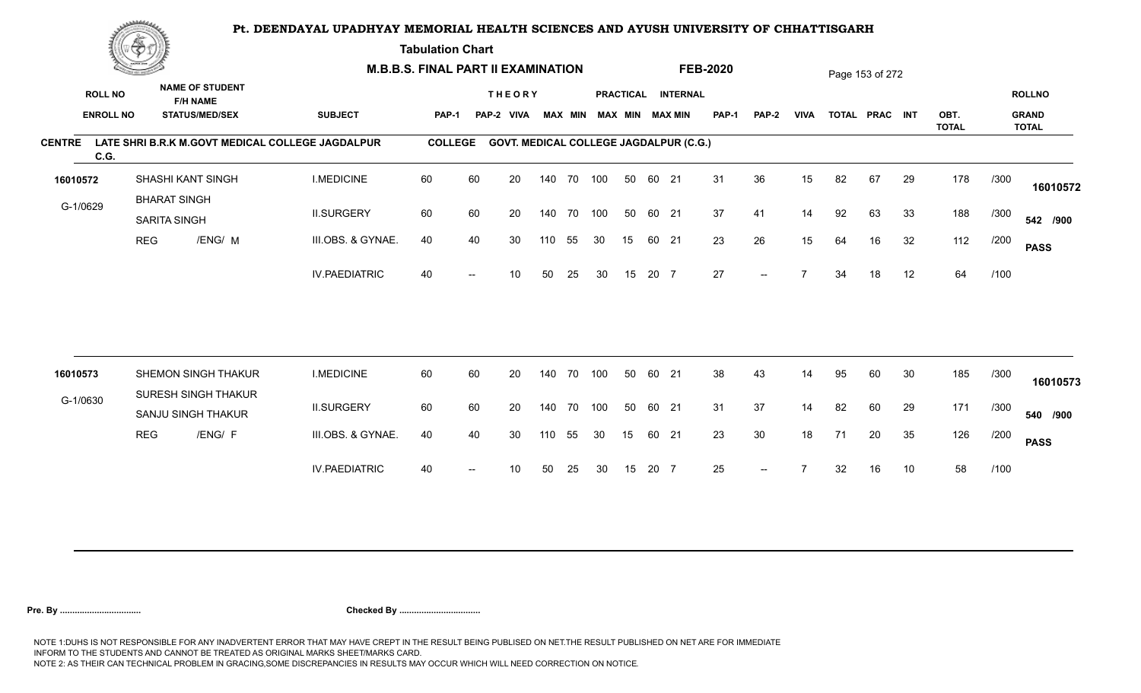**Tabulation Chart** 

|                       | <b>Construction of the Construction</b> |                                     |                                           | <b>M.B.B.S. FINAL PART II EXAMINATION</b>        |                |    |                                               |        |                |     |    |       |                        | <b>FEB-2020</b> |       |             |    | Page 153 of 272 |    |                      |      |                              |
|-----------------------|-----------------------------------------|-------------------------------------|-------------------------------------------|--------------------------------------------------|----------------|----|-----------------------------------------------|--------|----------------|-----|----|-------|------------------------|-----------------|-------|-------------|----|-----------------|----|----------------------|------|------------------------------|
| <b>ROLL NO</b>        |                                         |                                     | <b>NAME OF STUDENT</b><br><b>F/H NAME</b> |                                                  |                |    | <b>THEORY</b>                                 |        |                |     |    |       | PRACTICAL INTERNAL     |                 |       |             |    |                 |    |                      |      | <b>ROLLNO</b>                |
|                       | <b>ENROLL NO</b>                        |                                     | <b>STATUS/MED/SEX</b>                     | <b>SUBJECT</b>                                   | <b>PAP-1</b>   |    | PAP-2 VIVA                                    |        | <b>MAX MIN</b> |     |    |       | <b>MAX MIN MAX MIN</b> | <b>PAP-1</b>    | PAP-2 | <b>VIVA</b> |    | TOTAL PRAC INT  |    | OBT.<br><b>TOTAL</b> |      | <b>GRAND</b><br><b>TOTAL</b> |
| <b>CENTRE</b><br>C.G. |                                         |                                     |                                           | LATE SHRI B.R.K M.GOVT MEDICAL COLLEGE JAGDALPUR | <b>COLLEGE</b> |    | <b>GOVT. MEDICAL COLLEGE JAGDALPUR (C.G.)</b> |        |                |     |    |       |                        |                 |       |             |    |                 |    |                      |      |                              |
| 16010572              |                                         |                                     | SHASHI KANT SINGH                         | <b>I.MEDICINE</b>                                | 60             | 60 | 20                                            |        | 140 70         | 100 | 50 | 60 21 |                        | 31              | 36    | 15          | 82 | 67              | 29 | 178                  | /300 | 16010572                     |
| G-1/0629              |                                         | <b>BHARAT SINGH</b><br>SARITA SINGH |                                           | <b>II.SURGERY</b>                                | 60             | 60 | 20                                            |        | 140 70         | 100 | 50 | 60 21 |                        | 37              | 41    | 14          | 92 | 63              | 33 | 188                  | /300 | 542 /900                     |
|                       | <b>REG</b>                              |                                     | /ENG/ M                                   | III.OBS. & GYNAE.                                | 40             | 40 | 30                                            | 110    | 55             | 30  | 15 | 60 21 |                        | 23              | 26    | 15          | 64 | 16              | 32 | 112                  | /200 | <b>PASS</b>                  |
|                       |                                         |                                     |                                           | <b>IV.PAEDIATRIC</b>                             | 40             |    | 10                                            | 50     | 25             | 30  | 15 | 20 7  |                        | 27              |       |             | 34 | 18              | 12 | 64                   | /100 |                              |
| 16010573              |                                         |                                     | SHEMON SINGH THAKUR                       | <b>I.MEDICINE</b>                                | 60             | 60 | 20                                            | 140    | 70             | 100 | 50 | 60 21 |                        | 38              | 43    | 14          | 95 | 60              | 30 | 185                  | /300 |                              |
|                       |                                         |                                     | <b>SURESH SINGH THAKUR</b>                |                                                  |                |    |                                               |        |                |     |    |       |                        |                 |       |             |    |                 |    |                      |      | 16010573                     |
| G-1/0630              |                                         |                                     | SANJU SINGH THAKUR                        | <b>II.SURGERY</b>                                | 60             | 60 | 20                                            | 140 70 |                | 100 | 50 | 60 21 |                        | 31              | 37    | 14          | 82 | 60              | 29 | 171                  | /300 | 540 /900                     |
|                       | <b>REG</b>                              |                                     | /ENG/ F                                   | III.OBS. & GYNAE.                                | 40             | 40 | 30                                            | 110    | 55             | 30  | 15 | 60 21 |                        | 23              | 30    | 18          | 71 | 20              | 35 | 126                  | /200 | <b>PASS</b>                  |
|                       |                                         |                                     |                                           | <b>IV.PAEDIATRIC</b>                             | 40             |    | 10                                            | 50     | 25             | 30  | 15 | 20 7  |                        | 25              |       |             | 32 | 16              | 10 | 58                   | /100 |                              |
|                       |                                         |                                     |                                           |                                                  |                |    |                                               |        |                |     |    |       |                        |                 |       |             |    |                 |    |                      |      |                              |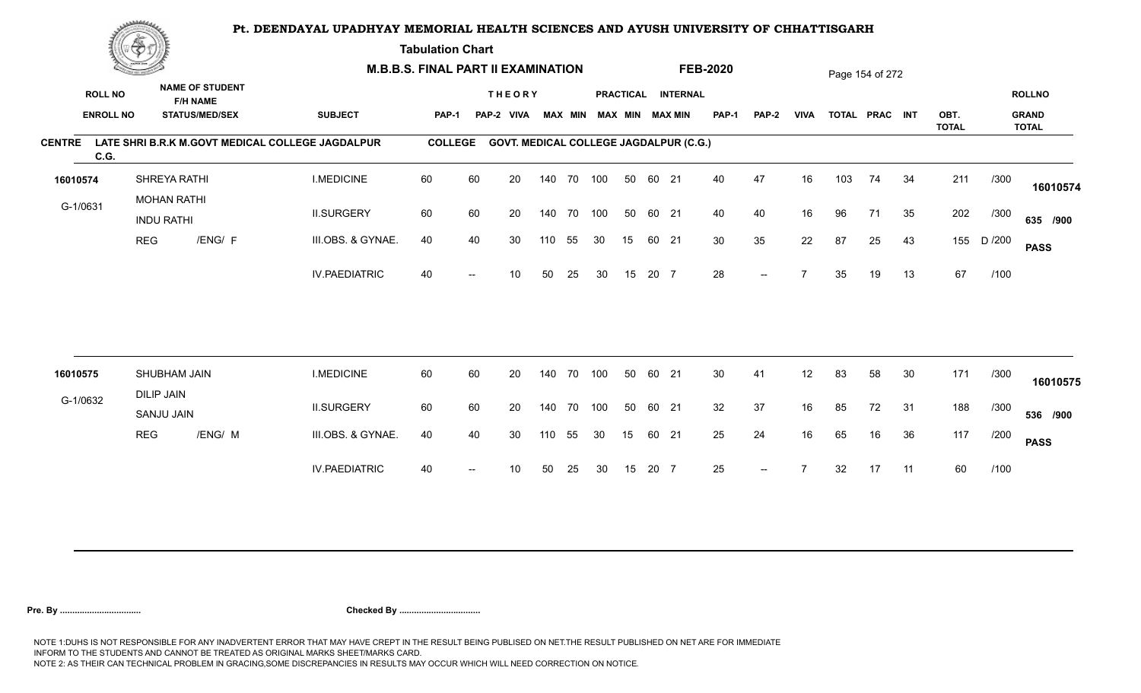**Tabulation Chart** 

|               | <b>Construction of the Construction</b> |                                         |                                           | <b>M.B.B.S. FINAL PART II EXAMINATION</b>        |                |    |                                               |     |                |     |    |       |                        | <b>FEB-2020</b> |       |             |     | Page 154 of 272 |    |                      |        |                              |
|---------------|-----------------------------------------|-----------------------------------------|-------------------------------------------|--------------------------------------------------|----------------|----|-----------------------------------------------|-----|----------------|-----|----|-------|------------------------|-----------------|-------|-------------|-----|-----------------|----|----------------------|--------|------------------------------|
|               | <b>ROLL NO</b>                          |                                         | <b>NAME OF STUDENT</b><br><b>F/H NAME</b> |                                                  |                |    | <b>THEORY</b>                                 |     |                |     |    |       | PRACTICAL INTERNAL     |                 |       |             |     |                 |    |                      |        | <b>ROLLNO</b>                |
|               | <b>ENROLL NO</b>                        |                                         | <b>STATUS/MED/SEX</b>                     | <b>SUBJECT</b>                                   | <b>PAP-1</b>   |    | PAP-2 VIVA                                    |     | <b>MAX MIN</b> |     |    |       | <b>MAX MIN MAX MIN</b> | <b>PAP-1</b>    | PAP-2 | <b>VIVA</b> |     | TOTAL PRAC INT  |    | OBT.<br><b>TOTAL</b> |        | <b>GRAND</b><br><b>TOTAL</b> |
| <b>CENTRE</b> | C.G.                                    |                                         |                                           | LATE SHRI B.R.K M.GOVT MEDICAL COLLEGE JAGDALPUR | <b>COLLEGE</b> |    | <b>GOVT. MEDICAL COLLEGE JAGDALPUR (C.G.)</b> |     |                |     |    |       |                        |                 |       |             |     |                 |    |                      |        |                              |
| 16010574      |                                         | SHREYA RATHI                            |                                           | <b>I.MEDICINE</b>                                | 60             | 60 | 20                                            |     | 140 70 100     |     | 50 | 60 21 |                        | 40              | 47    | 16          | 103 | 74              | 34 | 211                  | /300   | 16010574                     |
| G-1/0631      |                                         | <b>MOHAN RATHI</b><br><b>INDU RATHI</b> |                                           | <b>II.SURGERY</b>                                | 60             | 60 | 20                                            |     | 140 70 100     |     | 50 | 60 21 |                        | 40              | 40    | 16          | 96  | 71              | 35 | 202                  | /300   | 635 /900                     |
|               | <b>REG</b>                              |                                         | /ENG/ F                                   | III.OBS. & GYNAE.                                | 40             | 40 | 30                                            | 110 | 55             | 30  | 15 | 60 21 |                        | 30              | 35    | 22          | 87  | 25              | 43 | 155                  | D /200 | <b>PASS</b>                  |
|               |                                         |                                         |                                           | <b>IV.PAEDIATRIC</b>                             | 40             |    | 10                                            | 50  | 25             | 30  | 15 | 20 7  |                        | 28              | $-$   |             | 35  | 19              | 13 | 67                   | /100   |                              |
|               |                                         |                                         |                                           |                                                  |                |    |                                               |     |                |     |    |       |                        |                 |       |             |     |                 |    |                      |        |                              |
| 16010575      |                                         | SHUBHAM JAIN                            |                                           | <b>I.MEDICINE</b>                                | 60             | 60 | 20                                            | 140 | 70             | 100 | 50 | 60 21 |                        | 30 <sup>°</sup> | 41    | 12          | 83  | 58              | 30 | 171                  | /300   | 16010575                     |
| G-1/0632      |                                         | <b>DILIP JAIN</b><br>SANJU JAIN         |                                           | <b>II.SURGERY</b>                                | 60             | 60 | 20                                            | 140 | 70             | 100 | 50 | 60 21 |                        | 32              | 37    | 16          | 85  | 72              | 31 | 188                  | /300   | 536 /900                     |
|               | <b>REG</b>                              |                                         | /ENG/ M                                   | III.OBS. & GYNAE.                                | 40             | 40 | 30                                            | 110 | 55             | 30  | 15 | 60 21 |                        | 25              | 24    | 16          | 65  | 16              | 36 | 117                  | /200   | <b>PASS</b>                  |
|               |                                         |                                         |                                           | <b>IV.PAEDIATRIC</b>                             | 40             |    | 10                                            | 50  | 25             | 30  | 15 | 20 7  |                        | 25              | $--$  |             | 32  | 17              | 11 | 60                   | /100   |                              |
|               |                                         |                                         |                                           |                                                  |                |    |                                               |     |                |     |    |       |                        |                 |       |             |     |                 |    |                      |        |                              |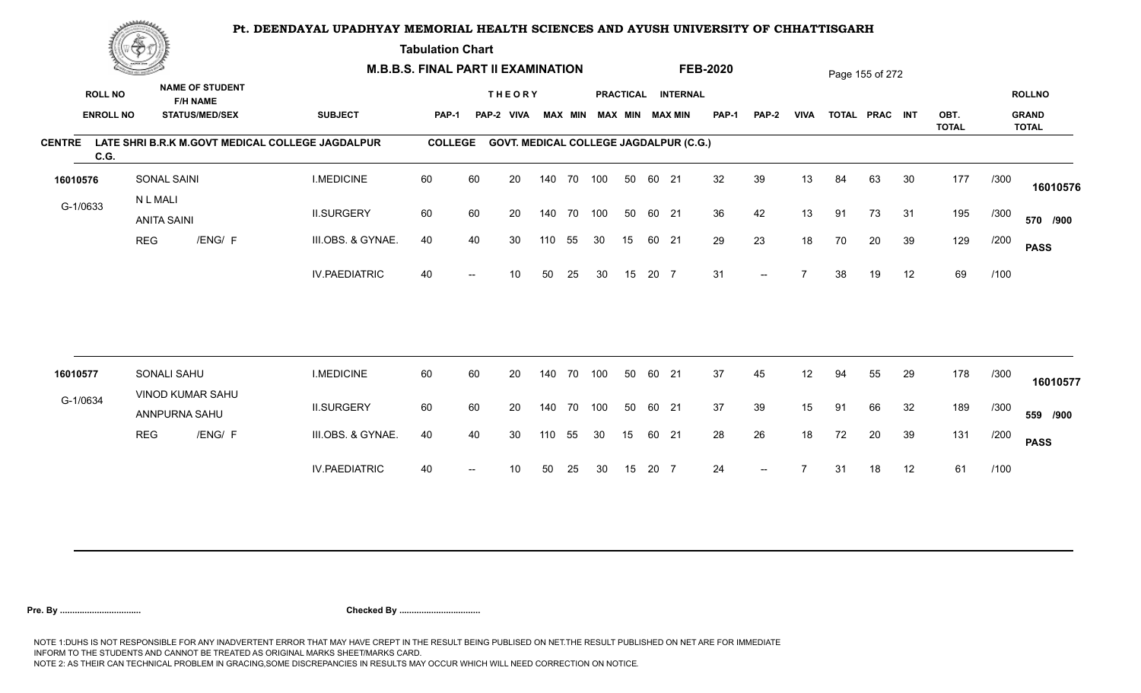**Tabulation Chart** 

|                       | <b>Construction of the Construction</b> |                                |                                           | <b>M.B.B.S. FINAL PART II EXAMINATION</b>        |                |                          |                                               |        |        |                         |    |       |                    | <b>FEB-2020</b> |                          |             |    | Page 155 of 272 |    |                      |      |                              |
|-----------------------|-----------------------------------------|--------------------------------|-------------------------------------------|--------------------------------------------------|----------------|--------------------------|-----------------------------------------------|--------|--------|-------------------------|----|-------|--------------------|-----------------|--------------------------|-------------|----|-----------------|----|----------------------|------|------------------------------|
| <b>ROLL NO</b>        |                                         |                                | <b>NAME OF STUDENT</b><br><b>F/H NAME</b> |                                                  |                |                          | <b>THEORY</b>                                 |        |        |                         |    |       | PRACTICAL INTERNAL |                 |                          |             |    |                 |    |                      |      | <b>ROLLNO</b>                |
|                       | <b>ENROLL NO</b>                        |                                | <b>STATUS/MED/SEX</b>                     | <b>SUBJECT</b>                                   | PAP-1          |                          | PAP-2 VIVA                                    |        |        | MAX MIN MAX MIN MAX MIN |    |       |                    | <b>PAP-1</b>    | PAP-2                    | <b>VIVA</b> |    | TOTAL PRAC INT  |    | OBT.<br><b>TOTAL</b> |      | <b>GRAND</b><br><b>TOTAL</b> |
| <b>CENTRE</b><br>C.G. |                                         |                                |                                           | LATE SHRI B.R.K M.GOVT MEDICAL COLLEGE JAGDALPUR | <b>COLLEGE</b> |                          | <b>GOVT. MEDICAL COLLEGE JAGDALPUR (C.G.)</b> |        |        |                         |    |       |                    |                 |                          |             |    |                 |    |                      |      |                              |
| 16010576              |                                         | SONAL SAINI                    |                                           | <b>I.MEDICINE</b>                                | 60             | 60                       | 20                                            | 140    | 70 100 |                         | 50 | 60 21 |                    | 32              | 39                       | 13          | 84 | 63              | 30 | 177                  | /300 | 16010576                     |
| G-1/0633              |                                         | N L MALI<br><b>ANITA SAINI</b> |                                           | <b>II.SURGERY</b>                                | 60             | 60                       | 20                                            | 140    | 70 100 |                         | 50 | 60 21 |                    | 36              | 42                       | 13          | 91 | 73              | 31 | 195                  | /300 | 570 /900                     |
|                       | <b>REG</b>                              |                                | /ENG/ F                                   | III.OBS. & GYNAE.                                | 40             | 40                       | 30                                            | 110    | 55     | 30                      | 15 | 60 21 |                    | 29              | 23                       | 18          | 70 | 20              | 39 | 129                  | /200 | <b>PASS</b>                  |
|                       |                                         |                                |                                           | <b>IV.PAEDIATRIC</b>                             | 40             |                          | 10                                            | 50     | 25     | 30                      | 15 | 20 7  |                    | 31              | $\overline{\phantom{a}}$ |             | 38 | 19              | 12 | 69                   | /100 |                              |
|                       |                                         |                                |                                           |                                                  |                |                          |                                               |        |        |                         |    |       |                    |                 |                          |             |    |                 |    |                      |      |                              |
| 16010577              |                                         | SONALI SAHU                    |                                           | <b>I.MEDICINE</b>                                | 60             | 60                       | 20                                            | 140    | 70     | 100                     | 50 | 60 21 |                    | 37              | 45                       | 12          | 94 | 55              | 29 | 178                  | /300 | 16010577                     |
| G-1/0634              |                                         | ANNPURNA SAHU                  | VINOD KUMAR SAHU                          | <b>II.SURGERY</b>                                | 60             | 60                       | 20                                            | 140    | 70 100 |                         | 50 | 60 21 |                    | 37              | 39                       | 15          | 91 | 66              | 32 | 189                  | /300 | 559 /900                     |
|                       | <b>REG</b>                              |                                | /ENG/ F                                   | III.OBS. & GYNAE.                                | 40             | 40                       | 30                                            | 110 55 |        | 30                      | 15 | 60 21 |                    | 28              | 26                       | 18          | 72 | 20              | 39 | 131                  | /200 | <b>PASS</b>                  |
|                       |                                         |                                |                                           | <b>IV.PAEDIATRIC</b>                             | 40             | $\overline{\phantom{a}}$ | 10 <sup>1</sup>                               | 50     | 25     | 30                      | 15 | 20 7  |                    | 24              | $\overline{\phantom{a}}$ |             | 31 | 18              | 12 | 61                   | /100 |                              |
|                       |                                         |                                |                                           |                                                  |                |                          |                                               |        |        |                         |    |       |                    |                 |                          |             |    |                 |    |                      |      |                              |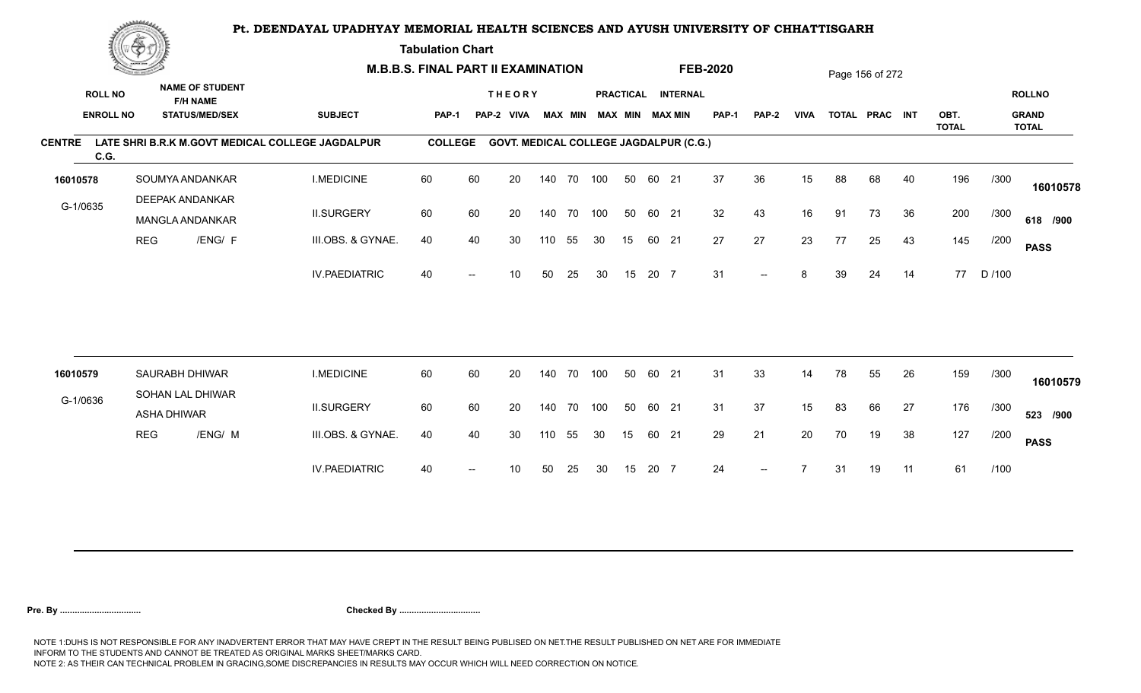**Tabulation Chart** 

|                       | <b>Construction of the Construction</b> |                    |                                                                    | <b>M.B.B.S. FINAL PART II EXAMINATION</b>        |                |                          |                                               |     |                |     |    |       |                                              | <b>FEB-2020</b> |                          |             |    | Page 156 of 272 |    |              |        |                               |
|-----------------------|-----------------------------------------|--------------------|--------------------------------------------------------------------|--------------------------------------------------|----------------|--------------------------|-----------------------------------------------|-----|----------------|-----|----|-------|----------------------------------------------|-----------------|--------------------------|-------------|----|-----------------|----|--------------|--------|-------------------------------|
| <b>ROLL NO</b>        | <b>ENROLL NO</b>                        |                    | <b>NAME OF STUDENT</b><br><b>F/H NAME</b><br><b>STATUS/MED/SEX</b> | <b>SUBJECT</b>                                   | PAP-1          |                          | <b>THEORY</b><br>PAP-2<br><b>VIVA</b>         |     | <b>MAX MIN</b> |     |    |       | PRACTICAL INTERNAL<br><b>MAX MIN MAX MIN</b> | <b>PAP-1</b>    | PAP-2                    | <b>VIVA</b> |    | TOTAL PRAC INT  |    | OBT.         |        | <b>ROLLNO</b><br><b>GRAND</b> |
|                       |                                         |                    |                                                                    |                                                  |                |                          |                                               |     |                |     |    |       |                                              |                 |                          |             |    |                 |    | <b>TOTAL</b> |        | <b>TOTAL</b>                  |
| <b>CENTRE</b><br>C.G. |                                         |                    |                                                                    | LATE SHRI B.R.K M.GOVT MEDICAL COLLEGE JAGDALPUR | <b>COLLEGE</b> |                          | <b>GOVT. MEDICAL COLLEGE JAGDALPUR (C.G.)</b> |     |                |     |    |       |                                              |                 |                          |             |    |                 |    |              |        |                               |
| 16010578              |                                         |                    | SOUMYA ANDANKAR                                                    | <b>I.MEDICINE</b>                                | 60             | 60                       | 20                                            |     | 140 70         | 100 | 50 | 60 21 |                                              | 37              | 36                       | 15          | 88 | 68              | 40 | 196          | /300   | 16010578                      |
| G-1/0635              |                                         |                    | <b>DEEPAK ANDANKAR</b><br>MANGLA ANDANKAR                          | <b>II.SURGERY</b>                                | 60             | 60                       | 20                                            |     | 140 70         | 100 | 50 | 60 21 |                                              | 32              | 43                       | 16          | 91 | 73              | 36 | 200          | /300   | 618 /900                      |
|                       | <b>REG</b>                              |                    | /ENG/ F                                                            | III.OBS. & GYNAE.                                | 40             | 40                       | 30                                            | 110 | 55             | 30  | 15 | 60 21 |                                              | 27              | 27                       | 23          | 77 | 25              | 43 | 145          | /200   | <b>PASS</b>                   |
|                       |                                         |                    |                                                                    | <b>IV.PAEDIATRIC</b>                             | 40             |                          | 10                                            | 50  | 25             | 30  | 15 | 20 7  |                                              | 31              | $\overline{\phantom{a}}$ | 8           | 39 | 24              | 14 | 77           | D /100 |                               |
|                       |                                         |                    |                                                                    |                                                  |                |                          |                                               |     |                |     |    |       |                                              |                 |                          |             |    |                 |    |              |        |                               |
| 16010579              |                                         |                    | SAURABH DHIWAR                                                     | <b>I.MEDICINE</b>                                | 60             | 60                       | 20                                            |     | 140 70         | 100 | 50 | 60 21 |                                              | 31              | 33                       | 14          | 78 | 55              | 26 | 159          | /300   | 16010579                      |
| G-1/0636              |                                         | <b>ASHA DHIWAR</b> | SOHAN LAL DHIWAR                                                   | <b>II.SURGERY</b>                                | 60             | 60                       | 20                                            |     | 140 70         | 100 | 50 | 60 21 |                                              | 31              | 37                       | 15          | 83 | 66              | 27 | 176          | /300   | 523 /900                      |
|                       | <b>REG</b>                              |                    | /ENG/ M                                                            | III.OBS. & GYNAE.                                | 40             | 40                       | 30                                            | 110 | 55             | 30  | 15 | 60 21 |                                              | 29              | 21                       | 20          | 70 | 19              | 38 | 127          | /200   | <b>PASS</b>                   |
|                       |                                         |                    |                                                                    | <b>IV.PAEDIATRIC</b>                             | 40             | $\overline{\phantom{a}}$ | 10                                            | 50  | 25             | 30  | 15 | 20 7  |                                              | 24              | $\overline{\phantom{a}}$ |             | 31 | 19              | 11 | 61           | /100   |                               |
|                       |                                         |                    |                                                                    |                                                  |                |                          |                                               |     |                |     |    |       |                                              |                 |                          |             |    |                 |    |              |        |                               |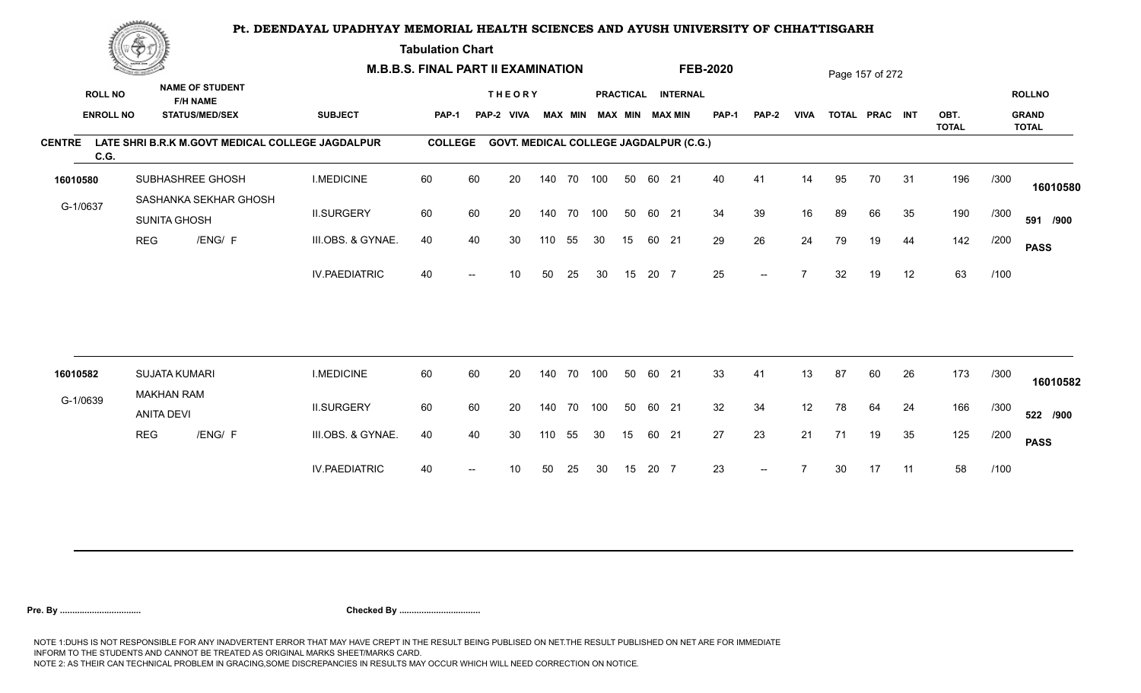**Tabulation Chart** 

|                       | <b>Consumer de region de la</b> |                                        |                                           |                                                  | <b>M.B.B.S. FINAL PART II EXAMINATION</b> |      |                                               |     |    |                         |    |       |                    | <b>FEB-2020</b> |                   |             |    | Page 157 of 272 |    |                      |      |                              |
|-----------------------|---------------------------------|----------------------------------------|-------------------------------------------|--------------------------------------------------|-------------------------------------------|------|-----------------------------------------------|-----|----|-------------------------|----|-------|--------------------|-----------------|-------------------|-------------|----|-----------------|----|----------------------|------|------------------------------|
| <b>ROLL NO</b>        |                                 |                                        | <b>NAME OF STUDENT</b><br><b>F/H NAME</b> |                                                  |                                           |      | <b>THEORY</b>                                 |     |    |                         |    |       | PRACTICAL INTERNAL |                 |                   |             |    |                 |    |                      |      | <b>ROLLNO</b>                |
|                       | <b>ENROLL NO</b>                |                                        | <b>STATUS/MED/SEX</b>                     | <b>SUBJECT</b>                                   | PAP-1                                     |      | PAP-2 VIVA                                    |     |    | MAX MIN MAX MIN MAX MIN |    |       |                    | <b>PAP-1</b>    | PAP-2             | <b>VIVA</b> |    | TOTAL PRAC INT  |    | OBT.<br><b>TOTAL</b> |      | <b>GRAND</b><br><b>TOTAL</b> |
| <b>CENTRE</b><br>C.G. |                                 |                                        |                                           | LATE SHRI B.R.K M.GOVT MEDICAL COLLEGE JAGDALPUR | <b>COLLEGE</b>                            |      | <b>GOVT. MEDICAL COLLEGE JAGDALPUR (C.G.)</b> |     |    |                         |    |       |                    |                 |                   |             |    |                 |    |                      |      |                              |
| 16010580              |                                 |                                        | SUBHASHREE GHOSH                          | <b>I.MEDICINE</b>                                | 60                                        | 60   | 20                                            | 140 |    | 70 100                  | 50 | 60 21 |                    | 40              | 41                | 14          | 95 | 70              | 31 | 196                  | /300 | 16010580                     |
| G-1/0637              |                                 | <b>SUNITA GHOSH</b>                    | SASHANKA SEKHAR GHOSH                     | <b>II.SURGERY</b>                                | 60                                        | 60   | 20                                            | 140 |    | 70 100                  | 50 | 60 21 |                    | 34              | 39                | 16          | 89 | 66              | 35 | 190                  | /300 | 591 /900                     |
|                       | <b>REG</b>                      |                                        | /ENG/ F                                   | III.OBS. & GYNAE.                                | 40                                        | 40   | 30                                            | 110 | 55 | 30                      | 15 | 60 21 |                    | 29              | 26                | 24          | 79 | 19              | 44 | 142                  | /200 | <b>PASS</b>                  |
|                       |                                 |                                        |                                           | <b>IV.PAEDIATRIC</b>                             | 40                                        |      | 10                                            | 50  | 25 | 30                      | 15 | 20 7  |                    | 25              | $\qquad \qquad -$ |             | 32 | 19              | 12 | 63                   | /100 |                              |
|                       |                                 |                                        |                                           |                                                  |                                           |      |                                               |     |    |                         |    |       |                    |                 |                   |             |    |                 |    |                      |      |                              |
| 16010582              |                                 | <b>SUJATA KUMARI</b>                   |                                           | <b>I.MEDICINE</b>                                | 60                                        | 60   | 20                                            | 140 | 70 | 100                     | 50 | 60 21 |                    | 33              | 41                | 13          | 87 | 60              | 26 | 173                  | /300 | 16010582                     |
| G-1/0639              |                                 | <b>MAKHAN RAM</b><br><b>ANITA DEVI</b> |                                           | <b>II.SURGERY</b>                                | 60                                        | 60   | 20                                            | 140 | 70 | 100                     | 50 | 60 21 |                    | 32              | 34                | 12          | 78 | 64              | 24 | 166                  | /300 | 522 /900                     |
|                       | <b>REG</b>                      |                                        | /ENG/ F                                   | III.OBS. & GYNAE.                                | 40                                        | 40   | 30                                            | 110 | 55 | 30                      | 15 | 60 21 |                    | 27              | 23                | 21          | 71 | 19              | 35 | 125                  | /200 | <b>PASS</b>                  |
|                       |                                 |                                        |                                           | <b>IV.PAEDIATRIC</b>                             | 40                                        | $--$ | 10                                            | 50  | 25 | 30                      | 15 | 20 7  |                    | 23              | $--$              |             | 30 | 17              | 11 | 58                   | /100 |                              |
|                       |                                 |                                        |                                           |                                                  |                                           |      |                                               |     |    |                         |    |       |                    |                 |                   |             |    |                 |    |                      |      |                              |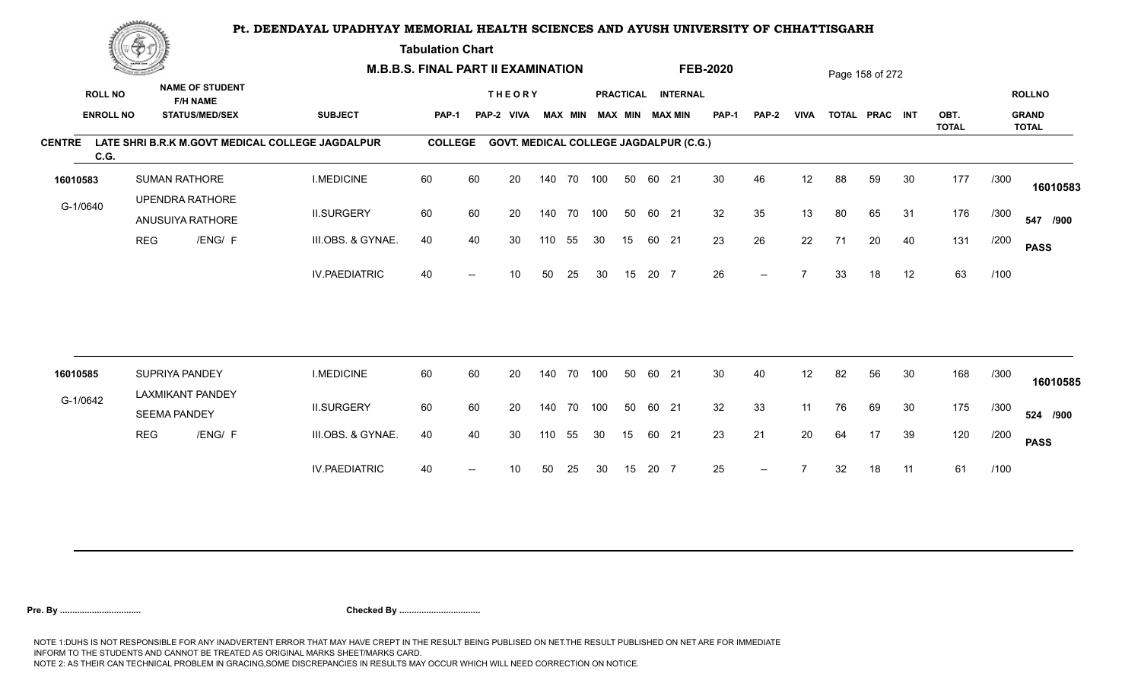**Tabulation Chart** 

|                       | <b>Construction of the Construction</b> |                      |                                                                    | <b>M.B.B.S. FINAL PART II EXAMINATION</b>        |                |    |                                               |        |                |     |    |       |                                              | <b>FEB-2020</b> |       |             |    | Page 158 of 272 |    |              |      |                               |
|-----------------------|-----------------------------------------|----------------------|--------------------------------------------------------------------|--------------------------------------------------|----------------|----|-----------------------------------------------|--------|----------------|-----|----|-------|----------------------------------------------|-----------------|-------|-------------|----|-----------------|----|--------------|------|-------------------------------|
| <b>ROLL NO</b>        | <b>ENROLL NO</b>                        |                      | <b>NAME OF STUDENT</b><br><b>F/H NAME</b><br><b>STATUS/MED/SEX</b> | <b>SUBJECT</b>                                   | <b>PAP-1</b>   |    | <b>THEORY</b><br>PAP-2 VIVA                   |        | <b>MAX MIN</b> |     |    |       | PRACTICAL INTERNAL<br><b>MAX MIN MAX MIN</b> | <b>PAP-1</b>    | PAP-2 | <b>VIVA</b> |    | TOTAL PRAC INT  |    | OBT.         |      | <b>ROLLNO</b><br><b>GRAND</b> |
|                       |                                         |                      |                                                                    |                                                  |                |    |                                               |        |                |     |    |       |                                              |                 |       |             |    |                 |    | <b>TOTAL</b> |      | <b>TOTAL</b>                  |
| <b>CENTRE</b><br>C.G. |                                         |                      |                                                                    | LATE SHRI B.R.K M.GOVT MEDICAL COLLEGE JAGDALPUR | <b>COLLEGE</b> |    | <b>GOVT. MEDICAL COLLEGE JAGDALPUR (C.G.)</b> |        |                |     |    |       |                                              |                 |       |             |    |                 |    |              |      |                               |
| 16010583              |                                         | <b>SUMAN RATHORE</b> |                                                                    | <b>I.MEDICINE</b>                                | 60             | 60 | 20                                            |        | 140 70         | 100 | 50 | 60 21 |                                              | 30              | 46    | 12          | 88 | 59              | 30 | 177          | /300 | 16010583                      |
| G-1/0640              |                                         |                      | <b>UPENDRA RATHORE</b><br>ANUSUIYA RATHORE                         | <b>II.SURGERY</b>                                | 60             | 60 | 20                                            |        | 140 70         | 100 | 50 | 60 21 |                                              | 32              | 35    | 13          | 80 | 65              | 31 | 176          | /300 | 547 /900                      |
|                       | <b>REG</b>                              |                      | /ENG/ F                                                            | III.OBS. & GYNAE.                                | 40             | 40 | 30                                            | 110    | 55             | 30  | 15 | 60 21 |                                              | 23              | 26    | 22          | 71 | 20              | 40 | 131          | /200 | <b>PASS</b>                   |
|                       |                                         |                      |                                                                    | <b>IV.PAEDIATRIC</b>                             | 40             |    | 10                                            | 50     | 25             | 30  | 15 | 20 7  |                                              | 26              | $-$   |             | 33 | 18              | 12 | 63           | /100 |                               |
|                       |                                         |                      |                                                                    |                                                  |                |    |                                               |        |                |     |    |       |                                              |                 |       |             |    |                 |    |              |      |                               |
| 16010585              |                                         | SUPRIYA PANDEY       |                                                                    | <b>I.MEDICINE</b>                                | 60             | 60 | 20                                            | 140    | 70             | 100 | 50 | 60 21 |                                              | 30              | 40    | 12          | 82 | 56              | 30 | 168          | /300 | 16010585                      |
| G-1/0642              |                                         | <b>SEEMA PANDEY</b>  | <b>LAXMIKANT PANDEY</b>                                            | <b>II.SURGERY</b>                                | 60             | 60 | 20                                            | 140 70 |                | 100 | 50 | 60 21 |                                              | 32              | 33    | 11          | 76 | 69              | 30 | 175          | /300 | 524 /900                      |
|                       | <b>REG</b>                              |                      | /ENG/ F                                                            | III.OBS. & GYNAE.                                | 40             | 40 | 30                                            | 110    | 55             | 30  | 15 | 60 21 |                                              | 23              | 21    | 20          | 64 | 17              | 39 | 120          | /200 | <b>PASS</b>                   |
|                       |                                         |                      |                                                                    | <b>IV.PAEDIATRIC</b>                             | 40             |    | 10                                            | 50     | 25             | 30  | 15 | 20 7  |                                              | 25              | $--$  |             | 32 | 18              | 11 | 61           | /100 |                               |
|                       |                                         |                      |                                                                    |                                                  |                |    |                                               |        |                |     |    |       |                                              |                 |       |             |    |                 |    |              |      |                               |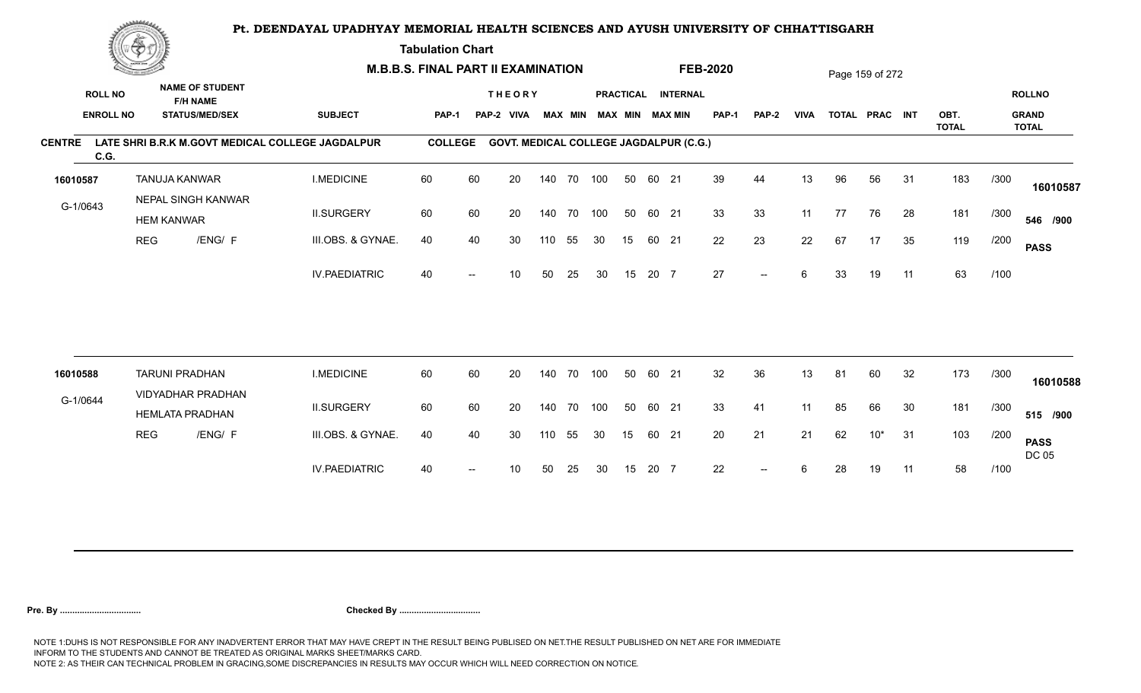**Tabulation Chart** 

|               | <b>Construction of the Construction</b> |                       |                                                    | <b>M.B.B.S. FINAL PART II EXAMINATION</b>        |                |    |                                               |     |                |     |    |       |                        | <b>FEB-2020</b> |       |             |    | Page 159 of 272 |     |                      |      |                              |
|---------------|-----------------------------------------|-----------------------|----------------------------------------------------|--------------------------------------------------|----------------|----|-----------------------------------------------|-----|----------------|-----|----|-------|------------------------|-----------------|-------|-------------|----|-----------------|-----|----------------------|------|------------------------------|
|               | <b>ROLL NO</b>                          |                       | <b>NAME OF STUDENT</b><br><b>F/H NAME</b>          |                                                  |                |    | <b>THEORY</b>                                 |     |                |     |    |       | PRACTICAL INTERNAL     |                 |       |             |    |                 |     |                      |      | <b>ROLLNO</b>                |
|               | <b>ENROLL NO</b>                        |                       | <b>STATUS/MED/SEX</b>                              | <b>SUBJECT</b>                                   | <b>PAP-1</b>   |    | PAP-2 VIVA                                    |     | <b>MAX MIN</b> |     |    |       | <b>MAX MIN MAX MIN</b> | <b>PAP-1</b>    | PAP-2 | <b>VIVA</b> |    | TOTAL PRAC INT  |     | OBT.<br><b>TOTAL</b> |      | <b>GRAND</b><br><b>TOTAL</b> |
| <b>CENTRE</b> | C.G.                                    |                       |                                                    | LATE SHRI B.R.K M.GOVT MEDICAL COLLEGE JAGDALPUR | <b>COLLEGE</b> |    | <b>GOVT. MEDICAL COLLEGE JAGDALPUR (C.G.)</b> |     |                |     |    |       |                        |                 |       |             |    |                 |     |                      |      |                              |
| 16010587      |                                         | TANUJA KANWAR         |                                                    | <b>I.MEDICINE</b>                                | 60             | 60 | 20                                            |     | 140 70 100     |     | 50 | 60 21 |                        | 39              | 44    | 13          | 96 | 56              | 31  | 183                  | /300 | 16010587                     |
| G-1/0643      |                                         | <b>HEM KANWAR</b>     | NEPAL SINGH KANWAR                                 | <b>II.SURGERY</b>                                | 60             | 60 | 20                                            |     | 140 70 100     |     | 50 | 60 21 |                        | 33              | 33    | 11          | 77 | 76              | 28  | 181                  | /300 | 546 /900                     |
|               |                                         | <b>REG</b>            | /ENG/ F                                            | III.OBS. & GYNAE.                                | 40             | 40 | 30                                            | 110 | 55             | 30  | 15 | 60 21 |                        | 22              | 23    | 22          | 67 | 17              | 35  | 119                  | /200 | <b>PASS</b>                  |
|               |                                         |                       |                                                    | <b>IV.PAEDIATRIC</b>                             | 40             |    | 10                                            | 50  | 25             | 30  | 15 | 20 7  |                        | 27              | $--$  | 6           | 33 | 19              | 11  | 63                   | /100 |                              |
|               |                                         |                       |                                                    |                                                  |                |    |                                               |     |                |     |    |       |                        |                 |       |             |    |                 |     |                      |      |                              |
| 16010588      |                                         | <b>TARUNI PRADHAN</b> |                                                    | <b>I.MEDICINE</b>                                | 60             | 60 | 20                                            | 140 | 70             | 100 | 50 | 60 21 |                        | 32              | 36    | 13          | 81 | 60              | 32  | 173                  | /300 | 16010588                     |
| G-1/0644      |                                         |                       | <b>VIDYADHAR PRADHAN</b><br><b>HEMLATA PRADHAN</b> | <b>II.SURGERY</b>                                | 60             | 60 | 20                                            | 140 | 70             | 100 | 50 | 60 21 |                        | 33              | 41    | 11          | 85 | 66              | 30  | 181                  | /300 | 515 /900                     |
|               |                                         | <b>REG</b>            | /ENG/ F                                            | III.OBS. & GYNAE.                                | 40             | 40 | 30                                            | 110 | 55             | 30  | 15 | 60 21 |                        | 20              | 21    | 21          | 62 | $10*$           | 31  | 103                  | /200 | <b>PASS</b><br><b>DC 05</b>  |
|               |                                         |                       |                                                    | <b>IV.PAEDIATRIC</b>                             | 40             |    | 10                                            | 50  | 25             | 30  | 15 | 20 7  |                        | 22              |       | 6           | 28 | 19              | -11 | 58                   | /100 |                              |
|               |                                         |                       |                                                    |                                                  |                |    |                                               |     |                |     |    |       |                        |                 |       |             |    |                 |     |                      |      |                              |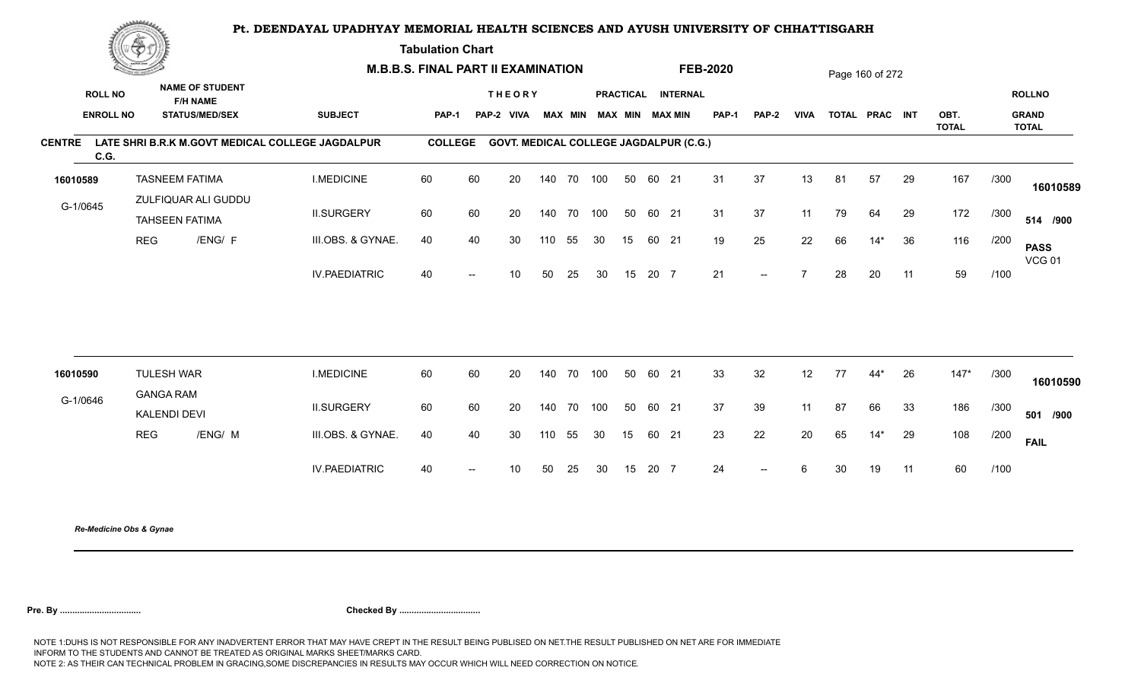**Tabulation Chart** 

|                                    | <u>(Samon)</u> |                                                                    | <b>M.B.B.S. FINAL PART II EXAMINATION</b>        |                |                          |                                               |        |                |     |    |       |                                              | <b>FEB-2020</b> |                          |                |    | Page 160 of 272 |    |              |      |                               |
|------------------------------------|----------------|--------------------------------------------------------------------|--------------------------------------------------|----------------|--------------------------|-----------------------------------------------|--------|----------------|-----|----|-------|----------------------------------------------|-----------------|--------------------------|----------------|----|-----------------|----|--------------|------|-------------------------------|
| <b>ROLL NO</b><br><b>ENROLL NO</b> |                | <b>NAME OF STUDENT</b><br><b>F/H NAME</b><br><b>STATUS/MED/SEX</b> | <b>SUBJECT</b>                                   | <b>PAP-1</b>   |                          | <b>THEORY</b><br>PAP-2 VIVA                   |        | <b>MAX MIN</b> |     |    |       | PRACTICAL INTERNAL<br><b>MAX MIN MAX MIN</b> | <b>PAP-1</b>    | PAP-2                    | <b>VIVA</b>    |    | TOTAL PRAC INT  |    | OBT.         |      | <b>ROLLNO</b><br><b>GRAND</b> |
| <b>CENTRE</b><br>C.G.              |                |                                                                    | LATE SHRI B.R.K M.GOVT MEDICAL COLLEGE JAGDALPUR | <b>COLLEGE</b> |                          | <b>GOVT. MEDICAL COLLEGE JAGDALPUR (C.G.)</b> |        |                |     |    |       |                                              |                 |                          |                |    |                 |    | <b>TOTAL</b> |      | <b>TOTAL</b>                  |
| 16010589                           |                | <b>TASNEEM FATIMA</b>                                              | <b>I.MEDICINE</b>                                | 60             | 60                       | 20                                            |        | 140 70 100     |     | 50 | 60 21 |                                              | 31              | 37                       | 13             | 81 | 57              | 29 | 167          | /300 | 16010589                      |
| G-1/0645                           |                | ZULFIQUAR ALI GUDDU<br><b>TAHSEEN FATIMA</b>                       | <b>II.SURGERY</b>                                | 60             | 60                       | 20                                            | 140 70 |                | 100 | 50 | 60 21 |                                              | 31              | 37                       | 11             | 79 | 64              | 29 | 172          | /300 | 514 /900                      |
|                                    | <b>REG</b>     | /ENG/ F                                                            | III.OBS. & GYNAE.                                | 40             | 40                       | 30                                            | 110    | 55             | 30  | 15 | 60 21 |                                              | 19              | 25                       | 22             | 66 | $14*$           | 36 | 116          | /200 | <b>PASS</b><br><b>VCG 01</b>  |
|                                    |                |                                                                    | <b>IV.PAEDIATRIC</b>                             | 40             | $--$                     | 10                                            | 50     | 25             | 30  | 15 | 20 7  |                                              | 21              | $\sim$                   | $\overline{7}$ | 28 | 20              | 11 | 59           | /100 |                               |
|                                    |                |                                                                    |                                                  |                |                          |                                               |        |                |     |    |       |                                              |                 |                          |                |    |                 |    |              |      |                               |
| 16010590                           |                | <b>TULESH WAR</b><br><b>GANGA RAM</b>                              | <b>I.MEDICINE</b>                                | 60             | 60                       | 20                                            | 140 70 |                | 100 | 50 | 60 21 |                                              | 33              | 32                       | 12             | 77 | 44*             | 26 | $147*$       | /300 | 16010590                      |
| G-1/0646                           |                | KALENDI DEVI                                                       | <b>II.SURGERY</b>                                | 60             | 60                       | 20                                            |        | 140 70 100     |     | 50 | 60 21 |                                              | 37              | 39                       | 11             | 87 | 66              | 33 | 186          | /300 | 501 /900                      |
|                                    | <b>REG</b>     | /ENG/ M                                                            | III.OBS. & GYNAE.                                | 40             | 40                       | 30                                            | 110    | 55             | 30  | 15 | 60 21 |                                              | 23              | 22                       | 20             | 65 | $14*$           | 29 | 108          | /200 | <b>FAIL</b>                   |
|                                    |                |                                                                    | <b>IV.PAEDIATRIC</b>                             | 40             | $\overline{\phantom{a}}$ | 10                                            | 50     | 25             | 30  | 15 | 20 7  |                                              | 24              | $\overline{\phantom{a}}$ | 6              | 30 | 19              | 11 | 60           | /100 |                               |
|                                    |                |                                                                    |                                                  |                |                          |                                               |        |                |     |    |       |                                              |                 |                          |                |    |                 |    |              |      |                               |

*Re-Medicine Obs & Gynae*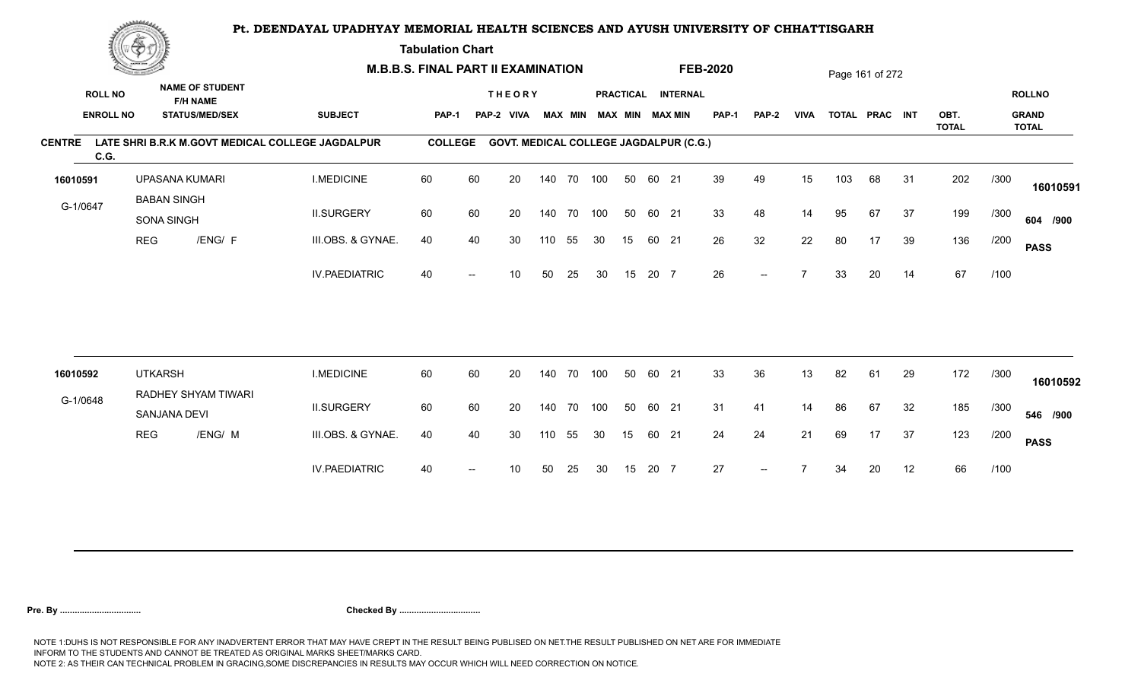**Tabulation Chart** 

| <b>ROLL NO</b> |                                          |                                                                                       |                                                                                                                                                                                              |                                                                                         |    |                               |                  |               |                                                                      |                                                          |    |                                                                                       |                                                                                                              |                    |                   |    |    |                                         |             | <b>ROLLNO</b><br><b>GRAND</b> |
|----------------|------------------------------------------|---------------------------------------------------------------------------------------|----------------------------------------------------------------------------------------------------------------------------------------------------------------------------------------------|-----------------------------------------------------------------------------------------|----|-------------------------------|------------------|---------------|----------------------------------------------------------------------|----------------------------------------------------------|----|---------------------------------------------------------------------------------------|--------------------------------------------------------------------------------------------------------------|--------------------|-------------------|----|----|-----------------------------------------|-------------|-------------------------------|
|                |                                          |                                                                                       |                                                                                                                                                                                              |                                                                                         |    |                               |                  |               |                                                                      |                                                          |    |                                                                                       |                                                                                                              |                    |                   |    |    | <b>TOTAL</b>                            |             | <b>TOTAL</b>                  |
| C.G.           |                                          |                                                                                       |                                                                                                                                                                                              |                                                                                         |    |                               |                  |               |                                                                      |                                                          |    |                                                                                       |                                                                                                              |                    |                   |    |    |                                         |             |                               |
| 16010591       |                                          |                                                                                       | <b>I.MEDICINE</b>                                                                                                                                                                            | 60                                                                                      | 60 | 20                            |                  |               |                                                                      | 50                                                       |    | 39                                                                                    | 49                                                                                                           | 15                 | 103               | 68 | 31 | 202                                     | /300        | 16010591                      |
| G-1/0647       |                                          |                                                                                       | <b>II.SURGERY</b>                                                                                                                                                                            | 60                                                                                      | 60 | 20                            |                  |               |                                                                      | 50                                                       |    | 33                                                                                    | 48                                                                                                           | 14                 | 95                | 67 | 37 | 199                                     | /300        | 604 /900                      |
|                |                                          |                                                                                       | III.OBS. & GYNAE.                                                                                                                                                                            | 40                                                                                      | 40 | 30                            | 110              | 55            | 30                                                                   | 15                                                       |    | 26                                                                                    | 32                                                                                                           | 22                 | 80                | 17 | 39 | 136                                     | /200        | <b>PASS</b>                   |
|                |                                          |                                                                                       | <b>IV.PAEDIATRIC</b>                                                                                                                                                                         | 40                                                                                      |    | 10                            | 50               | 25            | 30                                                                   | 15                                                       |    | 26                                                                                    | $--$                                                                                                         |                    | 33                | 20 | 14 | 67                                      | /100        |                               |
|                |                                          |                                                                                       |                                                                                                                                                                                              |                                                                                         |    |                               |                  |               |                                                                      |                                                          |    |                                                                                       |                                                                                                              |                    |                   |    |    |                                         |             |                               |
|                |                                          |                                                                                       |                                                                                                                                                                                              |                                                                                         |    |                               |                  |               |                                                                      |                                                          |    |                                                                                       |                                                                                                              |                    |                   |    |    |                                         |             | 16010592                      |
|                |                                          |                                                                                       | <b>II.SURGERY</b>                                                                                                                                                                            | 60                                                                                      | 60 | 20                            |                  | 70            |                                                                      | 50                                                       |    | 31                                                                                    | 41                                                                                                           | 14                 | 86                | 67 | 32 | 185                                     | /300        | 546 /900                      |
|                |                                          |                                                                                       | III.OBS. & GYNAE.                                                                                                                                                                            | 40                                                                                      | 40 | 30                            |                  | 55            | 30                                                                   | 15                                                       |    | 24                                                                                    | 24                                                                                                           | 21                 | 69                | 17 | 37 | 123                                     | /200        | <b>PASS</b>                   |
|                |                                          |                                                                                       | <b>IV.PAEDIATRIC</b>                                                                                                                                                                         | 40                                                                                      |    | 10                            | 50               | 25            | 30                                                                   | 15                                                       |    | 27                                                                                    |                                                                                                              |                    | 34                | 20 | 12 | 66                                      | /100        |                               |
|                | <b>ENROLL NO</b><br>16010592<br>G-1/0648 | <b>Construction of the Construction</b><br><b>REG</b><br><b>UTKARSH</b><br><b>REG</b> | <b>NAME OF STUDENT</b><br><b>F/H NAME</b><br><b>STATUS/MED/SEX</b><br>UPASANA KUMARI<br><b>BABAN SINGH</b><br><b>SONA SINGH</b><br>/ENG/ F<br>RADHEY SHYAM TIWARI<br>SANJANA DEVI<br>/ENG/ M | <b>SUBJECT</b><br>LATE SHRI B.R.K M.GOVT MEDICAL COLLEGE JAGDALPUR<br><b>I.MEDICINE</b> | 60 | PAP-1<br><b>COLLEGE</b><br>60 | PAP-2 VIVA<br>20 | <b>THEORY</b> | <b>M.B.B.S. FINAL PART II EXAMINATION</b><br>70<br>140<br>140<br>110 | <b>MAX MIN</b><br>140 70 100<br>140 70 100<br>100<br>100 | 50 | MAX MIN MAX MIN<br>60 21<br>60 21<br>60 21<br>20 7<br>60 21<br>60 21<br>60 21<br>20 7 | <b>FEB-2020</b><br>PRACTICAL INTERNAL<br><b>PAP-1</b><br><b>GOVT. MEDICAL COLLEGE JAGDALPUR (C.G.)</b><br>33 | <b>PAP-2</b><br>36 | <b>VIVA</b><br>13 | 82 | 61 | Page 161 of 272<br>TOTAL PRAC INT<br>29 | OBT.<br>172 | /300                          |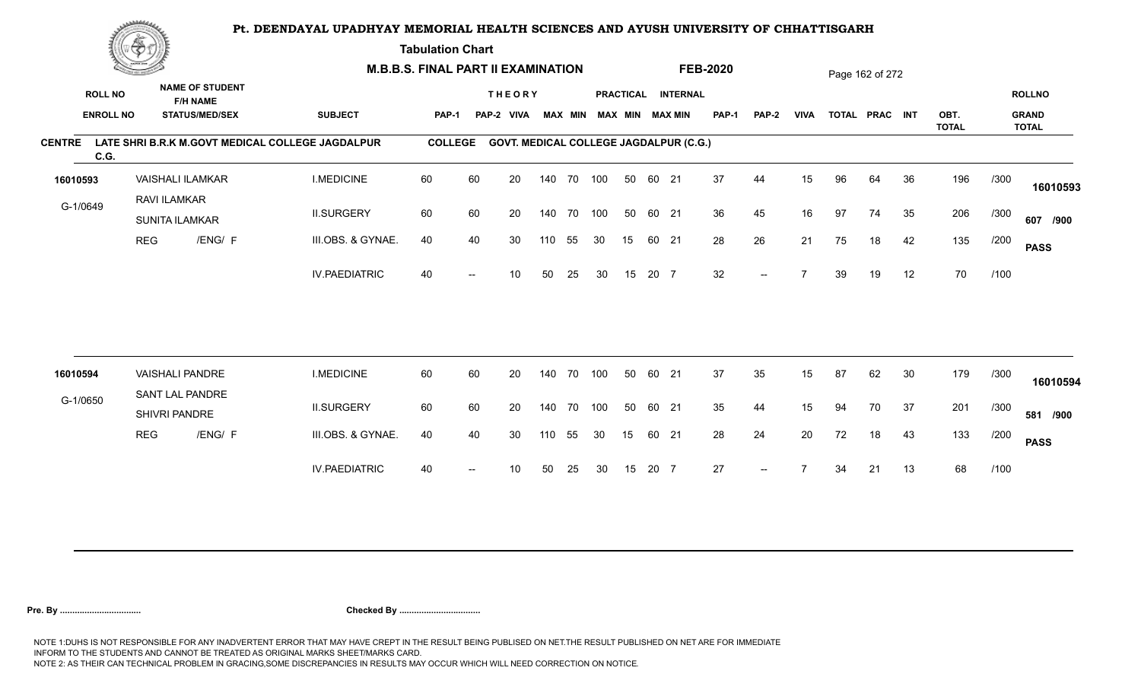**Tabulation Chart** 

|                       | <b>Construction of the Construction</b> |                                       |                                                                    | <b>M.B.B.S. FINAL PART II EXAMINATION</b>        |                |    |                                               |     |                |     |    |       |                                              | <b>FEB-2020</b> |       |             |    | Page 162 of 272 |    |              |      |                               |
|-----------------------|-----------------------------------------|---------------------------------------|--------------------------------------------------------------------|--------------------------------------------------|----------------|----|-----------------------------------------------|-----|----------------|-----|----|-------|----------------------------------------------|-----------------|-------|-------------|----|-----------------|----|--------------|------|-------------------------------|
| <b>ROLL NO</b>        | <b>ENROLL NO</b>                        |                                       | <b>NAME OF STUDENT</b><br><b>F/H NAME</b><br><b>STATUS/MED/SEX</b> | <b>SUBJECT</b>                                   | <b>PAP-1</b>   |    | <b>THEORY</b><br>PAP-2 VIVA                   |     | <b>MAX MIN</b> |     |    |       | PRACTICAL INTERNAL<br><b>MAX MIN MAX MIN</b> | <b>PAP-1</b>    | PAP-2 | <b>VIVA</b> |    | TOTAL PRAC INT  |    | OBT.         |      | <b>ROLLNO</b><br><b>GRAND</b> |
|                       |                                         |                                       |                                                                    |                                                  |                |    |                                               |     |                |     |    |       |                                              |                 |       |             |    |                 |    | <b>TOTAL</b> |      | <b>TOTAL</b>                  |
| <b>CENTRE</b><br>C.G. |                                         |                                       |                                                                    | LATE SHRI B.R.K M.GOVT MEDICAL COLLEGE JAGDALPUR | <b>COLLEGE</b> |    | <b>GOVT. MEDICAL COLLEGE JAGDALPUR (C.G.)</b> |     |                |     |    |       |                                              |                 |       |             |    |                 |    |              |      |                               |
| 16010593              |                                         |                                       | <b>VAISHALI ILAMKAR</b>                                            | <b>I.MEDICINE</b>                                | 60             | 60 | 20                                            |     | 140 70         | 100 | 50 | 60 21 |                                              | 37              | 44    | 15          | 96 | 64              | 36 | 196          | /300 | 16010593                      |
| G-1/0649              |                                         | RAVI ILAMKAR<br><b>SUNITA ILAMKAR</b> |                                                                    | <b>II.SURGERY</b>                                | 60             | 60 | 20                                            |     | 140 70         | 100 | 50 | 60 21 |                                              | 36              | 45    | 16          | 97 | 74              | 35 | 206          | /300 | 607 /900                      |
|                       | <b>REG</b>                              |                                       | /ENG/ F                                                            | III.OBS. & GYNAE.                                | 40             | 40 | 30                                            | 110 | 55             | 30  | 15 | 60 21 |                                              | 28              | 26    | 21          | 75 | 18              | 42 | 135          | /200 | <b>PASS</b>                   |
|                       |                                         |                                       |                                                                    | <b>IV.PAEDIATRIC</b>                             | 40             |    | 10                                            | 50  | 25             | 30  | 15 | 20 7  |                                              | 32              | $-$   |             | 39 | 19              | 12 | 70           | /100 |                               |
|                       |                                         |                                       |                                                                    |                                                  |                |    |                                               |     |                |     |    |       |                                              |                 |       |             |    |                 |    |              |      |                               |
| 16010594              |                                         | <b>VAISHALI PANDRE</b>                |                                                                    | <b>I.MEDICINE</b>                                | 60             | 60 | 20                                            | 140 | 70             | 100 | 50 | 60 21 |                                              | 37              | 35    | 15          | 87 | 62              | 30 | 179          | /300 | 16010594                      |
| G-1/0650              |                                         | SANT LAL PANDRE<br>SHIVRI PANDRE      |                                                                    | <b>II.SURGERY</b>                                | 60             | 60 | 20                                            |     | 140 70         | 100 | 50 | 60 21 |                                              | 35              | 44    | 15          | 94 | 70              | 37 | 201          | /300 | 581 /900                      |
|                       | <b>REG</b>                              |                                       | /ENG/ F                                                            | III.OBS. & GYNAE.                                | 40             | 40 | 30                                            | 110 | 55             | 30  | 15 | 60 21 |                                              | 28              | 24    | 20          | 72 | 18              | 43 | 133          | /200 | <b>PASS</b>                   |
|                       |                                         |                                       |                                                                    | <b>IV.PAEDIATRIC</b>                             | 40             |    | 10                                            | 50  | 25             | 30  | 15 | 20 7  |                                              | 27              |       |             | 34 | 21              | 13 | 68           | /100 |                               |
|                       |                                         |                                       |                                                                    |                                                  |                |    |                                               |     |                |     |    |       |                                              |                 |       |             |    |                 |    |              |      |                               |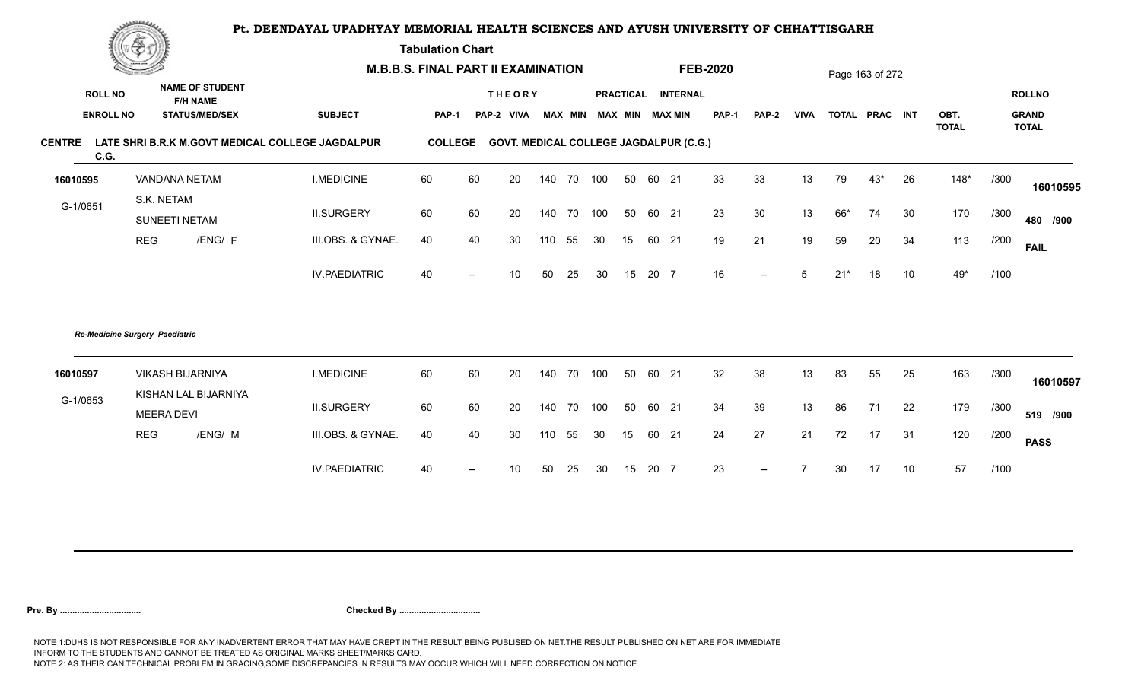**Tabulation Chart** 

|               | <b>Construction of the Construction</b> |                             |                                           | <b>M.B.B.S. FINAL PART II EXAMINATION</b>        |                |       |                                               |     |                |     |    |       |                        | <b>FEB-2020</b> |                          |             |       | Page 163 of 272 |    |                      |      |                              |
|---------------|-----------------------------------------|-----------------------------|-------------------------------------------|--------------------------------------------------|----------------|-------|-----------------------------------------------|-----|----------------|-----|----|-------|------------------------|-----------------|--------------------------|-------------|-------|-----------------|----|----------------------|------|------------------------------|
|               | <b>ROLL NO</b>                          |                             | <b>NAME OF STUDENT</b><br><b>F/H NAME</b> |                                                  |                |       | <b>THEORY</b>                                 |     |                |     |    |       | PRACTICAL INTERNAL     |                 |                          |             |       |                 |    |                      |      | <b>ROLLNO</b>                |
|               | <b>ENROLL NO</b>                        |                             | <b>STATUS/MED/SEX</b>                     | <b>SUBJECT</b>                                   | <b>PAP-1</b>   | PAP-2 | <b>VIVA</b>                                   |     | <b>MAX MIN</b> |     |    |       | <b>MAX MIN MAX MIN</b> | <b>PAP-1</b>    | PAP-2                    | <b>VIVA</b> |       | TOTAL PRAC INT  |    | OBT.<br><b>TOTAL</b> |      | <b>GRAND</b><br><b>TOTAL</b> |
| <b>CENTRE</b> | C.G.                                    |                             |                                           | LATE SHRI B.R.K M.GOVT MEDICAL COLLEGE JAGDALPUR | <b>COLLEGE</b> |       | <b>GOVT. MEDICAL COLLEGE JAGDALPUR (C.G.)</b> |     |                |     |    |       |                        |                 |                          |             |       |                 |    |                      |      |                              |
| 16010595      |                                         | VANDANA NETAM               |                                           | <b>I.MEDICINE</b>                                | 60             | 60    | 20                                            |     | 140 70 100     |     | 50 | 60 21 |                        | 33              | 33                       | 13          | 79    | $43*$           | 26 | $148*$               | /300 | 16010595                     |
| G-1/0651      |                                         | S.K. NETAM<br>SUNEETI NETAM |                                           | <b>II.SURGERY</b>                                | 60             | 60    | 20                                            |     | 140 70 100     |     | 50 | 60 21 |                        | 23              | 30                       | 13          | 66*   | 74              | 30 | 170                  | /300 | 480 /900                     |
|               |                                         | <b>REG</b>                  | /ENG/ F                                   | III.OBS. & GYNAE.                                | 40             | 40    | 30                                            | 110 | 55             | 30  | 15 | 60 21 |                        | 19              | 21                       | 19          | 59    | 20              | 34 | 113                  | /200 | <b>FAIL</b>                  |
|               |                                         |                             |                                           | <b>IV.PAEDIATRIC</b>                             | 40             |       | 10                                            | 50  | 25             | 30  | 15 | 20 7  |                        | 16              | $--$                     | 5           | $21*$ | 18              | 10 | $49*$                | /100 |                              |
|               | <b>Re-Medicine Surgery Paediatric</b>   |                             |                                           |                                                  |                |       |                                               |     |                |     |    |       |                        |                 |                          |             |       |                 |    |                      |      |                              |
| 16010597      |                                         | <b>VIKASH BIJARNIYA</b>     |                                           | <b>I.MEDICINE</b>                                | 60             | 60    | 20                                            | 140 | 70             | 100 | 50 | 60 21 |                        | 32              | 38                       | 13          | 83    | 55              | 25 | 163                  | /300 | 16010597                     |
| G-1/0653      |                                         | <b>MEERA DEVI</b>           | KISHAN LAL BIJARNIYA                      | <b>II.SURGERY</b>                                | 60             | 60    | 20                                            | 140 | 70             | 100 | 50 | 60 21 |                        | 34              | 39                       | 13          | 86    | 71              | 22 | 179                  | /300 | 519 /900                     |
|               |                                         | <b>REG</b>                  | /ENG/ M                                   | III.OBS. & GYNAE.                                | 40             | 40    | 30                                            | 110 | 55             | 30  | 15 | 60 21 |                        | 24              | 27                       | 21          | 72    | 17              | 31 | 120                  | /200 | <b>PASS</b>                  |
|               |                                         |                             |                                           | <b>IV.PAEDIATRIC</b>                             | 40             |       | 10                                            | 50  | 25             | 30  | 15 | 20 7  |                        | 23              | $\overline{\phantom{a}}$ |             | 30    | 17              | 10 | 57                   | /100 |                              |
|               |                                         |                             |                                           |                                                  |                |       |                                               |     |                |     |    |       |                        |                 |                          |             |       |                 |    |                      |      |                              |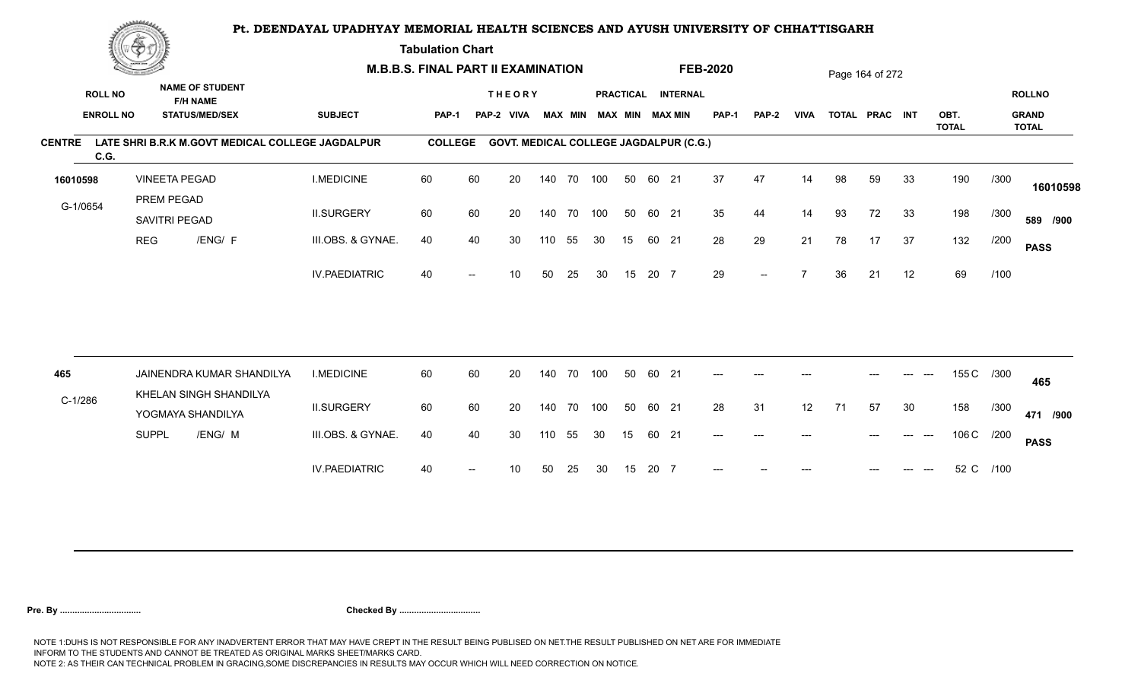**Tabulation Chart** 

|                                    | <b>Construction of the Construction</b> |                                                                    |                      | <b>M.B.B.S. FINAL PART II EXAMINATION</b> |    |                                               |     |                |     |    |       |                                              | <b>FEB-2020</b> |       |             |    | Page 164 of 272 |       |              |           |                               |
|------------------------------------|-----------------------------------------|--------------------------------------------------------------------|----------------------|-------------------------------------------|----|-----------------------------------------------|-----|----------------|-----|----|-------|----------------------------------------------|-----------------|-------|-------------|----|-----------------|-------|--------------|-----------|-------------------------------|
| <b>ROLL NO</b><br><b>ENROLL NO</b> |                                         | <b>NAME OF STUDENT</b><br><b>F/H NAME</b><br><b>STATUS/MED/SEX</b> | <b>SUBJECT</b>       | <b>PAP-1</b>                              |    | <b>THEORY</b><br>PAP-2 VIVA                   |     | <b>MAX MIN</b> |     |    |       | PRACTICAL INTERNAL<br><b>MAX MIN MAX MIN</b> | <b>PAP-1</b>    | PAP-2 | <b>VIVA</b> |    | TOTAL PRAC INT  |       | OBT.         |           | <b>ROLLNO</b><br><b>GRAND</b> |
| <b>CENTRE</b>                      |                                         | LATE SHRI B.R.K M.GOVT MEDICAL COLLEGE JAGDALPUR                   |                      | <b>COLLEGE</b>                            |    | <b>GOVT. MEDICAL COLLEGE JAGDALPUR (C.G.)</b> |     |                |     |    |       |                                              |                 |       |             |    |                 |       | <b>TOTAL</b> |           | <b>TOTAL</b>                  |
| C.G.                               |                                         |                                                                    |                      |                                           |    |                                               |     |                |     |    |       |                                              |                 |       |             |    |                 |       |              |           |                               |
| 16010598                           |                                         | <b>VINEETA PEGAD</b>                                               | <b>I.MEDICINE</b>    | 60                                        | 60 | 20                                            |     | 140 70 100     |     | 50 | 60 21 |                                              | 37              | 47    | 14          | 98 | 59              | 33    | 190          | /300      | 16010598                      |
| G-1/0654                           | PREM PEGAD                              | SAVITRI PEGAD                                                      | <b>II.SURGERY</b>    | 60                                        | 60 | 20                                            |     | 140 70         | 100 | 50 | 60 21 |                                              | 35              | 44    | 14          | 93 | 72              | 33    | 198          | /300      | 589 /900                      |
|                                    | <b>REG</b>                              | /ENG/ F                                                            | III.OBS. & GYNAE.    | 40                                        | 40 | 30                                            | 110 | 55             | 30  | 15 | 60 21 |                                              | 28              | 29    | 21          | 78 | 17              | 37    | 132          | /200      | <b>PASS</b>                   |
|                                    |                                         |                                                                    | <b>IV.PAEDIATRIC</b> | 40                                        |    | 10                                            | 50  | 25             | 30  | 15 | 20 7  |                                              | 29              | $-$   |             | 36 | 21              | 12    | 69           | /100      |                               |
|                                    |                                         |                                                                    |                      |                                           |    |                                               |     |                |     |    |       |                                              |                 |       |             |    |                 |       |              |           |                               |
| 465                                |                                         | JAINENDRA KUMAR SHANDILYA<br>KHELAN SINGH SHANDILYA                | <b>I.MEDICINE</b>    | 60                                        | 60 | 20                                            | 140 | 70             | 100 | 50 | 60 21 |                                              | $---$           | $---$ |             |    |                 | $---$ | 155 C        | /300      | 465                           |
| $C-1/286$                          |                                         | YOGMAYA SHANDILYA                                                  | <b>II.SURGERY</b>    | 60                                        | 60 | 20                                            |     | 140 70         | 100 | 50 | 60 21 |                                              | 28              | 31    | 12          | 71 | 57              | 30    | 158          | /300      | 471 /900                      |
|                                    | <b>SUPPL</b>                            | /ENG/ M                                                            | III.OBS. & GYNAE.    | 40                                        | 40 | 30                                            | 110 | 55             | 30  | 15 | 60 21 |                                              | $---$           | $---$ | ---         |    |                 | $---$ | 106 C /200   |           | <b>PASS</b>                   |
|                                    |                                         |                                                                    | <b>IV.PAEDIATRIC</b> | 40                                        |    | 10                                            | 50  | 25             | 30  | 15 | 20 7  |                                              |                 |       |             |    |                 |       |              | 52 C /100 |                               |
|                                    |                                         |                                                                    |                      |                                           |    |                                               |     |                |     |    |       |                                              |                 |       |             |    |                 |       |              |           |                               |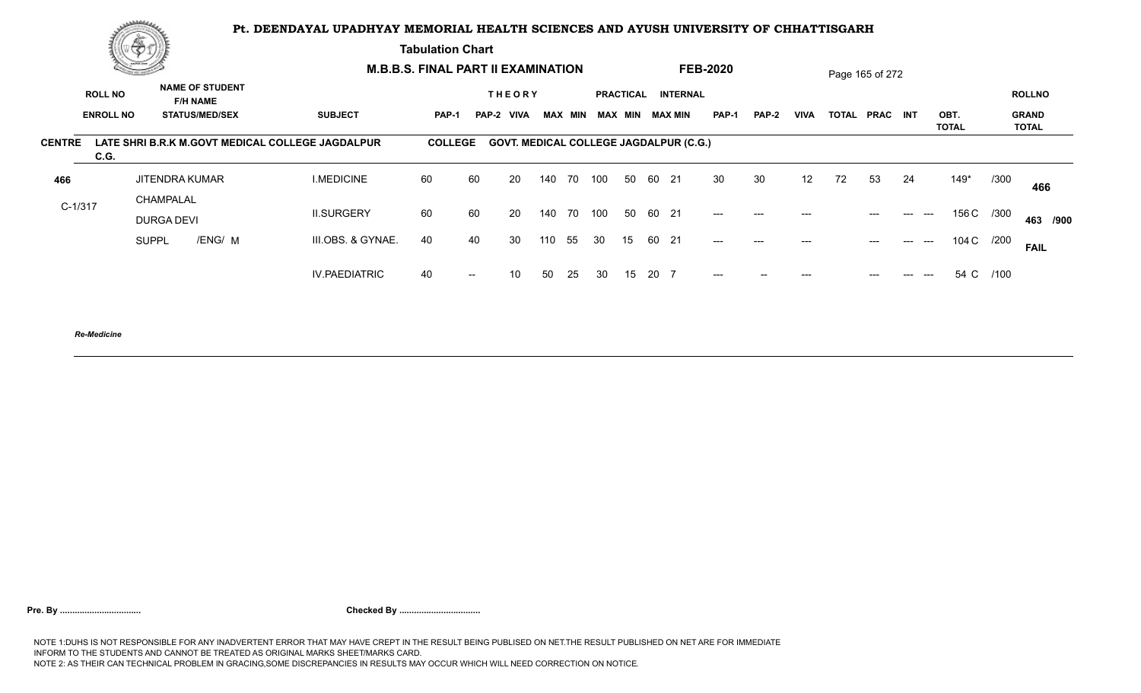**Tabulation Chart** 

|                       | $2\pi$ and the set of $\Lambda$ |                                           |                                                  | <b>M.B.B.S. FINAL PART II EXAMINATION</b> |       |                                               |     |     |                 |                  |      |                 | <b>FEB-2020</b> |       |             | Page 165 of 272 |                 |     |                                                        |      |                              |
|-----------------------|---------------------------------|-------------------------------------------|--------------------------------------------------|-------------------------------------------|-------|-----------------------------------------------|-----|-----|-----------------|------------------|------|-----------------|-----------------|-------|-------------|-----------------|-----------------|-----|--------------------------------------------------------|------|------------------------------|
| <b>ROLL NO</b>        |                                 | <b>NAME OF STUDENT</b><br><b>F/H NAME</b> |                                                  |                                           |       | <b>THEORY</b>                                 |     |     |                 | <b>PRACTICAL</b> |      | <b>INTERNAL</b> |                 |       |             |                 |                 |     |                                                        |      | <b>ROLLNO</b>                |
| <b>ENROLL NO</b>      |                                 | <b>STATUS/MED/SEX</b>                     | <b>SUBJECT</b>                                   | <b>PAP-1</b>                              |       | PAP-2 VIVA                                    |     |     | MAX MIN MAX MIN |                  |      | MAX MIN         | PAP-1           | PAP-2 | <b>VIVA</b> | <b>TOTAL</b>    | <b>PRAC INT</b> |     | OBT.<br>TOTAL                                          |      | <b>GRAND</b><br><b>TOTAL</b> |
| <b>CENTRE</b><br>C.G. |                                 |                                           | LATE SHRI B.R.K M.GOVT MEDICAL COLLEGE JAGDALPUR | <b>COLLEGE</b>                            |       | <b>GOVT. MEDICAL COLLEGE JAGDALPUR (C.G.)</b> |     |     |                 |                  |      |                 |                 |       |             |                 |                 |     |                                                        |      |                              |
| 466                   |                                 | <b>JITENDRA KUMAR</b>                     | <b>I.MEDICINE</b>                                | 60                                        | 60    | 20                                            | 140 | 70  | 100             | 50               |      | 60 21           | 30              | 30    | 12          | 72              | 53              | 24  | $149*$                                                 | /300 | 466                          |
| $C-1/317$             | CHAMPALAL<br>DURGA DEVI         |                                           | <b>II.SURGERY</b>                                | 60                                        | 60    | 20                                            | 140 | 70  | 100             | 50               |      | 60 21           | $---$           | ---   | $---$       |                 | $---$           | --- | 156 C /300<br>$\hspace{0.05cm} \ldots \hspace{0.05cm}$ |      | 463 /900                     |
|                       | <b>SUPPL</b>                    | /ENG/ M                                   | III.OBS. & GYNAE.                                | 40                                        | 40    | 30                                            | 110 | 55  | -30             | 15               |      | 60 21           | $---$           | $---$ | $---$       |                 | $---$           | --- | 104 C /200<br>$\hspace{0.05cm} \ldots \hspace{0.05cm}$ |      | <b>FAIL</b>                  |
|                       |                                 |                                           | <b>IV.PAEDIATRIC</b>                             | 40                                        | $- -$ | 10                                            | 50  | -25 | 30              | 15               | 20 7 |                 | $---$           |       |             |                 |                 |     | 54 C /100<br>$---$                                     |      |                              |
|                       |                                 |                                           |                                                  |                                           |       |                                               |     |     |                 |                  |      |                 |                 |       |             |                 |                 |     |                                                        |      |                              |

*Re-Medicine*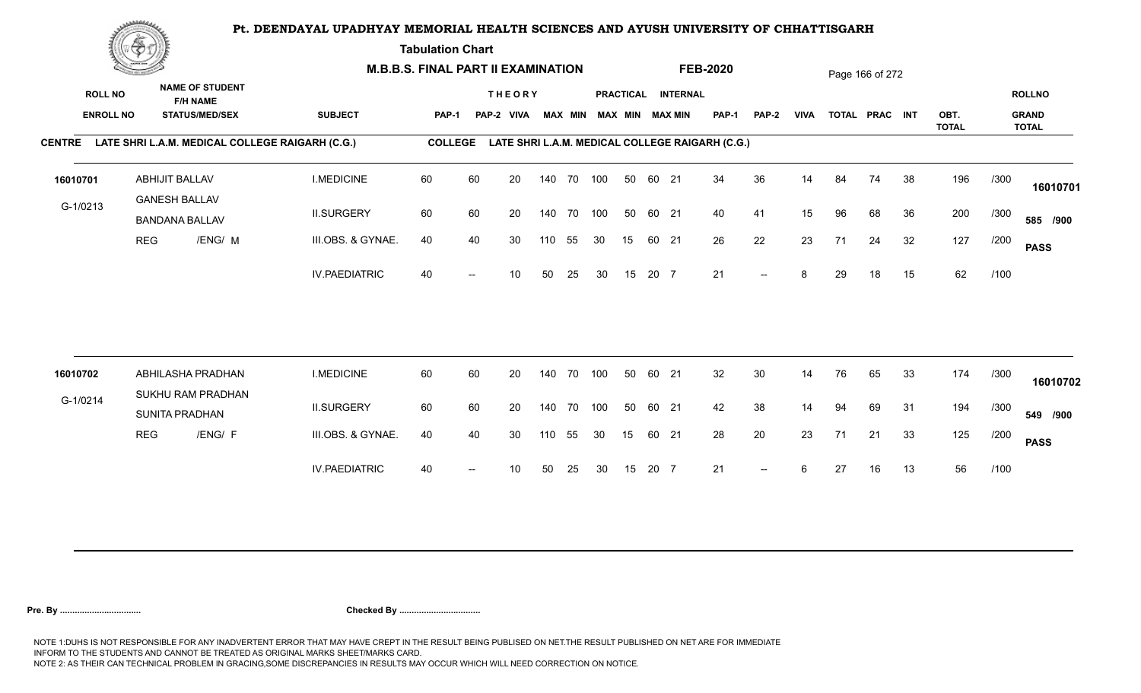**Tabulation Chart** 

|               | <b>Construction of the Construction</b> |                                               |                                                 | <b>M.B.B.S. FINAL PART II EXAMINATION</b>       |                |       |                              |     |                |            |    |       |                                              | <b>FEB-2020</b>                                 |                          |             |    | Page 166 of 272 |    |              |      |                               |
|---------------|-----------------------------------------|-----------------------------------------------|-------------------------------------------------|-------------------------------------------------|----------------|-------|------------------------------|-----|----------------|------------|----|-------|----------------------------------------------|-------------------------------------------------|--------------------------|-------------|----|-----------------|----|--------------|------|-------------------------------|
|               | <b>ROLL NO</b><br><b>ENROLL NO</b>      | <b>F/H NAME</b>                               | <b>NAME OF STUDENT</b><br><b>STATUS/MED/SEX</b> | <b>SUBJECT</b>                                  | PAP-1          | PAP-2 | <b>THEORY</b><br><b>VIVA</b> |     | <b>MAX MIN</b> |            |    |       | PRACTICAL INTERNAL<br><b>MAX MIN MAX MIN</b> | <b>PAP-1</b>                                    | PAP-2                    | <b>VIVA</b> |    | TOTAL PRAC INT  |    | OBT.         |      | <b>ROLLNO</b><br><b>GRAND</b> |
| <b>CENTRE</b> |                                         |                                               |                                                 | LATE SHRI L.A.M. MEDICAL COLLEGE RAIGARH (C.G.) | <b>COLLEGE</b> |       |                              |     |                |            |    |       |                                              | LATE SHRI L.A.M. MEDICAL COLLEGE RAIGARH (C.G.) |                          |             |    |                 |    | <b>TOTAL</b> |      | <b>TOTAL</b>                  |
|               |                                         |                                               |                                                 |                                                 |                |       |                              |     |                |            |    |       |                                              |                                                 |                          |             |    |                 |    |              |      |                               |
| 16010701      |                                         | ABHIJIT BALLAV                                |                                                 | <b>I.MEDICINE</b>                               | 60             | 60    | 20                           |     |                | 140 70 100 | 50 | 60 21 |                                              | 34                                              | 36                       | 14          | 84 | 74              | 38 | 196          | /300 | 16010701                      |
| G-1/0213      |                                         | <b>GANESH BALLAV</b><br><b>BANDANA BALLAV</b> |                                                 | <b>II.SURGERY</b>                               | 60             | 60    | 20                           |     | 140 70         | 100        | 50 | 60 21 |                                              | 40                                              | 41                       | 15          | 96 | 68              | 36 | 200          | /300 | 585 /900                      |
|               |                                         | <b>REG</b>                                    | /ENG/ M                                         | III.OBS. & GYNAE.                               | 40             | 40    | 30                           | 110 | 55             | 30         | 15 | 60 21 |                                              | 26                                              | 22                       | 23          | 71 | 24              | 32 | 127          | /200 | <b>PASS</b>                   |
|               |                                         |                                               |                                                 | <b>IV.PAEDIATRIC</b>                            | 40             |       | 10                           | 50  | 25             | 30         | 15 | 20 7  |                                              | 21                                              | $\overline{\phantom{a}}$ | 8           | 29 | 18              | 15 | 62           | /100 |                               |
|               |                                         |                                               |                                                 |                                                 |                |       |                              |     |                |            |    |       |                                              |                                                 |                          |             |    |                 |    |              |      |                               |
| 16010702      |                                         |                                               | ABHILASHA PRADHAN                               | <b>I.MEDICINE</b>                               | 60             | 60    | 20                           |     | 140 70         | 100        | 50 | 60 21 |                                              | 32                                              | 30                       | 14          | 76 | 65              | 33 | 174          | /300 | 16010702                      |
| G-1/0214      |                                         | SUNITA PRADHAN                                | SUKHU RAM PRADHAN                               | <b>II.SURGERY</b>                               | 60             | 60    | 20                           |     | 140 70         | 100        | 50 | 60 21 |                                              | 42                                              | 38                       | 14          | 94 | 69              | 31 | 194          | /300 | 549 /900                      |
|               | <b>REG</b>                              |                                               | /ENG/ F                                         | III.OBS. & GYNAE.                               | 40             | 40    | 30                           | 110 | 55             | 30         | 15 | 60 21 |                                              | 28                                              | 20                       | 23          | 71 | 21              | 33 | 125          | /200 | <b>PASS</b>                   |
|               |                                         |                                               |                                                 | <b>IV.PAEDIATRIC</b>                            | 40             |       | 10                           | 50  | 25             | 30         | 15 | 20 7  |                                              | 21                                              | $\overline{\phantom{a}}$ | 6           | 27 | 16              | 13 | 56           | /100 |                               |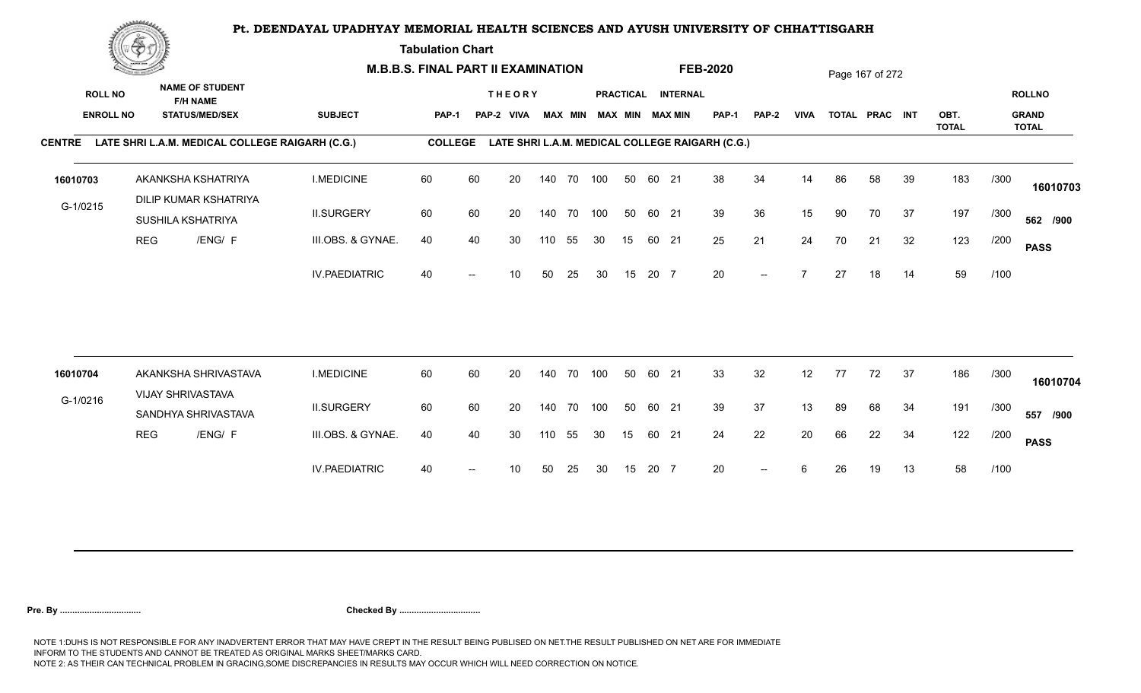**Tabulation Chart** 

|                                    | <b>Construction of the Construction</b> |                                                                    |                      | <b>M.B.B.S. FINAL PART II EXAMINATION</b> |       |                              |     |                |            |    |       |                                       | <b>FEB-2020</b>                                 |              |             |    | Page 167 of 272 |    |              |      |                               |
|------------------------------------|-----------------------------------------|--------------------------------------------------------------------|----------------------|-------------------------------------------|-------|------------------------------|-----|----------------|------------|----|-------|---------------------------------------|-------------------------------------------------|--------------|-------------|----|-----------------|----|--------------|------|-------------------------------|
| <b>ROLL NO</b><br><b>ENROLL NO</b> |                                         | <b>NAME OF STUDENT</b><br><b>F/H NAME</b><br><b>STATUS/MED/SEX</b> | <b>SUBJECT</b>       | <b>PAP-1</b>                              | PAP-2 | <b>THEORY</b><br><b>VIVA</b> |     | <b>MAX MIN</b> |            |    |       | PRACTICAL INTERNAL<br>MAX MIN MAX MIN | PAP-1                                           | <b>PAP-2</b> | <b>VIVA</b> |    | TOTAL PRAC INT  |    | OBT.         |      | <b>ROLLNO</b><br><b>GRAND</b> |
| <b>CENTRE</b>                      |                                         | LATE SHRI L.A.M. MEDICAL COLLEGE RAIGARH (C.G.)                    |                      | <b>COLLEGE</b>                            |       |                              |     |                |            |    |       |                                       | LATE SHRI L.A.M. MEDICAL COLLEGE RAIGARH (C.G.) |              |             |    |                 |    | <b>TOTAL</b> |      | <b>TOTAL</b>                  |
| 16010703                           |                                         | AKANKSHA KSHATRIYA<br><b>DILIP KUMAR KSHATRIYA</b>                 | <b>I.MEDICINE</b>    | 60                                        | 60    | 20                           |     | 140 70         | 100        | 50 | 60 21 |                                       | 38                                              | 34           | 14          | 86 | 58              | 39 | 183          | /300 | 16010703                      |
| G-1/0215                           |                                         | SUSHILA KSHATRIYA                                                  | <b>II.SURGERY</b>    | 60                                        | 60    | 20                           |     | 140 70         | 100        | 50 | 60 21 |                                       | 39                                              | 36           | 15          | 90 | 70              | 37 | 197          | /300 | 562 /900                      |
|                                    | <b>REG</b>                              | /ENG/ F                                                            | III.OBS. & GYNAE.    | 40                                        | 40    | 30                           | 110 | 55             | 30         | 15 | 60 21 |                                       | 25                                              | 21           | 24          | 70 | 21              | 32 | 123          | /200 | <b>PASS</b>                   |
|                                    |                                         |                                                                    | <b>IV.PAEDIATRIC</b> | 40                                        |       | 10                           | 50  | 25             | 30         | 15 | 20 7  |                                       | 20                                              | $-$          |             | 27 | 18              | 14 | 59           | /100 |                               |
|                                    |                                         |                                                                    |                      |                                           |       |                              |     |                |            |    |       |                                       |                                                 |              |             |    |                 |    |              |      |                               |
| 16010704                           |                                         | AKANKSHA SHRIVASTAVA<br>VIJAY SHRIVASTAVA                          | <b>I.MEDICINE</b>    | 60                                        | 60    | 20                           |     | 140 70         | 100        | 50 | 60 21 |                                       | 33                                              | 32           | 12          | 77 | 72              | 37 | 186          | /300 | 16010704                      |
| G-1/0216                           |                                         | SANDHYA SHRIVASTAVA                                                | <b>II.SURGERY</b>    | 60                                        | 60    | 20                           |     |                | 140 70 100 | 50 | 60 21 |                                       | 39                                              | 37           | 13          | 89 | 68              | 34 | 191          | /300 | 557 /900                      |
|                                    | <b>REG</b>                              | /ENG/ F                                                            | III.OBS. & GYNAE.    | 40                                        | 40    | 30                           | 110 | 55             | 30         | 15 | 60 21 |                                       | 24                                              | 22           | 20          | 66 | 22              | 34 | 122          | /200 | <b>PASS</b>                   |
|                                    |                                         |                                                                    | <b>IV.PAEDIATRIC</b> | 40                                        |       | 10                           | 50  | 25             | 30         | 15 | 20 7  |                                       | 20                                              | $-$          |             | 26 | 19              | 13 | 58           | /100 |                               |
|                                    |                                         |                                                                    |                      |                                           |       |                              |     |                |            |    |       |                                       |                                                 |              |             |    |                 |    |              |      |                               |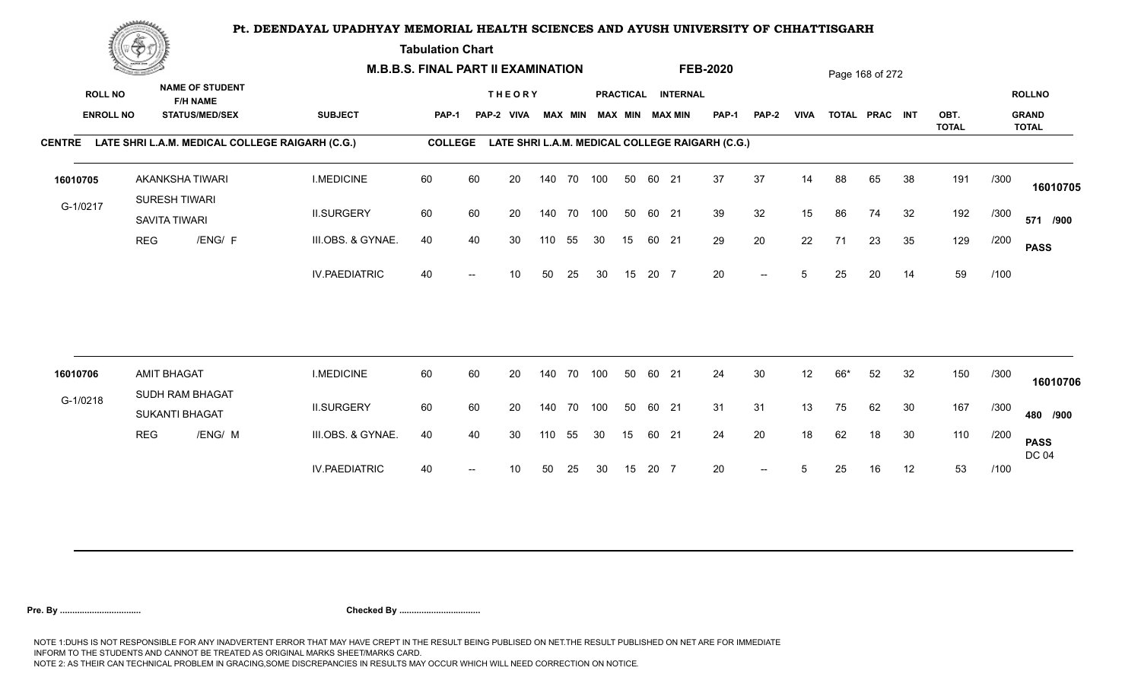**Tabulation Chart** 

|                                    | <b>Construction of the Construction</b> |                                         |                                                 | <b>M.B.B.S. FINAL PART II EXAMINATION</b>              |                |    |                             |     |                |            |                  |       |                                       | <b>FEB-2020</b>                                 |              |             |     | Page 168 of 272 |    |              |      |                               |
|------------------------------------|-----------------------------------------|-----------------------------------------|-------------------------------------------------|--------------------------------------------------------|----------------|----|-----------------------------|-----|----------------|------------|------------------|-------|---------------------------------------|-------------------------------------------------|--------------|-------------|-----|-----------------|----|--------------|------|-------------------------------|
| <b>ROLL NO</b><br><b>ENROLL NO</b> |                                         | <b>F/H NAME</b>                         | <b>NAME OF STUDENT</b><br><b>STATUS/MED/SEX</b> | <b>SUBJECT</b>                                         | <b>PAP-1</b>   |    | <b>THEORY</b><br>PAP-2 VIVA |     | <b>MAX MIN</b> |            |                  |       | PRACTICAL INTERNAL<br>MAX MIN MAX MIN | PAP-1                                           | <b>PAP-2</b> | <b>VIVA</b> |     | TOTAL PRAC INT  |    | OBT.         |      | <b>ROLLNO</b><br><b>GRAND</b> |
|                                    |                                         |                                         |                                                 | CENTRE LATE SHRI L.A.M. MEDICAL COLLEGE RAIGARH (C.G.) | <b>COLLEGE</b> |    |                             |     |                |            |                  |       |                                       | LATE SHRI L.A.M. MEDICAL COLLEGE RAIGARH (C.G.) |              |             |     |                 |    | <b>TOTAL</b> |      | <b>TOTAL</b>                  |
| 16010705                           |                                         | <b>AKANKSHA TIWARI</b><br>SURESH TIWARI |                                                 | <b>I.MEDICINE</b>                                      | 60             | 60 | 20                          |     |                | 140 70 100 | 50               | 60 21 |                                       | 37                                              | 37           | 14          | 88  | 65              | 38 | 191          | /300 | 16010705                      |
| G-1/0217                           |                                         | SAVITA TIWARI                           |                                                 | <b>II.SURGERY</b>                                      | 60             | 60 | 20                          |     | 140 70         | 100        | 50               | 60 21 |                                       | 39                                              | 32           | 15          | 86  | 74              | 32 | 192          | /300 | 571 /900                      |
|                                    | <b>REG</b>                              |                                         | /ENG/ F                                         | III.OBS. & GYNAE.                                      | 40             | 40 | 30                          | 110 | 55             | 30         | 15               | 60 21 |                                       | 29                                              | 20           | 22          | 71  | 23              | 35 | 129          | /200 | <b>PASS</b>                   |
|                                    |                                         |                                         |                                                 | <b>IV.PAEDIATRIC</b>                                   | 40             |    | 10                          | 50  | 25             | 30         | 15               | 20 7  |                                       | 20                                              | $--$         | 5           | 25  | 20              | 14 | 59           | /100 |                               |
| 16010706                           |                                         | <b>AMIT BHAGAT</b>                      |                                                 | <b>I.MEDICINE</b>                                      | 60             | 60 | 20                          |     | 140 70         | 100        | 50               | 60 21 |                                       | 24                                              | 30           | 12          | 66* | 52              | 32 | 150          | /300 |                               |
|                                    |                                         | SUDH RAM BHAGAT                         |                                                 |                                                        |                |    |                             |     |                |            |                  |       |                                       |                                                 |              |             |     |                 |    |              |      | 16010706                      |
| G-1/0218                           |                                         | SUKANTI BHAGAT                          |                                                 | <b>II.SURGERY</b>                                      | 60             | 60 | 20                          |     |                | 140 70 100 | 50               | 60 21 |                                       | 31                                              | 31           | 13          | 75  | 62              | 30 | 167          | /300 | 480 /900                      |
|                                    | <b>REG</b>                              |                                         | /ENG/ M                                         | III.OBS. & GYNAE.                                      | 40             | 40 | 30                          | 110 | 55             | 30         | 15 <sup>15</sup> | 60 21 |                                       | 24                                              | 20           | 18          | 62  | 18              | 30 | 110          | /200 | <b>PASS</b><br><b>DC 04</b>   |
|                                    |                                         |                                         |                                                 | <b>IV.PAEDIATRIC</b>                                   | 40             |    | 10                          | 50  | 25             | 30         | 15               | 20 7  |                                       | 20                                              | $--$         | 5           | 25  | 16              | 12 | 53           | /100 |                               |
|                                    |                                         |                                         |                                                 |                                                        |                |    |                             |     |                |            |                  |       |                                       |                                                 |              |             |     |                 |    |              |      |                               |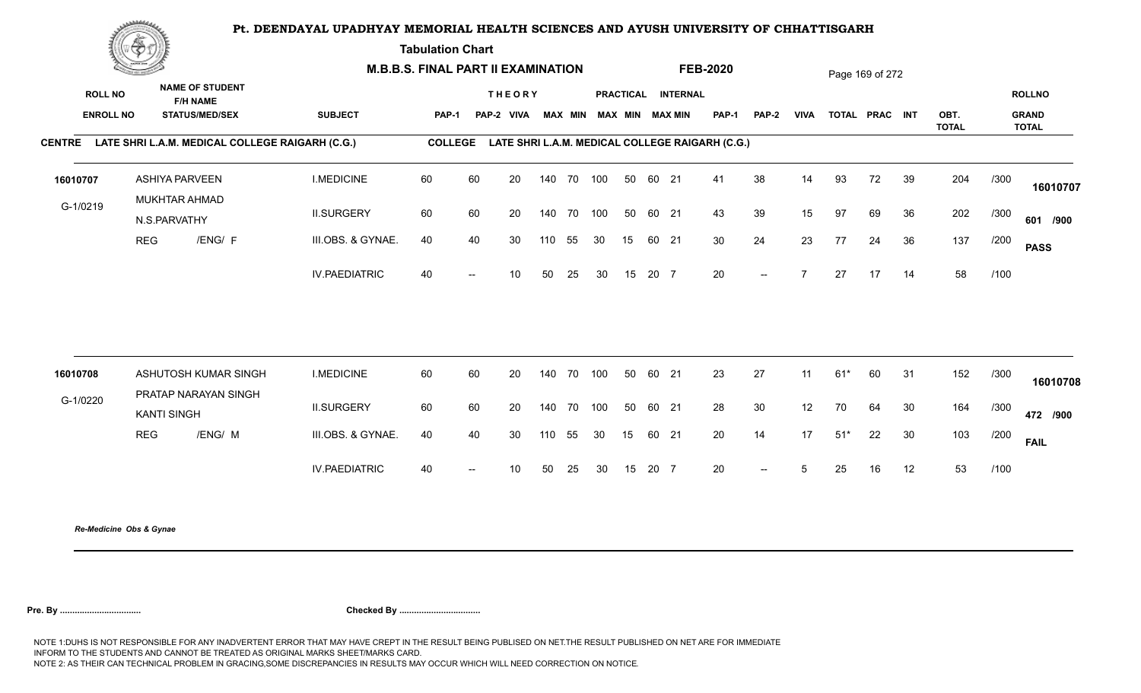**Tabulation Chart** 

|                                    | <u>Concession of the Sea</u> |                                                                    |                      | <b>M.B.B.S. FINAL PART II EXAMINATION</b> |                          |                             |     |                |     |    |       |                                       | <b>FEB-2020</b>                                 |                          |                 |       | Page 169 of 272 |    |              |      |                               |
|------------------------------------|------------------------------|--------------------------------------------------------------------|----------------------|-------------------------------------------|--------------------------|-----------------------------|-----|----------------|-----|----|-------|---------------------------------------|-------------------------------------------------|--------------------------|-----------------|-------|-----------------|----|--------------|------|-------------------------------|
| <b>ROLL NO</b><br><b>ENROLL NO</b> |                              | <b>NAME OF STUDENT</b><br><b>F/H NAME</b><br><b>STATUS/MED/SEX</b> | <b>SUBJECT</b>       | PAP-1                                     |                          | <b>THEORY</b><br>PAP-2 VIVA |     | <b>MAX MIN</b> |     |    |       | PRACTICAL INTERNAL<br>MAX MIN MAX MIN | <b>PAP-1</b>                                    | <b>PAP-2</b>             | <b>VIVA</b>     |       | TOTAL PRAC INT  |    | OBT.         |      | <b>ROLLNO</b><br><b>GRAND</b> |
|                                    |                              | CENTRE LATE SHRI L.A.M. MEDICAL COLLEGE RAIGARH (C.G.)             |                      | <b>COLLEGE</b>                            |                          |                             |     |                |     |    |       |                                       | LATE SHRI L.A.M. MEDICAL COLLEGE RAIGARH (C.G.) |                          |                 |       |                 |    | <b>TOTAL</b> |      | <b>TOTAL</b>                  |
| 16010707                           |                              | <b>ASHIYA PARVEEN</b><br>MUKHTAR AHMAD                             | <b>I.MEDICINE</b>    | 60                                        | 60                       | 20                          |     | 140 70 100     |     | 50 | 60 21 |                                       | 41                                              | 38                       | 14              | 93    | 72              | 39 | 204          | /300 | 16010707                      |
| G-1/0219                           |                              | N.S.PARVATHY                                                       | <b>II.SURGERY</b>    | 60                                        | 60                       | 20                          |     | 140 70         | 100 | 50 | 60 21 |                                       | 43                                              | 39                       | 15              | 97    | 69              | 36 | 202          | /300 | 601 /900                      |
|                                    | <b>REG</b>                   | /ENG/ F                                                            | III.OBS. & GYNAE.    | 40                                        | 40                       | 30                          | 110 | 55             | 30  | 15 | 60 21 |                                       | 30                                              | 24                       | 23              | 77    | 24              | 36 | 137          | /200 | <b>PASS</b>                   |
|                                    |                              |                                                                    | <b>IV.PAEDIATRIC</b> | 40                                        | $\overline{\phantom{a}}$ | 10 <sup>°</sup>             | 50  | 25             | 30  | 15 | 20 7  |                                       | 20                                              | $--$                     | $\overline{7}$  | 27    | 17              | 14 | 58           | /100 |                               |
|                                    |                              | ASHUTOSH KUMAR SINGH                                               | <b>I.MEDICINE</b>    | 60                                        |                          | 20                          |     | 140 70         | 100 | 50 | 60 21 |                                       | 23                                              | 27                       | 11              | $61*$ |                 | 31 | 152          | /300 |                               |
| 16010708<br>G-1/0220               |                              | PRATAP NARAYAN SINGH                                               |                      |                                           | 60                       |                             |     |                |     |    |       |                                       |                                                 |                          |                 |       | 60              |    |              |      | 16010708                      |
|                                    |                              | <b>KANTI SINGH</b>                                                 | <b>II.SURGERY</b>    | 60                                        | 60                       | 20                          |     | 140 70 100     |     | 50 | 60 21 |                                       | 28                                              | 30                       | 12              | 70    | 64              | 30 | 164          | /300 | 472 /900                      |
|                                    | <b>REG</b>                   | /ENG/ M                                                            | III.OBS. & GYNAE.    | 40                                        | 40                       | 30                          | 110 | 55             | 30  | 15 | 60 21 |                                       | 20                                              | 14                       | 17              | $51*$ | 22              | 30 | 103          | /200 | <b>FAIL</b>                   |
|                                    |                              |                                                                    | <b>IV.PAEDIATRIC</b> | 40                                        | $\overline{\phantom{a}}$ | 10                          | 50  | 25             | 30  | 15 | 20 7  |                                       | 20                                              | $\overline{\phantom{a}}$ | $5\overline{)}$ | 25    | 16              | 12 | 53           | /100 |                               |
|                                    |                              |                                                                    |                      |                                           |                          |                             |     |                |     |    |       |                                       |                                                 |                          |                 |       |                 |    |              |      |                               |

*Re-Medicine Obs & Gynae*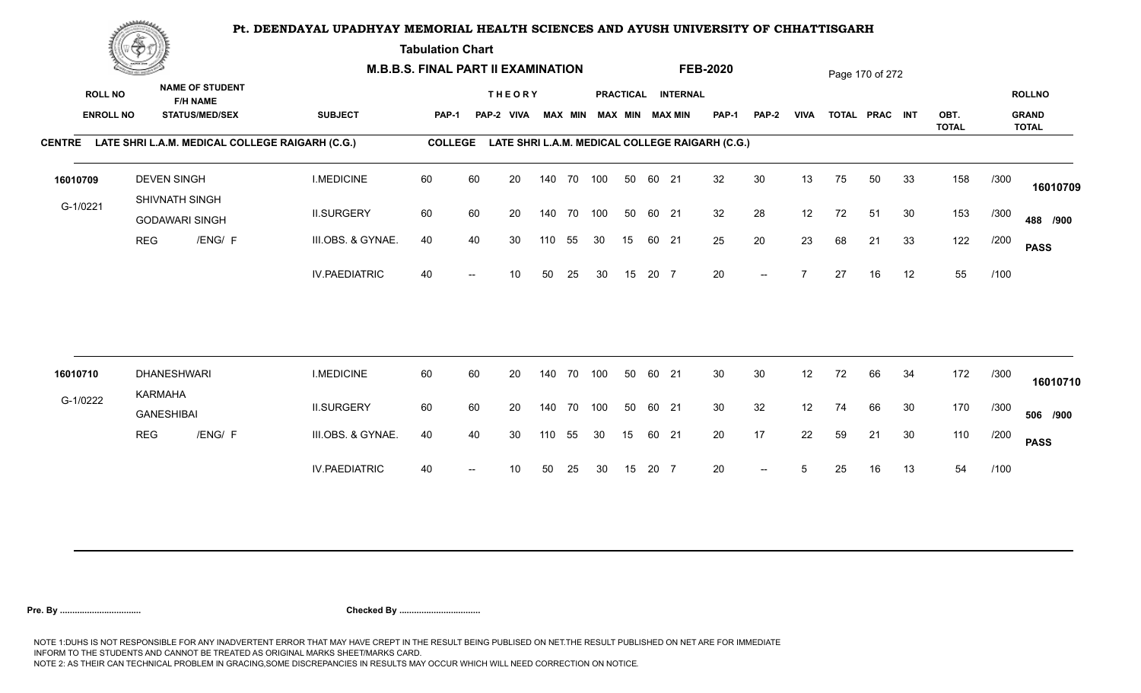**Tabulation Chart** 

|                                    | <b>Construction of the Construction</b> | <b>M.B.B.S. FINAL PART II EXAMINATION</b> |                        |                                                        |                |    |                             |     |                |     |    | <b>FEB-2020</b> |                                              |                                                 |              | Page 170 of 272 |    |                |    |              |      |                               |
|------------------------------------|-----------------------------------------|-------------------------------------------|------------------------|--------------------------------------------------------|----------------|----|-----------------------------|-----|----------------|-----|----|-----------------|----------------------------------------------|-------------------------------------------------|--------------|-----------------|----|----------------|----|--------------|------|-------------------------------|
| <b>ROLL NO</b><br><b>ENROLL NO</b> |                                         | <b>F/H NAME</b><br><b>STATUS/MED/SEX</b>  | <b>NAME OF STUDENT</b> | <b>SUBJECT</b>                                         | PAP-1          |    | <b>THEORY</b><br>PAP-2 VIVA |     | <b>MAX MIN</b> |     |    |                 | PRACTICAL INTERNAL<br><b>MAX MIN MAX MIN</b> | <b>PAP-1</b>                                    | <b>PAP-2</b> | <b>VIVA</b>     |    | TOTAL PRAC INT |    | OBT.         |      | <b>ROLLNO</b><br><b>GRAND</b> |
|                                    |                                         |                                           |                        | CENTRE LATE SHRI L.A.M. MEDICAL COLLEGE RAIGARH (C.G.) | <b>COLLEGE</b> |    |                             |     |                |     |    |                 |                                              | LATE SHRI L.A.M. MEDICAL COLLEGE RAIGARH (C.G.) |              |                 |    |                |    | <b>TOTAL</b> |      | <b>TOTAL</b>                  |
| 16010709                           |                                         | <b>DEVEN SINGH</b><br>SHIVNATH SINGH      |                        | <b>I.MEDICINE</b>                                      | 60             | 60 | 20                          |     | 140 70 100     |     | 50 | 60 21           |                                              | 32                                              | 30           | 13              | 75 | 50             | 33 | 158          | /300 | 16010709                      |
| G-1/0221                           |                                         | <b>GODAWARI SINGH</b>                     |                        | <b>II.SURGERY</b>                                      | 60             | 60 | 20                          |     | 140 70         | 100 | 50 | 60 21           |                                              | 32                                              | 28           | 12              | 72 | 51             | 30 | 153          | /300 | 488 /900                      |
|                                    | <b>REG</b>                              |                                           | /ENG/ F                | III.OBS. & GYNAE.                                      | 40             | 40 | 30                          | 110 | 55             | 30  | 15 | 60 21           |                                              | 25                                              | 20           | 23              | 68 | 21             | 33 | 122          | /200 | <b>PASS</b>                   |
|                                    |                                         |                                           |                        | <b>IV.PAEDIATRIC</b>                                   | 40             |    | 10                          | 50  | 25             | 30  | 15 | 20 7            |                                              | 20                                              | $--$         | $\overline{z}$  | 27 | 16             | 12 | 55           | /100 |                               |
| 16010710                           |                                         | <b>DHANESHWARI</b>                        |                        | <b>I.MEDICINE</b>                                      | 60             | 60 | 20                          |     | 140 70         | 100 | 50 | 60 21           |                                              | 30 <sup>°</sup>                                 | 30           | 12              | 72 | 66             | 34 | 172          | /300 |                               |
| G-1/0222                           |                                         | KARMAHA                                   |                        |                                                        |                |    |                             |     |                |     |    |                 |                                              |                                                 |              |                 |    |                |    |              |      | 16010710                      |
|                                    |                                         | <b>GANESHIBAI</b>                         |                        | <b>II.SURGERY</b>                                      | 60             | 60 | 20                          |     | 140 70         | 100 | 50 | 60 21           |                                              | 30                                              | 32           | 12              | 74 | 66             | 30 | 170          | /300 | 506 /900                      |
|                                    | <b>REG</b>                              |                                           | /ENG/ F                | III.OBS. & GYNAE.                                      | 40             | 40 | 30                          | 110 | 55             | 30  | 15 | 60 21           |                                              | 20                                              | 17           | 22              | 59 | 21             | 30 | 110          | /200 | <b>PASS</b>                   |
|                                    |                                         |                                           |                        | <b>IV.PAEDIATRIC</b>                                   | 40             |    | 10                          | 50  | 25             | 30  | 15 | 20 7            |                                              | 20                                              | $--$         | 5               | 25 | 16             | 13 | 54           | /100 |                               |
|                                    |                                         |                                           |                        |                                                        |                |    |                             |     |                |     |    |                 |                                              |                                                 |              |                 |    |                |    |              |      |                               |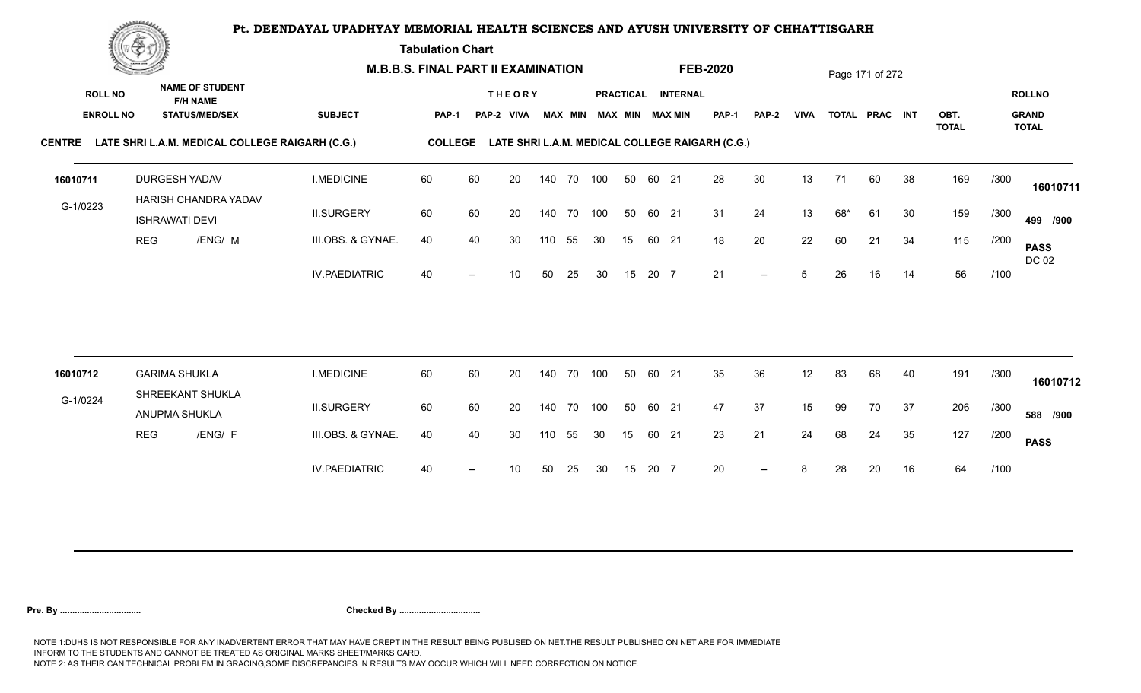**Tabulation Chart** 

|                                    | <b>Construction of the Construction</b> |                                                                    |                                                        |                      | <b>M.B.B.S. FINAL PART II EXAMINATION</b> |    |                             |     |                |            |    |       |                                       | <b>FEB-2020</b>                                 |              |             |     | Page 171 of 272 |    |              |      |                               |
|------------------------------------|-----------------------------------------|--------------------------------------------------------------------|--------------------------------------------------------|----------------------|-------------------------------------------|----|-----------------------------|-----|----------------|------------|----|-------|---------------------------------------|-------------------------------------------------|--------------|-------------|-----|-----------------|----|--------------|------|-------------------------------|
| <b>ROLL NO</b><br><b>ENROLL NO</b> |                                         | <b>NAME OF STUDENT</b><br><b>F/H NAME</b><br><b>STATUS/MED/SEX</b> |                                                        | <b>SUBJECT</b>       | PAP-1                                     |    | <b>THEORY</b><br>PAP-2 VIVA |     | <b>MAX MIN</b> |            |    |       | PRACTICAL INTERNAL<br>MAX MIN MAX MIN | <b>PAP-1</b>                                    | <b>PAP-2</b> | <b>VIVA</b> |     | TOTAL PRAC INT  |    | OBT.         |      | <b>ROLLNO</b><br><b>GRAND</b> |
|                                    |                                         |                                                                    |                                                        |                      |                                           |    |                             |     |                |            |    |       |                                       |                                                 |              |             |     |                 |    | <b>TOTAL</b> |      | <b>TOTAL</b>                  |
|                                    |                                         |                                                                    | CENTRE LATE SHRI L.A.M. MEDICAL COLLEGE RAIGARH (C.G.) |                      | <b>COLLEGE</b>                            |    |                             |     |                |            |    |       |                                       | LATE SHRI L.A.M. MEDICAL COLLEGE RAIGARH (C.G.) |              |             |     |                 |    |              |      |                               |
| 16010711                           |                                         | <b>DURGESH YADAV</b><br>HARISH CHANDRA YADAV                       |                                                        | <b>I.MEDICINE</b>    | 60                                        | 60 | 20                          |     |                | 140 70 100 | 50 | 60 21 |                                       | 28                                              | 30           | 13          | 71  | 60              | 38 | 169          | /300 | 16010711                      |
| G-1/0223                           |                                         | <b>ISHRAWATI DEVI</b>                                              |                                                        | <b>II.SURGERY</b>    | 60                                        | 60 | 20                          |     | 140 70         | 100        | 50 | 60 21 |                                       | 31                                              | 24           | 13          | 68* | 61              | 30 | 159          | /300 | 499 /900                      |
|                                    | <b>REG</b>                              |                                                                    | /ENG/ M                                                | III.OBS. & GYNAE.    | 40                                        | 40 | 30                          | 110 | 55             | 30         | 15 | 60 21 |                                       | 18                                              | 20           | 22          | 60  | 21              | 34 | 115          | /200 | <b>PASS</b><br>DC 02          |
|                                    |                                         |                                                                    |                                                        | <b>IV.PAEDIATRIC</b> | 40                                        |    | 10                          | 50  | 25             | 30         | 15 | 20 7  |                                       | 21                                              | $--$         | $5^{\circ}$ | 26  | 16              | 14 | 56           | /100 |                               |
|                                    |                                         |                                                                    |                                                        |                      |                                           |    |                             |     |                |            |    |       |                                       |                                                 |              |             |     |                 |    |              |      |                               |
| 16010712                           |                                         | <b>GARIMA SHUKLA</b><br>SHREEKANT SHUKLA                           |                                                        | <b>I.MEDICINE</b>    | 60                                        | 60 | 20                          |     |                | 140 70 100 | 50 | 60 21 |                                       | 35                                              | 36           | 12          | 83  | 68              | 40 | 191          | /300 | 16010712                      |
| G-1/0224                           |                                         | ANUPMA SHUKLA                                                      |                                                        | <b>II.SURGERY</b>    | 60                                        | 60 | 20                          |     | 140 70         | 100        | 50 | 60 21 |                                       | 47                                              | 37           | 15          | 99  | 70              | 37 | 206          | /300 | 588 /900                      |
|                                    | <b>REG</b>                              |                                                                    | /ENG/ F                                                | III.OBS. & GYNAE.    | 40                                        | 40 | 30                          | 110 | 55             | 30         | 15 | 60 21 |                                       | 23                                              | 21           | 24          | 68  | 24              | 35 | 127          | /200 | <b>PASS</b>                   |
|                                    |                                         |                                                                    |                                                        | <b>IV.PAEDIATRIC</b> | 40                                        |    | 10                          | 50  | 25             | 30         | 15 | 20 7  |                                       | 20                                              |              | 8           | 28  | 20              | 16 | 64           | /100 |                               |
|                                    |                                         |                                                                    |                                                        |                      |                                           |    |                             |     |                |            |    |       |                                       |                                                 |              |             |     |                 |    |              |      |                               |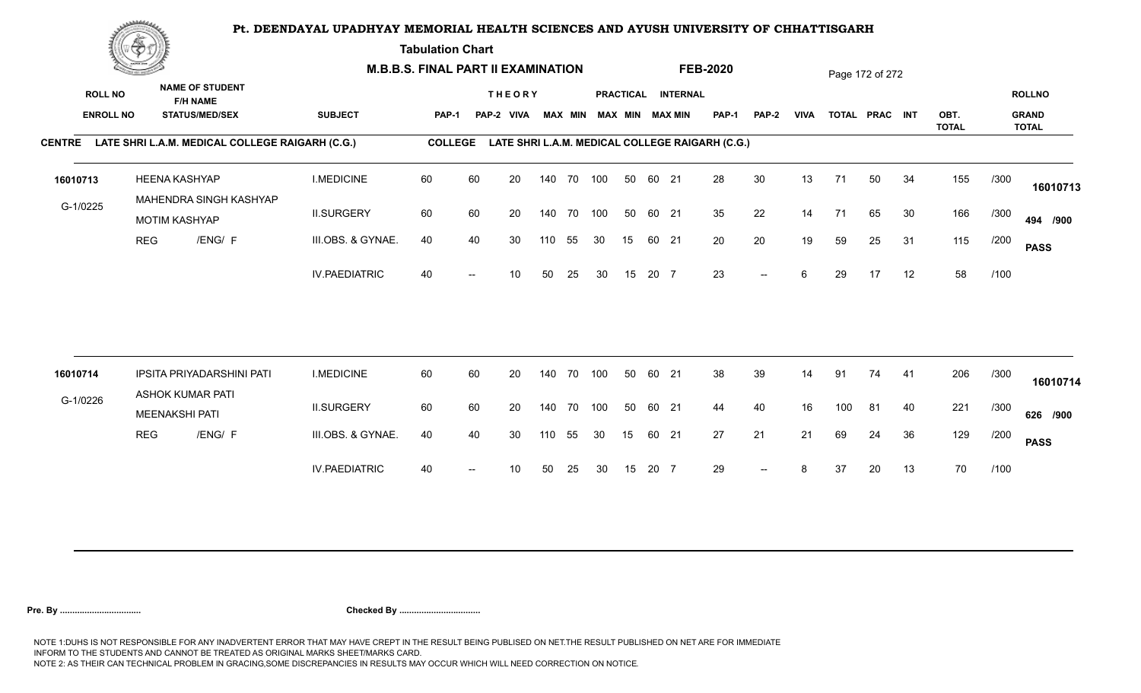**Tabulation Chart** 

|                  | <b>Construction of the Asset</b> |                                                             |                                                 | <b>M.B.B.S. FINAL PART II EXAMINATION</b> |                |       |                 |     |                |     |                        |       | <b>FEB-2020</b>    |                                                 |                          |             | Page 172 of 272 |                |    |                      |      |                              |
|------------------|----------------------------------|-------------------------------------------------------------|-------------------------------------------------|-------------------------------------------|----------------|-------|-----------------|-----|----------------|-----|------------------------|-------|--------------------|-------------------------------------------------|--------------------------|-------------|-----------------|----------------|----|----------------------|------|------------------------------|
| <b>ROLL NO</b>   |                                  | <b>NAME OF STUDENT</b><br><b>F/H NAME</b>                   |                                                 |                                           |                |       | <b>THEORY</b>   |     |                |     |                        |       | PRACTICAL INTERNAL |                                                 |                          |             |                 |                |    |                      |      | <b>ROLLNO</b>                |
| <b>ENROLL NO</b> |                                  | <b>STATUS/MED/SEX</b>                                       | <b>SUBJECT</b>                                  |                                           | <b>PAP-1</b>   | PAP-2 | VIVA            |     | <b>MAX MIN</b> |     | <b>MAX MIN MAX MIN</b> |       |                    | <b>PAP-1</b>                                    | PAP-2                    | <b>VIVA</b> |                 | TOTAL PRAC INT |    | OBT.<br><b>TOTAL</b> |      | <b>GRAND</b><br><b>TOTAL</b> |
| <b>CENTRE</b>    |                                  |                                                             | LATE SHRI L.A.M. MEDICAL COLLEGE RAIGARH (C.G.) |                                           | <b>COLLEGE</b> |       |                 |     |                |     |                        |       |                    | LATE SHRI L.A.M. MEDICAL COLLEGE RAIGARH (C.G.) |                          |             |                 |                |    |                      |      |                              |
| 16010713         |                                  | <b>HEENA KASHYAP</b>                                        | <b>I.MEDICINE</b>                               |                                           | 60             | 60    | 20              |     | 140 70 100     |     | 50                     | 60 21 |                    | 28                                              | 30                       | 13          | 71              | 50             | 34 | 155                  | /300 | 16010713                     |
| G-1/0225         |                                  | MAHENDRA SINGH KASHYAP<br><b>MOTIM KASHYAP</b>              | <b>II.SURGERY</b>                               |                                           | 60             | 60    | 20              |     | 140 70 100     |     | 50                     | 60 21 |                    | 35                                              | 22                       | 14          | 71              | 65             | 30 | 166                  | /300 | 494 /900                     |
|                  | <b>REG</b>                       | /ENG/ F                                                     |                                                 | III.OBS. & GYNAE.                         | 40             | 40    | 30              | 110 | 55             | 30  | 15                     | 60 21 |                    | 20                                              | 20                       | 19          | 59              | 25             | 31 | 115                  | /200 | <b>PASS</b>                  |
|                  |                                  |                                                             |                                                 | <b>IV.PAEDIATRIC</b>                      | 40             |       | 10 <sup>1</sup> | 50  | 25             | 30  | 15                     | 20 7  |                    | 23                                              | $- -$                    | 6           | 29              | 17             | 12 | 58                   | /100 |                              |
|                  |                                  |                                                             |                                                 |                                           | 60             |       | 20              |     |                |     | 50                     | 60 21 |                    |                                                 |                          |             |                 |                |    |                      |      |                              |
| 16010714         |                                  | <b>IPSITA PRIYADARSHINI PATI</b><br><b>ASHOK KUMAR PATI</b> | <b>I.MEDICINE</b>                               |                                           |                | 60    |                 | 140 | 70             | 100 |                        |       |                    | 38                                              | 39                       | 14          | 91              | 74             | 41 | 206                  | /300 | 16010714                     |
| G-1/0226         |                                  | <b>MEENAKSHI PATI</b>                                       | <b>II.SURGERY</b>                               |                                           | 60             | 60    | 20              | 140 | 70             | 100 | 50                     | 60 21 |                    | 44                                              | 40                       | 16          | 100             | 81             | 40 | 221                  | /300 | 626 /900                     |
|                  | <b>REG</b>                       | /ENG/ F                                                     |                                                 | III.OBS. & GYNAE.                         | 40             | 40    | 30              | 110 | 55             | 30  | 15                     | 60 21 |                    | 27                                              | 21                       | 21          | 69              | 24             | 36 | 129                  | /200 | <b>PASS</b>                  |
|                  |                                  |                                                             |                                                 | <b>IV.PAEDIATRIC</b>                      | 40             | $-$   | 10              | 50  | 25             | 30  | 15                     | 20 7  |                    | 29                                              | $\overline{\phantom{a}}$ | 8           | 37              | 20             | 13 | 70                   | /100 |                              |
|                  |                                  |                                                             |                                                 |                                           |                |       |                 |     |                |     |                        |       |                    |                                                 |                          |             |                 |                |    |                      |      |                              |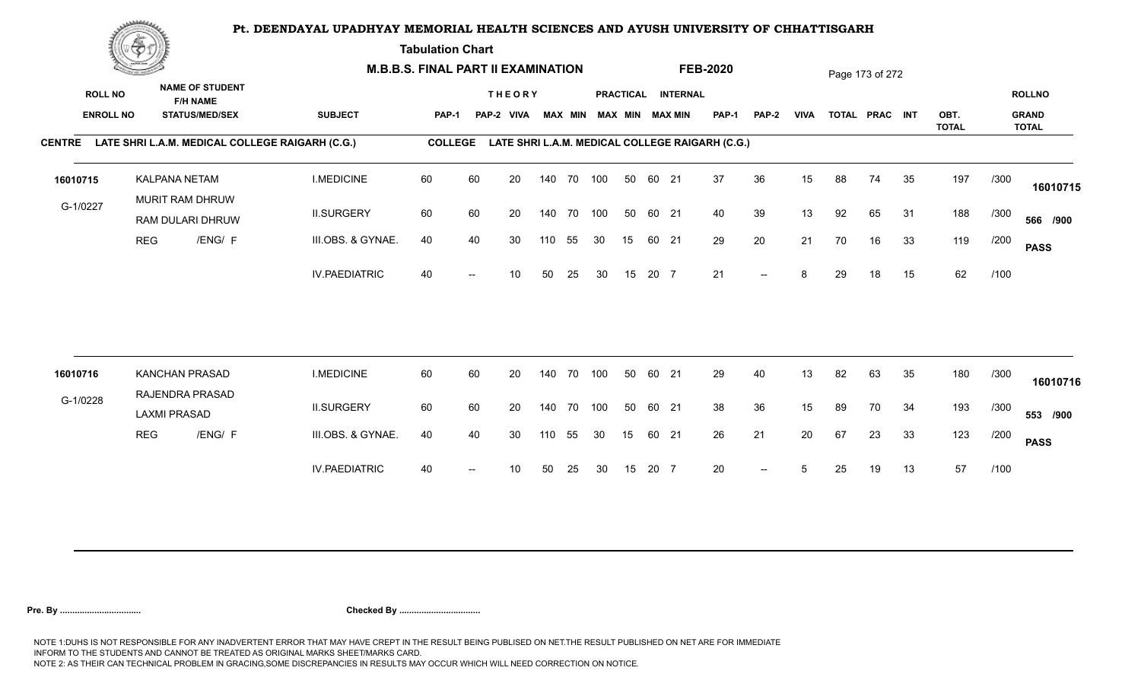**Tabulation Chart** 

|                                    | <b>Construction of the Construction</b> |                                                                    |         | <b>M.B.B.S. FINAL PART II EXAMINATION</b>       |                |    |                             |     |                |            |    |       |                                       | <b>FEB-2020</b>                                 |                          |             |    | Page 173 of 272 |    |              |      |                               |
|------------------------------------|-----------------------------------------|--------------------------------------------------------------------|---------|-------------------------------------------------|----------------|----|-----------------------------|-----|----------------|------------|----|-------|---------------------------------------|-------------------------------------------------|--------------------------|-------------|----|-----------------|----|--------------|------|-------------------------------|
| <b>ROLL NO</b><br><b>ENROLL NO</b> |                                         | <b>NAME OF STUDENT</b><br><b>F/H NAME</b><br><b>STATUS/MED/SEX</b> |         | <b>SUBJECT</b>                                  | <b>PAP-1</b>   |    | <b>THEORY</b><br>PAP-2 VIVA |     | <b>MAX MIN</b> |            |    |       | PRACTICAL INTERNAL<br>MAX MIN MAX MIN | PAP-1                                           | <b>PAP-2</b>             | <b>VIVA</b> |    | TOTAL PRAC INT  |    | OBT.         |      | <b>ROLLNO</b><br><b>GRAND</b> |
| <b>CENTRE</b>                      |                                         |                                                                    |         | LATE SHRI L.A.M. MEDICAL COLLEGE RAIGARH (C.G.) | <b>COLLEGE</b> |    |                             |     |                |            |    |       |                                       | LATE SHRI L.A.M. MEDICAL COLLEGE RAIGARH (C.G.) |                          |             |    |                 |    | <b>TOTAL</b> |      | <b>TOTAL</b>                  |
|                                    |                                         |                                                                    |         |                                                 |                |    |                             |     |                |            |    |       |                                       |                                                 |                          |             |    |                 |    |              |      |                               |
| 16010715                           |                                         | <b>KALPANA NETAM</b><br>MURIT RAM DHRUW                            |         | <b>I.MEDICINE</b>                               | 60             | 60 | 20                          |     | 140 70         | 100        | 50 | 60 21 |                                       | 37                                              | 36                       | 15          | 88 | 74              | 35 | 197          | /300 | 16010715                      |
| G-1/0227                           |                                         | RAM DULARI DHRUW                                                   |         | <b>II.SURGERY</b>                               | 60             | 60 | 20                          |     | 140 70         | 100        | 50 | 60 21 |                                       | 40                                              | 39                       | 13          | 92 | 65              | 31 | 188          | /300 | 566 /900                      |
|                                    | <b>REG</b>                              |                                                                    | /ENG/ F | III.OBS. & GYNAE.                               | 40             | 40 | 30                          | 110 | 55             | 30         | 15 | 60 21 |                                       | 29                                              | 20                       | 21          | 70 | 16              | 33 | 119          | /200 | <b>PASS</b>                   |
|                                    |                                         |                                                                    |         | <b>IV.PAEDIATRIC</b>                            | 40             |    | 10                          | 50  | 25             | 30         | 15 | 20 7  |                                       | 21                                              | $\overline{\phantom{a}}$ | 8           | 29 | 18              | 15 | 62           | /100 |                               |
|                                    |                                         |                                                                    |         |                                                 |                |    |                             |     |                |            |    |       |                                       |                                                 |                          |             |    |                 |    |              |      |                               |
| 16010716                           |                                         | <b>KANCHAN PRASAD</b>                                              |         | <b>I.MEDICINE</b>                               | 60             | 60 | 20                          |     | 140 70         | 100        | 50 | 60 21 |                                       | 29                                              | 40                       | 13          | 82 | 63              | 35 | 180          | /300 | 16010716                      |
| G-1/0228                           |                                         | RAJENDRA PRASAD<br><b>LAXMI PRASAD</b>                             |         | <b>II.SURGERY</b>                               | 60             | 60 | 20                          |     |                | 140 70 100 | 50 | 60 21 |                                       | 38                                              | 36                       | 15          | 89 | 70              | 34 | 193          | /300 | 553 /900                      |
|                                    | <b>REG</b>                              |                                                                    | /ENG/ F | III.OBS. & GYNAE.                               | 40             | 40 | 30                          | 110 | 55             | 30         | 15 | 60 21 |                                       | 26                                              | 21                       | 20          | 67 | 23              | 33 | 123          | /200 | <b>PASS</b>                   |
|                                    |                                         |                                                                    |         | <b>IV.PAEDIATRIC</b>                            | 40             |    | 10                          | 50  | 25             | 30         | 15 | 20 7  |                                       | 20                                              | $-$                      |             | 25 | 19              | 13 | 57           | /100 |                               |
|                                    |                                         |                                                                    |         |                                                 |                |    |                             |     |                |            |    |       |                                       |                                                 |                          |             |    |                 |    |              |      |                               |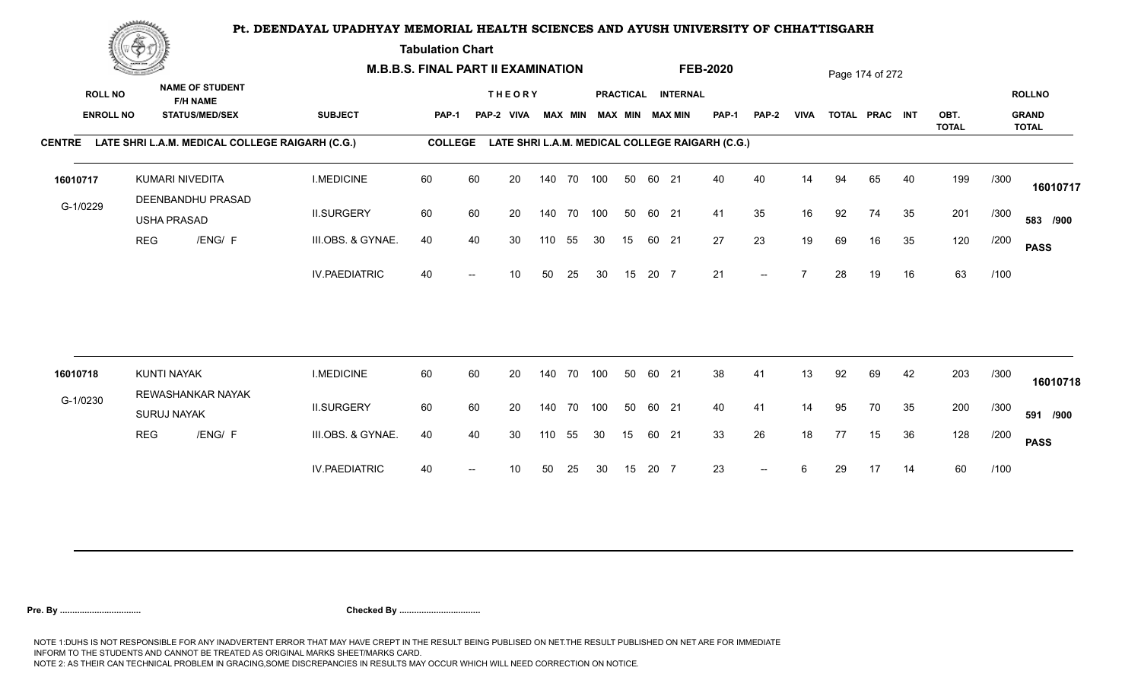**Tabulation Chart** 

|                                    | <b>Construction of the Construction</b> |                    | <b>M.B.B.S. FINAL PART II EXAMINATION</b>                          |                      |                |    |                             |     |                |            |    | <b>FEB-2020</b> |                                              |                                                 |                          | Page 174 of 272 |    |                |    |                      |      |                                               |
|------------------------------------|-----------------------------------------|--------------------|--------------------------------------------------------------------|----------------------|----------------|----|-----------------------------|-----|----------------|------------|----|-----------------|----------------------------------------------|-------------------------------------------------|--------------------------|-----------------|----|----------------|----|----------------------|------|-----------------------------------------------|
| <b>ROLL NO</b><br><b>ENROLL NO</b> |                                         |                    | <b>NAME OF STUDENT</b><br><b>F/H NAME</b><br><b>STATUS/MED/SEX</b> | <b>SUBJECT</b>       | PAP-1          |    | <b>THEORY</b><br>PAP-2 VIVA |     | <b>MAX MIN</b> |            |    |                 | PRACTICAL INTERNAL<br><b>MAX MIN MAX MIN</b> | <b>PAP-1</b>                                    | <b>PAP-2</b>             | <b>VIVA</b>     |    | TOTAL PRAC INT |    | OBT.<br><b>TOTAL</b> |      | <b>ROLLNO</b><br><b>GRAND</b><br><b>TOTAL</b> |
|                                    |                                         |                    | CENTRE LATE SHRI L.A.M. MEDICAL COLLEGE RAIGARH (C.G.)             |                      | <b>COLLEGE</b> |    |                             |     |                |            |    |                 |                                              | LATE SHRI L.A.M. MEDICAL COLLEGE RAIGARH (C.G.) |                          |                 |    |                |    |                      |      |                                               |
| 16010717                           |                                         |                    | KUMARI NIVEDITA<br>DEENBANDHU PRASAD                               | <b>I.MEDICINE</b>    | 60             | 60 | 20                          |     |                | 140 70 100 | 50 | 60 21           |                                              | 40                                              | 40                       | 14              | 94 | 65             | 40 | 199                  | /300 | 16010717                                      |
| G-1/0229                           |                                         | <b>USHA PRASAD</b> |                                                                    | <b>II.SURGERY</b>    | 60             | 60 | 20                          |     | 140 70         | 100        | 50 | 60 21           |                                              | 41                                              | 35                       | 16              | 92 | 74             | 35 | 201                  | /300 | 583 /900                                      |
|                                    | <b>REG</b>                              |                    | /ENG/ F                                                            | III.OBS. & GYNAE.    | 40             | 40 | 30                          | 110 | 55             | 30         | 15 | 60 21           |                                              | 27                                              | 23                       | 19              | 69 | 16             | 35 | 120                  | /200 | <b>PASS</b>                                   |
|                                    |                                         |                    |                                                                    | <b>IV.PAEDIATRIC</b> | 40             |    | 10                          | 50  | 25             | 30         | 15 | 20 7            |                                              | 21                                              | $-$                      |                 | 28 | 19             | 16 | 63                   | /100 |                                               |
| 16010718                           |                                         | <b>KUNTI NAYAK</b> |                                                                    | <b>I.MEDICINE</b>    | 60             | 60 | 20                          |     | 140 70         | 100        | 50 | 60 21           |                                              | 38                                              | 41                       | 13              | 92 | 69             | 42 | 203                  | /300 |                                               |
| G-1/0230                           |                                         |                    | REWASHANKAR NAYAK                                                  |                      |                |    |                             |     |                |            |    |                 |                                              |                                                 |                          |                 |    |                |    |                      |      | 16010718                                      |
|                                    |                                         | <b>SURUJ NAYAK</b> |                                                                    | <b>II.SURGERY</b>    | 60             | 60 | 20                          |     | 140 70         | 100        | 50 | 60 21           |                                              | 40                                              | 41                       | 14              | 95 | 70             | 35 | 200                  | /300 | 591 /900                                      |
|                                    | <b>REG</b>                              |                    | /ENG/ F                                                            | III.OBS. & GYNAE.    | 40             | 40 | 30                          | 110 | 55             | 30         | 15 | 60 21           |                                              | 33                                              | 26                       | 18              | 77 | 15             | 36 | 128                  | /200 | <b>PASS</b>                                   |
|                                    |                                         |                    |                                                                    | <b>IV.PAEDIATRIC</b> | 40             |    | 10                          | 50  | 25             | 30         | 15 | 20 7            |                                              | 23                                              | $\overline{\phantom{a}}$ | 6               | 29 | 17             | 14 | 60                   | /100 |                                               |
|                                    |                                         |                    |                                                                    |                      |                |    |                             |     |                |            |    |                 |                                              |                                                 |                          |                 |    |                |    |                      |      |                                               |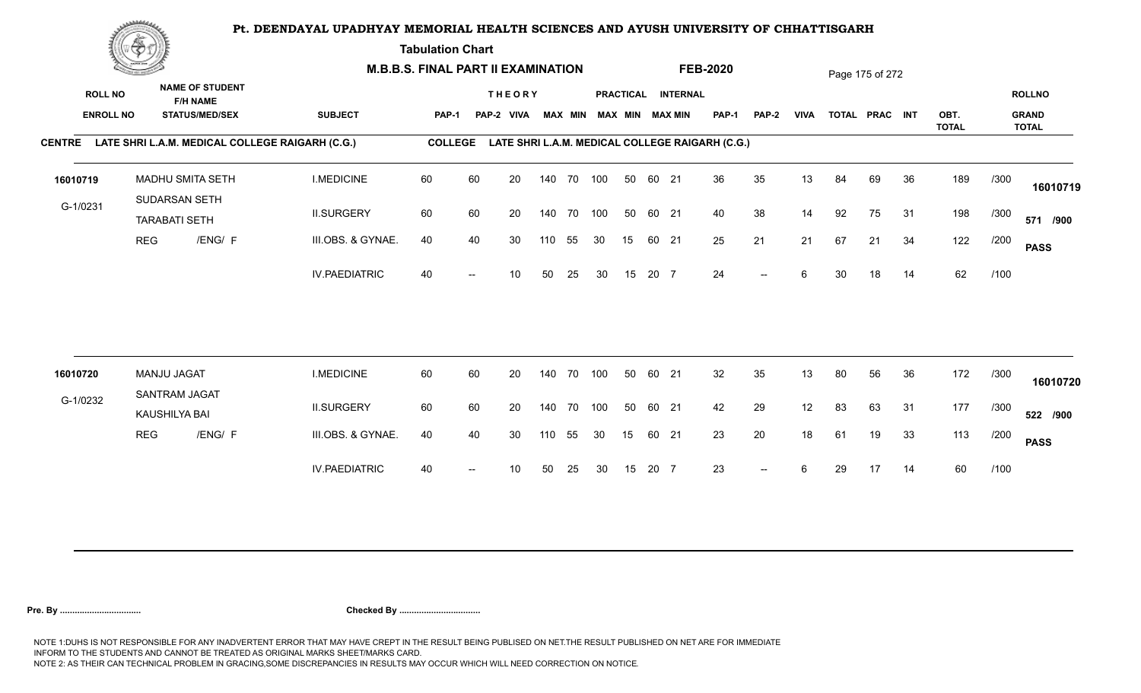**Tabulation Chart** 

|                                    | <b>Construction of the Construction</b> | <b>M.B.B.S. FINAL PART II EXAMINATION</b> |                                                                    |                                                        |                |    |                             |     |                |            |    | <b>FEB-2020</b> |                                       |                                                 |              | Page 175 of 272 |    |                |    |              |      |                               |
|------------------------------------|-----------------------------------------|-------------------------------------------|--------------------------------------------------------------------|--------------------------------------------------------|----------------|----|-----------------------------|-----|----------------|------------|----|-----------------|---------------------------------------|-------------------------------------------------|--------------|-----------------|----|----------------|----|--------------|------|-------------------------------|
| <b>ROLL NO</b><br><b>ENROLL NO</b> |                                         |                                           | <b>NAME OF STUDENT</b><br><b>F/H NAME</b><br><b>STATUS/MED/SEX</b> | <b>SUBJECT</b>                                         | <b>PAP-1</b>   |    | <b>THEORY</b><br>PAP-2 VIVA |     | <b>MAX MIN</b> |            |    |                 | PRACTICAL INTERNAL<br>MAX MIN MAX MIN | PAP-1                                           | <b>PAP-2</b> | <b>VIVA</b>     |    | TOTAL PRAC INT |    | OBT.         |      | <b>ROLLNO</b><br><b>GRAND</b> |
|                                    |                                         |                                           |                                                                    | CENTRE LATE SHRI L.A.M. MEDICAL COLLEGE RAIGARH (C.G.) | <b>COLLEGE</b> |    |                             |     |                |            |    |                 |                                       | LATE SHRI L.A.M. MEDICAL COLLEGE RAIGARH (C.G.) |              |                 |    |                |    | <b>TOTAL</b> |      | <b>TOTAL</b>                  |
| 16010719                           |                                         | MADHU SMITA SETH<br>SUDARSAN SETH         |                                                                    | <b>I.MEDICINE</b>                                      | 60             | 60 | 20                          |     |                | 140 70 100 | 50 | 60 21           |                                       | 36                                              | 35           | 13              | 84 | 69             | 36 | 189          | /300 | 16010719                      |
| G-1/0231                           |                                         | <b>TARABATI SETH</b>                      |                                                                    | <b>II.SURGERY</b>                                      | 60             | 60 | 20                          |     |                | 140 70 100 | 50 | 60 21           |                                       | 40                                              | 38           | 14              | 92 | 75             | 31 | 198          | /300 | 571 /900                      |
|                                    | <b>REG</b>                              |                                           | /ENG/ F                                                            | III.OBS. & GYNAE.                                      | 40             | 40 | 30                          | 110 | 55             | 30         | 15 | 60 21           |                                       | 25                                              | 21           | 21              | 67 | 21             | 34 | 122          | /200 | <b>PASS</b>                   |
|                                    |                                         |                                           |                                                                    | <b>IV.PAEDIATRIC</b>                                   | 40             |    | 10                          | 50  | 25             | 30         | 15 | 20 7            |                                       | 24                                              | $-$          | 6               | 30 | 18             | 14 | 62           | /100 |                               |
|                                    |                                         | <b>MANJU JAGAT</b>                        |                                                                    | <b>I.MEDICINE</b>                                      | 60             | 60 | 20                          |     | 140 70         | 100        | 50 | 60 21           |                                       | 32                                              | 35           | 13              | 80 | 56             | 36 | 172          | /300 |                               |
| 16010720                           |                                         | SANTRAM JAGAT                             |                                                                    |                                                        |                |    |                             |     |                |            |    |                 |                                       |                                                 |              |                 |    |                |    |              |      | 16010720                      |
| G-1/0232                           |                                         | KAUSHILYA BAI                             |                                                                    | <b>II.SURGERY</b>                                      | 60             | 60 | 20                          |     |                | 140 70 100 | 50 | 60 21           |                                       | 42                                              | 29           | 12              | 83 | 63             | 31 | 177          | /300 | 522 /900                      |
|                                    | <b>REG</b>                              |                                           | /ENG/ F                                                            | III.OBS. & GYNAE.                                      | 40             | 40 | 30                          | 110 | 55             | 30         | 15 | 60 21           |                                       | 23                                              | 20           | 18              | 61 | 19             | 33 | 113          | /200 | <b>PASS</b>                   |
|                                    |                                         |                                           |                                                                    | <b>IV.PAEDIATRIC</b>                                   | 40             |    | 10                          | 50  | 25             | 30         | 15 | 20 7            |                                       | 23                                              | $--$         | 6               | 29 | 17             | 14 | 60           | /100 |                               |
|                                    |                                         |                                           |                                                                    |                                                        |                |    |                             |     |                |            |    |                 |                                       |                                                 |              |                 |    |                |    |              |      |                               |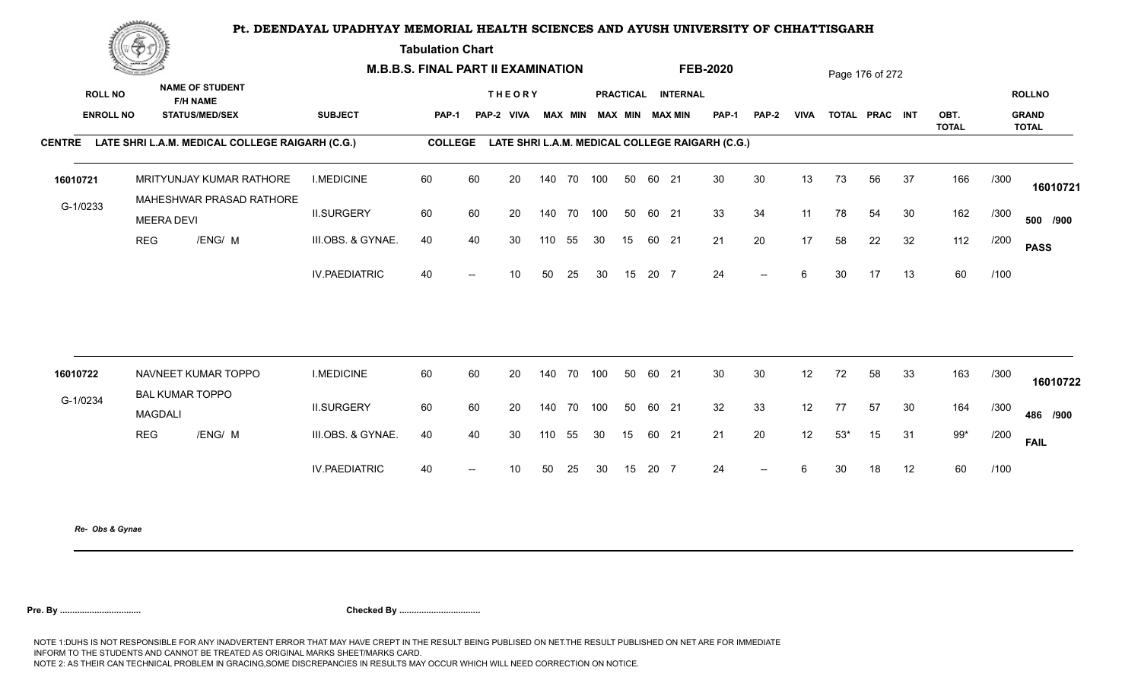**Tabulation Chart** 

|                  | <b>Contractor of the Contract of the Contractor</b> |                                                        |                      | <b>M.B.B.S. FINAL PART II EXAMINATION</b> |                          |                 |     |                |     |                        |       |                    | <b>FEB-2020</b>                                 |       |             |       | Page 176 of 272 |    |                      |      |                              |
|------------------|-----------------------------------------------------|--------------------------------------------------------|----------------------|-------------------------------------------|--------------------------|-----------------|-----|----------------|-----|------------------------|-------|--------------------|-------------------------------------------------|-------|-------------|-------|-----------------|----|----------------------|------|------------------------------|
| <b>ROLL NO</b>   |                                                     | <b>NAME OF STUDENT</b><br><b>F/H NAME</b>              |                      |                                           |                          | <b>THEORY</b>   |     |                |     |                        |       | PRACTICAL INTERNAL |                                                 |       |             |       |                 |    |                      |      | <b>ROLLNO</b>                |
| <b>ENROLL NO</b> |                                                     | <b>STATUS/MED/SEX</b>                                  | <b>SUBJECT</b>       | PAP-1                                     |                          | PAP-2 VIVA      |     | <b>MAX MIN</b> |     | <b>MAX MIN MAX MIN</b> |       |                    | PAP-1                                           | PAP-2 | <b>VIVA</b> |       | TOTAL PRAC INT  |    | OBT.<br><b>TOTAL</b> |      | <b>GRAND</b><br><b>TOTAL</b> |
|                  |                                                     | CENTRE LATE SHRI L.A.M. MEDICAL COLLEGE RAIGARH (C.G.) |                      | <b>COLLEGE</b>                            |                          |                 |     |                |     |                        |       |                    | LATE SHRI L.A.M. MEDICAL COLLEGE RAIGARH (C.G.) |       |             |       |                 |    |                      |      |                              |
| 16010721         |                                                     | MRITYUNJAY KUMAR RATHORE                               | <b>I.MEDICINE</b>    | 60                                        | 60                       | 20              |     | 140 70 100     |     | 50                     | 60 21 |                    | 30                                              | 30    | 13          | 73    | 56              | 37 | 166                  | /300 | 16010721                     |
| G-1/0233         | <b>MEERA DEVI</b>                                   | MAHESHWAR PRASAD RATHORE                               | <b>II.SURGERY</b>    | 60                                        | 60                       | 20              | 140 | 70 100         |     | 50                     | 60 21 |                    | 33                                              | 34    | 11          | 78    | 54              | 30 | 162                  | /300 | 500 /900                     |
|                  | <b>REG</b>                                          | /ENG/ M                                                | III.OBS. & GYNAE.    | 40                                        | 40                       | 30              | 110 | 55             | 30  | 15                     | 60 21 |                    | 21                                              | 20    | 17          | 58    | 22              | 32 | 112                  | /200 | <b>PASS</b>                  |
|                  |                                                     |                                                        | <b>IV.PAEDIATRIC</b> | 40                                        | $\overline{a}$           | 10              | 50  | 25             | 30  | 15                     | 20 7  |                    | 24                                              | $--$  | 6           | 30    | 17              | 13 | 60                   | /100 |                              |
|                  |                                                     |                                                        |                      |                                           |                          |                 |     |                |     |                        |       |                    |                                                 |       |             |       |                 |    |                      |      |                              |
| 16010722         |                                                     | NAVNEET KUMAR TOPPO                                    | <b>I.MEDICINE</b>    | 60                                        | 60                       | 20              | 140 | 70             | 100 | 50                     | 60 21 |                    | 30                                              | 30    | 12          | 72    | 58              | 33 | 163                  | /300 | 16010722                     |
| G-1/0234         | <b>MAGDALI</b>                                      | <b>BAL KUMAR TOPPO</b>                                 | <b>II.SURGERY</b>    | 60                                        | 60                       | 20              | 140 | 70 100         |     | 50                     | 60 21 |                    | 32                                              | 33    | 12          | 77    | 57              | 30 | 164                  | /300 | 486 /900                     |
|                  | <b>REG</b>                                          | /ENG/ M                                                | III.OBS. & GYNAE.    | 40                                        | 40                       | 30              | 110 | 55             | 30  | 15                     | 60 21 |                    | 21                                              | 20    | 12          | $53*$ | 15              | 31 | $99*$                | /200 | <b>FAIL</b>                  |
|                  |                                                     |                                                        | <b>IV.PAEDIATRIC</b> | 40                                        | $\overline{\phantom{a}}$ | 10 <sup>°</sup> | 50  | 25             | 30  | 15                     | 20 7  |                    | 24                                              | $--$  | 6           | 30    | 18              | 12 | 60                   | /100 |                              |
|                  |                                                     |                                                        |                      |                                           |                          |                 |     |                |     |                        |       |                    |                                                 |       |             |       |                 |    |                      |      |                              |

*Re- Obs & Gynae*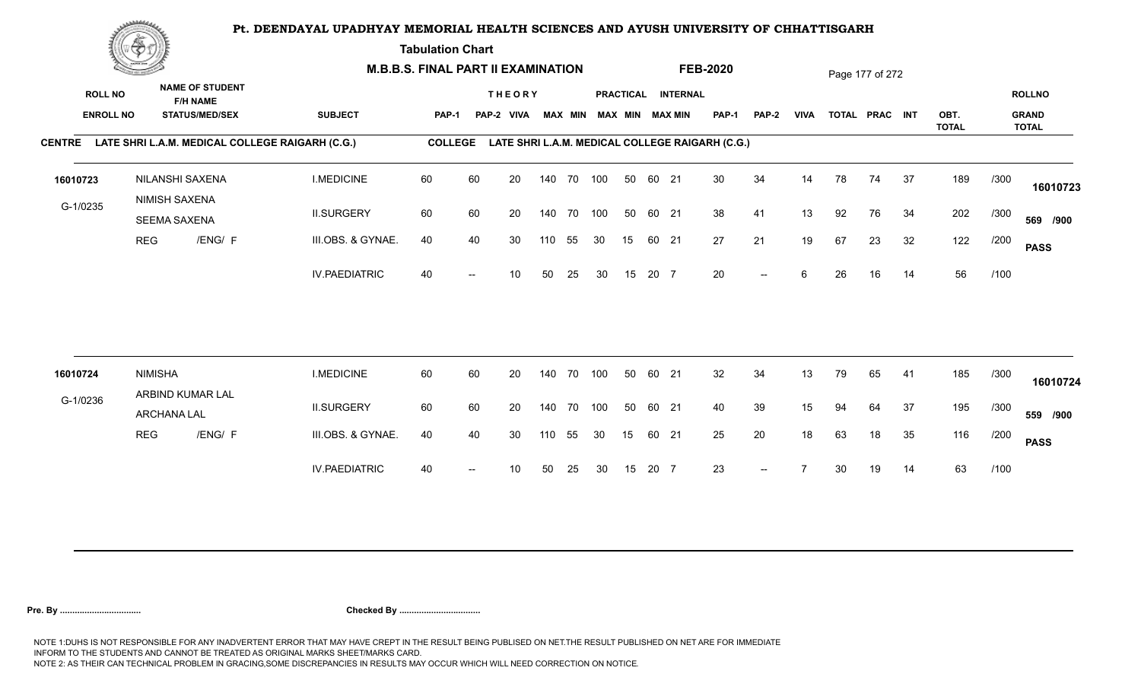**Tabulation Chart** 

|                                    | <b>Construction of the Construction</b> |                                                                    |                                                        | <b>M.B.B.S. FINAL PART II EXAMINATION</b> |    |                             |     |                |            |    |       |                                       | <b>FEB-2020</b>                                 |              |             |    | Page 177 of 272 |    |              |      |                               |
|------------------------------------|-----------------------------------------|--------------------------------------------------------------------|--------------------------------------------------------|-------------------------------------------|----|-----------------------------|-----|----------------|------------|----|-------|---------------------------------------|-------------------------------------------------|--------------|-------------|----|-----------------|----|--------------|------|-------------------------------|
| <b>ROLL NO</b><br><b>ENROLL NO</b> |                                         | <b>NAME OF STUDENT</b><br><b>F/H NAME</b><br><b>STATUS/MED/SEX</b> | <b>SUBJECT</b>                                         | PAP-1                                     |    | <b>THEORY</b><br>PAP-2 VIVA |     | <b>MAX MIN</b> |            |    |       | PRACTICAL INTERNAL<br>MAX MIN MAX MIN | <b>PAP-1</b>                                    | <b>PAP-2</b> | <b>VIVA</b> |    | TOTAL PRAC INT  |    | OBT.         |      | <b>ROLLNO</b><br><b>GRAND</b> |
|                                    |                                         |                                                                    |                                                        |                                           |    |                             |     |                |            |    |       |                                       |                                                 |              |             |    |                 |    | <b>TOTAL</b> |      | <b>TOTAL</b>                  |
|                                    |                                         |                                                                    | CENTRE LATE SHRI L.A.M. MEDICAL COLLEGE RAIGARH (C.G.) | <b>COLLEGE</b>                            |    |                             |     |                |            |    |       |                                       | LATE SHRI L.A.M. MEDICAL COLLEGE RAIGARH (C.G.) |              |             |    |                 |    |              |      |                               |
| 16010723                           |                                         | NILANSHI SAXENA                                                    | <b>I.MEDICINE</b>                                      | 60                                        | 60 | 20                          |     |                | 140 70 100 | 50 | 60 21 |                                       | 30                                              | 34           | 14          | 78 | 74              | 37 | 189          | /300 | 16010723                      |
| G-1/0235                           |                                         | NIMISH SAXENA<br><b>SEEMA SAXENA</b>                               | <b>II.SURGERY</b>                                      | 60                                        | 60 | 20                          |     |                | 140 70 100 | 50 | 60 21 |                                       | 38                                              | 41           | 13          | 92 | 76              | 34 | 202          | /300 | 569 /900                      |
|                                    | <b>REG</b>                              | /ENG/ F                                                            | III.OBS. & GYNAE.                                      | 40                                        | 40 | 30                          | 110 | 55             | 30         | 15 | 60 21 |                                       | 27                                              | 21           | 19          | 67 | 23              | 32 | 122          | /200 | <b>PASS</b>                   |
|                                    |                                         |                                                                    | <b>IV.PAEDIATRIC</b>                                   | 40                                        |    | 10                          | 50  | 25             | 30         | 15 | 20 7  |                                       | 20                                              | $--$         | 6           | 26 | 16              | 14 | 56           | /100 |                               |
|                                    |                                         |                                                                    |                                                        |                                           |    |                             |     |                |            |    |       |                                       |                                                 |              |             |    |                 |    |              |      |                               |
| 16010724                           | <b>NIMISHA</b>                          | ARBIND KUMAR LAL                                                   | <b>I.MEDICINE</b>                                      | 60                                        | 60 | 20                          |     |                | 140 70 100 | 50 | 60 21 |                                       | 32                                              | 34           | 13          | 79 | 65              | 41 | 185          | /300 | 16010724                      |
| G-1/0236                           |                                         | ARCHANA LAL                                                        | <b>II.SURGERY</b>                                      | 60                                        | 60 | 20                          |     | 140 70         | 100        | 50 | 60 21 |                                       | 40                                              | 39           | 15          | 94 | 64              | 37 | 195          | /300 | 559 /900                      |
|                                    | <b>REG</b>                              | /ENG/ F                                                            | III.OBS. & GYNAE.                                      | 40                                        | 40 | 30                          | 110 | 55             | 30         | 15 | 60 21 |                                       | 25                                              | 20           | 18          | 63 | 18              | 35 | 116          | /200 | <b>PASS</b>                   |
|                                    |                                         |                                                                    | <b>IV.PAEDIATRIC</b>                                   | 40                                        |    | 10                          | 50  | 25             | 30         | 15 | 20 7  |                                       | 23                                              |              |             | 30 | 19              | 14 | 63           | /100 |                               |
|                                    |                                         |                                                                    |                                                        |                                           |    |                             |     |                |            |    |       |                                       |                                                 |              |             |    |                 |    |              |      |                               |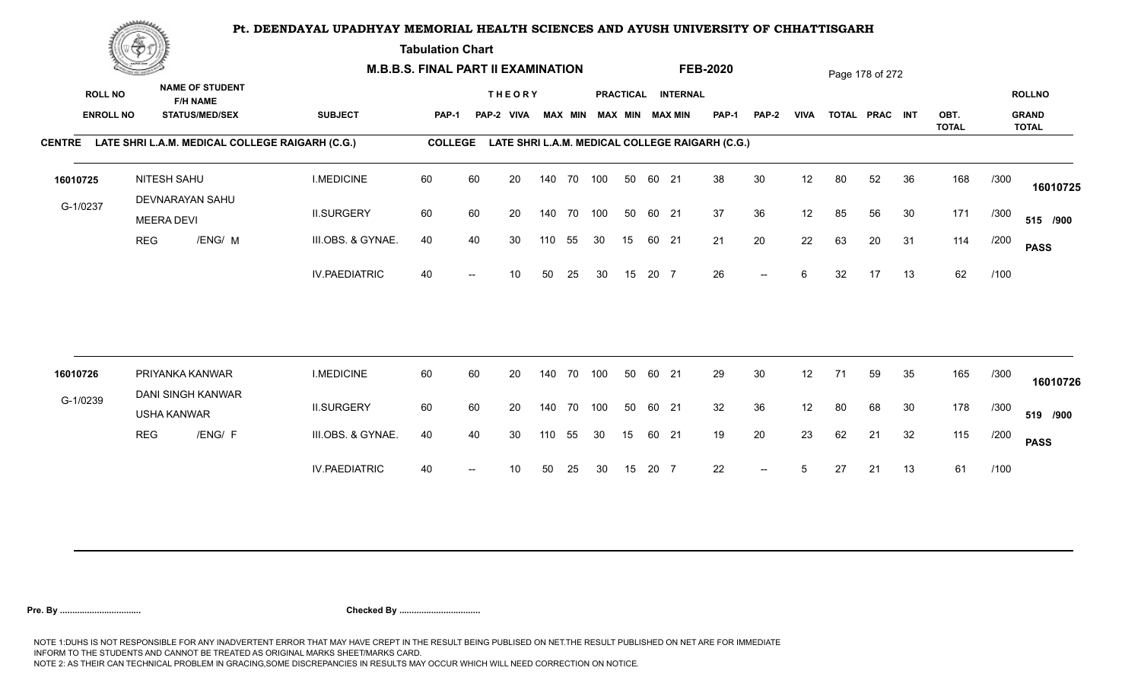**Tabulation Chart** 

|                                    | <b>Construction of the Construction</b> | <b>M.B.B.S. FINAL PART II EXAMINATION</b> |                                                                    |                                                        |                |    |                             |     |                |            |    | <b>FEB-2020</b> |                                              |                                                 |                          | Page 178 of 272 |    |                |    |              |      |                               |
|------------------------------------|-----------------------------------------|-------------------------------------------|--------------------------------------------------------------------|--------------------------------------------------------|----------------|----|-----------------------------|-----|----------------|------------|----|-----------------|----------------------------------------------|-------------------------------------------------|--------------------------|-----------------|----|----------------|----|--------------|------|-------------------------------|
| <b>ROLL NO</b><br><b>ENROLL NO</b> |                                         |                                           | <b>NAME OF STUDENT</b><br><b>F/H NAME</b><br><b>STATUS/MED/SEX</b> | <b>SUBJECT</b>                                         | PAP-1          |    | <b>THEORY</b><br>PAP-2 VIVA |     | <b>MAX MIN</b> |            |    |                 | PRACTICAL INTERNAL<br><b>MAX MIN MAX MIN</b> | <b>PAP-1</b>                                    | <b>PAP-2</b>             | <b>VIVA</b>     |    | TOTAL PRAC INT |    | OBT.         |      | <b>ROLLNO</b><br><b>GRAND</b> |
|                                    |                                         |                                           |                                                                    | CENTRE LATE SHRI L.A.M. MEDICAL COLLEGE RAIGARH (C.G.) | <b>COLLEGE</b> |    |                             |     |                |            |    |                 |                                              | LATE SHRI L.A.M. MEDICAL COLLEGE RAIGARH (C.G.) |                          |                 |    |                |    | <b>TOTAL</b> |      | <b>TOTAL</b>                  |
| 16010725                           |                                         | NITESH SAHU<br>DEVNARAYAN SAHU            |                                                                    | <b>I.MEDICINE</b>                                      | 60             | 60 | 20                          |     |                | 140 70 100 | 50 | 60 21           |                                              | 38                                              | 30                       | 12              | 80 | 52             | 36 | 168          | /300 | 16010725                      |
| G-1/0237                           |                                         | <b>MEERA DEVI</b>                         |                                                                    | <b>II.SURGERY</b>                                      | 60             | 60 | 20                          |     | 140 70         | 100        | 50 | 60 21           |                                              | 37                                              | 36                       | 12              | 85 | 56             | 30 | 171          | /300 | 515 /900                      |
|                                    | <b>REG</b>                              |                                           | /ENG/ M                                                            | III.OBS. & GYNAE.                                      | 40             | 40 | 30                          | 110 | 55             | 30         | 15 | 60 21           |                                              | 21                                              | 20                       | 22              | 63 | 20             | 31 | 114          | /200 | <b>PASS</b>                   |
|                                    |                                         |                                           |                                                                    | <b>IV.PAEDIATRIC</b>                                   | 40             |    | 10                          | 50  | 25             | 30         | 15 | 20 7            |                                              | 26                                              | $\overline{\phantom{a}}$ | 6               | 32 | 17             | 13 | 62           | /100 |                               |
| 16010726                           |                                         | PRIYANKA KANWAR                           |                                                                    | <b>I.MEDICINE</b>                                      | 60             | 60 | 20                          |     | 140 70         | 100        | 50 | 60 21           |                                              | 29                                              | 30                       | 12              | 71 | 59             | 35 | 165          | /300 |                               |
|                                    |                                         |                                           | DANI SINGH KANWAR                                                  |                                                        |                |    |                             |     |                |            |    |                 |                                              |                                                 |                          |                 |    |                |    |              |      | 16010726                      |
| G-1/0239                           |                                         | <b>USHA KANWAR</b>                        |                                                                    | <b>II.SURGERY</b>                                      | 60             | 60 | 20                          |     | 140 70         | 100        | 50 | 60 21           |                                              | 32                                              | 36                       | 12              | 80 | 68             | 30 | 178          | /300 | 519 /900                      |
|                                    | <b>REG</b>                              |                                           | /ENG/ F                                                            | III.OBS. & GYNAE.                                      | 40             | 40 | 30                          | 110 | 55             | 30         | 15 | 60 21           |                                              | 19                                              | 20                       | 23              | 62 | 21             | 32 | 115          | /200 | <b>PASS</b>                   |
|                                    |                                         |                                           |                                                                    | <b>IV.PAEDIATRIC</b>                                   | 40             |    | 10                          | 50  | 25             | 30         | 15 | 20 7            |                                              | 22                                              | $\overline{\phantom{a}}$ | 5               | 27 | 21             | 13 | 61           | /100 |                               |
|                                    |                                         |                                           |                                                                    |                                                        |                |    |                             |     |                |            |    |                 |                                              |                                                 |                          |                 |    |                |    |              |      |                               |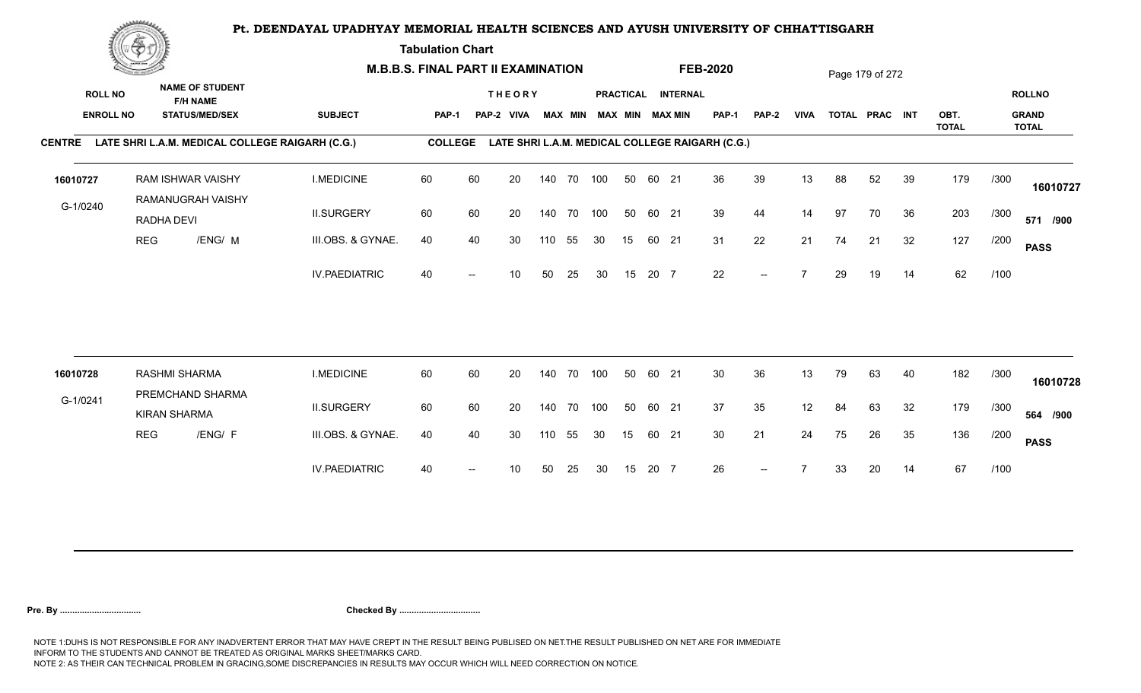**Tabulation Chart** 

|                                    | <b>Construction of the Construction</b> |                     | <b>M.B.B.S. FINAL PART II EXAMINATION</b>       |                      |                |    |                             |     |                |            |    | <b>FEB-2020</b> |                                              |                                                 |              | Page 179 of 272 |    |                |    |              |      |                               |
|------------------------------------|-----------------------------------------|---------------------|-------------------------------------------------|----------------------|----------------|----|-----------------------------|-----|----------------|------------|----|-----------------|----------------------------------------------|-------------------------------------------------|--------------|-----------------|----|----------------|----|--------------|------|-------------------------------|
| <b>ROLL NO</b><br><b>ENROLL NO</b> |                                         | <b>F/H NAME</b>     | <b>NAME OF STUDENT</b><br><b>STATUS/MED/SEX</b> | <b>SUBJECT</b>       | PAP-1          |    | <b>THEORY</b><br>PAP-2 VIVA |     | <b>MAX MIN</b> |            |    |                 | PRACTICAL INTERNAL<br><b>MAX MIN MAX MIN</b> | <b>PAP-1</b>                                    | <b>PAP-2</b> | <b>VIVA</b>     |    | TOTAL PRAC INT |    | OBT.         |      | <b>ROLLNO</b><br><b>GRAND</b> |
| <b>CENTRE</b>                      |                                         |                     | LATE SHRI L.A.M. MEDICAL COLLEGE RAIGARH (C.G.) |                      | <b>COLLEGE</b> |    |                             |     |                |            |    |                 |                                              | LATE SHRI L.A.M. MEDICAL COLLEGE RAIGARH (C.G.) |              |                 |    |                |    | <b>TOTAL</b> |      | <b>TOTAL</b>                  |
|                                    |                                         |                     | <b>RAM ISHWAR VAISHY</b>                        | <b>I.MEDICINE</b>    | 60             | 60 | 20                          |     |                | 140 70 100 | 50 | 60 21           |                                              | 36                                              | 39           | 13              | 88 | 52             | 39 | 179          | /300 |                               |
| 16010727                           |                                         |                     | RAMANUGRAH VAISHY                               |                      |                |    |                             |     |                |            |    |                 |                                              |                                                 |              |                 |    |                |    |              |      | 16010727                      |
| G-1/0240                           |                                         | RADHA DEVI          |                                                 | <b>II.SURGERY</b>    | 60             | 60 | 20                          |     | 140 70         | 100        | 50 | 60 21           |                                              | 39                                              | 44           | 14              | 97 | 70             | 36 | 203          | /300 | 571 /900                      |
|                                    | <b>REG</b>                              |                     | /ENG/ M                                         | III.OBS. & GYNAE.    | 40             | 40 | 30                          | 110 | 55             | 30         | 15 | 60 21           |                                              | 31                                              | 22           | 21              | 74 | 21             | 32 | 127          | /200 | <b>PASS</b>                   |
|                                    |                                         |                     |                                                 | <b>IV.PAEDIATRIC</b> | 40             |    | 10                          | 50  | 25             | 30         | 15 | 20 7            |                                              | 22                                              |              |                 | 29 | 19             | 14 | 62           | /100 |                               |
|                                    |                                         |                     |                                                 |                      |                |    |                             |     |                |            |    |                 |                                              |                                                 |              |                 |    |                |    |              |      |                               |
| 16010728                           |                                         | RASHMI SHARMA       |                                                 | <b>I.MEDICINE</b>    | 60             | 60 | 20                          |     | 140 70         | 100        | 50 | 60 21           |                                              | 30                                              | 36           | 13              | 79 | 63             | 40 | 182          | /300 | 16010728                      |
| G-1/0241                           |                                         | <b>KIRAN SHARMA</b> | PREMCHAND SHARMA                                | <b>II.SURGERY</b>    | 60             | 60 | 20                          |     | 140 70         | 100        | 50 | 60 21           |                                              | 37                                              | 35           | 12              | 84 | 63             | 32 | 179          | /300 | 564 /900                      |
|                                    | <b>REG</b>                              |                     | /ENG/ F                                         | III.OBS. & GYNAE.    | 40             | 40 | 30                          | 110 | 55             | 30         | 15 | 60 21           |                                              | 30                                              | 21           | 24              | 75 | 26             | 35 | 136          | /200 | <b>PASS</b>                   |
|                                    |                                         |                     |                                                 | <b>IV.PAEDIATRIC</b> | 40             |    | 10                          | 50  | 25             | 30         | 15 | 20 7            |                                              | 26                                              | $--$         |                 | 33 | 20             | 14 | 67           | /100 |                               |
|                                    |                                         |                     |                                                 |                      |                |    |                             |     |                |            |    |                 |                                              |                                                 |              |                 |    |                |    |              |      |                               |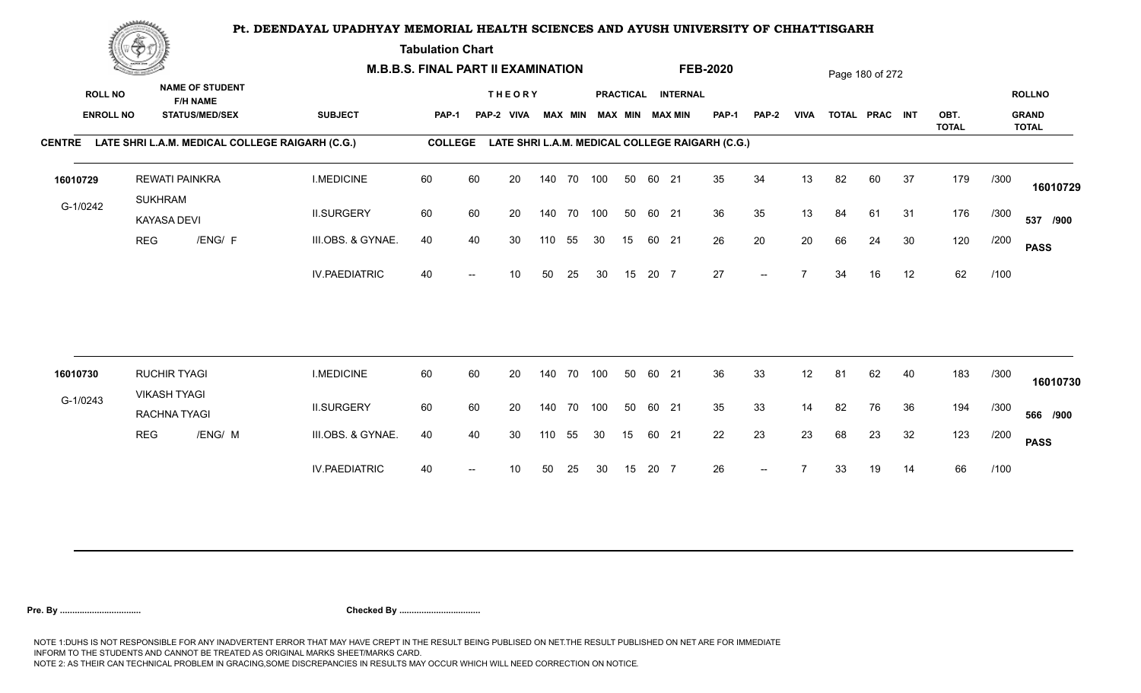**Tabulation Chart** 

| <b>NAME OF STUDENT</b><br><b>ROLL NO</b><br><b>THEORY</b><br>PRACTICAL INTERNAL<br><b>ROLLNO</b><br><b>F/H NAME</b><br><b>ENROLL NO</b><br><b>STATUS/MED/SEX</b><br><b>SUBJECT</b><br><b>MAX MIN</b><br><b>MAX MIN MAX MIN</b><br><b>VIVA</b><br>OBT.<br><b>GRAND</b><br><b>PAP-1</b><br><b>PAP-2</b><br>TOTAL PRAC INT<br>PAP-1<br>PAP-2 VIVA<br><b>TOTAL</b><br><b>TOTAL</b><br>CENTRE LATE SHRI L.A.M. MEDICAL COLLEGE RAIGARH (C.G.)<br><b>COLLEGE</b><br>LATE SHRI L.A.M. MEDICAL COLLEGE RAIGARH (C.G.)<br><b>I.MEDICINE</b><br>60<br>60<br>35<br>34<br>82<br>37<br>179<br><b>REWATI PAINKRA</b><br>20<br>140 70 100<br>50<br>60 21<br>13<br>60<br>/300<br><b>SUKHRAM</b><br>G-1/0242<br>60<br>36<br>35<br>13<br>176<br><b>II.SURGERY</b><br>60<br>20<br>140 70<br>100<br>50<br>60 21<br>84<br>61<br>31<br>/300<br>KAYASA DEVI<br>/ENG/ F<br>20<br>20<br>30<br>120<br><b>REG</b><br>III.OBS. & GYNAE.<br>40<br>26<br>40<br>30<br>55<br>30<br>15<br>60 21<br>66<br>24<br>/200<br>110<br><b>PASS</b><br>27<br>62<br><b>IV.PAEDIATRIC</b><br>12<br>40<br>15<br>20 7<br>$\overline{ }$<br>16<br>/100<br>50<br>25<br>30<br>34<br>10<br>$-$<br>60<br>36<br><b>RUCHIR TYAGI</b><br>60<br>33<br>62<br>40<br>183<br><b>I.MEDICINE</b><br>20<br>100<br>50<br>60 21<br>12<br>81<br>/300<br>140 70<br>16010730<br><b>VIKASH TYAGI</b><br>G-1/0243<br>35<br><b>II.SURGERY</b><br>60<br>60<br>33<br>14<br>82<br>194<br>20<br>140 70<br>100<br>50<br>60 21<br>76<br>36<br>/300<br>566 /900<br>RACHNA TYAGI<br>23<br>III.OBS. & GYNAE.<br>22<br>23<br>32<br>123<br><b>REG</b><br>/ENG/ M<br>40<br>40<br>30<br>55<br>30<br>15<br>60 21<br>68<br>23<br>/200<br>110<br><b>PASS</b><br>26<br>66<br><b>IV.PAEDIATRIC</b><br>20 7<br>/100<br>40<br>30<br>15<br>33<br>19<br>14<br>10<br>50<br>25<br>$--$ |          | <b>Construction of the Construction</b> | <b>M.B.B.S. FINAL PART II EXAMINATION</b> |  |  |  |  | <b>FEB-2020</b> |  | Page 180 of 272 |  |  |          |
|-----------------------------------------------------------------------------------------------------------------------------------------------------------------------------------------------------------------------------------------------------------------------------------------------------------------------------------------------------------------------------------------------------------------------------------------------------------------------------------------------------------------------------------------------------------------------------------------------------------------------------------------------------------------------------------------------------------------------------------------------------------------------------------------------------------------------------------------------------------------------------------------------------------------------------------------------------------------------------------------------------------------------------------------------------------------------------------------------------------------------------------------------------------------------------------------------------------------------------------------------------------------------------------------------------------------------------------------------------------------------------------------------------------------------------------------------------------------------------------------------------------------------------------------------------------------------------------------------------------------------------------------------------------------------------------------------------------------------------------------------------------------------------------------|----------|-----------------------------------------|-------------------------------------------|--|--|--|--|-----------------|--|-----------------|--|--|----------|
|                                                                                                                                                                                                                                                                                                                                                                                                                                                                                                                                                                                                                                                                                                                                                                                                                                                                                                                                                                                                                                                                                                                                                                                                                                                                                                                                                                                                                                                                                                                                                                                                                                                                                                                                                                                         |          |                                         |                                           |  |  |  |  |                 |  |                 |  |  |          |
|                                                                                                                                                                                                                                                                                                                                                                                                                                                                                                                                                                                                                                                                                                                                                                                                                                                                                                                                                                                                                                                                                                                                                                                                                                                                                                                                                                                                                                                                                                                                                                                                                                                                                                                                                                                         |          |                                         |                                           |  |  |  |  |                 |  |                 |  |  |          |
|                                                                                                                                                                                                                                                                                                                                                                                                                                                                                                                                                                                                                                                                                                                                                                                                                                                                                                                                                                                                                                                                                                                                                                                                                                                                                                                                                                                                                                                                                                                                                                                                                                                                                                                                                                                         | 16010729 |                                         |                                           |  |  |  |  |                 |  |                 |  |  | 16010729 |
|                                                                                                                                                                                                                                                                                                                                                                                                                                                                                                                                                                                                                                                                                                                                                                                                                                                                                                                                                                                                                                                                                                                                                                                                                                                                                                                                                                                                                                                                                                                                                                                                                                                                                                                                                                                         |          |                                         |                                           |  |  |  |  |                 |  |                 |  |  | 537 /900 |
|                                                                                                                                                                                                                                                                                                                                                                                                                                                                                                                                                                                                                                                                                                                                                                                                                                                                                                                                                                                                                                                                                                                                                                                                                                                                                                                                                                                                                                                                                                                                                                                                                                                                                                                                                                                         |          |                                         |                                           |  |  |  |  |                 |  |                 |  |  |          |
|                                                                                                                                                                                                                                                                                                                                                                                                                                                                                                                                                                                                                                                                                                                                                                                                                                                                                                                                                                                                                                                                                                                                                                                                                                                                                                                                                                                                                                                                                                                                                                                                                                                                                                                                                                                         |          |                                         |                                           |  |  |  |  |                 |  |                 |  |  |          |
|                                                                                                                                                                                                                                                                                                                                                                                                                                                                                                                                                                                                                                                                                                                                                                                                                                                                                                                                                                                                                                                                                                                                                                                                                                                                                                                                                                                                                                                                                                                                                                                                                                                                                                                                                                                         |          |                                         |                                           |  |  |  |  |                 |  |                 |  |  |          |
|                                                                                                                                                                                                                                                                                                                                                                                                                                                                                                                                                                                                                                                                                                                                                                                                                                                                                                                                                                                                                                                                                                                                                                                                                                                                                                                                                                                                                                                                                                                                                                                                                                                                                                                                                                                         |          |                                         |                                           |  |  |  |  |                 |  |                 |  |  | 16010730 |
|                                                                                                                                                                                                                                                                                                                                                                                                                                                                                                                                                                                                                                                                                                                                                                                                                                                                                                                                                                                                                                                                                                                                                                                                                                                                                                                                                                                                                                                                                                                                                                                                                                                                                                                                                                                         |          |                                         |                                           |  |  |  |  |                 |  |                 |  |  |          |
|                                                                                                                                                                                                                                                                                                                                                                                                                                                                                                                                                                                                                                                                                                                                                                                                                                                                                                                                                                                                                                                                                                                                                                                                                                                                                                                                                                                                                                                                                                                                                                                                                                                                                                                                                                                         |          |                                         |                                           |  |  |  |  |                 |  |                 |  |  |          |
|                                                                                                                                                                                                                                                                                                                                                                                                                                                                                                                                                                                                                                                                                                                                                                                                                                                                                                                                                                                                                                                                                                                                                                                                                                                                                                                                                                                                                                                                                                                                                                                                                                                                                                                                                                                         |          |                                         |                                           |  |  |  |  |                 |  |                 |  |  |          |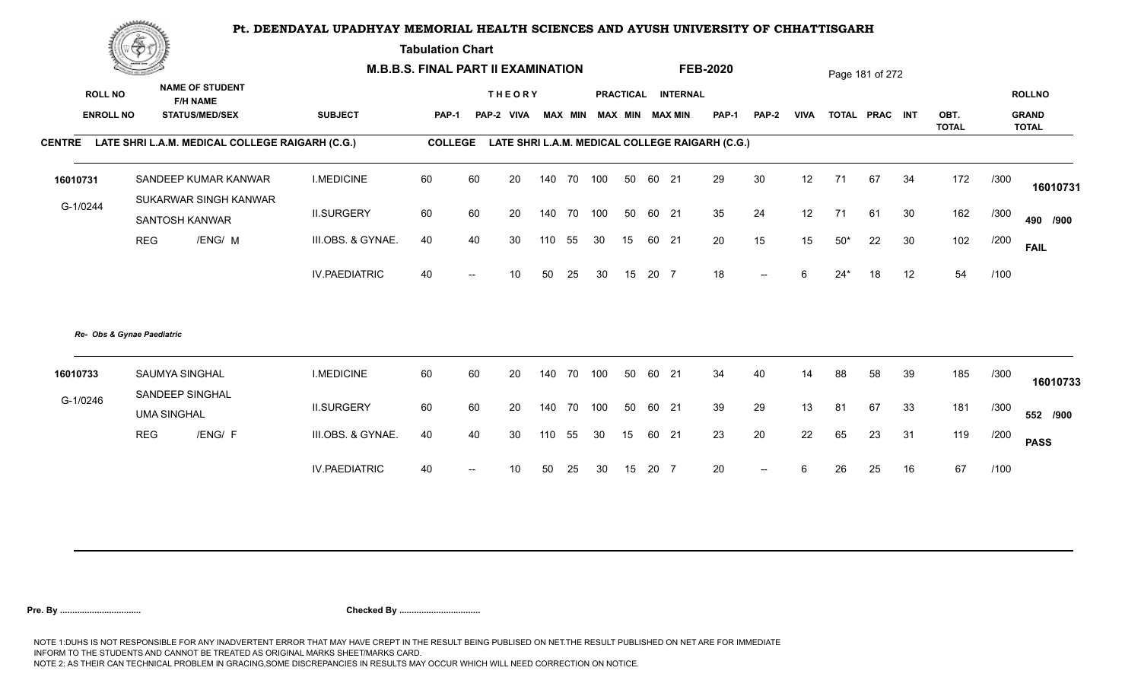**Tabulation Chart** 

|                  | Change of the second of the |                                                        |                      | <b>M.B.B.S. FINAL PART II EXAMINATION</b> |     |               |     |        |                         |    |       |                    | <b>FEB-2020</b>                                 |                          |             |       | Page 181 of 272 |    |                      |      |                              |
|------------------|-----------------------------|--------------------------------------------------------|----------------------|-------------------------------------------|-----|---------------|-----|--------|-------------------------|----|-------|--------------------|-------------------------------------------------|--------------------------|-------------|-------|-----------------|----|----------------------|------|------------------------------|
| <b>ROLL NO</b>   |                             | <b>NAME OF STUDENT</b><br><b>F/H NAME</b>              |                      |                                           |     | <b>THEORY</b> |     |        |                         |    |       | PRACTICAL INTERNAL |                                                 |                          |             |       |                 |    |                      |      | <b>ROLLNO</b>                |
| <b>ENROLL NO</b> |                             | <b>STATUS/MED/SEX</b>                                  | <b>SUBJECT</b>       | <b>PAP-1</b>                              |     | PAP-2 VIVA    |     |        | MAX MIN MAX MIN MAX MIN |    |       |                    | PAP-1                                           | <b>PAP-2</b>             | <b>VIVA</b> |       | TOTAL PRAC INT  |    | OBT.<br><b>TOTAL</b> |      | <b>GRAND</b><br><b>TOTAL</b> |
|                  |                             | CENTRE LATE SHRI L.A.M. MEDICAL COLLEGE RAIGARH (C.G.) |                      | <b>COLLEGE</b>                            |     |               |     |        |                         |    |       |                    | LATE SHRI L.A.M. MEDICAL COLLEGE RAIGARH (C.G.) |                          |             |       |                 |    |                      |      |                              |
| 16010731         |                             | SANDEEP KUMAR KANWAR                                   | <b>I.MEDICINE</b>    | 60                                        | 60  | 20            | 140 |        | 70 100                  | 50 | 60 21 |                    | 29                                              | 30                       | 12          | 71    | 67              | 34 | 172                  | /300 | 16010731                     |
| G-1/0244         |                             | SUKARWAR SINGH KANWAR<br>SANTOSH KANWAR                | <b>II.SURGERY</b>    | 60                                        | 60  | 20            | 140 |        | 70 100                  | 50 | 60 21 |                    | 35                                              | 24                       | 12          | 71    | 61              | 30 | 162                  | /300 | 490 /900                     |
|                  | <b>REG</b>                  | /ENG/ M                                                | III.OBS. & GYNAE.    | 40                                        | 40  | 30            |     | 110 55 | 30                      | 15 |       | 60 21              | 20                                              | 15                       | 15          | $50*$ | 22              | 30 | 102                  | /200 | <b>FAIL</b>                  |
|                  |                             |                                                        | <b>IV.PAEDIATRIC</b> | 40                                        | $-$ | 10            | 50  | 25     | 30                      | 15 | 20 7  |                    | 18                                              | $\overline{\phantom{a}}$ | 6           | $24*$ | 18              | 12 | 54                   | /100 |                              |
|                  | Re- Obs & Gynae Paediatric  |                                                        |                      |                                           |     |               |     |        |                         |    |       |                    |                                                 |                          |             |       |                 |    |                      |      |                              |
| 16010733         |                             | <b>SAUMYA SINGHAL</b>                                  | <b>I.MEDICINE</b>    | 60                                        | 60  | 20            | 140 | 70     | 100                     | 50 | 60 21 |                    | 34                                              | 40                       | 14          | 88    | 58              | 39 | 185                  | /300 | 16010733                     |
| G-1/0246         | <b>UMA SINGHAL</b>          | SANDEEP SINGHAL                                        | <b>II.SURGERY</b>    | 60                                        | 60  | 20            | 140 |        | 70 100                  | 50 | 60 21 |                    | 39                                              | 29                       | 13          | 81    | 67              | 33 | 181                  | /300 | 552 /900                     |
|                  | <b>REG</b>                  | /ENG/ F                                                | III.OBS. & GYNAE.    | 40                                        | 40  | 30            | 110 | 55     | 30                      | 15 | 60 21 |                    | 23                                              | 20                       | 22          | 65    | 23              | 31 | 119                  | /200 | <b>PASS</b>                  |
|                  |                             |                                                        | <b>IV.PAEDIATRIC</b> | 40                                        |     | 10            | 50  | 25     | 30                      | 15 | 20 7  |                    | 20                                              | $\overline{\phantom{a}}$ | 6           | 26    | 25              | 16 | 67                   | /100 |                              |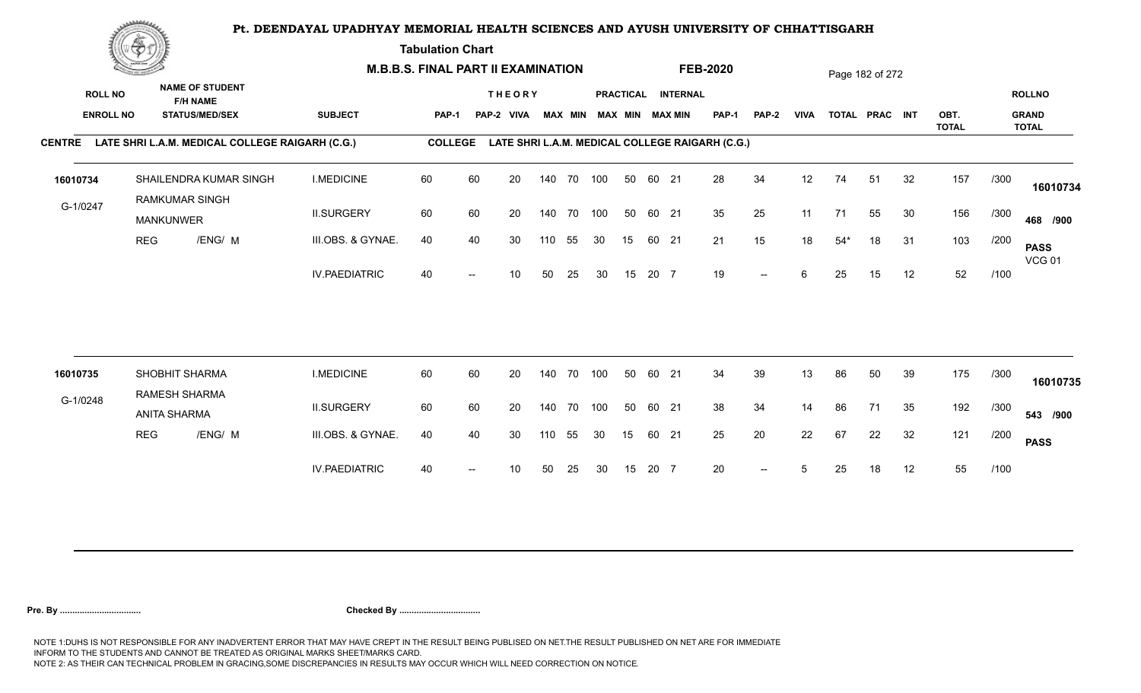**Tabulation Chart** 

|                                    | <b>Construction of the Construction</b> |                                                                    |                      | <b>M.B.B.S. FINAL PART II EXAMINATION</b> |    |                             |     |                |            |                 |       |                                       | <b>FEB-2020</b>                                 |              |             |       | Page 182 of 272 |    |              |      |                               |
|------------------------------------|-----------------------------------------|--------------------------------------------------------------------|----------------------|-------------------------------------------|----|-----------------------------|-----|----------------|------------|-----------------|-------|---------------------------------------|-------------------------------------------------|--------------|-------------|-------|-----------------|----|--------------|------|-------------------------------|
| <b>ROLL NO</b><br><b>ENROLL NO</b> |                                         | <b>NAME OF STUDENT</b><br><b>F/H NAME</b><br><b>STATUS/MED/SEX</b> | <b>SUBJECT</b>       | <b>PAP-1</b>                              |    | <b>THEORY</b><br>PAP-2 VIVA |     | <b>MAX MIN</b> |            |                 |       | PRACTICAL INTERNAL<br>MAX MIN MAX MIN | PAP-1                                           | <b>PAP-2</b> | <b>VIVA</b> |       | TOTAL PRAC INT  |    | OBT.         |      | <b>ROLLNO</b><br><b>GRAND</b> |
| <b>CENTRE</b>                      |                                         | LATE SHRI L.A.M. MEDICAL COLLEGE RAIGARH (C.G.)                    |                      | <b>COLLEGE</b>                            |    |                             |     |                |            |                 |       |                                       | LATE SHRI L.A.M. MEDICAL COLLEGE RAIGARH (C.G.) |              |             |       |                 |    | <b>TOTAL</b> |      | <b>TOTAL</b>                  |
|                                    |                                         |                                                                    |                      |                                           |    |                             |     |                |            |                 |       |                                       |                                                 |              |             |       |                 |    |              |      |                               |
| 16010734                           |                                         | SHAILENDRA KUMAR SINGH                                             | <b>I.MEDICINE</b>    | 60                                        | 60 | 20                          |     |                | 140 70 100 | 50              | 60 21 |                                       | 28                                              | 34           | 12          | 74    | 51              | 32 | 157          | /300 | 16010734                      |
| G-1/0247                           |                                         | <b>RAMKUMAR SINGH</b><br><b>MANKUNWER</b>                          | <b>II.SURGERY</b>    | 60                                        | 60 | 20                          |     | 140 70         | 100        | 50              | 60 21 |                                       | 35                                              | 25           | 11          | 71    | 55              | 30 | 156          | /300 | 468 /900                      |
|                                    | <b>REG</b>                              | /ENG/ M                                                            | III.OBS. & GYNAE.    | 40                                        | 40 | 30                          | 110 | 55             | 30         | 15              | 60 21 |                                       | 21                                              | 15           | 18          | $54*$ | 18              | 31 | 103          | /200 | <b>PASS</b><br><b>VCG 01</b>  |
|                                    |                                         |                                                                    | <b>IV.PAEDIATRIC</b> | 40                                        |    | 10                          | 50  | 25             | 30         | 15              | 20 7  |                                       | 19                                              | $--$         | 6           | 25    | 15              | 12 | 52           | /100 |                               |
|                                    |                                         |                                                                    |                      |                                           |    |                             |     |                |            |                 |       |                                       |                                                 |              |             |       |                 |    |              |      |                               |
| 16010735                           |                                         | SHOBHIT SHARMA                                                     | <b>I.MEDICINE</b>    | 60                                        | 60 | 20                          |     | 140 70         | 100        | 50              | 60 21 |                                       | 34                                              | 39           | 13          | 86    | 50              | 39 | 175          | /300 | 16010735                      |
| G-1/0248                           |                                         | RAMESH SHARMA<br><b>ANITA SHARMA</b>                               | <b>II.SURGERY</b>    | 60                                        | 60 | 20                          |     | 140 70         | 100        | 50              | 60 21 |                                       | 38                                              | 34           | 14          | 86    | 71              | 35 | 192          | /300 | 543 /900                      |
|                                    | <b>REG</b>                              | /ENG/ M                                                            | III.OBS. & GYNAE.    | 40                                        | 40 | 30                          | 110 | 55             | 30         | 15 <sub>1</sub> | 60 21 |                                       | 25                                              | 20           | 22          | 67    | 22              | 32 | 121          | /200 | <b>PASS</b>                   |
|                                    |                                         |                                                                    | <b>IV.PAEDIATRIC</b> | 40                                        |    | 10                          | 50  | 25             | 30         | 15              | 20 7  |                                       | 20                                              | $--$         | 5           | 25    | 18              | 12 | 55           | /100 |                               |
|                                    |                                         |                                                                    |                      |                                           |    |                             |     |                |            |                 |       |                                       |                                                 |              |             |       |                 |    |              |      |                               |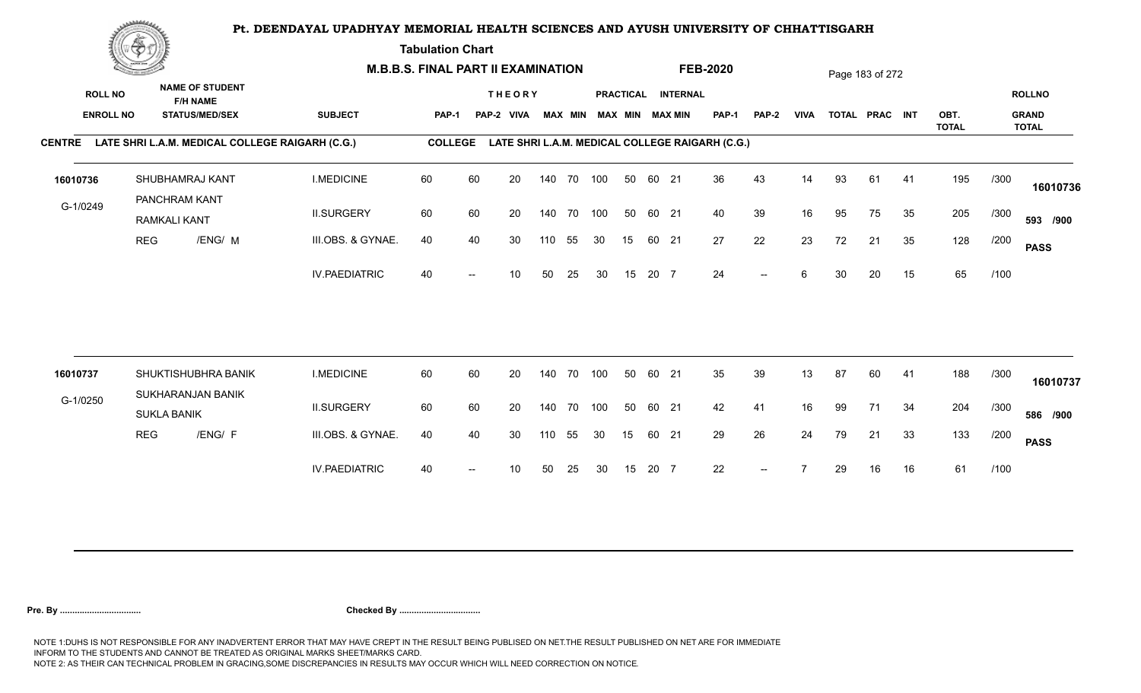**Tabulation Chart** 

|                                    | <b>Construction of the Construction</b> |                                          |                        | <b>M.B.B.S. FINAL PART II EXAMINATION</b>       |                |    |                             |     |                |     |    |       |                                              | <b>FEB-2020</b>                                 |              |             |    | Page 183 of 272 |    |              |      |                               |
|------------------------------------|-----------------------------------------|------------------------------------------|------------------------|-------------------------------------------------|----------------|----|-----------------------------|-----|----------------|-----|----|-------|----------------------------------------------|-------------------------------------------------|--------------|-------------|----|-----------------|----|--------------|------|-------------------------------|
| <b>ROLL NO</b><br><b>ENROLL NO</b> |                                         | <b>F/H NAME</b><br><b>STATUS/MED/SEX</b> | <b>NAME OF STUDENT</b> | <b>SUBJECT</b>                                  | PAP-1          |    | <b>THEORY</b><br>PAP-2 VIVA |     | <b>MAX MIN</b> |     |    |       | PRACTICAL INTERNAL<br><b>MAX MIN MAX MIN</b> | <b>PAP-1</b>                                    | <b>PAP-2</b> | <b>VIVA</b> |    | TOTAL PRAC INT  |    | OBT.         |      | <b>ROLLNO</b><br><b>GRAND</b> |
| <b>CENTRE</b>                      |                                         |                                          |                        | LATE SHRI L.A.M. MEDICAL COLLEGE RAIGARH (C.G.) | <b>COLLEGE</b> |    |                             |     |                |     |    |       |                                              | LATE SHRI L.A.M. MEDICAL COLLEGE RAIGARH (C.G.) |              |             |    |                 |    | <b>TOTAL</b> |      | <b>TOTAL</b>                  |
|                                    |                                         |                                          |                        |                                                 |                |    |                             |     |                |     |    |       |                                              |                                                 |              |             |    |                 |    |              |      |                               |
| 16010736                           |                                         | SHUBHAMRAJ KANT                          |                        | <b>I.MEDICINE</b>                               | 60             | 60 | 20                          |     | 140 70 100     |     | 50 | 60 21 |                                              | 36                                              | 43           | 14          | 93 | 61              | 41 | 195          | /300 | 16010736                      |
| G-1/0249                           |                                         | PANCHRAM KANT<br><b>RAMKALI KANT</b>     |                        | <b>II.SURGERY</b>                               | 60             | 60 | 20                          |     | 140 70         | 100 | 50 | 60 21 |                                              | 40                                              | 39           | 16          | 95 | 75              | 35 | 205          | /300 | 593 /900                      |
|                                    | <b>REG</b>                              |                                          | /ENG/ M                | III.OBS. & GYNAE.                               | 40             | 40 | 30                          | 110 | 55             | 30  | 15 | 60 21 |                                              | 27                                              | 22           | 23          | 72 | 21              | 35 | 128          | /200 | <b>PASS</b>                   |
|                                    |                                         |                                          |                        | <b>IV.PAEDIATRIC</b>                            | 40             |    | 10                          | 50  | 25             | 30  | 15 | 20 7  |                                              | 24                                              | $-$          | 6           | 30 | 20              | 15 | 65           | /100 |                               |
|                                    |                                         |                                          |                        |                                                 |                |    |                             |     |                |     |    |       |                                              |                                                 |              |             |    |                 |    |              |      |                               |
| 16010737                           |                                         |                                          | SHUKTISHUBHRA BANIK    | <b>I.MEDICINE</b>                               | 60             | 60 | 20                          |     | 140 70         | 100 | 50 | 60 21 |                                              | 35                                              | 39           | 13          | 87 | 60              | 41 | 188          | /300 | 16010737                      |
| G-1/0250                           |                                         | SUKHARANJAN BANIK<br><b>SUKLA BANIK</b>  |                        | <b>II.SURGERY</b>                               | 60             | 60 | 20                          |     | 140 70         | 100 | 50 | 60 21 |                                              | 42                                              | 41           | 16          | 99 | 71              | 34 | 204          | /300 | 586 /900                      |
|                                    | <b>REG</b>                              |                                          | /ENG/ F                | III.OBS. & GYNAE.                               | 40             | 40 | 30                          | 110 | 55             | 30  | 15 | 60 21 |                                              | 29                                              | 26           | 24          | 79 | 21              | 33 | 133          | /200 | <b>PASS</b>                   |
|                                    |                                         |                                          |                        | <b>IV.PAEDIATRIC</b>                            | 40             |    | 10                          | 50  | 25             | 30  | 15 | 20 7  |                                              | 22                                              | $--$         |             | 29 | 16              | 16 | 61           | /100 |                               |
|                                    |                                         |                                          |                        |                                                 |                |    |                             |     |                |     |    |       |                                              |                                                 |              |             |    |                 |    |              |      |                               |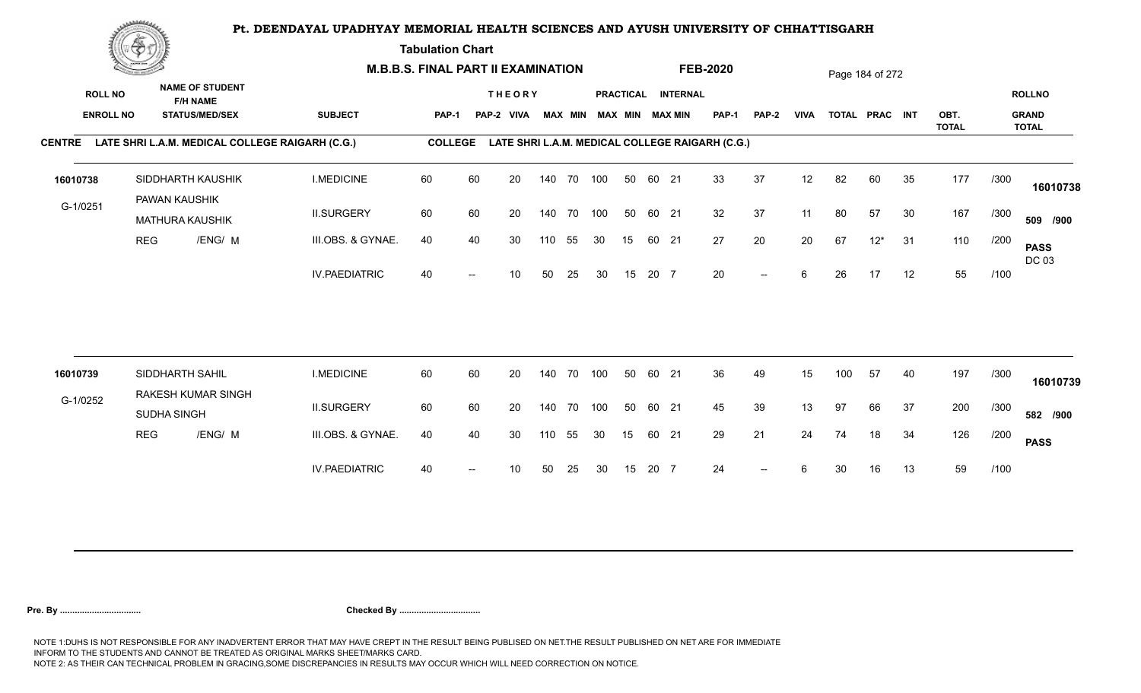**Tabulation Chart** 

|                                    | <b>Construction of the Construction</b> |                 |                                                                    | <b>M.B.B.S. FINAL PART II EXAMINATION</b> |                |    |                             |     |                |            |    |       |                                       | <b>FEB-2020</b>                                 |                          |             |     | Page 184 of 272 |    |              |      |                               |
|------------------------------------|-----------------------------------------|-----------------|--------------------------------------------------------------------|-------------------------------------------|----------------|----|-----------------------------|-----|----------------|------------|----|-------|---------------------------------------|-------------------------------------------------|--------------------------|-------------|-----|-----------------|----|--------------|------|-------------------------------|
| <b>ROLL NO</b><br><b>ENROLL NO</b> |                                         |                 | <b>NAME OF STUDENT</b><br><b>F/H NAME</b><br><b>STATUS/MED/SEX</b> | <b>SUBJECT</b>                            | <b>PAP-1</b>   |    | <b>THEORY</b><br>PAP-2 VIVA |     | <b>MAX MIN</b> |            |    |       | PRACTICAL INTERNAL<br>MAX MIN MAX MIN | PAP-1                                           | <b>PAP-2</b>             | <b>VIVA</b> |     | TOTAL PRAC INT  |    | OBT.         |      | <b>ROLLNO</b><br><b>GRAND</b> |
| <b>CENTRE</b>                      |                                         |                 | LATE SHRI L.A.M. MEDICAL COLLEGE RAIGARH (C.G.)                    |                                           | <b>COLLEGE</b> |    |                             |     |                |            |    |       |                                       | LATE SHRI L.A.M. MEDICAL COLLEGE RAIGARH (C.G.) |                          |             |     |                 |    | <b>TOTAL</b> |      | <b>TOTAL</b>                  |
|                                    |                                         |                 |                                                                    |                                           |                |    |                             |     |                |            |    |       |                                       |                                                 |                          |             |     |                 |    |              |      |                               |
| 16010738                           |                                         |                 | SIDDHARTH KAUSHIK                                                  | <b>I.MEDICINE</b>                         | 60             | 60 | 20                          |     | 140 70         | 100        | 50 | 60 21 |                                       | 33                                              | 37                       | 12          | 82  | 60              | 35 | 177          | /300 | 16010738                      |
| G-1/0251                           |                                         | PAWAN KAUSHIK   | <b>MATHURA KAUSHIK</b>                                             | <b>II.SURGERY</b>                         | 60             | 60 | 20                          |     | 140 70         | 100        | 50 | 60 21 |                                       | 32                                              | 37                       | 11          | 80  | 57              | 30 | 167          | /300 | 509 /900                      |
|                                    | <b>REG</b>                              |                 | /ENG/ M                                                            | III.OBS. & GYNAE.                         | 40             | 40 | 30                          | 110 | 55             | 30         | 15 | 60 21 |                                       | 27                                              | 20                       | 20          | 67  | $12*$           | 31 | 110          | /200 | <b>PASS</b><br>DC 03          |
|                                    |                                         |                 |                                                                    | <b>IV.PAEDIATRIC</b>                      | 40             |    | 10                          | 50  | 25             | 30         | 15 | 20 7  |                                       | 20                                              | $\overline{\phantom{a}}$ | 6           | 26  | 17              | 12 | 55           | /100 |                               |
|                                    |                                         |                 |                                                                    |                                           |                |    |                             |     |                |            |    |       |                                       |                                                 |                          |             |     |                 |    |              |      |                               |
| 16010739                           |                                         | SIDDHARTH SAHIL |                                                                    | <b>I.MEDICINE</b>                         | 60             | 60 | 20                          |     | 140 70         | 100        | 50 | 60 21 |                                       | 36                                              | 49                       | 15          | 100 | 57              | 40 | 197          | /300 | 16010739                      |
| G-1/0252                           |                                         | SUDHA SINGH     | RAKESH KUMAR SINGH                                                 | <b>II.SURGERY</b>                         | 60             | 60 | 20                          |     |                | 140 70 100 | 50 | 60 21 |                                       | 45                                              | 39                       | 13          | 97  | 66              | 37 | 200          | /300 | 582 /900                      |
|                                    | <b>REG</b>                              |                 | /ENG/ M                                                            | III.OBS. & GYNAE.                         | 40             | 40 | 30                          | 110 | 55             | 30         | 15 | 60 21 |                                       | 29                                              | 21                       | 24          | 74  | 18              | 34 | 126          | /200 | <b>PASS</b>                   |
|                                    |                                         |                 |                                                                    | <b>IV.PAEDIATRIC</b>                      | 40             |    | 10                          | 50  | 25             | 30         | 15 | 20 7  |                                       | 24                                              |                          | 6           | 30  | 16              | 13 | 59           | /100 |                               |
|                                    |                                         |                 |                                                                    |                                           |                |    |                             |     |                |            |    |       |                                       |                                                 |                          |             |     |                 |    |              |      |                               |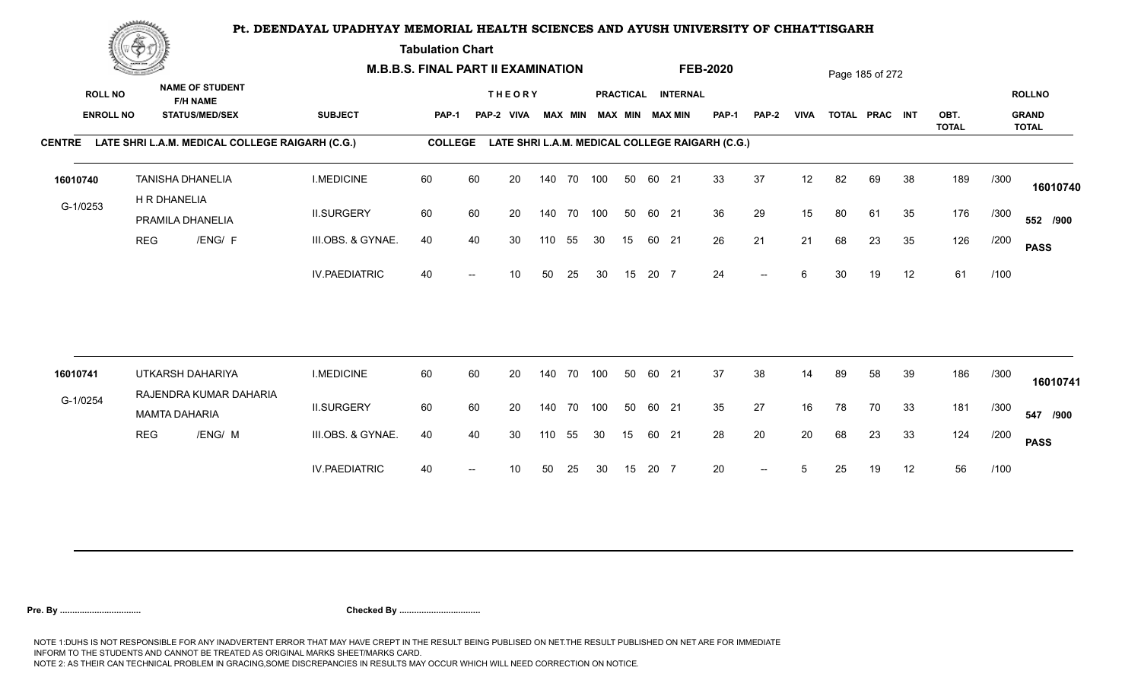**Tabulation Chart** 

|                                    | <b>Construction of the Construction</b> |                                                                    |                                                 |                      | <b>M.B.B.S. FINAL PART II EXAMINATION</b> |    |                             |     |                |            |    |       |                                       | <b>FEB-2020</b>                                 |              |             |    | Page 185 of 272 |    |              |      |                               |
|------------------------------------|-----------------------------------------|--------------------------------------------------------------------|-------------------------------------------------|----------------------|-------------------------------------------|----|-----------------------------|-----|----------------|------------|----|-------|---------------------------------------|-------------------------------------------------|--------------|-------------|----|-----------------|----|--------------|------|-------------------------------|
| <b>ROLL NO</b><br><b>ENROLL NO</b> |                                         | <b>NAME OF STUDENT</b><br><b>F/H NAME</b><br><b>STATUS/MED/SEX</b> |                                                 | <b>SUBJECT</b>       | <b>PAP-1</b>                              |    | <b>THEORY</b><br>PAP-2 VIVA |     | <b>MAX MIN</b> |            |    |       | PRACTICAL INTERNAL<br>MAX MIN MAX MIN | PAP-1                                           | <b>PAP-2</b> | <b>VIVA</b> |    | TOTAL PRAC INT  |    | OBT.         |      | <b>ROLLNO</b><br><b>GRAND</b> |
| <b>CENTRE</b>                      |                                         |                                                                    | LATE SHRI L.A.M. MEDICAL COLLEGE RAIGARH (C.G.) |                      | <b>COLLEGE</b>                            |    |                             |     |                |            |    |       |                                       | LATE SHRI L.A.M. MEDICAL COLLEGE RAIGARH (C.G.) |              |             |    |                 |    | <b>TOTAL</b> |      | <b>TOTAL</b>                  |
| 16010740                           |                                         | <b>TANISHA DHANELIA</b>                                            |                                                 | <b>I.MEDICINE</b>    | 60                                        | 60 | 20                          |     | 140 70         | 100        | 50 | 60 21 |                                       | 33                                              | 37           | 12          | 82 | 69              | 38 | 189          | /300 | 16010740                      |
| G-1/0253                           |                                         | H R DHANELIA<br>PRAMILA DHANELIA                                   |                                                 | <b>II.SURGERY</b>    | 60                                        | 60 | 20                          |     | 140 70         | 100        | 50 | 60 21 |                                       | 36                                              | 29           | 15          | 80 | 61              | 35 | 176          | /300 | 552 /900                      |
|                                    | <b>REG</b>                              |                                                                    | /ENG/ F                                         | III.OBS. & GYNAE.    | 40                                        | 40 | 30                          | 110 | 55             | 30         | 15 | 60 21 |                                       | 26                                              | 21           | 21          | 68 | 23              | 35 | 126          | /200 | <b>PASS</b>                   |
|                                    |                                         |                                                                    |                                                 | <b>IV.PAEDIATRIC</b> | 40                                        |    | 10                          | 50  | 25             | 30         | 15 | 20 7  |                                       | 24                                              | $-$          | 6           | 30 | 19              | 12 | 61           | /100 |                               |
|                                    |                                         |                                                                    |                                                 |                      |                                           |    |                             |     |                |            |    |       |                                       |                                                 |              |             |    |                 |    |              |      |                               |
| 16010741                           |                                         | UTKARSH DAHARIYA                                                   | RAJENDRA KUMAR DAHARIA                          | <b>I.MEDICINE</b>    | 60                                        | 60 | 20                          |     | 140 70         | 100        | 50 | 60 21 |                                       | 37                                              | 38           | 14          | 89 | 58              | 39 | 186          | /300 | 16010741                      |
| G-1/0254                           |                                         | <b>MAMTA DAHARIA</b>                                               |                                                 | <b>II.SURGERY</b>    | 60                                        | 60 | 20                          |     |                | 140 70 100 | 50 | 60 21 |                                       | 35                                              | 27           | 16          | 78 | 70              | 33 | 181          | /300 | 547 /900                      |
|                                    | <b>REG</b>                              |                                                                    | /ENG/ M                                         | III.OBS. & GYNAE.    | 40                                        | 40 | 30                          | 110 | 55             | 30         | 15 | 60 21 |                                       | 28                                              | 20           | 20          | 68 | 23              | 33 | 124          | /200 | <b>PASS</b>                   |
|                                    |                                         |                                                                    |                                                 | <b>IV.PAEDIATRIC</b> | 40                                        |    | 10                          | 50  | 25             | 30         | 15 | 20 7  |                                       | 20                                              | $-$          |             | 25 | 19              | 12 | 56           | /100 |                               |
|                                    |                                         |                                                                    |                                                 |                      |                                           |    |                             |     |                |            |    |       |                                       |                                                 |              |             |    |                 |    |              |      |                               |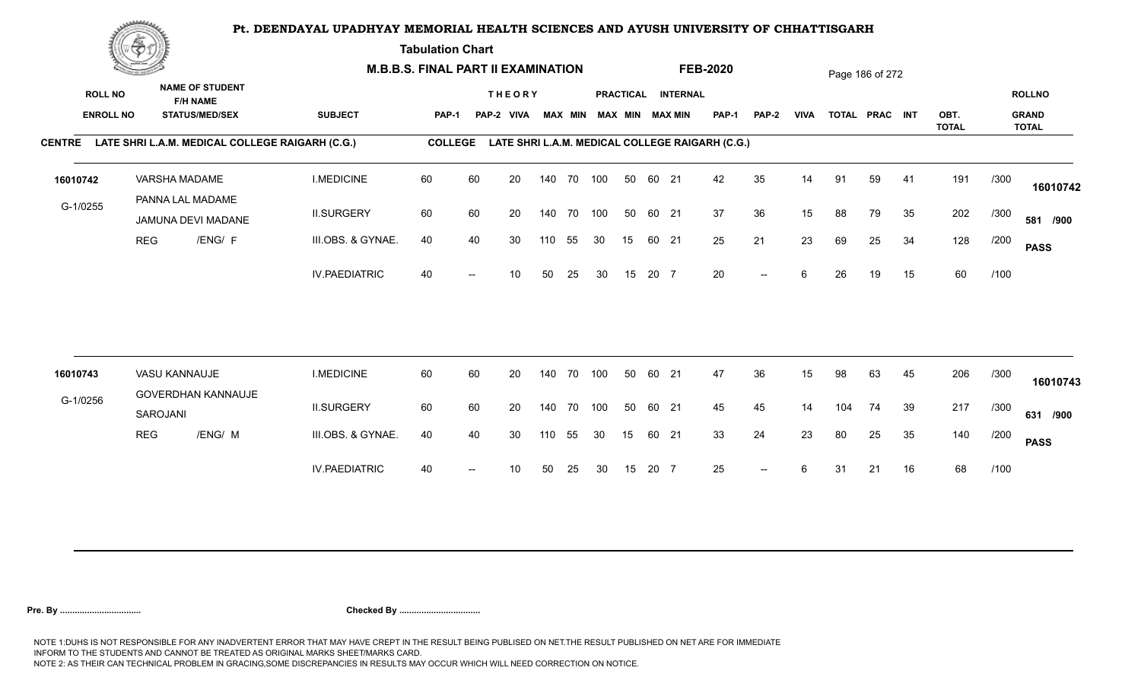**Tabulation Chart** 

| <b>NAME OF STUDENT</b><br><b>ROLL NO</b><br>PRACTICAL INTERNAL<br><b>ROLLNO</b><br><b>THEORY</b><br><b>F/H NAME</b><br><b>SUBJECT</b><br><b>GRAND</b><br><b>ENROLL NO</b><br><b>STATUS/MED/SEX</b><br><b>MAX MIN</b><br>MAX MIN MAX MIN<br><b>PAP-1</b><br><b>VIVA</b><br>TOTAL PRAC INT<br>OBT.<br>PAP-1<br>PAP-2<br><b>VIVA</b><br>PAP-2<br><b>TOTAL</b><br><b>TOTAL</b><br>LATE SHRI L.A.M. MEDICAL COLLEGE RAIGARH (C.G.)<br><b>COLLEGE</b><br>LATE SHRI L.A.M. MEDICAL COLLEGE RAIGARH (C.G.)<br><b>CENTRE</b><br><b>I.MEDICINE</b><br>60<br>60<br>20<br>140 70 100<br>60 21<br>42<br>35<br>59<br>191<br>/300<br>VARSHA MADAME<br>50<br>14<br>91<br>41<br>PANNA LAL MADAME<br>G-1/0255<br>37<br><b>II.SURGERY</b><br>60<br>60<br>100<br>36<br>15<br>79<br>202<br>20<br>140 70<br>50<br>60 21<br>88<br>35<br>/300<br>JAMUNA DEVI MADANE<br>21<br>23<br>128<br><b>REG</b><br>/ENG/ F<br>25<br>34<br>III.OBS. & GYNAE.<br>40<br>40<br>30<br>55<br>15<br>60 21<br>69<br>25<br>/200<br>110<br>30<br><b>PASS</b><br>60<br>20<br><b>IV.PAEDIATRIC</b><br>40<br>15<br>20 7<br>6<br>15<br>/100<br>50<br>25<br>30<br>26<br>19<br>10<br>$\overline{\phantom{a}}$<br>60<br>206<br>VASU KANNAUJE<br><b>I.MEDICINE</b><br>60<br>20<br>50<br>60 21<br>47<br>36<br>/300<br>140 70<br>100<br>15<br>98<br>63<br>45<br>16010743<br>GOVERDHAN KANNAUJE<br>G-1/0256<br><b>II.SURGERY</b><br>60<br>60<br>50<br>45<br>217<br>20<br>140 70<br>100<br>60 21<br>45<br>14<br>104<br>74<br>39<br>/300<br>SAROJANI<br><b>REG</b><br>/ENG/ M<br>33<br>24<br>23<br>35<br>140<br>III.OBS. & GYNAE.<br>40<br>40<br>55<br>30<br>15<br>60 21<br>80<br>25<br>/200<br>30<br>110<br><b>PASS</b><br>68<br>25<br>/100<br><b>IV.PAEDIATRIC</b><br>40<br>25<br>30<br>15<br>20 7<br>6<br>16<br>10<br>50<br>31<br>21<br>$\overline{\phantom{a}}$<br>$\overline{\phantom{a}}$ |          | <b>Construction of the Construction</b> |  | <b>M.B.B.S. FINAL PART II EXAMINATION</b> |  |  |  |  | <b>FEB-2020</b> |  | Page 186 of 272 |  |          |
|---------------------------------------------------------------------------------------------------------------------------------------------------------------------------------------------------------------------------------------------------------------------------------------------------------------------------------------------------------------------------------------------------------------------------------------------------------------------------------------------------------------------------------------------------------------------------------------------------------------------------------------------------------------------------------------------------------------------------------------------------------------------------------------------------------------------------------------------------------------------------------------------------------------------------------------------------------------------------------------------------------------------------------------------------------------------------------------------------------------------------------------------------------------------------------------------------------------------------------------------------------------------------------------------------------------------------------------------------------------------------------------------------------------------------------------------------------------------------------------------------------------------------------------------------------------------------------------------------------------------------------------------------------------------------------------------------------------------------------------------------------------------------------------------------------------------------------------|----------|-----------------------------------------|--|-------------------------------------------|--|--|--|--|-----------------|--|-----------------|--|----------|
|                                                                                                                                                                                                                                                                                                                                                                                                                                                                                                                                                                                                                                                                                                                                                                                                                                                                                                                                                                                                                                                                                                                                                                                                                                                                                                                                                                                                                                                                                                                                                                                                                                                                                                                                                                                                                                       |          |                                         |  |                                           |  |  |  |  |                 |  |                 |  |          |
|                                                                                                                                                                                                                                                                                                                                                                                                                                                                                                                                                                                                                                                                                                                                                                                                                                                                                                                                                                                                                                                                                                                                                                                                                                                                                                                                                                                                                                                                                                                                                                                                                                                                                                                                                                                                                                       |          |                                         |  |                                           |  |  |  |  |                 |  |                 |  |          |
|                                                                                                                                                                                                                                                                                                                                                                                                                                                                                                                                                                                                                                                                                                                                                                                                                                                                                                                                                                                                                                                                                                                                                                                                                                                                                                                                                                                                                                                                                                                                                                                                                                                                                                                                                                                                                                       |          |                                         |  |                                           |  |  |  |  |                 |  |                 |  |          |
|                                                                                                                                                                                                                                                                                                                                                                                                                                                                                                                                                                                                                                                                                                                                                                                                                                                                                                                                                                                                                                                                                                                                                                                                                                                                                                                                                                                                                                                                                                                                                                                                                                                                                                                                                                                                                                       | 16010742 |                                         |  |                                           |  |  |  |  |                 |  |                 |  | 16010742 |
|                                                                                                                                                                                                                                                                                                                                                                                                                                                                                                                                                                                                                                                                                                                                                                                                                                                                                                                                                                                                                                                                                                                                                                                                                                                                                                                                                                                                                                                                                                                                                                                                                                                                                                                                                                                                                                       |          |                                         |  |                                           |  |  |  |  |                 |  |                 |  | 581 /900 |
|                                                                                                                                                                                                                                                                                                                                                                                                                                                                                                                                                                                                                                                                                                                                                                                                                                                                                                                                                                                                                                                                                                                                                                                                                                                                                                                                                                                                                                                                                                                                                                                                                                                                                                                                                                                                                                       |          |                                         |  |                                           |  |  |  |  |                 |  |                 |  |          |
|                                                                                                                                                                                                                                                                                                                                                                                                                                                                                                                                                                                                                                                                                                                                                                                                                                                                                                                                                                                                                                                                                                                                                                                                                                                                                                                                                                                                                                                                                                                                                                                                                                                                                                                                                                                                                                       |          |                                         |  |                                           |  |  |  |  |                 |  |                 |  |          |
|                                                                                                                                                                                                                                                                                                                                                                                                                                                                                                                                                                                                                                                                                                                                                                                                                                                                                                                                                                                                                                                                                                                                                                                                                                                                                                                                                                                                                                                                                                                                                                                                                                                                                                                                                                                                                                       |          |                                         |  |                                           |  |  |  |  |                 |  |                 |  |          |
|                                                                                                                                                                                                                                                                                                                                                                                                                                                                                                                                                                                                                                                                                                                                                                                                                                                                                                                                                                                                                                                                                                                                                                                                                                                                                                                                                                                                                                                                                                                                                                                                                                                                                                                                                                                                                                       |          |                                         |  |                                           |  |  |  |  |                 |  |                 |  | 16010743 |
|                                                                                                                                                                                                                                                                                                                                                                                                                                                                                                                                                                                                                                                                                                                                                                                                                                                                                                                                                                                                                                                                                                                                                                                                                                                                                                                                                                                                                                                                                                                                                                                                                                                                                                                                                                                                                                       |          |                                         |  |                                           |  |  |  |  |                 |  |                 |  | 631 /900 |
|                                                                                                                                                                                                                                                                                                                                                                                                                                                                                                                                                                                                                                                                                                                                                                                                                                                                                                                                                                                                                                                                                                                                                                                                                                                                                                                                                                                                                                                                                                                                                                                                                                                                                                                                                                                                                                       |          |                                         |  |                                           |  |  |  |  |                 |  |                 |  |          |
|                                                                                                                                                                                                                                                                                                                                                                                                                                                                                                                                                                                                                                                                                                                                                                                                                                                                                                                                                                                                                                                                                                                                                                                                                                                                                                                                                                                                                                                                                                                                                                                                                                                                                                                                                                                                                                       |          |                                         |  |                                           |  |  |  |  |                 |  |                 |  |          |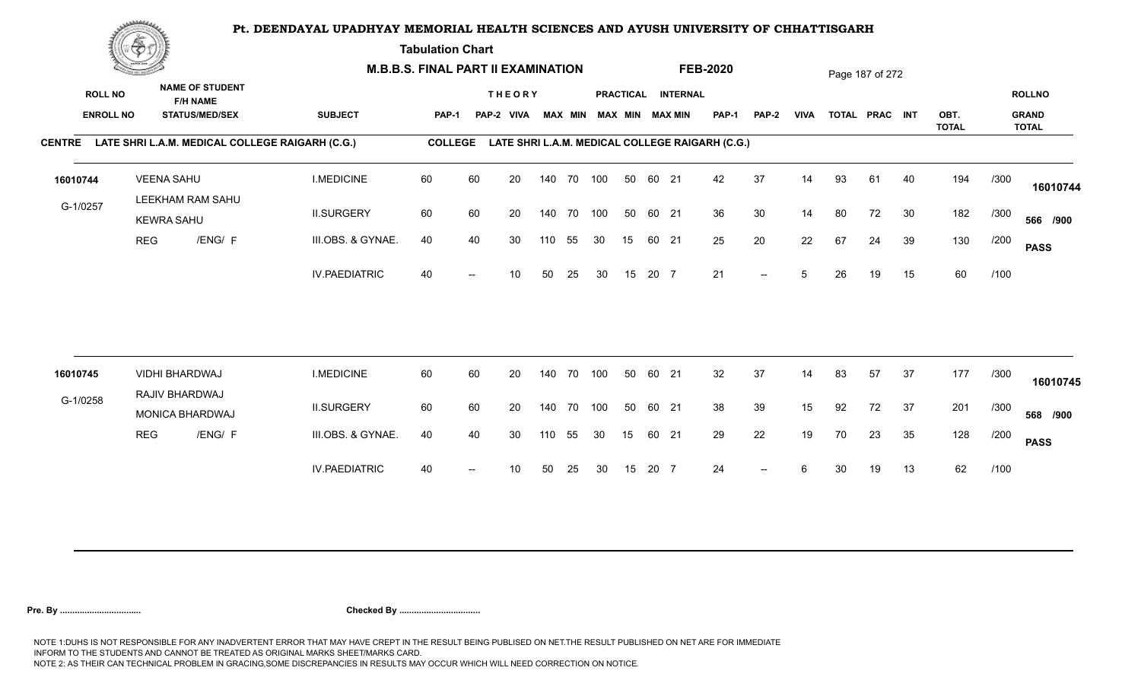**Tabulation Chart** 

|                                    | <b>Construction of the Construction</b> |                                       |                                                 | <b>M.B.B.S. FINAL PART II EXAMINATION</b>              |                |    |                             |     |                |            |    |       |                                              | <b>FEB-2020</b>                                 |                          |             |    | Page 187 of 272 |    |              |      |                               |
|------------------------------------|-----------------------------------------|---------------------------------------|-------------------------------------------------|--------------------------------------------------------|----------------|----|-----------------------------|-----|----------------|------------|----|-------|----------------------------------------------|-------------------------------------------------|--------------------------|-------------|----|-----------------|----|--------------|------|-------------------------------|
| <b>ROLL NO</b><br><b>ENROLL NO</b> |                                         | <b>F/H NAME</b>                       | <b>NAME OF STUDENT</b><br><b>STATUS/MED/SEX</b> | <b>SUBJECT</b>                                         | PAP-1          |    | <b>THEORY</b><br>PAP-2 VIVA |     | <b>MAX MIN</b> |            |    |       | PRACTICAL INTERNAL<br><b>MAX MIN MAX MIN</b> | <b>PAP-1</b>                                    | <b>PAP-2</b>             | <b>VIVA</b> |    | TOTAL PRAC INT  |    | OBT.         |      | <b>ROLLNO</b><br><b>GRAND</b> |
|                                    |                                         |                                       |                                                 | CENTRE LATE SHRI L.A.M. MEDICAL COLLEGE RAIGARH (C.G.) | <b>COLLEGE</b> |    |                             |     |                |            |    |       |                                              | LATE SHRI L.A.M. MEDICAL COLLEGE RAIGARH (C.G.) |                          |             |    |                 |    | <b>TOTAL</b> |      | <b>TOTAL</b>                  |
| 16010744                           |                                         | <b>VEENA SAHU</b><br>LEEKHAM RAM SAHU |                                                 | <b>I.MEDICINE</b>                                      | 60             | 60 | 20                          |     |                | 140 70 100 | 50 | 60 21 |                                              | 42                                              | 37                       | 14          | 93 | 61              | 40 | 194          | /300 | 16010744                      |
| G-1/0257                           |                                         | <b>KEWRA SAHU</b>                     |                                                 | <b>II.SURGERY</b>                                      | 60             | 60 | 20                          |     | 140 70         | 100        | 50 | 60 21 |                                              | 36                                              | 30                       | 14          | 80 | 72              | 30 | 182          | /300 | 566 /900                      |
|                                    | <b>REG</b>                              |                                       | /ENG/ F                                         | III.OBS. & GYNAE.                                      | 40             | 40 | 30                          | 110 | 55             | 30         | 15 | 60 21 |                                              | 25                                              | 20                       | 22          | 67 | 24              | 39 | 130          | /200 | <b>PASS</b>                   |
|                                    |                                         |                                       |                                                 | <b>IV.PAEDIATRIC</b>                                   | 40             |    | 10                          | 50  | 25             | 30         | 15 | 20 7  |                                              | 21                                              | $\overline{\phantom{a}}$ | 5           | 26 | 19              | 15 | 60           | /100 |                               |
| 16010745                           |                                         | VIDHI BHARDWAJ                        |                                                 | <b>I.MEDICINE</b>                                      | 60             | 60 | 20                          |     | 140 70         | 100        | 50 | 60 21 |                                              | 32                                              | 37                       | 14          | 83 | 57              | 37 | 177          | /300 |                               |
| G-1/0258                           |                                         | RAJIV BHARDWAJ                        |                                                 |                                                        |                |    |                             |     |                |            |    |       |                                              |                                                 |                          |             |    |                 |    |              |      | 16010745                      |
|                                    |                                         | <b>MONICA BHARDWAJ</b>                |                                                 | <b>II.SURGERY</b>                                      | 60             | 60 | 20                          |     | 140 70         | 100        | 50 | 60 21 |                                              | 38                                              | 39                       | 15          | 92 | 72              | 37 | 201          | /300 | 568 /900                      |
|                                    | <b>REG</b>                              |                                       | /ENG/ F                                         | III.OBS. & GYNAE.                                      | 40             | 40 | 30                          | 110 | 55             | 30         | 15 | 60 21 |                                              | 29                                              | 22                       | 19          | 70 | 23              | 35 | 128          | /200 | <b>PASS</b>                   |
|                                    |                                         |                                       |                                                 | <b>IV.PAEDIATRIC</b>                                   | 40             |    | 10                          | 50  | 25             | 30         | 15 | 20 7  |                                              | 24                                              | $-$                      | 6           | 30 | 19              | 13 | 62           | /100 |                               |
|                                    |                                         |                                       |                                                 |                                                        |                |    |                             |     |                |            |    |       |                                              |                                                 |                          |             |    |                 |    |              |      |                               |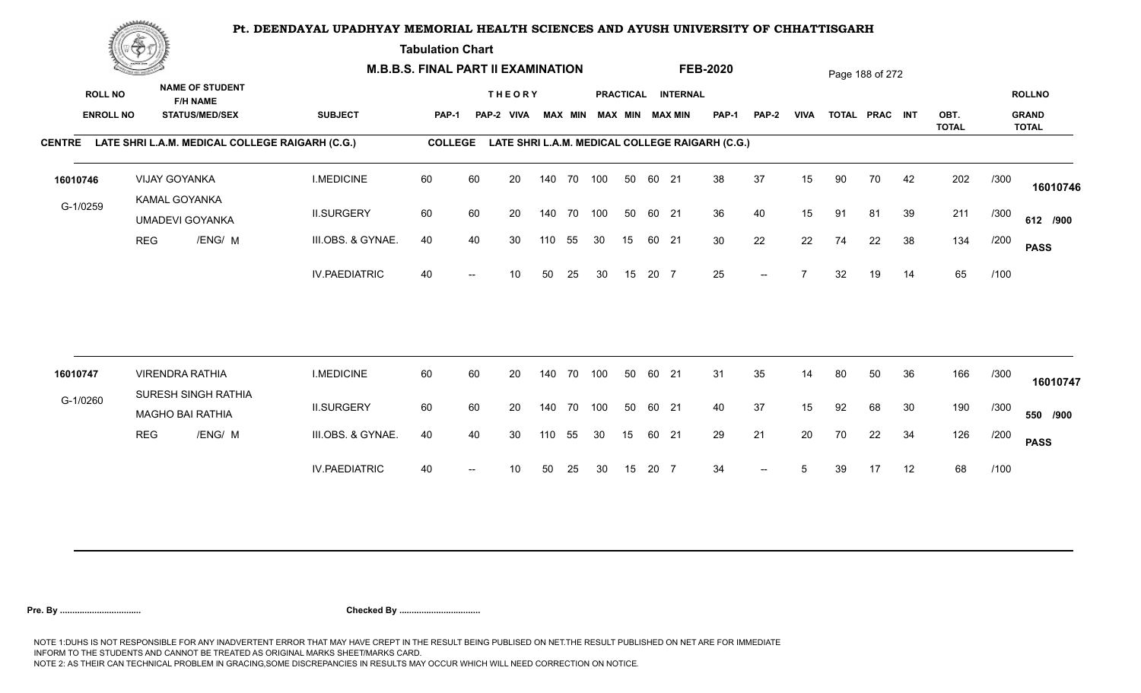**Tabulation Chart** 

|                                    | <b>Construction of the Construction</b> |                                                                    |                     | <b>M.B.B.S. FINAL PART II EXAMINATION</b>       |                |    |                             |     |                |            |    |       |                                       | <b>FEB-2020</b>                                 |              |             |    | Page 188 of 272 |    |              |      |                               |
|------------------------------------|-----------------------------------------|--------------------------------------------------------------------|---------------------|-------------------------------------------------|----------------|----|-----------------------------|-----|----------------|------------|----|-------|---------------------------------------|-------------------------------------------------|--------------|-------------|----|-----------------|----|--------------|------|-------------------------------|
| <b>ROLL NO</b><br><b>ENROLL NO</b> |                                         | <b>NAME OF STUDENT</b><br><b>F/H NAME</b><br><b>STATUS/MED/SEX</b> |                     | <b>SUBJECT</b>                                  | <b>PAP-1</b>   |    | <b>THEORY</b><br>PAP-2 VIVA |     | <b>MAX MIN</b> |            |    |       | PRACTICAL INTERNAL<br>MAX MIN MAX MIN | PAP-1                                           | <b>PAP-2</b> | <b>VIVA</b> |    | TOTAL PRAC INT  |    | OBT.         |      | <b>ROLLNO</b><br><b>GRAND</b> |
| <b>CENTRE</b>                      |                                         |                                                                    |                     | LATE SHRI L.A.M. MEDICAL COLLEGE RAIGARH (C.G.) | <b>COLLEGE</b> |    |                             |     |                |            |    |       |                                       | LATE SHRI L.A.M. MEDICAL COLLEGE RAIGARH (C.G.) |              |             |    |                 |    | <b>TOTAL</b> |      | <b>TOTAL</b>                  |
|                                    |                                         |                                                                    |                     |                                                 |                |    |                             |     |                |            |    |       |                                       |                                                 |              |             |    |                 |    |              |      |                               |
| 16010746                           |                                         | <b>VIJAY GOYANKA</b>                                               |                     | <b>I.MEDICINE</b>                               | 60             | 60 | 20                          |     | 140 70         | 100        | 50 | 60 21 |                                       | 38                                              | 37           | 15          | 90 | 70              | 42 | 202          | /300 | 16010746                      |
| G-1/0259                           |                                         | KAMAL GOYANKA<br><b>UMADEVI GOYANKA</b>                            |                     | <b>II.SURGERY</b>                               | 60             | 60 | 20                          |     | 140 70         | 100        | 50 | 60 21 |                                       | 36                                              | 40           | 15          | 91 | 81              | 39 | 211          | /300 | 612 /900                      |
|                                    | <b>REG</b>                              |                                                                    | /ENG/ M             | III.OBS. & GYNAE.                               | 40             | 40 | 30                          | 110 | 55             | 30         | 15 | 60 21 |                                       | 30                                              | 22           | 22          | 74 | 22              | 38 | 134          | /200 | <b>PASS</b>                   |
|                                    |                                         |                                                                    |                     | <b>IV.PAEDIATRIC</b>                            | 40             |    | 10                          | 50  | 25             | 30         | 15 | 20 7  |                                       | 25                                              | $-$          |             | 32 | 19              | 14 | 65           | /100 |                               |
|                                    |                                         |                                                                    |                     |                                                 |                |    |                             |     |                |            |    |       |                                       |                                                 |              |             |    |                 |    |              |      |                               |
| 16010747                           |                                         | <b>VIRENDRA RATHIA</b>                                             |                     | <b>I.MEDICINE</b>                               | 60             | 60 | 20                          |     | 140 70         | 100        | 50 | 60 21 |                                       | 31                                              | 35           | 14          | 80 | 50              | 36 | 166          | /300 | 16010747                      |
| G-1/0260                           |                                         | <b>MAGHO BAI RATHIA</b>                                            | SURESH SINGH RATHIA | <b>II.SURGERY</b>                               | 60             | 60 | 20                          |     |                | 140 70 100 | 50 | 60 21 |                                       | 40                                              | 37           | 15          | 92 | 68              | 30 | 190          | /300 | 550 /900                      |
|                                    | <b>REG</b>                              |                                                                    | /ENG/ M             | III.OBS. & GYNAE.                               | 40             | 40 | 30                          | 110 | 55             | 30         | 15 | 60 21 |                                       | 29                                              | 21           | 20          | 70 | 22              | 34 | 126          | /200 | <b>PASS</b>                   |
|                                    |                                         |                                                                    |                     | <b>IV.PAEDIATRIC</b>                            | 40             |    | 10                          | 50  | 25             | 30         | 15 | 20 7  |                                       | 34                                              | $-$          | 5           | 39 | 17              | 12 | 68           | /100 |                               |
|                                    |                                         |                                                                    |                     |                                                 |                |    |                             |     |                |            |    |       |                                       |                                                 |              |             |    |                 |    |              |      |                               |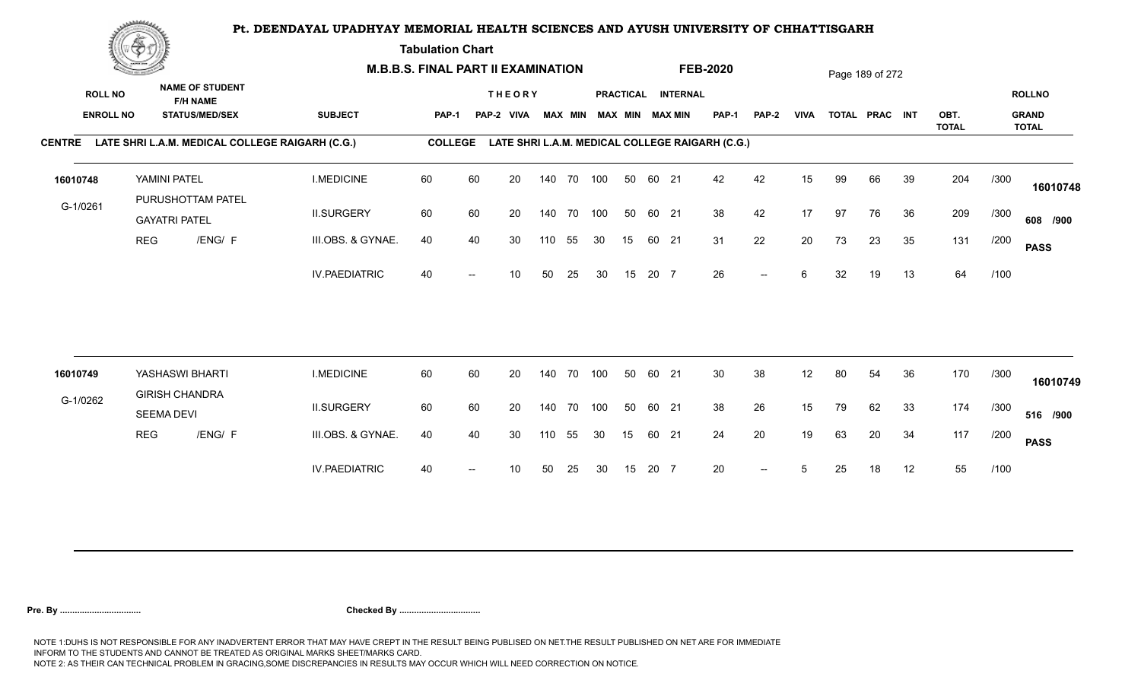**Tabulation Chart** 

|                                    | <b>Construction of the Construction</b> |                       |                                                                    | <b>M.B.B.S. FINAL PART II EXAMINATION</b>              |                |    |                             |     |                |            |    |       |                                       | <b>FEB-2020</b>                                 |                          |             |    | Page 189 of 272 |    |              |      |                               |
|------------------------------------|-----------------------------------------|-----------------------|--------------------------------------------------------------------|--------------------------------------------------------|----------------|----|-----------------------------|-----|----------------|------------|----|-------|---------------------------------------|-------------------------------------------------|--------------------------|-------------|----|-----------------|----|--------------|------|-------------------------------|
| <b>ROLL NO</b><br><b>ENROLL NO</b> |                                         |                       | <b>NAME OF STUDENT</b><br><b>F/H NAME</b><br><b>STATUS/MED/SEX</b> | <b>SUBJECT</b>                                         | <b>PAP-1</b>   |    | <b>THEORY</b><br>PAP-2 VIVA |     | <b>MAX MIN</b> |            |    |       | PRACTICAL INTERNAL<br>MAX MIN MAX MIN | PAP-1                                           | <b>PAP-2</b>             | <b>VIVA</b> |    | TOTAL PRAC INT  |    | OBT.         |      | <b>ROLLNO</b><br><b>GRAND</b> |
|                                    |                                         |                       |                                                                    | CENTRE LATE SHRI L.A.M. MEDICAL COLLEGE RAIGARH (C.G.) | <b>COLLEGE</b> |    |                             |     |                |            |    |       |                                       | LATE SHRI L.A.M. MEDICAL COLLEGE RAIGARH (C.G.) |                          |             |    |                 |    | <b>TOTAL</b> |      | <b>TOTAL</b>                  |
| 16010748                           |                                         | YAMINI PATEL          | PURUSHOTTAM PATEL                                                  | <b>I.MEDICINE</b>                                      | 60             | 60 | 20                          |     | 140 70         | 100        | 50 | 60 21 |                                       | 42                                              | 42                       | 15          | 99 | 66              | 39 | 204          | /300 | 16010748                      |
| G-1/0261                           |                                         | <b>GAYATRI PATEL</b>  |                                                                    | <b>II.SURGERY</b>                                      | 60             | 60 | 20                          |     | 140 70         | 100        | 50 | 60 21 |                                       | 38                                              | 42                       | 17          | 97 | 76              | 36 | 209          | /300 | 608 /900                      |
|                                    | <b>REG</b>                              |                       | /ENG/ F                                                            | III.OBS. & GYNAE.                                      | 40             | 40 | 30                          | 110 | 55             | 30         | 15 | 60 21 |                                       | 31                                              | 22                       | 20          | 73 | 23              | 35 | 131          | /200 | <b>PASS</b>                   |
|                                    |                                         |                       |                                                                    | <b>IV.PAEDIATRIC</b>                                   | 40             |    | 10                          | 50  | 25             | 30         | 15 | 20 7  |                                       | 26                                              | $\overline{\phantom{a}}$ | 6           | 32 | 19              | 13 | 64           | /100 |                               |
| 16010749                           |                                         | YASHASWI BHARTI       |                                                                    | <b>I.MEDICINE</b>                                      | 60             | 60 | 20                          |     | 140 70         | 100        | 50 | 60 21 |                                       | 30                                              | 38                       | 12          | 80 | 54              | 36 | 170          | /300 |                               |
| G-1/0262                           |                                         | <b>GIRISH CHANDRA</b> |                                                                    |                                                        |                |    |                             |     |                |            |    |       |                                       |                                                 |                          |             |    |                 |    |              |      | 16010749                      |
|                                    |                                         | <b>SEEMA DEVI</b>     |                                                                    | <b>II.SURGERY</b>                                      | 60             | 60 | 20                          |     |                | 140 70 100 | 50 | 60 21 |                                       | 38                                              | 26                       | 15          | 79 | 62              | 33 | 174          | /300 | 516 /900                      |
|                                    | <b>REG</b>                              |                       | /ENG/ F                                                            | III.OBS. & GYNAE.                                      | 40             | 40 | 30                          | 110 | 55             | 30         | 15 | 60 21 |                                       | 24                                              | 20                       | 19          | 63 | 20              | 34 | 117          | /200 | <b>PASS</b>                   |
|                                    |                                         |                       |                                                                    | <b>IV.PAEDIATRIC</b>                                   | 40             |    | 10                          | 50  | 25             | 30         | 15 | 20 7  |                                       | 20                                              | $-$                      | 5           | 25 | 18              | 12 | 55           | /100 |                               |
|                                    |                                         |                       |                                                                    |                                                        |                |    |                             |     |                |            |    |       |                                       |                                                 |                          |             |    |                 |    |              |      |                               |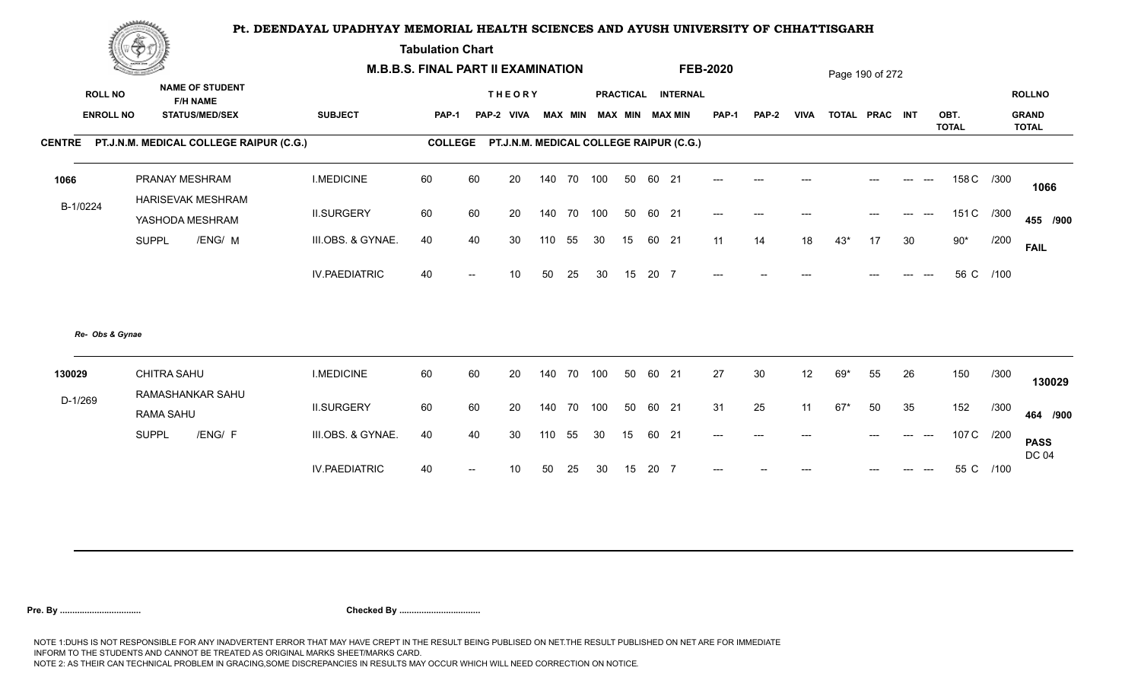**Tabulation Chart** 

|                                    | <b>Construction of the American State</b>                          |                      | <b>M.B.B.S. FINAL PART II EXAMINATION</b> |                                                 |    |                |     |                                    |      |                                   | <b>FEB-2020</b> |              |      |                | Page 190 of 272 |                |              |           |                               |
|------------------------------------|--------------------------------------------------------------------|----------------------|-------------------------------------------|-------------------------------------------------|----|----------------|-----|------------------------------------|------|-----------------------------------|-----------------|--------------|------|----------------|-----------------|----------------|--------------|-----------|-------------------------------|
| <b>ROLL NO</b><br><b>ENROLL NO</b> | <b>NAME OF STUDENT</b><br><b>F/H NAME</b><br><b>STATUS/MED/SEX</b> | <b>SUBJECT</b>       | <b>PAP-1</b>                              | <b>THEORY</b><br>PAP-2 VIVA                     |    | <b>MAX MIN</b> |     | <b>PRACTICAL</b><br><b>MAX MIN</b> |      | <b>INTERNAL</b><br><b>MAX MIN</b> | <b>PAP-1</b>    | <b>PAP-2</b> | VIVA | TOTAL PRAC INT |                 |                | OBT.         |           | <b>ROLLNO</b><br><b>GRAND</b> |
| <b>CENTRE</b>                      | PT.J.N.M. MEDICAL COLLEGE RAIPUR (C.G.)                            |                      |                                           | COLLEGE PT.J.N.M. MEDICAL COLLEGE RAIPUR (C.G.) |    |                |     |                                    |      |                                   |                 |              |      |                |                 |                | <b>TOTAL</b> |           | <b>TOTAL</b>                  |
|                                    |                                                                    |                      |                                           |                                                 |    |                |     |                                    |      |                                   |                 |              |      |                |                 |                |              |           |                               |
| 1066                               | PRANAY MESHRAM<br>HARISEVAK MESHRAM                                | <b>I.MEDICINE</b>    | 60                                        | 60                                              | 20 | 140 70         | 100 | 50                                 |      | 60 21                             | $---$           |              |      |                |                 |                | 158 C /300   |           | 1066                          |
| B-1/0224                           | YASHODA MESHRAM                                                    | <b>II.SURGERY</b>    | 60                                        | 60                                              | 20 | 140 70         | 100 | 50                                 |      | 60 21                             | $---$           | $---$        |      |                |                 |                | 151 C /300   |           | 455 /900                      |
|                                    | <b>SUPPL</b><br>/ENG/ M                                            | III.OBS. & GYNAE.    | 40                                        | 40                                              | 30 | 110<br>55      | 30  | 15                                 |      | 60 21                             | 11              | 14           | 18   | $43*$          | 17              | 30             | $90*$        | /200      | <b>FAIL</b>                   |
|                                    |                                                                    | <b>IV.PAEDIATRIC</b> | 40                                        |                                                 | 10 | 50<br>25       | 30  | 15                                 | 20 7 |                                   |                 |              |      |                |                 |                |              | 56 C /100 |                               |
| Re- Obs & Gynae                    |                                                                    |                      |                                           |                                                 |    |                |     |                                    |      |                                   |                 |              |      |                |                 |                |              |           |                               |
| 130029                             | CHITRA SAHU<br>RAMASHANKAR SAHU                                    | <b>I.MEDICINE</b>    | 60                                        | 60                                              | 20 | 140<br>70      | 100 | 50                                 |      | 60 21                             | 27              | 30           | 12   | 69*            | 55              | 26             | 150          | /300      | 130029                        |
| D-1/269                            | RAMA SAHU                                                          | <b>II.SURGERY</b>    | 60                                        | 60                                              | 20 | 140 70         | 100 | 50                                 |      | 60 21                             | 31              | 25           | 11   | $67*$          | 50              | 35             | 152          | /300      | 464 /900                      |
|                                    | /ENG/ F<br><b>SUPPL</b>                                            | III.OBS. & GYNAE.    | 40                                        | 40                                              | 30 | 55<br>110      | 30  | 15                                 |      | 60 21                             | $---$           | $---$        | ---  |                | $---$           | $---$<br>$---$ | 107 C /200   |           | <b>PASS</b><br><b>DC 04</b>   |
|                                    |                                                                    | <b>IV.PAEDIATRIC</b> | 40                                        |                                                 | 10 | 50<br>25       | 30  | 15                                 | 20 7 |                                   |                 |              |      |                |                 |                |              | 55 C /100 |                               |
|                                    |                                                                    |                      |                                           |                                                 |    |                |     |                                    |      |                                   |                 |              |      |                |                 |                |              |           |                               |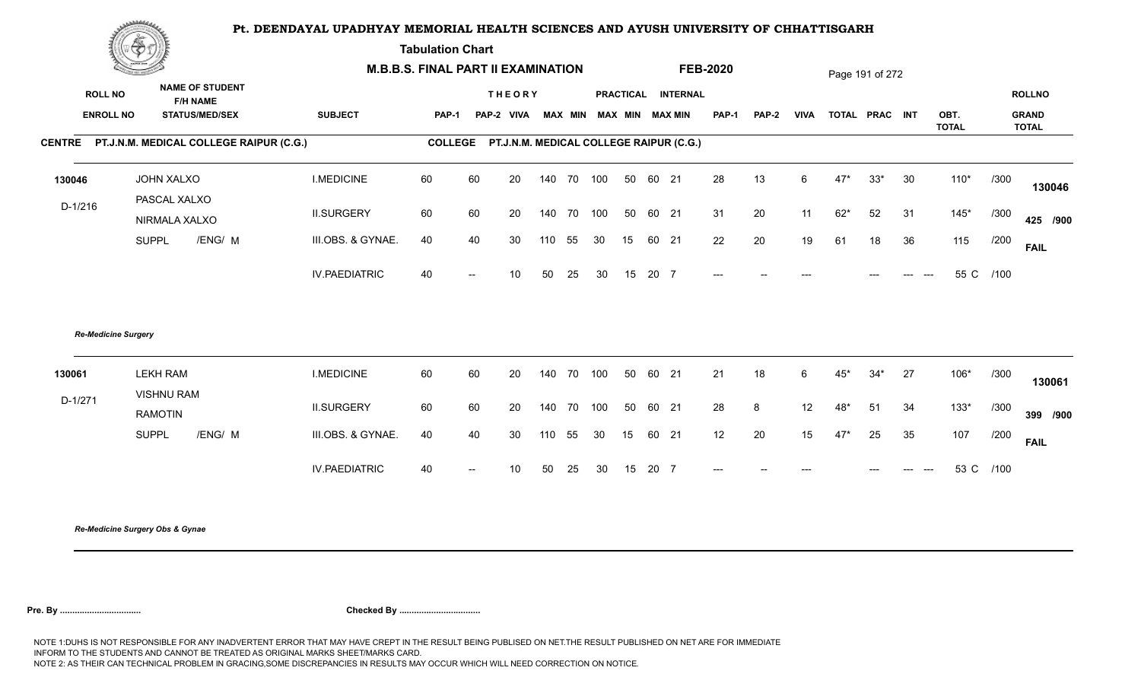**Tabulation Chart** 

|           | <b>Change of the Company of Company</b> |                                                |                      | <b>M.B.B.S. FINAL PART II EXAMINATION</b>       |                          |               |                |     |           |    |       |                 | <b>FEB-2020</b> |              |             |       | Page 191 of 272 |    |                      |           |                              |
|-----------|-----------------------------------------|------------------------------------------------|----------------------|-------------------------------------------------|--------------------------|---------------|----------------|-----|-----------|----|-------|-----------------|-----------------|--------------|-------------|-------|-----------------|----|----------------------|-----------|------------------------------|
|           | <b>ROLL NO</b>                          | <b>NAME OF STUDENT</b><br><b>F/H NAME</b>      |                      |                                                 |                          | <b>THEORY</b> |                |     | PRACTICAL |    |       | <b>INTERNAL</b> |                 |              |             |       |                 |    |                      |           | <b>ROLLNO</b>                |
|           | <b>ENROLL NO</b>                        | <b>STATUS/MED/SEX</b>                          | <b>SUBJECT</b>       | PAP-1                                           |                          | PAP-2 VIVA    | <b>MAX MIN</b> |     |           |    |       | MAX MIN MAX MIN | <b>PAP-1</b>    | <b>PAP-2</b> | <b>VIVA</b> |       | TOTAL PRAC INT  |    | OBT.<br><b>TOTAL</b> |           | <b>GRAND</b><br><b>TOTAL</b> |
|           |                                         | CENTRE PT.J.N.M. MEDICAL COLLEGE RAIPUR (C.G.) |                      | COLLEGE PT.J.N.M. MEDICAL COLLEGE RAIPUR (C.G.) |                          |               |                |     |           |    |       |                 |                 |              |             |       |                 |    |                      |           |                              |
| 130046    |                                         | JOHN XALXO<br>PASCAL XALXO                     | <b>I.MEDICINE</b>    | 60                                              | 60                       | 20            | 140 70         |     | 100       | 50 | 60 21 |                 | 28              | 13           | 6           | $47*$ | $33*$           | 30 | $110*$               | /300      | 130046                       |
| $D-1/216$ |                                         | NIRMALA XALXO                                  | <b>II.SURGERY</b>    | 60                                              | 60                       | 20            | 140 70         |     | 100       | 50 | 60 21 |                 | 31              | 20           | 11          | $62*$ | 52              | 31 | $145*$               | /300      | 425 /900                     |
|           |                                         | /ENG/ M<br><b>SUPPL</b>                        | III.OBS. & GYNAE.    | 40                                              | 40                       | 30            | 110            | 55  | 30        | 15 | 60 21 |                 | 22              | 20           | 19          | 61    | 18              | 36 | 115                  | /200      | <b>FAIL</b>                  |
|           |                                         |                                                | <b>IV.PAEDIATRIC</b> | 40                                              | $\overline{\phantom{a}}$ | 10            | 50             | 25  | 30        | 15 | 20 7  |                 | $---$           |              |             |       |                 |    |                      | 55 C /100 |                              |
|           | <b>Re-Medicine Surgery</b>              |                                                |                      |                                                 |                          |               |                |     |           |    |       |                 |                 |              |             |       |                 |    |                      |           |                              |
| 130061    |                                         | <b>LEKH RAM</b><br><b>VISHNU RAM</b>           | <b>I.MEDICINE</b>    | 60                                              | 60                       | 20            | 140            | 70  | 100       | 50 | 60 21 |                 | 21              | 18           | 6           | $45*$ | $34*$           | 27 | 106*                 | /300      | 130061                       |
| $D-1/271$ |                                         | <b>RAMOTIN</b>                                 | <b>II.SURGERY</b>    | 60                                              | 60                       | 20            | 140 70         |     | 100       | 50 | 60 21 |                 | 28              | 8            | 12          | $48*$ | 51              | 34 | $133*$               | /300      | 399 /900                     |
|           |                                         | /ENG/ M<br><b>SUPPL</b>                        | III.OBS. & GYNAE.    | 40                                              | 40                       | 30            | 110            | 55  | 30        | 15 | 60 21 |                 | 12              | 20           | 15          | $47*$ | 25              | 35 | 107                  | /200      | <b>FAIL</b>                  |
|           |                                         |                                                | <b>IV.PAEDIATRIC</b> | 40                                              | $\hspace{0.05cm}$        | 10            | 50             | -25 | 30        | 15 | 20 7  |                 | $---$           |              |             |       |                 |    |                      | 53 C /100 |                              |
|           |                                         |                                                |                      |                                                 |                          |               |                |     |           |    |       |                 |                 |              |             |       |                 |    |                      |           |                              |

*Re-Medicine Surgery Obs & Gynae*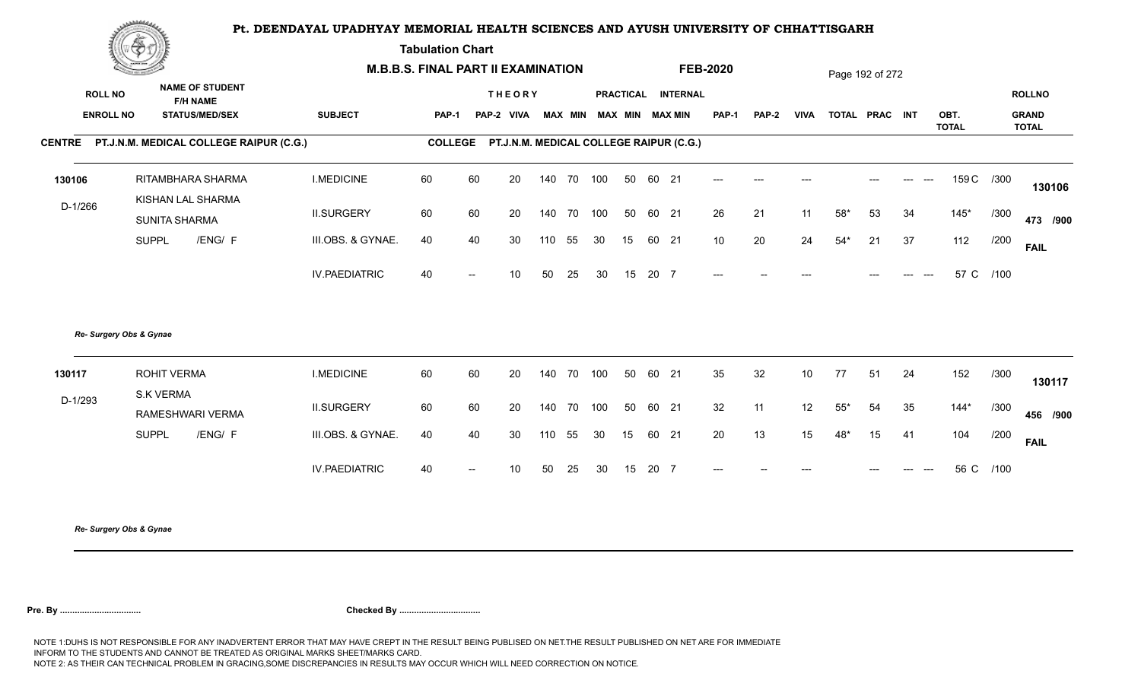**Tabulation Chart** 

|                  | Change of the same of the con-                 |                      | <b>M.B.B.S. FINAL PART II EXAMINATION</b> |                                                 |    |                |     |                  |       |                 | <b>FEB-2020</b> |              |                  |                | Page 192 of 272 |    |                      |            |                              |
|------------------|------------------------------------------------|----------------------|-------------------------------------------|-------------------------------------------------|----|----------------|-----|------------------|-------|-----------------|-----------------|--------------|------------------|----------------|-----------------|----|----------------------|------------|------------------------------|
| <b>ROLL NO</b>   | <b>NAME OF STUDENT</b><br><b>F/H NAME</b>      |                      |                                           | <b>THEORY</b>                                   |    |                |     | <b>PRACTICAL</b> |       | <b>INTERNAL</b> |                 |              |                  |                |                 |    |                      |            | <b>ROLLNO</b>                |
| <b>ENROLL NO</b> | <b>STATUS/MED/SEX</b>                          | <b>SUBJECT</b>       | <b>PAP-1</b>                              | PAP-2 VIVA                                      |    | <b>MAX MIN</b> |     | <b>MAX MIN</b>   |       | <b>MAX MIN</b>  | PAP-1           | <b>PAP-2</b> | <b>VIVA</b>      | TOTAL PRAC INT |                 |    | OBT.<br><b>TOTAL</b> |            | <b>GRAND</b><br><b>TOTAL</b> |
|                  | CENTRE PT.J.N.M. MEDICAL COLLEGE RAIPUR (C.G.) |                      |                                           | COLLEGE PT.J.N.M. MEDICAL COLLEGE RAIPUR (C.G.) |    |                |     |                  |       |                 |                 |              |                  |                |                 |    |                      |            |                              |
| 130106           | RITAMBHARA SHARMA<br>KISHAN LAL SHARMA         | <b>I.MEDICINE</b>    | 60                                        | 60                                              | 20 | 140 70         | 100 | 50               | 60 21 |                 | $---$           | $---$        |                  |                |                 |    |                      | 159 C /300 | 130106                       |
| D-1/266          | SUNITA SHARMA                                  | <b>II.SURGERY</b>    | 60                                        | 60                                              | 20 | 140 70         | 100 | 50               | 60 21 |                 | 26              | 21           | 11               | $58*$          | 53              | 34 | $145*$               | /300       | 473 /900                     |
|                  | /ENG/ F<br><b>SUPPL</b>                        | III.OBS. & GYNAE.    | 40                                        | 40                                              | 30 | 110<br>55      | 30  | 15               |       | 60 21           | 10              | 20           | 24               | $54*$          | 21              | 37 | 112                  | /200       | <b>FAIL</b>                  |
|                  |                                                | <b>IV.PAEDIATRIC</b> | 40                                        | $\overline{\phantom{a}}$                        | 10 | 50<br>25       | 30  | 15               | 20 7  |                 | $---$           |              |                  |                |                 |    | 57 C                 | /100       |                              |
|                  | Re- Surgery Obs & Gynae                        |                      |                                           |                                                 |    |                |     |                  |       |                 |                 |              |                  |                |                 |    |                      |            |                              |
| 130117           | <b>ROHIT VERMA</b><br><b>S.K VERMA</b>         | <b>I.MEDICINE</b>    | 60                                        | 60                                              | 20 | 140<br>70      | 100 | 50               | 60 21 |                 | 35              | 32           | 10               | 77             | 51              | 24 | 152                  | /300       | 130117                       |
| $D-1/293$        | RAMESHWARI VERMA                               | <b>II.SURGERY</b>    | 60                                        | 60                                              | 20 | 140 70         | 100 | 50               | 60 21 |                 | 32              | 11           | 12               | $55^{\ast}$    | 54              | 35 | $144*$               | /300       | 456 /900                     |
|                  | /ENG/ F<br><b>SUPPL</b>                        | III.OBS. & GYNAE.    | 40                                        | 40                                              | 30 | 110<br>55      | 30  | 15               |       | 60 21           | 20              | 13           | 15 <sub>15</sub> | $48*$          | 15              | 41 | 104                  | /200       | <b>FAIL</b>                  |
|                  |                                                | <b>IV.PAEDIATRIC</b> | 40                                        |                                                 | 10 | 50<br>25       | 30  | 15               | 20 7  |                 |                 |              |                  |                |                 |    |                      | 56 C /100  |                              |
|                  |                                                |                      |                                           |                                                 |    |                |     |                  |       |                 |                 |              |                  |                |                 |    |                      |            |                              |

*Re- Surgery Obs & Gynae*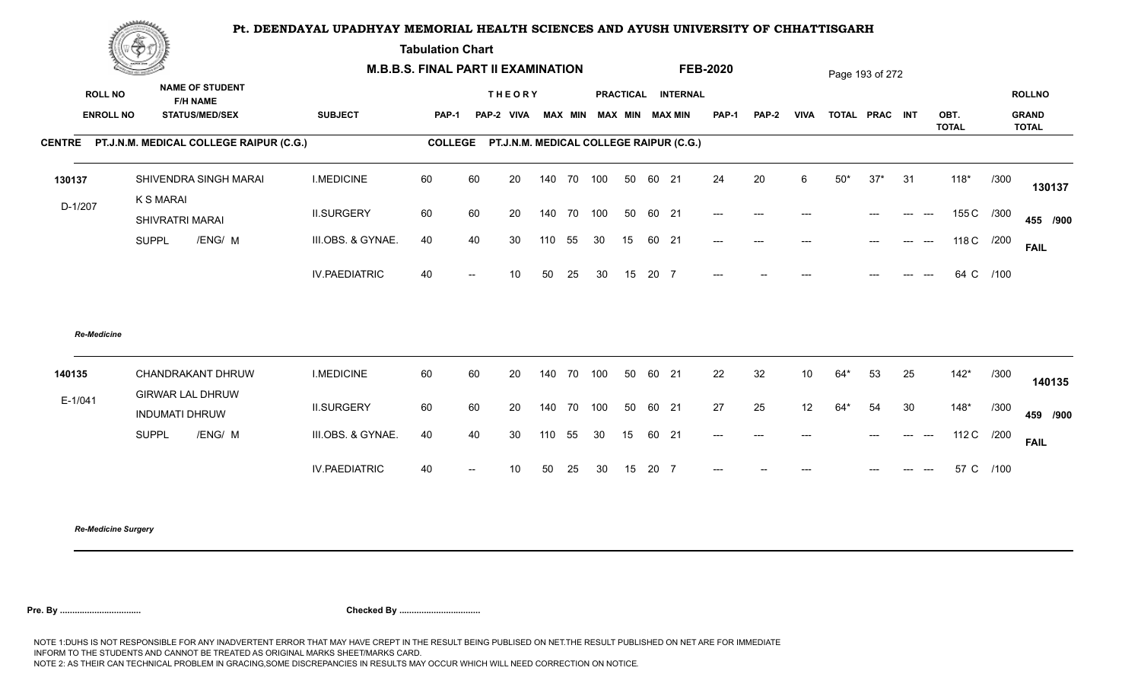**Tabulation Chart** 

|           | Construction of the<br><b>NAME OF STUDENT</b> |                         | <b>M.B.B.S. FINAL PART II EXAMINATION</b>      |                      |                |                          |                                         |     |                |     |    |          | <b>FEB-2020</b>        |              |       |                 | Page 193 of 272 |                |    |                      |            |                              |
|-----------|-----------------------------------------------|-------------------------|------------------------------------------------|----------------------|----------------|--------------------------|-----------------------------------------|-----|----------------|-----|----|----------|------------------------|--------------|-------|-----------------|-----------------|----------------|----|----------------------|------------|------------------------------|
|           | <b>ROLL NO</b>                                | <b>F/H NAME</b>         |                                                |                      |                |                          | <b>THEORY</b>                           |     |                |     |    |          | PRACTICAL INTERNAL     |              |       |                 |                 |                |    |                      |            | <b>ROLLNO</b>                |
|           | <b>ENROLL NO</b>                              |                         | <b>STATUS/MED/SEX</b>                          | <b>SUBJECT</b>       | <b>PAP-1</b>   |                          | PAP-2 VIVA                              |     | <b>MAX MIN</b> |     |    |          | <b>MAX MIN MAX MIN</b> | <b>PAP-1</b> | PAP-2 | <b>VIVA</b>     |                 | TOTAL PRAC INT |    | OBT.<br><b>TOTAL</b> |            | <b>GRAND</b><br><b>TOTAL</b> |
|           |                                               |                         | CENTRE PT.J.N.M. MEDICAL COLLEGE RAIPUR (C.G.) |                      | <b>COLLEGE</b> |                          | PT.J.N.M. MEDICAL COLLEGE RAIPUR (C.G.) |     |                |     |    |          |                        |              |       |                 |                 |                |    |                      |            |                              |
| 130137    |                                               | K S MARAI               | SHIVENDRA SINGH MARAI                          | <b>I.MEDICINE</b>    | 60             | 60                       | 20                                      |     | 140 70         | 100 |    | 50 60 21 |                        | 24           | 20    | 6               | $50*$           | $37*$          | 31 | $118*$               | /300       | 130137                       |
| $D-1/207$ |                                               | SHIVRATRI MARAI         |                                                | <b>II.SURGERY</b>    | 60             | 60                       | 20                                      | 140 | 70             | 100 | 50 | 60 21    |                        | $---$        | $---$ | ---             |                 | $---$          |    |                      | 155 C /300 | 455 /900                     |
|           |                                               | <b>SUPPL</b>            | /ENG/ M                                        | III.OBS. & GYNAE.    | 40             | 40                       | 30                                      | 110 | 55             | 30  | 15 | 60 21    |                        | $---$        | $---$ | ---             |                 | $- - -$        |    |                      | 118 C /200 | <b>FAIL</b>                  |
|           |                                               |                         |                                                | <b>IV.PAEDIATRIC</b> | 40             | $\overline{\phantom{a}}$ | 10                                      | 50  | 25             | 30  | 15 | 20 7     |                        | $---$        |       |                 |                 |                |    | 64 C                 | /100       |                              |
|           | <b>Re-Medicine</b>                            |                         |                                                |                      |                |                          |                                         |     |                |     |    |          |                        |              |       |                 |                 |                |    |                      |            |                              |
| 140135    |                                               | <b>GIRWAR LAL DHRUW</b> | CHANDRAKANT DHRUW                              | <b>I.MEDICINE</b>    | 60             | 60                       | 20                                      |     | 140 70         | 100 | 50 | 60 21    |                        | 22           | 32    | 10 <sup>°</sup> | $64*$           | 53             | 25 | $142*$               | /300       | 140135                       |
| $E-1/041$ |                                               | <b>INDUMATI DHRUW</b>   |                                                | <b>II.SURGERY</b>    | 60             | 60                       | 20                                      | 140 | 70             | 100 | 50 | 60 21    |                        | 27           | 25    | 12              | $64*$           | 54             | 30 | $148*$               | /300       | 459 /900                     |
|           |                                               | <b>SUPPL</b>            | /ENG/ M                                        | III.OBS. & GYNAE.    | 40             | 40                       | 30                                      | 110 | 55             | 30  | 15 | 60 21    |                        | $---$        | $---$ |                 |                 |                |    |                      | 112 C /200 | <b>FAIL</b>                  |
|           |                                               |                         |                                                | <b>IV.PAEDIATRIC</b> | 40             | $\overline{\phantom{a}}$ | 10                                      | 50  | 25             | 30  | 15 | 20 7     |                        | $---$        |       | ---             |                 | $---$          |    |                      | 57 C /100  |                              |
|           |                                               |                         |                                                |                      |                |                          |                                         |     |                |     |    |          |                        |              |       |                 |                 |                |    |                      |            |                              |

*Re-Medicine Surgery*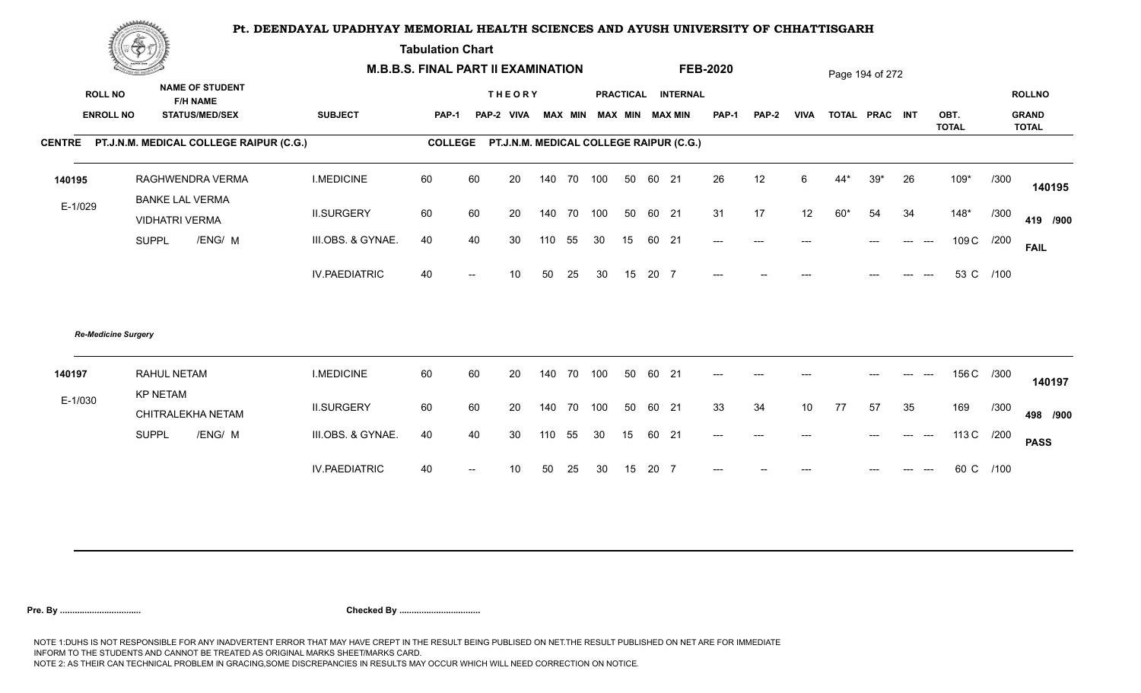**Tabulation Chart** 

|                  | <b>Change of the Company of Company</b>         |                      | <b>M.B.B.S. FINAL PART II EXAMINATION</b> |                          |               |     |                |     |                  |          |                                                 | <b>FEB-2020</b> |              |                 |                | Page 194 of 272 |    |                      |            |                       |
|------------------|-------------------------------------------------|----------------------|-------------------------------------------|--------------------------|---------------|-----|----------------|-----|------------------|----------|-------------------------------------------------|-----------------|--------------|-----------------|----------------|-----------------|----|----------------------|------------|-----------------------|
| <b>ROLL NO</b>   | <b>NAME OF STUDENT</b><br><b>F/H NAME</b>       |                      |                                           |                          | <b>THEORY</b> |     |                |     | <b>PRACTICAL</b> |          | <b>INTERNAL</b>                                 |                 |              |                 |                |                 |    |                      |            | <b>ROLLNO</b>         |
| <b>ENROLL NO</b> | <b>STATUS/MED/SEX</b>                           | <b>SUBJECT</b>       | <b>PAP-1</b>                              |                          | PAP-2 VIVA    |     | <b>MAX MIN</b> |     | <b>MAX MIN</b>   |          | MAX MIN                                         | <b>PAP-1</b>    | <b>PAP-2</b> | <b>VIVA</b>     | TOTAL PRAC INT |                 |    | OBT.<br><b>TOTAL</b> |            | <b>GRAND</b><br>TOTAL |
|                  | CENTRE PT.J.N.M. MEDICAL COLLEGE RAIPUR (C.G.)  |                      |                                           |                          |               |     |                |     |                  |          | COLLEGE PT.J.N.M. MEDICAL COLLEGE RAIPUR (C.G.) |                 |              |                 |                |                 |    |                      |            |                       |
| 140195           | RAGHWENDRA VERMA                                | <b>I.MEDICINE</b>    | 60                                        | 60                       | 20            |     | 140 70 100     |     |                  | 50 60 21 |                                                 | 26              | 12           | 6               | $44*$          | $39*$           | 26 | $109*$               | /300       | 140195                |
| E-1/029          | <b>BANKE LAL VERMA</b><br><b>VIDHATRI VERMA</b> | <b>II.SURGERY</b>    | 60                                        | 60                       | 20            |     | 140 70         | 100 |                  | 50 60 21 |                                                 | 31              | 17           | 12              | $60*$          | 54              | 34 | $148*$               | /300       | 419 /900              |
|                  | <b>SUPPL</b><br>/ENG/ M                         | III.OBS. & GYNAE.    | 40                                        | 40                       | 30            | 110 | 55             | 30  | 15               |          | 60 21                                           | $---$           | $---$        | ---             |                | ---             |    | 109 C                | /200       | <b>FAIL</b>           |
|                  |                                                 | <b>IV.PAEDIATRIC</b> | 40                                        | $\overline{a}$           | 10            | 50  | 25             | 30  | 15               | 20 7     |                                                 | $---$           |              |                 |                |                 |    | 53 C                 | /100       |                       |
|                  | <b>Re-Medicine Surgery</b>                      |                      |                                           |                          |               |     |                |     |                  |          |                                                 |                 |              |                 |                |                 |    |                      |            |                       |
| 140197           | <b>RAHUL NETAM</b><br><b>KP NETAM</b>           | <b>I.MEDICINE</b>    | 60                                        | 60                       | 20            | 140 | 70             | 100 |                  | 50 60 21 |                                                 | $---$           | ---          |                 |                |                 |    | 156 C /300           |            | 140197                |
| E-1/030          | CHITRALEKHA NETAM                               | <b>II.SURGERY</b>    | 60                                        | 60                       | 20            |     | 140 70         | 100 |                  | 50 60 21 |                                                 | 33              | 34           | 10 <sup>°</sup> | 77             | 57              | 35 | 169                  | /300       | 498 /900              |
|                  | <b>SUPPL</b><br>/ENG/ M                         | III.OBS. & GYNAE.    | 40                                        | 40                       | 30            | 110 | 55             | 30  | 15               |          | 60 21                                           | $---$           |              |                 |                |                 |    |                      | 113 C /200 | <b>PASS</b>           |
|                  |                                                 | <b>IV.PAEDIATRIC</b> | 40                                        | $\overline{\phantom{a}}$ | 10            | 50  | 25             | 30  | 15               | 20 7     |                                                 |                 |              |                 |                |                 |    |                      | 60 C /100  |                       |
|                  |                                                 |                      |                                           |                          |               |     |                |     |                  |          |                                                 |                 |              |                 |                |                 |    |                      |            |                       |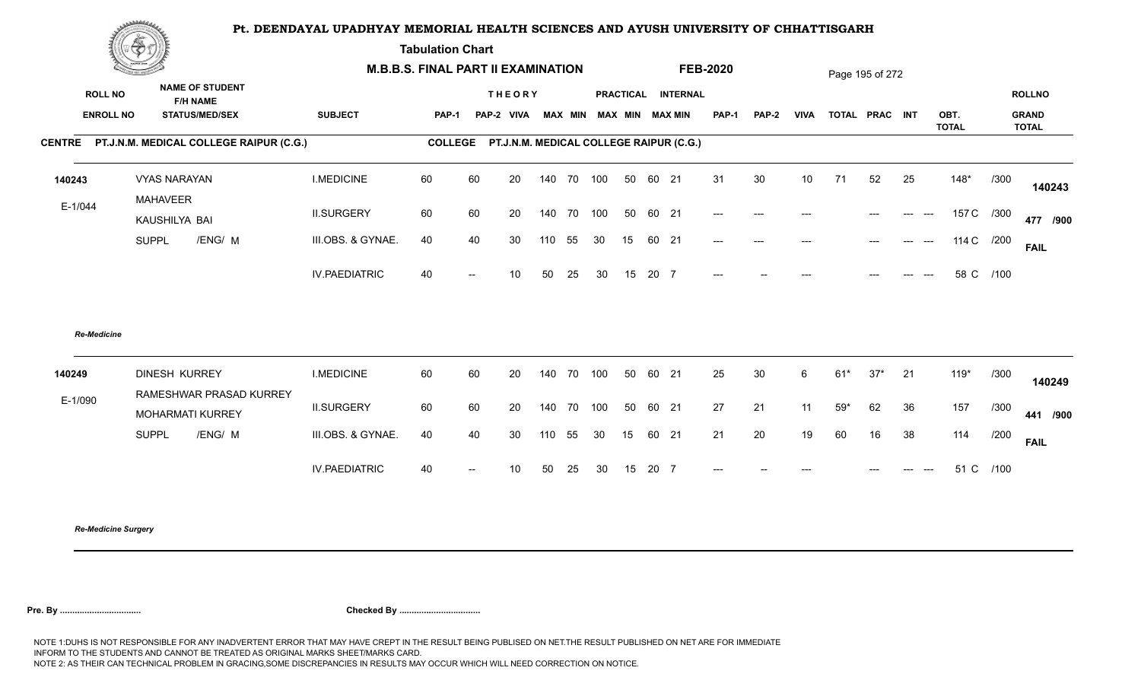**Tabulation Chart** 

| ▓▀                                        |                                                               |                                                |                          |              |     |                             |                                                               |                |          |                                                                                    |                                                                                          |                 |       |       |       |                                   |       |                                               |
|-------------------------------------------|---------------------------------------------------------------|------------------------------------------------|--------------------------|--------------|-----|-----------------------------|---------------------------------------------------------------|----------------|----------|------------------------------------------------------------------------------------|------------------------------------------------------------------------------------------|-----------------|-------|-------|-------|-----------------------------------|-------|-----------------------------------------------|
| <b>NAME OF STUDENT</b><br><b>ROLL NO</b>  |                                                               |                                                |                          |              |     |                             |                                                               |                |          |                                                                                    |                                                                                          |                 |       |       |       |                                   |       | <b>ROLLNO</b>                                 |
| <b>ENROLL NO</b><br><b>STATUS/MED/SEX</b> | <b>SUBJECT</b>                                                |                                                |                          |              |     |                             |                                                               |                |          | <b>PAP-1</b>                                                                       | <b>PAP-2</b>                                                                             | <b>VIVA</b>     |       |       |       | OBT.<br><b>TOTAL</b>              |       | <b>GRAND</b><br><b>TOTAL</b>                  |
|                                           |                                                               |                                                |                          |              |     |                             |                                                               |                |          |                                                                                    |                                                                                          |                 |       |       |       |                                   |       |                                               |
| <b>VYAS NARAYAN</b>                       | <b>I.MEDICINE</b>                                             | 60                                             | 60                       | 20           | 140 | 70                          | 100                                                           | 50             | 21       | 31                                                                                 | 30                                                                                       | 10 <sup>°</sup> | 71    | 52    | 25    | $148*$                            | /300  | 140243                                        |
| KAUSHILYA BAI                             | <b>II.SURGERY</b>                                             | 60                                             | 60                       | 20           |     | 70                          | 100                                                           | 50             |          | $---$                                                                              | $---$                                                                                    |                 |       |       |       |                                   |       | 477 /900                                      |
| <b>SUPPL</b><br>/ENG/ M                   | III.OBS. & GYNAE.                                             | 40                                             | 40                       | 30           | 110 | 55                          | 30                                                            | 15             |          | $---$                                                                              | $---$                                                                                    | ---             |       | $---$ | $---$ |                                   |       | <b>FAIL</b>                                   |
|                                           | <b>IV.PAEDIATRIC</b>                                          | 40                                             | $\overline{\phantom{a}}$ | 10           | 50  | 25                          | 30                                                            |                |          | $---$                                                                              |                                                                                          |                 |       |       |       |                                   | /100  |                                               |
| <b>Re-Medicine</b>                        |                                                               |                                                |                          |              |     |                             |                                                               |                |          |                                                                                    |                                                                                          |                 |       |       |       |                                   |       |                                               |
| <b>DINESH KURREY</b>                      | <b>I.MEDICINE</b>                                             | 60                                             | 60                       | 20           | 140 | 70                          | 100                                                           | 50             |          | 25                                                                                 | 30                                                                                       | 6               | $61*$ | $37*$ | 21    | 119*                              | /300  | 140249                                        |
| MOHARMATI KURREY                          | <b>II.SURGERY</b>                                             | 60                                             | 60                       | 20           |     | 70                          | 100                                                           | 50             |          | 27                                                                                 | 21                                                                                       | 11              | $59*$ | 62    | 36    | 157                               | /300  | 441 /900                                      |
| <b>SUPPL</b><br>/ENG/ M                   | III.OBS. & GYNAE.                                             | 40                                             | 40                       | 30           | 110 |                             | 30                                                            | 15             |          | 21                                                                                 | 20                                                                                       | 19              | 60    | 16    | 38    | 114                               | /200  | <b>FAIL</b>                                   |
|                                           | <b>IV.PAEDIATRIC</b>                                          | 40                                             | $\overline{\phantom{a}}$ | 10           | 50  | 25                          | 30                                                            |                |          | $---$                                                                              |                                                                                          |                 |       |       |       |                                   |       |                                               |
|                                           | <b>F/H NAME</b><br><b>MAHAVEER</b><br>RAMESHWAR PRASAD KURREY | CENTRE PT.J.N.M. MEDICAL COLLEGE RAIPUR (C.G.) |                          | <b>PAP-1</b> |     | <b>THEORY</b><br>PAP-2 VIVA | <b>M.B.B.S. FINAL PART II EXAMINATION</b><br>140<br>140<br>55 | <b>MAX MIN</b> | 15<br>15 | MAX MIN MAX MIN<br>60<br>60 21<br>60 21<br>20 7<br>60 21<br>60 21<br>60 21<br>20 7 | <b>FEB-2020</b><br>PRACTICAL INTERNAL<br>COLLEGE PT.J.N.M. MEDICAL COLLEGE RAIPUR (C.G.) |                 |       |       |       | Page 195 of 272<br>TOTAL PRAC INT | $---$ | 157 C /300<br>114 C /200<br>58 C<br>51 C /100 |

*Re-Medicine Surgery*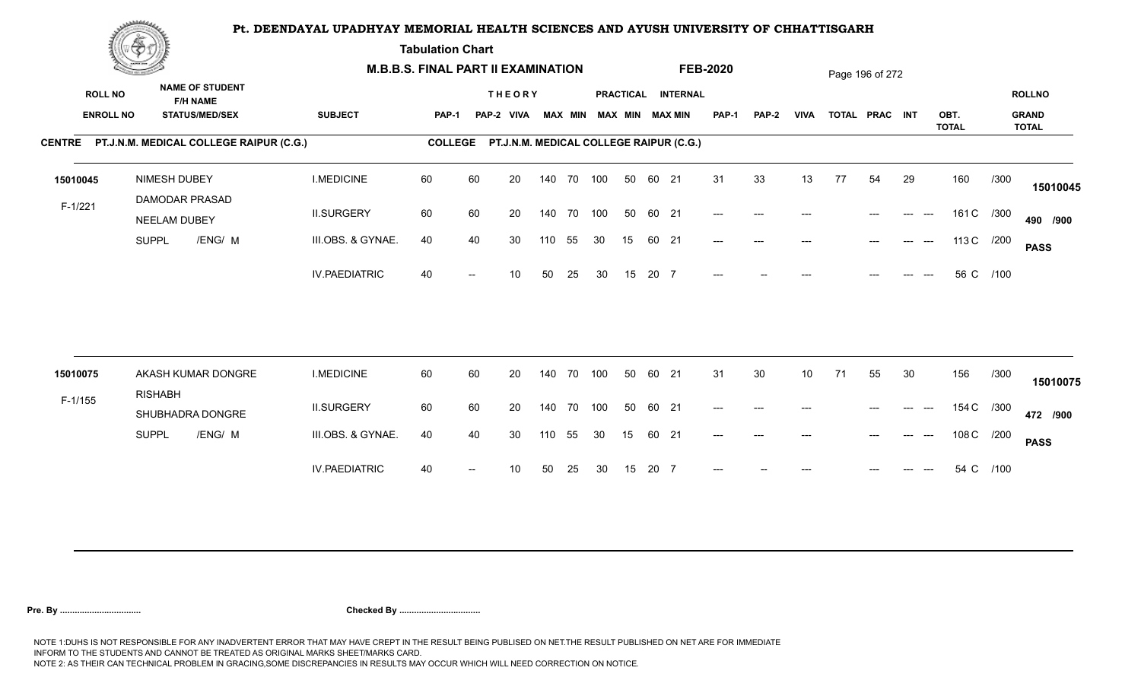**Tabulation Chart** 

|                | <b>Construction of the Construction</b> |                                                                    | <b>M.B.B.S. FINAL PART II EXAMINATION</b> |                |    |                                         |        |                |            |    |       |                                       | <b>FEB-2020</b> |                     |             |    | Page 196 of 272 |                              |              |      |                               |
|----------------|-----------------------------------------|--------------------------------------------------------------------|-------------------------------------------|----------------|----|-----------------------------------------|--------|----------------|------------|----|-------|---------------------------------------|-----------------|---------------------|-------------|----|-----------------|------------------------------|--------------|------|-------------------------------|
| <b>ROLL NO</b> | <b>ENROLL NO</b>                        | <b>NAME OF STUDENT</b><br><b>F/H NAME</b><br><b>STATUS/MED/SEX</b> | <b>SUBJECT</b>                            | <b>PAP-1</b>   |    | <b>THEORY</b><br>PAP-2 VIVA             |        | <b>MAX MIN</b> |            |    |       | PRACTICAL INTERNAL<br>MAX MIN MAX MIN | <b>PAP-1</b>    | <b>PAP-2</b>        | <b>VIVA</b> |    | TOTAL PRAC INT  |                              | OBT.         |      | <b>ROLLNO</b><br><b>GRAND</b> |
|                |                                         | CENTRE PT.J.N.M. MEDICAL COLLEGE RAIPUR (C.G.)                     |                                           | <b>COLLEGE</b> |    | PT.J.N.M. MEDICAL COLLEGE RAIPUR (C.G.) |        |                |            |    |       |                                       |                 |                     |             |    |                 |                              | <b>TOTAL</b> |      | <b>TOTAL</b>                  |
| 15010045       | NIMESH DUBEY                            | <b>DAMODAR PRASAD</b>                                              | <b>I.MEDICINE</b>                         | 60             | 60 | 20                                      |        |                | 140 70 100 | 50 | 60 21 |                                       | 31              | 33                  | 13          | 77 | 54              | 29                           | 160          | /300 | 15010045                      |
| $F-1/221$      | NEELAM DUBEY                            |                                                                    | <b>II.SURGERY</b>                         | 60             | 60 | 20                                      |        |                | 140 70 100 | 50 | 60 21 |                                       | $---$           | $\qquad \qquad - -$ | ---         |    |                 | $\qquad \qquad - -$<br>$---$ | 161 C /300   |      | 490 /900                      |
|                | <b>SUPPL</b>                            | /ENG/ M                                                            | III.OBS. & GYNAE.                         | 40             | 40 | 30                                      | 110    | 55             | 30         | 15 | 60 21 |                                       | $---$           | $---$               | ---         |    | $---$           | $---$<br>$---$               | 113 C /200   |      | <b>PASS</b>                   |
|                |                                         |                                                                    | <b>IV.PAEDIATRIC</b>                      | 40             |    | 10                                      | 50     | 25             | 30         | 15 | 20 7  |                                       | $---$           |                     |             |    |                 |                              | 56 C /100    |      |                               |
| 15010075       |                                         | AKASH KUMAR DONGRE                                                 | <b>I.MEDICINE</b>                         | 60             | 60 | 20                                      | 140    | 70             | 100        | 50 | 60 21 |                                       | 31              | 30                  | 10          | 71 | 55              | 30                           | 156          | /300 |                               |
| $F-1/155$      | <b>RISHABH</b>                          |                                                                    |                                           |                |    |                                         |        |                |            |    |       |                                       |                 |                     |             |    |                 |                              |              |      | 15010075                      |
|                |                                         | SHUBHADRA DONGRE                                                   | <b>II.SURGERY</b>                         | 60             | 60 | 20                                      | 140 70 |                | 100        | 50 | 60 21 |                                       | $---$           | $---$               | ---         |    |                 | ---                          | 154 C /300   |      | 472 /900                      |
|                | <b>SUPPL</b>                            | /ENG/ M                                                            | III.OBS. & GYNAE.                         | 40             | 40 | 30                                      | 110    | 55             | 30         | 15 | 60 21 |                                       | $---$           | $---$               | ---         |    |                 |                              | 108 C /200   |      | <b>PASS</b>                   |
|                |                                         |                                                                    | <b>IV.PAEDIATRIC</b>                      | 40             |    | 10                                      | 50     | 25             | 30         | 15 | 20 7  |                                       |                 |                     |             |    |                 |                              | 54 C         | /100 |                               |
|                |                                         |                                                                    |                                           |                |    |                                         |        |                |            |    |       |                                       |                 |                     |             |    |                 |                              |              |      |                               |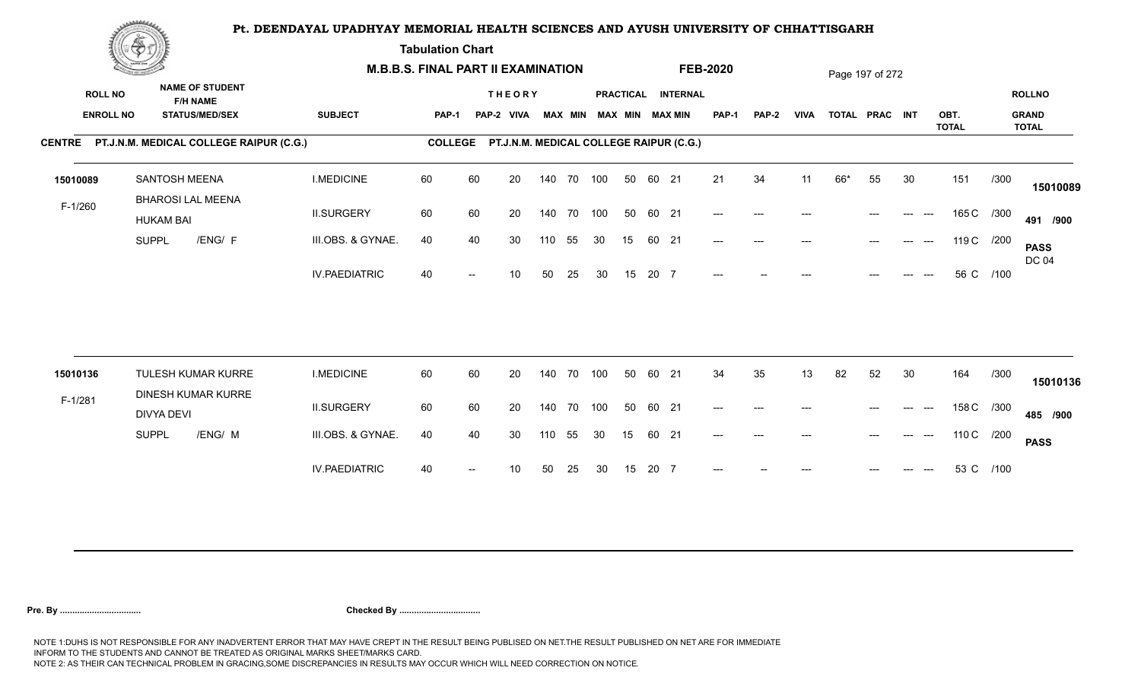**Tabulation Chart** 

|                  | <u>Concession of the Sea</u>                    |                      | <b>M.B.B.S. FINAL PART II EXAMINATION</b> |    |                                         |        |                |     |    |       |                    | <b>FEB-2020</b>                          |                     |             |     | Page 197 of 272 |                                  |                      |      |                              |
|------------------|-------------------------------------------------|----------------------|-------------------------------------------|----|-----------------------------------------|--------|----------------|-----|----|-------|--------------------|------------------------------------------|---------------------|-------------|-----|-----------------|----------------------------------|----------------------|------|------------------------------|
| <b>ROLL NO</b>   | <b>NAME OF STUDENT</b><br><b>F/H NAME</b>       |                      |                                           |    | <b>THEORY</b>                           |        |                |     |    |       | PRACTICAL INTERNAL |                                          |                     |             |     |                 |                                  |                      |      | <b>ROLLNO</b>                |
| <b>ENROLL NO</b> | <b>STATUS/MED/SEX</b>                           | <b>SUBJECT</b>       | <b>PAP-1</b>                              |    | PAP-2 VIVA                              |        | <b>MAX MIN</b> |     |    |       | MAX MIN MAX MIN    | <b>PAP-1</b>                             | <b>PAP-2</b>        | <b>VIVA</b> |     | TOTAL PRAC INT  |                                  | OBT.<br><b>TOTAL</b> |      | <b>GRAND</b><br><b>TOTAL</b> |
|                  | CENTRE PT.J.N.M. MEDICAL COLLEGE RAIPUR (C.G.)  |                      | <b>COLLEGE</b>                            |    | PT.J.N.M. MEDICAL COLLEGE RAIPUR (C.G.) |        |                |     |    |       |                    |                                          |                     |             |     |                 |                                  |                      |      |                              |
| 15010089         | SANTOSH MEENA<br><b>BHAROSI LAL MEENA</b>       | <b>I.MEDICINE</b>    | 60                                        | 60 | 20                                      | 140 70 |                | 100 | 50 | 60 21 |                    | 21                                       | 34                  | 11          | 66* | 55              | 30                               | 151                  | /300 | 15010089                     |
| $F-1/260$        | <b>HUKAM BAI</b>                                | <b>II.SURGERY</b>    | 60                                        | 60 | 20                                      | 140 70 |                | 100 | 50 | 60 21 |                    | $---$                                    | $\qquad \qquad - -$ | ---         |     |                 | $---$<br>$---$                   | 165 C /300           |      | 491 /900                     |
|                  | /ENG/ F<br><b>SUPPL</b>                         | III.OBS. & GYNAE.    | 40                                        | 40 | 30                                      | 110    | 55             | 30  | 15 | 60 21 |                    | $---$                                    | $---$               | ---         |     |                 | $---$                            | 119 C /200           |      | <b>PASS</b><br><b>DC 04</b>  |
|                  |                                                 | <b>IV.PAEDIATRIC</b> | 40                                        |    | 10                                      | 50     | 25             | 30  | 15 | 20 7  |                    | $---$                                    |                     |             |     |                 |                                  | 56 C /100            |      |                              |
|                  |                                                 |                      |                                           |    |                                         |        |                |     |    |       |                    |                                          |                     |             |     |                 |                                  |                      |      |                              |
| 15010136         | TULESH KUMAR KURRE<br><b>DINESH KUMAR KURRE</b> | <b>I.MEDICINE</b>    | 60                                        | 60 | 20                                      | 140    | 70             | 100 | 50 | 60 21 |                    | 34                                       | 35                  | 13          | 82  | 52              | 30                               | 164                  | /300 | 15010136                     |
| $F-1/281$        | DIVYA DEVI                                      | <b>II.SURGERY</b>    | 60                                        | 60 | 20                                      | 140    | 70             | 100 | 50 | 60 21 |                    | $\hspace{0.05cm} \ldots \hspace{0.05cm}$ | $---$               | ---         |     | $---$           | $---$<br>$---$                   | 158 C /300           |      | 485 /900                     |
|                  | /ENG/ M<br><b>SUPPL</b>                         | III.OBS. & GYNAE.    | 40                                        | 40 | 30                                      | 110    | 55             | 30  | 15 | 60 21 |                    | $---$                                    | $---$               | ---         |     | $---$           | $\qquad \qquad -\qquad -$<br>--- | 110 C /200           |      | <b>PASS</b>                  |
|                  |                                                 | <b>IV.PAEDIATRIC</b> | 40                                        |    | 10                                      | 50     | 25             | 30  | 15 | 20 7  |                    |                                          |                     |             |     |                 |                                  | 53 C /100            |      |                              |
|                  |                                                 |                      |                                           |    |                                         |        |                |     |    |       |                    |                                          |                     |             |     |                 |                                  |                      |      |                              |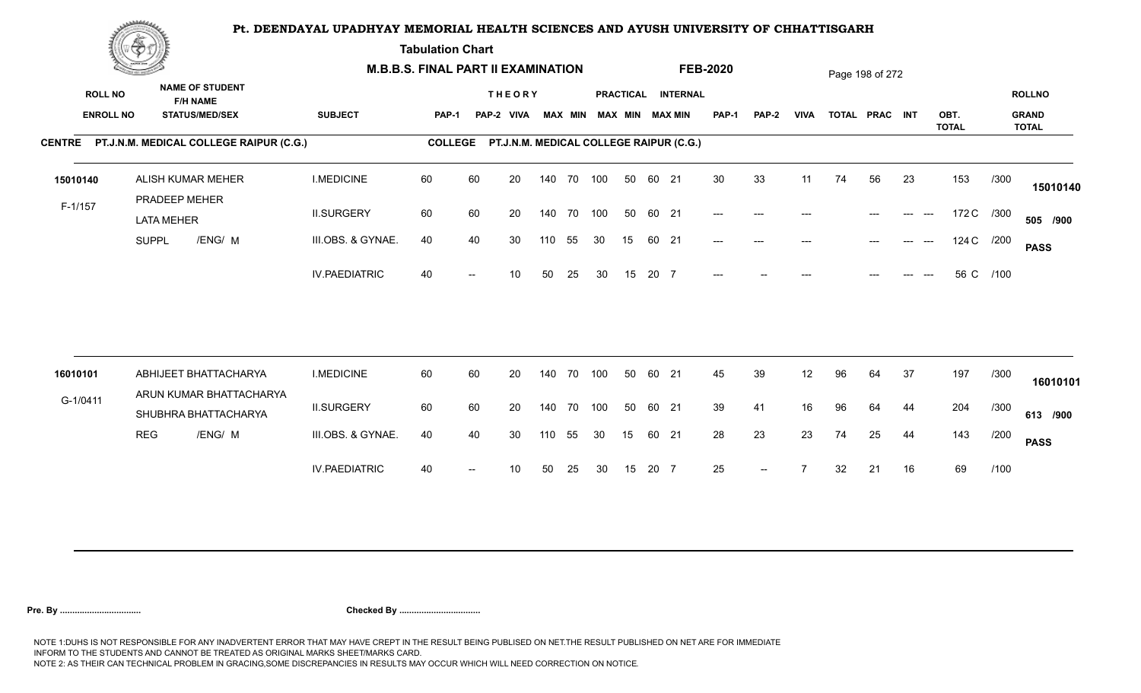**Tabulation Chart** 

|                  | <u>Concession of the Sea</u> |                                                 |                      | <b>M.B.B.S. FINAL PART II EXAMINATION</b> |    |                                         |     |                |            |    |       |                        | <b>FEB-2020</b>                          |              |             |    | Page 198 of 272 |              |                      |      |                              |
|------------------|------------------------------|-------------------------------------------------|----------------------|-------------------------------------------|----|-----------------------------------------|-----|----------------|------------|----|-------|------------------------|------------------------------------------|--------------|-------------|----|-----------------|--------------|----------------------|------|------------------------------|
| <b>ROLL NO</b>   |                              | <b>NAME OF STUDENT</b><br><b>F/H NAME</b>       |                      |                                           |    | <b>THEORY</b>                           |     |                |            |    |       | PRACTICAL INTERNAL     |                                          |              |             |    |                 |              |                      |      | <b>ROLLNO</b>                |
| <b>ENROLL NO</b> |                              | <b>STATUS/MED/SEX</b>                           | <b>SUBJECT</b>       | <b>PAP-1</b>                              |    | PAP-2 VIVA                              |     | <b>MAX MIN</b> |            |    |       | <b>MAX MIN MAX MIN</b> | <b>PAP-1</b>                             | <b>PAP-2</b> | <b>VIVA</b> |    | TOTAL PRAC INT  |              | OBT.<br><b>TOTAL</b> |      | <b>GRAND</b><br><b>TOTAL</b> |
|                  |                              | CENTRE PT.J.N.M. MEDICAL COLLEGE RAIPUR (C.G.)  |                      | <b>COLLEGE</b>                            |    | PT.J.N.M. MEDICAL COLLEGE RAIPUR (C.G.) |     |                |            |    |       |                        |                                          |              |             |    |                 |              |                      |      |                              |
| 15010140         |                              | ALISH KUMAR MEHER<br>PRADEEP MEHER              | <b>I.MEDICINE</b>    | 60                                        | 60 | 20                                      |     |                | 140 70 100 | 50 | 60 21 |                        | 30                                       | 33           | 11          | 74 | 56              | 23           | 153                  | /300 | 15010140                     |
| $F-1/157$        | <b>LATA MEHER</b>            |                                                 | <b>II.SURGERY</b>    | 60                                        | 60 | 20                                      |     | 140 70         | 100        | 50 | 60 21 |                        | $\hspace{0.05cm} \ldots \hspace{0.05cm}$ | $---$        |             |    |                 | ---<br>$---$ | 172 C /300           |      | 505 /900                     |
|                  | <b>SUPPL</b>                 | /ENG/ M                                         | III.OBS. & GYNAE.    | 40                                        | 40 | 30                                      | 110 | 55             | 30         | 15 | 60 21 |                        | $---$                                    | $---$        |             |    |                 | $---$        | 124 C /200           |      | <b>PASS</b>                  |
|                  |                              |                                                 | <b>IV.PAEDIATRIC</b> | 40                                        |    | 10 <sup>°</sup>                         | 50  | 25             | 30         | 15 | 20 7  |                        | $---$                                    |              |             |    |                 |              | 56 C /100            |      |                              |
|                  |                              |                                                 |                      |                                           |    |                                         |     |                |            |    |       |                        |                                          |              |             |    |                 |              |                      |      |                              |
| 16010101         |                              | ABHIJEET BHATTACHARYA                           | <b>I.MEDICINE</b>    | 60                                        | 60 | 20                                      |     | 140 70         | 100        | 50 | 60 21 |                        | 45                                       | 39           | 12          | 96 | 64              | 37           | 197                  | /300 | 16010101                     |
| G-1/0411         |                              | ARUN KUMAR BHATTACHARYA<br>SHUBHRA BHATTACHARYA | <b>II.SURGERY</b>    | 60                                        | 60 | 20                                      |     | 140 70         | 100        | 50 | 60 21 |                        | 39                                       | 41           | 16          | 96 | 64              | 44           | 204                  | /300 | 613 /900                     |
|                  | <b>REG</b>                   | /ENG/ M                                         | III.OBS. & GYNAE.    | 40                                        | 40 | 30                                      | 110 | 55             | 30         | 15 | 60 21 |                        | 28                                       | 23           | 23          | 74 | 25              | 44           | 143                  | /200 | <b>PASS</b>                  |
|                  |                              |                                                 | <b>IV.PAEDIATRIC</b> | 40                                        |    | 10                                      | 50  | 25             | 30         | 15 | 20 7  |                        | 25                                       | $--$         |             | 32 | 21              | 16           | 69                   | /100 |                              |
|                  |                              |                                                 |                      |                                           |    |                                         |     |                |            |    |       |                        |                                          |              |             |    |                 |              |                      |      |                              |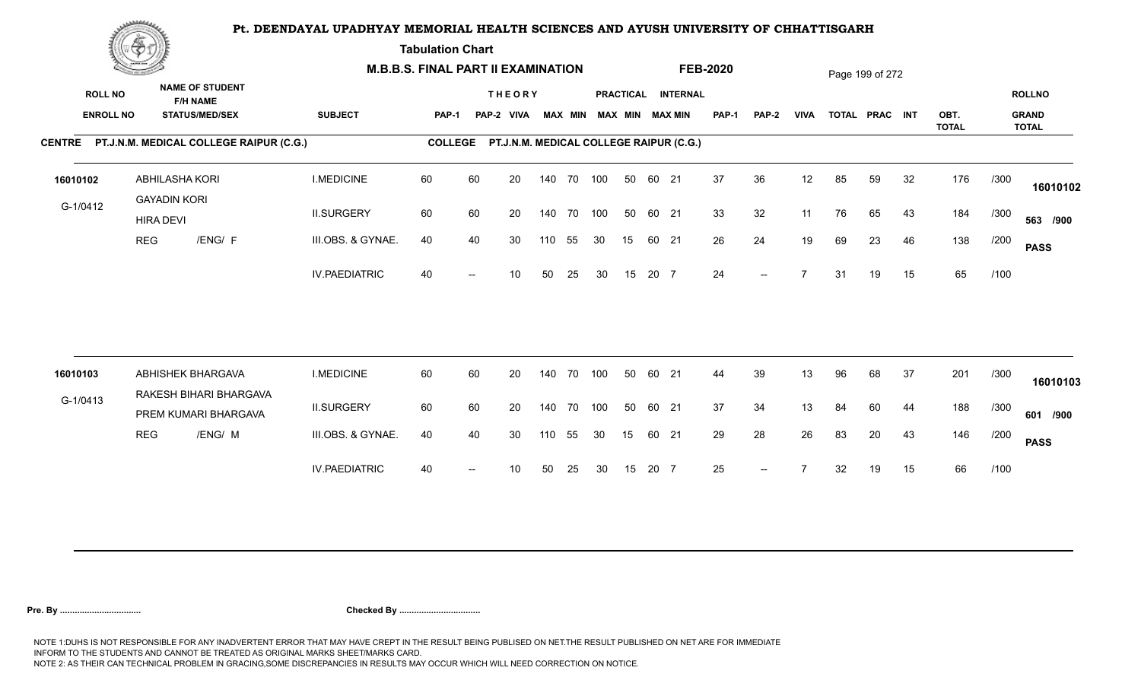**Tabulation Chart** 

|                                    | <b>Construction of the Construction</b> |                                                                    |                      | <b>M.B.B.S. FINAL PART II EXAMINATION</b> |                          |                                         |     |                |            |    |       |                                              | <b>FEB-2020</b> |                          |             |    | Page 199 of 272 |    |              |      |                               |
|------------------------------------|-----------------------------------------|--------------------------------------------------------------------|----------------------|-------------------------------------------|--------------------------|-----------------------------------------|-----|----------------|------------|----|-------|----------------------------------------------|-----------------|--------------------------|-------------|----|-----------------|----|--------------|------|-------------------------------|
| <b>ROLL NO</b><br><b>ENROLL NO</b> |                                         | <b>NAME OF STUDENT</b><br><b>F/H NAME</b><br><b>STATUS/MED/SEX</b> | <b>SUBJECT</b>       | PAP-1                                     |                          | <b>THEORY</b><br>PAP-2 VIVA             |     | <b>MAX MIN</b> |            |    |       | PRACTICAL INTERNAL<br><b>MAX MIN MAX MIN</b> | <b>PAP-1</b>    | PAP-2                    | <b>VIVA</b> |    | TOTAL PRAC INT  |    | OBT.         |      | <b>ROLLNO</b><br><b>GRAND</b> |
|                                    |                                         | CENTRE PT.J.N.M. MEDICAL COLLEGE RAIPUR (C.G.)                     |                      | <b>COLLEGE</b>                            |                          | PT.J.N.M. MEDICAL COLLEGE RAIPUR (C.G.) |     |                |            |    |       |                                              |                 |                          |             |    |                 |    | <b>TOTAL</b> |      | <b>TOTAL</b>                  |
| 16010102                           | <b>GAYADIN KORI</b>                     | ABHILASHA KORI                                                     | <b>I.MEDICINE</b>    | 60                                        | 60                       | 20                                      |     |                | 140 70 100 | 50 | 60 21 |                                              | 37              | 36                       | 12          | 85 | 59              | 32 | 176          | /300 | 16010102                      |
| G-1/0412                           | <b>HIRA DEVI</b>                        |                                                                    | <b>II.SURGERY</b>    | 60                                        | 60                       | 20                                      |     |                | 140 70 100 | 50 | 60 21 |                                              | 33              | 32                       | 11          | 76 | 65              | 43 | 184          | /300 | 563 /900                      |
|                                    | <b>REG</b>                              | /ENG/ F                                                            | III.OBS. & GYNAE.    | 40                                        | 40                       | 30                                      | 110 | 55             | 30         | 15 | 60 21 |                                              | 26              | 24                       | 19          | 69 | 23              | 46 | 138          | /200 | <b>PASS</b>                   |
|                                    |                                         |                                                                    | <b>IV.PAEDIATRIC</b> | 40                                        |                          | 10                                      | 50  | 25             | 30         | 15 | 20 7  |                                              | 24              | $\overline{\phantom{a}}$ |             | 31 | 19              | 15 | 65           | /100 |                               |
|                                    |                                         |                                                                    |                      |                                           |                          |                                         |     |                |            |    |       |                                              |                 |                          |             |    |                 |    |              |      |                               |
| 16010103                           |                                         | ABHISHEK BHARGAVA<br>RAKESH BIHARI BHARGAVA                        | <b>I.MEDICINE</b>    | 60                                        | 60                       | 20                                      |     | 140 70         | 100        | 50 | 60 21 |                                              | 44              | 39                       | 13          | 96 | 68              | 37 | 201          | /300 | 16010103                      |
| G-1/0413                           |                                         | PREM KUMARI BHARGAVA                                               | <b>II.SURGERY</b>    | 60                                        | 60                       | 20                                      |     | 140 70         | 100        | 50 | 60 21 |                                              | 37              | 34                       | 13          | 84 | 60              | 44 | 188          | /300 | 601 /900                      |
|                                    | <b>REG</b>                              | /ENG/ M                                                            | III.OBS. & GYNAE.    | 40                                        | 40                       | 30                                      | 110 | 55             | 30         | 15 | 60 21 |                                              | 29              | 28                       | 26          | 83 | 20              | 43 | 146          | /200 | <b>PASS</b>                   |
|                                    |                                         |                                                                    | <b>IV.PAEDIATRIC</b> | 40                                        | $\overline{\phantom{a}}$ | 10                                      | 50  | 25             | 30         | 15 | 20 7  |                                              | 25              | $\overline{\phantom{a}}$ |             | 32 | 19              | 15 | 66           | /100 |                               |
|                                    |                                         |                                                                    |                      |                                           |                          |                                         |     |                |            |    |       |                                              |                 |                          |             |    |                 |    |              |      |                               |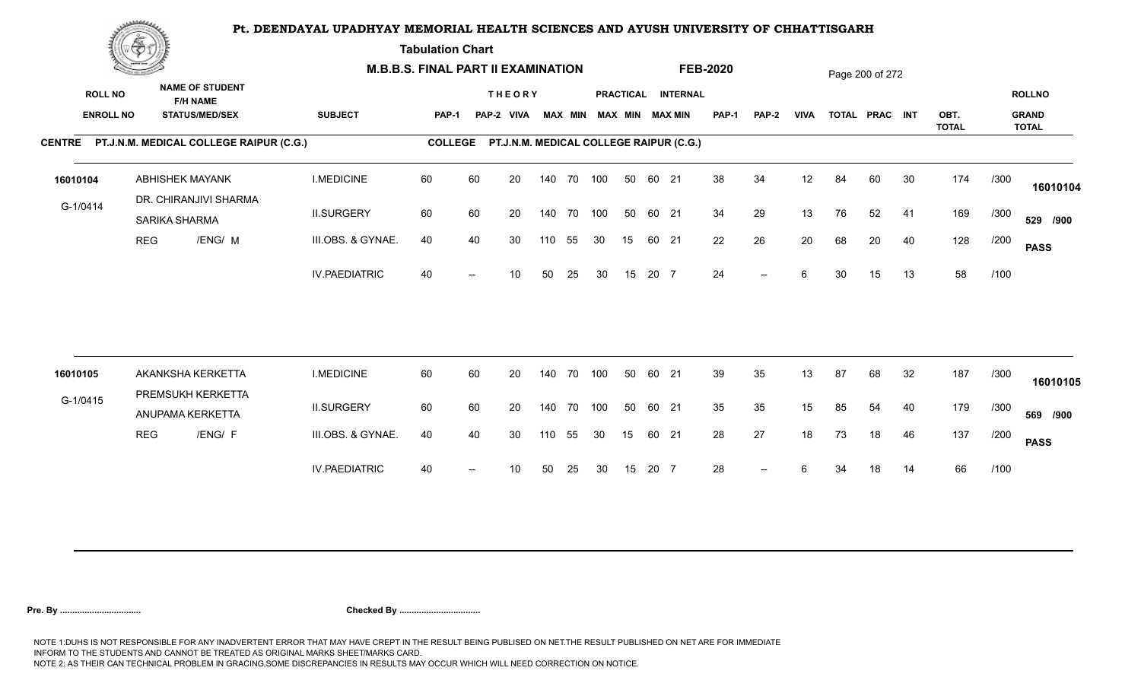**Tabulation Chart** 

|                                    | <b>Construction of the Construction</b> |                                                                    | <b>M.B.B.S. FINAL PART II EXAMINATION</b> |                |    |                                         |     |                |            |    |       |                                              | <b>FEB-2020</b> |              |             |    | Page 200 of 272 |    |                      |      |                                               |
|------------------------------------|-----------------------------------------|--------------------------------------------------------------------|-------------------------------------------|----------------|----|-----------------------------------------|-----|----------------|------------|----|-------|----------------------------------------------|-----------------|--------------|-------------|----|-----------------|----|----------------------|------|-----------------------------------------------|
| <b>ROLL NO</b><br><b>ENROLL NO</b> |                                         | <b>NAME OF STUDENT</b><br><b>F/H NAME</b><br><b>STATUS/MED/SEX</b> | <b>SUBJECT</b>                            | PAP-1          |    | <b>THEORY</b><br>PAP-2 VIVA             |     | <b>MAX MIN</b> |            |    |       | PRACTICAL INTERNAL<br><b>MAX MIN MAX MIN</b> | <b>PAP-1</b>    | <b>PAP-2</b> | <b>VIVA</b> |    | TOTAL PRAC INT  |    | OBT.<br><b>TOTAL</b> |      | <b>ROLLNO</b><br><b>GRAND</b><br><b>TOTAL</b> |
|                                    |                                         | CENTRE PT.J.N.M. MEDICAL COLLEGE RAIPUR (C.G.)                     |                                           | <b>COLLEGE</b> |    | PT.J.N.M. MEDICAL COLLEGE RAIPUR (C.G.) |     |                |            |    |       |                                              |                 |              |             |    |                 |    |                      |      |                                               |
| 16010104                           |                                         | <b>ABHISHEK MAYANK</b><br>DR. CHIRANJIVI SHARMA                    | <b>I.MEDICINE</b>                         | 60             | 60 | 20                                      |     |                | 140 70 100 | 50 | 60 21 |                                              | 38              | 34           | 12          | 84 | 60              | 30 | 174                  | /300 | 16010104                                      |
| G-1/0414                           |                                         | <b>SARIKA SHARMA</b>                                               | <b>II.SURGERY</b>                         | 60             | 60 | 20                                      |     | 140 70         | 100        | 50 | 60 21 |                                              | 34              | 29           | 13          | 76 | 52              | 41 | 169                  | /300 | 529 /900                                      |
|                                    | <b>REG</b>                              | /ENG/ M                                                            | III.OBS. & GYNAE.                         | 40             | 40 | 30                                      | 110 | 55             | 30         | 15 | 60 21 |                                              | 22              | 26           | 20          | 68 | 20              | 40 | 128                  | /200 | <b>PASS</b>                                   |
|                                    |                                         |                                                                    | <b>IV.PAEDIATRIC</b>                      | 40             |    | 10                                      | 50  | 25             | 30         | 15 | 20 7  |                                              | 24              | $-$          | 6           | 30 | 15              | 13 | 58                   | /100 |                                               |
|                                    |                                         |                                                                    |                                           |                |    |                                         |     |                |            |    |       |                                              |                 |              |             |    |                 |    |                      |      |                                               |
| 16010105                           |                                         | AKANKSHA KERKETTA<br>PREMSUKH KERKETTA                             | <b>I.MEDICINE</b>                         | 60             | 60 | 20                                      |     | 140 70         | 100        | 50 | 60 21 |                                              | 39              | 35           | 13          | 87 | 68              | 32 | 187                  | /300 | 16010105                                      |
| G-1/0415                           |                                         | ANUPAMA KERKETTA                                                   | <b>II.SURGERY</b>                         | 60             | 60 | 20                                      |     | 140 70         | 100        | 50 | 60 21 |                                              | 35              | 35           | 15          | 85 | 54              | 40 | 179                  | /300 | 569 /900                                      |
|                                    | <b>REG</b>                              | /ENG/ F                                                            | III.OBS. & GYNAE.                         | 40             | 40 | 30                                      | 110 | 55             | 30         | 15 | 60 21 |                                              | 28              | 27           | 18          | 73 | 18              | 46 | 137                  | /200 | <b>PASS</b>                                   |
|                                    |                                         |                                                                    | <b>IV.PAEDIATRIC</b>                      | 40             |    | 10                                      | 50  | 25             | 30         | 15 | 20 7  |                                              | 28              | $-$          | 6           | 34 | 18              | 14 | 66                   | /100 |                                               |
|                                    |                                         |                                                                    |                                           |                |    |                                         |     |                |            |    |       |                                              |                 |              |             |    |                 |    |                      |      |                                               |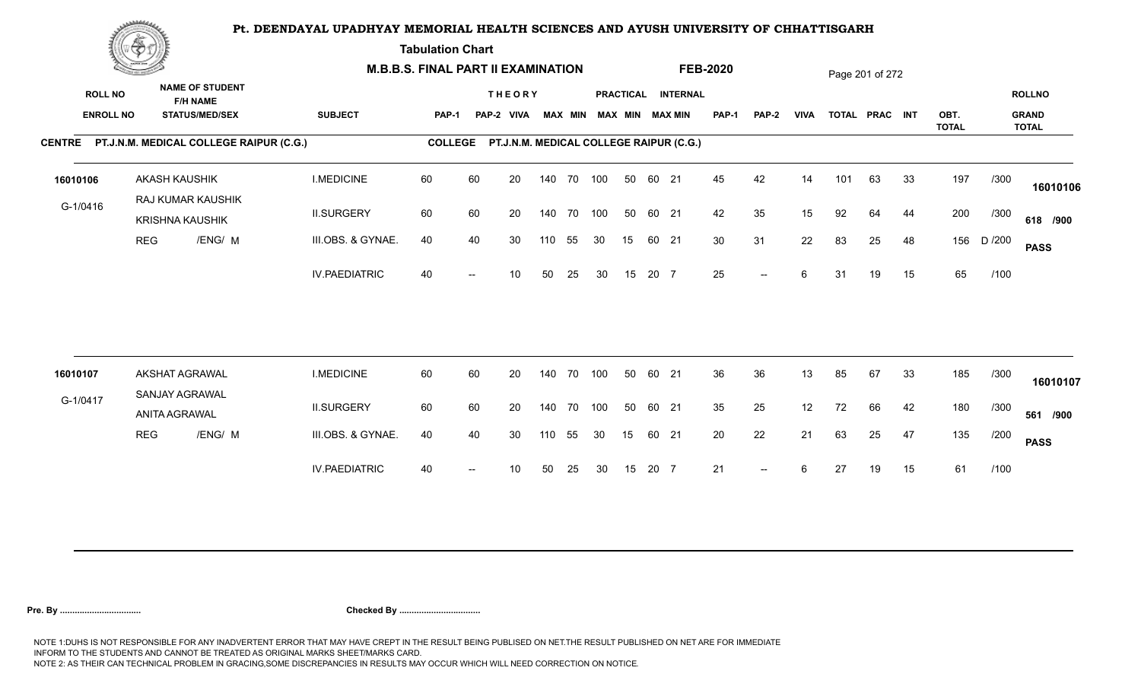**Tabulation Chart** 

|                                    | <b>Construction of the Construction</b> |                                                                    | <b>M.B.B.S. FINAL PART II EXAMINATION</b> |                |    |                                         |     |                |            |    |       |                                              | <b>FEB-2020</b> |                          |             |     | Page 201 of 272 |    |                      |        |                                               |
|------------------------------------|-----------------------------------------|--------------------------------------------------------------------|-------------------------------------------|----------------|----|-----------------------------------------|-----|----------------|------------|----|-------|----------------------------------------------|-----------------|--------------------------|-------------|-----|-----------------|----|----------------------|--------|-----------------------------------------------|
| <b>ROLL NO</b><br><b>ENROLL NO</b> |                                         | <b>NAME OF STUDENT</b><br><b>F/H NAME</b><br><b>STATUS/MED/SEX</b> | <b>SUBJECT</b>                            | PAP-1          |    | <b>THEORY</b><br>PAP-2 VIVA             |     | <b>MAX MIN</b> |            |    |       | PRACTICAL INTERNAL<br><b>MAX MIN MAX MIN</b> | <b>PAP-1</b>    | PAP-2                    | <b>VIVA</b> |     | TOTAL PRAC INT  |    | OBT.<br><b>TOTAL</b> |        | <b>ROLLNO</b><br><b>GRAND</b><br><b>TOTAL</b> |
|                                    |                                         | CENTRE PT.J.N.M. MEDICAL COLLEGE RAIPUR (C.G.)                     |                                           | <b>COLLEGE</b> |    | PT.J.N.M. MEDICAL COLLEGE RAIPUR (C.G.) |     |                |            |    |       |                                              |                 |                          |             |     |                 |    |                      |        |                                               |
| 16010106                           |                                         | <b>AKASH KAUSHIK</b><br>RAJ KUMAR KAUSHIK                          | <b>I.MEDICINE</b>                         | 60             | 60 | 20                                      |     |                | 140 70 100 | 50 | 60 21 |                                              | 45              | 42                       | 14          | 101 | 63              | 33 | 197                  | /300   | 16010106                                      |
| G-1/0416                           |                                         | <b>KRISHNA KAUSHIK</b>                                             | <b>II.SURGERY</b>                         | 60             | 60 | 20                                      |     | 140 70         | 100        | 50 | 60 21 |                                              | 42              | 35                       | 15          | 92  | 64              | 44 | 200                  | /300   | 618 /900                                      |
|                                    | <b>REG</b>                              | /ENG/ M                                                            | III.OBS. & GYNAE.                         | 40             | 40 | 30                                      | 110 | 55             | 30         | 15 | 60 21 |                                              | 30 <sup>°</sup> | 31                       | 22          | 83  | 25              | 48 | 156                  | D /200 | <b>PASS</b>                                   |
|                                    |                                         |                                                                    | <b>IV.PAEDIATRIC</b>                      | 40             |    | 10                                      | 50  | 25             | 30         | 15 | 20 7  |                                              | 25              | $\overline{\phantom{a}}$ | 6           | 31  | 19              | 15 | 65                   | /100   |                                               |
|                                    |                                         |                                                                    |                                           |                |    |                                         |     |                |            |    |       |                                              |                 |                          |             |     |                 |    |                      |        |                                               |
| 16010107                           |                                         | AKSHAT AGRAWAL<br>SANJAY AGRAWAL                                   | <b>I.MEDICINE</b>                         | 60             | 60 | 20                                      |     | 140 70         | 100        | 50 | 60 21 |                                              | 36              | 36                       | 13          | 85  | 67              | 33 | 185                  | /300   | 16010107                                      |
| G-1/0417                           |                                         | ANITA AGRAWAL                                                      | <b>II.SURGERY</b>                         | 60             | 60 | 20                                      |     | 140 70         | 100        | 50 | 60 21 |                                              | 35              | 25                       | 12          | 72  | 66              | 42 | 180                  | /300   | 561 /900                                      |
|                                    | <b>REG</b>                              | /ENG/ M                                                            | III.OBS. & GYNAE.                         | 40             | 40 | 30                                      | 110 | 55             | 30         | 15 | 60 21 |                                              | 20              | 22                       | 21          | 63  | 25              | 47 | 135                  | /200   | <b>PASS</b>                                   |
|                                    |                                         |                                                                    | <b>IV.PAEDIATRIC</b>                      | 40             |    | 10                                      | 50  | 25             | 30         | 15 | 20 7  |                                              | 21              | $\overline{\phantom{a}}$ | 6           | 27  | 19              | 15 | 61                   | /100   |                                               |
|                                    |                                         |                                                                    |                                           |                |    |                                         |     |                |            |    |       |                                              |                 |                          |             |     |                 |    |                      |        |                                               |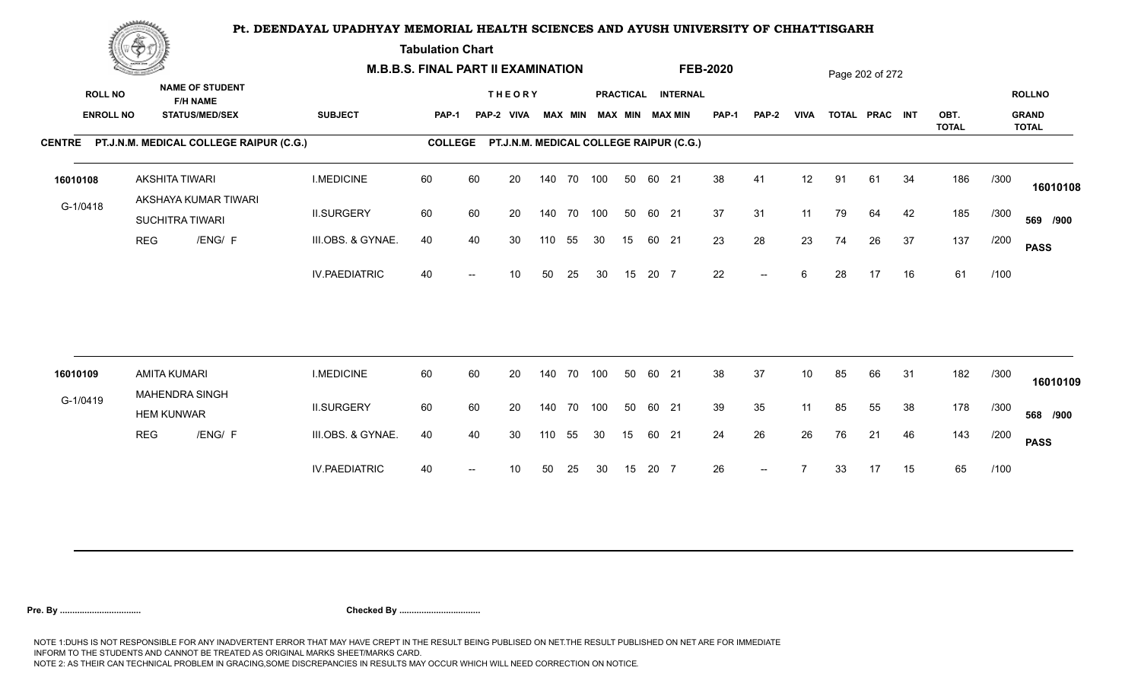**Tabulation Chart** 

|                                    | <b>Construction of the Construction</b> |                                                                    | <b>M.B.B.S. FINAL PART II EXAMINATION</b> |                |    |                                         |     |                |            |    |       |                                       | <b>FEB-2020</b> |                          |             |    | Page 202 of 272 |    |                      |      |                                               |
|------------------------------------|-----------------------------------------|--------------------------------------------------------------------|-------------------------------------------|----------------|----|-----------------------------------------|-----|----------------|------------|----|-------|---------------------------------------|-----------------|--------------------------|-------------|----|-----------------|----|----------------------|------|-----------------------------------------------|
| <b>ROLL NO</b><br><b>ENROLL NO</b> |                                         | <b>NAME OF STUDENT</b><br><b>F/H NAME</b><br><b>STATUS/MED/SEX</b> | <b>SUBJECT</b>                            | <b>PAP-1</b>   |    | <b>THEORY</b><br>PAP-2 VIVA             |     | <b>MAX MIN</b> |            |    |       | PRACTICAL INTERNAL<br>MAX MIN MAX MIN | PAP-1           | <b>PAP-2</b>             | <b>VIVA</b> |    | TOTAL PRAC INT  |    | OBT.<br><b>TOTAL</b> |      | <b>ROLLNO</b><br><b>GRAND</b><br><b>TOTAL</b> |
|                                    |                                         | CENTRE PT.J.N.M. MEDICAL COLLEGE RAIPUR (C.G.)                     |                                           | <b>COLLEGE</b> |    | PT.J.N.M. MEDICAL COLLEGE RAIPUR (C.G.) |     |                |            |    |       |                                       |                 |                          |             |    |                 |    |                      |      |                                               |
| 16010108                           |                                         | AKSHITA TIWARI<br>AKSHAYA KUMAR TIWARI                             | <b>I.MEDICINE</b>                         | 60             | 60 | 20                                      |     |                | 140 70 100 | 50 | 60 21 |                                       | 38              | 41                       | 12          | 91 | 61              | 34 | 186                  | /300 | 16010108                                      |
| G-1/0418                           |                                         | SUCHITRA TIWARI                                                    | <b>II.SURGERY</b>                         | 60             | 60 | 20                                      |     |                | 140 70 100 | 50 | 60 21 |                                       | 37              | 31                       | 11          | 79 | 64              | 42 | 185                  | /300 | 569 /900                                      |
|                                    | <b>REG</b>                              | /ENG/ F                                                            | III.OBS. & GYNAE.                         | 40             | 40 | 30                                      | 110 | 55             | 30         | 15 | 60 21 |                                       | 23              | 28                       | 23          | 74 | 26              | 37 | 137                  | /200 | <b>PASS</b>                                   |
|                                    |                                         |                                                                    | <b>IV.PAEDIATRIC</b>                      | 40             |    | 10                                      | 50  | 25             | 30         | 15 | 20 7  |                                       | 22              | $\overline{\phantom{a}}$ | 6           | 28 | 17              | 16 | 61                   | /100 |                                               |
|                                    |                                         |                                                                    |                                           |                |    |                                         |     |                |            |    |       |                                       |                 |                          |             |    |                 |    |                      |      |                                               |
| 16010109                           |                                         | <b>AMITA KUMARI</b><br><b>MAHENDRA SINGH</b>                       | <b>I.MEDICINE</b>                         | 60             | 60 | 20                                      |     | 140 70         | 100        | 50 | 60 21 |                                       | 38              | 37                       | 10          | 85 | 66              | 31 | 182                  | /300 | 16010109                                      |
| G-1/0419                           |                                         | <b>HEM KUNWAR</b>                                                  | <b>II.SURGERY</b>                         | 60             | 60 | 20                                      |     |                | 140 70 100 | 50 | 60 21 |                                       | 39              | 35                       | 11          | 85 | 55              | 38 | 178                  | /300 | 568 /900                                      |
|                                    | <b>REG</b>                              | /ENG/ F                                                            | III.OBS. & GYNAE.                         | 40             | 40 | 30                                      | 110 | 55             | 30         | 15 | 60 21 |                                       | 24              | 26                       | 26          | 76 | 21              | 46 | 143                  | /200 | <b>PASS</b>                                   |
|                                    |                                         |                                                                    | <b>IV.PAEDIATRIC</b>                      | 40             |    | 10                                      | 50  | 25             | 30         | 15 | 20 7  |                                       | 26              | $--$                     |             | 33 | 17              | 15 | 65                   | /100 |                                               |
|                                    |                                         |                                                                    |                                           |                |    |                                         |     |                |            |    |       |                                       |                 |                          |             |    |                 |    |                      |      |                                               |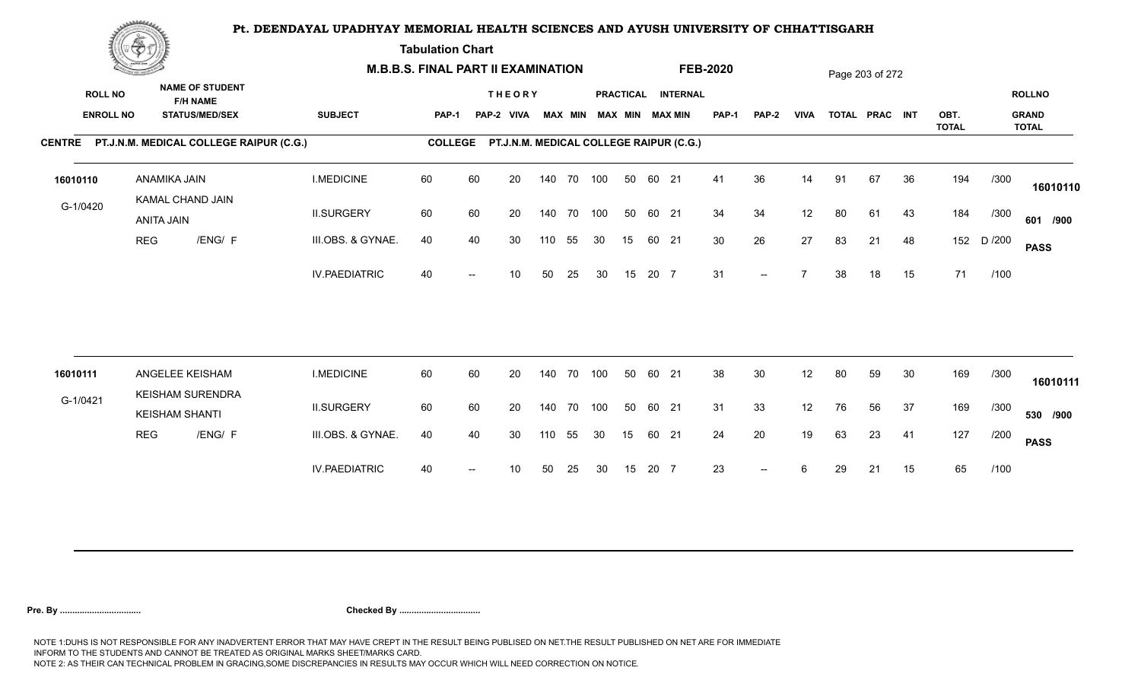**Tabulation Chart** 

|                                    | <b>Construction of the Construction</b> |                                                                    | <b>M.B.B.S. FINAL PART II EXAMINATION</b> |                |    |                                         |     |                |            |    |       |                                       | <b>FEB-2020</b> |                          |             |    | Page 203 of 272 |    |              |        |                               |
|------------------------------------|-----------------------------------------|--------------------------------------------------------------------|-------------------------------------------|----------------|----|-----------------------------------------|-----|----------------|------------|----|-------|---------------------------------------|-----------------|--------------------------|-------------|----|-----------------|----|--------------|--------|-------------------------------|
| <b>ROLL NO</b><br><b>ENROLL NO</b> |                                         | <b>NAME OF STUDENT</b><br><b>F/H NAME</b><br><b>STATUS/MED/SEX</b> | <b>SUBJECT</b>                            | <b>PAP-1</b>   |    | <b>THEORY</b><br>PAP-2 VIVA             |     | <b>MAX MIN</b> |            |    |       | PRACTICAL INTERNAL<br>MAX MIN MAX MIN | <b>PAP-1</b>    | PAP-2                    | <b>VIVA</b> |    | TOTAL PRAC INT  |    | OBT.         |        | <b>ROLLNO</b><br><b>GRAND</b> |
|                                    |                                         | CENTRE PT.J.N.M. MEDICAL COLLEGE RAIPUR (C.G.)                     |                                           | <b>COLLEGE</b> |    | PT.J.N.M. MEDICAL COLLEGE RAIPUR (C.G.) |     |                |            |    |       |                                       |                 |                          |             |    |                 |    | <b>TOTAL</b> |        | <b>TOTAL</b>                  |
| 16010110                           |                                         | ANAMIKA JAIN<br>KAMAL CHAND JAIN                                   | <b>I.MEDICINE</b>                         | 60             | 60 | 20                                      |     |                | 140 70 100 | 50 | 60 21 |                                       | 41              | 36                       | 14          | 91 | 67              | 36 | 194          | /300   | 16010110                      |
| G-1/0420                           |                                         | ANITA JAIN                                                         | <b>II.SURGERY</b>                         | 60             | 60 | 20                                      |     |                | 140 70 100 | 50 | 60 21 |                                       | 34              | 34                       | 12          | 80 | 61              | 43 | 184          | /300   | 601 /900                      |
|                                    | <b>REG</b>                              | /ENG/ F                                                            | III.OBS. & GYNAE.                         | 40             | 40 | 30                                      | 110 | 55             | 30         | 15 | 60 21 |                                       | 30              | 26                       | 27          | 83 | 21              | 48 | 152          | D /200 | <b>PASS</b>                   |
|                                    |                                         |                                                                    | <b>IV.PAEDIATRIC</b>                      | 40             |    | 10                                      | 50  | 25             | 30         | 15 | 20 7  |                                       | 31              | $\overline{\phantom{a}}$ |             | 38 | 18              | 15 | 71           | /100   |                               |
|                                    |                                         |                                                                    |                                           |                |    |                                         |     |                |            |    |       |                                       |                 |                          |             |    |                 |    |              |        |                               |
| 16010111                           |                                         | ANGELEE KEISHAM<br><b>KEISHAM SURENDRA</b>                         | <b>I.MEDICINE</b>                         | 60             | 60 | 20                                      |     |                | 140 70 100 | 50 | 60 21 |                                       | 38              | 30                       | 12          | 80 | 59              | 30 | 169          | /300   | 16010111                      |
| G-1/0421                           |                                         | <b>KEISHAM SHANTI</b>                                              | <b>II.SURGERY</b>                         | 60             | 60 | 20                                      |     |                | 140 70 100 | 50 | 60 21 |                                       | 31              | 33                       | 12          | 76 | 56              | 37 | 169          | /300   | 530 /900                      |
|                                    | <b>REG</b>                              | /ENG/ F                                                            | III.OBS. & GYNAE.                         | 40             | 40 | 30                                      | 110 | 55             | 30         | 15 | 60    | 21                                    | 24              | 20                       | 19          | 63 | 23              | 41 | 127          | /200   | <b>PASS</b>                   |
|                                    |                                         |                                                                    | <b>IV.PAEDIATRIC</b>                      | 40             |    | 10                                      | 50  | 25             | 30         | 15 | 20 7  |                                       | 23              | $--$                     | 6           | 29 | 21              | 15 | 65           | /100   |                               |
|                                    |                                         |                                                                    |                                           |                |    |                                         |     |                |            |    |       |                                       |                 |                          |             |    |                 |    |              |        |                               |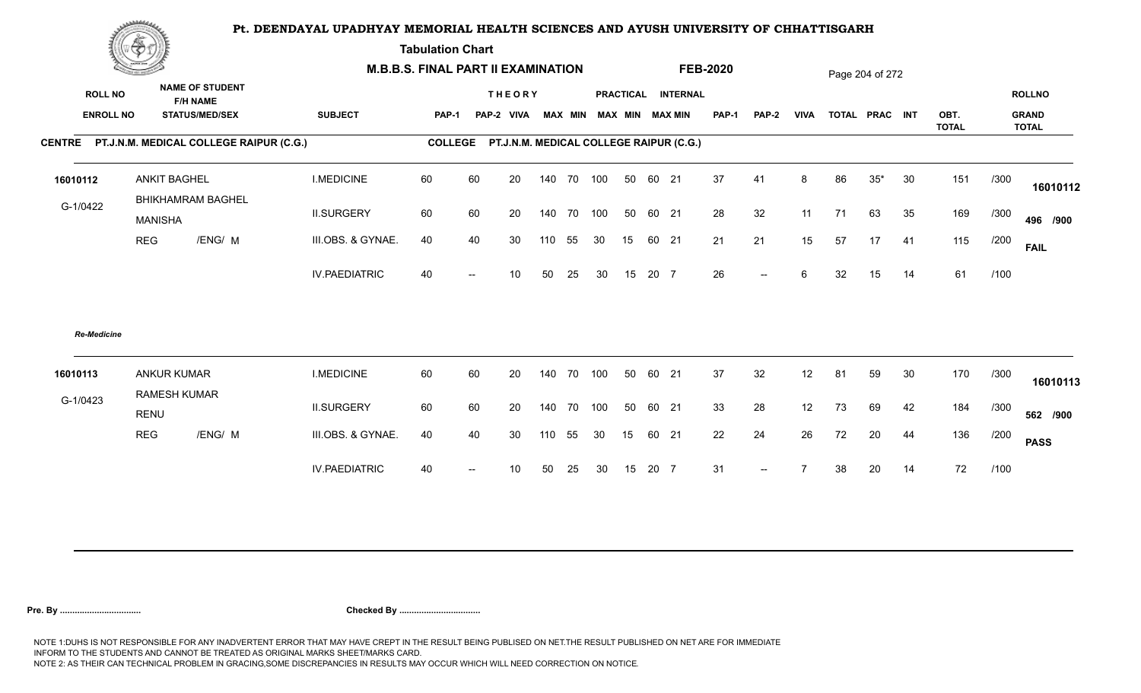**Tabulation Chart** 

|                    | <b>Construction of the Construction</b>                                                                  |                                                 | <b>M.B.B.S. FINAL PART II EXAMINATION</b> |                |    |                                         |        |        |                         |    |       |                    | <b>FEB-2020</b> |                          |                 |    | Page 204 of 272 |    |              |      |                               |
|--------------------|----------------------------------------------------------------------------------------------------------|-------------------------------------------------|-------------------------------------------|----------------|----|-----------------------------------------|--------|--------|-------------------------|----|-------|--------------------|-----------------|--------------------------|-----------------|----|-----------------|----|--------------|------|-------------------------------|
|                    | <b>NAME OF STUDENT</b><br><b>ROLL NO</b><br><b>F/H NAME</b><br><b>ENROLL NO</b><br><b>STATUS/MED/SEX</b> |                                                 | <b>SUBJECT</b>                            | PAP-1          |    | <b>THEORY</b><br>PAP-2 VIVA             |        |        | MAX MIN MAX MIN MAX MIN |    |       | PRACTICAL INTERNAL | <b>PAP-1</b>    | <b>PAP-2</b>             | <b>VIVA</b>     |    | TOTAL PRAC INT  |    | OBT.         |      | <b>ROLLNO</b><br><b>GRAND</b> |
|                    |                                                                                                          | CENTRE PT.J.N.M. MEDICAL COLLEGE RAIPUR (C.G.)  |                                           | <b>COLLEGE</b> |    | PT.J.N.M. MEDICAL COLLEGE RAIPUR (C.G.) |        |        |                         |    |       |                    |                 |                          |                 |    |                 |    | <b>TOTAL</b> |      | <b>TOTAL</b>                  |
|                    |                                                                                                          |                                                 |                                           |                |    |                                         |        |        |                         |    |       |                    |                 |                          |                 |    |                 |    |              |      |                               |
| 16010112           |                                                                                                          | <b>ANKIT BAGHEL</b><br><b>BHIKHAMRAM BAGHEL</b> | <b>I.MEDICINE</b>                         | 60             | 60 | 20                                      | 140    | 70 100 |                         | 50 | 60 21 |                    | 37              | 41                       | 8               | 86 | $35*$           | 30 | 151          | /300 | 16010112                      |
| G-1/0422           | <b>MANISHA</b>                                                                                           |                                                 | <b>II.SURGERY</b>                         | 60             | 60 | 20                                      | 140    | 70 100 |                         | 50 | 60 21 |                    | 28              | 32                       | 11              | 71 | 63              | 35 | 169          | /300 | 496 /900                      |
|                    | <b>REG</b>                                                                                               | /ENG/ M                                         | III.OBS. & GYNAE.                         | 40             | 40 | 30                                      | 110    | 55     | 30                      | 15 | 60 21 |                    | 21              | 21                       | 15              | 57 | 17              | 41 | 115          | /200 | <b>FAIL</b>                   |
|                    |                                                                                                          |                                                 | <b>IV.PAEDIATRIC</b>                      | 40             |    | 10 <sup>°</sup>                         | 50     | 25     | 30                      | 15 | 20 7  |                    | 26              | $\overline{\phantom{a}}$ | 6               | 32 | 15              | 14 | 61           | /100 |                               |
| <b>Re-Medicine</b> |                                                                                                          |                                                 |                                           |                |    |                                         |        |        |                         |    |       |                    |                 |                          |                 |    |                 |    |              |      |                               |
| 16010113           |                                                                                                          | <b>ANKUR KUMAR</b><br>RAMESH KUMAR              | <b>I.MEDICINE</b>                         | 60             | 60 | 20                                      | 140    |        | 70 100                  | 50 | 60 21 |                    | 37              | 32                       | 12 <sup>2</sup> | 81 | 59              | 30 | 170          | /300 | 16010113                      |
| G-1/0423           | <b>RENU</b>                                                                                              |                                                 | <b>II.SURGERY</b>                         | 60             | 60 | 20                                      | 140    |        | 70 100                  | 50 | 60 21 |                    | 33              | 28                       | 12 <sub>2</sub> | 73 | 69              | 42 | 184          | /300 | 562 /900                      |
|                    | <b>REG</b>                                                                                               | /ENG/ M                                         | III.OBS. & GYNAE.                         | 40             | 40 | 30                                      | 110 55 |        | 30                      | 15 | 60 21 |                    | 22              | 24                       | 26              | 72 | 20              | 44 | 136          | /200 | <b>PASS</b>                   |
|                    |                                                                                                          |                                                 | <b>IV.PAEDIATRIC</b>                      | 40             |    | 10                                      | 50     | 25     | 30                      | 15 | 20 7  |                    | 31              | $-$                      |                 | 38 | 20              | 14 | 72           | /100 |                               |
|                    |                                                                                                          |                                                 |                                           |                |    |                                         |        |        |                         |    |       |                    |                 |                          |                 |    |                 |    |              |      |                               |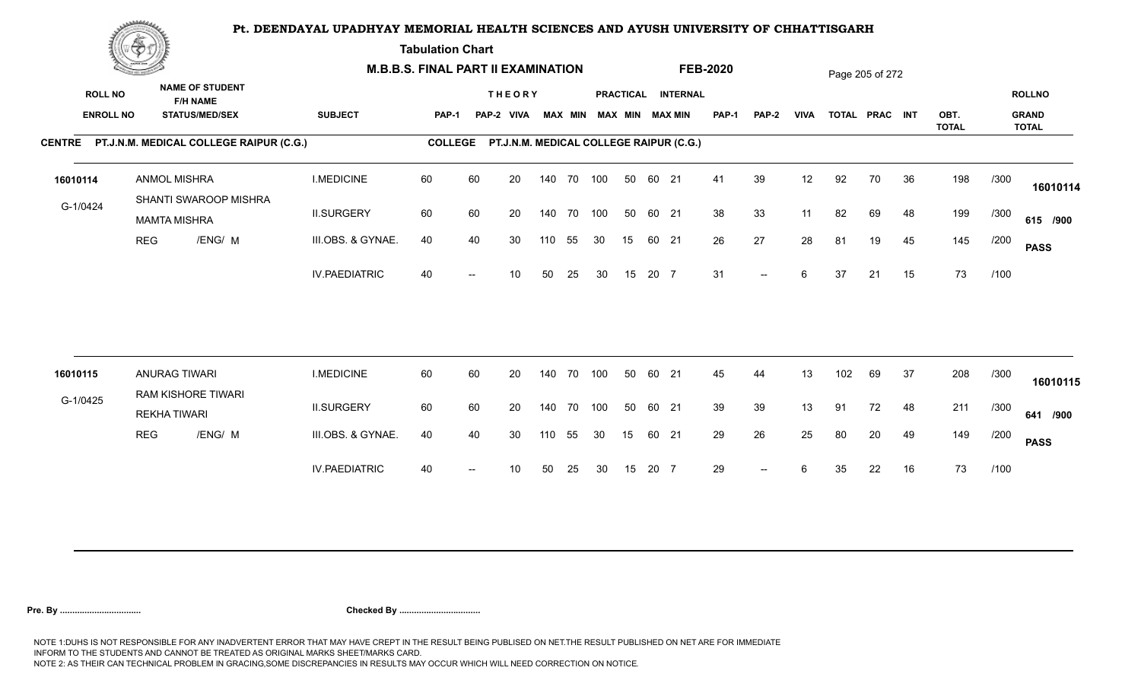**Tabulation Chart** 

|                  | <u>Concert de la pa</u> |                                                |                      | <b>M.B.B.S. FINAL PART II EXAMINATION</b> |    |               |        |        |                         |    |       |                                         | <b>FEB-2020</b> |              |                 |     | Page 205 of 272 |    |                      |      |                              |
|------------------|-------------------------|------------------------------------------------|----------------------|-------------------------------------------|----|---------------|--------|--------|-------------------------|----|-------|-----------------------------------------|-----------------|--------------|-----------------|-----|-----------------|----|----------------------|------|------------------------------|
| <b>ROLL NO</b>   |                         | <b>NAME OF STUDENT</b><br><b>F/H NAME</b>      |                      |                                           |    | <b>THEORY</b> |        |        |                         |    |       | PRACTICAL INTERNAL                      |                 |              |                 |     |                 |    |                      |      | <b>ROLLNO</b>                |
| <b>ENROLL NO</b> |                         | <b>STATUS/MED/SEX</b>                          | <b>SUBJECT</b>       | PAP-1                                     |    | PAP-2 VIVA    |        |        | MAX MIN MAX MIN MAX MIN |    |       |                                         | <b>PAP-1</b>    | <b>PAP-2</b> | <b>VIVA</b>     |     | TOTAL PRAC INT  |    | OBT.<br><b>TOTAL</b> |      | <b>GRAND</b><br><b>TOTAL</b> |
|                  |                         | CENTRE PT.J.N.M. MEDICAL COLLEGE RAIPUR (C.G.) |                      | <b>COLLEGE</b>                            |    |               |        |        |                         |    |       | PT.J.N.M. MEDICAL COLLEGE RAIPUR (C.G.) |                 |              |                 |     |                 |    |                      |      |                              |
| 16010114         |                         | ANMOL MISHRA<br>SHANTI SWAROOP MISHRA          | <b>I.MEDICINE</b>    | 60                                        | 60 | 20            | 140    | 70 100 |                         | 50 | 60 21 |                                         | 41              | 39           | 12 <sub>2</sub> | 92  | 70              | 36 | 198                  | /300 | 16010114                     |
| G-1/0424         |                         | <b>MAMTA MISHRA</b>                            | <b>II.SURGERY</b>    | 60                                        | 60 | 20            | 140    | 70 100 |                         | 50 | 60 21 |                                         | 38              | 33           | 11              | 82  | 69              | 48 | 199                  | /300 | 615 /900                     |
|                  | <b>REG</b>              | /ENG/ M                                        | III.OBS. & GYNAE.    | 40                                        | 40 | 30            | 110    | 55     | 30                      | 15 | 60 21 |                                         | 26              | 27           | 28              | 81  | 19              | 45 | 145                  | /200 | <b>PASS</b>                  |
|                  |                         |                                                | <b>IV.PAEDIATRIC</b> | 40                                        |    | 10            | 50     | 25     | 30                      | 15 | 20 7  |                                         | 31              | $--$         | 6               | 37  | 21              | 15 | 73                   | /100 |                              |
|                  |                         |                                                |                      |                                           |    |               |        |        |                         |    |       |                                         |                 |              |                 |     |                 |    |                      |      |                              |
| 16010115         |                         | ANURAG TIWARI<br>RAM KISHORE TIWARI            | <b>I.MEDICINE</b>    | 60                                        | 60 | 20            | 140    | 70 100 |                         | 50 | 60 21 |                                         | 45              | 44           | 13              | 102 | 69              | 37 | 208                  | /300 | 16010115                     |
| G-1/0425         |                         | <b>REKHA TIWARI</b>                            | <b>II.SURGERY</b>    | 60                                        | 60 | 20            | 140    | 70 100 |                         | 50 | 60 21 |                                         | 39              | 39           | 13              | 91  | 72              | 48 | 211                  | /300 | 641 /900                     |
|                  | <b>REG</b>              | /ENG/ M                                        | III.OBS. & GYNAE.    | 40                                        | 40 | 30            | 110 55 |        | 30                      | 15 | 60 21 |                                         | 29              | 26           | 25              | 80  | 20              | 49 | 149                  | /200 | <b>PASS</b>                  |
|                  |                         |                                                | <b>IV.PAEDIATRIC</b> | 40                                        |    | 10            | 50     | 25     | 30                      | 15 | 20 7  |                                         | 29              | $-$          | 6               | 35  | 22              | 16 | 73                   | /100 |                              |
|                  |                         |                                                |                      |                                           |    |               |        |        |                         |    |       |                                         |                 |              |                 |     |                 |    |                      |      |                              |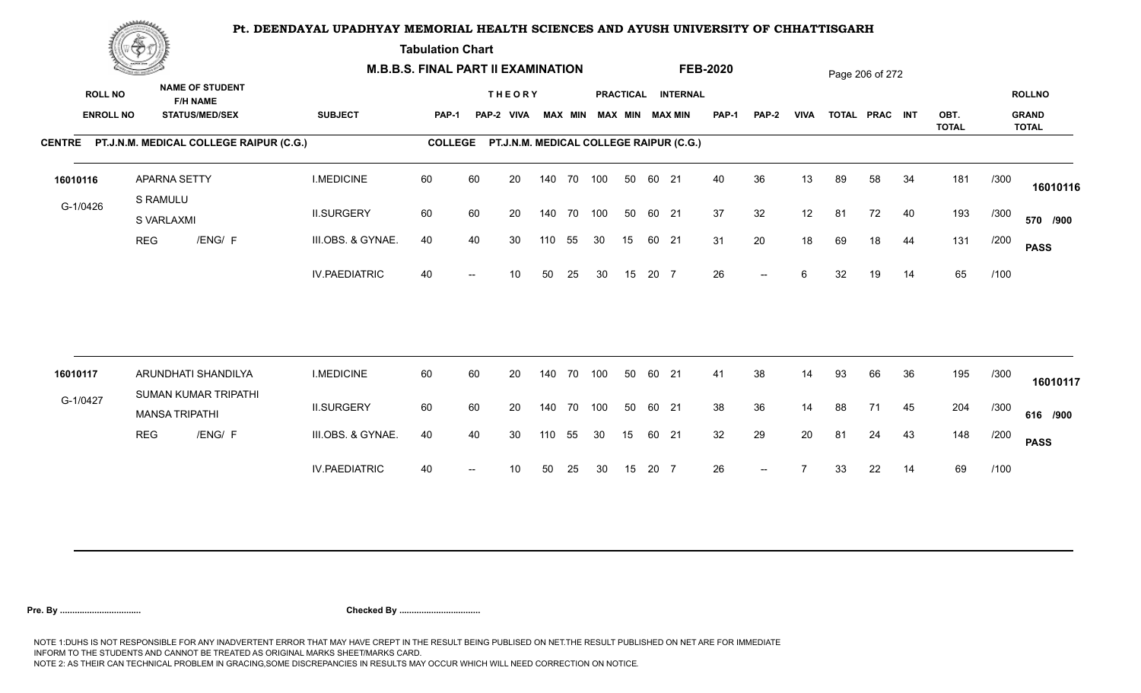**Tabulation Chart** 

|                                    | <b>Construction of the Construction</b> |                                                                    | <b>M.B.B.S. FINAL PART II EXAMINATION</b> |                |    |                                         |     |                |    |    |       |                                       | <b>FEB-2020</b> |                          |             |    | Page 206 of 272 |    |              |      |                               |
|------------------------------------|-----------------------------------------|--------------------------------------------------------------------|-------------------------------------------|----------------|----|-----------------------------------------|-----|----------------|----|----|-------|---------------------------------------|-----------------|--------------------------|-------------|----|-----------------|----|--------------|------|-------------------------------|
| <b>ROLL NO</b><br><b>ENROLL NO</b> |                                         | <b>NAME OF STUDENT</b><br><b>F/H NAME</b><br><b>STATUS/MED/SEX</b> | <b>SUBJECT</b>                            | PAP-1          |    | <b>THEORY</b><br>PAP-2 VIVA             |     | <b>MAX MIN</b> |    |    |       | PRACTICAL INTERNAL<br>MAX MIN MAX MIN | <b>PAP-1</b>    | PAP-2                    | <b>VIVA</b> |    | TOTAL PRAC INT  |    | OBT.         |      | <b>ROLLNO</b><br><b>GRAND</b> |
|                                    |                                         | CENTRE PT.J.N.M. MEDICAL COLLEGE RAIPUR (C.G.)                     |                                           | <b>COLLEGE</b> |    | PT.J.N.M. MEDICAL COLLEGE RAIPUR (C.G.) |     |                |    |    |       |                                       |                 |                          |             |    |                 |    | <b>TOTAL</b> |      | <b>TOTAL</b>                  |
|                                    |                                         |                                                                    |                                           |                |    |                                         |     |                |    |    |       |                                       |                 |                          |             |    |                 |    |              |      |                               |
| 16010116                           |                                         | APARNA SETTY                                                       | <b>I.MEDICINE</b>                         | 60             | 60 | 20                                      |     | 140 70 100     |    | 50 | 60 21 |                                       | 40              | 36                       | 13          | 89 | 58              | 34 | 181          | /300 | 16010116                      |
| G-1/0426                           |                                         | S RAMULU<br>S VARLAXMI                                             | <b>II.SURGERY</b>                         | 60             | 60 | 20                                      |     | 140 70 100     |    | 50 | 60 21 |                                       | 37              | 32                       | 12          | 81 | 72              | 40 | 193          | /300 | 570 /900                      |
|                                    | <b>REG</b>                              | /ENG/ F                                                            | III.OBS. & GYNAE.                         | 40             | 40 | 30                                      | 110 | 55             | 30 | 15 | 60 21 |                                       | 31              | 20                       | 18          | 69 | 18              | 44 | 131          | /200 | <b>PASS</b>                   |
|                                    |                                         |                                                                    | <b>IV.PAEDIATRIC</b>                      | 40             |    | 10                                      | 50  | 25             | 30 | 15 | 20 7  |                                       | 26              | $\overline{\phantom{a}}$ | 6           | 32 | 19              | 14 | 65           | /100 |                               |
|                                    |                                         |                                                                    |                                           |                |    |                                         |     |                |    |    |       |                                       |                 |                          |             |    |                 |    |              |      |                               |
| 16010117                           |                                         | ARUNDHATI SHANDILYA<br>SUMAN KUMAR TRIPATHI                        | <b>I.MEDICINE</b>                         | 60             | 60 | 20                                      |     | 140 70 100     |    | 50 | 60 21 |                                       | 41              | 38                       | 14          | 93 | 66              | 36 | 195          | /300 | 16010117                      |
| G-1/0427                           |                                         | <b>MANSA TRIPATHI</b>                                              | <b>II.SURGERY</b>                         | 60             | 60 | 20                                      |     | 140 70 100     |    | 50 | 60 21 |                                       | 38              | 36                       | 14          | 88 | 71              | 45 | 204          | /300 | 616 /900                      |
|                                    | <b>REG</b>                              | /ENG/ F                                                            | III.OBS. & GYNAE.                         | 40             | 40 | 30                                      | 110 | 55             | 30 | 15 | 60 21 |                                       | 32              | 29                       | 20          | 81 | 24              | 43 | 148          | /200 | <b>PASS</b>                   |
|                                    |                                         |                                                                    | <b>IV.PAEDIATRIC</b>                      | 40             |    | 10                                      | 50  | 25             | 30 | 15 | 20 7  |                                       | 26              | $--$                     |             | 33 | 22              | 14 | 69           | /100 |                               |
|                                    |                                         |                                                                    |                                           |                |    |                                         |     |                |    |    |       |                                       |                 |                          |             |    |                 |    |              |      |                               |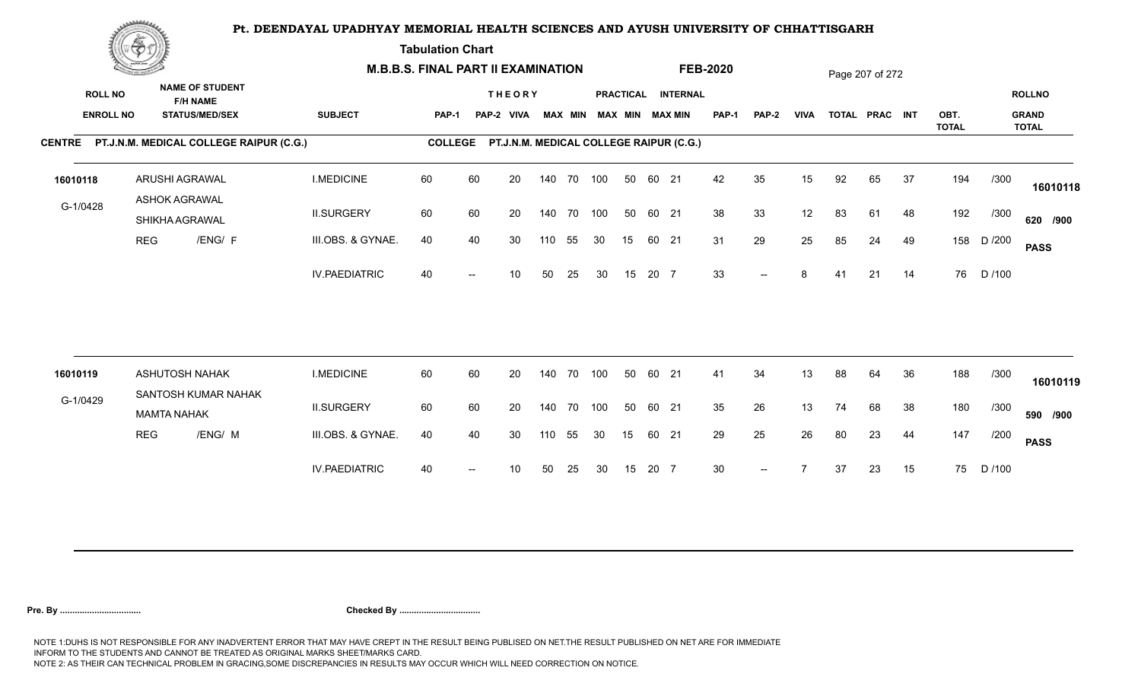**Tabulation Chart** 

|                                    | <b>Construction of the Construction</b> |                                                                    |                      | <b>M.B.B.S. FINAL PART II EXAMINATION</b> |    |                                         |     |                |            |    |       |                                              | <b>FEB-2020</b> |                          |             |    | Page 207 of 272 |    |              |        |                               |
|------------------------------------|-----------------------------------------|--------------------------------------------------------------------|----------------------|-------------------------------------------|----|-----------------------------------------|-----|----------------|------------|----|-------|----------------------------------------------|-----------------|--------------------------|-------------|----|-----------------|----|--------------|--------|-------------------------------|
| <b>ROLL NO</b><br><b>ENROLL NO</b> |                                         | <b>NAME OF STUDENT</b><br><b>F/H NAME</b><br><b>STATUS/MED/SEX</b> | <b>SUBJECT</b>       | PAP-1                                     |    | <b>THEORY</b><br>PAP-2 VIVA             |     | <b>MAX MIN</b> |            |    |       | PRACTICAL INTERNAL<br><b>MAX MIN MAX MIN</b> | <b>PAP-1</b>    | PAP-2                    | <b>VIVA</b> |    | TOTAL PRAC INT  |    | OBT.         |        | <b>ROLLNO</b><br><b>GRAND</b> |
|                                    |                                         | CENTRE PT.J.N.M. MEDICAL COLLEGE RAIPUR (C.G.)                     |                      | <b>COLLEGE</b>                            |    | PT.J.N.M. MEDICAL COLLEGE RAIPUR (C.G.) |     |                |            |    |       |                                              |                 |                          |             |    |                 |    | <b>TOTAL</b> |        | <b>TOTAL</b>                  |
| 16010118                           |                                         | ARUSHI AGRAWAL                                                     | <b>I.MEDICINE</b>    | 60                                        | 60 | 20                                      |     |                | 140 70 100 | 50 | 60 21 |                                              | 42              | 35                       | 15          | 92 | 65              | 37 | 194          | /300   | 16010118                      |
| G-1/0428                           |                                         | <b>ASHOK AGRAWAL</b><br>SHIKHA AGRAWAL                             | <b>II.SURGERY</b>    | 60                                        | 60 | 20                                      |     |                | 140 70 100 | 50 | 60 21 |                                              | 38              | 33                       | 12          | 83 | 61              | 48 | 192          | /300   | 620 /900                      |
|                                    | <b>REG</b>                              | /ENG/ F                                                            | III.OBS. & GYNAE.    | 40                                        | 40 | 30                                      | 110 | 55             | 30         | 15 | 60 21 |                                              | 31              | 29                       | 25          | 85 | 24              | 49 | 158          | D /200 | <b>PASS</b>                   |
|                                    |                                         |                                                                    | <b>IV.PAEDIATRIC</b> | 40                                        |    | 10                                      | 50  | 25             | 30         | 15 | 20 7  |                                              | 33              | $\overline{\phantom{a}}$ | 8           | 41 | 21              | 14 | 76           | D /100 |                               |
|                                    |                                         | <b>ASHUTOSH NAHAK</b>                                              | <b>I.MEDICINE</b>    | 60                                        | 60 | 20                                      |     |                | 140 70 100 | 50 | 60 21 |                                              | 41              | 34                       | 13          | 88 | 64              | 36 | 188          | /300   |                               |
| 16010119                           |                                         | SANTOSH KUMAR NAHAK                                                |                      |                                           |    |                                         |     |                |            |    |       |                                              |                 |                          |             |    |                 |    |              |        | 16010119                      |
| G-1/0429                           |                                         | <b>MAMTA NAHAK</b>                                                 | <b>II.SURGERY</b>    | 60                                        | 60 | 20                                      |     |                | 140 70 100 | 50 | 60 21 |                                              | 35              | 26                       | 13          | 74 | 68              | 38 | 180          | /300   | 590 /900                      |
|                                    | <b>REG</b>                              | /ENG/ M                                                            | III.OBS. & GYNAE.    | 40                                        | 40 | 30                                      | 110 | 55             | 30         | 15 | 60 21 |                                              | 29              | 25                       | 26          | 80 | 23              | 44 | 147          | /200   | <b>PASS</b>                   |
|                                    |                                         |                                                                    | <b>IV.PAEDIATRIC</b> | 40                                        |    | 10                                      | 50  | 25             | 30         | 15 | 20 7  |                                              | 30              | $\overline{a}$           |             | 37 | 23              | 15 | 75           | D /100 |                               |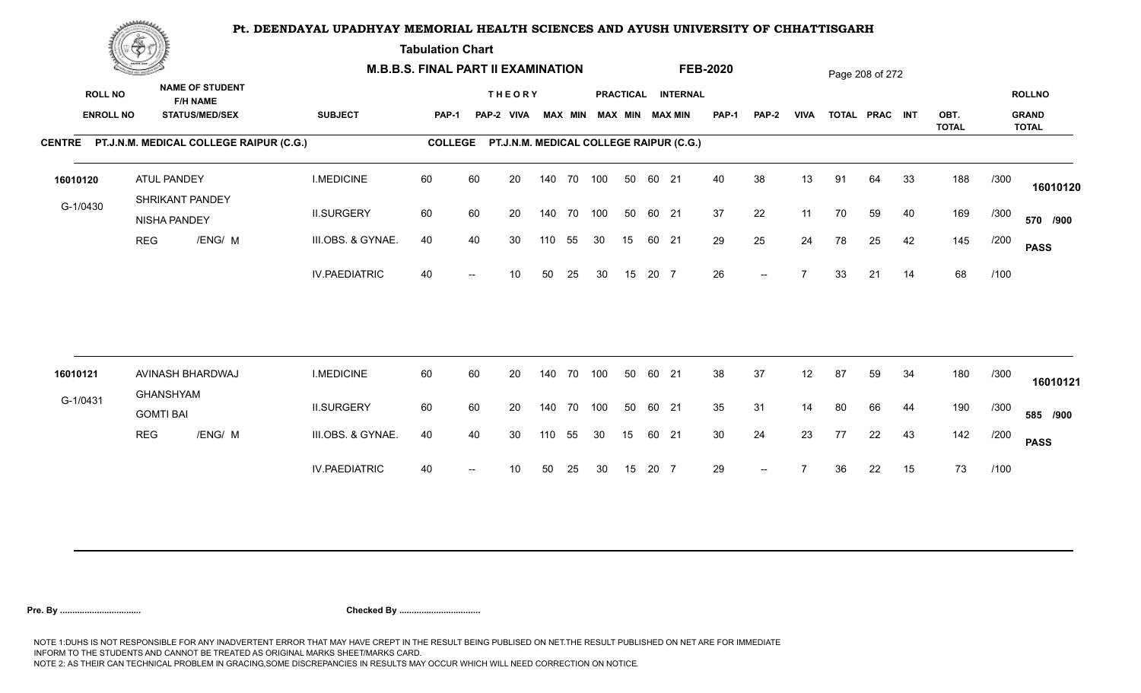**Tabulation Chart** 

|                                    | <b>Construction of the Construction</b> |                                                                    |                                                | <b>M.B.B.S. FINAL PART II EXAMINATION</b> |                |    |                                         |     |                |            |    |       |                                       | <b>FEB-2020</b> |              |             |    | Page 208 of 272 |    |                      |      |                                               |
|------------------------------------|-----------------------------------------|--------------------------------------------------------------------|------------------------------------------------|-------------------------------------------|----------------|----|-----------------------------------------|-----|----------------|------------|----|-------|---------------------------------------|-----------------|--------------|-------------|----|-----------------|----|----------------------|------|-----------------------------------------------|
| <b>ROLL NO</b><br><b>ENROLL NO</b> |                                         | <b>NAME OF STUDENT</b><br><b>F/H NAME</b><br><b>STATUS/MED/SEX</b> |                                                | <b>SUBJECT</b>                            | PAP-1          |    | <b>THEORY</b><br>PAP-2 VIVA             |     | <b>MAX MIN</b> |            |    |       | PRACTICAL INTERNAL<br>MAX MIN MAX MIN | <b>PAP-1</b>    | <b>PAP-2</b> | <b>VIVA</b> |    | TOTAL PRAC INT  |    | OBT.<br><b>TOTAL</b> |      | <b>ROLLNO</b><br><b>GRAND</b><br><b>TOTAL</b> |
|                                    |                                         |                                                                    | CENTRE PT.J.N.M. MEDICAL COLLEGE RAIPUR (C.G.) |                                           | <b>COLLEGE</b> |    | PT.J.N.M. MEDICAL COLLEGE RAIPUR (C.G.) |     |                |            |    |       |                                       |                 |              |             |    |                 |    |                      |      |                                               |
| 16010120                           |                                         | ATUL PANDEY<br>SHRIKANT PANDEY                                     |                                                | <b>I.MEDICINE</b>                         | 60             | 60 | 20                                      |     |                | 140 70 100 | 50 | 60 21 |                                       | 40              | 38           | 13          | 91 | 64              | 33 | 188                  | /300 | 16010120                                      |
| G-1/0430                           |                                         | NISHA PANDEY                                                       |                                                | <b>II.SURGERY</b>                         | 60             | 60 | 20                                      |     | 140 70         | 100        | 50 | 60 21 |                                       | 37              | 22           | 11          | 70 | 59              | 40 | 169                  | /300 | 570 /900                                      |
|                                    | <b>REG</b>                              |                                                                    | /ENG/ M                                        | III.OBS. & GYNAE.                         | 40             | 40 | 30                                      | 110 | 55             | 30         | 15 | 60 21 |                                       | 29              | 25           | 24          | 78 | 25              | 42 | 145                  | /200 | <b>PASS</b>                                   |
|                                    |                                         |                                                                    |                                                | <b>IV.PAEDIATRIC</b>                      | 40             |    | 10                                      | 50  | 25             | 30         | 15 | 20 7  |                                       | 26              | $--$         |             | 33 | 21              | 14 | 68                   | /100 |                                               |
|                                    |                                         |                                                                    |                                                |                                           |                |    |                                         |     |                |            |    |       |                                       |                 |              |             |    |                 |    |                      |      |                                               |
| 16010121                           |                                         | AVINASH BHARDWAJ<br><b>GHANSHYAM</b>                               |                                                | <b>I.MEDICINE</b>                         | 60             | 60 | 20                                      |     | 140 70         | 100        | 50 | 60 21 |                                       | 38              | 37           | 12          | 87 | 59              | 34 | 180                  | /300 | 16010121                                      |
| G-1/0431                           |                                         | <b>GOMTI BAI</b>                                                   |                                                | <b>II.SURGERY</b>                         | 60             | 60 | 20                                      |     |                | 140 70 100 | 50 | 60 21 |                                       | 35              | 31           | 14          | 80 | 66              | 44 | 190                  | /300 | 585 /900                                      |
|                                    | <b>REG</b>                              |                                                                    | /ENG/ M                                        | III.OBS. & GYNAE.                         | 40             | 40 | 30                                      | 110 | 55             | 30         | 15 | 60 21 |                                       | 30 <sup>°</sup> | 24           | 23          | 77 | 22              | 43 | 142                  | /200 | <b>PASS</b>                                   |
|                                    |                                         |                                                                    |                                                | <b>IV.PAEDIATRIC</b>                      | 40             |    | 10                                      | 50  | 25             | 30         | 15 | 20 7  |                                       | 29              | $--$         |             | 36 | 22              | 15 | 73                   | /100 |                                               |
|                                    |                                         |                                                                    |                                                |                                           |                |    |                                         |     |                |            |    |       |                                       |                 |              |             |    |                 |    |                      |      |                                               |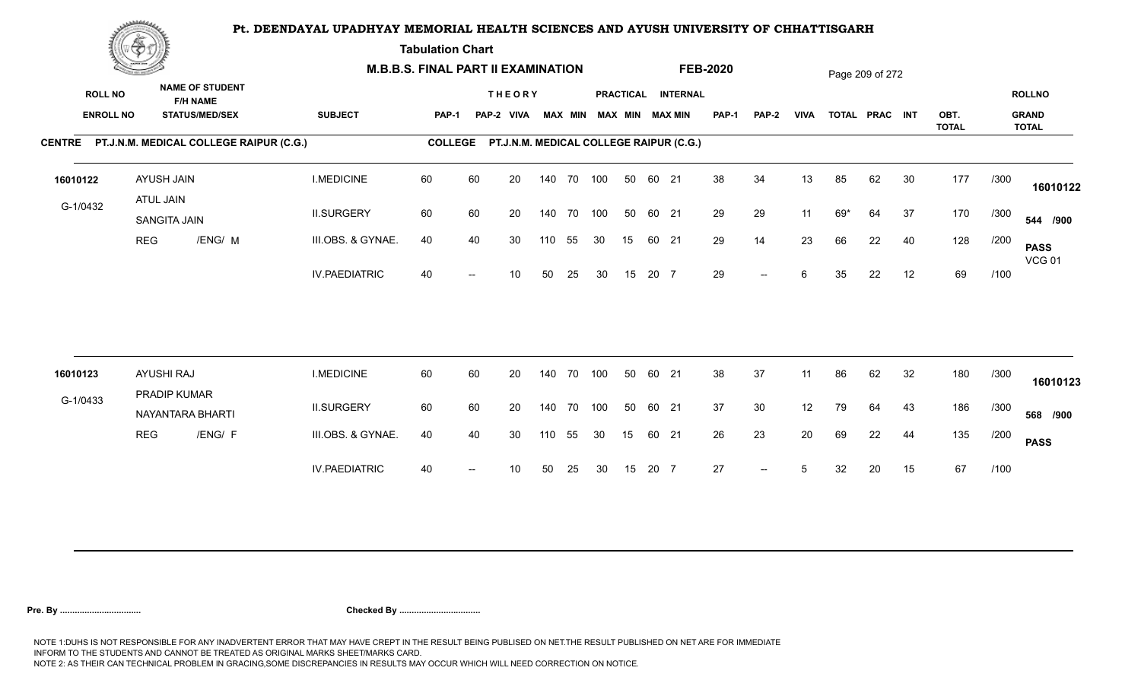**Tabulation Chart** 

|                                    | <b>Construction of the Construction</b> |                                                                    |                                                |                      | <b>M.B.B.S. FINAL PART II EXAMINATION</b> |    |                                         |     |                |            |    |       |                                       | <b>FEB-2020</b> |              |             |     | Page 209 of 272 |    |                      |      |                                               |
|------------------------------------|-----------------------------------------|--------------------------------------------------------------------|------------------------------------------------|----------------------|-------------------------------------------|----|-----------------------------------------|-----|----------------|------------|----|-------|---------------------------------------|-----------------|--------------|-------------|-----|-----------------|----|----------------------|------|-----------------------------------------------|
| <b>ROLL NO</b><br><b>ENROLL NO</b> |                                         | <b>NAME OF STUDENT</b><br><b>F/H NAME</b><br><b>STATUS/MED/SEX</b> |                                                | <b>SUBJECT</b>       | <b>PAP-1</b>                              |    | <b>THEORY</b><br>PAP-2 VIVA             |     | <b>MAX MIN</b> |            |    |       | PRACTICAL INTERNAL<br>MAX MIN MAX MIN | PAP-1           | <b>PAP-2</b> | <b>VIVA</b> |     | TOTAL PRAC INT  |    | OBT.<br><b>TOTAL</b> |      | <b>ROLLNO</b><br><b>GRAND</b><br><b>TOTAL</b> |
|                                    |                                         |                                                                    | CENTRE PT.J.N.M. MEDICAL COLLEGE RAIPUR (C.G.) |                      | <b>COLLEGE</b>                            |    | PT.J.N.M. MEDICAL COLLEGE RAIPUR (C.G.) |     |                |            |    |       |                                       |                 |              |             |     |                 |    |                      |      |                                               |
| 16010122                           |                                         | AYUSH JAIN                                                         |                                                | <b>I.MEDICINE</b>    | 60                                        | 60 | 20                                      |     |                | 140 70 100 | 50 | 60 21 |                                       | 38              | 34           | 13          | 85  | 62              | 30 | 177                  | /300 | 16010122                                      |
| G-1/0432                           |                                         | ATUL JAIN<br>SANGITA JAIN                                          |                                                | <b>II.SURGERY</b>    | 60                                        | 60 | 20                                      |     |                | 140 70 100 | 50 | 60 21 |                                       | 29              | 29           | 11          | 69* | 64              | 37 | 170                  | /300 | 544 /900                                      |
|                                    | <b>REG</b>                              |                                                                    | /ENG/ M                                        | III.OBS. & GYNAE.    | 40                                        | 40 | 30                                      | 110 | 55             | 30         | 15 | 60 21 |                                       | 29              | 14           | 23          | 66  | 22              | 40 | 128                  | /200 | <b>PASS</b><br><b>VCG 01</b>                  |
|                                    |                                         |                                                                    |                                                | <b>IV.PAEDIATRIC</b> | 40                                        |    | 10                                      | 50  | 25             | 30         | 15 | 20 7  |                                       | 29              | $-$          | 6           | 35  | 22              | 12 | 69                   | /100 |                                               |
|                                    |                                         |                                                                    |                                                |                      |                                           |    |                                         |     |                |            |    |       |                                       |                 |              |             |     |                 |    |                      |      |                                               |
| 16010123                           |                                         | <b>AYUSHI RAJ</b><br>PRADIP KUMAR                                  |                                                | <b>I.MEDICINE</b>    | 60                                        | 60 | 20                                      |     | 140 70         | 100        | 50 | 60 21 |                                       | 38              | 37           | 11          | 86  | 62              | 32 | 180                  | /300 | 16010123                                      |
| G-1/0433                           |                                         | NAYANTARA BHARTI                                                   |                                                | <b>II.SURGERY</b>    | 60                                        | 60 | 20                                      |     |                | 140 70 100 | 50 | 60 21 |                                       | 37              | 30           | 12          | 79  | 64              | 43 | 186                  | /300 | 568 /900                                      |
|                                    | <b>REG</b>                              |                                                                    | /ENG/ F                                        | III.OBS. & GYNAE.    | 40                                        | 40 | 30                                      | 110 | 55             | 30         | 15 | 60 21 |                                       | 26              | 23           | 20          | 69  | 22              | 44 | 135                  | /200 | <b>PASS</b>                                   |
|                                    |                                         |                                                                    |                                                | <b>IV.PAEDIATRIC</b> | 40                                        |    | 10                                      | 50  | 25             | 30         | 15 | 20 7  |                                       | 27              | $--$         | 5           | 32  | 20              | 15 | 67                   | /100 |                                               |
|                                    |                                         |                                                                    |                                                |                      |                                           |    |                                         |     |                |            |    |       |                                       |                 |              |             |     |                 |    |                      |      |                                               |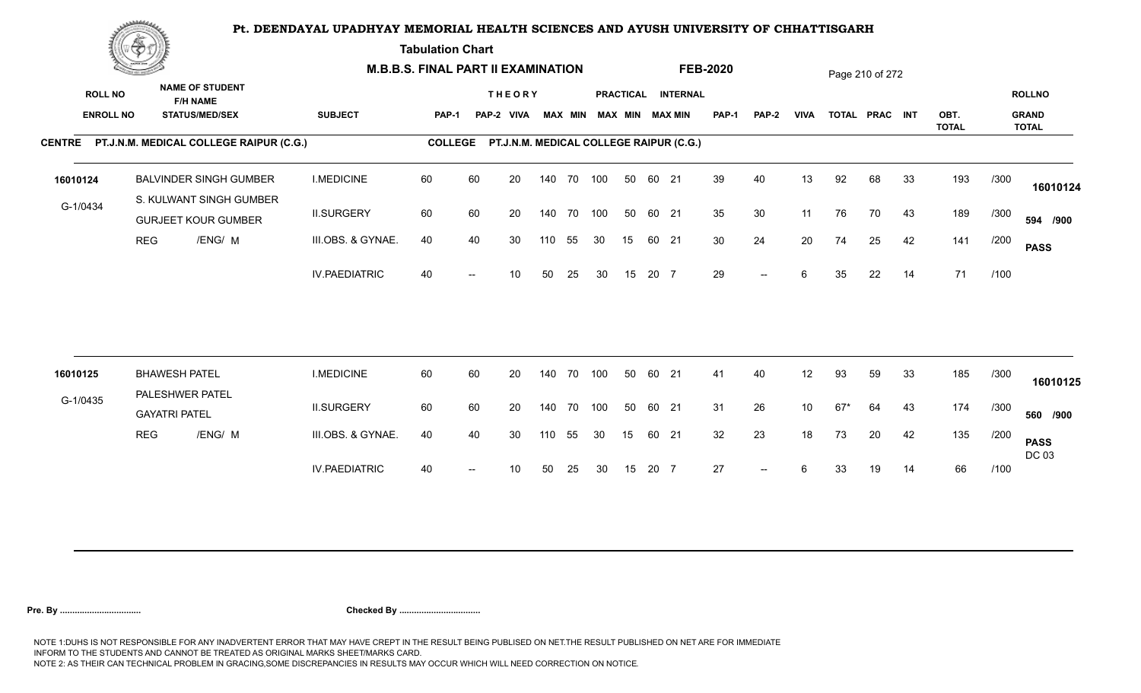**Tabulation Chart** 

|                  | <b>Contractor of the Contract of the Contractor</b> |                                                       |                      | <b>M.B.B.S. FINAL PART II EXAMINATION</b> |                   |                                                 |     |                |        |    |       |                        | <b>FEB-2020</b> |              |                 |       | Page 210 of 272 |    |                      |      |                              |
|------------------|-----------------------------------------------------|-------------------------------------------------------|----------------------|-------------------------------------------|-------------------|-------------------------------------------------|-----|----------------|--------|----|-------|------------------------|-----------------|--------------|-----------------|-------|-----------------|----|----------------------|------|------------------------------|
| <b>ROLL NO</b>   |                                                     | <b>NAME OF STUDENT</b><br><b>F/H NAME</b>             |                      |                                           |                   | <b>THEORY</b>                                   |     |                |        |    |       | PRACTICAL INTERNAL     |                 |              |                 |       |                 |    |                      |      | <b>ROLLNO</b>                |
| <b>ENROLL NO</b> |                                                     | <b>STATUS/MED/SEX</b>                                 | <b>SUBJECT</b>       | PAP-1                                     |                   | PAP-2 VIVA                                      |     | <b>MAX MIN</b> |        |    |       | <b>MAX MIN MAX MIN</b> | <b>PAP-1</b>    | <b>PAP-2</b> | <b>VIVA</b>     |       | TOTAL PRAC INT  |    | OBT.<br><b>TOTAL</b> |      | <b>GRAND</b><br><b>TOTAL</b> |
|                  |                                                     | CENTRE PT.J.N.M. MEDICAL COLLEGE RAIPUR (C.G.)        |                      |                                           |                   | COLLEGE PT.J.N.M. MEDICAL COLLEGE RAIPUR (C.G.) |     |                |        |    |       |                        |                 |              |                 |       |                 |    |                      |      |                              |
| 16010124         |                                                     | <b>BALVINDER SINGH GUMBER</b>                         | <b>I.MEDICINE</b>    | 60                                        | 60                | 20                                              | 140 | 70 100         |        | 50 | 60 21 |                        | 39              | 40           | 13              | 92    | 68              | 33 | 193                  | /300 | 16010124                     |
| G-1/0434         |                                                     | S. KULWANT SINGH GUMBER<br><b>GURJEET KOUR GUMBER</b> | <b>II.SURGERY</b>    | 60                                        | 60                | 20                                              | 140 |                | 70 100 | 50 | 60 21 |                        | 35              | 30           | 11              | 76    | 70              | 43 | 189                  | /300 | 594 /900                     |
|                  | <b>REG</b>                                          | /ENG/ M                                               | III.OBS. & GYNAE.    | 40                                        | 40                | 30                                              | 110 | 55             | 30     | 15 |       | 60 21                  | 30              | 24           | 20              | 74    | 25              | 42 | 141                  | /200 | <b>PASS</b>                  |
|                  |                                                     |                                                       | <b>IV.PAEDIATRIC</b> | 40                                        | $\hspace{0.05cm}$ | 10                                              | 50  | 25             | 30     | 15 | 20 7  |                        | 29              | $--$         | 6               | 35    | 22              | 14 | 71                   | /100 |                              |
|                  |                                                     |                                                       |                      |                                           |                   |                                                 |     |                |        |    |       |                        |                 |              |                 |       |                 |    |                      |      |                              |
| 16010125         |                                                     | <b>BHAWESH PATEL</b><br>PALESHWER PATEL               | <b>I.MEDICINE</b>    | 60                                        | 60                | 20                                              | 140 |                | 70 100 | 50 |       | 60 21                  | 41              | 40           | 12 <sup>°</sup> | 93    | 59              | 33 | 185                  | /300 | 16010125                     |
| G-1/0435         |                                                     | <b>GAYATRI PATEL</b>                                  | <b>II.SURGERY</b>    | 60                                        | 60                | 20                                              | 140 |                | 70 100 | 50 |       | 60 21                  | 31              | 26           | 10 <sub>1</sub> | $67*$ | 64              | 43 | 174                  | /300 | 560 /900                     |
|                  | <b>REG</b>                                          | /ENG/ M                                               | III.OBS. & GYNAE.    | 40                                        | 40                | 30                                              | 110 | 55             | 30     | 15 | 60 21 |                        | 32              | 23           | 18              | 73    | 20              | 42 | 135                  | /200 | <b>PASS</b><br>DC 03         |
|                  |                                                     |                                                       | <b>IV.PAEDIATRIC</b> | 40                                        |                   | 10                                              | 50  | 25             | 30     | 15 | 20 7  |                        | 27              | $--$         | 6               | 33    | 19              | 14 | 66                   | /100 |                              |
|                  |                                                     |                                                       |                      |                                           |                   |                                                 |     |                |        |    |       |                        |                 |              |                 |       |                 |    |                      |      |                              |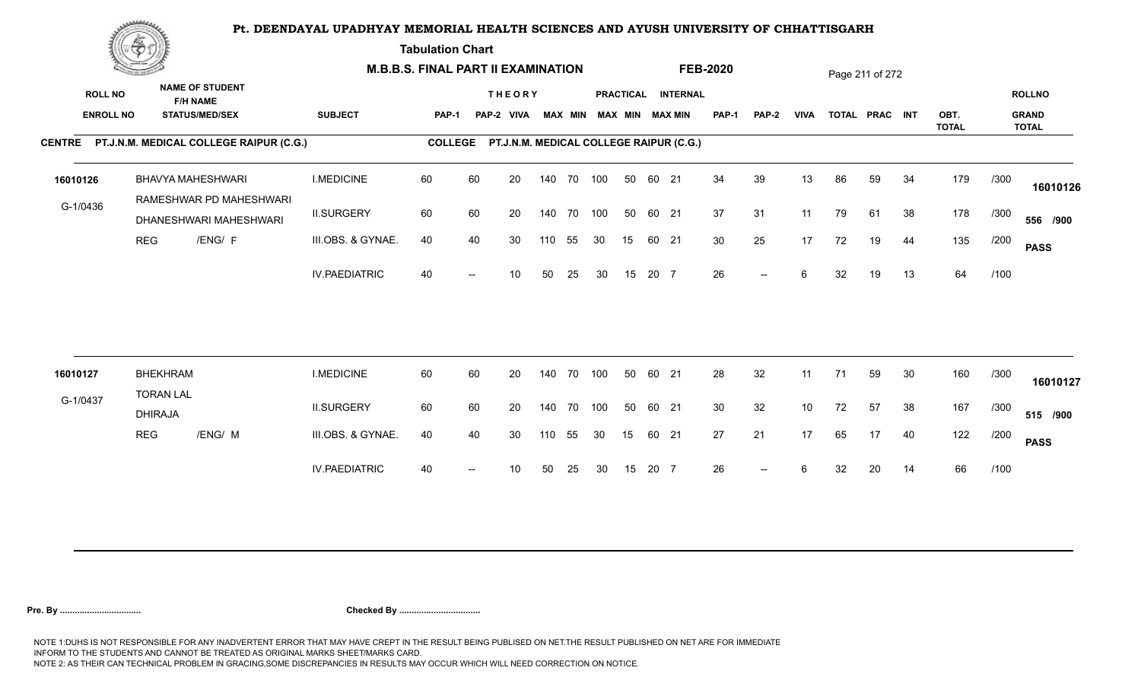**Tabulation Chart** 

|                                    | <b>Construction of the Asset</b>    |                                                                    |                      | <b>M.B.B.S. FINAL PART II EXAMINATION</b> |    |                             |     |                |            |    |       |                                                 | <b>FEB-2020</b> |       |             |    | Page 211 of 272 |    |              |      |                               |
|------------------------------------|-------------------------------------|--------------------------------------------------------------------|----------------------|-------------------------------------------|----|-----------------------------|-----|----------------|------------|----|-------|-------------------------------------------------|-----------------|-------|-------------|----|-----------------|----|--------------|------|-------------------------------|
| <b>ROLL NO</b><br><b>ENROLL NO</b> |                                     | <b>NAME OF STUDENT</b><br><b>F/H NAME</b><br><b>STATUS/MED/SEX</b> | <b>SUBJECT</b>       | <b>PAP-1</b>                              |    | <b>THEORY</b><br>PAP-2 VIVA |     | <b>MAX MIN</b> |            |    |       | PRACTICAL INTERNAL<br><b>MAX MIN MAX MIN</b>    | <b>PAP-1</b>    | PAP-2 | <b>VIVA</b> |    | TOTAL PRAC INT  |    | OBT.         |      | <b>ROLLNO</b><br><b>GRAND</b> |
|                                    |                                     |                                                                    |                      |                                           |    |                             |     |                |            |    |       |                                                 |                 |       |             |    |                 |    | <b>TOTAL</b> |      | <b>TOTAL</b>                  |
|                                    |                                     | CENTRE PT.J.N.M. MEDICAL COLLEGE RAIPUR (C.G.)                     |                      |                                           |    |                             |     |                |            |    |       | COLLEGE PT.J.N.M. MEDICAL COLLEGE RAIPUR (C.G.) |                 |       |             |    |                 |    |              |      |                               |
| 16010126                           |                                     | BHAVYA MAHESHWARI                                                  | <b>I.MEDICINE</b>    | 60                                        | 60 | 20                          |     |                | 140 70 100 | 50 | 60 21 |                                                 | 34              | 39    | 13          | 86 | 59              | 34 | 179          | /300 | 16010126                      |
| G-1/0436                           |                                     | RAMESHWAR PD MAHESHWARI<br>DHANESHWARI MAHESHWARI                  | <b>II.SURGERY</b>    | 60                                        | 60 | 20                          |     |                | 140 70 100 | 50 | 60 21 |                                                 | 37              | 31    | 11          | 79 | 61              | 38 | 178          | /300 | 556 /900                      |
|                                    | <b>REG</b>                          | /ENG/ F                                                            | III.OBS. & GYNAE.    | 40                                        | 40 | 30                          | 110 | 55             | 30         | 15 |       | 60 21                                           | 30              | 25    | 17          | 72 | 19              | 44 | 135          | /200 | <b>PASS</b>                   |
|                                    |                                     |                                                                    | <b>IV.PAEDIATRIC</b> | 40                                        |    | 10                          | 50  | 25             | 30         | 15 | 20 7  |                                                 | 26              | $- -$ | 6           | 32 | 19              | 13 | 64           | /100 |                               |
|                                    |                                     |                                                                    |                      |                                           |    |                             |     |                |            |    |       |                                                 |                 |       |             |    |                 |    |              |      |                               |
| 16010127                           | <b>BHEKHRAM</b><br><b>TORAN LAL</b> |                                                                    | <b>I.MEDICINE</b>    | 60                                        | 60 | 20                          |     |                | 140 70 100 | 50 | 60 21 |                                                 | 28              | 32    | 11          | 71 | 59              | 30 | 160          | /300 | 16010127                      |
| G-1/0437                           | <b>DHIRAJA</b>                      |                                                                    | <b>II.SURGERY</b>    | 60                                        | 60 | 20                          |     |                | 140 70 100 | 50 | 60 21 |                                                 | 30              | 32    | 10          | 72 | 57              | 38 | 167          | /300 | 515 /900                      |
|                                    | <b>REG</b>                          | /ENG/ M                                                            | III.OBS. & GYNAE.    | 40                                        | 40 | 30                          | 110 | 55             | 30         | 15 |       | 60 21                                           | 27              | 21    | 17          | 65 | 17              | 40 | 122          | /200 | <b>PASS</b>                   |
|                                    |                                     |                                                                    | <b>IV.PAEDIATRIC</b> | 40                                        |    | 10                          | 50  | 25             | 30         | 15 | 20 7  |                                                 | 26              | $--$  | 6           | 32 | 20              | 14 | 66           | /100 |                               |
|                                    |                                     |                                                                    |                      |                                           |    |                             |     |                |            |    |       |                                                 |                 |       |             |    |                 |    |              |      |                               |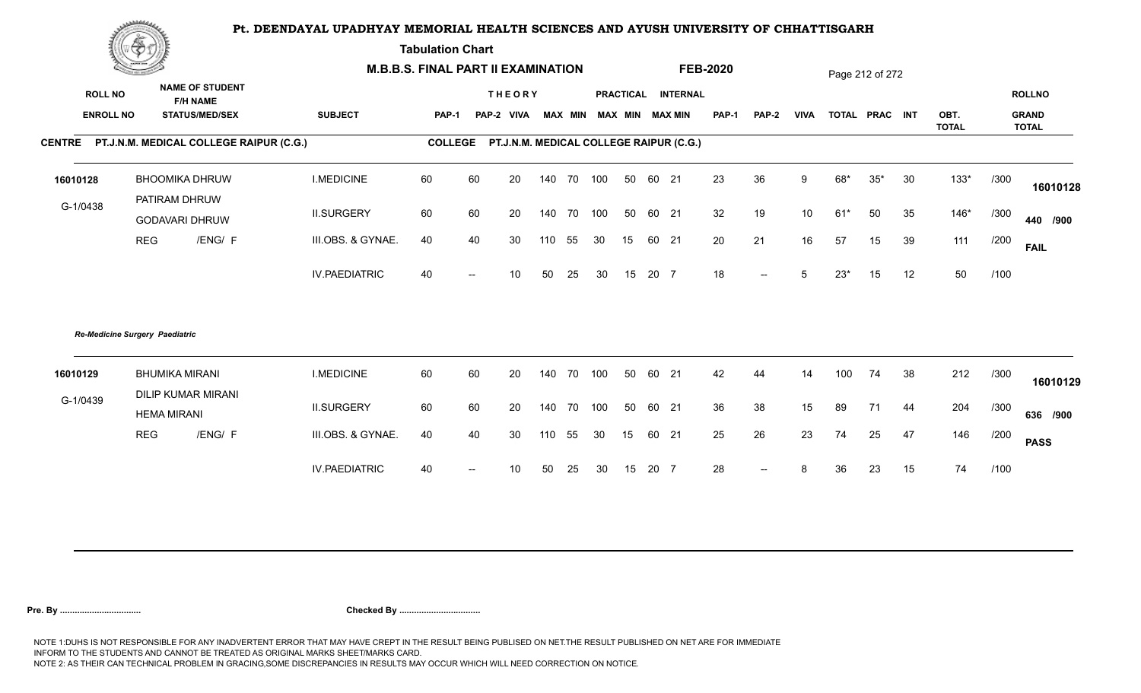**Tabulation Chart** 

|                  | <b>Construction of the Construction</b> |                                                 |                      | <b>M.B.B.S. FINAL PART II EXAMINATION</b> |                          |                                         |     |    |                         |    |       |                    | <b>FEB-2020</b> |                          |                 |       | Page 212 of 272 |    |                      |      |                              |
|------------------|-----------------------------------------|-------------------------------------------------|----------------------|-------------------------------------------|--------------------------|-----------------------------------------|-----|----|-------------------------|----|-------|--------------------|-----------------|--------------------------|-----------------|-------|-----------------|----|----------------------|------|------------------------------|
| <b>ROLL NO</b>   |                                         | <b>NAME OF STUDENT</b><br><b>F/H NAME</b>       |                      |                                           |                          | <b>THEORY</b>                           |     |    |                         |    |       | PRACTICAL INTERNAL |                 |                          |                 |       |                 |    |                      |      | <b>ROLLNO</b>                |
| <b>ENROLL NO</b> |                                         | <b>STATUS/MED/SEX</b>                           | <b>SUBJECT</b>       | <b>PAP-1</b>                              |                          | PAP-2 VIVA                              |     |    | MAX MIN MAX MIN MAX MIN |    |       |                    | <b>PAP-1</b>    | <b>PAP-2</b>             | <b>VIVA</b>     |       | TOTAL PRAC INT  |    | OBT.<br><b>TOTAL</b> |      | <b>GRAND</b><br><b>TOTAL</b> |
|                  |                                         | CENTRE PT.J.N.M. MEDICAL COLLEGE RAIPUR (C.G.)  |                      | <b>COLLEGE</b>                            |                          | PT.J.N.M. MEDICAL COLLEGE RAIPUR (C.G.) |     |    |                         |    |       |                    |                 |                          |                 |       |                 |    |                      |      |                              |
| 16010128         |                                         | <b>BHOOMIKA DHRUW</b>                           | <b>I.MEDICINE</b>    | 60                                        | 60                       | 20                                      | 140 |    | 70 100                  | 50 | 60 21 |                    | 23              | 36                       | 9               | 68*   | $35*$           | 30 | $133*$               | /300 | 16010128                     |
| G-1/0438         |                                         | PATIRAM DHRUW<br><b>GODAVARI DHRUW</b>          | <b>II.SURGERY</b>    | 60                                        | 60                       | 20                                      | 140 |    | 70 100                  | 50 | 60 21 |                    | 32              | 19                       | 10 <sup>°</sup> | $61*$ | 50              | 35 | $146*$               | /300 | 440 /900                     |
|                  | <b>REG</b>                              | /ENG/ F                                         | III.OBS. & GYNAE.    | 40                                        | 40                       | 30                                      | 110 | 55 | 30                      | 15 | 60 21 |                    | 20              | 21                       | 16              | 57    | 15              | 39 | 111                  | /200 | <b>FAIL</b>                  |
|                  |                                         |                                                 | <b>IV.PAEDIATRIC</b> | 40                                        | $\overline{\phantom{a}}$ | 10                                      | 50  | 25 | 30                      | 15 | 20 7  |                    | 18              | $\overline{\phantom{a}}$ | 5               | $23*$ | 15              | 12 | 50                   | /100 |                              |
|                  | Re-Medicine Surgery Paediatric          |                                                 |                      |                                           |                          |                                         |     |    |                         |    |       |                    |                 |                          |                 |       |                 |    |                      |      |                              |
| 16010129         |                                         | <b>BHUMIKA MIRANI</b>                           | <b>I.MEDICINE</b>    | 60                                        | 60                       | 20                                      | 140 |    | 70 100                  | 50 | 60 21 |                    | 42              | 44                       | 14              | 100   | 74              | 38 | 212                  | /300 | 16010129                     |
| G-1/0439         |                                         | <b>DILIP KUMAR MIRANI</b><br><b>HEMA MIRANI</b> | <b>II.SURGERY</b>    | 60                                        | 60                       | 20                                      | 140 |    | 70 100                  | 50 | 60 21 |                    | 36              | 38                       | 15              | 89    | 71              | 44 | 204                  | /300 | 636 /900                     |
|                  | <b>REG</b>                              | /ENG/ F                                         | III.OBS. & GYNAE.    | 40                                        | 40                       | 30                                      | 110 | 55 | 30                      | 15 | 60 21 |                    | 25              | 26                       | 23              | 74    | 25              | 47 | 146                  | /200 | <b>PASS</b>                  |
|                  |                                         |                                                 | <b>IV.PAEDIATRIC</b> | 40                                        | $\overline{\phantom{a}}$ | 10                                      | 50  | 25 | 30                      | 15 | 20 7  |                    | 28              | $--$                     | 8               | 36    | 23              | 15 | 74                   | /100 |                              |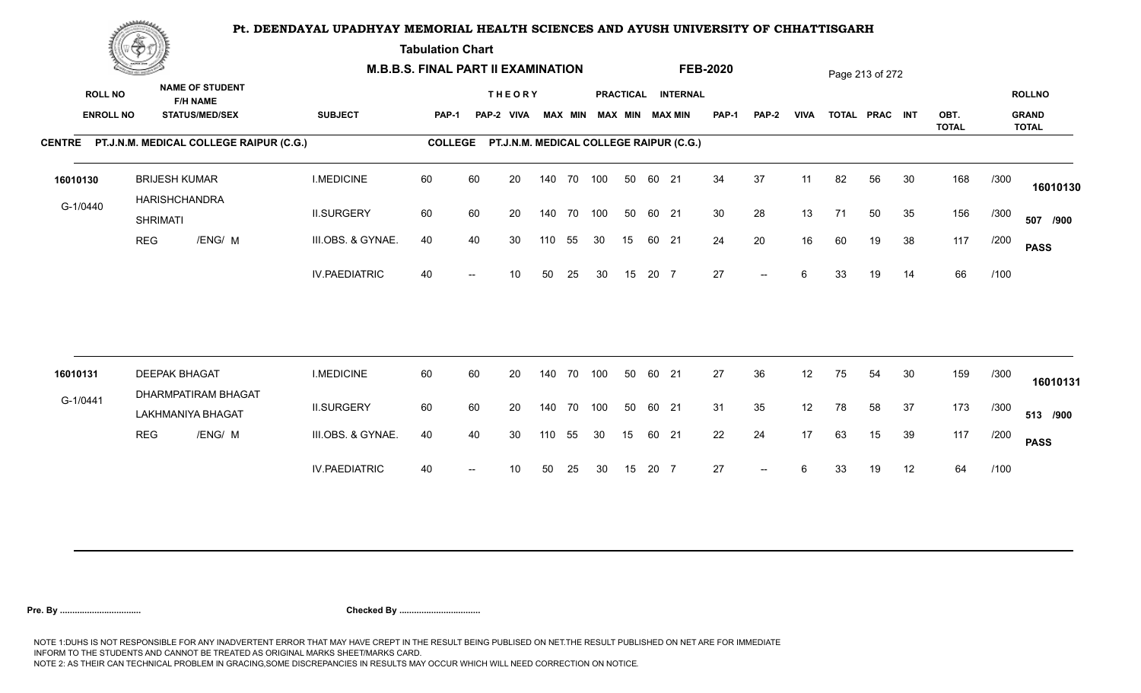**Tabulation Chart** 

|          | <b>Construction of the Construction</b> |                                       |                                                 | <b>M.B.B.S. FINAL PART II EXAMINATION</b> |                |    |                                         |     |                |            |    |       |                                              | <b>FEB-2020</b> |                          |             |    | Page 213 of 272 |    |                      |      |                                               |
|----------|-----------------------------------------|---------------------------------------|-------------------------------------------------|-------------------------------------------|----------------|----|-----------------------------------------|-----|----------------|------------|----|-------|----------------------------------------------|-----------------|--------------------------|-------------|----|-----------------|----|----------------------|------|-----------------------------------------------|
|          | <b>ROLL NO</b><br><b>ENROLL NO</b>      | <b>F/H NAME</b>                       | <b>NAME OF STUDENT</b><br><b>STATUS/MED/SEX</b> | <b>SUBJECT</b>                            | PAP-1          |    | <b>THEORY</b><br>PAP-2 VIVA             |     | <b>MAX MIN</b> |            |    |       | PRACTICAL INTERNAL<br><b>MAX MIN MAX MIN</b> | <b>PAP-1</b>    | PAP-2                    | <b>VIVA</b> |    | TOTAL PRAC INT  |    | OBT.<br><b>TOTAL</b> |      | <b>ROLLNO</b><br><b>GRAND</b><br><b>TOTAL</b> |
|          |                                         |                                       | CENTRE PT.J.N.M. MEDICAL COLLEGE RAIPUR (C.G.)  |                                           | <b>COLLEGE</b> |    | PT.J.N.M. MEDICAL COLLEGE RAIPUR (C.G.) |     |                |            |    |       |                                              |                 |                          |             |    |                 |    |                      |      |                                               |
| 16010130 |                                         | <b>BRIJESH KUMAR</b><br>HARISHCHANDRA |                                                 | <b>I.MEDICINE</b>                         | 60             | 60 | 20                                      |     |                | 140 70 100 | 50 | 60 21 |                                              | 34              | 37                       | 11          | 82 | 56              | 30 | 168                  | /300 | 16010130                                      |
| G-1/0440 |                                         | <b>SHRIMATI</b>                       |                                                 | <b>II.SURGERY</b>                         | 60             | 60 | 20                                      |     | 140 70         | 100        | 50 | 60 21 |                                              | 30              | 28                       | 13          | 71 | 50              | 35 | 156                  | /300 | 507 /900                                      |
|          | <b>REG</b>                              |                                       | /ENG/ M                                         | III.OBS. & GYNAE.                         | 40             | 40 | 30                                      | 110 | 55             | 30         | 15 | 60 21 |                                              | 24              | 20                       | 16          | 60 | 19              | 38 | 117                  | /200 | <b>PASS</b>                                   |
|          |                                         |                                       |                                                 | <b>IV.PAEDIATRIC</b>                      | 40             |    | 10                                      | 50  | 25             | 30         | 15 | 20 7  |                                              | 27              | $\overline{\phantom{a}}$ | 6           | 33 | 19              | 14 | 66                   | /100 |                                               |
| 16010131 |                                         | <b>DEEPAK BHAGAT</b>                  |                                                 | <b>I.MEDICINE</b>                         | 60             | 60 | 20                                      |     | 140 70         | 100        | 50 | 60 21 |                                              | 27              | 36                       | 12          | 75 | 54              | 30 | 159                  | /300 |                                               |
|          |                                         |                                       | DHARMPATIRAM BHAGAT                             |                                           |                |    |                                         |     |                |            |    |       |                                              |                 |                          |             |    |                 |    |                      |      | 16010131                                      |
| G-1/0441 |                                         | LAKHMANIYA BHAGAT                     |                                                 | <b>II.SURGERY</b>                         | 60             | 60 | 20                                      |     | 140 70         | 100        | 50 | 60 21 |                                              | 31              | 35                       | 12          | 78 | 58              | 37 | 173                  | /300 | 513 /900                                      |
|          | <b>REG</b>                              |                                       | /ENG/ M                                         | III.OBS. & GYNAE.                         | 40             | 40 | 30                                      | 110 | 55             | 30         | 15 | 60 21 |                                              | 22              | 24                       | 17          | 63 | 15              | 39 | 117                  | /200 | <b>PASS</b>                                   |
|          |                                         |                                       |                                                 | <b>IV.PAEDIATRIC</b>                      | 40             |    | 10                                      | 50  | 25             | 30         | 15 | 20 7  |                                              | 27              | $\overline{\phantom{a}}$ | 6           | 33 | 19              | 12 | 64                   | /100 |                                               |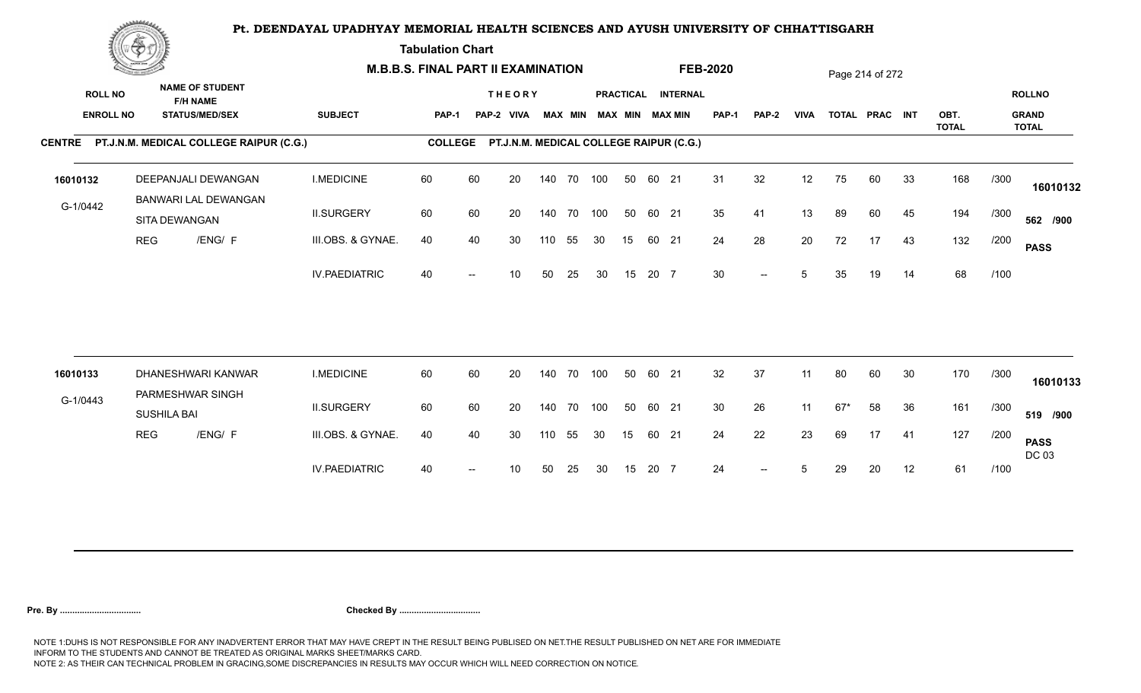**Tabulation Chart** 

|                  | <b>Construction of the Construction</b> |                                                |                      | <b>M.B.B.S. FINAL PART II EXAMINATION</b> |    |                                         |        |        |                         |    |       |                    | <b>FEB-2020</b> |                          |             |       | Page 214 of 272 |    |                      |      |                               |
|------------------|-----------------------------------------|------------------------------------------------|----------------------|-------------------------------------------|----|-----------------------------------------|--------|--------|-------------------------|----|-------|--------------------|-----------------|--------------------------|-------------|-------|-----------------|----|----------------------|------|-------------------------------|
| <b>ROLL NO</b>   |                                         | <b>NAME OF STUDENT</b><br><b>F/H NAME</b>      |                      |                                           |    | <b>THEORY</b>                           |        |        | MAX MIN MAX MIN MAX MIN |    |       | PRACTICAL INTERNAL | <b>PAP-1</b>    |                          | <b>VIVA</b> |       | TOTAL PRAC INT  |    |                      |      | <b>ROLLNO</b><br><b>GRAND</b> |
| <b>ENROLL NO</b> |                                         | <b>STATUS/MED/SEX</b>                          | <b>SUBJECT</b>       | PAP-1                                     |    | PAP-2 VIVA                              |        |        |                         |    |       |                    |                 | <b>PAP-2</b>             |             |       |                 |    | OBT.<br><b>TOTAL</b> |      | <b>TOTAL</b>                  |
|                  |                                         | CENTRE PT.J.N.M. MEDICAL COLLEGE RAIPUR (C.G.) |                      | <b>COLLEGE</b>                            |    | PT.J.N.M. MEDICAL COLLEGE RAIPUR (C.G.) |        |        |                         |    |       |                    |                 |                          |             |       |                 |    |                      |      |                               |
| 16010132         |                                         | DEEPANJALI DEWANGAN<br>BANWARI LAL DEWANGAN    | <b>I.MEDICINE</b>    | 60                                        | 60 | 20                                      | 140    | 70 100 |                         | 50 | 60 21 |                    | 31              | 32                       | 12          | 75    | 60              | 33 | 168                  | /300 | 16010132                      |
| G-1/0442         |                                         | SITA DEWANGAN                                  | <b>II.SURGERY</b>    | 60                                        | 60 | 20                                      | 140    | 70 100 |                         | 50 | 60 21 |                    | 35              | 41                       | 13          | 89    | 60              | 45 | 194                  | /300 | 562 /900                      |
|                  | <b>REG</b>                              | /ENG/ F                                        | III.OBS. & GYNAE.    | 40                                        | 40 | 30                                      | 110    | 55     | 30                      | 15 | 60 21 |                    | 24              | 28                       | 20          | 72    | 17              | 43 | 132                  | /200 | <b>PASS</b>                   |
|                  |                                         |                                                | <b>IV.PAEDIATRIC</b> | 40                                        |    | 10                                      | 50     | 25     | 30                      | 15 | 20 7  |                    | 30              | $\overline{\phantom{a}}$ | 5           | 35    | 19              | 14 | 68                   | /100 |                               |
|                  |                                         |                                                |                      |                                           |    |                                         |        |        |                         |    |       |                    |                 |                          |             |       |                 |    |                      |      |                               |
| 16010133         |                                         | DHANESHWARI KANWAR<br>PARMESHWAR SINGH         | <b>I.MEDICINE</b>    | 60                                        | 60 | 20                                      | 140    |        | 70 100                  | 50 | 60 21 |                    | 32              | 37                       | 11          | 80    | 60              | 30 | 170                  | /300 | 16010133                      |
| G-1/0443         | <b>SUSHILA BAI</b>                      |                                                | <b>II.SURGERY</b>    | 60                                        | 60 | 20                                      | 140    |        | 70 100                  | 50 | 60 21 |                    | 30              | 26                       | 11          | $67*$ | 58              | 36 | 161                  | /300 | 519 /900                      |
|                  | <b>REG</b>                              | /ENG/ F                                        | III.OBS. & GYNAE.    | 40                                        | 40 | 30                                      | 110 55 |        | 30                      | 15 | 60 21 |                    | 24              | 22                       | 23          | 69    | 17              | 41 | 127                  | /200 | <b>PASS</b><br>DC 03          |
|                  |                                         |                                                | <b>IV.PAEDIATRIC</b> | 40                                        |    | 10                                      | 50     | 25     | 30                      | 15 | 20 7  |                    | 24              | $-$                      | 5           | 29    | 20              | 12 | 61                   | /100 |                               |
|                  |                                         |                                                |                      |                                           |    |                                         |        |        |                         |    |       |                    |                 |                          |             |       |                 |    |                      |      |                               |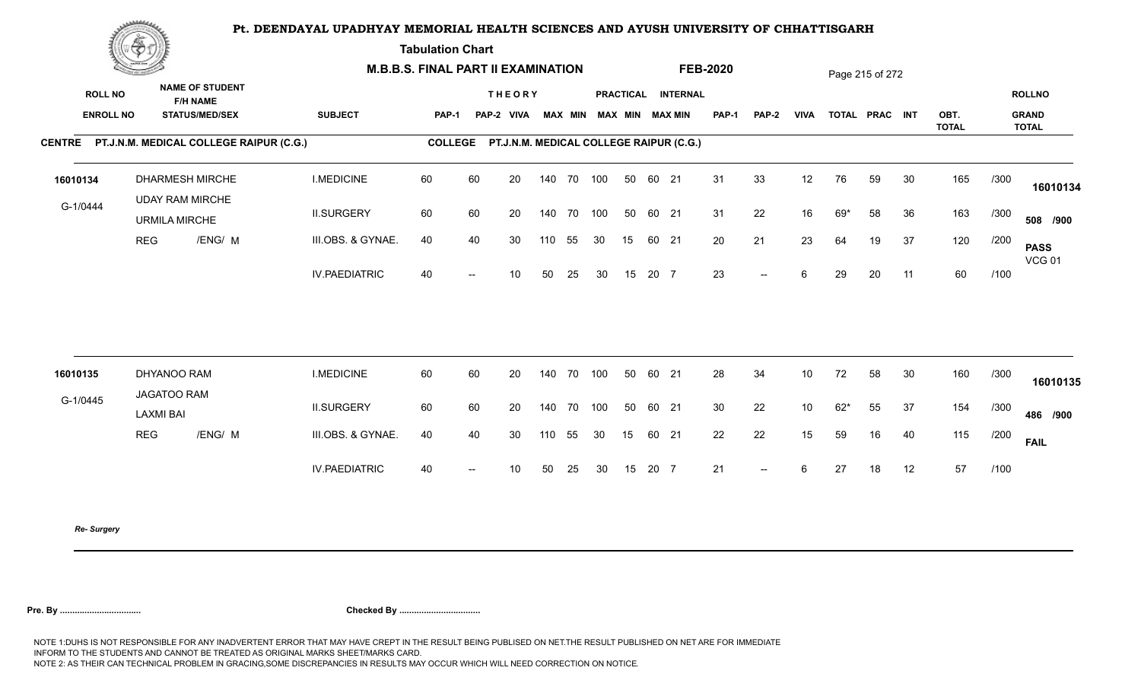**Tabulation Chart** 

|                                    | <b>Construction of the Construction</b> |                                                                    | <b>M.B.B.S. FINAL PART II EXAMINATION</b> |                |                          |                                         |        |            |                         |    |       |                    | <b>FEB-2020</b> |        |             |       | Page 215 of 272 |    |              |      |                               |
|------------------------------------|-----------------------------------------|--------------------------------------------------------------------|-------------------------------------------|----------------|--------------------------|-----------------------------------------|--------|------------|-------------------------|----|-------|--------------------|-----------------|--------|-------------|-------|-----------------|----|--------------|------|-------------------------------|
| <b>ROLL NO</b><br><b>ENROLL NO</b> |                                         | <b>NAME OF STUDENT</b><br><b>F/H NAME</b><br><b>STATUS/MED/SEX</b> | <b>SUBJECT</b>                            | <b>PAP-1</b>   |                          | <b>THEORY</b><br>PAP-2 VIVA             |        |            | MAX MIN MAX MIN MAX MIN |    |       | PRACTICAL INTERNAL | <b>PAP-1</b>    | PAP-2  | <b>VIVA</b> |       | TOTAL PRAC INT  |    | OBT.         |      | <b>ROLLNO</b><br><b>GRAND</b> |
|                                    |                                         | CENTRE PT.J.N.M. MEDICAL COLLEGE RAIPUR (C.G.)                     |                                           | <b>COLLEGE</b> |                          | PT.J.N.M. MEDICAL COLLEGE RAIPUR (C.G.) |        |            |                         |    |       |                    |                 |        |             |       |                 |    | <b>TOTAL</b> |      | <b>TOTAL</b>                  |
| 16010134                           |                                         | <b>DHARMESH MIRCHE</b><br><b>UDAY RAM MIRCHE</b>                   | <b>I.MEDICINE</b>                         | 60             | 60                       | 20                                      |        | 140 70 100 |                         | 50 | 60 21 |                    | 31              | 33     | 12          | 76    | 59              | 30 | 165          | /300 | 16010134                      |
| G-1/0444                           |                                         | <b>URMILA MIRCHE</b>                                               | <b>II.SURGERY</b>                         | 60             | 60                       | 20                                      |        | 140 70 100 |                         | 50 | 60 21 |                    | 31              | 22     | 16          | $69*$ | 58              | 36 | 163          | /300 | 508 /900                      |
|                                    | <b>REG</b>                              | /ENG/ M                                                            | III.OBS. & GYNAE.                         | 40             | 40                       | 30                                      | 110    | 55         | 30                      | 15 | 60 21 |                    | 20              | 21     | 23          | 64    | 19              | 37 | 120          | /200 | <b>PASS</b><br><b>VCG 01</b>  |
|                                    |                                         |                                                                    | <b>IV.PAEDIATRIC</b>                      | 40             | $\hspace{0.05cm}$        | 10 <sup>°</sup>                         | 50     | 25         | 30                      | 15 | 20 7  |                    | 23              | $--$   | 6           | 29    | 20              | 11 | 60           | /100 |                               |
|                                    |                                         |                                                                    |                                           |                |                          |                                         |        |            |                         |    |       |                    |                 |        |             |       |                 |    |              |      |                               |
| 16010135                           |                                         | DHYANOO RAM<br>JAGATOO RAM                                         | <b>I.MEDICINE</b>                         | 60             | 60                       | 20                                      |        | 140 70     | 100                     | 50 | 60 21 |                    | 28              | 34     | 10          | 72    | 58              | 30 | 160          | /300 | 16010135                      |
| G-1/0445                           | <b>LAXMI BAI</b>                        |                                                                    | <b>II.SURGERY</b>                         | 60             | 60                       | 20                                      | 140 70 |            | 100                     | 50 | 60 21 |                    | 30              | 22     | 10          | $62*$ | 55              | 37 | 154          | /300 | 486 /900                      |
|                                    | <b>REG</b>                              | /ENG/ M                                                            | III.OBS. & GYNAE.                         | 40             | 40                       | 30                                      | 110    | 55         | 30                      | 15 | 60 21 |                    | 22              | 22     | 15          | 59    | 16              | 40 | 115          | /200 | <b>FAIL</b>                   |
|                                    |                                         |                                                                    | <b>IV.PAEDIATRIC</b>                      | 40             | $\overline{\phantom{a}}$ | 10 <sup>°</sup>                         | 50     | 25         | 30                      | 15 | 20 7  |                    | 21              | $\sim$ | 6           | 27    | 18              | 12 | 57           | /100 |                               |
|                                    |                                         |                                                                    |                                           |                |                          |                                         |        |            |                         |    |       |                    |                 |        |             |       |                 |    |              |      |                               |

*Re- Surgery*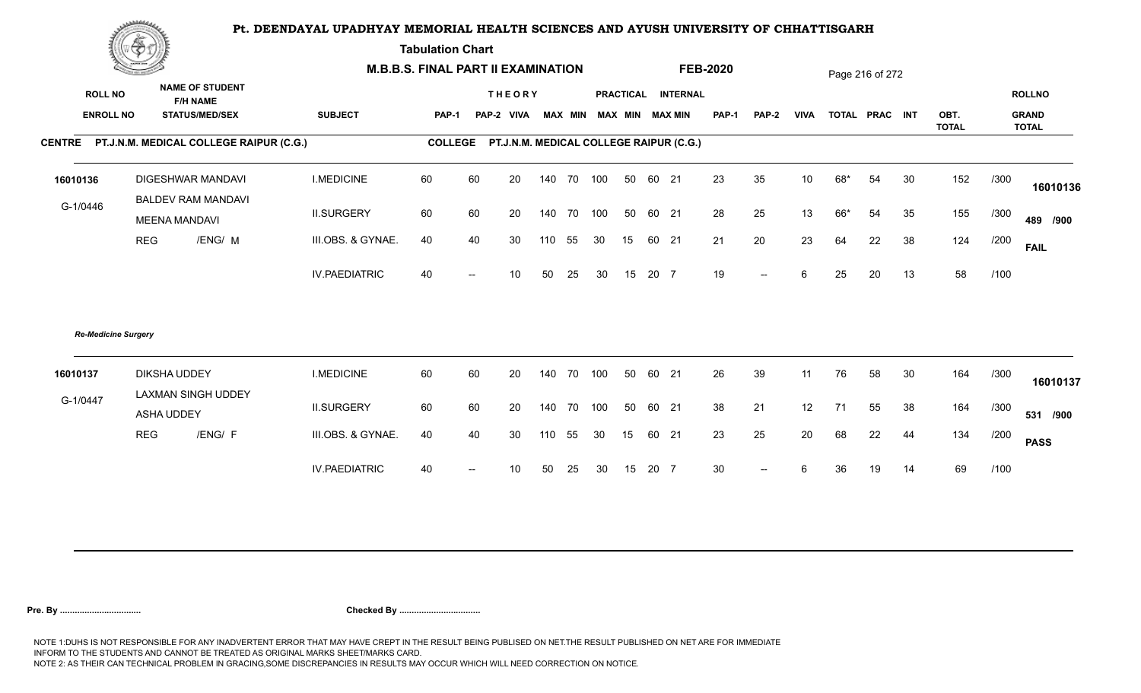**Tabulation Chart** 

|                                    | <b>Construction of the Construction</b> |                                                                    |                      | <b>M.B.B.S. FINAL PART II EXAMINATION</b> |                |    |                             |        |        |                         |    |       |                                         | <b>FEB-2020</b> |              |                 |     | Page 216 of 272 |    |              |      |                               |
|------------------------------------|-----------------------------------------|--------------------------------------------------------------------|----------------------|-------------------------------------------|----------------|----|-----------------------------|--------|--------|-------------------------|----|-------|-----------------------------------------|-----------------|--------------|-----------------|-----|-----------------|----|--------------|------|-------------------------------|
| <b>ROLL NO</b><br><b>ENROLL NO</b> |                                         | <b>NAME OF STUDENT</b><br><b>F/H NAME</b><br><b>STATUS/MED/SEX</b> | <b>SUBJECT</b>       |                                           | <b>PAP-1</b>   |    | <b>THEORY</b><br>PAP-2 VIVA |        |        | MAX MIN MAX MIN MAX MIN |    |       | PRACTICAL INTERNAL                      | <b>PAP-1</b>    | <b>PAP-2</b> | <b>VIVA</b>     |     | TOTAL PRAC INT  |    | OBT.         |      | <b>ROLLNO</b><br><b>GRAND</b> |
|                                    |                                         |                                                                    |                      |                                           | <b>COLLEGE</b> |    |                             |        |        |                         |    |       |                                         |                 |              |                 |     |                 |    | <b>TOTAL</b> |      | <b>TOTAL</b>                  |
|                                    |                                         | CENTRE PT.J.N.M. MEDICAL COLLEGE RAIPUR (C.G.)                     |                      |                                           |                |    |                             |        |        |                         |    |       | PT.J.N.M. MEDICAL COLLEGE RAIPUR (C.G.) |                 |              |                 |     |                 |    |              |      |                               |
| 16010136                           |                                         | <b>DIGESHWAR MANDAVI</b>                                           | <b>I.MEDICINE</b>    |                                           | 60             | 60 | 20                          | 140    | 70 100 |                         | 50 | 60 21 |                                         | 23              | 35           | 10 <sup>°</sup> | 68* | 54              | 30 | 152          | /300 | 16010136                      |
| G-1/0446                           |                                         | <b>BALDEV RAM MANDAVI</b><br><b>MEENA MANDAVI</b>                  | <b>II.SURGERY</b>    |                                           | 60             | 60 | 20                          | 140    | 70 100 |                         | 50 | 60 21 |                                         | 28              | 25           | 13              | 66* | 54              | 35 | 155          | /300 | 489 /900                      |
|                                    | <b>REG</b>                              | /ENG/ M                                                            | III.OBS. & GYNAE.    |                                           | 40             | 40 | 30                          | 110 55 |        | 30                      | 15 | 60 21 |                                         | 21              | 20           | 23              | 64  | 22              | 38 | 124          | /200 | <b>FAIL</b>                   |
|                                    |                                         |                                                                    | <b>IV.PAEDIATRIC</b> |                                           | 40             |    | 10 <sup>°</sup>             | 50     | 25     | 30                      | 15 | 20 7  |                                         | 19              | $-$          | 6               | 25  | 20              | 13 | 58           | /100 |                               |
|                                    | <b>Re-Medicine Surgery</b>              |                                                                    |                      |                                           |                |    |                             |        |        |                         |    |       |                                         |                 |              |                 |     |                 |    |              |      |                               |
| 16010137                           |                                         | <b>DIKSHA UDDEY</b><br>LAXMAN SINGH UDDEY                          | <b>I.MEDICINE</b>    |                                           | 60             | 60 | 20                          | 140    | 70 100 |                         | 50 | 60 21 |                                         | 26              | 39           | 11              | 76  | 58              | 30 | 164          | /300 | 16010137                      |
| G-1/0447                           |                                         | ASHA UDDEY                                                         | <b>II.SURGERY</b>    |                                           | 60             | 60 | 20                          | 140    | 70 100 |                         | 50 | 60 21 |                                         | 38              | 21           | 12              | 71  | 55              | 38 | 164          | /300 | 531 /900                      |
|                                    | <b>REG</b>                              | /ENG/ F                                                            | III.OBS. & GYNAE.    |                                           | 40             | 40 | 30                          | 110 55 |        | 30                      | 15 | 60 21 |                                         | 23              | 25           | 20              | 68  | 22              | 44 | 134          | /200 | <b>PASS</b>                   |
|                                    |                                         |                                                                    | <b>IV.PAEDIATRIC</b> |                                           | 40             |    | 10                          | 50     | 25     | 30                      | 15 | 20 7  |                                         | 30              | $-$          | 6               | 36  | 19              | 14 | 69           | /100 |                               |
|                                    |                                         |                                                                    |                      |                                           |                |    |                             |        |        |                         |    |       |                                         |                 |              |                 |     |                 |    |              |      |                               |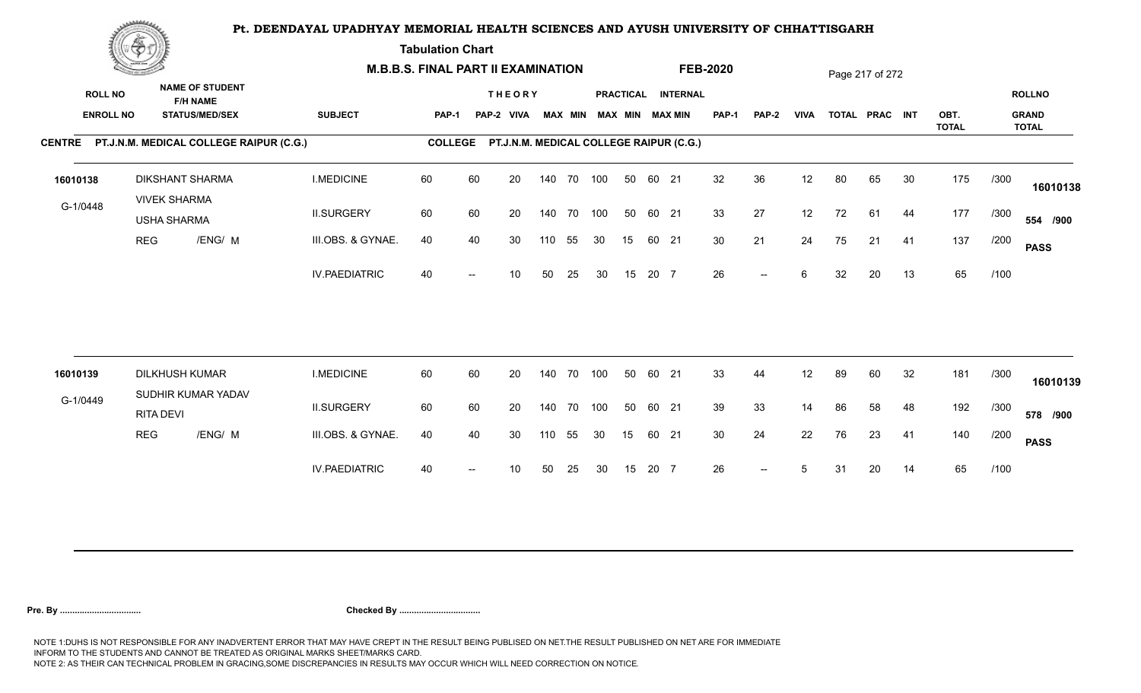**Tabulation Chart** 

|                                    | <b>Construction of the Construction</b> |                                               |                                                 | <b>M.B.B.S. FINAL PART II EXAMINATION</b> |                |                          |                                         |     |                |            |    |       |                                              | <b>FEB-2020</b> |                          |             |    | Page 217 of 272 |    |              |      |                               |
|------------------------------------|-----------------------------------------|-----------------------------------------------|-------------------------------------------------|-------------------------------------------|----------------|--------------------------|-----------------------------------------|-----|----------------|------------|----|-------|----------------------------------------------|-----------------|--------------------------|-------------|----|-----------------|----|--------------|------|-------------------------------|
| <b>ROLL NO</b><br><b>ENROLL NO</b> |                                         | <b>F/H NAME</b>                               | <b>NAME OF STUDENT</b><br><b>STATUS/MED/SEX</b> | <b>SUBJECT</b>                            | PAP-1          |                          | <b>THEORY</b><br>PAP-2 VIVA             |     | <b>MAX MIN</b> |            |    |       | PRACTICAL INTERNAL<br><b>MAX MIN MAX MIN</b> | <b>PAP-1</b>    | PAP-2                    | <b>VIVA</b> |    | TOTAL PRAC INT  |    | OBT.         |      | <b>ROLLNO</b><br><b>GRAND</b> |
|                                    |                                         |                                               | CENTRE PT.J.N.M. MEDICAL COLLEGE RAIPUR (C.G.)  |                                           | <b>COLLEGE</b> |                          | PT.J.N.M. MEDICAL COLLEGE RAIPUR (C.G.) |     |                |            |    |       |                                              |                 |                          |             |    |                 |    | <b>TOTAL</b> |      | <b>TOTAL</b>                  |
| 16010138                           |                                         | <b>DIKSHANT SHARMA</b><br><b>VIVEK SHARMA</b> |                                                 | <b>I.MEDICINE</b>                         | 60             | 60                       | 20                                      |     |                | 140 70 100 | 50 | 60 21 |                                              | 32              | 36                       | 12          | 80 | 65              | 30 | 175          | /300 | 16010138                      |
| G-1/0448                           |                                         | <b>USHA SHARMA</b>                            |                                                 | <b>II.SURGERY</b>                         | 60             | 60                       | 20                                      |     |                | 140 70 100 | 50 | 60 21 |                                              | 33              | 27                       | 12          | 72 | 61              | 44 | 177          | /300 | 554 /900                      |
|                                    | <b>REG</b>                              |                                               | /ENG/ M                                         | III.OBS. & GYNAE.                         | 40             | 40                       | 30                                      | 110 | 55             | 30         | 15 | 60 21 |                                              | 30              | 21                       | 24          | 75 | 21              | 41 | 137          | /200 | <b>PASS</b>                   |
|                                    |                                         |                                               |                                                 | <b>IV.PAEDIATRIC</b>                      | 40             |                          | 10                                      | 50  | 25             | 30         | 15 | 20 7  |                                              | 26              | $--$                     | 6           | 32 | 20              | 13 | 65           | /100 |                               |
|                                    |                                         |                                               |                                                 |                                           |                |                          |                                         |     |                |            |    |       |                                              |                 |                          |             |    |                 |    |              |      |                               |
| 16010139                           |                                         | <b>DILKHUSH KUMAR</b>                         | SUDHIR KUMAR YADAV                              | <b>I.MEDICINE</b>                         | 60             | 60                       | 20                                      |     | 140 70         | 100        | 50 | 60 21 |                                              | 33              | 44                       | 12          | 89 | 60              | 32 | 181          | /300 | 16010139                      |
| G-1/0449                           |                                         | <b>RITA DEVI</b>                              |                                                 | <b>II.SURGERY</b>                         | 60             | 60                       | 20                                      |     | 140 70         | 100        | 50 | 60 21 |                                              | 39              | 33                       | 14          | 86 | 58              | 48 | 192          | /300 | 578 /900                      |
|                                    | <b>REG</b>                              |                                               | /ENG/ M                                         | III.OBS. & GYNAE.                         | 40             | 40                       | 30                                      | 110 | 55             | 30         | 15 | 60 21 |                                              | 30 <sup>°</sup> | 24                       | 22          | 76 | 23              | 41 | 140          | /200 | <b>PASS</b>                   |
|                                    |                                         |                                               |                                                 | <b>IV.PAEDIATRIC</b>                      | 40             | $\overline{\phantom{a}}$ | 10                                      | 50  | 25             | 30         | 15 | 20 7  |                                              | 26              | $\overline{\phantom{a}}$ | 5           | 31 | 20              | 14 | 65           | /100 |                               |
|                                    |                                         |                                               |                                                 |                                           |                |                          |                                         |     |                |            |    |       |                                              |                 |                          |             |    |                 |    |              |      |                               |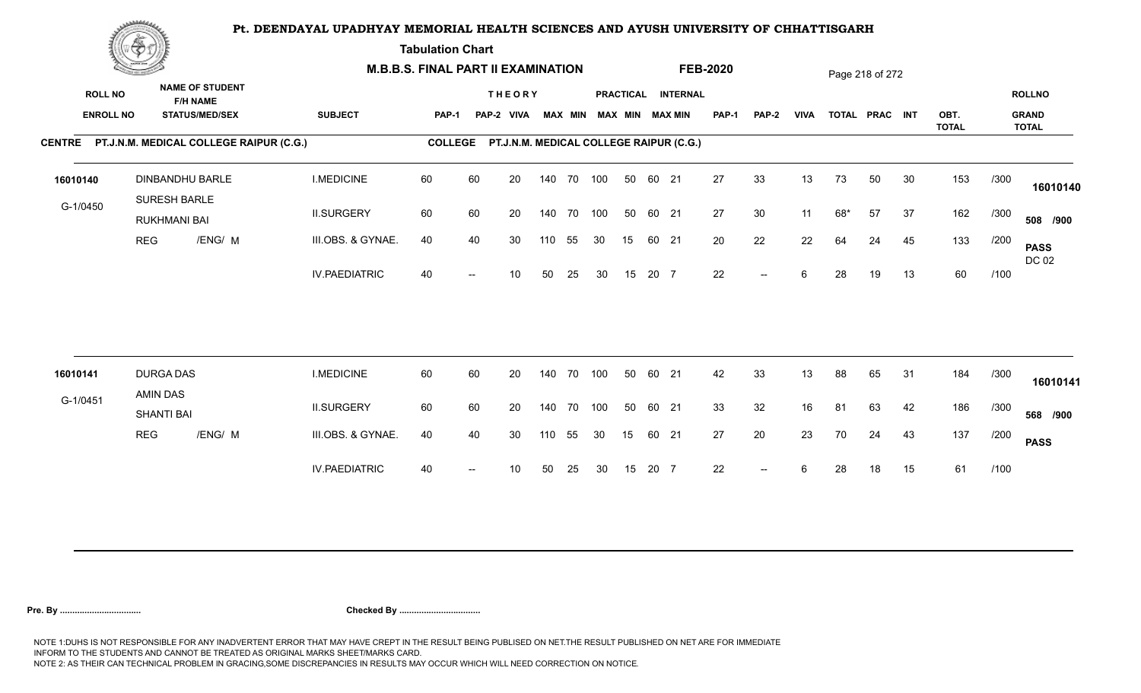**Tabulation Chart** 

|                | <b>Construction of the Construction</b> |                              |                                                                    | <b>M.B.B.S. FINAL PART II EXAMINATION</b> |                |    |                                         |     |                |     |    |       |                                       | <b>FEB-2020</b> |                          |             |     | Page 218 of 272 |    |                      |      |                                               |
|----------------|-----------------------------------------|------------------------------|--------------------------------------------------------------------|-------------------------------------------|----------------|----|-----------------------------------------|-----|----------------|-----|----|-------|---------------------------------------|-----------------|--------------------------|-------------|-----|-----------------|----|----------------------|------|-----------------------------------------------|
| <b>ROLL NO</b> | <b>ENROLL NO</b>                        |                              | <b>NAME OF STUDENT</b><br><b>F/H NAME</b><br><b>STATUS/MED/SEX</b> | <b>SUBJECT</b>                            | <b>PAP-1</b>   |    | <b>THEORY</b><br>PAP-2 VIVA             |     | <b>MAX MIN</b> |     |    |       | PRACTICAL INTERNAL<br>MAX MIN MAX MIN | PAP-1           | <b>PAP-2</b>             | <b>VIVA</b> |     | TOTAL PRAC INT  |    | OBT.<br><b>TOTAL</b> |      | <b>ROLLNO</b><br><b>GRAND</b><br><b>TOTAL</b> |
|                |                                         |                              | CENTRE PT.J.N.M. MEDICAL COLLEGE RAIPUR (C.G.)                     |                                           | <b>COLLEGE</b> |    | PT.J.N.M. MEDICAL COLLEGE RAIPUR (C.G.) |     |                |     |    |       |                                       |                 |                          |             |     |                 |    |                      |      |                                               |
| 16010140       |                                         | SURESH BARLE                 | DINBANDHU BARLE                                                    | <b>I.MEDICINE</b>                         | 60             | 60 | 20                                      |     | 140 70 100     |     | 50 | 60 21 |                                       | 27              | 33                       | 13          | 73  | 50              | 30 | 153                  | /300 | 16010140                                      |
| G-1/0450       |                                         | <b>RUKHMANI BAI</b>          |                                                                    | <b>II.SURGERY</b>                         | 60             | 60 | 20                                      |     | 140 70 100     |     | 50 | 60 21 |                                       | 27              | 30                       | 11          | 68* | 57              | 37 | 162                  | /300 | 508 /900                                      |
|                | <b>REG</b>                              |                              | /ENG/ M                                                            | III.OBS. & GYNAE.                         | 40             | 40 | 30                                      | 110 | 55             | 30  | 15 | 60 21 |                                       | 20              | 22                       | 22          | 64  | 24              | 45 | 133                  | /200 | <b>PASS</b><br>DC 02                          |
|                |                                         |                              |                                                                    | <b>IV.PAEDIATRIC</b>                      | 40             |    | 10                                      | 50  | 25             | 30  | 15 | 20 7  |                                       | 22              | $\overline{\phantom{a}}$ | 6           | 28  | 19              | 13 | 60                   | /100 |                                               |
|                |                                         |                              |                                                                    |                                           |                |    |                                         |     |                |     |    |       |                                       |                 |                          |             |     |                 |    |                      |      |                                               |
| 16010141       |                                         | <b>DURGA DAS</b><br>AMIN DAS |                                                                    | <b>I.MEDICINE</b>                         | 60             | 60 | 20                                      |     | 140 70         | 100 | 50 | 60 21 |                                       | 42              | 33                       | 13          | 88  | 65              | 31 | 184                  | /300 | 16010141                                      |
| G-1/0451       |                                         | <b>SHANTI BAI</b>            |                                                                    | <b>II.SURGERY</b>                         | 60             | 60 | 20                                      |     | 140 70 100     |     | 50 | 60 21 |                                       | 33              | 32                       | 16          | 81  | 63              | 42 | 186                  | /300 | 568 /900                                      |
|                | REG                                     |                              | /ENG/ M                                                            | III.OBS. & GYNAE.                         | 40             | 40 | 30                                      | 110 | 55             | 30  | 15 | 60 21 |                                       | 27              | 20                       | 23          | 70  | 24              | 43 | 137                  | /200 | <b>PASS</b>                                   |
|                |                                         |                              |                                                                    | <b>IV.PAEDIATRIC</b>                      | 40             |    | 10                                      | 50  | 25             | 30  | 15 | 20 7  |                                       | 22              | $--$                     | 6           | 28  | 18              | 15 | 61                   | /100 |                                               |
|                |                                         |                              |                                                                    |                                           |                |    |                                         |     |                |     |    |       |                                       |                 |                          |             |     |                 |    |                      |      |                                               |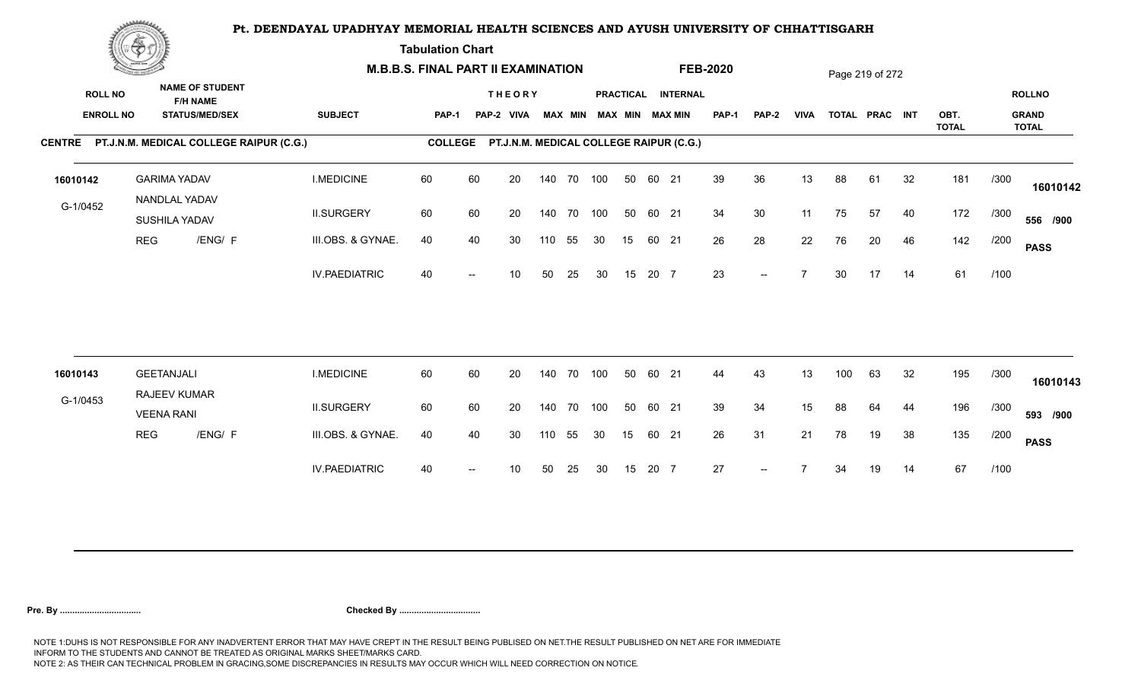**Tabulation Chart** 

|                                    | <b>Construction of the Construction</b> |                                                                    | <b>M.B.B.S. FINAL PART II EXAMINATION</b> |                |    |                                         |     |                |            |    |       |                                       | <b>FEB-2020</b> |                          |             |     | Page 219 of 272 |    |                      |      |                                               |
|------------------------------------|-----------------------------------------|--------------------------------------------------------------------|-------------------------------------------|----------------|----|-----------------------------------------|-----|----------------|------------|----|-------|---------------------------------------|-----------------|--------------------------|-------------|-----|-----------------|----|----------------------|------|-----------------------------------------------|
| <b>ROLL NO</b><br><b>ENROLL NO</b> |                                         | <b>NAME OF STUDENT</b><br><b>F/H NAME</b><br><b>STATUS/MED/SEX</b> | <b>SUBJECT</b>                            | <b>PAP-1</b>   |    | <b>THEORY</b><br>PAP-2 VIVA             |     | <b>MAX MIN</b> |            |    |       | PRACTICAL INTERNAL<br>MAX MIN MAX MIN | PAP-1           | <b>PAP-2</b>             | <b>VIVA</b> |     | TOTAL PRAC INT  |    | OBT.<br><b>TOTAL</b> |      | <b>ROLLNO</b><br><b>GRAND</b><br><b>TOTAL</b> |
|                                    |                                         | CENTRE PT.J.N.M. MEDICAL COLLEGE RAIPUR (C.G.)                     |                                           | <b>COLLEGE</b> |    | PT.J.N.M. MEDICAL COLLEGE RAIPUR (C.G.) |     |                |            |    |       |                                       |                 |                          |             |     |                 |    |                      |      |                                               |
| 16010142                           |                                         | <b>GARIMA YADAV</b><br>NANDLAL YADAV                               | <b>I.MEDICINE</b>                         | 60             | 60 | 20                                      |     |                | 140 70 100 | 50 | 60 21 |                                       | 39              | 36                       | 13          | 88  | 61              | 32 | 181                  | /300 | 16010142                                      |
| G-1/0452                           |                                         | SUSHILA YADAV                                                      | <b>II.SURGERY</b>                         | 60             | 60 | 20                                      |     |                | 140 70 100 | 50 | 60 21 |                                       | 34              | 30                       | 11          | 75  | 57              | 40 | 172                  | /300 | 556 /900                                      |
|                                    | <b>REG</b>                              | /ENG/ F                                                            | III.OBS. & GYNAE.                         | 40             | 40 | 30                                      | 110 | 55             | 30         | 15 | 60 21 |                                       | 26              | 28                       | 22          | 76  | 20              | 46 | 142                  | /200 | <b>PASS</b>                                   |
|                                    |                                         |                                                                    | <b>IV.PAEDIATRIC</b>                      | 40             |    | 10                                      | 50  | 25             | 30         | 15 | 20 7  |                                       | 23              | $\overline{\phantom{a}}$ |             | 30  | 17              | 14 | 61                   | /100 |                                               |
| 16010143                           |                                         | <b>GEETANJALI</b>                                                  | <b>I.MEDICINE</b>                         | 60             | 60 | 20                                      |     | 140 70         | 100        | 50 | 60 21 |                                       | 44              | 43                       | 13          | 100 | 63              | 32 | 195                  | /300 |                                               |
| G-1/0453                           |                                         | RAJEEV KUMAR                                                       |                                           |                |    |                                         |     |                |            |    |       |                                       |                 |                          |             |     |                 |    |                      |      | 16010143                                      |
|                                    |                                         | <b>VEENA RANI</b>                                                  | <b>II.SURGERY</b>                         | 60             | 60 | 20                                      |     |                | 140 70 100 | 50 | 60 21 |                                       | 39              | 34                       | 15          | 88  | 64              | 44 | 196                  | /300 | 593 /900                                      |
|                                    | REG                                     | /ENG/ F                                                            | III.OBS. & GYNAE.                         | 40             | 40 | 30                                      | 110 | 55             | 30         | 15 | 60 21 |                                       | 26              | 31                       | 21          | 78  | 19              | 38 | 135                  | /200 | <b>PASS</b>                                   |
|                                    |                                         |                                                                    | <b>IV.PAEDIATRIC</b>                      | 40             |    | 10                                      | 50  | 25             | 30         | 15 | 20 7  |                                       | 27              | $-$                      |             | 34  | 19              | 14 | 67                   | /100 |                                               |
|                                    |                                         |                                                                    |                                           |                |    |                                         |     |                |            |    |       |                                       |                 |                          |             |     |                 |    |                      |      |                                               |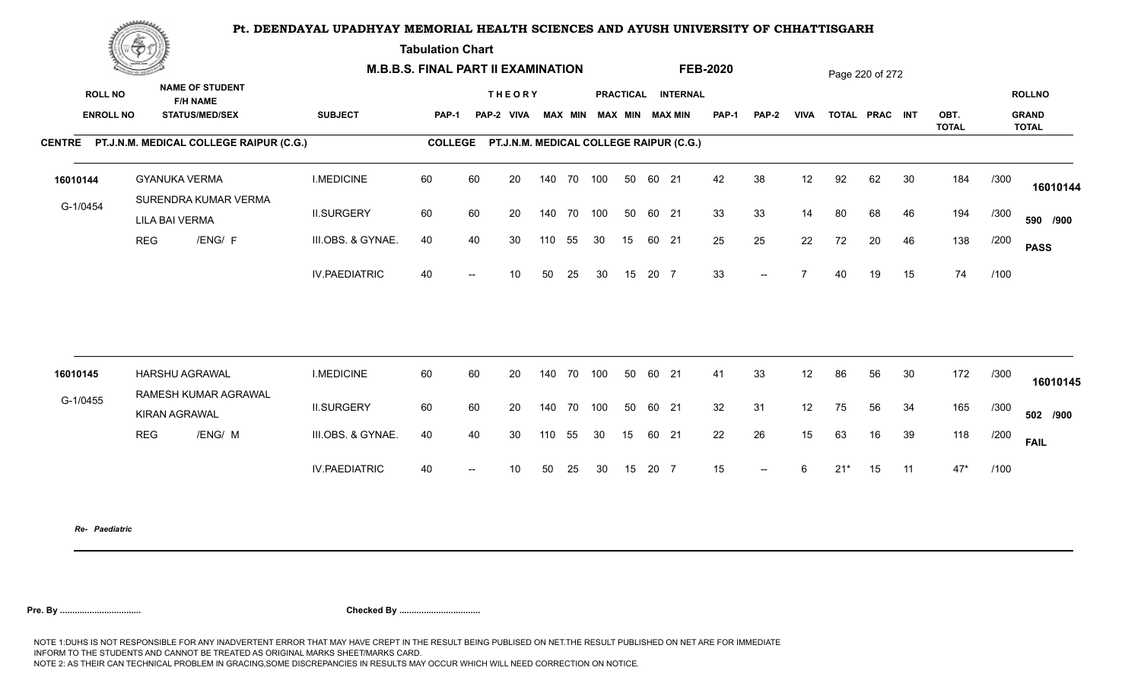**Tabulation Chart** 

|                  | <b>Contractor of the Contract Of Development Contractor</b> |                                                |                      | <b>M.B.B.S. FINAL PART II EXAMINATION</b> |    |                                                 |     |                |    |    |       |                        | <b>FEB-2020</b> |                          |                  |       | Page 220 of 272 |    |                      |      |                              |
|------------------|-------------------------------------------------------------|------------------------------------------------|----------------------|-------------------------------------------|----|-------------------------------------------------|-----|----------------|----|----|-------|------------------------|-----------------|--------------------------|------------------|-------|-----------------|----|----------------------|------|------------------------------|
| <b>ROLL NO</b>   |                                                             | <b>NAME OF STUDENT</b><br><b>F/H NAME</b>      |                      |                                           |    | <b>THEORY</b>                                   |     |                |    |    |       | PRACTICAL INTERNAL     |                 |                          |                  |       |                 |    |                      |      | <b>ROLLNO</b>                |
| <b>ENROLL NO</b> |                                                             | <b>STATUS/MED/SEX</b>                          | <b>SUBJECT</b>       | PAP-1                                     |    | PAP-2 VIVA                                      |     | <b>MAX MIN</b> |    |    |       | <b>MAX MIN MAX MIN</b> | <b>PAP-1</b>    | PAP-2                    | <b>VIVA</b>      |       | TOTAL PRAC INT  |    | OBT.<br><b>TOTAL</b> |      | <b>GRAND</b><br><b>TOTAL</b> |
|                  |                                                             | CENTRE PT.J.N.M. MEDICAL COLLEGE RAIPUR (C.G.) |                      |                                           |    | COLLEGE PT.J.N.M. MEDICAL COLLEGE RAIPUR (C.G.) |     |                |    |    |       |                        |                 |                          |                  |       |                 |    |                      |      |                              |
| 16010144         |                                                             | <b>GYANUKA VERMA</b>                           | <b>I.MEDICINE</b>    | 60                                        | 60 | 20                                              | 140 | 70 100         |    | 50 | 60 21 |                        | 42              | 38                       | 12               | 92    | 62              | 30 | 184                  | /300 | 16010144                     |
| G-1/0454         |                                                             | SURENDRA KUMAR VERMA<br><b>LILA BAI VERMA</b>  | <b>II.SURGERY</b>    | 60                                        | 60 | 20                                              |     | 140 70 100     |    | 50 | 60 21 |                        | 33              | 33                       | 14               | 80    | 68              | 46 | 194                  | /300 | 590 /900                     |
|                  | <b>REG</b>                                                  | /ENG/ F                                        | III.OBS. & GYNAE.    | 40                                        | 40 | 30                                              | 110 | 55             | 30 | 15 | 60 21 |                        | 25              | 25                       | 22               | 72    | 20              | 46 | 138                  | /200 | <b>PASS</b>                  |
|                  |                                                             |                                                | <b>IV.PAEDIATRIC</b> | 40                                        |    | 10                                              | 50  | 25             | 30 | 15 | 20 7  |                        | 33              | $\qquad \qquad -$        | 7                | 40    | 19              | 15 | 74                   | /100 |                              |
| 16010145         |                                                             | HARSHU AGRAWAL                                 | <b>I.MEDICINE</b>    | 60                                        | 60 | 20                                              | 140 | 70 100         |    | 50 | 60 21 |                        | 41              | 33                       | 12               | 86    | 56              | 30 | 172                  | /300 |                              |
|                  |                                                             | RAMESH KUMAR AGRAWAL                           |                      |                                           |    |                                                 |     |                |    |    |       |                        |                 |                          |                  |       |                 |    |                      |      | 16010145                     |
| G-1/0455         |                                                             | <b>KIRAN AGRAWAL</b>                           | <b>II.SURGERY</b>    | 60                                        | 60 | 20                                              | 140 | 70 100         |    | 50 | 60 21 |                        | 32              | 31                       | 12               | 75    | 56              | 34 | 165                  | /300 | 502 /900                     |
|                  | <b>REG</b>                                                  | /ENG/ M                                        | III.OBS. & GYNAE.    | 40                                        | 40 | 30                                              | 110 | 55             | 30 | 15 | 60 21 |                        | 22              | 26                       | 15 <sub>15</sub> | 63    | 16              | 39 | 118                  | /200 | <b>FAIL</b>                  |
|                  |                                                             |                                                | <b>IV.PAEDIATRIC</b> | 40                                        |    | 10                                              | 50  | 25             | 30 | 15 | 20 7  |                        | 15              | $\overline{\phantom{a}}$ | 6                | $21*$ | 15              | 11 | $47*$                | /100 |                              |
|                  |                                                             |                                                |                      |                                           |    |                                                 |     |                |    |    |       |                        |                 |                          |                  |       |                 |    |                      |      |                              |

*Re- Paediatric*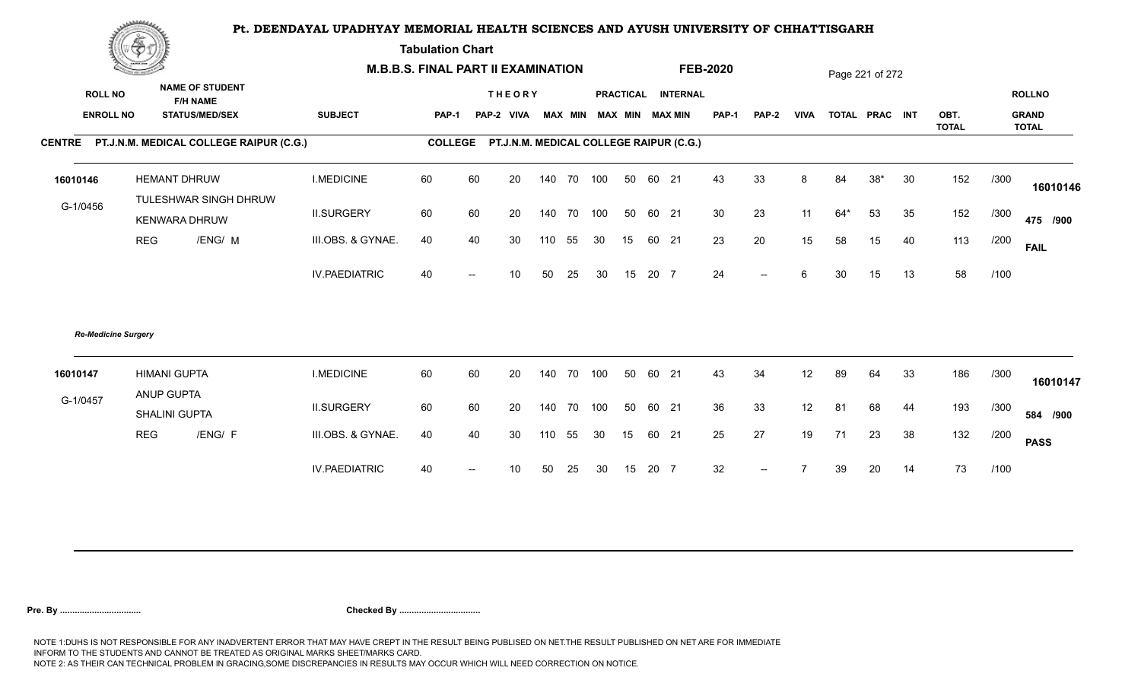**Tabulation Chart** 

|                                    | <b>Construction of the Construction</b> |                                                                    | <b>M.B.B.S. FINAL PART II EXAMINATION</b> |                |    |                                         |        |        |                         |    |       |                    | <b>FEB-2020</b> |              |             |       | Page 221 of 272 |    |              |      |                               |
|------------------------------------|-----------------------------------------|--------------------------------------------------------------------|-------------------------------------------|----------------|----|-----------------------------------------|--------|--------|-------------------------|----|-------|--------------------|-----------------|--------------|-------------|-------|-----------------|----|--------------|------|-------------------------------|
| <b>ROLL NO</b><br><b>ENROLL NO</b> |                                         | <b>NAME OF STUDENT</b><br><b>F/H NAME</b><br><b>STATUS/MED/SEX</b> | <b>SUBJECT</b>                            | <b>PAP-1</b>   |    | <b>THEORY</b><br>PAP-2 VIVA             |        |        | MAX MIN MAX MIN MAX MIN |    |       | PRACTICAL INTERNAL | <b>PAP-1</b>    | <b>PAP-2</b> | <b>VIVA</b> |       | TOTAL PRAC INT  |    | OBT.         |      | <b>ROLLNO</b><br><b>GRAND</b> |
|                                    |                                         | CENTRE PT.J.N.M. MEDICAL COLLEGE RAIPUR (C.G.)                     |                                           | <b>COLLEGE</b> |    | PT.J.N.M. MEDICAL COLLEGE RAIPUR (C.G.) |        |        |                         |    |       |                    |                 |              |             |       |                 |    | <b>TOTAL</b> |      | <b>TOTAL</b>                  |
|                                    |                                         |                                                                    |                                           |                |    |                                         |        |        |                         |    |       |                    |                 |              |             |       |                 |    |              |      |                               |
| 16010146                           |                                         | <b>HEMANT DHRUW</b>                                                | <b>I.MEDICINE</b>                         | 60             | 60 | 20                                      | 140    | 70 100 |                         | 50 | 60 21 |                    | 43              | 33           | 8           | 84    | $38*$           | 30 | 152          | /300 | 16010146                      |
| G-1/0456                           |                                         | TULESHWAR SINGH DHRUW<br><b>KENWARA DHRUW</b>                      | <b>II.SURGERY</b>                         | 60             | 60 | 20                                      | 140    | 70 100 |                         | 50 | 60 21 |                    | 30              | 23           | 11          | $64*$ | 53              | 35 | 152          | /300 | 475 /900                      |
|                                    | <b>REG</b>                              | /ENG/ M                                                            | III.OBS. & GYNAE.                         | 40             | 40 | 30                                      | 110    | 55     | 30                      | 15 | 60 21 |                    | 23              | 20           | 15          | 58    | 15              | 40 | 113          | /200 | <b>FAIL</b>                   |
|                                    |                                         |                                                                    | <b>IV.PAEDIATRIC</b>                      | 40             |    | 10 <sup>°</sup>                         | 50     | 25     | 30                      | 15 | 20 7  |                    | 24              | $-$          | 6           | 30    | 15              | 13 | 58           | /100 |                               |
| <b>Re-Medicine Surgery</b>         |                                         |                                                                    |                                           |                |    |                                         |        |        |                         |    |       |                    |                 |              |             |       |                 |    |              |      |                               |
| 16010147                           | <b>HIMANI GUPTA</b><br>ANUP GUPTA       |                                                                    | <b>I.MEDICINE</b>                         | 60             | 60 | 20                                      | 140    | 70 100 |                         | 50 | 60 21 |                    | 43              | 34           | 12          | 89    | 64              | 33 | 186          | /300 | 16010147                      |
| G-1/0457                           |                                         | SHALINI GUPTA                                                      | <b>II.SURGERY</b>                         | 60             | 60 | 20                                      | 140    | 70 100 |                         | 50 | 60 21 |                    | 36              | 33           | 12          | 81    | 68              | 44 | 193          | /300 | 584 /900                      |
|                                    | <b>REG</b>                              | /ENG/ F                                                            | III.OBS. & GYNAE.                         | 40             | 40 | 30                                      | 110 55 |        | 30                      | 15 | 60 21 |                    | 25              | 27           | 19          | 71    | 23              | 38 | 132          | /200 | <b>PASS</b>                   |
|                                    |                                         |                                                                    | <b>IV.PAEDIATRIC</b>                      | 40             |    | 10                                      | 50     | 25     | 30                      | 15 | 20 7  |                    | 32              | $--$         |             | 39    | 20              | 14 | 73           | /100 |                               |
|                                    |                                         |                                                                    |                                           |                |    |                                         |        |        |                         |    |       |                    |                 |              |             |       |                 |    |              |      |                               |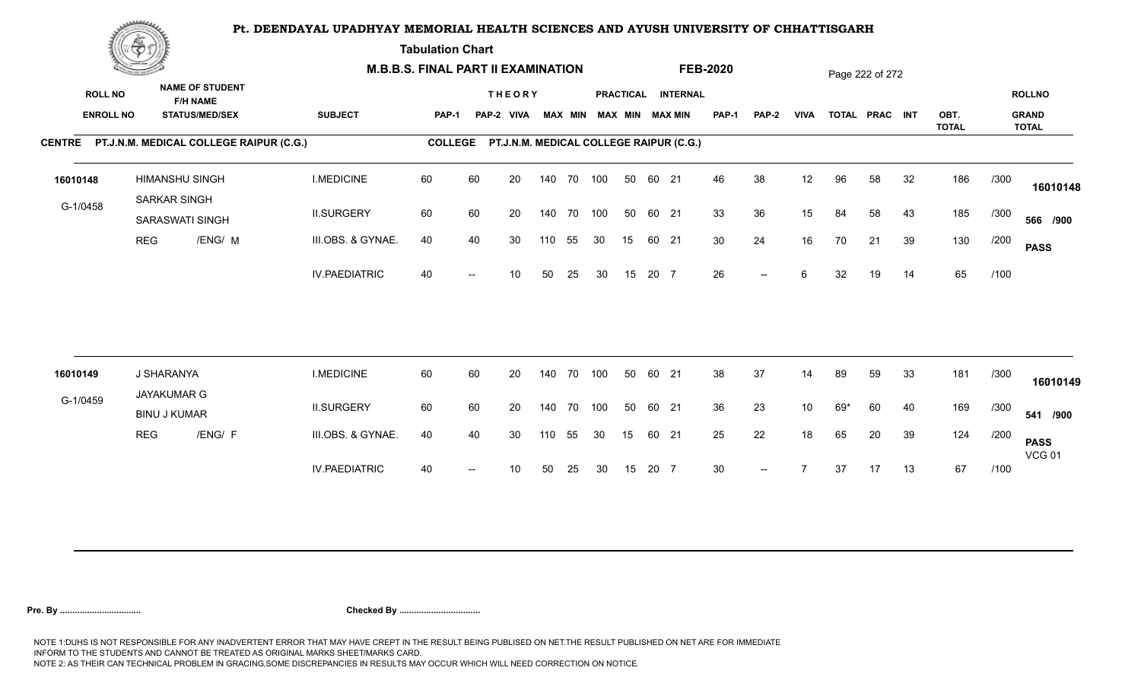**Tabulation Chart** 

|                                    | <b>Construction of the Construction</b> |                                       |                                                                    | <b>M.B.B.S. FINAL PART II EXAMINATION</b> |                |    |                                         |     |                |            |    |       |                                              | <b>FEB-2020</b> |                          |                 |       | Page 222 of 272 |    |              |      |                               |
|------------------------------------|-----------------------------------------|---------------------------------------|--------------------------------------------------------------------|-------------------------------------------|----------------|----|-----------------------------------------|-----|----------------|------------|----|-------|----------------------------------------------|-----------------|--------------------------|-----------------|-------|-----------------|----|--------------|------|-------------------------------|
| <b>ROLL NO</b><br><b>ENROLL NO</b> |                                         |                                       | <b>NAME OF STUDENT</b><br><b>F/H NAME</b><br><b>STATUS/MED/SEX</b> | <b>SUBJECT</b>                            | PAP-1          |    | <b>THEORY</b><br>PAP-2 VIVA             |     | <b>MAX MIN</b> |            |    |       | PRACTICAL INTERNAL<br><b>MAX MIN MAX MIN</b> | <b>PAP-1</b>    | PAP-2                    | <b>VIVA</b>     |       | TOTAL PRAC INT  |    | OBT.         |      | <b>ROLLNO</b><br><b>GRAND</b> |
|                                    |                                         |                                       | CENTRE PT.J.N.M. MEDICAL COLLEGE RAIPUR (C.G.)                     |                                           | <b>COLLEGE</b> |    | PT.J.N.M. MEDICAL COLLEGE RAIPUR (C.G.) |     |                |            |    |       |                                              |                 |                          |                 |       |                 |    | <b>TOTAL</b> |      | <b>TOTAL</b>                  |
| 16010148                           |                                         | <b>HIMANSHU SINGH</b><br>SARKAR SINGH |                                                                    | <b>I.MEDICINE</b>                         | 60             | 60 | 20                                      |     |                | 140 70 100 | 50 | 60 21 |                                              | 46              | 38                       | 12              | 96    | 58              | 32 | 186          | /300 | 16010148                      |
| G-1/0458                           |                                         | <b>SARASWATI SINGH</b>                |                                                                    | <b>II.SURGERY</b>                         | 60             | 60 | 20                                      |     | 140 70         | 100        | 50 | 60 21 |                                              | 33              | 36                       | 15              | 84    | 58              | 43 | 185          | /300 | 566 /900                      |
|                                    | <b>REG</b>                              |                                       | /ENG/ M                                                            | III.OBS. & GYNAE.                         | 40             | 40 | 30                                      | 110 | 55             | 30         | 15 | 60 21 |                                              | 30              | 24                       | 16              | 70    | 21              | 39 | 130          | /200 | <b>PASS</b>                   |
|                                    |                                         |                                       |                                                                    | <b>IV.PAEDIATRIC</b>                      | 40             |    | 10 <sup>°</sup>                         | 50  | 25             | 30         | 15 | 20 7  |                                              | 26              | $\overline{\phantom{a}}$ | 6               | 32    | 19              | 14 | 65           | /100 |                               |
|                                    |                                         |                                       |                                                                    |                                           |                |    |                                         |     |                |            |    |       |                                              |                 |                          |                 |       |                 |    |              |      |                               |
| 16010149                           |                                         | J SHARANYA<br><b>JAYAKUMAR G</b>      |                                                                    | <b>I.MEDICINE</b>                         | 60             | 60 | 20                                      |     | 140 70         | 100        | 50 | 60 21 |                                              | 38              | 37                       | 14              | 89    | 59              | 33 | 181          | /300 | 16010149                      |
| G-1/0459                           |                                         | <b>BINU J KUMAR</b>                   |                                                                    | <b>II.SURGERY</b>                         | 60             | 60 | 20                                      |     |                | 140 70 100 | 50 | 60 21 |                                              | 36              | 23                       | 10 <sup>°</sup> | $69*$ | 60              | 40 | 169          | /300 | 541 /900                      |
|                                    | <b>REG</b>                              |                                       | /ENG/ F                                                            | III.OBS. & GYNAE.                         | 40             | 40 | 30                                      | 110 | 55             | 30         | 15 | 60 21 |                                              | 25              | 22                       | 18              | 65    | 20              | 39 | 124          | /200 | <b>PASS</b><br><b>VCG 01</b>  |
|                                    |                                         |                                       |                                                                    | <b>IV.PAEDIATRIC</b>                      | 40             |    | 10                                      | 50  | 25             | 30         | 15 | 20 7  |                                              | 30 <sup>°</sup> | $\overline{\phantom{a}}$ |                 | 37    | 17              | 13 | 67           | /100 |                               |
|                                    |                                         |                                       |                                                                    |                                           |                |    |                                         |     |                |            |    |       |                                              |                 |                          |                 |       |                 |    |              |      |                               |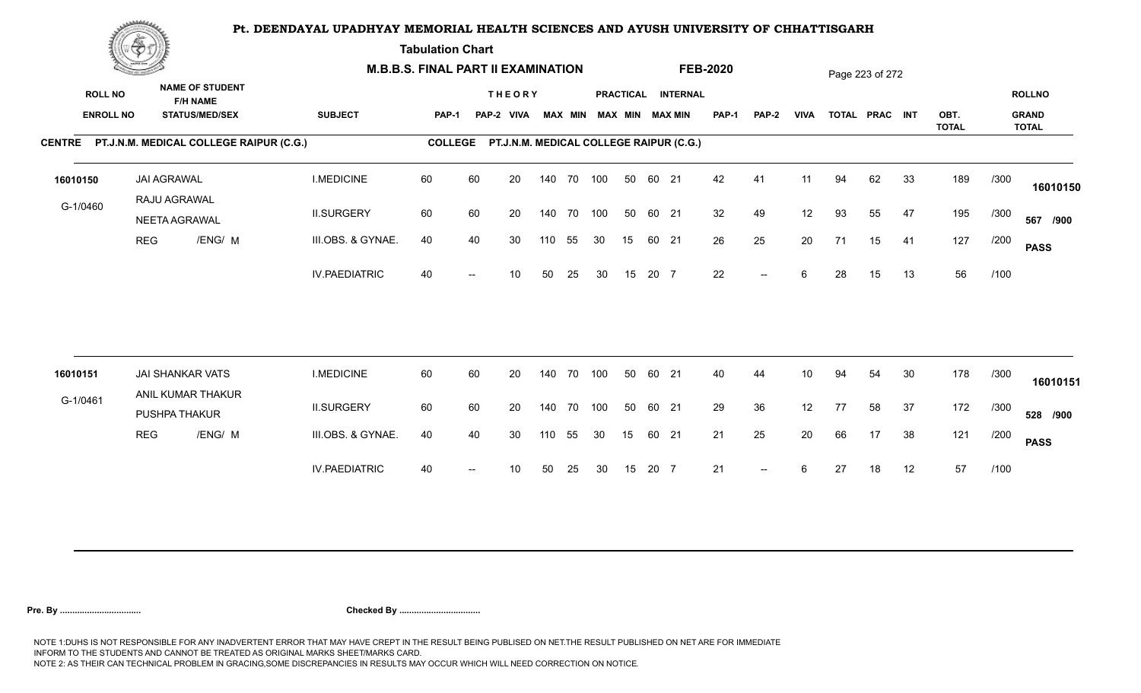**Tabulation Chart** 

|                                    | <b>Construction of the Construction</b> |                                                                    | <b>M.B.B.S. FINAL PART II EXAMINATION</b> |                |    |                                         |     |                |            |    |       |                                       | <b>FEB-2020</b> |                          |                 |    | Page 223 of 272 |    |                      |      |                                               |
|------------------------------------|-----------------------------------------|--------------------------------------------------------------------|-------------------------------------------|----------------|----|-----------------------------------------|-----|----------------|------------|----|-------|---------------------------------------|-----------------|--------------------------|-----------------|----|-----------------|----|----------------------|------|-----------------------------------------------|
| <b>ROLL NO</b><br><b>ENROLL NO</b> |                                         | <b>NAME OF STUDENT</b><br><b>F/H NAME</b><br><b>STATUS/MED/SEX</b> | <b>SUBJECT</b>                            | <b>PAP-1</b>   |    | <b>THEORY</b><br>PAP-2 VIVA             |     | <b>MAX MIN</b> |            |    |       | PRACTICAL INTERNAL<br>MAX MIN MAX MIN | PAP-1           | <b>PAP-2</b>             | <b>VIVA</b>     |    | TOTAL PRAC INT  |    | OBT.<br><b>TOTAL</b> |      | <b>ROLLNO</b><br><b>GRAND</b><br><b>TOTAL</b> |
|                                    |                                         | CENTRE PT.J.N.M. MEDICAL COLLEGE RAIPUR (C.G.)                     |                                           | <b>COLLEGE</b> |    | PT.J.N.M. MEDICAL COLLEGE RAIPUR (C.G.) |     |                |            |    |       |                                       |                 |                          |                 |    |                 |    |                      |      |                                               |
| 16010150                           |                                         | <b>JAI AGRAWAL</b><br>RAJU AGRAWAL                                 | <b>I.MEDICINE</b>                         | 60             | 60 | 20                                      |     |                | 140 70 100 | 50 | 60 21 |                                       | 42              | 41                       | 11              | 94 | 62              | 33 | 189                  | /300 | 16010150                                      |
| G-1/0460                           |                                         | NEETA AGRAWAL                                                      | <b>II.SURGERY</b>                         | 60             | 60 | 20                                      |     |                | 140 70 100 | 50 | 60 21 |                                       | 32              | 49                       | 12              | 93 | 55              | 47 | 195                  | /300 | 567 /900                                      |
|                                    | <b>REG</b>                              | /ENG/ M                                                            | III.OBS. & GYNAE.                         | 40             | 40 | 30                                      | 110 | 55             | 30         | 15 | 60 21 |                                       | 26              | 25                       | 20              | 71 | 15              | 41 | 127                  | /200 | <b>PASS</b>                                   |
|                                    |                                         |                                                                    | <b>IV.PAEDIATRIC</b>                      | 40             |    | 10                                      | 50  | 25             | 30         | 15 | 20 7  |                                       | 22              | $\overline{\phantom{a}}$ | 6               | 28 | 15              | 13 | 56                   | /100 |                                               |
| 16010151                           |                                         | <b>JAI SHANKAR VATS</b>                                            | <b>I.MEDICINE</b>                         | 60             | 60 | 20                                      |     | 140 70         | 100        | 50 | 60 21 |                                       | 40              | 44                       | 10 <sup>°</sup> | 94 | 54              | 30 | 178                  | /300 |                                               |
| G-1/0461                           |                                         | ANIL KUMAR THAKUR                                                  |                                           |                |    |                                         |     |                |            |    |       |                                       |                 |                          |                 |    |                 |    |                      |      | 16010151                                      |
|                                    |                                         | PUSHPA THAKUR                                                      | <b>II.SURGERY</b>                         | 60             | 60 | 20                                      |     |                | 140 70 100 | 50 | 60 21 |                                       | 29              | 36                       | 12              | 77 | 58              | 37 | 172                  | /300 | 528 /900                                      |
|                                    | <b>REG</b>                              | /ENG/ M                                                            | III.OBS. & GYNAE.                         | 40             | 40 | 30                                      | 110 | 55             | 30         | 15 | 60 21 |                                       | 21              | 25                       | 20              | 66 | 17              | 38 | 121                  | /200 | <b>PASS</b>                                   |
|                                    |                                         |                                                                    | <b>IV.PAEDIATRIC</b>                      | 40             |    | 10                                      | 50  | 25             | 30         | 15 | 20 7  |                                       | 21              | $\overline{\phantom{a}}$ | 6               | 27 | 18              | 12 | 57                   | /100 |                                               |
|                                    |                                         |                                                                    |                                           |                |    |                                         |     |                |            |    |       |                                       |                 |                          |                 |    |                 |    |                      |      |                                               |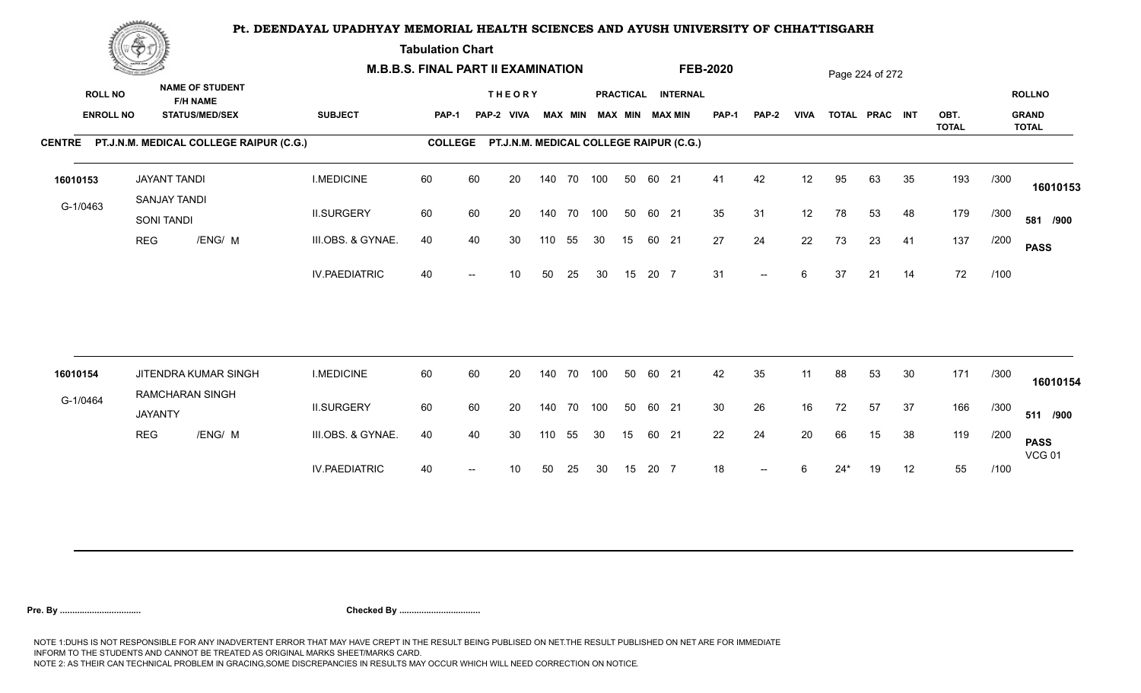**Tabulation Chart** 

|                                    | <b>Construction of the Construction</b> |                                                                    | <b>M.B.B.S. FINAL PART II EXAMINATION</b> |                |    |                                         |     |                |            |    |       |                                       | <b>FEB-2020</b> |                          |             |       | Page 224 of 272 |    |                      |      |                                               |
|------------------------------------|-----------------------------------------|--------------------------------------------------------------------|-------------------------------------------|----------------|----|-----------------------------------------|-----|----------------|------------|----|-------|---------------------------------------|-----------------|--------------------------|-------------|-------|-----------------|----|----------------------|------|-----------------------------------------------|
| <b>ROLL NO</b><br><b>ENROLL NO</b> |                                         | <b>NAME OF STUDENT</b><br><b>F/H NAME</b><br><b>STATUS/MED/SEX</b> | <b>SUBJECT</b>                            | <b>PAP-1</b>   |    | <b>THEORY</b><br>PAP-2 VIVA             |     | <b>MAX MIN</b> |            |    |       | PRACTICAL INTERNAL<br>MAX MIN MAX MIN | <b>PAP-1</b>    | <b>PAP-2</b>             | <b>VIVA</b> |       | TOTAL PRAC INT  |    | OBT.<br><b>TOTAL</b> |      | <b>ROLLNO</b><br><b>GRAND</b><br><b>TOTAL</b> |
|                                    |                                         | CENTRE PT.J.N.M. MEDICAL COLLEGE RAIPUR (C.G.)                     |                                           | <b>COLLEGE</b> |    | PT.J.N.M. MEDICAL COLLEGE RAIPUR (C.G.) |     |                |            |    |       |                                       |                 |                          |             |       |                 |    |                      |      |                                               |
| 16010153                           |                                         | <b>JAYANT TANDI</b><br>SANJAY TANDI                                | <b>I.MEDICINE</b>                         | 60             | 60 | 20                                      |     |                | 140 70 100 | 50 | 60 21 |                                       | 41              | 42                       | 12          | 95    | 63              | 35 | 193                  | /300 | 16010153                                      |
| G-1/0463                           |                                         | SONI TANDI                                                         | <b>II.SURGERY</b>                         | 60             | 60 | 20                                      |     |                | 140 70 100 | 50 | 60 21 |                                       | 35              | 31                       | 12          | 78    | 53              | 48 | 179                  | /300 | 581 /900                                      |
|                                    | <b>REG</b>                              | /ENG/ M                                                            | III.OBS. & GYNAE.                         | 40             | 40 | 30                                      | 110 | 55             | 30         | 15 | 60 21 |                                       | 27              | 24                       | 22          | 73    | 23              | 41 | 137                  | /200 | <b>PASS</b>                                   |
|                                    |                                         |                                                                    | <b>IV.PAEDIATRIC</b>                      | 40             |    | 10                                      | 50  | 25             | 30         | 15 | 20 7  |                                       | 31              | $\overline{\phantom{a}}$ | 6           | 37    | 21              | 14 | 72                   | /100 |                                               |
| 16010154                           |                                         | JITENDRA KUMAR SINGH                                               | <b>I.MEDICINE</b>                         | 60             | 60 | 20                                      |     | 140 70         | 100        | 50 | 60 21 |                                       | 42              | 35                       | 11          | 88    | 53              | 30 | 171                  | /300 |                                               |
|                                    |                                         | <b>RAMCHARAN SINGH</b>                                             |                                           |                |    |                                         |     |                |            |    |       |                                       |                 |                          |             |       |                 |    |                      |      | 16010154                                      |
| G-1/0464                           | <b>JAYANTY</b>                          |                                                                    | <b>II.SURGERY</b>                         | 60             | 60 | 20                                      |     |                | 140 70 100 | 50 | 60 21 |                                       | 30              | 26                       | 16          | 72    | 57              | 37 | 166                  | /300 | 511 /900                                      |
|                                    | <b>REG</b>                              | /ENG/ M                                                            | III.OBS. & GYNAE.                         | 40             | 40 | 30                                      | 110 | 55             | 30         | 15 | 60 21 |                                       | 22              | 24                       | 20          | 66    | 15              | 38 | 119                  | /200 | <b>PASS</b><br><b>VCG 01</b>                  |
|                                    |                                         |                                                                    | <b>IV.PAEDIATRIC</b>                      | 40             |    | 10                                      | 50  | 25             | 30         | 15 | 20 7  |                                       | 18              | $-$                      |             | $24*$ | 19              | 12 | 55                   | /100 |                                               |
|                                    |                                         |                                                                    |                                           |                |    |                                         |     |                |            |    |       |                                       |                 |                          |             |       |                 |    |                      |      |                                               |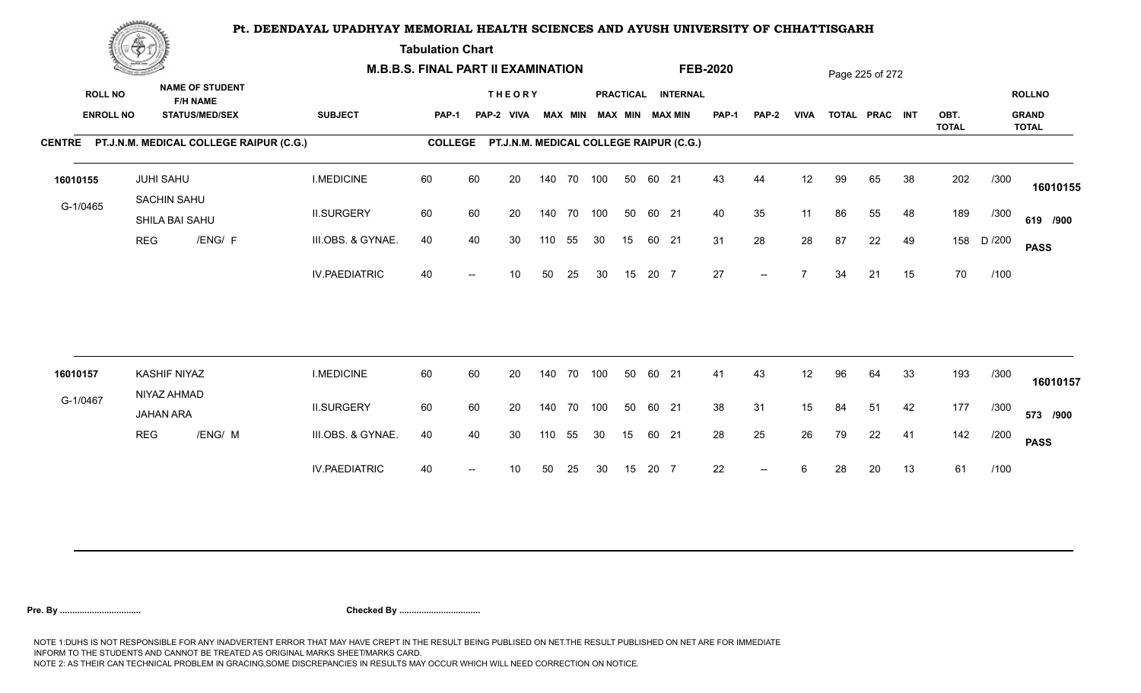**Tabulation Chart** 

|                                    | <b>Construction of the Construction</b> |                                                                    |                                                | <b>M.B.B.S. FINAL PART II EXAMINATION</b> |                |    |                                         |     |                |            |    |       |                                       | <b>FEB-2020</b> |                          |             |    | Page 225 of 272 |    |                      |        |                                               |
|------------------------------------|-----------------------------------------|--------------------------------------------------------------------|------------------------------------------------|-------------------------------------------|----------------|----|-----------------------------------------|-----|----------------|------------|----|-------|---------------------------------------|-----------------|--------------------------|-------------|----|-----------------|----|----------------------|--------|-----------------------------------------------|
| <b>ROLL NO</b><br><b>ENROLL NO</b> |                                         | <b>NAME OF STUDENT</b><br><b>F/H NAME</b><br><b>STATUS/MED/SEX</b> |                                                | <b>SUBJECT</b>                            | <b>PAP-1</b>   |    | <b>THEORY</b><br>PAP-2 VIVA             |     | <b>MAX MIN</b> |            |    |       | PRACTICAL INTERNAL<br>MAX MIN MAX MIN | PAP-1           | <b>PAP-2</b>             | <b>VIVA</b> |    | TOTAL PRAC INT  |    | OBT.<br><b>TOTAL</b> |        | <b>ROLLNO</b><br><b>GRAND</b><br><b>TOTAL</b> |
|                                    |                                         |                                                                    | CENTRE PT.J.N.M. MEDICAL COLLEGE RAIPUR (C.G.) |                                           | <b>COLLEGE</b> |    | PT.J.N.M. MEDICAL COLLEGE RAIPUR (C.G.) |     |                |            |    |       |                                       |                 |                          |             |    |                 |    |                      |        |                                               |
| 16010155                           |                                         | <b>JUHI SAHU</b>                                                   |                                                | <b>I.MEDICINE</b>                         | 60             | 60 | 20                                      |     |                | 140 70 100 | 50 | 60 21 |                                       | 43              | 44                       | 12          | 99 | 65              | 38 | 202                  | /300   | 16010155                                      |
| G-1/0465                           |                                         | SACHIN SAHU<br>SHILA BAI SAHU                                      |                                                | <b>II.SURGERY</b>                         | 60             | 60 | 20                                      |     |                | 140 70 100 | 50 | 60 21 |                                       | 40              | 35                       | 11          | 86 | 55              | 48 | 189                  | /300   | 619 /900                                      |
|                                    | <b>REG</b>                              |                                                                    | /ENG/ F                                        | III.OBS. & GYNAE.                         | 40             | 40 | 30                                      | 110 | 55             | 30         | 15 | 60 21 |                                       | 31              | 28                       | 28          | 87 | 22              | 49 | 158                  | D /200 | <b>PASS</b>                                   |
|                                    |                                         |                                                                    |                                                | <b>IV.PAEDIATRIC</b>                      | 40             |    | 10                                      | 50  | 25             | 30         | 15 | 20 7  |                                       | 27              | $\overline{\phantom{a}}$ | 7           | 34 | 21              | 15 | 70                   | /100   |                                               |
|                                    |                                         |                                                                    |                                                |                                           |                |    |                                         |     |                |            |    |       |                                       |                 |                          |             |    |                 |    |                      |        |                                               |
| 16010157                           |                                         | <b>KASHIF NIYAZ</b><br>NIYAZ AHMAD                                 |                                                | <b>I.MEDICINE</b>                         | 60             | 60 | 20                                      |     | 140 70         | 100        | 50 | 60 21 |                                       | 41              | 43                       | 12          | 96 | 64              | 33 | 193                  | /300   | 16010157                                      |
| G-1/0467                           |                                         | <b>JAHAN ARA</b>                                                   |                                                | <b>II.SURGERY</b>                         | 60             | 60 | 20                                      |     |                | 140 70 100 | 50 | 60 21 |                                       | 38              | 31                       | 15          | 84 | 51              | 42 | 177                  | /300   | 573 /900                                      |
|                                    | REG                                     |                                                                    | /ENG/ M                                        | III.OBS. & GYNAE.                         | 40             | 40 | 30                                      | 110 | 55             | 30         | 15 | 60 21 |                                       | 28              | 25                       | 26          | 79 | 22              | 41 | 142                  | /200   | <b>PASS</b>                                   |
|                                    |                                         |                                                                    |                                                | <b>IV.PAEDIATRIC</b>                      | 40             |    | 10                                      | 50  | 25             | 30         | 15 | 20 7  |                                       | 22              | $--$                     | 6           | 28 | 20              | 13 | 61                   | /100   |                                               |
|                                    |                                         |                                                                    |                                                |                                           |                |    |                                         |     |                |            |    |       |                                       |                 |                          |             |    |                 |    |                      |        |                                               |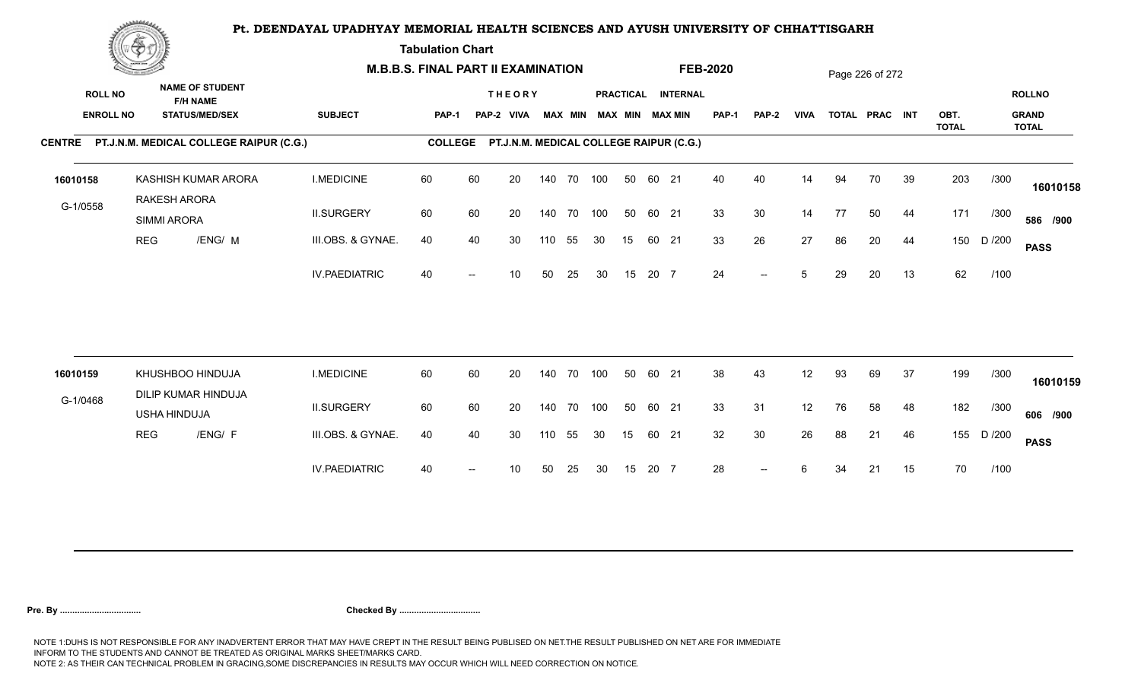**Tabulation Chart** 

|                                    | <b>Construction of the Construction</b> |                                                                    |                      | <b>M.B.B.S. FINAL PART II EXAMINATION</b> |    |                                         |     |                |            |    |       |                                              | <b>FEB-2020</b> |                          |             |    | Page 226 of 272 |    |                      |        |                                               |
|------------------------------------|-----------------------------------------|--------------------------------------------------------------------|----------------------|-------------------------------------------|----|-----------------------------------------|-----|----------------|------------|----|-------|----------------------------------------------|-----------------|--------------------------|-------------|----|-----------------|----|----------------------|--------|-----------------------------------------------|
| <b>ROLL NO</b><br><b>ENROLL NO</b> |                                         | <b>NAME OF STUDENT</b><br><b>F/H NAME</b><br><b>STATUS/MED/SEX</b> | <b>SUBJECT</b>       | PAP-1                                     |    | <b>THEORY</b><br>PAP-2 VIVA             |     | <b>MAX MIN</b> |            |    |       | PRACTICAL INTERNAL<br><b>MAX MIN MAX MIN</b> | <b>PAP-1</b>    | <b>PAP-2</b>             | <b>VIVA</b> |    | TOTAL PRAC INT  |    | OBT.<br><b>TOTAL</b> |        | <b>ROLLNO</b><br><b>GRAND</b><br><b>TOTAL</b> |
|                                    |                                         | CENTRE PT.J.N.M. MEDICAL COLLEGE RAIPUR (C.G.)                     |                      | <b>COLLEGE</b>                            |    | PT.J.N.M. MEDICAL COLLEGE RAIPUR (C.G.) |     |                |            |    |       |                                              |                 |                          |             |    |                 |    |                      |        |                                               |
| 16010158                           |                                         | KASHISH KUMAR ARORA<br>RAKESH ARORA                                | <b>I.MEDICINE</b>    | 60                                        | 60 | 20                                      |     |                | 140 70 100 | 50 | 60 21 |                                              | 40              | 40                       | 14          | 94 | 70              | 39 | 203                  | /300   | 16010158                                      |
| G-1/0558                           |                                         | <b>SIMMI ARORA</b>                                                 | <b>II.SURGERY</b>    | 60                                        | 60 | 20                                      |     | 140 70         | 100        | 50 | 60 21 |                                              | 33              | 30                       | 14          | 77 | 50              | 44 | 171                  | /300   | 586 /900                                      |
|                                    | <b>REG</b>                              | /ENG/ M                                                            | III.OBS. & GYNAE.    | 40                                        | 40 | 30                                      | 110 | 55             | 30         | 15 | 60 21 |                                              | 33              | 26                       | 27          | 86 | 20              | 44 | 150                  | D /200 | <b>PASS</b>                                   |
|                                    |                                         |                                                                    | <b>IV.PAEDIATRIC</b> | 40                                        |    | 10                                      | 50  | 25             | 30         | 15 | 20 7  |                                              | 24              | $-$                      | 5           | 29 | 20              | 13 | 62                   | /100   |                                               |
| 16010159                           |                                         | KHUSHBOO HINDUJA                                                   | <b>I.MEDICINE</b>    | 60                                        | 60 | 20                                      |     | 140 70         | 100        | 50 | 60 21 |                                              | 38              | 43                       | 12          | 93 | 69              | 37 | 199                  | /300   |                                               |
| G-1/0468                           |                                         | DILIP KUMAR HINDUJA                                                |                      |                                           |    |                                         |     |                |            |    |       |                                              |                 |                          |             |    |                 |    |                      |        | 16010159                                      |
|                                    |                                         | USHA HINDUJA                                                       | <b>II.SURGERY</b>    | 60                                        | 60 | 20                                      |     | 140 70         | 100        | 50 | 60 21 |                                              | 33              | 31                       | 12          | 76 | 58              | 48 | 182                  | /300   | 606 /900                                      |
|                                    | <b>REG</b>                              | /ENG/ F                                                            | III.OBS. & GYNAE.    | 40                                        | 40 | 30                                      | 110 | 55             | 30         | 15 | 60 21 |                                              | 32              | 30                       | 26          | 88 | 21              | 46 | 155                  | D /200 | <b>PASS</b>                                   |
|                                    |                                         |                                                                    | <b>IV.PAEDIATRIC</b> | 40                                        |    | 10                                      | 50  | 25             | 30         | 15 | 20 7  |                                              | 28              | $\overline{\phantom{a}}$ | 6           | 34 | 21              | 15 | 70                   | /100   |                                               |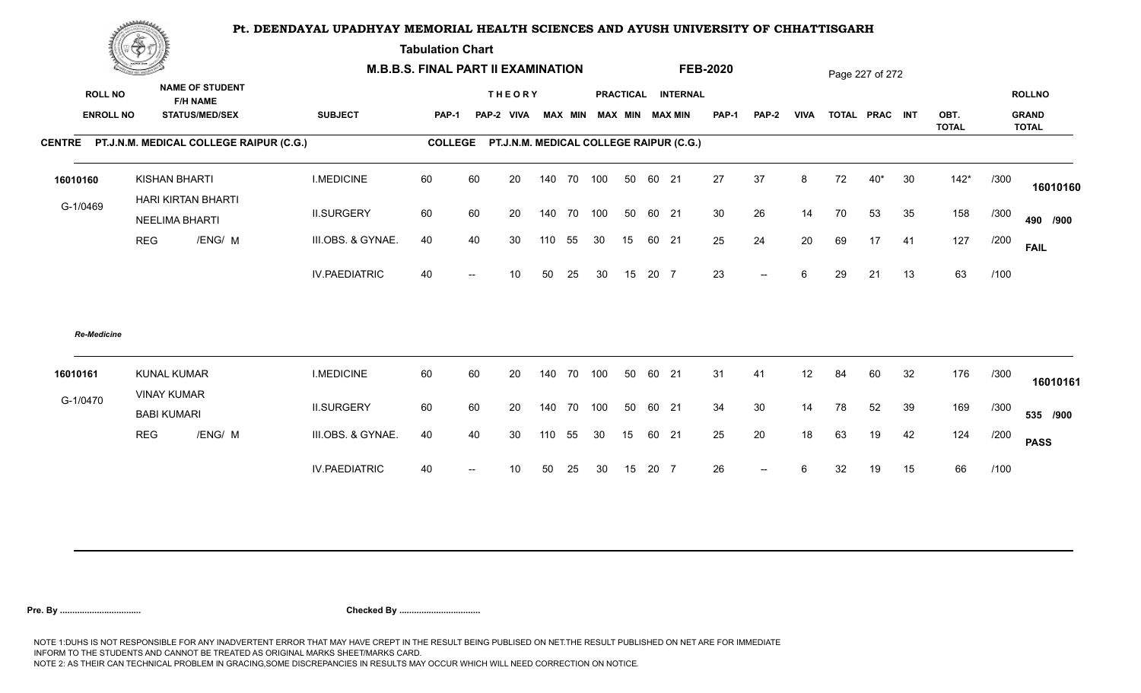**Tabulation Chart** 

|                                    | <b>Consumer de region de la</b>          |                                                                    | <b>M.B.B.S. FINAL PART II EXAMINATION</b> |              |    |                                                 |     |            |                         |    |       |                    | <b>FEB-2020</b> |                   |                 |    | Page 227 of 272 |    |              |      |                               |
|------------------------------------|------------------------------------------|--------------------------------------------------------------------|-------------------------------------------|--------------|----|-------------------------------------------------|-----|------------|-------------------------|----|-------|--------------------|-----------------|-------------------|-----------------|----|-----------------|----|--------------|------|-------------------------------|
| <b>ROLL NO</b><br><b>ENROLL NO</b> |                                          | <b>NAME OF STUDENT</b><br><b>F/H NAME</b><br><b>STATUS/MED/SEX</b> | <b>SUBJECT</b>                            | <b>PAP-1</b> |    | <b>THEORY</b><br>PAP-2 VIVA                     |     |            | MAX MIN MAX MIN MAX MIN |    |       | PRACTICAL INTERNAL | PAP-1           | PAP-2             | <b>VIVA</b>     |    | TOTAL PRAC INT  |    | OBT.         |      | <b>ROLLNO</b><br><b>GRAND</b> |
|                                    |                                          | CENTRE PT.J.N.M. MEDICAL COLLEGE RAIPUR (C.G.)                     |                                           |              |    | COLLEGE PT.J.N.M. MEDICAL COLLEGE RAIPUR (C.G.) |     |            |                         |    |       |                    |                 |                   |                 |    |                 |    | <b>TOTAL</b> |      | <b>TOTAL</b>                  |
|                                    |                                          |                                                                    |                                           |              |    |                                                 |     |            |                         |    |       |                    |                 |                   |                 |    |                 |    |              |      |                               |
| 16010160                           |                                          | <b>KISHAN BHARTI</b><br>HARI KIRTAN BHARTI                         | <b>I.MEDICINE</b>                         | 60           | 60 | 20                                              |     | 140 70 100 |                         | 50 | 60 21 |                    | 27              | 37                | 8               | 72 | $40*$           | 30 | $142*$       | /300 | 16010160                      |
| G-1/0469                           |                                          | <b>NEELIMA BHARTI</b>                                              | <b>II.SURGERY</b>                         | 60           | 60 | 20                                              |     | 140 70 100 |                         | 50 | 60 21 |                    | 30              | 26                | 14              | 70 | 53              | 35 | 158          | /300 | 490 /900                      |
|                                    | <b>REG</b>                               | /ENG/ M                                                            | III.OBS. & GYNAE.                         | 40           | 40 | 30                                              | 110 | 55         | 30                      | 15 | 60 21 |                    | 25              | 24                | 20              | 69 | 17              | 41 | 127          | /200 | <b>FAIL</b>                   |
|                                    |                                          |                                                                    | <b>IV.PAEDIATRIC</b>                      | 40           |    | 10 <sup>1</sup>                                 | 50  | 25         | 30                      | 15 | 20 7  |                    | 23              | $-$               | $6\phantom{.}6$ | 29 | 21              | 13 | 63           | /100 |                               |
| <b>Re-Medicine</b>                 |                                          |                                                                    |                                           |              |    |                                                 |     |            |                         |    |       |                    |                 |                   |                 |    |                 |    |              |      |                               |
| 16010161                           | <b>KUNAL KUMAR</b><br><b>VINAY KUMAR</b> |                                                                    | <b>I.MEDICINE</b>                         | 60           | 60 | 20                                              | 140 |            | 70 100                  | 50 | 60 21 |                    | 31              | 41                | 12              | 84 | 60              | 32 | 176          | /300 | 16010161                      |
| G-1/0470                           | <b>BABI KUMARI</b>                       |                                                                    | <b>II.SURGERY</b>                         | 60           | 60 | 20                                              | 140 |            | 70 100                  | 50 | 60 21 |                    | 34              | 30                | 14              | 78 | 52              | 39 | 169          | /300 | 535 /900                      |
|                                    | <b>REG</b>                               | /ENG/ M                                                            | III.OBS. & GYNAE.                         | 40           | 40 | 30                                              | 110 | 55         | 30                      | 15 | 60 21 |                    | 25              | 20                | 18              | 63 | 19              | 42 | 124          | /200 | <b>PASS</b>                   |
|                                    |                                          |                                                                    | <b>IV.PAEDIATRIC</b>                      | 40           |    | 10                                              | 50  | 25         | 30                      | 15 | 20 7  |                    | 26              | $\qquad \qquad -$ | 6               | 32 | 19              | 15 | 66           | /100 |                               |
|                                    |                                          |                                                                    |                                           |              |    |                                                 |     |            |                         |    |       |                    |                 |                   |                 |    |                 |    |              |      |                               |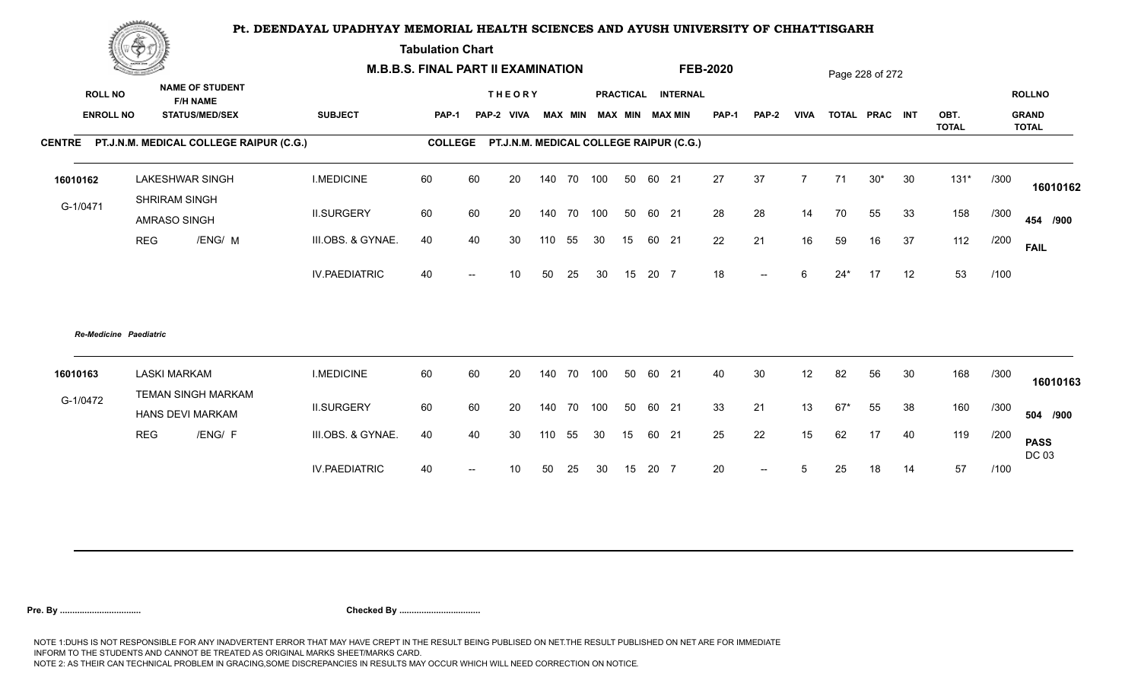**Tabulation Chart** 

|                                    | Change of the second of the |                                                                    | <b>M.B.B.S. FINAL PART II EXAMINATION</b> |                |        |                                         |        |    |                         |    |       |                    | <b>FEB-2020</b> |                          |                 |       | Page 228 of 272 |    |              |      |                               |
|------------------------------------|-----------------------------|--------------------------------------------------------------------|-------------------------------------------|----------------|--------|-----------------------------------------|--------|----|-------------------------|----|-------|--------------------|-----------------|--------------------------|-----------------|-------|-----------------|----|--------------|------|-------------------------------|
| <b>ROLL NO</b><br><b>ENROLL NO</b> |                             | <b>NAME OF STUDENT</b><br><b>F/H NAME</b><br><b>STATUS/MED/SEX</b> | <b>SUBJECT</b>                            | PAP-1          |        | <b>THEORY</b><br>PAP-2 VIVA             |        |    | MAX MIN MAX MIN MAX MIN |    |       | PRACTICAL INTERNAL | <b>PAP-1</b>    | PAP-2                    | <b>VIVA</b>     |       | TOTAL PRAC INT  |    | OBT.         |      | <b>ROLLNO</b><br><b>GRAND</b> |
|                                    |                             |                                                                    |                                           |                |        |                                         |        |    |                         |    |       |                    |                 |                          |                 |       |                 |    | <b>TOTAL</b> |      | <b>TOTAL</b>                  |
|                                    |                             | CENTRE PT.J.N.M. MEDICAL COLLEGE RAIPUR (C.G.)                     |                                           | <b>COLLEGE</b> |        | PT.J.N.M. MEDICAL COLLEGE RAIPUR (C.G.) |        |    |                         |    |       |                    |                 |                          |                 |       |                 |    |              |      |                               |
| 16010162                           |                             | <b>LAKESHWAR SINGH</b><br>SHRIRAM SINGH                            | <b>I.MEDICINE</b>                         | 60             | 60     | 20                                      |        |    | 140 70 100              | 50 | 60 21 |                    | 27              | 37                       | $\overline{7}$  | 71    | $30*$           | 30 | $131*$       | /300 | 16010162                      |
| G-1/0471                           |                             | AMRASO SINGH                                                       | <b>II.SURGERY</b>                         | 60             | 60     | 20                                      | 140    |    | 70 100                  | 50 | 60 21 |                    | 28              | 28                       | 14              | 70    | 55              | 33 | 158          | /300 | 454 /900                      |
|                                    | <b>REG</b>                  | /ENG/ M                                                            | III.OBS. & GYNAE.                         | 40             | 40     | 30                                      | 110    | 55 | 30                      | 15 | 60 21 |                    | 22              | 21                       | 16              | 59    | 16              | 37 | 112          | /200 | <b>FAIL</b>                   |
|                                    |                             |                                                                    | <b>IV.PAEDIATRIC</b>                      | 40             |        | 10 <sup>°</sup>                         | 50     | 25 | 30                      | 15 | 20 7  |                    | 18              | $\overline{\phantom{a}}$ | 6               | $24*$ | 17              | 12 | 53           | /100 |                               |
|                                    | Re-Medicine Paediatric      |                                                                    |                                           |                |        |                                         |        |    |                         |    |       |                    |                 |                          |                 |       |                 |    |              |      |                               |
| 16010163                           | <b>LASKI MARKAM</b>         | TEMAN SINGH MARKAM                                                 | <b>I.MEDICINE</b>                         | 60             | 60     | 20                                      | 140    |    | 70 100                  | 50 | 60 21 |                    | 40              | 30                       | 12              | 82    | 56              | 30 | 168          | /300 | 16010163                      |
| G-1/0472                           |                             | HANS DEVI MARKAM                                                   | <b>II.SURGERY</b>                         | 60             | 60     | 20                                      | 140    |    | 70 100                  | 50 | 60 21 |                    | 33              | 21                       | 13              | $67*$ | 55              | 38 | 160          | /300 | 504 /900                      |
|                                    | <b>REG</b>                  | /ENG/ F                                                            | III.OBS. & GYNAE.                         | 40             | 40     | 30                                      | 110 55 |    | 30                      | 15 | 60 21 |                    | 25              | 22                       | 15              | 62    | 17              | 40 | 119          | /200 | <b>PASS</b><br>DC 03          |
|                                    |                             |                                                                    | <b>IV.PAEDIATRIC</b>                      | 40             | $\sim$ | 10                                      | 50     | 25 | 30                      | 15 | 20 7  |                    | 20              | $\overline{\phantom{a}}$ | $5\phantom{.0}$ | 25    | 18              | 14 | 57           | /100 |                               |
|                                    |                             |                                                                    |                                           |                |        |                                         |        |    |                         |    |       |                    |                 |                          |                 |       |                 |    |              |      |                               |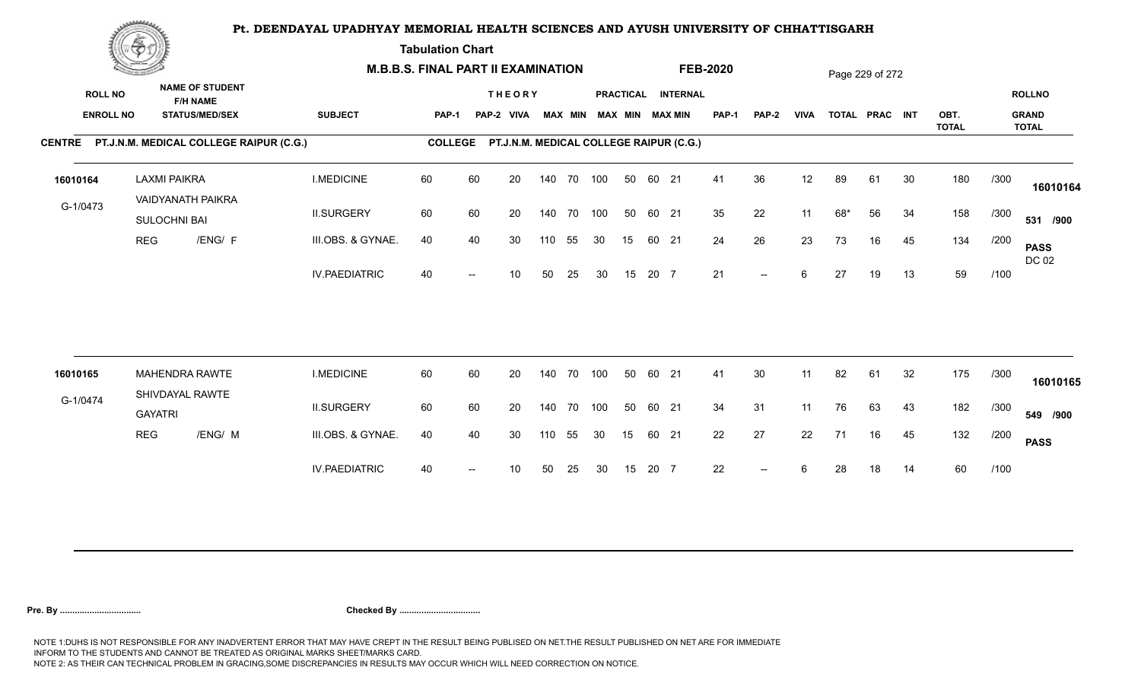**Tabulation Chart** 

|                                    | <b>Construction of the Construction</b> |                                                                    |                                                | <b>M.B.B.S. FINAL PART II EXAMINATION</b> |                |    |                                         |     |                |            |    |       |                                       | <b>FEB-2020</b> |              |             |     | Page 229 of 272 |    |                      |      |                                               |
|------------------------------------|-----------------------------------------|--------------------------------------------------------------------|------------------------------------------------|-------------------------------------------|----------------|----|-----------------------------------------|-----|----------------|------------|----|-------|---------------------------------------|-----------------|--------------|-------------|-----|-----------------|----|----------------------|------|-----------------------------------------------|
| <b>ROLL NO</b><br><b>ENROLL NO</b> |                                         | <b>NAME OF STUDENT</b><br><b>F/H NAME</b><br><b>STATUS/MED/SEX</b> |                                                | <b>SUBJECT</b>                            | <b>PAP-1</b>   |    | <b>THEORY</b><br>PAP-2 VIVA             |     | <b>MAX MIN</b> |            |    |       | PRACTICAL INTERNAL<br>MAX MIN MAX MIN | PAP-1           | <b>PAP-2</b> | <b>VIVA</b> |     | TOTAL PRAC INT  |    | OBT.<br><b>TOTAL</b> |      | <b>ROLLNO</b><br><b>GRAND</b><br><b>TOTAL</b> |
|                                    |                                         |                                                                    | CENTRE PT.J.N.M. MEDICAL COLLEGE RAIPUR (C.G.) |                                           | <b>COLLEGE</b> |    | PT.J.N.M. MEDICAL COLLEGE RAIPUR (C.G.) |     |                |            |    |       |                                       |                 |              |             |     |                 |    |                      |      |                                               |
| 16010164                           |                                         | <b>LAXMI PAIKRA</b><br><b>VAIDYANATH PAIKRA</b>                    |                                                | <b>I.MEDICINE</b>                         | 60             | 60 | 20                                      |     |                | 140 70 100 | 50 | 60 21 |                                       | 41              | 36           | 12          | 89  | 61              | 30 | 180                  | /300 | 16010164                                      |
| G-1/0473                           |                                         | SULOCHNI BAI                                                       |                                                | <b>II.SURGERY</b>                         | 60             | 60 | 20                                      |     |                | 140 70 100 | 50 | 60 21 |                                       | 35              | 22           | 11          | 68* | 56              | 34 | 158                  | /300 | 531 /900                                      |
|                                    | <b>REG</b>                              |                                                                    | /ENG/ F                                        | III.OBS. & GYNAE.                         | 40             | 40 | 30                                      | 110 | 55             | 30         | 15 | 60 21 |                                       | 24              | 26           | 23          | 73  | 16              | 45 | 134                  | /200 | <b>PASS</b><br>DC 02                          |
|                                    |                                         |                                                                    |                                                | <b>IV.PAEDIATRIC</b>                      | 40             |    | 10                                      | 50  | 25             | 30         | 15 | 20 7  |                                       | 21              | $--$         | 6           | 27  | 19              | 13 | 59                   | /100 |                                               |
|                                    |                                         |                                                                    |                                                |                                           |                |    |                                         |     |                |            |    |       |                                       |                 |              |             |     |                 |    |                      |      |                                               |
| 16010165                           |                                         | <b>MAHENDRA RAWTE</b><br>SHIVDAYAL RAWTE                           |                                                | <b>I.MEDICINE</b>                         | 60             | 60 | 20                                      |     |                | 140 70 100 | 50 | 60 21 |                                       | 41              | 30           | 11          | 82  | 61              | 32 | 175                  | /300 | 16010165                                      |
| G-1/0474                           |                                         | <b>GAYATRI</b>                                                     |                                                | <b>II.SURGERY</b>                         | 60             | 60 | 20                                      |     |                | 140 70 100 | 50 | 60 21 |                                       | 34              | 31           | 11          | 76  | 63              | 43 | 182                  | /300 | 549 /900                                      |
|                                    | <b>REG</b>                              |                                                                    | /ENG/ M                                        | III.OBS. & GYNAE.                         | 40             | 40 | 30                                      | 110 | 55             | 30         | 15 | 60 21 |                                       | 22              | 27           | 22          | 71  | 16              | 45 | 132                  | /200 | <b>PASS</b>                                   |
|                                    |                                         |                                                                    |                                                | <b>IV.PAEDIATRIC</b>                      | 40             |    | 10                                      | 50  | 25             | 30         | 15 | 20 7  |                                       | 22              | $-$          | 6           | 28  | 18              | 14 | 60                   | /100 |                                               |
|                                    |                                         |                                                                    |                                                |                                           |                |    |                                         |     |                |            |    |       |                                       |                 |              |             |     |                 |    |                      |      |                                               |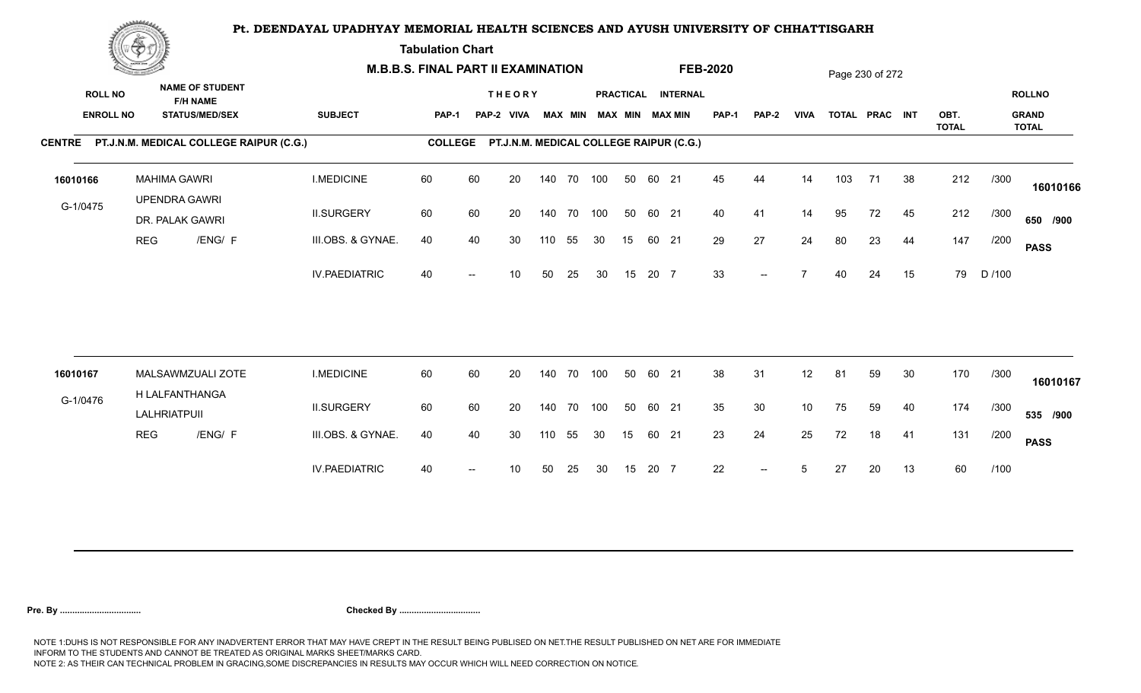**Tabulation Chart** 

|                                    | <b>Construction of the Construction</b> |                                             |                                                 | <b>M.B.B.S. FINAL PART II EXAMINATION</b> |                |    |                                         |     |                |     |                  |       |                                       | <b>FEB-2020</b> |                          |                 |     | Page 230 of 272 |    |                      |        |                                               |
|------------------------------------|-----------------------------------------|---------------------------------------------|-------------------------------------------------|-------------------------------------------|----------------|----|-----------------------------------------|-----|----------------|-----|------------------|-------|---------------------------------------|-----------------|--------------------------|-----------------|-----|-----------------|----|----------------------|--------|-----------------------------------------------|
| <b>ROLL NO</b><br><b>ENROLL NO</b> |                                         | <b>F/H NAME</b>                             | <b>NAME OF STUDENT</b><br><b>STATUS/MED/SEX</b> | <b>SUBJECT</b>                            | <b>PAP-1</b>   |    | <b>THEORY</b><br>PAP-2 VIVA             |     | <b>MAX MIN</b> |     |                  |       | PRACTICAL INTERNAL<br>MAX MIN MAX MIN | PAP-1           | <b>PAP-2</b>             | <b>VIVA</b>     |     | TOTAL PRAC INT  |    | OBT.<br><b>TOTAL</b> |        | <b>ROLLNO</b><br><b>GRAND</b><br><b>TOTAL</b> |
|                                    |                                         |                                             | CENTRE PT.J.N.M. MEDICAL COLLEGE RAIPUR (C.G.)  |                                           | <b>COLLEGE</b> |    | PT.J.N.M. MEDICAL COLLEGE RAIPUR (C.G.) |     |                |     |                  |       |                                       |                 |                          |                 |     |                 |    |                      |        |                                               |
| 16010166                           |                                         | <b>MAHIMA GAWRI</b><br><b>UPENDRA GAWRI</b> |                                                 | <b>I.MEDICINE</b>                         | 60             | 60 | 20                                      |     | 140 70 100     |     | 50               | 60 21 |                                       | 45              | 44                       | 14              | 103 | 71              | 38 | 212                  | /300   | 16010166                                      |
| G-1/0475                           |                                         | DR. PALAK GAWRI                             |                                                 | <b>II.SURGERY</b>                         | 60             | 60 | 20                                      |     | 140 70         | 100 | 50               | 60 21 |                                       | 40              | 41                       | 14              | 95  | 72              | 45 | 212                  | /300   | 650 /900                                      |
|                                    | <b>REG</b>                              |                                             | /ENG/ F                                         | III.OBS. & GYNAE.                         | 40             | 40 | 30                                      | 110 | 55             | 30  | 15               | 60 21 |                                       | 29              | 27                       | 24              | 80  | 23              | 44 | 147                  | /200   | <b>PASS</b>                                   |
|                                    |                                         |                                             |                                                 | <b>IV.PAEDIATRIC</b>                      | 40             |    | 10                                      | 50  | 25             | 30  | 15               | 20 7  |                                       | 33              | $--$                     | $\overline{7}$  | 40  | 24              | 15 | 79                   | D /100 |                                               |
| 16010167                           |                                         |                                             | MALSAWMZUALI ZOTE                               | <b>I.MEDICINE</b>                         | 60             | 60 | 20                                      |     | 140 70 100     |     | 50               | 60 21 |                                       | 38              | 31                       | 12              | 81  | 59              | 30 | 170                  | /300   |                                               |
| G-1/0476                           |                                         | H LALFANTHANGA                              |                                                 |                                           |                |    |                                         |     |                |     |                  |       |                                       |                 |                          |                 |     |                 |    |                      |        | 16010167                                      |
|                                    |                                         | LALHRIATPUII                                |                                                 | <b>II.SURGERY</b>                         | 60             | 60 | 20                                      |     | 140 70         | 100 | 50               | 60 21 |                                       | 35              | 30                       | 10 <sup>°</sup> | 75  | 59              | 40 | 174                  | /300   | 535 /900                                      |
|                                    | <b>REG</b>                              |                                             | /ENG/ F                                         | III.OBS. & GYNAE.                         | 40             | 40 | 30                                      | 110 | 55             | 30  | 15 <sup>15</sup> | 60 21 |                                       | 23              | 24                       | 25              | 72  | 18              | 41 | 131                  | /200   | <b>PASS</b>                                   |
|                                    |                                         |                                             |                                                 | <b>IV.PAEDIATRIC</b>                      | 40             |    | 10                                      | 50  | 25             | 30  | 15               | 20 7  |                                       | 22              | $\overline{\phantom{a}}$ | 5               | 27  | 20              | 13 | 60                   | /100   |                                               |
|                                    |                                         |                                             |                                                 |                                           |                |    |                                         |     |                |     |                  |       |                                       |                 |                          |                 |     |                 |    |                      |        |                                               |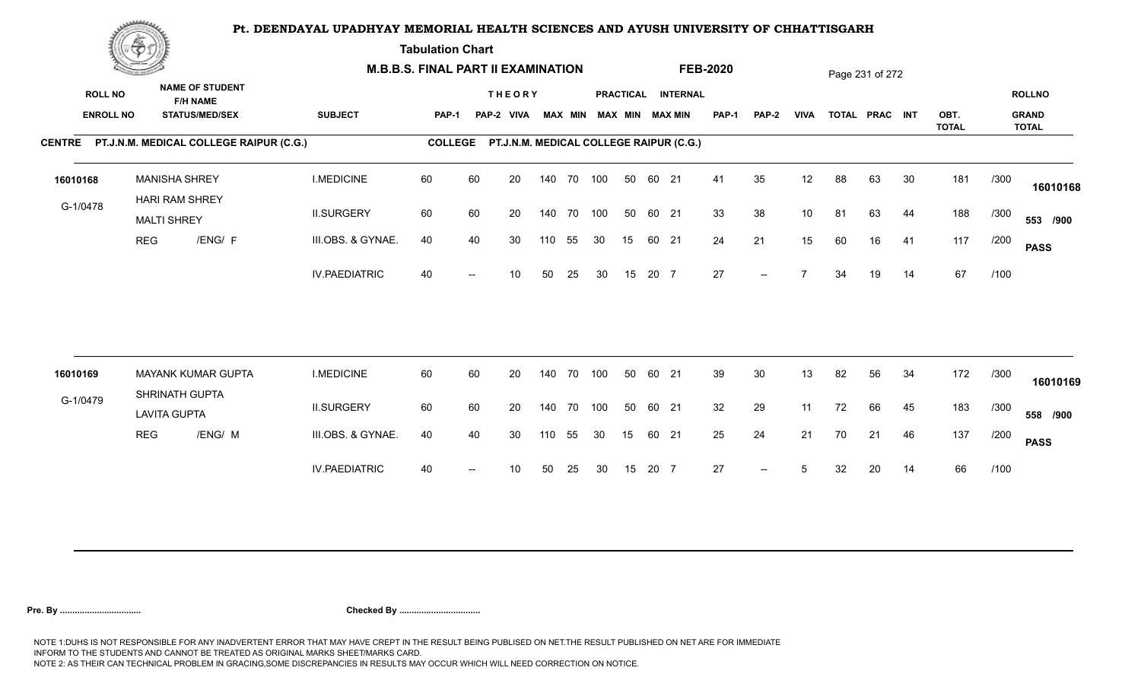**Tabulation Chart** 

|                                    | <u>Contact and the Contact of Delivery and the Contact of Delivery and the Contact of Delivery and the Contact of Delivery and the Contact of Delivery and the Contact of Delivery and the Contact of Delivery and The Contact o</u> |                                                                    | <b>M.B.B.S. FINAL PART II EXAMINATION</b> |       |                                                 |                             |     |                |     |    |       |                                              | <b>FEB-2020</b> |                          |                |    | Page 231 of 272 |    |              |      |                               |
|------------------------------------|--------------------------------------------------------------------------------------------------------------------------------------------------------------------------------------------------------------------------------------|--------------------------------------------------------------------|-------------------------------------------|-------|-------------------------------------------------|-----------------------------|-----|----------------|-----|----|-------|----------------------------------------------|-----------------|--------------------------|----------------|----|-----------------|----|--------------|------|-------------------------------|
| <b>ROLL NO</b><br><b>ENROLL NO</b> |                                                                                                                                                                                                                                      | <b>NAME OF STUDENT</b><br><b>F/H NAME</b><br><b>STATUS/MED/SEX</b> | <b>SUBJECT</b>                            | PAP-1 |                                                 | <b>THEORY</b><br>PAP-2 VIVA |     | <b>MAX MIN</b> |     |    |       | PRACTICAL INTERNAL<br><b>MAX MIN MAX MIN</b> | <b>PAP-1</b>    | <b>PAP-2</b>             | <b>VIVA</b>    |    | TOTAL PRAC INT  |    | OBT.         |      | <b>ROLLNO</b><br><b>GRAND</b> |
|                                    |                                                                                                                                                                                                                                      | CENTRE PT.J.N.M. MEDICAL COLLEGE RAIPUR (C.G.)                     |                                           |       | COLLEGE PT.J.N.M. MEDICAL COLLEGE RAIPUR (C.G.) |                             |     |                |     |    |       |                                              |                 |                          |                |    |                 |    | <b>TOTAL</b> |      | <b>TOTAL</b>                  |
|                                    |                                                                                                                                                                                                                                      |                                                                    |                                           |       |                                                 |                             |     |                |     |    |       |                                              |                 |                          |                |    |                 |    |              |      |                               |
| 16010168                           |                                                                                                                                                                                                                                      | <b>MANISHA SHREY</b><br><b>HARI RAM SHREY</b>                      | <b>I.MEDICINE</b>                         | 60    | 60                                              | 20                          |     | 140 70 100     |     | 50 | 60 21 |                                              | 41              | 35                       | 12             | 88 | 63              | 30 | 181          | /300 | 16010168                      |
| G-1/0478                           | <b>MALTI SHREY</b>                                                                                                                                                                                                                   |                                                                    | <b>II.SURGERY</b>                         | 60    | 60                                              | 20                          |     | 140 70 100     |     | 50 | 60 21 |                                              | 33              | 38                       | 10             | 81 | 63              | 44 | 188          | /300 | 553 /900                      |
|                                    | <b>REG</b>                                                                                                                                                                                                                           | /ENG/ F                                                            | III.OBS. & GYNAE.                         | 40    | 40                                              | 30                          | 110 | 55             | 30  | 15 | 60 21 |                                              | 24              | 21                       | 15             | 60 | 16              | 41 | 117          | /200 | <b>PASS</b>                   |
|                                    |                                                                                                                                                                                                                                      |                                                                    | <b>IV.PAEDIATRIC</b>                      | 40    |                                                 | 10 <sup>°</sup>             | 50  | 25             | 30  | 15 | 20 7  |                                              | 27              | $--$                     | $\overline{ }$ | 34 | 19              | 14 | 67           | /100 |                               |
|                                    |                                                                                                                                                                                                                                      |                                                                    |                                           |       |                                                 |                             |     |                |     |    |       |                                              |                 |                          |                |    |                 |    |              |      |                               |
| 16010169                           |                                                                                                                                                                                                                                      | <b>MAYANK KUMAR GUPTA</b>                                          | <b>I.MEDICINE</b>                         | 60    | 60                                              | 20                          |     | 140 70         | 100 | 50 | 60 21 |                                              | 39              | 30                       | 13             | 82 | 56              | 34 | 172          | /300 | 16010169                      |
| G-1/0479                           | <b>LAVITA GUPTA</b>                                                                                                                                                                                                                  | SHRINATH GUPTA                                                     | <b>II.SURGERY</b>                         | 60    | 60                                              | 20                          |     | 140 70         | 100 | 50 | 60 21 |                                              | 32              | 29                       | 11             | 72 | 66              | 45 | 183          | /300 | 558 /900                      |
|                                    | <b>REG</b>                                                                                                                                                                                                                           | /ENG/ M                                                            | III.OBS. & GYNAE.                         | 40    | 40                                              | 30                          | 110 | 55             | 30  | 15 | 60 21 |                                              | 25              | 24                       | 21             | 70 | 21              | 46 | 137          | /200 | <b>PASS</b>                   |
|                                    |                                                                                                                                                                                                                                      |                                                                    | <b>IV.PAEDIATRIC</b>                      | 40    |                                                 | 10                          | 50  | 25             | 30  | 15 | 20 7  |                                              | 27              | $\overline{\phantom{a}}$ | 5              | 32 | 20              | 14 | 66           | /100 |                               |
|                                    |                                                                                                                                                                                                                                      |                                                                    |                                           |       |                                                 |                             |     |                |     |    |       |                                              |                 |                          |                |    |                 |    |              |      |                               |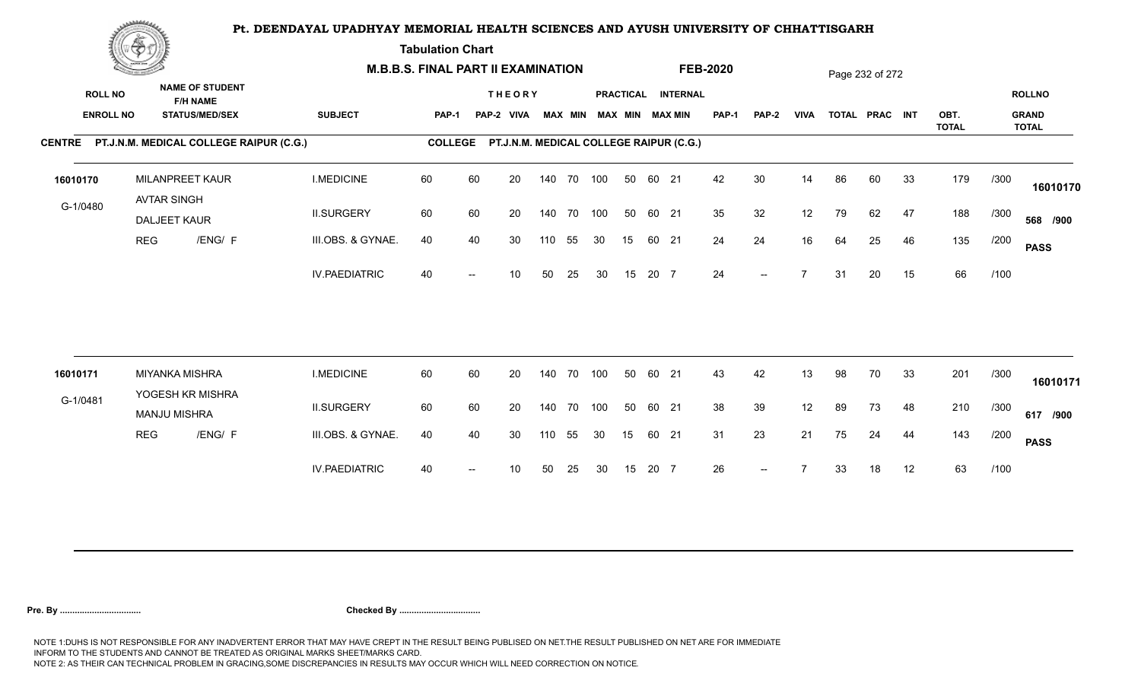**Tabulation Chart** 

|                                    | <b>Construction of the Construction</b> |                                                                    | <b>M.B.B.S. FINAL PART II EXAMINATION</b> |                |    |                                         |     |                |            |    |       |                                       | <b>FEB-2020</b> |                          |             |    | Page 232 of 272 |    |                      |      |                                               |
|------------------------------------|-----------------------------------------|--------------------------------------------------------------------|-------------------------------------------|----------------|----|-----------------------------------------|-----|----------------|------------|----|-------|---------------------------------------|-----------------|--------------------------|-------------|----|-----------------|----|----------------------|------|-----------------------------------------------|
| <b>ROLL NO</b><br><b>ENROLL NO</b> |                                         | <b>NAME OF STUDENT</b><br><b>F/H NAME</b><br><b>STATUS/MED/SEX</b> | <b>SUBJECT</b>                            | <b>PAP-1</b>   |    | <b>THEORY</b><br>PAP-2 VIVA             |     | <b>MAX MIN</b> |            |    |       | PRACTICAL INTERNAL<br>MAX MIN MAX MIN | PAP-1           | <b>PAP-2</b>             | <b>VIVA</b> |    | TOTAL PRAC INT  |    | OBT.<br><b>TOTAL</b> |      | <b>ROLLNO</b><br><b>GRAND</b><br><b>TOTAL</b> |
|                                    |                                         | CENTRE PT.J.N.M. MEDICAL COLLEGE RAIPUR (C.G.)                     |                                           | <b>COLLEGE</b> |    | PT.J.N.M. MEDICAL COLLEGE RAIPUR (C.G.) |     |                |            |    |       |                                       |                 |                          |             |    |                 |    |                      |      |                                               |
| 16010170                           |                                         | MILANPREET KAUR<br><b>AVTAR SINGH</b>                              | <b>I.MEDICINE</b>                         | 60             | 60 | 20                                      |     |                | 140 70 100 | 50 | 60 21 |                                       | 42              | 30                       | 14          | 86 | 60              | 33 | 179                  | /300 | 16010170                                      |
| G-1/0480                           |                                         | DALJEET KAUR                                                       | <b>II.SURGERY</b>                         | 60             | 60 | 20                                      |     |                | 140 70 100 | 50 | 60 21 |                                       | 35              | 32                       | 12          | 79 | 62              | 47 | 188                  | /300 | 568 /900                                      |
|                                    | <b>REG</b>                              | /ENG/ F                                                            | III.OBS. & GYNAE.                         | 40             | 40 | 30                                      | 110 | 55             | 30         | 15 | 60 21 |                                       | 24              | 24                       | 16          | 64 | 25              | 46 | 135                  | /200 | <b>PASS</b>                                   |
|                                    |                                         |                                                                    | <b>IV.PAEDIATRIC</b>                      | 40             |    | 10                                      | 50  | 25             | 30         | 15 | 20 7  |                                       | 24              | $\overline{\phantom{a}}$ |             | 31 | 20              | 15 | 66                   | /100 |                                               |
|                                    |                                         | <b>MIYANKA MISHRA</b>                                              | <b>I.MEDICINE</b>                         | 60             | 60 | 20                                      |     | 140 70         | 100        | 50 | 60 21 |                                       | 43              | 42                       | 13          | 98 | 70              | 33 | 201                  | /300 |                                               |
| 16010171                           |                                         | YOGESH KR MISHRA                                                   |                                           |                |    |                                         |     |                |            |    |       |                                       |                 |                          |             |    |                 |    |                      |      | 16010171                                      |
| G-1/0481                           |                                         | <b>MANJU MISHRA</b>                                                | <b>II.SURGERY</b>                         | 60             | 60 | 20                                      |     |                | 140 70 100 | 50 | 60 21 |                                       | 38              | 39                       | 12          | 89 | 73              | 48 | 210                  | /300 | 617 /900                                      |
|                                    | <b>REG</b>                              | /ENG/ F                                                            | III.OBS. & GYNAE.                         | 40             | 40 | 30                                      | 110 | 55             | 30         | 15 | 60 21 |                                       | 31              | 23                       | 21          | 75 | 24              | 44 | 143                  | /200 | <b>PASS</b>                                   |
|                                    |                                         |                                                                    | <b>IV.PAEDIATRIC</b>                      | 40             |    | 10                                      | 50  | 25             | 30         | 15 | 20 7  |                                       | 26              | $--$                     |             | 33 | 18              | 12 | 63                   | /100 |                                               |
|                                    |                                         |                                                                    |                                           |                |    |                                         |     |                |            |    |       |                                       |                 |                          |             |    |                 |    |                      |      |                                               |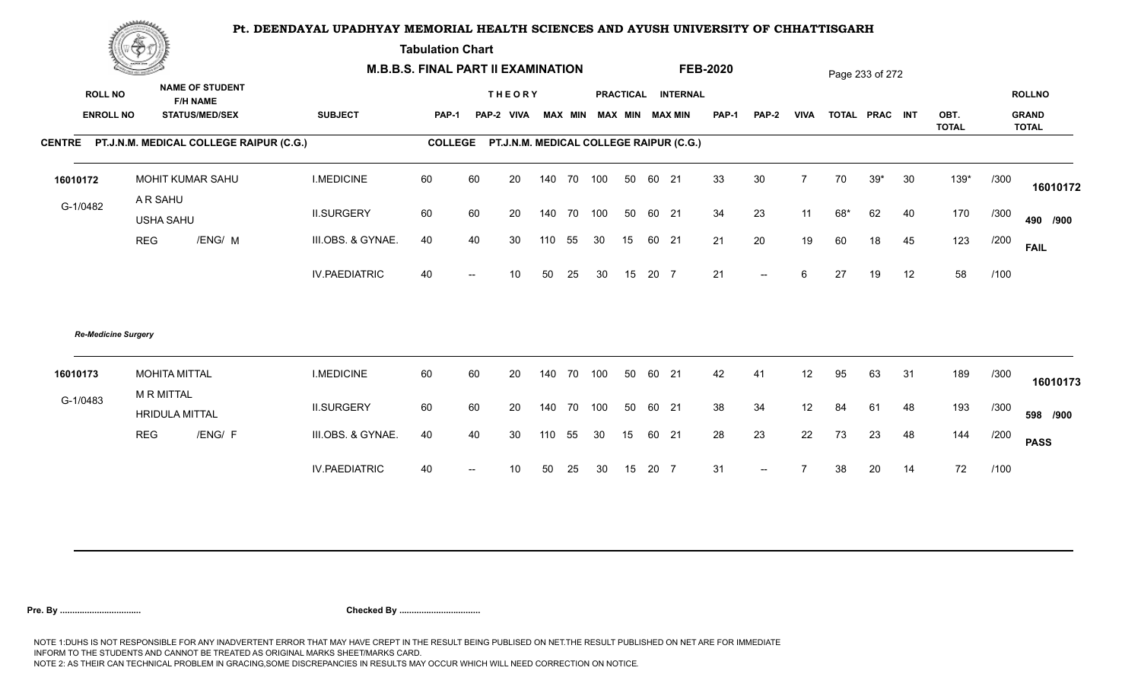**Tabulation Chart** 

|                                    | <b>Construction of the Construction</b> |                                                                    | <b>M.B.B.S. FINAL PART II EXAMINATION</b> |                |                          |                                         |     |    |                         |    |       |                    | <b>FEB-2020</b> |                          |                |     | Page 233 of 272 |    |              |      |                               |
|------------------------------------|-----------------------------------------|--------------------------------------------------------------------|-------------------------------------------|----------------|--------------------------|-----------------------------------------|-----|----|-------------------------|----|-------|--------------------|-----------------|--------------------------|----------------|-----|-----------------|----|--------------|------|-------------------------------|
| <b>ROLL NO</b><br><b>ENROLL NO</b> |                                         | <b>NAME OF STUDENT</b><br><b>F/H NAME</b><br><b>STATUS/MED/SEX</b> | <b>SUBJECT</b>                            | <b>PAP-1</b>   |                          | <b>THEORY</b><br>PAP-2 VIVA             |     |    | MAX MIN MAX MIN MAX MIN |    |       | PRACTICAL INTERNAL | <b>PAP-1</b>    | <b>PAP-2</b>             | <b>VIVA</b>    |     | TOTAL PRAC INT  |    | OBT.         |      | <b>ROLLNO</b><br><b>GRAND</b> |
|                                    |                                         | CENTRE PT.J.N.M. MEDICAL COLLEGE RAIPUR (C.G.)                     |                                           | <b>COLLEGE</b> |                          | PT.J.N.M. MEDICAL COLLEGE RAIPUR (C.G.) |     |    |                         |    |       |                    |                 |                          |                |     |                 |    | <b>TOTAL</b> |      | <b>TOTAL</b>                  |
|                                    |                                         |                                                                    |                                           |                |                          |                                         |     |    |                         |    |       |                    |                 |                          |                |     |                 |    |              |      |                               |
| 16010172                           |                                         | MOHIT KUMAR SAHU                                                   | <b>I.MEDICINE</b>                         | 60             | 60                       | 20                                      | 140 |    | 70 100                  | 50 | 60 21 |                    | 33              | 30                       | $\overline{7}$ | 70  | $39*$           | 30 | 139*         | /300 | 16010172                      |
| G-1/0482                           | A R SAHU<br><b>USHA SAHU</b>            |                                                                    | <b>II.SURGERY</b>                         | 60             | 60                       | 20                                      | 140 |    | 70 100                  | 50 | 60 21 |                    | 34              | 23                       | 11             | 68* | 62              | 40 | 170          | /300 | 490 /900                      |
|                                    | <b>REG</b>                              | /ENG/ M                                                            | III.OBS. & GYNAE.                         | 40             | 40                       | 30                                      | 110 | 55 | 30                      | 15 | 60 21 |                    | 21              | 20                       | 19             | 60  | 18              | 45 | 123          | /200 | <b>FAIL</b>                   |
|                                    |                                         |                                                                    | <b>IV.PAEDIATRIC</b>                      | 40             | $\overline{\phantom{a}}$ | 10                                      | 50  | 25 | 30                      | 15 | 20 7  |                    | 21              | $\overline{\phantom{a}}$ | 6              | 27  | 19              | 12 | 58           | /100 |                               |
| <b>Re-Medicine Surgery</b>         |                                         |                                                                    |                                           |                |                          |                                         |     |    |                         |    |       |                    |                 |                          |                |     |                 |    |              |      |                               |
| 16010173                           | <b>MR MITTAL</b>                        | <b>MOHITA MITTAL</b>                                               | <b>I.MEDICINE</b>                         | 60             | 60                       | 20                                      | 140 |    | 70 100                  | 50 | 60 21 |                    | 42              | 41                       | 12             | 95  | 63              | 31 | 189          | /300 | 16010173                      |
| G-1/0483                           |                                         | <b>HRIDULA MITTAL</b>                                              | <b>II.SURGERY</b>                         | 60             | 60                       | 20                                      | 140 |    | 70 100                  | 50 | 60 21 |                    | 38              | 34                       | 12             | 84  | 61              | 48 | 193          | /300 | 598 /900                      |
|                                    | <b>REG</b>                              | /ENG/ F                                                            | III.OBS. & GYNAE.                         | 40             | 40                       | 30                                      | 110 | 55 | 30                      | 15 | 60 21 |                    | 28              | 23                       | 22             | 73  | 23              | 48 | 144          | /200 | <b>PASS</b>                   |
|                                    |                                         |                                                                    | <b>IV.PAEDIATRIC</b>                      | 40             | $\overline{\phantom{a}}$ | 10                                      | 50  | 25 | 30                      | 15 | 20 7  |                    | 31              | $--$                     |                | 38  | 20              | 14 | 72           | /100 |                               |
|                                    |                                         |                                                                    |                                           |                |                          |                                         |     |    |                         |    |       |                    |                 |                          |                |     |                 |    |              |      |                               |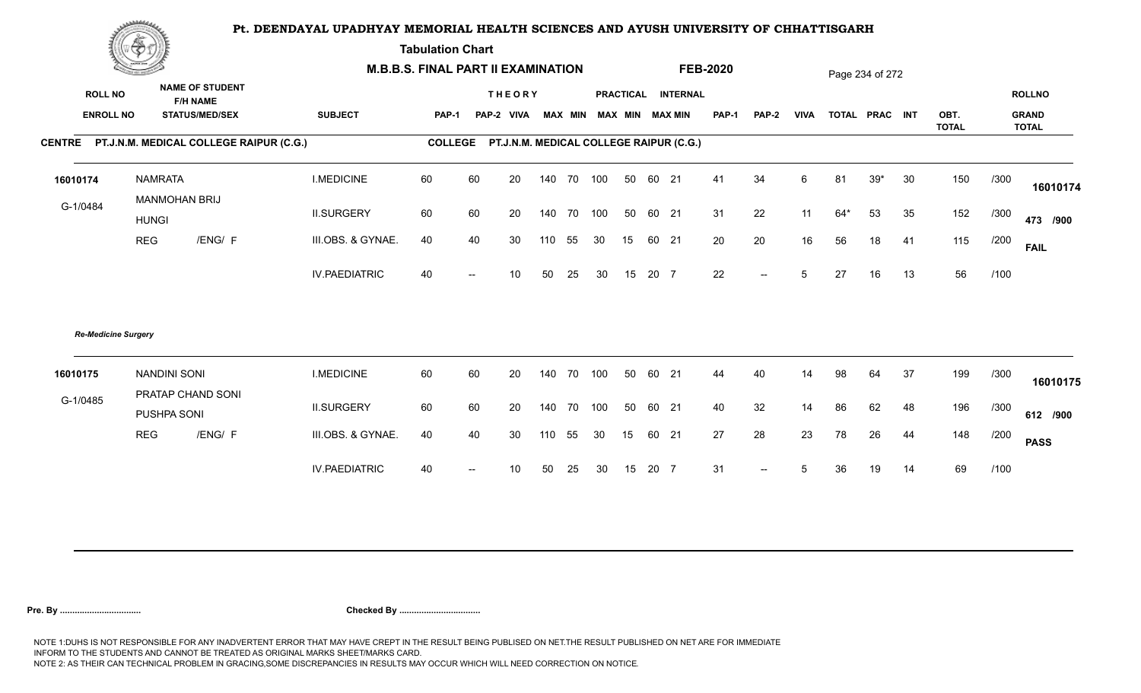**Tabulation Chart** 

|                                    | <b>Consumer de region de la</b>                                    |                      | <b>M.B.B.S. FINAL PART II EXAMINATION</b> |    |                                         |     |        |                         |    |       |                    | <b>FEB-2020</b> |                          |             |     | Page 234 of 272 |    |              |      |                               |
|------------------------------------|--------------------------------------------------------------------|----------------------|-------------------------------------------|----|-----------------------------------------|-----|--------|-------------------------|----|-------|--------------------|-----------------|--------------------------|-------------|-----|-----------------|----|--------------|------|-------------------------------|
| <b>ROLL NO</b><br><b>ENROLL NO</b> | <b>NAME OF STUDENT</b><br><b>F/H NAME</b><br><b>STATUS/MED/SEX</b> | <b>SUBJECT</b>       | <b>PAP-1</b>                              |    | <b>THEORY</b><br>PAP-2 VIVA             |     |        | MAX MIN MAX MIN MAX MIN |    |       | PRACTICAL INTERNAL | <b>PAP-1</b>    | <b>PAP-2</b>             | <b>VIVA</b> |     | TOTAL PRAC INT  |    | OBT.         |      | <b>ROLLNO</b><br><b>GRAND</b> |
|                                    |                                                                    |                      |                                           |    |                                         |     |        |                         |    |       |                    |                 |                          |             |     |                 |    | <b>TOTAL</b> |      | <b>TOTAL</b>                  |
|                                    | CENTRE PT.J.N.M. MEDICAL COLLEGE RAIPUR (C.G.)                     |                      | <b>COLLEGE</b>                            |    | PT.J.N.M. MEDICAL COLLEGE RAIPUR (C.G.) |     |        |                         |    |       |                    |                 |                          |             |     |                 |    |              |      |                               |
| 16010174                           | <b>NAMRATA</b><br>MANMOHAN BRIJ                                    | <b>I.MEDICINE</b>    | 60                                        | 60 | 20                                      | 140 | 70 100 |                         | 50 | 60 21 |                    | 41              | 34                       | 6           | 81  | $39*$           | 30 | 150          | /300 | 16010174                      |
| G-1/0484                           | <b>HUNGI</b>                                                       | <b>II.SURGERY</b>    | 60                                        | 60 | 20                                      | 140 | 70 100 |                         | 50 | 60 21 |                    | 31              | 22                       | 11          | 64* | 53              | 35 | 152          | /300 | 473 /900                      |
|                                    | <b>REG</b><br>/ENG/ F                                              | III.OBS. & GYNAE.    | 40                                        | 40 | 30                                      | 110 | 55     | 30                      | 15 | 60 21 |                    | 20              | 20                       | 16          | 56  | 18              | 41 | 115          | /200 | <b>FAIL</b>                   |
|                                    |                                                                    | <b>IV.PAEDIATRIC</b> | 40                                        |    | 10 <sup>1</sup>                         | 50  | 25     | 30                      | 15 | 20 7  |                    | 22              | $\overline{\phantom{a}}$ | 5           | 27  | 16              | 13 | 56           | /100 |                               |
|                                    | <b>Re-Medicine Surgery</b>                                         |                      |                                           |    |                                         |     |        |                         |    |       |                    |                 |                          |             |     |                 |    |              |      |                               |
| 16010175                           | <b>NANDINI SONI</b><br>PRATAP CHAND SONI                           | <b>I.MEDICINE</b>    | 60                                        | 60 | 20                                      | 140 | 70 100 |                         | 50 | 60 21 |                    | 44              | 40                       | 14          | 98  | 64              | 37 | 199          | /300 | 16010175                      |
| G-1/0485                           | PUSHPA SONI                                                        | <b>II.SURGERY</b>    | 60                                        | 60 | 20                                      | 140 | 70 100 |                         | 50 | 60 21 |                    | 40              | 32                       | 14          | 86  | 62              | 48 | 196          | /300 | 612 /900                      |
|                                    | <b>REG</b><br>/ENG/ F                                              | III.OBS. & GYNAE.    | 40                                        | 40 | 30                                      | 110 | 55     | 30                      | 15 | 60    | 21                 | 27              | 28                       | 23          | 78  | 26              | 44 | 148          | /200 | <b>PASS</b>                   |
|                                    |                                                                    | <b>IV.PAEDIATRIC</b> | 40                                        |    | 10                                      | 50  | 25     | 30                      | 15 | 20 7  |                    | 31              | $--$                     | 5           | 36  | 19              | 14 | 69           | /100 |                               |
|                                    |                                                                    |                      |                                           |    |                                         |     |        |                         |    |       |                    |                 |                          |             |     |                 |    |              |      |                               |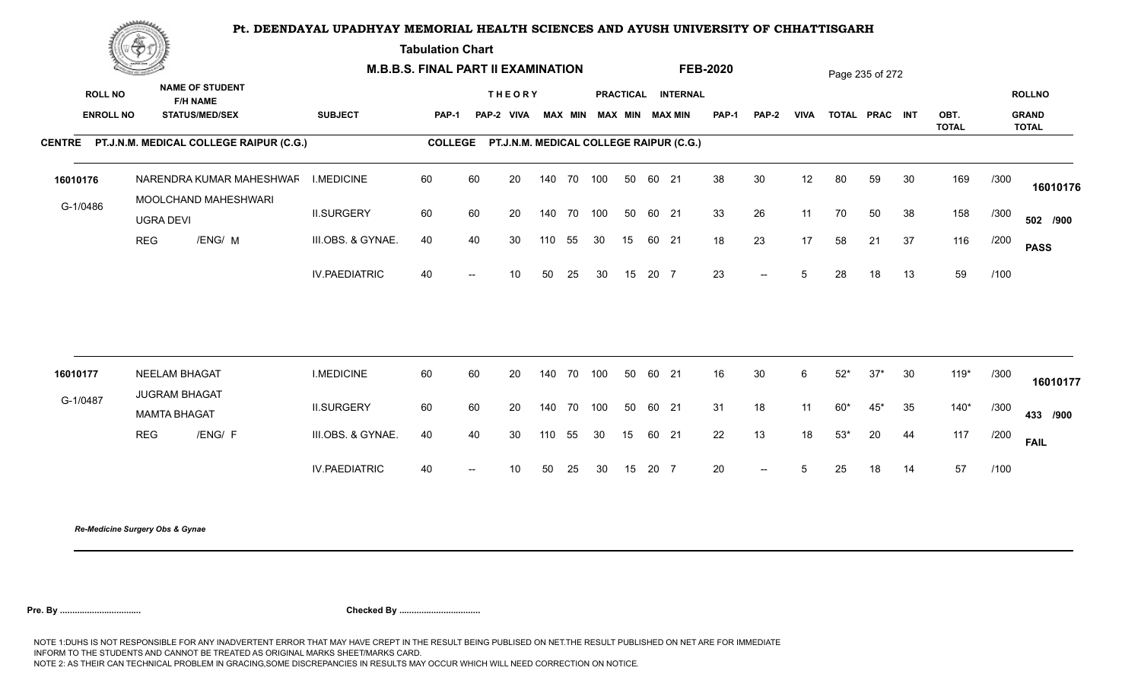**Tabulation Chart** 

|                  | Change of the second of the                    |                      | <b>M.B.B.S. FINAL PART II EXAMINATION</b> |                                                |                                         |     |        |                         |    |       |                    | <b>FEB-2020</b> |        |                |       | Page 235 of 272 |    |                      |      |                              |
|------------------|------------------------------------------------|----------------------|-------------------------------------------|------------------------------------------------|-----------------------------------------|-----|--------|-------------------------|----|-------|--------------------|-----------------|--------|----------------|-------|-----------------|----|----------------------|------|------------------------------|
| <b>ROLL NO</b>   | <b>NAME OF STUDENT</b><br><b>F/H NAME</b>      |                      |                                           |                                                | <b>THEORY</b>                           |     |        |                         |    |       | PRACTICAL INTERNAL |                 |        |                |       |                 |    |                      |      | <b>ROLLNO</b>                |
| <b>ENROLL NO</b> | <b>STATUS/MED/SEX</b>                          | <b>SUBJECT</b>       | PAP-1                                     |                                                | PAP-2 VIVA                              |     |        | MAX MIN MAX MIN MAX MIN |    |       |                    | <b>PAP-1</b>    | PAP-2  | <b>VIVA</b>    |       | TOTAL PRAC INT  |    | OBT.<br><b>TOTAL</b> |      | <b>GRAND</b><br><b>TOTAL</b> |
|                  | CENTRE PT.J.N.M. MEDICAL COLLEGE RAIPUR (C.G.) |                      | <b>COLLEGE</b>                            |                                                | PT.J.N.M. MEDICAL COLLEGE RAIPUR (C.G.) |     |        |                         |    |       |                    |                 |        |                |       |                 |    |                      |      |                              |
| 16010176         | NARENDRA KUMAR MAHESHWAF                       | <b>I.MEDICINE</b>    | 60                                        | 60                                             | 20                                      | 140 |        | 70 100                  | 50 | 60 21 |                    | 38              | 30     | 12             | 80    | 59              | 30 | 169                  | /300 | 16010176                     |
| G-1/0486         | MOOLCHAND MAHESHWARI<br><b>UGRA DEVI</b>       | <b>II.SURGERY</b>    | 60                                        | 60                                             | 20                                      | 140 | 70 100 |                         | 50 | 60 21 |                    | 33              | 26     | 11             | 70    | 50              | 38 | 158                  | /300 | 502 /900                     |
|                  | /ENG/ M<br><b>REG</b>                          | III.OBS. & GYNAE.    | 40                                        | 40                                             | 30                                      | 110 | 55     | 30                      | 15 | 60 21 |                    | 18              | 23     | 17             | 58    | 21              | 37 | 116                  | /200 | <b>PASS</b>                  |
|                  |                                                | <b>IV.PAEDIATRIC</b> | 40                                        | $\overline{a}$                                 | 10 <sup>°</sup>                         | 50  | 25     | 30                      | 15 | 20 7  |                    | 23              | $\sim$ | 5 <sup>5</sup> | 28    | 18              | 13 | 59                   | /100 |                              |
|                  |                                                |                      |                                           |                                                |                                         |     |        |                         |    |       |                    |                 |        |                |       |                 |    |                      |      |                              |
| 16010177         | <b>NEELAM BHAGAT</b><br><b>JUGRAM BHAGAT</b>   | <b>I.MEDICINE</b>    | 60                                        | 60                                             | 20                                      | 140 | 70 100 |                         | 50 | 60 21 |                    | 16              | 30     | 6              | $52*$ | $37*$           | 30 | $119*$               | /300 | 16010177                     |
| G-1/0487         | <b>MAMTA BHAGAT</b>                            | <b>II.SURGERY</b>    | 60                                        | 60                                             | 20                                      | 140 |        | 70 100                  | 50 | 60 21 |                    | 31              | 18     | 11             | $60*$ | $45*$           | 35 | $140*$               | /300 | 433 /900                     |
|                  | <b>REG</b><br>/ENG/ F                          | III.OBS. & GYNAE.    | 40                                        | 40                                             | 30                                      | 110 | 55     | 30                      | 15 | 60 21 |                    | 22              | 13     | 18             | $53*$ | 20              | 44 | 117                  | /200 | <b>FAIL</b>                  |
|                  |                                                | <b>IV.PAEDIATRIC</b> | 40                                        | $\hspace{0.1mm}-\hspace{0.1mm}-\hspace{0.1mm}$ | 10 <sup>°</sup>                         | 50  | 25     | 30                      | 15 | 20 7  |                    | 20              | $\sim$ | $5^{\circ}$    | 25    | 18              | 14 | 57                   | /100 |                              |
|                  |                                                |                      |                                           |                                                |                                         |     |        |                         |    |       |                    |                 |        |                |       |                 |    |                      |      |                              |

*Re-Medicine Surgery Obs & Gynae*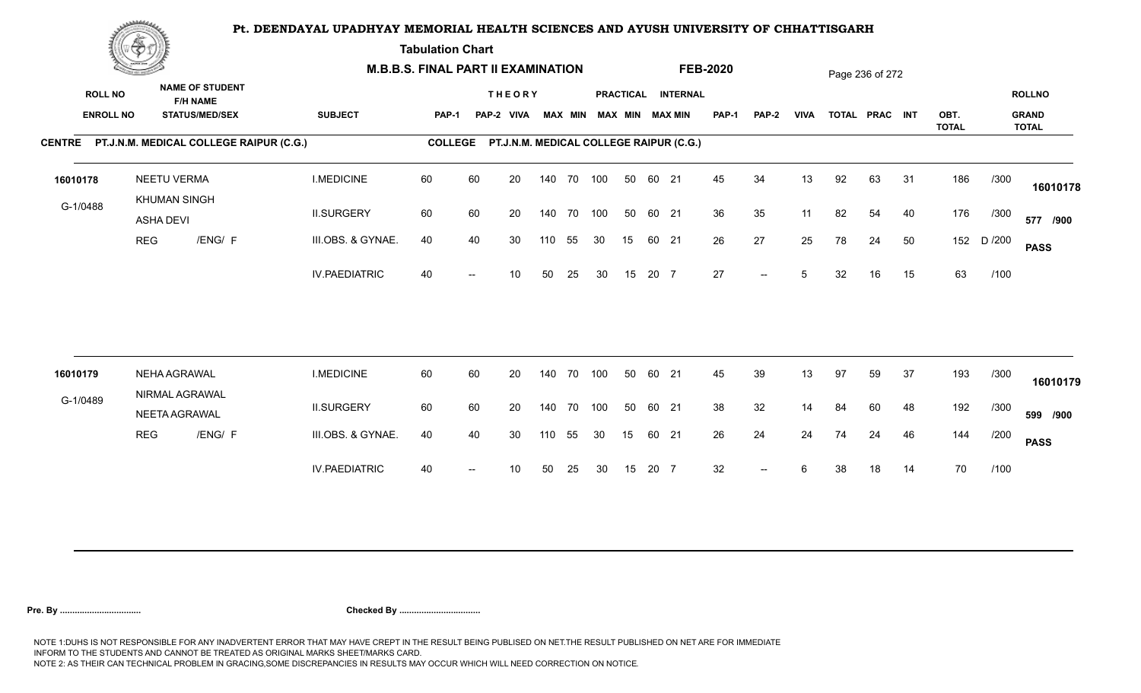**Tabulation Chart** 

|                                    | <b>Construction of the Construction</b> |                                                                    | <b>M.B.B.S. FINAL PART II EXAMINATION</b> |                |                          |                                         |        |                |     |    |       |                                              | <b>FEB-2020</b> |                          |             |    | Page 236 of 272 |    |                      |        |                                               |
|------------------------------------|-----------------------------------------|--------------------------------------------------------------------|-------------------------------------------|----------------|--------------------------|-----------------------------------------|--------|----------------|-----|----|-------|----------------------------------------------|-----------------|--------------------------|-------------|----|-----------------|----|----------------------|--------|-----------------------------------------------|
| <b>ROLL NO</b><br><b>ENROLL NO</b> |                                         | <b>NAME OF STUDENT</b><br><b>F/H NAME</b><br><b>STATUS/MED/SEX</b> | <b>SUBJECT</b>                            | PAP-1          |                          | <b>THEORY</b><br>PAP-2 VIVA             |        | <b>MAX MIN</b> |     |    |       | PRACTICAL INTERNAL<br><b>MAX MIN MAX MIN</b> | <b>PAP-1</b>    | PAP-2                    | <b>VIVA</b> |    | TOTAL PRAC INT  |    | OBT.<br><b>TOTAL</b> |        | <b>ROLLNO</b><br><b>GRAND</b><br><b>TOTAL</b> |
|                                    |                                         | CENTRE PT.J.N.M. MEDICAL COLLEGE RAIPUR (C.G.)                     |                                           | <b>COLLEGE</b> |                          | PT.J.N.M. MEDICAL COLLEGE RAIPUR (C.G.) |        |                |     |    |       |                                              |                 |                          |             |    |                 |    |                      |        |                                               |
| 16010178                           |                                         | <b>NEETU VERMA</b><br><b>KHUMAN SINGH</b>                          | <b>I.MEDICINE</b>                         | 60             | 60                       | 20                                      |        | 140 70 100     |     | 50 | 60 21 |                                              | 45              | 34                       | 13          | 92 | 63              | 31 | 186                  | /300   | 16010178                                      |
| G-1/0488                           | ASHA DEVI                               |                                                                    | <b>II.SURGERY</b>                         | 60             | 60                       | 20                                      |        | 140 70 100     |     | 50 | 60 21 |                                              | 36              | 35                       | 11          | 82 | 54              | 40 | 176                  | /300   | 577 /900                                      |
|                                    | <b>REG</b>                              | /ENG/ F                                                            | III.OBS. & GYNAE.                         | 40             | 40                       | 30                                      | 110    | 55             | 30  | 15 | 60 21 |                                              | 26              | 27                       | 25          | 78 | 24              | 50 | 152                  | D /200 | <b>PASS</b>                                   |
|                                    |                                         |                                                                    | <b>IV.PAEDIATRIC</b>                      | 40             |                          | 10                                      | 50     | 25             | 30  | 15 | 20 7  |                                              | 27              | $\overline{\phantom{a}}$ | 5           | 32 | 16              | 15 | 63                   | /100   |                                               |
|                                    |                                         |                                                                    |                                           |                |                          |                                         |        |                |     |    |       |                                              |                 |                          |             |    |                 |    |                      |        |                                               |
| 16010179                           |                                         | NEHA AGRAWAL<br>NIRMAL AGRAWAL                                     | <b>I.MEDICINE</b>                         | 60             | 60                       | 20                                      | 140 70 |                | 100 | 50 | 60 21 |                                              | 45              | 39                       | 13          | 97 | 59              | 37 | 193                  | /300   | 16010179                                      |
| G-1/0489                           |                                         | NEETA AGRAWAL                                                      | <b>II.SURGERY</b>                         | 60             | 60                       | 20                                      |        | 140 70         | 100 | 50 | 60 21 |                                              | 38              | 32                       | 14          | 84 | 60              | 48 | 192                  | /300   | 599 /900                                      |
|                                    | <b>REG</b>                              | /ENG/ F                                                            | III.OBS. & GYNAE.                         | 40             | 40                       | 30                                      | 110    | 55             | 30  | 15 | 60 21 |                                              | 26              | 24                       | 24          | 74 | 24              | 46 | 144                  | /200   | <b>PASS</b>                                   |
|                                    |                                         |                                                                    | <b>IV.PAEDIATRIC</b>                      | 40             | $\overline{\phantom{a}}$ | 10                                      | 50     | 25             | 30  | 15 | 20 7  |                                              | 32              | $\overline{\phantom{a}}$ | 6           | 38 | 18              | 14 | 70                   | /100   |                                               |
|                                    |                                         |                                                                    |                                           |                |                          |                                         |        |                |     |    |       |                                              |                 |                          |             |    |                 |    |                      |        |                                               |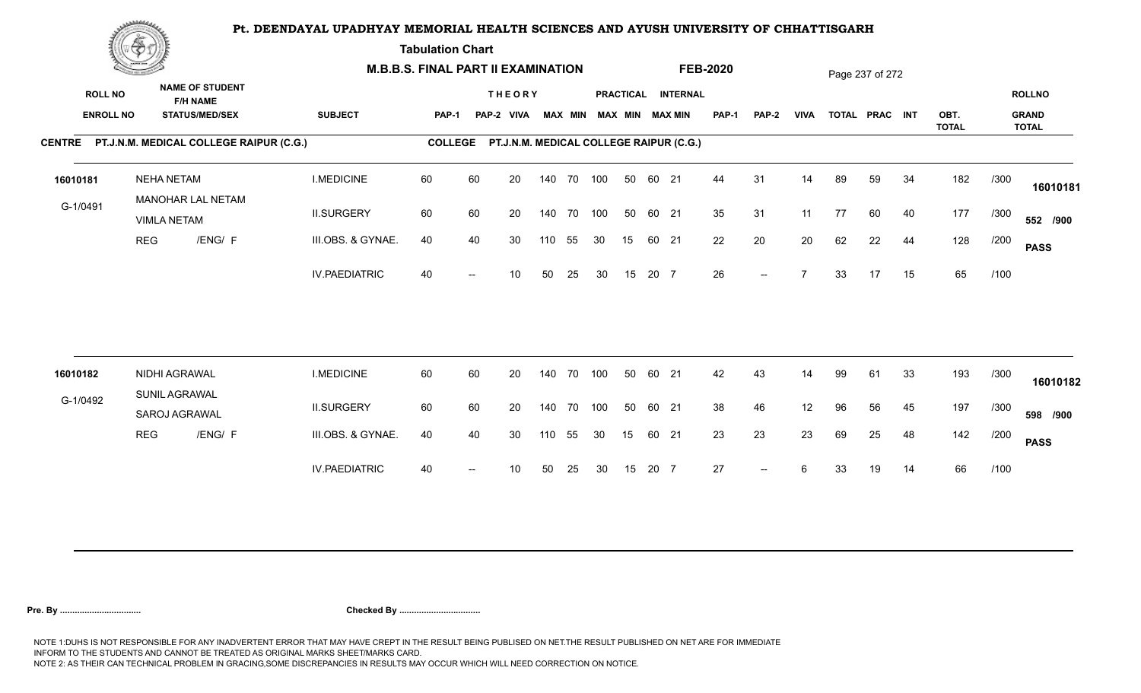**Tabulation Chart** 

|                                    | <b>Construction of the Construction</b> |                                |                                                 | <b>M.B.B.S. FINAL PART II EXAMINATION</b> |                |    |                                         |     |                |            |    |       |                                              | <b>FEB-2020</b> |                          |                |    | Page 237 of 272 |    |                      |      |                                               |
|------------------------------------|-----------------------------------------|--------------------------------|-------------------------------------------------|-------------------------------------------|----------------|----|-----------------------------------------|-----|----------------|------------|----|-------|----------------------------------------------|-----------------|--------------------------|----------------|----|-----------------|----|----------------------|------|-----------------------------------------------|
| <b>ROLL NO</b><br><b>ENROLL NO</b> |                                         | <b>F/H NAME</b>                | <b>NAME OF STUDENT</b><br><b>STATUS/MED/SEX</b> | <b>SUBJECT</b>                            | PAP-1          |    | <b>THEORY</b><br>PAP-2 VIVA             |     | <b>MAX MIN</b> |            |    |       | PRACTICAL INTERNAL<br><b>MAX MIN MAX MIN</b> | <b>PAP-1</b>    | PAP-2                    | <b>VIVA</b>    |    | TOTAL PRAC INT  |    | OBT.<br><b>TOTAL</b> |      | <b>ROLLNO</b><br><b>GRAND</b><br><b>TOTAL</b> |
|                                    |                                         |                                | CENTRE PT.J.N.M. MEDICAL COLLEGE RAIPUR (C.G.)  |                                           | <b>COLLEGE</b> |    | PT.J.N.M. MEDICAL COLLEGE RAIPUR (C.G.) |     |                |            |    |       |                                              |                 |                          |                |    |                 |    |                      |      |                                               |
| 16010181                           |                                         | <b>NEHA NETAM</b>              | MANOHAR LAL NETAM                               | <b>I.MEDICINE</b>                         | 60             | 60 | 20                                      |     |                | 140 70 100 | 50 | 60 21 |                                              | 44              | 31                       | 14             | 89 | 59              | 34 | 182                  | /300 | 16010181                                      |
| G-1/0491                           |                                         | <b>VIMLA NETAM</b>             |                                                 | <b>II.SURGERY</b>                         | 60             | 60 | 20                                      |     | 140 70         | 100        | 50 | 60 21 |                                              | 35              | 31                       | 11             | 77 | 60              | 40 | 177                  | /300 | 552 /900                                      |
|                                    | <b>REG</b>                              |                                | /ENG/ F                                         | III.OBS. & GYNAE.                         | 40             | 40 | 30                                      | 110 | 55             | 30         | 15 | 60 21 |                                              | 22              | 20                       | 20             | 62 | 22              | 44 | 128                  | /200 | <b>PASS</b>                                   |
|                                    |                                         |                                |                                                 | <b>IV.PAEDIATRIC</b>                      | 40             |    | 10                                      | 50  | 25             | 30         | 15 | 20 7  |                                              | 26              | $--$                     | $\overline{ }$ | 33 | 17              | 15 | 65                   | /100 |                                               |
|                                    |                                         |                                |                                                 |                                           |                |    |                                         |     |                |            |    |       |                                              |                 |                          |                |    |                 |    |                      |      |                                               |
| 16010182                           |                                         | NIDHI AGRAWAL<br>SUNIL AGRAWAL |                                                 | <b>I.MEDICINE</b>                         | 60             | 60 | 20                                      |     | 140 70         | 100        | 50 | 60 21 |                                              | 42              | 43                       | 14             | 99 | 61              | 33 | 193                  | /300 | 16010182                                      |
| G-1/0492                           |                                         | SAROJ AGRAWAL                  |                                                 | <b>II.SURGERY</b>                         | 60             | 60 | 20                                      |     | 140 70         | 100        | 50 | 60 21 |                                              | 38              | 46                       | 12             | 96 | 56              | 45 | 197                  | /300 | 598 /900                                      |
|                                    | <b>REG</b>                              |                                | /ENG/ F                                         | III.OBS. & GYNAE.                         | 40             | 40 | 30                                      | 110 | 55             | 30         | 15 | 60 21 |                                              | 23              | 23                       | 23             | 69 | 25              | 48 | 142                  | /200 | <b>PASS</b>                                   |
|                                    |                                         |                                |                                                 | <b>IV.PAEDIATRIC</b>                      | 40             |    | 10                                      | 50  | 25             | 30         | 15 | 20 7  |                                              | 27              | $\overline{\phantom{a}}$ | 6              | 33 | 19              | 14 | 66                   | /100 |                                               |
|                                    |                                         |                                |                                                 |                                           |                |    |                                         |     |                |            |    |       |                                              |                 |                          |                |    |                 |    |                      |      |                                               |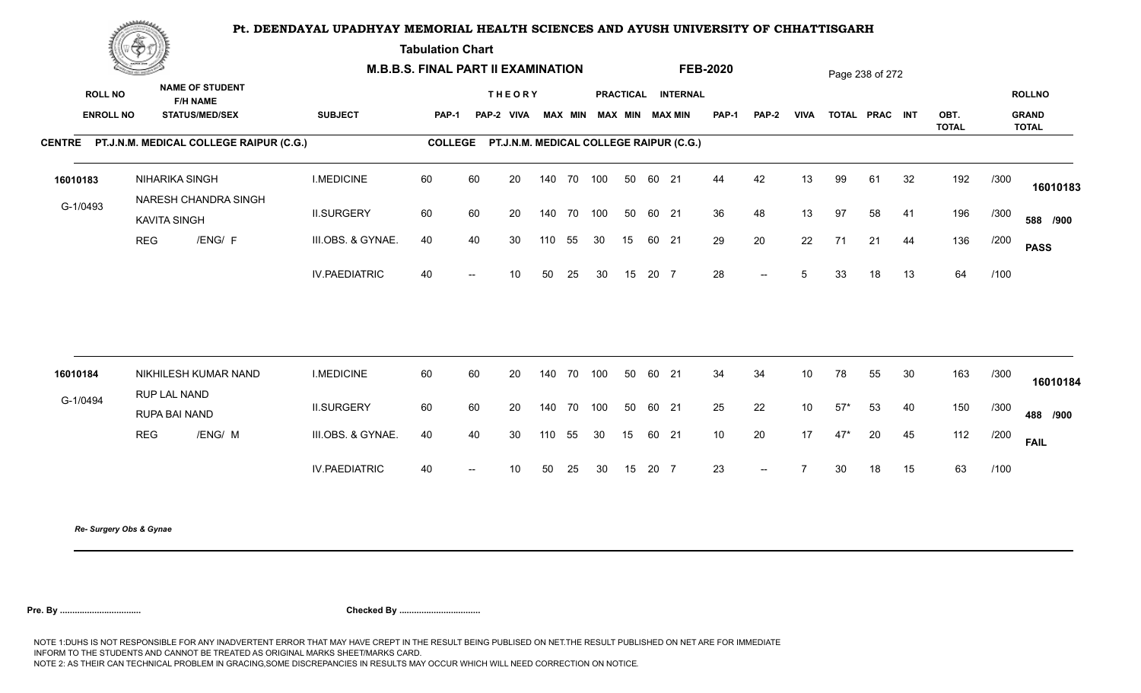**Tabulation Chart** 

|          | <b>Construction of the Asset</b> | <b>M.B.B.S. FINAL PART II EXAMINATION</b>      |                      |                |                          |                                         |     |            |                         |    |       | <b>FEB-2020</b>    |       |       |                 | Page 238 of 272 |                |    |                      |      |                              |
|----------|----------------------------------|------------------------------------------------|----------------------|----------------|--------------------------|-----------------------------------------|-----|------------|-------------------------|----|-------|--------------------|-------|-------|-----------------|-----------------|----------------|----|----------------------|------|------------------------------|
|          | <b>ROLL NO</b>                   | <b>NAME OF STUDENT</b><br><b>F/H NAME</b>      |                      |                |                          | <b>THEORY</b>                           |     |            |                         |    |       | PRACTICAL INTERNAL |       |       |                 |                 |                |    |                      |      | <b>ROLLNO</b>                |
|          | <b>ENROLL NO</b>                 | <b>STATUS/MED/SEX</b>                          | <b>SUBJECT</b>       | <b>PAP-1</b>   |                          | PAP-2 VIVA                              |     |            | MAX MIN MAX MIN MAX MIN |    |       |                    | PAP-1 | PAP-2 | <b>VIVA</b>     |                 | TOTAL PRAC INT |    | OBT.<br><b>TOTAL</b> |      | <b>GRAND</b><br><b>TOTAL</b> |
|          |                                  | CENTRE PT.J.N.M. MEDICAL COLLEGE RAIPUR (C.G.) |                      | <b>COLLEGE</b> |                          | PT.J.N.M. MEDICAL COLLEGE RAIPUR (C.G.) |     |            |                         |    |       |                    |       |       |                 |                 |                |    |                      |      |                              |
| 16010183 |                                  | NIHARIKA SINGH<br>NARESH CHANDRA SINGH         | <b>I.MEDICINE</b>    | 60             | 60                       | 20                                      |     | 140 70 100 |                         | 50 | 60 21 |                    | 44    | 42    | 13              | 99              | 61             | 32 | 192                  | /300 | 16010183                     |
| G-1/0493 |                                  | <b>KAVITA SINGH</b>                            | <b>II.SURGERY</b>    | 60             | 60                       | 20                                      |     | 140 70 100 |                         | 50 | 60 21 |                    | 36    | 48    | 13              | 97              | 58             | 41 | 196                  | /300 | 588 /900                     |
|          | <b>REG</b>                       | /ENG/ F                                        | III.OBS. & GYNAE.    | 40             | 40                       | 30                                      | 110 | 55         | 30                      | 15 | 60 21 |                    | 29    | 20    | 22              | 71              | 21             | 44 | 136                  | /200 | <b>PASS</b>                  |
|          |                                  |                                                | <b>IV.PAEDIATRIC</b> | 40             | $\overline{\phantom{a}}$ | 10 <sup>°</sup>                         | 50  | 25         | 30                      | 15 | 20 7  |                    | 28    | $--$  | 5               | 33              | 18             | 13 | 64                   | /100 |                              |
|          |                                  |                                                |                      |                |                          |                                         |     |            |                         |    |       |                    |       |       |                 |                 |                |    |                      |      |                              |
| 16010184 |                                  | NIKHILESH KUMAR NAND<br>RUP LAL NAND           | <b>I.MEDICINE</b>    | 60             | 60                       | 20                                      |     | 140 70 100 |                         | 50 | 60 21 |                    | 34    | 34    | 10 <sup>°</sup> | 78              | 55             | 30 | 163                  | /300 | 16010184                     |
| G-1/0494 |                                  | RUPA BAI NAND                                  | <b>II.SURGERY</b>    | 60             | 60                       | 20                                      |     | 140 70 100 |                         | 50 | 60 21 |                    | 25    | 22    | 10              | $57*$           | 53             | 40 | 150                  | /300 | 488 /900                     |
|          | <b>REG</b>                       | /ENG/ M                                        | III.OBS. & GYNAE.    | 40             | 40                       | 30                                      | 110 | 55         | 30                      | 15 | 60 21 |                    | 10    | 20    | 17              | $47*$           | 20             | 45 | 112                  | /200 | <b>FAIL</b>                  |
|          |                                  |                                                | <b>IV.PAEDIATRIC</b> | 40             | $\overline{\phantom{a}}$ | 10 <sup>°</sup>                         | 50  | 25         | 30                      | 15 | 20 7  |                    | 23    | $--$  | $\overline{7}$  | 30              | 18             | 15 | 63                   | /100 |                              |
|          |                                  |                                                |                      |                |                          |                                         |     |            |                         |    |       |                    |       |       |                 |                 |                |    |                      |      |                              |

*Re- Surgery Obs & Gynae*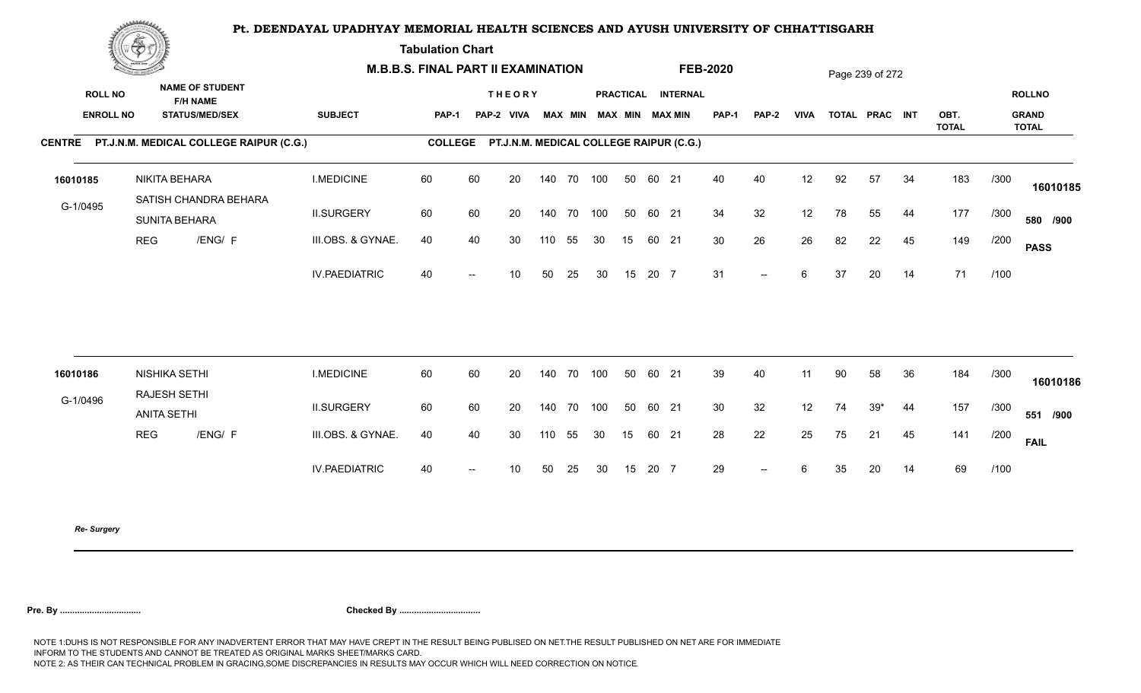**Tabulation Chart** 

|                  | <u>Concert of the Sea</u> |                                                |                      | <b>M.B.B.S. FINAL PART II EXAMINATION</b> |                |                                                 |     |            |                         |    |       |                    | <b>FEB-2020</b> |              |             |    | Page 239 of 272 |    |                      |      |                              |
|------------------|---------------------------|------------------------------------------------|----------------------|-------------------------------------------|----------------|-------------------------------------------------|-----|------------|-------------------------|----|-------|--------------------|-----------------|--------------|-------------|----|-----------------|----|----------------------|------|------------------------------|
| <b>ROLL NO</b>   |                           | <b>NAME OF STUDENT</b><br><b>F/H NAME</b>      |                      |                                           |                | <b>THEORY</b>                                   |     |            |                         |    |       | PRACTICAL INTERNAL |                 |              |             |    |                 |    |                      |      | <b>ROLLNO</b>                |
| <b>ENROLL NO</b> |                           | <b>STATUS/MED/SEX</b>                          | <b>SUBJECT</b>       | PAP-1                                     |                | PAP-2 VIVA                                      |     |            | MAX MIN MAX MIN MAX MIN |    |       |                    | <b>PAP-1</b>    | <b>PAP-2</b> | <b>VIVA</b> |    | TOTAL PRAC INT  |    | OBT.<br><b>TOTAL</b> |      | <b>GRAND</b><br><b>TOTAL</b> |
|                  |                           | CENTRE PT.J.N.M. MEDICAL COLLEGE RAIPUR (C.G.) |                      |                                           |                | COLLEGE PT.J.N.M. MEDICAL COLLEGE RAIPUR (C.G.) |     |            |                         |    |       |                    |                 |              |             |    |                 |    |                      |      |                              |
| 16010185         |                           | NIKITA BEHARA<br>SATISH CHANDRA BEHARA         | <b>I.MEDICINE</b>    | 60                                        | 60             | 20                                              |     | 140 70 100 |                         | 50 | 60 21 |                    | 40              | 40           | 12          | 92 | 57              | 34 | 183                  | /300 | 16010185                     |
| G-1/0495         |                           | SUNITA BEHARA                                  | <b>II.SURGERY</b>    | 60                                        | 60             | 20                                              |     | 140 70 100 |                         | 50 | 60 21 |                    | 34              | 32           | 12          | 78 | 55              | 44 | 177                  | /300 | 580 /900                     |
|                  | <b>REG</b>                | /ENG/ F                                        | III.OBS. & GYNAE.    | 40                                        | 40             | 30                                              | 110 | 55         | 30                      | 15 | 60 21 |                    | 30              | 26           | 26          | 82 | 22              | 45 | 149                  | /200 | <b>PASS</b>                  |
|                  |                           |                                                | <b>IV.PAEDIATRIC</b> | 40                                        | $\overline{a}$ | 10                                              | 50  | 25         | 30                      | 15 | 20 7  |                    | 31              | $--$         | 6           | 37 | 20              | 14 | 71                   | /100 |                              |
|                  |                           |                                                |                      |                                           |                |                                                 |     |            |                         |    |       |                    |                 |              |             |    |                 |    |                      |      |                              |
| 16010186         |                           | NISHIKA SETHI<br>RAJESH SETHI                  | <b>I.MEDICINE</b>    | 60                                        | 60             | 20                                              | 140 | 70         | 100                     | 50 | 60 21 |                    | 39              | 40           | 11          | 90 | 58              | 36 | 184                  | /300 | 16010186                     |
| G-1/0496         | <b>ANITA SETHI</b>        |                                                | <b>II.SURGERY</b>    | 60                                        | 60             | 20                                              | 140 | 70 100     |                         | 50 | 60 21 |                    | 30              | 32           | 12          | 74 | $39*$           | 44 | 157                  | /300 | 551 /900                     |
|                  | <b>REG</b>                | /ENG/ F                                        | III.OBS. & GYNAE.    | 40                                        | 40             | 30                                              | 110 | 55         | 30                      | 15 | 60 21 |                    | 28              | 22           | 25          | 75 | 21              | 45 | 141                  | /200 | <b>FAIL</b>                  |
|                  |                           |                                                | <b>IV.PAEDIATRIC</b> | 40                                        | $- -$          | 10 <sup>°</sup>                                 | 50  | 25         | 30                      | 15 | 20 7  |                    | 29              | $--$         | 6           | 35 | 20              | 14 | 69                   | /100 |                              |
|                  |                           |                                                |                      |                                           |                |                                                 |     |            |                         |    |       |                    |                 |              |             |    |                 |    |                      |      |                              |

*Re- Surgery*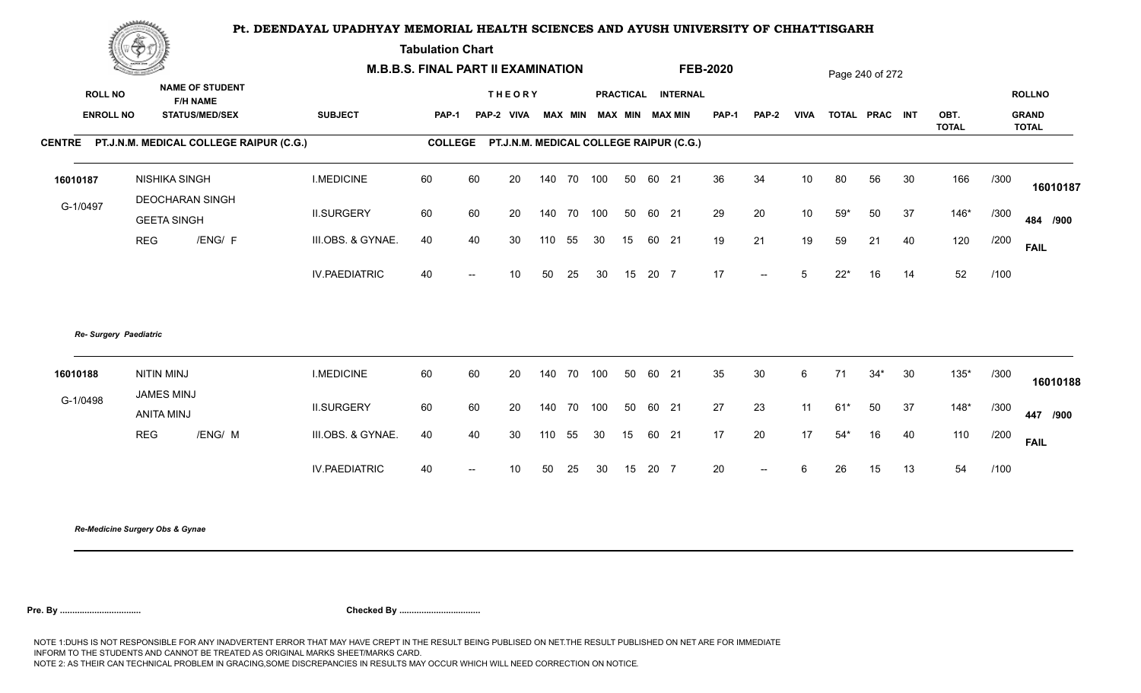**Tabulation Chart** 

|                  | <b>Contractor of the Contract Of Development Contractor</b> |                      | <b>M.B.B.S. FINAL PART II EXAMINATION</b> |                          |                                                 |     |        |                         |    |       |                    | <b>FEB-2020</b> |                          |                 |       | Page 240 of 272 |    |                      |      |                              |
|------------------|-------------------------------------------------------------|----------------------|-------------------------------------------|--------------------------|-------------------------------------------------|-----|--------|-------------------------|----|-------|--------------------|-----------------|--------------------------|-----------------|-------|-----------------|----|----------------------|------|------------------------------|
| <b>ROLL NO</b>   | <b>NAME OF STUDENT</b><br><b>F/H NAME</b>                   |                      |                                           |                          | <b>THEORY</b>                                   |     |        |                         |    |       | PRACTICAL INTERNAL |                 |                          |                 |       |                 |    |                      |      | <b>ROLLNO</b>                |
| <b>ENROLL NO</b> | <b>STATUS/MED/SEX</b>                                       | <b>SUBJECT</b>       | PAP-1                                     |                          | PAP-2 VIVA                                      |     |        | MAX MIN MAX MIN MAX MIN |    |       |                    | <b>PAP-1</b>    | <b>PAP-2</b>             | <b>VIVA</b>     |       | TOTAL PRAC INT  |    | OBT.<br><b>TOTAL</b> |      | <b>GRAND</b><br><b>TOTAL</b> |
|                  | CENTRE PT.J.N.M. MEDICAL COLLEGE RAIPUR (C.G.)              |                      |                                           |                          | COLLEGE PT.J.N.M. MEDICAL COLLEGE RAIPUR (C.G.) |     |        |                         |    |       |                    |                 |                          |                 |       |                 |    |                      |      |                              |
| 16010187         | <b>NISHIKA SINGH</b>                                        | <b>I.MEDICINE</b>    | 60                                        | 60                       | 20                                              | 140 | 70 100 |                         | 50 | 60 21 |                    | 36              | 34                       | 10 <sup>°</sup> | 80    | 56              | 30 | 166                  | /300 | 16010187                     |
| G-1/0497         | DEOCHARAN SINGH                                             | <b>II.SURGERY</b>    | 60                                        | 60                       | 20                                              | 140 | 70 100 |                         | 50 | 60 21 |                    | 29              | 20                       | 10 <sup>°</sup> | $59*$ | 50              | 37 | $146*$               | /300 |                              |
|                  | <b>GEETA SINGH</b><br>/ENG/ F<br><b>REG</b>                 | III.OBS. & GYNAE.    | 40                                        | 40                       | 30                                              | 110 | 55     | 30                      | 15 | 60 21 |                    | 19              | 21                       | 19              | 59    | 21              | 40 | 120                  | /200 | 484 /900                     |
|                  |                                                             |                      |                                           |                          |                                                 |     |        |                         |    |       |                    |                 |                          |                 |       |                 |    |                      |      | <b>FAIL</b>                  |
|                  |                                                             | <b>IV.PAEDIATRIC</b> | 40                                        | $\overline{\phantom{a}}$ | 10 <sup>°</sup>                                 | 50  | 25     | 30                      | 15 | 20 7  |                    | 17              | $\sim$ $\sim$            | 5 <sup>5</sup>  | $22*$ | 16              | 14 | 52                   | /100 |                              |
|                  | Re- Surgery Paediatric                                      |                      |                                           |                          |                                                 |     |        |                         |    |       |                    |                 |                          |                 |       |                 |    |                      |      |                              |
| 16010188         | <b>NITIN MINJ</b><br><b>JAMES MINJ</b>                      | <b>I.MEDICINE</b>    | 60                                        | 60                       | 20                                              | 140 | 70 100 |                         | 50 | 60 21 |                    | 35              | 30                       | 6               | 71    | $34*$           | 30 | $135*$               | /300 | 16010188                     |
| G-1/0498         | <b>ANITA MINJ</b>                                           | <b>II.SURGERY</b>    | 60                                        | 60                       | 20                                              | 140 | 70 100 |                         | 50 | 60 21 |                    | 27              | 23                       | 11              | $61*$ | 50              | 37 | $148*$               | /300 | 447 /900                     |
|                  | <b>REG</b><br>/ENG/ M                                       | III.OBS. & GYNAE.    | 40                                        | 40                       | 30                                              | 110 | 55     | 30                      | 15 | 60 21 |                    | 17              | 20                       | 17              | $54*$ | 16              | 40 | 110                  | /200 | <b>FAIL</b>                  |
|                  |                                                             | <b>IV.PAEDIATRIC</b> | 40                                        | $\overline{\phantom{a}}$ | 10 <sup>°</sup>                                 | 50  | 25     | 30                      | 15 | 20 7  |                    | 20              | $\overline{\phantom{a}}$ | 6               | 26    | 15              | 13 | 54                   | /100 |                              |
|                  |                                                             |                      |                                           |                          |                                                 |     |        |                         |    |       |                    |                 |                          |                 |       |                 |    |                      |      |                              |

*Re-Medicine Surgery Obs & Gynae*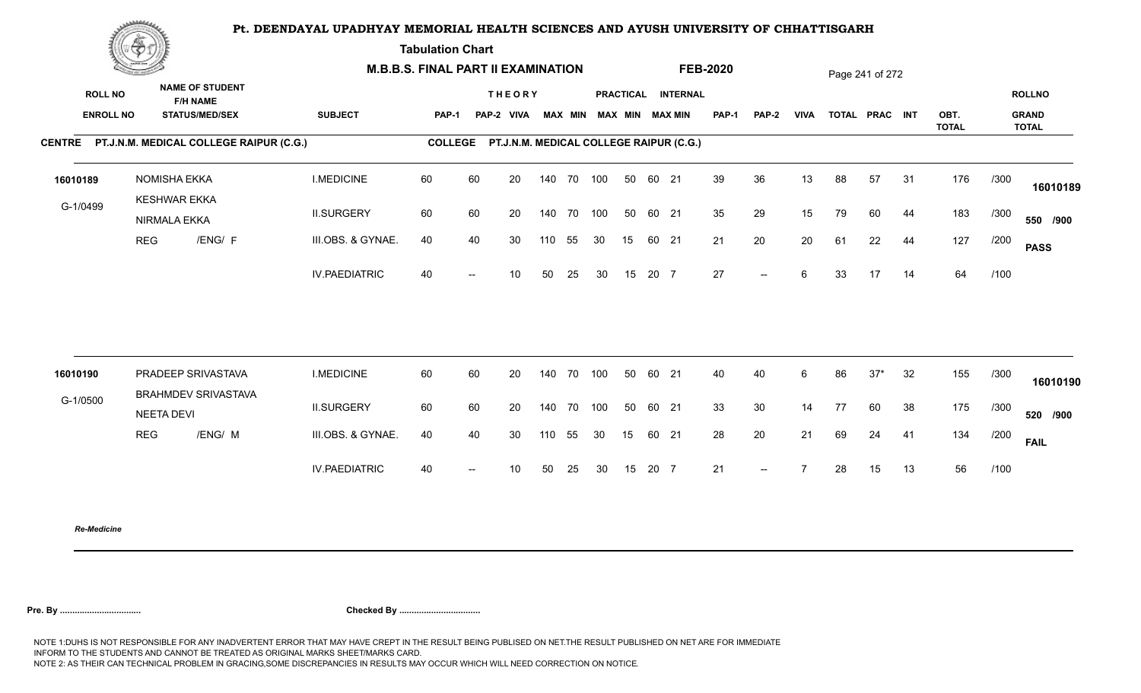**Tabulation Chart** 

|                                    | <b>Construction of the Construction</b> |                                                                    | <b>M.B.B.S. FINAL PART II EXAMINATION</b> |                |    |                                         |     |                |            |    |       |                                       | <b>FEB-2020</b> |       |             |    | Page 241 of 272 |    |                      |      |                                               |
|------------------------------------|-----------------------------------------|--------------------------------------------------------------------|-------------------------------------------|----------------|----|-----------------------------------------|-----|----------------|------------|----|-------|---------------------------------------|-----------------|-------|-------------|----|-----------------|----|----------------------|------|-----------------------------------------------|
| <b>ROLL NO</b><br><b>ENROLL NO</b> |                                         | <b>NAME OF STUDENT</b><br><b>F/H NAME</b><br><b>STATUS/MED/SEX</b> | <b>SUBJECT</b>                            | PAP-1          |    | <b>THEORY</b><br>PAP-2 VIVA             |     | <b>MAX MIN</b> |            |    |       | PRACTICAL INTERNAL<br>MAX MIN MAX MIN | <b>PAP-1</b>    | PAP-2 | <b>VIVA</b> |    | TOTAL PRAC INT  |    | OBT.<br><b>TOTAL</b> |      | <b>ROLLNO</b><br><b>GRAND</b><br><b>TOTAL</b> |
|                                    |                                         | CENTRE PT.J.N.M. MEDICAL COLLEGE RAIPUR (C.G.)                     |                                           | <b>COLLEGE</b> |    | PT.J.N.M. MEDICAL COLLEGE RAIPUR (C.G.) |     |                |            |    |       |                                       |                 |       |             |    |                 |    |                      |      |                                               |
| 16010189                           |                                         | <b>NOMISHA EKKA</b><br><b>KESHWAR EKKA</b>                         | <b>I.MEDICINE</b>                         | 60             | 60 | 20                                      |     |                | 140 70 100 | 50 | 60 21 |                                       | 39              | 36    | 13          | 88 | 57              | 31 | 176                  | /300 | 16010189                                      |
| G-1/0499                           |                                         | NIRMALA EKKA                                                       | <b>II.SURGERY</b>                         | 60             | 60 | 20                                      |     |                | 140 70 100 | 50 | 60 21 |                                       | 35              | 29    | 15          | 79 | 60              | 44 | 183                  | /300 | 550 /900                                      |
|                                    | <b>REG</b>                              | /ENG/ F                                                            | III.OBS. & GYNAE.                         | 40             | 40 | 30                                      | 110 | 55             | 30         | 15 | 60 21 |                                       | 21              | 20    | 20          | 61 | 22              | 44 | 127                  | /200 | <b>PASS</b>                                   |
|                                    |                                         |                                                                    | <b>IV.PAEDIATRIC</b>                      | 40             |    | 10                                      | 50  | 25             | 30         | 15 | 20 7  |                                       | 27              | $--$  | 6           | 33 | 17              | 14 | 64                   | /100 |                                               |
|                                    |                                         | PRADEEP SRIVASTAVA                                                 | <b>I.MEDICINE</b>                         | 60             | 60 | 20                                      |     |                | 140 70 100 | 50 | 60 21 |                                       | 40              | 40    |             | 86 | $37*$           | 32 | 155                  |      |                                               |
| 16010190                           |                                         | <b>BRAHMDEV SRIVASTAVA</b>                                         |                                           |                |    |                                         |     |                |            |    |       |                                       |                 |       | 6           |    |                 |    |                      | /300 | 16010190                                      |
| G-1/0500                           |                                         | <b>NEETA DEVI</b>                                                  | <b>II.SURGERY</b>                         | 60             | 60 | 20                                      |     | 140 70         | 100        | 50 | 60 21 |                                       | 33              | 30    | 14          | 77 | 60              | 38 | 175                  | /300 | 520 /900                                      |
|                                    | <b>REG</b>                              | /ENG/ M                                                            | III.OBS. & GYNAE.                         | 40             | 40 | 30                                      | 110 | 55             | 30         | 15 | 60 21 |                                       | 28              | 20    | 21          | 69 | 24              | 41 | 134                  | /200 | <b>FAIL</b>                                   |
|                                    |                                         |                                                                    | <b>IV.PAEDIATRIC</b>                      | 40             |    | 10                                      | 50  | 25             | 30         | 15 | 20 7  |                                       | 21              | $--$  |             | 28 | 15              | 13 | 56                   | /100 |                                               |
|                                    |                                         |                                                                    |                                           |                |    |                                         |     |                |            |    |       |                                       |                 |       |             |    |                 |    |                      |      |                                               |

*Re-Medicine*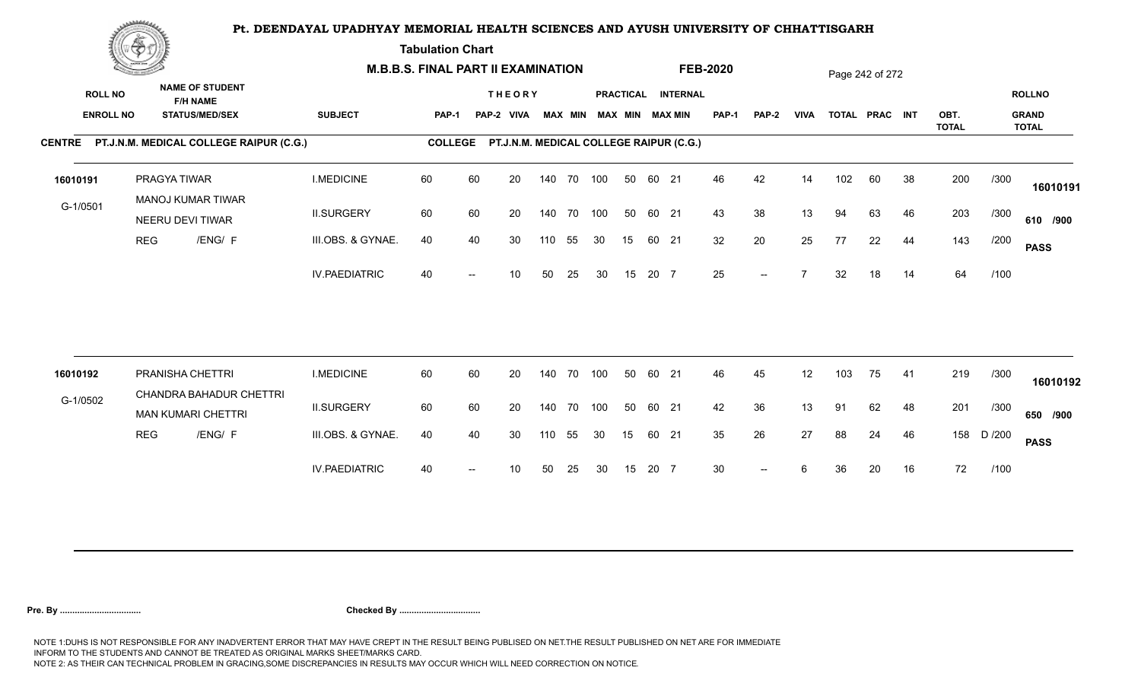**Tabulation Chart** 

|                                    | <b>Construction of the Construction</b> |                                                                    | <b>M.B.B.S. FINAL PART II EXAMINATION</b> |                |    |                                         |     |                |            |    |       |                                       | <b>FEB-2020</b> |       |             |     | Page 242 of 272 |    |                      |        |                                               |
|------------------------------------|-----------------------------------------|--------------------------------------------------------------------|-------------------------------------------|----------------|----|-----------------------------------------|-----|----------------|------------|----|-------|---------------------------------------|-----------------|-------|-------------|-----|-----------------|----|----------------------|--------|-----------------------------------------------|
| <b>ROLL NO</b><br><b>ENROLL NO</b> |                                         | <b>NAME OF STUDENT</b><br><b>F/H NAME</b><br><b>STATUS/MED/SEX</b> | <b>SUBJECT</b>                            | <b>PAP-1</b>   |    | <b>THEORY</b><br>PAP-2 VIVA             |     | <b>MAX MIN</b> |            |    |       | PRACTICAL INTERNAL<br>MAX MIN MAX MIN | PAP-1           | PAP-2 | <b>VIVA</b> |     | TOTAL PRAC INT  |    | OBT.<br><b>TOTAL</b> |        | <b>ROLLNO</b><br><b>GRAND</b><br><b>TOTAL</b> |
|                                    |                                         | CENTRE PT.J.N.M. MEDICAL COLLEGE RAIPUR (C.G.)                     |                                           | <b>COLLEGE</b> |    | PT.J.N.M. MEDICAL COLLEGE RAIPUR (C.G.) |     |                |            |    |       |                                       |                 |       |             |     |                 |    |                      |        |                                               |
| 16010191                           |                                         | PRAGYA TIWAR<br><b>MANOJ KUMAR TIWAR</b>                           | <b>I.MEDICINE</b>                         | 60             | 60 | 20                                      |     |                | 140 70 100 | 50 | 60 21 |                                       | 46              | 42    | 14          | 102 | 60              | 38 | 200                  | /300   | 16010191                                      |
| G-1/0501                           |                                         | NEERU DEVI TIWAR                                                   | <b>II.SURGERY</b>                         | 60             | 60 | 20                                      |     |                | 140 70 100 | 50 | 60 21 |                                       | 43              | 38    | 13          | 94  | 63              | 46 | 203                  | /300   | 610 /900                                      |
|                                    | <b>REG</b>                              | /ENG/ F                                                            | III.OBS. & GYNAE.                         | 40             | 40 | 30                                      | 110 | 55             | 30         | 15 | 60 21 |                                       | 32              | 20    | 25          | 77  | 22              | 44 | 143                  | /200   | <b>PASS</b>                                   |
|                                    |                                         |                                                                    | <b>IV.PAEDIATRIC</b>                      | 40             |    | 10                                      | 50  | 25             | 30         | 15 | 20 7  |                                       | 25              | $- -$ |             | 32  | 18              | 14 | 64                   | /100   |                                               |
|                                    |                                         | PRANISHA CHETTRI                                                   | <b>I.MEDICINE</b>                         | 60             | 60 | 20                                      |     |                | 140 70 100 | 50 | 60 21 |                                       | 46              | 45    | 12          | 103 | 75              | 41 | 219                  | /300   |                                               |
| 16010192                           |                                         | CHANDRA BAHADUR CHETTRI                                            |                                           |                |    |                                         |     |                |            |    |       |                                       |                 |       |             |     |                 |    |                      |        | 16010192                                      |
| G-1/0502                           |                                         | <b>MAN KUMARI CHETTRI</b>                                          | <b>II.SURGERY</b>                         | 60             | 60 | 20                                      |     |                | 140 70 100 | 50 | 60 21 |                                       | 42              | 36    | 13          | 91  | 62              | 48 | 201                  | /300   | 650 /900                                      |
|                                    | <b>REG</b>                              | /ENG/ F                                                            | III.OBS. & GYNAE.                         | 40             | 40 | 30                                      | 110 | 55             | 30         | 15 | 60 21 |                                       | 35              | 26    | 27          | 88  | 24              | 46 | 158                  | D /200 | <b>PASS</b>                                   |
|                                    |                                         |                                                                    | <b>IV.PAEDIATRIC</b>                      | 40             |    | 10                                      | 50  | 25             | 30         | 15 | 20 7  |                                       | 30              |       | 6           | 36  | 20              | 16 | 72                   | /100   |                                               |
|                                    |                                         |                                                                    |                                           |                |    |                                         |     |                |            |    |       |                                       |                 |       |             |     |                 |    |                      |        |                                               |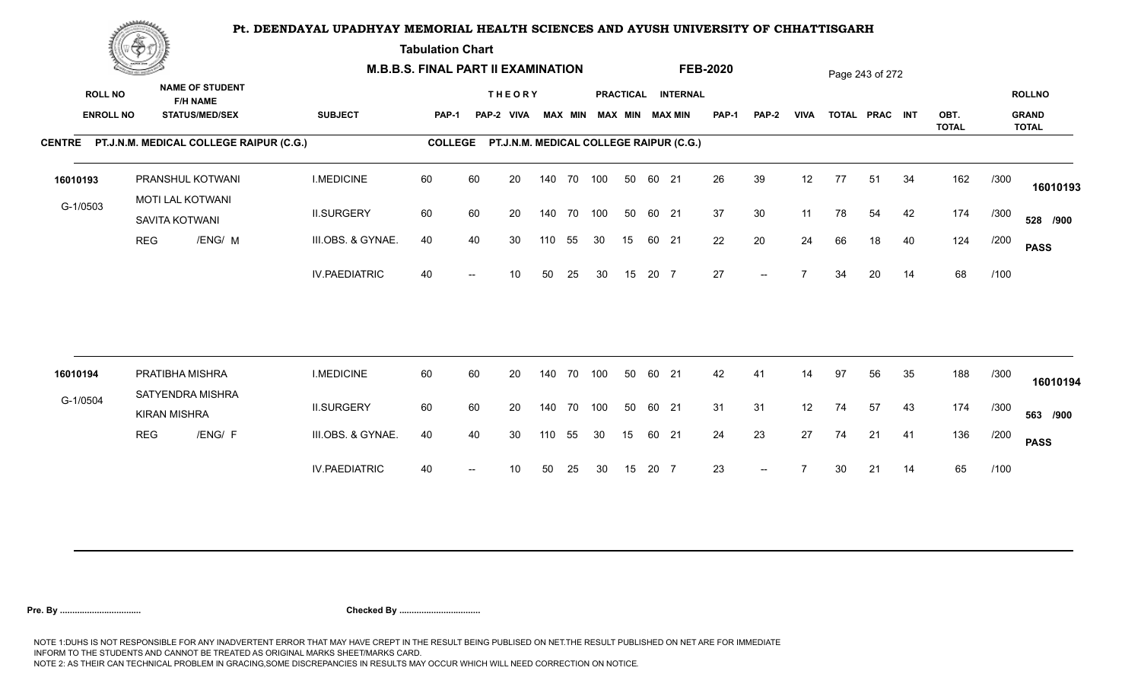**Tabulation Chart** 

|                                    | <b>Construction of the Construction</b> |                                                                    |                      | <b>M.B.B.S. FINAL PART II EXAMINATION</b> |    |                                         |     |                |            |    |       |                                       | <b>FEB-2020</b> |              |             |    | Page 243 of 272 |    |                      |      |                                               |
|------------------------------------|-----------------------------------------|--------------------------------------------------------------------|----------------------|-------------------------------------------|----|-----------------------------------------|-----|----------------|------------|----|-------|---------------------------------------|-----------------|--------------|-------------|----|-----------------|----|----------------------|------|-----------------------------------------------|
| <b>ROLL NO</b><br><b>ENROLL NO</b> |                                         | <b>NAME OF STUDENT</b><br><b>F/H NAME</b><br><b>STATUS/MED/SEX</b> | <b>SUBJECT</b>       | <b>PAP-1</b>                              |    | <b>THEORY</b><br>PAP-2 VIVA             |     | <b>MAX MIN</b> |            |    |       | PRACTICAL INTERNAL<br>MAX MIN MAX MIN | PAP-1           | <b>PAP-2</b> | <b>VIVA</b> |    | TOTAL PRAC INT  |    | OBT.<br><b>TOTAL</b> |      | <b>ROLLNO</b><br><b>GRAND</b><br><b>TOTAL</b> |
|                                    |                                         | CENTRE PT.J.N.M. MEDICAL COLLEGE RAIPUR (C.G.)                     |                      | <b>COLLEGE</b>                            |    | PT.J.N.M. MEDICAL COLLEGE RAIPUR (C.G.) |     |                |            |    |       |                                       |                 |              |             |    |                 |    |                      |      |                                               |
| 16010193                           |                                         | PRANSHUL KOTWANI                                                   | <b>I.MEDICINE</b>    | 60                                        | 60 | 20                                      |     |                | 140 70 100 | 50 | 60 21 |                                       | 26              | 39           | 12          | 77 | 51              | 34 | 162                  | /300 | 16010193                                      |
| G-1/0503                           |                                         | <b>MOTI LAL KOTWANI</b><br>SAVITA KOTWANI                          | <b>II.SURGERY</b>    | 60                                        | 60 | 20                                      |     |                | 140 70 100 | 50 | 60 21 |                                       | 37              | 30           | 11          | 78 | 54              | 42 | 174                  | /300 | 528 /900                                      |
|                                    | <b>REG</b>                              | /ENG/ M                                                            | III.OBS. & GYNAE.    | 40                                        | 40 | 30                                      | 110 | 55             | 30         | 15 | 60 21 |                                       | 22              | 20           | 24          | 66 | 18              | 40 | 124                  | /200 | <b>PASS</b>                                   |
|                                    |                                         |                                                                    | <b>IV.PAEDIATRIC</b> | 40                                        |    | 10                                      | 50  | 25             | 30         | 15 | 20 7  |                                       | 27              | $-$          |             | 34 | 20              | 14 | 68                   | /100 |                                               |
|                                    |                                         |                                                                    |                      |                                           |    |                                         |     |                |            |    |       |                                       |                 |              |             |    |                 |    |                      |      |                                               |
| 16010194                           |                                         | PRATIBHA MISHRA<br>SATYENDRA MISHRA                                | <b>I.MEDICINE</b>    | 60                                        | 60 | 20                                      |     | 140 70         | 100        | 50 | 60 21 |                                       | 42              | 41           | 14          | 97 | 56              | 35 | 188                  | /300 | 16010194                                      |
| G-1/0504                           |                                         | <b>KIRAN MISHRA</b>                                                | <b>II.SURGERY</b>    | 60                                        | 60 | 20                                      |     |                | 140 70 100 | 50 | 60 21 |                                       | 31              | 31           | 12          | 74 | 57              | 43 | 174                  | /300 | 563 /900                                      |
|                                    | <b>REG</b>                              | /ENG/ F                                                            | III.OBS. & GYNAE.    | 40                                        | 40 | 30                                      | 110 | 55             | 30         | 15 | 60 21 |                                       | 24              | 23           | 27          | 74 | 21              | 41 | 136                  | /200 | <b>PASS</b>                                   |
|                                    |                                         |                                                                    | <b>IV.PAEDIATRIC</b> | 40                                        |    | 10                                      | 50  | 25             | 30         | 15 | 20 7  |                                       | 23              | $--$         |             | 30 | 21              | 14 | 65                   | /100 |                                               |
|                                    |                                         |                                                                    |                      |                                           |    |                                         |     |                |            |    |       |                                       |                 |              |             |    |                 |    |                      |      |                                               |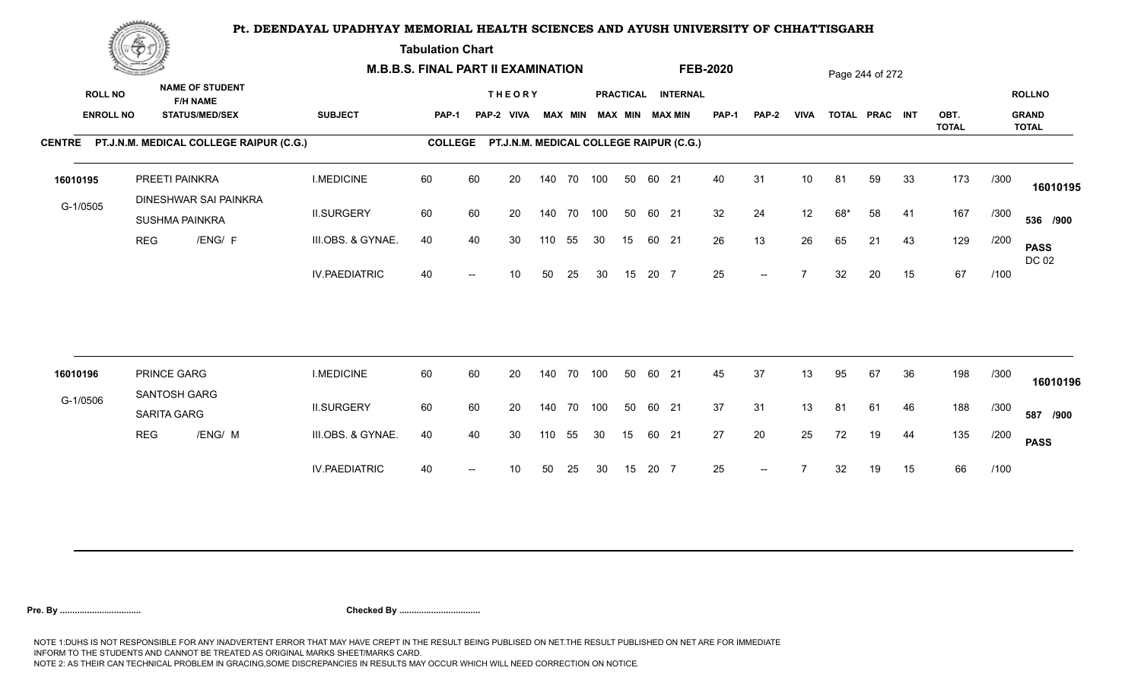**Tabulation Chart** 

|                                    | <b>Construction of the Construction</b> |                                                                    |                      | <b>M.B.B.S. FINAL PART II EXAMINATION</b> |    |                                         |     |                |     |                 |       |                                       | <b>FEB-2020</b> |              |                 |     | Page 244 of 272 |    |                      |      |                                               |
|------------------------------------|-----------------------------------------|--------------------------------------------------------------------|----------------------|-------------------------------------------|----|-----------------------------------------|-----|----------------|-----|-----------------|-------|---------------------------------------|-----------------|--------------|-----------------|-----|-----------------|----|----------------------|------|-----------------------------------------------|
| <b>ROLL NO</b><br><b>ENROLL NO</b> |                                         | <b>NAME OF STUDENT</b><br><b>F/H NAME</b><br><b>STATUS/MED/SEX</b> | <b>SUBJECT</b>       | <b>PAP-1</b>                              |    | <b>THEORY</b><br>PAP-2 VIVA             |     | <b>MAX MIN</b> |     |                 |       | PRACTICAL INTERNAL<br>MAX MIN MAX MIN | PAP-1           | <b>PAP-2</b> | <b>VIVA</b>     |     | TOTAL PRAC INT  |    | OBT.<br><b>TOTAL</b> |      | <b>ROLLNO</b><br><b>GRAND</b><br><b>TOTAL</b> |
|                                    |                                         | CENTRE PT.J.N.M. MEDICAL COLLEGE RAIPUR (C.G.)                     |                      | <b>COLLEGE</b>                            |    | PT.J.N.M. MEDICAL COLLEGE RAIPUR (C.G.) |     |                |     |                 |       |                                       |                 |              |                 |     |                 |    |                      |      |                                               |
| 16010195                           |                                         | PREETI PAINKRA<br>DINESHWAR SAI PAINKRA                            | <b>I.MEDICINE</b>    | 60                                        | 60 | 20                                      |     | 140 70 100     |     | 50              | 60 21 |                                       | 40              | 31           | 10 <sup>1</sup> | 81  | 59              | 33 | 173                  | /300 | 16010195                                      |
| G-1/0505                           |                                         | <b>SUSHMA PAINKRA</b>                                              | <b>II.SURGERY</b>    | 60                                        | 60 | 20                                      |     | 140 70         | 100 | 50              | 60 21 |                                       | 32              | 24           | 12              | 68* | 58              | 41 | 167                  | /300 | 536 /900                                      |
|                                    | <b>REG</b>                              | /ENG/ F                                                            | III.OBS. & GYNAE.    | 40                                        | 40 | 30                                      | 110 | 55             | 30  | 15              | 60 21 |                                       | 26              | 13           | 26              | 65  | 21              | 43 | 129                  | /200 | <b>PASS</b><br>DC 02                          |
|                                    |                                         |                                                                    | <b>IV.PAEDIATRIC</b> | 40                                        |    | 10                                      | 50  | 25             | 30  | 15              | 20 7  |                                       | 25              | $--$         | $\overline{ }$  | 32  | 20              | 15 | 67                   | /100 |                                               |
|                                    |                                         |                                                                    |                      |                                           |    |                                         |     |                |     |                 |       |                                       |                 |              |                 |     |                 |    |                      |      |                                               |
| 16010196                           |                                         | PRINCE GARG<br>SANTOSH GARG                                        | <b>I.MEDICINE</b>    | 60                                        | 60 | 20                                      |     | 140 70 100     |     | 50              | 60 21 |                                       | 45              | 37           | 13              | 95  | 67              | 36 | 198                  | /300 | 16010196                                      |
| G-1/0506                           |                                         | SARITA GARG                                                        | <b>II.SURGERY</b>    | 60                                        | 60 | 20                                      |     | 140 70 100     |     | 50              | 60 21 |                                       | 37              | 31           | 13              | 81  | 61              | 46 | 188                  | /300 | 587 /900                                      |
|                                    | <b>REG</b>                              | /ENG/ M                                                            | III.OBS. & GYNAE.    | 40                                        | 40 | 30                                      | 110 | 55             | 30  | 15 <sub>1</sub> | 60 21 |                                       | 27              | 20           | 25              | 72  | 19              | 44 | 135                  | /200 | <b>PASS</b>                                   |
|                                    |                                         |                                                                    | <b>IV.PAEDIATRIC</b> | 40                                        |    | 10                                      | 50  | 25             | 30  | 15              | 20 7  |                                       | 25              | $--$         |                 | 32  | 19              | 15 | 66                   | /100 |                                               |
|                                    |                                         |                                                                    |                      |                                           |    |                                         |     |                |     |                 |       |                                       |                 |              |                 |     |                 |    |                      |      |                                               |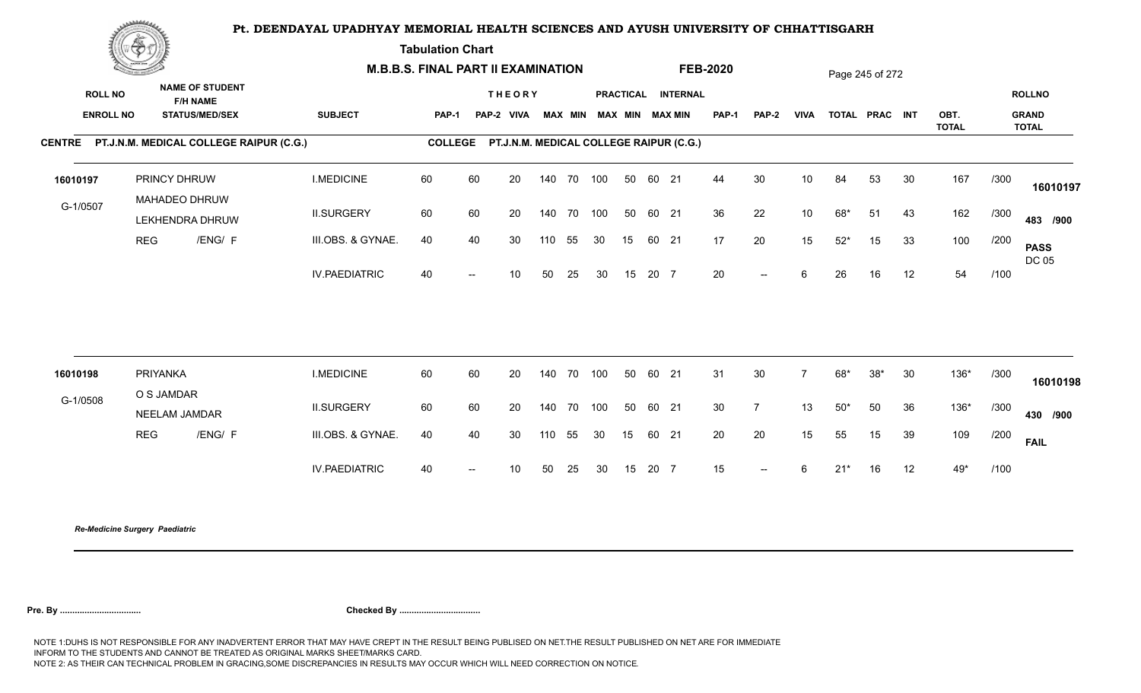**Tabulation Chart** 

|                                    | <b>Construction of the Construction</b> |                                                                    | <b>M.B.B.S. FINAL PART II EXAMINATION</b> |                |                          |                                         |     |            |                         |    |       |                    | <b>FEB-2020</b> |                                                  |             |       | Page 245 of 272 |    |                      |      |                               |
|------------------------------------|-----------------------------------------|--------------------------------------------------------------------|-------------------------------------------|----------------|--------------------------|-----------------------------------------|-----|------------|-------------------------|----|-------|--------------------|-----------------|--------------------------------------------------|-------------|-------|-----------------|----|----------------------|------|-------------------------------|
| <b>ROLL NO</b><br><b>ENROLL NO</b> |                                         | <b>NAME OF STUDENT</b><br><b>F/H NAME</b><br><b>STATUS/MED/SEX</b> | <b>SUBJECT</b>                            | <b>PAP-1</b>   |                          | <b>THEORY</b><br>PAP-2 VIVA             |     |            | MAX MIN MAX MIN MAX MIN |    |       | PRACTICAL INTERNAL | <b>PAP-1</b>    | PAP-2                                            | <b>VIVA</b> |       | TOTAL PRAC INT  |    | OBT.<br><b>TOTAL</b> |      | <b>ROLLNO</b><br><b>GRAND</b> |
|                                    |                                         | CENTRE PT.J.N.M. MEDICAL COLLEGE RAIPUR (C.G.)                     |                                           | <b>COLLEGE</b> |                          | PT.J.N.M. MEDICAL COLLEGE RAIPUR (C.G.) |     |            |                         |    |       |                    |                 |                                                  |             |       |                 |    |                      |      | <b>TOTAL</b>                  |
| 16010197                           |                                         | PRINCY DHRUW<br>MAHADEO DHRUW                                      | <b>I.MEDICINE</b>                         | 60             | 60                       | 20                                      |     | 140 70 100 |                         | 50 | 60 21 |                    | 44              | 30                                               | 10          | 84    | 53              | 30 | 167                  | /300 | 16010197                      |
| G-1/0507                           |                                         | LEKHENDRA DHRUW                                                    | <b>II.SURGERY</b>                         | 60             | 60                       | 20                                      |     | 140 70 100 |                         | 50 | 60 21 |                    | 36              | 22                                               | 10          | 68*   | 51              | 43 | 162                  | /300 | 483 /900                      |
|                                    | <b>REG</b>                              | /ENG/ F                                                            | III.OBS. & GYNAE.                         | 40             | 40                       | 30                                      | 110 | 55         | 30                      | 15 | 60 21 |                    | 17              | 20                                               | 15          | $52*$ | 15              | 33 | 100                  | /200 | <b>PASS</b><br>DC 05          |
|                                    |                                         |                                                                    | <b>IV.PAEDIATRIC</b>                      | 40             | $\hspace{0.05cm}$        | 10 <sup>°</sup>                         | 50  | 25         | 30                      | 15 | 20 7  |                    | 20              | $\overline{\phantom{a}}$                         | 6           | 26    | 16              | 12 | 54                   | /100 |                               |
|                                    |                                         |                                                                    |                                           |                |                          |                                         |     |            |                         |    |       |                    |                 |                                                  |             |       |                 |    |                      |      |                               |
| 16010198                           | PRIYANKA                                | O S JAMDAR                                                         | <b>I.MEDICINE</b>                         | 60             | 60                       | 20                                      |     | 140 70     | 100                     | 50 | 60 21 |                    | 31              | 30                                               |             | 68*   | $38*$           | 30 | 136*                 | /300 | 16010198                      |
| G-1/0508                           |                                         | NEELAM JAMDAR                                                      | <b>II.SURGERY</b>                         | 60             | 60                       | 20                                      |     | 140 70     | 100                     | 50 | 60 21 |                    | 30 <sup>°</sup> | $\overline{7}$                                   | 13          | $50*$ | 50              | 36 | 136*                 | /300 | 430 /900                      |
|                                    | <b>REG</b>                              | /ENG/ F                                                            | III.OBS. & GYNAE.                         | 40             | 40                       | 30                                      | 110 | 55         | 30                      | 15 | 60 21 |                    | 20              | 20                                               | 15          | 55    | 15              | 39 | 109                  | /200 | <b>FAIL</b>                   |
|                                    |                                         |                                                                    | <b>IV.PAEDIATRIC</b>                      | 40             | $\overline{\phantom{a}}$ | 10 <sup>°</sup>                         | 50  | 25         | 30                      | 15 | 20 7  |                    | 15              | $\hspace{0.1em} -\hspace{0.1em} -\hspace{0.1em}$ | 6           | $21*$ | 16              | 12 | 49*                  | /100 |                               |
|                                    |                                         |                                                                    |                                           |                |                          |                                         |     |            |                         |    |       |                    |                 |                                                  |             |       |                 |    |                      |      |                               |

*Re-Medicine Surgery Paediatric*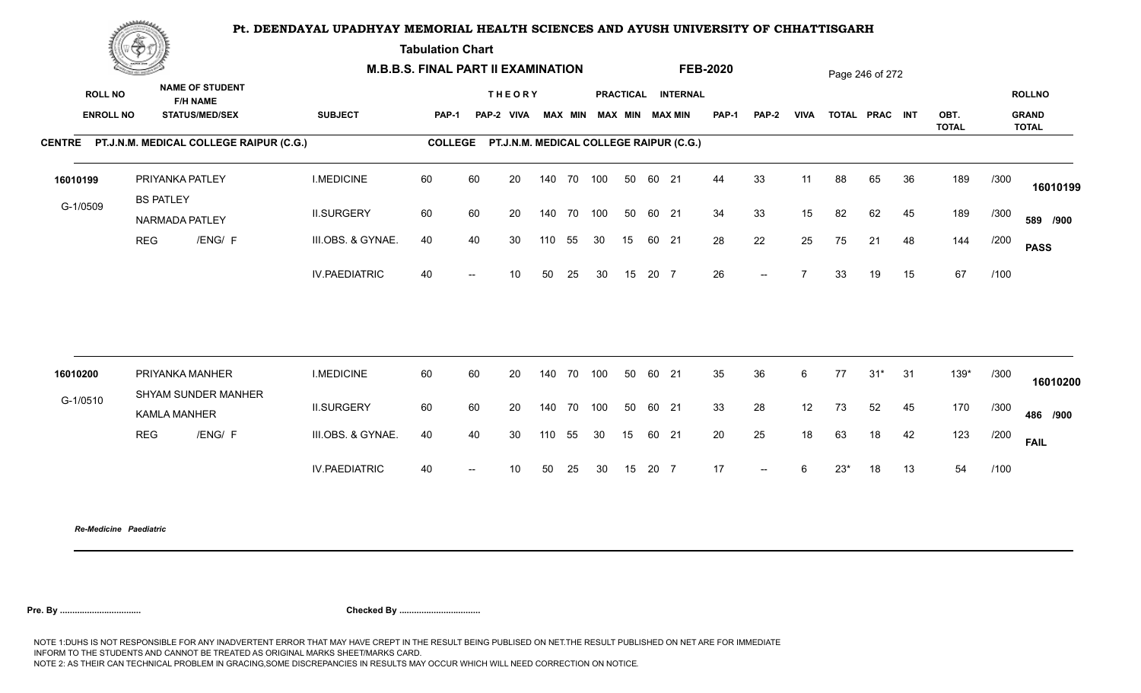**Tabulation Chart** 

|                                    | <b>Construction of the Construction</b> |                                                                    | <b>M.B.B.S. FINAL PART II EXAMINATION</b> |                |    |                                         |     |        |                         |    |       |                    | <b>FEB-2020</b> |                          |                 |       | Page 246 of 272 |    |                      |      |                                        |
|------------------------------------|-----------------------------------------|--------------------------------------------------------------------|-------------------------------------------|----------------|----|-----------------------------------------|-----|--------|-------------------------|----|-------|--------------------|-----------------|--------------------------|-----------------|-------|-----------------|----|----------------------|------|----------------------------------------|
| <b>ROLL NO</b><br><b>ENROLL NO</b> |                                         | <b>NAME OF STUDENT</b><br><b>F/H NAME</b><br><b>STATUS/MED/SEX</b> | <b>SUBJECT</b>                            | <b>PAP-1</b>   |    | <b>THEORY</b><br>PAP-2 VIVA             |     |        | MAX MIN MAX MIN MAX MIN |    |       | PRACTICAL INTERNAL | PAP-1           | PAP-2                    | <b>VIVA</b>     |       | TOTAL PRAC INT  |    | OBT.<br><b>TOTAL</b> |      | <b>ROLLNO</b><br><b>GRAND</b><br>TOTAL |
|                                    |                                         | CENTRE PT.J.N.M. MEDICAL COLLEGE RAIPUR (C.G.)                     |                                           | <b>COLLEGE</b> |    | PT.J.N.M. MEDICAL COLLEGE RAIPUR (C.G.) |     |        |                         |    |       |                    |                 |                          |                 |       |                 |    |                      |      |                                        |
| 16010199                           |                                         | PRIYANKA PATLEY<br><b>BS PATLEY</b>                                | <b>I.MEDICINE</b>                         | 60             | 60 | 20                                      |     |        | 140 70 100              | 50 | 60 21 |                    | 44              | 33                       | 11              | 88    | 65              | 36 | 189                  | /300 | 16010199                               |
| G-1/0509                           |                                         | NARMADA PATLEY                                                     | <b>II.SURGERY</b>                         | 60             | 60 | 20                                      |     | 140 70 | 100                     | 50 | 60 21 |                    | 34              | 33                       | 15              | 82    | 62              | 45 | 189                  | /300 | 589 /900                               |
|                                    | <b>REG</b>                              | /ENG/ F                                                            | III.OBS. & GYNAE.                         | 40             | 40 | 30                                      | 110 | 55     | 30                      | 15 | 60 21 |                    | 28              | 22                       | 25              | 75    | 21              | 48 | 144                  | /200 | <b>PASS</b>                            |
|                                    |                                         |                                                                    | <b>IV.PAEDIATRIC</b>                      | 40             |    | 10                                      | 50  | 25     | 30                      | 15 | 20 7  |                    | 26              | $--$                     | $\overline{7}$  | 33    | 19              | 15 | 67                   | /100 |                                        |
|                                    |                                         | PRIYANKA MANHER                                                    | <b>I.MEDICINE</b>                         | 60             | 60 | 20                                      |     |        | 140 70 100              | 50 | 60 21 |                    | 35              | 36                       | $6\overline{6}$ | 77    | $31*$           | 31 | $139*$               | /300 |                                        |
| 16010200                           |                                         | SHYAM SUNDER MANHER                                                |                                           |                |    |                                         |     |        |                         |    |       |                    |                 |                          |                 |       |                 |    |                      |      | 16010200                               |
| G-1/0510                           |                                         | <b>KAMLA MANHER</b>                                                | <b>II.SURGERY</b>                         | 60             | 60 | 20                                      |     | 140 70 | 100                     | 50 | 60 21 |                    | 33              | 28                       | 12              | 73    | 52              | 45 | 170                  | /300 | 486 /900                               |
|                                    | <b>REG</b>                              | /ENG/ F                                                            | III.OBS. & GYNAE.                         | 40             | 40 | 30                                      | 110 | 55     | 30                      | 15 | 60 21 |                    | 20              | 25                       | 18              | 63    | 18              | 42 | 123                  | /200 | <b>FAIL</b>                            |
|                                    |                                         |                                                                    | <b>IV.PAEDIATRIC</b>                      | 40             |    | 10 <sup>°</sup>                         | 50  | 25     | 30                      | 15 | 20 7  |                    | 17              | $\overline{\phantom{a}}$ | 6               | $23*$ | 18              | 13 | 54                   | /100 |                                        |
|                                    |                                         |                                                                    |                                           |                |    |                                         |     |        |                         |    |       |                    |                 |                          |                 |       |                 |    |                      |      |                                        |

*Re-Medicine Paediatric*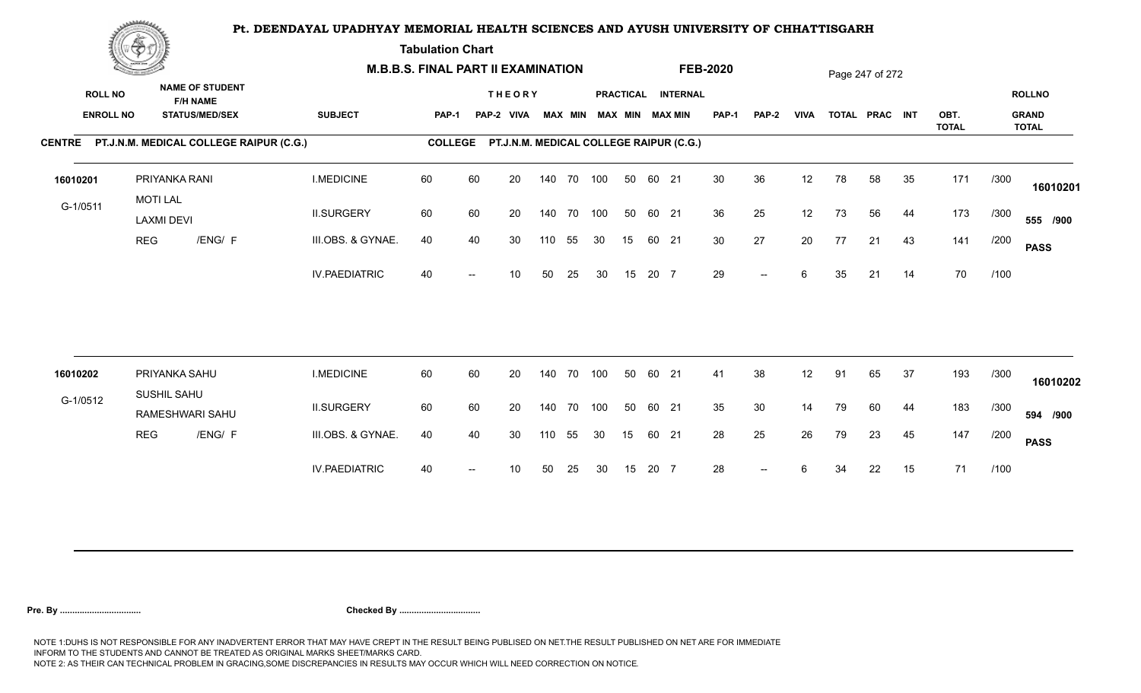**Tabulation Chart** 

|                                    | <b>Construction of the Construction</b> |                                                                    |                                                | <b>M.B.B.S. FINAL PART II EXAMINATION</b> |                |    |                                         |     |                |     |    |       |                                              | <b>FEB-2020</b> |                          |             |    | Page 247 of 272 |    |                      |      |                                               |
|------------------------------------|-----------------------------------------|--------------------------------------------------------------------|------------------------------------------------|-------------------------------------------|----------------|----|-----------------------------------------|-----|----------------|-----|----|-------|----------------------------------------------|-----------------|--------------------------|-------------|----|-----------------|----|----------------------|------|-----------------------------------------------|
| <b>ROLL NO</b><br><b>ENROLL NO</b> |                                         | <b>NAME OF STUDENT</b><br><b>F/H NAME</b><br><b>STATUS/MED/SEX</b> |                                                | <b>SUBJECT</b>                            | PAP-1          |    | <b>THEORY</b><br>PAP-2 VIVA             |     | <b>MAX MIN</b> |     |    |       | PRACTICAL INTERNAL<br><b>MAX MIN MAX MIN</b> | <b>PAP-1</b>    | PAP-2                    | <b>VIVA</b> |    | TOTAL PRAC INT  |    | OBT.<br><b>TOTAL</b> |      | <b>ROLLNO</b><br><b>GRAND</b><br><b>TOTAL</b> |
|                                    |                                         |                                                                    | CENTRE PT.J.N.M. MEDICAL COLLEGE RAIPUR (C.G.) |                                           | <b>COLLEGE</b> |    | PT.J.N.M. MEDICAL COLLEGE RAIPUR (C.G.) |     |                |     |    |       |                                              |                 |                          |             |    |                 |    |                      |      |                                               |
| 16010201                           |                                         | PRIYANKA RANI<br><b>MOTI LAL</b>                                   |                                                | <b>I.MEDICINE</b>                         | 60             | 60 | 20                                      |     | 140 70 100     |     | 50 | 60 21 |                                              | 30              | 36                       | 12          | 78 | 58              | 35 | 171                  | /300 | 16010201                                      |
| G-1/0511                           |                                         | <b>LAXMI DEVI</b>                                                  |                                                | <b>II.SURGERY</b>                         | 60             | 60 | 20                                      |     | 140 70         | 100 | 50 | 60 21 |                                              | 36              | 25                       | 12          | 73 | 56              | 44 | 173                  | /300 | 555 /900                                      |
|                                    | <b>REG</b>                              |                                                                    | /ENG/ F                                        | III.OBS. & GYNAE.                         | 40             | 40 | 30                                      | 110 | 55             | 30  | 15 | 60 21 |                                              | 30 <sup>°</sup> | 27                       | 20          | 77 | 21              | 43 | 141                  | /200 | <b>PASS</b>                                   |
|                                    |                                         |                                                                    |                                                | <b>IV.PAEDIATRIC</b>                      | 40             |    | 10                                      | 50  | 25             | 30  | 15 | 20 7  |                                              | 29              | $\overline{\phantom{a}}$ | 6           | 35 | 21              | 14 | 70                   | /100 |                                               |
|                                    |                                         |                                                                    |                                                |                                           |                |    |                                         |     |                |     |    |       |                                              |                 |                          |             |    |                 |    |                      |      |                                               |
| 16010202                           |                                         | PRIYANKA SAHU<br>SUSHIL SAHU                                       |                                                | <b>I.MEDICINE</b>                         | 60             | 60 | 20                                      |     | 140 70         | 100 | 50 | 60 21 |                                              | 41              | 38                       | 12          | 91 | 65              | 37 | 193                  | /300 | 16010202                                      |
| G-1/0512                           |                                         | RAMESHWARI SAHU                                                    |                                                | <b>II.SURGERY</b>                         | 60             | 60 | 20                                      |     | 140 70         | 100 | 50 | 60 21 |                                              | 35              | 30                       | 14          | 79 | 60              | 44 | 183                  | /300 | 594 /900                                      |
|                                    | <b>REG</b>                              |                                                                    | /ENG/ F                                        | III.OBS. & GYNAE.                         | 40             | 40 | 30                                      | 110 | 55             | 30  | 15 | 60 21 |                                              | 28              | 25                       | 26          | 79 | 23              | 45 | 147                  | /200 | <b>PASS</b>                                   |
|                                    |                                         |                                                                    |                                                | <b>IV.PAEDIATRIC</b>                      | 40             |    | 10                                      | 50  | 25             | 30  | 15 | 20 7  |                                              | 28              | $\overline{\phantom{a}}$ | 6           | 34 | 22              | 15 | 71                   | /100 |                                               |
|                                    |                                         |                                                                    |                                                |                                           |                |    |                                         |     |                |     |    |       |                                              |                 |                          |             |    |                 |    |                      |      |                                               |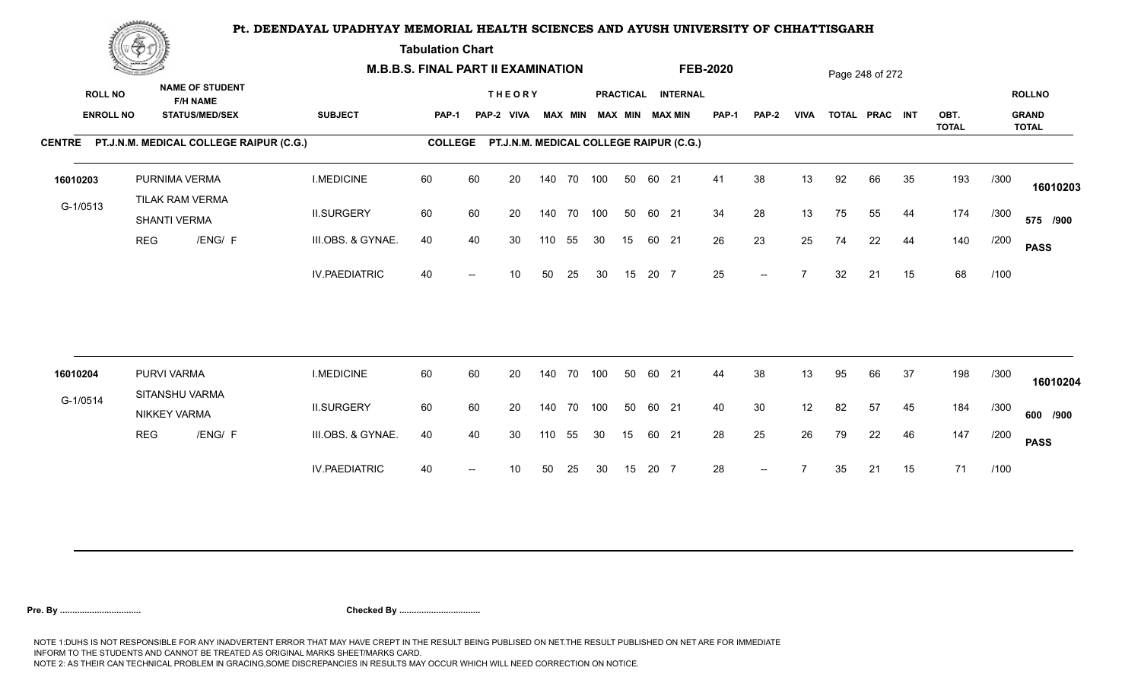**Tabulation Chart** 

|                                    | <b>Construction of the Construction</b> |                                                                    | <b>M.B.B.S. FINAL PART II EXAMINATION</b> |                |    |                                         |     |                |            |    |       |                                       | <b>FEB-2020</b> |                          |             |    | Page 248 of 272 |    |                      |      |                                               |
|------------------------------------|-----------------------------------------|--------------------------------------------------------------------|-------------------------------------------|----------------|----|-----------------------------------------|-----|----------------|------------|----|-------|---------------------------------------|-----------------|--------------------------|-------------|----|-----------------|----|----------------------|------|-----------------------------------------------|
| <b>ROLL NO</b><br><b>ENROLL NO</b> |                                         | <b>NAME OF STUDENT</b><br><b>F/H NAME</b><br><b>STATUS/MED/SEX</b> | <b>SUBJECT</b>                            | <b>PAP-1</b>   |    | <b>THEORY</b><br>PAP-2 VIVA             |     | <b>MAX MIN</b> |            |    |       | PRACTICAL INTERNAL<br>MAX MIN MAX MIN | PAP-1           | <b>PAP-2</b>             | <b>VIVA</b> |    | TOTAL PRAC INT  |    | OBT.<br><b>TOTAL</b> |      | <b>ROLLNO</b><br><b>GRAND</b><br><b>TOTAL</b> |
|                                    |                                         | CENTRE PT.J.N.M. MEDICAL COLLEGE RAIPUR (C.G.)                     |                                           | <b>COLLEGE</b> |    | PT.J.N.M. MEDICAL COLLEGE RAIPUR (C.G.) |     |                |            |    |       |                                       |                 |                          |             |    |                 |    |                      |      |                                               |
| 16010203                           |                                         | PURNIMA VERMA<br>TILAK RAM VERMA                                   | <b>I.MEDICINE</b>                         | 60             | 60 | 20                                      |     |                | 140 70 100 | 50 | 60 21 |                                       | 41              | 38                       | 13          | 92 | 66              | 35 | 193                  | /300 | 16010203                                      |
| G-1/0513                           |                                         | SHANTI VERMA                                                       | <b>II.SURGERY</b>                         | 60             | 60 | 20                                      |     |                | 140 70 100 | 50 | 60 21 |                                       | 34              | 28                       | 13          | 75 | 55              | 44 | 174                  | /300 | 575 /900                                      |
|                                    | <b>REG</b>                              | /ENG/ F                                                            | III.OBS. & GYNAE.                         | 40             | 40 | 30                                      | 110 | 55             | 30         | 15 | 60 21 |                                       | 26              | 23                       | 25          | 74 | 22              | 44 | 140                  | /200 | <b>PASS</b>                                   |
|                                    |                                         |                                                                    | <b>IV.PAEDIATRIC</b>                      | 40             |    | 10                                      | 50  | 25             | 30         | 15 | 20 7  |                                       | 25              | $\overline{\phantom{a}}$ |             | 32 | 21              | 15 | 68                   | /100 |                                               |
|                                    |                                         | PURVI VARMA                                                        | <b>I.MEDICINE</b>                         | 60             | 60 | 20                                      |     | 140 70         | 100        | 50 | 60 21 |                                       | 44              | 38                       | 13          | 95 | 66              | 37 | 198                  | /300 |                                               |
| 16010204                           |                                         | SITANSHU VARMA                                                     |                                           |                |    |                                         |     |                |            |    |       |                                       |                 |                          |             |    |                 |    |                      |      | 16010204                                      |
| G-1/0514                           |                                         | <b>NIKKEY VARMA</b>                                                | <b>II.SURGERY</b>                         | 60             | 60 | 20                                      |     |                | 140 70 100 | 50 | 60 21 |                                       | 40              | 30                       | 12          | 82 | 57              | 45 | 184                  | /300 | 600 /900                                      |
|                                    | <b>REG</b>                              | /ENG/ F                                                            | III.OBS. & GYNAE.                         | 40             | 40 | 30                                      | 110 | 55             | 30         | 15 | 60 21 |                                       | 28              | 25                       | 26          | 79 | 22              | 46 | 147                  | /200 | <b>PASS</b>                                   |
|                                    |                                         |                                                                    | <b>IV.PAEDIATRIC</b>                      | 40             |    | 10                                      | 50  | 25             | 30         | 15 | 20 7  |                                       | 28              | $--$                     |             | 35 | 21              | 15 | 71                   | /100 |                                               |
|                                    |                                         |                                                                    |                                           |                |    |                                         |     |                |            |    |       |                                       |                 |                          |             |    |                 |    |                      |      |                                               |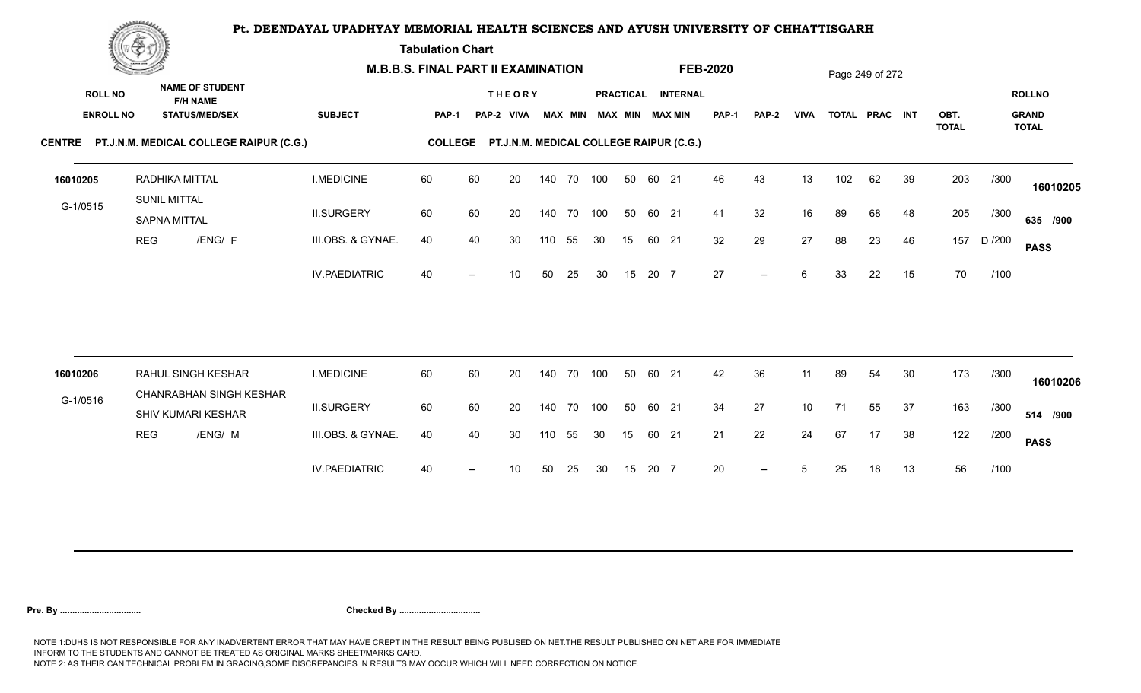**Tabulation Chart** 

|                                    | <b>Construction of the Construction</b> |                                                                    |                      | <b>M.B.B.S. FINAL PART II EXAMINATION</b> |    |                                         |     |                |            |    |       |                                       | <b>FEB-2020</b> |                          |             |     | Page 249 of 272 |    |                      |        |                                               |
|------------------------------------|-----------------------------------------|--------------------------------------------------------------------|----------------------|-------------------------------------------|----|-----------------------------------------|-----|----------------|------------|----|-------|---------------------------------------|-----------------|--------------------------|-------------|-----|-----------------|----|----------------------|--------|-----------------------------------------------|
| <b>ROLL NO</b><br><b>ENROLL NO</b> |                                         | <b>NAME OF STUDENT</b><br><b>F/H NAME</b><br><b>STATUS/MED/SEX</b> | <b>SUBJECT</b>       | <b>PAP-1</b>                              |    | <b>THEORY</b><br>PAP-2 VIVA             |     | <b>MAX MIN</b> |            |    |       | PRACTICAL INTERNAL<br>MAX MIN MAX MIN | <b>PAP-1</b>    | <b>PAP-2</b>             | <b>VIVA</b> |     | TOTAL PRAC INT  |    | OBT.<br><b>TOTAL</b> |        | <b>ROLLNO</b><br><b>GRAND</b><br><b>TOTAL</b> |
|                                    |                                         | CENTRE PT.J.N.M. MEDICAL COLLEGE RAIPUR (C.G.)                     |                      | <b>COLLEGE</b>                            |    | PT.J.N.M. MEDICAL COLLEGE RAIPUR (C.G.) |     |                |            |    |       |                                       |                 |                          |             |     |                 |    |                      |        |                                               |
| 16010205                           |                                         | RADHIKA MITTAL<br><b>SUNIL MITTAL</b>                              | <b>I.MEDICINE</b>    | 60                                        | 60 | 20                                      |     | 140 70         | 100        | 50 | 60 21 |                                       | 46              | 43                       | 13          | 102 | 62              | 39 | 203                  | /300   | 16010205                                      |
| G-1/0515                           |                                         | <b>SAPNA MITTAL</b>                                                | <b>II.SURGERY</b>    | 60                                        | 60 | 20                                      |     | 140 70         | 100        | 50 | 60 21 |                                       | 41              | 32                       | 16          | 89  | 68              | 48 | 205                  | /300   | 635 /900                                      |
|                                    | <b>REG</b>                              | /ENG/ F                                                            | III.OBS. & GYNAE.    | 40                                        | 40 | 30                                      | 110 | 55             | 30         | 15 | 60 21 |                                       | 32              | 29                       | 27          | 88  | 23              | 46 | 157                  | D /200 | <b>PASS</b>                                   |
|                                    |                                         |                                                                    | <b>IV.PAEDIATRIC</b> | 40                                        |    | 10                                      | 50  | 25             | 30         | 15 | 20 7  |                                       | 27              | $\overline{\phantom{a}}$ | 6           | 33  | 22              | 15 | 70                   | /100   |                                               |
|                                    |                                         |                                                                    |                      |                                           |    |                                         |     |                |            |    |       |                                       |                 |                          |             |     |                 |    |                      |        |                                               |
| 16010206                           |                                         | RAHUL SINGH KESHAR<br>CHANRABHAN SINGH KESHAR                      | <b>I.MEDICINE</b>    | 60                                        | 60 | 20                                      |     | 140 70         | 100        | 50 | 60 21 |                                       | 42              | 36                       | 11          | 89  | 54              | 30 | 173                  | /300   | 16010206                                      |
| G-1/0516                           |                                         | SHIV KUMARI KESHAR                                                 | <b>II.SURGERY</b>    | 60                                        | 60 | 20                                      |     |                | 140 70 100 | 50 | 60 21 |                                       | 34              | 27                       | 10          | 71  | 55              | 37 | 163                  | /300   | 514 /900                                      |
|                                    | <b>REG</b>                              | /ENG/ M                                                            | III.OBS. & GYNAE.    | 40                                        | 40 | 30                                      | 110 | 55             | 30         | 15 | 60 21 |                                       | 21              | 22                       | 24          | 67  | 17              | 38 | 122                  | /200   | <b>PASS</b>                                   |
|                                    |                                         |                                                                    | <b>IV.PAEDIATRIC</b> | 40                                        |    | 10                                      | 50  | 25             | 30         | 15 | 20 7  |                                       | 20              | $-$                      | 5           | 25  | 18              | 13 | 56                   | /100   |                                               |
|                                    |                                         |                                                                    |                      |                                           |    |                                         |     |                |            |    |       |                                       |                 |                          |             |     |                 |    |                      |        |                                               |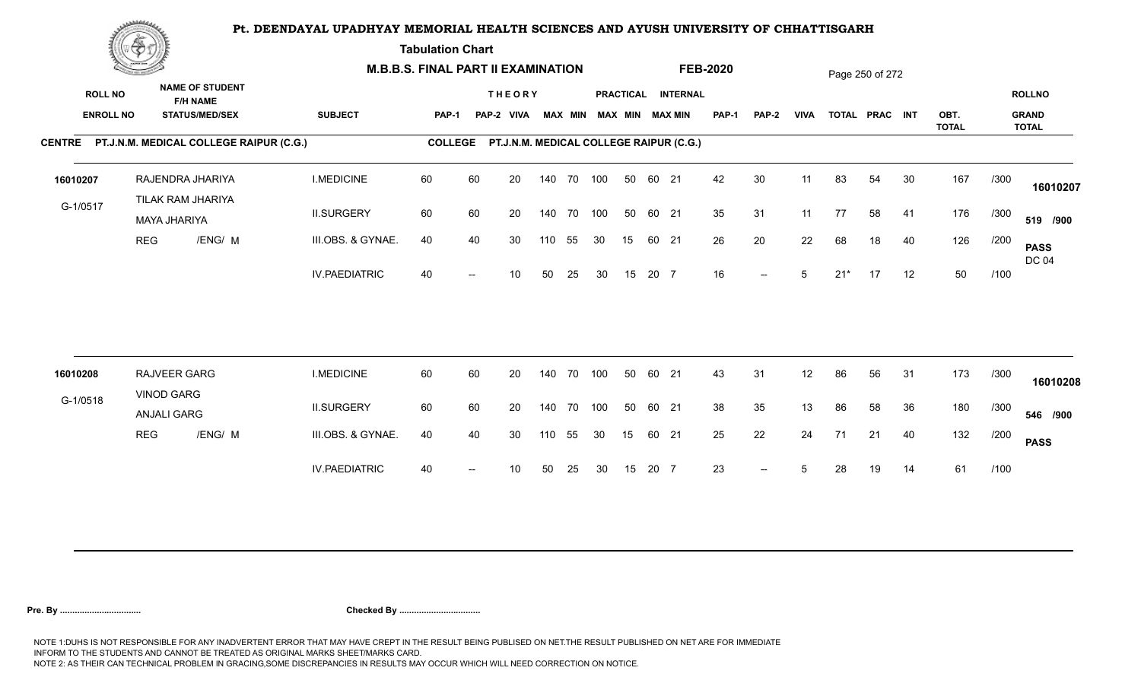**Tabulation Chart** 

|                                    | <b>Construction of the Construction</b> |                                   |                                                 | <b>M.B.B.S. FINAL PART II EXAMINATION</b> |                |    |                                         |     |                |            |    |       |                                       | <b>FEB-2020</b> |                          |             |       | Page 250 of 272 |    |                      |      |                                               |
|------------------------------------|-----------------------------------------|-----------------------------------|-------------------------------------------------|-------------------------------------------|----------------|----|-----------------------------------------|-----|----------------|------------|----|-------|---------------------------------------|-----------------|--------------------------|-------------|-------|-----------------|----|----------------------|------|-----------------------------------------------|
| <b>ROLL NO</b><br><b>ENROLL NO</b> |                                         | <b>F/H NAME</b>                   | <b>NAME OF STUDENT</b><br><b>STATUS/MED/SEX</b> | <b>SUBJECT</b>                            | <b>PAP-1</b>   |    | <b>THEORY</b><br>PAP-2 VIVA             |     | <b>MAX MIN</b> |            |    |       | PRACTICAL INTERNAL<br>MAX MIN MAX MIN | <b>PAP-1</b>    | <b>PAP-2</b>             | <b>VIVA</b> |       | TOTAL PRAC INT  |    | OBT.<br><b>TOTAL</b> |      | <b>ROLLNO</b><br><b>GRAND</b><br><b>TOTAL</b> |
|                                    |                                         |                                   | CENTRE PT.J.N.M. MEDICAL COLLEGE RAIPUR (C.G.)  |                                           | <b>COLLEGE</b> |    | PT.J.N.M. MEDICAL COLLEGE RAIPUR (C.G.) |     |                |            |    |       |                                       |                 |                          |             |       |                 |    |                      |      |                                               |
| 16010207                           |                                         | RAJENDRA JHARIYA                  |                                                 | <b>I.MEDICINE</b>                         | 60             | 60 | 20                                      |     |                | 140 70 100 | 50 | 60 21 |                                       | 42              | 30                       | 11          | 83    | 54              | 30 | 167                  | /300 | 16010207                                      |
| G-1/0517                           |                                         | TILAK RAM JHARIYA<br>MAYA JHARIYA |                                                 | <b>II.SURGERY</b>                         | 60             | 60 | 20                                      |     |                | 140 70 100 | 50 | 60 21 |                                       | 35              | 31                       | 11          | 77    | 58              | 41 | 176                  | /300 | 519 /900                                      |
|                                    | <b>REG</b>                              |                                   | /ENG/ M                                         | III.OBS. & GYNAE.                         | 40             | 40 | 30                                      | 110 | 55             | 30         | 15 | 60 21 |                                       | 26              | 20                       | 22          | 68    | 18              | 40 | 126                  | /200 | <b>PASS</b><br><b>DC 04</b>                   |
|                                    |                                         |                                   |                                                 | <b>IV.PAEDIATRIC</b>                      | 40             |    | 10                                      | 50  | 25             | 30         | 15 | 20 7  |                                       | 16              | $\overline{\phantom{a}}$ | 5           | $21*$ | 17              | 12 | 50                   | /100 |                                               |
|                                    |                                         |                                   |                                                 |                                           |                |    |                                         |     |                |            |    |       |                                       |                 |                          |             |       |                 |    |                      |      |                                               |
| 16010208                           |                                         | RAJVEER GARG<br><b>VINOD GARG</b> |                                                 | <b>I.MEDICINE</b>                         | 60             | 60 | 20                                      |     | 140 70         | 100        | 50 | 60 21 |                                       | 43              | 31                       | 12          | 86    | 56              | 31 | 173                  | /300 | 16010208                                      |
| G-1/0518                           |                                         | <b>ANJALI GARG</b>                |                                                 | <b>II.SURGERY</b>                         | 60             | 60 | 20                                      |     |                | 140 70 100 | 50 | 60 21 |                                       | 38              | 35                       | 13          | 86    | 58              | 36 | 180                  | /300 | 546 /900                                      |
|                                    | <b>REG</b>                              |                                   | /ENG/ M                                         | III.OBS. & GYNAE.                         | 40             | 40 | 30                                      | 110 | 55             | 30         | 15 | 60 21 |                                       | 25              | 22                       | 24          | 71    | 21              | 40 | 132                  | /200 | <b>PASS</b>                                   |
|                                    |                                         |                                   |                                                 | <b>IV.PAEDIATRIC</b>                      | 40             |    | 10                                      | 50  | 25             | 30         | 15 | 20 7  |                                       | 23              | $-$                      | 5           | 28    | 19              | 14 | 61                   | /100 |                                               |
|                                    |                                         |                                   |                                                 |                                           |                |    |                                         |     |                |            |    |       |                                       |                 |                          |             |       |                 |    |                      |      |                                               |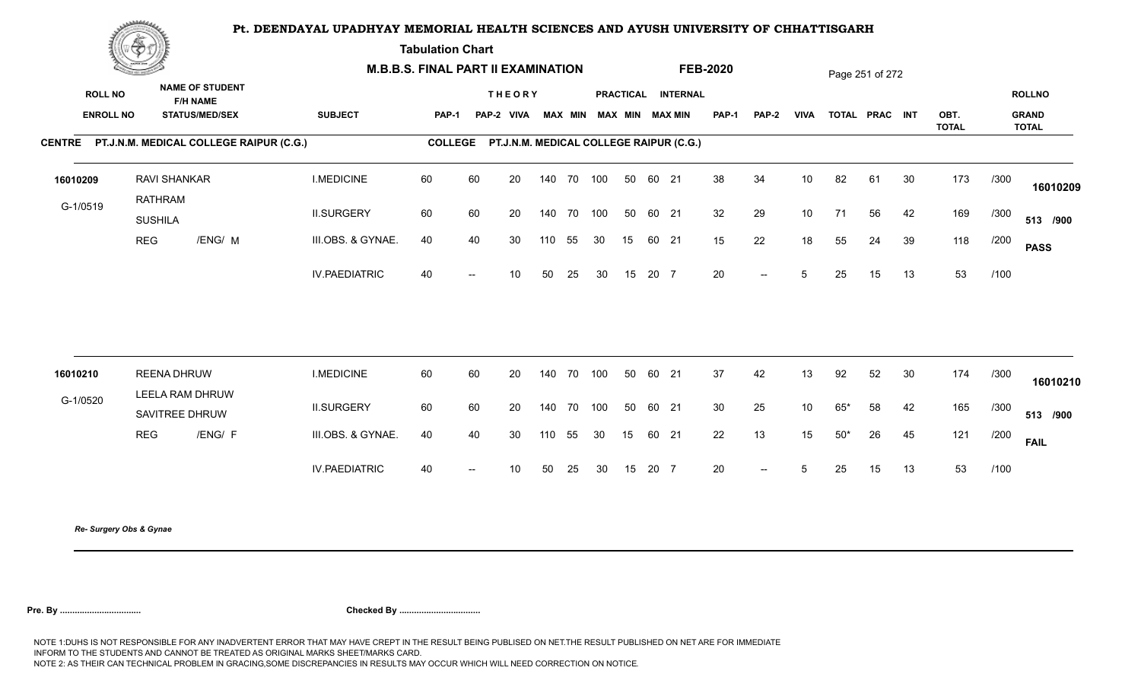**Tabulation Chart** 

|                                    | <b>Construction of the Construction</b> |                                                                    | <b>M.B.B.S. FINAL PART II EXAMINATION</b> |                |                          |                                         |        |        |                         |    |       |                    | <b>FEB-2020</b> |                                                  |                 |       | Page 251 of 272 |    |              |      |                               |
|------------------------------------|-----------------------------------------|--------------------------------------------------------------------|-------------------------------------------|----------------|--------------------------|-----------------------------------------|--------|--------|-------------------------|----|-------|--------------------|-----------------|--------------------------------------------------|-----------------|-------|-----------------|----|--------------|------|-------------------------------|
| <b>ROLL NO</b><br><b>ENROLL NO</b> |                                         | <b>NAME OF STUDENT</b><br><b>F/H NAME</b><br><b>STATUS/MED/SEX</b> | <b>SUBJECT</b>                            | <b>PAP-1</b>   |                          | <b>THEORY</b><br>PAP-2 VIVA             |        |        | MAX MIN MAX MIN MAX MIN |    |       | PRACTICAL INTERNAL | <b>PAP-1</b>    | PAP-2                                            | <b>VIVA</b>     |       | TOTAL PRAC INT  |    | OBT.         |      | <b>ROLLNO</b><br><b>GRAND</b> |
|                                    |                                         | CENTRE PT.J.N.M. MEDICAL COLLEGE RAIPUR (C.G.)                     |                                           | <b>COLLEGE</b> |                          | PT.J.N.M. MEDICAL COLLEGE RAIPUR (C.G.) |        |        |                         |    |       |                    |                 |                                                  |                 |       |                 |    | <b>TOTAL</b> |      | <b>TOTAL</b>                  |
| 16010209                           | <b>RAVI SHANKAR</b><br>RATHRAM          |                                                                    | <b>I.MEDICINE</b>                         | 60             | 60                       | 20                                      |        |        | 140 70 100              | 50 | 60 21 |                    | 38              | 34                                               | 10 <sup>1</sup> | 82    | 61              | 30 | 173          | /300 | 16010209                      |
| G-1/0519                           | <b>SUSHILA</b>                          |                                                                    | <b>II.SURGERY</b>                         | 60             | 60                       | 20                                      |        |        | 140 70 100              | 50 | 60 21 |                    | 32              | 29                                               | 10              | 71    | 56              | 42 | 169          | /300 | 513 /900                      |
|                                    | <b>REG</b>                              | /ENG/ M                                                            | III.OBS. & GYNAE.                         | 40             | 40                       | 30                                      | 110    | 55     | 30                      | 15 | 60 21 |                    | 15              | 22                                               | 18              | 55    | 24              | 39 | 118          | /200 | <b>PASS</b>                   |
|                                    |                                         |                                                                    | <b>IV.PAEDIATRIC</b>                      | 40             | $\hspace{0.05cm}$        | 10 <sup>°</sup>                         | 50     | 25     | 30                      | 15 | 20 7  |                    | 20              | $\overline{\phantom{a}}$                         | 5               | 25    | 15              | 13 | 53           | /100 |                               |
|                                    |                                         |                                                                    |                                           |                |                          |                                         |        |        |                         |    |       |                    |                 |                                                  |                 |       |                 |    |              |      |                               |
| 16010210                           | <b>REENA DHRUW</b>                      |                                                                    | <b>I.MEDICINE</b>                         | 60             | 60                       | 20                                      | 140 70 |        | 100                     | 50 | 60 21 |                    | 37              | 42                                               | 13              | 92    | 52              | 30 | 174          | /300 | 16010210                      |
| G-1/0520                           |                                         | LEELA RAM DHRUW<br>SAVITREE DHRUW                                  | <b>II.SURGERY</b>                         | 60             | 60                       | 20                                      |        | 140 70 | 100                     | 50 | 60 21 |                    | 30              | 25                                               | 10 <sup>°</sup> | $65*$ | 58              | 42 | 165          | /300 | 513 /900                      |
|                                    | <b>REG</b>                              | /ENG/ F                                                            | III.OBS. & GYNAE.                         | 40             | 40                       | 30                                      | 110    | 55     | 30                      | 15 | 60 21 |                    | 22              | 13                                               | 15              | $50*$ | 26              | 45 | 121          | /200 | <b>FAIL</b>                   |
|                                    |                                         |                                                                    | <b>IV.PAEDIATRIC</b>                      | 40             | $\overline{\phantom{a}}$ | 10 <sup>°</sup>                         | 50     | 25     | 30                      | 15 | 20 7  |                    | 20              | $\hspace{0.1em} -\hspace{0.1em} -\hspace{0.1em}$ | 5               | 25    | 15              | 13 | 53           | /100 |                               |
|                                    |                                         |                                                                    |                                           |                |                          |                                         |        |        |                         |    |       |                    |                 |                                                  |                 |       |                 |    |              |      |                               |

*Re- Surgery Obs & Gynae*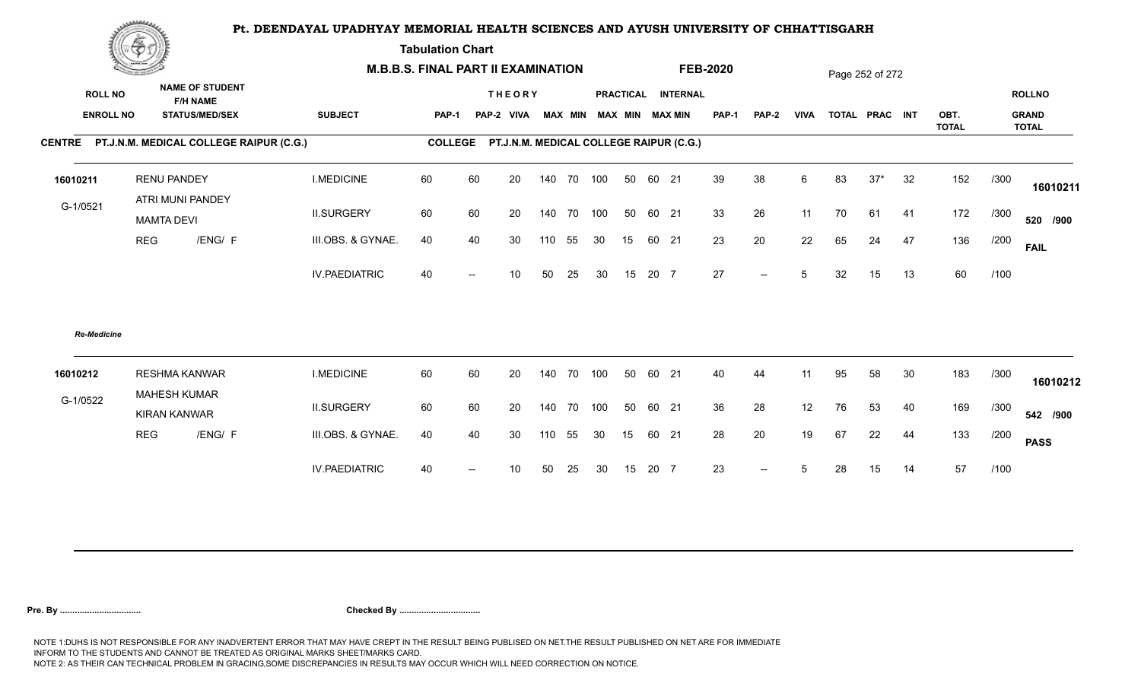**Tabulation Chart** 

|                                    | <b>Construction of the Construction</b> |                                                                    | <b>M.B.B.S. FINAL PART II EXAMINATION</b> |              |    |                             |     |                |    |    |       |                                                 | <b>FEB-2020</b> |                          |             |    | Page 252 of 272 |    |              |      |                               |
|------------------------------------|-----------------------------------------|--------------------------------------------------------------------|-------------------------------------------|--------------|----|-----------------------------|-----|----------------|----|----|-------|-------------------------------------------------|-----------------|--------------------------|-------------|----|-----------------|----|--------------|------|-------------------------------|
| <b>ROLL NO</b><br><b>ENROLL NO</b> |                                         | <b>NAME OF STUDENT</b><br><b>F/H NAME</b><br><b>STATUS/MED/SEX</b> | <b>SUBJECT</b>                            | <b>PAP-1</b> |    | <b>THEORY</b><br>PAP-2 VIVA |     | <b>MAX MIN</b> |    |    |       | PRACTICAL INTERNAL<br><b>MAX MIN MAX MIN</b>    | <b>PAP-1</b>    | PAP-2                    | <b>VIVA</b> |    | TOTAL PRAC INT  |    | OBT.         |      | <b>ROLLNO</b><br><b>GRAND</b> |
|                                    |                                         | CENTRE PT.J.N.M. MEDICAL COLLEGE RAIPUR (C.G.)                     |                                           |              |    |                             |     |                |    |    |       | COLLEGE PT.J.N.M. MEDICAL COLLEGE RAIPUR (C.G.) |                 |                          |             |    |                 |    | <b>TOTAL</b> |      | <b>TOTAL</b>                  |
|                                    |                                         |                                                                    |                                           |              |    |                             |     |                |    |    |       |                                                 |                 |                          |             |    |                 |    |              |      |                               |
| 16010211                           |                                         | <b>RENU PANDEY</b><br>ATRI MUNI PANDEY                             | <b>I.MEDICINE</b>                         | 60           | 60 | 20                          |     | 140 70 100     |    | 50 | 60 21 |                                                 | 39              | 38                       | 6           | 83 | $37*$           | 32 | 152          | /300 | 16010211                      |
| G-1/0521                           |                                         | <b>MAMTA DEVI</b>                                                  | <b>II.SURGERY</b>                         | 60           | 60 | 20                          |     | 140 70 100     |    | 50 | 60 21 |                                                 | 33              | 26                       | 11          | 70 | 61              | 41 | 172          | /300 | 520 /900                      |
|                                    | <b>REG</b>                              | /ENG/ F                                                            | III.OBS. & GYNAE.                         | 40           | 40 | 30                          | 110 | 55             | 30 | 15 | 60 21 |                                                 | 23              | 20                       | 22          | 65 | 24              | 47 | 136          | /200 | <b>FAIL</b>                   |
|                                    |                                         |                                                                    | <b>IV.PAEDIATRIC</b>                      | 40           |    | 10                          | 50  | 25             | 30 | 15 | 20 7  |                                                 | 27              | $\overline{\phantom{a}}$ | 5           | 32 | 15              | 13 | 60           | /100 |                               |
| <b>Re-Medicine</b>                 |                                         |                                                                    |                                           |              |    |                             |     |                |    |    |       |                                                 |                 |                          |             |    |                 |    |              |      |                               |
| 16010212                           |                                         | <b>RESHMA KANWAR</b>                                               | <b>I.MEDICINE</b>                         | 60           | 60 | 20                          |     | 140 70 100     |    | 50 | 60 21 |                                                 | 40              | 44                       | 11          | 95 | 58              | 30 | 183          | /300 | 16010212                      |
| G-1/0522                           |                                         | <b>MAHESH KUMAR</b><br><b>KIRAN KANWAR</b>                         | <b>II.SURGERY</b>                         | 60           | 60 | 20                          |     | 140 70 100     |    | 50 | 60 21 |                                                 | 36              | 28                       | 12          | 76 | 53              | 40 | 169          | /300 | 542 /900                      |
|                                    | <b>REG</b>                              | /ENG/ F                                                            | III.OBS. & GYNAE.                         | 40           | 40 | 30                          | 110 | 55             | 30 | 15 | 60 21 |                                                 | 28              | 20                       | 19          | 67 | 22              | 44 | 133          | /200 | <b>PASS</b>                   |
|                                    |                                         |                                                                    | <b>IV.PAEDIATRIC</b>                      | 40           |    | 10                          | 50  | 25             | 30 | 15 | 20 7  |                                                 | 23              | $--$                     | 5           | 28 | 15              | 14 | 57           | /100 |                               |
|                                    |                                         |                                                                    |                                           |              |    |                             |     |                |    |    |       |                                                 |                 |                          |             |    |                 |    |              |      |                               |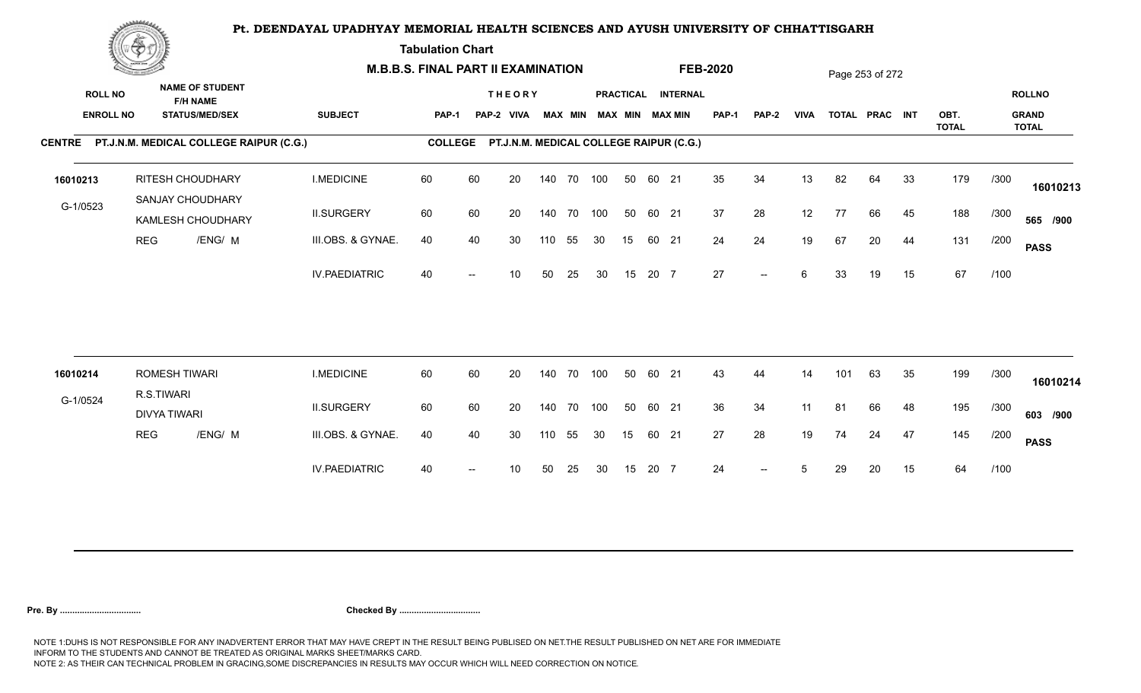**Tabulation Chart** 

|                                    | <b>Construction of the Construction</b> |                                    |                                                                    | <b>M.B.B.S. FINAL PART II EXAMINATION</b> |                |    |                                         |     |                |            |    |       |                                              | <b>FEB-2020</b> |                          |             |     | Page 253 of 272 |    |                      |      |                                               |
|------------------------------------|-----------------------------------------|------------------------------------|--------------------------------------------------------------------|-------------------------------------------|----------------|----|-----------------------------------------|-----|----------------|------------|----|-------|----------------------------------------------|-----------------|--------------------------|-------------|-----|-----------------|----|----------------------|------|-----------------------------------------------|
| <b>ROLL NO</b><br><b>ENROLL NO</b> |                                         |                                    | <b>NAME OF STUDENT</b><br><b>F/H NAME</b><br><b>STATUS/MED/SEX</b> | <b>SUBJECT</b>                            | PAP-1          |    | <b>THEORY</b><br>PAP-2 VIVA             |     | <b>MAX MIN</b> |            |    |       | PRACTICAL INTERNAL<br><b>MAX MIN MAX MIN</b> | <b>PAP-1</b>    | PAP-2                    | <b>VIVA</b> |     | TOTAL PRAC INT  |    | OBT.<br><b>TOTAL</b> |      | <b>ROLLNO</b><br><b>GRAND</b><br><b>TOTAL</b> |
|                                    |                                         |                                    | CENTRE PT.J.N.M. MEDICAL COLLEGE RAIPUR (C.G.)                     |                                           | <b>COLLEGE</b> |    | PT.J.N.M. MEDICAL COLLEGE RAIPUR (C.G.) |     |                |            |    |       |                                              |                 |                          |             |     |                 |    |                      |      |                                               |
| 16010213                           |                                         |                                    | <b>RITESH CHOUDHARY</b><br>SANJAY CHOUDHARY                        | <b>I.MEDICINE</b>                         | 60             | 60 | 20                                      |     |                | 140 70 100 | 50 | 60 21 |                                              | 35              | 34                       | 13          | 82  | 64              | 33 | 179                  | /300 | 16010213                                      |
| G-1/0523                           |                                         |                                    | KAMLESH CHOUDHARY                                                  | <b>II.SURGERY</b>                         | 60             | 60 | 20                                      |     | 140 70         | 100        | 50 | 60 21 |                                              | 37              | 28                       | 12          | 77  | 66              | 45 | 188                  | /300 | 565 /900                                      |
|                                    | <b>REG</b>                              |                                    | /ENG/ M                                                            | III.OBS. & GYNAE.                         | 40             | 40 | 30                                      | 110 | 55             | 30         | 15 | 60 21 |                                              | 24              | 24                       | 19          | 67  | 20              | 44 | 131                  | /200 | <b>PASS</b>                                   |
|                                    |                                         |                                    |                                                                    | <b>IV.PAEDIATRIC</b>                      | 40             |    | 10                                      | 50  | 25             | 30         | 15 | 20 7  |                                              | 27              | $\overline{\phantom{a}}$ | 6           | 33  | 19              | 15 | 67                   | /100 |                                               |
|                                    |                                         |                                    |                                                                    |                                           |                |    |                                         |     |                |            |    |       |                                              |                 |                          |             |     |                 |    |                      |      |                                               |
| 16010214                           |                                         | <b>ROMESH TIWARI</b><br>R.S.TIWARI |                                                                    | <b>I.MEDICINE</b>                         | 60             | 60 | 20                                      |     | 140 70         | 100        | 50 | 60 21 |                                              | 43              | 44                       | 14          | 101 | 63              | 35 | 199                  | /300 | 16010214                                      |
| G-1/0524                           |                                         | <b>DIVYA TIWARI</b>                |                                                                    | <b>II.SURGERY</b>                         | 60             | 60 | 20                                      |     | 140 70         | 100        | 50 | 60 21 |                                              | 36              | 34                       | 11          | 81  | 66              | 48 | 195                  | /300 | 603 /900                                      |
|                                    | <b>REG</b>                              |                                    | /ENG/ M                                                            | III.OBS. & GYNAE.                         | 40             | 40 | 30                                      | 110 | 55             | 30         | 15 | 60 21 |                                              | 27              | 28                       | 19          | 74  | 24              | 47 | 145                  | /200 | <b>PASS</b>                                   |
|                                    |                                         |                                    |                                                                    | <b>IV.PAEDIATRIC</b>                      | 40             |    | 10                                      | 50  | 25             | 30         | 15 | 20 7  |                                              | 24              | $-$                      | 5           | 29  | 20              | 15 | 64                   | /100 |                                               |
|                                    |                                         |                                    |                                                                    |                                           |                |    |                                         |     |                |            |    |       |                                              |                 |                          |             |     |                 |    |                      |      |                                               |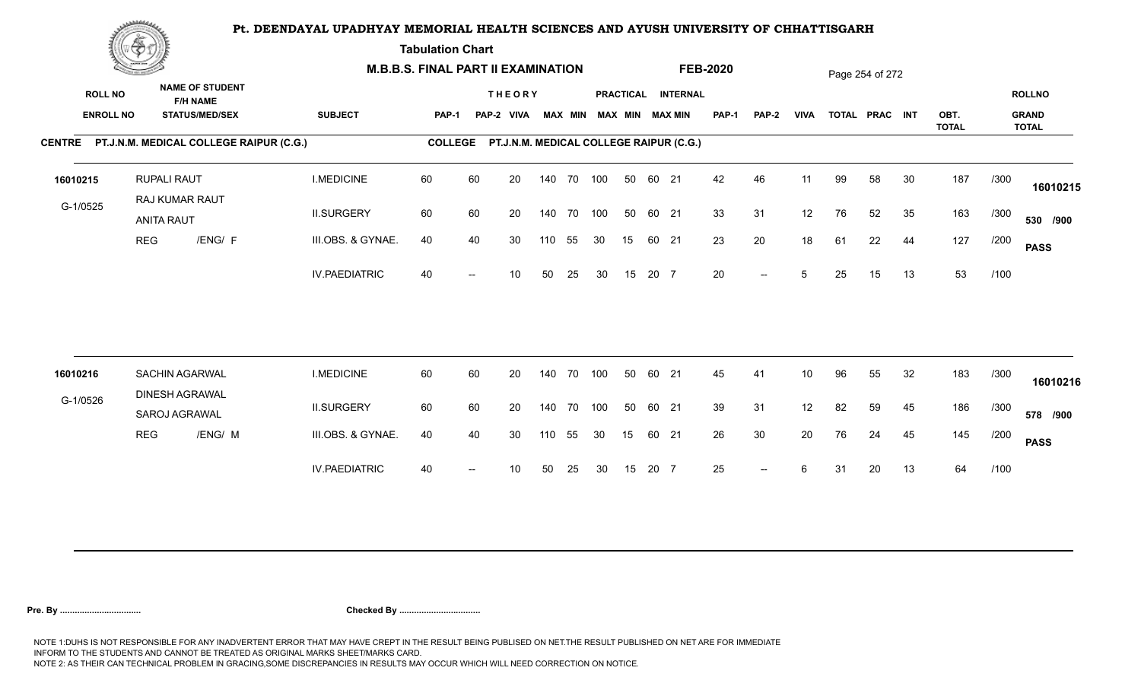**Tabulation Chart** 

|                                    | <b>Construction of the Construction</b> |                                                                    |                      | <b>M.B.B.S. FINAL PART II EXAMINATION</b> |    |                             |     |                |     |    |       |                                         | <b>FEB-2020</b> |                          |                 |    | Page 254 of 272 |    |                      |      |                                               |
|------------------------------------|-----------------------------------------|--------------------------------------------------------------------|----------------------|-------------------------------------------|----|-----------------------------|-----|----------------|-----|----|-------|-----------------------------------------|-----------------|--------------------------|-----------------|----|-----------------|----|----------------------|------|-----------------------------------------------|
| <b>ROLL NO</b><br><b>ENROLL NO</b> |                                         | <b>NAME OF STUDENT</b><br><b>F/H NAME</b><br><b>STATUS/MED/SEX</b> | <b>SUBJECT</b>       | <b>PAP-1</b>                              |    | <b>THEORY</b><br>PAP-2 VIVA |     | <b>MAX MIN</b> |     |    |       | PRACTICAL INTERNAL<br>MAX MIN MAX MIN   | PAP-1           | <b>PAP-2</b>             | <b>VIVA</b>     |    | TOTAL PRAC INT  |    | OBT.<br><b>TOTAL</b> |      | <b>ROLLNO</b><br><b>GRAND</b><br><b>TOTAL</b> |
|                                    |                                         | CENTRE PT.J.N.M. MEDICAL COLLEGE RAIPUR (C.G.)                     |                      | <b>COLLEGE</b>                            |    |                             |     |                |     |    |       | PT.J.N.M. MEDICAL COLLEGE RAIPUR (C.G.) |                 |                          |                 |    |                 |    |                      |      |                                               |
| 16010215                           |                                         | <b>RUPALI RAUT</b><br>RAJ KUMAR RAUT                               | <b>I.MEDICINE</b>    | 60                                        | 60 | 20                          |     | 140 70 100     |     | 50 | 60 21 |                                         | 42              | 46                       | 11              | 99 | 58              | 30 | 187                  | /300 | 16010215                                      |
| G-1/0525                           |                                         | <b>ANITA RAUT</b>                                                  | <b>II.SURGERY</b>    | 60                                        | 60 | 20                          |     | 140 70 100     |     | 50 | 60 21 |                                         | 33              | 31                       | 12              | 76 | 52              | 35 | 163                  | /300 | 530 /900                                      |
|                                    | <b>REG</b>                              | /ENG/ F                                                            | III.OBS. & GYNAE.    | 40                                        | 40 | 30                          | 110 | 55             | 30  | 15 | 60 21 |                                         | 23              | 20                       | 18              | 61 | 22              | 44 | 127                  | /200 | <b>PASS</b>                                   |
|                                    |                                         |                                                                    | <b>IV.PAEDIATRIC</b> | 40                                        |    | 10                          | 50  | 25             | 30  | 15 | 20 7  |                                         | 20              | $\overline{\phantom{a}}$ | 5               | 25 | 15              | 13 | 53                   | /100 |                                               |
|                                    |                                         |                                                                    |                      |                                           |    |                             |     |                |     |    |       |                                         |                 |                          |                 |    |                 |    |                      |      |                                               |
| 16010216                           |                                         | <b>SACHIN AGARWAL</b><br><b>DINESH AGRAWAL</b>                     | <b>I.MEDICINE</b>    | 60                                        | 60 | 20                          |     | 140 70         | 100 | 50 | 60 21 |                                         | 45              | 41                       | 10 <sup>°</sup> | 96 | 55              | 32 | 183                  | /300 | 16010216                                      |
| G-1/0526                           |                                         | SAROJ AGRAWAL                                                      | <b>II.SURGERY</b>    | 60                                        | 60 | 20                          |     | 140 70 100     |     | 50 | 60 21 |                                         | 39              | 31                       | 12              | 82 | 59              | 45 | 186                  | /300 | 578 /900                                      |
|                                    | <b>REG</b>                              | /ENG/ M                                                            | III.OBS. & GYNAE.    | 40                                        | 40 | 30                          | 110 | 55             | 30  | 15 | 60 21 |                                         | 26              | 30                       | 20              | 76 | 24              | 45 | 145                  | /200 | <b>PASS</b>                                   |
|                                    |                                         |                                                                    | <b>IV.PAEDIATRIC</b> | 40                                        |    | 10                          | 50  | 25             | 30  | 15 | 20 7  |                                         | 25              | $\overline{\phantom{a}}$ | 6               | 31 | 20              | 13 | 64                   | /100 |                                               |
|                                    |                                         |                                                                    |                      |                                           |    |                             |     |                |     |    |       |                                         |                 |                          |                 |    |                 |    |                      |      |                                               |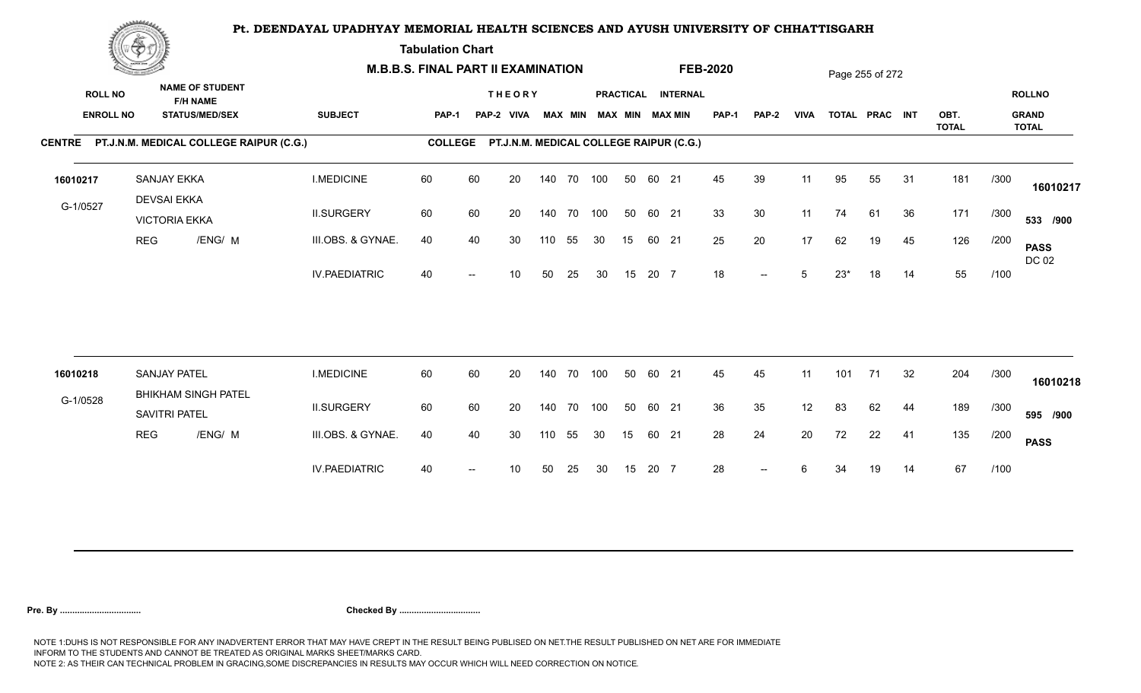**Tabulation Chart** 

|                | <b>Construction of the Construction</b> |                                          |                                                                    | <b>M.B.B.S. FINAL PART II EXAMINATION</b> |                |    |                                         |     |                |            |                 |       |                                       | <b>FEB-2020</b> |       |             |       | Page 255 of 272 |    |                      |      |                                               |
|----------------|-----------------------------------------|------------------------------------------|--------------------------------------------------------------------|-------------------------------------------|----------------|----|-----------------------------------------|-----|----------------|------------|-----------------|-------|---------------------------------------|-----------------|-------|-------------|-------|-----------------|----|----------------------|------|-----------------------------------------------|
| <b>ROLL NO</b> | <b>ENROLL NO</b>                        |                                          | <b>NAME OF STUDENT</b><br><b>F/H NAME</b><br><b>STATUS/MED/SEX</b> | <b>SUBJECT</b>                            | <b>PAP-1</b>   |    | <b>THEORY</b><br>PAP-2 VIVA             |     | <b>MAX MIN</b> |            |                 |       | PRACTICAL INTERNAL<br>MAX MIN MAX MIN | PAP-1           | PAP-2 | <b>VIVA</b> |       | TOTAL PRAC INT  |    | OBT.<br><b>TOTAL</b> |      | <b>ROLLNO</b><br><b>GRAND</b><br><b>TOTAL</b> |
|                |                                         |                                          | CENTRE PT.J.N.M. MEDICAL COLLEGE RAIPUR (C.G.)                     |                                           | <b>COLLEGE</b> |    | PT.J.N.M. MEDICAL COLLEGE RAIPUR (C.G.) |     |                |            |                 |       |                                       |                 |       |             |       |                 |    |                      |      |                                               |
| 16010217       |                                         | <b>SANJAY EKKA</b><br><b>DEVSAI EKKA</b> |                                                                    | <b>I.MEDICINE</b>                         | 60             | 60 | 20                                      |     |                | 140 70 100 | 50              | 60 21 |                                       | 45              | 39    | 11          | 95    | 55              | 31 | 181                  | /300 | 16010217                                      |
| G-1/0527       |                                         | <b>VICTORIA EKKA</b>                     |                                                                    | <b>II.SURGERY</b>                         | 60             | 60 | 20                                      |     | 140 70         | 100        | 50              | 60 21 |                                       | 33              | 30    | 11          | 74    | 61              | 36 | 171                  | /300 | 533 /900                                      |
|                | <b>REG</b>                              |                                          | /ENG/ M                                                            | III.OBS. & GYNAE.                         | 40             | 40 | 30                                      | 110 | 55             | 30         | 15              | 60 21 |                                       | 25              | 20    | 17          | 62    | 19              | 45 | 126                  | /200 | <b>PASS</b><br>DC 02                          |
|                |                                         |                                          |                                                                    | <b>IV.PAEDIATRIC</b>                      | 40             |    | 10                                      | 50  | 25             | 30         | 15              | 20 7  |                                       | 18              | $--$  | 5           | $23*$ | 18              | 14 | 55                   | /100 |                                               |
| 16010218       |                                         | <b>SANJAY PATEL</b>                      |                                                                    | <b>I.MEDICINE</b>                         | 60             | 60 | 20                                      |     |                | 140 70 100 | 50              | 60 21 |                                       | 45              | 45    | 11          | 101   | 71              | 32 | 204                  | /300 |                                               |
| G-1/0528       |                                         |                                          | <b>BHIKHAM SINGH PATEL</b>                                         |                                           |                |    |                                         |     |                |            |                 |       |                                       |                 |       |             |       |                 |    |                      |      | 16010218                                      |
|                |                                         | SAVITRI PATEL                            |                                                                    | <b>II.SURGERY</b>                         | 60             | 60 | 20                                      |     |                | 140 70 100 | 50              | 60 21 |                                       | 36              | 35    | 12          | 83    | 62              | 44 | 189                  | /300 | 595 /900                                      |
|                |                                         | <b>REG</b>                               | /ENG/ M                                                            | III.OBS. & GYNAE.                         | 40             | 40 | 30                                      | 110 | 55             | 30         | 15 <sub>1</sub> | 60 21 |                                       | 28              | 24    | 20          | 72    | 22              | 41 | 135                  | /200 | <b>PASS</b>                                   |
|                |                                         |                                          |                                                                    | <b>IV.PAEDIATRIC</b>                      | 40             |    | 10                                      | 50  | 25             | 30         | 15              | 20 7  |                                       | 28              | $--$  | 6           | 34    | 19              | 14 | 67                   | /100 |                                               |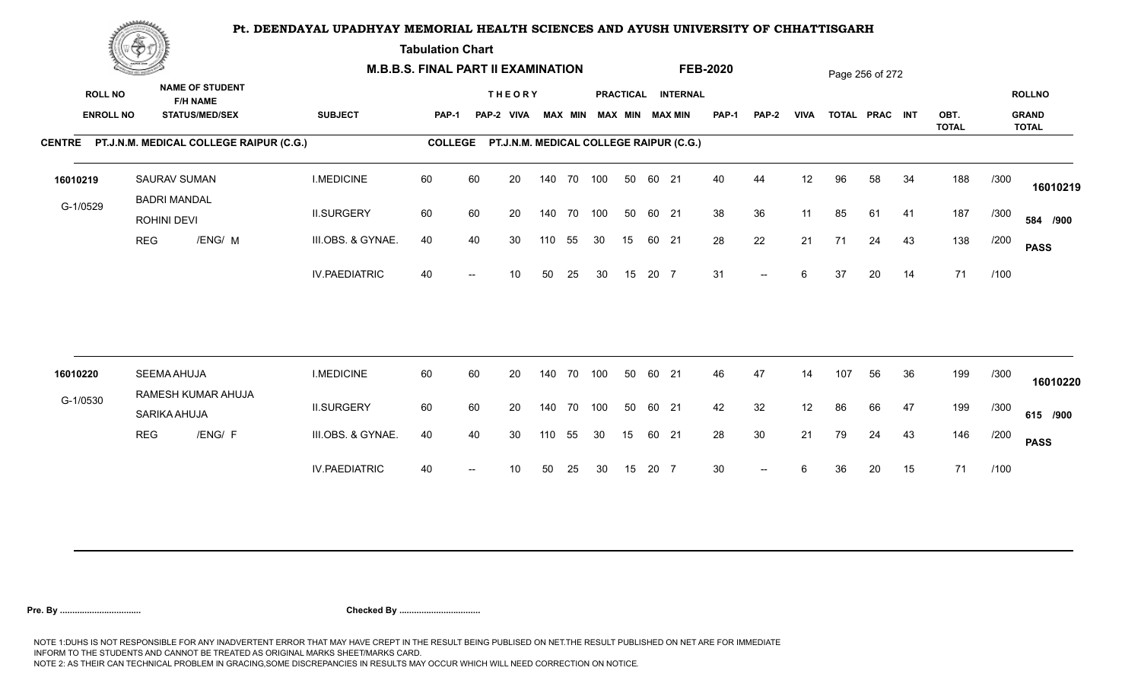**Tabulation Chart** 

|                                    | <b>Construction of the Construction</b> |                                            |                                                                    | <b>M.B.B.S. FINAL PART II EXAMINATION</b> |                |    |                                         |     |                |            |                 |       |                                       | <b>FEB-2020</b> |                          |             |     | Page 256 of 272 |    |                      |      |                                               |
|------------------------------------|-----------------------------------------|--------------------------------------------|--------------------------------------------------------------------|-------------------------------------------|----------------|----|-----------------------------------------|-----|----------------|------------|-----------------|-------|---------------------------------------|-----------------|--------------------------|-------------|-----|-----------------|----|----------------------|------|-----------------------------------------------|
| <b>ROLL NO</b><br><b>ENROLL NO</b> |                                         |                                            | <b>NAME OF STUDENT</b><br><b>F/H NAME</b><br><b>STATUS/MED/SEX</b> | <b>SUBJECT</b>                            | <b>PAP-1</b>   |    | <b>THEORY</b><br>PAP-2 VIVA             |     | <b>MAX MIN</b> |            |                 |       | PRACTICAL INTERNAL<br>MAX MIN MAX MIN | PAP-1           | <b>PAP-2</b>             | <b>VIVA</b> |     | TOTAL PRAC INT  |    | OBT.<br><b>TOTAL</b> |      | <b>ROLLNO</b><br><b>GRAND</b><br><b>TOTAL</b> |
|                                    |                                         |                                            | CENTRE PT.J.N.M. MEDICAL COLLEGE RAIPUR (C.G.)                     |                                           | <b>COLLEGE</b> |    | PT.J.N.M. MEDICAL COLLEGE RAIPUR (C.G.) |     |                |            |                 |       |                                       |                 |                          |             |     |                 |    |                      |      |                                               |
| 16010219                           |                                         | <b>SAURAV SUMAN</b><br><b>BADRI MANDAL</b> |                                                                    | <b>I.MEDICINE</b>                         | 60             | 60 | 20                                      |     |                | 140 70 100 | 50              | 60 21 |                                       | 40              | 44                       | 12          | 96  | 58              | 34 | 188                  | /300 | 16010219                                      |
| G-1/0529                           |                                         | ROHINI DEVI                                |                                                                    | <b>II.SURGERY</b>                         | 60             | 60 | 20                                      |     | 140 70         | 100        | 50              | 60 21 |                                       | 38              | 36                       | 11          | 85  | 61              | 41 | 187                  | /300 | 584 /900                                      |
|                                    | <b>REG</b>                              |                                            | /ENG/ M                                                            | III.OBS. & GYNAE.                         | 40             | 40 | 30                                      | 110 | 55             | 30         | 15              | 60 21 |                                       | 28              | 22                       | 21          | 71  | 24              | 43 | 138                  | /200 | <b>PASS</b>                                   |
|                                    |                                         |                                            |                                                                    | <b>IV.PAEDIATRIC</b>                      | 40             |    | 10                                      | 50  | 25             | 30         | 15              | 20 7  |                                       | 31              | $\overline{\phantom{a}}$ | 6           | 37  | 20              | 14 | 71                   | /100 |                                               |
| 16010220                           |                                         | <b>SEEMA AHUJA</b>                         |                                                                    | <b>I.MEDICINE</b>                         | 60             | 60 | 20                                      |     |                | 140 70 100 | 50              | 60 21 |                                       | 46              | 47                       | 14          | 107 | 56              | 36 | 199                  | /300 |                                               |
|                                    |                                         |                                            | RAMESH KUMAR AHUJA                                                 |                                           |                |    |                                         |     |                |            |                 |       |                                       |                 |                          |             |     |                 |    |                      |      | 16010220                                      |
| G-1/0530                           |                                         | SARIKA AHUJA                               |                                                                    | <b>II.SURGERY</b>                         | 60             | 60 | 20                                      |     | 140 70         | 100        | 50              | 60 21 |                                       | 42              | 32                       | 12          | 86  | 66              | 47 | 199                  | /300 | 615 /900                                      |
|                                    | <b>REG</b>                              |                                            | /ENG/ F                                                            | III.OBS. & GYNAE.                         | 40             | 40 | 30                                      | 110 | 55             | 30         | 15 <sub>1</sub> | 60 21 |                                       | 28              | 30                       | 21          | 79  | 24              | 43 | 146                  | /200 | <b>PASS</b>                                   |
|                                    |                                         |                                            |                                                                    | <b>IV.PAEDIATRIC</b>                      | 40             |    | 10                                      | 50  | 25             | 30         | 15              | 20 7  |                                       | 30 <sup>°</sup> | $--$                     | 6           | 36  | 20              | 15 | 71                   | /100 |                                               |
|                                    |                                         |                                            |                                                                    |                                           |                |    |                                         |     |                |            |                 |       |                                       |                 |                          |             |     |                 |    |                      |      |                                               |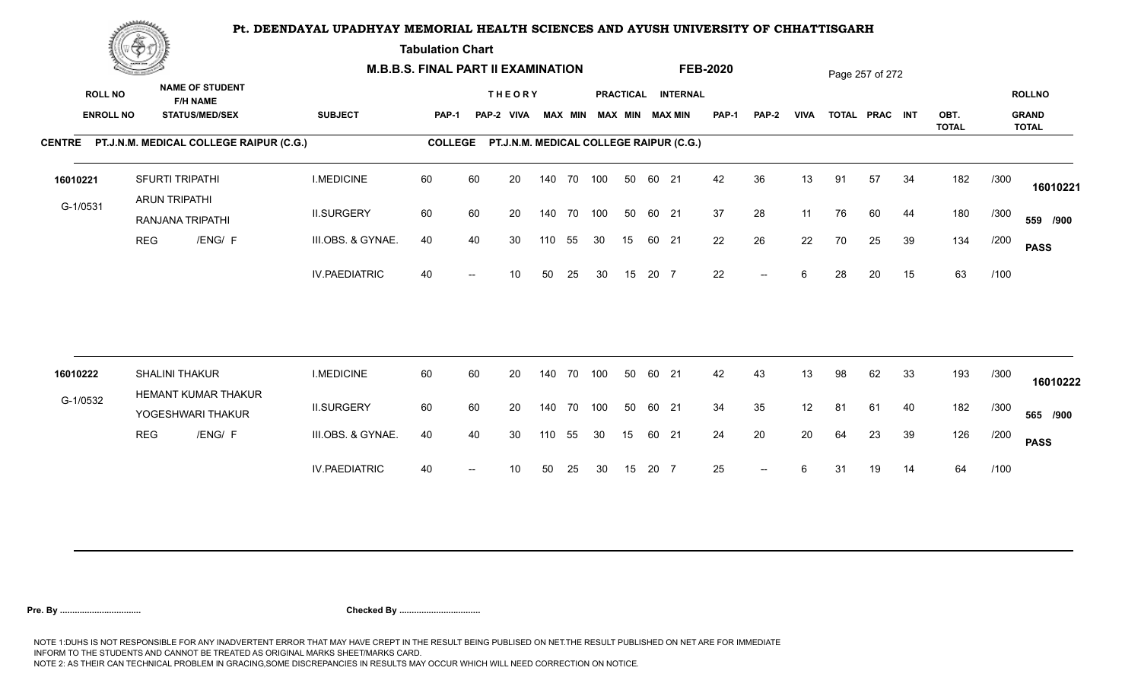**Tabulation Chart** 

|                                    | <b>Construction of the Construction</b> |                                                                    | <b>M.B.B.S. FINAL PART II EXAMINATION</b> |                |    |                                         |     |                |            |    |       |                                       | <b>FEB-2020</b> |              |             |    | Page 257 of 272 |    |                      |      |                                               |
|------------------------------------|-----------------------------------------|--------------------------------------------------------------------|-------------------------------------------|----------------|----|-----------------------------------------|-----|----------------|------------|----|-------|---------------------------------------|-----------------|--------------|-------------|----|-----------------|----|----------------------|------|-----------------------------------------------|
| <b>ROLL NO</b><br><b>ENROLL NO</b> |                                         | <b>NAME OF STUDENT</b><br><b>F/H NAME</b><br><b>STATUS/MED/SEX</b> | <b>SUBJECT</b>                            | <b>PAP-1</b>   |    | <b>THEORY</b><br>PAP-2 VIVA             |     | <b>MAX MIN</b> |            |    |       | PRACTICAL INTERNAL<br>MAX MIN MAX MIN | PAP-1           | <b>PAP-2</b> | <b>VIVA</b> |    | TOTAL PRAC INT  |    | OBT.<br><b>TOTAL</b> |      | <b>ROLLNO</b><br><b>GRAND</b><br><b>TOTAL</b> |
|                                    |                                         | CENTRE PT.J.N.M. MEDICAL COLLEGE RAIPUR (C.G.)                     |                                           | <b>COLLEGE</b> |    | PT.J.N.M. MEDICAL COLLEGE RAIPUR (C.G.) |     |                |            |    |       |                                       |                 |              |             |    |                 |    |                      |      |                                               |
| 16010221                           |                                         | SFURTI TRIPATHI<br><b>ARUN TRIPATHI</b>                            | <b>I.MEDICINE</b>                         | 60             | 60 | 20                                      |     |                | 140 70 100 | 50 | 60 21 |                                       | 42              | 36           | 13          | 91 | 57              | 34 | 182                  | /300 | 16010221                                      |
| G-1/0531                           |                                         | RANJANA TRIPATHI                                                   | <b>II.SURGERY</b>                         | 60             | 60 | 20                                      |     |                | 140 70 100 | 50 | 60 21 |                                       | 37              | 28           | 11          | 76 | 60              | 44 | 180                  | /300 | 559 /900                                      |
|                                    | <b>REG</b>                              | /ENG/ F                                                            | III.OBS. & GYNAE.                         | 40             | 40 | 30                                      | 110 | 55             | 30         | 15 | 60 21 |                                       | 22              | 26           | 22          | 70 | 25              | 39 | 134                  | /200 | <b>PASS</b>                                   |
|                                    |                                         |                                                                    | <b>IV.PAEDIATRIC</b>                      | 40             |    | 10                                      | 50  | 25             | 30         | 15 | 20 7  |                                       | 22              | $-$          | 6           | 28 | 20              | 15 | 63                   | /100 |                                               |
|                                    |                                         |                                                                    |                                           |                |    |                                         |     |                |            |    |       |                                       |                 |              |             |    |                 |    |                      |      |                                               |
| 16010222                           |                                         | SHALINI THAKUR<br>HEMANT KUMAR THAKUR                              | <b>I.MEDICINE</b>                         | 60             | 60 | 20                                      |     | 140 70         | 100        | 50 | 60 21 |                                       | 42              | 43           | 13          | 98 | 62              | 33 | 193                  | /300 | 16010222                                      |
| G-1/0532                           |                                         | YOGESHWARI THAKUR                                                  | <b>II.SURGERY</b>                         | 60             | 60 | 20                                      |     |                | 140 70 100 | 50 | 60 21 |                                       | 34              | 35           | 12          | 81 | 61              | 40 | 182                  | /300 | 565 /900                                      |
|                                    | <b>REG</b>                              | /ENG/ F                                                            | III.OBS. & GYNAE.                         | 40             | 40 | 30                                      | 110 | 55             | 30         | 15 | 60 21 |                                       | 24              | 20           | 20          | 64 | 23              | 39 | 126                  | /200 | <b>PASS</b>                                   |
|                                    |                                         |                                                                    | <b>IV.PAEDIATRIC</b>                      | 40             |    | 10                                      | 50  | 25             | 30         | 15 | 20 7  |                                       | 25              | $--$         | 6           | 31 | 19              | 14 | 64                   | /100 |                                               |
|                                    |                                         |                                                                    |                                           |                |    |                                         |     |                |            |    |       |                                       |                 |              |             |    |                 |    |                      |      |                                               |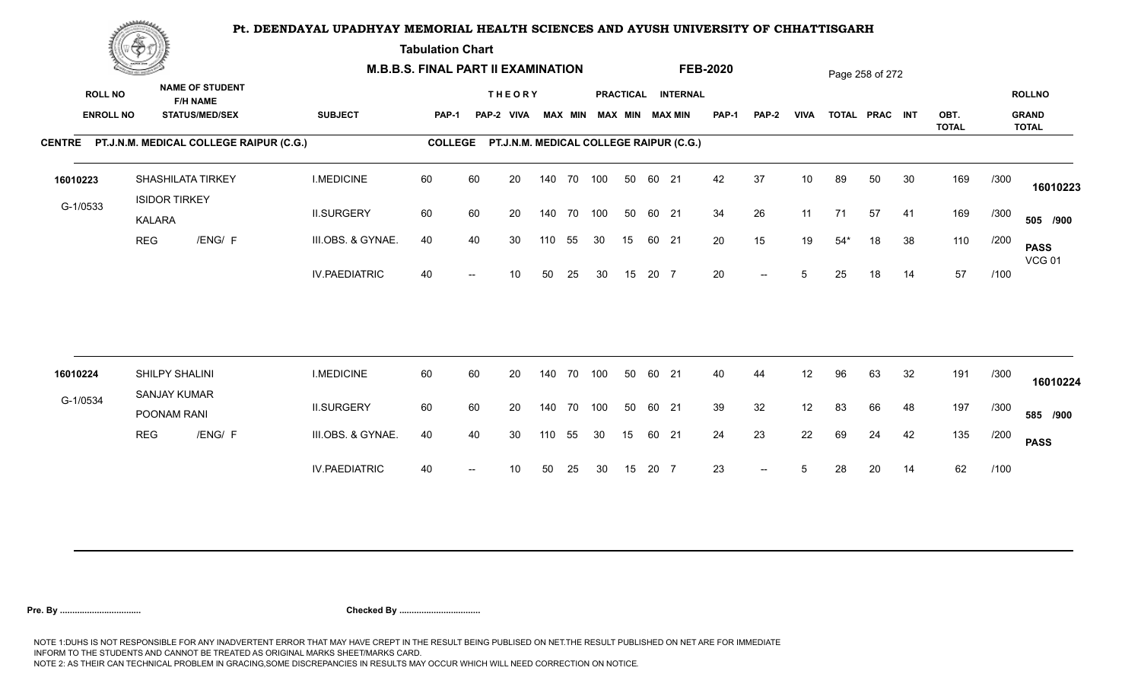**Tabulation Chart** 

|                                    | <b>Construction of the Construction</b> |                                                                    | <b>M.B.B.S. FINAL PART II EXAMINATION</b> |                |    |                                         |     |                |            |    |       |                                       | <b>FEB-2020</b> |              |                 |       | Page 258 of 272 |    |                      |      |                                               |
|------------------------------------|-----------------------------------------|--------------------------------------------------------------------|-------------------------------------------|----------------|----|-----------------------------------------|-----|----------------|------------|----|-------|---------------------------------------|-----------------|--------------|-----------------|-------|-----------------|----|----------------------|------|-----------------------------------------------|
| <b>ROLL NO</b><br><b>ENROLL NO</b> |                                         | <b>NAME OF STUDENT</b><br><b>F/H NAME</b><br><b>STATUS/MED/SEX</b> | <b>SUBJECT</b>                            | <b>PAP-1</b>   |    | <b>THEORY</b><br>PAP-2 VIVA             |     | <b>MAX MIN</b> |            |    |       | PRACTICAL INTERNAL<br>MAX MIN MAX MIN | <b>PAP-1</b>    | <b>PAP-2</b> | <b>VIVA</b>     |       | TOTAL PRAC INT  |    | OBT.<br><b>TOTAL</b> |      | <b>ROLLNO</b><br><b>GRAND</b><br><b>TOTAL</b> |
|                                    |                                         | CENTRE PT.J.N.M. MEDICAL COLLEGE RAIPUR (C.G.)                     |                                           | <b>COLLEGE</b> |    | PT.J.N.M. MEDICAL COLLEGE RAIPUR (C.G.) |     |                |            |    |       |                                       |                 |              |                 |       |                 |    |                      |      |                                               |
| 16010223                           | <b>ISIDOR TIRKEY</b>                    | SHASHILATA TIRKEY                                                  | <b>I.MEDICINE</b>                         | 60             | 60 | 20                                      |     |                | 140 70 100 | 50 | 60 21 |                                       | 42              | 37           | 10 <sup>°</sup> | 89    | 50              | 30 | 169                  | /300 | 16010223                                      |
| G-1/0533                           | <b>KALARA</b>                           |                                                                    | <b>II.SURGERY</b>                         | 60             | 60 | 20                                      |     |                | 140 70 100 | 50 | 60 21 |                                       | 34              | 26           | 11              | 71    | 57              | 41 | 169                  | /300 | 505 /900                                      |
|                                    | <b>REG</b>                              | /ENG/ F                                                            | III.OBS. & GYNAE.                         | 40             | 40 | 30                                      | 110 | 55             | 30         | 15 | 60 21 |                                       | 20              | 15           | 19              | $54*$ | 18              | 38 | 110                  | /200 | <b>PASS</b><br><b>VCG 01</b>                  |
|                                    |                                         |                                                                    | <b>IV.PAEDIATRIC</b>                      | 40             |    | 10                                      | 50  | 25             | 30         | 15 | 20 7  |                                       | 20              | $-$          | 5               | 25    | 18              | 14 | 57                   | /100 |                                               |
|                                    |                                         |                                                                    |                                           |                |    |                                         |     |                |            |    |       |                                       |                 |              |                 |       |                 |    |                      |      |                                               |
| 16010224                           | SHILPY SHALINI<br><b>SANJAY KUMAR</b>   |                                                                    | <b>I.MEDICINE</b>                         | 60             | 60 | 20                                      |     | 140 70         | 100        | 50 | 60 21 |                                       | 40              | 44           | 12              | 96    | 63              | 32 | 191                  | /300 | 16010224                                      |
| G-1/0534                           | POONAM RANI                             |                                                                    | <b>II.SURGERY</b>                         | 60             | 60 | 20                                      |     |                | 140 70 100 | 50 | 60 21 |                                       | 39              | 32           | 12              | 83    | 66              | 48 | 197                  | /300 | 585 /900                                      |
|                                    | <b>REG</b>                              | /ENG/ F                                                            | III.OBS. & GYNAE.                         | 40             | 40 | 30                                      | 110 | 55             | 30         | 15 | 60 21 |                                       | 24              | 23           | 22              | 69    | 24              | 42 | 135                  | /200 | <b>PASS</b>                                   |
|                                    |                                         |                                                                    | <b>IV.PAEDIATRIC</b>                      | 40             |    | 10                                      | 50  | 25             | 30         | 15 | 20 7  |                                       | 23              | $-$          | 5               | 28    | 20              | 14 | 62                   | /100 |                                               |
|                                    |                                         |                                                                    |                                           |                |    |                                         |     |                |            |    |       |                                       |                 |              |                 |       |                 |    |                      |      |                                               |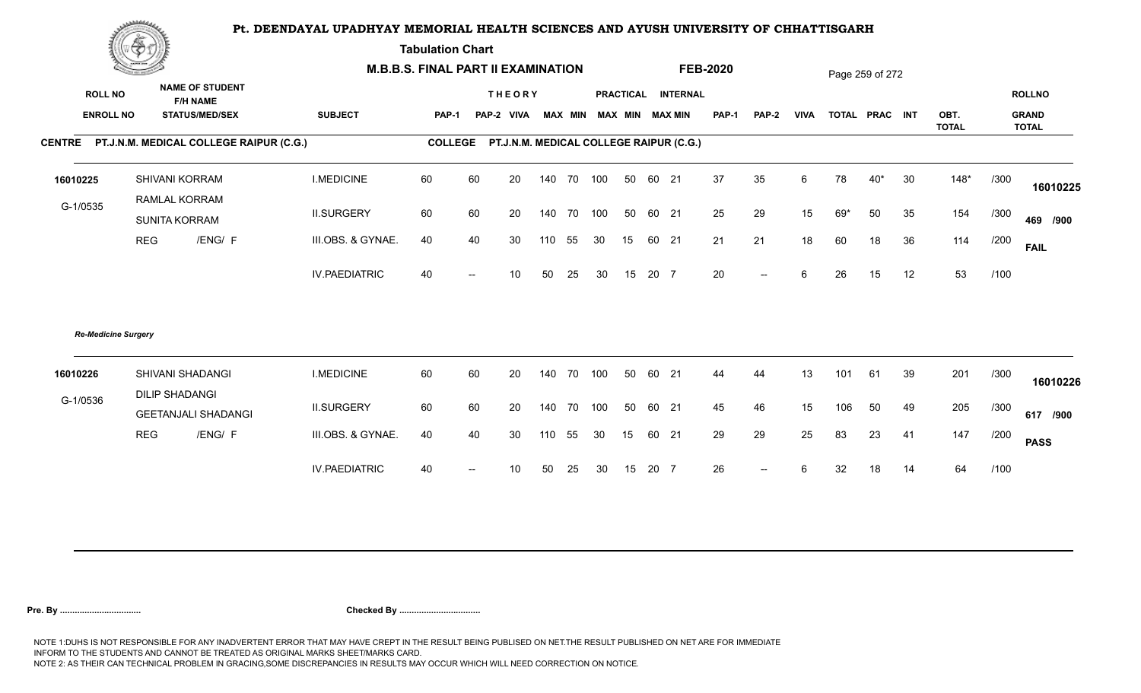**Tabulation Chart** 

|                                    | <b>Construction of the Construction</b> |                                                                    | <b>M.B.B.S. FINAL PART II EXAMINATION</b> |                |                          |                                         |     |        |                         |    |       |                    | <b>FEB-2020</b> |                          |             |     | Page 259 of 272 |    |              |      |                               |
|------------------------------------|-----------------------------------------|--------------------------------------------------------------------|-------------------------------------------|----------------|--------------------------|-----------------------------------------|-----|--------|-------------------------|----|-------|--------------------|-----------------|--------------------------|-------------|-----|-----------------|----|--------------|------|-------------------------------|
| <b>ROLL NO</b><br><b>ENROLL NO</b> |                                         | <b>NAME OF STUDENT</b><br><b>F/H NAME</b><br><b>STATUS/MED/SEX</b> | <b>SUBJECT</b>                            | <b>PAP-1</b>   |                          | <b>THEORY</b><br>PAP-2 VIVA             |     |        | MAX MIN MAX MIN MAX MIN |    |       | PRACTICAL INTERNAL | <b>PAP-1</b>    | <b>PAP-2</b>             | <b>VIVA</b> |     | TOTAL PRAC INT  |    | OBT.         |      | <b>ROLLNO</b><br><b>GRAND</b> |
|                                    |                                         |                                                                    |                                           |                |                          |                                         |     |        |                         |    |       |                    |                 |                          |             |     |                 |    | <b>TOTAL</b> |      | <b>TOTAL</b>                  |
|                                    |                                         | CENTRE PT.J.N.M. MEDICAL COLLEGE RAIPUR (C.G.)                     |                                           | <b>COLLEGE</b> |                          | PT.J.N.M. MEDICAL COLLEGE RAIPUR (C.G.) |     |        |                         |    |       |                    |                 |                          |             |     |                 |    |              |      |                               |
| 16010225                           |                                         | SHIVANI KORRAM                                                     | <b>I.MEDICINE</b>                         | 60             | 60                       | 20                                      | 140 | 70 100 |                         | 50 | 60 21 |                    | 37              | 35                       | 6           | 78  | $40*$           | 30 | $148*$       | /300 | 16010225                      |
| G-1/0535                           |                                         | RAMLAL KORRAM<br>SUNITA KORRAM                                     | <b>II.SURGERY</b>                         | 60             | 60                       | 20                                      | 140 | 70 100 |                         | 50 | 60 21 |                    | 25              | 29                       | 15          | 69* | 50              | 35 | 154          | /300 | 469 /900                      |
|                                    | <b>REG</b>                              | /ENG/ F                                                            | III.OBS. & GYNAE.                         | 40             | 40                       | 30                                      | 110 | 55     | 30                      | 15 | 60 21 |                    | 21              | 21                       | 18          | 60  | 18              | 36 | 114          | /200 | <b>FAIL</b>                   |
|                                    |                                         |                                                                    | <b>IV.PAEDIATRIC</b>                      | 40             | $\overline{\phantom{a}}$ | 10                                      | 50  | 25     | 30                      | 15 | 20 7  |                    | 20              | $\overline{\phantom{a}}$ | 6           | 26  | 15              | 12 | 53           | /100 |                               |
|                                    | <b>Re-Medicine Surgery</b>              |                                                                    |                                           |                |                          |                                         |     |        |                         |    |       |                    |                 |                          |             |     |                 |    |              |      |                               |
| 16010226                           |                                         | SHIVANI SHADANGI                                                   | <b>I.MEDICINE</b>                         | 60             | 60                       | 20                                      | 140 | 70 100 |                         | 50 | 60 21 |                    | 44              | 44                       | 13          | 101 | 61              | 39 | 201          | /300 | 16010226                      |
| G-1/0536                           |                                         | <b>DILIP SHADANGI</b><br><b>GEETANJALI SHADANGI</b>                | <b>II.SURGERY</b>                         | 60             | 60                       | 20                                      | 140 | 70 100 |                         | 50 | 60 21 |                    | 45              | 46                       | 15          | 106 | 50              | 49 | 205          | /300 | 617 /900                      |
|                                    | <b>REG</b>                              | /ENG/ F                                                            | III.OBS. & GYNAE.                         | 40             | 40                       | 30                                      | 110 | 55     | 30                      | 15 | 60 21 |                    | 29              | 29                       | 25          | 83  | 23              | 41 | 147          | /200 | <b>PASS</b>                   |
|                                    |                                         |                                                                    | <b>IV.PAEDIATRIC</b>                      | 40             | $\overline{\phantom{a}}$ | 10                                      | 50  | 25     | 30                      | 15 | 20 7  |                    | 26              | $-$                      | 6           | 32  | 18              | 14 | 64           | /100 |                               |
|                                    |                                         |                                                                    |                                           |                |                          |                                         |     |        |                         |    |       |                    |                 |                          |             |     |                 |    |              |      |                               |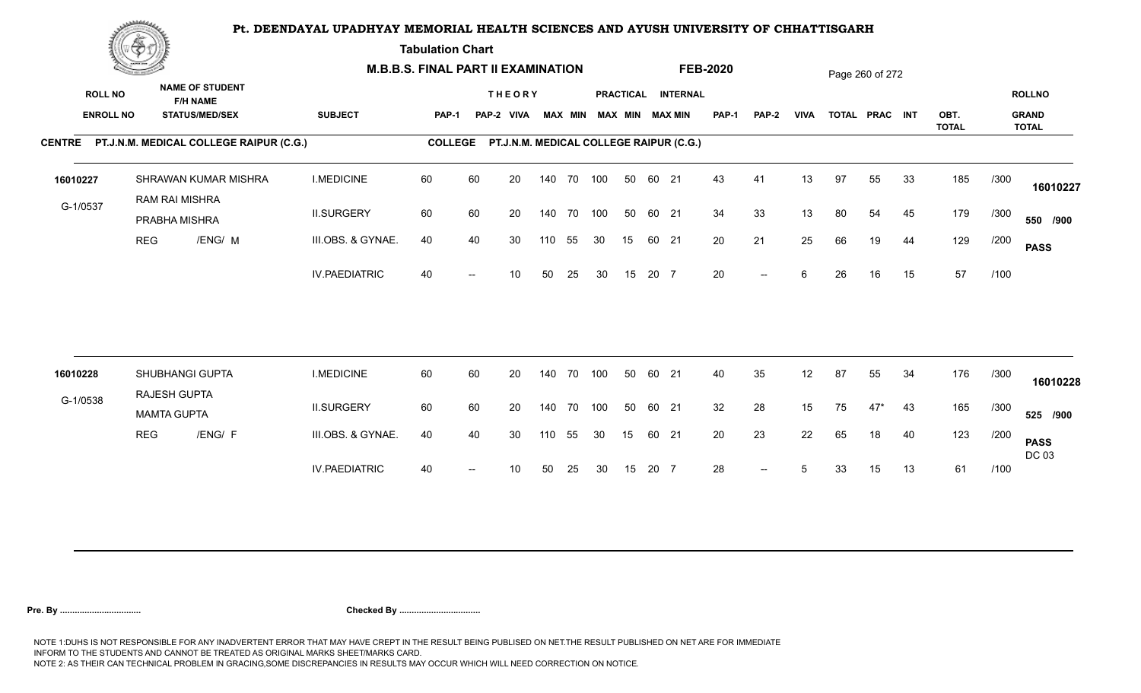**Tabulation Chart** 

| <b>NAME OF STUDENT</b><br><b>ROLL NO</b><br><b>THEORY</b><br>PRACTICAL INTERNAL<br><b>F/H NAME</b><br><b>SUBJECT</b><br><b>ENROLL NO</b><br><b>STATUS/MED/SEX</b><br><b>MAX MIN</b><br>MAX MIN MAX MIN<br>PAP-1<br><b>VIVA</b><br>TOTAL PRAC INT<br>OBT.<br><b>PAP-1</b><br>PAP-2 VIVA<br><b>PAP-2</b><br><b>TOTAL</b><br>CENTRE PT.J.N.M. MEDICAL COLLEGE RAIPUR (C.G.)<br><b>COLLEGE</b><br>PT.J.N.M. MEDICAL COLLEGE RAIPUR (C.G.) |      | <b>ROLLNO</b><br><b>GRAND</b><br><b>TOTAL</b> |
|---------------------------------------------------------------------------------------------------------------------------------------------------------------------------------------------------------------------------------------------------------------------------------------------------------------------------------------------------------------------------------------------------------------------------------------|------|-----------------------------------------------|
|                                                                                                                                                                                                                                                                                                                                                                                                                                       |      |                                               |
|                                                                                                                                                                                                                                                                                                                                                                                                                                       |      |                                               |
| <b>I.MEDICINE</b><br>60<br>60<br>140 70 100<br>43<br>13<br>97<br>33<br>185<br>SHRAWAN KUMAR MISHRA<br>20<br>50<br>60 21<br>41<br>55<br>16010227<br>RAM RAI MISHRA                                                                                                                                                                                                                                                                     | /300 | 16010227                                      |
| G-1/0537<br>34<br><b>II.SURGERY</b><br>60<br>60<br>50<br>33<br>13<br>179<br>20<br>140 70<br>100<br>60 21<br>80<br>54<br>45<br>PRABHA MISHRA                                                                                                                                                                                                                                                                                           | /300 | 550 /900                                      |
| /ENG/ M<br>20<br>21<br>25<br>129<br><b>REG</b><br>III.OBS. & GYNAE.<br>40<br>40<br>55<br>60 21<br>66<br>19<br>44<br>30<br>110<br>30<br>15                                                                                                                                                                                                                                                                                             | /200 | <b>PASS</b>                                   |
| 57<br>20<br><b>IV.PAEDIATRIC</b><br>40<br>15<br>20 7<br>6<br>26<br>16<br>15<br>10<br>50<br>25<br>30<br>$--$                                                                                                                                                                                                                                                                                                                           | /100 |                                               |
| 60<br>60<br>40<br>35<br>12<br>87<br>55<br>34<br>176<br>SHUBHANGI GUPTA<br><b>I.MEDICINE</b><br>20<br>140 70 100<br>50<br>60 21<br>16010228                                                                                                                                                                                                                                                                                            | /300 |                                               |
| RAJESH GUPTA<br>G-1/0538                                                                                                                                                                                                                                                                                                                                                                                                              |      | 16010228                                      |
| 32<br><b>II.SURGERY</b><br>60<br>60<br>20<br>140 70 100<br>50<br>28<br>15<br>165<br>60 21<br>75<br>$47*$<br>43<br><b>MAMTA GUPTA</b>                                                                                                                                                                                                                                                                                                  | /300 | 525 /900                                      |
| <b>REG</b><br>/ENG/ F<br>22<br>III.OBS. & GYNAE.<br>20<br>23<br>40<br>123<br>40<br>40<br>30<br>55<br>65<br>18<br>110<br>30<br>15 <sub>1</sub><br>60 21                                                                                                                                                                                                                                                                                | /200 | <b>PASS</b><br>DC 03                          |
| 61<br><b>IV.PAEDIATRIC</b><br>28<br>13<br>40<br>15<br>20 7<br>5<br>33<br>15<br>10<br>50<br>25<br>30<br>$--$                                                                                                                                                                                                                                                                                                                           | /100 |                                               |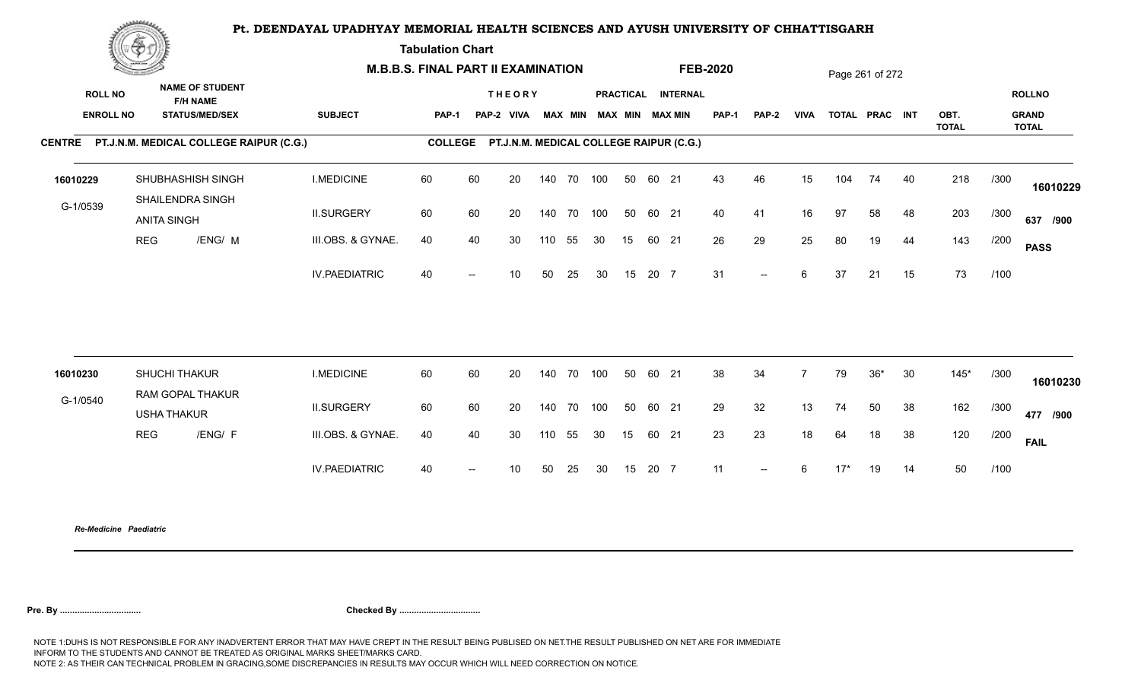**Tabulation Chart** 

|                                    | <b>Construction of the Asset</b> |                                                                    | <b>M.B.B.S. FINAL PART II EXAMINATION</b> |                |     |                             |            |    |                         |    |       |                                         | <b>FEB-2020</b> |                          |                |       | Page 261 of 272 |    |              |      |                               |
|------------------------------------|----------------------------------|--------------------------------------------------------------------|-------------------------------------------|----------------|-----|-----------------------------|------------|----|-------------------------|----|-------|-----------------------------------------|-----------------|--------------------------|----------------|-------|-----------------|----|--------------|------|-------------------------------|
| <b>ROLL NO</b><br><b>ENROLL NO</b> |                                  | <b>NAME OF STUDENT</b><br><b>F/H NAME</b><br><b>STATUS/MED/SEX</b> | <b>SUBJECT</b>                            | <b>PAP-1</b>   |     | <b>THEORY</b><br>PAP-2 VIVA |            |    | MAX MIN MAX MIN MAX MIN |    |       | PRACTICAL INTERNAL                      | <b>PAP-1</b>    | PAP-2                    | <b>VIVA</b>    |       | TOTAL PRAC INT  |    | OBT.         |      | <b>ROLLNO</b><br><b>GRAND</b> |
|                                    |                                  | CENTRE PT.J.N.M. MEDICAL COLLEGE RAIPUR (C.G.)                     |                                           | <b>COLLEGE</b> |     |                             |            |    |                         |    |       | PT.J.N.M. MEDICAL COLLEGE RAIPUR (C.G.) |                 |                          |                |       |                 |    | <b>TOTAL</b> |      | TOTAL                         |
| 16010229                           |                                  | SHUBHASHISH SINGH<br>SHAILENDRA SINGH                              | <b>I.MEDICINE</b>                         | 60             | 60  | 20                          | 140 70 100 |    |                         | 50 | 60 21 |                                         | 43              | 46                       | 15             | 104   | 74              | 40 | 218          | /300 | 16010229                      |
| G-1/0539                           |                                  | <b>ANITA SINGH</b>                                                 | <b>II.SURGERY</b>                         | 60             | 60  | 20                          | 140 70 100 |    |                         | 50 | 60 21 |                                         | 40              | 41                       | 16             | 97    | 58              | 48 | 203          | /300 | 637 /900                      |
|                                    | <b>REG</b>                       | /ENG/ M                                                            | III.OBS. & GYNAE.                         | 40             | 40  | 30                          | 110        | 55 | 30                      | 15 | 60 21 |                                         | 26              | 29                       | 25             | 80    | 19              | 44 | 143          | /200 | <b>PASS</b>                   |
|                                    |                                  |                                                                    | <b>IV.PAEDIATRIC</b>                      | 40             |     | 10                          | 50         | 25 | 30                      | 15 | 20 7  |                                         | 31              | $\overline{\phantom{a}}$ | 6              | 37    | 21              | 15 | 73           | /100 |                               |
|                                    |                                  |                                                                    |                                           |                |     |                             |            |    |                         |    |       |                                         |                 |                          |                |       |                 |    |              |      |                               |
| 16010230                           |                                  | SHUCHI THAKUR                                                      | <b>I.MEDICINE</b>                         | 60             | 60  | 20                          | 140 70 100 |    |                         | 50 | 60 21 |                                         | 38              | 34                       | $\overline{7}$ | 79    | $36*$           | 30 | $145*$       | /300 | 16010230                      |
| G-1/0540                           |                                  | RAM GOPAL THAKUR<br><b>USHA THAKUR</b>                             | <b>II.SURGERY</b>                         | 60             | 60  | 20                          | 140 70     |    | 100                     | 50 | 60 21 |                                         | 29              | 32                       | 13             | 74    | 50              | 38 | 162          | /300 | 477 /900                      |
|                                    | <b>REG</b>                       | /ENG/ F                                                            | III.OBS. & GYNAE.                         | 40             | 40  | 30                          | 110        | 55 | 30                      | 15 | 60 21 |                                         | 23              | 23                       | 18             | 64    | 18              | 38 | 120          | /200 | <b>FAIL</b>                   |
|                                    |                                  |                                                                    | <b>IV.PAEDIATRIC</b>                      | 40             | $-$ | 10                          | 50         | 25 | 30                      | 15 | 20 7  |                                         | 11              | $\overline{\phantom{a}}$ | 6              | $17*$ | 19              | 14 | 50           | /100 |                               |
|                                    |                                  |                                                                    |                                           |                |     |                             |            |    |                         |    |       |                                         |                 |                          |                |       |                 |    |              |      |                               |

*Re-Medicine Paediatric*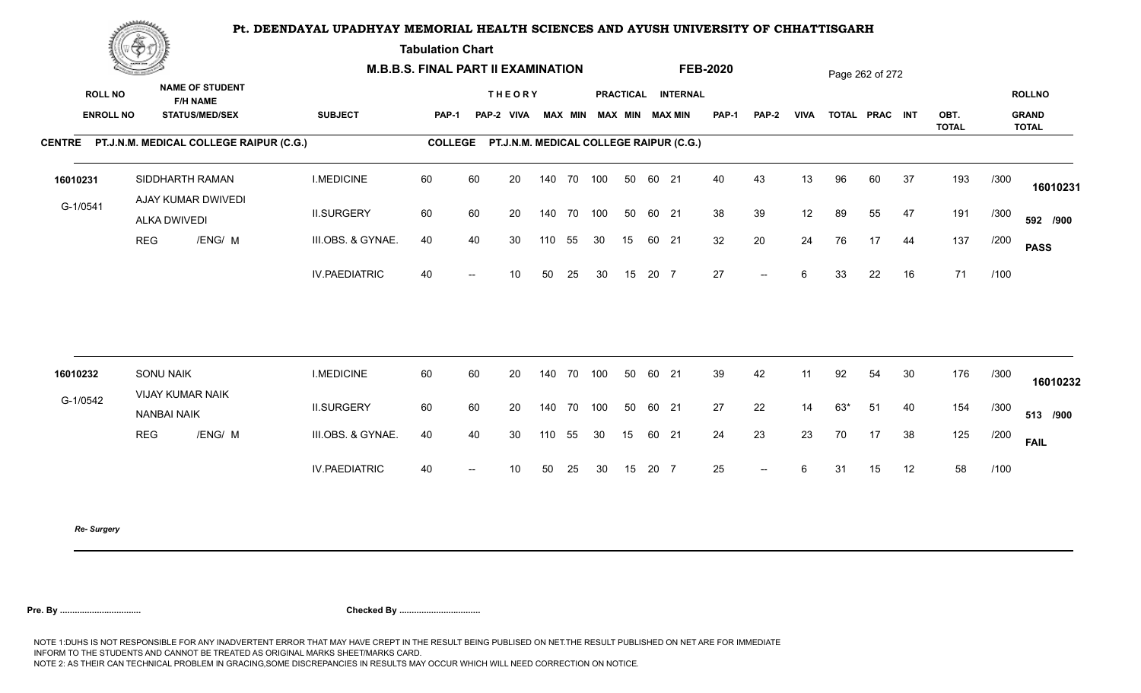**Tabulation Chart** 

|          | <b>Construction of the Asset</b> |                                                | <b>M.B.B.S. FINAL PART II EXAMINATION</b> |                |      |                                         |     |            |    |    |       |                    | <b>FEB-2020</b> |        |             |     | Page 262 of 272 |    |                      |      |                              |
|----------|----------------------------------|------------------------------------------------|-------------------------------------------|----------------|------|-----------------------------------------|-----|------------|----|----|-------|--------------------|-----------------|--------|-------------|-----|-----------------|----|----------------------|------|------------------------------|
|          | <b>ROLL NO</b>                   | <b>NAME OF STUDENT</b><br><b>F/H NAME</b>      |                                           |                |      | <b>THEORY</b>                           |     |            |    |    |       | PRACTICAL INTERNAL |                 |        |             |     |                 |    |                      |      | <b>ROLLNO</b>                |
|          | <b>ENROLL NO</b>                 | <b>STATUS/MED/SEX</b>                          | <b>SUBJECT</b>                            | <b>PAP-1</b>   |      | PAP-2 VIVA MAX MIN MAX MIN MAX MIN      |     |            |    |    |       |                    | PAP-1           | PAP-2  | <b>VIVA</b> |     | TOTAL PRAC INT  |    | OBT.<br><b>TOTAL</b> |      | <b>GRAND</b><br><b>TOTAL</b> |
|          |                                  | CENTRE PT.J.N.M. MEDICAL COLLEGE RAIPUR (C.G.) |                                           | <b>COLLEGE</b> |      | PT.J.N.M. MEDICAL COLLEGE RAIPUR (C.G.) |     |            |    |    |       |                    |                 |        |             |     |                 |    |                      |      |                              |
| 16010231 |                                  | SIDDHARTH RAMAN<br>AJAY KUMAR DWIVEDI          | <b>I.MEDICINE</b>                         | 60             | 60   | 20                                      |     | 140 70 100 |    | 50 | 60 21 |                    | 40              | 43     | 13          | 96  | 60              | 37 | 193                  | /300 | 16010231                     |
| G-1/0541 |                                  | ALKA DWIVEDI                                   | <b>II.SURGERY</b>                         | 60             | 60   | 20                                      |     | 140 70 100 |    | 50 | 60 21 |                    | 38              | 39     | 12          | 89  | 55              | 47 | 191                  | /300 | 592 /900                     |
|          | <b>REG</b>                       | /ENG/ M                                        | III.OBS. & GYNAE.                         | 40             | 40   | 30                                      | 110 | 55         | 30 | 15 | 60 21 |                    | 32              | 20     | 24          | 76  | 17              | 44 | 137                  | /200 | <b>PASS</b>                  |
|          |                                  |                                                | <b>IV.PAEDIATRIC</b>                      | 40             | $--$ | 10 <sup>°</sup>                         | 50  | 25         | 30 | 15 | 20 7  |                    | 27              | $\sim$ | 6           | 33  | 22              | 16 | 71                   | /100 |                              |
|          |                                  |                                                |                                           |                |      |                                         |     |            |    |    |       |                    |                 |        |             |     |                 |    |                      |      |                              |
| 16010232 |                                  | <b>SONU NAIK</b>                               | <b>I.MEDICINE</b>                         | 60             | 60   | 20                                      |     | 140 70 100 |    | 50 | 60 21 |                    | 39              | 42     | 11          | 92  | 54              | 30 | 176                  | /300 | 16010232                     |
| G-1/0542 |                                  | VIJAY KUMAR NAIK<br><b>NANBAI NAIK</b>         | <b>II.SURGERY</b>                         | 60             | 60   | 20                                      |     | 140 70 100 |    | 50 | 60 21 |                    | 27              | 22     | 14          | 63* | 51              | 40 | 154                  | /300 | 513 /900                     |
|          | <b>REG</b>                       | /ENG/ M                                        | III.OBS. & GYNAE.                         | 40             | 40   | 30                                      | 110 | 55         | 30 | 15 | 60 21 |                    | 24              | 23     | 23          | 70  | 17              | 38 | 125                  | /200 | <b>FAIL</b>                  |
|          |                                  |                                                | <b>IV.PAEDIATRIC</b>                      | 40             | $--$ | 10 <sup>°</sup>                         | 50  | 25         | 30 | 15 | 20 7  |                    | 25              | $\sim$ | 6           | 31  | 15              | 12 | 58                   | /100 |                              |
|          |                                  |                                                |                                           |                |      |                                         |     |            |    |    |       |                    |                 |        |             |     |                 |    |                      |      |                              |

*Re- Surgery*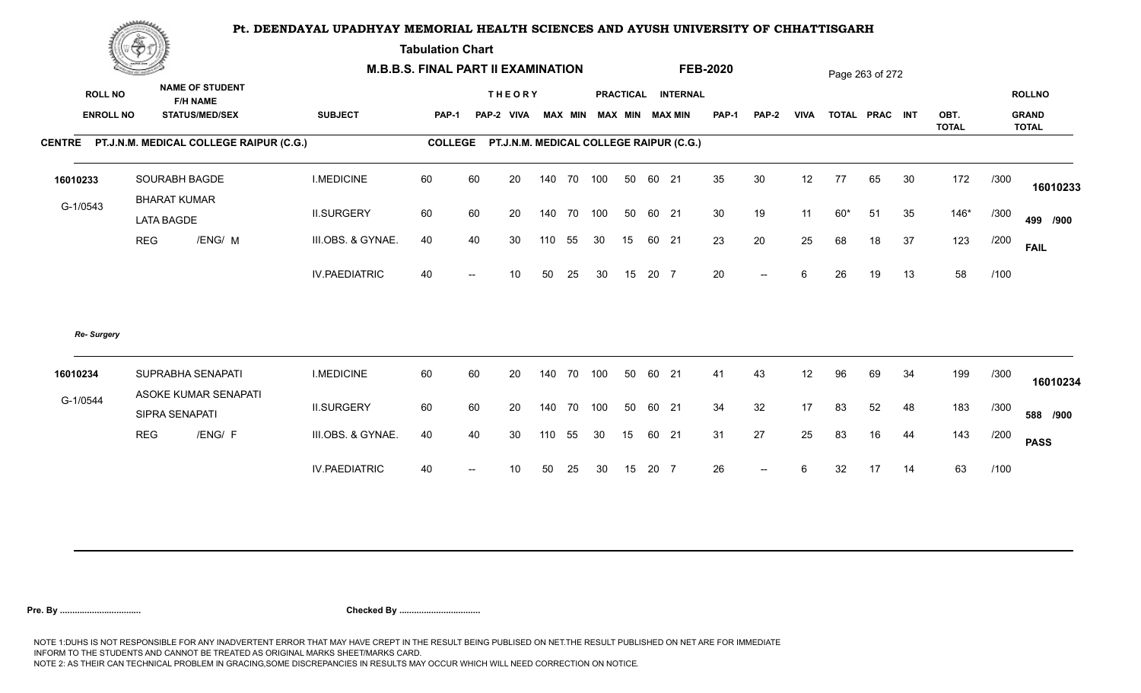**Tabulation Chart** 

|                                    | <b>Construction of the Asset</b> |                                                                    | <b>M.B.B.S. FINAL PART II EXAMINATION</b> |              |    |                                                 |     |                |            |    |       |                                              | <b>FEB-2020</b> |              |             |       | Page 263 of 272 |    |              |      |                               |
|------------------------------------|----------------------------------|--------------------------------------------------------------------|-------------------------------------------|--------------|----|-------------------------------------------------|-----|----------------|------------|----|-------|----------------------------------------------|-----------------|--------------|-------------|-------|-----------------|----|--------------|------|-------------------------------|
| <b>ROLL NO</b><br><b>ENROLL NO</b> |                                  | <b>NAME OF STUDENT</b><br><b>F/H NAME</b><br><b>STATUS/MED/SEX</b> | <b>SUBJECT</b>                            | <b>PAP-1</b> |    | <b>THEORY</b><br>PAP-2 VIVA                     |     | <b>MAX MIN</b> |            |    |       | PRACTICAL INTERNAL<br><b>MAX MIN MAX MIN</b> | <b>PAP-1</b>    | <b>PAP-2</b> | <b>VIVA</b> |       | TOTAL PRAC INT  |    | OBT.         |      | <b>ROLLNO</b><br><b>GRAND</b> |
|                                    |                                  | CENTRE PT.J.N.M. MEDICAL COLLEGE RAIPUR (C.G.)                     |                                           |              |    | COLLEGE PT.J.N.M. MEDICAL COLLEGE RAIPUR (C.G.) |     |                |            |    |       |                                              |                 |              |             |       |                 |    | <b>TOTAL</b> |      | <b>TOTAL</b>                  |
|                                    |                                  |                                                                    |                                           |              |    |                                                 |     |                |            |    |       |                                              |                 |              |             |       |                 |    |              |      |                               |
| 16010233                           |                                  | SOURABH BAGDE                                                      | <b>I.MEDICINE</b>                         | 60           | 60 | 20                                              |     |                | 140 70 100 | 50 | 60 21 |                                              | 35              | 30           | 12          | 77    | 65              | 30 | 172          | /300 | 16010233                      |
| G-1/0543                           |                                  | <b>BHARAT KUMAR</b><br><b>LATA BAGDE</b>                           | <b>II.SURGERY</b>                         | 60           | 60 | 20                                              |     |                | 140 70 100 | 50 | 60 21 |                                              | 30              | 19           | 11          | $60*$ | 51              | 35 | $146*$       | /300 | 499 /900                      |
|                                    | <b>REG</b>                       | /ENG/ M                                                            | III.OBS. & GYNAE.                         | 40           | 40 | 30                                              | 110 | 55             | 30         | 15 | 60 21 |                                              | 23              | 20           | 25          | 68    | 18              | 37 | 123          | /200 | <b>FAIL</b>                   |
|                                    |                                  |                                                                    | <b>IV.PAEDIATRIC</b>                      | 40           |    | 10 <sup>1</sup>                                 | 50  | 25             | 30         | 15 | 20 7  |                                              | 20              | $- -$        | 6           | 26    | 19              | 13 | 58           | /100 |                               |
| Re- Surgery                        |                                  |                                                                    |                                           |              |    |                                                 |     |                |            |    |       |                                              |                 |              |             |       |                 |    |              |      |                               |
| 16010234                           |                                  | SUPRABHA SENAPATI                                                  | <b>I.MEDICINE</b>                         | 60           | 60 | 20                                              |     |                | 140 70 100 | 50 | 60 21 |                                              | 41              | 43           | 12          | 96    | 69              | 34 | 199          | /300 | 16010234                      |
| G-1/0544                           |                                  | ASOKE KUMAR SENAPATI<br>SIPRA SENAPATI                             | <b>II.SURGERY</b>                         | 60           | 60 | 20                                              |     |                | 140 70 100 | 50 | 60 21 |                                              | 34              | 32           | 17          | 83    | 52              | 48 | 183          | /300 | 588 /900                      |
|                                    | <b>REG</b>                       | /ENG/ F                                                            | III.OBS. & GYNAE.                         | 40           | 40 | 30                                              | 110 | 55             | 30         | 15 | 60 21 |                                              | 31              | 27           | 25          | 83    | 16              | 44 | 143          | /200 | <b>PASS</b>                   |
|                                    |                                  |                                                                    | <b>IV.PAEDIATRIC</b>                      | 40           |    | 10                                              | 50  | 25             | 30         | 15 | 20 7  |                                              | 26              | $--$         | 6           | 32    | 17              | 14 | 63           | /100 |                               |
|                                    |                                  |                                                                    |                                           |              |    |                                                 |     |                |            |    |       |                                              |                 |              |             |       |                 |    |              |      |                               |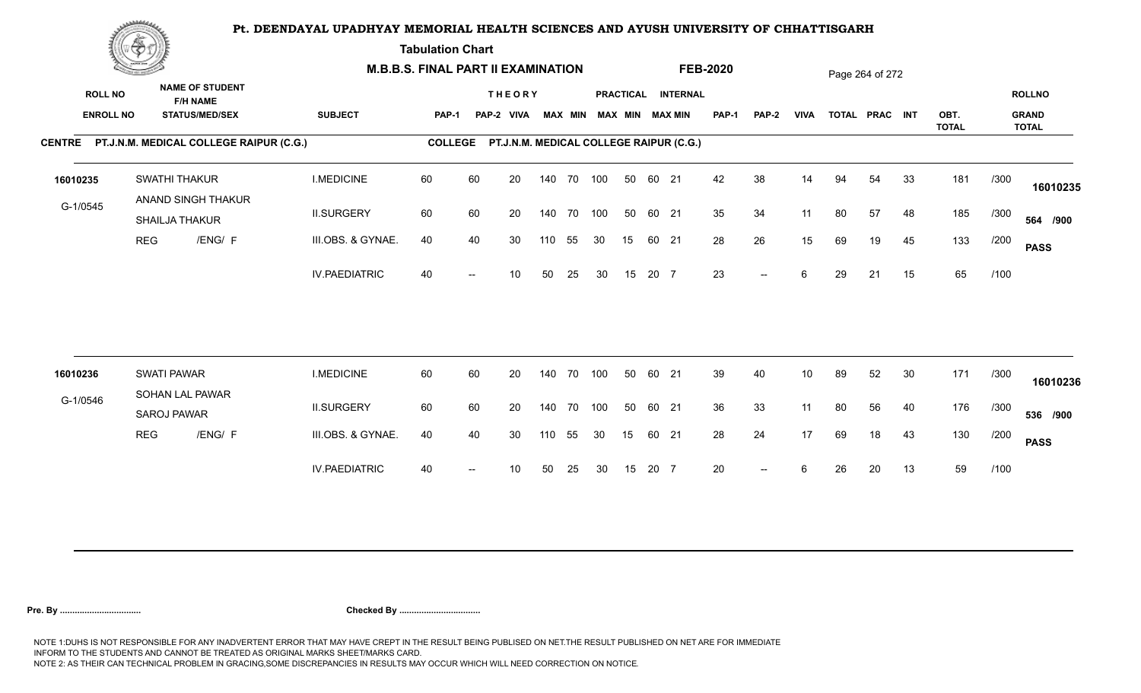**Tabulation Chart** 

| <b>NAME OF STUDENT</b><br><b>ROLL NO</b><br><b>THEORY</b><br>PRACTICAL INTERNAL<br><b>ROLLNO</b><br><b>F/H NAME</b><br><b>ENROLL NO</b><br><b>SUBJECT</b><br>OBT.<br><b>GRAND</b><br><b>STATUS/MED/SEX</b><br><b>MAX MIN</b><br><b>MAX MIN MAX MIN</b><br><b>PAP-1</b><br><b>VIVA</b><br>TOTAL PRAC INT<br>PAP-1<br>PAP-2 VIVA<br>PAP-2<br><b>TOTAL</b><br><b>TOTAL</b><br>CENTRE PT.J.N.M. MEDICAL COLLEGE RAIPUR (C.G.)<br>PT.J.N.M. MEDICAL COLLEGE RAIPUR (C.G.)<br><b>COLLEGE</b><br>42<br>38<br>181<br><b>SWATHI THAKUR</b><br><b>I.MEDICINE</b><br>60<br>60<br>20<br>140 70 100<br>50<br>60 21<br>94<br>33<br>/300<br>14<br>54<br>ANAND SINGH THAKUR<br>G-1/0545<br>35<br>60<br>34<br>11<br>185<br><b>II.SURGERY</b><br>60<br>20<br>140 70<br>100<br>50<br>60 21<br>80<br>57<br>48<br>/300<br>SHAILJA THAKUR<br>133<br><b>REG</b><br>/ENG/ F<br>III.OBS. & GYNAE.<br>28<br>26<br>45<br>40<br>40<br>30<br>55<br>60 21<br>15<br>69<br>19<br>/200<br>110<br>30<br>15<br><b>PASS</b><br>65<br><b>IV.PAEDIATRIC</b><br>23<br>40<br>20 7<br>6<br>15<br>/100<br>50<br>25<br>15<br>29<br>21<br>10<br>30<br>$\overline{\phantom{a}}$<br>60<br>39<br><b>SWATI PAWAR</b><br><b>I.MEDICINE</b><br>60<br>20<br>100<br>50<br>60 21<br>40<br>89<br>52<br>30<br>171<br>/300<br>16010236<br>140 70<br>10<br>SOHAN LAL PAWAR<br>G-1/0546<br>36<br>60<br>176<br><b>II.SURGERY</b><br>60<br>140 70 100<br>50<br>60 21<br>33<br>11<br>80<br>56<br>40<br>/300<br>20<br><b>SAROJ PAWAR</b><br>28<br>17<br>130<br><b>REG</b><br>/ENG/ F<br>III.OBS. & GYNAE.<br>24<br>43<br>40<br>40<br>30<br>55<br>30<br>15<br>60 21<br>69<br>18<br>/200<br>110<br><b>PASS</b><br>59<br>20<br>/100<br><b>IV.PAEDIATRIC</b><br>40<br>20 7<br>13<br>50<br>25<br>30<br>15<br>6<br>26<br>20<br>10<br>$--$ |          | <b>Construction of the Construction</b> |  | <b>M.B.B.S. FINAL PART II EXAMINATION</b> |  |  |  |  | <b>FEB-2020</b> |  | Page 264 of 272 |  |          |
|-----------------------------------------------------------------------------------------------------------------------------------------------------------------------------------------------------------------------------------------------------------------------------------------------------------------------------------------------------------------------------------------------------------------------------------------------------------------------------------------------------------------------------------------------------------------------------------------------------------------------------------------------------------------------------------------------------------------------------------------------------------------------------------------------------------------------------------------------------------------------------------------------------------------------------------------------------------------------------------------------------------------------------------------------------------------------------------------------------------------------------------------------------------------------------------------------------------------------------------------------------------------------------------------------------------------------------------------------------------------------------------------------------------------------------------------------------------------------------------------------------------------------------------------------------------------------------------------------------------------------------------------------------------------------------------------------------------------------------------------------------------------------|----------|-----------------------------------------|--|-------------------------------------------|--|--|--|--|-----------------|--|-----------------|--|----------|
|                                                                                                                                                                                                                                                                                                                                                                                                                                                                                                                                                                                                                                                                                                                                                                                                                                                                                                                                                                                                                                                                                                                                                                                                                                                                                                                                                                                                                                                                                                                                                                                                                                                                                                                                                                       |          |                                         |  |                                           |  |  |  |  |                 |  |                 |  |          |
|                                                                                                                                                                                                                                                                                                                                                                                                                                                                                                                                                                                                                                                                                                                                                                                                                                                                                                                                                                                                                                                                                                                                                                                                                                                                                                                                                                                                                                                                                                                                                                                                                                                                                                                                                                       |          |                                         |  |                                           |  |  |  |  |                 |  |                 |  |          |
|                                                                                                                                                                                                                                                                                                                                                                                                                                                                                                                                                                                                                                                                                                                                                                                                                                                                                                                                                                                                                                                                                                                                                                                                                                                                                                                                                                                                                                                                                                                                                                                                                                                                                                                                                                       | 16010235 |                                         |  |                                           |  |  |  |  |                 |  |                 |  | 16010235 |
|                                                                                                                                                                                                                                                                                                                                                                                                                                                                                                                                                                                                                                                                                                                                                                                                                                                                                                                                                                                                                                                                                                                                                                                                                                                                                                                                                                                                                                                                                                                                                                                                                                                                                                                                                                       |          |                                         |  |                                           |  |  |  |  |                 |  |                 |  | 564 /900 |
|                                                                                                                                                                                                                                                                                                                                                                                                                                                                                                                                                                                                                                                                                                                                                                                                                                                                                                                                                                                                                                                                                                                                                                                                                                                                                                                                                                                                                                                                                                                                                                                                                                                                                                                                                                       |          |                                         |  |                                           |  |  |  |  |                 |  |                 |  |          |
|                                                                                                                                                                                                                                                                                                                                                                                                                                                                                                                                                                                                                                                                                                                                                                                                                                                                                                                                                                                                                                                                                                                                                                                                                                                                                                                                                                                                                                                                                                                                                                                                                                                                                                                                                                       |          |                                         |  |                                           |  |  |  |  |                 |  |                 |  |          |
|                                                                                                                                                                                                                                                                                                                                                                                                                                                                                                                                                                                                                                                                                                                                                                                                                                                                                                                                                                                                                                                                                                                                                                                                                                                                                                                                                                                                                                                                                                                                                                                                                                                                                                                                                                       |          |                                         |  |                                           |  |  |  |  |                 |  |                 |  |          |
|                                                                                                                                                                                                                                                                                                                                                                                                                                                                                                                                                                                                                                                                                                                                                                                                                                                                                                                                                                                                                                                                                                                                                                                                                                                                                                                                                                                                                                                                                                                                                                                                                                                                                                                                                                       |          |                                         |  |                                           |  |  |  |  |                 |  |                 |  | 16010236 |
|                                                                                                                                                                                                                                                                                                                                                                                                                                                                                                                                                                                                                                                                                                                                                                                                                                                                                                                                                                                                                                                                                                                                                                                                                                                                                                                                                                                                                                                                                                                                                                                                                                                                                                                                                                       |          |                                         |  |                                           |  |  |  |  |                 |  |                 |  | 536 /900 |
|                                                                                                                                                                                                                                                                                                                                                                                                                                                                                                                                                                                                                                                                                                                                                                                                                                                                                                                                                                                                                                                                                                                                                                                                                                                                                                                                                                                                                                                                                                                                                                                                                                                                                                                                                                       |          |                                         |  |                                           |  |  |  |  |                 |  |                 |  |          |
|                                                                                                                                                                                                                                                                                                                                                                                                                                                                                                                                                                                                                                                                                                                                                                                                                                                                                                                                                                                                                                                                                                                                                                                                                                                                                                                                                                                                                                                                                                                                                                                                                                                                                                                                                                       |          |                                         |  |                                           |  |  |  |  |                 |  |                 |  |          |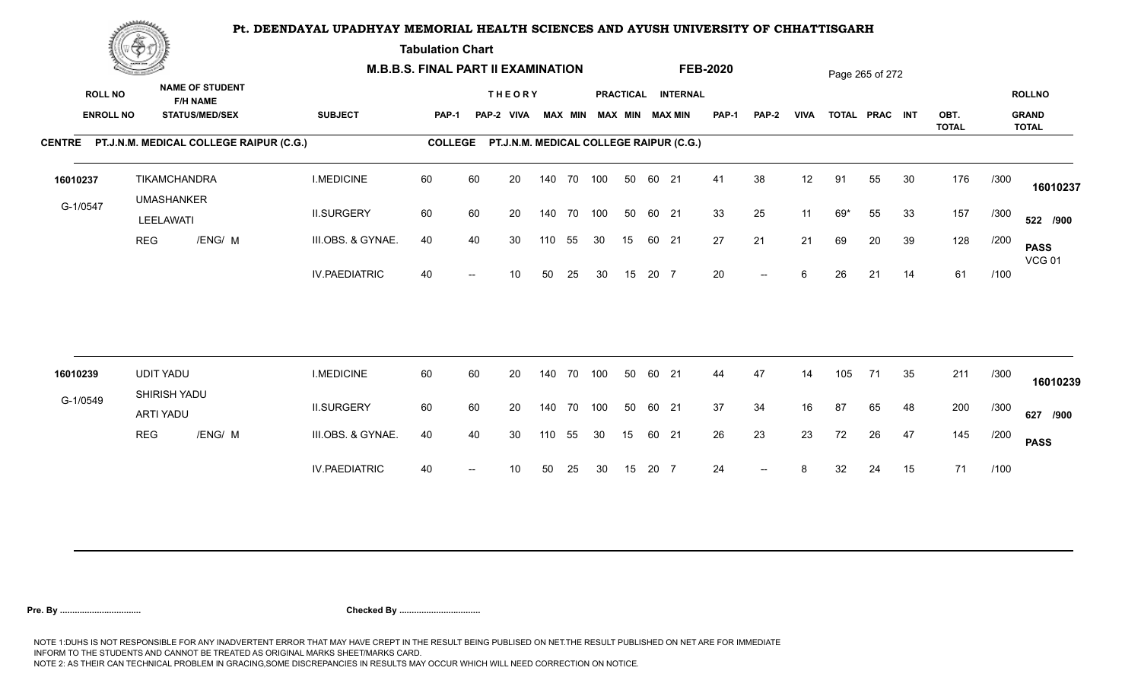**Tabulation Chart** 

|                                    | <b>Construction of the Construction</b> |                                                                    | <b>M.B.B.S. FINAL PART II EXAMINATION</b> |                |    |                                         |     |                |            |    |       |                                       | <b>FEB-2020</b> |                          |             |     | Page 265 of 272 |    |                      |      |                                               |
|------------------------------------|-----------------------------------------|--------------------------------------------------------------------|-------------------------------------------|----------------|----|-----------------------------------------|-----|----------------|------------|----|-------|---------------------------------------|-----------------|--------------------------|-------------|-----|-----------------|----|----------------------|------|-----------------------------------------------|
| <b>ROLL NO</b><br><b>ENROLL NO</b> |                                         | <b>NAME OF STUDENT</b><br><b>F/H NAME</b><br><b>STATUS/MED/SEX</b> | <b>SUBJECT</b>                            | <b>PAP-1</b>   |    | <b>THEORY</b><br>PAP-2 VIVA             |     | <b>MAX MIN</b> |            |    |       | PRACTICAL INTERNAL<br>MAX MIN MAX MIN | <b>PAP-1</b>    | <b>PAP-2</b>             | <b>VIVA</b> |     | TOTAL PRAC INT  |    | OBT.<br><b>TOTAL</b> |      | <b>ROLLNO</b><br><b>GRAND</b><br><b>TOTAL</b> |
|                                    |                                         | CENTRE PT.J.N.M. MEDICAL COLLEGE RAIPUR (C.G.)                     |                                           | <b>COLLEGE</b> |    | PT.J.N.M. MEDICAL COLLEGE RAIPUR (C.G.) |     |                |            |    |       |                                       |                 |                          |             |     |                 |    |                      |      |                                               |
| 16010237                           |                                         | <b>TIKAMCHANDRA</b><br><b>UMASHANKER</b>                           | <b>I.MEDICINE</b>                         | 60             | 60 | 20                                      |     |                | 140 70 100 | 50 | 60 21 |                                       | 41              | 38                       | 12          | 91  | 55              | 30 | 176                  | /300 | 16010237                                      |
| G-1/0547                           | LEELAWATI                               |                                                                    | <b>II.SURGERY</b>                         | 60             | 60 | 20                                      |     |                | 140 70 100 | 50 | 60 21 |                                       | 33              | 25                       | 11          | 69* | 55              | 33 | 157                  | /300 | 522 /900                                      |
|                                    | <b>REG</b>                              | /ENG/ M                                                            | III.OBS. & GYNAE.                         | 40             | 40 | 30                                      | 110 | 55             | 30         | 15 | 60 21 |                                       | 27              | 21                       | 21          | 69  | 20              | 39 | 128                  | /200 | <b>PASS</b><br><b>VCG 01</b>                  |
|                                    |                                         |                                                                    | <b>IV.PAEDIATRIC</b>                      | 40             |    | 10                                      | 50  | 25             | 30         | 15 | 20 7  |                                       | 20              | $\overline{\phantom{a}}$ | 6           | 26  | 21              | 14 | 61                   | /100 |                                               |
|                                    |                                         |                                                                    |                                           |                |    |                                         |     |                |            |    |       |                                       |                 |                          |             |     |                 |    |                      |      |                                               |
| 16010239                           | <b>UDIT YADU</b>                        | SHIRISH YADU                                                       | <b>I.MEDICINE</b>                         | 60             | 60 | 20                                      |     | 140 70         | 100        | 50 | 60 21 |                                       | 44              | 47                       | 14          | 105 | 71              | 35 | 211                  | /300 | 16010239                                      |
| G-1/0549                           | ARTI YADU                               |                                                                    | <b>II.SURGERY</b>                         | 60             | 60 | 20                                      |     |                | 140 70 100 | 50 | 60 21 |                                       | 37              | 34                       | 16          | 87  | 65              | 48 | 200                  | /300 | 627 /900                                      |
|                                    | <b>REG</b>                              | /ENG/ M                                                            | III.OBS. & GYNAE.                         | 40             | 40 | 30                                      | 110 | 55             | 30         | 15 | 60 21 |                                       | 26              | 23                       | 23          | 72  | 26              | 47 | 145                  | /200 | <b>PASS</b>                                   |
|                                    |                                         |                                                                    | <b>IV.PAEDIATRIC</b>                      | 40             |    | 10                                      | 50  | 25             | 30         | 15 | 20 7  |                                       | 24              | $--$                     | 8           | 32  | 24              | 15 | 71                   | /100 |                                               |
|                                    |                                         |                                                                    |                                           |                |    |                                         |     |                |            |    |       |                                       |                 |                          |             |     |                 |    |                      |      |                                               |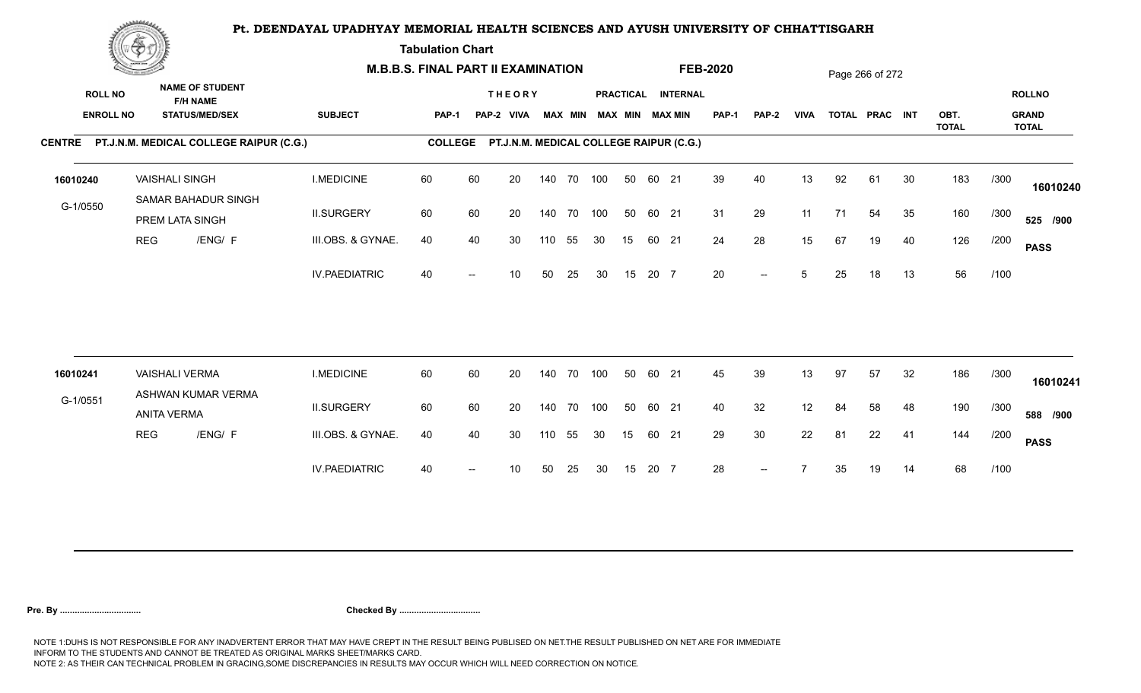**Tabulation Chart** 

|                                    | <b>Construction of the Construction</b> |                                                                    |                      | <b>M.B.B.S. FINAL PART II EXAMINATION</b> |    |                                         |     |                |            |    |       |                                       | <b>FEB-2020</b> |                |             |    | Page 266 of 272 |    |                      |      |                                               |
|------------------------------------|-----------------------------------------|--------------------------------------------------------------------|----------------------|-------------------------------------------|----|-----------------------------------------|-----|----------------|------------|----|-------|---------------------------------------|-----------------|----------------|-------------|----|-----------------|----|----------------------|------|-----------------------------------------------|
| <b>ROLL NO</b><br><b>ENROLL NO</b> |                                         | <b>NAME OF STUDENT</b><br><b>F/H NAME</b><br><b>STATUS/MED/SEX</b> | <b>SUBJECT</b>       | <b>PAP-1</b>                              |    | <b>THEORY</b><br>PAP-2 VIVA             |     | <b>MAX MIN</b> |            |    |       | PRACTICAL INTERNAL<br>MAX MIN MAX MIN | <b>PAP-1</b>    | <b>PAP-2</b>   | <b>VIVA</b> |    | TOTAL PRAC INT  |    | OBT.<br><b>TOTAL</b> |      | <b>ROLLNO</b><br><b>GRAND</b><br><b>TOTAL</b> |
|                                    |                                         | CENTRE PT.J.N.M. MEDICAL COLLEGE RAIPUR (C.G.)                     |                      | <b>COLLEGE</b>                            |    | PT.J.N.M. MEDICAL COLLEGE RAIPUR (C.G.) |     |                |            |    |       |                                       |                 |                |             |    |                 |    |                      |      |                                               |
| 16010240                           |                                         | <b>VAISHALI SINGH</b><br>SAMAR BAHADUR SINGH                       | <b>I.MEDICINE</b>    | 60                                        | 60 | 20                                      |     |                | 140 70 100 | 50 | 60 21 |                                       | 39              | 40             | 13          | 92 | 61              | 30 | 183                  | /300 | 16010240                                      |
| G-1/0550                           |                                         | PREM LATA SINGH                                                    | <b>II.SURGERY</b>    | 60                                        | 60 | 20                                      |     |                | 140 70 100 | 50 | 60 21 |                                       | 31              | 29             | 11          | 71 | 54              | 35 | 160                  | /300 | 525 /900                                      |
|                                    | <b>REG</b>                              | /ENG/ F                                                            | III.OBS. & GYNAE.    | 40                                        | 40 | 30                                      | 110 | 55             | 30         | 15 | 60 21 |                                       | 24              | 28             | 15          | 67 | 19              | 40 | 126                  | /200 | <b>PASS</b>                                   |
|                                    |                                         |                                                                    | <b>IV.PAEDIATRIC</b> | 40                                        |    | 10                                      | 50  | 25             | 30         | 15 | 20 7  |                                       | 20              | $-$            | 5           | 25 | 18              | 13 | 56                   | /100 |                                               |
|                                    |                                         |                                                                    |                      |                                           |    |                                         |     |                |            |    |       |                                       |                 |                |             |    |                 |    |                      |      |                                               |
| 16010241                           |                                         | <b>VAISHALI VERMA</b><br>ASHWAN KUMAR VERMA                        | <b>I.MEDICINE</b>    | 60                                        | 60 | 20                                      |     | 140 70         | 100        | 50 | 60 21 |                                       | 45              | 39             | 13          | 97 | 57              | 32 | 186                  | /300 | 16010241                                      |
| G-1/0551                           |                                         | <b>ANITA VERMA</b>                                                 | <b>II.SURGERY</b>    | 60                                        | 60 | 20                                      |     |                | 140 70 100 | 50 | 60 21 |                                       | 40              | 32             | 12          | 84 | 58              | 48 | 190                  | /300 | 588 /900                                      |
|                                    | <b>REG</b>                              | /ENG/ F                                                            | III.OBS. & GYNAE.    | 40                                        | 40 | 30                                      | 110 | 55             | 30         | 15 | 60 21 |                                       | 29              | 30             | 22          | 81 | 22              | 41 | 144                  | /200 | <b>PASS</b>                                   |
|                                    |                                         |                                                                    | <b>IV.PAEDIATRIC</b> | 40                                        |    | 10                                      | 50  | 25             | 30         | 15 | 20 7  |                                       | 28              | $\overline{a}$ |             | 35 | 19              | 14 | 68                   | /100 |                                               |
|                                    |                                         |                                                                    |                      |                                           |    |                                         |     |                |            |    |       |                                       |                 |                |             |    |                 |    |                      |      |                                               |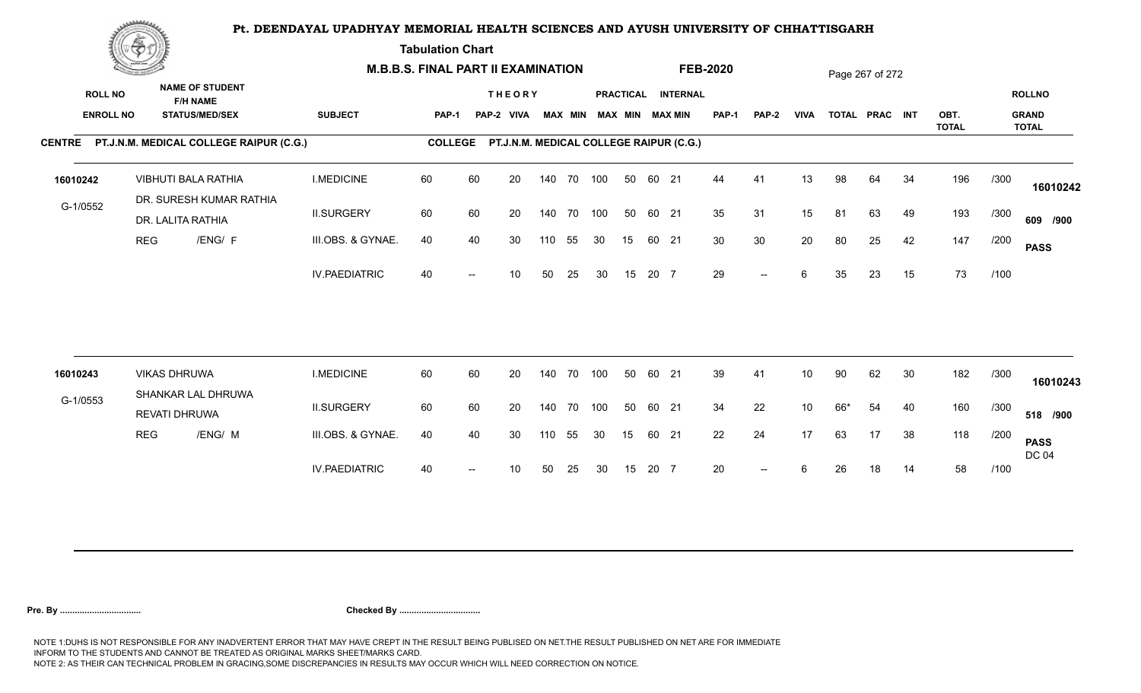**Tabulation Chart** 

|                | <b>Construction of the Construction</b> |                                                                    |                                                |                      | <b>M.B.B.S. FINAL PART II EXAMINATION</b> |    |                             |     |                |            |    |       |                                                 | <b>FEB-2020</b> |       |             |     | Page 267 of 272 |    |              |      |                               |
|----------------|-----------------------------------------|--------------------------------------------------------------------|------------------------------------------------|----------------------|-------------------------------------------|----|-----------------------------|-----|----------------|------------|----|-------|-------------------------------------------------|-----------------|-------|-------------|-----|-----------------|----|--------------|------|-------------------------------|
| <b>ROLL NO</b> | <b>ENROLL NO</b>                        | <b>NAME OF STUDENT</b><br><b>F/H NAME</b><br><b>STATUS/MED/SEX</b> |                                                | <b>SUBJECT</b>       | <b>PAP-1</b>                              |    | <b>THEORY</b><br>PAP-2 VIVA |     | <b>MAX MIN</b> |            |    |       | PRACTICAL INTERNAL<br><b>MAX MIN MAX MIN</b>    | <b>PAP-1</b>    | PAP-2 | <b>VIVA</b> |     | TOTAL PRAC INT  |    | OBT.         |      | <b>ROLLNO</b><br><b>GRAND</b> |
|                |                                         |                                                                    |                                                |                      |                                           |    |                             |     |                |            |    |       |                                                 |                 |       |             |     |                 |    | <b>TOTAL</b> |      | <b>TOTAL</b>                  |
|                |                                         |                                                                    | CENTRE PT.J.N.M. MEDICAL COLLEGE RAIPUR (C.G.) |                      |                                           |    |                             |     |                |            |    |       | COLLEGE PT.J.N.M. MEDICAL COLLEGE RAIPUR (C.G.) |                 |       |             |     |                 |    |              |      |                               |
| 16010242       |                                         | VIBHUTI BALA RATHIA                                                |                                                | <b>I.MEDICINE</b>    | 60                                        | 60 | 20                          |     |                | 140 70 100 | 50 | 60 21 |                                                 | 44              | 41    | 13          | 98  | 64              | 34 | 196          | /300 | 16010242                      |
| G-1/0552       |                                         | DR. LALITA RATHIA                                                  | DR. SURESH KUMAR RATHIA                        | <b>II.SURGERY</b>    | 60                                        | 60 | 20                          |     |                | 140 70 100 | 50 | 60 21 |                                                 | 35              | 31    | 15          | 81  | 63              | 49 | 193          | /300 | 609 /900                      |
|                | <b>REG</b>                              |                                                                    | /ENG/ F                                        | III.OBS. & GYNAE.    | 40                                        | 40 | 30                          | 110 | 55             | 30         | 15 | 60 21 |                                                 | 30              | 30    | 20          | 80  | 25              | 42 | 147          | /200 | <b>PASS</b>                   |
|                |                                         |                                                                    |                                                | <b>IV.PAEDIATRIC</b> | 40                                        |    | 10 <sup>1</sup>             | 50  | 25             | 30         | 15 | 20 7  |                                                 | 29              | $- -$ | 6           | 35  | 23              | 15 | 73           | /100 |                               |
|                |                                         |                                                                    |                                                |                      |                                           |    |                             |     |                |            |    |       |                                                 |                 |       |             |     |                 |    |              |      |                               |
| 16010243       |                                         | <b>VIKAS DHRUWA</b>                                                |                                                | <b>I.MEDICINE</b>    | 60                                        | 60 | 20                          |     |                | 140 70 100 | 50 | 60 21 |                                                 | 39              | 41    | 10          | 90  | 62              | 30 | 182          | /300 | 16010243                      |
| G-1/0553       |                                         | SHANKAR LAL DHRUWA<br>REVATI DHRUWA                                |                                                | <b>II.SURGERY</b>    | 60                                        | 60 | 20                          |     |                | 140 70 100 | 50 | 60 21 |                                                 | 34              | 22    | 10          | 66* | 54              | 40 | 160          | /300 | 518 /900                      |
|                | <b>REG</b>                              |                                                                    | /ENG/ M                                        | III.OBS. & GYNAE.    | 40                                        | 40 | 30                          | 110 | 55             | 30         | 15 | 60 21 |                                                 | 22              | 24    | 17          | 63  | 17              | 38 | 118          | /200 | <b>PASS</b><br><b>DC 04</b>   |
|                |                                         |                                                                    |                                                | <b>IV.PAEDIATRIC</b> | 40                                        |    | 10                          | 50  | 25             | 30         | 15 | 20 7  |                                                 | 20              | $- -$ | 6           | 26  | 18              | 14 | 58           | /100 |                               |
|                |                                         |                                                                    |                                                |                      |                                           |    |                             |     |                |            |    |       |                                                 |                 |       |             |     |                 |    |              |      |                               |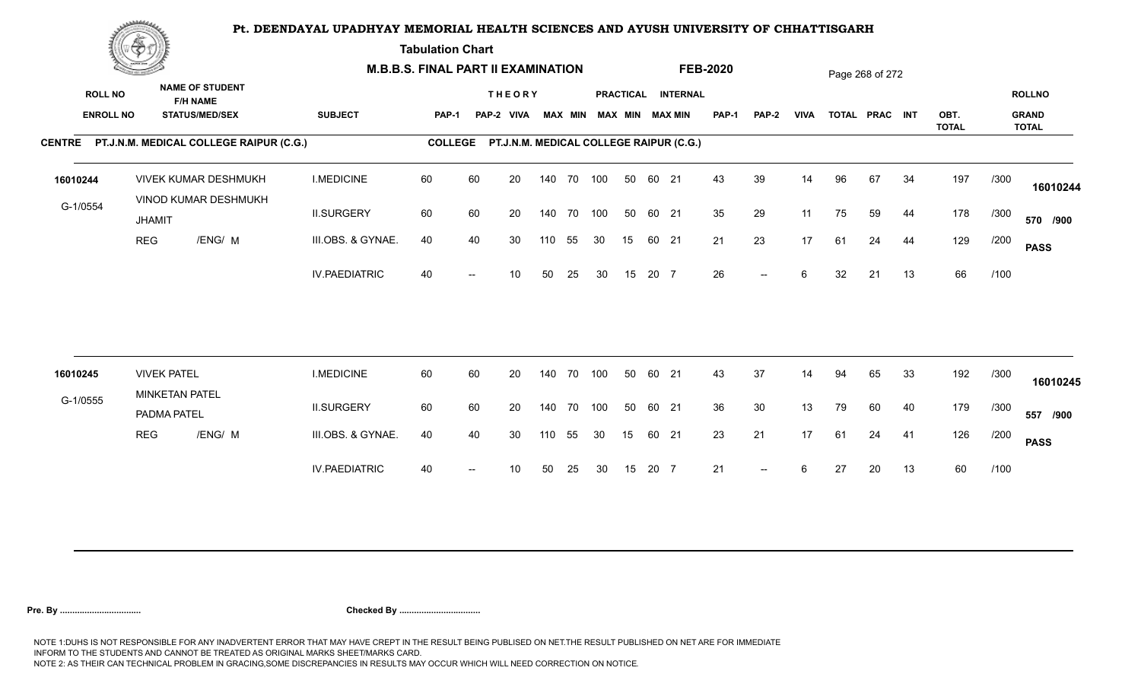**Tabulation Chart** 

|                  | <b>Construction of the Construction</b> |                                                     |                      | <b>M.B.B.S. FINAL PART II EXAMINATION</b> |    |                                         |        |        |                         |    |       |                    | <b>FEB-2020</b> |                          |             |    | Page 268 of 272 |    |                      |      |                              |
|------------------|-----------------------------------------|-----------------------------------------------------|----------------------|-------------------------------------------|----|-----------------------------------------|--------|--------|-------------------------|----|-------|--------------------|-----------------|--------------------------|-------------|----|-----------------|----|----------------------|------|------------------------------|
| <b>ROLL NO</b>   |                                         | <b>NAME OF STUDENT</b><br><b>F/H NAME</b>           |                      |                                           |    | <b>THEORY</b>                           |        |        |                         |    |       | PRACTICAL INTERNAL |                 |                          |             |    |                 |    |                      |      | <b>ROLLNO</b>                |
| <b>ENROLL NO</b> |                                         | <b>STATUS/MED/SEX</b>                               | <b>SUBJECT</b>       | PAP-1                                     |    | PAP-2 VIVA                              |        |        | MAX MIN MAX MIN MAX MIN |    |       |                    | <b>PAP-1</b>    | <b>PAP-2</b>             | <b>VIVA</b> |    | TOTAL PRAC INT  |    | OBT.<br><b>TOTAL</b> |      | <b>GRAND</b><br><b>TOTAL</b> |
|                  |                                         | CENTRE PT.J.N.M. MEDICAL COLLEGE RAIPUR (C.G.)      |                      | <b>COLLEGE</b>                            |    | PT.J.N.M. MEDICAL COLLEGE RAIPUR (C.G.) |        |        |                         |    |       |                    |                 |                          |             |    |                 |    |                      |      |                              |
| 16010244         |                                         | <b>VIVEK KUMAR DESHMUKH</b><br>VINOD KUMAR DESHMUKH | <b>I.MEDICINE</b>    | 60                                        | 60 | 20                                      | 140    | 70 100 |                         | 50 | 60 21 |                    | 43              | 39                       | 14          | 96 | 67              | 34 | 197                  | /300 | 16010244                     |
| G-1/0554         | <b>JHAMIT</b>                           |                                                     | <b>II.SURGERY</b>    | 60                                        | 60 | 20                                      | 140    | 70 100 |                         | 50 | 60 21 |                    | 35              | 29                       | 11          | 75 | 59              | 44 | 178                  | /300 | 570 /900                     |
|                  | <b>REG</b>                              | /ENG/ M                                             | III.OBS. & GYNAE.    | 40                                        | 40 | 30                                      | 110    | 55     | 30                      | 15 | 60 21 |                    | 21              | 23                       | 17          | 61 | 24              | 44 | 129                  | /200 | <b>PASS</b>                  |
|                  |                                         |                                                     | <b>IV.PAEDIATRIC</b> | 40                                        |    | 10                                      | 50     | 25     | 30                      | 15 | 20 7  |                    | 26              | $-$                      | 6           | 32 | 21              | 13 | 66                   | /100 |                              |
|                  |                                         |                                                     |                      |                                           |    |                                         |        |        |                         |    |       |                    |                 |                          |             |    |                 |    |                      |      |                              |
| 16010245         | <b>VIVEK PATEL</b>                      |                                                     | <b>I.MEDICINE</b>    | 60                                        | 60 | 20                                      | 140    |        | 70 100                  | 50 | 60 21 |                    | 43              | 37                       | 14          | 94 | 65              | 33 | 192                  | /300 | 16010245                     |
| G-1/0555         | PADMA PATEL                             | MINKETAN PATEL                                      | <b>II.SURGERY</b>    | 60                                        | 60 | 20                                      | 140    |        | 70 100                  | 50 | 60 21 |                    | 36              | 30                       | 13          | 79 | 60              | 40 | 179                  | /300 | 557 /900                     |
|                  | <b>REG</b>                              | /ENG/ M                                             | III.OBS. & GYNAE.    | 40                                        | 40 | 30                                      | 110 55 |        | 30                      | 15 | 60 21 |                    | 23              | 21                       | 17          | 61 | 24              | 41 | 126                  | /200 | <b>PASS</b>                  |
|                  |                                         |                                                     | <b>IV.PAEDIATRIC</b> | 40                                        |    | 10                                      | 50     | 25     | 30                      | 15 | 20 7  |                    | 21              | $\overline{\phantom{a}}$ | 6           | 27 | 20              | 13 | 60                   | /100 |                              |
|                  |                                         |                                                     |                      |                                           |    |                                         |        |        |                         |    |       |                    |                 |                          |             |    |                 |    |                      |      |                              |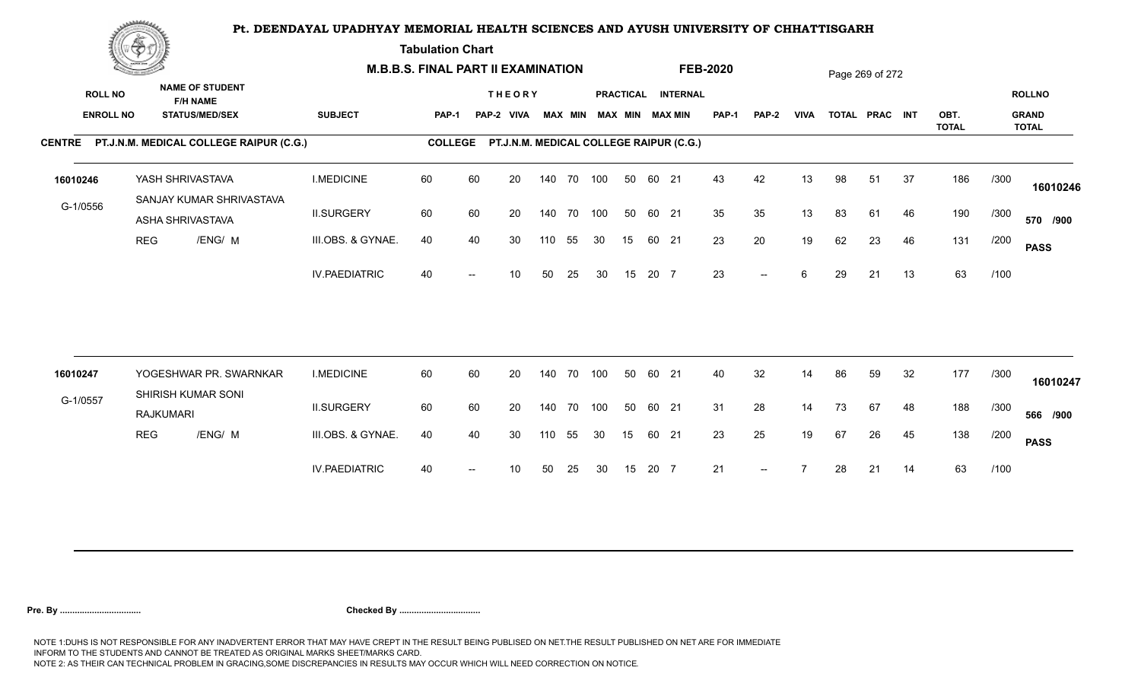**Tabulation Chart** 

|                  | <b>Construction of the Construction</b> |                                                |                      | <b>M.B.B.S. FINAL PART II EXAMINATION</b> |                          |                                         |     |    |                         |    |       |                    | <b>FEB-2020</b> |       |             |    | Page 269 of 272 |    |                      |      |                              |
|------------------|-----------------------------------------|------------------------------------------------|----------------------|-------------------------------------------|--------------------------|-----------------------------------------|-----|----|-------------------------|----|-------|--------------------|-----------------|-------|-------------|----|-----------------|----|----------------------|------|------------------------------|
| <b>ROLL NO</b>   |                                         | <b>NAME OF STUDENT</b><br><b>F/H NAME</b>      |                      |                                           |                          | <b>THEORY</b>                           |     |    |                         |    |       | PRACTICAL INTERNAL |                 |       |             |    |                 |    |                      |      | <b>ROLLNO</b>                |
| <b>ENROLL NO</b> |                                         | <b>STATUS/MED/SEX</b>                          | <b>SUBJECT</b>       | PAP-1                                     |                          | PAP-2 VIVA                              |     |    | MAX MIN MAX MIN MAX MIN |    |       |                    | <b>PAP-1</b>    | PAP-2 | <b>VIVA</b> |    | TOTAL PRAC INT  |    | OBT.<br><b>TOTAL</b> |      | <b>GRAND</b><br><b>TOTAL</b> |
|                  |                                         | CENTRE PT.J.N.M. MEDICAL COLLEGE RAIPUR (C.G.) |                      | <b>COLLEGE</b>                            |                          | PT.J.N.M. MEDICAL COLLEGE RAIPUR (C.G.) |     |    |                         |    |       |                    |                 |       |             |    |                 |    |                      |      |                              |
| 16010246         |                                         | YASH SHRIVASTAVA                               | <b>I.MEDICINE</b>    | 60                                        | 60                       | 20                                      | 140 |    | 70 100                  | 50 | 60 21 |                    | 43              | 42    | 13          | 98 | 51              | 37 | 186                  | /300 | 16010246                     |
| G-1/0556         |                                         | SANJAY KUMAR SHRIVASTAVA<br>ASHA SHRIVASTAVA   | <b>II.SURGERY</b>    | 60                                        | 60                       | 20                                      | 140 |    | 70 100                  | 50 | 60 21 |                    | 35              | 35    | 13          | 83 | 61              | 46 | 190                  | /300 | 570 /900                     |
|                  | <b>REG</b>                              | /ENG/ M                                        | III.OBS. & GYNAE.    | 40                                        | 40                       | 30                                      | 110 | 55 | 30                      | 15 | 60 21 |                    | 23              | 20    | 19          | 62 | 23              | 46 | 131                  | /200 | <b>PASS</b>                  |
|                  |                                         |                                                | <b>IV.PAEDIATRIC</b> | 40                                        | $\overline{\phantom{a}}$ | 10 <sup>°</sup>                         | 50  | 25 | 30                      | 15 | 20 7  |                    | 23              | $--$  | 6           | 29 | 21              | 13 | 63                   | /100 |                              |
|                  |                                         |                                                |                      |                                           |                          |                                         |     |    |                         |    |       |                    |                 |       |             |    |                 |    |                      |      |                              |
| 16010247         |                                         | YOGESHWAR PR. SWARNKAR<br>SHIRISH KUMAR SONI   | <b>I.MEDICINE</b>    | 60                                        | 60                       | 20                                      | 140 |    | 70 100                  | 50 | 60 21 |                    | 40              | 32    | 14          | 86 | 59              | 32 | 177                  | /300 | 16010247                     |
| G-1/0557         |                                         | <b>RAJKUMARI</b>                               | <b>II.SURGERY</b>    | 60                                        | 60                       | 20                                      | 140 |    | 70 100                  | 50 | 60 21 |                    | 31              | 28    | 14          | 73 | 67              | 48 | 188                  | /300 | 566 /900                     |
|                  | <b>REG</b>                              | /ENG/ M                                        | III.OBS. & GYNAE.    | 40                                        | 40                       | 30                                      | 110 | 55 | 30                      | 15 | 60 21 |                    | 23              | 25    | 19          | 67 | 26              | 45 | 138                  | /200 | <b>PASS</b>                  |
|                  |                                         |                                                | <b>IV.PAEDIATRIC</b> | 40                                        | $\overline{\phantom{a}}$ | 10 <sup>1</sup>                         | 50  | 25 | 30                      | 15 | 20 7  |                    | 21              | $--$  |             | 28 | 21              | 14 | 63                   | /100 |                              |
|                  |                                         |                                                |                      |                                           |                          |                                         |     |    |                         |    |       |                    |                 |       |             |    |                 |    |                      |      |                              |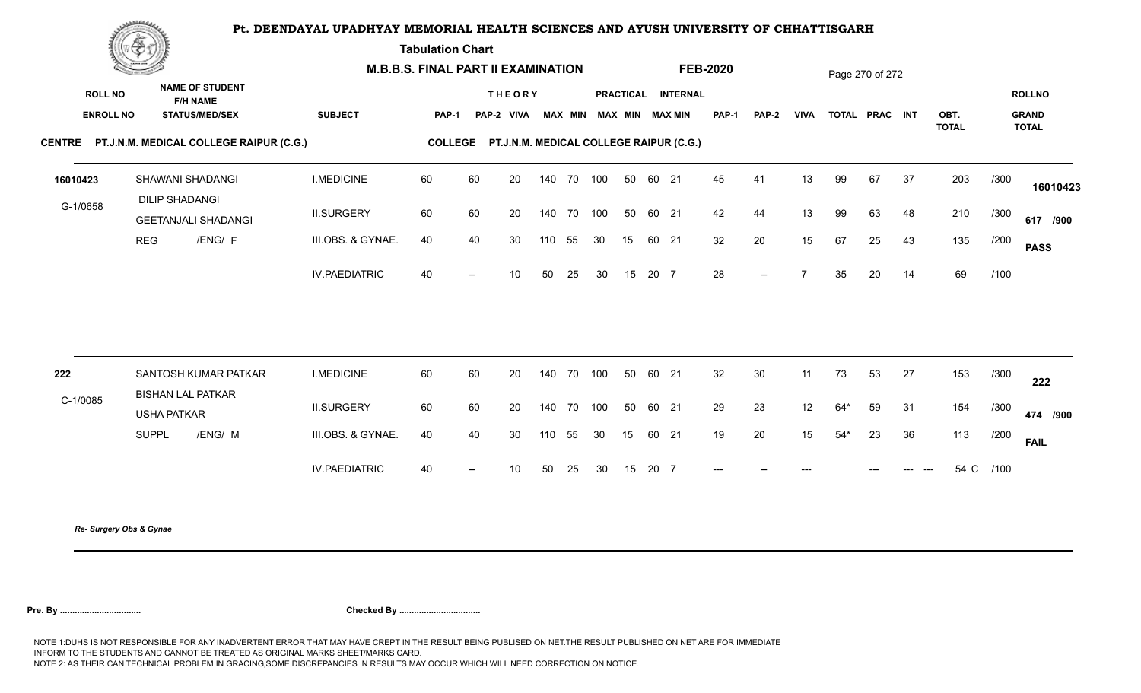**Tabulation Chart** 

|                                    | Construction of the Construction          |                                                                    | <b>M.B.B.S. FINAL PART II EXAMINATION</b> |                |                   |                                         |     |        |                         |    |       |                    | <b>FEB-2020</b> |       |             |       | Page 270 of 272 |    |                      |           |                                               |
|------------------------------------|-------------------------------------------|--------------------------------------------------------------------|-------------------------------------------|----------------|-------------------|-----------------------------------------|-----|--------|-------------------------|----|-------|--------------------|-----------------|-------|-------------|-------|-----------------|----|----------------------|-----------|-----------------------------------------------|
| <b>ROLL NO</b><br><b>ENROLL NO</b> |                                           | <b>NAME OF STUDENT</b><br><b>F/H NAME</b><br><b>STATUS/MED/SEX</b> | <b>SUBJECT</b>                            | PAP-1          |                   | <b>THEORY</b><br>PAP-2 VIVA             |     |        | MAX MIN MAX MIN MAX MIN |    |       | PRACTICAL INTERNAL | PAP-1           | PAP-2 | <b>VIVA</b> |       | TOTAL PRAC INT  |    | OBT.<br><b>TOTAL</b> |           | <b>ROLLNO</b><br><b>GRAND</b><br><b>TOTAL</b> |
|                                    |                                           | CENTRE PT.J.N.M. MEDICAL COLLEGE RAIPUR (C.G.)                     |                                           | <b>COLLEGE</b> |                   | PT.J.N.M. MEDICAL COLLEGE RAIPUR (C.G.) |     |        |                         |    |       |                    |                 |       |             |       |                 |    |                      |           |                                               |
| 16010423                           | SHAWANI SHADANGI<br><b>DILIP SHADANGI</b> |                                                                    | <b>I.MEDICINE</b>                         | 60             | 60                | 20                                      |     |        | 140 70 100              | 50 | 60 21 |                    | 45              | 41    | 13          | 99    | 67              | 37 | 203                  | /300      | 16010423                                      |
| G-1/0658                           |                                           | <b>GEETANJALI SHADANGI</b>                                         | <b>II.SURGERY</b>                         | 60             | 60                | 20                                      |     |        | 140 70 100              | 50 | 60 21 |                    | 42              | 44    | 13          | 99    | 63              | 48 | 210                  | /300      | 617 /900                                      |
|                                    | <b>REG</b>                                | /ENG/ F                                                            | III.OBS. & GYNAE.                         | 40             | 40                | 30                                      | 110 | 55     | 30                      | 15 | 60 21 |                    | 32              | 20    | 15          | 67    | 25              | 43 | 135                  | /200      | <b>PASS</b>                                   |
|                                    |                                           |                                                                    | <b>IV.PAEDIATRIC</b>                      | 40             |                   | 10                                      | 50  | 25     | 30                      | 15 | 20 7  |                    | 28              | $--$  | 7           | 35    | 20              | 14 | 69                   | /100      |                                               |
|                                    |                                           |                                                                    |                                           |                |                   |                                         |     |        |                         |    |       |                    |                 |       |             |       |                 |    |                      |           |                                               |
| 222                                | <b>BISHAN LAL PATKAR</b>                  | SANTOSH KUMAR PATKAR                                               | <b>I.MEDICINE</b>                         | 60             | 60                | 20                                      |     | 140 70 | 100                     | 50 | 60 21 |                    | 32              | 30    | 11          | 73    | 53              | 27 | 153                  | /300      | 222                                           |
| C-1/0085                           | <b>USHA PATKAR</b>                        |                                                                    | <b>II.SURGERY</b>                         | 60             | 60                | 20                                      |     |        | 140 70 100              | 50 | 60 21 |                    | 29              | 23    | 12          | $64*$ | 59              | 31 | 154                  | /300      | 474 /900                                      |
|                                    | <b>SUPPL</b>                              | /ENG/ M                                                            | III.OBS. & GYNAE.                         | 40             | 40                | 30                                      | 110 | 55     | 30                      | 15 | 60 21 |                    | 19              | 20    | 15          | $54*$ | 23              | 36 | 113                  | /200      | <b>FAIL</b>                                   |
|                                    |                                           |                                                                    | <b>IV.PAEDIATRIC</b>                      | 40             | $\hspace{0.05cm}$ | 10                                      | 50  | 25     | 30                      | 15 | 20 7  |                    | $---$           |       |             |       |                 |    |                      | 54 C /100 |                                               |
|                                    |                                           |                                                                    |                                           |                |                   |                                         |     |        |                         |    |       |                    |                 |       |             |       |                 |    |                      |           |                                               |

*Re- Surgery Obs & Gynae*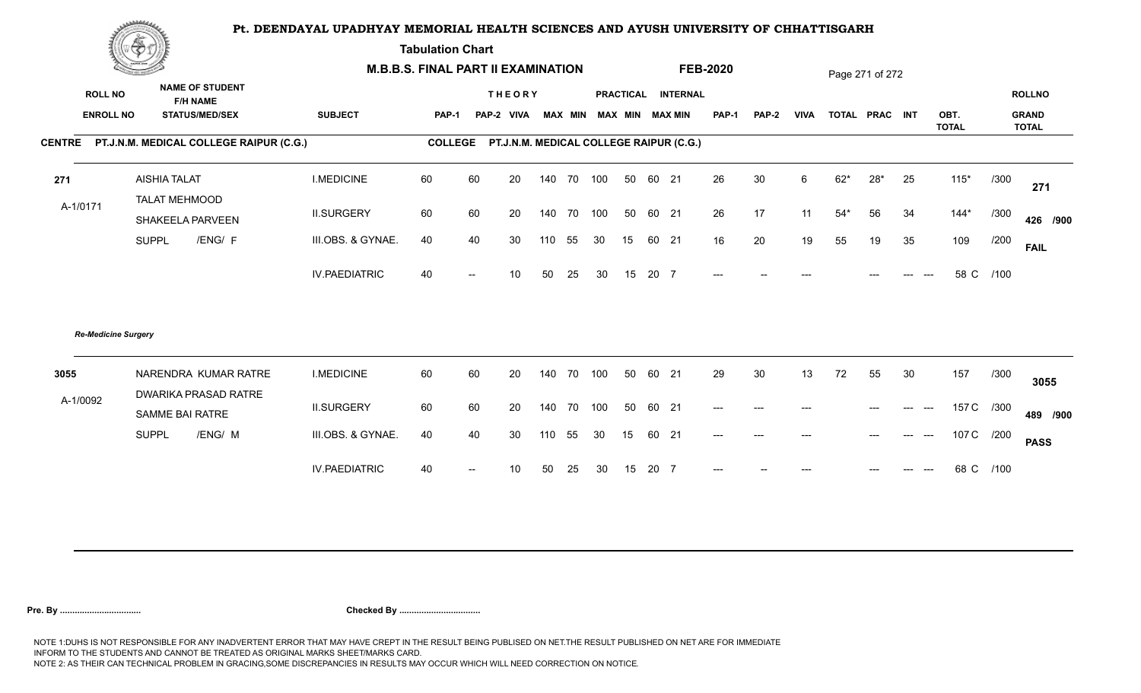**Tabulation Chart** 

|                            | <b>Change of the company of the company</b>    |                      | <b>M.B.B.S. FINAL PART II EXAMINATION</b> |                                                 |                 |            |    |                         |          |       |                    | <b>FEB-2020</b> |              |             | Page 271 of 272 |       |    |                      |      |                              |
|----------------------------|------------------------------------------------|----------------------|-------------------------------------------|-------------------------------------------------|-----------------|------------|----|-------------------------|----------|-------|--------------------|-----------------|--------------|-------------|-----------------|-------|----|----------------------|------|------------------------------|
| <b>ROLL NO</b>             | <b>NAME OF STUDENT</b><br><b>F/H NAME</b>      |                      |                                           |                                                 | <b>THEORY</b>   |            |    |                         |          |       | PRACTICAL INTERNAL |                 |              |             |                 |       |    |                      |      | <b>ROLLNO</b>                |
| <b>ENROLL NO</b>           | <b>STATUS/MED/SEX</b>                          | <b>SUBJECT</b>       | <b>PAP-1</b>                              | PAP-2 VIVA                                      |                 |            |    | MAX MIN MAX MIN MAX MIN |          |       |                    | <b>PAP-1</b>    | <b>PAP-2</b> | <b>VIVA</b> | TOTAL PRAC INT  |       |    | OBT.<br><b>TOTAL</b> |      | <b>GRAND</b><br><b>TOTAL</b> |
|                            | CENTRE PT.J.N.M. MEDICAL COLLEGE RAIPUR (C.G.) |                      |                                           | COLLEGE PT.J.N.M. MEDICAL COLLEGE RAIPUR (C.G.) |                 |            |    |                         |          |       |                    |                 |              |             |                 |       |    |                      |      |                              |
| 271                        | <b>AISHIA TALAT</b>                            | <b>I.MEDICINE</b>    | 60                                        | 60                                              | 20              | 140 70 100 |    |                         | 50 60 21 |       |                    | 26              | 30           | 6           | $62*$           | $28*$ | 25 | $115*$               | /300 | 271                          |
| A-1/0171                   | <b>TALAT MEHMOOD</b><br>SHAKEELA PARVEEN       | <b>II.SURGERY</b>    | 60                                        | 60                                              | 20              | 140 70 100 |    |                         | 50 60 21 |       |                    | 26              | 17           | 11          | $54*$           | 56    | 34 | $144*$               | /300 | 426 /900                     |
|                            | /ENG/ F<br><b>SUPPL</b>                        | III.OBS. & GYNAE.    | 40                                        | 40                                              | 30              | 110        | 55 | 30                      | 15       | 60 21 |                    | 16              | 20           | 19          | 55              | 19    | 35 | 109                  | /200 | <b>FAIL</b>                  |
|                            |                                                | <b>IV.PAEDIATRIC</b> | 40                                        | $\overline{\phantom{a}}$                        | 10 <sup>1</sup> | 50         | 25 | 30                      | 15       | 20 7  |                    | $---$           |              |             |                 |       |    | 58 C                 | /100 |                              |
| <b>Re-Medicine Surgery</b> |                                                |                      |                                           |                                                 |                 |            |    |                         |          |       |                    |                 |              |             |                 |       |    |                      |      |                              |
| 3055                       | NARENDRA KUMAR RATRE                           | <b>I.MEDICINE</b>    | 60                                        | 60                                              | 20              | 140 70     |    | 100                     | 50       | 60 21 |                    | 29              | 30           | 13          | 72              | 55    | 30 | 157                  | /300 | 3055                         |
| A-1/0092                   | DWARIKA PRASAD RATRE<br>SAMME BAI RATRE        | <b>II.SURGERY</b>    | 60                                        | 60                                              | 20              | 140 70 100 |    |                         | 50       | 60 21 |                    | $---$           | $---$        |             |                 | $---$ |    | 157 C /300           |      | 489 /900                     |
|                            | <b>SUPPL</b><br>/ENG/ M                        | III.OBS. & GYNAE.    | 40                                        | 40                                              | 30              | 110        | 55 | 30                      | 15       | 60 21 |                    | $---$           |              |             |                 | $---$ |    | 107 C /200           |      | <b>PASS</b>                  |
|                            |                                                | <b>IV.PAEDIATRIC</b> | 40                                        |                                                 | 10              | 50         | 25 | 30                      | 15       | 20 7  |                    |                 |              |             |                 |       |    | 68 C                 | /100 |                              |
|                            |                                                |                      |                                           |                                                 |                 |            |    |                         |          |       |                    |                 |              |             |                 |       |    |                      |      |                              |